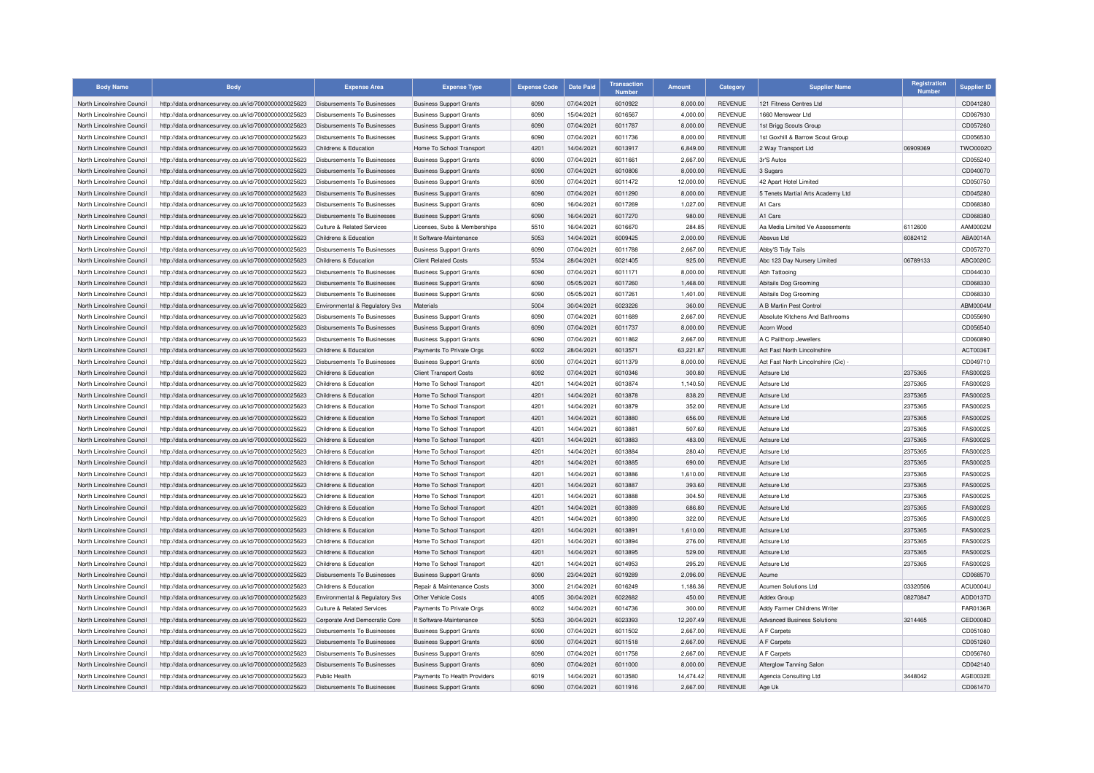| <b>Body Name</b>                                         | <b>Body</b>                                          | <b>Expense Area</b>                            | <b>Expense Type</b>                                  | <b>Expense Code</b> | <b>Date Paid</b>         | <b>Transaction</b><br><b>Numbor</b> | <b>Amount</b>    | Category                         | <b>Supplier Name</b>               | <b>Registration</b><br><b>Number</b> | <b>Supplier ID</b>                 |
|----------------------------------------------------------|------------------------------------------------------|------------------------------------------------|------------------------------------------------------|---------------------|--------------------------|-------------------------------------|------------------|----------------------------------|------------------------------------|--------------------------------------|------------------------------------|
| North Lincolnshire Council                               | http://data.ordnancesurvey.co.uk/id/7000000000025623 | Disbursements To Businesses                    | <b>Business Support Grants</b>                       | 6090                | 07/04/2021               | 6010922                             | 8,000.00         | <b>REVENUE</b>                   | 121 Fitness Centres Ltd            |                                      | CD041280                           |
| North Lincolnshire Council                               | http://data.ordnancesurvey.co.uk/id/7000000000025623 | Disbursements To Businesses                    | <b>Business Support Grants</b>                       | 6090                | 15/04/2021               | 6016567                             | 4,000.00         | <b>REVENUE</b>                   | 1660 Menswear Ltd                  |                                      | CD067930                           |
| North Lincolnshire Council                               | http://data.ordnancesurvey.co.uk/id/7000000000025623 | Disbursements To Businesses                    | <b>Business Support Grants</b>                       | 6090                | 07/04/2021               | 6011787                             | 8,000.00         | <b>REVENUE</b>                   | 1st Brigg Scouts Group             |                                      | CD057260                           |
| North Lincolnshire Council                               | http://data.ordnancesurvey.co.uk/id/7000000000025623 | Disbursements To Businesses                    | <b>Business Support Grants</b>                       | 6090                | 07/04/2021               | 6011736                             | 8,000.00         | <b>REVENUE</b>                   | 1st Goxhill & Barrow Scout Group   |                                      | CD056530                           |
| North Lincolnshire Council                               | http://data.ordnancesurvey.co.uk/id/7000000000025623 | Childrens & Education                          | Home To School Transport                             | 4201                | 14/04/2021               | 6013917                             | 6,849.00         | <b>REVENUE</b>                   | 2 Way Transport Ltd                | 06909369                             | TWO0002O                           |
| North Lincolnshire Council                               | http://data.ordnancesurvey.co.uk/id/7000000000025623 | <b>Disbursements To Businesses</b>             | <b>Business Support Grants</b>                       | 6090                | 07/04/2021               | 6011661                             | 2,667.00         | <b>REVENUE</b>                   | 3r'S Autos                         |                                      | CD055240                           |
| North Lincolnshire Council                               | http://data.ordnancesurvey.co.uk/id/7000000000025623 | Disbursements To Businesses                    | <b>Business Support Grants</b>                       | 6090                | 07/04/2021               | 6010806                             | 8,000.00         | REVENUE                          | 3 Sugars                           |                                      | CD040070                           |
| North Lincolnshire Council                               | http://data.ordnancesurvey.co.uk/id/7000000000025623 | Disbursements To Businesses                    | <b>Business Support Grants</b>                       | 6090                | 07/04/2021               | 6011472                             | 12,000.00        | <b>REVENUE</b>                   | 42 Apart Hotel Limited             |                                      | CD050750                           |
| North Lincolnshire Council                               | http://data.ordnancesurvey.co.uk/id/7000000000025623 | <b>Disbursements To Businesses</b>             | <b>Business Support Grants</b>                       | 6090                | 07/04/2021               | 6011290                             | 8,000.00         | <b>REVENUE</b>                   | 5 Tenets Martial Arts Academy Ltd  |                                      | CD045280                           |
| North Lincolnshire Council                               | http://data.ordnancesurvey.co.uk/id/7000000000025623 | Disbursements To Businesses                    | <b>Business Support Grants</b>                       | 6090                | 16/04/2021               | 6017269                             | 1,027.00         | <b>REVENUE</b>                   | A1 Cars                            |                                      | CD068380                           |
| North Lincolnshire Council                               | http://data.ordnancesurvey.co.uk/id/7000000000025623 | Disbursements To Businesses                    | <b>Business Support Grants</b>                       | 6090                | 16/04/2021               | 6017270                             | 980.00           | <b>REVENUE</b>                   | A1 Cars                            |                                      | CD068380                           |
| North Lincolnshire Council                               | http://data.ordnancesurvey.co.uk/id/7000000000025623 | <b>Culture &amp; Related Services</b>          | Licenses, Subs & Memberships                         | 5510                | 16/04/2021               | 6016670                             | 284.85           | <b>REVENUE</b>                   | Aa Media Limited Ve Assessments    | 6112600                              | AAM0002M                           |
| North Lincolnshire Council                               | http://data.ordnancesurvey.co.uk/id/7000000000025623 | Childrens & Education                          | It Software-Maintenance                              | 5053                | 14/04/2021               | 6009425                             | 2,000.00         | <b>REVENUE</b>                   | Abavus Ltd                         | 6082412                              | ABA0014A                           |
| North Lincolnshire Council                               | http://data.ordnancesurvey.co.uk/id/7000000000025623 | Disbursements To Businesses                    | <b>Business Support Grants</b>                       | 6090                | 07/04/2021               | 6011788                             | 2,667.00         | <b>REVENUE</b>                   | Abby'S Tidy Tails                  |                                      | CD057270                           |
| North Lincolnshire Council                               | http://data.ordnancesurvey.co.uk/id/7000000000025623 | Childrens & Education                          | <b>Client Related Costs</b>                          | 5534                | 28/04/2021               | 6021405                             | 925.00           | <b>REVENUE</b>                   | Abc 123 Day Nursery Limited        | 06789133                             | ABC0020C                           |
| North Lincolnshire Council                               | http://data.ordnancesurvey.co.uk/id/7000000000025623 | <b>Disbursements To Businesses</b>             | <b>Business Support Grants</b>                       | 6090                | 07/04/2021               | 6011171                             | 8,000.00         | <b>REVENUE</b>                   | Abh Tattooing                      |                                      | CD044030                           |
| North Lincolnshire Council                               | http://data.ordnancesurvey.co.uk/id/7000000000025623 | Disbursements To Businesses                    | <b>Business Support Grants</b>                       | 6090                | 05/05/2021               | 6017260                             | 1,468.00         | <b>REVENUE</b>                   | Abitails Dog Grooming              |                                      | CD068330                           |
| North Lincolnshire Council                               | http://data.ordnancesurvey.co.uk/id/7000000000025623 | <b>Disbursements To Businesses</b>             | <b>Business Support Grants</b>                       | 6090                | 05/05/2021               | 6017261                             | 1,401.00         | <b>REVENUE</b>                   | Abitails Dog Grooming              |                                      | CD068330                           |
| North Lincolnshire Council                               | http://data.ordnancesurvey.co.uk/id/7000000000025623 | Environmental & Regulatory Svs                 | <b>Materials</b>                                     | 5004                | 30/04/2021               | 6023226                             | 360.00           | <b>REVENUE</b>                   | A B Martin Pest Control            |                                      | ABM0004N                           |
| North Lincolnshire Council                               | http://data.ordnancesurvey.co.uk/id/7000000000025623 | <b>Disbursements To Businesses</b>             | <b>Business Support Grants</b>                       | 6090                | 07/04/2021               | 6011689                             | 2,667.00         | <b>REVENUE</b>                   | Absolute Kitchens And Bathrooms    |                                      | CD055690                           |
| North Lincolnshire Council                               | http://data.ordnancesurvey.co.uk/id/7000000000025623 | Disbursements To Businesses                    | <b>Business Support Grants</b>                       | 6090                | 07/04/2021               | 6011737                             | 8,000.00         | <b>REVENUE</b>                   | Acorn Wood                         |                                      | CD056540                           |
| North Lincolnshire Council                               | http://data.ordnancesurvey.co.uk/id/7000000000025623 | <b>Disbursements To Businesses</b>             | <b>Business Support Grants</b>                       | 6090                | 07/04/2021               | 6011862                             | 2,667.00         | <b>REVENUE</b>                   | A C Pailthorp Jewellers            |                                      | CD060890                           |
| North Lincolnshire Council                               | http://data.ordnancesurvey.co.uk/id/7000000000025623 | Childrens & Education                          | Payments To Private Orgs                             | 6002                | 28/04/2021               | 6013571                             | 63,221.87        | <b>REVENUE</b>                   | Act Fast North Lincolnshire        |                                      | ACT0036T                           |
| North Lincolnshire Council                               | http://data.ordnancesurvey.co.uk/id/7000000000025623 | Disbursements To Businesses                    | <b>Business Support Grants</b>                       | 6090                | 07/04/2021               | 6011379                             | 8,000.00         | <b>REVENUE</b>                   | Act Fast North Lincolnshire (Cic)  |                                      | CD049710                           |
| North Lincolnshire Council                               | http://data.ordnancesurvey.co.uk/id/7000000000025623 | Childrens & Education                          | <b>Client Transport Costs</b>                        | 6092                | 07/04/2021               | 6010346                             | 300.80           | <b>REVENUE</b>                   | Actsure I to                       | 2375365                              | <b>FAS0002S</b>                    |
| North Lincolnshire Council                               | http://data.ordnancesurvey.co.uk/id/7000000000025623 | Childrens & Education                          | Home To School Transport                             | 4201                | 14/04/2021               | 6013874                             | 1,140.50         | <b>REVENUE</b>                   | Actsure Ltd                        | 2375365                              | <b>FAS0002S</b>                    |
| North Lincolnshire Council                               | http://data.ordnancesurvey.co.uk/id/7000000000025623 | Childrens & Education                          | Home To School Transport                             | 4201                | 14/04/2021               | 6013878                             | 838.20           | <b>REVENUE</b>                   | <b>Actsure Ltd</b>                 | 2375365                              | <b>FAS0002S</b>                    |
| North Lincolnshire Council                               | http://data.ordnancesurvey.co.uk/id/7000000000025623 | Childrens & Education                          | Home To School Transport                             | 4201                | 14/04/2021               | 6013879                             | 352.00           | <b>REVENUE</b>                   | Actsure Ltd                        | 2375365                              | <b>FAS0002S</b>                    |
| North Lincolnshire Council                               | http://data.ordnancesurvey.co.uk/id/7000000000025623 | Childrens & Education                          | Home To School Transport                             | 4201                | 14/04/2021               | 6013880                             | 656.00           | <b>REVENUE</b>                   | <b>Actsure Ltd</b>                 | 2375365                              | <b>FAS0002S</b>                    |
| North Lincolnshire Council                               | http://data.ordnancesurvey.co.uk/id/7000000000025623 | Childrens & Education                          | Home To School Transport                             | 4201                | 14/04/2021               | 6013881                             | 507.60           | <b>REVENUE</b>                   | Actsure Ltd                        | 2375365                              | <b>FAS0002S</b>                    |
| North Lincolnshire Council                               | http://data.ordnancesurvey.co.uk/id/7000000000025623 | Childrens & Education                          | Home To School Transport                             | 4201                | 14/04/2021               | 6013883                             | 483.00           | <b>REVENUE</b>                   | <b>Actsure Ltd</b>                 | 2375365                              | <b>FAS0002S</b>                    |
| North Lincolnshire Council                               | http://data.ordnancesurvey.co.uk/id/7000000000025623 | Childrens & Education                          | Home To School Transport                             | 4201                | 14/04/2021               | 6013884                             | 280.40           | <b>REVENUE</b>                   | Actsure Ltd                        | 2375365                              | <b>FAS0002S</b>                    |
| North Lincolnshire Council                               | http://data.ordnancesurvey.co.uk/id/7000000000025623 | Childrens & Education                          | Home To School Transport                             | 4201                | 14/04/2021               | 6013885                             | 690.00           | <b>REVENUE</b>                   | <b>Actsure Ltd</b>                 | 2375365                              | <b>FAS0002S</b>                    |
| North Lincolnshire Council                               | http://data.ordnancesurvey.co.uk/id/7000000000025623 | Childrens & Education                          | Home To School Transport                             | 4201                | 14/04/2021               | 6013886                             | 1,610.00         | <b>REVENUE</b>                   | Actsure Ltd                        | 2375365                              | <b>FAS0002S</b>                    |
| North Lincolnshire Council                               | http://data.ordnancesurvey.co.uk/id/7000000000025623 | Childrens & Education                          | Home To School Transport                             | 4201                | 14/04/2021               | 6013887                             | 393.60           | <b>REVENUE</b>                   | <b>Actsure Ltd</b>                 | 2375365                              | <b>FAS0002S</b>                    |
| North Lincolnshire Council                               |                                                      | Childrens & Education                          | Home To School Transport                             | 4201                | 14/04/2021               | 6013888                             | 304.50           | <b>REVENUE</b>                   | Actsure Ltd                        | 2375365                              | <b>FAS0002S</b>                    |
| North Lincolnshire Council                               | http://data.ordnancesurvey.co.uk/id/7000000000025623 | Childrens & Education                          | Home To School Transport                             | 4201                | 14/04/2021               | 6013889                             | 686.80           | <b>REVENUE</b>                   | <b>Actsure Ltd</b>                 | 2375365                              | <b>FAS0002S</b>                    |
| North Lincolnshire Council                               | http://data.ordnancesurvey.co.uk/id/7000000000025623 | Childrens & Education                          |                                                      | 4201                | 14/04/2021               | 6013890                             | 322.00           | <b>REVENUE</b>                   | Actsure Ltd                        | 2375365                              | <b>FAS0002S</b>                    |
| North Lincolnshire Council                               | http://data.ordnancesurvey.co.uk/id/7000000000025623 | Childrens & Education                          | Home To School Transport<br>Home To School Transport | 4201                | 14/04/2021               | 6013891                             | 1,610.00         | <b>REVENUE</b>                   | Actsure Ltd                        | 2375365                              | <b>FAS0002S</b>                    |
| North Lincolnshire Council                               | http://data.ordnancesurvey.co.uk/id/7000000000025623 | Childrens & Education                          | Home To School Transport                             | 4201                | 14/04/2021               | 6013894                             | 276.00           | <b>REVENUE</b>                   | Actsure Ltd                        | 2375365                              | <b>FAS0002S</b>                    |
|                                                          | http://data.ordnancesurvey.co.uk/id/7000000000025623 |                                                |                                                      |                     |                          |                                     |                  |                                  |                                    |                                      |                                    |
| North Lincolnshire Council<br>North Lincolnshire Council | http://data.ordnancesurvey.co.uk/id/7000000000025623 | Childrens & Education<br>Childrens & Education | Home To School Transport                             | 4201<br>4201        | 14/04/2021<br>14/04/2021 | 6013895<br>6014953                  | 529.00<br>295.20 | <b>REVENUE</b><br><b>REVENUE</b> | <b>Actsure Ltd</b><br>Actsure Ltd  | 2375365                              | <b>FAS0002S</b><br><b>FAS0002S</b> |
|                                                          | http://data.ordnancesurvey.co.uk/id/7000000000025623 |                                                | Home To School Transport                             |                     |                          |                                     |                  |                                  |                                    | 2375365                              |                                    |
| North Lincolnshire Council                               | http://data.ordnancesurvey.co.uk/id/7000000000025623 | Disbursements To Businesses                    | <b>Business Support Grants</b>                       | 6090                | 23/04/2021               | 6019289                             | 2,096.00         | <b>REVENUE</b>                   | Acume                              |                                      | CD068570                           |
| North Lincolnshire Council                               | http://data.ordnancesurvey.co.uk/id/7000000000025623 | Childrens & Education                          | Repair & Maintenance Costs                           | 3000                | 21/04/2021               | 6016249                             | 1,186.36         | <b>REVENUE</b>                   | Acumen Solutions Ltd               | 03320506                             | ACU0004U                           |
| North Lincolnshire Council                               | http://data.ordnancesurvey.co.uk/id/7000000000025623 | Environmental & Regulatory Svs                 | Other Vehicle Costs                                  | 4005                | 30/04/2021               | 6022682                             | 450.00           | <b>REVENUE</b>                   | <b>Addex Group</b>                 | 08270847                             | ADD0137D                           |
| North Lincolnshire Council                               | http://data.ordnancesurvey.co.uk/id/7000000000025623 | Culture & Related Services                     | Payments To Private Orgs                             | 6002                | 14/04/2021               | 6014736                             | 300.00           | <b>REVENUE</b>                   | Addy Farmer Childrens Writer       |                                      | FAR0136R                           |
| North Lincolnshire Council                               | http://data.ordnancesurvey.co.uk/id/7000000000025623 | Corporate And Democratic Core                  | It Software-Maintenance                              | 5053                | 30/04/2021               | 6023393                             | 12,207.49        | <b>REVENUE</b>                   | <b>Advanced Business Solutions</b> | 3214465                              | CED0008D                           |
| North Lincolnshire Council                               | http://data.ordnancesurvey.co.uk/id/7000000000025623 | <b>Disbursements To Businesses</b>             | <b>Business Support Grants</b>                       | 6090                | 07/04/2021               | 6011502                             | 2,667.00         | <b>REVENUE</b>                   | A F Carpets                        |                                      | CD051080                           |
| North Lincolnshire Council                               | http://data.ordnancesurvey.co.uk/id/7000000000025623 | Disbursements To Businesses                    | <b>Business Support Grants</b>                       | 6090                | 07/04/2021               | 6011518                             | 2,667.00         | REVENUE                          | A F Carpets                        |                                      | CD051260                           |
| North Lincolnshire Council                               | http://data.ordnancesurvey.co.uk/id/7000000000025623 | <b>Disbursements To Businesses</b>             | <b>Business Support Grants</b>                       | 6090                | 07/04/2021               | 6011758                             | 2,667.00         | <b>REVENUE</b>                   | A F Carpets                        |                                      | CD056760                           |
| North Lincolnshire Council                               | http://data.ordnancesurvey.co.uk/id/7000000000025623 | <b>Disbursements To Businesses</b>             | <b>Business Support Grants</b>                       | 6090                | 07/04/2021               | 6011000                             | 8,000.00         | <b>REVENUE</b>                   | Afterglow Tanning Salor            |                                      | CD042140                           |
| North Lincolnshire Council                               | http://data.ordnancesurvey.co.uk/id/7000000000025623 | Public Health                                  | Payments To Health Providers                         | 6019                | 14/04/2021               | 6013580                             | 14,474.42        | REVENUE                          | Agencia Consulting Ltd             | 3448042                              | AGE0032E                           |
| North Lincolnshire Council                               | http://data.ordnancesurvey.co.uk/id/7000000000025623 | Disbursements To Businesses                    | <b>Business Support Grants</b>                       | 6090                | 07/04/2021               | 6011916                             | 2.667.00         | <b>REVENUE</b>                   | Age Uk                             |                                      | CD061470                           |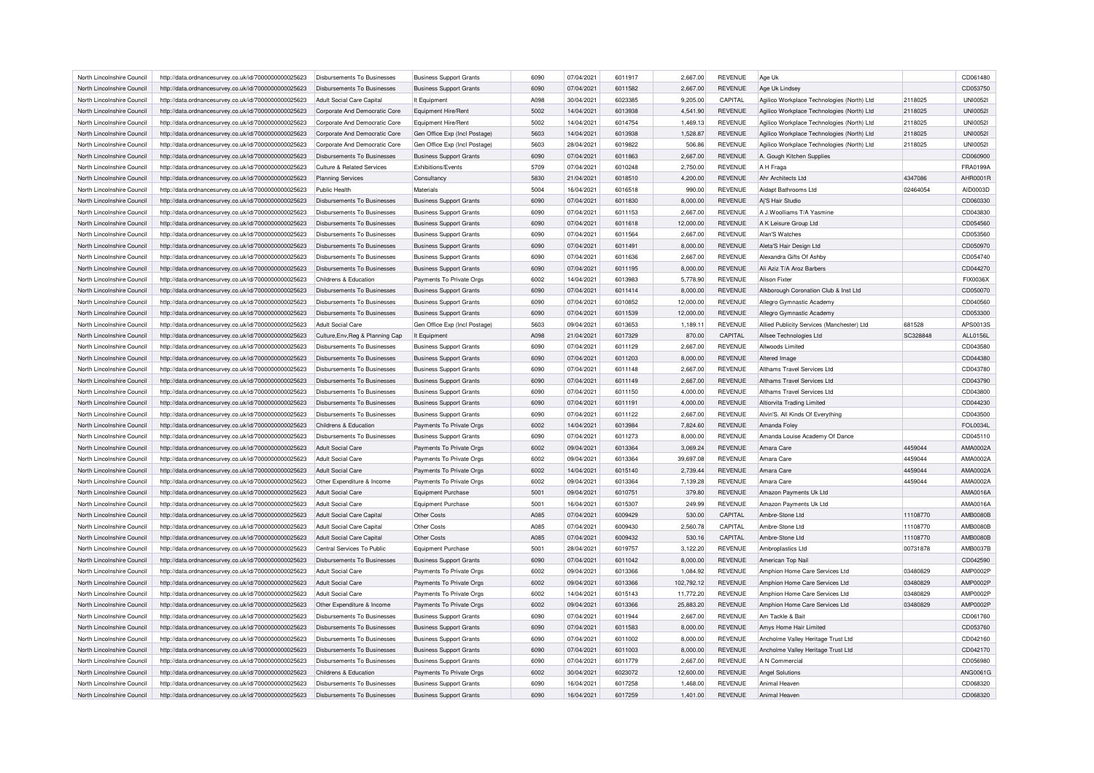| North Lincolnshire Council<br>07/04/2021<br>6011917<br>2,667.00<br><b>REVENUE</b><br>http://data.ordnancesurvey.co.uk/id/7000000000025623<br>Disbursements To Businesses<br><b>Business Support Grants</b><br>6090<br>Age Uk<br>07/04/2021<br>6011582<br>2,667.00<br>North Lincolnshire Council<br>http://data.ordnancesurvey.co.uk/id/7000000000025623<br>Disbursements To Businesses<br>6090<br><b>REVENUE</b><br><b>Business Support Grants</b><br>Age Uk Lindsey<br>6023385<br>North Lincolnshire Council<br>http://data.ordnancesurvey.co.uk/id/7000000000025623<br>Adult Social Care Capital<br>It Equipment<br>A098<br>30/04/2021<br>9,205.00<br>CAPITAL<br>Agilico Workplace Technologies (North) Ltd<br>Equipment Hire/Rent<br>14/04/2021<br>6013938<br><b>REVENUE</b><br>North Lincolnshire Council<br>http://data.ordnancesurvey.co.uk/id/7000000000025623<br>Corporate And Democratic Core<br>5002<br>4,541.90<br>Agilico Workplace Technologies (North) Ltd<br>North Lincolnshire Council<br>5002<br>14/04/2021<br>6014754<br>1,469.13<br><b>REVENUE</b><br>http://data.ordnancesurvey.co.uk/id/7000000000025623<br>Corporate And Democratic Core<br>Equipment Hire/Rent<br>Agilico Workplace Technologies (North) Ltd<br>14/04/2021<br>6013938<br><b>REVENUE</b><br>North Lincolnshire Council<br>http://data.ordnancesurvey.co.uk/id/7000000000025623<br>Corporate And Democratic Core<br>Gen Office Exp (Incl Postage)<br>5603<br>1,528.87<br>Agilico Workplace Technologies (North) Ltd<br>28/04/2021<br>6019822<br>506.86<br><b>REVENUE</b><br>Agilico Workplace Technologies (North) Ltd<br>North Lincolnshire Council<br>http://data.ordnancesurvey.co.uk/id/7000000000025623<br>Corporate And Democratic Core<br>Gen Office Exp (Incl Postage)<br>5603<br>http://data.ordnancesurvey.co.uk/id/7000000000025623<br>6090<br>07/04/2021<br>6011863<br>2,667.00<br><b>REVENUE</b><br>North Lincolnshire Council<br>Disbursements To Businesses<br><b>Business Support Grants</b><br>A. Gough Kitchen Supplies<br>Exhibitions/Events<br>5709<br>07/04/2021<br>6010248<br>2,750.00<br><b>REVENUE</b><br>A H Fraga<br>North Lincolnshire Council<br>http://data.ordnancesurvey.co.uk/id/7000000000025623<br>Culture & Related Services<br>North Lincolnshire Council<br>http://data.ordnancesurvey.co.uk/id/7000000000025623<br>5830<br>21/04/2021<br>6018510<br>4,200.00<br><b>REVENUE</b><br>Ahr Architects Ltd<br><b>Planning Services</b><br>Consultanc<br>North Lincolnshire Council<br>http://data.ordnancesurvey.co.uk/id/7000000000025623<br>Materials<br>5004<br>16/04/2021<br>6016518<br>990.00<br><b>REVENUE</b><br>Aidapt Bathrooms Ltd<br>Public Health<br><b>REVENUE</b><br>http://data.ordnancesurvey.co.uk/id/7000000000025623<br>Disbursements To Businesses<br><b>Business Support Grants</b><br>6090<br>07/04/2021<br>6011830<br>8,000.00<br>Aj'S Hair Studio<br>North Lincolnshire Council | 2118025<br>2118025<br>2118025<br>2118025<br>2118025<br>4347086 | CD061480<br>CD053750<br><b>UNI00521</b><br><b>UNI0052I</b><br><b>UNI0052I</b><br><b>UNI00521</b><br><b>UNI00521</b><br>CD060900 |
|------------------------------------------------------------------------------------------------------------------------------------------------------------------------------------------------------------------------------------------------------------------------------------------------------------------------------------------------------------------------------------------------------------------------------------------------------------------------------------------------------------------------------------------------------------------------------------------------------------------------------------------------------------------------------------------------------------------------------------------------------------------------------------------------------------------------------------------------------------------------------------------------------------------------------------------------------------------------------------------------------------------------------------------------------------------------------------------------------------------------------------------------------------------------------------------------------------------------------------------------------------------------------------------------------------------------------------------------------------------------------------------------------------------------------------------------------------------------------------------------------------------------------------------------------------------------------------------------------------------------------------------------------------------------------------------------------------------------------------------------------------------------------------------------------------------------------------------------------------------------------------------------------------------------------------------------------------------------------------------------------------------------------------------------------------------------------------------------------------------------------------------------------------------------------------------------------------------------------------------------------------------------------------------------------------------------------------------------------------------------------------------------------------------------------------------------------------------------------------------------------------------------------------------------------------------------------------------------------------------------------------------------------------------------------------------------------------------------------------------------------------------------------------------------------------------------------------------------------------------------------------------------------------------------------|----------------------------------------------------------------|---------------------------------------------------------------------------------------------------------------------------------|
|                                                                                                                                                                                                                                                                                                                                                                                                                                                                                                                                                                                                                                                                                                                                                                                                                                                                                                                                                                                                                                                                                                                                                                                                                                                                                                                                                                                                                                                                                                                                                                                                                                                                                                                                                                                                                                                                                                                                                                                                                                                                                                                                                                                                                                                                                                                                                                                                                                                                                                                                                                                                                                                                                                                                                                                                                                                                                                                              |                                                                |                                                                                                                                 |
|                                                                                                                                                                                                                                                                                                                                                                                                                                                                                                                                                                                                                                                                                                                                                                                                                                                                                                                                                                                                                                                                                                                                                                                                                                                                                                                                                                                                                                                                                                                                                                                                                                                                                                                                                                                                                                                                                                                                                                                                                                                                                                                                                                                                                                                                                                                                                                                                                                                                                                                                                                                                                                                                                                                                                                                                                                                                                                                              |                                                                |                                                                                                                                 |
|                                                                                                                                                                                                                                                                                                                                                                                                                                                                                                                                                                                                                                                                                                                                                                                                                                                                                                                                                                                                                                                                                                                                                                                                                                                                                                                                                                                                                                                                                                                                                                                                                                                                                                                                                                                                                                                                                                                                                                                                                                                                                                                                                                                                                                                                                                                                                                                                                                                                                                                                                                                                                                                                                                                                                                                                                                                                                                                              |                                                                |                                                                                                                                 |
|                                                                                                                                                                                                                                                                                                                                                                                                                                                                                                                                                                                                                                                                                                                                                                                                                                                                                                                                                                                                                                                                                                                                                                                                                                                                                                                                                                                                                                                                                                                                                                                                                                                                                                                                                                                                                                                                                                                                                                                                                                                                                                                                                                                                                                                                                                                                                                                                                                                                                                                                                                                                                                                                                                                                                                                                                                                                                                                              |                                                                |                                                                                                                                 |
|                                                                                                                                                                                                                                                                                                                                                                                                                                                                                                                                                                                                                                                                                                                                                                                                                                                                                                                                                                                                                                                                                                                                                                                                                                                                                                                                                                                                                                                                                                                                                                                                                                                                                                                                                                                                                                                                                                                                                                                                                                                                                                                                                                                                                                                                                                                                                                                                                                                                                                                                                                                                                                                                                                                                                                                                                                                                                                                              |                                                                |                                                                                                                                 |
|                                                                                                                                                                                                                                                                                                                                                                                                                                                                                                                                                                                                                                                                                                                                                                                                                                                                                                                                                                                                                                                                                                                                                                                                                                                                                                                                                                                                                                                                                                                                                                                                                                                                                                                                                                                                                                                                                                                                                                                                                                                                                                                                                                                                                                                                                                                                                                                                                                                                                                                                                                                                                                                                                                                                                                                                                                                                                                                              |                                                                |                                                                                                                                 |
|                                                                                                                                                                                                                                                                                                                                                                                                                                                                                                                                                                                                                                                                                                                                                                                                                                                                                                                                                                                                                                                                                                                                                                                                                                                                                                                                                                                                                                                                                                                                                                                                                                                                                                                                                                                                                                                                                                                                                                                                                                                                                                                                                                                                                                                                                                                                                                                                                                                                                                                                                                                                                                                                                                                                                                                                                                                                                                                              |                                                                |                                                                                                                                 |
|                                                                                                                                                                                                                                                                                                                                                                                                                                                                                                                                                                                                                                                                                                                                                                                                                                                                                                                                                                                                                                                                                                                                                                                                                                                                                                                                                                                                                                                                                                                                                                                                                                                                                                                                                                                                                                                                                                                                                                                                                                                                                                                                                                                                                                                                                                                                                                                                                                                                                                                                                                                                                                                                                                                                                                                                                                                                                                                              |                                                                |                                                                                                                                 |
|                                                                                                                                                                                                                                                                                                                                                                                                                                                                                                                                                                                                                                                                                                                                                                                                                                                                                                                                                                                                                                                                                                                                                                                                                                                                                                                                                                                                                                                                                                                                                                                                                                                                                                                                                                                                                                                                                                                                                                                                                                                                                                                                                                                                                                                                                                                                                                                                                                                                                                                                                                                                                                                                                                                                                                                                                                                                                                                              |                                                                | FRA0199A                                                                                                                        |
|                                                                                                                                                                                                                                                                                                                                                                                                                                                                                                                                                                                                                                                                                                                                                                                                                                                                                                                                                                                                                                                                                                                                                                                                                                                                                                                                                                                                                                                                                                                                                                                                                                                                                                                                                                                                                                                                                                                                                                                                                                                                                                                                                                                                                                                                                                                                                                                                                                                                                                                                                                                                                                                                                                                                                                                                                                                                                                                              |                                                                | AHR0001R                                                                                                                        |
|                                                                                                                                                                                                                                                                                                                                                                                                                                                                                                                                                                                                                                                                                                                                                                                                                                                                                                                                                                                                                                                                                                                                                                                                                                                                                                                                                                                                                                                                                                                                                                                                                                                                                                                                                                                                                                                                                                                                                                                                                                                                                                                                                                                                                                                                                                                                                                                                                                                                                                                                                                                                                                                                                                                                                                                                                                                                                                                              | 02464054                                                       | AID0003D                                                                                                                        |
|                                                                                                                                                                                                                                                                                                                                                                                                                                                                                                                                                                                                                                                                                                                                                                                                                                                                                                                                                                                                                                                                                                                                                                                                                                                                                                                                                                                                                                                                                                                                                                                                                                                                                                                                                                                                                                                                                                                                                                                                                                                                                                                                                                                                                                                                                                                                                                                                                                                                                                                                                                                                                                                                                                                                                                                                                                                                                                                              |                                                                | CD060330                                                                                                                        |
| North Lincolnshire Council<br>07/04/2021<br>6011153<br>2,667.00<br><b>REVENUE</b><br>A J.Woolliams T/A Yasmine<br>http://data.ordnancesurvey.co.uk/id/7000000000025623<br><b>Disbursements To Businesses</b><br><b>Business Support Grants</b><br>6090                                                                                                                                                                                                                                                                                                                                                                                                                                                                                                                                                                                                                                                                                                                                                                                                                                                                                                                                                                                                                                                                                                                                                                                                                                                                                                                                                                                                                                                                                                                                                                                                                                                                                                                                                                                                                                                                                                                                                                                                                                                                                                                                                                                                                                                                                                                                                                                                                                                                                                                                                                                                                                                                       |                                                                | CD043830                                                                                                                        |
| North Lincolnshire Council<br>http://data.ordnancesurvey.co.uk/id/7000000000025623<br>Disbursements To Businesses<br>6090<br>07/04/2021<br>6011618<br>12,000.00<br><b>REVENUE</b><br>A K Leisure Group Ltd<br><b>Business Support Grants</b>                                                                                                                                                                                                                                                                                                                                                                                                                                                                                                                                                                                                                                                                                                                                                                                                                                                                                                                                                                                                                                                                                                                                                                                                                                                                                                                                                                                                                                                                                                                                                                                                                                                                                                                                                                                                                                                                                                                                                                                                                                                                                                                                                                                                                                                                                                                                                                                                                                                                                                                                                                                                                                                                                 |                                                                | CD054560                                                                                                                        |
| 6011564<br><b>REVENUE</b><br>North Lincolnshire Council<br>http://data.ordnancesurvey.co.uk/id/7000000000025623<br>Disbursements To Businesses<br><b>Business Support Grants</b><br>6090<br>07/04/2021<br>2,667.00<br>Alan'S Watches                                                                                                                                                                                                                                                                                                                                                                                                                                                                                                                                                                                                                                                                                                                                                                                                                                                                                                                                                                                                                                                                                                                                                                                                                                                                                                                                                                                                                                                                                                                                                                                                                                                                                                                                                                                                                                                                                                                                                                                                                                                                                                                                                                                                                                                                                                                                                                                                                                                                                                                                                                                                                                                                                         |                                                                | CD053560                                                                                                                        |
| North Lincolnshire Council<br>http://data.ordnancesurvey.co.uk/id/7000000000025623<br><b>Disbursements To Businesses</b><br><b>Business Support Grants</b><br>6090<br>07/04/2021<br>6011491<br>8,000.00<br><b>REVENUE</b><br>Aleta'S Hair Design Ltd                                                                                                                                                                                                                                                                                                                                                                                                                                                                                                                                                                                                                                                                                                                                                                                                                                                                                                                                                                                                                                                                                                                                                                                                                                                                                                                                                                                                                                                                                                                                                                                                                                                                                                                                                                                                                                                                                                                                                                                                                                                                                                                                                                                                                                                                                                                                                                                                                                                                                                                                                                                                                                                                         |                                                                | CD050970                                                                                                                        |
| 6011636<br><b>REVENUE</b>                                                                                                                                                                                                                                                                                                                                                                                                                                                                                                                                                                                                                                                                                                                                                                                                                                                                                                                                                                                                                                                                                                                                                                                                                                                                                                                                                                                                                                                                                                                                                                                                                                                                                                                                                                                                                                                                                                                                                                                                                                                                                                                                                                                                                                                                                                                                                                                                                                                                                                                                                                                                                                                                                                                                                                                                                                                                                                    |                                                                |                                                                                                                                 |
| 07/04/2021<br>2,667.00<br>North Lincolnshire Council<br>http://data.ordnancesurvey.co.uk/id/7000000000025623<br>Disbursements To Businesses<br>6090<br>Alexandra Gifts Of Ashby<br><b>Business Support Grants</b>                                                                                                                                                                                                                                                                                                                                                                                                                                                                                                                                                                                                                                                                                                                                                                                                                                                                                                                                                                                                                                                                                                                                                                                                                                                                                                                                                                                                                                                                                                                                                                                                                                                                                                                                                                                                                                                                                                                                                                                                                                                                                                                                                                                                                                                                                                                                                                                                                                                                                                                                                                                                                                                                                                            |                                                                | CD054740                                                                                                                        |
| North Lincolnshire Council<br>http://data.ordnancesurvey.co.uk/id/7000000000025623<br>Disbursements To Businesses<br><b>Business Support Grants</b><br>6090<br>07/04/2021<br>6011195<br>8,000.00<br><b>REVENUE</b><br>Ali Aziz T/A Aroz Barbers                                                                                                                                                                                                                                                                                                                                                                                                                                                                                                                                                                                                                                                                                                                                                                                                                                                                                                                                                                                                                                                                                                                                                                                                                                                                                                                                                                                                                                                                                                                                                                                                                                                                                                                                                                                                                                                                                                                                                                                                                                                                                                                                                                                                                                                                                                                                                                                                                                                                                                                                                                                                                                                                              |                                                                | CD044270                                                                                                                        |
| 14/04/2021<br>6013983<br><b>REVENUE</b><br>North Lincolnshire Council<br>http://data.ordnancesurvey.co.uk/id/7000000000025623<br>Childrens & Education<br>Payments To Private Orgs<br>6002<br>5,778.90<br>Alison Fixte                                                                                                                                                                                                                                                                                                                                                                                                                                                                                                                                                                                                                                                                                                                                                                                                                                                                                                                                                                                                                                                                                                                                                                                                                                                                                                                                                                                                                                                                                                                                                                                                                                                                                                                                                                                                                                                                                                                                                                                                                                                                                                                                                                                                                                                                                                                                                                                                                                                                                                                                                                                                                                                                                                       |                                                                | FIX0036X                                                                                                                        |
| 07/04/2021<br>6011414<br><b>REVENUE</b><br>Alkborough Coronation Club & Inst Ltd<br>North Lincolnshire Council<br>http://data.ordnancesurvey.co.uk/id/7000000000025623<br>6090<br>8,000.00<br>Disbursements To Businesses<br><b>Business Support Grants</b>                                                                                                                                                                                                                                                                                                                                                                                                                                                                                                                                                                                                                                                                                                                                                                                                                                                                                                                                                                                                                                                                                                                                                                                                                                                                                                                                                                                                                                                                                                                                                                                                                                                                                                                                                                                                                                                                                                                                                                                                                                                                                                                                                                                                                                                                                                                                                                                                                                                                                                                                                                                                                                                                  |                                                                | CD050070                                                                                                                        |
| 6090<br>07/04/2021<br>6010852<br><b>REVENUE</b><br>North Lincolnshire Council<br>http://data.ordnancesurvey.co.uk/id/7000000000025623<br>Disbursements To Businesses<br><b>Business Support Grants</b><br>12,000.00<br>Allegro Gymnastic Academy                                                                                                                                                                                                                                                                                                                                                                                                                                                                                                                                                                                                                                                                                                                                                                                                                                                                                                                                                                                                                                                                                                                                                                                                                                                                                                                                                                                                                                                                                                                                                                                                                                                                                                                                                                                                                                                                                                                                                                                                                                                                                                                                                                                                                                                                                                                                                                                                                                                                                                                                                                                                                                                                             |                                                                | CD040560                                                                                                                        |
| 07/04/2021<br>12,000.00<br><b>REVENUE</b><br>North Lincolnshire Council<br>http://data.ordnancesurvey.co.uk/id/7000000000025623<br><b>Disbursements To Businesses</b><br><b>Business Support Grants</b><br>6090<br>6011539<br>Allegro Gymnastic Academy                                                                                                                                                                                                                                                                                                                                                                                                                                                                                                                                                                                                                                                                                                                                                                                                                                                                                                                                                                                                                                                                                                                                                                                                                                                                                                                                                                                                                                                                                                                                                                                                                                                                                                                                                                                                                                                                                                                                                                                                                                                                                                                                                                                                                                                                                                                                                                                                                                                                                                                                                                                                                                                                      |                                                                | CD053300                                                                                                                        |
| 5603<br>09/04/2021<br>6013653<br>1,189.11<br><b>REVENUE</b><br>Allied Publicity Services (Manchester) Ltd<br>North Lincolnshire Council<br>http://data.ordnancesurvey.co.uk/id/7000000000025623<br>Adult Social Care<br>Gen Office Exp (Incl Postage)                                                                                                                                                                                                                                                                                                                                                                                                                                                                                                                                                                                                                                                                                                                                                                                                                                                                                                                                                                                                                                                                                                                                                                                                                                                                                                                                                                                                                                                                                                                                                                                                                                                                                                                                                                                                                                                                                                                                                                                                                                                                                                                                                                                                                                                                                                                                                                                                                                                                                                                                                                                                                                                                        | 681528                                                         | APS0013S                                                                                                                        |
| Culture, Env, Reg & Planning Cap<br>A098<br>21/04/2021<br>6017329<br>CAPITAL<br>Allsee Technologies Ltd<br>North Lincolnshire Council<br>http://data.ordnancesurvey.co.uk/id/7000000000025623<br>It Equipment<br>870.00                                                                                                                                                                                                                                                                                                                                                                                                                                                                                                                                                                                                                                                                                                                                                                                                                                                                                                                                                                                                                                                                                                                                                                                                                                                                                                                                                                                                                                                                                                                                                                                                                                                                                                                                                                                                                                                                                                                                                                                                                                                                                                                                                                                                                                                                                                                                                                                                                                                                                                                                                                                                                                                                                                      |                                                                | ALL0156L                                                                                                                        |
| North Lincolnshire Council<br>07/04/2021<br>6011129<br>2,667.00<br><b>REVENUE</b><br>http://data.ordnancesurvey.co.uk/id/7000000000025623<br>Disbursements To Businesses<br><b>Business Support Grants</b><br>6090<br>Allwoods Limited                                                                                                                                                                                                                                                                                                                                                                                                                                                                                                                                                                                                                                                                                                                                                                                                                                                                                                                                                                                                                                                                                                                                                                                                                                                                                                                                                                                                                                                                                                                                                                                                                                                                                                                                                                                                                                                                                                                                                                                                                                                                                                                                                                                                                                                                                                                                                                                                                                                                                                                                                                                                                                                                                       | SC328848                                                       |                                                                                                                                 |
| North Lincolnshire Council<br>http://data.ordnancesurvey.co.uk/id/7000000000025623<br>6090<br>07/04/2021<br>6011203<br>8.000.00<br><b>REVENUE</b><br>Disbursements To Businesses<br><b>Business Support Grants</b><br>Altered Image                                                                                                                                                                                                                                                                                                                                                                                                                                                                                                                                                                                                                                                                                                                                                                                                                                                                                                                                                                                                                                                                                                                                                                                                                                                                                                                                                                                                                                                                                                                                                                                                                                                                                                                                                                                                                                                                                                                                                                                                                                                                                                                                                                                                                                                                                                                                                                                                                                                                                                                                                                                                                                                                                          |                                                                | CD043580                                                                                                                        |
|                                                                                                                                                                                                                                                                                                                                                                                                                                                                                                                                                                                                                                                                                                                                                                                                                                                                                                                                                                                                                                                                                                                                                                                                                                                                                                                                                                                                                                                                                                                                                                                                                                                                                                                                                                                                                                                                                                                                                                                                                                                                                                                                                                                                                                                                                                                                                                                                                                                                                                                                                                                                                                                                                                                                                                                                                                                                                                                              |                                                                | CD044380                                                                                                                        |
| 6090<br>07/04/2021<br>6011148<br>2,667.00<br><b>REVENUE</b><br>Althams Travel Services Ltd<br>North Lincolnshire Council<br>http://data.ordnancesurvey.co.uk/id/7000000000025623<br>Disbursements To Businesses<br><b>Business Support Grants</b>                                                                                                                                                                                                                                                                                                                                                                                                                                                                                                                                                                                                                                                                                                                                                                                                                                                                                                                                                                                                                                                                                                                                                                                                                                                                                                                                                                                                                                                                                                                                                                                                                                                                                                                                                                                                                                                                                                                                                                                                                                                                                                                                                                                                                                                                                                                                                                                                                                                                                                                                                                                                                                                                            |                                                                | CD043780                                                                                                                        |
| North Lincolnshire Council<br>6090<br>07/04/2021<br>6011149<br>2,667.00<br><b>REVENUE</b><br>Althams Travel Services Ltd<br>http://data.ordnancesurvey.co.uk/id/7000000000025623<br><b>Disbursements To Businesses</b><br><b>Business Support Grants</b>                                                                                                                                                                                                                                                                                                                                                                                                                                                                                                                                                                                                                                                                                                                                                                                                                                                                                                                                                                                                                                                                                                                                                                                                                                                                                                                                                                                                                                                                                                                                                                                                                                                                                                                                                                                                                                                                                                                                                                                                                                                                                                                                                                                                                                                                                                                                                                                                                                                                                                                                                                                                                                                                     |                                                                | CD043790                                                                                                                        |
| North Lincolnshire Council<br>http://data.ordnancesurvey.co.uk/id/7000000000025623<br>6090<br>07/04/2021<br>6011150<br>4.000.00<br><b>REVENUE</b><br>Althams Travel Services Ltd<br>Disbursements To Businesses<br><b>Business Support Grants</b>                                                                                                                                                                                                                                                                                                                                                                                                                                                                                                                                                                                                                                                                                                                                                                                                                                                                                                                                                                                                                                                                                                                                                                                                                                                                                                                                                                                                                                                                                                                                                                                                                                                                                                                                                                                                                                                                                                                                                                                                                                                                                                                                                                                                                                                                                                                                                                                                                                                                                                                                                                                                                                                                            |                                                                | CD043800                                                                                                                        |
| 07/04/2021<br><b>REVENUE</b><br>North Lincolnshire Council<br>http://data.ordnancesurvey.co.uk/id/7000000000025623<br><b>Disbursements To Businesses</b><br>6090<br>6011191<br>4,000.00<br>Altiorvita Trading Limited<br><b>Business Support Grants</b>                                                                                                                                                                                                                                                                                                                                                                                                                                                                                                                                                                                                                                                                                                                                                                                                                                                                                                                                                                                                                                                                                                                                                                                                                                                                                                                                                                                                                                                                                                                                                                                                                                                                                                                                                                                                                                                                                                                                                                                                                                                                                                                                                                                                                                                                                                                                                                                                                                                                                                                                                                                                                                                                      |                                                                | CD044230                                                                                                                        |
| North Lincolnshire Council<br>http://data.ordnancesurvey.co.uk/id/7000000000025623<br>Disbursements To Businesses<br>6090<br>07/04/2021<br>6011122<br>2,667.00<br><b>REVENUE</b><br>Alvin'S. All Kinds Of Everything<br><b>Business Support Grants</b>                                                                                                                                                                                                                                                                                                                                                                                                                                                                                                                                                                                                                                                                                                                                                                                                                                                                                                                                                                                                                                                                                                                                                                                                                                                                                                                                                                                                                                                                                                                                                                                                                                                                                                                                                                                                                                                                                                                                                                                                                                                                                                                                                                                                                                                                                                                                                                                                                                                                                                                                                                                                                                                                       |                                                                | CD043500                                                                                                                        |
| North Lincolnshire Council<br>http://data.ordnancesurvey.co.uk/id/7000000000025623<br>Childrens & Education<br>Payments To Private Orgs<br>6002<br>14/04/2021<br>6013984<br>7,824.60<br><b>REVENUE</b><br>Amanda Foley                                                                                                                                                                                                                                                                                                                                                                                                                                                                                                                                                                                                                                                                                                                                                                                                                                                                                                                                                                                                                                                                                                                                                                                                                                                                                                                                                                                                                                                                                                                                                                                                                                                                                                                                                                                                                                                                                                                                                                                                                                                                                                                                                                                                                                                                                                                                                                                                                                                                                                                                                                                                                                                                                                       |                                                                | FOL0034L                                                                                                                        |
| 07/04/2021<br>6011273<br><b>REVENUE</b><br>North Lincolnshire Council<br>Disbursements To Businesses<br>6090<br>8,000.00<br>Amanda Louise Academy Of Dance                                                                                                                                                                                                                                                                                                                                                                                                                                                                                                                                                                                                                                                                                                                                                                                                                                                                                                                                                                                                                                                                                                                                                                                                                                                                                                                                                                                                                                                                                                                                                                                                                                                                                                                                                                                                                                                                                                                                                                                                                                                                                                                                                                                                                                                                                                                                                                                                                                                                                                                                                                                                                                                                                                                                                                   |                                                                | CD045110                                                                                                                        |
| http://data.ordnancesurvey.co.uk/id/7000000000025623<br><b>Business Support Grants</b><br>North Lincolnshire Council<br>http://data.ordnancesurvey.co.uk/id/7000000000025623<br><b>Adult Social Care</b><br>Payments To Private Orgs<br>6002<br>09/04/2021<br>6013364<br>3,069.24<br><b>REVENUE</b><br>Amara Care                                                                                                                                                                                                                                                                                                                                                                                                                                                                                                                                                                                                                                                                                                                                                                                                                                                                                                                                                                                                                                                                                                                                                                                                                                                                                                                                                                                                                                                                                                                                                                                                                                                                                                                                                                                                                                                                                                                                                                                                                                                                                                                                                                                                                                                                                                                                                                                                                                                                                                                                                                                                            | 4459044                                                        | AMA0002A                                                                                                                        |
|                                                                                                                                                                                                                                                                                                                                                                                                                                                                                                                                                                                                                                                                                                                                                                                                                                                                                                                                                                                                                                                                                                                                                                                                                                                                                                                                                                                                                                                                                                                                                                                                                                                                                                                                                                                                                                                                                                                                                                                                                                                                                                                                                                                                                                                                                                                                                                                                                                                                                                                                                                                                                                                                                                                                                                                                                                                                                                                              |                                                                |                                                                                                                                 |
| North Lincolnshire Council<br>http://data.ordnancesurvey.co.uk/id/7000000000025623<br><b>Adult Social Care</b><br>Payments To Private Orgs<br>6002<br>09/04/2021<br>6013364<br>39,697.08<br><b>REVENUE</b><br>Amara Care<br>North Lincolnshire Council<br>6002                                                                                                                                                                                                                                                                                                                                                                                                                                                                                                                                                                                                                                                                                                                                                                                                                                                                                                                                                                                                                                                                                                                                                                                                                                                                                                                                                                                                                                                                                                                                                                                                                                                                                                                                                                                                                                                                                                                                                                                                                                                                                                                                                                                                                                                                                                                                                                                                                                                                                                                                                                                                                                                               | 4459044                                                        | AMA0002A                                                                                                                        |
| 14/04/2021<br>6015140<br><b>REVENUE</b><br>Amara Care<br>http://data.ordnancesurvey.co.uk/id/7000000000025623<br><b>Adult Social Care</b><br>Payments To Private Orgs<br>2,739.44                                                                                                                                                                                                                                                                                                                                                                                                                                                                                                                                                                                                                                                                                                                                                                                                                                                                                                                                                                                                                                                                                                                                                                                                                                                                                                                                                                                                                                                                                                                                                                                                                                                                                                                                                                                                                                                                                                                                                                                                                                                                                                                                                                                                                                                                                                                                                                                                                                                                                                                                                                                                                                                                                                                                            | 4459044                                                        | AMA0002A                                                                                                                        |
| North Lincolnshire Council<br>http://data.ordnancesurvey.co.uk/id/7000000000025623<br>Other Expenditure & Income<br>Payments To Private Orgs<br>6002<br>09/04/2021<br>6013364<br>7,139.28<br><b>REVENUE</b><br>Amara Care                                                                                                                                                                                                                                                                                                                                                                                                                                                                                                                                                                                                                                                                                                                                                                                                                                                                                                                                                                                                                                                                                                                                                                                                                                                                                                                                                                                                                                                                                                                                                                                                                                                                                                                                                                                                                                                                                                                                                                                                                                                                                                                                                                                                                                                                                                                                                                                                                                                                                                                                                                                                                                                                                                    | 4459044                                                        | AMA0002A                                                                                                                        |
| 09/04/2021<br>6010751<br><b>REVENUE</b><br>Amazon Payments Uk Ltd<br>North Lincolnshire Council<br>http://data.ordnancesurvey.co.uk/id/7000000000025623<br>Adult Social Care<br><b>Equipment Purchase</b><br>5001<br>379.80                                                                                                                                                                                                                                                                                                                                                                                                                                                                                                                                                                                                                                                                                                                                                                                                                                                                                                                                                                                                                                                                                                                                                                                                                                                                                                                                                                                                                                                                                                                                                                                                                                                                                                                                                                                                                                                                                                                                                                                                                                                                                                                                                                                                                                                                                                                                                                                                                                                                                                                                                                                                                                                                                                  |                                                                | AMA0016A                                                                                                                        |
| Adult Social Care<br>Equipment Purchase<br>5001<br>16/04/2021<br>6015307<br>249.99<br><b>REVENUE</b><br>Amazon Payments Uk Ltd<br>North Lincolnshire Council<br>http://data.ordnancesurvey.co.uk/id/7000000000025623                                                                                                                                                                                                                                                                                                                                                                                                                                                                                                                                                                                                                                                                                                                                                                                                                                                                                                                                                                                                                                                                                                                                                                                                                                                                                                                                                                                                                                                                                                                                                                                                                                                                                                                                                                                                                                                                                                                                                                                                                                                                                                                                                                                                                                                                                                                                                                                                                                                                                                                                                                                                                                                                                                         |                                                                | AMA0016A                                                                                                                        |
| Other Costs<br>07/04/2021<br>6009429<br>CAPITAL<br>North Lincolnshire Council<br>http://data.ordnancesurvey.co.uk/id/7000000000025623<br>Adult Social Care Capital<br>A085<br>530.00<br>Ambre-Stone Ltd                                                                                                                                                                                                                                                                                                                                                                                                                                                                                                                                                                                                                                                                                                                                                                                                                                                                                                                                                                                                                                                                                                                                                                                                                                                                                                                                                                                                                                                                                                                                                                                                                                                                                                                                                                                                                                                                                                                                                                                                                                                                                                                                                                                                                                                                                                                                                                                                                                                                                                                                                                                                                                                                                                                      | 11108770                                                       | <b>AMB0080B</b>                                                                                                                 |
| North Lincolnshire Council<br>http://data.ordnancesurvey.co.uk/id/7000000000025623<br>Other Costs<br>A085<br>07/04/2021<br>6009430<br>2.560.78<br>CAPITAL<br>Ambre-Stone Ltd<br>Adult Social Care Capital                                                                                                                                                                                                                                                                                                                                                                                                                                                                                                                                                                                                                                                                                                                                                                                                                                                                                                                                                                                                                                                                                                                                                                                                                                                                                                                                                                                                                                                                                                                                                                                                                                                                                                                                                                                                                                                                                                                                                                                                                                                                                                                                                                                                                                                                                                                                                                                                                                                                                                                                                                                                                                                                                                                    | 11108770                                                       | <b>AMB0080B</b>                                                                                                                 |
| Other Costs<br>A085<br>07/04/2021<br>6009432<br>CAPITAL<br>Ambre-Stone Ltd<br>North Lincolnshire Council<br>http://data.ordnancesurvey.co.uk/id/7000000000025623<br>Adult Social Care Capital<br>530.16                                                                                                                                                                                                                                                                                                                                                                                                                                                                                                                                                                                                                                                                                                                                                                                                                                                                                                                                                                                                                                                                                                                                                                                                                                                                                                                                                                                                                                                                                                                                                                                                                                                                                                                                                                                                                                                                                                                                                                                                                                                                                                                                                                                                                                                                                                                                                                                                                                                                                                                                                                                                                                                                                                                      | 11108770                                                       | <b>AMB0080B</b>                                                                                                                 |
| North Lincolnshire Council<br>Equipment Purchase<br>28/04/2021<br>6019757<br>3,122.20<br><b>REVENUE</b><br>http://data.ordnancesurvey.co.uk/id/7000000000025623<br>Central Services To Public<br>5001<br>Ambroplastics Ltd                                                                                                                                                                                                                                                                                                                                                                                                                                                                                                                                                                                                                                                                                                                                                                                                                                                                                                                                                                                                                                                                                                                                                                                                                                                                                                                                                                                                                                                                                                                                                                                                                                                                                                                                                                                                                                                                                                                                                                                                                                                                                                                                                                                                                                                                                                                                                                                                                                                                                                                                                                                                                                                                                                   | 00731878                                                       | AMB0037B                                                                                                                        |
| North Lincolnshire Council<br>http://data.ordnancesurvey.co.uk/id/7000000000025623<br>Disbursements To Businesses<br>6090<br>07/04/2021<br>6011042<br>8.000.00<br><b>REVENUE</b><br><b>Business Support Grants</b><br>American Top Nail                                                                                                                                                                                                                                                                                                                                                                                                                                                                                                                                                                                                                                                                                                                                                                                                                                                                                                                                                                                                                                                                                                                                                                                                                                                                                                                                                                                                                                                                                                                                                                                                                                                                                                                                                                                                                                                                                                                                                                                                                                                                                                                                                                                                                                                                                                                                                                                                                                                                                                                                                                                                                                                                                      |                                                                | CD042590                                                                                                                        |
| 09/04/2021<br>6013366<br><b>REVENUE</b><br>North Lincolnshire Council<br>Adult Social Care<br>Payments To Private Orgs<br>6002<br>1,084.92<br>Amphion Home Care Services Ltd<br>http://data.ordnancesurvey.co.uk/id/7000000000025623                                                                                                                                                                                                                                                                                                                                                                                                                                                                                                                                                                                                                                                                                                                                                                                                                                                                                                                                                                                                                                                                                                                                                                                                                                                                                                                                                                                                                                                                                                                                                                                                                                                                                                                                                                                                                                                                                                                                                                                                                                                                                                                                                                                                                                                                                                                                                                                                                                                                                                                                                                                                                                                                                         | 03480829                                                       | AMP0002P                                                                                                                        |
| North Lincolnshire Council<br>http://data.ordnancesurvey.co.uk/id/7000000000025623<br>Payments To Private Orgs<br>6002<br>09/04/2021<br>6013366<br>102,792.12<br><b>REVENUE</b><br>Amphion Home Care Services Ltd<br><b>Adult Social Care</b>                                                                                                                                                                                                                                                                                                                                                                                                                                                                                                                                                                                                                                                                                                                                                                                                                                                                                                                                                                                                                                                                                                                                                                                                                                                                                                                                                                                                                                                                                                                                                                                                                                                                                                                                                                                                                                                                                                                                                                                                                                                                                                                                                                                                                                                                                                                                                                                                                                                                                                                                                                                                                                                                                | 03480829                                                       | AMP0002P                                                                                                                        |
| North Lincolnshire Council<br>http://data.ordnancesurvey.co.uk/id/7000000000025623<br>Adult Social Care<br>Payments To Private Orgs<br>6002<br>14/04/2021<br>6015143<br>11,772.20<br><b>REVENUE</b><br>Amphion Home Care Services Ltd                                                                                                                                                                                                                                                                                                                                                                                                                                                                                                                                                                                                                                                                                                                                                                                                                                                                                                                                                                                                                                                                                                                                                                                                                                                                                                                                                                                                                                                                                                                                                                                                                                                                                                                                                                                                                                                                                                                                                                                                                                                                                                                                                                                                                                                                                                                                                                                                                                                                                                                                                                                                                                                                                        | 03480829                                                       | AMP0002P                                                                                                                        |
| 09/04/2021<br>6013366<br>REVENUE<br>North Lincolnshire Council<br>http://data.ordnancesurvey.co.uk/id/7000000000025623<br>Payments To Private Orgs<br>6002<br>25,883.20<br>Amphion Home Care Services Ltd<br>Other Expenditure & Income                                                                                                                                                                                                                                                                                                                                                                                                                                                                                                                                                                                                                                                                                                                                                                                                                                                                                                                                                                                                                                                                                                                                                                                                                                                                                                                                                                                                                                                                                                                                                                                                                                                                                                                                                                                                                                                                                                                                                                                                                                                                                                                                                                                                                                                                                                                                                                                                                                                                                                                                                                                                                                                                                      | 03480829                                                       | AMP0002P                                                                                                                        |
| North Lincolnshire Council<br>http://data.ordnancesurvey.co.uk/id/7000000000025623<br>Disbursements To Businesses<br><b>Business Support Grants</b><br>6090<br>07/04/2021<br>6011944<br>2,667.00<br><b>REVENUE</b><br>Am Tackle & Bait                                                                                                                                                                                                                                                                                                                                                                                                                                                                                                                                                                                                                                                                                                                                                                                                                                                                                                                                                                                                                                                                                                                                                                                                                                                                                                                                                                                                                                                                                                                                                                                                                                                                                                                                                                                                                                                                                                                                                                                                                                                                                                                                                                                                                                                                                                                                                                                                                                                                                                                                                                                                                                                                                       |                                                                | CD061760                                                                                                                        |
| North Lincolnshire Council<br>http://data.ordnancesurvey.co.uk/id/7000000000025623<br><b>Disbursements To Businesses</b><br><b>Business Support Grants</b><br>6090<br>07/04/2021<br>6011583<br>8,000.00<br><b>REVENUE</b><br>Amys Home Hair Limited                                                                                                                                                                                                                                                                                                                                                                                                                                                                                                                                                                                                                                                                                                                                                                                                                                                                                                                                                                                                                                                                                                                                                                                                                                                                                                                                                                                                                                                                                                                                                                                                                                                                                                                                                                                                                                                                                                                                                                                                                                                                                                                                                                                                                                                                                                                                                                                                                                                                                                                                                                                                                                                                          |                                                                | CD053760                                                                                                                        |
| 07/04/2021<br>6011002<br><b>REVENUE</b><br>North Lincolnshire Council<br>http://data.ordnancesurvey.co.uk/id/7000000000025623<br>Disbursements To Businesses<br>6090<br>8,000.00<br>Ancholme Valley Heritage Trust Ltd<br><b>Business Support Grants</b>                                                                                                                                                                                                                                                                                                                                                                                                                                                                                                                                                                                                                                                                                                                                                                                                                                                                                                                                                                                                                                                                                                                                                                                                                                                                                                                                                                                                                                                                                                                                                                                                                                                                                                                                                                                                                                                                                                                                                                                                                                                                                                                                                                                                                                                                                                                                                                                                                                                                                                                                                                                                                                                                     |                                                                | CD042160                                                                                                                        |
| North Lincolnshire Council<br>http://data.ordnancesurvey.co.uk/id/7000000000025623<br><b>Disbursements To Businesses</b><br><b>Business Support Grants</b><br>6090<br>07/04/2021<br>6011003<br>8,000.00<br><b>REVENUE</b><br>Ancholme Valley Heritage Trust Ltd                                                                                                                                                                                                                                                                                                                                                                                                                                                                                                                                                                                                                                                                                                                                                                                                                                                                                                                                                                                                                                                                                                                                                                                                                                                                                                                                                                                                                                                                                                                                                                                                                                                                                                                                                                                                                                                                                                                                                                                                                                                                                                                                                                                                                                                                                                                                                                                                                                                                                                                                                                                                                                                              |                                                                | CD042170                                                                                                                        |
| North Lincolnshire Council<br>http://data.ordnancesurvey.co.uk/id/7000000000025623<br>Disbursements To Businesses<br><b>Business Support Grants</b><br>6090<br>07/04/2021<br>6011779<br>2,667.00<br><b>REVENUE</b><br>A N Commercial                                                                                                                                                                                                                                                                                                                                                                                                                                                                                                                                                                                                                                                                                                                                                                                                                                                                                                                                                                                                                                                                                                                                                                                                                                                                                                                                                                                                                                                                                                                                                                                                                                                                                                                                                                                                                                                                                                                                                                                                                                                                                                                                                                                                                                                                                                                                                                                                                                                                                                                                                                                                                                                                                         |                                                                | CD056980                                                                                                                        |
| Payments To Private Orgs<br>30/04/2021<br>6023072<br><b>REVENUE</b><br>North Lincolnshire Council<br>http://data.ordnancesurvey.co.uk/id/7000000000025623<br>Childrens & Education<br>6002<br>12,600.00<br><b>Angel Solutions</b>                                                                                                                                                                                                                                                                                                                                                                                                                                                                                                                                                                                                                                                                                                                                                                                                                                                                                                                                                                                                                                                                                                                                                                                                                                                                                                                                                                                                                                                                                                                                                                                                                                                                                                                                                                                                                                                                                                                                                                                                                                                                                                                                                                                                                                                                                                                                                                                                                                                                                                                                                                                                                                                                                            |                                                                | ANG0061G                                                                                                                        |
| North Lincolnshire Council<br>http://data.ordnancesurvey.co.uk/id/7000000000025623<br>Disbursements To Businesses<br><b>Business Support Grants</b><br>6090<br>16/04/2021<br>6017258<br>1,468.00<br><b>REVENUE</b><br>Animal Heaven                                                                                                                                                                                                                                                                                                                                                                                                                                                                                                                                                                                                                                                                                                                                                                                                                                                                                                                                                                                                                                                                                                                                                                                                                                                                                                                                                                                                                                                                                                                                                                                                                                                                                                                                                                                                                                                                                                                                                                                                                                                                                                                                                                                                                                                                                                                                                                                                                                                                                                                                                                                                                                                                                          |                                                                | CD068320                                                                                                                        |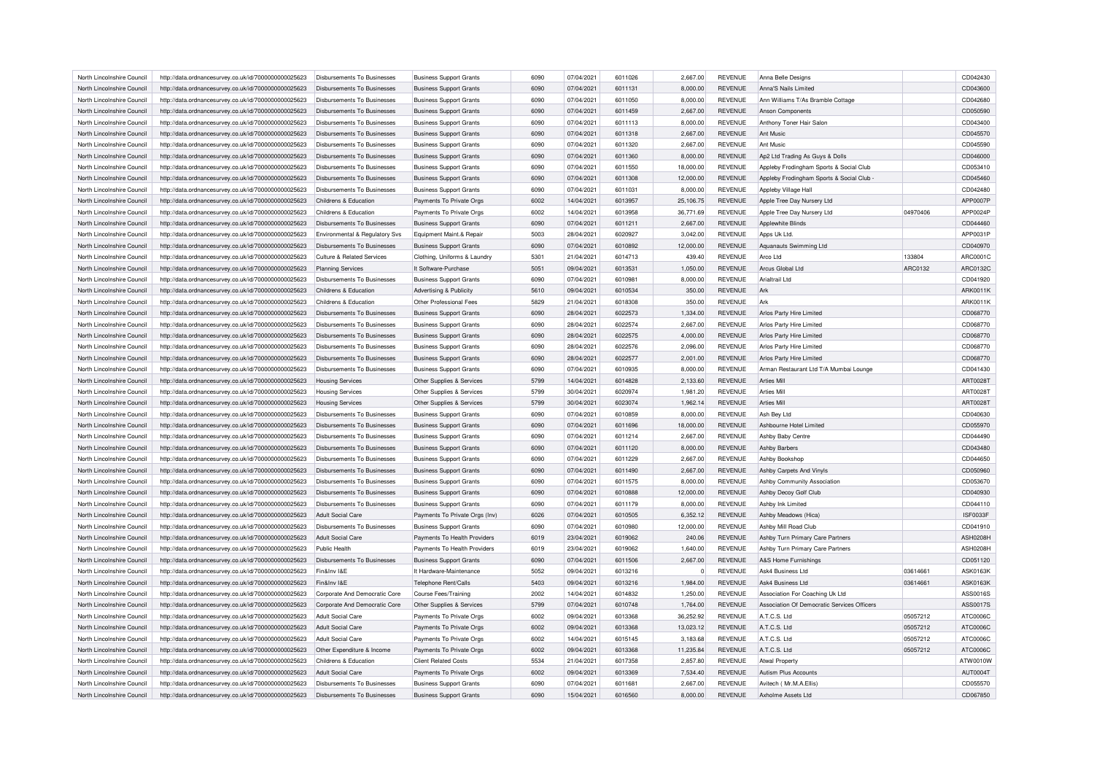| North Lincolnshire Council                               | http://data.ordnancesurvey.co.uk/id/7000000000025623 | Disbursements To Businesses        | <b>Business Support Grants</b> | 6090         | 07/04/2021               | 6011026            | 2,667.00     | <b>REVENUE</b>                   | Anna Belle Designs                              |          | CD042430             |
|----------------------------------------------------------|------------------------------------------------------|------------------------------------|--------------------------------|--------------|--------------------------|--------------------|--------------|----------------------------------|-------------------------------------------------|----------|----------------------|
| North Lincolnshire Council                               | http://data.ordnancesurvey.co.uk/id/7000000000025623 | Disbursements To Businesses        | <b>Business Support Grants</b> | 6090         | 07/04/2021               | 6011131            | 8,000.00     | <b>REVENUE</b>                   | Anna'S Nails Limited                            |          | CD043600             |
| North Lincolnshire Council                               | http://data.ordnancesurvey.co.uk/id/7000000000025623 | Disbursements To Businesses        | <b>Business Support Grants</b> | 6090         | 07/04/2021               | 6011050            | 8,000.00     | <b>REVENUE</b>                   | Ann Williams T/As Bramble Cottage               |          | CD042680             |
| North Lincolnshire Council                               | http://data.ordnancesurvey.co.uk/id/7000000000025623 | Disbursements To Businesses        | <b>Business Support Grants</b> | 6090         | 07/04/2021               | 6011459            | 2,667.00     | <b>REVENUE</b>                   | <b>Anson Components</b>                         |          | CD050590             |
| North Lincolnshire Council                               | http://data.ordnancesurvey.co.uk/id/7000000000025623 | Disbursements To Businesses        | <b>Business Support Grants</b> | 6090         | 07/04/2021               | 6011113            | 8,000.00     | <b>REVENUE</b>                   | Anthony Toner Hair Salon                        |          | CD043400             |
| North Lincolnshire Council                               | http://data.ordnancesurvey.co.uk/id/7000000000025623 | Disbursements To Businesses        | <b>Business Support Grants</b> | 6090         | 07/04/2021               | 6011318            | 2,667.00     | <b>REVENUE</b>                   | Ant Music                                       |          | CD045570             |
| North Lincolnshire Council                               | http://data.ordnancesurvey.co.uk/id/7000000000025623 | Disbursements To Businesses        | <b>Business Support Grants</b> | 6090         | 07/04/2021               | 6011320            | 2,667.00     | <b>REVENUE</b>                   | Ant Music                                       |          | CD045590             |
| North Lincolnshire Council                               | http://data.ordnancesurvey.co.uk/id/7000000000025623 | Disbursements To Businesses        | <b>Business Support Grants</b> | 6090         | 07/04/2021               | 6011360            | 8,000.00     | <b>REVENUE</b>                   | Ap2 Ltd Trading As Guys & Dolls                 |          | CD046000             |
| North Lincolnshire Council                               | http://data.ordnancesurvey.co.uk/id/7000000000025623 | Disbursements To Businesses        | <b>Business Support Grants</b> | 6090         | 07/04/2021               | 6011550            | 18,000.00    | <b>REVENUE</b>                   | Appleby Frodingham Sports & Social Club         |          | CD053410             |
| North Lincolnshire Council                               | http://data.ordnancesurvey.co.uk/id/7000000000025623 | Disbursements To Businesses        | <b>Business Support Grants</b> | 6090         | 07/04/2021               | 6011308            | 12,000.00    | <b>REVENUE</b>                   | Appleby Frodingham Sports & Social Club         |          | CD045460             |
| North Lincolnshire Council                               | http://data.ordnancesurvey.co.uk/id/7000000000025623 | Disbursements To Businesses        | <b>Business Support Grants</b> | 6090         | 07/04/2021               | 6011031            | 8,000.00     | <b>REVENUE</b>                   | Appleby Village Hall                            |          | CD042480             |
| North Lincolnshire Council                               |                                                      | Childrens & Education              | Payments To Private Orgs       | 6002         | 14/04/2021               | 6013957            | 25,106.75    | <b>REVENUE</b>                   | Apple Tree Day Nursery Ltd                      |          | APP0007P             |
|                                                          | http://data.ordnancesurvey.co.uk/id/7000000000025623 |                                    |                                |              |                          |                    |              |                                  |                                                 |          |                      |
| North Lincolnshire Council<br>North Lincolnshire Council | http://data.ordnancesurvey.co.uk/id/7000000000025623 | Childrens & Education              | Payments To Private Orgs       | 6002<br>6090 | 14/04/2021<br>07/04/2021 | 6013958<br>6011211 | 36,771.69    | <b>REVENUE</b><br><b>REVENUE</b> | Apple Tree Day Nursery Ltd<br>Applewhite Blinds | 04970406 | APP0024F<br>CD044460 |
|                                                          | http://data.ordnancesurvey.co.uk/id/7000000000025623 | Disbursements To Businesses        | <b>Business Support Grants</b> |              |                          |                    | 2,667.00     |                                  |                                                 |          |                      |
| North Lincolnshire Council                               | http://data.ordnancesurvey.co.uk/id/7000000000025623 | Environmental & Regulatory Svs     | Equipment Maint.& Repair       | 5003         | 28/04/2021               | 6020927            | 3,042.00     | <b>REVENUE</b>                   | Apps Uk Ltd                                     |          | APP0031P             |
| North Lincolnshire Council                               | http://data.ordnancesurvey.co.uk/id/7000000000025623 | <b>Disbursements To Businesses</b> | <b>Business Support Grants</b> | 6090         | 07/04/2021               | 6010892            | 12,000.00    | <b>REVENUE</b>                   | Aquanauts Swimming Ltd                          |          | CD040970             |
| North Lincolnshire Council                               | http://data.ordnancesurvey.co.uk/id/7000000000025623 | Culture & Related Services         | Clothing, Uniforms & Laundry   | 5301         | 21/04/2021               | 6014713            | 439.40       | <b>REVENUE</b>                   | Arco I td                                       | 133804   | ARC0001C             |
| North Lincolnshire Council                               | http://data.ordnancesurvey.co.uk/id/7000000000025623 | <b>Planning Services</b>           | It Software-Purchase           | 5051         | 09/04/2021               | 6013531            | 1,050.00     | <b>REVENUE</b>                   | Arcus Global Ltd                                | ARC0132  | ARC0132C             |
| North Lincolnshire Council                               | http://data.ordnancesurvey.co.uk/id/7000000000025623 | Disbursements To Businesses        | <b>Business Support Grants</b> | 6090         | 07/04/2021               | 6010981            | 8,000.00     | <b>REVENUE</b>                   | Arialtrail I td                                 |          | CD041920             |
| North Lincolnshire Council                               | http://data.ordnancesurvey.co.uk/id/7000000000025623 | Childrens & Education              | Advertising & Publicity        | 5610         | 09/04/2021               | 6010534            | 350.00       | <b>REVENUE</b>                   | Ark                                             |          | ARK0011K             |
| North Lincolnshire Council                               | http://data.ordnancesurvey.co.uk/id/7000000000025623 | Childrens & Education              | Other Professional Fees        | 5829         | 21/04/2021               | 6018308            | 350.00       | <b>REVENUE</b>                   | Ark                                             |          | ARK0011K             |
| North Lincolnshire Council                               | http://data.ordnancesurvey.co.uk/id/7000000000025623 | <b>Disbursements To Businesses</b> | <b>Business Support Grants</b> | 6090         | 28/04/2021               | 6022573            | 1,334.00     | <b>REVENUE</b>                   | Arlos Party Hire Limited                        |          | CD068770             |
| North Lincolnshire Council                               | http://data.ordnancesurvey.co.uk/id/7000000000025623 | Disbursements To Businesses        | <b>Business Support Grants</b> | 6090         | 28/04/2021               | 6022574            | 2,667.00     | <b>REVENUE</b>                   | Arlos Party Hire Limited                        |          | CD068770             |
| North Lincolnshire Council                               | http://data.ordnancesurvey.co.uk/id/7000000000025623 | Disbursements To Businesses        | <b>Business Support Grants</b> | 6090         | 28/04/2021               | 6022575            | 4,000.00     | <b>REVENUE</b>                   | Arlos Party Hire Limited                        |          | CD068770             |
| North Lincolnshire Council                               | http://data.ordnancesurvey.co.uk/id/7000000000025623 | Disbursements To Businesses        | <b>Business Support Grants</b> | 6090         | 28/04/2021               | 6022576            | 2,096.00     | <b>REVENUE</b>                   | Arlos Party Hire Limited                        |          | CD068770             |
| North Lincolnshire Council                               | http://data.ordnancesurvey.co.uk/id/7000000000025623 | <b>Disbursements To Businesses</b> | <b>Business Support Grants</b> | 6090         | 28/04/2021               | 6022577            | 2,001.00     | <b>REVENUE</b>                   | Arlos Party Hire Limited                        |          | CD068770             |
| North Lincolnshire Council                               | http://data.ordnancesurvey.co.uk/id/7000000000025623 | Disbursements To Businesses        | <b>Business Support Grants</b> | 6090         | 07/04/2021               | 6010935            | 8,000.00     | <b>REVENUE</b>                   | Arman Restaurant Ltd T/A Mumbai Lounge          |          | CD041430             |
| North Lincolnshire Council                               | http://data.ordnancesurvey.co.uk/id/7000000000025623 | <b>Housing Services</b>            | Other Supplies & Services      | 5799         | 14/04/2021               | 6014828            | 2,133.60     | <b>REVENUE</b>                   | <b>Arties Mill</b>                              |          | ART0028T             |
| North Lincolnshire Council                               | http://data.ordnancesurvey.co.uk/id/7000000000025623 | <b>Housing Services</b>            | Other Supplies & Services      | 5799         | 30/04/2021               | 6020974            | 1,981.20     | <b>REVENUE</b>                   | <b>Arties Mill</b>                              |          | ART0028T             |
| North Lincolnshire Council                               | http://data.ordnancesurvey.co.uk/id/7000000000025623 | <b>Housing Services</b>            | Other Supplies & Services      | 5799         | 30/04/2021               | 6023074            | 1,962.14     | <b>REVENUE</b>                   | Arties Mill                                     |          | ART0028T             |
| North Lincolnshire Council                               | http://data.ordnancesurvey.co.uk/id/7000000000025623 | Disbursements To Businesses        | <b>Business Support Grants</b> | 6090         | 07/04/2021               | 6010859            | 8,000.00     | <b>REVENUE</b>                   | Ash Bey Ltd                                     |          | CD040630             |
| North Lincolnshire Council                               | http://data.ordnancesurvey.co.uk/id/7000000000025623 | Disbursements To Businesses        | <b>Business Support Grants</b> | 6090         | 07/04/2021               | 6011696            | 18,000.00    | <b>REVENUE</b>                   | Ashbourne Hotel Limited                         |          | CD055970             |
| North Lincolnshire Council                               |                                                      | Disbursements To Businesses        |                                | 6090         | 07/04/2021               | 6011214            |              | REVENUE                          |                                                 |          | CD044490             |
|                                                          | http://data.ordnancesurvey.co.uk/id/7000000000025623 | Disbursements To Businesses        | <b>Business Support Grants</b> |              |                          |                    | 2,667.00     |                                  | Ashby Baby Centre                               |          |                      |
| North Lincolnshire Council                               | http://data.ordnancesurvey.co.uk/id/7000000000025623 |                                    | <b>Business Support Grants</b> | 6090         | 07/04/2021               | 6011120            | 8,000.00     | <b>REVENUE</b>                   | <b>Ashby Barbers</b>                            |          | CD043480             |
| North Lincolnshire Council                               | http://data.ordnancesurvey.co.uk/id/7000000000025623 | Disbursements To Businesses        | <b>Business Support Grants</b> | 6090         | 07/04/2021               | 6011229            | 2,667.00     | <b>REVENUE</b>                   | Ashby Bookshop                                  |          | CD044650             |
| North Lincolnshire Council                               | http://data.ordnancesurvey.co.uk/id/7000000000025623 | Disbursements To Businesses        | <b>Business Support Grants</b> | 6090         | 07/04/2021               | 6011490            | 2,667.00     | REVENUE                          | Ashby Carpets And Vinyls                        |          | CD050960             |
| North Lincolnshire Council                               | http://data.ordnancesurvey.co.uk/id/7000000000025623 | Disbursements To Businesses        | <b>Business Support Grants</b> | 6090         | 07/04/2021               | 6011575            | 8,000.00     | REVENUE                          | Ashby Community Association                     |          | CD053670             |
| North Lincolnshire Council                               | http://data.ordnancesurvey.co.uk/id/7000000000025623 | Disbursements To Businesses        | <b>Business Support Grants</b> | 6090         | 07/04/2021               | 6010888            | 12,000.00    | <b>REVENUE</b>                   | Ashby Decoy Golf Club                           |          | CD040930             |
| North Lincolnshire Council                               | http://data.ordnancesurvey.co.uk/id/7000000000025623 | Disbursements To Businesses        | <b>Business Support Grants</b> | 6090         | 07/04/2021               | 6011179            | 8,000.00     | <b>REVENUE</b>                   | Ashby Ink Limited                               |          | CD044110             |
| North Lincolnshire Council                               | http://data.ordnancesurvey.co.uk/id/7000000000025623 | <b>Adult Social Care</b>           | Payments To Private Orgs (Inv) | 6026         | 07/04/2021               | 6010505            | 6,352.12     | <b>REVENUE</b>                   | Ashby Meadows (Hica)                            |          | ISF0033F             |
| North Lincolnshire Council                               | http://data.ordnancesurvey.co.uk/id/7000000000025623 | Disbursements To Businesses        | <b>Business Support Grants</b> | 6090         | 07/04/2021               | 6010980            | 12,000.00    | <b>REVENUE</b>                   | Ashby Mill Road Club                            |          | CD041910             |
| North Lincolnshire Council                               | http://data.ordnancesurvey.co.uk/id/7000000000025623 | Adult Social Care                  | Payments To Health Providers   | 6019         | 23/04/2021               | 6019062            | 240.06       | <b>REVENUE</b>                   | Ashby Turn Primary Care Partners                |          | <b>ASH0208H</b>      |
| North Lincolnshire Council                               | http://data.ordnancesurvey.co.uk/id/7000000000025623 | Public Health                      | Payments To Health Providers   | 6019         | 23/04/2021               | 6019062            | 1,640.00     | REVENUE                          | Ashby Turn Primary Care Partners                |          | <b>ASH0208H</b>      |
| North Lincolnshire Council                               | http://data.ordnancesurvey.co.uk/id/7000000000025623 | Disbursements To Businesses        | <b>Business Support Grants</b> | 6090         | 07/04/2021               | 6011506            | 2,667.00     | <b>REVENUE</b>                   | A&S Home Furnishings                            |          | CD051120             |
| North Lincolnshire Council                               | http://data.ordnancesurvey.co.uk/id/7000000000025623 | Fin&Inv I&E                        | It Hardware-Maintenance        | 5052         | 09/04/2021               | 6013216            | $\mathbf{0}$ | <b>REVENUE</b>                   | Ask4 Business Ltd                               | 03614661 | <b>ASK0163K</b>      |
| North Lincolnshire Council                               | http://data.ordnancesurvey.co.uk/id/7000000000025623 | Fin&Inv I&F                        | Telephone Rent/Calls           | 5403         | 09/04/2021               | 6013216            | 1,984.00     | <b>REVENUE</b>                   | Ask4 Business Ltd                               | 03614661 | <b>ASK0163K</b>      |
| North Lincolnshire Council                               | http://data.ordnancesurvey.co.uk/id/7000000000025623 | Corporate And Democratic Core      | Course Fees/Training           | 2002         | 14/04/2021               | 6014832            | 1,250.00     | <b>REVENUE</b>                   | Association For Coaching Uk Ltd                 |          | ASS0016S             |
| North Lincolnshire Council                               | http://data.ordnancesurvey.co.uk/id/7000000000025623 | Corporate And Democratic Core      | Other Supplies & Services      | 5799         | 07/04/2021               | 6010748            | 1,764.00     | REVENUE                          | Association Of Democratic Services Officers     |          | ASS0017S             |
| North Lincolnshire Council                               | http://data.ordnancesurvey.co.uk/id/7000000000025623 | <b>Adult Social Care</b>           | Payments To Private Orgs       | 6002         | 09/04/2021               | 6013368            | 36,252.92    | <b>REVENUE</b>                   | A.T.C.S. Ltd                                    | 05057212 | ATC0006C             |
| North Lincolnshire Council                               | http://data.ordnancesurvey.co.uk/id/7000000000025623 | Adult Social Care                  | Payments To Private Orgs       | 6002         | 09/04/2021               | 6013368            | 13,023.12    | <b>REVENUE</b>                   | A.T.C.S. Ltd                                    | 05057212 | ATC0006C             |
| North Lincolnshire Council                               | http://data.ordnancesurvey.co.uk/id/7000000000025623 | Adult Social Care                  | Payments To Private Orgs       | 6002         | 14/04/2021               | 6015145            | 3,183.68     | <b>REVENUE</b>                   | A.T.C.S. Ltd                                    | 05057212 | ATC0006C             |
| North Lincolnshire Council                               | http://data.ordnancesurvey.co.uk/id/7000000000025623 | Other Expenditure & Income         | Payments To Private Orgs       | 6002         | 09/04/2021               | 6013368            | 11,235.84    | <b>REVENUE</b>                   | A.T.C.S. Ltd                                    | 05057212 | ATC0006C             |
| North Lincolnshire Council                               | http://data.ordnancesurvey.co.uk/id/7000000000025623 | Childrens & Education              | <b>Client Related Costs</b>    | 5534         | 21/04/2021               | 6017358            | 2,857.80     | <b>REVENUE</b>                   | <b>Atwal Property</b>                           |          | ATW0010W             |
| North Lincolnshire Council                               | http://data.ordnancesurvey.co.uk/id/7000000000025623 | Adult Social Care                  | Payments To Private Orgs       | 6002         | 09/04/2021               | 6013369            | 7,534.40     | <b>REVENUE</b>                   | <b>Autism Plus Accounts</b>                     |          | AUT0004T             |
| North Lincolnshire Council                               | http://data.ordnancesurvey.co.uk/id/7000000000025623 | Disbursements To Businesses        | <b>Business Support Grants</b> | 6090         | 07/04/2021               | 6011681            | 2.667.00     | <b>REVENUE</b>                   | Avitech (Mr.M.A.Ellis)                          |          | CD055570             |
| North Lincolnshire Council                               | http://data.ordnancesurvey.co.uk/id/7000000000025623 | Disbursements To Businesses        |                                | 6090         | 15/04/2021               | 6016560            | 8.000.00     | <b>REVENUE</b>                   | Axholme Assets Ltd                              |          | CD067850             |
|                                                          |                                                      |                                    | <b>Business Support Grants</b> |              |                          |                    |              |                                  |                                                 |          |                      |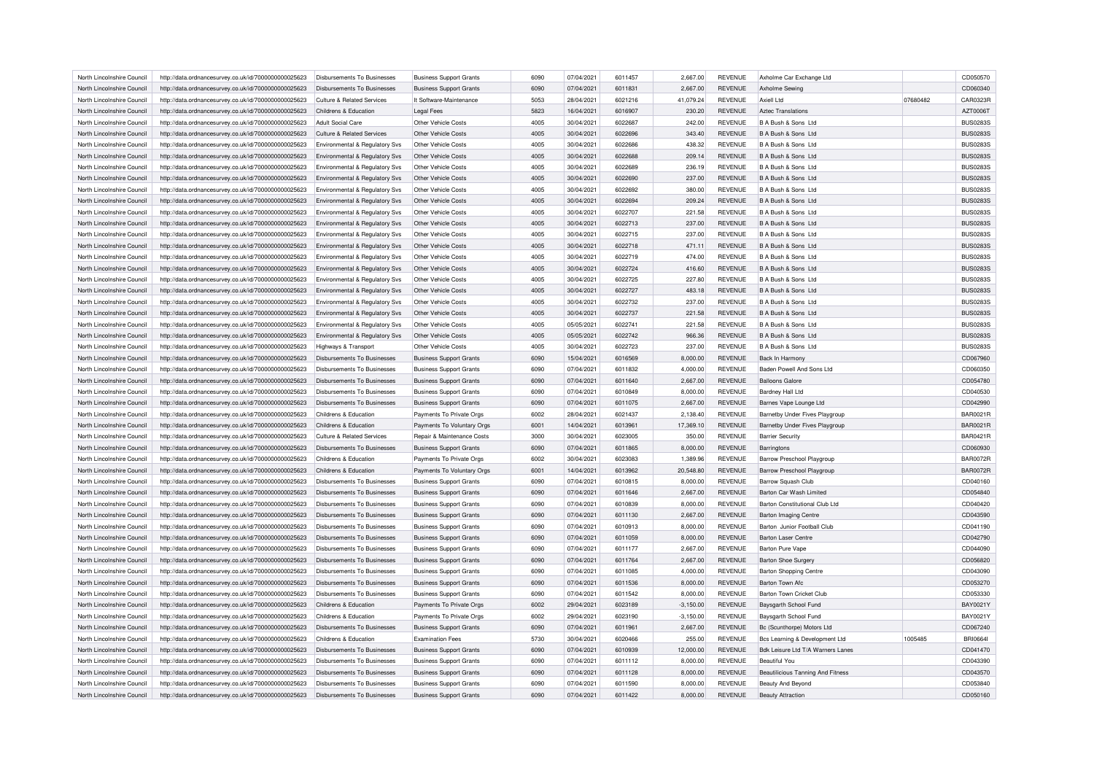| North Lincolnshire Council                               | http://data.ordnancesurvey.co.uk/id/7000000000025623 | Disbursements To Businesses                                | <b>Business Support Grants</b> | 6090 | 07/04/2021 | 6011457 | 2,667.00    | REVENUE        | Axholme Car Exchange Ltd                 |          | CD050570        |
|----------------------------------------------------------|------------------------------------------------------|------------------------------------------------------------|--------------------------------|------|------------|---------|-------------|----------------|------------------------------------------|----------|-----------------|
| North Lincolnshire Council                               | http://data.ordnancesurvey.co.uk/id/7000000000025623 | Disbursements To Businesses                                | <b>Business Support Grants</b> | 6090 | 07/04/2021 | 6011831 | 2,667.00    | <b>REVENUE</b> | Axholme Sewing                           |          | CD060340        |
| North Lincolnshire Council                               | http://data.ordnancesurvey.co.uk/id/7000000000025623 | Culture & Related Services                                 | It Software-Maintenance        | 5053 | 28/04/2021 | 6021216 | 41.079.24   | <b>REVENUE</b> | Axiell Ltd                               | 07680482 | CAR0323F        |
| North Lincolnshire Council                               | http://data.ordnancesurvey.co.uk/id/7000000000025623 | Childrens & Education                                      | <b>Legal Fees</b>              | 5823 | 16/04/2021 | 6016907 | 230.20      | <b>REVENUE</b> | <b>Aztec Translations</b>                |          | AZT0006T        |
| North Lincolnshire Council                               | http://data.ordnancesurvey.co.uk/id/7000000000025623 | Adult Social Care                                          | Other Vehicle Costs            | 4005 | 30/04/2021 | 6022687 | 242.00      | <b>REVENUE</b> | B A Bush & Sons Ltd                      |          | <b>BUS0283S</b> |
| North Lincolnshire Council                               | http://data.ordnancesurvey.co.uk/id/7000000000025623 | Culture & Related Services                                 | Other Vehicle Costs            | 4005 | 30/04/2021 | 6022696 | 343.40      | <b>REVENUE</b> | B A Bush & Sons Ltd                      |          | <b>BUS0283S</b> |
| North Lincolnshire Council                               | http://data.ordnancesurvey.co.uk/id/7000000000025623 | Environmental & Regulatory Svs                             | Other Vehicle Costs            | 4005 | 30/04/2021 | 6022686 | 438.32      | <b>REVENUE</b> | B A Bush & Sons Ltd                      |          | <b>BUS0283S</b> |
| North Lincolnshire Council                               | http://data.ordnancesurvey.co.uk/id/7000000000025623 | Environmental & Regulatory Svs                             | Other Vehicle Costs            | 4005 | 30/04/2021 | 6022688 | 209.14      | <b>REVENUE</b> | B A Bush & Sons Ltd                      |          | <b>BUS0283S</b> |
| North Lincolnshire Council                               | http://data.ordnancesurvey.co.uk/id/7000000000025623 | Environmental & Regulatory Svs                             | Other Vehicle Costs            | 4005 | 30/04/2021 | 6022689 | 236.19      | <b>REVENUE</b> | B A Bush & Sons Ltd                      |          | <b>BUS0283S</b> |
| North Lincolnshire Council                               | http://data.ordnancesurvey.co.uk/id/7000000000025623 | Environmental & Regulatory Svs                             | Other Vehicle Costs            | 4005 | 30/04/2021 | 6022690 | 237.00      | <b>REVENUE</b> | B A Bush & Sons Ltd                      |          | <b>BUS0283S</b> |
| North Lincolnshire Council                               | http://data.ordnancesurvey.co.uk/id/7000000000025623 | Environmental & Regulatory Svs                             | Other Vehicle Costs            | 4005 | 30/04/2021 | 6022692 | 380.00      | <b>REVENUE</b> | B A Bush & Sons Ltd                      |          | <b>BUS0283S</b> |
| North Lincolnshire Council                               | http://data.ordnancesurvey.co.uk/id/7000000000025623 | Environmental & Regulatory Svs                             | Other Vehicle Costs            | 4005 | 30/04/2021 | 6022694 | 209.24      | <b>REVENUE</b> | B A Bush & Sons Ltd                      |          | <b>BUS0283S</b> |
| North Lincolnshire Council                               |                                                      |                                                            | Other Vehicle Costs            | 4005 | 30/04/2021 | 6022707 |             | <b>REVENUE</b> | B A Bush & Sons Ltd                      |          | <b>BUS0283S</b> |
|                                                          | http://data.ordnancesurvey.co.uk/id/7000000000025623 | Environmental & Regulatory Svs                             |                                |      |            |         | 221.58      |                |                                          |          |                 |
| North Lincolnshire Council                               | http://data.ordnancesurvey.co.uk/id/7000000000025623 | Environmental & Regulatory Svs                             | Other Vehicle Costs            | 4005 | 30/04/2021 | 6022713 | 237.00      | <b>REVENUE</b> | B A Bush & Sons Ltd                      |          | <b>BUS0283S</b> |
| North Lincolnshire Council                               | http://data.ordnancesurvey.co.uk/id/7000000000025623 | Environmental & Regulatory Svs                             | Other Vehicle Costs            | 4005 | 30/04/2021 | 6022715 | 237.00      | <b>REVENUE</b> | B A Bush & Sons Ltd                      |          | <b>BUS0283S</b> |
| North Lincolnshire Council                               | http://data.ordnancesurvey.co.uk/id/7000000000025623 | Environmental & Regulatory Svs                             | Other Vehicle Costs            | 4005 | 30/04/2021 | 6022718 | 471.11      | <b>REVENUE</b> | B A Bush & Sons Ltd                      |          | <b>BUS0283S</b> |
| North Lincolnshire Council                               | http://data.ordnancesurvey.co.uk/id/7000000000025623 | Environmental & Regulatory Svs                             | Other Vehicle Costs            | 4005 | 30/04/2021 | 6022719 | 474.00      | <b>REVENUE</b> | B A Bush & Sons Ltd                      |          | <b>BUS0283S</b> |
| North Lincolnshire Council                               | http://data.ordnancesurvey.co.uk/id/7000000000025623 | Environmental & Regulatory Svs                             | Other Vehicle Costs            | 4005 | 30/04/2021 | 6022724 | 416.60      | <b>REVENUE</b> | B A Bush & Sons Ltd                      |          | <b>BUS0283S</b> |
| North Lincolnshire Council                               | http://data.ordnancesurvey.co.uk/id/7000000000025623 | Environmental & Regulatory Svs                             | Other Vehicle Costs            | 4005 | 30/04/2021 | 6022725 | 227.80      | <b>REVENUE</b> | B A Bush & Sons Ltd                      |          | <b>BUS0283S</b> |
| North Lincolnshire Council                               | http://data.ordnancesurvey.co.uk/id/7000000000025623 | Environmental & Regulatory Svs                             | Other Vehicle Costs            | 4005 | 30/04/2021 | 6022727 | 483.18      | <b>REVENUE</b> | B A Bush & Sons Ltd                      |          | <b>BUS0283S</b> |
| North Lincolnshire Council                               | http://data.ordnancesurvey.co.uk/id/7000000000025623 | Environmental & Regulatory Svs                             | Other Vehicle Costs            | 4005 | 30/04/2021 | 6022732 | 237.00      | <b>REVENUE</b> | B A Bush & Sons Ltd                      |          | <b>BUS0283S</b> |
| North Lincolnshire Council                               | http://data.ordnancesurvey.co.uk/id/7000000000025623 | Environmental & Regulatory Svs                             | Other Vehicle Costs            | 4005 | 30/04/2021 | 6022737 | 221.58      | <b>REVENUE</b> | B A Bush & Sons Ltd                      |          | <b>BUS0283S</b> |
| North Lincolnshire Council                               | http://data.ordnancesurvey.co.uk/id/7000000000025623 | Environmental & Regulatory Svs                             | Other Vehicle Costs            | 4005 | 05/05/2021 | 6022741 | 221.58      | <b>REVENUE</b> | B A Bush & Sons Ltd                      |          | <b>BUS0283S</b> |
| North Lincolnshire Council                               | http://data.ordnancesurvey.co.uk/id/7000000000025623 | Environmental & Regulatory Svs                             | Other Vehicle Costs            | 4005 | 05/05/2021 | 6022742 | 966.36      | <b>REVENUE</b> | B A Bush & Sons Ltd                      |          | <b>BUS0283S</b> |
| North Lincolnshire Council                               | http://data.ordnancesurvey.co.uk/id/7000000000025623 | <b>Highways &amp; Transport</b>                            | Other Vehicle Costs            | 4005 | 30/04/2021 | 6022723 | 237.00      | <b>REVENUE</b> | B A Bush & Sons Ltd                      |          | <b>BUS0283S</b> |
| North Lincolnshire Council                               | http://data.ordnancesurvey.co.uk/id/7000000000025623 | <b>Disbursements To Businesses</b>                         | <b>Business Support Grants</b> | 6090 | 15/04/2021 | 6016569 | 8,000.00    | <b>REVENUE</b> | Back In Harmony                          |          | CD067960        |
| North Lincolnshire Council                               | http://data.ordnancesurvey.co.uk/id/7000000000025623 | Disbursements To Businesses                                | <b>Business Support Grants</b> | 6090 | 07/04/2021 | 6011832 | 4,000.00    | <b>REVENUE</b> | Baden Powell And Sons Ltd                |          | CD060350        |
| North Lincolnshire Council                               | http://data.ordnancesurvey.co.uk/id/7000000000025623 | <b>Disbursements To Businesses</b>                         | <b>Business Support Grants</b> | 6090 | 07/04/2021 | 6011640 | 2,667.00    | <b>REVENUE</b> | <b>Balloons Galore</b>                   |          | CD054780        |
| North Lincolnshire Council                               | http://data.ordnancesurvey.co.uk/id/7000000000025623 | <b>Disbursements To Businesses</b>                         | <b>Business Support Grants</b> | 6090 | 07/04/2021 | 6010849 | 8,000.00    | <b>REVENUE</b> | Bardney Hall Ltd                         |          | CD040530        |
| North Lincolnshire Council                               | http://data.ordnancesurvey.co.uk/id/7000000000025623 | <b>Disbursements To Businesses</b>                         | <b>Business Support Grants</b> | 6090 | 07/04/2021 | 6011075 | 2,667.00    | <b>REVENUE</b> | Barnes Vape Lounge Ltd                   |          | CD042990        |
| North Lincolnshire Council                               | http://data.ordnancesurvey.co.uk/id/7000000000025623 | Childrens & Education                                      | Payments To Private Orgs       | 6002 | 28/04/2021 | 6021437 | 2,138.40    | <b>REVENUE</b> | Barnetby Under Fives Playgroup           |          | <b>BAR0021R</b> |
| North Lincolnshire Council                               | http://data.ordnancesurvey.co.uk/id/7000000000025623 | Childrens & Education                                      | Payments To Voluntary Orgs     | 6001 | 14/04/2021 | 6013961 | 17,369.10   | <b>REVENUE</b> | Barnetby Under Fives Playgroup           |          | <b>BAR0021R</b> |
| North Lincolnshire Council                               | http://data.ordnancesurvey.co.uk/id/7000000000025623 | Culture & Related Services                                 | Repair & Maintenance Costs     | 3000 | 30/04/2021 | 6023005 | 350.00      | <b>REVENUE</b> | <b>Barrier Security</b>                  |          | <b>BAR0421R</b> |
| North Lincolnshire Council                               | http://data.ordnancesurvey.co.uk/id/7000000000025623 | <b>Disbursements To Businesses</b>                         | <b>Business Support Grants</b> | 6090 | 07/04/2021 | 6011865 | 8,000.00    | <b>REVENUE</b> | Barringtons                              |          | CD060930        |
| North Lincolnshire Council                               | http://data.ordnancesurvey.co.uk/id/7000000000025623 | Childrens & Education                                      | Payments To Private Orgs       | 6002 | 30/04/2021 | 6023083 | 1,389.96    | <b>REVENUE</b> | Barrow Preschool Playgroup               |          | <b>BAR0072R</b> |
| North Lincolnshire Council                               | http://data.ordnancesurvey.co.uk/id/7000000000025623 | Childrens & Education                                      | Payments To Voluntary Orgs     | 6001 | 14/04/2021 | 6013962 | 20,548.80   | <b>REVENUE</b> | Barrow Preschool Playgroup               |          | <b>BAR0072R</b> |
| North Lincolnshire Council                               | http://data.ordnancesurvey.co.uk/id/7000000000025623 | <b>Disbursements To Businesses</b>                         | <b>Business Support Grants</b> | 6090 | 07/04/2021 | 6010815 | 8,000.00    | <b>REVENUE</b> | Barrow Squash Club                       |          | CD040160        |
| North Lincolnshire Council                               | http://data.ordnancesurvey.co.uk/id/7000000000025623 | Disbursements To Businesses                                | <b>Business Support Grants</b> | 6090 | 07/04/2021 | 6011646 | 2,667.00    | <b>REVENUE</b> | Barton Car Wash Limited                  |          | CD054840        |
| North Lincolnshire Council                               | http://data.ordnancesurvey.co.uk/id/7000000000025623 | Disbursements To Businesses                                | <b>Business Support Grants</b> | 6090 | 07/04/2021 | 6010839 | 8,000.00    | <b>REVENUE</b> | Barton Constitutional Club Ltd           |          | CD040420        |
| North Lincolnshire Council                               | http://data.ordnancesurvey.co.uk/id/7000000000025623 | <b>Disbursements To Businesses</b>                         | <b>Business Support Grants</b> | 6090 | 07/04/2021 | 6011130 | 2,667.00    | <b>REVENUE</b> | <b>Barton Imaging Centre</b>             |          | CD043590        |
| North Lincolnshire Council                               | http://data.ordnancesurvey.co.uk/id/7000000000025623 | <b>Disbursements To Businesses</b>                         | <b>Business Support Grants</b> | 6090 | 07/04/2021 | 6010913 | 8,000.00    | <b>REVENUE</b> | Barton Junior Football Club              |          | CD041190        |
| North Lincolnshire Council                               | http://data.ordnancesurvey.co.uk/id/7000000000025623 | Disbursements To Businesses                                | <b>Business Support Grants</b> | 6090 | 07/04/2021 | 6011059 | 8,000.00    | <b>REVENUE</b> | <b>Barton Laser Centre</b>               |          | CD042790        |
|                                                          |                                                      |                                                            |                                | 6090 | 07/04/2021 | 6011177 |             | <b>REVENUE</b> |                                          |          | CD044090        |
| North Lincolnshire Council<br>North Lincolnshire Council | http://data.ordnancesurvey.co.uk/id/7000000000025623 | Disbursements To Businesses<br>Disbursements To Businesses | <b>Business Support Grants</b> | 6090 |            | 6011764 | 2,667.00    | <b>REVENUE</b> | <b>Barton Pure Vape</b>                  |          |                 |
|                                                          | http://data.ordnancesurvey.co.uk/id/7000000000025623 |                                                            | <b>Business Support Grants</b> |      | 07/04/2021 |         | 2,667.00    |                | Barton Shoe Surgery                      |          | CD056820        |
| North Lincolnshire Council                               | http://data.ordnancesurvey.co.uk/id/7000000000025623 | Disbursements To Businesses                                | <b>Business Support Grants</b> | 6090 | 07/04/2021 | 6011085 | 4,000.00    | REVENUE        | <b>Barton Shopping Centre</b>            |          | CD043090        |
| North Lincolnshire Council                               | http://data.ordnancesurvey.co.uk/id/7000000000025623 | Disbursements To Businesses                                | <b>Business Support Grants</b> | 6090 | 07/04/2021 | 6011536 | 8,000.00    | <b>REVENUE</b> | <b>Barton Town Afc</b>                   |          | CD053270        |
| North Lincolnshire Council                               | http://data.ordnancesurvey.co.uk/id/7000000000025623 | Disbursements To Businesses                                | <b>Business Support Grants</b> | 6090 | 07/04/2021 | 6011542 | 8,000.00    | <b>REVENUE</b> | Barton Town Cricket Club                 |          | CD053330        |
| North Lincolnshire Council                               | http://data.ordnancesurvey.co.uk/id/7000000000025623 | Childrens & Education                                      | Payments To Private Orgs       | 6002 | 29/04/2021 | 6023189 | $-3,150.00$ | REVENUE        | Baysgarth School Fund                    |          | BAY0021Y        |
| North Lincolnshire Council                               | http://data.ordnancesurvey.co.uk/id/7000000000025623 | Childrens & Education                                      | Payments To Private Orgs       | 6002 | 29/04/2021 | 6023190 | $-3,150.00$ | <b>REVENUE</b> | Baysgarth School Fund                    |          | BAY0021Y        |
| North Lincolnshire Council                               | http://data.ordnancesurvey.co.uk/id/7000000000025623 | Disbursements To Businesses                                | <b>Business Support Grants</b> | 6090 | 07/04/2021 | 6011961 | 2,667.00    | <b>REVENUE</b> | Bc (Scunthorpe) Motors Ltd               |          | CD067240        |
| North Lincolnshire Council                               | http://data.ordnancesurvey.co.uk/id/7000000000025623 | Childrens & Education                                      | <b>Examination Fees</b>        | 5730 | 30/04/2021 | 6020466 | 255.00      | <b>REVENUE</b> | Bcs Learning & Development Ltd           | 1005485  | <b>BRI06641</b> |
| North Lincolnshire Council                               | http://data.ordnancesurvey.co.uk/id/7000000000025623 | Disbursements To Businesses                                | <b>Business Support Grants</b> | 6090 | 07/04/2021 | 6010939 | 12,000.00   | <b>REVENUE</b> | Bdk Leisure Ltd T/A Warners Lanes        |          | CD041470        |
| North Lincolnshire Council                               | http://data.ordnancesurvey.co.uk/id/7000000000025623 | Disbursements To Businesses                                | <b>Business Support Grants</b> | 6090 | 07/04/2021 | 6011112 | 8,000.00    | <b>REVENUE</b> | <b>Beautiful You</b>                     |          | CD043390        |
| North Lincolnshire Council                               | http://data.ordnancesurvey.co.uk/id/7000000000025623 | Disbursements To Businesses                                | <b>Business Support Grants</b> | 6090 | 07/04/2021 | 6011128 | 8,000.00    | <b>REVENUE</b> | <b>Beautilicious Tanning And Fitness</b> |          | CD043570        |
| North Lincolnshire Council                               | http://data.ordnancesurvey.co.uk/id/7000000000025623 | Disbursements To Businesses                                | <b>Business Support Grants</b> | 6090 | 07/04/2021 | 6011590 | 8.000.00    | <b>REVENUE</b> | <b>Beauty And Beyond</b>                 |          | CD053840        |
| North Lincolnshire Council                               | http://data.ordnancesurvey.co.uk/id/7000000000025623 | Disbursements To Businesses                                | <b>Business Support Grants</b> | 6090 | 07/04/2021 | 6011422 | 8.000.00    | <b>REVENUE</b> | <b>Beauty Attraction</b>                 |          | CD050160        |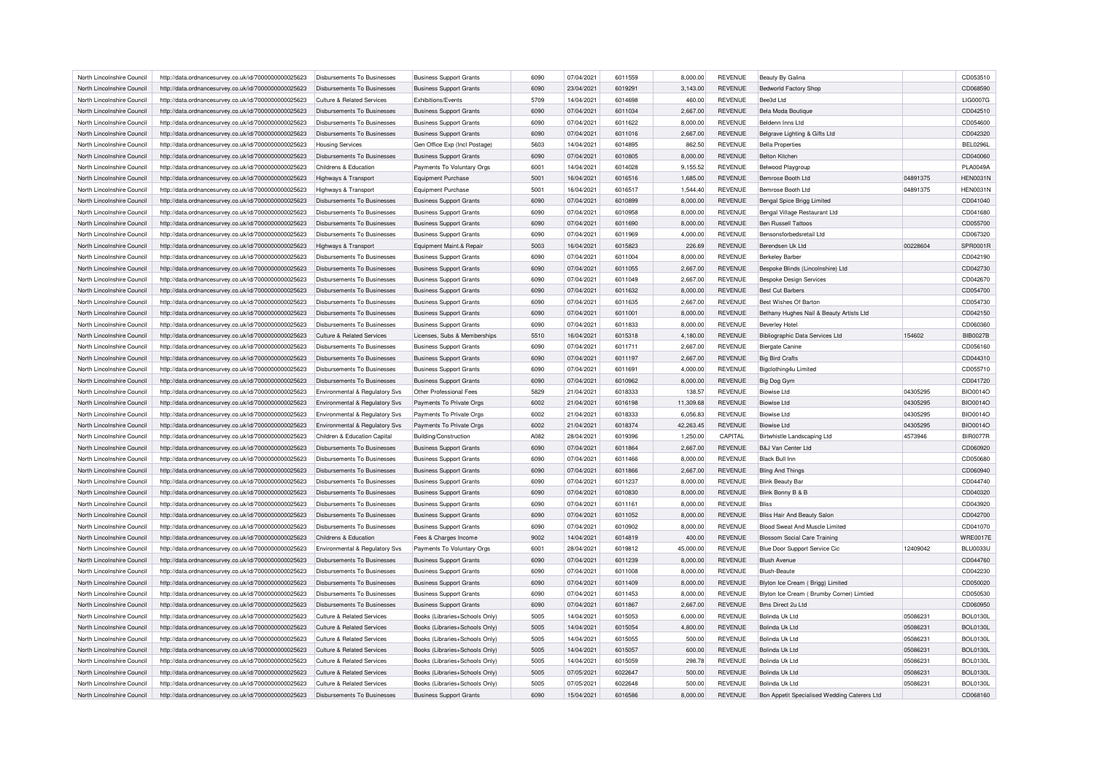| North Lincolnshire Council | http://data.ordnancesurvey.co.uk/id/7000000000025623 | Disbursements To Businesses           | <b>Business Support Grants</b> | 6090 | 07/04/2021 | 6011559 | 8,000.00  | <b>REVENUE</b> | Beauty By Galina                             |          | CD053510        |
|----------------------------|------------------------------------------------------|---------------------------------------|--------------------------------|------|------------|---------|-----------|----------------|----------------------------------------------|----------|-----------------|
| North Lincolnshire Council | http://data.ordnancesurvey.co.uk/id/7000000000025623 | Disbursements To Businesses           | <b>Business Support Grants</b> | 6090 | 23/04/2021 | 6019291 | 3,143.00  | <b>REVENUE</b> | Bedworld Factory Shop                        |          | CD068590        |
| North Lincolnshire Council | http://data.ordnancesurvey.co.uk/id/7000000000025623 | Culture & Related Services            | Exhibitions/Events             | 5709 | 14/04/2021 | 6014698 | 460.00    | <b>REVENUE</b> | Bee3d Ltd                                    |          | LIG0007G        |
| North Lincolnshire Council | http://data.ordnancesurvey.co.uk/id/7000000000025623 | <b>Disbursements To Businesses</b>    | <b>Business Support Grants</b> | 6090 | 07/04/2021 | 6011034 | 2,667.00  | <b>REVENUE</b> | Bela Moda Boutique                           |          | CD042510        |
| North Lincolnshire Council | http://data.ordnancesurvey.co.uk/id/7000000000025623 | Disbursements To Businesses           | <b>Business Support Grants</b> | 6090 | 07/04/2021 | 6011622 | 8,000.00  | <b>REVENUE</b> | Beldenn Inns I td                            |          | CD054600        |
| North Lincolnshire Council | http://data.ordnancesurvey.co.uk/id/7000000000025623 | Disbursements To Businesses           | <b>Business Support Grants</b> | 6090 | 07/04/2021 | 6011016 | 2,667.00  | <b>REVENUE</b> | Belgrave Lighting & Gifts Ltd                |          | CD042320        |
| North Lincolnshire Council | http://data.ordnancesurvey.co.uk/id/7000000000025623 | <b>Housing Services</b>               | Gen Office Exp (Incl Postage)  | 5603 | 14/04/2021 | 6014895 | 862.50    | REVENUE        | <b>Bella Properties</b>                      |          | <b>BEL0296L</b> |
| North Lincolnshire Council | http://data.ordnancesurvey.co.uk/id/7000000000025623 | Disbursements To Businesses           | <b>Business Support Grants</b> | 6090 | 07/04/2021 | 6010805 | 8,000.00  | <b>REVENUE</b> | <b>Belton Kitcher</b>                        |          | CD040060        |
| North Lincolnshire Council | http://data.ordnancesurvey.co.uk/id/7000000000025623 | Childrens & Education                 | Payments To Voluntary Orgs     | 6001 | 14/04/2021 | 6014028 | 9,155.52  | <b>REVENUE</b> | Belwood Playgroup                            |          | <b>PLA0049A</b> |
| North Lincolnshire Council | http://data.ordnancesurvey.co.uk/id/7000000000025623 | Highways & Transport                  | <b>Equipment Purchase</b>      | 5001 | 16/04/2021 | 6016516 | 1,685.00  | <b>REVENUE</b> | Bemrose Booth Ltd                            | 04891375 | HEN0031N        |
| North Lincolnshire Council | http://data.ordnancesurvey.co.uk/id/7000000000025623 | Highways & Transport                  | Foujoment Purchase             | 5001 | 16/04/2021 | 6016517 | 1.544.40  | <b>REVENUE</b> | Bemrose Booth Ltd                            | 04891375 | <b>HEN0031N</b> |
| North Lincolnshire Council | http://data.ordnancesurvey.co.uk/id/7000000000025623 | Disbursements To Businesses           | <b>Business Support Grants</b> | 6090 | 07/04/2021 | 6010899 | 8,000.00  | <b>REVENUE</b> | Bengal Spice Brigg Limited                   |          | CD041040        |
| North Lincolnshire Council | http://data.ordnancesurvey.co.uk/id/7000000000025623 | <b>Disbursements To Businesses</b>    | <b>Business Support Grants</b> | 6090 | 07/04/2021 | 6010958 | 8,000.00  | <b>REVENUE</b> | Bengal Village Restaurant Ltd                |          | CD041680        |
| North Lincolnshire Council | http://data.ordnancesurvey.co.uk/id/7000000000025623 | Disbursements To Businesses           | <b>Business Support Grants</b> | 6090 | 07/04/2021 | 6011690 | 8.000.00  | <b>REVENUE</b> | <b>Ben Russell Tattoos</b>                   |          | CD055700        |
| North Lincolnshire Council | http://data.ordnancesurvey.co.uk/id/7000000000025623 | Disbursements To Businesses           | <b>Business Support Grants</b> | 6090 | 07/04/2021 | 6011969 | 4,000.00  | <b>REVENUE</b> | Bensonsforbedsretail Ltd                     |          | CD067320        |
| North Lincolnshire Council | http://data.ordnancesurvey.co.uk/id/7000000000025623 | Highways & Transport                  | Equipment Maint.& Repair       | 5003 | 16/04/2021 | 6015823 | 226.69    | REVENUE        | Berendsen Uk Ltd                             | 00228604 | <b>SPR0001R</b> |
| North Lincolnshire Council | http://data.ordnancesurvey.co.uk/id/7000000000025623 | Disbursements To Businesses           | <b>Business Support Grants</b> | 6090 | 07/04/2021 | 6011004 | 8,000.00  | <b>REVENUE</b> | <b>Berkeley Barber</b>                       |          | CD042190        |
| North Lincolnshire Council | http://data.ordnancesurvey.co.uk/id/7000000000025623 | <b>Disbursements To Businesses</b>    | <b>Business Support Grants</b> | 6090 | 07/04/2021 | 6011055 | 2,667.00  | <b>REVENUE</b> | Bespoke Blinds (Lincolnshire) Ltd            |          | CD042730        |
|                            |                                                      |                                       |                                |      |            |         |           |                |                                              |          |                 |
| North Lincolnshire Council | http://data.ordnancesurvey.co.uk/id/7000000000025623 | Disbursements To Businesses           | <b>Business Support Grants</b> | 6090 | 07/04/2021 | 6011049 | 2,667.00  | <b>REVENUE</b> | <b>Bespoke Design Services</b>               |          | CD042670        |
| North Lincolnshire Council | http://data.ordnancesurvey.co.uk/id/7000000000025623 | Disbursements To Businesses           | <b>Business Support Grants</b> | 6090 | 07/04/2021 | 6011632 | 8,000.00  | <b>REVENUE</b> | <b>Best Cut Barbers</b>                      |          | CD054700        |
| North Lincolnshire Council | http://data.ordnancesurvey.co.uk/id/7000000000025623 | Disbursements To Businesses           | <b>Business Support Grants</b> | 6090 | 07/04/2021 | 6011635 | 2,667.00  | <b>REVENUE</b> | Best Wishes Of Barton                        |          | CD054730        |
| North Lincolnshire Council | http://data.ordnancesurvey.co.uk/id/7000000000025623 | <b>Disbursements To Businesses</b>    | <b>Business Support Grants</b> | 6090 | 07/04/2021 | 6011001 | 8,000.00  | REVENUE        | Bethany Hughes Nail & Beauty Artists Ltd     |          | CD042150        |
| North Lincolnshire Council | http://data.ordnancesurvey.co.uk/id/7000000000025623 | Disbursements To Businesses           | <b>Business Support Grants</b> | 6090 | 07/04/2021 | 6011833 | 8,000.00  | <b>REVENUE</b> | <b>Beverlev Hotel</b>                        |          | CD060360        |
| North Lincolnshire Council | http://data.ordnancesurvey.co.uk/id/7000000000025623 | Culture & Related Services            | Licenses, Subs & Memberships   | 5510 | 16/04/2021 | 6015318 | 4,180.00  | <b>REVENUE</b> | Bibliographic Data Services Ltd              | 154602   | <b>BIB0027B</b> |
| North Lincolnshire Council | http://data.ordnancesurvey.co.uk/id/7000000000025623 | Disbursements To Businesses           | <b>Business Support Grants</b> | 6090 | 07/04/2021 | 6011711 | 2,667.00  | <b>REVENUE</b> | <b>Biergate Canine</b>                       |          | CD056160        |
| North Lincolnshire Council | http://data.ordnancesurvey.co.uk/id/7000000000025623 | Disbursements To Businesses           | <b>Business Support Grants</b> | 6090 | 07/04/2021 | 6011197 | 2,667.00  | <b>REVENUE</b> | <b>Big Bird Crafts</b>                       |          | CD044310        |
| North Lincolnshire Council | http://data.ordnancesurvey.co.uk/id/7000000000025623 | Disbursements To Businesses           | <b>Business Support Grants</b> | 6090 | 07/04/2021 | 6011691 | 4,000.00  | REVENUE        | Bigclothing4u Limited                        |          | CD055710        |
| North Lincolnshire Council | http://data.ordnancesurvey.co.uk/id/7000000000025623 | <b>Disbursements To Businesses</b>    | <b>Business Support Grants</b> | 6090 | 07/04/2021 | 6010962 | 8,000.00  | REVENUE        | Big Dog Gym                                  |          | CD041720        |
| North Lincolnshire Council | http://data.ordnancesurvey.co.uk/id/7000000000025623 | Environmental & Regulatory Svs        | Other Professional Fees        | 5829 | 21/04/2021 | 6018333 | 138.57    | <b>REVENUE</b> | Biowise I td                                 | 04305295 | <b>BIO0014O</b> |
| North Lincolnshire Council | http://data.ordnancesurvey.co.uk/id/7000000000025623 | Environmental & Regulatory Svs        | Payments To Private Orgs       | 6002 | 21/04/2021 | 6016198 | 11,309.68 | <b>REVENUE</b> | <b>Biowise Ltd</b>                           | 04305295 | <b>BIO0014O</b> |
| North Lincolnshire Council | http://data.ordnancesurvey.co.uk/id/7000000000025623 | Environmental & Regulatory Svs        | Payments To Private Orgs       | 6002 | 21/04/2021 | 6018333 | 6,056.83  | <b>REVENUE</b> | <b>Biowise I to</b>                          | 04305295 | <b>BIO0014O</b> |
| North Lincolnshire Council | http://data.ordnancesurvey.co.uk/id/7000000000025623 | Environmental & Regulatory Svs        | Payments To Private Orgs       | 6002 | 21/04/2021 | 6018374 | 42,263.45 | <b>REVENUE</b> | <b>Biowise Ltd</b>                           | 04305295 | <b>BIO0014O</b> |
| North Lincolnshire Council | http://data.ordnancesurvey.co.uk/id/7000000000025623 | Children & Education Capital          | <b>Building/Construction</b>   | A082 | 28/04/2021 | 6019396 | 1,250.00  | CAPITAL        | Birtwhistle Landscaping Ltd                  | 4573946  | <b>BIR0077R</b> |
| North Lincolnshire Council | http://data.ordnancesurvey.co.uk/id/7000000000025623 | Disbursements To Businesses           | <b>Business Support Grants</b> | 6090 | 07/04/2021 | 6011864 | 2,667.00  | <b>REVENUE</b> | B&J Van Center Ltd                           |          | CD060920        |
| North Lincolnshire Council | http://data.ordnancesurvey.co.uk/id/7000000000025623 | Disbursements To Businesses           | <b>Business Support Grants</b> | 6090 | 07/04/2021 | 6011466 | 8,000.00  | <b>REVENUE</b> | <b>Black Bull Inn</b>                        |          | CD050680        |
| North Lincolnshire Council | http://data.ordnancesurvey.co.uk/id/7000000000025623 | Disbursements To Businesses           | <b>Business Support Grants</b> | 6090 | 07/04/2021 | 6011866 | 2,667.00  | <b>REVENUE</b> | <b>Bling And Things</b>                      |          | CD060940        |
| North Lincolnshire Council | http://data.ordnancesurvey.co.uk/id/7000000000025623 | Disbursements To Businesses           | <b>Business Support Grants</b> | 6090 | 07/04/2021 | 6011237 | 8,000.00  | <b>REVENUE</b> | <b>Blink Beauty Bar</b>                      |          | CD044740        |
| North Lincolnshire Council | http://data.ordnancesurvey.co.uk/id/7000000000025623 | <b>Disbursements To Businesses</b>    | <b>Business Support Grants</b> | 6090 | 07/04/2021 | 6010830 | 8,000.00  | <b>REVENUE</b> | Blink Bonny B & B                            |          | CD040320        |
| North Lincolnshire Council | http://data.ordnancesurvey.co.uk/id/7000000000025623 | Disbursements To Businesses           | <b>Business Support Grants</b> | 6090 | 07/04/2021 | 6011161 | 8,000.00  | <b>REVENUE</b> | <b>Bliss</b>                                 |          | CD043920        |
| North Lincolnshire Council | http://data.ordnancesurvey.co.uk/id/7000000000025623 | <b>Disbursements To Businesses</b>    | <b>Business Support Grants</b> | 6090 | 07/04/2021 | 6011052 | 8,000.00  | <b>REVENUE</b> | Bliss Hair And Beauty Salon                  |          | CD042700        |
| North Lincolnshire Council | http://data.ordnancesurvey.co.uk/id/7000000000025623 | Disbursements To Businesses           | <b>Business Support Grants</b> | 6090 | 07/04/2021 | 6010902 | 8,000.00  | <b>REVENUE</b> | Blood Sweat And Muscle Limited               |          | CD041070        |
| North Lincolnshire Council | http://data.ordnancesurvey.co.uk/id/7000000000025623 | Childrens & Education                 | Fees & Charges Income          | 9002 | 14/04/2021 | 6014819 | 400.00    | REVENUE        | <b>Blossom Social Care Training</b>          |          | <b>WRE0017E</b> |
| North Lincolnshire Council | http://data.ordnancesurvey.co.uk/id/7000000000025623 | Environmental & Regulatory Svs        | Payments To Voluntary Orgs     | 6001 | 28/04/2021 | 6019812 | 45,000.00 | <b>REVENUE</b> | Blue Door Support Service Cic                | 12409042 | <b>BLU0033U</b> |
| North Lincolnshire Council | http://data.ordnancesurvey.co.uk/id/7000000000025623 | Disbursements To Businesses           | <b>Business Support Grants</b> | 6090 | 07/04/2021 | 6011239 | 8,000.00  | <b>REVENUE</b> | <b>Blush Avenue</b>                          |          | CD044760        |
| North Lincolnshire Council | http://data.ordnancesurvey.co.uk/id/7000000000025623 | Disbursements To Businesses           | <b>Business Support Grants</b> | 6090 | 07/04/2021 | 6011008 | 8,000.00  | <b>REVENUE</b> | <b>Blush-Beaute</b>                          |          | CD042230        |
| North Lincolnshire Council | http://data.ordnancesurvey.co.uk/id/7000000000025623 | <b>Disbursements To Businesses</b>    | <b>Business Support Grants</b> | 6090 | 07/04/2021 | 6011409 | 8,000.00  | REVENUE        | Blyton Ice Cream (Brigg) Limited             |          | CD050020        |
| North Lincolnshire Council | http://data.ordnancesurvey.co.uk/id/7000000000025623 | <b>Disbursements To Businesses</b>    | <b>Business Support Grants</b> | 6090 | 07/04/2021 | 6011453 | 8,000.00  | <b>REVENUE</b> | Blyton Ice Cream ( Brumby Corner) Limtied    |          | CD050530        |
| North Lincolnshire Council | http://data.ordnancesurvey.co.uk/id/7000000000025623 | Disbursements To Businesses           | <b>Business Support Grants</b> | 6090 | 07/04/2021 | 6011867 | 2,667.00  | REVENUE        | Bms Direct 2u Ltd                            |          | CD060950        |
| North Lincolnshire Council | http://data.ordnancesurvey.co.uk/id/7000000000025623 | Culture & Related Services            | Books (Libraries+Schools Only) | 5005 | 14/04/2021 | 6015053 | 6,000.00  | REVENUE        | Bolinda Uk Ltd                               | 05086231 | <b>BOL0130L</b> |
| North Lincolnshire Council | http://data.ordnancesurvey.co.uk/id/7000000000025623 | Culture & Related Services            | Books (Libraries+Schools Only) | 5005 | 14/04/2021 | 6015054 | 4,800.00  | <b>REVENUE</b> | Bolinda Uk I td                              | 05086231 | <b>BOL0130L</b> |
| North Lincolnshire Council | http://data.ordnancesurvey.co.uk/id/7000000000025623 | Culture & Related Services            | Books (Libraries+Schools Only) | 5005 | 14/04/2021 | 6015055 | 500.00    | REVENUE        | <b>Bolinda Uk Ltd</b>                        | 05086231 | <b>BOL0130L</b> |
| North Lincolnshire Council | http://data.ordnancesurvey.co.uk/id/7000000000025623 | <b>Culture &amp; Related Services</b> | Books (Libraries+Schools Only) | 5005 | 14/04/2021 | 6015057 | 600.00    | REVENUE        | Bolinda Uk I td                              | 05086231 | <b>BOL0130L</b> |
| North Lincolnshire Council | http://data.ordnancesurvey.co.uk/id/7000000000025623 | Culture & Related Services            | Books (Libraries+Schools Only) | 5005 | 14/04/2021 | 6015059 | 298.78    | <b>REVENUE</b> | Bolinda Uk Ltd                               | 05086231 | <b>BOL0130L</b> |
|                            |                                                      |                                       |                                |      |            |         |           |                |                                              |          |                 |
| North Lincolnshire Council | http://data.ordnancesurvey.co.uk/id/7000000000025623 | Culture & Related Services            | Books (Libraries+Schools Only) | 5005 | 07/05/2021 | 6022647 | 500.00    | <b>REVENUE</b> | Bolinda Uk Ltd                               | 05086231 | <b>BOL0130L</b> |
| North Lincolnshire Council | http://data.ordnancesurvey.co.uk/id/7000000000025623 | Culture & Related Services            | Books (Libraries+Schools Only  | 5005 | 07/05/2021 | 6022648 | 500.00    | <b>REVENUE</b> | Bolinda Uk I to                              | 05086231 | <b>BOL0130L</b> |
| North Lincolnshire Council | http://data.ordnancesurvey.co.uk/id/7000000000025623 | Disbursements To Businesses           | <b>Business Support Grants</b> | 6090 | 15/04/2021 | 6016586 | 8.000.00  | <b>REVENUE</b> | Bon Appetit Specialised Wedding Caterers Ltd |          | CD068160        |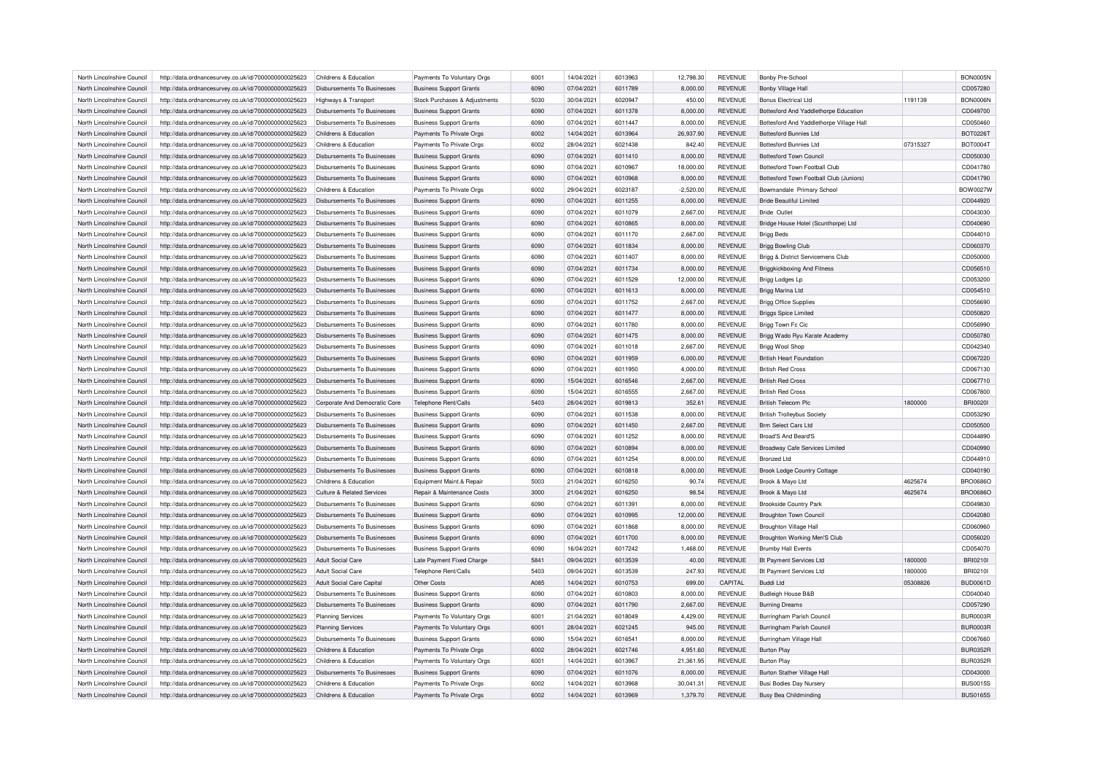| North Lincolnshire Council                               | http://data.ordnancesurvey.co.uk/id/7000000000025623                                                         | Childrens & Education                                      | Payments To Voluntary Orgs                                   | 6001 | 14/04/2021 | 6013963 | 12,798.30            | <b>REVENUE</b> | Bonby Pre-School                         |          | <b>BON0005N</b> |
|----------------------------------------------------------|--------------------------------------------------------------------------------------------------------------|------------------------------------------------------------|--------------------------------------------------------------|------|------------|---------|----------------------|----------------|------------------------------------------|----------|-----------------|
| North Lincolnshire Council                               | http://data.ordnancesurvey.co.uk/id/7000000000025623                                                         | Disbursements To Businesses                                | <b>Business Support Grants</b>                               | 6090 | 07/04/2021 | 6011789 | 8,000.00             | <b>REVENUE</b> | <b>Bonby Village Hall</b>                |          | CD057280        |
| North Lincolnshire Council                               | http://data.ordnancesurvey.co.uk/id/7000000000025623                                                         | Highways & Transport                                       | Stock Purchases & Adjustments                                | 5030 | 30/04/2021 | 6020947 | 450.00               | <b>REVENUE</b> | <b>Bonus Electrical Ltd</b>              | 1191139  | <b>BON0006N</b> |
| North Lincolnshire Council                               | http://data.ordnancesurvey.co.uk/id/7000000000025623                                                         | Disbursements To Businesses                                | <b>Business Support Grants</b>                               | 6090 | 07/04/2021 | 6011378 | 8,000.00             | <b>REVENUE</b> | Bottesford And Yaddlethorpe Education    |          | CD049700        |
| North Lincolnshire Council                               | http://data.ordnancesurvey.co.uk/id/7000000000025623                                                         | Disbursements To Businesses                                | <b>Business Support Grants</b>                               | 6090 | 07/04/2021 | 6011447 | 8,000.00             | <b>REVENUE</b> | Bottesford And Yaddlethorpe Village Hall |          | CD050460        |
| North Lincolnshire Council                               | http://data.ordnancesurvey.co.uk/id/7000000000025623                                                         | Childrens & Education                                      | Payments To Private Orgs                                     | 6002 | 14/04/2021 | 6013964 | 26,937.90            | <b>REVENUE</b> | <b>Bottesford Bunnies Ltd</b>            |          | <b>BOT0226T</b> |
| North Lincolnshire Council                               | http://data.ordnancesurvey.co.uk/id/7000000000025623                                                         | Childrens & Education                                      | Payments To Private Orgs                                     | 6002 | 28/04/2021 | 6021438 | 842.40               | <b>REVENUE</b> | <b>Bottesford Bunnies Ltd</b>            | 07315327 | <b>BOT0004T</b> |
| North Lincolnshire Council                               | http://data.ordnancesurvey.co.uk/id/7000000000025623                                                         | <b>Disbursements To Businesses</b>                         | <b>Business Support Grants</b>                               | 6090 | 07/04/2021 | 6011410 | 8,000.00             | <b>REVENUE</b> | <b>Bottesford Town Council</b>           |          | CD050030        |
| North Lincolnshire Council                               | http://data.ordnancesurvey.co.uk/id/7000000000025623                                                         | Disbursements To Businesses                                | <b>Business Support Grants</b>                               | 6090 | 07/04/2021 | 6010967 | 18,000.00            | <b>REVENUE</b> | Bottesford Town Football Club            |          | CD041780        |
| North Lincolnshire Council                               | http://data.ordnancesurvey.co.uk/id/7000000000025623                                                         | <b>Disbursements To Businesses</b>                         | <b>Business Support Grants</b>                               | 6090 | 07/04/2021 | 6010968 | 8,000.00             | <b>REVENUE</b> | Bottesford Town Football Club (Juniors)  |          | CD041790        |
| North Lincolnshire Council                               | http://data.ordnancesurvey.co.uk/id/7000000000025623                                                         | Childrens & Education                                      | Payments To Private Orgs                                     | 6002 | 29/04/2021 | 6023187 | $-2,520.00$          | <b>REVENUE</b> | Bowmandale Primary School                |          | <b>BOW0027W</b> |
| North Lincolnshire Council                               | http://data.ordnancesurvey.co.uk/id/7000000000025623                                                         | <b>Disbursements To Businesses</b>                         | <b>Business Support Grants</b>                               | 6090 | 07/04/2021 | 6011255 | 8,000.00             | <b>REVENUE</b> | <b>Bride Beautiful Limited</b>           |          | CD044920        |
| North Lincolnshire Council                               | http://data.ordnancesurvey.co.uk/id/7000000000025623                                                         | Disbursements To Businesses                                | <b>Business Support Grants</b>                               | 6090 | 07/04/2021 | 6011079 | 2,667.00             | <b>REVENUE</b> | <b>Bride Outlet</b>                      |          | CD043030        |
| North Lincolnshire Council                               | http://data.ordnancesurvey.co.uk/id/7000000000025623                                                         | <b>Disbursements To Businesses</b>                         | <b>Business Support Grants</b>                               | 6090 | 07/04/2021 | 6010865 | 8,000.00             | <b>REVENUE</b> | Bridge House Hotel (Scunthorpe) Ltd      |          | CD040690        |
| North Lincolnshire Council                               | http://data.ordnancesurvey.co.uk/id/7000000000025623                                                         | Disbursements To Businesses                                | <b>Business Support Grants</b>                               | 6090 | 07/04/2021 | 6011170 | 2,667.00             | <b>REVENUE</b> | <b>Brigg Beds</b>                        |          | CD044010        |
| North Lincolnshire Council                               | http://data.ordnancesurvey.co.uk/id/7000000000025623                                                         | Disbursements To Businesses                                | <b>Business Support Grants</b>                               | 6090 | 07/04/2021 | 6011834 | 8,000.00             | <b>REVENUE</b> | Brigg Bowling Club                       |          | CD060370        |
| North Lincolnshire Council                               | http://data.ordnancesurvey.co.uk/id/7000000000025623                                                         | Disbursements To Businesses                                | <b>Business Support Grants</b>                               | 6090 | 07/04/2021 | 6011407 | 8,000.00             | <b>REVENUE</b> | Brigg & District Servicemens Club        |          | CD050000        |
| North Lincolnshire Council                               | http://data.ordnancesurvey.co.uk/id/7000000000025623                                                         | <b>Disbursements To Businesses</b>                         | <b>Business Support Grants</b>                               | 6090 | 07/04/2021 | 6011734 | 8,000.00             | <b>REVENUE</b> | <b>Briggkickboxing And Fitness</b>       |          | CD056510        |
| North Lincolnshire Council                               |                                                                                                              |                                                            |                                                              | 6090 | 07/04/2021 | 6011529 | 12,000.00            | <b>REVENUE</b> |                                          |          | CD053200        |
| North Lincolnshire Council                               | http://data.ordnancesurvey.co.uk/id/7000000000025623                                                         | Disbursements To Businesses<br>Disbursements To Businesses | <b>Business Support Grants</b>                               | 6090 | 07/04/2021 | 6011613 | 8.000.00             | <b>REVENUE</b> | Brigg Lodges Lp<br>Brigg Marina Ltd      |          | CD054510        |
|                                                          | http://data.ordnancesurvey.co.uk/id/7000000000025623                                                         |                                                            | <b>Business Support Grants</b>                               |      |            | 6011752 |                      |                |                                          |          |                 |
| North Lincolnshire Council                               | http://data.ordnancesurvey.co.uk/id/7000000000025623                                                         | Disbursements To Businesses                                | <b>Business Support Grants</b>                               | 6090 | 07/04/2021 |         | 2,667.00             | <b>REVENUE</b> | <b>Brigg Office Supplies</b>             |          | CD056690        |
| North Lincolnshire Council                               | http://data.ordnancesurvey.co.uk/id/7000000000025623                                                         | Disbursements To Businesses                                | <b>Business Support Grants</b>                               | 6090 | 07/04/2021 | 6011477 | 8,000.00             | <b>REVENUE</b> | <b>Briggs Spice Limited</b>              |          | CD050820        |
| North Lincolnshire Council                               | http://data.ordnancesurvey.co.uk/id/7000000000025623                                                         | Disbursements To Businesses                                | <b>Business Support Grants</b>                               | 6090 | 07/04/2021 | 6011780 | 8,000.00             | <b>REVENUE</b> | Brigg Town Fc Cic                        |          | CD056990        |
| North Lincolnshire Council                               | http://data.ordnancesurvey.co.uk/id/7000000000025623                                                         | <b>Disbursements To Businesses</b>                         | <b>Business Support Grants</b>                               | 6090 | 07/04/2021 | 6011475 | 8,000.00             | <b>REVENUE</b> | Brigg Wado Ryu Karate Academy            |          | CD050780        |
| North Lincolnshire Council                               | http://data.ordnancesurvey.co.uk/id/7000000000025623                                                         | <b>Disbursements To Businesses</b>                         | <b>Business Support Grants</b>                               | 6090 | 07/04/2021 | 6011018 | 2,667.00             | <b>REVENUE</b> | Brigg Wool Shop                          |          | CD042340        |
| North Lincolnshire Council                               | http://data.ordnancesurvey.co.uk/id/7000000000025623                                                         | Disbursements To Businesses                                | <b>Business Support Grants</b>                               | 6090 | 07/04/2021 | 6011959 | 6.000.00             | <b>REVENUE</b> | <b>British Heart Foundation</b>          |          | CD067220        |
| North Lincolnshire Council                               | http://data.ordnancesurvey.co.uk/id/7000000000025623                                                         | Disbursements To Businesses                                | <b>Business Support Grants</b>                               | 6090 | 07/04/2021 | 6011950 | 4,000.00             | <b>REVENUE</b> | <b>British Red Cross</b>                 |          | CD067130        |
| North Lincolnshire Council                               | http://data.ordnancesurvey.co.uk/id/7000000000025623                                                         | Disbursements To Businesses                                | <b>Business Support Grants</b>                               | 6090 | 15/04/2021 | 6016546 | 2,667.00             | <b>REVENUE</b> | <b>British Red Cross</b>                 |          | CD067710        |
| North Lincolnshire Council                               | http://data.ordnancesurvey.co.uk/id/7000000000025623                                                         | <b>Disbursements To Businesses</b>                         | <b>Business Support Grants</b>                               | 6090 | 15/04/2021 | 6016555 | 2.667.00             | <b>REVENUE</b> | <b>British Red Cross</b>                 |          | CD067800        |
| North Lincolnshire Council                               | http://data.ordnancesurvey.co.uk/id/7000000000025623                                                         | Corporate And Democratic Core                              | Telephone Rent/Calls                                         | 5403 | 28/04/2021 | 6019813 | 352.61               | <b>REVENUE</b> | <b>British Telecom Plc</b>               | 1800000  | <b>BRI00201</b> |
| North Lincolnshire Council                               | http://data.ordnancesurvey.co.uk/id/7000000000025623                                                         | <b>Disbursements To Businesses</b>                         | <b>Business Support Grants</b>                               | 6090 | 07/04/2021 | 6011538 | 8,000.00             | <b>REVENUE</b> | <b>British Trolleybus Society</b>        |          | CD053290        |
| North Lincolnshire Council                               | http://data.ordnancesurvey.co.uk/id/7000000000025623                                                         | Disbursements To Businesses                                | <b>Business Support Grants</b>                               | 6090 | 07/04/2021 | 6011450 | 2.667.00             | <b>REVENUE</b> | <b>Brm Select Cars Ltd</b>               |          | CD050500        |
| North Lincolnshire Council                               | http://data.ordnancesurvey.co.uk/id/7000000000025623                                                         | Disbursements To Businesses                                | <b>Business Support Grants</b>                               | 6090 | 07/04/2021 | 6011252 | 8,000.00             | <b>REVENUE</b> | Broad'S And Beard'S                      |          | CD044890        |
| North Lincolnshire Council                               | http://data.ordnancesurvey.co.uk/id/7000000000025623                                                         | <b>Disbursements To Businesses</b>                         | <b>Business Support Grants</b>                               | 6090 | 07/04/2021 | 6010894 | 8,000.00             | <b>REVENUE</b> | <b>Broadway Cafe Services Limited</b>    |          | CD040990        |
| North Lincolnshire Council                               | http://data.ordnancesurvey.co.uk/id/7000000000025623                                                         | Disbursements To Businesses                                | <b>Business Support Grants</b>                               | 6090 | 07/04/2021 | 6011254 | 8,000.00             | <b>REVENUE</b> | <b>Bronzed Ltd</b>                       |          | CD044910        |
| North Lincolnshire Council                               | http://data.ordnancesurvey.co.uk/id/7000000000025623                                                         | <b>Disbursements To Businesses</b>                         | <b>Business Support Grants</b>                               | 6090 | 07/04/2021 | 6010818 | 8,000.00             | <b>REVENUE</b> | <b>Brook Lodge Country Cottage</b>       |          | CD040190        |
| North Lincolnshire Council                               | http://data.ordnancesurvey.co.uk/id/7000000000025623                                                         | Childrens & Education                                      | Equipment Maint.& Repair                                     | 5003 | 21/04/2021 | 6016250 | 90.74                | <b>REVENUE</b> | Brook & Mayo Ltd                         | 4625674  | <b>BRO0686C</b> |
| North Lincolnshire Council                               | http://data.ordnancesurvey.co.uk/id/7000000000025623                                                         | Culture & Related Services                                 | Repair & Maintenance Costs                                   | 3000 | 21/04/2021 | 6016250 | 98.54                | <b>REVENUE</b> | Brook & Mayo Ltd                         | 4625674  | <b>BRO0686O</b> |
| North Lincolnshire Council                               | http://data.ordnancesurvey.co.uk/id/7000000000025623                                                         | Disbursements To Businesses                                | <b>Business Support Grants</b>                               | 6090 | 07/04/2021 | 6011391 | 8,000.00             | <b>REVENUE</b> | <b>Brookside Country Park</b>            |          | CD049830        |
| North Lincolnshire Council                               | http://data.ordnancesurvey.co.uk/id/7000000000025623                                                         | <b>Disbursements To Businesses</b>                         | <b>Business Support Grants</b>                               | 6090 | 07/04/2021 | 6010995 | 12,000.00            | REVENUE        | <b>Broughton Town Council</b>            |          | CD042080        |
| North Lincolnshire Council                               | http://data.ordnancesurvey.co.uk/id/7000000000025623                                                         | Disbursements To Businesses                                | <b>Business Support Grants</b>                               | 6090 | 07/04/2021 | 6011868 | 8,000.00             | <b>REVENUE</b> | Broughton Village Hall                   |          | CD060960        |
| North Lincolnshire Council                               | http://data.ordnancesurvey.co.uk/id/7000000000025623                                                         | Disbursements To Businesses                                | <b>Business Support Grants</b>                               | 6090 | 07/04/2021 | 6011700 | 8,000.00             | <b>REVENUE</b> | Broughton Working Men'S Club             |          | CD056020        |
| North Lincolnshire Council                               | http://data.ordnancesurvey.co.uk/id/7000000000025623                                                         | Disbursements To Businesses                                | <b>Business Support Grants</b>                               | 6090 | 16/04/2021 | 6017242 | 1,468.00             | <b>REVENUE</b> | <b>Brumby Hall Events</b>                |          | CD054070        |
| North Lincolnshire Council                               | http://data.ordnancesurvey.co.uk/id/7000000000025623                                                         | Adult Social Care                                          | Late Payment Fixed Charge                                    | 5841 | 09/04/2021 | 6013539 | 40.00                | <b>REVENUE</b> | <b>Bt Payment Services Ltd</b>           | 1800000  | <b>BRI0210I</b> |
| North Lincolnshire Council                               | http://data.ordnancesurvey.co.uk/id/7000000000025623                                                         | Adult Social Care                                          | Telephone Rent/Calls                                         | 5403 | 09/04/2021 | 6013539 | 247.93               | <b>REVENUE</b> | <b>Bt Payment Services Ltd</b>           | 1800000  | <b>BRI02101</b> |
| North Lincolnshire Council                               | http://data.ordnancesurvey.co.uk/id/7000000000025623                                                         | Adult Social Care Capital                                  | Other Costs                                                  | A085 | 14/04/2021 | 6010753 | 699.00               | CAPITAL        | <b>Buddi Ltd</b>                         | 05308826 | <b>BUD0061D</b> |
| North Lincolnshire Council                               | http://data.ordnancesurvey.co.uk/id/7000000000025623                                                         | <b>Disbursements To Businesses</b>                         | <b>Business Support Grants</b>                               | 6090 | 07/04/2021 | 6010803 | 8,000.00             | <b>REVENUE</b> | Budleigh House B&B                       |          | CD040040        |
|                                                          |                                                                                                              | Disbursements To Businesses                                |                                                              | 6090 | 07/04/2021 | 6011790 |                      | <b>REVENUE</b> | <b>Burning Dreams</b>                    |          | CD057290        |
| North Lincolnshire Council<br>North Lincolnshire Council | http://data.ordnancesurvey.co.uk/id/7000000000025623<br>http://data.ordnancesurvey.co.uk/id/7000000000025623 | <b>Planning Services</b>                                   | <b>Business Support Grants</b><br>Payments To Voluntary Orgs | 6001 | 21/04/2021 | 6018049 | 2,667.00<br>4,429.00 | <b>REVENUE</b> | Burringham Parish Council                |          | <b>BUR0003F</b> |
| North Lincolnshire Council                               |                                                                                                              |                                                            |                                                              |      |            | 6021245 |                      | <b>REVENUE</b> |                                          |          |                 |
|                                                          | http://data.ordnancesurvey.co.uk/id/7000000000025623                                                         | <b>Planning Services</b>                                   | Payments To Voluntary Orgs                                   | 6001 | 28/04/2021 |         | 945.00               |                | Burringham Parish Council                |          | <b>BUR0003R</b> |
| North Lincolnshire Council                               | http://data.ordnancesurvey.co.uk/id/7000000000025623                                                         | Disbursements To Businesses                                | <b>Business Support Grants</b>                               | 6090 | 15/04/2021 | 6016541 | 8,000.00             | REVENUE        | Burringham Village Hall                  |          | CD067660        |
| North Lincolnshire Council                               | http://data.ordnancesurvey.co.uk/id/7000000000025623                                                         | Childrens & Education                                      | Payments To Private Orgs                                     | 6002 | 28/04/2021 | 6021746 | 4,951.60             | REVENUE        | <b>Burton Play</b>                       |          | <b>BUR0352F</b> |
| North Lincolnshire Council                               | http://data.ordnancesurvey.co.uk/id/7000000000025623                                                         | Childrens & Education                                      | Payments To Voluntary Orgs                                   | 6001 | 14/04/2021 | 6013967 | 21,361.95            | <b>REVENUE</b> | <b>Burton Play</b>                       |          | <b>BUR0352R</b> |
| North Lincolnshire Council                               | http://data.ordnancesurvey.co.uk/id/7000000000025623                                                         | Disbursements To Businesses                                | <b>Business Support Grants</b>                               | 6090 | 07/04/2021 | 6011076 | 8,000.00             | <b>REVENUE</b> | Burton Stather Village Hall              |          | CD043000        |
| North Lincolnshire Council                               | http://data.ordnancesurvey.co.uk/id/7000000000025623                                                         | Childrens & Education                                      | Payments To Private Orgs                                     | 6002 | 14/04/2021 | 6013968 | 30.041.31            | <b>REVENUE</b> | <b>Busi Bodies Day Nursery</b>           |          | <b>BUS0015S</b> |
| North Lincolnshire Council                               | http://data.ordnancesurvey.co.uk/id/7000000000025623                                                         | Childrens & Education                                      | Payments To Private Orgs                                     | 6002 | 14/04/2021 | 6013969 | 1.379.70             | <b>REVENUE</b> | <b>Busy Bea Childminding</b>             |          | <b>BUS0165S</b> |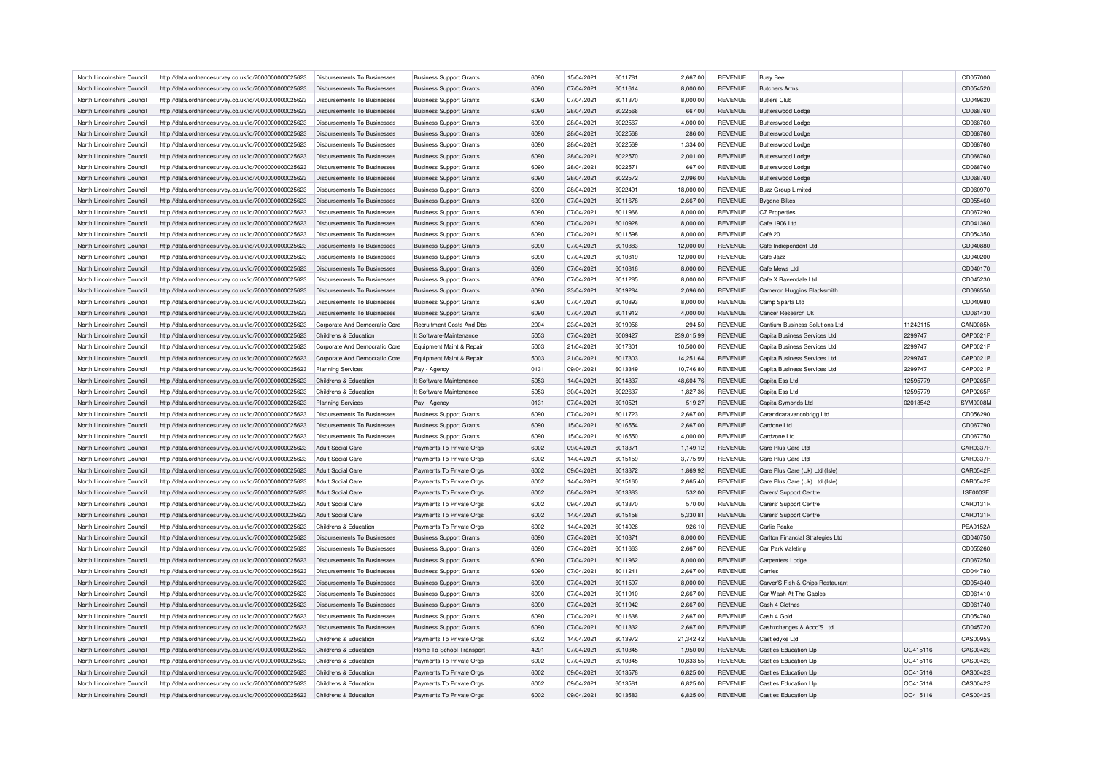| North Lincolnshire Council<br>http://data.ordnancesurvey.co.uk/id/7000000000025623<br>Disbursements To Businesses<br><b>Business Support Grants</b><br>6090<br>15/04/2021<br>6011781<br>2,667.00<br><b>REVENUE</b><br><b>Busy Bee</b><br>CD057000<br>CD054520<br>North Lincolnshire Council<br>http://data.ordnancesurvey.co.uk/id/7000000000025623<br>Disbursements To Businesses<br><b>Business Support Grants</b><br>6090<br>07/04/2021<br>6011614<br>8,000.00<br><b>REVENUE</b><br><b>Butchers Arms</b><br><b>Butlers Club</b><br>North Lincolnshire Council<br>07/04/2021<br>6011370<br><b>REVENUE</b><br>CD049620<br>http://data.ordnancesurvey.co.uk/id/7000000000025623<br>Disbursements To Businesses<br><b>Business Support Grants</b><br>6090<br>8,000.00<br>CD068760<br>North Lincolnshire Council<br>http://data.ordnancesurvey.co.uk/id/7000000000025623<br>Disbursements To Businesses<br><b>Business Support Grants</b><br>6090<br>28/04/2021<br>6022566<br>667.00<br><b>REVENUE</b><br>Butterswood Lodge<br>6022567<br><b>REVENUE</b><br>CD068760<br>North Lincolnshire Council<br>http://data.ordnancesurvey.co.uk/id/7000000000025623<br>Disbursements To Businesses<br><b>Business Support Grants</b><br>6090<br>28/04/2021<br>4,000.00<br>Butterswood Lodge<br>North Lincolnshire Council<br>http://data.ordnancesurvey.co.uk/id/7000000000025623<br>Disbursements To Businesses<br>6090<br>28/04/2021<br>6022568<br><b>REVENUE</b><br>CD068760<br><b>Business Support Grants</b><br>286.00<br>Butterswood Lodge<br>6022569<br>CD068760<br>North Lincolnshire Council<br>http://data.ordnancesurvey.co.uk/id/7000000000025623<br>Disbursements To Businesses<br><b>Business Support Grants</b><br>6090<br>28/04/2021<br>1,334.00<br><b>REVENUE</b><br><b>Butterswood Lodge</b><br>28/04/2021<br>6022570<br>CD068760<br>North Lincolnshire Council<br>http://data.ordnancesurvey.co.uk/id/7000000000025623<br>Disbursements To Businesses<br><b>Business Support Grants</b><br>6090<br>2,001.00<br><b>REVENUE</b><br>Butterswood Lodge<br>North Lincolnshire Council<br>28/04/2021<br>6022571<br><b>REVENUE</b><br>CD068760<br>http://data.ordnancesurvey.co.uk/id/7000000000025623<br>Disbursements To Businesses<br>6090<br>667.00<br><b>Butterswood Lodge</b><br><b>Business Support Grants</b><br>6090<br>6022572<br>CD068760<br>North Lincolnshire Council<br>http://data.ordnancesurvey.co.uk/id/7000000000025623<br>Disbursements To Businesses<br><b>Business Support Grants</b><br>28/04/2021<br>2,096.00<br><b>REVENUE</b><br><b>Butterswood Lodge</b><br>28/04/2021<br>6022491<br>18,000.00<br><b>REVENUE</b><br>CD060970<br>North Lincolnshire Council<br>http://data.ordnancesurvey.co.uk/id/7000000000025623<br>Disbursements To Businesses<br><b>Business Support Grants</b><br>6090<br><b>Buzz Group Limited</b><br>07/04/2021<br>6011678<br>CD055460<br>North Lincolnshire Council<br>http://data.ordnancesurvey.co.uk/id/7000000000025623<br>Disbursements To Businesses<br><b>Business Support Grants</b><br>6090<br>2,667.00<br><b>REVENUE</b><br><b>Bygone Bikes</b><br>6090<br>07/04/2021<br>6011966<br>CD067290<br>North Lincolnshire Council<br>http://data.ordnancesurvey.co.uk/id/7000000000025623<br>Disbursements To Businesses<br><b>Business Support Grants</b><br>8,000.00<br><b>REVENUE</b><br>C7 Properties<br>North Lincolnshire Council<br>07/04/2021<br>6010928<br>8,000.00<br><b>REVENUE</b><br>Cafe 1906 Ltd<br>CD041360<br>http://data.ordnancesurvey.co.uk/id/7000000000025623<br>Disbursements To Businesses<br><b>Business Support Grants</b><br>6090<br>07/04/2021<br>6011598<br>Café 20<br>CD054350<br>North Lincolnshire Council<br>Disbursements To Businesses<br>6090<br>8,000.00<br><b>REVENUE</b><br>http://data.ordnancesurvey.co.uk/id/7000000000025623<br><b>Business Support Grants</b><br>North Lincolnshire Council<br><b>Business Support Grants</b><br>6090<br>07/04/2021<br>6010883<br>12,000.00<br><b>REVENUE</b><br>Cafe Indiependent Ltd.<br>CD040880<br>http://data.ordnancesurvey.co.uk/id/7000000000025623<br><b>Disbursements To Businesses</b><br>North Lincolnshire Council<br>http://data.ordnancesurvey.co.uk/id/7000000000025623<br>Disbursements To Businesses<br>6090<br>07/04/2021<br>6010819<br>12,000.00<br><b>REVENUE</b><br>Cafe Jazz<br>CD040200<br><b>Business Support Grants</b><br><b>REVENUE</b><br>Cafe Mews Ltd<br>CD040170<br>North Lincolnshire Council<br>http://data.ordnancesurvey.co.uk/id/7000000000025623<br>Disbursements To Businesses<br><b>Business Support Grants</b><br>6090<br>07/04/2021<br>6010816<br>8,000.00<br>North Lincolnshire Council<br>http://data.ordnancesurvey.co.uk/id/7000000000025623<br><b>Disbursements To Businesses</b><br><b>Business Support Grants</b><br>6090<br>07/04/2021<br>6011285<br>8,000.00<br><b>REVENUE</b><br>Cafe X Ravendale Ltd<br>CD045230<br>CD068550<br>North Lincolnshire Council<br>http://data.ordnancesurvey.co.uk/id/7000000000025623<br>Disbursements To Businesses<br><b>Business Support Grants</b><br>6090<br>23/04/2021<br>6019284<br>2,096.00<br><b>REVENUE</b><br>Cameron Huggins Blacksmith<br><b>REVENUE</b><br>Camp Sparta Ltd<br>CD040980<br>North Lincolnshire Council<br>http://data.ordnancesurvey.co.uk/id/7000000000025623<br>Disbursements To Businesses<br><b>Business Support Grants</b><br>6090<br>07/04/2021<br>6010893<br>8,000.00<br>CD061430<br>North Lincolnshire Council<br>http://data.ordnancesurvey.co.uk/id/7000000000025623<br>Disbursements To Businesses<br><b>Business Support Grants</b><br>6090<br>07/04/2021<br>6011912<br>4,000.00<br><b>REVENUE</b><br>Cancer Research Uk<br>CAN0085N<br>North Lincolnshire Council<br>http://data.ordnancesurvey.co.uk/id/7000000000025623<br>Corporate And Democratic Core<br>Recruitment Costs And Dbs<br>2004<br>23/04/2021<br>6019056<br>294.50<br><b>REVENUE</b><br>Cantium Business Solutions Ltd<br>11242115<br>CAP0021P<br>It Software-Maintenance<br>5053<br>07/04/2021<br>6009427<br>239,015.99<br><b>REVENUE</b><br>Capita Business Services Ltd<br>2299747<br>North Lincolnshire Council<br>http://data.ordnancesurvey.co.uk/id/7000000000025623<br>Childrens & Education<br>CAP0021P<br>North Lincolnshire Council<br>http://data.ordnancesurvey.co.uk/id/7000000000025623<br>Corporate And Democratic Core<br>Equipment Maint.& Repair<br>5003<br>21/04/2021<br>6017301<br>10,500.00<br><b>REVENUE</b><br>Capita Business Services Ltd<br>2299747<br>6017303<br>CAP0021P<br>North Lincolnshire Council<br>http://data.ordnancesurvey.co.uk/id/7000000000025623<br>Corporate And Democratic Core<br>Equipment Maint.& Repair<br>5003<br>21/04/2021<br>14,251.64<br><b>REVENUE</b><br>Capita Business Services Ltd<br>2299747<br>CAP0021P<br>North Lincolnshire Council<br>09/04/2021<br>6013349<br>10,746.80<br><b>REVENUE</b><br>Capita Business Services Ltd<br>2299747<br>http://data.ordnancesurvey.co.uk/id/7000000000025623<br><b>Planning Services</b><br>Pay - Agency<br>0131<br>5053<br><b>CAP0265P</b><br>North Lincolnshire Council<br>http://data.ordnancesurvey.co.uk/id/7000000000025623<br>Childrens & Education<br>It Software-Maintenance<br>14/04/2021<br>6014837<br>48,604.76<br><b>REVENUE</b><br>Capita Ess Ltd<br>12595779<br>CAP0265P<br>North Lincolnshire Council<br>http://data.ordnancesurvey.co.uk/id/7000000000025623<br>Childrens & Education<br>It Software-Maintenance<br>5053<br>30/04/2021<br>6022637<br>1,827.36<br><b>REVENUE</b><br>Capita Ess Ltd<br>12595779<br>North Lincolnshire Council<br>0131<br>07/04/2021<br>6010521<br>519.27<br><b>REVENUE</b><br>Capita Symonds Ltd<br>02018542<br><b>SYM0008M</b><br>http://data.ordnancesurvey.co.uk/id/7000000000025623<br><b>Planning Services</b><br>Pay - Agency<br>CD056290<br>North Lincolnshire Council<br>http://data.ordnancesurvey.co.uk/id/7000000000025623<br>Disbursements To Businesses<br><b>Business Support Grants</b><br>6090<br>07/04/2021<br>6011723<br>2,667.00<br><b>REVENUE</b><br>Carandcaravancobrigg Ltd<br>15/04/2021<br>6016554<br><b>REVENUE</b><br>CD067790<br>North Lincolnshire Council<br>http://data.ordnancesurvey.co.uk/id/7000000000025623<br>Disbursements To Businesses<br><b>Business Support Grants</b><br>6090<br>2,667.00<br>Cardone Ltd<br>6016550<br><b>REVENUE</b><br>CD067750<br>North Lincolnshire Council<br>http://data.ordnancesurvey.co.uk/id/7000000000025623<br>Disbursements To Businesses<br><b>Business Support Grants</b><br>6090<br>15/04/2021<br>4,000.00<br>Cardzone I td<br>6002<br>6013371<br>CAR0337F<br>North Lincolnshire Council<br>http://data.ordnancesurvey.co.uk/id/7000000000025623<br><b>Adult Social Care</b><br>Payments To Private Orgs<br>09/04/2021<br>1,149.12<br><b>REVENUE</b><br>Care Plus Care Ltd<br>14/04/2021<br>6015159<br><b>REVENUE</b><br>CAR0337F<br>North Lincolnshire Council<br>http://data.ordnancesurvey.co.uk/id/7000000000025623<br>Adult Social Care<br>Payments To Private Orgs<br>6002<br>3,775.99<br>Care Plus Care Ltd<br>09/04/2021<br>6013372<br><b>REVENUE</b><br><b>CAR0542F</b><br>North Lincolnshire Council<br>http://data.ordnancesurvey.co.uk/id/7000000000025623<br>Adult Social Care<br>Payments To Private Orgs<br>6002<br>1,869.92<br>Care Plus Care (Uk) Ltd (Isle)<br>6015160<br>CAR0542F<br>North Lincolnshire Council<br>http://data.ordnancesurvey.co.uk/id/7000000000025623<br>Adult Social Care<br>Payments To Private Orgs<br>6002<br>14/04/2021<br>2,665.40<br><b>REVENUE</b><br>Care Plus Care (Uk) Ltd (Isle)<br>North Lincolnshire Council<br>http://data.ordnancesurvey.co.uk/id/7000000000025623<br>Adult Social Care<br>Payments To Private Orgs<br>6002<br>08/04/2021<br>6013383<br>532.00<br><b>REVENUE</b><br>Carers' Support Centre<br>ISF0003F<br>6013370<br>CAR0131F<br>North Lincolnshire Council<br>http://data.ordnancesurvey.co.uk/id/7000000000025623<br>Adult Social Care<br>Payments To Private Orgs<br>6002<br>09/04/2021<br><b>REVENUE</b><br>Carers' Support Centre<br>570.00<br>North Lincolnshire Council<br>Payments To Private Orgs<br>6002<br>14/04/2021<br>6015158<br>5,330.81<br><b>REVENUE</b><br>Carers' Support Centre<br>http://data.ordnancesurvey.co.uk/id/7000000000025623<br><b>Adult Social Care</b><br>North Lincolnshire Council<br>http://data.ordnancesurvey.co.uk/id/7000000000025623<br>Childrens & Education<br>Payments To Private Orgs<br>6002<br>14/04/2021<br>6014026<br>926.10<br><b>REVENUE</b><br>Carlie Peake<br><b>PEA0152A</b><br>Carlton Financial Strategies Ltd<br>CD040750<br>North Lincolnshire Council<br>http://data.ordnancesurvey.co.uk/id/7000000000025623<br>Disbursements To Businesses<br>6090<br>07/04/2021<br>6010871<br><b>REVENUE</b><br><b>Business Support Grants</b><br>8,000.00<br>North Lincolnshire Council<br>http://data.ordnancesurvey.co.uk/id/7000000000025623<br>Disbursements To Businesses<br>6090<br>07/04/2021<br>6011663<br>2,667.00<br><b>REVENUE</b><br>Car Park Valeting<br>CD055260<br><b>Business Support Grants</b><br>North Lincolnshire Council<br>http://data.ordnancesurvey.co.uk/id/7000000000025623<br>Disbursements To Businesses<br>6090<br>07/04/2021<br>6011962<br>8,000.00<br><b>REVENUE</b><br><b>Carpenters Lodge</b><br>CD067250<br><b>Business Support Grants</b><br>07/04/2021<br>6011241<br><b>REVENUE</b><br>CD044780<br>North Lincolnshire Council<br>http://data.ordnancesurvey.co.uk/id/7000000000025623<br>Disbursements To Businesses<br>6090<br>2,667.00<br>Carries<br><b>Business Support Grants</b><br>North Lincolnshire Council<br>http://data.ordnancesurvey.co.uk/id/7000000000025623<br>Disbursements To Businesses<br><b>Business Support Grants</b><br>6090<br>07/04/2021<br>6011597<br>8,000.00<br><b>REVENUE</b><br>Carver'S Fish & Chips Restaurant<br>CD054340<br>North Lincolnshire Council<br>http://data.ordnancesurvey.co.uk/id/7000000000025623<br>Disbursements To Businesses<br><b>Business Support Grants</b><br>6090<br>07/04/2021<br>6011910<br>2,667.00<br><b>REVENUE</b><br>Car Wash At The Gables<br>CD061410<br>07/04/2021<br>6011942<br><b>REVENUE</b><br>Cash 4 Clothes<br>CD061740<br>North Lincolnshire Council<br>http://data.ordnancesurvey.co.uk/id/7000000000025623<br>Disbursements To Businesses<br><b>Business Support Grants</b><br>6090<br>2,667.00<br>North Lincolnshire Council<br>http://data.ordnancesurvey.co.uk/id/7000000000025623<br>Disbursements To Businesses<br><b>Business Support Grants</b><br>6090<br>07/04/2021<br>6011638<br>2,667.00<br><b>REVENUE</b><br>Cash 4 Gold<br>CD054760<br>Cashxchanges & Acco'S Ltd<br>CD045720<br>North Lincolnshire Council<br>http://data.ordnancesurvey.co.uk/id/7000000000025623<br>Disbursements To Businesses<br><b>Business Support Grants</b><br>6090<br>07/04/2021<br>6011332<br>2,667.00<br><b>REVENUE</b><br>CAS0095S<br>North Lincolnshire Council<br>Payments To Private Orgs<br>14/04/2021<br>6013972<br><b>REVENUE</b><br>Castledyke Ltd<br>http://data.ordnancesurvey.co.uk/id/7000000000025623<br>Childrens & Education<br>6002<br>21,342.42<br>CAS0042S<br>North Lincolnshire Council<br>http://data.ordnancesurvey.co.uk/id/7000000000025623<br>Childrens & Education<br>Home To School Transport<br>4201<br>07/04/2021<br>6010345<br>1,950.00<br><b>REVENUE</b><br><b>Castles Education Llp</b><br>OC415116<br>CAS0042S<br>North Lincolnshire Council<br>http://data.ordnancesurvey.co.uk/id/7000000000025623<br>Childrens & Education<br>Payments To Private Orgs<br>6002<br>07/04/2021<br>6010345<br>10,833.55<br><b>REVENUE</b><br><b>Castles Education Llp</b><br>OC415116<br>CAS0042S<br>North Lincolnshire Council<br>Childrens & Education<br>Payments To Private Orgs<br>6002<br>09/04/2021<br>6013578<br>6,825.00<br><b>REVENUE</b><br><b>Castles Education Lip</b><br>OC415116<br>http://data.ordnancesurvey.co.uk/id/7000000000025623<br>CAS0042S<br>North Lincolnshire Council<br>http://data.ordnancesurvey.co.uk/id/7000000000025623<br>Childrens & Education<br>Payments To Private Orgs<br>6002<br>09/04/2021<br>6013581<br>6,825.00<br><b>REVENUE</b><br><b>Castles Education Llp</b><br>OC415116<br>North Lincolnshire Council<br>http://data.ordnancesurvey.co.uk/id/7000000000025623<br>Payments To Private Orgs<br>6002<br>09/04/2021<br>6013583<br>6,825.00<br><b>REVENUE</b><br><b>Castles Education Llp</b><br>OC415116<br>Childrens & Education |  |  |  |  |  |  |          |
|--------------------------------------------------------------------------------------------------------------------------------------------------------------------------------------------------------------------------------------------------------------------------------------------------------------------------------------------------------------------------------------------------------------------------------------------------------------------------------------------------------------------------------------------------------------------------------------------------------------------------------------------------------------------------------------------------------------------------------------------------------------------------------------------------------------------------------------------------------------------------------------------------------------------------------------------------------------------------------------------------------------------------------------------------------------------------------------------------------------------------------------------------------------------------------------------------------------------------------------------------------------------------------------------------------------------------------------------------------------------------------------------------------------------------------------------------------------------------------------------------------------------------------------------------------------------------------------------------------------------------------------------------------------------------------------------------------------------------------------------------------------------------------------------------------------------------------------------------------------------------------------------------------------------------------------------------------------------------------------------------------------------------------------------------------------------------------------------------------------------------------------------------------------------------------------------------------------------------------------------------------------------------------------------------------------------------------------------------------------------------------------------------------------------------------------------------------------------------------------------------------------------------------------------------------------------------------------------------------------------------------------------------------------------------------------------------------------------------------------------------------------------------------------------------------------------------------------------------------------------------------------------------------------------------------------------------------------------------------------------------------------------------------------------------------------------------------------------------------------------------------------------------------------------------------------------------------------------------------------------------------------------------------------------------------------------------------------------------------------------------------------------------------------------------------------------------------------------------------------------------------------------------------------------------------------------------------------------------------------------------------------------------------------------------------------------------------------------------------------------------------------------------------------------------------------------------------------------------------------------------------------------------------------------------------------------------------------------------------------------------------------------------------------------------------------------------------------------------------------------------------------------------------------------------------------------------------------------------------------------------------------------------------------------------------------------------------------------------------------------------------------------------------------------------------------------------------------------------------------------------------------------------------------------------------------------------------------------------------------------------------------------------------------------------------------------------------------------------------------------------------------------------------------------------------------------------------------------------------------------------------------------------------------------------------------------------------------------------------------------------------------------------------------------------------------------------------------------------------------------------------------------------------------------------------------------------------------------------------------------------------------------------------------------------------------------------------------------------------------------------------------------------------------------------------------------------------------------------------------------------------------------------------------------------------------------------------------------------------------------------------------------------------------------------------------------------------------------------------------------------------------------------------------------------------------------------------------------------------------------------------------------------------------------------------------------------------------------------------------------------------------------------------------------------------------------------------------------------------------------------------------------------------------------------------------------------------------------------------------------------------------------------------------------------------------------------------------------------------------------------------------------------------------------------------------------------------------------------------------------------------------------------------------------------------------------------------------------------------------------------------------------------------------------------------------------------------------------------------------------------------------------------------------------------------------------------------------------------------------------------------------------------------------------------------------------------------------------------------------------------------------------------------------------------------------------------------------------------------------------------------------------------------------------------------------------------------------------------------------------------------------------------------------------------------------------------------------------------------------------------------------------------------------------------------------------------------------------------------------------------------------------------------------------------------------------------------------------------------------------------------------------------------------------------------------------------------------------------------------------------------------------------------------------------------------------------------------------------------------------------------------------------------------------------------------------------------------------------------------------------------------------------------------------------------------------------------------------------------------------------------------------------------------------------------------------------------------------------------------------------------------------------------------------------------------------------------------------------------------------------------------------------------------------------------------------------------------------------------------------------------------------------------------------------------------------------------------------------------------------------------------------------------------------------------------------------------------------------------------------------------------------------------------------------------------------------------------------------------------------------------------------------------------------------------------------------------------------------------------------------------------------------------------------------------------------------------------------------------------------------------------------------------------------------------------------------------------------------------------------------------------------------------------------------------------------------------------------------------------------------------------------------------------------------------------------------------------------------------------------------------------------------------------------------------------------------------------------------------------------------------------------------------------------------------------------------------------------------------------------------------------------------------------------------------------------------------------------------------------------------------------------------------------------------------------------------------------------------------------------------------------------------------------------------------------------------------------------------------------------------------------------------------------------------------------------------------------------------------------------------------------------------------------------------------------------------------------------------------------------------------------------------------------------------------------------------------------------------------------------------------------------------------------------------------------------------------------------------------------------------------------------------------------------------------------------------------------------------------------------------------------------------------------------------------------------------------------------------------------------------------------------------------------------------------------------------------------------------------------------------------------------------------------------------------------------------------------------------------------------------------------------------------------------------------------------------------------------------------------------------------------------------------------------------------------------------------------------------------------------------------------------------------------------------------------------------------------------------------------------------------------------------------------------------------------------------------------------------------------------------------------------------------------------------------------------------------------------------------------------------------------------------------------------------------------------------------------------------------------------------------------------------------------------------------------------------------------------------------------------------------------------------------------------------------------------------------------------------------------------------------------------------------------------------------------------------------------------------------------------------------------------------------------------------------------------------------------------------------------------------------------------------------------------------------------------------------------------------------------------------------------------------------------------------------------------------------------------------------------------------------------------------------------------------------------------------------------------------------------------------------------------------------------------------------------------------------------------------------------------------------------------------------------------------------------------------------------------------------------------------------------------------------------------------------------------------------------------------------------------------------------------------------------------------------------------------------------------------------------------------------------------------------------------------------------------------------------------------------------------------------------------------------------------------------------------------------------------------------------------------------------------------------------------------------------------------------------------------------------------------------------------------------------------------------------------------------------------------------------------------------------------------------------------------------------------------------------------------------------------------------------------------------------------------------------------------------------------------------------------------------------------------------------------------------------------------------------------------------------------------------------------------------------------------------------------------------------------------------------------------------------------------------------------------------------------------------------------------------------------------------------------------------------------------------------------------------------------------------------|--|--|--|--|--|--|----------|
|                                                                                                                                                                                                                                                                                                                                                                                                                                                                                                                                                                                                                                                                                                                                                                                                                                                                                                                                                                                                                                                                                                                                                                                                                                                                                                                                                                                                                                                                                                                                                                                                                                                                                                                                                                                                                                                                                                                                                                                                                                                                                                                                                                                                                                                                                                                                                                                                                                                                                                                                                                                                                                                                                                                                                                                                                                                                                                                                                                                                                                                                                                                                                                                                                                                                                                                                                                                                                                                                                                                                                                                                                                                                                                                                                                                                                                                                                                                                                                                                                                                                                                                                                                                                                                                                                                                                                                                                                                                                                                                                                                                                                                                                                                                                                                                                                                                                                                                                                                                                                                                                                                                                                                                                                                                                                                                                                                                                                                                                                                                                                                                                                                                                                                                                                                                                                                                                                                                                                                                                                                                                                                                                                                                                                                                                                                                                                                                                                                                                                                                                                                                                                                                                                                                                                                                                                                                                                                                                                                                                                                                                                                                                                                                                                                                                                                                                                                                                                                                                                                                                                                                                                                                                                                                                                                                                                                                                                                                                                                                                                                                                                                                                                                                                                                                                                                                                                                                                                                                                                                                                                                                                                                                                                                                                                                                                                                                                                                                                                                                                                                                                                                                                                                                                                                                                                                                                                                                                                                                                                                                                                                                                                                                                                                                                                                                                                                                                                                                                                                                                                                                                                                                                                                                                                                                                                                                                                                                                                                                                                                                                                                                                                                                                                                                                                                                                                                                                                                                                                                                                                                                                                                                                                                                                                                                                                                                                                                                                                                                                                                                                                                                                                                                                                                                                                                                                                                                                                                                                                                                                                                                                                                                                                                                                                                                                                                                                                                                                                                                                                                                                                                                                                                                                                                                                                                                                                                                                                                                                                                                                                                                                                                                                                                                                                                                                                                                                                                                                                                                                                                                                                                                                                                                                                                                                                                                                                                                                                                                                                                                                                                                                                                                                                                                                                                                                                                                                                                                                                                                                                      |  |  |  |  |  |  |          |
|                                                                                                                                                                                                                                                                                                                                                                                                                                                                                                                                                                                                                                                                                                                                                                                                                                                                                                                                                                                                                                                                                                                                                                                                                                                                                                                                                                                                                                                                                                                                                                                                                                                                                                                                                                                                                                                                                                                                                                                                                                                                                                                                                                                                                                                                                                                                                                                                                                                                                                                                                                                                                                                                                                                                                                                                                                                                                                                                                                                                                                                                                                                                                                                                                                                                                                                                                                                                                                                                                                                                                                                                                                                                                                                                                                                                                                                                                                                                                                                                                                                                                                                                                                                                                                                                                                                                                                                                                                                                                                                                                                                                                                                                                                                                                                                                                                                                                                                                                                                                                                                                                                                                                                                                                                                                                                                                                                                                                                                                                                                                                                                                                                                                                                                                                                                                                                                                                                                                                                                                                                                                                                                                                                                                                                                                                                                                                                                                                                                                                                                                                                                                                                                                                                                                                                                                                                                                                                                                                                                                                                                                                                                                                                                                                                                                                                                                                                                                                                                                                                                                                                                                                                                                                                                                                                                                                                                                                                                                                                                                                                                                                                                                                                                                                                                                                                                                                                                                                                                                                                                                                                                                                                                                                                                                                                                                                                                                                                                                                                                                                                                                                                                                                                                                                                                                                                                                                                                                                                                                                                                                                                                                                                                                                                                                                                                                                                                                                                                                                                                                                                                                                                                                                                                                                                                                                                                                                                                                                                                                                                                                                                                                                                                                                                                                                                                                                                                                                                                                                                                                                                                                                                                                                                                                                                                                                                                                                                                                                                                                                                                                                                                                                                                                                                                                                                                                                                                                                                                                                                                                                                                                                                                                                                                                                                                                                                                                                                                                                                                                                                                                                                                                                                                                                                                                                                                                                                                                                                                                                                                                                                                                                                                                                                                                                                                                                                                                                                                                                                                                                                                                                                                                                                                                                                                                                                                                                                                                                                                                                                                                                                                                                                                                                                                                                                                                                                                                                                                                                                                                                      |  |  |  |  |  |  |          |
|                                                                                                                                                                                                                                                                                                                                                                                                                                                                                                                                                                                                                                                                                                                                                                                                                                                                                                                                                                                                                                                                                                                                                                                                                                                                                                                                                                                                                                                                                                                                                                                                                                                                                                                                                                                                                                                                                                                                                                                                                                                                                                                                                                                                                                                                                                                                                                                                                                                                                                                                                                                                                                                                                                                                                                                                                                                                                                                                                                                                                                                                                                                                                                                                                                                                                                                                                                                                                                                                                                                                                                                                                                                                                                                                                                                                                                                                                                                                                                                                                                                                                                                                                                                                                                                                                                                                                                                                                                                                                                                                                                                                                                                                                                                                                                                                                                                                                                                                                                                                                                                                                                                                                                                                                                                                                                                                                                                                                                                                                                                                                                                                                                                                                                                                                                                                                                                                                                                                                                                                                                                                                                                                                                                                                                                                                                                                                                                                                                                                                                                                                                                                                                                                                                                                                                                                                                                                                                                                                                                                                                                                                                                                                                                                                                                                                                                                                                                                                                                                                                                                                                                                                                                                                                                                                                                                                                                                                                                                                                                                                                                                                                                                                                                                                                                                                                                                                                                                                                                                                                                                                                                                                                                                                                                                                                                                                                                                                                                                                                                                                                                                                                                                                                                                                                                                                                                                                                                                                                                                                                                                                                                                                                                                                                                                                                                                                                                                                                                                                                                                                                                                                                                                                                                                                                                                                                                                                                                                                                                                                                                                                                                                                                                                                                                                                                                                                                                                                                                                                                                                                                                                                                                                                                                                                                                                                                                                                                                                                                                                                                                                                                                                                                                                                                                                                                                                                                                                                                                                                                                                                                                                                                                                                                                                                                                                                                                                                                                                                                                                                                                                                                                                                                                                                                                                                                                                                                                                                                                                                                                                                                                                                                                                                                                                                                                                                                                                                                                                                                                                                                                                                                                                                                                                                                                                                                                                                                                                                                                                                                                                                                                                                                                                                                                                                                                                                                                                                                                                                                                                                      |  |  |  |  |  |  |          |
|                                                                                                                                                                                                                                                                                                                                                                                                                                                                                                                                                                                                                                                                                                                                                                                                                                                                                                                                                                                                                                                                                                                                                                                                                                                                                                                                                                                                                                                                                                                                                                                                                                                                                                                                                                                                                                                                                                                                                                                                                                                                                                                                                                                                                                                                                                                                                                                                                                                                                                                                                                                                                                                                                                                                                                                                                                                                                                                                                                                                                                                                                                                                                                                                                                                                                                                                                                                                                                                                                                                                                                                                                                                                                                                                                                                                                                                                                                                                                                                                                                                                                                                                                                                                                                                                                                                                                                                                                                                                                                                                                                                                                                                                                                                                                                                                                                                                                                                                                                                                                                                                                                                                                                                                                                                                                                                                                                                                                                                                                                                                                                                                                                                                                                                                                                                                                                                                                                                                                                                                                                                                                                                                                                                                                                                                                                                                                                                                                                                                                                                                                                                                                                                                                                                                                                                                                                                                                                                                                                                                                                                                                                                                                                                                                                                                                                                                                                                                                                                                                                                                                                                                                                                                                                                                                                                                                                                                                                                                                                                                                                                                                                                                                                                                                                                                                                                                                                                                                                                                                                                                                                                                                                                                                                                                                                                                                                                                                                                                                                                                                                                                                                                                                                                                                                                                                                                                                                                                                                                                                                                                                                                                                                                                                                                                                                                                                                                                                                                                                                                                                                                                                                                                                                                                                                                                                                                                                                                                                                                                                                                                                                                                                                                                                                                                                                                                                                                                                                                                                                                                                                                                                                                                                                                                                                                                                                                                                                                                                                                                                                                                                                                                                                                                                                                                                                                                                                                                                                                                                                                                                                                                                                                                                                                                                                                                                                                                                                                                                                                                                                                                                                                                                                                                                                                                                                                                                                                                                                                                                                                                                                                                                                                                                                                                                                                                                                                                                                                                                                                                                                                                                                                                                                                                                                                                                                                                                                                                                                                                                                                                                                                                                                                                                                                                                                                                                                                                                                                                                                                                                      |  |  |  |  |  |  |          |
|                                                                                                                                                                                                                                                                                                                                                                                                                                                                                                                                                                                                                                                                                                                                                                                                                                                                                                                                                                                                                                                                                                                                                                                                                                                                                                                                                                                                                                                                                                                                                                                                                                                                                                                                                                                                                                                                                                                                                                                                                                                                                                                                                                                                                                                                                                                                                                                                                                                                                                                                                                                                                                                                                                                                                                                                                                                                                                                                                                                                                                                                                                                                                                                                                                                                                                                                                                                                                                                                                                                                                                                                                                                                                                                                                                                                                                                                                                                                                                                                                                                                                                                                                                                                                                                                                                                                                                                                                                                                                                                                                                                                                                                                                                                                                                                                                                                                                                                                                                                                                                                                                                                                                                                                                                                                                                                                                                                                                                                                                                                                                                                                                                                                                                                                                                                                                                                                                                                                                                                                                                                                                                                                                                                                                                                                                                                                                                                                                                                                                                                                                                                                                                                                                                                                                                                                                                                                                                                                                                                                                                                                                                                                                                                                                                                                                                                                                                                                                                                                                                                                                                                                                                                                                                                                                                                                                                                                                                                                                                                                                                                                                                                                                                                                                                                                                                                                                                                                                                                                                                                                                                                                                                                                                                                                                                                                                                                                                                                                                                                                                                                                                                                                                                                                                                                                                                                                                                                                                                                                                                                                                                                                                                                                                                                                                                                                                                                                                                                                                                                                                                                                                                                                                                                                                                                                                                                                                                                                                                                                                                                                                                                                                                                                                                                                                                                                                                                                                                                                                                                                                                                                                                                                                                                                                                                                                                                                                                                                                                                                                                                                                                                                                                                                                                                                                                                                                                                                                                                                                                                                                                                                                                                                                                                                                                                                                                                                                                                                                                                                                                                                                                                                                                                                                                                                                                                                                                                                                                                                                                                                                                                                                                                                                                                                                                                                                                                                                                                                                                                                                                                                                                                                                                                                                                                                                                                                                                                                                                                                                                                                                                                                                                                                                                                                                                                                                                                                                                                                                                                                                      |  |  |  |  |  |  |          |
|                                                                                                                                                                                                                                                                                                                                                                                                                                                                                                                                                                                                                                                                                                                                                                                                                                                                                                                                                                                                                                                                                                                                                                                                                                                                                                                                                                                                                                                                                                                                                                                                                                                                                                                                                                                                                                                                                                                                                                                                                                                                                                                                                                                                                                                                                                                                                                                                                                                                                                                                                                                                                                                                                                                                                                                                                                                                                                                                                                                                                                                                                                                                                                                                                                                                                                                                                                                                                                                                                                                                                                                                                                                                                                                                                                                                                                                                                                                                                                                                                                                                                                                                                                                                                                                                                                                                                                                                                                                                                                                                                                                                                                                                                                                                                                                                                                                                                                                                                                                                                                                                                                                                                                                                                                                                                                                                                                                                                                                                                                                                                                                                                                                                                                                                                                                                                                                                                                                                                                                                                                                                                                                                                                                                                                                                                                                                                                                                                                                                                                                                                                                                                                                                                                                                                                                                                                                                                                                                                                                                                                                                                                                                                                                                                                                                                                                                                                                                                                                                                                                                                                                                                                                                                                                                                                                                                                                                                                                                                                                                                                                                                                                                                                                                                                                                                                                                                                                                                                                                                                                                                                                                                                                                                                                                                                                                                                                                                                                                                                                                                                                                                                                                                                                                                                                                                                                                                                                                                                                                                                                                                                                                                                                                                                                                                                                                                                                                                                                                                                                                                                                                                                                                                                                                                                                                                                                                                                                                                                                                                                                                                                                                                                                                                                                                                                                                                                                                                                                                                                                                                                                                                                                                                                                                                                                                                                                                                                                                                                                                                                                                                                                                                                                                                                                                                                                                                                                                                                                                                                                                                                                                                                                                                                                                                                                                                                                                                                                                                                                                                                                                                                                                                                                                                                                                                                                                                                                                                                                                                                                                                                                                                                                                                                                                                                                                                                                                                                                                                                                                                                                                                                                                                                                                                                                                                                                                                                                                                                                                                                                                                                                                                                                                                                                                                                                                                                                                                                                                                                                                                      |  |  |  |  |  |  |          |
|                                                                                                                                                                                                                                                                                                                                                                                                                                                                                                                                                                                                                                                                                                                                                                                                                                                                                                                                                                                                                                                                                                                                                                                                                                                                                                                                                                                                                                                                                                                                                                                                                                                                                                                                                                                                                                                                                                                                                                                                                                                                                                                                                                                                                                                                                                                                                                                                                                                                                                                                                                                                                                                                                                                                                                                                                                                                                                                                                                                                                                                                                                                                                                                                                                                                                                                                                                                                                                                                                                                                                                                                                                                                                                                                                                                                                                                                                                                                                                                                                                                                                                                                                                                                                                                                                                                                                                                                                                                                                                                                                                                                                                                                                                                                                                                                                                                                                                                                                                                                                                                                                                                                                                                                                                                                                                                                                                                                                                                                                                                                                                                                                                                                                                                                                                                                                                                                                                                                                                                                                                                                                                                                                                                                                                                                                                                                                                                                                                                                                                                                                                                                                                                                                                                                                                                                                                                                                                                                                                                                                                                                                                                                                                                                                                                                                                                                                                                                                                                                                                                                                                                                                                                                                                                                                                                                                                                                                                                                                                                                                                                                                                                                                                                                                                                                                                                                                                                                                                                                                                                                                                                                                                                                                                                                                                                                                                                                                                                                                                                                                                                                                                                                                                                                                                                                                                                                                                                                                                                                                                                                                                                                                                                                                                                                                                                                                                                                                                                                                                                                                                                                                                                                                                                                                                                                                                                                                                                                                                                                                                                                                                                                                                                                                                                                                                                                                                                                                                                                                                                                                                                                                                                                                                                                                                                                                                                                                                                                                                                                                                                                                                                                                                                                                                                                                                                                                                                                                                                                                                                                                                                                                                                                                                                                                                                                                                                                                                                                                                                                                                                                                                                                                                                                                                                                                                                                                                                                                                                                                                                                                                                                                                                                                                                                                                                                                                                                                                                                                                                                                                                                                                                                                                                                                                                                                                                                                                                                                                                                                                                                                                                                                                                                                                                                                                                                                                                                                                                                                                                                                      |  |  |  |  |  |  |          |
|                                                                                                                                                                                                                                                                                                                                                                                                                                                                                                                                                                                                                                                                                                                                                                                                                                                                                                                                                                                                                                                                                                                                                                                                                                                                                                                                                                                                                                                                                                                                                                                                                                                                                                                                                                                                                                                                                                                                                                                                                                                                                                                                                                                                                                                                                                                                                                                                                                                                                                                                                                                                                                                                                                                                                                                                                                                                                                                                                                                                                                                                                                                                                                                                                                                                                                                                                                                                                                                                                                                                                                                                                                                                                                                                                                                                                                                                                                                                                                                                                                                                                                                                                                                                                                                                                                                                                                                                                                                                                                                                                                                                                                                                                                                                                                                                                                                                                                                                                                                                                                                                                                                                                                                                                                                                                                                                                                                                                                                                                                                                                                                                                                                                                                                                                                                                                                                                                                                                                                                                                                                                                                                                                                                                                                                                                                                                                                                                                                                                                                                                                                                                                                                                                                                                                                                                                                                                                                                                                                                                                                                                                                                                                                                                                                                                                                                                                                                                                                                                                                                                                                                                                                                                                                                                                                                                                                                                                                                                                                                                                                                                                                                                                                                                                                                                                                                                                                                                                                                                                                                                                                                                                                                                                                                                                                                                                                                                                                                                                                                                                                                                                                                                                                                                                                                                                                                                                                                                                                                                                                                                                                                                                                                                                                                                                                                                                                                                                                                                                                                                                                                                                                                                                                                                                                                                                                                                                                                                                                                                                                                                                                                                                                                                                                                                                                                                                                                                                                                                                                                                                                                                                                                                                                                                                                                                                                                                                                                                                                                                                                                                                                                                                                                                                                                                                                                                                                                                                                                                                                                                                                                                                                                                                                                                                                                                                                                                                                                                                                                                                                                                                                                                                                                                                                                                                                                                                                                                                                                                                                                                                                                                                                                                                                                                                                                                                                                                                                                                                                                                                                                                                                                                                                                                                                                                                                                                                                                                                                                                                                                                                                                                                                                                                                                                                                                                                                                                                                                                                                                                                      |  |  |  |  |  |  |          |
|                                                                                                                                                                                                                                                                                                                                                                                                                                                                                                                                                                                                                                                                                                                                                                                                                                                                                                                                                                                                                                                                                                                                                                                                                                                                                                                                                                                                                                                                                                                                                                                                                                                                                                                                                                                                                                                                                                                                                                                                                                                                                                                                                                                                                                                                                                                                                                                                                                                                                                                                                                                                                                                                                                                                                                                                                                                                                                                                                                                                                                                                                                                                                                                                                                                                                                                                                                                                                                                                                                                                                                                                                                                                                                                                                                                                                                                                                                                                                                                                                                                                                                                                                                                                                                                                                                                                                                                                                                                                                                                                                                                                                                                                                                                                                                                                                                                                                                                                                                                                                                                                                                                                                                                                                                                                                                                                                                                                                                                                                                                                                                                                                                                                                                                                                                                                                                                                                                                                                                                                                                                                                                                                                                                                                                                                                                                                                                                                                                                                                                                                                                                                                                                                                                                                                                                                                                                                                                                                                                                                                                                                                                                                                                                                                                                                                                                                                                                                                                                                                                                                                                                                                                                                                                                                                                                                                                                                                                                                                                                                                                                                                                                                                                                                                                                                                                                                                                                                                                                                                                                                                                                                                                                                                                                                                                                                                                                                                                                                                                                                                                                                                                                                                                                                                                                                                                                                                                                                                                                                                                                                                                                                                                                                                                                                                                                                                                                                                                                                                                                                                                                                                                                                                                                                                                                                                                                                                                                                                                                                                                                                                                                                                                                                                                                                                                                                                                                                                                                                                                                                                                                                                                                                                                                                                                                                                                                                                                                                                                                                                                                                                                                                                                                                                                                                                                                                                                                                                                                                                                                                                                                                                                                                                                                                                                                                                                                                                                                                                                                                                                                                                                                                                                                                                                                                                                                                                                                                                                                                                                                                                                                                                                                                                                                                                                                                                                                                                                                                                                                                                                                                                                                                                                                                                                                                                                                                                                                                                                                                                                                                                                                                                                                                                                                                                                                                                                                                                                                                                                                                                      |  |  |  |  |  |  |          |
|                                                                                                                                                                                                                                                                                                                                                                                                                                                                                                                                                                                                                                                                                                                                                                                                                                                                                                                                                                                                                                                                                                                                                                                                                                                                                                                                                                                                                                                                                                                                                                                                                                                                                                                                                                                                                                                                                                                                                                                                                                                                                                                                                                                                                                                                                                                                                                                                                                                                                                                                                                                                                                                                                                                                                                                                                                                                                                                                                                                                                                                                                                                                                                                                                                                                                                                                                                                                                                                                                                                                                                                                                                                                                                                                                                                                                                                                                                                                                                                                                                                                                                                                                                                                                                                                                                                                                                                                                                                                                                                                                                                                                                                                                                                                                                                                                                                                                                                                                                                                                                                                                                                                                                                                                                                                                                                                                                                                                                                                                                                                                                                                                                                                                                                                                                                                                                                                                                                                                                                                                                                                                                                                                                                                                                                                                                                                                                                                                                                                                                                                                                                                                                                                                                                                                                                                                                                                                                                                                                                                                                                                                                                                                                                                                                                                                                                                                                                                                                                                                                                                                                                                                                                                                                                                                                                                                                                                                                                                                                                                                                                                                                                                                                                                                                                                                                                                                                                                                                                                                                                                                                                                                                                                                                                                                                                                                                                                                                                                                                                                                                                                                                                                                                                                                                                                                                                                                                                                                                                                                                                                                                                                                                                                                                                                                                                                                                                                                                                                                                                                                                                                                                                                                                                                                                                                                                                                                                                                                                                                                                                                                                                                                                                                                                                                                                                                                                                                                                                                                                                                                                                                                                                                                                                                                                                                                                                                                                                                                                                                                                                                                                                                                                                                                                                                                                                                                                                                                                                                                                                                                                                                                                                                                                                                                                                                                                                                                                                                                                                                                                                                                                                                                                                                                                                                                                                                                                                                                                                                                                                                                                                                                                                                                                                                                                                                                                                                                                                                                                                                                                                                                                                                                                                                                                                                                                                                                                                                                                                                                                                                                                                                                                                                                                                                                                                                                                                                                                                                                                                                                      |  |  |  |  |  |  |          |
|                                                                                                                                                                                                                                                                                                                                                                                                                                                                                                                                                                                                                                                                                                                                                                                                                                                                                                                                                                                                                                                                                                                                                                                                                                                                                                                                                                                                                                                                                                                                                                                                                                                                                                                                                                                                                                                                                                                                                                                                                                                                                                                                                                                                                                                                                                                                                                                                                                                                                                                                                                                                                                                                                                                                                                                                                                                                                                                                                                                                                                                                                                                                                                                                                                                                                                                                                                                                                                                                                                                                                                                                                                                                                                                                                                                                                                                                                                                                                                                                                                                                                                                                                                                                                                                                                                                                                                                                                                                                                                                                                                                                                                                                                                                                                                                                                                                                                                                                                                                                                                                                                                                                                                                                                                                                                                                                                                                                                                                                                                                                                                                                                                                                                                                                                                                                                                                                                                                                                                                                                                                                                                                                                                                                                                                                                                                                                                                                                                                                                                                                                                                                                                                                                                                                                                                                                                                                                                                                                                                                                                                                                                                                                                                                                                                                                                                                                                                                                                                                                                                                                                                                                                                                                                                                                                                                                                                                                                                                                                                                                                                                                                                                                                                                                                                                                                                                                                                                                                                                                                                                                                                                                                                                                                                                                                                                                                                                                                                                                                                                                                                                                                                                                                                                                                                                                                                                                                                                                                                                                                                                                                                                                                                                                                                                                                                                                                                                                                                                                                                                                                                                                                                                                                                                                                                                                                                                                                                                                                                                                                                                                                                                                                                                                                                                                                                                                                                                                                                                                                                                                                                                                                                                                                                                                                                                                                                                                                                                                                                                                                                                                                                                                                                                                                                                                                                                                                                                                                                                                                                                                                                                                                                                                                                                                                                                                                                                                                                                                                                                                                                                                                                                                                                                                                                                                                                                                                                                                                                                                                                                                                                                                                                                                                                                                                                                                                                                                                                                                                                                                                                                                                                                                                                                                                                                                                                                                                                                                                                                                                                                                                                                                                                                                                                                                                                                                                                                                                                                                                                                                      |  |  |  |  |  |  |          |
|                                                                                                                                                                                                                                                                                                                                                                                                                                                                                                                                                                                                                                                                                                                                                                                                                                                                                                                                                                                                                                                                                                                                                                                                                                                                                                                                                                                                                                                                                                                                                                                                                                                                                                                                                                                                                                                                                                                                                                                                                                                                                                                                                                                                                                                                                                                                                                                                                                                                                                                                                                                                                                                                                                                                                                                                                                                                                                                                                                                                                                                                                                                                                                                                                                                                                                                                                                                                                                                                                                                                                                                                                                                                                                                                                                                                                                                                                                                                                                                                                                                                                                                                                                                                                                                                                                                                                                                                                                                                                                                                                                                                                                                                                                                                                                                                                                                                                                                                                                                                                                                                                                                                                                                                                                                                                                                                                                                                                                                                                                                                                                                                                                                                                                                                                                                                                                                                                                                                                                                                                                                                                                                                                                                                                                                                                                                                                                                                                                                                                                                                                                                                                                                                                                                                                                                                                                                                                                                                                                                                                                                                                                                                                                                                                                                                                                                                                                                                                                                                                                                                                                                                                                                                                                                                                                                                                                                                                                                                                                                                                                                                                                                                                                                                                                                                                                                                                                                                                                                                                                                                                                                                                                                                                                                                                                                                                                                                                                                                                                                                                                                                                                                                                                                                                                                                                                                                                                                                                                                                                                                                                                                                                                                                                                                                                                                                                                                                                                                                                                                                                                                                                                                                                                                                                                                                                                                                                                                                                                                                                                                                                                                                                                                                                                                                                                                                                                                                                                                                                                                                                                                                                                                                                                                                                                                                                                                                                                                                                                                                                                                                                                                                                                                                                                                                                                                                                                                                                                                                                                                                                                                                                                                                                                                                                                                                                                                                                                                                                                                                                                                                                                                                                                                                                                                                                                                                                                                                                                                                                                                                                                                                                                                                                                                                                                                                                                                                                                                                                                                                                                                                                                                                                                                                                                                                                                                                                                                                                                                                                                                                                                                                                                                                                                                                                                                                                                                                                                                                                                                                                      |  |  |  |  |  |  |          |
|                                                                                                                                                                                                                                                                                                                                                                                                                                                                                                                                                                                                                                                                                                                                                                                                                                                                                                                                                                                                                                                                                                                                                                                                                                                                                                                                                                                                                                                                                                                                                                                                                                                                                                                                                                                                                                                                                                                                                                                                                                                                                                                                                                                                                                                                                                                                                                                                                                                                                                                                                                                                                                                                                                                                                                                                                                                                                                                                                                                                                                                                                                                                                                                                                                                                                                                                                                                                                                                                                                                                                                                                                                                                                                                                                                                                                                                                                                                                                                                                                                                                                                                                                                                                                                                                                                                                                                                                                                                                                                                                                                                                                                                                                                                                                                                                                                                                                                                                                                                                                                                                                                                                                                                                                                                                                                                                                                                                                                                                                                                                                                                                                                                                                                                                                                                                                                                                                                                                                                                                                                                                                                                                                                                                                                                                                                                                                                                                                                                                                                                                                                                                                                                                                                                                                                                                                                                                                                                                                                                                                                                                                                                                                                                                                                                                                                                                                                                                                                                                                                                                                                                                                                                                                                                                                                                                                                                                                                                                                                                                                                                                                                                                                                                                                                                                                                                                                                                                                                                                                                                                                                                                                                                                                                                                                                                                                                                                                                                                                                                                                                                                                                                                                                                                                                                                                                                                                                                                                                                                                                                                                                                                                                                                                                                                                                                                                                                                                                                                                                                                                                                                                                                                                                                                                                                                                                                                                                                                                                                                                                                                                                                                                                                                                                                                                                                                                                                                                                                                                                                                                                                                                                                                                                                                                                                                                                                                                                                                                                                                                                                                                                                                                                                                                                                                                                                                                                                                                                                                                                                                                                                                                                                                                                                                                                                                                                                                                                                                                                                                                                                                                                                                                                                                                                                                                                                                                                                                                                                                                                                                                                                                                                                                                                                                                                                                                                                                                                                                                                                                                                                                                                                                                                                                                                                                                                                                                                                                                                                                                                                                                                                                                                                                                                                                                                                                                                                                                                                                                                                                                      |  |  |  |  |  |  |          |
|                                                                                                                                                                                                                                                                                                                                                                                                                                                                                                                                                                                                                                                                                                                                                                                                                                                                                                                                                                                                                                                                                                                                                                                                                                                                                                                                                                                                                                                                                                                                                                                                                                                                                                                                                                                                                                                                                                                                                                                                                                                                                                                                                                                                                                                                                                                                                                                                                                                                                                                                                                                                                                                                                                                                                                                                                                                                                                                                                                                                                                                                                                                                                                                                                                                                                                                                                                                                                                                                                                                                                                                                                                                                                                                                                                                                                                                                                                                                                                                                                                                                                                                                                                                                                                                                                                                                                                                                                                                                                                                                                                                                                                                                                                                                                                                                                                                                                                                                                                                                                                                                                                                                                                                                                                                                                                                                                                                                                                                                                                                                                                                                                                                                                                                                                                                                                                                                                                                                                                                                                                                                                                                                                                                                                                                                                                                                                                                                                                                                                                                                                                                                                                                                                                                                                                                                                                                                                                                                                                                                                                                                                                                                                                                                                                                                                                                                                                                                                                                                                                                                                                                                                                                                                                                                                                                                                                                                                                                                                                                                                                                                                                                                                                                                                                                                                                                                                                                                                                                                                                                                                                                                                                                                                                                                                                                                                                                                                                                                                                                                                                                                                                                                                                                                                                                                                                                                                                                                                                                                                                                                                                                                                                                                                                                                                                                                                                                                                                                                                                                                                                                                                                                                                                                                                                                                                                                                                                                                                                                                                                                                                                                                                                                                                                                                                                                                                                                                                                                                                                                                                                                                                                                                                                                                                                                                                                                                                                                                                                                                                                                                                                                                                                                                                                                                                                                                                                                                                                                                                                                                                                                                                                                                                                                                                                                                                                                                                                                                                                                                                                                                                                                                                                                                                                                                                                                                                                                                                                                                                                                                                                                                                                                                                                                                                                                                                                                                                                                                                                                                                                                                                                                                                                                                                                                                                                                                                                                                                                                                                                                                                                                                                                                                                                                                                                                                                                                                                                                                                                                                                      |  |  |  |  |  |  |          |
|                                                                                                                                                                                                                                                                                                                                                                                                                                                                                                                                                                                                                                                                                                                                                                                                                                                                                                                                                                                                                                                                                                                                                                                                                                                                                                                                                                                                                                                                                                                                                                                                                                                                                                                                                                                                                                                                                                                                                                                                                                                                                                                                                                                                                                                                                                                                                                                                                                                                                                                                                                                                                                                                                                                                                                                                                                                                                                                                                                                                                                                                                                                                                                                                                                                                                                                                                                                                                                                                                                                                                                                                                                                                                                                                                                                                                                                                                                                                                                                                                                                                                                                                                                                                                                                                                                                                                                                                                                                                                                                                                                                                                                                                                                                                                                                                                                                                                                                                                                                                                                                                                                                                                                                                                                                                                                                                                                                                                                                                                                                                                                                                                                                                                                                                                                                                                                                                                                                                                                                                                                                                                                                                                                                                                                                                                                                                                                                                                                                                                                                                                                                                                                                                                                                                                                                                                                                                                                                                                                                                                                                                                                                                                                                                                                                                                                                                                                                                                                                                                                                                                                                                                                                                                                                                                                                                                                                                                                                                                                                                                                                                                                                                                                                                                                                                                                                                                                                                                                                                                                                                                                                                                                                                                                                                                                                                                                                                                                                                                                                                                                                                                                                                                                                                                                                                                                                                                                                                                                                                                                                                                                                                                                                                                                                                                                                                                                                                                                                                                                                                                                                                                                                                                                                                                                                                                                                                                                                                                                                                                                                                                                                                                                                                                                                                                                                                                                                                                                                                                                                                                                                                                                                                                                                                                                                                                                                                                                                                                                                                                                                                                                                                                                                                                                                                                                                                                                                                                                                                                                                                                                                                                                                                                                                                                                                                                                                                                                                                                                                                                                                                                                                                                                                                                                                                                                                                                                                                                                                                                                                                                                                                                                                                                                                                                                                                                                                                                                                                                                                                                                                                                                                                                                                                                                                                                                                                                                                                                                                                                                                                                                                                                                                                                                                                                                                                                                                                                                                                                                                                                      |  |  |  |  |  |  |          |
|                                                                                                                                                                                                                                                                                                                                                                                                                                                                                                                                                                                                                                                                                                                                                                                                                                                                                                                                                                                                                                                                                                                                                                                                                                                                                                                                                                                                                                                                                                                                                                                                                                                                                                                                                                                                                                                                                                                                                                                                                                                                                                                                                                                                                                                                                                                                                                                                                                                                                                                                                                                                                                                                                                                                                                                                                                                                                                                                                                                                                                                                                                                                                                                                                                                                                                                                                                                                                                                                                                                                                                                                                                                                                                                                                                                                                                                                                                                                                                                                                                                                                                                                                                                                                                                                                                                                                                                                                                                                                                                                                                                                                                                                                                                                                                                                                                                                                                                                                                                                                                                                                                                                                                                                                                                                                                                                                                                                                                                                                                                                                                                                                                                                                                                                                                                                                                                                                                                                                                                                                                                                                                                                                                                                                                                                                                                                                                                                                                                                                                                                                                                                                                                                                                                                                                                                                                                                                                                                                                                                                                                                                                                                                                                                                                                                                                                                                                                                                                                                                                                                                                                                                                                                                                                                                                                                                                                                                                                                                                                                                                                                                                                                                                                                                                                                                                                                                                                                                                                                                                                                                                                                                                                                                                                                                                                                                                                                                                                                                                                                                                                                                                                                                                                                                                                                                                                                                                                                                                                                                                                                                                                                                                                                                                                                                                                                                                                                                                                                                                                                                                                                                                                                                                                                                                                                                                                                                                                                                                                                                                                                                                                                                                                                                                                                                                                                                                                                                                                                                                                                                                                                                                                                                                                                                                                                                                                                                                                                                                                                                                                                                                                                                                                                                                                                                                                                                                                                                                                                                                                                                                                                                                                                                                                                                                                                                                                                                                                                                                                                                                                                                                                                                                                                                                                                                                                                                                                                                                                                                                                                                                                                                                                                                                                                                                                                                                                                                                                                                                                                                                                                                                                                                                                                                                                                                                                                                                                                                                                                                                                                                                                                                                                                                                                                                                                                                                                                                                                                                                                                                      |  |  |  |  |  |  |          |
|                                                                                                                                                                                                                                                                                                                                                                                                                                                                                                                                                                                                                                                                                                                                                                                                                                                                                                                                                                                                                                                                                                                                                                                                                                                                                                                                                                                                                                                                                                                                                                                                                                                                                                                                                                                                                                                                                                                                                                                                                                                                                                                                                                                                                                                                                                                                                                                                                                                                                                                                                                                                                                                                                                                                                                                                                                                                                                                                                                                                                                                                                                                                                                                                                                                                                                                                                                                                                                                                                                                                                                                                                                                                                                                                                                                                                                                                                                                                                                                                                                                                                                                                                                                                                                                                                                                                                                                                                                                                                                                                                                                                                                                                                                                                                                                                                                                                                                                                                                                                                                                                                                                                                                                                                                                                                                                                                                                                                                                                                                                                                                                                                                                                                                                                                                                                                                                                                                                                                                                                                                                                                                                                                                                                                                                                                                                                                                                                                                                                                                                                                                                                                                                                                                                                                                                                                                                                                                                                                                                                                                                                                                                                                                                                                                                                                                                                                                                                                                                                                                                                                                                                                                                                                                                                                                                                                                                                                                                                                                                                                                                                                                                                                                                                                                                                                                                                                                                                                                                                                                                                                                                                                                                                                                                                                                                                                                                                                                                                                                                                                                                                                                                                                                                                                                                                                                                                                                                                                                                                                                                                                                                                                                                                                                                                                                                                                                                                                                                                                                                                                                                                                                                                                                                                                                                                                                                                                                                                                                                                                                                                                                                                                                                                                                                                                                                                                                                                                                                                                                                                                                                                                                                                                                                                                                                                                                                                                                                                                                                                                                                                                                                                                                                                                                                                                                                                                                                                                                                                                                                                                                                                                                                                                                                                                                                                                                                                                                                                                                                                                                                                                                                                                                                                                                                                                                                                                                                                                                                                                                                                                                                                                                                                                                                                                                                                                                                                                                                                                                                                                                                                                                                                                                                                                                                                                                                                                                                                                                                                                                                                                                                                                                                                                                                                                                                                                                                                                                                                                                                                                      |  |  |  |  |  |  |          |
|                                                                                                                                                                                                                                                                                                                                                                                                                                                                                                                                                                                                                                                                                                                                                                                                                                                                                                                                                                                                                                                                                                                                                                                                                                                                                                                                                                                                                                                                                                                                                                                                                                                                                                                                                                                                                                                                                                                                                                                                                                                                                                                                                                                                                                                                                                                                                                                                                                                                                                                                                                                                                                                                                                                                                                                                                                                                                                                                                                                                                                                                                                                                                                                                                                                                                                                                                                                                                                                                                                                                                                                                                                                                                                                                                                                                                                                                                                                                                                                                                                                                                                                                                                                                                                                                                                                                                                                                                                                                                                                                                                                                                                                                                                                                                                                                                                                                                                                                                                                                                                                                                                                                                                                                                                                                                                                                                                                                                                                                                                                                                                                                                                                                                                                                                                                                                                                                                                                                                                                                                                                                                                                                                                                                                                                                                                                                                                                                                                                                                                                                                                                                                                                                                                                                                                                                                                                                                                                                                                                                                                                                                                                                                                                                                                                                                                                                                                                                                                                                                                                                                                                                                                                                                                                                                                                                                                                                                                                                                                                                                                                                                                                                                                                                                                                                                                                                                                                                                                                                                                                                                                                                                                                                                                                                                                                                                                                                                                                                                                                                                                                                                                                                                                                                                                                                                                                                                                                                                                                                                                                                                                                                                                                                                                                                                                                                                                                                                                                                                                                                                                                                                                                                                                                                                                                                                                                                                                                                                                                                                                                                                                                                                                                                                                                                                                                                                                                                                                                                                                                                                                                                                                                                                                                                                                                                                                                                                                                                                                                                                                                                                                                                                                                                                                                                                                                                                                                                                                                                                                                                                                                                                                                                                                                                                                                                                                                                                                                                                                                                                                                                                                                                                                                                                                                                                                                                                                                                                                                                                                                                                                                                                                                                                                                                                                                                                                                                                                                                                                                                                                                                                                                                                                                                                                                                                                                                                                                                                                                                                                                                                                                                                                                                                                                                                                                                                                                                                                                                                                                                                      |  |  |  |  |  |  |          |
|                                                                                                                                                                                                                                                                                                                                                                                                                                                                                                                                                                                                                                                                                                                                                                                                                                                                                                                                                                                                                                                                                                                                                                                                                                                                                                                                                                                                                                                                                                                                                                                                                                                                                                                                                                                                                                                                                                                                                                                                                                                                                                                                                                                                                                                                                                                                                                                                                                                                                                                                                                                                                                                                                                                                                                                                                                                                                                                                                                                                                                                                                                                                                                                                                                                                                                                                                                                                                                                                                                                                                                                                                                                                                                                                                                                                                                                                                                                                                                                                                                                                                                                                                                                                                                                                                                                                                                                                                                                                                                                                                                                                                                                                                                                                                                                                                                                                                                                                                                                                                                                                                                                                                                                                                                                                                                                                                                                                                                                                                                                                                                                                                                                                                                                                                                                                                                                                                                                                                                                                                                                                                                                                                                                                                                                                                                                                                                                                                                                                                                                                                                                                                                                                                                                                                                                                                                                                                                                                                                                                                                                                                                                                                                                                                                                                                                                                                                                                                                                                                                                                                                                                                                                                                                                                                                                                                                                                                                                                                                                                                                                                                                                                                                                                                                                                                                                                                                                                                                                                                                                                                                                                                                                                                                                                                                                                                                                                                                                                                                                                                                                                                                                                                                                                                                                                                                                                                                                                                                                                                                                                                                                                                                                                                                                                                                                                                                                                                                                                                                                                                                                                                                                                                                                                                                                                                                                                                                                                                                                                                                                                                                                                                                                                                                                                                                                                                                                                                                                                                                                                                                                                                                                                                                                                                                                                                                                                                                                                                                                                                                                                                                                                                                                                                                                                                                                                                                                                                                                                                                                                                                                                                                                                                                                                                                                                                                                                                                                                                                                                                                                                                                                                                                                                                                                                                                                                                                                                                                                                                                                                                                                                                                                                                                                                                                                                                                                                                                                                                                                                                                                                                                                                                                                                                                                                                                                                                                                                                                                                                                                                                                                                                                                                                                                                                                                                                                                                                                                                                                                                                      |  |  |  |  |  |  |          |
|                                                                                                                                                                                                                                                                                                                                                                                                                                                                                                                                                                                                                                                                                                                                                                                                                                                                                                                                                                                                                                                                                                                                                                                                                                                                                                                                                                                                                                                                                                                                                                                                                                                                                                                                                                                                                                                                                                                                                                                                                                                                                                                                                                                                                                                                                                                                                                                                                                                                                                                                                                                                                                                                                                                                                                                                                                                                                                                                                                                                                                                                                                                                                                                                                                                                                                                                                                                                                                                                                                                                                                                                                                                                                                                                                                                                                                                                                                                                                                                                                                                                                                                                                                                                                                                                                                                                                                                                                                                                                                                                                                                                                                                                                                                                                                                                                                                                                                                                                                                                                                                                                                                                                                                                                                                                                                                                                                                                                                                                                                                                                                                                                                                                                                                                                                                                                                                                                                                                                                                                                                                                                                                                                                                                                                                                                                                                                                                                                                                                                                                                                                                                                                                                                                                                                                                                                                                                                                                                                                                                                                                                                                                                                                                                                                                                                                                                                                                                                                                                                                                                                                                                                                                                                                                                                                                                                                                                                                                                                                                                                                                                                                                                                                                                                                                                                                                                                                                                                                                                                                                                                                                                                                                                                                                                                                                                                                                                                                                                                                                                                                                                                                                                                                                                                                                                                                                                                                                                                                                                                                                                                                                                                                                                                                                                                                                                                                                                                                                                                                                                                                                                                                                                                                                                                                                                                                                                                                                                                                                                                                                                                                                                                                                                                                                                                                                                                                                                                                                                                                                                                                                                                                                                                                                                                                                                                                                                                                                                                                                                                                                                                                                                                                                                                                                                                                                                                                                                                                                                                                                                                                                                                                                                                                                                                                                                                                                                                                                                                                                                                                                                                                                                                                                                                                                                                                                                                                                                                                                                                                                                                                                                                                                                                                                                                                                                                                                                                                                                                                                                                                                                                                                                                                                                                                                                                                                                                                                                                                                                                                                                                                                                                                                                                                                                                                                                                                                                                                                                                                                                                      |  |  |  |  |  |  |          |
|                                                                                                                                                                                                                                                                                                                                                                                                                                                                                                                                                                                                                                                                                                                                                                                                                                                                                                                                                                                                                                                                                                                                                                                                                                                                                                                                                                                                                                                                                                                                                                                                                                                                                                                                                                                                                                                                                                                                                                                                                                                                                                                                                                                                                                                                                                                                                                                                                                                                                                                                                                                                                                                                                                                                                                                                                                                                                                                                                                                                                                                                                                                                                                                                                                                                                                                                                                                                                                                                                                                                                                                                                                                                                                                                                                                                                                                                                                                                                                                                                                                                                                                                                                                                                                                                                                                                                                                                                                                                                                                                                                                                                                                                                                                                                                                                                                                                                                                                                                                                                                                                                                                                                                                                                                                                                                                                                                                                                                                                                                                                                                                                                                                                                                                                                                                                                                                                                                                                                                                                                                                                                                                                                                                                                                                                                                                                                                                                                                                                                                                                                                                                                                                                                                                                                                                                                                                                                                                                                                                                                                                                                                                                                                                                                                                                                                                                                                                                                                                                                                                                                                                                                                                                                                                                                                                                                                                                                                                                                                                                                                                                                                                                                                                                                                                                                                                                                                                                                                                                                                                                                                                                                                                                                                                                                                                                                                                                                                                                                                                                                                                                                                                                                                                                                                                                                                                                                                                                                                                                                                                                                                                                                                                                                                                                                                                                                                                                                                                                                                                                                                                                                                                                                                                                                                                                                                                                                                                                                                                                                                                                                                                                                                                                                                                                                                                                                                                                                                                                                                                                                                                                                                                                                                                                                                                                                                                                                                                                                                                                                                                                                                                                                                                                                                                                                                                                                                                                                                                                                                                                                                                                                                                                                                                                                                                                                                                                                                                                                                                                                                                                                                                                                                                                                                                                                                                                                                                                                                                                                                                                                                                                                                                                                                                                                                                                                                                                                                                                                                                                                                                                                                                                                                                                                                                                                                                                                                                                                                                                                                                                                                                                                                                                                                                                                                                                                                                                                                                                                                                                                      |  |  |  |  |  |  |          |
|                                                                                                                                                                                                                                                                                                                                                                                                                                                                                                                                                                                                                                                                                                                                                                                                                                                                                                                                                                                                                                                                                                                                                                                                                                                                                                                                                                                                                                                                                                                                                                                                                                                                                                                                                                                                                                                                                                                                                                                                                                                                                                                                                                                                                                                                                                                                                                                                                                                                                                                                                                                                                                                                                                                                                                                                                                                                                                                                                                                                                                                                                                                                                                                                                                                                                                                                                                                                                                                                                                                                                                                                                                                                                                                                                                                                                                                                                                                                                                                                                                                                                                                                                                                                                                                                                                                                                                                                                                                                                                                                                                                                                                                                                                                                                                                                                                                                                                                                                                                                                                                                                                                                                                                                                                                                                                                                                                                                                                                                                                                                                                                                                                                                                                                                                                                                                                                                                                                                                                                                                                                                                                                                                                                                                                                                                                                                                                                                                                                                                                                                                                                                                                                                                                                                                                                                                                                                                                                                                                                                                                                                                                                                                                                                                                                                                                                                                                                                                                                                                                                                                                                                                                                                                                                                                                                                                                                                                                                                                                                                                                                                                                                                                                                                                                                                                                                                                                                                                                                                                                                                                                                                                                                                                                                                                                                                                                                                                                                                                                                                                                                                                                                                                                                                                                                                                                                                                                                                                                                                                                                                                                                                                                                                                                                                                                                                                                                                                                                                                                                                                                                                                                                                                                                                                                                                                                                                                                                                                                                                                                                                                                                                                                                                                                                                                                                                                                                                                                                                                                                                                                                                                                                                                                                                                                                                                                                                                                                                                                                                                                                                                                                                                                                                                                                                                                                                                                                                                                                                                                                                                                                                                                                                                                                                                                                                                                                                                                                                                                                                                                                                                                                                                                                                                                                                                                                                                                                                                                                                                                                                                                                                                                                                                                                                                                                                                                                                                                                                                                                                                                                                                                                                                                                                                                                                                                                                                                                                                                                                                                                                                                                                                                                                                                                                                                                                                                                                                                                                                                                                                      |  |  |  |  |  |  |          |
|                                                                                                                                                                                                                                                                                                                                                                                                                                                                                                                                                                                                                                                                                                                                                                                                                                                                                                                                                                                                                                                                                                                                                                                                                                                                                                                                                                                                                                                                                                                                                                                                                                                                                                                                                                                                                                                                                                                                                                                                                                                                                                                                                                                                                                                                                                                                                                                                                                                                                                                                                                                                                                                                                                                                                                                                                                                                                                                                                                                                                                                                                                                                                                                                                                                                                                                                                                                                                                                                                                                                                                                                                                                                                                                                                                                                                                                                                                                                                                                                                                                                                                                                                                                                                                                                                                                                                                                                                                                                                                                                                                                                                                                                                                                                                                                                                                                                                                                                                                                                                                                                                                                                                                                                                                                                                                                                                                                                                                                                                                                                                                                                                                                                                                                                                                                                                                                                                                                                                                                                                                                                                                                                                                                                                                                                                                                                                                                                                                                                                                                                                                                                                                                                                                                                                                                                                                                                                                                                                                                                                                                                                                                                                                                                                                                                                                                                                                                                                                                                                                                                                                                                                                                                                                                                                                                                                                                                                                                                                                                                                                                                                                                                                                                                                                                                                                                                                                                                                                                                                                                                                                                                                                                                                                                                                                                                                                                                                                                                                                                                                                                                                                                                                                                                                                                                                                                                                                                                                                                                                                                                                                                                                                                                                                                                                                                                                                                                                                                                                                                                                                                                                                                                                                                                                                                                                                                                                                                                                                                                                                                                                                                                                                                                                                                                                                                                                                                                                                                                                                                                                                                                                                                                                                                                                                                                                                                                                                                                                                                                                                                                                                                                                                                                                                                                                                                                                                                                                                                                                                                                                                                                                                                                                                                                                                                                                                                                                                                                                                                                                                                                                                                                                                                                                                                                                                                                                                                                                                                                                                                                                                                                                                                                                                                                                                                                                                                                                                                                                                                                                                                                                                                                                                                                                                                                                                                                                                                                                                                                                                                                                                                                                                                                                                                                                                                                                                                                                                                                                                                                                      |  |  |  |  |  |  |          |
|                                                                                                                                                                                                                                                                                                                                                                                                                                                                                                                                                                                                                                                                                                                                                                                                                                                                                                                                                                                                                                                                                                                                                                                                                                                                                                                                                                                                                                                                                                                                                                                                                                                                                                                                                                                                                                                                                                                                                                                                                                                                                                                                                                                                                                                                                                                                                                                                                                                                                                                                                                                                                                                                                                                                                                                                                                                                                                                                                                                                                                                                                                                                                                                                                                                                                                                                                                                                                                                                                                                                                                                                                                                                                                                                                                                                                                                                                                                                                                                                                                                                                                                                                                                                                                                                                                                                                                                                                                                                                                                                                                                                                                                                                                                                                                                                                                                                                                                                                                                                                                                                                                                                                                                                                                                                                                                                                                                                                                                                                                                                                                                                                                                                                                                                                                                                                                                                                                                                                                                                                                                                                                                                                                                                                                                                                                                                                                                                                                                                                                                                                                                                                                                                                                                                                                                                                                                                                                                                                                                                                                                                                                                                                                                                                                                                                                                                                                                                                                                                                                                                                                                                                                                                                                                                                                                                                                                                                                                                                                                                                                                                                                                                                                                                                                                                                                                                                                                                                                                                                                                                                                                                                                                                                                                                                                                                                                                                                                                                                                                                                                                                                                                                                                                                                                                                                                                                                                                                                                                                                                                                                                                                                                                                                                                                                                                                                                                                                                                                                                                                                                                                                                                                                                                                                                                                                                                                                                                                                                                                                                                                                                                                                                                                                                                                                                                                                                                                                                                                                                                                                                                                                                                                                                                                                                                                                                                                                                                                                                                                                                                                                                                                                                                                                                                                                                                                                                                                                                                                                                                                                                                                                                                                                                                                                                                                                                                                                                                                                                                                                                                                                                                                                                                                                                                                                                                                                                                                                                                                                                                                                                                                                                                                                                                                                                                                                                                                                                                                                                                                                                                                                                                                                                                                                                                                                                                                                                                                                                                                                                                                                                                                                                                                                                                                                                                                                                                                                                                                                                                                                      |  |  |  |  |  |  |          |
|                                                                                                                                                                                                                                                                                                                                                                                                                                                                                                                                                                                                                                                                                                                                                                                                                                                                                                                                                                                                                                                                                                                                                                                                                                                                                                                                                                                                                                                                                                                                                                                                                                                                                                                                                                                                                                                                                                                                                                                                                                                                                                                                                                                                                                                                                                                                                                                                                                                                                                                                                                                                                                                                                                                                                                                                                                                                                                                                                                                                                                                                                                                                                                                                                                                                                                                                                                                                                                                                                                                                                                                                                                                                                                                                                                                                                                                                                                                                                                                                                                                                                                                                                                                                                                                                                                                                                                                                                                                                                                                                                                                                                                                                                                                                                                                                                                                                                                                                                                                                                                                                                                                                                                                                                                                                                                                                                                                                                                                                                                                                                                                                                                                                                                                                                                                                                                                                                                                                                                                                                                                                                                                                                                                                                                                                                                                                                                                                                                                                                                                                                                                                                                                                                                                                                                                                                                                                                                                                                                                                                                                                                                                                                                                                                                                                                                                                                                                                                                                                                                                                                                                                                                                                                                                                                                                                                                                                                                                                                                                                                                                                                                                                                                                                                                                                                                                                                                                                                                                                                                                                                                                                                                                                                                                                                                                                                                                                                                                                                                                                                                                                                                                                                                                                                                                                                                                                                                                                                                                                                                                                                                                                                                                                                                                                                                                                                                                                                                                                                                                                                                                                                                                                                                                                                                                                                                                                                                                                                                                                                                                                                                                                                                                                                                                                                                                                                                                                                                                                                                                                                                                                                                                                                                                                                                                                                                                                                                                                                                                                                                                                                                                                                                                                                                                                                                                                                                                                                                                                                                                                                                                                                                                                                                                                                                                                                                                                                                                                                                                                                                                                                                                                                                                                                                                                                                                                                                                                                                                                                                                                                                                                                                                                                                                                                                                                                                                                                                                                                                                                                                                                                                                                                                                                                                                                                                                                                                                                                                                                                                                                                                                                                                                                                                                                                                                                                                                                                                                                                                                                                      |  |  |  |  |  |  |          |
|                                                                                                                                                                                                                                                                                                                                                                                                                                                                                                                                                                                                                                                                                                                                                                                                                                                                                                                                                                                                                                                                                                                                                                                                                                                                                                                                                                                                                                                                                                                                                                                                                                                                                                                                                                                                                                                                                                                                                                                                                                                                                                                                                                                                                                                                                                                                                                                                                                                                                                                                                                                                                                                                                                                                                                                                                                                                                                                                                                                                                                                                                                                                                                                                                                                                                                                                                                                                                                                                                                                                                                                                                                                                                                                                                                                                                                                                                                                                                                                                                                                                                                                                                                                                                                                                                                                                                                                                                                                                                                                                                                                                                                                                                                                                                                                                                                                                                                                                                                                                                                                                                                                                                                                                                                                                                                                                                                                                                                                                                                                                                                                                                                                                                                                                                                                                                                                                                                                                                                                                                                                                                                                                                                                                                                                                                                                                                                                                                                                                                                                                                                                                                                                                                                                                                                                                                                                                                                                                                                                                                                                                                                                                                                                                                                                                                                                                                                                                                                                                                                                                                                                                                                                                                                                                                                                                                                                                                                                                                                                                                                                                                                                                                                                                                                                                                                                                                                                                                                                                                                                                                                                                                                                                                                                                                                                                                                                                                                                                                                                                                                                                                                                                                                                                                                                                                                                                                                                                                                                                                                                                                                                                                                                                                                                                                                                                                                                                                                                                                                                                                                                                                                                                                                                                                                                                                                                                                                                                                                                                                                                                                                                                                                                                                                                                                                                                                                                                                                                                                                                                                                                                                                                                                                                                                                                                                                                                                                                                                                                                                                                                                                                                                                                                                                                                                                                                                                                                                                                                                                                                                                                                                                                                                                                                                                                                                                                                                                                                                                                                                                                                                                                                                                                                                                                                                                                                                                                                                                                                                                                                                                                                                                                                                                                                                                                                                                                                                                                                                                                                                                                                                                                                                                                                                                                                                                                                                                                                                                                                                                                                                                                                                                                                                                                                                                                                                                                                                                                                                                                                                      |  |  |  |  |  |  |          |
|                                                                                                                                                                                                                                                                                                                                                                                                                                                                                                                                                                                                                                                                                                                                                                                                                                                                                                                                                                                                                                                                                                                                                                                                                                                                                                                                                                                                                                                                                                                                                                                                                                                                                                                                                                                                                                                                                                                                                                                                                                                                                                                                                                                                                                                                                                                                                                                                                                                                                                                                                                                                                                                                                                                                                                                                                                                                                                                                                                                                                                                                                                                                                                                                                                                                                                                                                                                                                                                                                                                                                                                                                                                                                                                                                                                                                                                                                                                                                                                                                                                                                                                                                                                                                                                                                                                                                                                                                                                                                                                                                                                                                                                                                                                                                                                                                                                                                                                                                                                                                                                                                                                                                                                                                                                                                                                                                                                                                                                                                                                                                                                                                                                                                                                                                                                                                                                                                                                                                                                                                                                                                                                                                                                                                                                                                                                                                                                                                                                                                                                                                                                                                                                                                                                                                                                                                                                                                                                                                                                                                                                                                                                                                                                                                                                                                                                                                                                                                                                                                                                                                                                                                                                                                                                                                                                                                                                                                                                                                                                                                                                                                                                                                                                                                                                                                                                                                                                                                                                                                                                                                                                                                                                                                                                                                                                                                                                                                                                                                                                                                                                                                                                                                                                                                                                                                                                                                                                                                                                                                                                                                                                                                                                                                                                                                                                                                                                                                                                                                                                                                                                                                                                                                                                                                                                                                                                                                                                                                                                                                                                                                                                                                                                                                                                                                                                                                                                                                                                                                                                                                                                                                                                                                                                                                                                                                                                                                                                                                                                                                                                                                                                                                                                                                                                                                                                                                                                                                                                                                                                                                                                                                                                                                                                                                                                                                                                                                                                                                                                                                                                                                                                                                                                                                                                                                                                                                                                                                                                                                                                                                                                                                                                                                                                                                                                                                                                                                                                                                                                                                                                                                                                                                                                                                                                                                                                                                                                                                                                                                                                                                                                                                                                                                                                                                                                                                                                                                                                                                                                                                      |  |  |  |  |  |  |          |
|                                                                                                                                                                                                                                                                                                                                                                                                                                                                                                                                                                                                                                                                                                                                                                                                                                                                                                                                                                                                                                                                                                                                                                                                                                                                                                                                                                                                                                                                                                                                                                                                                                                                                                                                                                                                                                                                                                                                                                                                                                                                                                                                                                                                                                                                                                                                                                                                                                                                                                                                                                                                                                                                                                                                                                                                                                                                                                                                                                                                                                                                                                                                                                                                                                                                                                                                                                                                                                                                                                                                                                                                                                                                                                                                                                                                                                                                                                                                                                                                                                                                                                                                                                                                                                                                                                                                                                                                                                                                                                                                                                                                                                                                                                                                                                                                                                                                                                                                                                                                                                                                                                                                                                                                                                                                                                                                                                                                                                                                                                                                                                                                                                                                                                                                                                                                                                                                                                                                                                                                                                                                                                                                                                                                                                                                                                                                                                                                                                                                                                                                                                                                                                                                                                                                                                                                                                                                                                                                                                                                                                                                                                                                                                                                                                                                                                                                                                                                                                                                                                                                                                                                                                                                                                                                                                                                                                                                                                                                                                                                                                                                                                                                                                                                                                                                                                                                                                                                                                                                                                                                                                                                                                                                                                                                                                                                                                                                                                                                                                                                                                                                                                                                                                                                                                                                                                                                                                                                                                                                                                                                                                                                                                                                                                                                                                                                                                                                                                                                                                                                                                                                                                                                                                                                                                                                                                                                                                                                                                                                                                                                                                                                                                                                                                                                                                                                                                                                                                                                                                                                                                                                                                                                                                                                                                                                                                                                                                                                                                                                                                                                                                                                                                                                                                                                                                                                                                                                                                                                                                                                                                                                                                                                                                                                                                                                                                                                                                                                                                                                                                                                                                                                                                                                                                                                                                                                                                                                                                                                                                                                                                                                                                                                                                                                                                                                                                                                                                                                                                                                                                                                                                                                                                                                                                                                                                                                                                                                                                                                                                                                                                                                                                                                                                                                                                                                                                                                                                                                                                                                                      |  |  |  |  |  |  |          |
|                                                                                                                                                                                                                                                                                                                                                                                                                                                                                                                                                                                                                                                                                                                                                                                                                                                                                                                                                                                                                                                                                                                                                                                                                                                                                                                                                                                                                                                                                                                                                                                                                                                                                                                                                                                                                                                                                                                                                                                                                                                                                                                                                                                                                                                                                                                                                                                                                                                                                                                                                                                                                                                                                                                                                                                                                                                                                                                                                                                                                                                                                                                                                                                                                                                                                                                                                                                                                                                                                                                                                                                                                                                                                                                                                                                                                                                                                                                                                                                                                                                                                                                                                                                                                                                                                                                                                                                                                                                                                                                                                                                                                                                                                                                                                                                                                                                                                                                                                                                                                                                                                                                                                                                                                                                                                                                                                                                                                                                                                                                                                                                                                                                                                                                                                                                                                                                                                                                                                                                                                                                                                                                                                                                                                                                                                                                                                                                                                                                                                                                                                                                                                                                                                                                                                                                                                                                                                                                                                                                                                                                                                                                                                                                                                                                                                                                                                                                                                                                                                                                                                                                                                                                                                                                                                                                                                                                                                                                                                                                                                                                                                                                                                                                                                                                                                                                                                                                                                                                                                                                                                                                                                                                                                                                                                                                                                                                                                                                                                                                                                                                                                                                                                                                                                                                                                                                                                                                                                                                                                                                                                                                                                                                                                                                                                                                                                                                                                                                                                                                                                                                                                                                                                                                                                                                                                                                                                                                                                                                                                                                                                                                                                                                                                                                                                                                                                                                                                                                                                                                                                                                                                                                                                                                                                                                                                                                                                                                                                                                                                                                                                                                                                                                                                                                                                                                                                                                                                                                                                                                                                                                                                                                                                                                                                                                                                                                                                                                                                                                                                                                                                                                                                                                                                                                                                                                                                                                                                                                                                                                                                                                                                                                                                                                                                                                                                                                                                                                                                                                                                                                                                                                                                                                                                                                                                                                                                                                                                                                                                                                                                                                                                                                                                                                                                                                                                                                                                                                                                                                                                      |  |  |  |  |  |  |          |
|                                                                                                                                                                                                                                                                                                                                                                                                                                                                                                                                                                                                                                                                                                                                                                                                                                                                                                                                                                                                                                                                                                                                                                                                                                                                                                                                                                                                                                                                                                                                                                                                                                                                                                                                                                                                                                                                                                                                                                                                                                                                                                                                                                                                                                                                                                                                                                                                                                                                                                                                                                                                                                                                                                                                                                                                                                                                                                                                                                                                                                                                                                                                                                                                                                                                                                                                                                                                                                                                                                                                                                                                                                                                                                                                                                                                                                                                                                                                                                                                                                                                                                                                                                                                                                                                                                                                                                                                                                                                                                                                                                                                                                                                                                                                                                                                                                                                                                                                                                                                                                                                                                                                                                                                                                                                                                                                                                                                                                                                                                                                                                                                                                                                                                                                                                                                                                                                                                                                                                                                                                                                                                                                                                                                                                                                                                                                                                                                                                                                                                                                                                                                                                                                                                                                                                                                                                                                                                                                                                                                                                                                                                                                                                                                                                                                                                                                                                                                                                                                                                                                                                                                                                                                                                                                                                                                                                                                                                                                                                                                                                                                                                                                                                                                                                                                                                                                                                                                                                                                                                                                                                                                                                                                                                                                                                                                                                                                                                                                                                                                                                                                                                                                                                                                                                                                                                                                                                                                                                                                                                                                                                                                                                                                                                                                                                                                                                                                                                                                                                                                                                                                                                                                                                                                                                                                                                                                                                                                                                                                                                                                                                                                                                                                                                                                                                                                                                                                                                                                                                                                                                                                                                                                                                                                                                                                                                                                                                                                                                                                                                                                                                                                                                                                                                                                                                                                                                                                                                                                                                                                                                                                                                                                                                                                                                                                                                                                                                                                                                                                                                                                                                                                                                                                                                                                                                                                                                                                                                                                                                                                                                                                                                                                                                                                                                                                                                                                                                                                                                                                                                                                                                                                                                                                                                                                                                                                                                                                                                                                                                                                                                                                                                                                                                                                                                                                                                                                                                                                                                                                                      |  |  |  |  |  |  |          |
|                                                                                                                                                                                                                                                                                                                                                                                                                                                                                                                                                                                                                                                                                                                                                                                                                                                                                                                                                                                                                                                                                                                                                                                                                                                                                                                                                                                                                                                                                                                                                                                                                                                                                                                                                                                                                                                                                                                                                                                                                                                                                                                                                                                                                                                                                                                                                                                                                                                                                                                                                                                                                                                                                                                                                                                                                                                                                                                                                                                                                                                                                                                                                                                                                                                                                                                                                                                                                                                                                                                                                                                                                                                                                                                                                                                                                                                                                                                                                                                                                                                                                                                                                                                                                                                                                                                                                                                                                                                                                                                                                                                                                                                                                                                                                                                                                                                                                                                                                                                                                                                                                                                                                                                                                                                                                                                                                                                                                                                                                                                                                                                                                                                                                                                                                                                                                                                                                                                                                                                                                                                                                                                                                                                                                                                                                                                                                                                                                                                                                                                                                                                                                                                                                                                                                                                                                                                                                                                                                                                                                                                                                                                                                                                                                                                                                                                                                                                                                                                                                                                                                                                                                                                                                                                                                                                                                                                                                                                                                                                                                                                                                                                                                                                                                                                                                                                                                                                                                                                                                                                                                                                                                                                                                                                                                                                                                                                                                                                                                                                                                                                                                                                                                                                                                                                                                                                                                                                                                                                                                                                                                                                                                                                                                                                                                                                                                                                                                                                                                                                                                                                                                                                                                                                                                                                                                                                                                                                                                                                                                                                                                                                                                                                                                                                                                                                                                                                                                                                                                                                                                                                                                                                                                                                                                                                                                                                                                                                                                                                                                                                                                                                                                                                                                                                                                                                                                                                                                                                                                                                                                                                                                                                                                                                                                                                                                                                                                                                                                                                                                                                                                                                                                                                                                                                                                                                                                                                                                                                                                                                                                                                                                                                                                                                                                                                                                                                                                                                                                                                                                                                                                                                                                                                                                                                                                                                                                                                                                                                                                                                                                                                                                                                                                                                                                                                                                                                                                                                                                                                                                      |  |  |  |  |  |  |          |
|                                                                                                                                                                                                                                                                                                                                                                                                                                                                                                                                                                                                                                                                                                                                                                                                                                                                                                                                                                                                                                                                                                                                                                                                                                                                                                                                                                                                                                                                                                                                                                                                                                                                                                                                                                                                                                                                                                                                                                                                                                                                                                                                                                                                                                                                                                                                                                                                                                                                                                                                                                                                                                                                                                                                                                                                                                                                                                                                                                                                                                                                                                                                                                                                                                                                                                                                                                                                                                                                                                                                                                                                                                                                                                                                                                                                                                                                                                                                                                                                                                                                                                                                                                                                                                                                                                                                                                                                                                                                                                                                                                                                                                                                                                                                                                                                                                                                                                                                                                                                                                                                                                                                                                                                                                                                                                                                                                                                                                                                                                                                                                                                                                                                                                                                                                                                                                                                                                                                                                                                                                                                                                                                                                                                                                                                                                                                                                                                                                                                                                                                                                                                                                                                                                                                                                                                                                                                                                                                                                                                                                                                                                                                                                                                                                                                                                                                                                                                                                                                                                                                                                                                                                                                                                                                                                                                                                                                                                                                                                                                                                                                                                                                                                                                                                                                                                                                                                                                                                                                                                                                                                                                                                                                                                                                                                                                                                                                                                                                                                                                                                                                                                                                                                                                                                                                                                                                                                                                                                                                                                                                                                                                                                                                                                                                                                                                                                                                                                                                                                                                                                                                                                                                                                                                                                                                                                                                                                                                                                                                                                                                                                                                                                                                                                                                                                                                                                                                                                                                                                                                                                                                                                                                                                                                                                                                                                                                                                                                                                                                                                                                                                                                                                                                                                                                                                                                                                                                                                                                                                                                                                                                                                                                                                                                                                                                                                                                                                                                                                                                                                                                                                                                                                                                                                                                                                                                                                                                                                                                                                                                                                                                                                                                                                                                                                                                                                                                                                                                                                                                                                                                                                                                                                                                                                                                                                                                                                                                                                                                                                                                                                                                                                                                                                                                                                                                                                                                                                                                                                                                                      |  |  |  |  |  |  |          |
|                                                                                                                                                                                                                                                                                                                                                                                                                                                                                                                                                                                                                                                                                                                                                                                                                                                                                                                                                                                                                                                                                                                                                                                                                                                                                                                                                                                                                                                                                                                                                                                                                                                                                                                                                                                                                                                                                                                                                                                                                                                                                                                                                                                                                                                                                                                                                                                                                                                                                                                                                                                                                                                                                                                                                                                                                                                                                                                                                                                                                                                                                                                                                                                                                                                                                                                                                                                                                                                                                                                                                                                                                                                                                                                                                                                                                                                                                                                                                                                                                                                                                                                                                                                                                                                                                                                                                                                                                                                                                                                                                                                                                                                                                                                                                                                                                                                                                                                                                                                                                                                                                                                                                                                                                                                                                                                                                                                                                                                                                                                                                                                                                                                                                                                                                                                                                                                                                                                                                                                                                                                                                                                                                                                                                                                                                                                                                                                                                                                                                                                                                                                                                                                                                                                                                                                                                                                                                                                                                                                                                                                                                                                                                                                                                                                                                                                                                                                                                                                                                                                                                                                                                                                                                                                                                                                                                                                                                                                                                                                                                                                                                                                                                                                                                                                                                                                                                                                                                                                                                                                                                                                                                                                                                                                                                                                                                                                                                                                                                                                                                                                                                                                                                                                                                                                                                                                                                                                                                                                                                                                                                                                                                                                                                                                                                                                                                                                                                                                                                                                                                                                                                                                                                                                                                                                                                                                                                                                                                                                                                                                                                                                                                                                                                                                                                                                                                                                                                                                                                                                                                                                                                                                                                                                                                                                                                                                                                                                                                                                                                                                                                                                                                                                                                                                                                                                                                                                                                                                                                                                                                                                                                                                                                                                                                                                                                                                                                                                                                                                                                                                                                                                                                                                                                                                                                                                                                                                                                                                                                                                                                                                                                                                                                                                                                                                                                                                                                                                                                                                                                                                                                                                                                                                                                                                                                                                                                                                                                                                                                                                                                                                                                                                                                                                                                                                                                                                                                                                                                                                                                      |  |  |  |  |  |  |          |
|                                                                                                                                                                                                                                                                                                                                                                                                                                                                                                                                                                                                                                                                                                                                                                                                                                                                                                                                                                                                                                                                                                                                                                                                                                                                                                                                                                                                                                                                                                                                                                                                                                                                                                                                                                                                                                                                                                                                                                                                                                                                                                                                                                                                                                                                                                                                                                                                                                                                                                                                                                                                                                                                                                                                                                                                                                                                                                                                                                                                                                                                                                                                                                                                                                                                                                                                                                                                                                                                                                                                                                                                                                                                                                                                                                                                                                                                                                                                                                                                                                                                                                                                                                                                                                                                                                                                                                                                                                                                                                                                                                                                                                                                                                                                                                                                                                                                                                                                                                                                                                                                                                                                                                                                                                                                                                                                                                                                                                                                                                                                                                                                                                                                                                                                                                                                                                                                                                                                                                                                                                                                                                                                                                                                                                                                                                                                                                                                                                                                                                                                                                                                                                                                                                                                                                                                                                                                                                                                                                                                                                                                                                                                                                                                                                                                                                                                                                                                                                                                                                                                                                                                                                                                                                                                                                                                                                                                                                                                                                                                                                                                                                                                                                                                                                                                                                                                                                                                                                                                                                                                                                                                                                                                                                                                                                                                                                                                                                                                                                                                                                                                                                                                                                                                                                                                                                                                                                                                                                                                                                                                                                                                                                                                                                                                                                                                                                                                                                                                                                                                                                                                                                                                                                                                                                                                                                                                                                                                                                                                                                                                                                                                                                                                                                                                                                                                                                                                                                                                                                                                                                                                                                                                                                                                                                                                                                                                                                                                                                                                                                                                                                                                                                                                                                                                                                                                                                                                                                                                                                                                                                                                                                                                                                                                                                                                                                                                                                                                                                                                                                                                                                                                                                                                                                                                                                                                                                                                                                                                                                                                                                                                                                                                                                                                                                                                                                                                                                                                                                                                                                                                                                                                                                                                                                                                                                                                                                                                                                                                                                                                                                                                                                                                                                                                                                                                                                                                                                                                                                                                                      |  |  |  |  |  |  |          |
|                                                                                                                                                                                                                                                                                                                                                                                                                                                                                                                                                                                                                                                                                                                                                                                                                                                                                                                                                                                                                                                                                                                                                                                                                                                                                                                                                                                                                                                                                                                                                                                                                                                                                                                                                                                                                                                                                                                                                                                                                                                                                                                                                                                                                                                                                                                                                                                                                                                                                                                                                                                                                                                                                                                                                                                                                                                                                                                                                                                                                                                                                                                                                                                                                                                                                                                                                                                                                                                                                                                                                                                                                                                                                                                                                                                                                                                                                                                                                                                                                                                                                                                                                                                                                                                                                                                                                                                                                                                                                                                                                                                                                                                                                                                                                                                                                                                                                                                                                                                                                                                                                                                                                                                                                                                                                                                                                                                                                                                                                                                                                                                                                                                                                                                                                                                                                                                                                                                                                                                                                                                                                                                                                                                                                                                                                                                                                                                                                                                                                                                                                                                                                                                                                                                                                                                                                                                                                                                                                                                                                                                                                                                                                                                                                                                                                                                                                                                                                                                                                                                                                                                                                                                                                                                                                                                                                                                                                                                                                                                                                                                                                                                                                                                                                                                                                                                                                                                                                                                                                                                                                                                                                                                                                                                                                                                                                                                                                                                                                                                                                                                                                                                                                                                                                                                                                                                                                                                                                                                                                                                                                                                                                                                                                                                                                                                                                                                                                                                                                                                                                                                                                                                                                                                                                                                                                                                                                                                                                                                                                                                                                                                                                                                                                                                                                                                                                                                                                                                                                                                                                                                                                                                                                                                                                                                                                                                                                                                                                                                                                                                                                                                                                                                                                                                                                                                                                                                                                                                                                                                                                                                                                                                                                                                                                                                                                                                                                                                                                                                                                                                                                                                                                                                                                                                                                                                                                                                                                                                                                                                                                                                                                                                                                                                                                                                                                                                                                                                                                                                                                                                                                                                                                                                                                                                                                                                                                                                                                                                                                                                                                                                                                                                                                                                                                                                                                                                                                                                                                                                                                      |  |  |  |  |  |  |          |
|                                                                                                                                                                                                                                                                                                                                                                                                                                                                                                                                                                                                                                                                                                                                                                                                                                                                                                                                                                                                                                                                                                                                                                                                                                                                                                                                                                                                                                                                                                                                                                                                                                                                                                                                                                                                                                                                                                                                                                                                                                                                                                                                                                                                                                                                                                                                                                                                                                                                                                                                                                                                                                                                                                                                                                                                                                                                                                                                                                                                                                                                                                                                                                                                                                                                                                                                                                                                                                                                                                                                                                                                                                                                                                                                                                                                                                                                                                                                                                                                                                                                                                                                                                                                                                                                                                                                                                                                                                                                                                                                                                                                                                                                                                                                                                                                                                                                                                                                                                                                                                                                                                                                                                                                                                                                                                                                                                                                                                                                                                                                                                                                                                                                                                                                                                                                                                                                                                                                                                                                                                                                                                                                                                                                                                                                                                                                                                                                                                                                                                                                                                                                                                                                                                                                                                                                                                                                                                                                                                                                                                                                                                                                                                                                                                                                                                                                                                                                                                                                                                                                                                                                                                                                                                                                                                                                                                                                                                                                                                                                                                                                                                                                                                                                                                                                                                                                                                                                                                                                                                                                                                                                                                                                                                                                                                                                                                                                                                                                                                                                                                                                                                                                                                                                                                                                                                                                                                                                                                                                                                                                                                                                                                                                                                                                                                                                                                                                                                                                                                                                                                                                                                                                                                                                                                                                                                                                                                                                                                                                                                                                                                                                                                                                                                                                                                                                                                                                                                                                                                                                                                                                                                                                                                                                                                                                                                                                                                                                                                                                                                                                                                                                                                                                                                                                                                                                                                                                                                                                                                                                                                                                                                                                                                                                                                                                                                                                                                                                                                                                                                                                                                                                                                                                                                                                                                                                                                                                                                                                                                                                                                                                                                                                                                                                                                                                                                                                                                                                                                                                                                                                                                                                                                                                                                                                                                                                                                                                                                                                                                                                                                                                                                                                                                                                                                                                                                                                                                                                                                                                                      |  |  |  |  |  |  |          |
|                                                                                                                                                                                                                                                                                                                                                                                                                                                                                                                                                                                                                                                                                                                                                                                                                                                                                                                                                                                                                                                                                                                                                                                                                                                                                                                                                                                                                                                                                                                                                                                                                                                                                                                                                                                                                                                                                                                                                                                                                                                                                                                                                                                                                                                                                                                                                                                                                                                                                                                                                                                                                                                                                                                                                                                                                                                                                                                                                                                                                                                                                                                                                                                                                                                                                                                                                                                                                                                                                                                                                                                                                                                                                                                                                                                                                                                                                                                                                                                                                                                                                                                                                                                                                                                                                                                                                                                                                                                                                                                                                                                                                                                                                                                                                                                                                                                                                                                                                                                                                                                                                                                                                                                                                                                                                                                                                                                                                                                                                                                                                                                                                                                                                                                                                                                                                                                                                                                                                                                                                                                                                                                                                                                                                                                                                                                                                                                                                                                                                                                                                                                                                                                                                                                                                                                                                                                                                                                                                                                                                                                                                                                                                                                                                                                                                                                                                                                                                                                                                                                                                                                                                                                                                                                                                                                                                                                                                                                                                                                                                                                                                                                                                                                                                                                                                                                                                                                                                                                                                                                                                                                                                                                                                                                                                                                                                                                                                                                                                                                                                                                                                                                                                                                                                                                                                                                                                                                                                                                                                                                                                                                                                                                                                                                                                                                                                                                                                                                                                                                                                                                                                                                                                                                                                                                                                                                                                                                                                                                                                                                                                                                                                                                                                                                                                                                                                                                                                                                                                                                                                                                                                                                                                                                                                                                                                                                                                                                                                                                                                                                                                                                                                                                                                                                                                                                                                                                                                                                                                                                                                                                                                                                                                                                                                                                                                                                                                                                                                                                                                                                                                                                                                                                                                                                                                                                                                                                                                                                                                                                                                                                                                                                                                                                                                                                                                                                                                                                                                                                                                                                                                                                                                                                                                                                                                                                                                                                                                                                                                                                                                                                                                                                                                                                                                                                                                                                                                                                                                                                                                      |  |  |  |  |  |  |          |
|                                                                                                                                                                                                                                                                                                                                                                                                                                                                                                                                                                                                                                                                                                                                                                                                                                                                                                                                                                                                                                                                                                                                                                                                                                                                                                                                                                                                                                                                                                                                                                                                                                                                                                                                                                                                                                                                                                                                                                                                                                                                                                                                                                                                                                                                                                                                                                                                                                                                                                                                                                                                                                                                                                                                                                                                                                                                                                                                                                                                                                                                                                                                                                                                                                                                                                                                                                                                                                                                                                                                                                                                                                                                                                                                                                                                                                                                                                                                                                                                                                                                                                                                                                                                                                                                                                                                                                                                                                                                                                                                                                                                                                                                                                                                                                                                                                                                                                                                                                                                                                                                                                                                                                                                                                                                                                                                                                                                                                                                                                                                                                                                                                                                                                                                                                                                                                                                                                                                                                                                                                                                                                                                                                                                                                                                                                                                                                                                                                                                                                                                                                                                                                                                                                                                                                                                                                                                                                                                                                                                                                                                                                                                                                                                                                                                                                                                                                                                                                                                                                                                                                                                                                                                                                                                                                                                                                                                                                                                                                                                                                                                                                                                                                                                                                                                                                                                                                                                                                                                                                                                                                                                                                                                                                                                                                                                                                                                                                                                                                                                                                                                                                                                                                                                                                                                                                                                                                                                                                                                                                                                                                                                                                                                                                                                                                                                                                                                                                                                                                                                                                                                                                                                                                                                                                                                                                                                                                                                                                                                                                                                                                                                                                                                                                                                                                                                                                                                                                                                                                                                                                                                                                                                                                                                                                                                                                                                                                                                                                                                                                                                                                                                                                                                                                                                                                                                                                                                                                                                                                                                                                                                                                                                                                                                                                                                                                                                                                                                                                                                                                                                                                                                                                                                                                                                                                                                                                                                                                                                                                                                                                                                                                                                                                                                                                                                                                                                                                                                                                                                                                                                                                                                                                                                                                                                                                                                                                                                                                                                                                                                                                                                                                                                                                                                                                                                                                                                                                                                                                                                                      |  |  |  |  |  |  |          |
|                                                                                                                                                                                                                                                                                                                                                                                                                                                                                                                                                                                                                                                                                                                                                                                                                                                                                                                                                                                                                                                                                                                                                                                                                                                                                                                                                                                                                                                                                                                                                                                                                                                                                                                                                                                                                                                                                                                                                                                                                                                                                                                                                                                                                                                                                                                                                                                                                                                                                                                                                                                                                                                                                                                                                                                                                                                                                                                                                                                                                                                                                                                                                                                                                                                                                                                                                                                                                                                                                                                                                                                                                                                                                                                                                                                                                                                                                                                                                                                                                                                                                                                                                                                                                                                                                                                                                                                                                                                                                                                                                                                                                                                                                                                                                                                                                                                                                                                                                                                                                                                                                                                                                                                                                                                                                                                                                                                                                                                                                                                                                                                                                                                                                                                                                                                                                                                                                                                                                                                                                                                                                                                                                                                                                                                                                                                                                                                                                                                                                                                                                                                                                                                                                                                                                                                                                                                                                                                                                                                                                                                                                                                                                                                                                                                                                                                                                                                                                                                                                                                                                                                                                                                                                                                                                                                                                                                                                                                                                                                                                                                                                                                                                                                                                                                                                                                                                                                                                                                                                                                                                                                                                                                                                                                                                                                                                                                                                                                                                                                                                                                                                                                                                                                                                                                                                                                                                                                                                                                                                                                                                                                                                                                                                                                                                                                                                                                                                                                                                                                                                                                                                                                                                                                                                                                                                                                                                                                                                                                                                                                                                                                                                                                                                                                                                                                                                                                                                                                                                                                                                                                                                                                                                                                                                                                                                                                                                                                                                                                                                                                                                                                                                                                                                                                                                                                                                                                                                                                                                                                                                                                                                                                                                                                                                                                                                                                                                                                                                                                                                                                                                                                                                                                                                                                                                                                                                                                                                                                                                                                                                                                                                                                                                                                                                                                                                                                                                                                                                                                                                                                                                                                                                                                                                                                                                                                                                                                                                                                                                                                                                                                                                                                                                                                                                                                                                                                                                                                                                                                                                      |  |  |  |  |  |  |          |
|                                                                                                                                                                                                                                                                                                                                                                                                                                                                                                                                                                                                                                                                                                                                                                                                                                                                                                                                                                                                                                                                                                                                                                                                                                                                                                                                                                                                                                                                                                                                                                                                                                                                                                                                                                                                                                                                                                                                                                                                                                                                                                                                                                                                                                                                                                                                                                                                                                                                                                                                                                                                                                                                                                                                                                                                                                                                                                                                                                                                                                                                                                                                                                                                                                                                                                                                                                                                                                                                                                                                                                                                                                                                                                                                                                                                                                                                                                                                                                                                                                                                                                                                                                                                                                                                                                                                                                                                                                                                                                                                                                                                                                                                                                                                                                                                                                                                                                                                                                                                                                                                                                                                                                                                                                                                                                                                                                                                                                                                                                                                                                                                                                                                                                                                                                                                                                                                                                                                                                                                                                                                                                                                                                                                                                                                                                                                                                                                                                                                                                                                                                                                                                                                                                                                                                                                                                                                                                                                                                                                                                                                                                                                                                                                                                                                                                                                                                                                                                                                                                                                                                                                                                                                                                                                                                                                                                                                                                                                                                                                                                                                                                                                                                                                                                                                                                                                                                                                                                                                                                                                                                                                                                                                                                                                                                                                                                                                                                                                                                                                                                                                                                                                                                                                                                                                                                                                                                                                                                                                                                                                                                                                                                                                                                                                                                                                                                                                                                                                                                                                                                                                                                                                                                                                                                                                                                                                                                                                                                                                                                                                                                                                                                                                                                                                                                                                                                                                                                                                                                                                                                                                                                                                                                                                                                                                                                                                                                                                                                                                                                                                                                                                                                                                                                                                                                                                                                                                                                                                                                                                                                                                                                                                                                                                                                                                                                                                                                                                                                                                                                                                                                                                                                                                                                                                                                                                                                                                                                                                                                                                                                                                                                                                                                                                                                                                                                                                                                                                                                                                                                                                                                                                                                                                                                                                                                                                                                                                                                                                                                                                                                                                                                                                                                                                                                                                                                                                                                                                                                                                                      |  |  |  |  |  |  |          |
|                                                                                                                                                                                                                                                                                                                                                                                                                                                                                                                                                                                                                                                                                                                                                                                                                                                                                                                                                                                                                                                                                                                                                                                                                                                                                                                                                                                                                                                                                                                                                                                                                                                                                                                                                                                                                                                                                                                                                                                                                                                                                                                                                                                                                                                                                                                                                                                                                                                                                                                                                                                                                                                                                                                                                                                                                                                                                                                                                                                                                                                                                                                                                                                                                                                                                                                                                                                                                                                                                                                                                                                                                                                                                                                                                                                                                                                                                                                                                                                                                                                                                                                                                                                                                                                                                                                                                                                                                                                                                                                                                                                                                                                                                                                                                                                                                                                                                                                                                                                                                                                                                                                                                                                                                                                                                                                                                                                                                                                                                                                                                                                                                                                                                                                                                                                                                                                                                                                                                                                                                                                                                                                                                                                                                                                                                                                                                                                                                                                                                                                                                                                                                                                                                                                                                                                                                                                                                                                                                                                                                                                                                                                                                                                                                                                                                                                                                                                                                                                                                                                                                                                                                                                                                                                                                                                                                                                                                                                                                                                                                                                                                                                                                                                                                                                                                                                                                                                                                                                                                                                                                                                                                                                                                                                                                                                                                                                                                                                                                                                                                                                                                                                                                                                                                                                                                                                                                                                                                                                                                                                                                                                                                                                                                                                                                                                                                                                                                                                                                                                                                                                                                                                                                                                                                                                                                                                                                                                                                                                                                                                                                                                                                                                                                                                                                                                                                                                                                                                                                                                                                                                                                                                                                                                                                                                                                                                                                                                                                                                                                                                                                                                                                                                                                                                                                                                                                                                                                                                                                                                                                                                                                                                                                                                                                                                                                                                                                                                                                                                                                                                                                                                                                                                                                                                                                                                                                                                                                                                                                                                                                                                                                                                                                                                                                                                                                                                                                                                                                                                                                                                                                                                                                                                                                                                                                                                                                                                                                                                                                                                                                                                                                                                                                                                                                                                                                                                                                                                                                                                                                      |  |  |  |  |  |  |          |
|                                                                                                                                                                                                                                                                                                                                                                                                                                                                                                                                                                                                                                                                                                                                                                                                                                                                                                                                                                                                                                                                                                                                                                                                                                                                                                                                                                                                                                                                                                                                                                                                                                                                                                                                                                                                                                                                                                                                                                                                                                                                                                                                                                                                                                                                                                                                                                                                                                                                                                                                                                                                                                                                                                                                                                                                                                                                                                                                                                                                                                                                                                                                                                                                                                                                                                                                                                                                                                                                                                                                                                                                                                                                                                                                                                                                                                                                                                                                                                                                                                                                                                                                                                                                                                                                                                                                                                                                                                                                                                                                                                                                                                                                                                                                                                                                                                                                                                                                                                                                                                                                                                                                                                                                                                                                                                                                                                                                                                                                                                                                                                                                                                                                                                                                                                                                                                                                                                                                                                                                                                                                                                                                                                                                                                                                                                                                                                                                                                                                                                                                                                                                                                                                                                                                                                                                                                                                                                                                                                                                                                                                                                                                                                                                                                                                                                                                                                                                                                                                                                                                                                                                                                                                                                                                                                                                                                                                                                                                                                                                                                                                                                                                                                                                                                                                                                                                                                                                                                                                                                                                                                                                                                                                                                                                                                                                                                                                                                                                                                                                                                                                                                                                                                                                                                                                                                                                                                                                                                                                                                                                                                                                                                                                                                                                                                                                                                                                                                                                                                                                                                                                                                                                                                                                                                                                                                                                                                                                                                                                                                                                                                                                                                                                                                                                                                                                                                                                                                                                                                                                                                                                                                                                                                                                                                                                                                                                                                                                                                                                                                                                                                                                                                                                                                                                                                                                                                                                                                                                                                                                                                                                                                                                                                                                                                                                                                                                                                                                                                                                                                                                                                                                                                                                                                                                                                                                                                                                                                                                                                                                                                                                                                                                                                                                                                                                                                                                                                                                                                                                                                                                                                                                                                                                                                                                                                                                                                                                                                                                                                                                                                                                                                                                                                                                                                                                                                                                                                                                                                                                                      |  |  |  |  |  |  | CAR0131R |
|                                                                                                                                                                                                                                                                                                                                                                                                                                                                                                                                                                                                                                                                                                                                                                                                                                                                                                                                                                                                                                                                                                                                                                                                                                                                                                                                                                                                                                                                                                                                                                                                                                                                                                                                                                                                                                                                                                                                                                                                                                                                                                                                                                                                                                                                                                                                                                                                                                                                                                                                                                                                                                                                                                                                                                                                                                                                                                                                                                                                                                                                                                                                                                                                                                                                                                                                                                                                                                                                                                                                                                                                                                                                                                                                                                                                                                                                                                                                                                                                                                                                                                                                                                                                                                                                                                                                                                                                                                                                                                                                                                                                                                                                                                                                                                                                                                                                                                                                                                                                                                                                                                                                                                                                                                                                                                                                                                                                                                                                                                                                                                                                                                                                                                                                                                                                                                                                                                                                                                                                                                                                                                                                                                                                                                                                                                                                                                                                                                                                                                                                                                                                                                                                                                                                                                                                                                                                                                                                                                                                                                                                                                                                                                                                                                                                                                                                                                                                                                                                                                                                                                                                                                                                                                                                                                                                                                                                                                                                                                                                                                                                                                                                                                                                                                                                                                                                                                                                                                                                                                                                                                                                                                                                                                                                                                                                                                                                                                                                                                                                                                                                                                                                                                                                                                                                                                                                                                                                                                                                                                                                                                                                                                                                                                                                                                                                                                                                                                                                                                                                                                                                                                                                                                                                                                                                                                                                                                                                                                                                                                                                                                                                                                                                                                                                                                                                                                                                                                                                                                                                                                                                                                                                                                                                                                                                                                                                                                                                                                                                                                                                                                                                                                                                                                                                                                                                                                                                                                                                                                                                                                                                                                                                                                                                                                                                                                                                                                                                                                                                                                                                                                                                                                                                                                                                                                                                                                                                                                                                                                                                                                                                                                                                                                                                                                                                                                                                                                                                                                                                                                                                                                                                                                                                                                                                                                                                                                                                                                                                                                                                                                                                                                                                                                                                                                                                                                                                                                                                                                                                                      |  |  |  |  |  |  |          |
|                                                                                                                                                                                                                                                                                                                                                                                                                                                                                                                                                                                                                                                                                                                                                                                                                                                                                                                                                                                                                                                                                                                                                                                                                                                                                                                                                                                                                                                                                                                                                                                                                                                                                                                                                                                                                                                                                                                                                                                                                                                                                                                                                                                                                                                                                                                                                                                                                                                                                                                                                                                                                                                                                                                                                                                                                                                                                                                                                                                                                                                                                                                                                                                                                                                                                                                                                                                                                                                                                                                                                                                                                                                                                                                                                                                                                                                                                                                                                                                                                                                                                                                                                                                                                                                                                                                                                                                                                                                                                                                                                                                                                                                                                                                                                                                                                                                                                                                                                                                                                                                                                                                                                                                                                                                                                                                                                                                                                                                                                                                                                                                                                                                                                                                                                                                                                                                                                                                                                                                                                                                                                                                                                                                                                                                                                                                                                                                                                                                                                                                                                                                                                                                                                                                                                                                                                                                                                                                                                                                                                                                                                                                                                                                                                                                                                                                                                                                                                                                                                                                                                                                                                                                                                                                                                                                                                                                                                                                                                                                                                                                                                                                                                                                                                                                                                                                                                                                                                                                                                                                                                                                                                                                                                                                                                                                                                                                                                                                                                                                                                                                                                                                                                                                                                                                                                                                                                                                                                                                                                                                                                                                                                                                                                                                                                                                                                                                                                                                                                                                                                                                                                                                                                                                                                                                                                                                                                                                                                                                                                                                                                                                                                                                                                                                                                                                                                                                                                                                                                                                                                                                                                                                                                                                                                                                                                                                                                                                                                                                                                                                                                                                                                                                                                                                                                                                                                                                                                                                                                                                                                                                                                                                                                                                                                                                                                                                                                                                                                                                                                                                                                                                                                                                                                                                                                                                                                                                                                                                                                                                                                                                                                                                                                                                                                                                                                                                                                                                                                                                                                                                                                                                                                                                                                                                                                                                                                                                                                                                                                                                                                                                                                                                                                                                                                                                                                                                                                                                                                                                                                      |  |  |  |  |  |  |          |
|                                                                                                                                                                                                                                                                                                                                                                                                                                                                                                                                                                                                                                                                                                                                                                                                                                                                                                                                                                                                                                                                                                                                                                                                                                                                                                                                                                                                                                                                                                                                                                                                                                                                                                                                                                                                                                                                                                                                                                                                                                                                                                                                                                                                                                                                                                                                                                                                                                                                                                                                                                                                                                                                                                                                                                                                                                                                                                                                                                                                                                                                                                                                                                                                                                                                                                                                                                                                                                                                                                                                                                                                                                                                                                                                                                                                                                                                                                                                                                                                                                                                                                                                                                                                                                                                                                                                                                                                                                                                                                                                                                                                                                                                                                                                                                                                                                                                                                                                                                                                                                                                                                                                                                                                                                                                                                                                                                                                                                                                                                                                                                                                                                                                                                                                                                                                                                                                                                                                                                                                                                                                                                                                                                                                                                                                                                                                                                                                                                                                                                                                                                                                                                                                                                                                                                                                                                                                                                                                                                                                                                                                                                                                                                                                                                                                                                                                                                                                                                                                                                                                                                                                                                                                                                                                                                                                                                                                                                                                                                                                                                                                                                                                                                                                                                                                                                                                                                                                                                                                                                                                                                                                                                                                                                                                                                                                                                                                                                                                                                                                                                                                                                                                                                                                                                                                                                                                                                                                                                                                                                                                                                                                                                                                                                                                                                                                                                                                                                                                                                                                                                                                                                                                                                                                                                                                                                                                                                                                                                                                                                                                                                                                                                                                                                                                                                                                                                                                                                                                                                                                                                                                                                                                                                                                                                                                                                                                                                                                                                                                                                                                                                                                                                                                                                                                                                                                                                                                                                                                                                                                                                                                                                                                                                                                                                                                                                                                                                                                                                                                                                                                                                                                                                                                                                                                                                                                                                                                                                                                                                                                                                                                                                                                                                                                                                                                                                                                                                                                                                                                                                                                                                                                                                                                                                                                                                                                                                                                                                                                                                                                                                                                                                                                                                                                                                                                                                                                                                                                                                                                                      |  |  |  |  |  |  |          |
|                                                                                                                                                                                                                                                                                                                                                                                                                                                                                                                                                                                                                                                                                                                                                                                                                                                                                                                                                                                                                                                                                                                                                                                                                                                                                                                                                                                                                                                                                                                                                                                                                                                                                                                                                                                                                                                                                                                                                                                                                                                                                                                                                                                                                                                                                                                                                                                                                                                                                                                                                                                                                                                                                                                                                                                                                                                                                                                                                                                                                                                                                                                                                                                                                                                                                                                                                                                                                                                                                                                                                                                                                                                                                                                                                                                                                                                                                                                                                                                                                                                                                                                                                                                                                                                                                                                                                                                                                                                                                                                                                                                                                                                                                                                                                                                                                                                                                                                                                                                                                                                                                                                                                                                                                                                                                                                                                                                                                                                                                                                                                                                                                                                                                                                                                                                                                                                                                                                                                                                                                                                                                                                                                                                                                                                                                                                                                                                                                                                                                                                                                                                                                                                                                                                                                                                                                                                                                                                                                                                                                                                                                                                                                                                                                                                                                                                                                                                                                                                                                                                                                                                                                                                                                                                                                                                                                                                                                                                                                                                                                                                                                                                                                                                                                                                                                                                                                                                                                                                                                                                                                                                                                                                                                                                                                                                                                                                                                                                                                                                                                                                                                                                                                                                                                                                                                                                                                                                                                                                                                                                                                                                                                                                                                                                                                                                                                                                                                                                                                                                                                                                                                                                                                                                                                                                                                                                                                                                                                                                                                                                                                                                                                                                                                                                                                                                                                                                                                                                                                                                                                                                                                                                                                                                                                                                                                                                                                                                                                                                                                                                                                                                                                                                                                                                                                                                                                                                                                                                                                                                                                                                                                                                                                                                                                                                                                                                                                                                                                                                                                                                                                                                                                                                                                                                                                                                                                                                                                                                                                                                                                                                                                                                                                                                                                                                                                                                                                                                                                                                                                                                                                                                                                                                                                                                                                                                                                                                                                                                                                                                                                                                                                                                                                                                                                                                                                                                                                                                                                                                                                      |  |  |  |  |  |  |          |
|                                                                                                                                                                                                                                                                                                                                                                                                                                                                                                                                                                                                                                                                                                                                                                                                                                                                                                                                                                                                                                                                                                                                                                                                                                                                                                                                                                                                                                                                                                                                                                                                                                                                                                                                                                                                                                                                                                                                                                                                                                                                                                                                                                                                                                                                                                                                                                                                                                                                                                                                                                                                                                                                                                                                                                                                                                                                                                                                                                                                                                                                                                                                                                                                                                                                                                                                                                                                                                                                                                                                                                                                                                                                                                                                                                                                                                                                                                                                                                                                                                                                                                                                                                                                                                                                                                                                                                                                                                                                                                                                                                                                                                                                                                                                                                                                                                                                                                                                                                                                                                                                                                                                                                                                                                                                                                                                                                                                                                                                                                                                                                                                                                                                                                                                                                                                                                                                                                                                                                                                                                                                                                                                                                                                                                                                                                                                                                                                                                                                                                                                                                                                                                                                                                                                                                                                                                                                                                                                                                                                                                                                                                                                                                                                                                                                                                                                                                                                                                                                                                                                                                                                                                                                                                                                                                                                                                                                                                                                                                                                                                                                                                                                                                                                                                                                                                                                                                                                                                                                                                                                                                                                                                                                                                                                                                                                                                                                                                                                                                                                                                                                                                                                                                                                                                                                                                                                                                                                                                                                                                                                                                                                                                                                                                                                                                                                                                                                                                                                                                                                                                                                                                                                                                                                                                                                                                                                                                                                                                                                                                                                                                                                                                                                                                                                                                                                                                                                                                                                                                                                                                                                                                                                                                                                                                                                                                                                                                                                                                                                                                                                                                                                                                                                                                                                                                                                                                                                                                                                                                                                                                                                                                                                                                                                                                                                                                                                                                                                                                                                                                                                                                                                                                                                                                                                                                                                                                                                                                                                                                                                                                                                                                                                                                                                                                                                                                                                                                                                                                                                                                                                                                                                                                                                                                                                                                                                                                                                                                                                                                                                                                                                                                                                                                                                                                                                                                                                                                                                                                                                                      |  |  |  |  |  |  |          |
|                                                                                                                                                                                                                                                                                                                                                                                                                                                                                                                                                                                                                                                                                                                                                                                                                                                                                                                                                                                                                                                                                                                                                                                                                                                                                                                                                                                                                                                                                                                                                                                                                                                                                                                                                                                                                                                                                                                                                                                                                                                                                                                                                                                                                                                                                                                                                                                                                                                                                                                                                                                                                                                                                                                                                                                                                                                                                                                                                                                                                                                                                                                                                                                                                                                                                                                                                                                                                                                                                                                                                                                                                                                                                                                                                                                                                                                                                                                                                                                                                                                                                                                                                                                                                                                                                                                                                                                                                                                                                                                                                                                                                                                                                                                                                                                                                                                                                                                                                                                                                                                                                                                                                                                                                                                                                                                                                                                                                                                                                                                                                                                                                                                                                                                                                                                                                                                                                                                                                                                                                                                                                                                                                                                                                                                                                                                                                                                                                                                                                                                                                                                                                                                                                                                                                                                                                                                                                                                                                                                                                                                                                                                                                                                                                                                                                                                                                                                                                                                                                                                                                                                                                                                                                                                                                                                                                                                                                                                                                                                                                                                                                                                                                                                                                                                                                                                                                                                                                                                                                                                                                                                                                                                                                                                                                                                                                                                                                                                                                                                                                                                                                                                                                                                                                                                                                                                                                                                                                                                                                                                                                                                                                                                                                                                                                                                                                                                                                                                                                                                                                                                                                                                                                                                                                                                                                                                                                                                                                                                                                                                                                                                                                                                                                                                                                                                                                                                                                                                                                                                                                                                                                                                                                                                                                                                                                                                                                                                                                                                                                                                                                                                                                                                                                                                                                                                                                                                                                                                                                                                                                                                                                                                                                                                                                                                                                                                                                                                                                                                                                                                                                                                                                                                                                                                                                                                                                                                                                                                                                                                                                                                                                                                                                                                                                                                                                                                                                                                                                                                                                                                                                                                                                                                                                                                                                                                                                                                                                                                                                                                                                                                                                                                                                                                                                                                                                                                                                                                                                                                                                      |  |  |  |  |  |  |          |
|                                                                                                                                                                                                                                                                                                                                                                                                                                                                                                                                                                                                                                                                                                                                                                                                                                                                                                                                                                                                                                                                                                                                                                                                                                                                                                                                                                                                                                                                                                                                                                                                                                                                                                                                                                                                                                                                                                                                                                                                                                                                                                                                                                                                                                                                                                                                                                                                                                                                                                                                                                                                                                                                                                                                                                                                                                                                                                                                                                                                                                                                                                                                                                                                                                                                                                                                                                                                                                                                                                                                                                                                                                                                                                                                                                                                                                                                                                                                                                                                                                                                                                                                                                                                                                                                                                                                                                                                                                                                                                                                                                                                                                                                                                                                                                                                                                                                                                                                                                                                                                                                                                                                                                                                                                                                                                                                                                                                                                                                                                                                                                                                                                                                                                                                                                                                                                                                                                                                                                                                                                                                                                                                                                                                                                                                                                                                                                                                                                                                                                                                                                                                                                                                                                                                                                                                                                                                                                                                                                                                                                                                                                                                                                                                                                                                                                                                                                                                                                                                                                                                                                                                                                                                                                                                                                                                                                                                                                                                                                                                                                                                                                                                                                                                                                                                                                                                                                                                                                                                                                                                                                                                                                                                                                                                                                                                                                                                                                                                                                                                                                                                                                                                                                                                                                                                                                                                                                                                                                                                                                                                                                                                                                                                                                                                                                                                                                                                                                                                                                                                                                                                                                                                                                                                                                                                                                                                                                                                                                                                                                                                                                                                                                                                                                                                                                                                                                                                                                                                                                                                                                                                                                                                                                                                                                                                                                                                                                                                                                                                                                                                                                                                                                                                                                                                                                                                                                                                                                                                                                                                                                                                                                                                                                                                                                                                                                                                                                                                                                                                                                                                                                                                                                                                                                                                                                                                                                                                                                                                                                                                                                                                                                                                                                                                                                                                                                                                                                                                                                                                                                                                                                                                                                                                                                                                                                                                                                                                                                                                                                                                                                                                                                                                                                                                                                                                                                                                                                                                                                                                                      |  |  |  |  |  |  |          |
|                                                                                                                                                                                                                                                                                                                                                                                                                                                                                                                                                                                                                                                                                                                                                                                                                                                                                                                                                                                                                                                                                                                                                                                                                                                                                                                                                                                                                                                                                                                                                                                                                                                                                                                                                                                                                                                                                                                                                                                                                                                                                                                                                                                                                                                                                                                                                                                                                                                                                                                                                                                                                                                                                                                                                                                                                                                                                                                                                                                                                                                                                                                                                                                                                                                                                                                                                                                                                                                                                                                                                                                                                                                                                                                                                                                                                                                                                                                                                                                                                                                                                                                                                                                                                                                                                                                                                                                                                                                                                                                                                                                                                                                                                                                                                                                                                                                                                                                                                                                                                                                                                                                                                                                                                                                                                                                                                                                                                                                                                                                                                                                                                                                                                                                                                                                                                                                                                                                                                                                                                                                                                                                                                                                                                                                                                                                                                                                                                                                                                                                                                                                                                                                                                                                                                                                                                                                                                                                                                                                                                                                                                                                                                                                                                                                                                                                                                                                                                                                                                                                                                                                                                                                                                                                                                                                                                                                                                                                                                                                                                                                                                                                                                                                                                                                                                                                                                                                                                                                                                                                                                                                                                                                                                                                                                                                                                                                                                                                                                                                                                                                                                                                                                                                                                                                                                                                                                                                                                                                                                                                                                                                                                                                                                                                                                                                                                                                                                                                                                                                                                                                                                                                                                                                                                                                                                                                                                                                                                                                                                                                                                                                                                                                                                                                                                                                                                                                                                                                                                                                                                                                                                                                                                                                                                                                                                                                                                                                                                                                                                                                                                                                                                                                                                                                                                                                                                                                                                                                                                                                                                                                                                                                                                                                                                                                                                                                                                                                                                                                                                                                                                                                                                                                                                                                                                                                                                                                                                                                                                                                                                                                                                                                                                                                                                                                                                                                                                                                                                                                                                                                                                                                                                                                                                                                                                                                                                                                                                                                                                                                                                                                                                                                                                                                                                                                                                                                                                                                                                                                                                      |  |  |  |  |  |  |          |
|                                                                                                                                                                                                                                                                                                                                                                                                                                                                                                                                                                                                                                                                                                                                                                                                                                                                                                                                                                                                                                                                                                                                                                                                                                                                                                                                                                                                                                                                                                                                                                                                                                                                                                                                                                                                                                                                                                                                                                                                                                                                                                                                                                                                                                                                                                                                                                                                                                                                                                                                                                                                                                                                                                                                                                                                                                                                                                                                                                                                                                                                                                                                                                                                                                                                                                                                                                                                                                                                                                                                                                                                                                                                                                                                                                                                                                                                                                                                                                                                                                                                                                                                                                                                                                                                                                                                                                                                                                                                                                                                                                                                                                                                                                                                                                                                                                                                                                                                                                                                                                                                                                                                                                                                                                                                                                                                                                                                                                                                                                                                                                                                                                                                                                                                                                                                                                                                                                                                                                                                                                                                                                                                                                                                                                                                                                                                                                                                                                                                                                                                                                                                                                                                                                                                                                                                                                                                                                                                                                                                                                                                                                                                                                                                                                                                                                                                                                                                                                                                                                                                                                                                                                                                                                                                                                                                                                                                                                                                                                                                                                                                                                                                                                                                                                                                                                                                                                                                                                                                                                                                                                                                                                                                                                                                                                                                                                                                                                                                                                                                                                                                                                                                                                                                                                                                                                                                                                                                                                                                                                                                                                                                                                                                                                                                                                                                                                                                                                                                                                                                                                                                                                                                                                                                                                                                                                                                                                                                                                                                                                                                                                                                                                                                                                                                                                                                                                                                                                                                                                                                                                                                                                                                                                                                                                                                                                                                                                                                                                                                                                                                                                                                                                                                                                                                                                                                                                                                                                                                                                                                                                                                                                                                                                                                                                                                                                                                                                                                                                                                                                                                                                                                                                                                                                                                                                                                                                                                                                                                                                                                                                                                                                                                                                                                                                                                                                                                                                                                                                                                                                                                                                                                                                                                                                                                                                                                                                                                                                                                                                                                                                                                                                                                                                                                                                                                                                                                                                                                                                                                                      |  |  |  |  |  |  |          |
|                                                                                                                                                                                                                                                                                                                                                                                                                                                                                                                                                                                                                                                                                                                                                                                                                                                                                                                                                                                                                                                                                                                                                                                                                                                                                                                                                                                                                                                                                                                                                                                                                                                                                                                                                                                                                                                                                                                                                                                                                                                                                                                                                                                                                                                                                                                                                                                                                                                                                                                                                                                                                                                                                                                                                                                                                                                                                                                                                                                                                                                                                                                                                                                                                                                                                                                                                                                                                                                                                                                                                                                                                                                                                                                                                                                                                                                                                                                                                                                                                                                                                                                                                                                                                                                                                                                                                                                                                                                                                                                                                                                                                                                                                                                                                                                                                                                                                                                                                                                                                                                                                                                                                                                                                                                                                                                                                                                                                                                                                                                                                                                                                                                                                                                                                                                                                                                                                                                                                                                                                                                                                                                                                                                                                                                                                                                                                                                                                                                                                                                                                                                                                                                                                                                                                                                                                                                                                                                                                                                                                                                                                                                                                                                                                                                                                                                                                                                                                                                                                                                                                                                                                                                                                                                                                                                                                                                                                                                                                                                                                                                                                                                                                                                                                                                                                                                                                                                                                                                                                                                                                                                                                                                                                                                                                                                                                                                                                                                                                                                                                                                                                                                                                                                                                                                                                                                                                                                                                                                                                                                                                                                                                                                                                                                                                                                                                                                                                                                                                                                                                                                                                                                                                                                                                                                                                                                                                                                                                                                                                                                                                                                                                                                                                                                                                                                                                                                                                                                                                                                                                                                                                                                                                                                                                                                                                                                                                                                                                                                                                                                                                                                                                                                                                                                                                                                                                                                                                                                                                                                                                                                                                                                                                                                                                                                                                                                                                                                                                                                                                                                                                                                                                                                                                                                                                                                                                                                                                                                                                                                                                                                                                                                                                                                                                                                                                                                                                                                                                                                                                                                                                                                                                                                                                                                                                                                                                                                                                                                                                                                                                                                                                                                                                                                                                                                                                                                                                                                                                                                                                      |  |  |  |  |  |  |          |
|                                                                                                                                                                                                                                                                                                                                                                                                                                                                                                                                                                                                                                                                                                                                                                                                                                                                                                                                                                                                                                                                                                                                                                                                                                                                                                                                                                                                                                                                                                                                                                                                                                                                                                                                                                                                                                                                                                                                                                                                                                                                                                                                                                                                                                                                                                                                                                                                                                                                                                                                                                                                                                                                                                                                                                                                                                                                                                                                                                                                                                                                                                                                                                                                                                                                                                                                                                                                                                                                                                                                                                                                                                                                                                                                                                                                                                                                                                                                                                                                                                                                                                                                                                                                                                                                                                                                                                                                                                                                                                                                                                                                                                                                                                                                                                                                                                                                                                                                                                                                                                                                                                                                                                                                                                                                                                                                                                                                                                                                                                                                                                                                                                                                                                                                                                                                                                                                                                                                                                                                                                                                                                                                                                                                                                                                                                                                                                                                                                                                                                                                                                                                                                                                                                                                                                                                                                                                                                                                                                                                                                                                                                                                                                                                                                                                                                                                                                                                                                                                                                                                                                                                                                                                                                                                                                                                                                                                                                                                                                                                                                                                                                                                                                                                                                                                                                                                                                                                                                                                                                                                                                                                                                                                                                                                                                                                                                                                                                                                                                                                                                                                                                                                                                                                                                                                                                                                                                                                                                                                                                                                                                                                                                                                                                                                                                                                                                                                                                                                                                                                                                                                                                                                                                                                                                                                                                                                                                                                                                                                                                                                                                                                                                                                                                                                                                                                                                                                                                                                                                                                                                                                                                                                                                                                                                                                                                                                                                                                                                                                                                                                                                                                                                                                                                                                                                                                                                                                                                                                                                                                                                                                                                                                                                                                                                                                                                                                                                                                                                                                                                                                                                                                                                                                                                                                                                                                                                                                                                                                                                                                                                                                                                                                                                                                                                                                                                                                                                                                                                                                                                                                                                                                                                                                                                                                                                                                                                                                                                                                                                                                                                                                                                                                                                                                                                                                                                                                                                                                                                                                                      |  |  |  |  |  |  |          |
|                                                                                                                                                                                                                                                                                                                                                                                                                                                                                                                                                                                                                                                                                                                                                                                                                                                                                                                                                                                                                                                                                                                                                                                                                                                                                                                                                                                                                                                                                                                                                                                                                                                                                                                                                                                                                                                                                                                                                                                                                                                                                                                                                                                                                                                                                                                                                                                                                                                                                                                                                                                                                                                                                                                                                                                                                                                                                                                                                                                                                                                                                                                                                                                                                                                                                                                                                                                                                                                                                                                                                                                                                                                                                                                                                                                                                                                                                                                                                                                                                                                                                                                                                                                                                                                                                                                                                                                                                                                                                                                                                                                                                                                                                                                                                                                                                                                                                                                                                                                                                                                                                                                                                                                                                                                                                                                                                                                                                                                                                                                                                                                                                                                                                                                                                                                                                                                                                                                                                                                                                                                                                                                                                                                                                                                                                                                                                                                                                                                                                                                                                                                                                                                                                                                                                                                                                                                                                                                                                                                                                                                                                                                                                                                                                                                                                                                                                                                                                                                                                                                                                                                                                                                                                                                                                                                                                                                                                                                                                                                                                                                                                                                                                                                                                                                                                                                                                                                                                                                                                                                                                                                                                                                                                                                                                                                                                                                                                                                                                                                                                                                                                                                                                                                                                                                                                                                                                                                                                                                                                                                                                                                                                                                                                                                                                                                                                                                                                                                                                                                                                                                                                                                                                                                                                                                                                                                                                                                                                                                                                                                                                                                                                                                                                                                                                                                                                                                                                                                                                                                                                                                                                                                                                                                                                                                                                                                                                                                                                                                                                                                                                                                                                                                                                                                                                                                                                                                                                                                                                                                                                                                                                                                                                                                                                                                                                                                                                                                                                                                                                                                                                                                                                                                                                                                                                                                                                                                                                                                                                                                                                                                                                                                                                                                                                                                                                                                                                                                                                                                                                                                                                                                                                                                                                                                                                                                                                                                                                                                                                                                                                                                                                                                                                                                                                                                                                                                                                                                                                                                                                      |  |  |  |  |  |  |          |
|                                                                                                                                                                                                                                                                                                                                                                                                                                                                                                                                                                                                                                                                                                                                                                                                                                                                                                                                                                                                                                                                                                                                                                                                                                                                                                                                                                                                                                                                                                                                                                                                                                                                                                                                                                                                                                                                                                                                                                                                                                                                                                                                                                                                                                                                                                                                                                                                                                                                                                                                                                                                                                                                                                                                                                                                                                                                                                                                                                                                                                                                                                                                                                                                                                                                                                                                                                                                                                                                                                                                                                                                                                                                                                                                                                                                                                                                                                                                                                                                                                                                                                                                                                                                                                                                                                                                                                                                                                                                                                                                                                                                                                                                                                                                                                                                                                                                                                                                                                                                                                                                                                                                                                                                                                                                                                                                                                                                                                                                                                                                                                                                                                                                                                                                                                                                                                                                                                                                                                                                                                                                                                                                                                                                                                                                                                                                                                                                                                                                                                                                                                                                                                                                                                                                                                                                                                                                                                                                                                                                                                                                                                                                                                                                                                                                                                                                                                                                                                                                                                                                                                                                                                                                                                                                                                                                                                                                                                                                                                                                                                                                                                                                                                                                                                                                                                                                                                                                                                                                                                                                                                                                                                                                                                                                                                                                                                                                                                                                                                                                                                                                                                                                                                                                                                                                                                                                                                                                                                                                                                                                                                                                                                                                                                                                                                                                                                                                                                                                                                                                                                                                                                                                                                                                                                                                                                                                                                                                                                                                                                                                                                                                                                                                                                                                                                                                                                                                                                                                                                                                                                                                                                                                                                                                                                                                                                                                                                                                                                                                                                                                                                                                                                                                                                                                                                                                                                                                                                                                                                                                                                                                                                                                                                                                                                                                                                                                                                                                                                                                                                                                                                                                                                                                                                                                                                                                                                                                                                                                                                                                                                                                                                                                                                                                                                                                                                                                                                                                                                                                                                                                                                                                                                                                                                                                                                                                                                                                                                                                                                                                                                                                                                                                                                                                                                                                                                                                                                                                                                                                                      |  |  |  |  |  |  |          |
|                                                                                                                                                                                                                                                                                                                                                                                                                                                                                                                                                                                                                                                                                                                                                                                                                                                                                                                                                                                                                                                                                                                                                                                                                                                                                                                                                                                                                                                                                                                                                                                                                                                                                                                                                                                                                                                                                                                                                                                                                                                                                                                                                                                                                                                                                                                                                                                                                                                                                                                                                                                                                                                                                                                                                                                                                                                                                                                                                                                                                                                                                                                                                                                                                                                                                                                                                                                                                                                                                                                                                                                                                                                                                                                                                                                                                                                                                                                                                                                                                                                                                                                                                                                                                                                                                                                                                                                                                                                                                                                                                                                                                                                                                                                                                                                                                                                                                                                                                                                                                                                                                                                                                                                                                                                                                                                                                                                                                                                                                                                                                                                                                                                                                                                                                                                                                                                                                                                                                                                                                                                                                                                                                                                                                                                                                                                                                                                                                                                                                                                                                                                                                                                                                                                                                                                                                                                                                                                                                                                                                                                                                                                                                                                                                                                                                                                                                                                                                                                                                                                                                                                                                                                                                                                                                                                                                                                                                                                                                                                                                                                                                                                                                                                                                                                                                                                                                                                                                                                                                                                                                                                                                                                                                                                                                                                                                                                                                                                                                                                                                                                                                                                                                                                                                                                                                                                                                                                                                                                                                                                                                                                                                                                                                                                                                                                                                                                                                                                                                                                                                                                                                                                                                                                                                                                                                                                                                                                                                                                                                                                                                                                                                                                                                                                                                                                                                                                                                                                                                                                                                                                                                                                                                                                                                                                                                                                                                                                                                                                                                                                                                                                                                                                                                                                                                                                                                                                                                                                                                                                                                                                                                                                                                                                                                                                                                                                                                                                                                                                                                                                                                                                                                                                                                                                                                                                                                                                                                                                                                                                                                                                                                                                                                                                                                                                                                                                                                                                                                                                                                                                                                                                                                                                                                                                                                                                                                                                                                                                                                                                                                                                                                                                                                                                                                                                                                                                                                                                                                                                                                      |  |  |  |  |  |  |          |
|                                                                                                                                                                                                                                                                                                                                                                                                                                                                                                                                                                                                                                                                                                                                                                                                                                                                                                                                                                                                                                                                                                                                                                                                                                                                                                                                                                                                                                                                                                                                                                                                                                                                                                                                                                                                                                                                                                                                                                                                                                                                                                                                                                                                                                                                                                                                                                                                                                                                                                                                                                                                                                                                                                                                                                                                                                                                                                                                                                                                                                                                                                                                                                                                                                                                                                                                                                                                                                                                                                                                                                                                                                                                                                                                                                                                                                                                                                                                                                                                                                                                                                                                                                                                                                                                                                                                                                                                                                                                                                                                                                                                                                                                                                                                                                                                                                                                                                                                                                                                                                                                                                                                                                                                                                                                                                                                                                                                                                                                                                                                                                                                                                                                                                                                                                                                                                                                                                                                                                                                                                                                                                                                                                                                                                                                                                                                                                                                                                                                                                                                                                                                                                                                                                                                                                                                                                                                                                                                                                                                                                                                                                                                                                                                                                                                                                                                                                                                                                                                                                                                                                                                                                                                                                                                                                                                                                                                                                                                                                                                                                                                                                                                                                                                                                                                                                                                                                                                                                                                                                                                                                                                                                                                                                                                                                                                                                                                                                                                                                                                                                                                                                                                                                                                                                                                                                                                                                                                                                                                                                                                                                                                                                                                                                                                                                                                                                                                                                                                                                                                                                                                                                                                                                                                                                                                                                                                                                                                                                                                                                                                                                                                                                                                                                                                                                                                                                                                                                                                                                                                                                                                                                                                                                                                                                                                                                                                                                                                                                                                                                                                                                                                                                                                                                                                                                                                                                                                                                                                                                                                                                                                                                                                                                                                                                                                                                                                                                                                                                                                                                                                                                                                                                                                                                                                                                                                                                                                                                                                                                                                                                                                                                                                                                                                                                                                                                                                                                                                                                                                                                                                                                                                                                                                                                                                                                                                                                                                                                                                                                                                                                                                                                                                                                                                                                                                                                                                                                                                                                                                                      |  |  |  |  |  |  |          |
|                                                                                                                                                                                                                                                                                                                                                                                                                                                                                                                                                                                                                                                                                                                                                                                                                                                                                                                                                                                                                                                                                                                                                                                                                                                                                                                                                                                                                                                                                                                                                                                                                                                                                                                                                                                                                                                                                                                                                                                                                                                                                                                                                                                                                                                                                                                                                                                                                                                                                                                                                                                                                                                                                                                                                                                                                                                                                                                                                                                                                                                                                                                                                                                                                                                                                                                                                                                                                                                                                                                                                                                                                                                                                                                                                                                                                                                                                                                                                                                                                                                                                                                                                                                                                                                                                                                                                                                                                                                                                                                                                                                                                                                                                                                                                                                                                                                                                                                                                                                                                                                                                                                                                                                                                                                                                                                                                                                                                                                                                                                                                                                                                                                                                                                                                                                                                                                                                                                                                                                                                                                                                                                                                                                                                                                                                                                                                                                                                                                                                                                                                                                                                                                                                                                                                                                                                                                                                                                                                                                                                                                                                                                                                                                                                                                                                                                                                                                                                                                                                                                                                                                                                                                                                                                                                                                                                                                                                                                                                                                                                                                                                                                                                                                                                                                                                                                                                                                                                                                                                                                                                                                                                                                                                                                                                                                                                                                                                                                                                                                                                                                                                                                                                                                                                                                                                                                                                                                                                                                                                                                                                                                                                                                                                                                                                                                                                                                                                                                                                                                                                                                                                                                                                                                                                                                                                                                                                                                                                                                                                                                                                                                                                                                                                                                                                                                                                                                                                                                                                                                                                                                                                                                                                                                                                                                                                                                                                                                                                                                                                                                                                                                                                                                                                                                                                                                                                                                                                                                                                                                                                                                                                                                                                                                                                                                                                                                                                                                                                                                                                                                                                                                                                                                                                                                                                                                                                                                                                                                                                                                                                                                                                                                                                                                                                                                                                                                                                                                                                                                                                                                                                                                                                                                                                                                                                                                                                                                                                                                                                                                                                                                                                                                                                                                                                                                                                                                                                                                                                                                                                      |  |  |  |  |  |  |          |
|                                                                                                                                                                                                                                                                                                                                                                                                                                                                                                                                                                                                                                                                                                                                                                                                                                                                                                                                                                                                                                                                                                                                                                                                                                                                                                                                                                                                                                                                                                                                                                                                                                                                                                                                                                                                                                                                                                                                                                                                                                                                                                                                                                                                                                                                                                                                                                                                                                                                                                                                                                                                                                                                                                                                                                                                                                                                                                                                                                                                                                                                                                                                                                                                                                                                                                                                                                                                                                                                                                                                                                                                                                                                                                                                                                                                                                                                                                                                                                                                                                                                                                                                                                                                                                                                                                                                                                                                                                                                                                                                                                                                                                                                                                                                                                                                                                                                                                                                                                                                                                                                                                                                                                                                                                                                                                                                                                                                                                                                                                                                                                                                                                                                                                                                                                                                                                                                                                                                                                                                                                                                                                                                                                                                                                                                                                                                                                                                                                                                                                                                                                                                                                                                                                                                                                                                                                                                                                                                                                                                                                                                                                                                                                                                                                                                                                                                                                                                                                                                                                                                                                                                                                                                                                                                                                                                                                                                                                                                                                                                                                                                                                                                                                                                                                                                                                                                                                                                                                                                                                                                                                                                                                                                                                                                                                                                                                                                                                                                                                                                                                                                                                                                                                                                                                                                                                                                                                                                                                                                                                                                                                                                                                                                                                                                                                                                                                                                                                                                                                                                                                                                                                                                                                                                                                                                                                                                                                                                                                                                                                                                                                                                                                                                                                                                                                                                                                                                                                                                                                                                                                                                                                                                                                                                                                                                                                                                                                                                                                                                                                                                                                                                                                                                                                                                                                                                                                                                                                                                                                                                                                                                                                                                                                                                                                                                                                                                                                                                                                                                                                                                                                                                                                                                                                                                                                                                                                                                                                                                                                                                                                                                                                                                                                                                                                                                                                                                                                                                                                                                                                                                                                                                                                                                                                                                                                                                                                                                                                                                                                                                                                                                                                                                                                                                                                                                                                                                                                                                                                                                                      |  |  |  |  |  |  | CAS0042S |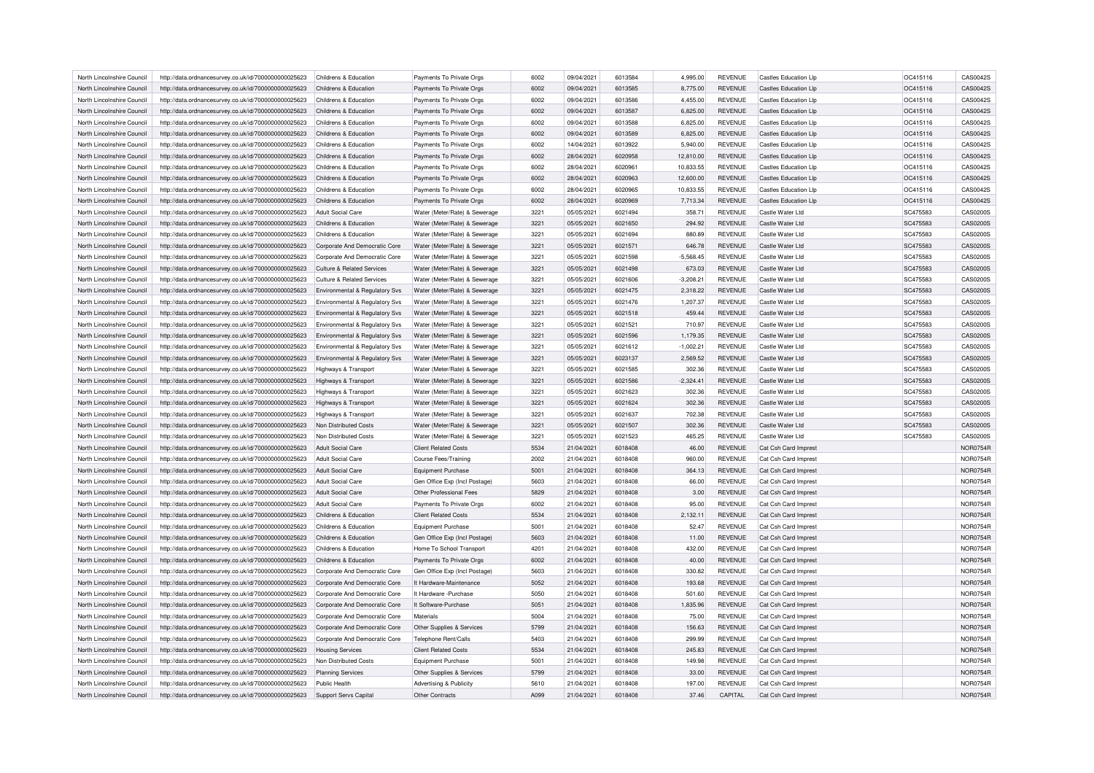| North Lincolnshire Council | http://data.ordnancesurvey.co.uk/id/7000000000025623 | Childrens & Education                     | Payments To Private Orgs           | 6002 | 09/04/2021 | 6013584 | 4,995.00    | <b>REVENUE</b> | <b>Castles Education Llp</b> | OC415116 | CAS0042S        |
|----------------------------|------------------------------------------------------|-------------------------------------------|------------------------------------|------|------------|---------|-------------|----------------|------------------------------|----------|-----------------|
| North Lincolnshire Council | http://data.ordnancesurvey.co.uk/id/7000000000025623 | Childrens & Education                     | Payments To Private Orgs           | 6002 | 09/04/2021 | 6013585 | 8,775.00    | <b>REVENUE</b> | <b>Castles Education Lip</b> | OC415116 | CAS0042S        |
| North Lincolnshire Council |                                                      | Childrens & Education                     |                                    | 6002 |            | 6013586 |             | <b>REVENUE</b> | Castles Education Llp        |          | CAS0042S        |
|                            | http://data.ordnancesurvey.co.uk/id/7000000000025623 |                                           | Payments To Private Orgs           |      | 09/04/2021 |         | 4,455.00    |                |                              | OC415116 |                 |
| North Lincolnshire Council | http://data.ordnancesurvey.co.uk/id/7000000000025623 | Childrens & Education                     | Payments To Private Orgs           | 6002 | 09/04/2021 | 6013587 | 6,825.00    | <b>REVENUE</b> | <b>Castles Education Lip</b> | OC415116 | CAS0042S        |
| North Lincolnshire Council | http://data.ordnancesurvey.co.uk/id/7000000000025623 | Childrens & Education                     | Payments To Private Orgs           | 6002 | 09/04/2021 | 6013588 | 6,825.00    | <b>REVENUE</b> | <b>Castles Education Lip</b> | OC415116 | CAS0042S        |
| North Lincolnshire Council | http://data.ordnancesurvey.co.uk/id/7000000000025623 | Childrens & Education                     | Payments To Private Orgs           | 6002 | 09/04/2021 | 6013589 | 6,825.00    | <b>REVENUE</b> | <b>Castles Education Llp</b> | OC415116 | CAS0042S        |
| North Lincolnshire Council | http://data.ordnancesurvey.co.uk/id/7000000000025623 | Childrens & Education                     | Payments To Private Orgs           | 6002 | 14/04/2021 | 6013922 | 5,940.00    | <b>REVENUE</b> | <b>Castles Education Lip</b> | OC415116 | CAS0042S        |
| North Lincolnshire Council | http://data.ordnancesurvey.co.uk/id/7000000000025623 | Childrens & Education                     | Payments To Private Orgs           | 6002 | 28/04/2021 | 6020958 | 12,810.00   | <b>REVENUE</b> | <b>Castles Education Llp</b> | OC415116 | CAS0042S        |
| North Lincolnshire Council | http://data.ordnancesurvey.co.uk/id/7000000000025623 | Childrens & Education                     | Payments To Private Orgs           | 6002 | 28/04/2021 | 6020961 | 10.833.55   | <b>REVENUE</b> | <b>Castles Education Llp</b> | OC415116 | CAS0042S        |
| North Lincolnshire Council | http://data.ordnancesurvey.co.uk/id/7000000000025623 | Childrens & Education                     | Payments To Private Orgs           | 6002 | 28/04/2021 | 3809903 | 12,600.00   | <b>REVENUE</b> | Castles Education Lip        | OC415116 | CAS0042S        |
| North Lincolnshire Council | http://data.ordnancesurvey.co.uk/id/7000000000025623 | Childrens & Education                     | Payments To Private Orgs           | 6002 | 28/04/2021 | 6020965 | 10.833.55   | <b>REVENUE</b> | <b>Castles Education Llp</b> | OC415116 | CAS0042S        |
| North Lincolnshire Council | http://data.ordnancesurvey.co.uk/id/7000000000025623 | Childrens & Education                     | Payments To Private Orgs           | 6002 | 28/04/2021 | 6020969 | 7,713.34    | <b>REVENUE</b> | <b>Castles Education Llp</b> | OC415116 | CAS0042S        |
| North Lincolnshire Council | http://data.ordnancesurvey.co.uk/id/7000000000025623 | Adult Social Care                         | Water (Meter/Rate) & Sewerage      | 3221 | 05/05/2021 | 6021494 | 358.71      | <b>REVENUE</b> | Castle Water Ltd             | SC475583 | CAS0200S        |
| North Lincolnshire Council | http://data.ordnancesurvey.co.uk/id/7000000000025623 | Childrens & Education                     | Water (Meter/Rate) & Sewerage      | 3221 | 05/05/2021 | 6021650 | 294.92      | <b>REVENUE</b> | Castle Water Ltd             | SC475583 | CAS0200S        |
| North Lincolnshire Council | http://data.ordnancesurvey.co.uk/id/7000000000025623 | Childrens & Education                     | Water (Meter/Rate) & Sewerage      | 3221 | 05/05/2021 | 6021694 | 880.89      | <b>REVENUE</b> | Castle Water Ltd             | SC475583 | CAS0200S        |
|                            |                                                      |                                           |                                    |      |            |         |             |                |                              |          |                 |
| North Lincolnshire Council | http://data.ordnancesurvey.co.uk/id/7000000000025623 | Corporate And Democratic Core             | Water (Meter/Rate) & Sewerage      | 3221 | 05/05/2021 | 6021571 | 646.78      | <b>REVENUE</b> | Castle Water Ltd             | SC475583 | CAS0200S        |
| North Lincolnshire Council | http://data.ordnancesurvey.co.uk/id/7000000000025623 | Corporate And Democratic Core             | Water (Meter/Rate) & Sewerage      | 3221 | 05/05/2021 | 6021598 | $-5,568.45$ | <b>REVENUE</b> | Castle Water Ltd             | SC475583 | CAS0200S        |
| North Lincolnshire Council | http://data.ordnancesurvey.co.uk/id/7000000000025623 | <b>Culture &amp; Related Services</b>     | Water (Meter/Rate) & Sewerage      | 3221 | 05/05/2021 | 6021498 | 673.03      | <b>REVENUE</b> | Castle Water Ltd             | SC475583 | CAS0200S        |
| North Lincolnshire Council | http://data.ordnancesurvey.co.uk/id/7000000000025623 | <b>Culture &amp; Related Services</b>     | Water (Meter/Rate) & Sewerage      | 3221 | 05/05/2021 | 6021606 | $-3,208.21$ | <b>REVENUE</b> | Castle Water Ltd             | SC475583 | CAS0200S        |
| North Lincolnshire Council | http://data.ordnancesurvey.co.uk/id/7000000000025623 | Environmental & Regulatory Svs            | Water (Meter/Rate) & Sewerage      | 3221 | 05/05/2021 | 6021475 | 2,318.22    | <b>REVENUE</b> | Castle Water Ltd             | SC475583 | CAS0200S        |
| North Lincolnshire Council | http://data.ordnancesurvey.co.uk/id/7000000000025623 | Environmental & Regulatory Svs            | Water (Meter/Rate) & Sewerage      | 3221 | 05/05/2021 | 6021476 | 1,207.37    | <b>REVENUE</b> | Castle Water Ltd             | SC475583 | CAS0200S        |
| North Lincolnshire Council | http://data.ordnancesurvey.co.uk/id/7000000000025623 | <b>Environmental &amp; Regulatory Svs</b> | Water (Meter/Rate) & Sewerage      | 3221 | 05/05/2021 | 6021518 | 459.44      | <b>REVENUE</b> | Castle Water Ltd             | SC475583 | CAS0200S        |
| North Lincolnshire Council | http://data.ordnancesurvey.co.uk/id/7000000000025623 | Environmental & Regulatory Svs            | Water (Meter/Rate) & Sewerage      | 3221 | 05/05/2021 | 6021521 | 710.97      | <b>REVENUE</b> | Castle Water Ltd             | SC475583 | CAS0200S        |
| North Lincolnshire Council | http://data.ordnancesurvey.co.uk/id/7000000000025623 | Environmental & Regulatory Svs            | Water (Meter/Rate) & Sewerage      | 3221 | 05/05/2021 | 6021596 | 1,179.35    | <b>REVENUE</b> | Castle Water Ltd             | SC475583 | CAS0200S        |
| North Lincolnshire Council | http://data.ordnancesurvey.co.uk/id/7000000000025623 | Environmental & Regulatory Svs            | Water (Meter/Rate) & Sewerage      | 3221 | 05/05/2021 | 6021612 | $-1,002.21$ | <b>REVENUE</b> | Castle Water I td            | SC475583 | CAS0200S        |
| North Lincolnshire Council | http://data.ordnancesurvey.co.uk/id/7000000000025623 | <b>Environmental &amp; Regulatory Svs</b> | Water (Meter/Rate) & Sewerage      | 3221 | 05/05/2021 | 6023137 | 2,569.52    | <b>REVENUE</b> | Castle Water Ltd             | SC475583 | CAS0200S        |
| North Lincolnshire Council | http://data.ordnancesurvey.co.uk/id/7000000000025623 | Highways & Transport                      | Water (Meter/Rate) & Sewerage      | 3221 | 05/05/2021 | 6021585 | 302.36      | <b>REVENUE</b> | Castle Water Ltd             | SC475583 | CAS0200S        |
| North Lincolnshire Council | http://data.ordnancesurvey.co.uk/id/7000000000025623 | Highways & Transport                      | Water (Meter/Rate) & Sewerage      | 3221 | 05/05/2021 | 6021586 | $-2,324.41$ | <b>REVENUE</b> | Castle Water Ltd             | SC475583 | CAS0200S        |
| North Lincolnshire Council | http://data.ordnancesurvey.co.uk/id/7000000000025623 | <b>Highways &amp; Transport</b>           | Water (Meter/Rate) & Sewerage      | 3221 | 05/05/2021 | 6021623 | 302.36      | <b>REVENUE</b> | Castle Water Ltd             | SC475583 | CAS0200S        |
| North Lincolnshire Council | http://data.ordnancesurvey.co.uk/id/7000000000025623 | Highways & Transport                      | Water (Meter/Rate) & Sewerage      | 3221 | 05/05/2021 | 6021624 | 302.36      | <b>REVENUE</b> | Castle Water Ltd             | SC475583 | CAS0200S        |
| North Lincolnshire Council | http://data.ordnancesurvey.co.uk/id/7000000000025623 | Highways & Transport                      | Water (Meter/Rate) & Sewerage      | 3221 | 05/05/2021 | 6021637 | 702.38      | <b>REVENUE</b> | Castle Water Ltd             | SC475583 | CAS0200S        |
| North Lincolnshire Council | http://data.ordnancesurvey.co.uk/id/7000000000025623 | Non Distributed Costs                     | Water (Meter/Rate) & Sewerage      | 3221 | 05/05/2021 | 6021507 | 302.36      | <b>REVENUE</b> | Castle Water Ltd             | SC475583 | CAS0200S        |
| North Lincolnshire Council | http://data.ordnancesurvey.co.uk/id/7000000000025623 | Non Distributed Costs                     | Water (Meter/Rate) & Sewerage      | 3221 | 05/05/2021 | 6021523 | 465.25      | <b>REVENUE</b> | Castle Water Ltd             | SC475583 | CAS0200S        |
| North Lincolnshire Council | http://data.ordnancesurvey.co.uk/id/7000000000025623 | Adult Social Care                         | <b>Client Related Costs</b>        | 5534 | 21/04/2021 | 6018408 | 46.00       | <b>REVENUE</b> | Cat Csh Card Imprest         |          | <b>NOR0754R</b> |
| North Lincolnshire Council | http://data.ordnancesurvey.co.uk/id/7000000000025623 | <b>Adult Social Care</b>                  | <b>Course Fees/Training</b>        | 2002 | 21/04/2021 | 6018408 | 960.00      | <b>REVENUE</b> | Cat Csh Card Imprest         |          | <b>NOR0754R</b> |
| North Lincolnshire Council | http://data.ordnancesurvey.co.uk/id/7000000000025623 | <b>Adult Social Care</b>                  | <b>Equipment Purchase</b>          | 5001 | 21/04/2021 | 6018408 | 364.13      | <b>REVENUE</b> | Cat Csh Card Imprest         |          | <b>NOR0754R</b> |
|                            |                                                      |                                           |                                    | 5603 |            | 6018408 |             |                |                              |          |                 |
| North Lincolnshire Council | http://data.ordnancesurvey.co.uk/id/7000000000025623 | <b>Adult Social Care</b>                  | Gen Office Exp (Incl Postage)      |      | 21/04/2021 |         | 66.00       | <b>REVENUE</b> | Cat Csh Card Imprest         |          | <b>NOR0754R</b> |
| North Lincolnshire Council | http://data.ordnancesurvey.co.uk/id/7000000000025623 | <b>Adult Social Care</b>                  | Other Professional Fees            | 5829 | 21/04/2021 | 6018408 | 3.00        | <b>REVENUE</b> | Cat Csh Card Imprest         |          | <b>NOR0754R</b> |
| North Lincolnshire Council | http://data.ordnancesurvey.co.uk/id/7000000000025623 | <b>Adult Social Care</b>                  | Payments To Private Orgs           | 6002 | 21/04/2021 | 6018408 | 95.00       | <b>REVENUE</b> | Cat Csh Card Imprest         |          | <b>NOR0754R</b> |
| North Lincolnshire Council | http://data.ordnancesurvey.co.uk/id/7000000000025623 | Childrens & Education                     | <b>Client Related Costs</b>        | 5534 | 21/04/2021 | 6018408 | 2,132.11    | <b>REVENUE</b> | Cat Csh Card Imprest         |          | <b>NOR0754R</b> |
| North Lincolnshire Council | http://data.ordnancesurvey.co.uk/id/7000000000025623 | Childrens & Education                     | <b>Equipment Purchase</b>          | 5001 | 21/04/2021 | 6018408 | 52.47       | <b>REVENUE</b> | Cat Csh Card Imprest         |          | <b>NOR0754R</b> |
| North Lincolnshire Council | http://data.ordnancesurvey.co.uk/id/7000000000025623 | Childrens & Education                     | Gen Office Exp (Incl Postage)      | 5603 | 21/04/2021 | 6018408 | 11.00       | <b>REVENUE</b> | Cat Csh Card Imprest         |          | <b>NOR0754R</b> |
| North Lincolnshire Council | http://data.ordnancesurvey.co.uk/id/7000000000025623 | Childrens & Education                     | Home To School Transport           | 4201 | 21/04/2021 | 6018408 | 432.00      | REVENUE        | Cat Csh Card Imprest         |          | <b>NOR0754R</b> |
| North Lincolnshire Council | http://data.ordnancesurvey.co.uk/id/7000000000025623 | Childrens & Education                     | Payments To Private Orgs           | 6002 | 21/04/2021 | 6018408 | 40.00       | <b>REVENUE</b> | Cat Csh Card Imprest         |          | <b>NOR0754R</b> |
| North Lincolnshire Council | http://data.ordnancesurvey.co.uk/id/7000000000025623 | Corporate And Democratic Core             | Gen Office Exp (Incl Postage)      | 5603 | 21/04/2021 | 6018408 | 330.82      | <b>REVENUE</b> | Cat Csh Card Imprest         |          | <b>NOR0754R</b> |
| North Lincolnshire Council | http://data.ordnancesurvey.co.uk/id/7000000000025623 | Corporate And Democratic Core             | It Hardware-Maintenance            | 5052 | 21/04/2021 | 6018408 | 193.68      | <b>REVENUE</b> | Cat Csh Card Imprest         |          | <b>NOR0754R</b> |
| North Lincolnshire Council | http://data.ordnancesurvey.co.uk/id/7000000000025623 | Corporate And Democratic Core             | It Hardware - Purchase             | 5050 | 21/04/2021 | 6018408 | 501.60      | <b>REVENUE</b> | Cat Csh Card Imprest         |          | <b>NOR0754R</b> |
| North Lincolnshire Council | http://data.ordnancesurvey.co.uk/id/7000000000025623 | Corporate And Democratic Core             | It Software-Purchase               | 5051 | 21/04/2021 | 6018408 | 1.835.96    | <b>REVENUE</b> | Cat Csh Card Imprest         |          | <b>NOR0754R</b> |
| North Lincolnshire Council | http://data.ordnancesurvey.co.uk/id/7000000000025623 | Corporate And Democratic Core             | Materials                          | 5004 | 21/04/2021 | 6018408 | 75.00       | <b>REVENUE</b> | Cat Csh Card Imprest         |          | <b>NOR0754R</b> |
| North Lincolnshire Council | http://data.ordnancesurvey.co.uk/id/7000000000025623 | Corporate And Democratic Core             | Other Supplies & Services          | 5799 | 21/04/2021 | 6018408 | 156.63      | <b>REVENUE</b> | Cat Csh Card Imprest         |          | <b>NOR0754R</b> |
| North Lincolnshire Council | http://data.ordnancesurvey.co.uk/id/7000000000025623 | Corporate And Democratic Core             | Telephone Rent/Calls               | 5403 | 21/04/2021 | 6018408 | 299.99      | <b>REVENUE</b> | Cat Csh Card Imprest         |          | <b>NOR0754R</b> |
| North Lincolnshire Council | http://data.ordnancesurvey.co.uk/id/7000000000025623 | <b>Housing Services</b>                   | <b>Client Related Costs</b>        | 5534 | 21/04/2021 | 6018408 | 245.83      | <b>REVENUE</b> | Cat Csh Card Imprest         |          | <b>NOR0754R</b> |
| North Lincolnshire Council | http://data.ordnancesurvey.co.uk/id/7000000000025623 | Non Distributed Costs                     | <b>Equipment Purchase</b>          | 5001 | 21/04/2021 | 6018408 | 149.98      | <b>REVENUE</b> | Cat Csh Card Imprest         |          | <b>NOR0754R</b> |
| North Lincolnshire Council | http://data.ordnancesurvey.co.uk/id/7000000000025623 | <b>Planning Services</b>                  | Other Supplies & Services          | 5799 | 21/04/2021 | 6018408 | 33.00       | <b>REVENUE</b> | Cat Csh Card Imprest         |          | <b>NOR0754R</b> |
| North Lincolnshire Council | http://data.ordnancesurvey.co.uk/id/7000000000025623 | Public Health                             | <b>Advertising &amp; Publicity</b> | 5610 | 21/04/2021 | 6018408 | 197.00      | <b>REVENUE</b> | Cat Csh Card Imprest         |          | <b>NOR0754R</b> |
| North Lincolnshire Council | http://data.ordnancesurvey.co.uk/id/7000000000025623 | Support Servs Capital                     | Other Contracts                    | A099 | 21/04/2021 | 6018408 | 37.46       | CAPITAL        | Cat Csh Card Imprest         |          | <b>NOR0754R</b> |
|                            |                                                      |                                           |                                    |      |            |         |             |                |                              |          |                 |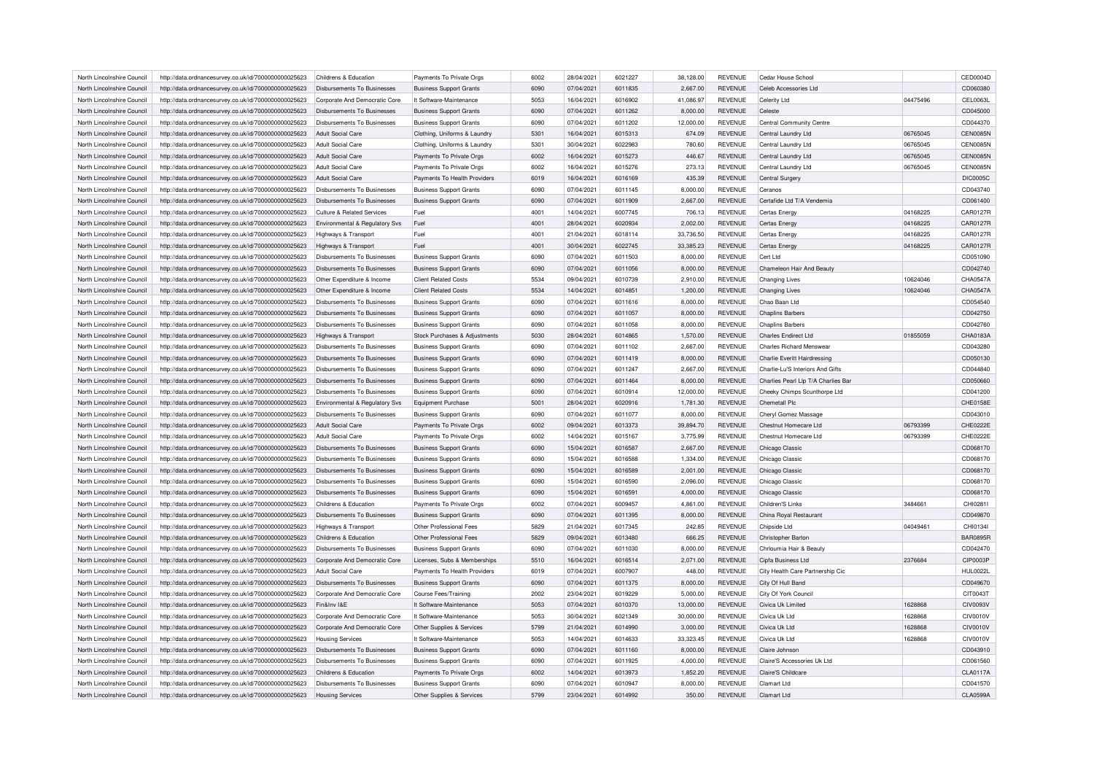| North Lincolnshire Council | http://data.ordnancesurvey.co.uk/id/7000000000025623 | Childrens & Education              | Payments To Private Orgs                                      | 6002 | 28/04/2021               | 6021227            | 38,128.00 | <b>REVENUE</b>                   | Cedar House School                  |          | CED0004D        |
|----------------------------|------------------------------------------------------|------------------------------------|---------------------------------------------------------------|------|--------------------------|--------------------|-----------|----------------------------------|-------------------------------------|----------|-----------------|
| North Lincolnshire Council | http://data.ordnancesurvey.co.uk/id/7000000000025623 | Disbursements To Businesses        | <b>Business Support Grants</b>                                | 6090 | 07/04/2021               | 6011835            | 2,667.00  | <b>REVENUE</b>                   | Celeb Accessories Ltd               |          | CD060380        |
| North Lincolnshire Council | http://data.ordnancesurvey.co.uk/id/7000000000025623 | Corporate And Democratic Core      | It Software-Maintenance                                       | 5053 | 16/04/2021               | 6016902            | 41,086.97 | REVENUE                          | Celerity Ltd                        | 04475496 | CEL0063L        |
| North Lincolnshire Council | http://data.ordnancesurvey.co.uk/id/7000000000025623 | Disbursements To Businesses        | <b>Business Support Grants</b>                                | 6090 | 07/04/2021               | 6011262            | 8,000.00  | <b>REVENUE</b>                   | Celeste                             |          | CD045000        |
| North Lincolnshire Council | http://data.ordnancesurvey.co.uk/id/7000000000025623 | Disbursements To Businesses        | <b>Business Support Grants</b>                                | 6090 | 07/04/2021               | 6011202            | 12,000.00 | <b>REVENUE</b>                   | Central Community Centre            |          | CD044370        |
| North Lincolnshire Council | http://data.ordnancesurvey.co.uk/id/7000000000025623 | Adult Social Care                  | Clothing, Uniforms & Laundry                                  | 5301 | 16/04/2021               | 6015313            | 674.09    | REVENUE                          | Central Laundry Ltd                 | 06765045 | <b>CEN0085N</b> |
| North Lincolnshire Council | http://data.ordnancesurvey.co.uk/id/7000000000025623 | <b>Adult Social Care</b>           | Clothing, Uniforms & Laundry                                  | 5301 | 30/04/2021               | 6022983            | 780.60    | <b>REVENUE</b>                   | Central Laundry Ltd                 | 06765045 | <b>CEN0085N</b> |
| North Lincolnshire Council | http://data.ordnancesurvey.co.uk/id/7000000000025623 | Adult Social Care                  | Payments To Private Orgs                                      | 6002 | 16/04/2021               | 6015273            | 446.67    | <b>REVENUE</b>                   | Central Laundry Ltd                 | 06765045 | <b>CEN0085N</b> |
| North Lincolnshire Council | http://data.ordnancesurvey.co.uk/id/7000000000025623 | <b>Adult Social Care</b>           | Payments To Private Orgs                                      | 6002 | 16/04/2021               | 6015276            | 273.13    | <b>REVENUE</b>                   | Central Laundry Ltd                 | 06765045 | <b>CEN0085N</b> |
| North Lincolnshire Council | http://data.ordnancesurvey.co.uk/id/7000000000025623 | <b>Adult Social Care</b>           | Payments To Health Providers                                  | 6019 | 16/04/2021               | 6016169            | 435.39    | REVENUE                          | Central Surgery                     |          | <b>DIC0005C</b> |
| North Lincolnshire Council | http://data.ordnancesurvey.co.uk/id/7000000000025623 | Disbursements To Businesses        | <b>Business Support Grants</b>                                | 6090 | 07/04/2021               | 6011145            | 8.000.00  | <b>REVENUE</b>                   | Ceranos                             |          | CD043740        |
| North Lincolnshire Council | http://data.ordnancesurvey.co.uk/id/7000000000025623 | Disbursements To Businesses        | <b>Business Support Grants</b>                                | 6090 | 07/04/2021               | 6011909            | 2,667.00  | <b>REVENUE</b>                   | Certafide Ltd T/A Vendemia          |          | CD061400        |
| North Lincolnshire Council | http://data.ordnancesurvey.co.uk/id/7000000000025623 | Culture & Related Services         | Fuel                                                          | 4001 | 14/04/2021               | 6007745            | 706.13    | <b>REVENUE</b>                   | Certas Energy                       | 04168225 | <b>CAR0127F</b> |
| North Lincolnshire Council | http://data.ordnancesurvey.co.uk/id/7000000000025623 | Environmental & Regulatory Svs     | Fuel                                                          | 4001 | 28/04/2021               | 6020934            | 2,002.00  | <b>REVENUE</b>                   | Certas Energy                       | 04168225 | CAR0127R        |
| North Lincolnshire Council | http://data.ordnancesurvey.co.uk/id/7000000000025623 | Highways & Transport               | Fuel                                                          | 4001 | 21/04/2021               | 6018114            | 33,736.50 | <b>REVENUE</b>                   | Certas Energy                       | 04168225 | <b>CAR0127F</b> |
| North Lincolnshire Council | http://data.ordnancesurvey.co.uk/id/7000000000025623 | Highways & Transport               | Fuel                                                          | 4001 | 30/04/2021               | 6022745            | 33,385.23 | <b>REVENUE</b>                   | Certas Energy                       | 04168225 | <b>CAR0127R</b> |
| North Lincolnshire Council | http://data.ordnancesurvey.co.uk/id/7000000000025623 | Disbursements To Businesses        | <b>Business Support Grants</b>                                | 6090 | 07/04/2021               | 6011503            | 8,000.00  | <b>REVENUE</b>                   | Cert Ltd                            |          | CD051090        |
|                            |                                                      |                                    |                                                               | 6090 |                          |                    |           |                                  |                                     |          | CD042740        |
| North Lincolnshire Council | http://data.ordnancesurvey.co.uk/id/7000000000025623 | Disbursements To Businesses        | <b>Business Support Grants</b><br><b>Client Related Costs</b> | 5534 | 07/04/2021<br>09/04/2021 | 6011056<br>6010739 | 8,000.00  | <b>REVENUE</b><br><b>REVENUE</b> | Chameleon Hair And Beauty           | 10624046 | CHA0547A        |
| North Lincolnshire Council | http://data.ordnancesurvey.co.uk/id/7000000000025623 | Other Expenditure & Income         |                                                               |      |                          |                    | 2,910.00  |                                  | <b>Changing Lives</b>               |          |                 |
| North Lincolnshire Council | http://data.ordnancesurvey.co.uk/id/7000000000025623 | Other Expenditure & Income         | <b>Client Related Costs</b>                                   | 5534 | 14/04/2021               | 6014851            | 1,200.00  | <b>REVENUE</b>                   | <b>Changing Lives</b>               | 10624046 | CHA0547A        |
| North Lincolnshire Council | http://data.ordnancesurvey.co.uk/id/7000000000025623 | Disbursements To Businesses        | <b>Business Support Grants</b>                                | 6090 | 07/04/2021               | 6011616            | 8,000.00  | REVENUE                          | Chao Baan Ltd                       |          | CD054540        |
| North Lincolnshire Council | http://data.ordnancesurvey.co.uk/id/7000000000025623 | <b>Disbursements To Businesses</b> | <b>Business Support Grants</b>                                | 6090 | 07/04/2021               | 6011057            | 8,000.00  | <b>REVENUE</b>                   | <b>Chaplins Barbers</b>             |          | CD042750        |
| North Lincolnshire Council | http://data.ordnancesurvey.co.uk/id/7000000000025623 | Disbursements To Businesses        | <b>Business Support Grants</b>                                | 6090 | 07/04/2021               | 6011058            | 8,000.00  | <b>REVENUE</b>                   | <b>Chaplins Barbers</b>             |          | CD042760        |
| North Lincolnshire Council | http://data.ordnancesurvey.co.uk/id/7000000000025623 | Highways & Transport               | Stock Purchases & Adjustments                                 | 5030 | 28/04/2021               | 6014865            | 1,570.00  | REVENUE                          | <b>Charles Endirect Ltd</b>         | 01855059 | CHA0183A        |
| North Lincolnshire Council | http://data.ordnancesurvey.co.uk/id/7000000000025623 | Disbursements To Businesses        | <b>Business Support Grants</b>                                | 6090 | 07/04/2021               | 6011102            | 2,667.00  | <b>REVENUE</b>                   | <b>Charles Richard Menswear</b>     |          | CD043280        |
| North Lincolnshire Council | http://data.ordnancesurvey.co.uk/id/7000000000025623 | Disbursements To Businesses        | <b>Business Support Grants</b>                                | 6090 | 07/04/2021               | 6011419            | 8.000.00  | <b>REVENUE</b>                   | Charlie Everitt Hairdressing        |          | CD050130        |
| North Lincolnshire Council | http://data.ordnancesurvey.co.uk/id/7000000000025623 | Disbursements To Businesses        | <b>Business Support Grants</b>                                | 6090 | 07/04/2021               | 6011247            | 2,667.00  | <b>REVENUE</b>                   | Charlie-Lu'S Interiors And Gifts    |          | CD044840        |
| North Lincolnshire Council | http://data.ordnancesurvey.co.uk/id/7000000000025623 | <b>Disbursements To Businesses</b> | <b>Business Support Grants</b>                                | 6090 | 07/04/2021               | 6011464            | 8,000.00  | <b>REVENUE</b>                   | Charlies Pearl Llp T/A Charlies Bar |          | CD050660        |
| North Lincolnshire Council | http://data.ordnancesurvey.co.uk/id/7000000000025623 | Disbursements To Businesses        | <b>Business Support Grants</b>                                | 6090 | 07/04/2021               | 6010914            | 12.000.00 | <b>REVENUE</b>                   | Cheeky Chimps Scunthorpe Ltd        |          | CD041200        |
| North Lincolnshire Council | http://data.ordnancesurvey.co.uk/id/7000000000025623 | Environmental & Regulatory Svs     | <b>Equipment Purchase</b>                                     | 5001 | 28/04/2021               | 6020916            | 1,781.30  | REVENUE                          | <b>Chemetall Plc</b>                |          | CHE0158E        |
| North Lincolnshire Council | http://data.ordnancesurvey.co.uk/id/7000000000025623 | Disbursements To Businesses        | <b>Business Support Grants</b>                                | 6090 | 07/04/2021               | 6011077            | 8,000.00  | <b>REVENUE</b>                   | Cheryl Gomez Massage                |          | CD043010        |
| North Lincolnshire Council | http://data.ordnancesurvey.co.uk/id/7000000000025623 | Adult Social Care                  | Payments To Private Orgs                                      | 6002 | 09/04/2021               | 6013373            | 39,894.70 | <b>REVENUE</b>                   | Chestnut Homecare Ltd               | 06793399 | CHE0222E        |
| North Lincolnshire Council | http://data.ordnancesurvey.co.uk/id/7000000000025623 | Adult Social Care                  | Payments To Private Orgs                                      | 6002 | 14/04/2021               | 6015167            | 3,775.99  | <b>REVENUE</b>                   | Chestnut Homecare Ltd               | 06793399 | CHE0222E        |
| North Lincolnshire Council | http://data.ordnancesurvey.co.uk/id/7000000000025623 | Disbursements To Businesses        | <b>Business Support Grants</b>                                | 6090 | 15/04/2021               | 6016587            | 2,667.00  | <b>REVENUE</b>                   | Chicago Classic                     |          | CD068170        |
| North Lincolnshire Council | http://data.ordnancesurvey.co.uk/id/7000000000025623 | <b>Disbursements To Businesses</b> | <b>Business Support Grants</b>                                | 6090 | 15/04/2021               | 6016588            | 1,334.00  | <b>REVENUE</b>                   | Chicago Classic                     |          | CD068170        |
| North Lincolnshire Council | http://data.ordnancesurvey.co.uk/id/7000000000025623 | Disbursements To Businesses        | <b>Business Support Grants</b>                                | 6090 | 15/04/2021               | 6016589            | 2,001.00  | <b>REVENUE</b>                   | Chicago Classic                     |          | CD068170        |
| North Lincolnshire Council | http://data.ordnancesurvey.co.uk/id/7000000000025623 | Disbursements To Businesses        | <b>Business Support Grants</b>                                | 6090 | 15/04/2021               | 6016590            | 2,096.00  | <b>REVENUE</b>                   | Chicago Classic                     |          | CD068170        |
| North Lincolnshire Council | http://data.ordnancesurvey.co.uk/id/7000000000025623 | Disbursements To Businesses        | <b>Business Support Grants</b>                                | 6090 | 15/04/2021               | 6016591            | 4,000.00  | <b>REVENUE</b>                   | Chicago Classic                     |          | CD068170        |
| North Lincolnshire Council | http://data.ordnancesurvey.co.uk/id/7000000000025623 | Childrens & Education              | Payments To Private Orgs                                      | 6002 | 07/04/2021               | 6009457            | 4,861.00  | <b>REVENUE</b>                   | Children'S Links                    | 3484661  | CHI0281         |
| North Lincolnshire Council | http://data.ordnancesurvey.co.uk/id/7000000000025623 | Disbursements To Businesses        | <b>Business Support Grants</b>                                | 6090 | 07/04/2021               | 6011395            | 8,000.00  | <b>REVENUE</b>                   | China Royal Restaurant              |          | CD049870        |
| North Lincolnshire Council | http://data.ordnancesurvey.co.uk/id/7000000000025623 | Highways & Transport               | Other Professional Fees                                       | 5829 | 21/04/2021               | 6017345            | 242.85    | <b>REVENUE</b>                   | Chipside Ltd                        | 04049461 | CHI01341        |
| North Lincolnshire Council | http://data.ordnancesurvey.co.uk/id/7000000000025623 | Childrens & Education              | Other Professional Fees                                       | 5829 | 09/04/2021               | 6013480            | 666.25    | <b>REVENUE</b>                   | Christopher Barton                  |          | <b>BAR0895R</b> |
| North Lincolnshire Council | http://data.ordnancesurvey.co.uk/id/7000000000025623 | Disbursements To Businesses        | <b>Business Support Grants</b>                                | 6090 | 07/04/2021               | 6011030            | 8,000.00  | <b>REVENUE</b>                   | Chrloumia Hair & Beauty             |          | CD042470        |
| North Lincolnshire Council | http://data.ordnancesurvey.co.uk/id/7000000000025623 | Corporate And Democratic Core      | Licenses, Subs & Memberships                                  | 5510 | 16/04/2021               | 6016514            | 2.071.00  | <b>REVENUE</b>                   | Cinfa Business I td                 | 2376684  | CIP0003P        |
| North Lincolnshire Council | http://data.ordnancesurvey.co.uk/id/7000000000025623 | <b>Adult Social Care</b>           | Payments To Health Providers                                  | 6019 | 07/04/2021               | 6007907            | 448.00    | <b>REVENUE</b>                   | City Health Care Partnership Cic    |          | <b>HUL0022L</b> |
| North Lincolnshire Council | http://data.ordnancesurvey.co.uk/id/7000000000025623 | <b>Disbursements To Businesses</b> | <b>Business Support Grants</b>                                | 6090 | 07/04/2021               | 6011375            | 8,000.00  | <b>REVENUE</b>                   | City Of Hull Band                   |          | CD049670        |
| North Lincolnshire Council | http://data.ordnancesurvey.co.uk/id/7000000000025623 | Corporate And Democratic Core      | <b>Course Fees/Training</b>                                   | 2002 | 23/04/2021               | 6019229            | 5.000.00  | <b>REVENUE</b>                   | City Of York Council                |          | CIT0043T        |
| North Lincolnshire Council | http://data.ordnancesurvey.co.uk/id/7000000000025623 | Fin&Inv I&E                        | It Software-Maintenance                                       | 5053 | 07/04/2021               | 6010370            | 13,000.00 | <b>REVENUE</b>                   | Civica Uk Limited                   | 1628868  | <b>CIV0093V</b> |
| North Lincolnshire Council | http://data.ordnancesurvey.co.uk/id/7000000000025623 | Corporate And Democratic Core      | It Software-Maintenance                                       | 5053 | 30/04/2021               | 6021349            | 30,000.00 | <b>REVENUE</b>                   | Civica Uk Ltd                       | 1628868  | <b>CIV0010V</b> |
| North Lincolnshire Council | http://data.ordnancesurvey.co.uk/id/7000000000025623 | Corporate And Democratic Core      | Other Supplies & Services                                     | 5799 | 21/04/2021               | 6014990            | 3,000.00  | <b>REVENUE</b>                   | Civica Uk Ltd                       | 1628868  | <b>CIV0010V</b> |
|                            |                                                      |                                    |                                                               |      | 14/04/2021               | 6014633            |           | <b>REVENUE</b>                   | Civica Uk Ltd                       | 1628868  |                 |
| North Lincolnshire Council | http://data.ordnancesurvey.co.uk/id/7000000000025623 | <b>Housing Services</b>            | It Software-Maintenance                                       | 5053 |                          |                    | 33,323.45 |                                  |                                     |          | <b>CIV0010V</b> |
| North Lincolnshire Council | http://data.ordnancesurvey.co.uk/id/7000000000025623 | Disbursements To Businesses        | <b>Business Support Grants</b>                                | 6090 | 07/04/2021               | 6011160            | 8,000.00  | <b>REVENUE</b>                   | Claire Johnson                      |          | CD043910        |
| North Lincolnshire Council | http://data.ordnancesurvey.co.uk/id/7000000000025623 | <b>Disbursements To Businesses</b> | <b>Business Support Grants</b>                                | 6090 | 07/04/2021               | 6011925            | 4,000.00  | <b>REVENUE</b>                   | Claire'S Accessories Uk Ltd         |          | CD061560        |
| North Lincolnshire Council | http://data.ordnancesurvey.co.uk/id/7000000000025623 | Childrens & Education              | Payments To Private Orgs                                      | 6002 | 14/04/2021               | 6013973            | 1,852.20  | <b>REVENUE</b>                   | Claire'S Childcare                  |          | <b>CLA0117A</b> |
| North Lincolnshire Council | http://data.ordnancesurvey.co.uk/id/7000000000025623 | Disbursements To Businesses        | <b>Business Support Grants</b>                                | 6090 | 07/04/2021               | 6010947            | 8,000.00  | <b>REVENUE</b>                   | <b>Clamart Ltd</b>                  |          | CD041570        |
| North Lincolnshire Council | http://data.ordnancesurvey.co.uk/id/7000000000025623 | <b>Housing Services</b>            | Other Supplies & Services                                     | 5799 | 23/04/2021               | 6014992            | 350.00    | <b>REVENUE</b>                   | Clamart I td                        |          | <b>CLA0599A</b> |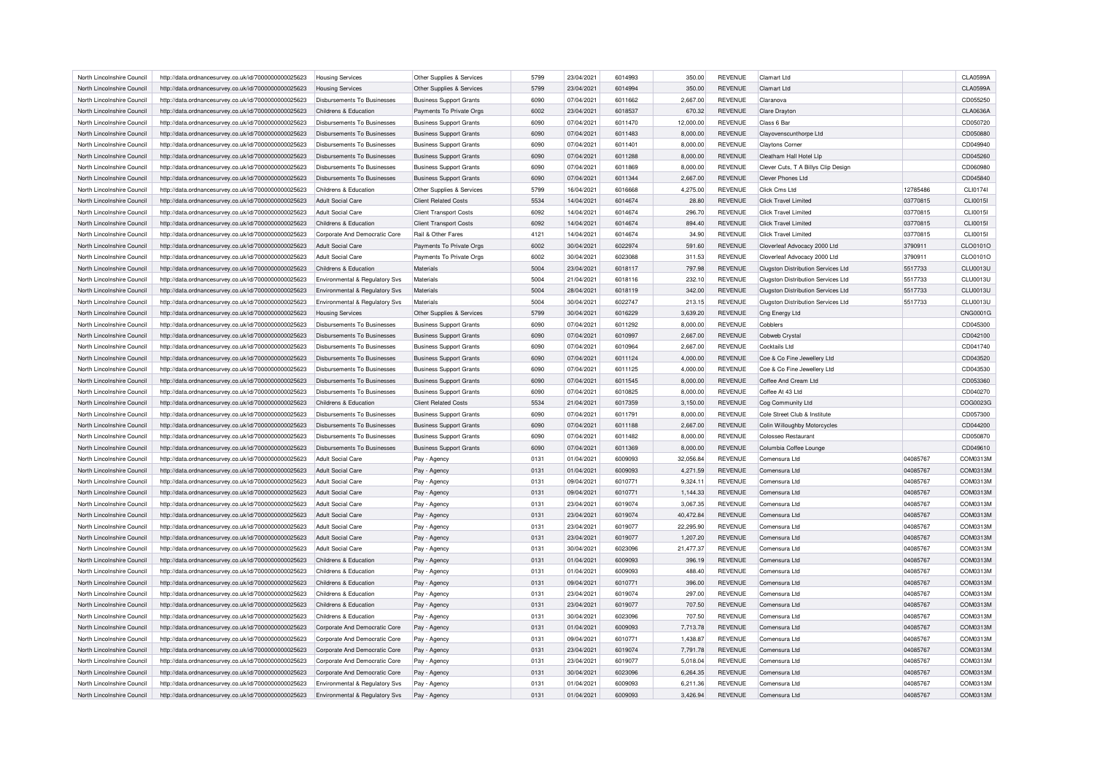| North Lincolnshire Council | http://data.ordnancesurvey.co.uk/id/7000000000025623 | <b>Housing Services</b>            | Other Supplies & Services      | 5799 | 23/04/2021 | 6014993 | 350.00    | <b>REVENUE</b> | Clamart Ltd                               |          | <b>CLA0599A</b> |
|----------------------------|------------------------------------------------------|------------------------------------|--------------------------------|------|------------|---------|-----------|----------------|-------------------------------------------|----------|-----------------|
| North Lincolnshire Council | http://data.ordnancesurvey.co.uk/id/7000000000025623 | <b>Housing Services</b>            | Other Supplies & Services      | 5799 | 23/04/2021 | 6014994 | 350.00    | <b>REVENUE</b> | Clamart Ltd                               |          | <b>CLA0599A</b> |
| North Lincolnshire Council | http://data.ordnancesurvey.co.uk/id/7000000000025623 | Disbursements To Businesses        | <b>Business Support Grants</b> | 6090 | 07/04/2021 | 6011662 | 2,667.00  | <b>REVENUE</b> | Claranova                                 |          | CD055250        |
| North Lincolnshire Council | http://data.ordnancesurvey.co.uk/id/7000000000025623 | Childrens & Education              | Payments To Private Orgs       | 6002 | 23/04/2021 | 6018537 | 670.32    | <b>REVENUE</b> | <b>Clare Drayton</b>                      |          | <b>CLA0636A</b> |
| North Lincolnshire Council | http://data.ordnancesurvey.co.uk/id/7000000000025623 | Disbursements To Businesses        | <b>Business Support Grants</b> | 6090 | 07/04/2021 | 6011470 | 12,000.00 | <b>REVENUE</b> | Class 6 Ba                                |          | CD050720        |
| North Lincolnshire Council | http://data.ordnancesurvey.co.uk/id/7000000000025623 | Disbursements To Businesses        | <b>Business Support Grants</b> | 6090 | 07/04/2021 | 6011483 | 8,000.00  | <b>REVENUE</b> | Clayovenscunthorpe Ltd                    |          | CD050880        |
| North Lincolnshire Council | http://data.ordnancesurvey.co.uk/id/7000000000025623 | Disbursements To Businesses        | <b>Business Support Grants</b> | 6090 | 07/04/2021 | 6011401 | 8,000.00  | <b>REVENUE</b> | Claytons Corner                           |          | CD049940        |
| North Lincolnshire Council | http://data.ordnancesurvey.co.uk/id/7000000000025623 | Disbursements To Businesses        | <b>Business Support Grants</b> | 6090 | 07/04/2021 | 6011288 | 8,000.00  | <b>REVENUE</b> | Cleatham Hall Hotel Lip                   |          | CD045260        |
| North Lincolnshire Council | http://data.ordnancesurvey.co.uk/id/7000000000025623 | Disbursements To Businesses        | <b>Business Support Grants</b> | 6090 | 07/04/2021 | 6011869 | 8,000.00  | <b>REVENUE</b> | Clever Cuts, T A Billys Clip Design       |          | CD060980        |
| North Lincolnshire Council | http://data.ordnancesurvey.co.uk/id/7000000000025623 | Disbursements To Businesses        | <b>Business Support Grants</b> | 6090 | 07/04/2021 | 6011344 | 2,667.00  | <b>REVENUE</b> | <b>Clever Phones Ltd</b>                  |          | CD045840        |
| North Lincolnshire Council | http://data.ordnancesurvey.co.uk/id/7000000000025623 | Childrens & Education              | Other Supplies & Services      | 5799 | 16/04/2021 | 6016668 | 4,275.00  | <b>REVENUE</b> | Click Cms Ltd                             | 12785486 | CLI0174         |
| North Lincolnshire Council |                                                      | Adult Social Care                  | <b>Client Related Costs</b>    | 5534 | 14/04/2021 | 6014674 | 28.80     | <b>REVENUE</b> | <b>Click Travel Limited</b>               | 03770815 | <b>CLI0015I</b> |
|                            | http://data.ordnancesurvey.co.uk/id/7000000000025623 |                                    |                                |      |            |         |           |                |                                           |          |                 |
| North Lincolnshire Council | http://data.ordnancesurvey.co.uk/id/7000000000025623 | Adult Social Care                  | <b>Client Transport Costs</b>  | 6092 | 14/04/2021 | 6014674 | 296.70    | <b>REVENUE</b> | <b>Click Travel Limited</b>               | 03770815 | CLI0015I        |
| North Lincolnshire Council | http://data.ordnancesurvey.co.uk/id/7000000000025623 | Childrens & Education              | <b>Client Transport Costs</b>  | 6092 | 14/04/2021 | 6014674 | 894.40    | <b>REVENUE</b> | <b>Click Travel Limited</b>               | 03770815 | CLI0015I        |
| North Lincolnshire Council | http://data.ordnancesurvey.co.uk/id/7000000000025623 | Corporate And Democratic Core      | Rail & Other Fares             | 4121 | 14/04/2021 | 6014674 | 34.90     | <b>REVENUE</b> | <b>Click Travel Limited</b>               | 03770815 | CLI0015I        |
| North Lincolnshire Council | http://data.ordnancesurvey.co.uk/id/7000000000025623 | <b>Adult Social Care</b>           | Payments To Private Orgs       | 6002 | 30/04/2021 | 6022974 | 591.60    | <b>REVENUE</b> | Cloverleaf Advocacy 2000 Ltd              | 3790911  | CLO0101O        |
| North Lincolnshire Council | http://data.ordnancesurvey.co.uk/id/7000000000025623 | Adult Social Care                  | Payments To Private Orgs       | 6002 | 30/04/2021 | 6023088 | 311.53    | <b>REVENUE</b> | Cloverleaf Advocacy 2000 Ltd              | 3790911  | CLO0101O        |
| North Lincolnshire Council | http://data.ordnancesurvey.co.uk/id/7000000000025623 | Childrens & Education              | Materials                      | 5004 | 23/04/2021 | 6018117 | 797.98    | <b>REVENUE</b> | Clugston Distribution Services Ltd        | 5517733  | <b>CLU0013U</b> |
| North Lincolnshire Council | http://data.ordnancesurvey.co.uk/id/7000000000025623 | Environmental & Regulatory Svs     | Materials                      | 5004 | 21/04/2021 | 6018116 | 232.10    | <b>REVENUE</b> | <b>Clugston Distribution Services Ltd</b> | 5517733  | <b>CLU0013U</b> |
| North Lincolnshire Council | http://data.ordnancesurvey.co.uk/id/7000000000025623 | Environmental & Regulatory Svs     | Materials                      | 5004 | 28/04/2021 | 6018119 | 342.00    | <b>REVENUE</b> | <b>Clugston Distribution Services Ltd</b> | 5517733  | <b>CLU0013U</b> |
| North Lincolnshire Council | http://data.ordnancesurvey.co.uk/id/7000000000025623 | Environmental & Regulatory Svs     | Materials                      | 5004 | 30/04/2021 | 6022747 | 213.15    | <b>REVENUE</b> | Clugston Distribution Services Ltd        | 5517733  | <b>CLU0013U</b> |
| North Lincolnshire Council | http://data.ordnancesurvey.co.uk/id/7000000000025623 | <b>Housing Services</b>            | Other Supplies & Services      | 5799 | 30/04/2021 | 6016229 | 3,639.20  | <b>REVENUE</b> | Cng Energy Ltd                            |          | <b>CNG0001G</b> |
| North Lincolnshire Council | http://data.ordnancesurvey.co.uk/id/7000000000025623 | <b>Disbursements To Businesses</b> | <b>Business Support Grants</b> | 6090 | 07/04/2021 | 6011292 | 8,000.00  | <b>REVENUE</b> | Cobblers                                  |          | CD045300        |
| North Lincolnshire Council | http://data.ordnancesurvey.co.uk/id/7000000000025623 | <b>Disbursements To Businesses</b> | <b>Business Support Grants</b> | 6090 | 07/04/2021 | 6010997 | 2,667.00  | <b>REVENUE</b> | Cobweb Crystal                            |          | CD042100        |
| North Lincolnshire Council | http://data.ordnancesurvey.co.uk/id/7000000000025623 | Disbursements To Businesses        | <b>Business Support Grants</b> | 6090 | 07/04/2021 | 6010964 | 2,667.00  | <b>REVENUE</b> | Cocktails Ltd                             |          | CD041740        |
| North Lincolnshire Council | http://data.ordnancesurvey.co.uk/id/7000000000025623 | Disbursements To Businesses        | <b>Business Support Grants</b> | 6090 | 07/04/2021 | 6011124 | 4,000.00  | <b>REVENUE</b> | Coe & Co Fine Jewellery Ltd               |          | CD043520        |
| North Lincolnshire Council | http://data.ordnancesurvey.co.uk/id/7000000000025623 | Disbursements To Businesses        | <b>Business Support Grants</b> | 6090 | 07/04/2021 | 6011125 | 4,000.00  | <b>REVENUE</b> | Coe & Co Fine Jewellery Ltd               |          | CD043530        |
| North Lincolnshire Council |                                                      | Disbursements To Businesses        |                                | 6090 | 07/04/2021 | 6011545 |           | <b>REVENUE</b> | Coffee And Cream Ltd                      |          | CD053360        |
| North Lincolnshire Council | http://data.ordnancesurvey.co.uk/id/7000000000025623 | Disbursements To Businesses        | <b>Business Support Grants</b> | 6090 |            | 6010825 | 8,000.00  | <b>REVENUE</b> | Coffee At 43 Ltd                          |          |                 |
|                            | http://data.ordnancesurvey.co.uk/id/7000000000025623 |                                    | <b>Business Support Grants</b> |      | 07/04/2021 |         | 8,000.00  |                |                                           |          | CD040270        |
| North Lincolnshire Council | http://data.ordnancesurvey.co.uk/id/7000000000025623 | Childrens & Education              | <b>Client Related Costs</b>    | 5534 | 21/04/2021 | 6017359 | 3,150.00  | <b>REVENUE</b> | Cog Community Ltd                         |          | COG0023G        |
| North Lincolnshire Council | http://data.ordnancesurvey.co.uk/id/7000000000025623 | Disbursements To Businesses        | <b>Business Support Grants</b> | 6090 | 07/04/2021 | 6011791 | 8,000.00  | <b>REVENUE</b> | Cole Street Club & Institute              |          | CD057300        |
| North Lincolnshire Council | http://data.ordnancesurvey.co.uk/id/7000000000025623 | Disbursements To Businesses        | <b>Business Support Grants</b> | 6090 | 07/04/2021 | 6011188 | 2,667.00  | <b>REVENUE</b> | Colin Willoughby Motorcycles              |          | CD044200        |
| North Lincolnshire Council | http://data.ordnancesurvey.co.uk/id/7000000000025623 | Disbursements To Businesses        | <b>Business Support Grants</b> | 6090 | 07/04/2021 | 6011482 | 8.000.00  | <b>REVENUE</b> | Colosseo Restaurant                       |          | CD050870        |
| North Lincolnshire Council | http://data.ordnancesurvey.co.uk/id/7000000000025623 | Disbursements To Businesses        | <b>Business Support Grants</b> | 6090 | 07/04/2021 | 6011369 | 8,000.00  | <b>REVENUE</b> | Columbia Coffee Lounge                    |          | CD049610        |
| North Lincolnshire Council | http://data.ordnancesurvey.co.uk/id/7000000000025623 | Adult Social Care                  | Pay - Agency                   | 0131 | 01/04/2021 | 6009093 | 32,056.84 | <b>REVENUE</b> | Comensura Ltd                             | 04085767 | COM0313M        |
| North Lincolnshire Council | http://data.ordnancesurvey.co.uk/id/7000000000025623 | Adult Social Care                  | Pay - Agency                   | 0131 | 01/04/2021 | 6009093 | 4.271.59  | <b>REVENUE</b> | Comensura Ltd                             | 04085767 | COM0313M        |
| North Lincolnshire Council | http://data.ordnancesurvey.co.uk/id/7000000000025623 | Adult Social Care                  | Pay - Agency                   | 0131 | 09/04/2021 | 6010771 | 9,324.11  | REVENUE        | Comensura Ltd                             | 04085767 | COM0313M        |
| North Lincolnshire Council | http://data.ordnancesurvey.co.uk/id/7000000000025623 | <b>Adult Social Care</b>           | Pay - Agency                   | 0131 | 09/04/2021 | 6010771 | 1,144.33  | <b>REVENUE</b> | Comensura Ltd                             | 04085767 | COM0313M        |
| North Lincolnshire Council | http://data.ordnancesurvey.co.uk/id/7000000000025623 | Adult Social Care                  | Pay - Agency                   | 0131 | 23/04/2021 | 6019074 | 3,067.35  | <b>REVENUE</b> | Comensura Ltd                             | 04085767 | COM0313M        |
| North Lincolnshire Council | http://data.ordnancesurvey.co.uk/id/7000000000025623 | <b>Adult Social Care</b>           | Pay - Agency                   | 0131 | 23/04/2021 | 6019074 | 40,472.84 | <b>REVENUE</b> | Comensura Ltd                             | 04085767 | COM0313M        |
| North Lincolnshire Council | http://data.ordnancesurvey.co.uk/id/7000000000025623 | Adult Social Care                  | Pay - Agency                   | 0131 | 23/04/2021 | 6019077 | 22,295.90 | <b>REVENUE</b> | Comensura Ltd                             | 04085767 | COM0313M        |
| North Lincolnshire Council | http://data.ordnancesurvey.co.uk/id/7000000000025623 | <b>Adult Social Care</b>           | Pay - Agency                   | 0131 | 23/04/2021 | 6019077 | 1,207.20  | <b>REVENUE</b> | Comensura Ltd                             | 04085767 | COM0313M        |
| North Lincolnshire Council | http://data.ordnancesurvey.co.uk/id/7000000000025623 | Adult Social Care                  | Pay - Agency                   | 0131 | 30/04/2021 | 6023096 | 21,477.37 | <b>REVENUE</b> | Comensura Ltd                             | 04085767 | COM0313M        |
| North Lincolnshire Council | http://data.ordnancesurvey.co.uk/id/7000000000025623 | Childrens & Education              | Pay - Agency                   | 0131 | 01/04/2021 | 6009093 | 396.19    | <b>REVENUE</b> | Comensura I td                            | 04085767 | COM0313M        |
| North Lincolnshire Council |                                                      | Childrens & Education              |                                | 0131 | 01/04/2021 | 6009093 | 488.40    | <b>REVENUE</b> | Comensura I td                            | 04085767 | COM0313M        |
|                            | http://data.ordnancesurvey.co.uk/id/7000000000025623 |                                    | Pay - Agency                   |      |            |         |           |                |                                           |          |                 |
| North Lincolnshire Council | http://data.ordnancesurvey.co.uk/id/7000000000025623 | Childrens & Education              | Pay - Agency                   | 0131 | 09/04/2021 | 6010771 | 396.00    | <b>REVENUE</b> | Comensura Ltd                             | 04085767 | COM0313M        |
| North Lincolnshire Council | http://data.ordnancesurvey.co.uk/id/7000000000025623 | Childrens & Education              | Pay - Agency                   | 0131 | 23/04/2021 | 6019074 | 297.00    | <b>REVENUE</b> | Comensura I td                            | 04085767 | COM0313M        |
| North Lincolnshire Council | http://data.ordnancesurvey.co.uk/id/7000000000025623 | Childrens & Education              | Pay - Agency                   | 0131 | 23/04/2021 | 6019077 | 707.50    | <b>REVENUE</b> | Comensura I td                            | 04085767 | COM0313M        |
| North Lincolnshire Council | http://data.ordnancesurvey.co.uk/id/7000000000025623 | Childrens & Education              | Pay - Agency                   | 0131 | 30/04/2021 | 6023096 | 707.50    | <b>REVENUE</b> | Comensura Ltd                             | 04085767 | COM0313M        |
| North Lincolnshire Council | http://data.ordnancesurvey.co.uk/id/7000000000025623 | Corporate And Democratic Core      | Pay - Agency                   | 0131 | 01/04/2021 | 6009093 | 7,713.78  | <b>REVENUE</b> | Comensura Ltd                             | 04085767 | COM0313M        |
| North Lincolnshire Council | http://data.ordnancesurvey.co.uk/id/7000000000025623 | Corporate And Democratic Core      | Pay - Agency                   | 0131 | 09/04/2021 | 6010771 | 1.438.87  | <b>REVENUE</b> | Comensura Ltd                             | 04085767 | COM0313M        |
| North Lincolnshire Council | http://data.ordnancesurvey.co.uk/id/7000000000025623 | Corporate And Democratic Core      | Pay - Agency                   | 0131 | 23/04/2021 | 6019074 | 7,791.78  | <b>REVENUE</b> | Comensura Ltd                             | 04085767 | COM0313M        |
| North Lincolnshire Council | http://data.ordnancesurvey.co.uk/id/7000000000025623 | Corporate And Democratic Core      | Pay - Agency                   | 0131 | 23/04/2021 | 6019077 | 5,018.04  | <b>REVENUE</b> | Comensura Ltd                             | 04085767 | COM0313M        |
| North Lincolnshire Council | http://data.ordnancesurvey.co.uk/id/7000000000025623 | Corporate And Democratic Core      | Pay - Agency                   | 0131 | 30/04/2021 | 6023096 | 6.264.35  | <b>REVENUE</b> | Comensura Ltd                             | 04085767 | COM0313M        |
| North Lincolnshire Council | http://data.ordnancesurvey.co.uk/id/7000000000025623 | Environmental & Regulatory Svs     | Pay - Agency                   | 0131 | 01/04/2021 | 6009093 | 6,211.36  | <b>REVENUE</b> | Comensura I td                            | 04085767 | COM0313M        |
| North Lincolnshire Council | http://data.ordnancesurvey.co.uk/id/7000000000025623 | Environmental & Regulatory Svs     | Pay - Agency                   | 0131 | 01/04/2021 | 6009093 | 3,426.94  | <b>REVENUE</b> | Comensura Ltd                             | 04085767 | COM0313M        |
|                            |                                                      |                                    |                                |      |            |         |           |                |                                           |          |                 |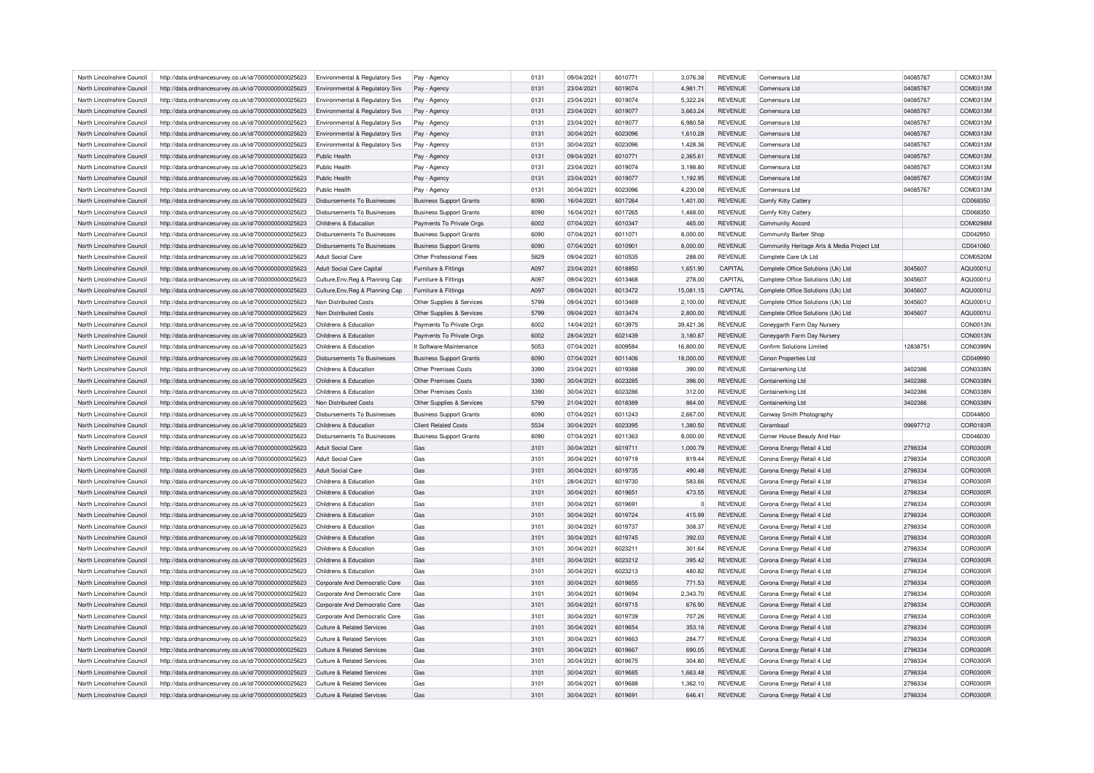| North Lincolnshire Council |                                                                                                              |                                    |                                |      |            |         |           |                |                                             |          |          |
|----------------------------|--------------------------------------------------------------------------------------------------------------|------------------------------------|--------------------------------|------|------------|---------|-----------|----------------|---------------------------------------------|----------|----------|
|                            | http://data.ordnancesurvey.co.uk/id/7000000000025623                                                         | Environmental & Regulatory Svs     | Pay - Agency                   | 0131 | 09/04/2021 | 6010771 | 3,076.38  | <b>REVENUE</b> | Comensura Ltd                               | 04085767 | COM0313M |
| North Lincolnshire Council | http://data.ordnancesurvey.co.uk/id/7000000000025623                                                         | Environmental & Regulatory Svs     | Pay - Agency                   | 0131 | 23/04/2021 | 6019074 | 4,981.71  | <b>REVENUE</b> | Comensura Ltd                               | 04085767 | COM0313M |
| North Lincolnshire Council | http://data.ordnancesurvey.co.uk/id/7000000000025623                                                         | Environmental & Regulatory Svs     | Pay - Agency                   | 0131 | 23/04/2021 | 6019074 | 5.322.24  | <b>REVENUE</b> | Comensura Ltd                               | 04085767 | COM0313M |
| North Lincolnshire Council | http://data.ordnancesurvey.co.uk/id/7000000000025623                                                         | Environmental & Regulatory Svs     | Pay - Agency                   | 0131 | 23/04/2021 | 6019077 | 3,663.24  | <b>REVENUE</b> | Comensura Ltd                               | 04085767 | COM0313M |
| North Lincolnshire Council | http://data.ordnancesurvey.co.uk/id/7000000000025623                                                         | Environmental & Regulatory Svs     | Pay - Agency                   | 0131 | 23/04/2021 | 6019077 | 6,980.58  | <b>REVENUE</b> | Comensura Ltd                               | 04085767 | COM0313M |
| North Lincolnshire Council | http://data.ordnancesurvey.co.uk/id/7000000000025623                                                         | Environmental & Regulatory Svs     | Pay - Agency                   | 0131 | 30/04/2021 | 6023096 | 1,610.28  | <b>REVENUE</b> | Comensura Ltd                               | 04085767 | COM0313M |
| North Lincolnshire Council | http://data.ordnancesurvey.co.uk/id/7000000000025623                                                         | Environmental & Regulatory Svs     | Pay - Agency                   | 0131 | 30/04/2021 | 6023096 | 1,428.36  | <b>REVENUE</b> | Comensura Ltd                               | 04085767 | COM0313M |
| North Lincolnshire Council | http://data.ordnancesurvey.co.uk/id/7000000000025623                                                         | Public Health                      | Pay - Agency                   | 0131 | 09/04/2021 | 6010771 | 2,365.61  | <b>REVENUE</b> | Comensura Ltd                               | 04085767 | COM0313M |
| North Lincolnshire Council | http://data.ordnancesurvey.co.uk/id/7000000000025623                                                         | Public Health                      | Pay - Agency                   | 0131 | 23/04/2021 | 6019074 | 3,198.80  | <b>REVENUE</b> | Comensura Ltd                               | 04085767 | COM0313M |
| North Lincolnshire Council | http://data.ordnancesurvey.co.uk/id/7000000000025623                                                         | Public Health                      | Pay - Agency                   | 0131 | 23/04/2021 | 6019077 | 1,192.95  | <b>REVENUE</b> | Comensura I td                              | 04085767 | COM0313M |
| North Lincolnshire Council | http://data.ordnancesurvey.co.uk/id/7000000000025623                                                         | Public Health                      | Pay - Agency                   | 0131 | 30/04/2021 | 6023096 | 4,230.08  | <b>REVENUE</b> | Comensura Ltd                               | 04085767 | COM0313M |
| North Lincolnshire Council | http://data.ordnancesurvey.co.uk/id/7000000000025623                                                         | Disbursements To Businesses        | <b>Business Support Grants</b> | 6090 | 16/04/2021 | 6017264 | 1,401.00  | <b>REVENUE</b> | Comfy Kitty Cattery                         |          | CD068350 |
| North Lincolnshire Council | http://data.ordnancesurvey.co.uk/id/7000000000025623                                                         | <b>Disbursements To Businesses</b> | <b>Business Support Grants</b> | 6090 | 16/04/2021 | 6017265 | 1,468.00  | <b>REVENUE</b> | Comfy Kitty Cattery                         |          | CD068350 |
| North Lincolnshire Council | http://data.ordnancesurvey.co.uk/id/7000000000025623                                                         | Childrens & Education              | Payments To Private Orgs       | 6002 | 07/04/2021 | 6010347 | 465.00    | <b>REVENUE</b> | Community Accord                            |          | COM0298M |
| North Lincolnshire Council | http://data.ordnancesurvey.co.uk/id/7000000000025623                                                         | <b>Disbursements To Businesses</b> | <b>Business Support Grants</b> | 6090 | 07/04/2021 | 6011071 | 8,000.00  | <b>REVENUE</b> | Community Barber Shop                       |          | CD042950 |
| North Lincolnshire Council | http://data.ordnancesurvey.co.uk/id/7000000000025623                                                         | Disbursements To Businesses        | <b>Business Support Grants</b> | 6090 | 07/04/2021 | 6010901 | 8.000.00  | <b>REVENUE</b> | Community Heritage Arts & Media Project Ltd |          | CD041060 |
| North Lincolnshire Council | http://data.ordnancesurvey.co.uk/id/7000000000025623                                                         | Adult Social Care                  | Other Professional Fees        | 5829 | 09/04/2021 | 6010535 | 288.00    | <b>REVENUE</b> | Complete Care Uk Ltd                        |          | COM0520M |
| North Lincolnshire Council |                                                                                                              | <b>Adult Social Care Capital</b>   | Furniture & Fittings           | A097 |            | 6018850 |           | CAPITAL        |                                             | 3045607  | AQU0001U |
|                            | http://data.ordnancesurvey.co.uk/id/7000000000025623                                                         |                                    |                                |      | 23/04/2021 |         | 1,651.90  |                | Complete Office Solutions (Uk) Ltd          |          |          |
| North Lincolnshire Council | http://data.ordnancesurvey.co.uk/id/7000000000025623                                                         | Culture, Env, Reg & Planning Cap   | Furniture & Fittings           | A097 | 09/04/2021 | 6013468 | 278.00    | CAPITAL        | Complete Office Solutions (Uk) Ltd          | 3045607  | AQU0001U |
| North Lincolnshire Council | http://data.ordnancesurvey.co.uk/id/7000000000025623                                                         | Culture, Env, Reg & Planning Cap   | Furniture & Fittings           | A097 | 09/04/2021 | 6013472 | 15.081.15 | CAPITAL        | Complete Office Solutions (Uk) Ltd          | 3045607  | AQU0001U |
| North Lincolnshire Council | http://data.ordnancesurvey.co.uk/id/7000000000025623                                                         | Non Distributed Costs              | Other Supplies & Services      | 5799 | 09/04/2021 | 6013469 | 2,100.00  | <b>REVENUE</b> | Complete Office Solutions (Uk) Ltd          | 3045607  | AQU0001U |
| North Lincolnshire Council | http://data.ordnancesurvey.co.uk/id/7000000000025623                                                         | Non Distributed Costs              | Other Supplies & Services      | 5799 | 09/04/2021 | 6013474 | 2,800.00  | <b>REVENUE</b> | Complete Office Solutions (Uk) Ltd          | 3045607  | AQU0001U |
| North Lincolnshire Council | http://data.ordnancesurvey.co.uk/id/7000000000025623                                                         | Childrens & Education              | Payments To Private Orgs       | 6002 | 14/04/2021 | 6013975 | 39,421.36 | <b>REVENUE</b> | Coneygarth Farm Day Nursery                 |          | CON0013N |
| North Lincolnshire Council | http://data.ordnancesurvey.co.uk/id/7000000000025623                                                         | Childrens & Education              | Payments To Private Orgs       | 6002 | 28/04/2021 | 6021439 | 3,180.87  | <b>REVENUE</b> | Coneygarth Farm Day Nursery                 |          | CON0013N |
| North Lincolnshire Council | http://data.ordnancesurvey.co.uk/id/7000000000025623                                                         | Childrens & Education              | It Software-Maintenance        | 5053 | 07/04/2021 | 6009584 | 16,800.00 | <b>REVENUE</b> | Confirm Solutions Limited                   | 12838751 | CON0399N |
| North Lincolnshire Council | http://data.ordnancesurvey.co.uk/id/7000000000025623                                                         | Disbursements To Businesses        | <b>Business Support Grants</b> | 6090 | 07/04/2021 | 6011406 | 18,000.00 | <b>REVENUE</b> | Conon Properties Ltd                        |          | CD049990 |
| North Lincolnshire Council | http://data.ordnancesurvey.co.uk/id/7000000000025623                                                         | Childrens & Education              | Other Premises Costs           | 3390 | 23/04/2021 | 6019388 | 390.00    | <b>REVENUE</b> | Containerking Ltd                           | 3402386  | CON0338N |
| North Lincolnshire Council | http://data.ordnancesurvey.co.uk/id/7000000000025623                                                         | Childrens & Education              | <b>Other Premises Costs</b>    | 3390 | 30/04/2021 | 6023285 | 396.00    | <b>REVENUE</b> | Containerking Ltd                           | 3402386  | CON0338N |
| North Lincolnshire Council | http://data.ordnancesurvey.co.uk/id/7000000000025623                                                         | Childrens & Education              | <b>Other Premises Costs</b>    | 3390 | 30/04/2021 | 6023286 | 312.00    | <b>REVENUE</b> | Containerking Ltd                           | 3402386  | CON0338N |
| North Lincolnshire Council | http://data.ordnancesurvey.co.uk/id/7000000000025623                                                         | Non Distributed Costs              | Other Supplies & Services      | 5799 |            | 6018389 | 864.00    | <b>REVENUE</b> | Containerking Ltd                           |          |          |
|                            |                                                                                                              |                                    |                                |      | 21/04/2021 |         |           |                |                                             | 3402386  | CON0338N |
| North Lincolnshire Council | http://data.ordnancesurvey.co.uk/id/7000000000025623                                                         | <b>Disbursements To Businesses</b> | <b>Business Support Grants</b> | 6090 | 07/04/2021 | 6011243 | 2,667.00  | <b>REVENUE</b> | Conway Smith Photography                    |          | CD044800 |
| North Lincolnshire Council | http://data.ordnancesurvey.co.uk/id/7000000000025623                                                         | Childrens & Education              | <b>Client Related Costs</b>    | 5534 | 30/04/2021 | 6023395 | 1.380.50  | <b>REVENUE</b> | Corambaaf                                   | 09697712 | COR0183R |
| North Lincolnshire Council | http://data.ordnancesurvey.co.uk/id/7000000000025623                                                         | <b>Disbursements To Businesses</b> | <b>Business Support Grants</b> | 6090 | 07/04/2021 | 6011363 | 8,000.00  | <b>REVENUE</b> | Corner House Beauty And Hair                |          | CD046030 |
| North Lincolnshire Council |                                                                                                              | <b>Adult Social Care</b>           | Gas                            | 3101 | 30/04/2021 | 6019711 | 1,000.79  | <b>REVENUE</b> | Corona Energy Retail 4 Ltd                  | 2798334  | COR0300R |
| North Lincolnshire Council | http://data.ordnancesurvey.co.uk/id/7000000000025623<br>http://data.ordnancesurvey.co.uk/id/7000000000025623 | <b>Adult Social Care</b>           | Gas                            | 3101 | 30/04/2021 | 6019719 | 819.44    | <b>REVENUE</b> | Corona Energy Retail 4 Ltd                  | 2798334  | COR0300R |
| North Lincolnshire Council |                                                                                                              |                                    | Gas                            | 3101 |            | 6019735 |           | <b>REVENUE</b> |                                             |          |          |
|                            | http://data.ordnancesurvey.co.uk/id/7000000000025623                                                         | <b>Adult Social Care</b>           |                                |      | 30/04/2021 |         | 490.48    |                | Corona Energy Retail 4 Ltd                  | 2798334  | COR0300R |
| North Lincolnshire Council | http://data.ordnancesurvey.co.uk/id/7000000000025623                                                         | Childrens & Education              | Gas                            | 3101 | 28/04/2021 | 6019730 | 583.66    | <b>REVENUE</b> | Corona Energy Retail 4 Ltd                  | 2798334  | COR0300R |
| North Lincolnshire Council | http://data.ordnancesurvey.co.uk/id/7000000000025623                                                         | Childrens & Education              | Gas                            | 3101 | 30/04/2021 | 6019651 | 473.55    | <b>REVENUE</b> | Corona Energy Retail 4 Ltd                  | 2798334  | COR0300R |
| North Lincolnshire Council | http://data.ordnancesurvey.co.uk/id/7000000000025623                                                         | Childrens & Education              | Gas                            | 3101 | 30/04/2021 | 6019691 |           | <b>REVENUE</b> | Corona Energy Retail 4 Ltd                  | 2798334  | COR0300R |
| North Lincolnshire Council | http://data.ordnancesurvey.co.uk/id/7000000000025623                                                         | Childrens & Education              | Gas                            | 3101 | 30/04/2021 | 6019724 | 415.99    | <b>REVENUE</b> | Corona Energy Retail 4 Ltd                  | 2798334  | COR0300R |
| North Lincolnshire Council | http://data.ordnancesurvey.co.uk/id/7000000000025623                                                         | Childrens & Education              | Gas                            | 3101 | 30/04/2021 | 6019737 | 308.37    | <b>REVENUE</b> | Corona Energy Retail 4 Ltd                  | 2798334  | COR0300R |
| North Lincolnshire Council | http://data.ordnancesurvey.co.uk/id/7000000000025623                                                         | Childrens & Education              | Gas                            | 3101 | 30/04/2021 | 6019745 | 392.03    | <b>REVENUE</b> | Corona Energy Retail 4 Ltd                  | 2798334  | COR0300R |
| North Lincolnshire Council | http://data.ordnancesurvey.co.uk/id/7000000000025623                                                         | Childrens & Education              | Gas                            | 3101 | 30/04/2021 | 6023211 | 301.64    | <b>REVENUE</b> | Corona Energy Retail 4 Ltd                  | 2798334  | COR0300R |
| North Lincolnshire Council | http://data.ordnancesurvey.co.uk/id/7000000000025623                                                         | Childrens & Education              | Gas                            | 3101 | 30/04/2021 | 6023212 | 395.42    | <b>REVENUE</b> | Corona Energy Retail 4 Ltd                  | 2798334  | COR0300R |
| North Lincolnshire Council | http://data.ordnancesurvey.co.uk/id/7000000000025623                                                         | Childrens & Education              | Gas                            | 3101 | 30/04/2021 | 6023213 | 480.82    | <b>REVENUE</b> | Corona Energy Retail 4 Ltd                  | 2798334  | COR0300R |
| North Lincolnshire Council | http://data.ordnancesurvey.co.uk/id/7000000000025623                                                         | Corporate And Democratic Core      | Gas                            | 3101 | 30/04/2021 | 6019655 | 771.53    | <b>REVENUE</b> | Corona Energy Retail 4 Ltd                  | 2798334  | COR0300R |
| North Lincolnshire Council | http://data.ordnancesurvey.co.uk/id/7000000000025623                                                         | Corporate And Democratic Core      | Gas                            | 3101 | 30/04/2021 | 6019694 | 2,343.70  | <b>REVENUE</b> | Corona Energy Retail 4 Ltd                  | 2798334  | COR0300R |
| North Lincolnshire Council | http://data.ordnancesurvey.co.uk/id/7000000000025623                                                         | Corporate And Democratic Core      | Gas                            | 3101 | 30/04/2021 | 6019715 | 676.90    | <b>REVENUE</b> | Corona Energy Retail 4 Ltd                  | 2798334  | COR0300R |
| North Lincolnshire Council | http://data.ordnancesurvey.co.uk/id/7000000000025623                                                         | Corporate And Democratic Core      | Gas                            | 3101 | 30/04/2021 | 6019739 | 707.26    | <b>REVENUE</b> | Corona Energy Retail 4 Ltd                  | 2798334  | COR0300R |
| North Lincolnshire Council | http://data.ordnancesurvey.co.uk/id/7000000000025623                                                         | Culture & Related Services         | Gas                            | 3101 | 30/04/2021 | 6019654 | 353.16    | <b>REVENUE</b> | Corona Energy Retail 4 Ltd                  | 2798334  | COR0300R |
| North Lincolnshire Council | http://data.ordnancesurvey.co.uk/id/7000000000025623                                                         | Culture & Related Services         | Gas                            | 3101 | 30/04/2021 | 6019663 | 284.77    | <b>REVENUE</b> | Corona Energy Retail 4 Ltd                  | 2798334  | COR0300R |
| North Lincolnshire Council | http://data.ordnancesurvey.co.uk/id/7000000000025623                                                         | Culture & Related Services         | Gas                            | 3101 | 30/04/2021 | 6019667 | 690.05    | <b>REVENUE</b> | Corona Energy Retail 4 Ltd                  | 2798334  | COR0300R |
| North Lincolnshire Council | http://data.ordnancesurvey.co.uk/id/7000000000025623                                                         | Culture & Related Services         | Gas                            | 3101 | 30/04/2021 | 6019675 | 304.80    | <b>REVENUE</b> | Corona Energy Retail 4 Ltd                  | 2798334  | COR0300R |
| North Lincolnshire Council | http://data.ordnancesurvey.co.uk/id/7000000000025623                                                         | Culture & Related Services         | Gas                            | 3101 | 30/04/2021 | 6019685 | 1.663.48  | <b>REVENUE</b> | Corona Energy Retail 4 Ltd                  | 2798334  | COR0300R |
| North Lincolnshire Council | http://data.ordnancesurvey.co.uk/id/7000000000025623                                                         | Culture & Related Services         | Gas                            | 3101 | 30/04/2021 | 6019688 | 1.362.10  | <b>REVENUE</b> | Corona Energy Retail 4 Ltd                  | 2798334  | COR0300R |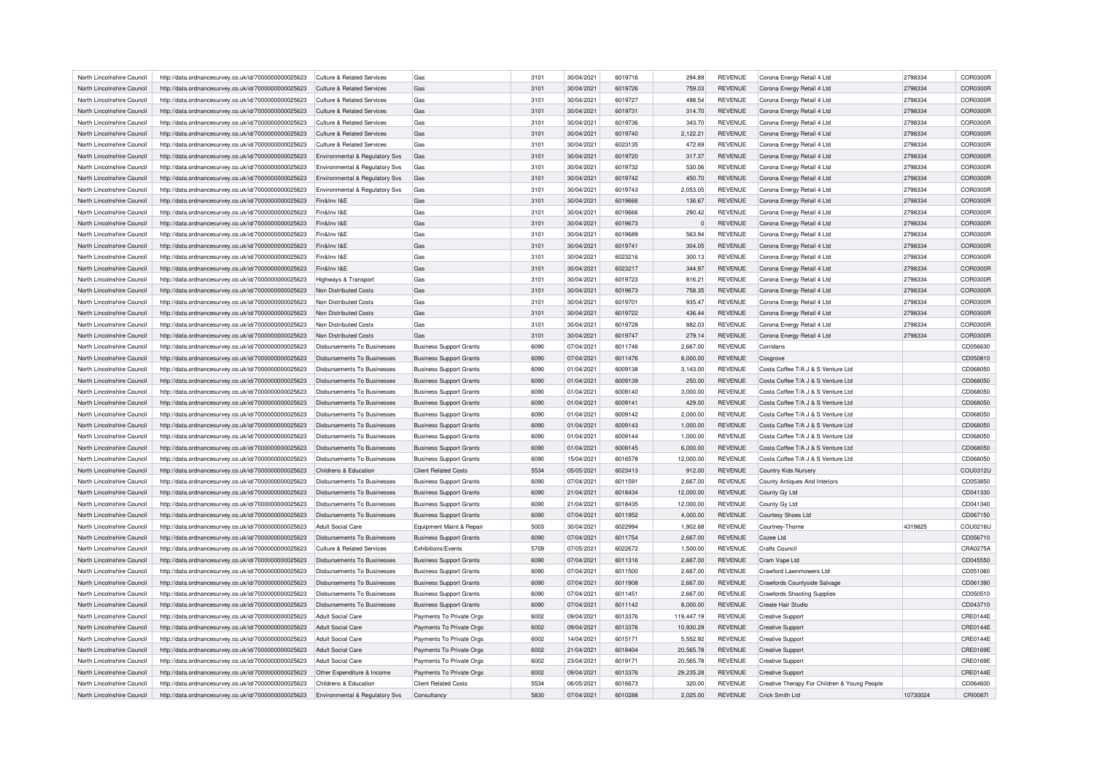| North Lincolnshire Council | http://data.ordnancesurvey.co.uk/id/7000000000025623 | Culture & Related Services                 | Gas                                                        | 3101 | 30/04/2021 | 6019716 | 294.89         | <b>REVENUE</b> | Corona Energy Retail 4 Ltd                   | 2798334  | COR0300R |
|----------------------------|------------------------------------------------------|--------------------------------------------|------------------------------------------------------------|------|------------|---------|----------------|----------------|----------------------------------------------|----------|----------|
| North Lincolnshire Council | http://data.ordnancesurvey.co.uk/id/7000000000025623 | <b>Culture &amp; Related Services</b>      | Gas                                                        | 3101 | 30/04/2021 | 6019726 | 759.03         | <b>REVENUE</b> | Corona Energy Retail 4 Ltd                   | 2798334  | COR0300R |
| North Lincolnshire Council | http://data.ordnancesurvey.co.uk/id/7000000000025623 | Culture & Related Services                 | Gas                                                        | 3101 | 30/04/2021 | 6019727 | 498.54         | <b>REVENUE</b> | Corona Energy Retail 4 Ltd                   | 2798334  | COR0300R |
| North Lincolnshire Council | http://data.ordnancesurvey.co.uk/id/7000000000025623 | Culture & Related Services                 | Gas                                                        | 3101 | 30/04/2021 | 6019731 | 314.70         | <b>REVENUE</b> | Corona Energy Retail 4 Ltd                   | 2798334  | COR0300R |
| North Lincolnshire Council | http://data.ordnancesurvey.co.uk/id/7000000000025623 | <b>Culture &amp; Related Services</b>      | Gas                                                        | 3101 | 30/04/2021 | 6019736 | 343.70         | <b>REVENUE</b> | Corona Energy Retail 4 Ltd                   | 2798334  | COR0300R |
| North Lincolnshire Council | http://data.ordnancesurvey.co.uk/id/7000000000025623 | Culture & Related Services                 | Gas                                                        | 3101 | 30/04/2021 | 6019740 | 2.122.21       | <b>REVENUE</b> | Corona Energy Retail 4 Ltd                   | 2798334  | COR0300R |
| North Lincolnshire Council | http://data.ordnancesurvey.co.uk/id/7000000000025623 | <b>Culture &amp; Related Services</b>      | Gas                                                        | 3101 | 30/04/2021 | 6023135 | 472.69         | <b>REVENUE</b> | Corona Energy Retail 4 Ltd                   | 2798334  | COR0300R |
| North Lincolnshire Council | http://data.ordnancesurvey.co.uk/id/7000000000025623 | <b>Environmental &amp; Regulatory Sys</b>  | Gas                                                        | 3101 | 30/04/2021 | 6019720 | 317.37         | <b>REVENUE</b> | Corona Energy Retail 4 Ltd                   | 2798334  | COR0300R |
| North Lincolnshire Council | http://data.ordnancesurvey.co.uk/id/7000000000025623 | Environmental & Regulatory Svs             | Gas                                                        | 3101 | 30/04/2021 | 6019732 | 530.06         | <b>REVENUE</b> | Corona Energy Retail 4 Ltd                   | 2798334  | COR0300R |
| North Lincolnshire Council | http://data.ordnancesurvey.co.uk/id/7000000000025623 | Environmental & Regulatory Svs             | Gas                                                        | 3101 | 30/04/2021 | 6019742 | 450.70         | <b>REVENUE</b> | Corona Energy Retail 4 Ltd                   | 2798334  | COR0300R |
| North Lincolnshire Council | http://data.ordnancesurvey.co.uk/id/7000000000025623 | Environmental & Regulatory Svs             | Gas                                                        | 3101 | 30/04/2021 | 6019743 | 2,053.05       | <b>REVENUE</b> | Corona Energy Retail 4 Ltd                   | 2798334  | COR0300R |
| North Lincolnshire Council | http://data.ordnancesurvey.co.uk/id/7000000000025623 | Fin&Inv I&E                                | Gas                                                        | 3101 | 30/04/2021 | 6019666 | 136.67         | <b>REVENUE</b> | Corona Energy Retail 4 Ltd                   | 2798334  | COR0300R |
| North Lincolnshire Council |                                                      | Fin&Inv I&E                                | Gas                                                        | 3101 | 30/04/2021 | 6019666 | 290.42         | <b>REVENUE</b> |                                              | 2798334  | COR0300R |
|                            | http://data.ordnancesurvey.co.uk/id/7000000000025623 |                                            |                                                            |      |            |         |                |                | Corona Energy Retail 4 Ltd                   |          |          |
| North Lincolnshire Council | http://data.ordnancesurvey.co.uk/id/7000000000025623 | Fin&Inv I&E                                | Gas                                                        | 3101 | 30/04/2021 | 6019673 | $\overline{0}$ | <b>REVENUE</b> | Corona Energy Retail 4 Ltd                   | 2798334  | COR0300R |
| North Lincolnshire Council | http://data.ordnancesurvey.co.uk/id/7000000000025623 | Fin&Inv I&E                                | Gas                                                        | 3101 | 30/04/2021 | 6019689 | 563.94         | <b>REVENUE</b> | Corona Energy Retail 4 Ltd                   | 2798334  | COR0300R |
| North Lincolnshire Council | http://data.ordnancesurvey.co.uk/id/7000000000025623 | Fin&Inv I&E                                | Gas                                                        | 3101 | 30/04/2021 | 6019741 | 304.05         | <b>REVENUE</b> | Corona Energy Retail 4 Ltd                   | 2798334  | COR0300R |
| North Lincolnshire Council | http://data.ordnancesurvey.co.uk/id/7000000000025623 | Fin&Inv I&E                                | Gas                                                        | 3101 | 30/04/2021 | 6023216 | 300.13         | <b>REVENUE</b> | Corona Energy Retail 4 Ltd                   | 2798334  | COR0300R |
| North Lincolnshire Council | http://data.ordnancesurvey.co.uk/id/7000000000025623 | Fin&Inv I&E                                | Gas                                                        | 3101 | 30/04/2021 | 6023217 | 344.97         | <b>REVENUE</b> | Corona Energy Retail 4 Ltd                   | 2798334  | COR0300R |
| North Lincolnshire Council | http://data.ordnancesurvey.co.uk/id/7000000000025623 | Highways & Transport                       | Gas                                                        | 3101 | 30/04/2021 | 6019723 | 816.21         | <b>REVENUE</b> | Corona Energy Retail 4 Ltd                   | 2798334  | COR0300R |
| North Lincolnshire Council | http://data.ordnancesurvey.co.uk/id/7000000000025623 | Non Distributed Costs                      | Gas                                                        | 3101 | 30/04/2021 | 6019673 | 758.35         | <b>REVENUE</b> | Corona Energy Retail 4 Ltd                   | 2798334  | COR0300R |
| North Lincolnshire Council | http://data.ordnancesurvey.co.uk/id/7000000000025623 | Non Distributed Costs                      | Gas                                                        | 3101 | 30/04/2021 | 6019701 | 935.47         | <b>REVENUE</b> | Corona Energy Retail 4 Ltd                   | 2798334  | COR0300R |
| North Lincolnshire Council | http://data.ordnancesurvey.co.uk/id/7000000000025623 | Non Distributed Costs                      | Gas                                                        | 3101 | 30/04/2021 | 6019722 | 436.44         | <b>REVENUE</b> | Corona Energy Retail 4 Ltd                   | 2798334  | COR0300R |
| North Lincolnshire Council | http://data.ordnancesurvey.co.uk/id/7000000000025623 | Non Distributed Costs                      | Gas                                                        | 3101 | 30/04/2021 | 6019728 | 882.03         | <b>REVENUE</b> | Corona Energy Retail 4 Ltd                   | 2798334  | COR0300R |
| North Lincolnshire Council | http://data.ordnancesurvey.co.uk/id/7000000000025623 | Non Distributed Costs                      | Gas                                                        | 3101 | 30/04/2021 | 6019747 | 279.14         | <b>REVENUE</b> | Corona Energy Retail 4 Ltd                   | 2798334  | COR0300R |
| North Lincolnshire Council | http://data.ordnancesurvey.co.uk/id/7000000000025623 | <b>Disbursements To Businesses</b>         | <b>Business Support Grants</b>                             | 6090 | 07/04/2021 | 6011746 | 2,667.00       | <b>REVENUE</b> | Corridans                                    |          | CD056630 |
| North Lincolnshire Council | http://data.ordnancesurvey.co.uk/id/7000000000025623 | <b>Disbursements To Businesses</b>         | <b>Business Support Grants</b>                             | 6090 | 07/04/2021 | 6011476 | 8,000.00       | <b>REVENUE</b> | Cosarove                                     |          | CD050810 |
| North Lincolnshire Council | http://data.ordnancesurvey.co.uk/id/7000000000025623 | Disbursements To Businesses                | <b>Business Support Grants</b>                             | 6090 | 01/04/2021 | 6009138 | 3,143.00       | <b>REVENUE</b> | Costa Coffee T/A J & S Venture Ltd           |          | CD068050 |
| North Lincolnshire Council | http://data.ordnancesurvey.co.uk/id/7000000000025623 | <b>Disbursements To Businesses</b>         | <b>Business Support Grants</b>                             | 6090 | 01/04/2021 | 6009139 | 250.00         | <b>REVENUE</b> | Costa Coffee T/A J & S Venture Ltd           |          | CD068050 |
| North Lincolnshire Council | http://data.ordnancesurvey.co.uk/id/7000000000025623 | <b>Disbursements To Businesses</b>         | <b>Business Support Grants</b>                             | 6090 | 01/04/2021 | 6009140 | 3,000.00       | <b>REVENUE</b> | Costa Coffee T/A J & S Venture Ltd           |          | CD068050 |
| North Lincolnshire Council | http://data.ordnancesurvey.co.uk/id/7000000000025623 | Disbursements To Businesses                | <b>Business Support Grants</b>                             | 6090 | 01/04/2021 | 6009141 | 429.00         | <b>REVENUE</b> | Costa Coffee T/A J & S Venture Ltd           |          | CD068050 |
| North Lincolnshire Council | http://data.ordnancesurvey.co.uk/id/7000000000025623 | <b>Disbursements To Businesses</b>         | <b>Business Support Grants</b>                             | 6090 | 01/04/2021 | 6009142 | 2,000.00       | <b>REVENUE</b> | Costa Coffee T/A J & S Venture Ltd           |          | CD068050 |
| North Lincolnshire Council | http://data.ordnancesurvey.co.uk/id/7000000000025623 | <b>Disbursements To Businesses</b>         | <b>Business Support Grants</b>                             | 6090 | 01/04/2021 | 6009143 | 1,000.00       | <b>REVENUE</b> | Costa Coffee T/A J & S Venture Ltd           |          | CD068050 |
| North Lincolnshire Council | http://data.ordnancesurvey.co.uk/id/7000000000025623 | Disbursements To Businesses                | <b>Business Support Grants</b>                             | 6090 | 01/04/2021 | 6009144 | 1,000.00       | <b>REVENUE</b> | Costa Coffee T/A J & S Venture Ltd           |          | CD068050 |
| North Lincolnshire Council | http://data.ordnancesurvey.co.uk/id/7000000000025623 | <b>Disbursements To Businesses</b>         | <b>Business Support Grants</b>                             | 6090 | 01/04/2021 | 6009145 | 6,000.00       | <b>REVENUE</b> | Costa Coffee T/A J & S Venture Ltd           |          | CD068050 |
| North Lincolnshire Council | http://data.ordnancesurvey.co.uk/id/7000000000025623 | <b>Disbursements To Businesses</b>         | <b>Business Support Grants</b>                             | 6090 | 15/04/2021 | 6016578 | 12,000.00      | <b>REVENUE</b> | Costa Coffee T/A J & S Venture Ltd           |          | CD068050 |
| North Lincolnshire Council | http://data.ordnancesurvey.co.uk/id/7000000000025623 | Childrens & Education                      | <b>Client Related Costs</b>                                | 5534 | 05/05/2021 | 6023413 | 912.00         | <b>REVENUE</b> | Country Kids Nursery                         |          | COU0312U |
| North Lincolnshire Council | http://data.ordnancesurvey.co.uk/id/7000000000025623 | <b>Disbursements To Businesses</b>         | <b>Business Support Grants</b>                             | 6090 | 07/04/2021 | 6011591 | 2,667.00       | <b>REVENUE</b> | County Antiques And Interiors                |          | CD053850 |
| North Lincolnshire Council | http://data.ordnancesurvey.co.uk/id/7000000000025623 | Disbursements To Businesses                | <b>Business Support Grants</b>                             | 6090 | 21/04/2021 | 6018434 | 12,000.00      | <b>REVENUE</b> | County Gy Ltd                                |          | CD041330 |
| North Lincolnshire Council | http://data.ordnancesurvey.co.uk/id/7000000000025623 | Disbursements To Businesses                | <b>Business Support Grants</b>                             | 6090 | 21/04/2021 | 6018435 | 12,000.00      | <b>REVENUE</b> | County Gy Ltd                                |          | CD041340 |
| North Lincolnshire Council | http://data.ordnancesurvey.co.uk/id/7000000000025623 | <b>Disbursements To Businesses</b>         | <b>Business Support Grants</b>                             | 6090 | 07/04/2021 | 6011952 | 4,000.00       | <b>REVENUE</b> | <b>Courtesy Shoes Ltd</b>                    |          | CD067150 |
| North Lincolnshire Council | http://data.ordnancesurvey.co.uk/id/7000000000025623 | Adult Social Care                          |                                                            | 5003 | 30/04/2021 | 6022994 | 1,902.68       | <b>REVENUE</b> |                                              | 4319825  | COU0216U |
| North Lincolnshire Council | http://data.ordnancesurvey.co.uk/id/7000000000025623 | Disbursements To Businesses                | Equipment Maint.& Repair<br><b>Business Support Grants</b> | 6090 | 07/04/2021 | 6011754 | 2,667.00       | <b>REVENUE</b> | Courtney-Thorne<br>Cozee Ltd                 |          | CD056710 |
|                            |                                                      |                                            |                                                            | 5709 | 07/05/2021 | 6022672 | 1,500.00       | <b>REVENUE</b> |                                              |          | CRA0275A |
| North Lincolnshire Council | http://data.ordnancesurvey.co.uk/id/7000000000025623 | <b>Culture &amp; Related Services</b>      | Exhibitions/Events                                         |      |            |         |                |                | <b>Crafts Council</b>                        |          |          |
| North Lincolnshire Council | http://data.ordnancesurvey.co.uk/id/7000000000025623 | Disbursements To Businesses                | <b>Business Support Grants</b>                             | 6090 | 07/04/2021 | 6011316 | 2,667.00       | <b>REVENUE</b> | Cram Vape Ltd                                |          | CD045550 |
| North Lincolnshire Council | http://data.ordnancesurvey.co.uk/id/7000000000025623 | Disbursements To Businesses                | <b>Business Support Grants</b>                             | 6090 | 07/04/2021 | 6011500 | 2,667.00       | <b>REVENUE</b> | Crawford Lawnmowers Ltd                      |          | CD051060 |
| North Lincolnshire Council | http://data.ordnancesurvey.co.uk/id/7000000000025623 | <b>Disbursements To Businesses</b>         | <b>Business Support Grants</b>                             | 6090 | 07/04/2021 | 6011908 | 2,667.00       | <b>REVENUE</b> | Crawfords Countyside Salvage                 |          | CD061390 |
| North Lincolnshire Council | http://data.ordnancesurvey.co.uk/id/7000000000025623 | <b>Disbursements To Businesses</b>         | <b>Business Support Grants</b>                             | 6090 | 07/04/2021 | 6011451 | 2,667.00       | <b>REVENUE</b> | <b>Crawfords Shooting Supplies</b>           |          | CD050510 |
| North Lincolnshire Council | http://data.ordnancesurvey.co.uk/id/7000000000025623 | Disbursements To Businesses                | <b>Business Support Grants</b>                             | 6090 | 07/04/2021 | 6011142 | 8,000.00       | <b>REVENUE</b> | Create Hair Studio                           |          | CD043710 |
| North Lincolnshire Council | http://data.ordnancesurvey.co.uk/id/7000000000025623 | <b>Adult Social Care</b>                   | Payments To Private Orgs                                   | 6002 | 09/04/2021 | 6013376 | 119,447.19     | <b>REVENUE</b> | <b>Creative Support</b>                      |          | CRE0144E |
| North Lincolnshire Council | http://data.ordnancesurvey.co.uk/id/7000000000025623 | Adult Social Care                          | Payments To Private Orgs                                   | 6002 | 09/04/2021 | 6013376 | 10,930.29      | <b>REVENUE</b> | <b>Creative Support</b>                      |          | CRE0144E |
| North Lincolnshire Council | http://data.ordnancesurvey.co.uk/id/7000000000025623 | Adult Social Care                          | Payments To Private Orgs                                   | 6002 | 14/04/2021 | 6015171 | 5,552.92       | <b>REVENUE</b> | <b>Creative Support</b>                      |          | CRE0144E |
| North Lincolnshire Council | http://data.ordnancesurvey.co.uk/id/7000000000025623 | <b>Adult Social Care</b>                   | Payments To Private Orgs                                   | 6002 | 21/04/2021 | 6018404 | 20,565.78      | <b>REVENUE</b> | <b>Creative Support</b>                      |          | CRE0169E |
| North Lincolnshire Council | http://data.ordnancesurvey.co.uk/id/7000000000025623 | <b>Adult Social Care</b>                   | Payments To Private Orgs                                   | 6002 | 23/04/2021 | 6019171 | 20,565.78      | <b>REVENUE</b> | <b>Creative Support</b>                      |          | CRE0169E |
| North Lincolnshire Council | http://data.ordnancesurvey.co.uk/id/7000000000025623 | Other Expenditure & Income                 | Payments To Private Orgs                                   | 6002 | 09/04/2021 | 6013376 | 29,235.28      | <b>REVENUE</b> | <b>Creative Support</b>                      |          | CRE0144E |
| North Lincolnshire Council | http://data.ordnancesurvey.co.uk/id/7000000000025623 | Childrens & Education                      | <b>Client Related Costs</b>                                | 5534 | 06/05/2021 | 6016673 | 320.00         | <b>REVENUE</b> | Creative Therapy For Children & Young People |          | CD064600 |
| North Lincolnshire Council | http://data.ordnancesurvey.co.uk/id/7000000000025623 | <b>Environmental &amp; Requlatory Sys.</b> | Consultancy                                                | 5830 | 07/04/2021 | 6010288 | 2.025.00       | <b>REVENUE</b> | Crick Smith I td                             | 10730024 | CRI0087I |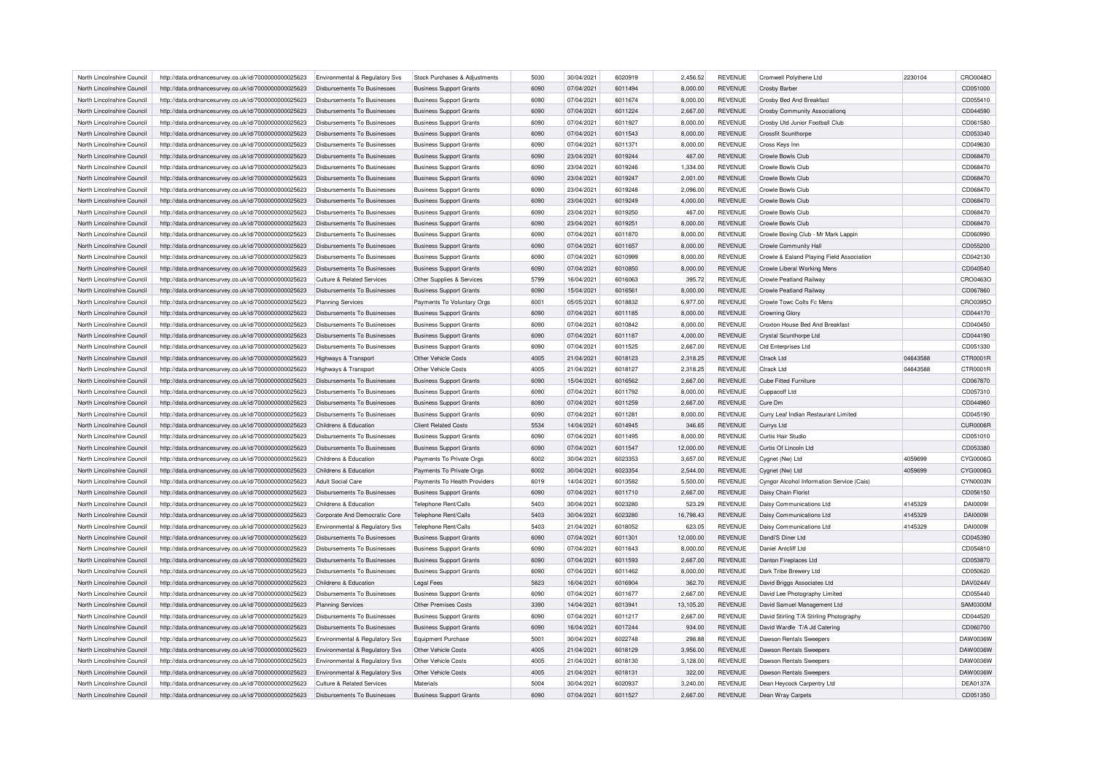| North Lincolnshire Council | http://data.ordnancesurvey.co.uk/id/7000000000025623                                                         | Environmental & Regulatory Svs     | Stock Purchases & Adjustments                                    | 5030 | 30/04/2021 | 6020919 | 2,456.52  | <b>REVENUE</b> | Cromwell Polythene Ltd                    | 2230104  | CRO0048O        |
|----------------------------|--------------------------------------------------------------------------------------------------------------|------------------------------------|------------------------------------------------------------------|------|------------|---------|-----------|----------------|-------------------------------------------|----------|-----------------|
| North Lincolnshire Council | http://data.ordnancesurvey.co.uk/id/7000000000025623                                                         | Disbursements To Businesses        | <b>Business Support Grants</b>                                   | 6090 | 07/04/2021 | 6011494 | 8,000.00  | <b>REVENUE</b> | <b>Crosby Barber</b>                      |          | CD051000        |
| North Lincolnshire Council | http://data.ordnancesurvey.co.uk/id/7000000000025623                                                         | Disbursements To Businesses        | <b>Business Support Grants</b>                                   | 6090 | 07/04/2021 | 6011674 | 8,000.00  | <b>REVENUE</b> | Crosby Bed And Breakfast                  |          | CD055410        |
| North Lincolnshire Council | http://data.ordnancesurvey.co.uk/id/7000000000025623                                                         | Disbursements To Businesses        | <b>Business Support Grants</b>                                   | 6090 | 07/04/2021 | 6011224 | 2,667.00  | <b>REVENUE</b> | <b>Crosby Community Associationg</b>      |          | CD044590        |
| North Lincolnshire Council | http://data.ordnancesurvey.co.uk/id/7000000000025623                                                         | Disbursements To Businesses        | <b>Business Support Grants</b>                                   | 6090 | 07/04/2021 | 6011927 | 8,000.00  | <b>REVENUE</b> | Crosby Utd Junior Football Club           |          | CD061580        |
| North Lincolnshire Council | http://data.ordnancesurvey.co.uk/id/7000000000025623                                                         | Disbursements To Businesses        | <b>Business Support Grants</b>                                   | 6090 | 07/04/2021 | 6011543 | 8,000.00  | <b>REVENUE</b> | Crossfit Scunthorpe                       |          | CD053340        |
| North Lincolnshire Council | http://data.ordnancesurvey.co.uk/id/7000000000025623                                                         | Disbursements To Businesses        | <b>Business Support Grants</b>                                   | 6090 | 07/04/2021 | 6011371 | 8,000.00  | <b>REVENUE</b> | Cross Keys Inn                            |          | CD049630        |
| North Lincolnshire Council | http://data.ordnancesurvey.co.uk/id/7000000000025623                                                         | Disbursements To Businesses        | <b>Business Support Grants</b>                                   | 6090 | 23/04/2021 | 6019244 | 467.00    | <b>REVENUE</b> | Crowle Bowls Club                         |          | CD068470        |
| North Lincolnshire Council | http://data.ordnancesurvey.co.uk/id/7000000000025623                                                         | Disbursements To Businesses        | <b>Business Support Grants</b>                                   | 6090 | 23/04/2021 | 6019246 | 1,334.00  | <b>REVENUE</b> | Crowle Bowls Club                         |          | CD068470        |
| North Lincolnshire Council | http://data.ordnancesurvey.co.uk/id/7000000000025623                                                         | <b>Disbursements To Businesses</b> | <b>Business Support Grants</b>                                   | 6090 | 23/04/2021 | 6019247 | 2,001.00  | <b>REVENUE</b> | Crowle Bowls Club                         |          | CD068470        |
| North Lincolnshire Council | http://data.ordnancesurvey.co.uk/id/7000000000025623                                                         | Disbursements To Businesses        | <b>Business Support Grants</b>                                   | 6090 | 23/04/2021 | 6019248 | 2,096.00  | <b>REVENUE</b> | Crowle Bowls Club                         |          | CD068470        |
| North Lincolnshire Council |                                                                                                              | Disbursements To Businesses        |                                                                  | 6090 | 23/04/2021 | 6019249 | 4,000.00  | <b>REVENUE</b> | Crowle Bowls Club                         |          | CD068470        |
| North Lincolnshire Council | http://data.ordnancesurvey.co.uk/id/7000000000025623<br>http://data.ordnancesurvey.co.uk/id/7000000000025623 | <b>Disbursements To Businesses</b> | <b>Business Support Grants</b><br><b>Business Support Grants</b> | 6090 | 23/04/2021 | 6019250 | 467.00    | <b>REVENUE</b> | Crowle Bowls Club                         |          | CD068470        |
|                            |                                                                                                              |                                    |                                                                  |      |            |         |           |                |                                           |          | CD068470        |
| North Lincolnshire Council | http://data.ordnancesurvey.co.uk/id/7000000000025623                                                         | Disbursements To Businesses        | <b>Business Support Grants</b>                                   | 6090 | 23/04/2021 | 6019251 | 8,000.00  | <b>REVENUE</b> | Crowle Bowls Club                         |          |                 |
| North Lincolnshire Council | http://data.ordnancesurvey.co.uk/id/7000000000025623                                                         | Disbursements To Businesses        | <b>Business Support Grants</b>                                   | 6090 | 07/04/2021 | 6011870 | 8,000.00  | <b>REVENUE</b> | Crowle Boxing Club - Mr Mark Lappin       |          | CD060990        |
| North Lincolnshire Council | http://data.ordnancesurvey.co.uk/id/7000000000025623                                                         | <b>Disbursements To Businesses</b> | <b>Business Support Grants</b>                                   | 6090 | 07/04/2021 | 6011657 | 8,000.00  | <b>REVENUE</b> | Crowle Community Hall                     |          | CD055200        |
| North Lincolnshire Council | http://data.ordnancesurvey.co.uk/id/7000000000025623                                                         | Disbursements To Businesses        | <b>Business Support Grants</b>                                   | 6090 | 07/04/2021 | 6010999 | 8,000.00  | <b>REVENUE</b> | Crowle & Ealand Playing Field Association |          | CD042130        |
| North Lincolnshire Council | http://data.ordnancesurvey.co.uk/id/7000000000025623                                                         | Disbursements To Businesses        | <b>Business Support Grants</b>                                   | 6090 | 07/04/2021 | 6010850 | 8,000.00  | <b>REVENUE</b> | Crowle Liberal Working Mens               |          | CD040540        |
| North Lincolnshire Council | http://data.ordnancesurvey.co.uk/id/7000000000025623                                                         | Culture & Related Services         | Other Supplies & Services                                        | 5799 | 16/04/2021 | 6016063 | 395.72    | <b>REVENUE</b> | Crowle Peatland Railway                   |          | CRO0463O        |
| North Lincolnshire Council | http://data.ordnancesurvey.co.uk/id/7000000000025623                                                         | Disbursements To Businesses        | <b>Business Support Grants</b>                                   | 6090 | 15/04/2021 | 6016561 | 8,000.00  | <b>REVENUE</b> | <b>Crowle Peatland Railway</b>            |          | CD067860        |
| North Lincolnshire Council | http://data.ordnancesurvey.co.uk/id/7000000000025623                                                         | <b>Planning Services</b>           | Payments To Voluntary Orgs                                       | 6001 | 05/05/2021 | 6018832 | 6,977.00  | <b>REVENUE</b> | Crowle Towc Colts Fc Mens                 |          | CRO0395O        |
| North Lincolnshire Council | http://data.ordnancesurvey.co.uk/id/7000000000025623                                                         | <b>Disbursements To Businesses</b> | <b>Business Support Grants</b>                                   | 6090 | 07/04/2021 | 6011185 | 8,000.00  | <b>REVENUE</b> | <b>Crowning Glory</b>                     |          | CD044170        |
| North Lincolnshire Council | http://data.ordnancesurvey.co.uk/id/7000000000025623                                                         | Disbursements To Businesses        | <b>Business Support Grants</b>                                   | 6090 | 07/04/2021 | 6010842 | 8,000.00  | <b>REVENUE</b> | Croxton House Bed And Breakfast           |          | CD040450        |
| North Lincolnshire Council | http://data.ordnancesurvey.co.uk/id/7000000000025623                                                         | Disbursements To Businesses        | <b>Business Support Grants</b>                                   | 6090 | 07/04/2021 | 6011187 | 4,000.00  | <b>REVENUE</b> | Crystal Scunthorpe Ltd                    |          | CD044190        |
| North Lincolnshire Council | http://data.ordnancesurvey.co.uk/id/7000000000025623                                                         | Disbursements To Businesses        | <b>Business Support Grants</b>                                   | 6090 | 07/04/2021 | 6011525 | 2,667.00  | <b>REVENUE</b> | <b>Ctd Enterprises Ltd</b>                |          | CD051330        |
| North Lincolnshire Council | http://data.ordnancesurvey.co.uk/id/7000000000025623                                                         | Highways & Transport               | Other Vehicle Costs                                              | 4005 | 21/04/2021 | 6018123 | 2,318.25  | <b>REVENUE</b> | Ctrack Ltd                                | 04643588 | CTR0001R        |
| North Lincolnshire Council | http://data.ordnancesurvey.co.uk/id/7000000000025623                                                         | Highways & Transport               | Other Vehicle Costs                                              | 4005 | 21/04/2021 | 6018127 | 2,318.25  | <b>REVENUE</b> | <b>Ctrack Ltd</b>                         | 04643588 | CTR0001R        |
| North Lincolnshire Council | http://data.ordnancesurvey.co.uk/id/7000000000025623                                                         | <b>Disbursements To Businesses</b> | <b>Business Support Grants</b>                                   | 6090 | 15/04/2021 | 6016562 | 2,667.00  | REVENUE        | <b>Cube Fitted Furniture</b>              |          | CD067870        |
| North Lincolnshire Council | http://data.ordnancesurvey.co.uk/id/7000000000025623                                                         | Disbursements To Businesses        | <b>Business Support Grants</b>                                   | 6090 | 07/04/2021 | 6011792 | 8,000.00  | <b>REVENUE</b> | Cuppacoff Ltd                             |          | CD057310        |
| North Lincolnshire Council | http://data.ordnancesurvey.co.uk/id/7000000000025623                                                         | Disbursements To Businesses        | <b>Business Support Grants</b>                                   | 6090 | 07/04/2021 | 6011259 | 2,667.00  | <b>REVENUE</b> | Cure Dm                                   |          | CD044960        |
| North Lincolnshire Council | http://data.ordnancesurvey.co.uk/id/7000000000025623                                                         | Disbursements To Businesses        | <b>Business Support Grants</b>                                   | 6090 | 07/04/2021 | 601128  | 8,000.00  | <b>REVENUE</b> | Curry Leaf Indian Restaurant Limited      |          | CD045190        |
| North Lincolnshire Council | http://data.ordnancesurvey.co.uk/id/7000000000025623                                                         | Childrens & Education              | <b>Client Related Costs</b>                                      | 5534 | 14/04/2021 | 6014945 | 346.65    | <b>REVENUE</b> | Currys Ltd                                |          | CUR0006R        |
| North Lincolnshire Council | http://data.ordnancesurvey.co.uk/id/7000000000025623                                                         | Disbursements To Businesses        | <b>Business Support Grants</b>                                   | 6090 | 07/04/2021 | 6011495 | 8,000.00  | <b>REVENUE</b> | Curtis Hair Studio                        |          | CD051010        |
| North Lincolnshire Council | http://data.ordnancesurvey.co.uk/id/7000000000025623                                                         | Disbursements To Businesses        | <b>Business Support Grants</b>                                   | 6090 | 07/04/2021 | 6011547 | 12,000.00 | REVENUE        | Curtis Of Lincoln Ltd                     |          | CD053380        |
| North Lincolnshire Council | http://data.ordnancesurvey.co.uk/id/7000000000025623                                                         | Childrens & Education              | Payments To Private Orgs                                         | 6002 | 30/04/2021 | 6023353 | 3,657.00  | <b>REVENUE</b> | Cygnet (Nw) Ltd                           | 4059699  | CYG0006G        |
| North Lincolnshire Council | http://data.ordnancesurvey.co.uk/id/7000000000025623                                                         | Childrens & Education              | Payments To Private Orgs                                         | 6002 | 30/04/2021 | 6023354 | 2,544.00  | <b>REVENUE</b> | Cygnet (Nw) Ltd                           | 4059699  | CYG0006G        |
| North Lincolnshire Council | http://data.ordnancesurvey.co.uk/id/7000000000025623                                                         | <b>Adult Social Care</b>           | Payments To Health Providers                                     | 6019 | 14/04/2021 | 6013582 | 5,500.00  | <b>REVENUE</b> | Cyngor Alcohol Information Service (Cais) |          | CYN0003N        |
|                            |                                                                                                              |                                    |                                                                  |      |            |         |           |                |                                           |          |                 |
| North Lincolnshire Council | http://data.ordnancesurvey.co.uk/id/7000000000025623                                                         | Disbursements To Businesses        | <b>Business Support Grants</b>                                   | 6090 | 07/04/2021 | 6011710 | 2,667.00  | <b>REVENUE</b> | Daisy Chain Florist                       |          | CD056150        |
| North Lincolnshire Council | http://data.ordnancesurvey.co.uk/id/7000000000025623                                                         | Childrens & Education              | Telephone Rent/Calls                                             | 5403 | 30/04/2021 | 6023280 | 523.29    | <b>REVENUE</b> | Daisy Communications Ltd                  | 4145329  | DAI00091        |
| North Lincolnshire Council | http://data.ordnancesurvey.co.uk/id/7000000000025623                                                         | Corporate And Democratic Core      | Telephone Rent/Calls                                             | 5403 | 30/04/2021 | 6023280 | 16,798.43 | <b>REVENUE</b> | Daisy Communications Ltd                  | 4145329  | DAI00091        |
| North Lincolnshire Council | http://data.ordnancesurvey.co.uk/id/7000000000025623                                                         | Environmental & Regulatory Svs     | Telephone Rent/Calls                                             | 5403 | 21/04/2021 | 6018052 | 623.05    | <b>REVENUE</b> | Daisy Communications Ltd                  | 4145329  | <b>DAI0009I</b> |
| North Lincolnshire Council | http://data.ordnancesurvey.co.uk/id/7000000000025623                                                         | <b>Disbursements To Businesses</b> | <b>Business Support Grants</b>                                   | 6090 | 07/04/2021 | 6011301 | 12,000.00 | <b>REVENUE</b> | Dandi'S Diner Ltd                         |          | CD045390        |
| North Lincolnshire Council | http://data.ordnancesurvey.co.uk/id/7000000000025623                                                         | Disbursements To Businesses        | <b>Business Support Grants</b>                                   | 6090 | 07/04/2021 | 6011643 | 8.000.00  | <b>REVENUE</b> | Daniel Antcliff Ltd                       |          | CD054810        |
| North Lincolnshire Council | http://data.ordnancesurvey.co.uk/id/7000000000025623                                                         | Disbursements To Businesses        | <b>Business Support Grants</b>                                   | 6090 | 07/04/2021 | 6011593 | 2,667.00  | <b>REVENUE</b> | Danton Fireplaces Ltd                     |          | CD053870        |
| North Lincolnshire Council | http://data.ordnancesurvey.co.uk/id/7000000000025623                                                         | Disbursements To Businesses        | <b>Business Support Grants</b>                                   | 6090 | 07/04/2021 | 6011462 | 8,000.00  | <b>REVENUE</b> | Dark Tribe Brewery Ltd                    |          | CD050620        |
| North Lincolnshire Council | http://data.ordnancesurvey.co.uk/id/7000000000025623                                                         | Childrens & Education              | <b>Legal Fees</b>                                                | 5823 | 16/04/2021 | 6016904 | 362.70    | <b>REVENUE</b> | David Briggs Associates Ltd               |          | DAV0244V        |
| North Lincolnshire Council | http://data.ordnancesurvey.co.uk/id/7000000000025623                                                         | Disbursements To Businesses        | <b>Business Support Grants</b>                                   | 6090 | 07/04/2021 | 6011677 | 2,667.00  | <b>REVENUE</b> | David Lee Photography Limited             |          | CD055440        |
| North Lincolnshire Council | http://data.ordnancesurvey.co.uk/id/7000000000025623                                                         | <b>Planning Services</b>           | <b>Other Premises Costs</b>                                      | 3390 | 14/04/2021 | 6013941 | 13,105.20 | <b>REVENUE</b> | David Samuel Management Ltd               |          | <b>SAM0300M</b> |
| North Lincolnshire Council | http://data.ordnancesurvey.co.uk/id/7000000000025623                                                         | Disbursements To Businesses        | <b>Business Support Grants</b>                                   | 6090 | 07/04/2021 | 6011217 | 2.667.00  | <b>REVENUE</b> | David Stirling T/A Stirling Photography   |          | CD044520        |
| North Lincolnshire Council | http://data.ordnancesurvey.co.uk/id/7000000000025623                                                         | Disbursements To Businesses        | <b>Business Support Grants</b>                                   | 6090 | 16/04/2021 | 6017244 | 934.00    | <b>REVENUE</b> | David Wardle T/A Jd Catering              |          | CD060700        |
| North Lincolnshire Council | http://data.ordnancesurvey.co.uk/id/7000000000025623                                                         | Environmental & Regulatory Svs     | <b>Equipment Purchase</b>                                        | 5001 | 30/04/2021 | 6022748 | 298.88    | <b>REVENUE</b> | Dawson Rentals Sweepers                   |          | DAW0036W        |
| North Lincolnshire Council | http://data.ordnancesurvey.co.uk/id/7000000000025623                                                         | Environmental & Regulatory Svs     | Other Vehicle Costs                                              | 4005 | 21/04/2021 | 6018129 | 3.956.00  | <b>REVENUE</b> | <b>Dawson Rentals Sweepers</b>            |          | DAW0036W        |
| North Lincolnshire Council | http://data.ordnancesurvey.co.uk/id/7000000000025623                                                         | Environmental & Regulatory Svs     | Other Vehicle Costs                                              | 4005 | 21/04/2021 | 6018130 | 3,128.00  | <b>REVENUE</b> | <b>Dawson Rentals Sweepers</b>            |          | DAW0036W        |
| North Lincolnshire Council | http://data.ordnancesurvey.co.uk/id/7000000000025623                                                         | Environmental & Regulatory Svs     | Other Vehicle Costs                                              | 4005 | 21/04/2021 | 6018131 | 322.00    | <b>REVENUE</b> | Dawson Rentals Sweepers                   |          | DAW0036W        |
| North Lincolnshire Council | http://data.ordnancesurvey.co.uk/id/7000000000025623                                                         | Culture & Related Services         | Materials                                                        | 5004 | 30/04/2021 | 6020937 | 3.240.00  | <b>REVENUE</b> | Dean Heycock Carpentry Ltd                |          | <b>DEA0137A</b> |
| North Lincolnshire Council | http://data.ordnancesurvey.co.uk/id/7000000000025623                                                         | Disbursements To Businesses        | <b>Business Support Grants</b>                                   | 6090 | 07/04/2021 | 6011527 | 2.667.00  | <b>REVENUE</b> | Dean Wray Carpets                         |          | CD051350        |
|                            |                                                                                                              |                                    |                                                                  |      |            |         |           |                |                                           |          |                 |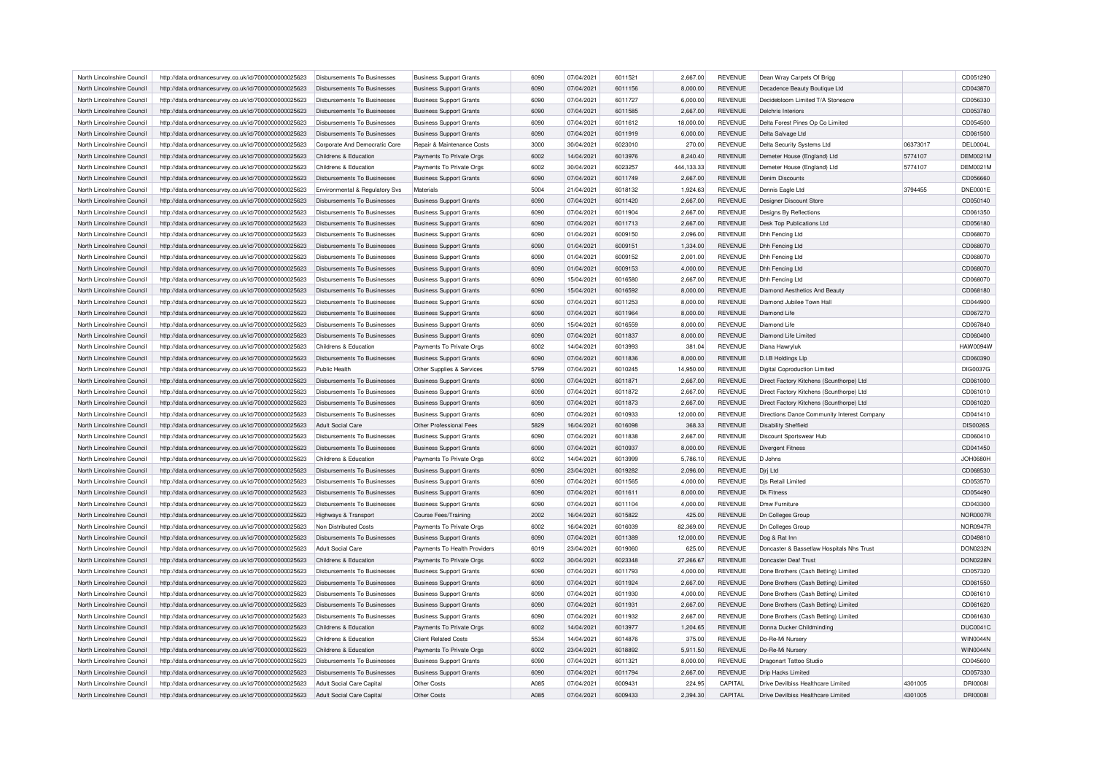| North Lincolnshire Council | http://data.ordnancesurvey.co.uk/id/7000000000025623 | Disbursements To Businesses        | <b>Business Support Grants</b> | 6090 | 07/04/2021 | 6011521 | 2,667.00   | <b>REVENUE</b> | Dean Wray Carpets Of Brigg                  |          | CD051290        |
|----------------------------|------------------------------------------------------|------------------------------------|--------------------------------|------|------------|---------|------------|----------------|---------------------------------------------|----------|-----------------|
| North Lincolnshire Council | http://data.ordnancesurvey.co.uk/id/7000000000025623 | Disbursements To Businesses        | <b>Business Support Grants</b> | 6090 | 07/04/2021 | 6011156 | 8,000.00   | <b>REVENUE</b> | Decadence Beauty Boutique Ltd               |          | CD043870        |
| North Lincolnshire Council | http://data.ordnancesurvey.co.uk/id/7000000000025623 | Disbursements To Businesses        | <b>Business Support Grants</b> | 6090 | 07/04/2021 | 6011727 | 6,000.00   | <b>REVENUE</b> | Decidebloom Limited T/A Stoneacre           |          | CD056330        |
| North Lincolnshire Council | http://data.ordnancesurvey.co.uk/id/7000000000025623 | Disbursements To Businesses        | <b>Business Support Grants</b> | 6090 | 07/04/2021 | 6011585 | 2,667.00   | <b>REVENUE</b> | Delchris Interiors                          |          | CD053780        |
| North Lincolnshire Council | http://data.ordnancesurvey.co.uk/id/7000000000025623 | Disbursements To Businesses        | <b>Business Support Grants</b> | 6090 | 07/04/2021 | 6011612 | 18,000.00  | <b>REVENUE</b> | Delta Forest Pines Op Co Limited            |          | CD054500        |
| North Lincolnshire Council | http://data.ordnancesurvey.co.uk/id/7000000000025623 | Disbursements To Businesses        | <b>Business Support Grants</b> | 6090 | 07/04/2021 | 6011919 | 6,000.00   | <b>REVENUE</b> | Delta Salvage Ltd                           |          | CD061500        |
| North Lincolnshire Council | http://data.ordnancesurvey.co.uk/id/7000000000025623 | Corporate And Democratic Core      | Repair & Maintenance Costs     | 3000 | 30/04/2021 | 6023010 | 270.00     | <b>REVENUE</b> | Delta Security Systems Ltd                  | 06373017 | DEL0004L        |
| North Lincolnshire Council | http://data.ordnancesurvey.co.uk/id/7000000000025623 | Childrens & Education              | Payments To Private Orgs       | 6002 | 14/04/2021 | 6013976 | 8,240.40   | <b>REVENUE</b> | Demeter House (England) Ltd                 | 5774107  | <b>DEM0021M</b> |
| North Lincolnshire Council | http://data.ordnancesurvey.co.uk/id/7000000000025623 | Childrens & Education              | Payments To Private Orgs       | 6002 | 30/04/2021 | 6023257 | 444,133.33 | <b>REVENUE</b> | Demeter House (England) Ltd                 | 5774107  | DEM0021N        |
| North Lincolnshire Council | http://data.ordnancesurvey.co.uk/id/7000000000025623 | Disbursements To Businesses        | <b>Business Support Grants</b> | 6090 | 07/04/2021 | 6011749 | 2,667.00   | <b>REVENUE</b> | <b>Denim Discounts</b>                      |          | CD056660        |
| North Lincolnshire Council | http://data.ordnancesurvey.co.uk/id/7000000000025623 | Environmental & Regulatory Svs     | Materials                      | 5004 | 21/04/2021 | 6018132 | 1,924.63   | <b>REVENUE</b> | Dennis Eagle Ltd                            | 3794455  | <b>DNE0001E</b> |
|                            |                                                      |                                    |                                |      |            |         |            |                |                                             |          |                 |
| North Lincolnshire Council | http://data.ordnancesurvey.co.uk/id/7000000000025623 | Disbursements To Businesses        | <b>Business Support Grants</b> | 6090 | 07/04/2021 | 6011420 | 2,667.00   | <b>REVENUE</b> | Designer Discount Store                     |          | CD050140        |
| North Lincolnshire Council | http://data.ordnancesurvey.co.uk/id/7000000000025623 | Disbursements To Businesses        | <b>Business Support Grants</b> | 6090 | 07/04/2021 | 6011904 | 2,667.00   | <b>REVENUE</b> | Designs By Reflections                      |          | CD061350        |
| North Lincolnshire Council | http://data.ordnancesurvey.co.uk/id/7000000000025623 | <b>Disbursements To Businesses</b> | <b>Business Support Grants</b> | 6090 | 07/04/2021 | 6011713 | 2,667.00   | <b>REVENUE</b> | Desk Top Publications Ltd                   |          | CD056180        |
| North Lincolnshire Council | http://data.ordnancesurvey.co.uk/id/7000000000025623 | Disbursements To Businesses        | <b>Business Support Grants</b> | 6090 | 01/04/2021 | 6009150 | 2,096.00   | <b>REVENUE</b> | Dhh Fencing Ltd                             |          | CD068070        |
| North Lincolnshire Council | http://data.ordnancesurvey.co.uk/id/7000000000025623 | Disbursements To Businesses        | <b>Business Support Grants</b> | 6090 | 01/04/2021 | 6009151 | 1,334.00   | <b>REVENUE</b> | Dhh Fencing Ltd                             |          | CD068070        |
| North Lincolnshire Council | http://data.ordnancesurvey.co.uk/id/7000000000025623 | Disbursements To Businesses        | <b>Business Support Grants</b> | 6090 | 01/04/2021 | 6009152 | 2,001.00   | <b>REVENUE</b> | Dhh Fencing I td                            |          | CD068070        |
| North Lincolnshire Council | http://data.ordnancesurvey.co.uk/id/7000000000025623 | <b>Disbursements To Businesses</b> | <b>Business Support Grants</b> | 6090 | 01/04/2021 | 6009153 | 4,000.00   | <b>REVENUE</b> | Dhh Fencing Ltd                             |          | CD068070        |
| North Lincolnshire Council | http://data.ordnancesurvey.co.uk/id/7000000000025623 | Disbursements To Businesses        | <b>Business Support Grants</b> | 6090 | 15/04/2021 | 6016580 | 2,667.00   | <b>REVENUE</b> | Dhh Fencing Ltd                             |          | CD068070        |
| North Lincolnshire Council | http://data.ordnancesurvey.co.uk/id/7000000000025623 | Disbursements To Businesses        | <b>Business Support Grants</b> | 6090 | 15/04/2021 | 6016592 | 8.000.00   | <b>REVENUE</b> | Diamond Aesthetics And Beauty               |          | CD068180        |
| North Lincolnshire Council | http://data.ordnancesurvey.co.uk/id/7000000000025623 | Disbursements To Businesses        | <b>Business Support Grants</b> | 6090 | 07/04/2021 | 6011253 | 8,000.00   | <b>REVENUE</b> | Diamond Jubilee Town Hal                    |          | CD044900        |
| North Lincolnshire Council | http://data.ordnancesurvey.co.uk/id/7000000000025623 | Disbursements To Businesses        | <b>Business Support Grants</b> | 6090 | 07/04/2021 | 6011964 | 8,000.00   | <b>REVENUE</b> | Diamond Life                                |          | CD067270        |
| North Lincolnshire Council | http://data.ordnancesurvey.co.uk/id/7000000000025623 | <b>Disbursements To Businesses</b> | <b>Business Support Grants</b> | 6090 | 15/04/2021 | 6016559 | 8,000.00   | <b>REVENUE</b> | Diamond Life                                |          | CD067840        |
| North Lincolnshire Council | http://data.ordnancesurvey.co.uk/id/7000000000025623 | Disbursements To Businesses        | <b>Business Support Grants</b> | 6090 | 07/04/2021 | 6011837 | 8,000.00   | <b>REVENUE</b> | Diamond Life Limited                        |          | CD060400        |
| North Lincolnshire Council | http://data.ordnancesurvey.co.uk/id/7000000000025623 | Childrens & Education              | Payments To Private Orgs       | 6002 | 14/04/2021 | 6013993 | 381.04     | <b>REVENUE</b> | Diana Hawryluk                              |          | <b>HAW0094W</b> |
| North Lincolnshire Council | http://data.ordnancesurvey.co.uk/id/7000000000025623 | Disbursements To Businesses        | <b>Business Support Grants</b> | 6090 | 07/04/2021 | 6011836 | 8.000.00   | <b>REVENUE</b> | D.I.B Holdings Llp                          |          | CD060390        |
| North Lincolnshire Council |                                                      | Public Health                      |                                | 5799 | 07/04/2021 | 6010245 |            | <b>REVENUE</b> |                                             |          | DIG0037G        |
|                            | http://data.ordnancesurvey.co.uk/id/7000000000025623 |                                    | Other Supplies & Services      |      |            |         | 14,950.00  |                | <b>Digital Coproduction Limited</b>         |          |                 |
| North Lincolnshire Council | http://data.ordnancesurvey.co.uk/id/7000000000025623 | <b>Disbursements To Businesses</b> | <b>Business Support Grants</b> | 6090 | 07/04/2021 | 6011871 | 2,667.00   | <b>REVENUE</b> | Direct Factory Kitchens (Scunthorpe) Ltd    |          | CD061000        |
| North Lincolnshire Council | http://data.ordnancesurvey.co.uk/id/7000000000025623 | Disbursements To Businesses        | <b>Business Support Grants</b> | 6090 | 07/04/2021 | 6011872 | 2.667.00   | <b>REVENUE</b> | Direct Factory Kitchens (Scunthorpe) Ltd    |          | CD061010        |
| North Lincolnshire Council | http://data.ordnancesurvey.co.uk/id/7000000000025623 | <b>Disbursements To Businesses</b> | <b>Business Support Grants</b> | 6090 | 07/04/2021 | 6011873 | 2,667.00   | <b>REVENUE</b> | Direct Factory Kitchens (Scunthorpe) Ltc    |          | CD061020        |
| North Lincolnshire Council | http://data.ordnancesurvey.co.uk/id/7000000000025623 | Disbursements To Businesses        | <b>Business Support Grants</b> | 6090 | 07/04/2021 | 6010933 | 12,000.00  | <b>REVENUE</b> | Directions Dance Community Interest Company |          | CD041410        |
| North Lincolnshire Council | http://data.ordnancesurvey.co.uk/id/7000000000025623 | Adult Social Care                  | Other Professional Fees        | 5829 | 16/04/2021 | 6016098 | 368.33     | <b>REVENUE</b> | <b>Disability Sheffield</b>                 |          | <b>DIS0026S</b> |
| North Lincolnshire Council | http://data.ordnancesurvey.co.uk/id/7000000000025623 | Disbursements To Businesses        | <b>Business Support Grants</b> | 6090 | 07/04/2021 | 6011838 | 2,667.00   | <b>REVENUE</b> | Discount Sportswear Hub                     |          | CD060410        |
| North Lincolnshire Council | http://data.ordnancesurvey.co.uk/id/7000000000025623 | <b>Disbursements To Businesses</b> | <b>Business Support Grants</b> | 6090 | 07/04/2021 | 6010937 | 8,000.00   | <b>REVENUE</b> | <b>Divergent Fitness</b>                    |          | CD041450        |
| North Lincolnshire Council | http://data.ordnancesurvey.co.uk/id/7000000000025623 | Childrens & Education              | Payments To Private Orgs       | 6002 | 14/04/2021 | 6013999 | 5,786.10   | <b>REVENUE</b> | D Johns                                     |          | <b>JOH0680H</b> |
| North Lincolnshire Council | http://data.ordnancesurvey.co.uk/id/7000000000025623 | <b>Disbursements To Businesses</b> | <b>Business Support Grants</b> | 6090 | 23/04/2021 | 6019282 | 2,096.00   | <b>REVENUE</b> | Djrj Ltd                                    |          | CD068530        |
| North Lincolnshire Council | http://data.ordnancesurvey.co.uk/id/7000000000025623 | Disbursements To Businesses        | <b>Business Support Grants</b> | 6090 | 07/04/2021 | 6011565 | 4,000.00   | <b>REVENUE</b> | Dis Retail Limited                          |          | CD053570        |
| North Lincolnshire Council | http://data.ordnancesurvey.co.uk/id/7000000000025623 | Disbursements To Businesses        | <b>Business Support Grants</b> | 6090 | 07/04/2021 | 6011611 | 8,000.00   | <b>REVENUE</b> | <b>Dk Fitness</b>                           |          | CD054490        |
| North Lincolnshire Council | http://data.ordnancesurvey.co.uk/id/7000000000025623 | Disbursements To Businesses        | <b>Business Support Grants</b> | 6090 | 07/04/2021 | 6011104 | 4,000.00   | <b>REVENUE</b> | Dmw Furniture                               |          | CD043300        |
| North Lincolnshire Council | http://data.ordnancesurvey.co.uk/id/7000000000025623 | Highways & Transport               | <b>Course Fees/Training</b>    | 2002 | 16/04/2021 | 6015822 | 425.00     | <b>REVENUE</b> | Dn Colleges Group                           |          | <b>NOR0007R</b> |
| North Lincolnshire Council | http://data.ordnancesurvey.co.uk/id/7000000000025623 | Non Distributed Costs              | Payments To Private Orgs       | 6002 | 16/04/2021 | 6016039 | 82,369.00  | <b>REVENUE</b> | Dn Colleges Group                           |          | <b>NOR0947R</b> |
| North Lincolnshire Council | http://data.ordnancesurvey.co.uk/id/7000000000025623 | Disbursements To Businesses        | <b>Business Support Grants</b> | 6090 | 07/04/2021 | 6011389 | 12,000.00  | REVENUE        | Dog & Rat Inn                               |          | CD049810        |
| North Lincolnshire Council | http://data.ordnancesurvey.co.uk/id/7000000000025623 | <b>Adult Social Care</b>           | Payments To Health Providers   | 6019 | 23/04/2021 | 6019060 | 625.00     | REVENUE        | Doncaster & Bassetlaw Hospitals Nhs Trust   |          | <b>DON0232N</b> |
|                            |                                                      |                                    |                                |      |            |         |            |                |                                             |          |                 |
| North Lincolnshire Council | http://data.ordnancesurvey.co.uk/id/7000000000025623 | Childrens & Education              | Payments To Private Orgs       | 6002 | 30/04/2021 | 6023348 | 27,266.67  | <b>REVENUE</b> | Doncaster Deaf Trust                        |          | <b>DON0228N</b> |
| North Lincolnshire Council | http://data.ordnancesurvey.co.uk/id/7000000000025623 | Disbursements To Businesses        | <b>Business Support Grants</b> | 6090 | 07/04/2021 | 6011793 | 4,000.00   | REVENUE        | Done Brothers (Cash Betting) Limited        |          | CD057320        |
| North Lincolnshire Council | http://data.ordnancesurvey.co.uk/id/7000000000025623 | <b>Disbursements To Businesses</b> | <b>Business Support Grants</b> | 6090 | 07/04/2021 | 6011924 | 2,667.00   | REVENUE        | Done Brothers (Cash Betting) Limited        |          | CD061550        |
| North Lincolnshire Council | http://data.ordnancesurvey.co.uk/id/7000000000025623 | <b>Disbursements To Businesses</b> | <b>Business Support Grants</b> | 6090 | 07/04/2021 | 6011930 | 4,000.00   | <b>REVENUE</b> | Done Brothers (Cash Betting) Limited        |          | CD061610        |
| North Lincolnshire Council | http://data.ordnancesurvey.co.uk/id/7000000000025623 | <b>Disbursements To Businesses</b> | <b>Business Support Grants</b> | 6090 | 07/04/2021 | 6011931 | 2,667.00   | REVENUE        | Done Brothers (Cash Betting) Limited        |          | CD061620        |
| North Lincolnshire Council | http://data.ordnancesurvey.co.uk/id/7000000000025623 | Disbursements To Businesses        | <b>Business Support Grants</b> | 6090 | 07/04/2021 | 6011932 | 2,667.00   | <b>REVENUE</b> | Done Brothers (Cash Betting) Limited        |          | CD061630        |
| North Lincolnshire Council | http://data.ordnancesurvey.co.uk/id/7000000000025623 | Childrens & Education              | Payments To Private Orgs       | 6002 | 14/04/2021 | 6013977 | 1,204.65   | <b>REVENUE</b> | Donna Ducker Childminding                   |          | <b>DUC0041C</b> |
| North Lincolnshire Council | http://data.ordnancesurvey.co.uk/id/7000000000025623 | Childrens & Education              | <b>Client Related Costs</b>    | 5534 | 14/04/2021 | 6014876 | 375.00     | REVENUE        | Do-Re-Mi Nursery                            |          | WIN0044N        |
| North Lincolnshire Council | http://data.ordnancesurvey.co.uk/id/7000000000025623 | Childrens & Education              | Payments To Private Orgs       | 6002 | 23/04/2021 | 6018892 | 5,911.50   | <b>REVENUE</b> | Do-Re-Mi Nursery                            |          | <b>WIN0044N</b> |
| North Lincolnshire Council | http://data.ordnancesurvey.co.uk/id/7000000000025623 | Disbursements To Businesses        | <b>Business Support Grants</b> | 6090 | 07/04/2021 | 6011321 | 8,000.00   | <b>REVENUE</b> | Dragonart Tattoo Studio                     |          | CD045600        |
| North Lincolnshire Council | http://data.ordnancesurvey.co.uk/id/7000000000025623 | Disbursements To Businesses        | <b>Business Support Grants</b> | 6090 | 07/04/2021 | 6011794 | 2,667.00   | <b>REVENUE</b> | <b>Drip Hacks Limited</b>                   |          | CD057330        |
| North Lincolnshire Council | http://data.ordnancesurvey.co.uk/id/7000000000025623 | Adult Social Care Capital          | Other Costs                    | A085 | 07/04/2021 | 6009431 | 224.95     | CAPITAL        | Drive Devilbiss Healthcare Limited          | 4301005  | <b>DRI0008</b>  |
| North Lincolnshire Council | http://data.ordnancesurvey.co.uk/id/7000000000025623 | Adult Social Care Capital          | Other Costs                    | A085 | 07/04/2021 | 6009433 | 2.394.30   | CAPITAL        | Drive Devilbiss Healthcare Limited          | 4301005  | <b>DRI0008I</b> |
|                            |                                                      |                                    |                                |      |            |         |            |                |                                             |          |                 |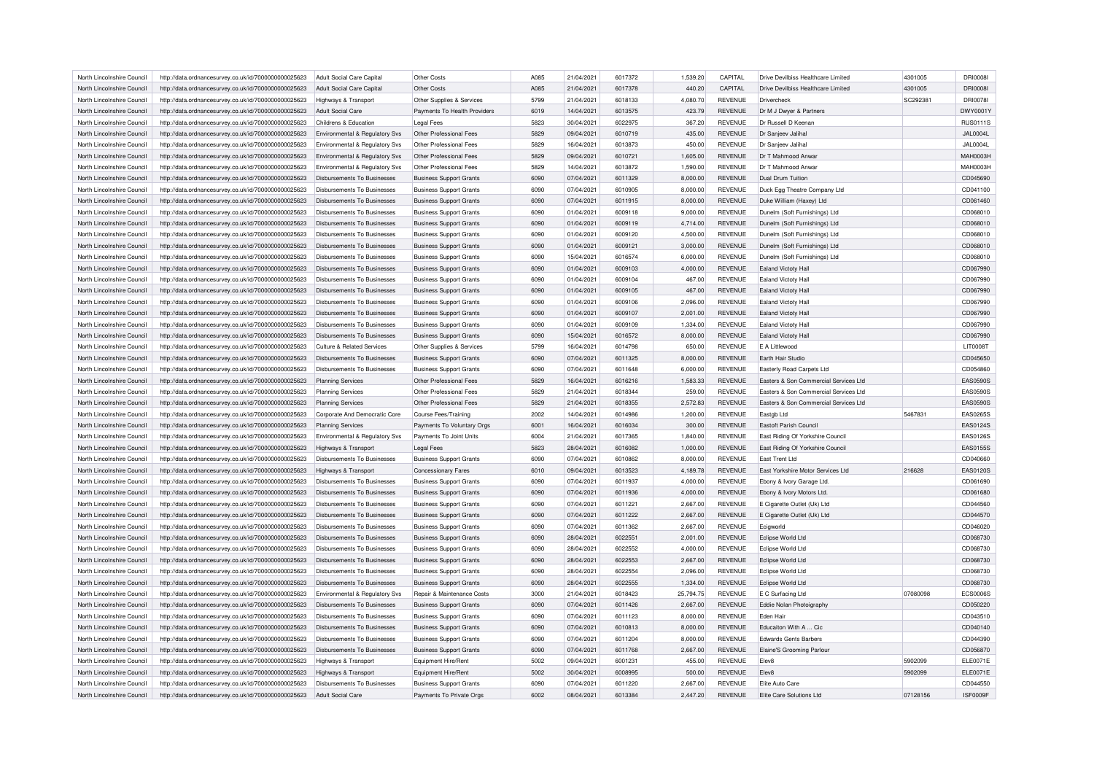| North Lincolnshire Council                               | http://data.ordnancesurvey.co.uk/id/7000000000025623                                                         | Adult Social Care Capital                                  | Other Costs                                                      | A085 | 21/04/2021               | 6017372 | 1,539.20           | CAPITAL        | Drive Devilbiss Healthcare Limited         | 4301005  | <b>DRI0008I</b> |
|----------------------------------------------------------|--------------------------------------------------------------------------------------------------------------|------------------------------------------------------------|------------------------------------------------------------------|------|--------------------------|---------|--------------------|----------------|--------------------------------------------|----------|-----------------|
| North Lincolnshire Council                               | http://data.ordnancesurvey.co.uk/id/7000000000025623                                                         | Adult Social Care Capital                                  | Other Costs                                                      | A085 | 21/04/2021               | 6017378 | 440.20             | CAPITAL        | Drive Devilbiss Healthcare Limited         | 4301005  | <b>DRI0008I</b> |
| North Lincolnshire Council                               | http://data.ordnancesurvey.co.uk/id/7000000000025623                                                         | Highways & Transport                                       | Other Supplies & Services                                        | 5799 | 21/04/2021               | 6018133 | 4.080.70           | <b>REVENUE</b> | Drivercheck                                | SC292381 | <b>DRI0078I</b> |
| North Lincolnshire Council                               | http://data.ordnancesurvey.co.uk/id/7000000000025623                                                         | <b>Adult Social Care</b>                                   | Payments To Health Providers                                     | 6019 | 14/04/2021               | 6013575 | 423.79             | <b>REVENUE</b> | Dr M J Dwyer & Partners                    |          | DWY0001\        |
| North Lincolnshire Council                               | http://data.ordnancesurvey.co.uk/id/7000000000025623                                                         | Childrens & Education                                      | <b>Legal Fees</b>                                                | 5823 | 30/04/2021               | 6022975 | 367.20             | <b>REVENUE</b> | Dr Russell D Keenan                        |          | <b>RUS0111S</b> |
| North Lincolnshire Council                               | http://data.ordnancesurvey.co.uk/id/7000000000025623                                                         | Environmental & Regulatory Svs                             | Other Professional Fees                                          | 5829 | 09/04/2021               | 6010719 | 435.00             | <b>REVENUE</b> | Dr Sanjeev Jalihal                         |          | JAL0004L        |
| North Lincolnshire Council                               | http://data.ordnancesurvey.co.uk/id/7000000000025623                                                         | Environmental & Regulatory Svs                             | Other Professional Fees                                          | 5829 | 16/04/2021               | 6013873 | 450.00             | <b>REVENUE</b> | Dr Sanjeev Jalihal                         |          | <b>JAL0004L</b> |
| North Lincolnshire Council                               | http://data.ordnancesurvey.co.uk/id/7000000000025623                                                         | Environmental & Regulatory Svs                             | Other Professional Fees                                          | 5829 | 09/04/2021               | 6010721 | 1,605.00           | <b>REVENUE</b> | Dr T Mahmood Anwar                         |          | MAH0003H        |
| North Lincolnshire Council                               | http://data.ordnancesurvey.co.uk/id/7000000000025623                                                         | Environmental & Regulatory Svs                             | Other Professional Fees                                          | 5829 | 14/04/2021               | 6013872 | 1,590.00           | <b>REVENUE</b> | Dr T Mahmood Anwar                         |          | MAH0003H        |
| North Lincolnshire Council                               | http://data.ordnancesurvey.co.uk/id/7000000000025623                                                         | <b>Disbursements To Businesses</b>                         | <b>Business Support Grants</b>                                   | 6090 | 07/04/2021               | 6011329 | 8,000.00           | <b>REVENUE</b> | <b>Dual Drum Tuition</b>                   |          | CD045690        |
| North Lincolnshire Council                               | http://data.ordnancesurvey.co.uk/id/7000000000025623                                                         | <b>Disbursements To Businesses</b>                         | <b>Business Support Grants</b>                                   | 6090 | 07/04/2021               | 6010905 | 8,000.00           | <b>REVENUE</b> | Duck Egg Theatre Company Ltd               |          | CD041100        |
| North Lincolnshire Council                               | http://data.ordnancesurvey.co.uk/id/7000000000025623                                                         | <b>Disbursements To Businesses</b>                         | <b>Business Support Grants</b>                                   | 6090 | 07/04/2021               | 6011915 | 8,000.00           | <b>REVENUE</b> | Duke William (Haxey) Ltd                   |          | CD061460        |
| North Lincolnshire Council                               | http://data.ordnancesurvey.co.uk/id/7000000000025623                                                         | Disbursements To Businesses                                | <b>Business Support Grants</b>                                   | 6090 | 01/04/2021               | 6009118 | 9,000.00           | <b>REVENUE</b> | Dunelm (Soft Furnishings) Ltd              |          | CD068010        |
| North Lincolnshire Council                               | http://data.ordnancesurvey.co.uk/id/7000000000025623                                                         | <b>Disbursements To Businesses</b>                         | <b>Business Support Grants</b>                                   | 6090 | 01/04/2021               | 6009119 | 4,714.00           | <b>REVENUE</b> | Dunelm (Soft Furnishings) Ltd              |          | CD068010        |
| North Lincolnshire Council                               | http://data.ordnancesurvey.co.uk/id/7000000000025623                                                         | Disbursements To Businesses                                | <b>Business Support Grants</b>                                   | 6090 | 01/04/2021               | 6009120 | 4,500.00           | <b>REVENUE</b> | Dunelm (Soft Furnishings) Ltd              |          | CD068010        |
| North Lincolnshire Council                               | http://data.ordnancesurvey.co.uk/id/7000000000025623                                                         | Disbursements To Businesses                                | <b>Business Support Grants</b>                                   | 6090 | 01/04/2021               | 6009121 | 3,000.00           | <b>REVENUE</b> | Dunelm (Soft Furnishings) Ltd              |          | CD068010        |
| North Lincolnshire Council                               | http://data.ordnancesurvey.co.uk/id/7000000000025623                                                         | Disbursements To Businesses                                | <b>Business Support Grants</b>                                   | 6090 | 15/04/2021               | 6016574 | 6,000.00           | <b>REVENUE</b> | Dunelm (Soft Furnishings) Ltd              |          | CD068010        |
| North Lincolnshire Council                               | http://data.ordnancesurvey.co.uk/id/7000000000025623                                                         | <b>Disbursements To Businesses</b>                         | <b>Business Support Grants</b>                                   | 6090 | 01/04/2021               | 6009103 | 4,000.00           | <b>REVENUE</b> | Ealand Victoty Hall                        |          | CD067990        |
|                                                          |                                                                                                              |                                                            |                                                                  | 6090 | 01/04/2021               | 6009104 |                    | <b>REVENUE</b> |                                            |          | CD067990        |
| North Lincolnshire Council<br>North Lincolnshire Council | http://data.ordnancesurvey.co.uk/id/7000000000025623<br>http://data.ordnancesurvey.co.uk/id/7000000000025623 | Disbursements To Businesses<br>Disbursements To Businesses | <b>Business Support Grants</b><br><b>Business Support Grants</b> | 6090 | 01/04/2021               | 6009105 | 467.00<br>467.00   | <b>REVENUE</b> | Ealand Victoty Hall<br>Ealand Victoty Hall |          | CD067990        |
|                                                          |                                                                                                              |                                                            |                                                                  |      |                          |         |                    |                |                                            |          |                 |
| North Lincolnshire Council                               | http://data.ordnancesurvey.co.uk/id/7000000000025623                                                         | Disbursements To Businesses                                | <b>Business Support Grants</b>                                   | 6090 | 01/04/2021               | 6009106 | 2,096.00           | <b>REVENUE</b> | Ealand Victoty Hall                        |          | CD067990        |
| North Lincolnshire Council                               | http://data.ordnancesurvey.co.uk/id/7000000000025623                                                         | Disbursements To Businesses                                | <b>Business Support Grants</b>                                   | 6090 | 01/04/2021               | 6009107 | 2,001.00           | <b>REVENUE</b> | Ealand Victoty Hall                        |          | CD067990        |
| North Lincolnshire Council                               | http://data.ordnancesurvey.co.uk/id/7000000000025623                                                         | Disbursements To Businesses                                | <b>Business Support Grants</b>                                   | 6090 | 01/04/2021               | 6009109 | 1,334.00           | <b>REVENUE</b> | Ealand Victoty Hall                        |          | CD067990        |
| North Lincolnshire Council                               | http://data.ordnancesurvey.co.uk/id/7000000000025623                                                         | <b>Disbursements To Businesses</b>                         | <b>Business Support Grants</b>                                   | 6090 | 15/04/2021               | 6016572 | 8,000.00           | <b>REVENUE</b> | Ealand Victoty Hall                        |          | CD067990        |
| North Lincolnshire Council                               | http://data.ordnancesurvey.co.uk/id/7000000000025623                                                         | Culture & Related Services                                 | Other Supplies & Services                                        | 5799 | 16/04/2021               | 6014798 | 650.00             | <b>REVENUE</b> | E A Littlewood                             |          | <b>LIT0008T</b> |
| North Lincolnshire Council                               | http://data.ordnancesurvey.co.uk/id/7000000000025623                                                         | Disbursements To Businesses                                | <b>Business Support Grants</b>                                   | 6090 | 07/04/2021               | 6011325 | 8.000.00           | <b>REVENUE</b> | Earth Hair Studio                          |          | CD045650        |
| North Lincolnshire Council                               | http://data.ordnancesurvey.co.uk/id/7000000000025623                                                         | Disbursements To Businesses                                | <b>Business Support Grants</b>                                   | 6090 | 07/04/2021               | 6011648 | 6,000.00           | <b>REVENUE</b> | Easterly Road Carpets Ltd                  |          | CD054860        |
| North Lincolnshire Council                               | http://data.ordnancesurvey.co.uk/id/7000000000025623                                                         | <b>Planning Services</b>                                   | Other Professional Fees                                          | 5829 | 16/04/2021               | 6016216 | 1,583.33           | <b>REVENUE</b> | Easters & Son Commercial Services Ltd      |          | <b>EAS0590S</b> |
| North Lincolnshire Council                               | http://data.ordnancesurvey.co.uk/id/7000000000025623                                                         | Planning Services                                          | Other Professional Fees                                          | 5829 | 21/04/2021               | 6018344 | 259.00             | <b>REVENUE</b> | Easters & Son Commercial Services Ltd      |          | <b>EAS0590S</b> |
| North Lincolnshire Council                               | http://data.ordnancesurvey.co.uk/id/7000000000025623                                                         | <b>Planning Services</b>                                   | Other Professional Fees                                          | 5829 | 21/04/2021               | 6018355 | 2,572.83           | <b>REVENUE</b> | Easters & Son Commercial Services Ltd      |          | <b>EAS0590S</b> |
| North Lincolnshire Council                               | http://data.ordnancesurvey.co.uk/id/7000000000025623                                                         | Corporate And Democratic Core                              | Course Fees/Training                                             | 2002 | 14/04/2021               | 6014986 | 1,200.00           | <b>REVENUE</b> | Eastgb Ltd                                 | 5467831  | EAS0265S        |
| North Lincolnshire Council                               | http://data.ordnancesurvey.co.uk/id/7000000000025623                                                         | <b>Planning Services</b>                                   | Payments To Voluntary Orgs                                       | 6001 | 16/04/2021               | 6016034 | 300.00             | <b>REVENUE</b> | Eastoft Parish Council                     |          | EAS0124S        |
| North Lincolnshire Council                               | http://data.ordnancesurvey.co.uk/id/7000000000025623                                                         | Environmental & Regulatory Svs                             | Payments To Joint Units                                          | 6004 | 21/04/2021               | 6017365 | 1,840.00           | <b>REVENUE</b> | East Riding Of Yorkshire Council           |          | EAS0126S        |
| North Lincolnshire Council                               | http://data.ordnancesurvey.co.uk/id/7000000000025623                                                         | Highways & Transport                                       | <b>Legal Fees</b>                                                | 5823 | 28/04/2021               | 6016082 | 1,000.00           | <b>REVENUE</b> | East Riding Of Yorkshire Council           |          | EAS0155S        |
| North Lincolnshire Council                               | http://data.ordnancesurvey.co.uk/id/7000000000025623                                                         | <b>Disbursements To Businesses</b>                         | <b>Business Support Grants</b>                                   | 6090 | 07/04/2021               | 6010862 | 8,000.00           | <b>REVENUE</b> | East Trent Ltd                             |          | CD040660        |
| North Lincolnshire Council                               | http://data.ordnancesurvey.co.uk/id/7000000000025623                                                         | Highways & Transport                                       | <b>Concessionary Fares</b>                                       | 6010 | 09/04/2021               | 6013523 | 4,189.78           | <b>REVENUE</b> | East Yorkshire Motor Services Ltd          | 216628   | EAS0120S        |
| North Lincolnshire Council                               | http://data.ordnancesurvey.co.uk/id/7000000000025623                                                         | <b>Disbursements To Businesses</b>                         | <b>Business Support Grants</b>                                   | 6090 | 07/04/2021               | 6011937 | 4,000.00           | <b>REVENUE</b> | Ebony & Ivory Garage Ltd.                  |          | CD061690        |
| North Lincolnshire Council                               | http://data.ordnancesurvey.co.uk/id/7000000000025623                                                         | Disbursements To Businesses                                | <b>Business Support Grants</b>                                   | 6090 | 07/04/2021               | 6011936 | 4,000.00           | <b>REVENUE</b> | Ebony & Ivory Motors Ltd.                  |          | CD061680        |
| North Lincolnshire Council                               | http://data.ordnancesurvey.co.uk/id/7000000000025623                                                         | Disbursements To Businesses                                | <b>Business Support Grants</b>                                   | 6090 | 07/04/2021               | 6011221 | 2,667.00           | <b>REVENUE</b> | E Cigarette Outlet (Uk) Ltd                |          | CD044560        |
| North Lincolnshire Council                               | http://data.ordnancesurvey.co.uk/id/7000000000025623                                                         | <b>Disbursements To Businesses</b>                         | <b>Business Support Grants</b>                                   | 6090 | 07/04/2021               | 6011222 | 2,667.00           | REVENUE        | E Cigarette Outlet (Uk) Ltd                |          | CD044570        |
| North Lincolnshire Council                               | http://data.ordnancesurvey.co.uk/id/7000000000025623                                                         | <b>Disbursements To Businesses</b>                         | <b>Business Support Grants</b>                                   | 6090 | 07/04/2021               | 6011362 | 2,667.00           | REVENUE        | Ecigworld                                  |          | CD046020        |
| North Lincolnshire Council                               | http://data.ordnancesurvey.co.uk/id/7000000000025623                                                         | Disbursements To Businesses                                | <b>Business Support Grants</b>                                   | 6090 | 28/04/2021               | 6022551 | 2,001.00           | REVENUE        | Eclipse World Ltd                          |          | CD068730        |
| North Lincolnshire Council                               | http://data.ordnancesurvey.co.uk/id/7000000000025623                                                         | Disbursements To Businesses                                | <b>Business Support Grants</b>                                   | 6090 | 28/04/2021               | 6022552 | 4,000.00           | REVENUE        | Eclipse World Ltd                          |          | CD068730        |
| North Lincolnshire Council                               | http://data.ordnancesurvey.co.uk/id/7000000000025623                                                         | Disbursements To Businesses                                | <b>Business Support Grants</b>                                   | 6090 | 28/04/2021               | 6022553 | 2,667.00           | <b>REVENUE</b> | Eclipse World Ltd                          |          | CD068730        |
| North Lincolnshire Council                               | http://data.ordnancesurvey.co.uk/id/7000000000025623                                                         | Disbursements To Businesses                                | <b>Business Support Grants</b>                                   | 6090 | 28/04/2021               | 6022554 | 2,096.00           | REVENUE        | Eclipse World Ltd                          |          | CD068730        |
| North Lincolnshire Council                               | http://data.ordnancesurvey.co.uk/id/7000000000025623                                                         | <b>Disbursements To Businesses</b>                         | <b>Business Support Grants</b>                                   | 6090 | 28/04/2021               | 6022555 | 1,334.00           | REVENUE        | Eclipse World Ltd                          |          | CD068730        |
| North Lincolnshire Council                               | http://data.ordnancesurvey.co.uk/id/7000000000025623                                                         | Environmental & Regulatory Svs                             | Repair & Maintenance Costs                                       | 3000 | 21/04/2021               | 6018423 | 25,794.75          | <b>REVENUE</b> | E C Surfacing Ltd                          | 07080098 | <b>ECS0006S</b> |
| North Lincolnshire Council                               | http://data.ordnancesurvey.co.uk/id/7000000000025623                                                         | Disbursements To Businesses                                | <b>Business Support Grants</b>                                   | 6090 | 07/04/2021               | 6011426 | 2,667.00           | REVENUE        | Eddie Nolan Photoigraphy                   |          | CD050220        |
| North Lincolnshire Council                               | http://data.ordnancesurvey.co.uk/id/7000000000025623                                                         | Disbursements To Businesses                                | <b>Business Support Grants</b>                                   | 6090 | 07/04/2021               | 6011123 | 8,000.00           | <b>REVENUE</b> | Fden Hai                                   |          | CD043510        |
| North Lincolnshire Council                               | http://data.ordnancesurvey.co.uk/id/7000000000025623                                                         | <b>Disbursements To Businesses</b>                         | <b>Business Support Grants</b>                                   | 6090 | 07/04/2021               | 6010813 | 8,000.00           | <b>REVENUE</b> | Educaiton With A  Cic                      |          | CD040140        |
| North Lincolnshire Council                               | http://data.ordnancesurvey.co.uk/id/7000000000025623                                                         | Disbursements To Businesses                                | <b>Business Support Grants</b>                                   | 6090 | 07/04/2021               | 6011204 | 8,000.00           | <b>REVENUE</b> | <b>Edwards Gents Barbers</b>               |          | CD044390        |
| North Lincolnshire Council                               | http://data.ordnancesurvey.co.uk/id/7000000000025623                                                         | <b>Disbursements To Businesses</b>                         | <b>Business Support Grants</b>                                   | 6090 | 07/04/2021               | 6011768 | 2,667.00           | REVENUE        | Elaine'S Grooming Parlour                  |          | CD056870        |
| North Lincolnshire Council                               | http://data.ordnancesurvey.co.uk/id/7000000000025623                                                         | Highways & Transport                                       | Equipment Hire/Rent                                              | 5002 | 09/04/2021               | 6001231 | 455.00             | <b>REVENUE</b> | Flev8                                      | 5902099  | <b>ELE0071E</b> |
| North Lincolnshire Council                               |                                                                                                              |                                                            |                                                                  | 5002 |                          | 6008995 |                    | <b>REVENUE</b> | Elev8                                      | 5902099  | ELE0071E        |
| North Lincolnshire Council                               | http://data.ordnancesurvey.co.uk/id/7000000000025623                                                         | Highways & Transport                                       | Equipment Hire/Rent<br><b>Business Support Grants</b>            | 6090 | 30/04/2021<br>07/04/2021 | 6011220 | 500.00<br>2.667.00 | <b>REVENUE</b> | Elite Auto Care                            |          | CD044550        |
|                                                          | http://data.ordnancesurvey.co.uk/id/7000000000025623                                                         | <b>Disbursements To Businesses</b>                         |                                                                  |      |                          |         |                    |                |                                            |          | ISF0009F        |
| North Lincolnshire Council                               | http://data.ordnancesurvey.co.uk/id/7000000000025623                                                         | Adult Social Care                                          | Payments To Private Orgs                                         | 6002 | 08/04/2021               | 6013384 | 2.447.20           | <b>REVENUE</b> | Elite Care Solutions Ltd                   | 07128156 |                 |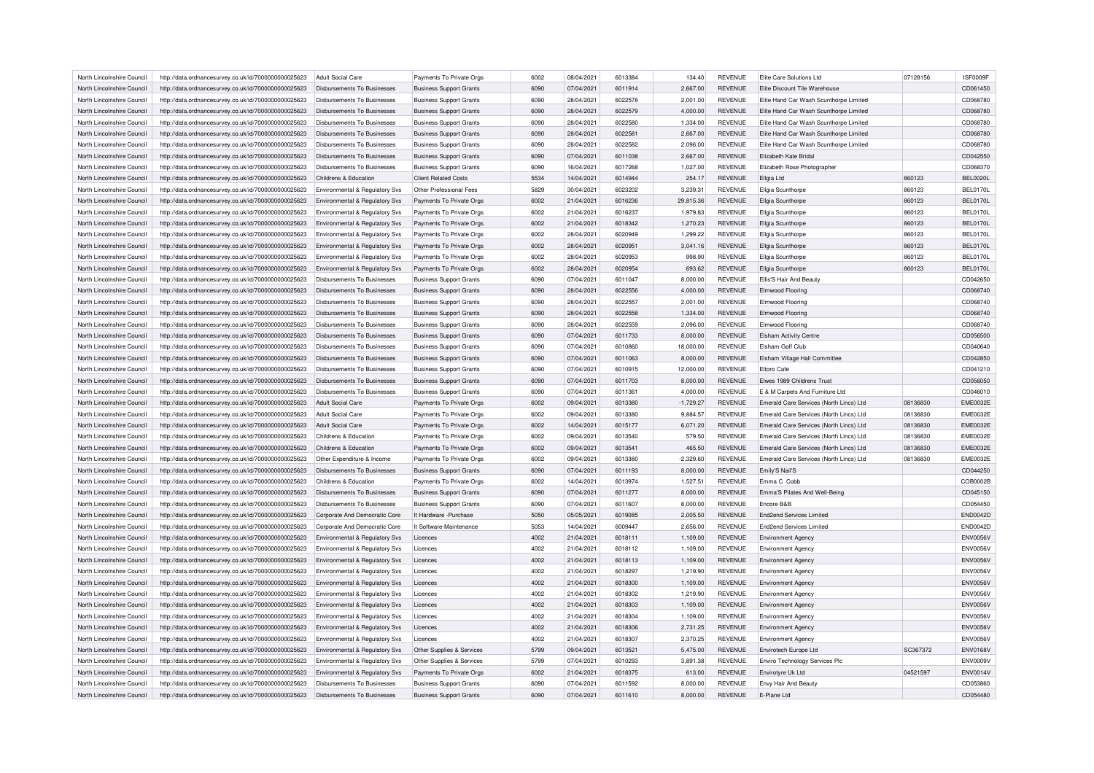| North Lincolnshire Council | http://data.ordnancesurvey.co.uk/id/7000000000025623 | Adult Social Care                         | Payments To Private Orgs       | 6002 | 08/04/2021 | 6013384 | 134.40      | <b>REVENUE</b> | Elite Care Solutions Ltd                | 07128156 | ISF0009F        |
|----------------------------|------------------------------------------------------|-------------------------------------------|--------------------------------|------|------------|---------|-------------|----------------|-----------------------------------------|----------|-----------------|
| North Lincolnshire Council | http://data.ordnancesurvey.co.uk/id/7000000000025623 | Disbursements To Businesses               | <b>Business Support Grants</b> | 6090 | 07/04/2021 | 6011914 | 2,667.00    | <b>REVENUE</b> | Elite Discount Tile Warehouse           |          | CD061450        |
| North Lincolnshire Council | http://data.ordnancesurvey.co.uk/id/7000000000025623 | Disbursements To Businesses               | <b>Business Support Grants</b> | 6090 | 28/04/2021 | 6022578 | 2,001.00    | <b>REVENUE</b> | Elite Hand Car Wash Scunthorpe Limited  |          | CD068780        |
| North Lincolnshire Council | http://data.ordnancesurvey.co.uk/id/7000000000025623 | Disbursements To Businesses               | <b>Business Support Grants</b> | 6090 | 28/04/2021 | 6022579 | 4,000.00    | <b>REVENUE</b> | Elite Hand Car Wash Scunthorpe Limited  |          | CD068780        |
| North Lincolnshire Council | http://data.ordnancesurvey.co.uk/id/7000000000025623 | Disbursements To Businesses               | <b>Business Support Grants</b> | 6090 | 28/04/2021 | 6022580 | 1,334.00    | <b>REVENUE</b> | Elite Hand Car Wash Scunthorpe Limited  |          | CD068780        |
| North Lincolnshire Council | http://data.ordnancesurvey.co.uk/id/7000000000025623 | Disbursements To Businesses               | <b>Business Support Grants</b> | 6090 | 28/04/2021 | 6022581 | 2,667.00    | <b>REVENUE</b> | Elite Hand Car Wash Scunthorpe Limited  |          | CD068780        |
| North Lincolnshire Council | http://data.ordnancesurvey.co.uk/id/7000000000025623 | Disbursements To Businesses               | <b>Business Support Grants</b> | 6090 | 28/04/2021 | 6022582 | 2,096.00    | <b>REVENUE</b> | Elite Hand Car Wash Scunthorpe Limited  |          | CD068780        |
| North Lincolnshire Council | http://data.ordnancesurvey.co.uk/id/7000000000025623 | Disbursements To Businesses               | <b>Business Support Grants</b> | 6090 | 07/04/2021 | 6011038 | 2,667.00    | <b>REVENUE</b> | Elizabeth Kate Bridal                   |          | CD042550        |
| North Lincolnshire Council | http://data.ordnancesurvey.co.uk/id/7000000000025623 | Disbursements To Businesses               | <b>Business Support Grants</b> | 6090 | 16/04/2021 | 6017268 | 1,027.00    | <b>REVENUE</b> | Elizabeth Rose Photographer             |          | CD068370        |
| North Lincolnshire Council | http://data.ordnancesurvey.co.uk/id/7000000000025623 | Childrens & Education                     | <b>Client Related Costs</b>    | 5534 | 14/04/2021 | 6014944 | 254.17      | <b>REVENUE</b> | Ellgia Ltd                              | 860123   | <b>BEL0020L</b> |
| North Lincolnshire Council | http://data.ordnancesurvey.co.uk/id/7000000000025623 | Environmental & Regulatory Svs            | Other Professional Fees        | 5829 | 30/04/2021 | 6023202 | 3,239.31    | <b>REVENUE</b> | Ellgia Scunthorpe                       | 860123   | <b>BEL0170L</b> |
| North Lincolnshire Council | http://data.ordnancesurvey.co.uk/id/7000000000025623 | Environmental & Regulatory Svs            | Payments To Private Orgs       | 6002 | 21/04/2021 | 6016236 | 29,815.36   | <b>REVENUE</b> | Ellgia Scunthorpe                       | 860123   | <b>BEL0170L</b> |
| North Lincolnshire Council | http://data.ordnancesurvey.co.uk/id/7000000000025623 | Environmental & Regulatory Svs            | Payments To Private Orgs       | 6002 | 21/04/2021 | 6016237 | 1,979.83    | <b>REVENUE</b> | Ellgia Scunthorpe                       | 860123   | <b>BEL0170L</b> |
| North Lincolnshire Council | http://data.ordnancesurvey.co.uk/id/7000000000025623 | Environmental & Regulatory Svs            | Payments To Private Orgs       | 6002 | 21/04/2021 | 6018342 | 1,270.23    | <b>REVENUE</b> | Ellgia Scunthorpe                       | 860123   | <b>BEL0170L</b> |
| North Lincolnshire Council | http://data.ordnancesurvey.co.uk/id/7000000000025623 | Environmental & Regulatory Svs            | Payments To Private Orgs       | 6002 | 28/04/2021 | 6020949 | 1,299.22    | <b>REVENUE</b> | Ellgia Scunthorpe                       | 860123   | <b>BEL0170L</b> |
| North Lincolnshire Council | http://data.ordnancesurvey.co.uk/id/7000000000025623 | Environmental & Regulatory Svs            | Payments To Private Orgs       | 6002 | 28/04/2021 | 6020951 | 3,041.16    | REVENUE        | Ellgia Scunthorpe                       | 860123   | <b>BEL0170L</b> |
| North Lincolnshire Council | http://data.ordnancesurvey.co.uk/id/7000000000025623 | Environmental & Regulatory Svs            | Payments To Private Orgs       | 6002 | 28/04/2021 | 6020953 | 998.90      | <b>REVENUE</b> | Ellgia Scunthorpe                       | 860123   | <b>BEL0170L</b> |
| North Lincolnshire Council | http://data.ordnancesurvey.co.uk/id/7000000000025623 | Environmental & Regulatory Svs            | Payments To Private Orgs       | 6002 | 28/04/2021 | 6020954 | 693.62      | <b>REVENUE</b> | Ellgia Scunthorpe                       | 860123   | <b>BEL0170L</b> |
| North Lincolnshire Council | http://data.ordnancesurvey.co.uk/id/7000000000025623 | Disbursements To Businesses               | <b>Business Support Grants</b> | 6090 | 07/04/2021 | 6011047 | 8,000.00    | <b>REVENUE</b> | Ellis'S Hair And Beauty                 |          | CD042650        |
| North Lincolnshire Council | http://data.ordnancesurvey.co.uk/id/7000000000025623 | Disbursements To Businesses               | <b>Business Support Grants</b> | 6090 | 28/04/2021 | 6022556 | 4.000.00    | <b>REVENUE</b> | <b>Elmwood Flooring</b>                 |          | CD068740        |
| North Lincolnshire Council | http://data.ordnancesurvey.co.uk/id/7000000000025623 | Disbursements To Businesses               | <b>Business Support Grants</b> | 6090 | 28/04/2021 | 6022557 | 2,001.00    | <b>REVENUE</b> | Elmwood Flooring                        |          | CD068740        |
| North Lincolnshire Council | http://data.ordnancesurvey.co.uk/id/7000000000025623 | Disbursements To Businesses               | <b>Business Support Grants</b> | 6090 | 28/04/2021 | 6022558 | 1,334.00    | <b>REVENUE</b> | Elmwood Flooring                        |          | CD068740        |
| North Lincolnshire Council | http://data.ordnancesurvey.co.uk/id/7000000000025623 | Disbursements To Businesses               | <b>Business Support Grants</b> | 6090 | 28/04/2021 | 6022559 | 2.096.00    | <b>REVENUE</b> | Elmwood Flooring                        |          | CD068740        |
| North Lincolnshire Council |                                                      | Disbursements To Businesses               |                                | 6090 | 07/04/2021 | 6011733 |             | <b>REVENUE</b> |                                         |          | CD056500        |
|                            | http://data.ordnancesurvey.co.uk/id/7000000000025623 |                                           | <b>Business Support Grants</b> |      |            |         | 8,000.00    |                | <b>Elsham Activity Centre</b>           |          |                 |
| North Lincolnshire Council | http://data.ordnancesurvey.co.uk/id/7000000000025623 | <b>Disbursements To Businesses</b>        | <b>Business Support Grants</b> | 6090 | 07/04/2021 | 6010860 | 18,000.00   | <b>REVENUE</b> | Elsham Golf Club                        |          | CD040640        |
| North Lincolnshire Council | http://data.ordnancesurvey.co.uk/id/7000000000025623 | Disbursements To Businesses               | <b>Business Support Grants</b> | 6090 | 07/04/2021 | 6011063 | 8,000.00    | <b>REVENUE</b> | Elsham Village Hall Committee           |          | CD042850        |
| North Lincolnshire Council | http://data.ordnancesurvey.co.uk/id/7000000000025623 | Disbursements To Businesses               | <b>Business Support Grants</b> | 6090 | 07/04/2021 | 6010915 | 12,000.00   | <b>REVENUE</b> | Eltoro Cafe                             |          | CD041210        |
| North Lincolnshire Council | http://data.ordnancesurvey.co.uk/id/7000000000025623 | Disbursements To Businesses               | <b>Business Support Grants</b> | 6090 | 07/04/2021 | 6011703 | 8,000.00    | <b>REVENUE</b> | Elwes 1989 Childrens Trust              |          | CD056050        |
| North Lincolnshire Council | http://data.ordnancesurvey.co.uk/id/7000000000025623 | Disbursements To Businesses               | <b>Business Support Grants</b> | 6090 | 07/04/2021 | 6011361 | 4.000.00    | <b>REVENUE</b> | E & M Carpets And Furniture Ltd         |          | CD046010        |
| North Lincolnshire Council | http://data.ordnancesurvey.co.uk/id/7000000000025623 | <b>Adult Social Care</b>                  | Payments To Private Orgs       | 6002 | 09/04/2021 | 6013380 | $-1,729.27$ | <b>REVENUE</b> | Emerald Care Services (North Lincs) Ltd | 08136830 | <b>EME0032E</b> |
| North Lincolnshire Council | http://data.ordnancesurvey.co.uk/id/7000000000025623 | Adult Social Care                         | Payments To Private Orgs       | 6002 | 09/04/2021 | 6013380 | 9,884.57    | <b>REVENUE</b> | Emerald Care Services (North Lincs) Ltd | 08136830 | <b>EME0032E</b> |
| North Lincolnshire Council | http://data.ordnancesurvey.co.uk/id/7000000000025623 | Adult Social Care                         | Payments To Private Orgs       | 6002 | 14/04/2021 | 6015177 | 6.071.20    | <b>REVENUE</b> | Emerald Care Services (North Lincs) Ltd | 08136830 | <b>EME0032E</b> |
| North Lincolnshire Council | http://data.ordnancesurvey.co.uk/id/7000000000025623 | Childrens & Education                     | Payments To Private Orgs       | 6002 | 09/04/2021 | 6013540 | 579.50      | <b>REVENUE</b> | Emerald Care Services (North Lincs) Ltd | 08136830 | <b>EME0032E</b> |
| North Lincolnshire Council | http://data.ordnancesurvey.co.uk/id/7000000000025623 | Childrens & Education                     | Payments To Private Orgs       | 6002 | 09/04/2021 | 6013541 | 465.50      | <b>REVENUE</b> | Emerald Care Services (North Lincs) Ltd | 08136830 | <b>EME0032E</b> |
| North Lincolnshire Council | http://data.ordnancesurvey.co.uk/id/7000000000025623 | Other Expenditure & Income                | Payments To Private Orgs       | 6002 | 09/04/2021 | 6013380 | $-2,329.60$ | REVENUE        | Emerald Care Services (North Lincs) Ltd | 08136830 | <b>EME0032E</b> |
| North Lincolnshire Council | http://data.ordnancesurvey.co.uk/id/7000000000025623 | Disbursements To Businesses               | <b>Business Support Grants</b> | 6090 | 07/04/2021 | 6011193 | 8,000.00    | <b>REVENUE</b> | Emily'S Nail'S                          |          | CD044250        |
| North Lincolnshire Council | http://data.ordnancesurvey.co.uk/id/7000000000025623 | Childrens & Education                     | Payments To Private Orgs       | 6002 | 14/04/2021 | 6013974 | 1,527.51    | REVENUE        | Emma C Cobb                             |          | COB0002B        |
| North Lincolnshire Council | http://data.ordnancesurvey.co.uk/id/7000000000025623 | Disbursements To Businesses               | <b>Business Support Grants</b> | 6090 | 07/04/2021 | 6011277 | 8,000.00    | <b>REVENUE</b> | Emma'S Pilates And Well-Being           |          | CD045150        |
| North Lincolnshire Council | http://data.ordnancesurvey.co.uk/id/7000000000025623 | Disbursements To Businesses               | <b>Business Support Grants</b> | 6090 | 07/04/2021 | 6011607 | 8,000.00    | <b>REVENUE</b> | Encore B&B                              |          | CD054450        |
| North Lincolnshire Council | http://data.ordnancesurvey.co.uk/id/7000000000025623 | Corporate And Democratic Core             | It Hardware - Purchase         | 5050 | 05/05/2021 | 6019085 | 2,005.50    | <b>REVENUE</b> | <b>End2end Services Limited</b>         |          | <b>END0042D</b> |
| North Lincolnshire Council | http://data.ordnancesurvey.co.uk/id/7000000000025623 | Corporate And Democratic Core             | It Software-Maintenance        | 5053 | 14/04/2021 | 6009447 | 2,656.00    | REVENUE        | <b>End2end Services Limited</b>         |          | <b>END0042D</b> |
| North Lincolnshire Council | http://data.ordnancesurvey.co.uk/id/7000000000025623 | Environmental & Regulatory Svs            | Licences                       | 4002 | 21/04/2021 | 6018111 | 1,109.00    | REVENUE        | <b>Environment Agency</b>               |          | ENV0056\        |
| North Lincolnshire Council | http://data.ordnancesurvey.co.uk/id/7000000000025623 | Environmental & Regulatory Svs            | Licences                       | 4002 | 21/04/2021 | 6018112 | 1,109.00    | <b>REVENUE</b> | <b>Environment Agency</b>               |          | <b>ENV0056V</b> |
| North Lincolnshire Council | http://data.ordnancesurvey.co.uk/id/7000000000025623 | Environmental & Regulatory Svs            | Licences                       | 4002 | 21/04/2021 | 6018113 | 1,109.00    | <b>REVENUE</b> | <b>Environment Agency</b>               |          | <b>ENV0056V</b> |
| North Lincolnshire Council | http://data.ordnancesurvey.co.uk/id/7000000000025623 | Environmental & Regulatory Svs            | Licences                       | 4002 | 21/04/2021 | 6018297 | 1,219.90    | <b>REVENUE</b> | <b>Environment Agency</b>               |          | ENV0056\        |
| North Lincolnshire Council | http://data.ordnancesurvey.co.uk/id/7000000000025623 | Environmental & Regulatory Svs            | Licences                       | 4002 | 21/04/2021 | 6018300 | 1,109.00    | <b>REVENUE</b> | <b>Environment Agency</b>               |          | <b>ENV0056V</b> |
| North Lincolnshire Council | http://data.ordnancesurvey.co.uk/id/7000000000025623 | Environmental & Regulatory Svs            | Licences                       | 4002 | 21/04/2021 | 6018302 | 1,219.90    | REVENUE        | <b>Environment Agency</b>               |          | <b>ENV0056V</b> |
| North Lincolnshire Council | http://data.ordnancesurvey.co.uk/id/7000000000025623 | Environmental & Regulatory Svs            | Licences                       | 4002 | 21/04/2021 | 6018303 | 1,109.00    | REVENUE        | <b>Environment Agency</b>               |          | ENV0056\        |
| North Lincolnshire Council | http://data.ordnancesurvey.co.uk/id/7000000000025623 | Environmental & Regulatory Svs            | Licences                       | 4002 | 21/04/2021 | 6018304 | 1,109.00    | REVENUE        | <b>Environment Agency</b>               |          | <b>ENV0056V</b> |
| North Lincolnshire Council | http://data.ordnancesurvey.co.uk/id/7000000000025623 | Environmental & Regulatory Svs            | Licences                       | 4002 | 21/04/2021 | 6018306 | 2,731.25    | <b>REVENUE</b> | <b>Environment Agency</b>               |          | <b>ENV0056V</b> |
| North Lincolnshire Council | http://data.ordnancesurvey.co.uk/id/7000000000025623 | Environmental & Regulatory Svs            | Licences                       | 4002 | 21/04/2021 | 6018307 | 2,370.25    | <b>REVENUE</b> | <b>Environment Agency</b>               |          | ENV0056\        |
| North Lincolnshire Council | http://data.ordnancesurvey.co.uk/id/7000000000025623 | <b>Environmental &amp; Regulatory Svs</b> | Other Supplies & Services      | 5799 | 09/04/2021 | 601352  | 5,475.00    | <b>REVENUE</b> | Envirotech Europe Ltd                   | SC367372 | <b>ENV0168V</b> |
| North Lincolnshire Council | http://data.ordnancesurvey.co.uk/id/7000000000025623 | Environmental & Regulatory Svs            | Other Supplies & Services      | 5799 | 07/04/2021 | 6010293 | 3,891.38    | <b>REVENUE</b> | Enviro Technology Services Plc          |          | <b>ENV0009V</b> |
| North Lincolnshire Council | http://data.ordnancesurvey.co.uk/id/7000000000025623 | Environmental & Regulatory Svs            | Payments To Private Orgs       | 6002 | 21/04/2021 | 6018375 | 613.00      | REVENUE        | Envirotyre Uk Ltd                       | 04521597 | <b>ENV0014V</b> |
| North Lincolnshire Council | http://data.ordnancesurvey.co.uk/id/7000000000025623 | Disbursements To Businesses               | <b>Business Support Grants</b> | 6090 | 07/04/2021 | 6011592 | 8.000.00    | REVENUE        | <b>Envy Hair And Beauty</b>             |          | CD053860        |
| North Lincolnshire Council | http://data.ordnancesurvey.co.uk/id/7000000000025623 | Disbursements To Businesses               | <b>Business Support Grants</b> | 6090 | 07/04/2021 | 6011610 | 8.000.00    | <b>REVENUE</b> | E-Plane Ltd                             |          | CD054480        |
|                            |                                                      |                                           |                                |      |            |         |             |                |                                         |          |                 |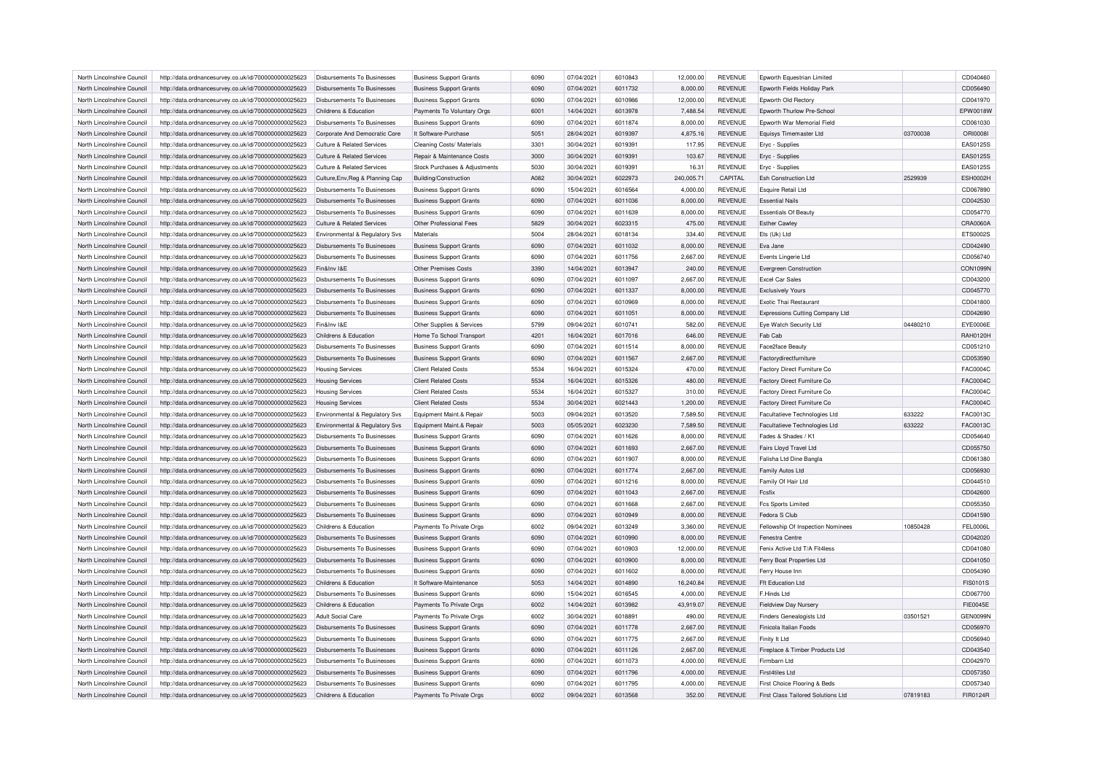| North Lincolnshire Council | http://data.ordnancesurvey.co.uk/id/7000000000025623 | Disbursements To Businesses                       | <b>Business Support Grants</b> | 6090 | 07/04/2021 | 6010843 | 12,000.00  | <b>REVENUE</b> | Epworth Equestrian Limited         |          | CD040460        |
|----------------------------|------------------------------------------------------|---------------------------------------------------|--------------------------------|------|------------|---------|------------|----------------|------------------------------------|----------|-----------------|
| North Lincolnshire Council | http://data.ordnancesurvey.co.uk/id/7000000000025623 | Disbursements To Businesses                       | <b>Business Support Grants</b> | 6090 | 07/04/2021 | 6011732 | 8,000.00   | <b>REVENUE</b> | Epworth Fields Holiday Park        |          | CD056490        |
| North Lincolnshire Council | http://data.ordnancesurvey.co.uk/id/7000000000025623 | Disbursements To Businesses                       | <b>Business Support Grants</b> | 6090 | 07/04/2021 | 6010986 | 12,000.00  | <b>REVENUE</b> | Epworth Old Rectory                |          | CD041970        |
| North Lincolnshire Council | http://data.ordnancesurvey.co.uk/id/7000000000025623 | Childrens & Education                             | Payments To Voluntary Orgs     | 6001 | 14/04/2021 | 6013978 | 7,488.54   | <b>REVENUE</b> | Epworth Thurlow Pre-School         |          | EPW0018W        |
| North Lincolnshire Council | http://data.ordnancesurvey.co.uk/id/7000000000025623 | Disbursements To Businesses                       | <b>Business Support Grants</b> | 6090 | 07/04/2021 | 6011874 | 8,000.00   | <b>REVENUE</b> | Epworth War Memorial Field         |          | CD061030        |
| North Lincolnshire Council | http://data.ordnancesurvey.co.uk/id/7000000000025623 | Corporate And Democratic Core                     | It Software-Purchase           | 5051 | 28/04/2021 | 6019397 | 4,875.16   | <b>REVENUE</b> | Equisys Timemaster Ltd             | 03700038 | <b>ORI0008I</b> |
| North Lincolnshire Council | http://data.ordnancesurvey.co.uk/id/7000000000025623 | Culture & Related Services                        | Cleaning Costs/ Materials      | 3301 | 30/04/2021 | 6019391 | 117.95     | <b>REVENUE</b> | Eryc - Supplies                    |          | EAS0125S        |
| North Lincolnshire Council | http://data.ordnancesurvey.co.uk/id/7000000000025623 | <b>Culture &amp; Related Services</b>             | Repair & Maintenance Costs     | 3000 | 30/04/2021 | 6019391 | 103.67     | <b>REVENUE</b> | Eryc - Supplies                    |          | EAS0125S        |
| North Lincolnshire Council | http://data.ordnancesurvey.co.uk/id/7000000000025623 | <b>Culture &amp; Related Services</b>             | Stock Purchases & Adjustments  | 5030 | 30/04/2021 | 6019391 | 16.31      | <b>REVENUE</b> | Eryc - Supplies                    |          | EAS0125S        |
| North Lincolnshire Council | http://data.ordnancesurvey.co.uk/id/7000000000025623 | Culture, Env, Reg & Planning Cap                  | <b>Building/Construction</b>   | A082 | 30/04/2021 | 6022973 | 240,005.71 | CAPITAL        | <b>Esh Construction Ltd</b>        | 2529939  | <b>ESH0002H</b> |
| North Lincolnshire Council | http://data.ordnancesurvey.co.uk/id/7000000000025623 | Disbursements To Businesses                       | <b>Business Support Grants</b> | 6090 | 15/04/2021 | 6016564 | 4,000.00   | <b>REVENUE</b> | <b>Esquire Retail Ltd</b>          |          | CD067890        |
| North Lincolnshire Council | http://data.ordnancesurvey.co.uk/id/7000000000025623 | Disbursements To Businesses                       | <b>Business Support Grants</b> | 6090 | 07/04/2021 | 6011036 | 8,000.00   | <b>REVENUE</b> | <b>Essential Nails</b>             |          | CD042530        |
| North Lincolnshire Council | http://data.ordnancesurvey.co.uk/id/7000000000025623 | Disbursements To Businesses                       | <b>Business Support Grants</b> | 6090 | 07/04/2021 | 6011639 | 8,000.00   | <b>REVENUE</b> | <b>Essentials Of Beauty</b>        |          | CD054770        |
| North Lincolnshire Council | http://data.ordnancesurvey.co.uk/id/7000000000025623 | Culture & Related Services                        | Other Professional Fees        | 5829 | 30/04/2021 | 6023315 | 475.00     | <b>REVENUE</b> | <b>Esther Cawley</b>               |          | CRA0060A        |
| North Lincolnshire Council | http://data.ordnancesurvey.co.uk/id/7000000000025623 | Environmental & Regulatory Svs                    | Materials                      | 5004 | 28/04/2021 | 6018134 | 334.40     | <b>REVENUE</b> | Ets (Uk) Ltd                       |          | ETS0002S        |
| North Lincolnshire Council | http://data.ordnancesurvey.co.uk/id/7000000000025623 | <b>Disbursements To Businesses</b>                | <b>Business Support Grants</b> | 6090 | 07/04/2021 | 6011032 | 8,000.00   | <b>REVENUE</b> | Eva Jane                           |          | CD042490        |
| North Lincolnshire Council | http://data.ordnancesurvey.co.uk/id/7000000000025623 | <b>Disbursements To Businesses</b>                | <b>Business Support Grants</b> | 6090 | 07/04/2021 | 6011756 | 2,667.00   | <b>REVENUE</b> | Events Lingerie Ltd                |          | CD056740        |
| North Lincolnshire Council | http://data.ordnancesurvey.co.uk/id/7000000000025623 | Fin&Inv I&F                                       | <b>Other Premises Costs</b>    | 3390 | 14/04/2021 | 6013947 | 240.00     | <b>REVENUE</b> | Evergreen Construction             |          | CON1099N        |
| North Lincolnshire Council | http://data.ordnancesurvey.co.uk/id/7000000000025623 | Disbursements To Businesses                       | <b>Business Support Grants</b> | 6090 | 07/04/2021 | 6011097 | 2,667.00   | <b>REVENUE</b> | <b>Excel Car Sales</b>             |          | CD043200        |
| North Lincolnshire Council | http://data.ordnancesurvey.co.uk/id/7000000000025623 | <b>Disbursements To Businesses</b>                | <b>Business Support Grants</b> | 6090 | 07/04/2021 | 6011337 | 8,000.00   | <b>REVENUE</b> | <b>Exclusively Yours</b>           |          | CD045770        |
| North Lincolnshire Council |                                                      | Disbursements To Businesses                       |                                | 6090 | 07/04/2021 | 6010969 |            | <b>REVENUE</b> | <b>Exotic Thai Restaurant</b>      |          | CD041800        |
|                            | http://data.ordnancesurvey.co.uk/id/7000000000025623 |                                                   | <b>Business Support Grants</b> | 6090 |            |         | 8,000.00   |                |                                    |          | CD042690        |
| North Lincolnshire Council | http://data.ordnancesurvey.co.uk/id/7000000000025623 | <b>Disbursements To Businesses</b><br>Fin&Inv I&F | <b>Business Support Grants</b> |      | 07/04/2021 | 6011051 | 8,000.00   | <b>REVENUE</b> | Expressions Cutting Company Ltd    |          |                 |
| North Lincolnshire Council | http://data.ordnancesurvey.co.uk/id/7000000000025623 |                                                   | Other Supplies & Services      | 5799 | 09/04/2021 | 6010741 | 582.00     | <b>REVENUE</b> | Eye Watch Security Ltd             | 04480210 | EYE0006E        |
| North Lincolnshire Council | http://data.ordnancesurvey.co.uk/id/7000000000025623 | Childrens & Education                             | Home To School Transport       | 4201 | 16/04/2021 | 6017016 | 646.00     | <b>REVENUE</b> | Fab Cab                            |          | RAH0120H        |
| North Lincolnshire Council | http://data.ordnancesurvey.co.uk/id/7000000000025623 | Disbursements To Businesses                       | <b>Business Support Grants</b> | 6090 | 07/04/2021 | 6011514 | 8,000.00   | <b>REVENUE</b> | Face2face Beauty                   |          | CD051210        |
| North Lincolnshire Council | http://data.ordnancesurvey.co.uk/id/7000000000025623 | Disbursements To Businesses                       | <b>Business Support Grants</b> | 6090 | 07/04/2021 | 6011567 | 2,667.00   | <b>REVENUE</b> | Factorydirectfurniture             |          | CD053590        |
| North Lincolnshire Council | http://data.ordnancesurvey.co.uk/id/7000000000025623 | <b>Housing Services</b>                           | <b>Client Related Costs</b>    | 5534 | 16/04/2021 | 6015324 | 470.00     | <b>REVENUE</b> | Factory Direct Furniture Co        |          | <b>FAC0004C</b> |
| North Lincolnshire Council | http://data.ordnancesurvey.co.uk/id/7000000000025623 | <b>Housing Services</b>                           | <b>Client Related Costs</b>    | 5534 | 16/04/2021 | 6015326 | 480.00     | <b>REVENUE</b> | Factory Direct Furniture Co        |          | FAC0004C        |
| North Lincolnshire Council | http://data.ordnancesurvey.co.uk/id/7000000000025623 | <b>Housing Services</b>                           | <b>Client Related Costs</b>    | 5534 | 16/04/2021 | 6015327 | 310.00     | <b>REVENUE</b> | Factory Direct Furniture Co        |          | FAC0004C        |
| North Lincolnshire Council | http://data.ordnancesurvey.co.uk/id/7000000000025623 | <b>Housing Services</b>                           | <b>Client Related Costs</b>    | 5534 | 30/04/2021 | 6021443 | 1,200.00   | <b>REVENUE</b> | Factory Direct Furniture Co        |          | FAC0004C        |
| North Lincolnshire Council | http://data.ordnancesurvey.co.uk/id/7000000000025623 | Environmental & Regulatory Svs                    | Equipment Maint.& Repair       | 5003 | 09/04/2021 | 6013520 | 7,589.50   | REVENUE        | Facultatieve Technologies Ltd      | 633222   | FAC0013C        |
| North Lincolnshire Council | http://data.ordnancesurvey.co.uk/id/7000000000025623 | Environmental & Regulatory Svs                    | Equipment Maint.& Repair       | 5003 | 05/05/2021 | 6023230 | 7,589.50   | <b>REVENUE</b> | Facultatieve Technologies Ltd      | 633222   | FAC0013C        |
| North Lincolnshire Council | http://data.ordnancesurvey.co.uk/id/7000000000025623 | Disbursements To Businesses                       | <b>Business Support Grants</b> | 6090 | 07/04/2021 | 6011626 | 8.000.00   | <b>REVENUE</b> | Fades & Shades / K1                |          | CD054640        |
| North Lincolnshire Council | http://data.ordnancesurvey.co.uk/id/7000000000025623 | Disbursements To Businesses                       | <b>Business Support Grants</b> | 6090 | 07/04/2021 | 6011693 | 2,667.00   | <b>REVENUE</b> | Fairs Lloyd Travel Ltd             |          | CD055750        |
| North Lincolnshire Council | http://data.ordnancesurvey.co.uk/id/7000000000025623 | <b>Disbursements To Businesses</b>                | <b>Business Support Grants</b> | 6090 | 07/04/2021 | 6011907 | 8,000.00   | <b>REVENUE</b> | Falisha Ltd Dine Bangla            |          | CD061380        |
| North Lincolnshire Council | http://data.ordnancesurvey.co.uk/id/7000000000025623 | Disbursements To Businesses                       | <b>Business Support Grants</b> | 6090 | 07/04/2021 | 6011774 | 2.667.00   | <b>REVENUE</b> | Family Autos Ltd                   |          | CD056930        |
| North Lincolnshire Council | http://data.ordnancesurvey.co.uk/id/7000000000025623 | Disbursements To Businesses                       | <b>Business Support Grants</b> | 6090 | 07/04/2021 | 6011216 | 8,000.00   | REVENUE        | Family Of Hair Ltd                 |          | CD044510        |
| North Lincolnshire Council | http://data.ordnancesurvey.co.uk/id/7000000000025623 | Disbursements To Businesses                       | <b>Business Support Grants</b> | 6090 | 07/04/2021 | 6011043 | 2,667.00   | <b>REVENUE</b> | Festix                             |          | CD042600        |
| North Lincolnshire Council | http://data.ordnancesurvey.co.uk/id/7000000000025623 | Disbursements To Businesses                       | <b>Business Support Grants</b> | 6090 | 07/04/2021 | 6011668 | 2,667.00   | <b>REVENUE</b> | <b>Fcs Sports Limited</b>          |          | CD055350        |
| North Lincolnshire Council | http://data.ordnancesurvey.co.uk/id/7000000000025623 | <b>Disbursements To Businesses</b>                | <b>Business Support Grants</b> | 6090 | 07/04/2021 | 6010949 | 8,000.00   | <b>REVENUE</b> | Fedora S Club                      |          | CD041590        |
| North Lincolnshire Council | http://data.ordnancesurvey.co.uk/id/7000000000025623 | Childrens & Education                             | Payments To Private Orgs       | 6002 | 09/04/2021 | 6013249 | 3,360.00   | <b>REVENUE</b> | Fellowship Of Inspection Nominees  | 10850428 | <b>FEL0006L</b> |
| North Lincolnshire Council | http://data.ordnancesurvey.co.uk/id/7000000000025623 | <b>Disbursements To Businesses</b>                | <b>Business Support Grants</b> | 6090 | 07/04/2021 | 6010990 | 8,000.00   | <b>REVENUE</b> | Fenestra Centre                    |          | CD042020        |
| North Lincolnshire Council | http://data.ordnancesurvey.co.uk/id/7000000000025623 | Disbursements To Businesses                       | <b>Business Support Grants</b> | 6090 | 07/04/2021 | 6010903 | 12,000.00  | <b>REVENUE</b> | Fenix Active Ltd T/A Fit4less      |          | CD041080        |
| North Lincolnshire Council | http://data.ordnancesurvey.co.uk/id/7000000000025623 | Disbursements To Businesses                       | <b>Business Support Grants</b> | 6090 | 07/04/2021 | 6010900 | 8,000.00   | <b>REVENUE</b> | Ferry Boat Properties Ltd          |          | CD041050        |
| North Lincolnshire Council | http://data.ordnancesurvey.co.uk/id/7000000000025623 | Disbursements To Businesses                       | <b>Business Support Grants</b> | 6090 | 07/04/2021 | 6011602 | 8,000.00   | <b>REVENUE</b> | Ferry House Inn                    |          | CD054390        |
| North Lincolnshire Council | http://data.ordnancesurvey.co.uk/id/7000000000025623 | Childrens & Education                             | It Software-Maintenance        | 5053 | 14/04/2021 | 6014890 | 16,240.84  | <b>REVENUE</b> | Fft Education Ltd                  |          | <b>FIS0101S</b> |
| North Lincolnshire Council | http://data.ordnancesurvey.co.uk/id/7000000000025623 | <b>Disbursements To Businesses</b>                | <b>Business Support Grants</b> | 6090 | 15/04/2021 | 6016545 | 4,000.00   | <b>REVENUE</b> | F.Hinds Ltd                        |          | CD067700        |
| North Lincolnshire Council | http://data.ordnancesurvey.co.uk/id/7000000000025623 | Childrens & Education                             | Payments To Private Orgs       | 6002 | 14/04/2021 | 6013982 | 43,919.07  | <b>REVENUE</b> | Fieldview Day Nursery              |          | <b>FIE0045E</b> |
| North Lincolnshire Council | http://data.ordnancesurvey.co.uk/id/7000000000025623 | Adult Social Care                                 | Payments To Private Orgs       | 6002 | 30/04/2021 | 6018891 | 490.00     | REVENUE        | Finders Genealogists Ltd           | 03501521 | <b>GEN0099N</b> |
| North Lincolnshire Council | http://data.ordnancesurvey.co.uk/id/7000000000025623 | <b>Disbursements To Businesses</b>                | <b>Business Support Grants</b> | 6090 | 07/04/2021 | 6011778 | 2,667.00   | <b>REVENUE</b> | Finicola Italian Foods             |          | CD056970        |
| North Lincolnshire Council | http://data.ordnancesurvey.co.uk/id/7000000000025623 | Disbursements To Businesses                       | <b>Business Support Grants</b> | 6090 | 07/04/2021 | 6011775 | 2.667.00   | <b>REVENUE</b> | Finity It Ltd                      |          | CD056940        |
| North Lincolnshire Council | http://data.ordnancesurvey.co.uk/id/7000000000025623 | Disbursements To Businesses                       | <b>Business Support Grants</b> | 6090 | 07/04/2021 | 6011126 | 2,667.00   | <b>REVENUE</b> | Fireplace & Timber Products Ltd    |          | CD043540        |
| North Lincolnshire Council | http://data.ordnancesurvey.co.uk/id/7000000000025623 | Disbursements To Businesses                       | <b>Business Support Grants</b> | 6090 | 07/04/2021 | 6011073 | 4,000.00   | REVENUE        | Firmbarn Ltd                       |          | CD042970        |
| North Lincolnshire Council | http://data.ordnancesurvey.co.uk/id/7000000000025623 | Disbursements To Businesses                       | <b>Business Support Grants</b> | 6090 | 07/04/2021 | 6011796 | 4.000.00   | <b>REVENUE</b> | First4tiles Ltd                    |          | CD057350        |
| North Lincolnshire Council | http://data.ordnancesurvey.co.uk/id/7000000000025623 | Disbursements To Businesses                       | <b>Business Support Grants</b> | 6090 | 07/04/2021 | 6011795 | 4,000.00   | REVENUE        | First Choice Flooring & Beds       |          | CD057340        |
| North Lincolnshire Council | http://data.ordnancesurvey.co.uk/id/7000000000025623 | Childrens & Education                             | Payments To Private Orgs       | 6002 | 09/04/2021 | 6013568 | 352.00     | <b>REVENUE</b> | First Class Tailored Solutions Ltd | 07819183 | FIR0124R        |
|                            |                                                      |                                                   |                                |      |            |         |            |                |                                    |          |                 |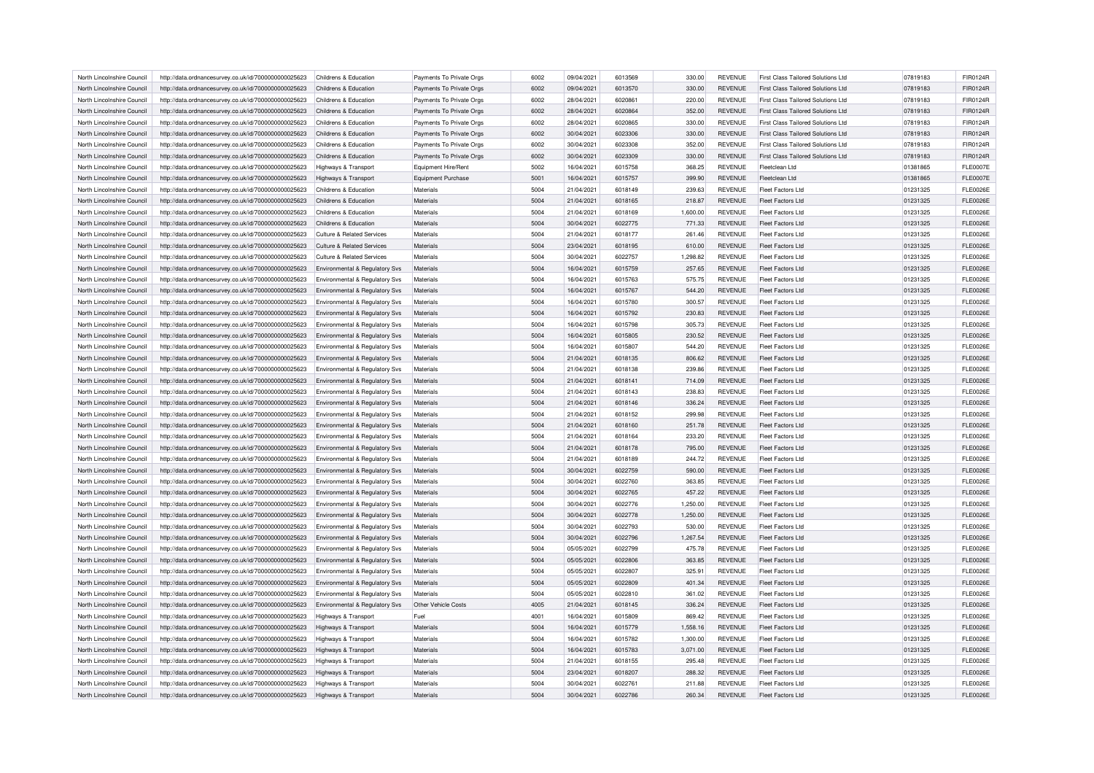| North Lincolnshire Council                               | http://data.ordnancesurvey.co.uk/id/7000000000025623 | Childrens & Education                     | Payments To Private Orgs | 6002 | 09/04/2021 | 6013569 | 330.00             | <b>REVENUE</b> | First Class Tailored Solutions Ltd  | 07819183 | FIR0124R        |
|----------------------------------------------------------|------------------------------------------------------|-------------------------------------------|--------------------------|------|------------|---------|--------------------|----------------|-------------------------------------|----------|-----------------|
| North Lincolnshire Council                               | http://data.ordnancesurvey.co.uk/id/7000000000025623 | Childrens & Education                     | Payments To Private Orgs | 6002 | 09/04/2021 | 6013570 | 330.00             | <b>REVENUE</b> | First Class Tailored Solutions Ltd  | 07819183 | FIR0124R        |
| North Lincolnshire Council                               | http://data.ordnancesurvey.co.uk/id/7000000000025623 | Childrens & Education                     | Payments To Private Orgs | 6002 | 28/04/2021 | 6020861 | 220.00             | <b>REVENUE</b> | First Class Tailored Solutions Ltd  | 07819183 | FIR0124R        |
| North Lincolnshire Council                               | http://data.ordnancesurvey.co.uk/id/7000000000025623 | Childrens & Education                     | Payments To Private Orgs | 6002 | 28/04/2021 | 6020864 | 352.00             | <b>REVENUE</b> | First Class Tailored Solutions Ltd. | 07819183 | FIR0124R        |
| North Lincolnshire Council                               | http://data.ordnancesurvey.co.uk/id/7000000000025623 | Childrens & Education                     | Payments To Private Orgs | 6002 | 28/04/2021 | 6020865 | 330.00             | <b>REVENUE</b> | First Class Tailored Solutions Ltd  | 07819183 | FIR0124R        |
| North Lincolnshire Council                               | http://data.ordnancesurvey.co.uk/id/7000000000025623 | Childrens & Education                     | Payments To Private Orgs | 6002 | 30/04/2021 | 6023306 | 330.00             | <b>REVENUE</b> | First Class Tailored Solutions Ltd  | 07819183 | FIR0124R        |
| North Lincolnshire Council                               | http://data.ordnancesurvey.co.uk/id/7000000000025623 | Childrens & Education                     | Payments To Private Orgs | 6002 | 30/04/2021 | 6023308 | 352.00             | <b>REVENUE</b> | First Class Tailored Solutions Ltd  | 07819183 | FIR0124R        |
| North Lincolnshire Council                               | http://data.ordnancesurvey.co.uk/id/7000000000025623 | Childrens & Education                     | Payments To Private Orgs | 6002 | 30/04/2021 | 6023309 | 330.00             | <b>REVENUE</b> | First Class Tailored Solutions Ltd  | 07819183 | FIR0124R        |
| North Lincolnshire Council                               | http://data.ordnancesurvey.co.uk/id/7000000000025623 | Highways & Transport                      | Equipment Hire/Rent      | 5002 | 16/04/2021 | 6015758 | 368.25             | <b>REVENUE</b> | Fleetclean I td                     | 01381865 | <b>FLE0007E</b> |
| North Lincolnshire Council                               | http://data.ordnancesurvey.co.uk/id/7000000000025623 | Highways & Transport                      | Equipment Purchase       | 5001 | 16/04/2021 | 6015757 | 399.90             | <b>REVENUE</b> | Fleetclean I td                     | 01381865 | <b>FLE0007E</b> |
| North Lincolnshire Council                               | http://data.ordnancesurvey.co.uk/id/7000000000025623 | Childrens & Education                     | Materials                | 5004 | 21/04/2021 | 6018149 | 239.63             | <b>REVENUE</b> | Fleet Factors Ltd                   | 01231325 | <b>FLE0026E</b> |
| North Lincolnshire Council                               | http://data.ordnancesurvey.co.uk/id/7000000000025623 | Childrens & Education                     | Materials                | 5004 | 21/04/2021 | 6018165 | 218.87             | <b>REVENUE</b> | Fleet Factors Ltd                   | 01231325 | <b>FLE0026E</b> |
| North Lincolnshire Council                               |                                                      | Childrens & Education                     | Materials                | 5004 | 21/04/2021 | 6018169 | 1,600.00           | <b>REVENUE</b> | Fleet Factors I td                  | 01231325 | <b>FLE0026E</b> |
|                                                          | http://data.ordnancesurvey.co.uk/id/7000000000025623 |                                           |                          | 5004 |            |         |                    |                |                                     |          |                 |
| North Lincolnshire Council                               | http://data.ordnancesurvey.co.uk/id/7000000000025623 | Childrens & Education                     | Materials                |      | 30/04/2021 | 6022775 | 771.33             | <b>REVENUE</b> | Fleet Factors Ltd                   | 01231325 | <b>FLE0026E</b> |
| North Lincolnshire Council                               | http://data.ordnancesurvey.co.uk/id/7000000000025623 | <b>Culture &amp; Related Services</b>     | Materials                | 5004 | 21/04/2021 | 6018177 | 261.46             | <b>REVENUE</b> | Fleet Factors I td                  | 01231325 | <b>FLE0026E</b> |
| North Lincolnshire Council                               | http://data.ordnancesurvey.co.uk/id/7000000000025623 | Culture & Related Services                | Materials                | 5004 | 23/04/2021 | 6018195 | 610.00             | <b>REVENUE</b> | Fleet Factors Ltd                   | 01231325 | <b>FLE0026E</b> |
| North Lincolnshire Council                               | http://data.ordnancesurvey.co.uk/id/7000000000025623 | Culture & Related Services                | Materials                | 5004 | 30/04/2021 | 6022757 | 1,298.82           | <b>REVENUE</b> | Fleet Factors I td                  | 01231325 | <b>FLE0026E</b> |
| North Lincolnshire Council                               | http://data.ordnancesurvey.co.uk/id/7000000000025623 | <b>Environmental &amp; Regulatory Svs</b> | Materials                | 5004 | 16/04/2021 | 6015759 | 257.65             | <b>REVENUE</b> | Fleet Factors Ltd                   | 01231325 | <b>FLE0026E</b> |
| North Lincolnshire Council                               | http://data.ordnancesurvey.co.uk/id/7000000000025623 | Environmental & Regulatory Svs            | Materials                | 5004 | 16/04/2021 | 6015763 | 575.75             | <b>REVENUE</b> | Fleet Factors Ltd                   | 01231325 | <b>FLE0026E</b> |
| North Lincolnshire Council                               | http://data.ordnancesurvey.co.uk/id/7000000000025623 | Environmental & Regulatory Svs            | Materials                | 5004 | 16/04/2021 | 6015767 | 544.20             | <b>REVENUE</b> | Fleet Factors Ltd                   | 01231325 | <b>FLE0026E</b> |
| North Lincolnshire Council                               | http://data.ordnancesurvey.co.uk/id/7000000000025623 | <b>Environmental &amp; Regulatory Svs</b> | Materials                | 5004 | 16/04/2021 | 6015780 | 300.57             | <b>REVENUE</b> | Fleet Factors Ltd                   | 01231325 | <b>FLE0026E</b> |
| North Lincolnshire Council                               | http://data.ordnancesurvey.co.uk/id/7000000000025623 | Environmental & Regulatory Svs            | Materials                | 5004 | 16/04/2021 | 6015792 | 230.83             | <b>REVENUE</b> | Fleet Factors Ltd                   | 01231325 | <b>FLE0026E</b> |
| North Lincolnshire Council                               | http://data.ordnancesurvey.co.uk/id/7000000000025623 | Environmental & Regulatory Svs            | Materials                | 5004 | 16/04/2021 | 6015798 | 305.73             | <b>REVENUE</b> | Fleet Factors Ltd                   | 01231325 | <b>FLE0026E</b> |
| North Lincolnshire Council                               | http://data.ordnancesurvey.co.uk/id/7000000000025623 | Environmental & Regulatory Svs            | Materials                | 5004 | 16/04/2021 | 6015805 | 230.52             | <b>REVENUE</b> | Fleet Factors Ltd                   | 01231325 | <b>FLE0026E</b> |
| North Lincolnshire Council                               | http://data.ordnancesurvey.co.uk/id/7000000000025623 | Environmental & Regulatory Svs            | Materials                | 5004 | 16/04/2021 | 6015807 | 544.20             | <b>REVENUE</b> | <b>Fleet Factors Ltd</b>            | 01231325 | <b>FLE0026E</b> |
| North Lincolnshire Council                               | http://data.ordnancesurvey.co.uk/id/7000000000025623 | Environmental & Regulatory Svs            | Materials                | 5004 | 21/04/2021 | 6018135 | 806.62             | <b>REVENUE</b> | Fleet Factors Ltd                   | 01231325 | <b>FLE0026E</b> |
| North Lincolnshire Council                               | http://data.ordnancesurvey.co.uk/id/7000000000025623 | Environmental & Regulatory Svs            | Materials                | 5004 | 21/04/2021 | 6018138 | 239.86             | <b>REVENUE</b> | <b>Fleet Factors Ltd</b>            | 01231325 | <b>FLE0026E</b> |
| North Lincolnshire Council                               | http://data.ordnancesurvey.co.uk/id/7000000000025623 | Environmental & Regulatory Svs            | Materials                | 5004 | 21/04/2021 | 6018141 | 714.09             | <b>REVENUE</b> | <b>Fleet Factors Ltd</b>            | 01231325 | <b>FLE0026E</b> |
| North Lincolnshire Council                               | http://data.ordnancesurvey.co.uk/id/7000000000025623 | Environmental & Regulatory Svs            | Materials                | 5004 | 21/04/2021 | 6018143 | 238.83             | <b>REVENUE</b> | Fleet Factors Ltd                   | 01231325 | <b>FLE0026E</b> |
| North Lincolnshire Council                               | http://data.ordnancesurvey.co.uk/id/7000000000025623 | Environmental & Regulatory Svs            | Materials                | 5004 | 21/04/2021 | 6018146 | 336.24             | <b>REVENUE</b> | Fleet Factors Ltd                   | 01231325 | <b>FLE0026E</b> |
| North Lincolnshire Council                               | http://data.ordnancesurvey.co.uk/id/7000000000025623 | Environmental & Regulatory Svs            | Materials                | 5004 | 21/04/2021 | 6018152 | 299.98             | <b>REVENUE</b> | Fleet Factors I td                  | 01231325 | <b>FLE0026E</b> |
| North Lincolnshire Council                               | http://data.ordnancesurvey.co.uk/id/7000000000025623 | Environmental & Regulatory Sys            | Materials                | 5004 | 21/04/2021 | 6018160 | 251.78             | <b>REVENUE</b> | Fleet Factors Ltd                   | 01231325 | <b>FLE0026E</b> |
| North Lincolnshire Council                               | http://data.ordnancesurvey.co.uk/id/7000000000025623 | Environmental & Regulatory Svs            | Materials                | 5004 | 21/04/2021 | 6018164 | 233.20             | <b>REVENUE</b> | Fleet Factors Ltd                   | 01231325 | <b>FLE0026E</b> |
| North Lincolnshire Council                               | http://data.ordnancesurvey.co.uk/id/7000000000025623 | Environmental & Regulatory Svs            | Materials                | 5004 | 21/04/2021 | 6018178 | 795.00             | <b>REVENUE</b> | Fleet Factors I td                  | 01231325 | <b>FLE0026E</b> |
| North Lincolnshire Council                               | http://data.ordnancesurvey.co.uk/id/7000000000025623 | Environmental & Regulatory Svs            | Materials                | 5004 | 21/04/2021 | 6018189 | 244.72             | <b>REVENUE</b> | Fleet Factors Ltd                   | 01231325 | <b>FLE0026E</b> |
| North Lincolnshire Council                               | http://data.ordnancesurvey.co.uk/id/7000000000025623 | Environmental & Regulatory Svs            | Materials                | 5004 | 30/04/2021 | 6022759 | 590.00             | <b>REVENUE</b> | Fleet Factors Ltd                   | 01231325 | <b>FLE0026E</b> |
| North Lincolnshire Council                               | http://data.ordnancesurvey.co.uk/id/7000000000025623 | Environmental & Regulatory Sys            | Materials                | 5004 | 30/04/2021 | 6022760 | 363.85             | <b>REVENUE</b> | Fleet Factors I td                  | 01231325 | <b>FLE0026E</b> |
| North Lincolnshire Council                               | http://data.ordnancesurvey.co.uk/id/7000000000025623 | <b>Environmental &amp; Regulatory Svs</b> | Materials                | 5004 | 30/04/2021 | 6022765 | 457.22             | <b>REVENUE</b> | Fleet Factors Ltd                   | 01231325 | <b>FLE0026E</b> |
| North Lincolnshire Council                               | http://data.ordnancesurvey.co.uk/id/7000000000025623 | Environmental & Regulatory Svs            | Materials                | 5004 | 30/04/2021 | 6022776 | 1,250.00           | <b>REVENUE</b> | <b>Fleet Factors Ltd</b>            | 01231325 | <b>FLE0026E</b> |
|                                                          |                                                      |                                           | Materials                | 5004 | 30/04/2021 | 6022778 |                    | <b>REVENUE</b> | <b>Fleet Factors Ltd</b>            | 01231325 | <b>FLE0026E</b> |
| North Lincolnshire Council<br>North Lincolnshire Council | http://data.ordnancesurvey.co.uk/id/7000000000025623 | Environmental & Regulatory Svs            | Materials                | 5004 | 30/04/2021 | 6022793 | 1,250.00<br>530.00 | <b>REVENUE</b> | Fleet Factors I td                  | 01231325 | <b>FLE0026E</b> |
| North Lincolnshire Council                               | http://data.ordnancesurvey.co.uk/id/7000000000025623 | Environmental & Regulatory Svs            | Materials                | 5004 | 30/04/2021 | 6022796 | 1.267.54           | <b>REVENUE</b> | Fleet Factors Ltd                   | 01231325 | <b>FLE0026E</b> |
|                                                          | http://data.ordnancesurvey.co.uk/id/7000000000025623 | Environmental & Regulatory Svs            |                          |      |            |         |                    |                |                                     |          |                 |
| North Lincolnshire Council                               | http://data.ordnancesurvey.co.uk/id/7000000000025623 | Environmental & Regulatory Svs            | Materials                | 5004 | 05/05/2021 | 6022799 | 475.78             | <b>REVENUE</b> | <b>Fleet Factors Ltd</b>            | 01231325 | <b>FLE0026E</b> |
| North Lincolnshire Council                               | http://data.ordnancesurvey.co.uk/id/7000000000025623 | Environmental & Regulatory Svs            | Materials                | 5004 | 05/05/2021 | 6022806 | 363.85             | <b>REVENUE</b> | <b>Fleet Factors Ltd</b>            | 01231325 | <b>FLE0026E</b> |
| North Lincolnshire Council                               | http://data.ordnancesurvey.co.uk/id/7000000000025623 | Environmental & Regulatory Svs            | Materials                | 5004 | 05/05/2021 | 6022807 | 325.91             | <b>REVENUE</b> | Fleet Factors Ltd                   | 01231325 | <b>FLE0026E</b> |
| North Lincolnshire Council                               | http://data.ordnancesurvey.co.uk/id/7000000000025623 | Environmental & Regulatory Svs            | Materials                | 5004 | 05/05/2021 | 6022809 | 401.34             | <b>REVENUE</b> | <b>Fleet Factors Ltd</b>            | 01231325 | <b>FLE0026E</b> |
| North Lincolnshire Council                               | http://data.ordnancesurvey.co.uk/id/7000000000025623 | Environmental & Regulatory Svs            | Materials                | 5004 | 05/05/2021 | 6022810 | 361.02             | <b>REVENUE</b> | <b>Fleet Factors Ltd</b>            | 01231325 | <b>FLE0026E</b> |
| North Lincolnshire Council                               | http://data.ordnancesurvey.co.uk/id/7000000000025623 | Environmental & Regulatory Svs            | Other Vehicle Costs      | 4005 | 21/04/2021 | 6018145 | 336.24             | <b>REVENUE</b> | Fleet Factors Ltd                   | 01231325 | <b>FLE0026E</b> |
| North Lincolnshire Council                               | http://data.ordnancesurvey.co.uk/id/7000000000025623 | Highways & Transport                      | Fuel                     | 4001 | 16/04/2021 | 6015809 | 869.42             | <b>REVENUE</b> | <b>Fleet Factors Ltd</b>            | 01231325 | <b>FLE0026E</b> |
| North Lincolnshire Council                               | http://data.ordnancesurvey.co.uk/id/7000000000025623 | Highways & Transport                      | Materials                | 5004 | 16/04/2021 | 6015779 | 1,558.16           | <b>REVENUE</b> | Fleet Factors Ltd                   | 01231325 | <b>FLE0026E</b> |
| North Lincolnshire Council                               | http://data.ordnancesurvey.co.uk/id/7000000000025623 | <b>Highways &amp; Transport</b>           | Materials                | 5004 | 16/04/2021 | 6015782 | 1.300.00           | <b>REVENUE</b> | Fleet Factors Ltd                   | 01231325 | <b>FLE0026E</b> |
| North Lincolnshire Council                               | http://data.ordnancesurvey.co.uk/id/7000000000025623 | Highways & Transport                      | Materials                | 5004 | 16/04/2021 | 6015783 | 3,071.00           | <b>REVENUE</b> | <b>Fleet Factors Ltd</b>            | 01231325 | <b>FLE0026E</b> |
| North Lincolnshire Council                               | http://data.ordnancesurvey.co.uk/id/7000000000025623 | <b>Highways &amp; Transport</b>           | Materials                | 5004 | 21/04/2021 | 6018155 | 295.48             | <b>REVENUE</b> | Fleet Factors Ltd                   | 01231325 | <b>FLE0026E</b> |
| North Lincolnshire Council                               | http://data.ordnancesurvey.co.uk/id/7000000000025623 | Highways & Transport                      | Materials                | 5004 | 23/04/2021 | 6018207 | 288.32             | <b>REVENUE</b> | Fleet Factors Ltd                   | 01231325 | <b>FLE0026E</b> |
| North Lincolnshire Council                               | http://data.ordnancesurvey.co.uk/id/7000000000025623 | Highways & Transport                      | Materials                | 5004 | 30/04/2021 | 6022761 | 211.88             | <b>REVENUE</b> | Fleet Factors I td                  | 01231325 | <b>FLE0026E</b> |
| North Lincolnshire Council                               | http://data.ordnancesurvey.co.uk/id/7000000000025623 | Highways & Transport                      | Materials                | 5004 | 30/04/2021 | 6022786 | 260.34             | <b>REVENUE</b> | Fleet Factors Ltd                   | 01231325 | <b>FLE0026E</b> |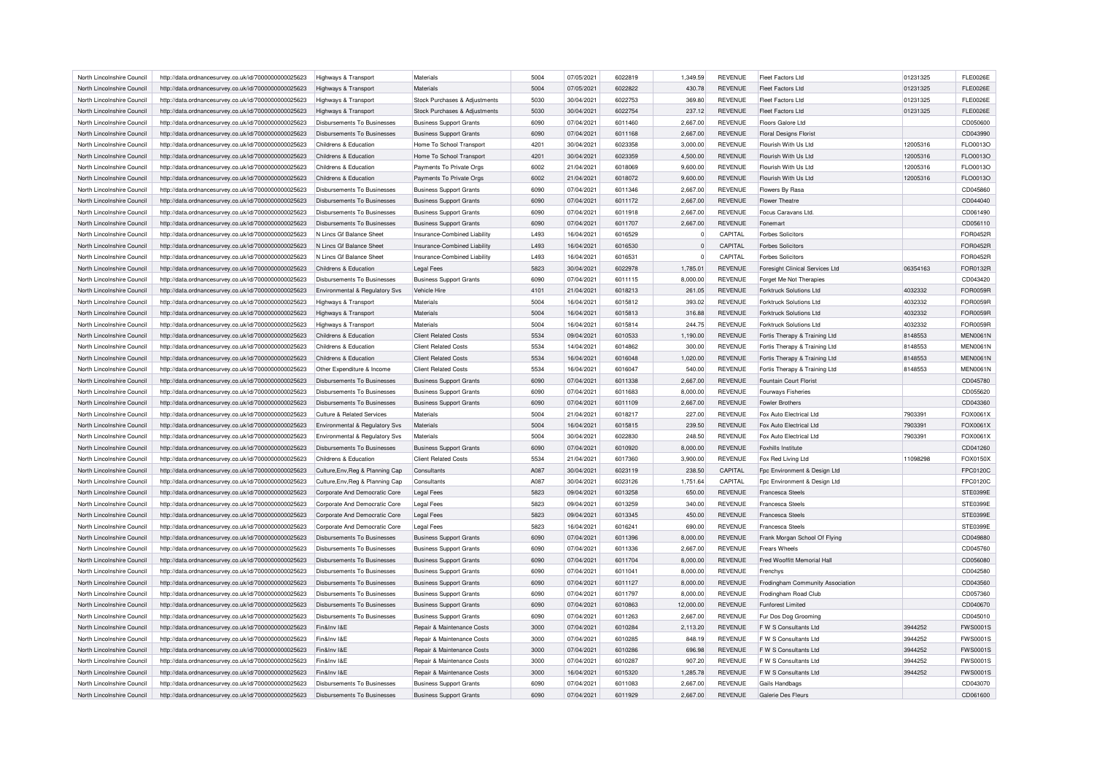| North Lincolnshire Council                               | http://data.ordnancesurvey.co.uk/id/7000000000025623 | Highways & Transport               | Materials                                                | 5004 | 07/05/2021               | 6022819 | 1,349.59         | <b>REVENUE</b> | Fleet Factors Ltd                | 01231325 | <b>FLE0026E</b>                    |
|----------------------------------------------------------|------------------------------------------------------|------------------------------------|----------------------------------------------------------|------|--------------------------|---------|------------------|----------------|----------------------------------|----------|------------------------------------|
| North Lincolnshire Council                               | http://data.ordnancesurvey.co.uk/id/7000000000025623 | Highways & Transport               | Materials                                                | 5004 | 07/05/2021               | 6022822 | 430.78           | <b>REVENUE</b> | <b>Fleet Factors Ltd</b>         | 01231325 | <b>FLE0026E</b>                    |
| North Lincolnshire Council                               | http://data.ordnancesurvey.co.uk/id/7000000000025623 | Highways & Transport               | Stock Purchases & Adjustments                            | 5030 | 30/04/2021               | 6022753 | 369.80           | <b>REVENUE</b> | Fleet Factors Ltd                | 01231325 | <b>FLE0026E</b>                    |
| North Lincolnshire Council                               | http://data.ordnancesurvey.co.uk/id/7000000000025623 | Highways & Transport               | Stock Purchases & Adjustments                            | 5030 | 30/04/2021               | 6022754 | 237.12           | <b>REVENUE</b> | <b>Fleet Factors Ltd</b>         | 01231325 | <b>FLE0026E</b>                    |
| North Lincolnshire Council                               | http://data.ordnancesurvey.co.uk/id/7000000000025623 | Disbursements To Businesses        | <b>Business Support Grants</b>                           | 6090 | 07/04/2021               | 6011460 | 2,667.00         | <b>REVENUE</b> | Floors Galore Ltd                |          | CD050600                           |
| North Lincolnshire Council                               | http://data.ordnancesurvey.co.uk/id/7000000000025623 | <b>Disbursements To Businesses</b> | <b>Business Support Grants</b>                           | 6090 | 07/04/2021               | 6011168 | 2,667.00         | <b>REVENUE</b> | <b>Floral Designs Florist</b>    |          | CD043990                           |
| North Lincolnshire Council                               | http://data.ordnancesurvey.co.uk/id/7000000000025623 | Childrens & Education              | Home To School Transport                                 | 4201 | 30/04/2021               | 6023358 | 3,000.00         | <b>REVENUE</b> | Flourish With Us Ltd             | 12005316 | FLO0013O                           |
| North Lincolnshire Council                               | http://data.ordnancesurvey.co.uk/id/7000000000025623 | Childrens & Education              | Home To School Transport                                 | 4201 | 30/04/2021               | 6023359 | 4,500.00         | <b>REVENUE</b> | Flourish With Us Ltd             | 12005316 | FLO0013O                           |
| North Lincolnshire Council                               | http://data.ordnancesurvey.co.uk/id/7000000000025623 | Childrens & Education              | Payments To Private Orgs                                 | 6002 | 21/04/2021               | 6018069 | 9,600.00         | <b>REVENUE</b> | Flourish With Us Ltd             | 12005316 | FLO0013O                           |
| North Lincolnshire Council                               | http://data.ordnancesurvey.co.uk/id/7000000000025623 | Childrens & Education              | Payments To Private Orgs                                 | 6002 | 21/04/2021               | 6018072 | 9,600.00         | <b>REVENUE</b> | Flourish With Us Ltd             | 12005316 | FLO0013O                           |
| North Lincolnshire Council                               | http://data.ordnancesurvey.co.uk/id/7000000000025623 | Disbursements To Businesses        | <b>Business Support Grants</b>                           | 6090 | 07/04/2021               | 6011346 | 2,667.00         | <b>REVENUE</b> | Flowers By Rasa                  |          | CD045860                           |
| North Lincolnshire Council                               | http://data.ordnancesurvey.co.uk/id/7000000000025623 | <b>Disbursements To Businesses</b> | <b>Business Support Grants</b>                           | 6090 | 07/04/2021               | 6011172 | 2,667.00         | <b>REVENUE</b> | Flower Theatre                   |          | CD044040                           |
| North Lincolnshire Council                               | http://data.ordnancesurvey.co.uk/id/7000000000025623 | Disbursements To Businesses        | <b>Business Support Grants</b>                           | 6090 | 07/04/2021               | 6011918 | 2,667.00         | <b>REVENUE</b> | Focus Caravans Ltd.              |          | CD061490                           |
| North Lincolnshire Council                               | http://data.ordnancesurvey.co.uk/id/7000000000025623 | Disbursements To Businesses        | <b>Business Support Grants</b>                           | 6090 | 07/04/2021               | 6011707 | 2,667.00         | <b>REVENUE</b> | Fonemart                         |          | CD056110                           |
| North Lincolnshire Council                               | http://data.ordnancesurvey.co.uk/id/7000000000025623 | N Lincs Gf Balance Sheet           | Insurance-Combined Liability                             | L493 | 16/04/2021               | 6016529 | $\Omega$         | CAPITAL        | <b>Forbes Solicitors</b>         |          | <b>FOR0452F</b>                    |
| North Lincolnshire Council                               | http://data.ordnancesurvey.co.uk/id/7000000000025623 | N Lincs Gf Balance Sheet           | Insurance-Combined Liability                             | L493 | 16/04/2021               | 6016530 | $\Omega$         | CAPITAL        | <b>Forbes Solicitors</b>         |          | <b>FOR0452F</b>                    |
| North Lincolnshire Council                               | http://data.ordnancesurvey.co.uk/id/7000000000025623 | N Lincs Gf Balance Sheet           | Insurance-Combined Liability                             | L493 | 16/04/2021               | 6016531 | $\Omega$         | CAPITAL        | <b>Forbes Solicitors</b>         |          | <b>FOR0452F</b>                    |
| North Lincolnshire Council                               | http://data.ordnancesurvey.co.uk/id/7000000000025623 | Childrens & Education              | <b>Legal Fees</b>                                        | 5823 | 30/04/2021               | 6022978 | 1,785.01         | <b>REVENUE</b> | Foresight Clinical Services Ltd  | 06354163 | FOR0132F                           |
|                                                          |                                                      |                                    | <b>Business Support Grants</b>                           | 6090 | 07/04/2021               | 6011115 | 8,000.00         | <b>REVENUE</b> | Forget Me Not Therapies          |          | CD043420                           |
| North Lincolnshire Council<br>North Lincolnshire Council | http://data.ordnancesurvey.co.uk/id/7000000000025623 | Disbursements To Businesses        | Vehicle Hire                                             | 4101 | 21/04/2021               | 6018213 | 261.05           | <b>REVENUE</b> | Forktruck Solutions Ltd          | 4032332  | FOR0059R                           |
|                                                          | http://data.ordnancesurvey.co.uk/id/7000000000025623 | Environmental & Regulatory Svs     |                                                          |      |                          |         |                  |                |                                  |          |                                    |
| North Lincolnshire Council                               | http://data.ordnancesurvey.co.uk/id/7000000000025623 | Highways & Transport               | Materials                                                | 5004 | 16/04/2021               | 6015812 | 393.02           | REVENUE        | <b>Forktruck Solutions Ltd</b>   | 4032332  | <b>FOR0059F</b>                    |
| North Lincolnshire Council                               | http://data.ordnancesurvey.co.uk/id/7000000000025623 | Highways & Transport               | Materials                                                | 5004 | 16/04/2021               | 6015813 | 316.88           | <b>REVENUE</b> | Forktruck Solutions Ltd          | 4032332  | FOR0059F                           |
| North Lincolnshire Council                               | http://data.ordnancesurvey.co.uk/id/7000000000025623 | Highways & Transport               | Materials                                                | 5004 | 16/04/2021               | 6015814 | 244.75           | <b>REVENUE</b> | Forktruck Solutions Ltd          | 4032332  | FOR0059R                           |
| North Lincolnshire Council                               | http://data.ordnancesurvey.co.uk/id/7000000000025623 | Childrens & Education              | <b>Client Related Costs</b>                              | 5534 | 09/04/2021               | 6010533 | 1,190.00         | <b>REVENUE</b> | Fortis Therapy & Training Ltd    | 8148553  | <b>MEN0061N</b>                    |
| North Lincolnshire Council                               | http://data.ordnancesurvey.co.uk/id/7000000000025623 | Childrens & Education              | <b>Client Related Costs</b>                              | 5534 | 14/04/2021               | 6014862 | 300.00           | REVENUE        | Fortis Therapy & Training Ltd    | 8148553  | <b>MEN0061N</b>                    |
| North Lincolnshire Council                               | http://data.ordnancesurvey.co.uk/id/7000000000025623 | Childrens & Education              | <b>Client Related Costs</b>                              | 5534 | 16/04/2021               | 6016048 | 1.020.00         | <b>REVENUE</b> | Fortis Therapy & Training Ltd    | 8148553  | <b>MEN0061N</b>                    |
| North Lincolnshire Council                               | http://data.ordnancesurvey.co.uk/id/7000000000025623 | Other Expenditure & Income         | <b>Client Related Costs</b>                              | 5534 | 16/04/2021               | 6016047 | 540.00           | <b>REVENUE</b> | Fortis Therapy & Training Ltd    | 8148553  | <b>MEN0061N</b>                    |
| North Lincolnshire Council                               | http://data.ordnancesurvey.co.uk/id/7000000000025623 | Disbursements To Businesses        | <b>Business Support Grants</b>                           | 6090 | 07/04/2021               | 6011338 | 2,667.00         | <b>REVENUE</b> | Fountain Court Florist           |          | CD045780                           |
| North Lincolnshire Council                               | http://data.ordnancesurvey.co.uk/id/7000000000025623 | Disbursements To Businesses        | <b>Business Support Grants</b>                           | 6090 | 07/04/2021               | 6011683 | 8.000.00         | <b>REVENUE</b> | Fourways Fisheries               |          | CD055620                           |
| North Lincolnshire Council                               | http://data.ordnancesurvey.co.uk/id/7000000000025623 | <b>Disbursements To Businesses</b> | <b>Business Support Grants</b>                           | 6090 | 07/04/2021               | 6011109 | 2,667.00         | <b>REVENUE</b> | Fowler Brothers                  |          | CD043360                           |
| North Lincolnshire Council                               | http://data.ordnancesurvey.co.uk/id/7000000000025623 | Culture & Related Services         | Materials                                                | 5004 | 21/04/2021               | 6018217 | 227.00           | <b>REVENUE</b> | Fox Auto Electrical Ltd          | 7903391  | FOX0061X                           |
| North Lincolnshire Council                               | http://data.ordnancesurvey.co.uk/id/7000000000025623 | Environmental & Regulatory Svs     | Materials                                                | 5004 | 16/04/2021               | 6015815 | 239.50           | <b>REVENUE</b> | Fox Auto Electrical Ltd          | 7903391  | FOX0061X                           |
| North Lincolnshire Council                               | http://data.ordnancesurvey.co.uk/id/7000000000025623 | Environmental & Regulatory Svs     | Materials                                                | 5004 | 30/04/2021               | 6022830 | 248.50           | <b>REVENUE</b> | Fox Auto Electrical Ltd          | 7903391  | FOX0061X                           |
| North Lincolnshire Council                               | http://data.ordnancesurvey.co.uk/id/7000000000025623 | Disbursements To Businesses        | <b>Business Support Grants</b>                           | 6090 | 07/04/2021               | 6010920 | 8,000.00         | <b>REVENUE</b> | Foxhills Institute               |          | CD041260                           |
| North Lincolnshire Council                               | http://data.ordnancesurvey.co.uk/id/7000000000025623 | Childrens & Education              | <b>Client Related Costs</b>                              | 5534 | 21/04/2021               | 6017360 | 3,900.00         | <b>REVENUE</b> | Fox Red Living Ltd               | 11098298 | FOX0150X                           |
| North Lincolnshire Council                               | http://data.ordnancesurvey.co.uk/id/7000000000025623 | Culture, Env, Reg & Planning Cap   | Consultants                                              | A087 | 30/04/2021               | 6023119 | 238.50           | CAPITAL        | Fpc Environment & Design Ltd     |          | FPC0120C                           |
| North Lincolnshire Council                               | http://data.ordnancesurvey.co.uk/id/7000000000025623 | Culture, Env, Reg & Planning Cap   | Consultants                                              | A087 | 30/04/2021               | 6023126 | 1,751.64         | CAPITAL        | Fpc Environment & Design Ltd     |          | FPC0120C                           |
| North Lincolnshire Council                               | http://data.ordnancesurvey.co.uk/id/7000000000025623 | Corporate And Democratic Core      | <b>Legal Fees</b>                                        | 5823 | 09/04/2021               | 6013258 | 650.00           | <b>REVENUE</b> | <b>Francesca Steels</b>          |          | STE0399E                           |
| North Lincolnshire Council                               | http://data.ordnancesurvey.co.uk/id/7000000000025623 | Corporate And Democratic Core      | <b>Legal Fees</b>                                        | 5823 | 09/04/2021               | 6013259 | 340.00           | <b>REVENUE</b> | <b>Francesca Steels</b>          |          | STE0399E                           |
| North Lincolnshire Council                               | http://data.ordnancesurvey.co.uk/id/7000000000025623 | Corporate And Democratic Core      | <b>Legal Fees</b>                                        | 5823 | 09/04/2021               | 6013345 | 450.00           | <b>REVENUE</b> | <b>Francesca Steels</b>          |          | STE0399E                           |
| North Lincolnshire Council                               | http://data.ordnancesurvey.co.uk/id/7000000000025623 | Corporate And Democratic Core      | <b>Legal Fees</b>                                        | 5823 | 16/04/2021               | 6016241 | 690.00           | <b>REVENUE</b> | <b>Francesca Steels</b>          |          | STE0399E                           |
| North Lincolnshire Council                               | http://data.ordnancesurvey.co.uk/id/7000000000025623 | Disbursements To Businesses        | <b>Business Support Grants</b>                           | 6090 | 07/04/2021               | 6011396 | 8,000.00         | <b>REVENUE</b> | Frank Morgan School Of Flying    |          | CD049880                           |
| North Lincolnshire Council                               | http://data.ordnancesurvey.co.uk/id/7000000000025623 | <b>Disbursements To Businesses</b> | <b>Business Support Grants</b>                           | 6090 | 07/04/2021               | 6011336 | 2,667.00         | <b>REVENUE</b> | <b>Frears Wheels</b>             |          | CD045760                           |
| North Lincolnshire Council                               | http://data.ordnancesurvey.co.uk/id/7000000000025623 | Disbursements To Businesses        | <b>Business Support Grants</b>                           | 6090 | 07/04/2021               | 6011704 | 8,000.00         | <b>REVENUE</b> | Fred Wooffitt Memorial Hall      |          | CD056080                           |
| North Lincolnshire Council                               | http://data.ordnancesurvey.co.uk/id/7000000000025623 | Disbursements To Businesses        | <b>Business Support Grants</b>                           | 6090 | 07/04/2021               | 6011041 | 8,000.00         | <b>REVENUE</b> | Frenchys                         |          | CD042580                           |
| North Lincolnshire Council                               | http://data.ordnancesurvey.co.uk/id/7000000000025623 | <b>Disbursements To Businesses</b> | <b>Business Support Grants</b>                           | 6090 | 07/04/2021               | 6011127 | 8,000.00         | <b>REVENUE</b> | Frodingham Community Association |          | CD043560                           |
| North Lincolnshire Council                               | http://data.ordnancesurvey.co.uk/id/7000000000025623 | Disbursements To Businesses        | <b>Business Support Grants</b>                           | 6090 | 07/04/2021               | 6011797 | 8,000.00         | <b>REVENUE</b> | Frodingham Road Club             |          | CD057360                           |
| North Lincolnshire Council                               | http://data.ordnancesurvey.co.uk/id/7000000000025623 | Disbursements To Businesses        | <b>Business Support Grants</b>                           | 6090 | 07/04/2021               | 6010863 | 12,000.00        | <b>REVENUE</b> | <b>Funforest Limited</b>         |          | CD040670                           |
| North Lincolnshire Council                               | http://data.ordnancesurvey.co.uk/id/7000000000025623 | <b>Disbursements To Businesses</b> | <b>Business Support Grants</b>                           | 6090 | 07/04/2021               | 6011263 | 2,667.00         | <b>REVENUE</b> | Fur Dos Dog Grooming             |          | CD045010                           |
| North Lincolnshire Council                               | http://data.ordnancesurvey.co.uk/id/7000000000025623 | Fin&Inv I&F                        | Repair & Maintenance Costs                               | 3000 | 07/04/2021               | 6010284 | 2,113.20         | <b>REVENUE</b> | F W S Consultants Ltd            | 3944252  | <b>FWS0001S</b>                    |
| North Lincolnshire Council                               |                                                      | Fin&Inv I&E                        |                                                          | 3000 |                          | 6010285 |                  | <b>REVENUE</b> | F W S Consultants Ltd            | 3944252  |                                    |
|                                                          | http://data.ordnancesurvey.co.uk/id/7000000000025623 | Fin&Inv I&F                        | Repair & Maintenance Costs<br>Repair & Maintenance Costs | 3000 | 07/04/2021<br>07/04/2021 | 6010286 | 848.19<br>696.98 | <b>REVENUE</b> | F W S Consultants Ltd            | 3944252  | <b>FWS0001S</b><br><b>FWS0001S</b> |
| North Lincolnshire Council<br>North Lincolnshire Council | http://data.ordnancesurvey.co.uk/id/7000000000025623 | Fin&Inv I&E                        |                                                          | 3000 |                          | 6010287 |                  | <b>REVENUE</b> |                                  |          |                                    |
|                                                          | http://data.ordnancesurvey.co.uk/id/7000000000025623 |                                    | Repair & Maintenance Costs                               |      | 07/04/2021               |         | 907.20           |                | F W S Consultants Ltd            | 3944252  | <b>FWS0001S</b>                    |
| North Lincolnshire Council                               | http://data.ordnancesurvey.co.uk/id/7000000000025623 | Fin&Inv I&E                        | Repair & Maintenance Costs                               | 3000 | 16/04/2021               | 6015320 | 1,285.78         | <b>REVENUE</b> | F W S Consultants Ltd            | 3944252  | FWS0001S                           |
| North Lincolnshire Council                               | http://data.ordnancesurvey.co.uk/id/7000000000025623 | Disbursements To Businesses        | <b>Business Support Grants</b>                           | 6090 | 07/04/2021               | 6011083 | 2.667.00         | <b>REVENUE</b> | Gails Handbags                   |          | CD043070                           |
| North Lincolnshire Council                               | http://data.ordnancesurvey.co.uk/id/7000000000025623 | Disbursements To Businesses        | <b>Business Support Grants</b>                           | 6090 | 07/04/2021               | 6011929 | 2.667.00         | <b>REVENUE</b> | Galerie Des Fleurs               |          | CD061600                           |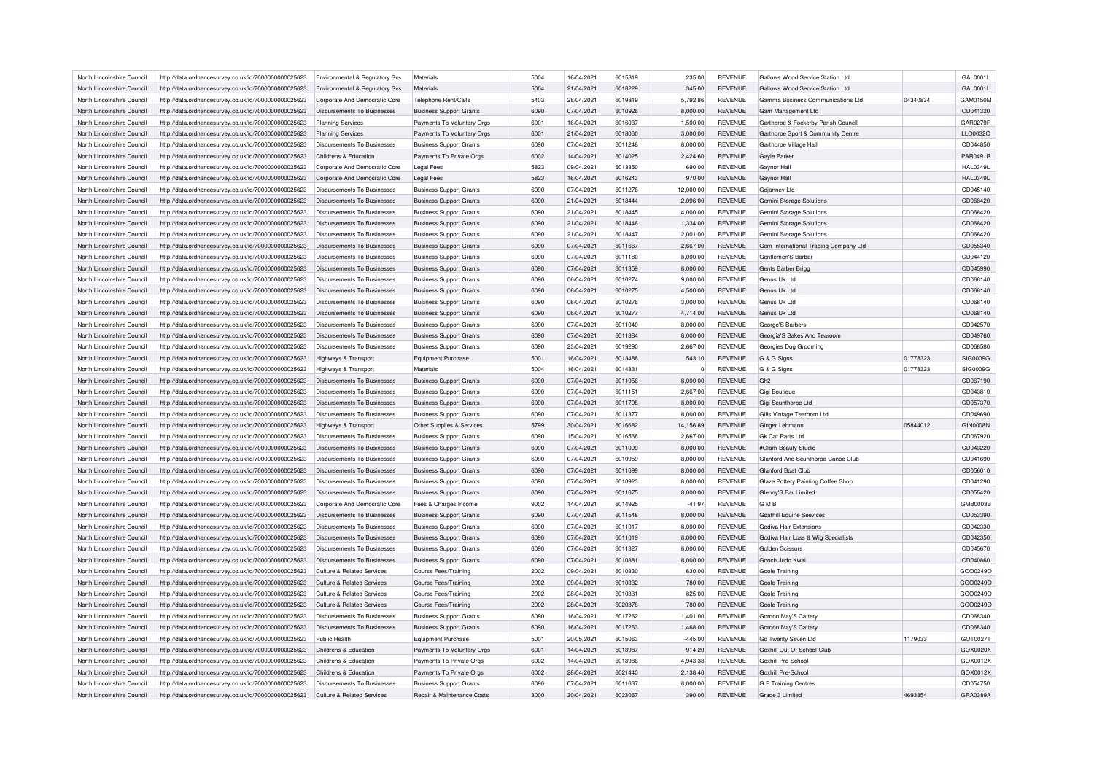| North Lincolnshire Council                               | http://data.ordnancesurvey.co.uk/id/7000000000025623 | Environmental & Regulatory Svs                             | Materials                      | 5004 | 16/04/2021 | 6015819 | 235.00    | <b>REVENUE</b>                   | Gallows Wood Service Station Ltd      |          | GAL0001L        |
|----------------------------------------------------------|------------------------------------------------------|------------------------------------------------------------|--------------------------------|------|------------|---------|-----------|----------------------------------|---------------------------------------|----------|-----------------|
| North Lincolnshire Council                               | http://data.ordnancesurvey.co.uk/id/7000000000025623 | Environmental & Regulatory Svs                             | <b>Materials</b>               | 5004 | 21/04/2021 | 6018229 | 345.00    | <b>REVENUE</b>                   | Gallows Wood Service Station Ltd      |          | GAL0001L        |
| North Lincolnshire Council                               | http://data.ordnancesurvey.co.uk/id/7000000000025623 | Corporate And Democratic Core                              | Telephone Rent/Calls           | 5403 | 28/04/2021 | 6019819 | 5,792.86  | <b>REVENUE</b>                   | Gamma Business Communications Ltd     | 04340834 | GAM0150M        |
| North Lincolnshire Council                               | http://data.ordnancesurvey.co.uk/id/7000000000025623 | Disbursements To Businesses                                | <b>Business Support Grants</b> | 6090 | 07/04/2021 | 6010926 | 8,000.00  | <b>REVENUE</b>                   | Gam Management Ltd                    |          | CD041320        |
| North Lincolnshire Council                               | http://data.ordnancesurvey.co.uk/id/7000000000025623 | <b>Planning Services</b>                                   | Payments To Voluntary Orgs     | 6001 | 16/04/2021 | 6016037 | 1,500.00  | <b>REVENUE</b>                   | Garthorpe & Fockerby Parish Council   |          | GAR0279F        |
| North Lincolnshire Council                               | http://data.ordnancesurvey.co.uk/id/7000000000025623 | <b>Planning Services</b>                                   | Payments To Voluntary Orgs     | 6001 | 21/04/2021 | 6018060 | 3,000.00  | <b>REVENUE</b>                   | Garthorpe Sport & Community Centre    |          | LLO0032O        |
| North Lincolnshire Council                               | http://data.ordnancesurvey.co.uk/id/7000000000025623 | <b>Disbursements To Businesses</b>                         | <b>Business Support Grants</b> | 6090 | 07/04/2021 | 6011248 | 8,000.00  | <b>REVENUE</b>                   | Garthorpe Village Hall                |          | CD044850        |
| North Lincolnshire Council                               | http://data.ordnancesurvey.co.uk/id/7000000000025623 | Childrens & Education                                      | Payments To Private Orgs       | 6002 | 14/04/2021 | 6014025 | 2.424.60  | <b>REVENUE</b>                   | <b>Gayle Parker</b>                   |          | <b>PAR0491R</b> |
| North Lincolnshire Council                               | http://data.ordnancesurvey.co.uk/id/7000000000025623 | Corporate And Democratic Core                              | <b>Legal Fees</b>              | 5823 | 09/04/2021 | 6013350 | 690.00    | <b>REVENUE</b>                   | Gaynor Hall                           |          | <b>HAL0349L</b> |
| North Lincolnshire Council                               | http://data.ordnancesurvey.co.uk/id/7000000000025623 | Corporate And Democratic Core                              | <b>Legal Fees</b>              | 5823 | 16/04/2021 | 6016243 | 970.00    | <b>REVENUE</b>                   | Gaynor Hall                           |          | <b>HAL0349L</b> |
| North Lincolnshire Council                               | http://data.ordnancesurvey.co.uk/id/7000000000025623 | <b>Disbursements To Businesses</b>                         | <b>Business Support Grants</b> | 6090 | 07/04/2021 | 6011276 | 12,000.00 | <b>REVENUE</b>                   | <b>Gdianney Ltd</b>                   |          | CD045140        |
| North Lincolnshire Council                               | http://data.ordnancesurvey.co.uk/id/7000000000025623 | <b>Disbursements To Businesses</b>                         | <b>Business Support Grants</b> | 6090 | 21/04/2021 | 6018444 | 2,096.00  | <b>REVENUE</b>                   | Gemini Storage Solutions              |          | CD068420        |
| North Lincolnshire Council                               | http://data.ordnancesurvey.co.uk/id/7000000000025623 | <b>Disbursements To Businesses</b>                         | <b>Business Support Grants</b> | 6090 | 21/04/2021 | 6018445 | 4,000.00  | <b>REVENUE</b>                   | Gemini Storage Solutions              |          | CD068420        |
| North Lincolnshire Council                               | http://data.ordnancesurvey.co.uk/id/7000000000025623 | Disbursements To Businesses                                | <b>Business Support Grants</b> | 6090 | 21/04/2021 | 6018446 | 1,334.00  | <b>REVENUE</b>                   | Gemini Storage Solutions              |          | CD068420        |
| North Lincolnshire Council                               | http://data.ordnancesurvey.co.uk/id/7000000000025623 | Disbursements To Businesses                                | <b>Business Support Grants</b> | 6090 | 21/04/2021 | 6018447 | 2,001.00  | <b>REVENUE</b>                   | Gemini Storage Solutions              |          | CD068420        |
| North Lincolnshire Council                               | http://data.ordnancesurvey.co.uk/id/7000000000025623 | <b>Disbursements To Businesses</b>                         | <b>Business Support Grants</b> | 6090 | 07/04/2021 | 6011667 | 2,667.00  | <b>REVENUE</b>                   | Gem International Trading Company Ltd |          | CD055340        |
| North Lincolnshire Council                               | http://data.ordnancesurvey.co.uk/id/7000000000025623 | <b>Disbursements To Businesses</b>                         | <b>Business Support Grants</b> | 6090 | 07/04/2021 | 6011180 | 8,000.00  | <b>REVENUE</b>                   | Gentlemen'S Barbar                    |          | CD044120        |
| North Lincolnshire Council                               | http://data.ordnancesurvey.co.uk/id/7000000000025623 | <b>Disbursements To Businesses</b>                         | <b>Business Support Grants</b> | 6090 | 07/04/2021 | 6011359 | 8,000.00  | <b>REVENUE</b>                   | Gents Barber Brigg                    |          | CD045990        |
| North Lincolnshire Council                               | http://data.ordnancesurvey.co.uk/id/7000000000025623 | Disbursements To Businesses                                | <b>Business Support Grants</b> | 6090 | 06/04/2021 | 6010274 | 9,000.00  | <b>REVENUE</b>                   | Genus Uk I to                         |          | CD068140        |
| North Lincolnshire Council                               | http://data.ordnancesurvey.co.uk/id/7000000000025623 | Disbursements To Businesses                                | <b>Business Support Grants</b> | 6090 | 06/04/2021 | 6010275 | 4.500.00  | <b>REVENUE</b>                   | Genus Uk Ltd                          |          | CD068140        |
| North Lincolnshire Council                               |                                                      | <b>Disbursements To Businesses</b>                         |                                | 6090 | 06/04/2021 | 6010276 |           | <b>REVENUE</b>                   | Genus Uk Ltd                          |          | CD068140        |
|                                                          | http://data.ordnancesurvey.co.uk/id/7000000000025623 |                                                            | <b>Business Support Grants</b> |      |            |         | 3,000.00  |                                  |                                       |          |                 |
| North Lincolnshire Council                               | http://data.ordnancesurvey.co.uk/id/7000000000025623 | <b>Disbursements To Businesses</b>                         | <b>Business Support Grants</b> | 6090 | 06/04/2021 | 6010277 | 4,714.00  | <b>REVENUE</b>                   | Genus Uk Ltd                          |          | CD068140        |
| North Lincolnshire Council                               | http://data.ordnancesurvey.co.uk/id/7000000000025623 | <b>Disbursements To Businesses</b>                         | <b>Business Support Grants</b> | 6090 | 07/04/2021 | 6011040 | 8,000.00  | <b>REVENUE</b>                   | George'S Barbers                      |          | CD042570        |
| North Lincolnshire Council                               | http://data.ordnancesurvey.co.uk/id/7000000000025623 | Disbursements To Businesses                                | <b>Business Support Grants</b> | 6090 | 07/04/2021 | 6011384 | 8,000.00  | <b>REVENUE</b>                   | Georgia'S Bakes And Tearoom           |          | CD049760        |
| North Lincolnshire Council                               | http://data.ordnancesurvey.co.uk/id/7000000000025623 | <b>Disbursements To Businesses</b>                         | <b>Business Support Grants</b> | 6090 | 23/04/2021 | 6019290 | 2,667.00  | <b>REVENUE</b>                   | Georgies Dog Grooming                 |          | CD068580        |
| North Lincolnshire Council                               | http://data.ordnancesurvey.co.uk/id/7000000000025623 | Highways & Transport                                       | <b>Equipment Purchase</b>      | 5001 | 16/04/2021 | 6013488 | 543.10    | <b>REVENUE</b>                   | G & G Signs                           | 01778323 | SIG0009G        |
| North Lincolnshire Council                               | http://data.ordnancesurvey.co.uk/id/7000000000025623 | Highways & Transport                                       | Materials                      | 5004 | 16/04/2021 | 6014831 | $\Omega$  | <b>REVENUE</b>                   | G & G Signs                           | 01778323 | SIG0009G        |
| North Lincolnshire Council                               | http://data.ordnancesurvey.co.uk/id/7000000000025623 | Disbursements To Businesses                                | <b>Business Support Grants</b> | 6090 | 07/04/2021 | 6011956 | 8,000.00  | <b>REVENUE</b>                   | Gh <sub>2</sub>                       |          | CD067190        |
| North Lincolnshire Council                               | http://data.ordnancesurvey.co.uk/id/7000000000025623 | <b>Disbursements To Businesses</b>                         | <b>Business Support Grants</b> | 6090 | 07/04/2021 | 6011151 | 2,667.00  | <b>REVENUE</b>                   | Gigi Boutique                         |          | CD043810        |
| North Lincolnshire Council                               | http://data.ordnancesurvey.co.uk/id/7000000000025623 | Disbursements To Businesses                                | <b>Business Support Grants</b> | 6090 | 07/04/2021 | 6011798 | 8,000.00  | <b>REVENUE</b>                   | Gigi Scunthorpe Ltd                   |          | CD057370        |
| North Lincolnshire Council                               | http://data.ordnancesurvey.co.uk/id/7000000000025623 | <b>Disbursements To Businesses</b>                         | <b>Business Support Grants</b> | 6090 | 07/04/2021 | 6011377 | 8,000.00  | <b>REVENUE</b>                   | Gills Vintage Tearoom Ltd             |          | CD049690        |
| North Lincolnshire Council                               | http://data.ordnancesurvey.co.uk/id/7000000000025623 | Highways & Transport                                       | Other Supplies & Services      | 5799 | 30/04/2021 | 6016682 | 14,156.89 | <b>REVENUE</b>                   | Ginger Lehmann                        | 05844012 | <b>GIN0008N</b> |
| North Lincolnshire Council                               | http://data.ordnancesurvey.co.uk/id/7000000000025623 | Disbursements To Businesses                                | <b>Business Support Grants</b> | 6090 | 15/04/2021 | 6016566 | 2,667.00  | <b>REVENUE</b>                   | <b>Gk Car Parts Ltd</b>               |          | CD067920        |
| North Lincolnshire Council                               | http://data.ordnancesurvey.co.uk/id/7000000000025623 | Disbursements To Businesses                                | <b>Business Support Grants</b> | 6090 | 07/04/2021 | 6011099 | 8,000.00  | <b>REVENUE</b>                   | #Glam Beauty Studio                   |          | CD043220        |
| North Lincolnshire Council                               | http://data.ordnancesurvey.co.uk/id/7000000000025623 | <b>Disbursements To Businesses</b>                         | <b>Business Support Grants</b> | 6090 | 07/04/2021 | 6010959 | 8,000.00  | <b>REVENUE</b>                   | Glanford And Scunthorpe Canoe Club    |          | CD041690        |
| North Lincolnshire Council                               | http://data.ordnancesurvey.co.uk/id/7000000000025623 | Disbursements To Businesses                                | <b>Business Support Grants</b> | 6090 | 07/04/2021 | 6011699 | 8,000.00  | <b>REVENUE</b>                   | Glanford Boat Club                    |          | CD056010        |
| North Lincolnshire Council                               | http://data.ordnancesurvey.co.uk/id/7000000000025623 | Disbursements To Businesses                                | <b>Business Support Grants</b> | 6090 | 07/04/2021 | 6010923 | 8,000.00  | <b>REVENUE</b>                   | Glaze Pottery Painting Coffee Shop    |          | CD041290        |
| North Lincolnshire Council                               | http://data.ordnancesurvey.co.uk/id/7000000000025623 | <b>Disbursements To Businesses</b>                         | <b>Business Support Grants</b> | 6090 | 07/04/2021 | 6011675 | 8,000.00  | <b>REVENUE</b>                   | Glenny'S Bar Limited                  |          | CD055420        |
| North Lincolnshire Council                               | http://data.ordnancesurvey.co.uk/id/7000000000025623 | Corporate And Democratic Core                              | Fees & Charges Income          | 9002 | 14/04/2021 | 6014925 | $-41.97$  | <b>REVENUE</b>                   | <b>GMB</b>                            |          | <b>GMB0003E</b> |
| North Lincolnshire Council                               | http://data.ordnancesurvey.co.uk/id/7000000000025623 | <b>Disbursements To Businesses</b>                         | <b>Business Support Grants</b> | 6090 | 07/04/2021 | 6011548 | 8,000.00  | <b>REVENUE</b>                   | <b>Goathill Equine Seevices</b>       |          | CD053390        |
| North Lincolnshire Council                               | http://data.ordnancesurvey.co.uk/id/7000000000025623 | <b>Disbursements To Businesses</b>                         | <b>Business Support Grants</b> | 6090 | 07/04/2021 | 6011017 | 8,000.00  | <b>REVENUE</b>                   | Godiva Hair Extensions                |          | CD042330        |
| North Lincolnshire Council                               | http://data.ordnancesurvey.co.uk/id/7000000000025623 | <b>Disbursements To Businesses</b>                         | <b>Business Support Grants</b> | 6090 | 07/04/2021 | 6011019 | 8,000.00  | <b>REVENUE</b>                   | Godiva Hair Loss & Wig Specialists    |          | CD042350        |
| North Lincolnshire Council                               | http://data.ordnancesurvey.co.uk/id/7000000000025623 | Disbursements To Businesses                                | <b>Business Support Grants</b> | 6090 | 07/04/2021 | 6011327 | 8,000.00  | <b>REVENUE</b>                   | Golden Scissors                       |          | CD045670        |
| North Lincolnshire Council                               | http://data.ordnancesurvey.co.uk/id/7000000000025623 | Disbursements To Businesses                                | <b>Business Support Grants</b> | 6090 | 07/04/2021 | 6010881 | 8,000.00  | <b>REVENUE</b>                   | Gooch Judo Kwai                       |          | CD040860        |
| North Lincolnshire Council                               | http://data.ordnancesurvey.co.uk/id/7000000000025623 | Culture & Related Services                                 | <b>Course Fees/Training</b>    | 2002 | 09/04/2021 | 6010330 | 630.00    | <b>REVENUE</b>                   | Goole Training                        |          | GOO0249C        |
| North Lincolnshire Council                               | http://data.ordnancesurvey.co.uk/id/7000000000025623 | Culture & Related Services                                 | <b>Course Fees/Training</b>    | 2002 | 09/04/2021 | 6010332 | 780.00    | <b>REVENUE</b>                   | Goole Training                        |          | GOO0249C        |
| North Lincolnshire Council                               | http://data.ordnancesurvey.co.uk/id/7000000000025623 | <b>Culture &amp; Related Services</b>                      | <b>Course Fees/Training</b>    | 2002 | 28/04/2021 | 6010331 | 825.00    | <b>REVENUE</b>                   | Goole Training                        |          | GOO0249C        |
| North Lincolnshire Council                               | http://data.ordnancesurvey.co.uk/id/7000000000025623 | Culture & Related Services                                 | <b>Course Fees/Training</b>    | 2002 | 28/04/2021 | 6020878 | 780.00    | <b>REVENUE</b>                   | <b>Goole Training</b>                 |          | GOO0249O        |
|                                                          |                                                      |                                                            |                                | 6090 | 16/04/2021 | 6017262 |           |                                  |                                       |          | CD068340        |
| North Lincolnshire Council<br>North Lincolnshire Council | http://data.ordnancesurvey.co.uk/id/7000000000025623 | Disbursements To Businesses<br>Disbursements To Businesses | <b>Business Support Grants</b> | 6090 |            | 6017263 | 1,401.00  | <b>REVENUE</b><br><b>REVENUE</b> | Gordon May'S Cattery                  |          |                 |
|                                                          | http://data.ordnancesurvey.co.uk/id/7000000000025623 |                                                            | <b>Business Support Grants</b> |      | 16/04/2021 |         | 1,468.00  |                                  | Gordon May'S Cattery                  |          | CD068340        |
| North Lincolnshire Council                               | http://data.ordnancesurvey.co.uk/id/7000000000025623 | Public Health                                              | Equipment Purchase             | 5001 | 20/05/2021 | 6015063 | $-445.00$ | <b>REVENUE</b>                   | Go Twenty Seven Ltd                   | 1179033  | GOT0027T        |
| North Lincolnshire Council                               | http://data.ordnancesurvey.co.uk/id/7000000000025623 | Childrens & Education                                      | Payments To Voluntary Orgs     | 6001 | 14/04/2021 | 6013987 | 914.20    | REVENUE                          | Goxhill Out Of School Club            |          | GOX0020>        |
| North Lincolnshire Council                               | http://data.ordnancesurvey.co.uk/id/7000000000025623 | Childrens & Education                                      | Payments To Private Orgs       | 6002 | 14/04/2021 | 6013986 | 4,943.38  | <b>REVENUE</b>                   | Goxhill Pre-School                    |          | GOX0012X        |
| North Lincolnshire Council                               | http://data.ordnancesurvey.co.uk/id/7000000000025623 | Childrens & Education                                      | Payments To Private Orgs       | 6002 | 28/04/2021 | 6021440 | 2.138.40  | <b>REVENUE</b>                   | Goxhill Pre-School                    |          | GOX0012X        |
| North Lincolnshire Council                               | http://data.ordnancesurvey.co.uk/id/7000000000025623 | Disbursements To Businesses                                | <b>Business Support Grants</b> | 6090 | 07/04/2021 | 6011637 | 8,000.00  | <b>REVENUE</b>                   | G P Training Centres                  |          | CD054750        |
| North Lincolnshire Council                               | http://data.ordnancesurvey.co.uk/id/7000000000025623 | Culture & Related Services                                 | Repair & Maintenance Costs     | 3000 | 30/04/2021 | 6023067 | 390.00    | REVENUE                          | Grade 3 Limited                       | 4693854  | GRA0389A        |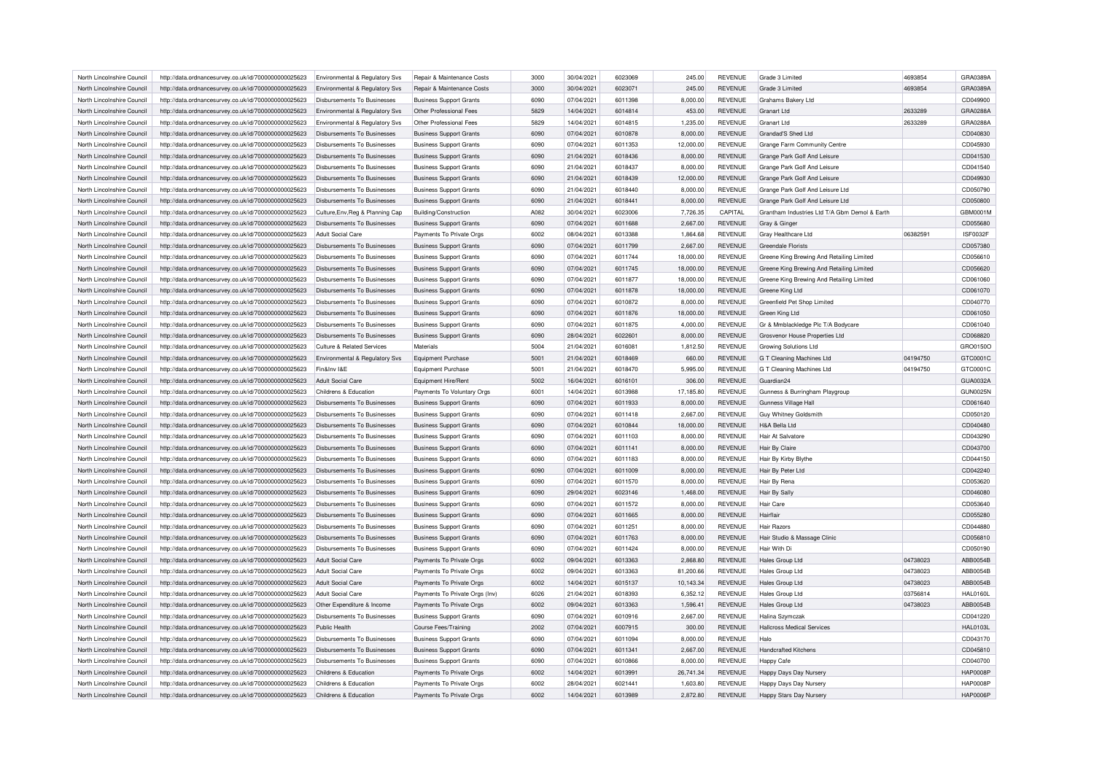| North Lincolnshire Council | http://data.ordnancesurvey.co.uk/id/7000000000025623                                                         | Environmental & Regulatory Svs     | Repair & Maintenance Costs                                       | 3000 | 30/04/2021 | 6023069 | 245.00               | <b>REVENUE</b> | Grade 3 Limited                               | 4693854  | GRA0389A        |
|----------------------------|--------------------------------------------------------------------------------------------------------------|------------------------------------|------------------------------------------------------------------|------|------------|---------|----------------------|----------------|-----------------------------------------------|----------|-----------------|
| North Lincolnshire Council | http://data.ordnancesurvey.co.uk/id/7000000000025623                                                         | Environmental & Regulatory Svs     | Repair & Maintenance Costs                                       | 3000 | 30/04/2021 | 6023071 | 245.00               | <b>REVENUE</b> | Grade 3 Limited                               | 4693854  | GRA0389A        |
| North Lincolnshire Council | http://data.ordnancesurvey.co.uk/id/7000000000025623                                                         | Disbursements To Businesses        | <b>Business Support Grants</b>                                   | 6090 | 07/04/2021 | 6011398 | 8,000.00             | <b>REVENUE</b> | Grahams Bakery Ltd                            |          | CD049900        |
| North Lincolnshire Council | http://data.ordnancesurvey.co.uk/id/7000000000025623                                                         | Environmental & Regulatory Svs     | Other Professional Fees                                          | 5829 | 14/04/2021 | 6014814 | 453.00               | <b>REVENUE</b> | Granart I td                                  | 2633289  | GRA0288A        |
| North Lincolnshire Council | http://data.ordnancesurvey.co.uk/id/7000000000025623                                                         | Environmental & Regulatory Svs     | Other Professional Fees                                          | 5829 | 14/04/2021 | 6014815 | 1,235.00             | <b>REVENUE</b> | Granart I td                                  | 2633289  | GRA0288A        |
| North Lincolnshire Council | http://data.ordnancesurvey.co.uk/id/7000000000025623                                                         | <b>Disbursements To Businesses</b> | <b>Business Support Grants</b>                                   | 6090 | 07/04/2021 | 6010878 | 8,000.00             | <b>REVENUE</b> | Grandad'S Shed Ltd                            |          | CD040830        |
| North Lincolnshire Council | http://data.ordnancesurvey.co.uk/id/7000000000025623                                                         | Disbursements To Businesses        | <b>Business Support Grants</b>                                   | 6090 | 07/04/2021 | 6011353 | 12,000.00            | <b>REVENUE</b> | Grange Farm Community Centre                  |          | CD045930        |
| North Lincolnshire Council | http://data.ordnancesurvey.co.uk/id/7000000000025623                                                         | <b>Disbursements To Businesses</b> | <b>Business Support Grants</b>                                   | 6090 | 21/04/2021 | 6018436 | 8,000.00             | <b>REVENUE</b> | Grange Park Golf And Leisure                  |          | CD041530        |
| North Lincolnshire Council | http://data.ordnancesurvey.co.uk/id/7000000000025623                                                         | Disbursements To Businesses        | <b>Business Support Grants</b>                                   | 6090 | 21/04/2021 | 6018437 | 8,000.00             | <b>REVENUE</b> | Grange Park Golf And Leisure                  |          | CD041540        |
| North Lincolnshire Council | http://data.ordnancesurvey.co.uk/id/7000000000025623                                                         | Disbursements To Businesses        | <b>Business Support Grants</b>                                   | 6090 | 21/04/2021 | 6018439 | 12,000.00            | <b>REVENUE</b> | Grange Park Golf And Leisure                  |          | CD049930        |
| North Lincolnshire Council | http://data.ordnancesurvey.co.uk/id/7000000000025623                                                         | Disbursements To Businesses        | <b>Business Support Grants</b>                                   | 6090 | 21/04/2021 | 6018440 | 8,000.00             | <b>REVENUE</b> | Grange Park Golf And Leisure Ltd              |          | CD050790        |
| North Lincolnshire Council | http://data.ordnancesurvey.co.uk/id/7000000000025623                                                         | <b>Disbursements To Businesses</b> | <b>Business Support Grants</b>                                   | 6090 | 21/04/2021 | 6018441 | 8,000.00             | <b>REVENUE</b> | Grange Park Golf And Leisure Ltd              |          | CD050800        |
| North Lincolnshire Council | http://data.ordnancesurvey.co.uk/id/7000000000025623                                                         | Culture, Env, Reg & Planning Cap   | <b>Building/Construction</b>                                     | A082 | 30/04/2021 | 6023006 | 7,726.35             | CAPITAL        | Grantham Industries Ltd T/A Gbm Demol & Earth |          | GBM0001M        |
| North Lincolnshire Council | http://data.ordnancesurvey.co.uk/id/7000000000025623                                                         | Disbursements To Businesses        | <b>Business Support Grants</b>                                   | 6090 | 07/04/2021 | 6011688 | 2,667.00             | <b>REVENUE</b> | Gray & Ginger                                 |          | CD055680        |
| North Lincolnshire Council | http://data.ordnancesurvey.co.uk/id/7000000000025623                                                         | Adult Social Care                  | Payments To Private Orgs                                         | 6002 | 08/04/2021 | 6013388 | 1,864.68             | <b>REVENUE</b> | Gray Healthcare Ltd                           | 0638259  | <b>ISF0032F</b> |
| North Lincolnshire Council |                                                                                                              | Disbursements To Businesses        |                                                                  | 6090 | 07/04/2021 | 6011799 | 2,667.00             | <b>REVENUE</b> | <b>Greendale Florists</b>                     |          | CD057380        |
| North Lincolnshire Council | http://data.ordnancesurvey.co.uk/id/7000000000025623<br>http://data.ordnancesurvey.co.uk/id/7000000000025623 | <b>Disbursements To Businesses</b> | <b>Business Support Grants</b><br><b>Business Support Grants</b> | 6090 | 07/04/2021 | 6011744 | 18,000.00            | <b>REVENUE</b> | Greene King Brewing And Retailing Limited     |          | CD056610        |
|                            |                                                                                                              |                                    |                                                                  | 6090 |            | 6011745 |                      |                |                                               |          |                 |
| North Lincolnshire Council | http://data.ordnancesurvey.co.uk/id/7000000000025623                                                         | <b>Disbursements To Businesses</b> | <b>Business Support Grants</b>                                   |      | 07/04/2021 |         | 18,000.00            | <b>REVENUE</b> | Greene King Brewing And Retailing Limited     |          | CD056620        |
| North Lincolnshire Council | http://data.ordnancesurvey.co.uk/id/7000000000025623                                                         | Disbursements To Businesses        | <b>Business Support Grants</b>                                   | 6090 | 07/04/2021 | 6011877 | 18,000.00            | <b>REVENUE</b> | Greene King Brewing And Retailing Limited     |          | CD061060        |
| North Lincolnshire Council | http://data.ordnancesurvey.co.uk/id/7000000000025623                                                         | <b>Disbursements To Businesses</b> | <b>Business Support Grants</b>                                   | 6090 | 07/04/2021 | 6011878 | 18,000.00            | <b>REVENUE</b> | Greene King Ltd                               |          | CD061070        |
| North Lincolnshire Council | http://data.ordnancesurvey.co.uk/id/7000000000025623                                                         | Disbursements To Businesses        | <b>Business Support Grants</b>                                   | 6090 | 07/04/2021 | 6010872 | 8,000.00             | <b>REVENUE</b> | Greenfield Pet Shop Limited                   |          | CD040770        |
| North Lincolnshire Council | http://data.ordnancesurvey.co.uk/id/7000000000025623                                                         | <b>Disbursements To Businesses</b> | <b>Business Support Grants</b>                                   | 6090 | 07/04/2021 | 6011876 | 18,000.00            | <b>REVENUE</b> | Green King Ltd                                |          | CD061050        |
| North Lincolnshire Council | http://data.ordnancesurvey.co.uk/id/7000000000025623                                                         | Disbursements To Businesses        | <b>Business Support Grants</b>                                   | 6090 | 07/04/2021 | 6011875 | 4,000.00             | <b>REVENUE</b> | Gr & Mmblackledge Plc T/A Bodycare            |          | CD061040        |
| North Lincolnshire Council | http://data.ordnancesurvey.co.uk/id/7000000000025623                                                         | Disbursements To Businesses        | <b>Business Support Grants</b>                                   | 6090 | 28/04/2021 | 6022601 | 8,000.00             | <b>REVENUE</b> | Grosvenor House Properties Ltd                |          | CD068820        |
| North Lincolnshire Council | http://data.ordnancesurvey.co.uk/id/7000000000025623                                                         | Culture & Related Services         | Materials                                                        | 5004 | 21/04/2021 | 6016081 | 1,812.50             | <b>REVENUE</b> | <b>Growing Solutions Ltd</b>                  |          | GRO0150C        |
| North Lincolnshire Council | http://data.ordnancesurvey.co.uk/id/7000000000025623                                                         | Environmental & Regulatory Svs     | <b>Equipment Purchase</b>                                        | 5001 | 21/04/2021 | 6018469 | 660.00               | <b>REVENUE</b> | G T Cleaning Machines Ltd                     | 04194750 | GTC0001C        |
| North Lincolnshire Council | http://data.ordnancesurvey.co.uk/id/7000000000025623                                                         | Fin&Inv I&E                        | Equipment Purchase                                               | 5001 | 21/04/2021 | 6018470 | 5,995.00             | <b>REVENUE</b> | G T Cleaning Machines Ltd                     | 04194750 | GTC0001C        |
| North Lincolnshire Council | http://data.ordnancesurvey.co.uk/id/7000000000025623                                                         | Adult Social Care                  | Equipment Hire/Rent                                              | 5002 | 16/04/2021 | 6016101 | 306.00               | <b>REVENUE</b> | Guardian24                                    |          | GUA0032A        |
| North Lincolnshire Council | http://data.ordnancesurvey.co.uk/id/7000000000025623                                                         | Childrens & Education              | Payments To Voluntary Orgs                                       | 6001 | 14/04/2021 | 6013988 | 17,185.80            | <b>REVENUE</b> | Gunness & Burringham Playgroup                |          | <b>GUN0025N</b> |
| North Lincolnshire Council | http://data.ordnancesurvey.co.uk/id/7000000000025623                                                         | <b>Disbursements To Businesses</b> | <b>Business Support Grants</b>                                   | 6090 | 07/04/2021 | 6011933 | 8,000.00             | <b>REVENUE</b> | Gunness Village Hall                          |          | CD061640        |
| North Lincolnshire Council | http://data.ordnancesurvey.co.uk/id/7000000000025623                                                         | Disbursements To Businesses        | <b>Business Support Grants</b>                                   | 6090 | 07/04/2021 | 6011418 | 2,667.00             | <b>REVENUE</b> | <b>Guy Whitney Goldsmith</b>                  |          | CD050120        |
| North Lincolnshire Council | http://data.ordnancesurvey.co.uk/id/7000000000025623                                                         | <b>Disbursements To Businesses</b> | <b>Business Support Grants</b>                                   | 6090 | 07/04/2021 | 6010844 | 18,000.00            | <b>REVENUE</b> | H&A Bella Ltd                                 |          | CD040480        |
| North Lincolnshire Council | http://data.ordnancesurvey.co.uk/id/7000000000025623                                                         | Disbursements To Businesses        | <b>Business Support Grants</b>                                   | 6090 | 07/04/2021 | 6011103 | 8,000.00             | <b>REVENUE</b> | Hair At Salvatore                             |          | CD043290        |
| North Lincolnshire Council | http://data.ordnancesurvey.co.uk/id/7000000000025623                                                         | Disbursements To Businesses        | <b>Business Support Grants</b>                                   | 6090 | 07/04/2021 | 6011141 | 8,000.00             | <b>REVENUE</b> | Hair By Claire                                |          | CD043700        |
| North Lincolnshire Council | http://data.ordnancesurvey.co.uk/id/7000000000025623                                                         | Disbursements To Businesses        | <b>Business Support Grants</b>                                   | 6090 | 07/04/2021 | 6011183 | 8,000.00             | <b>REVENUE</b> | Hair By Kirby Blythe                          |          | CD044150        |
| North Lincolnshire Council | http://data.ordnancesurvey.co.uk/id/7000000000025623                                                         | <b>Disbursements To Businesses</b> | <b>Business Support Grants</b>                                   | 6090 | 07/04/2021 | 6011009 | 8,000.00             | <b>REVENUE</b> | Hair By Peter Ltd                             |          | CD042240        |
| North Lincolnshire Council | http://data.ordnancesurvey.co.uk/id/7000000000025623                                                         | Disbursements To Businesses        | <b>Business Support Grants</b>                                   | 6090 | 07/04/2021 | 6011570 | 8,000.00             | <b>REVENUE</b> | Hair By Rena                                  |          | CD053620        |
| North Lincolnshire Council | http://data.ordnancesurvey.co.uk/id/7000000000025623                                                         | Disbursements To Businesses        | <b>Business Support Grants</b>                                   | 6090 | 29/04/2021 | 6023146 | 1,468.00             | <b>REVENUE</b> | Hair By Sally                                 |          | CD046080        |
| North Lincolnshire Council | http://data.ordnancesurvey.co.uk/id/7000000000025623                                                         | Disbursements To Businesses        | <b>Business Support Grants</b>                                   | 6090 | 07/04/2021 | 6011572 | 8,000.00             | <b>REVENUE</b> | Hair Care                                     |          | CD053640        |
| North Lincolnshire Council | http://data.ordnancesurvey.co.uk/id/7000000000025623                                                         | Disbursements To Businesses        | <b>Business Support Grants</b>                                   | 6090 | 07/04/2021 | 6011665 | 8,000.00             | <b>REVENUE</b> | Hairflair                                     |          | CD055280        |
| North Lincolnshire Council | http://data.ordnancesurvey.co.uk/id/7000000000025623                                                         | Disbursements To Businesses        | <b>Business Support Grants</b>                                   | 6090 | 07/04/2021 | 6011251 | 8.000.00             | <b>REVENUE</b> | <b>Hair Razors</b>                            |          | CD044880        |
| North Lincolnshire Council |                                                                                                              | <b>Disbursements To Businesses</b> |                                                                  | 6090 | 07/04/2021 | 6011763 |                      | <b>REVENUE</b> | Hair Studio & Massage Clinic                  |          | CD056810        |
| North Lincolnshire Council | http://data.ordnancesurvey.co.uk/id/7000000000025623                                                         | Disbursements To Businesses        | <b>Business Support Grants</b>                                   | 6090 | 07/04/2021 | 6011424 | 8,000.00<br>8,000.00 | <b>REVENUE</b> | Hair With Di                                  |          | CD050190        |
| North Lincolnshire Council | http://data.ordnancesurvey.co.uk/id/7000000000025623<br>http://data.ordnancesurvey.co.uk/id/7000000000025623 | <b>Adult Social Care</b>           | <b>Business Support Grants</b><br>Payments To Private Orgs       | 6002 | 09/04/2021 | 6013363 | 2,868.80             | <b>REVENUE</b> | Hales Group Ltd                               | 04738023 | ABB0054B        |
|                            |                                                                                                              |                                    |                                                                  |      |            |         |                      |                |                                               |          |                 |
| North Lincolnshire Council | http://data.ordnancesurvey.co.uk/id/7000000000025623                                                         | Adult Social Care                  | Payments To Private Orgs                                         | 6002 | 09/04/2021 | 6013363 | 81,200.66            | <b>REVENUE</b> | Hales Group Ltd                               | 04738023 | ABB0054B        |
| North Lincolnshire Council | http://data.ordnancesurvey.co.uk/id/7000000000025623                                                         | <b>Adult Social Care</b>           | Payments To Private Orgs                                         | 6002 | 14/04/2021 | 6015137 | 10,143.34            | <b>REVENUE</b> | Hales Group Ltd                               | 04738023 | ABB0054B        |
| North Lincolnshire Council | http://data.ordnancesurvey.co.uk/id/7000000000025623                                                         | <b>Adult Social Care</b>           | Payments To Private Orgs (Inv)                                   | 6026 | 21/04/2021 | 6018393 | 6,352.12             | <b>REVENUE</b> | Hales Group Ltd                               | 03756814 | <b>HAL0160L</b> |
| North Lincolnshire Council | http://data.ordnancesurvey.co.uk/id/7000000000025623                                                         | Other Expenditure & Income         | Payments To Private Orgs                                         | 6002 | 09/04/2021 | 6013363 | 1,596.41             | <b>REVENUE</b> | Hales Group Ltd                               | 04738023 | ABB0054B        |
| North Lincolnshire Council | http://data.ordnancesurvey.co.uk/id/7000000000025623                                                         | Disbursements To Businesses        | <b>Business Support Grants</b>                                   | 6090 | 07/04/2021 | 6010916 | 2,667.00             | <b>REVENUE</b> | Halina Szymczak                               |          | CD041220        |
| North Lincolnshire Council | http://data.ordnancesurvey.co.uk/id/7000000000025623                                                         | Public Health                      | <b>Course Fees/Training</b>                                      | 2002 | 07/04/2021 | 6007915 | 300.00               | <b>REVENUE</b> | <b>Hallcross Medical Services</b>             |          | <b>HAL0103L</b> |
| North Lincolnshire Council | http://data.ordnancesurvey.co.uk/id/7000000000025623                                                         | Disbursements To Businesses        | <b>Business Support Grants</b>                                   | 6090 | 07/04/2021 | 6011094 | 8,000.00             | <b>REVENUE</b> | Halo                                          |          | CD043170        |
| North Lincolnshire Council | http://data.ordnancesurvey.co.uk/id/7000000000025623                                                         | <b>Disbursements To Businesses</b> | <b>Business Support Grants</b>                                   | 6090 | 07/04/2021 | 6011341 | 2,667.00             | <b>REVENUE</b> | <b>Handcrafted Kitchens</b>                   |          | CD045810        |
| North Lincolnshire Council | http://data.ordnancesurvey.co.uk/id/7000000000025623                                                         | Disbursements To Businesses        | <b>Business Support Grants</b>                                   | 6090 | 07/04/2021 | 6010866 | 8,000.00             | <b>REVENUE</b> | Happy Cafe                                    |          | CD040700        |
| North Lincolnshire Council | http://data.ordnancesurvey.co.uk/id/7000000000025623                                                         | Childrens & Education              | Payments To Private Orgs                                         | 6002 | 14/04/2021 | 6013991 | 26,741.34            | <b>REVENUE</b> | Happy Days Day Nursery                        |          | <b>HAP0008P</b> |
| North Lincolnshire Council | http://data.ordnancesurvey.co.uk/id/7000000000025623                                                         | Childrens & Education              | Payments To Private Orgs                                         | 6002 | 28/04/2021 | 6021441 | 1,603.80             | <b>REVENUE</b> | Happy Days Day Nursery                        |          | <b>HAP0008F</b> |
| North Lincolnshire Council | http://data.ordnancesurvey.co.uk/id/7000000000025623                                                         | Childrens & Education              | Payments To Private Orgs                                         | 6002 | 14/04/2021 | 6013989 | 2,872.80             | <b>REVENUE</b> | Happy Stars Day Nursery                       |          | <b>HAP0006P</b> |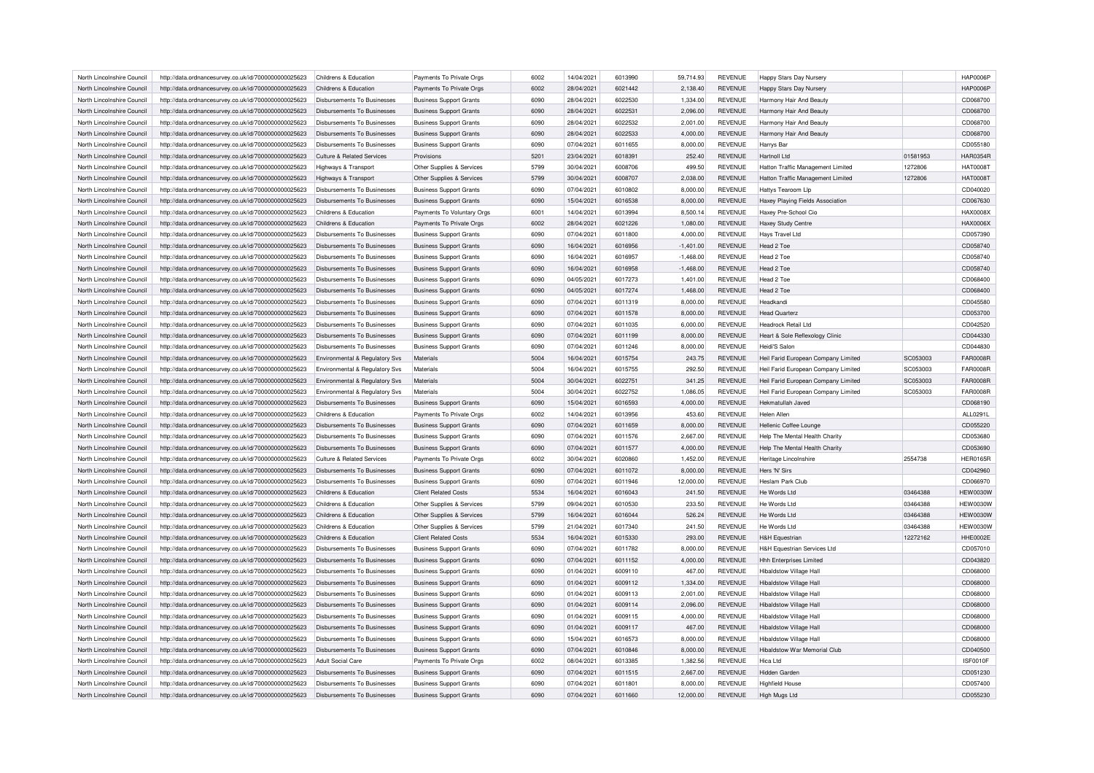| North Lincolnshire Council                               | http://data.ordnancesurvey.co.uk/id/7000000000025623 | Childrens & Education                                   | Payments To Private Orgs       | 6002 | 14/04/2021 | 6013990 | 59,714.93            | <b>REVENUE</b> | Happy Stars Day Nursery                |          | <b>HAP0006P</b> |
|----------------------------------------------------------|------------------------------------------------------|---------------------------------------------------------|--------------------------------|------|------------|---------|----------------------|----------------|----------------------------------------|----------|-----------------|
| North Lincolnshire Council                               | http://data.ordnancesurvey.co.uk/id/7000000000025623 | Childrens & Education                                   | Payments To Private Orgs       | 6002 | 28/04/2021 | 6021442 | 2,138.40             | <b>REVENUE</b> | Happy Stars Day Nursery                |          | <b>HAP0006P</b> |
| North Lincolnshire Council                               | http://data.ordnancesurvey.co.uk/id/7000000000025623 | Disbursements To Businesses                             | <b>Business Support Grants</b> | 6090 | 28/04/2021 | 6022530 | 1,334.00             | <b>REVENUE</b> | Harmony Hair And Beauty                |          | CD068700        |
| North Lincolnshire Council                               | http://data.ordnancesurvey.co.uk/id/7000000000025623 | Disbursements To Businesses                             | <b>Business Support Grants</b> | 6090 | 28/04/2021 | 6022531 | 2,096.00             | <b>REVENUE</b> | Harmony Hair And Beauty                |          | CD068700        |
| North Lincolnshire Council                               | http://data.ordnancesurvey.co.uk/id/7000000000025623 | <b>Disbursements To Businesses</b>                      | <b>Business Support Grants</b> | 6090 | 28/04/2021 | 6022532 | 2,001.00             | <b>REVENUE</b> | Harmony Hair And Beauty                |          | CD068700        |
| North Lincolnshire Council                               | http://data.ordnancesurvey.co.uk/id/7000000000025623 | Disbursements To Businesses                             | <b>Business Support Grants</b> | 6090 | 28/04/2021 | 6022533 | 4,000.00             | <b>REVENUE</b> | Harmony Hair And Beauty                |          | CD068700        |
| North Lincolnshire Council                               | http://data.ordnancesurvey.co.uk/id/7000000000025623 | Disbursements To Businesses                             | <b>Business Support Grants</b> | 6090 | 07/04/2021 | 6011655 | 8,000.00             | <b>REVENUE</b> | Harrys Bar                             |          | CD055180        |
| North Lincolnshire Council                               | http://data.ordnancesurvey.co.uk/id/7000000000025623 | <b>Culture &amp; Related Services</b>                   | Provisions                     | 5201 | 23/04/2021 | 6018391 | 252.40               | <b>REVENUE</b> | Hartnoll Ltd                           | 01581953 | <b>HAR0354R</b> |
| North Lincolnshire Council                               | http://data.ordnancesurvey.co.uk/id/7000000000025623 | Highways & Transport                                    | Other Supplies & Services      | 5799 | 30/04/2021 | 6008706 | 499.50               | <b>REVENUE</b> | Hatton Traffic Management Limited      | 1272806  | <b>HAT0008T</b> |
| North Lincolnshire Council                               | http://data.ordnancesurvey.co.uk/id/7000000000025623 | Highways & Transport                                    | Other Supplies & Services      | 5799 | 30/04/2021 | 6008707 | 2,038.00             | <b>REVENUE</b> | Hatton Traffic Management Limited      | 1272806  | <b>HAT0008T</b> |
| North Lincolnshire Council                               | http://data.ordnancesurvey.co.uk/id/7000000000025623 | <b>Disbursements To Businesses</b>                      | <b>Business Support Grants</b> | 6090 | 07/04/2021 | 6010802 | 8,000.00             | <b>REVENUE</b> | Hattys Tearoom Lip                     |          | CD040020        |
| North Lincolnshire Council                               | http://data.ordnancesurvey.co.uk/id/7000000000025623 | <b>Disbursements To Businesses</b>                      | <b>Business Support Grants</b> | 6090 | 15/04/2021 | 6016538 | 8,000.00             | <b>REVENUE</b> | Haxey Playing Fields Association       |          | CD067630        |
| North Lincolnshire Council                               | http://data.ordnancesurvey.co.uk/id/7000000000025623 | Childrens & Education                                   | Payments To Voluntary Orgs     | 6001 | 14/04/2021 | 6013994 | 8,500.14             | <b>REVENUE</b> | Haxey Pre-School Cic                   |          | HAX0008X        |
|                                                          |                                                      |                                                         |                                | 6002 | 28/04/2021 | 6021226 |                      |                |                                        |          | <b>HAX0006X</b> |
| North Lincolnshire Council                               | http://data.ordnancesurvey.co.uk/id/7000000000025623 | Childrens & Education                                   | Payments To Private Orgs       |      |            |         | 1,080.00             | <b>REVENUE</b> | <b>Haxey Study Centre</b>              |          |                 |
| North Lincolnshire Council                               | http://data.ordnancesurvey.co.uk/id/7000000000025623 | Disbursements To Businesses                             | <b>Business Support Grants</b> | 6090 | 07/04/2021 | 6011800 | 4,000.00             | <b>REVENUE</b> | Hays Travel Ltd                        |          | CD057390        |
| North Lincolnshire Council                               | http://data.ordnancesurvey.co.uk/id/7000000000025623 | Disbursements To Businesses                             | <b>Business Support Grants</b> | 6090 | 16/04/2021 | 6016956 | $-1,401.00$          | <b>REVENUE</b> | Head 2 Toe                             |          | CD058740        |
| North Lincolnshire Council                               | http://data.ordnancesurvey.co.uk/id/7000000000025623 | Disbursements To Businesses                             | <b>Business Support Grants</b> | 6090 | 16/04/2021 | 6016957 | $-1,468.00$          | <b>REVENUE</b> | Head 2 Toe                             |          | CD058740        |
| North Lincolnshire Council                               | http://data.ordnancesurvey.co.uk/id/7000000000025623 | <b>Disbursements To Businesses</b>                      | <b>Business Support Grants</b> | 6090 | 16/04/2021 | 6016958 | $-1,468.00$          | <b>REVENUE</b> | Head 2 Toe                             |          | CD058740        |
| North Lincolnshire Council                               | http://data.ordnancesurvey.co.uk/id/7000000000025623 | Disbursements To Businesses                             | <b>Business Support Grants</b> | 6090 | 04/05/2021 | 6017273 | 1,401.00             | <b>REVENUE</b> | Head 2 Toe                             |          | CD068400        |
| North Lincolnshire Council                               | http://data.ordnancesurvey.co.uk/id/7000000000025623 | Disbursements To Businesses                             | <b>Business Support Grants</b> | 6090 | 04/05/2021 | 6017274 | 1,468.00             | <b>REVENUE</b> | Head 2 Toe                             |          | CD068400        |
| North Lincolnshire Council                               | http://data.ordnancesurvey.co.uk/id/7000000000025623 | Disbursements To Businesses                             | <b>Business Support Grants</b> | 6090 | 07/04/2021 | 6011319 | 8,000.00             | <b>REVENUE</b> | Headkandi                              |          | CD045580        |
| North Lincolnshire Council                               | http://data.ordnancesurvey.co.uk/id/7000000000025623 | Disbursements To Businesses                             | <b>Business Support Grants</b> | 6090 | 07/04/2021 | 6011578 | 8,000.00             | <b>REVENUE</b> | <b>Head Quarterz</b>                   |          | CD053700        |
| North Lincolnshire Council                               | http://data.ordnancesurvey.co.uk/id/7000000000025623 | Disbursements To Businesses                             | <b>Business Support Grants</b> | 6090 | 07/04/2021 | 6011035 | 6.000.00             | <b>REVENUE</b> | <b>Headrock Retail Ltd</b>             |          | CD042520        |
| North Lincolnshire Council                               | http://data.ordnancesurvey.co.uk/id/7000000000025623 | Disbursements To Businesses                             | <b>Business Support Grants</b> | 6090 | 07/04/2021 | 6011199 | 8,000.00             | <b>REVENUE</b> | Heart & Sole Reflexology Clinic        |          | CD044330        |
| North Lincolnshire Council                               | http://data.ordnancesurvey.co.uk/id/7000000000025623 | <b>Disbursements To Businesses</b>                      | <b>Business Support Grants</b> | 6090 | 07/04/2021 | 6011246 | 8,000.00             | <b>REVENUE</b> | Heidi'S Salon                          |          | CD044830        |
| North Lincolnshire Council                               | http://data.ordnancesurvey.co.uk/id/7000000000025623 | <b>Environmental &amp; Regulatory Svs</b>               | Materials                      | 5004 | 16/04/2021 | 6015754 | 243.75               | <b>REVENUE</b> | Heil Farid European Company Limited    | SC053003 | <b>FAR0008F</b> |
| North Lincolnshire Council                               | http://data.ordnancesurvey.co.uk/id/7000000000025623 | Environmental & Regulatory Svs                          | Materials                      | 5004 | 16/04/2021 | 6015755 | 292.50               | REVENUE        | Heil Farid European Company Limited    | SC053003 | <b>FAR0008F</b> |
| North Lincolnshire Council                               | http://data.ordnancesurvey.co.uk/id/7000000000025623 | Environmental & Regulatory Svs                          | Materials                      | 5004 | 30/04/2021 | 6022751 | 341.25               | <b>REVENUE</b> | Heil Farid European Company Limited    | SC053003 | <b>FAR0008F</b> |
| North Lincolnshire Council                               | http://data.ordnancesurvey.co.uk/id/7000000000025623 | Environmental & Regulatory Svs                          | Materials                      | 5004 | 30/04/2021 | 6022752 | 1.086.05             | <b>REVENUE</b> | Heil Farid European Company Limited    | SC053003 | <b>FAR0008R</b> |
| North Lincolnshire Council                               | http://data.ordnancesurvey.co.uk/id/7000000000025623 | <b>Disbursements To Businesses</b>                      | <b>Business Support Grants</b> | 6090 | 15/04/2021 | 6016593 | 4,000.00             | REVENUE        | Hekmatullah Javed                      |          | CD068190        |
| North Lincolnshire Council                               | http://data.ordnancesurvey.co.uk/id/7000000000025623 | Childrens & Education                                   | Payments To Private Orgs       | 6002 | 14/04/2021 | 6013956 | 453.60               | <b>REVENUE</b> | Helen Allen                            |          | ALL0291L        |
| North Lincolnshire Council                               | http://data.ordnancesurvey.co.uk/id/7000000000025623 | Disbursements To Businesses                             | <b>Business Support Grants</b> | 6090 | 07/04/2021 | 6011659 | 8.000.00             | <b>REVENUE</b> | Hellenic Coffee Lounge                 |          | CD055220        |
|                                                          |                                                      |                                                         |                                | 6090 |            | 6011576 |                      | <b>REVENUE</b> | Help The Mental Health Charity         |          | CD053680        |
| North Lincolnshire Council                               | http://data.ordnancesurvey.co.uk/id/7000000000025623 | Disbursements To Businesses                             | <b>Business Support Grants</b> |      | 07/04/2021 |         | 2,667.00             |                |                                        |          |                 |
| North Lincolnshire Council                               | http://data.ordnancesurvey.co.uk/id/7000000000025623 | <b>Disbursements To Businesses</b>                      | <b>Business Support Grants</b> | 6090 | 07/04/2021 | 6011577 | 4,000.00             | <b>REVENUE</b> | Help The Mental Health Charity         |          | CD053690        |
| North Lincolnshire Council                               | http://data.ordnancesurvey.co.uk/id/7000000000025623 | <b>Culture &amp; Related Services</b>                   | Payments To Private Orgs       | 6002 | 30/04/2021 | 6020860 | 1,452.00             | <b>REVENUE</b> | Heritage Lincolnshire                  | 2554738  | <b>HER0165R</b> |
| North Lincolnshire Council                               | http://data.ordnancesurvey.co.uk/id/7000000000025623 | <b>Disbursements To Businesses</b>                      | <b>Business Support Grants</b> | 6090 | 07/04/2021 | 6011072 | 8,000.00             | REVENUE        | Hers 'N' Sirs                          |          | CD042960        |
| North Lincolnshire Council                               | http://data.ordnancesurvey.co.uk/id/7000000000025623 | Disbursements To Businesses                             | <b>Business Support Grants</b> | 6090 | 07/04/2021 | 6011946 | 12,000.00            | <b>REVENUE</b> | Heslam Park Club                       |          | CD066970        |
| North Lincolnshire Council                               | http://data.ordnancesurvey.co.uk/id/7000000000025623 | Childrens & Education                                   | <b>Client Related Costs</b>    | 5534 | 16/04/2021 | 6016043 | 241.50               | <b>REVENUE</b> | He Words Ltd                           | 03464388 | <b>HEW0030W</b> |
| North Lincolnshire Council                               | http://data.ordnancesurvey.co.uk/id/7000000000025623 | Childrens & Education                                   | Other Supplies & Services      | 5799 | 09/04/2021 | 6010530 | 233.50               | <b>REVENUE</b> | He Words Ltd                           | 03464388 | <b>HEW0030W</b> |
| North Lincolnshire Council                               | http://data.ordnancesurvey.co.uk/id/7000000000025623 | Childrens & Education                                   | Other Supplies & Services      | 5799 | 16/04/2021 | 6016044 | 526.24               | <b>REVENUE</b> | He Words Ltd                           | 03464388 | <b>HEW0030W</b> |
| North Lincolnshire Council                               | http://data.ordnancesurvey.co.uk/id/7000000000025623 | Childrens & Education                                   | Other Supplies & Services      | 5799 | 21/04/2021 | 6017340 | 241.50               | REVENUE        | He Words Ltd                           | 03464388 | <b>HEW0030W</b> |
| North Lincolnshire Council                               | http://data.ordnancesurvey.co.uk/id/7000000000025623 | Childrens & Education                                   | <b>Client Related Costs</b>    | 5534 | 16/04/2021 | 6015330 | 293.00               | REVENUE        | <b>H&amp;H Equestrian</b>              | 12272162 | HHE0002E        |
| North Lincolnshire Council                               | http://data.ordnancesurvey.co.uk/id/7000000000025623 | Disbursements To Businesses                             | <b>Business Support Grants</b> | 6090 | 07/04/2021 | 6011782 | 8,000.00             | <b>REVENUE</b> | <b>H&amp;H Equestrian Services Ltd</b> |          | CD057010        |
| North Lincolnshire Council                               | http://data.ordnancesurvey.co.uk/id/7000000000025623 | Disbursements To Businesses                             | <b>Business Support Grants</b> | 6090 | 07/04/2021 | 6011152 | 4,000.00             | <b>REVENUE</b> | <b>Hhh Enterprises Limited</b>         |          | CD043820        |
| North Lincolnshire Council                               | http://data.ordnancesurvey.co.uk/id/7000000000025623 | Disbursements To Businesses                             | <b>Business Support Grants</b> | 6090 | 01/04/2021 | 6009110 | 467.00               | REVENUE        | <b>Hibaldstow Village Hall</b>         |          | CD068000        |
| North Lincolnshire Council                               | http://data.ordnancesurvey.co.uk/id/7000000000025623 | <b>Disbursements To Businesses</b>                      | <b>Business Support Grants</b> | 6090 | 01/04/2021 | 6009112 | 1,334.00             | <b>REVENUE</b> | <b>Hibaldstow Village Hall</b>         |          | CD068000        |
| North Lincolnshire Council                               | http://data.ordnancesurvey.co.uk/id/7000000000025623 | <b>Disbursements To Businesses</b>                      | <b>Business Support Grants</b> | 6090 | 01/04/2021 | 6009113 | 2,001.00             | REVENUE        | <b>Hibaldstow Village Hall</b>         |          | CD068000        |
| North Lincolnshire Council                               | http://data.ordnancesurvey.co.uk/id/7000000000025623 | Disbursements To Businesses                             | <b>Business Support Grants</b> | 6090 | 01/04/2021 | 6009114 | 2,096.00             | REVENUE        | <b>Hibaldstow Village Hall</b>         |          | CD068000        |
| North Lincolnshire Council                               | http://data.ordnancesurvey.co.uk/id/7000000000025623 | Disbursements To Businesses                             | <b>Business Support Grants</b> | 6090 | 01/04/2021 | 6009115 | 4,000.00             | <b>REVENUE</b> | <b>Hibaldstow Village Hall</b>         |          | CD068000        |
| North Lincolnshire Council                               | http://data.ordnancesurvey.co.uk/id/7000000000025623 | <b>Disbursements To Businesses</b>                      | <b>Business Support Grants</b> | 6090 | 01/04/2021 | 6009117 | 467.00               | <b>REVENUE</b> | <b>Hibaldstow Village Hall</b>         |          | CD068000        |
| North Lincolnshire Council                               | http://data.ordnancesurvey.co.uk/id/7000000000025623 | Disbursements To Businesses                             | <b>Business Support Grants</b> | 6090 | 15/04/2021 | 6016573 | 8,000.00             | REVENUE        | <b>Hibaldstow Village Hall</b>         |          | CD068000        |
|                                                          |                                                      |                                                         |                                | 6090 | 07/04/2021 | 6010846 |                      | <b>REVENUE</b> | <b>Hibaldstow War Memorial Club</b>    |          | CD040500        |
| North Lincolnshire Council<br>North Lincolnshire Council | http://data.ordnancesurvey.co.uk/id/7000000000025623 | <b>Disbursements To Businesses</b><br>Adult Social Care | <b>Business Support Grants</b> | 6002 | 08/04/2021 | 6013385 | 8,000.00<br>1,382.56 | <b>REVENUE</b> | Hica Ltd                               |          | ISF0010F        |
|                                                          | http://data.ordnancesurvey.co.uk/id/7000000000025623 |                                                         | Payments To Private Orgs       |      |            |         |                      |                |                                        |          |                 |
| North Lincolnshire Council                               | http://data.ordnancesurvey.co.uk/id/7000000000025623 | Disbursements To Businesses                             | <b>Business Support Grants</b> | 6090 | 07/04/2021 | 6011515 | 2,667.00             | <b>REVENUE</b> | Hidden Garden                          |          | CD051230        |
| North Lincolnshire Council                               | http://data.ordnancesurvey.co.uk/id/7000000000025623 | Disbursements To Businesses                             | <b>Business Support Grants</b> | 6090 | 07/04/2021 | 6011801 | 8.000.00             | <b>REVENUE</b> | <b>Highfield House</b>                 |          | CD057400        |
| North Lincolnshire Council                               | http://data.ordnancesurvey.co.uk/id/7000000000025623 | Disbursements To Businesses                             | <b>Business Support Grants</b> | 6090 | 07/04/2021 | 6011660 | 12.000.00            | <b>REVENUE</b> | High Mugs Ltd                          |          | CD055230        |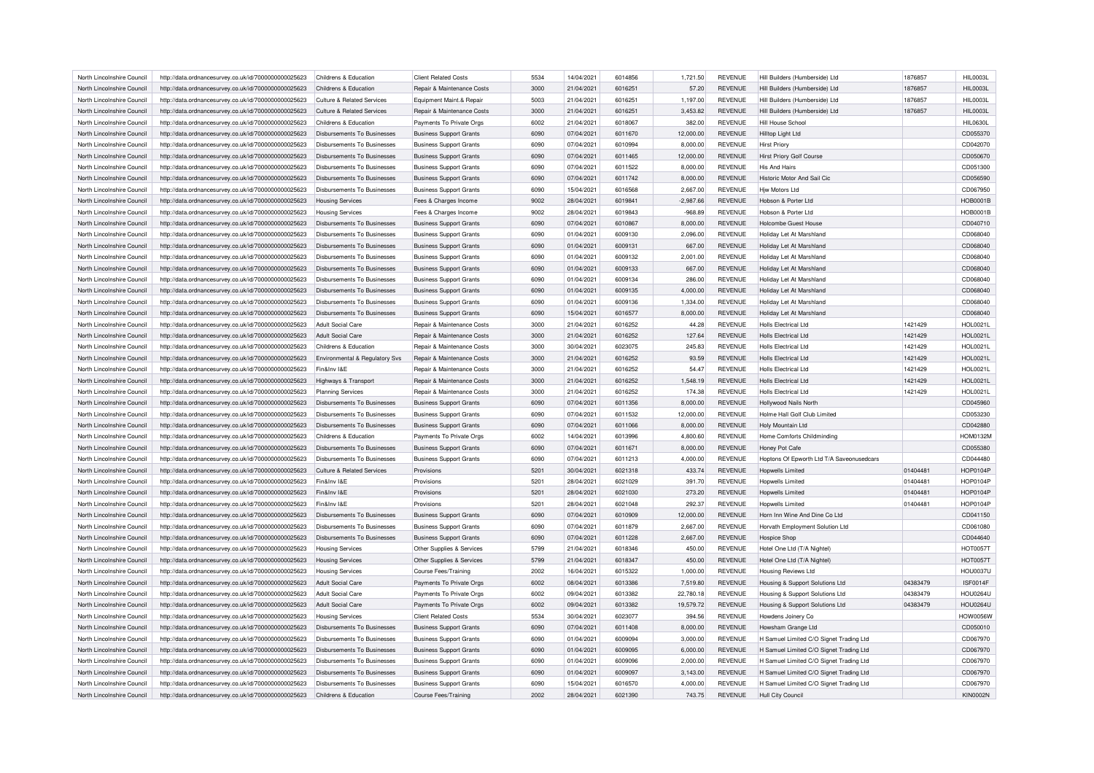| North Lincolnshire Council | http://data.ordnancesurvey.co.uk/id/7000000000025623 | Childrens & Education                 | <b>Client Related Costs</b>    | 5534 | 14/04/2021 | 6014856 | 1,721.50    | <b>REVENUE</b> | Hill Builders (Humberside) Ltd            | 1876857  | HIL0003L        |
|----------------------------|------------------------------------------------------|---------------------------------------|--------------------------------|------|------------|---------|-------------|----------------|-------------------------------------------|----------|-----------------|
| North Lincolnshire Council | http://data.ordnancesurvey.co.uk/id/7000000000025623 | Childrens & Education                 | Repair & Maintenance Costs     | 3000 | 21/04/2021 | 6016251 | 57.20       | <b>REVENUE</b> | Hill Builders (Humberside) Ltd            | 1876857  | HIL0003L        |
| North Lincolnshire Council | http://data.ordnancesurvey.co.uk/id/7000000000025623 | Culture & Related Services            | Equipment Maint.& Repair       | 5003 | 21/04/2021 | 6016251 | 1,197.00    | <b>REVENUE</b> | Hill Builders (Humberside) Ltd            | 1876857  | HIL0003L        |
| North Lincolnshire Council | http://data.ordnancesurvey.co.uk/id/7000000000025623 | Culture & Related Services            | Repair & Maintenance Costs     | 3000 | 21/04/2021 | 6016251 | 3,453.82    | <b>REVENUE</b> | Hill Builders (Humberside) Ltd            | 1876857  | HIL0003L        |
| North Lincolnshire Council | http://data.ordnancesurvey.co.uk/id/7000000000025623 | Childrens & Education                 | Payments To Private Orgs       | 6002 | 21/04/2021 | 6018067 | 382.00      | <b>REVENUE</b> | Hill House School                         |          | <b>HIL0630L</b> |
| North Lincolnshire Council | http://data.ordnancesurvey.co.uk/id/7000000000025623 | Disbursements To Businesses           | <b>Business Support Grants</b> | 6090 | 07/04/2021 | 6011670 | 12,000.00   | <b>REVENUE</b> | Hilltop Light Ltd                         |          | CD055370        |
| North Lincolnshire Council | http://data.ordnancesurvey.co.uk/id/7000000000025623 | Disbursements To Businesses           | <b>Business Support Grants</b> | 6090 | 07/04/2021 | 6010994 | 8,000.00    | <b>REVENUE</b> | Hirst Priory                              |          | CD042070        |
| North Lincolnshire Council | http://data.ordnancesurvey.co.uk/id/7000000000025623 | Disbursements To Businesses           | <b>Business Support Grants</b> | 6090 | 07/04/2021 | 6011465 | 12,000.00   | <b>REVENUE</b> | <b>Hirst Priory Golf Course</b>           |          | CD050670        |
| North Lincolnshire Council | http://data.ordnancesurvey.co.uk/id/7000000000025623 | Disbursements To Businesses           | <b>Business Support Grants</b> | 6090 | 07/04/2021 | 6011522 | 8,000.00    | <b>REVENUE</b> | <b>His And Hairs</b>                      |          | CD051300        |
| North Lincolnshire Council | http://data.ordnancesurvey.co.uk/id/7000000000025623 | Disbursements To Businesses           | <b>Business Support Grants</b> | 6090 | 07/04/2021 | 6011742 | 8,000.00    | REVENUE        | Historic Motor And Sail Cic               |          | CD056590        |
| North Lincolnshire Council | http://data.ordnancesurvey.co.uk/id/7000000000025623 | Disbursements To Businesses           | <b>Business Support Grants</b> | 6090 | 15/04/2021 | 6016568 | 2,667.00    | <b>REVENUE</b> | <b>Hiw Motors Ltd</b>                     |          | CD067950        |
| North Lincolnshire Council | http://data.ordnancesurvey.co.uk/id/7000000000025623 | <b>Housing Services</b>               | Fees & Charges Income          | 9002 | 28/04/2021 | 6019841 | $-2,987.66$ | <b>REVENUE</b> | Hobson & Porter Ltd                       |          | <b>HOB0001B</b> |
| North Lincolnshire Council | http://data.ordnancesurvey.co.uk/id/7000000000025623 | <b>Housing Services</b>               | Fees & Charges Income          | 9002 | 28/04/2021 | 6019843 | $-968.89$   | <b>REVENUE</b> | Hobson & Porter Ltd                       |          | <b>HOB0001E</b> |
| North Lincolnshire Council | http://data.ordnancesurvey.co.uk/id/7000000000025623 | <b>Disbursements To Businesses</b>    | <b>Business Support Grants</b> | 6090 | 07/04/2021 | 6010867 | 8,000.00    | <b>REVENUE</b> | <b>Holcombe Guest House</b>               |          | CD040710        |
| North Lincolnshire Council | http://data.ordnancesurvey.co.uk/id/7000000000025623 | Disbursements To Businesses           | <b>Business Support Grants</b> | 6090 | 01/04/2021 | 6009130 | 2,096.00    | <b>REVENUE</b> | Holiday Let At Marshland                  |          | CD068040        |
| North Lincolnshire Council | http://data.ordnancesurvey.co.uk/id/7000000000025623 | <b>Disbursements To Businesses</b>    | <b>Business Support Grants</b> | 6090 | 01/04/2021 | 6009131 | 667.00      | <b>REVENUE</b> | Holiday Let At Marshland                  |          | CD068040        |
| North Lincolnshire Council | http://data.ordnancesurvey.co.uk/id/7000000000025623 | <b>Disbursements To Businesses</b>    | <b>Business Support Grants</b> | 6090 | 01/04/2021 | 6009132 | 2.001.00    | <b>REVENUE</b> | Holiday Let At Marshland                  |          | CD068040        |
| North Lincolnshire Council | http://data.ordnancesurvey.co.uk/id/7000000000025623 | Disbursements To Businesses           | <b>Business Support Grants</b> | 6090 | 01/04/2021 | 6009133 | 667.00      | <b>REVENUE</b> | Holiday Let At Marshland                  |          | CD068040        |
| North Lincolnshire Council | http://data.ordnancesurvey.co.uk/id/7000000000025623 | Disbursements To Businesses           | <b>Business Support Grants</b> | 6090 | 01/04/2021 | 6009134 | 286.00      | <b>REVENUE</b> | Holiday Let At Marshland                  |          | CD068040        |
| North Lincolnshire Council | http://data.ordnancesurvey.co.uk/id/7000000000025623 | Disbursements To Businesses           | <b>Business Support Grants</b> | 6090 | 01/04/2021 | 6009135 | 4,000.00    | <b>REVENUE</b> | Holiday Let At Marshland                  |          | CD068040        |
| North Lincolnshire Council |                                                      | Disbursements To Businesses           |                                | 6090 | 01/04/2021 | 6009136 | 1,334.00    | <b>REVENUE</b> | Holiday Let At Marshland                  |          | CD068040        |
|                            | http://data.ordnancesurvey.co.uk/id/7000000000025623 |                                       | <b>Business Support Grants</b> |      |            |         |             |                |                                           |          |                 |
| North Lincolnshire Council | http://data.ordnancesurvey.co.uk/id/7000000000025623 | Disbursements To Businesses           | <b>Business Support Grants</b> | 6090 | 15/04/2021 | 6016577 | 8,000.00    | <b>REVENUE</b> | Holiday Let At Marshland                  |          | CD068040        |
| North Lincolnshire Council | http://data.ordnancesurvey.co.uk/id/7000000000025623 | <b>Adult Social Care</b>              | Repair & Maintenance Costs     | 3000 | 21/04/2021 | 6016252 | 44.28       | <b>REVENUE</b> | <b>Holls Electrical Ltd</b>               | 1421429  | <b>HOL0021L</b> |
| North Lincolnshire Council | http://data.ordnancesurvey.co.uk/id/7000000000025623 | Adult Social Care                     | Repair & Maintenance Costs     | 3000 | 21/04/2021 | 6016252 | 127.64      | <b>REVENUE</b> | <b>Holls Electrical Ltd</b>               | 1421429  | HOL0021L        |
| North Lincolnshire Council | http://data.ordnancesurvey.co.uk/id/7000000000025623 | Childrens & Education                 | Repair & Maintenance Costs     | 3000 | 30/04/2021 | 6023075 | 245.83      | <b>REVENUE</b> | <b>Holls Electrical Ltd</b>               | 1421429  | <b>HOL0021L</b> |
| North Lincolnshire Council | http://data.ordnancesurvey.co.uk/id/7000000000025623 | Environmental & Regulatory Svs        | Repair & Maintenance Costs     | 3000 | 21/04/2021 | 6016252 | 93.59       | <b>REVENUE</b> | <b>Holls Electrical Ltd</b>               | 1421429  | <b>HOL0021L</b> |
| North Lincolnshire Council | http://data.ordnancesurvey.co.uk/id/7000000000025623 | Fin&Inv I&E                           | Repair & Maintenance Costs     | 3000 | 21/04/2021 | 6016252 | 54.47       | <b>REVENUE</b> | Holls Flectrical Ltd                      | 1421429  | <b>HOL0021L</b> |
| North Lincolnshire Council | http://data.ordnancesurvey.co.uk/id/7000000000025623 | Highways & Transport                  | Repair & Maintenance Costs     | 3000 | 21/04/2021 | 6016252 | 1,548.19    | <b>REVENUE</b> | Holls Electrical Ltd                      | 1421429  | <b>HOL0021L</b> |
| North Lincolnshire Council | http://data.ordnancesurvey.co.uk/id/7000000000025623 | <b>Planning Services</b>              | Repair & Maintenance Costs     | 3000 | 21/04/2021 | 6016252 | 174.38      | <b>REVENUE</b> | Holls Flectrical Ltd                      | 1421429  | <b>HOL0021L</b> |
| North Lincolnshire Council | http://data.ordnancesurvey.co.uk/id/7000000000025623 | Disbursements To Businesses           | <b>Business Support Grants</b> | 6090 | 07/04/2021 | 6011356 | 8,000.00    | <b>REVENUE</b> | <b>Hollywood Nails North</b>              |          | CD045960        |
| North Lincolnshire Council | http://data.ordnancesurvey.co.uk/id/7000000000025623 | Disbursements To Businesses           | <b>Business Support Grants</b> | 6090 | 07/04/2021 | 6011532 | 12,000.00   | <b>REVENUE</b> | Holme Hall Golf Club Limited              |          | CD053230        |
| North Lincolnshire Council | http://data.ordnancesurvey.co.uk/id/7000000000025623 | Disbursements To Businesses           | <b>Business Support Grants</b> | 6090 | 07/04/2021 | 6011066 | 8,000.00    | <b>REVENUE</b> | Holy Mountain Ltd                         |          | CD042880        |
| North Lincolnshire Council | http://data.ordnancesurvey.co.uk/id/7000000000025623 | Childrens & Education                 | Payments To Private Orgs       | 6002 | 14/04/2021 | 6013996 | 4,800.60    | <b>REVENUE</b> | Home Comforts Childminding                |          | <b>HOM0132M</b> |
| North Lincolnshire Council | http://data.ordnancesurvey.co.uk/id/7000000000025623 | Disbursements To Businesses           | <b>Business Support Grants</b> | 6090 | 07/04/2021 | 6011671 | 8,000.00    | REVENUE        | Honey Pot Cafe                            |          | CD055380        |
| North Lincolnshire Council | http://data.ordnancesurvey.co.uk/id/7000000000025623 | Disbursements To Businesses           | <b>Business Support Grants</b> | 6090 | 07/04/2021 | 6011213 | 4,000.00    | <b>REVENUE</b> | Hoptons Of Epworth Ltd T/A Saveonusedcars |          | CD044480        |
| North Lincolnshire Council | http://data.ordnancesurvey.co.uk/id/7000000000025623 | <b>Culture &amp; Related Services</b> | Provisions                     | 5201 | 30/04/2021 | 6021318 | 433.74      | <b>REVENUE</b> | <b>Hopwells Limited</b>                   | 01404481 | <b>HOP0104P</b> |
| North Lincolnshire Council | http://data.ordnancesurvey.co.uk/id/7000000000025623 | Fin&Inv I&F                           | Provisions                     | 5201 | 28/04/2021 | 6021029 | 391.70      | <b>REVENUE</b> | <b>Hopwells Limited</b>                   | 01404481 | HOP0104F        |
| North Lincolnshire Council | http://data.ordnancesurvey.co.uk/id/7000000000025623 | Fin&Inv I&E                           | Provisions                     | 5201 | 28/04/2021 | 6021030 | 273.20      | <b>REVENUE</b> | <b>Hopwells Limited</b>                   | 01404481 | <b>HOP0104P</b> |
| North Lincolnshire Council | http://data.ordnancesurvey.co.uk/id/7000000000025623 | Fin&Inv I&E                           | Provisions                     | 5201 | 28/04/2021 | 6021048 | 292.37      | <b>REVENUE</b> | <b>Hopwells Limited</b>                   | 01404481 | <b>HOP0104P</b> |
| North Lincolnshire Council | http://data.ordnancesurvey.co.uk/id/7000000000025623 | Disbursements To Businesses           | <b>Business Support Grants</b> | 6090 | 07/04/2021 | 6010909 | 12,000.00   | <b>REVENUE</b> | Horn Inn Wine And Dine Co Ltd             |          | CD041150        |
| North Lincolnshire Council | http://data.ordnancesurvey.co.uk/id/7000000000025623 | Disbursements To Businesses           | <b>Business Support Grants</b> | 6090 | 07/04/2021 | 6011879 | 2.667.00    | <b>REVENUE</b> | Horvath Employment Solution Ltd           |          | CD061080        |
| North Lincolnshire Council | http://data.ordnancesurvey.co.uk/id/7000000000025623 | Disbursements To Businesses           | <b>Business Support Grants</b> | 6090 | 07/04/2021 | 6011228 | 2,667.00    | <b>REVENUE</b> | <b>Hospice Shop</b>                       |          | CD044640        |
| North Lincolnshire Council | http://data.ordnancesurvey.co.uk/id/7000000000025623 | <b>Housing Services</b>               | Other Supplies & Services      | 5799 | 21/04/2021 | 6018346 | 450.00      | <b>REVENUE</b> | Hotel One Ltd (T/A Nightel)               |          | <b>HOT0057T</b> |
| North Lincolnshire Council | http://data.ordnancesurvey.co.uk/id/7000000000025623 | <b>Housing Services</b>               | Other Supplies & Services      | 5799 | 21/04/2021 | 6018347 | 450.00      | <b>REVENUE</b> | Hotel One Ltd (T/A Nightel)               |          | <b>HOT0057T</b> |
| North Lincolnshire Council | http://data.ordnancesurvey.co.uk/id/7000000000025623 | <b>Housing Services</b>               | <b>Course Fees/Training</b>    | 2002 | 16/04/2021 | 6015322 | 1,000.00    | <b>REVENUE</b> | Housing Reviews Ltd                       |          | <b>HOU0037U</b> |
| North Lincolnshire Council | http://data.ordnancesurvey.co.uk/id/7000000000025623 | Adult Social Care                     | Payments To Private Orgs       | 6002 | 08/04/2021 | 6013386 | 7,519.80    | <b>REVENUE</b> | Housing & Support Solutions Ltd           | 04383479 | <b>ISF0014F</b> |
| North Lincolnshire Council | http://data.ordnancesurvey.co.uk/id/7000000000025623 | <b>Adult Social Care</b>              | Payments To Private Orgs       | 6002 | 09/04/2021 | 6013382 | 22,780.18   | <b>REVENUE</b> | Housing & Support Solutions Ltd           | 04383479 | <b>HOU0264U</b> |
| North Lincolnshire Council | http://data.ordnancesurvey.co.uk/id/7000000000025623 | <b>Adult Social Care</b>              | Payments To Private Orgs       | 6002 | 09/04/2021 | 6013382 | 19,579.72   | <b>REVENUE</b> | Housing & Support Solutions Ltd           | 04383479 | <b>HOU0264L</b> |
| North Lincolnshire Council | http://data.ordnancesurvey.co.uk/id/7000000000025623 | <b>Housing Services</b>               | <b>Client Related Costs</b>    | 5534 | 30/04/2021 | 6023077 | 394.56      | <b>REVENUE</b> | Howdens Joinery Co                        |          | <b>HOW0056V</b> |
| North Lincolnshire Council | http://data.ordnancesurvey.co.uk/id/7000000000025623 | Disbursements To Businesses           | <b>Business Support Grants</b> | 6090 | 07/04/2021 | 6011408 | 8,000.00    | <b>REVENUE</b> | Howsham Grange Ltd                        |          | CD050010        |
| North Lincolnshire Council | http://data.ordnancesurvey.co.uk/id/7000000000025623 | Disbursements To Businesses           | <b>Business Support Grants</b> | 6090 | 01/04/2021 | 6009094 | 3,000.00    | <b>REVENUE</b> | H Samuel Limited C/O Signet Trading Ltd   |          | CD067970        |
| North Lincolnshire Council | http://data.ordnancesurvey.co.uk/id/7000000000025623 | Disbursements To Businesses           | <b>Business Support Grants</b> | 6090 | 01/04/2021 | 6009095 | 6,000.00    | <b>REVENUE</b> | H Samuel Limited C/O Signet Trading Ltd   |          | CD067970        |
| North Lincolnshire Council | http://data.ordnancesurvey.co.uk/id/7000000000025623 | <b>Disbursements To Businesses</b>    | <b>Business Support Grants</b> | 6090 | 01/04/2021 | 6009096 | 2,000.00    | <b>REVENUE</b> | H Samuel Limited C/O Signet Trading Ltd   |          | CD067970        |
| North Lincolnshire Council | http://data.ordnancesurvey.co.uk/id/7000000000025623 | Disbursements To Businesses           | <b>Business Support Grants</b> | 6090 | 01/04/2021 | 6009097 | 3,143.00    | <b>REVENUE</b> | H Samuel Limited C/O Signet Trading Ltd   |          | CD067970        |
| North Lincolnshire Council | http://data.ordnancesurvey.co.uk/id/7000000000025623 | Disbursements To Businesses           | <b>Business Support Grants</b> | 6090 | 15/04/2021 | 6016570 | 4,000.00    | <b>REVENUE</b> | H Samuel Limited C/O Signet Trading Ltd   |          | CD067970        |
| North Lincolnshire Council | http://data.ordnancesurvey.co.uk/id/7000000000025623 |                                       | Course Fees/Training           | 2002 | 28/04/2021 | 6021390 | 743.75      | <b>REVENUE</b> | Hull City Council                         |          | <b>KIN0002N</b> |
|                            |                                                      | Childrens & Education                 |                                |      |            |         |             |                |                                           |          |                 |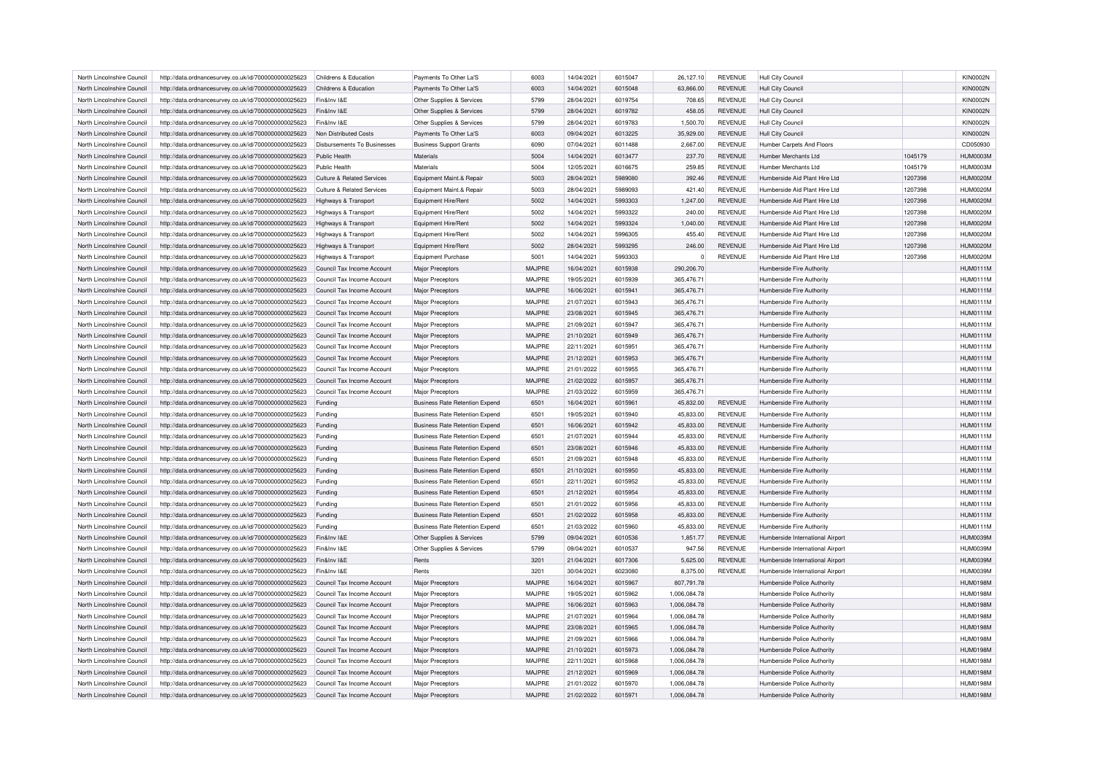| North Lincolnshire Council | http://data.ordnancesurvey.co.uk/id/7000000000025623 | Childrens & Education                 | Payments To Other La'S                | 6003          | 14/04/2021 | 6015047 | 26,127.10    | <b>REVENUE</b> | Hull City Council                |         | <b>KIN0002N</b> |
|----------------------------|------------------------------------------------------|---------------------------------------|---------------------------------------|---------------|------------|---------|--------------|----------------|----------------------------------|---------|-----------------|
| North Lincolnshire Council | http://data.ordnancesurvey.co.uk/id/7000000000025623 | Childrens & Education                 | Payments To Other La'S                | 6003          | 14/04/2021 | 6015048 | 63,866.00    | <b>REVENUE</b> | <b>Hull City Council</b>         |         | <b>KIN0002N</b> |
| North Lincolnshire Council | http://data.ordnancesurvey.co.uk/id/7000000000025623 | Fin&Inv I&E                           | Other Supplies & Services             | 5799          | 28/04/2021 | 6019754 | 708.65       | <b>REVENUE</b> | <b>Hull City Council</b>         |         | <b>KIN0002N</b> |
| North Lincolnshire Council | http://data.ordnancesurvey.co.uk/id/7000000000025623 | Fin&Inv I&E                           | Other Supplies & Services             | 5799          | 28/04/2021 | 6019782 | 458.05       | <b>REVENUE</b> | <b>Hull City Council</b>         |         | <b>KIN0002N</b> |
| North Lincolnshire Council | http://data.ordnancesurvey.co.uk/id/7000000000025623 | Fin&Inv I&E                           | Other Supplies & Services             | 5799          | 28/04/2021 | 6019783 | 1,500.70     | <b>REVENUE</b> | <b>Hull City Council</b>         |         | <b>KIN0002N</b> |
| North Lincolnshire Council | http://data.ordnancesurvey.co.uk/id/7000000000025623 | Non Distributed Costs                 | Payments To Other La'S                | 6003          | 09/04/2021 | 6013225 | 35,929.00    | <b>REVENUE</b> | Hull City Council                |         | <b>KIN0002N</b> |
| North Lincolnshire Council | http://data.ordnancesurvey.co.uk/id/7000000000025623 | Disbursements To Businesses           | <b>Business Support Grants</b>        | 6090          | 07/04/2021 | 6011488 | 2,667.00     | <b>REVENUE</b> | Humber Carpets And Floors        |         | CD050930        |
| North Lincolnshire Council | http://data.ordnancesurvey.co.uk/id/7000000000025623 | Public Health                         | Materials                             | 5004          | 14/04/2021 | 6013477 | 237.70       | <b>REVENUE</b> | Humber Merchants I td            | 1045179 | HUM0003M        |
| North Lincolnshire Council | http://data.ordnancesurvey.co.uk/id/7000000000025623 | Public Health                         | Materials                             | 5004          | 12/05/2021 | 6016675 | 259.85       | <b>REVENUE</b> | <b>Humber Merchants Ltd</b>      | 1045179 | HUM0003M        |
| North Lincolnshire Council | http://data.ordnancesurvey.co.uk/id/7000000000025623 | Culture & Related Services            | Equipment Maint.& Repair              | 5003          | 28/04/2021 | 5989080 | 392.46       | REVENUE        | Humberside Aid Plant Hire Ltd    | 1207398 | <b>HUM0020M</b> |
| North Lincolnshire Council | http://data.ordnancesurvey.co.uk/id/7000000000025623 | <b>Culture &amp; Related Services</b> | Equipment Maint.& Repair              | 5003          | 28/04/2021 | 5989093 | 421.40       | <b>REVENUE</b> | Humberside Aid Plant Hire Ltd    | 1207398 | <b>HUM0020M</b> |
| North Lincolnshire Council | http://data.ordnancesurvey.co.uk/id/7000000000025623 | Highways & Transport                  | Equipment Hire/Rent                   | 5002          | 14/04/2021 | 5993303 | 1,247.00     | <b>REVENUE</b> | Humberside Aid Plant Hire Ltd    | 1207398 | <b>HUM0020M</b> |
| North Lincolnshire Council | http://data.ordnancesurvey.co.uk/id/7000000000025623 | Highways & Transport                  | Equipment Hire/Rent                   | 5002          | 14/04/2021 | 5993322 | 240.00       | <b>REVENUE</b> | Humberside Aid Plant Hire Ltd    | 1207398 | <b>HUM0020M</b> |
| North Lincolnshire Council | http://data.ordnancesurvey.co.uk/id/7000000000025623 | Highways & Transport                  | Equipment Hire/Rent                   | 5002          | 14/04/2021 | 5993324 | 1,040.00     | REVENUE        | Humberside Aid Plant Hire Ltd    | 1207398 | HUM0020M        |
| North Lincolnshire Council | http://data.ordnancesurvey.co.uk/id/7000000000025623 | Highways & Transport                  | Equipment Hire/Rent                   | 5002          | 14/04/2021 | 5996305 | 455.40       | <b>REVENUE</b> | Humberside Aid Plant Hire Ltd    | 1207398 | <b>HUM0020M</b> |
| North Lincolnshire Council | http://data.ordnancesurvey.co.uk/id/7000000000025623 | Highways & Transport                  | Equipment Hire/Rent                   | 5002          | 28/04/2021 | 5993295 | 246.00       | <b>REVENUE</b> | Humberside Aid Plant Hire Ltd    | 1207398 | <b>HUM0020M</b> |
| North Lincolnshire Council | http://data.ordnancesurvey.co.uk/id/7000000000025623 |                                       | <b>Equipment Purchase</b>             | 5001          | 14/04/2021 | 5993303 | $\mathbf 0$  | REVENUE        | Humberside Aid Plant Hire Ltd    | 1207398 | <b>HUM0020M</b> |
|                            |                                                      | Highways & Transport                  |                                       |               |            |         |              |                |                                  |         |                 |
| North Lincolnshire Council | http://data.ordnancesurvey.co.uk/id/7000000000025623 | Council Tax Income Account            | Major Preceptors                      | <b>MAJPRE</b> | 16/04/2021 | 6015938 | 290,206.70   |                | Humberside Fire Authority        |         | <b>HUM0111M</b> |
| North Lincolnshire Council | http://data.ordnancesurvey.co.uk/id/7000000000025623 | Council Tax Income Account            | Major Preceptors                      | MAJPRE        | 19/05/2021 | 6015939 | 365,476.71   |                | Humberside Fire Authority        |         | <b>HUM0111M</b> |
| North Lincolnshire Council | http://data.ordnancesurvey.co.uk/id/7000000000025623 | Council Tax Income Account            | Major Preceptors                      | <b>MAJPRE</b> | 16/06/2021 | 6015941 | 365,476.71   |                | Humberside Fire Authority        |         | <b>HUM0111M</b> |
| North Lincolnshire Council | http://data.ordnancesurvey.co.uk/id/7000000000025623 | Council Tax Income Account            | Major Preceptors                      | MAJPRE        | 21/07/2021 | 6015943 | 365,476.71   |                | Humberside Fire Authority        |         | <b>HUM0111M</b> |
| North Lincolnshire Council | http://data.ordnancesurvey.co.uk/id/7000000000025623 | Council Tax Income Account            | Major Preceptors                      | <b>MAJPRE</b> | 23/08/2021 | 6015945 | 365,476.71   |                | Humberside Fire Authority        |         | <b>HUM0111M</b> |
| North Lincolnshire Council | http://data.ordnancesurvey.co.uk/id/7000000000025623 | Council Tax Income Account            | Major Preceptors                      | MAJPRE        | 21/09/2021 | 6015947 | 365,476.71   |                | Humberside Fire Authority        |         | <b>HUM0111M</b> |
| North Lincolnshire Council | http://data.ordnancesurvey.co.uk/id/7000000000025623 | Council Tax Income Account            | Major Preceptors                      | <b>MAJPRE</b> | 21/10/2021 | 6015949 | 365,476.71   |                | Humberside Fire Authority        |         | <b>HUM0111M</b> |
| North Lincolnshire Council | http://data.ordnancesurvey.co.uk/id/7000000000025623 | Council Tax Income Account            | Major Preceptors                      | MAJPRE        | 22/11/2021 | 6015951 | 365,476.71   |                | Humberside Fire Authority        |         | <b>HUM0111M</b> |
| North Lincolnshire Council | http://data.ordnancesurvey.co.uk/id/7000000000025623 | Council Tax Income Account            | <b>Major Preceptors</b>               | <b>MAJPRE</b> | 21/12/2021 | 6015953 | 365,476.71   |                | Humberside Fire Authority        |         | <b>HUM0111M</b> |
| North Lincolnshire Council | http://data.ordnancesurvey.co.uk/id/7000000000025623 | Council Tax Income Account            | Major Preceptors                      | MA.IPRE       | 21/01/2022 | 6015955 | 365,476.71   |                | Humberside Fire Authority        |         | <b>HUM0111M</b> |
| North Lincolnshire Council | http://data.ordnancesurvey.co.uk/id/7000000000025623 | Council Tax Income Account            | Major Preceptors                      | <b>MAJPRE</b> | 21/02/2022 | 6015957 | 365,476.71   |                | Humberside Fire Authority        |         | <b>HUM0111M</b> |
| North Lincolnshire Council | http://data.ordnancesurvey.co.uk/id/7000000000025623 | Council Tax Income Account            | <b>Major Preceptors</b>               | MAJPRE        | 21/03/2022 | 6015959 | 365,476.71   |                | Humberside Fire Authority        |         | <b>HUM0111M</b> |
| North Lincolnshire Council | http://data.ordnancesurvey.co.uk/id/7000000000025623 | Funding                               | <b>Business Rate Retention Expend</b> | 6501          | 16/04/2021 | 6015961 | 45,832.00    | <b>REVENUE</b> | Humberside Fire Authority        |         | <b>HUM0111M</b> |
| North Lincolnshire Council | http://data.ordnancesurvey.co.uk/id/7000000000025623 | Funding                               | <b>Business Rate Retention Expend</b> | 6501          | 19/05/2021 | 6015940 | 45,833.00    | <b>REVENUE</b> | Humberside Fire Authority        |         | <b>HUM0111M</b> |
| North Lincolnshire Council | http://data.ordnancesurvey.co.uk/id/7000000000025623 | Funding                               | <b>Business Rate Retention Expend</b> | 6501          | 16/06/2021 | 6015942 | 45,833.00    | REVENUE        | Humberside Fire Authority        |         | HUM0111M        |
| North Lincolnshire Council | http://data.ordnancesurvey.co.uk/id/7000000000025623 | Funding                               | <b>Business Rate Retention Expend</b> | 6501          | 21/07/2021 | 6015944 | 45.833.00    | <b>REVENUE</b> | Humberside Fire Authority        |         | <b>HUM0111M</b> |
| North Lincolnshire Council |                                                      |                                       | <b>Business Rate Retention Expend</b> | 6501          | 23/08/2021 | 6015946 | 45,833.00    | REVENUE        |                                  |         | <b>HUM0111M</b> |
|                            | http://data.ordnancesurvey.co.uk/id/7000000000025623 | Funding                               |                                       |               |            |         |              |                | Humberside Fire Authority        |         |                 |
| North Lincolnshire Council | http://data.ordnancesurvey.co.uk/id/7000000000025623 | Funding                               | <b>Business Rate Retention Expend</b> | 6501          | 21/09/2021 | 6015948 | 45,833.00    | <b>REVENUE</b> | Humberside Fire Authority        |         | HUM0111M        |
| North Lincolnshire Council | http://data.ordnancesurvey.co.uk/id/7000000000025623 | Funding                               | <b>Business Rate Retention Expend</b> | 6501          | 21/10/2021 | 6015950 | 45.833.00    | <b>REVENUE</b> | Humberside Fire Authority        |         | <b>HUM0111M</b> |
| North Lincolnshire Council | http://data.ordnancesurvey.co.uk/id/7000000000025623 | Funding                               | <b>Business Rate Retention Expend</b> | 6501          | 22/11/2021 | 6015952 | 45,833.00    | <b>REVENUE</b> | Humberside Fire Authority        |         | <b>HUM0111M</b> |
| North Lincolnshire Council | http://data.ordnancesurvey.co.uk/id/7000000000025623 | Funding                               | <b>Business Rate Retention Expend</b> | 6501          | 21/12/2021 | 6015954 | 45,833.00    | REVENUE        | Humberside Fire Authority        |         | <b>HUM0111M</b> |
| North Lincolnshire Council | http://data.ordnancesurvey.co.uk/id/7000000000025623 | Funding                               | <b>Business Rate Retention Expend</b> | 6501          | 21/01/2022 | 6015956 | 45,833.00    | <b>REVENUE</b> | Humberside Fire Authority        |         | <b>HUM0111M</b> |
| North Lincolnshire Council | http://data.ordnancesurvey.co.uk/id/7000000000025623 | Funding                               | <b>Business Rate Retention Expend</b> | 6501          | 21/02/2022 | 6015958 | 45,833.00    | <b>REVENUE</b> | Humberside Fire Authority        |         | <b>HUM0111M</b> |
| North Lincolnshire Council | http://data.ordnancesurvey.co.uk/id/7000000000025623 | Funding                               | <b>Business Rate Retention Expend</b> | 6501          | 21/03/2022 | 6015960 | 45,833.00    | <b>REVENUE</b> | Humberside Fire Authority        |         | <b>HUM0111M</b> |
| North Lincolnshire Council | http://data.ordnancesurvey.co.uk/id/7000000000025623 | Fin&Inv I&E                           | Other Supplies & Services             | 5799          | 09/04/2021 | 6010536 | 1,851.77     | REVENUE        | Humberside International Airport |         | <b>HUM0039M</b> |
| North Lincolnshire Council | http://data.ordnancesurvey.co.uk/id/7000000000025623 | Fin&Inv I&E                           | Other Supplies & Services             | 5799          | 09/04/2021 | 6010537 | 947.56       | <b>REVENUE</b> | Humberside International Airpor  |         | <b>HUM0039N</b> |
| North Lincolnshire Council | http://data.ordnancesurvey.co.uk/id/7000000000025623 | Fin&Inv I&F                           | Rents                                 | 3201          | 21/04/2021 | 6017306 | 5,625.00     | REVENUE        | Humberside International Airport |         | HUM0039M        |
| North Lincolnshire Council | http://data.ordnancesurvey.co.uk/id/7000000000025623 | Fin&Inv I&F                           | Rents                                 | 3201          | 30/04/2021 | 6023080 | 8,375.00     | <b>REVENUE</b> | Humberside International Airport |         | HUM0039M        |
| North Lincolnshire Council | http://data.ordnancesurvey.co.uk/id/7000000000025623 | Council Tax Income Account            | Major Preceptors                      | <b>MAJPRE</b> | 16/04/2021 | 6015967 | 807,791.78   |                | Humberside Police Authority      |         | <b>HUM0198M</b> |
| North Lincolnshire Council | http://data.ordnancesurvey.co.uk/id/7000000000025623 | Council Tax Income Account            | Major Preceptors                      | MAJPRE        | 19/05/2021 | 6015962 | 1,006,084.78 |                | Humberside Police Authority      |         | <b>HUM0198M</b> |
| North Lincolnshire Council | http://data.ordnancesurvey.co.uk/id/7000000000025623 | Council Tax Income Account            | Major Preceptors                      | <b>MAJPRE</b> | 16/06/2021 | 6015963 | 1,006,084.78 |                | Humberside Police Authority      |         | <b>HUM0198M</b> |
| North Lincolnshire Council | http://data.ordnancesurvey.co.uk/id/7000000000025623 | Council Tax Income Account            | Major Preceptors                      | MAJPRE        | 21/07/2021 | 6015964 | 1,006,084.78 |                | Humberside Police Authority      |         | <b>HUM0198M</b> |
| North Lincolnshire Council | http://data.ordnancesurvey.co.uk/id/7000000000025623 | Council Tax Income Account            | Major Preceptors                      | <b>MAJPRE</b> | 23/08/2021 | 6015965 | 1,006,084.78 |                | Humberside Police Authority      |         | <b>HUM0198M</b> |
| North Lincolnshire Council | http://data.ordnancesurvey.co.uk/id/7000000000025623 | Council Tax Income Account            | Major Preceptors                      | <b>MAJPRE</b> | 21/09/2021 | 6015966 | 1.006.084.78 |                | Humberside Police Authority      |         | <b>HUM0198M</b> |
| North Lincolnshire Council |                                                      |                                       |                                       | <b>MAJPRE</b> |            | 6015973 |              |                |                                  |         | <b>HUM0198M</b> |
|                            | http://data.ordnancesurvey.co.uk/id/7000000000025623 | Council Tax Income Account            | Major Preceptors                      |               | 21/10/2021 |         | 1,006,084.78 |                | Humberside Police Authority      |         |                 |
| North Lincolnshire Council | http://data.ordnancesurvey.co.uk/id/7000000000025623 | Council Tax Income Account            | Major Preceptors                      | MAJPRE        | 22/11/2021 | 6015968 | 1,006,084.78 |                | Humberside Police Authority      |         | <b>HUM0198M</b> |
| North Lincolnshire Council | http://data.ordnancesurvey.co.uk/id/7000000000025623 | Council Tax Income Account            | Major Preceptors                      | <b>MAJPRE</b> | 21/12/2021 | 6015969 | 1.006.084.78 |                | Humberside Police Authority      |         | <b>HUM0198M</b> |
| North Lincolnshire Council | http://data.ordnancesurvey.co.uk/id/7000000000025623 | Council Tax Income Account            | Major Preceptors                      | MA.IPRE       | 21/01/2022 | 6015970 | 1,006,084.78 |                | Humberside Police Authority      |         | <b>HUM0198M</b> |
| North Lincolnshire Council | http://data.ordnancesurvey.co.uk/id/7000000000025623 | Council Tax Income Account            | Major Preceptors                      | <b>MAJPRE</b> | 21/02/2022 | 6015971 | 1,006,084.78 |                | Humberside Police Authority      |         | <b>HUM0198M</b> |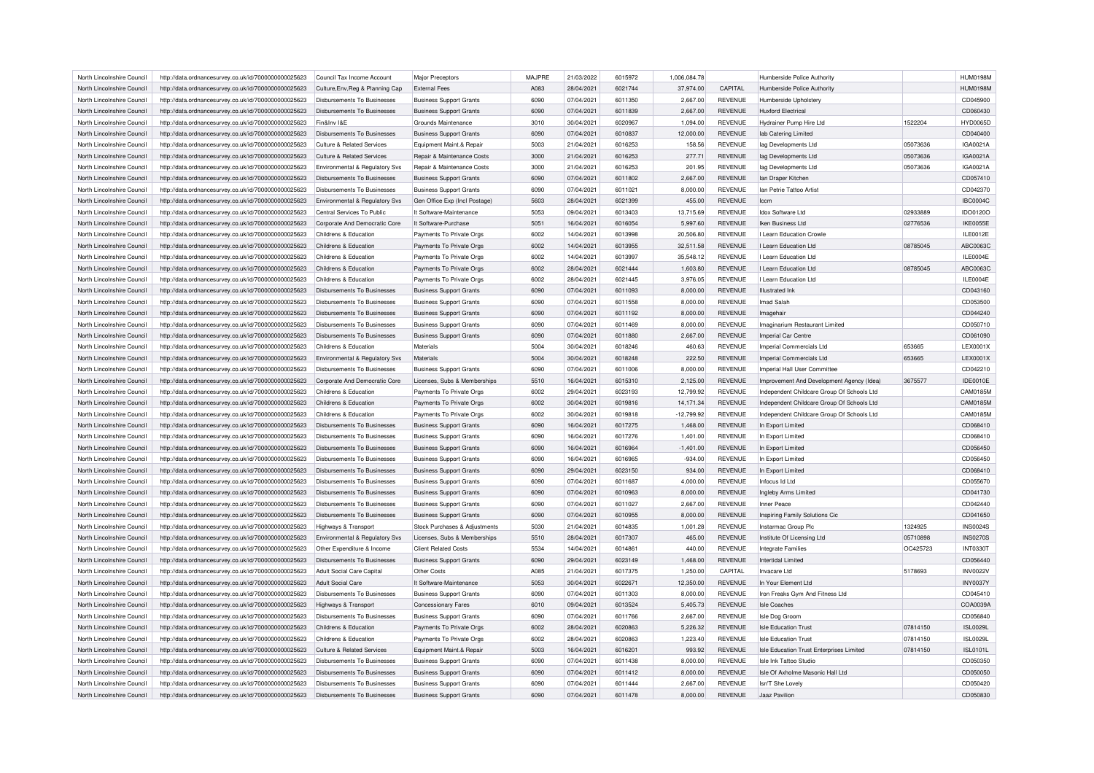| North Lincolnshire Council | http://data.ordnancesurvey.co.uk/id/7000000000025623 | Council Tax Income Account                             | Major Preceptors               | <b>MAJPRE</b> | 21/03/2022 | 6015972           | 1,006,084.78 |                    | <b>Humberside Police Authority</b>         |          | <b>HUM0198M</b> |
|----------------------------|------------------------------------------------------|--------------------------------------------------------|--------------------------------|---------------|------------|-------------------|--------------|--------------------|--------------------------------------------|----------|-----------------|
| North Lincolnshire Council | http://data.ordnancesurvey.co.uk/id/7000000000025623 | Culture, Env, Reg & Planning Cap                       | <b>External Fees</b>           | A083          | 28/04/2021 | 6021744           | 37,974.00    | CAPITAL            | Humberside Police Authority                |          | <b>HUM0198M</b> |
| North Lincolnshire Council | http://data.ordnancesurvey.co.uk/id/7000000000025623 | Disbursements To Businesses                            | <b>Business Support Grants</b> | 6090          | 07/04/2021 | 6011350           | 2,667.00     | <b>REVENUE</b>     | Humberside Upholstery                      |          | CD045900        |
| North Lincolnshire Council | http://data.ordnancesurvey.co.uk/id/7000000000025623 | Disbursements To Businesses                            | <b>Business Support Grants</b> | 6090          | 07/04/2021 | 6011839           | 2,667.00     | <b>REVENUE</b>     | <b>Huxford Electrica</b>                   |          | CD060430        |
| North Lincolnshire Council | http://data.ordnancesurvey.co.uk/id/7000000000025623 | Fin&Inv I&F                                            | Grounds Maintenance            | 3010          | 30/04/2021 | 6020967           | 1,094.00     | <b>REVENUE</b>     | Hydrainer Pump Hire Ltd                    | 1522204  | <b>HYD0065D</b> |
| North Lincolnshire Council | http://data.ordnancesurvey.co.uk/id/7000000000025623 | Disbursements To Businesses                            | <b>Business Support Grants</b> | 6090          | 07/04/2021 | 6010837           | 12,000.00    | <b>REVENUE</b>     | lab Catering Limited                       |          | CD040400        |
| North Lincolnshire Council | http://data.ordnancesurvey.co.uk/id/7000000000025623 | Culture & Related Services                             | Equipment Maint.& Repair       | 5003          | 21/04/2021 | 6016253           | 158.56       | <b>REVENUE</b>     | lag Developments Ltd                       | 05073636 | IGA0021A        |
| North Lincolnshire Council | http://data.ordnancesurvey.co.uk/id/7000000000025623 | Culture & Related Services                             | Repair & Maintenance Costs     | 3000          | 21/04/2021 | 6016253           | 277.71       | <b>REVENUE</b>     | lag Developments Ltd                       | 05073636 | IGA0021A        |
| North Lincolnshire Council | http://data.ordnancesurvey.co.uk/id/7000000000025623 | Environmental & Regulatory Svs                         | Repair & Maintenance Costs     | 3000          | 21/04/2021 | 6016253           | 201.95       | <b>REVENUE</b>     | lag Developments Ltd                       | 05073636 | IGA0021A        |
| North Lincolnshire Council | http://data.ordnancesurvey.co.uk/id/7000000000025623 | Disbursements To Businesses                            | <b>Business Support Grants</b> | 6090          | 07/04/2021 | 6011802           | 2,667.00     | <b>REVENUE</b>     | Ian Draper Kitchen                         |          | CD057410        |
| North Lincolnshire Council | http://data.ordnancesurvey.co.uk/id/7000000000025623 | Disbursements To Businesses                            | <b>Business Support Grants</b> | 6090          | 07/04/2021 | 6011021           | 8,000.00     | <b>REVENUE</b>     | Ian Petrie Tattoo Artist                   |          | CD042370        |
|                            |                                                      |                                                        |                                |               |            |                   |              |                    |                                            |          |                 |
| North Lincolnshire Council | http://data.ordnancesurvey.co.uk/id/7000000000025623 | Environmental & Regulatory Svs                         | Gen Office Exp (Incl Postage)  | 5603          | 28/04/2021 | 6021399           | 455.00       | <b>REVENUE</b>     | Iccm                                       |          | <b>IBC0004C</b> |
| North Lincolnshire Council | http://data.ordnancesurvey.co.uk/id/7000000000025623 | Central Services To Public                             | It Software-Maintenance        | 5053          | 09/04/2021 | 6013403           | 13,715.69    | <b>REVENUE</b>     | <b>Idox Software Ltd</b>                   | 02933889 | IDO0120O        |
| North Lincolnshire Council | http://data.ordnancesurvey.co.uk/id/7000000000025623 | Corporate And Democratic Core                          | It Software-Purchase           | 5051          | 16/04/2021 | 6016054           | 5,997.60     | <b>REVENUE</b>     | Iken Business I td                         | 02776536 | <b>IKE0055E</b> |
| North Lincolnshire Council | http://data.ordnancesurvey.co.uk/id/7000000000025623 | Childrens & Education                                  | Payments To Private Orgs       | 6002          | 14/04/2021 | 6013998           | 20,506.80    | <b>REVENUE</b>     | I Learn Education Crowle                   |          | ILE0012E        |
| North Lincolnshire Council | http://data.ordnancesurvey.co.uk/id/7000000000025623 | Childrens & Education                                  | Payments To Private Orgs       | 6002          | 14/04/2021 | 6013955           | 32,511.58    | <b>REVENUE</b>     | I Learn Education Ltd                      | 08785045 | ABC0063C        |
| North Lincolnshire Council | http://data.ordnancesurvey.co.uk/id/7000000000025623 | Childrens & Education                                  | Payments To Private Orgs       | 6002          | 14/04/2021 | 6013997           | 35,548.12    | <b>REVENUE</b>     | I Learn Education Ltd                      |          | ILE0004E        |
| North Lincolnshire Council | http://data.ordnancesurvey.co.uk/id/7000000000025623 | Childrens & Education                                  | Payments To Private Orgs       | 6002          | 28/04/2021 | 6021444           | 1,603.80     | REVENUE            | I Learn Education Ltd                      | 08785045 | ABC0063C        |
| North Lincolnshire Council | http://data.ordnancesurvey.co.uk/id/7000000000025623 | Childrens & Education                                  | Payments To Private Orgs       | 6002          | 28/04/2021 | 6021445           | 3,976.05     | <b>REVENUE</b>     | Learn Education Ltd                        |          | ILE0004E        |
| North Lincolnshire Council | http://data.ordnancesurvey.co.uk/id/7000000000025623 | Disbursements To Businesses                            | <b>Business Support Grants</b> | 6090          | 07/04/2021 | 6011093           | 8,000.00     | REVENUE            | <b>Illustrated</b> Ink                     |          | CD043160        |
| North Lincolnshire Council | http://data.ordnancesurvey.co.uk/id/7000000000025623 | Disbursements To Businesses                            | <b>Business Support Grants</b> | 6090          | 07/04/2021 | 6011558           | 8,000.00     | <b>REVENUE</b>     | Imad Salah                                 |          | CD053500        |
| North Lincolnshire Council | http://data.ordnancesurvey.co.uk/id/7000000000025623 | <b>Disbursements To Businesses</b>                     | <b>Business Support Grants</b> | 6090          | 07/04/2021 | 6011192           | 8,000.00     | REVENUE            | Imagehai                                   |          | CD044240        |
| North Lincolnshire Council | http://data.ordnancesurvey.co.uk/id/7000000000025623 | <b>Disbursements To Businesses</b>                     | <b>Business Support Grants</b> | 6090          | 07/04/2021 | 6011469           | 8,000.00     | <b>REVENUE</b>     | Imaginarium Restaurant Limited             |          | CD050710        |
| North Lincolnshire Council | http://data.ordnancesurvey.co.uk/id/7000000000025623 | Disbursements To Businesses                            | <b>Business Support Grants</b> | 6090          | 07/04/2021 | 6011880           | 2,667.00     | REVENUE            | Imperial Car Centre                        |          | CD061090        |
| North Lincolnshire Council | http://data.ordnancesurvey.co.uk/id/7000000000025623 | Childrens & Education                                  | Materials                      | 5004          | 30/04/2021 | 6018246           | 460.63       | <b>REVENUE</b>     | Imperial Commercials Ltd                   | 653665   | <b>LEX0001X</b> |
| North Lincolnshire Council | http://data.ordnancesurvey.co.uk/id/7000000000025623 | Environmental & Regulatory Svs                         | Materials                      | 5004          | 30/04/2021 | 6018248           | 222.50       | REVENUE            | Imperial Commercials Ltd                   | 653665   | LEX0001X        |
| North Lincolnshire Council | http://data.ordnancesurvey.co.uk/id/7000000000025623 | Disbursements To Businesses                            | <b>Business Support Grants</b> | 6090          | 07/04/2021 | 6011006           | 8,000.00     | <b>REVENUE</b>     | Imperial Hall User Committee               |          | CD042210        |
| North Lincolnshire Council | http://data.ordnancesurvey.co.uk/id/7000000000025623 | Corporate And Democratic Core                          | Licenses, Subs & Memberships   | 5510          | 16/04/2021 | 6015310           | 2,125.00     | REVENUE            | Improvement And Development Agency (Idea)  | 3675577  | <b>IDE0010E</b> |
| North Lincolnshire Council | http://data.ordnancesurvey.co.uk/id/7000000000025623 | Childrens & Education                                  | Payments To Private Orgs       | 6002          | 29/04/2021 | 6023193           | 12,799.92    | <b>REVENUE</b>     | Independent Childcare Group Of Schools Ltd |          | CAM0185M        |
| North Lincolnshire Council | http://data.ordnancesurvey.co.uk/id/7000000000025623 | Childrens & Education                                  | Payments To Private Orgs       | 6002          | 30/04/2021 | 6019816           | 14,171.34    | REVENUE            | Independent Childcare Group Of Schools Ltd |          | CAM0185M        |
| North Lincolnshire Council | http://data.ordnancesurvey.co.uk/id/7000000000025623 | Childrens & Education                                  | Payments To Private Orgs       | 6002          | 30/04/2021 | 6019818           | $-12,799.92$ | <b>REVENUE</b>     | Independent Childcare Group Of Schools Ltd |          | CAM0185M        |
| North Lincolnshire Council | http://data.ordnancesurvey.co.uk/id/7000000000025623 | Disbursements To Businesses                            | <b>Business Support Grants</b> | 6090          | 16/04/2021 | 6017275           | 1,468.00     | <b>REVENUE</b>     | In Export Limited                          |          | CD068410        |
| North Lincolnshire Council | http://data.ordnancesurvey.co.uk/id/7000000000025623 | Disbursements To Businesses                            | <b>Business Support Grants</b> | 6090          | 16/04/2021 | 6017276           | 1,401.00     | <b>REVENUE</b>     | In Export Limited                          |          | CD068410        |
| North Lincolnshire Council | http://data.ordnancesurvey.co.uk/id/7000000000025623 | Disbursements To Businesses                            | <b>Business Support Grants</b> | 6090          | 16/04/2021 | 6016964           | $-1,401.00$  | REVENUE            | In Export Limited                          |          | CD056450        |
| North Lincolnshire Council | http://data.ordnancesurvey.co.uk/id/7000000000025623 | Disbursements To Businesses                            | <b>Business Support Grants</b> | 6090          | 16/04/2021 | 6016965           | $-934.00$    | <b>REVENUE</b>     | In Export Limited                          |          | CD056450        |
| North Lincolnshire Council | http://data.ordnancesurvey.co.uk/id/7000000000025623 | Disbursements To Businesses                            | <b>Business Support Grants</b> | 6090          | 29/04/2021 | 6023150           | 934.00       | REVENUE            | In Export Limited                          |          | CD068410        |
| North Lincolnshire Council | http://data.ordnancesurvey.co.uk/id/7000000000025623 | <b>Disbursements To Businesses</b>                     | <b>Business Support Grants</b> | 6090          | 07/04/2021 | 6011687           | 4,000.00     | <b>REVENUE</b>     | Infocus Id Ltd                             |          | CD055670        |
| North Lincolnshire Council | http://data.ordnancesurvey.co.uk/id/7000000000025623 | Disbursements To Businesses                            | <b>Business Support Grants</b> | 6090          | 07/04/2021 | 6010963           | 8,000.00     | <b>REVENUE</b>     | Ingleby Arms Limited                       |          | CD041730        |
| North Lincolnshire Council | http://data.ordnancesurvey.co.uk/id/7000000000025623 | <b>Disbursements To Businesses</b>                     | <b>Business Support Grants</b> | 6090          | 07/04/2021 | 6011027           | 2,667.00     | <b>REVENUE</b>     | <b>Inner Peace</b>                         |          | CD042440        |
| North Lincolnshire Council | http://data.ordnancesurvey.co.uk/id/7000000000025623 | <b>Disbursements To Businesses</b>                     | <b>Business Support Grants</b> | 6090          | 07/04/2021 | 6010955           | 8,000.00     | REVENUE            | Inspiring Family Solutions Cic             |          | CD041650        |
| North Lincolnshire Council | http://data.ordnancesurvey.co.uk/id/7000000000025623 |                                                        | Stock Purchases & Adjustments  | 5030          | 21/04/2021 | 6014835           | 1,001.28     | <b>REVENUE</b>     | Instarmac Group Plc                        | 1324925  | <b>INS0024S</b> |
| North Lincolnshire Council | http://data.ordnancesurvey.co.uk/id/7000000000025623 | Highways & Transport<br>Environmental & Regulatory Svs | Licenses, Subs & Memberships   | 5510          | 28/04/2021 | 6017307           | 465.00       | REVENUE            | Institute Of Licensing Ltd                 | 05710898 | <b>INS0270S</b> |
| North Lincolnshire Council | http://data.ordnancesurvey.co.uk/id/7000000000025623 | Other Expenditure & Income                             | <b>Client Related Costs</b>    | 5534          | 14/04/2021 | 6014861           | 440.00       | REVENUE            | <b>Integrate Families</b>                  | OC425723 | <b>INT0330T</b> |
|                            |                                                      |                                                        |                                |               |            |                   |              |                    |                                            |          |                 |
| North Lincolnshire Council | http://data.ordnancesurvey.co.uk/id/7000000000025623 | Disbursements To Businesses                            | <b>Business Support Grants</b> | 6090<br>A085  | 29/04/2021 | 6023149           | 1,468.00     | REVENUE<br>CAPITAL | Intertidal Limited                         |          | CD056440        |
| North Lincolnshire Council | http://data.ordnancesurvey.co.uk/id/7000000000025623 | Adult Social Care Capital                              | Other Costs                    | 5053          | 21/04/2021 | 6017375<br>602267 | 1,250.00     |                    | Invacare Ltd                               | 5178693  | <b>INV0022V</b> |
| North Lincolnshire Council | http://data.ordnancesurvey.co.uk/id/7000000000025623 | <b>Adult Social Care</b>                               | It Software-Maintenance        |               | 30/04/2021 |                   | 12,350.00    | REVENUE            | In Your Element Ltd                        |          | <b>INY0037Y</b> |
| North Lincolnshire Council | http://data.ordnancesurvey.co.uk/id/7000000000025623 | <b>Disbursements To Businesses</b>                     | <b>Business Support Grants</b> | 6090          | 07/04/2021 | 6011303           | 8,000.00     | <b>REVENUE</b>     | Iron Freaks Gym And Fitness Ltd            |          | CD045410        |
| North Lincolnshire Council | http://data.ordnancesurvey.co.uk/id/7000000000025623 | Highways & Transport                                   | <b>Concessionary Fares</b>     | 6010          | 09/04/2021 | 6013524           | 5,405.73     | REVENUE            | <b>Isle Coaches</b>                        |          | COA0039A        |
| North Lincolnshire Council | http://data.ordnancesurvey.co.uk/id/7000000000025623 | <b>Disbursements To Businesses</b>                     | <b>Business Support Grants</b> | 6090          | 07/04/2021 | 6011766           | 2,667.00     | REVENUE            | Isle Dog Groom                             |          | CD056840        |
| North Lincolnshire Council | http://data.ordnancesurvey.co.uk/id/7000000000025623 | Childrens & Education                                  | Payments To Private Orgs       | 6002          | 28/04/2021 | 6020863           | 5,226.32     | <b>REVENUE</b>     | <b>Isle Education Trust</b>                | 07814150 | <b>ISL0029L</b> |
| North Lincolnshire Council | http://data.ordnancesurvey.co.uk/id/7000000000025623 | Childrens & Education                                  | Payments To Private Orgs       | 6002          | 28/04/2021 | 6020863           | 1,223.40     | <b>REVENUE</b>     | <b>Isle Education Trust</b>                | 07814150 | <b>ISL0029L</b> |
| North Lincolnshire Council | http://data.ordnancesurvey.co.uk/id/7000000000025623 | <b>Culture &amp; Related Services</b>                  | Equipment Maint.& Repair       | 5003          | 16/04/2021 | 6016201           | 993.92       | REVENUE            | Isle Education Trust Enterprises Limited   | 07814150 | <b>ISL0101L</b> |
| North Lincolnshire Council | http://data.ordnancesurvey.co.uk/id/7000000000025623 | Disbursements To Businesses                            | <b>Business Support Grants</b> | 6090          | 07/04/2021 | 6011438           | 8,000.00     | <b>REVENUE</b>     | Isle Ink Tattoo Studio                     |          | CD050350        |
| North Lincolnshire Council | http://data.ordnancesurvey.co.uk/id/7000000000025623 | Disbursements To Businesses                            | <b>Business Support Grants</b> | 6090          | 07/04/2021 | 6011412           | 8,000.00     | REVENUE            | Isle Of Axholme Masonic Hall Ltd           |          | CD050050        |
| North Lincolnshire Council | http://data.ordnancesurvey.co.uk/id/7000000000025623 | Disbursements To Businesses                            | <b>Business Support Grants</b> | 6090          | 07/04/2021 | 6011444           | 2.667.00     | <b>REVENUE</b>     | Isn'T She Lovely                           |          | CD050420        |
| North Lincolnshire Council | http://data.ordnancesurvey.co.uk/id/7000000000025623 | Disbursements To Businesses                            | <b>Business Support Grants</b> | 6090          | 07/04/2021 | 6011478           | 8.000.00     | <b>REVENUE</b>     | Jaaz Pavilion                              |          | CD050830        |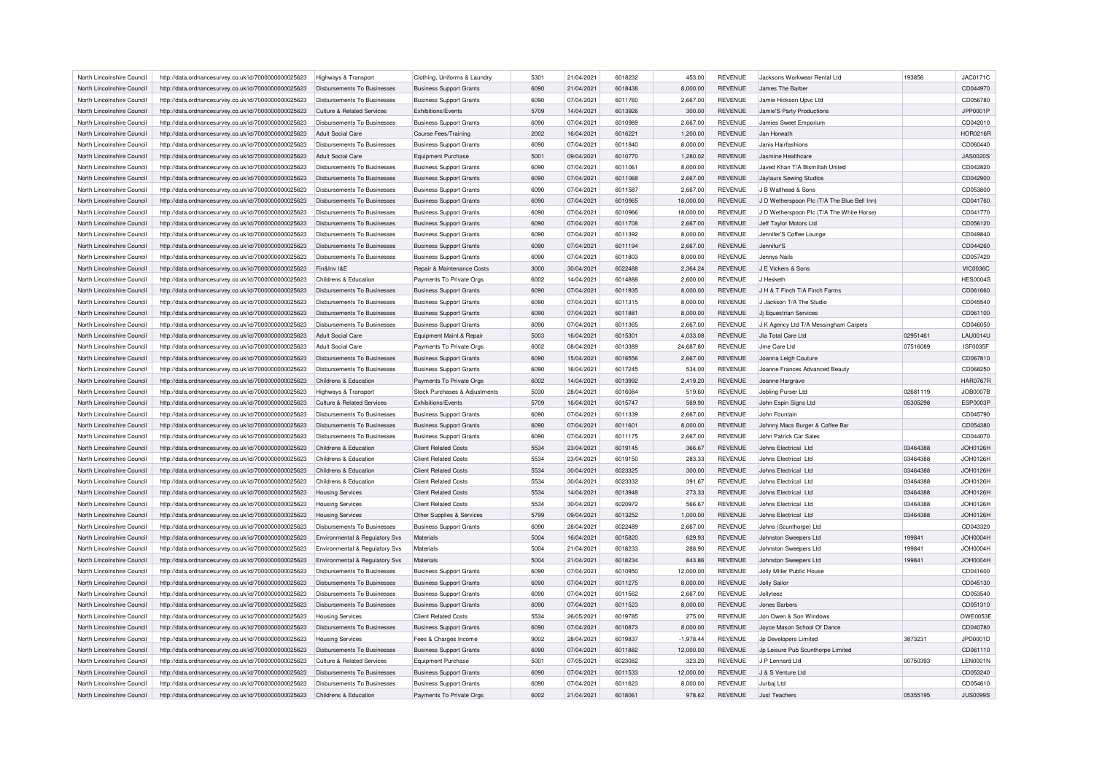| North Lincolnshire Council                               | http://data.ordnancesurvey.co.uk/id/7000000000025623                                                         | Highways & Transport                                        | Clothing, Uniforms & Laundry                               | 5301         | 21/04/2021               | 6018232            | 453.00             | <b>REVENUE</b>                   | Jacksons Workwear Rental Ltd                | 193856   | <b>JAC0171C</b>             |
|----------------------------------------------------------|--------------------------------------------------------------------------------------------------------------|-------------------------------------------------------------|------------------------------------------------------------|--------------|--------------------------|--------------------|--------------------|----------------------------------|---------------------------------------------|----------|-----------------------------|
| North Lincolnshire Council                               | http://data.ordnancesurvey.co.uk/id/7000000000025623                                                         | Disbursements To Businesses                                 | <b>Business Support Grants</b>                             | 6090         | 21/04/2021               | 6018438            | 8,000.00           | <b>REVENUE</b>                   | James The Barber                            |          | CD044970                    |
| North Lincolnshire Council                               | http://data.ordnancesurvey.co.uk/id/7000000000025623                                                         | Disbursements To Businesses                                 | <b>Business Support Grants</b>                             | 6090         | 07/04/2021               | 6011760            | 2,667.00           | <b>REVENUE</b>                   | Jamie Hickson Upvc Ltd                      |          | CD056780                    |
| North Lincolnshire Council                               | http://data.ordnancesurvey.co.uk/id/7000000000025623                                                         | <b>Culture &amp; Related Services</b>                       | Exhibitions/Events                                         | 5709         | 14/04/2021               | 6013926            | 300.00             | <b>REVENUE</b>                   | Jamie'S Party Productions                   |          | JPP0001P                    |
| North Lincolnshire Council                               | http://data.ordnancesurvey.co.uk/id/7000000000025623                                                         | Disbursements To Businesses                                 | <b>Business Support Grants</b>                             | 6090         | 07/04/2021               | 6010989            | 2,667.00           | <b>REVENUE</b>                   | Jamies Sweet Emporium                       |          | CD042010                    |
| North Lincolnshire Council                               | http://data.ordnancesurvey.co.uk/id/7000000000025623                                                         | Adult Social Care                                           | Course Fees/Training                                       | 2002         | 16/04/2021               | 6016221            | 1,200.00           | <b>REVENUE</b>                   | Jan Horwath                                 |          | <b>HOR0216F</b>             |
| North Lincolnshire Council                               | http://data.ordnancesurvey.co.uk/id/7000000000025623                                                         | Disbursements To Businesses                                 | <b>Business Support Grants</b>                             | 6090         | 07/04/2021               | 6011840            | 8,000.00           | <b>REVENUE</b>                   | Janis Hairfashions                          |          | CD060440                    |
| North Lincolnshire Council                               | http://data.ordnancesurvey.co.uk/id/7000000000025623                                                         | <b>Adult Social Care</b>                                    | <b>Equipment Purchase</b>                                  | 5001         | 09/04/2021               | 6010770            | 1,280.02           | <b>REVENUE</b>                   | Jasmine Healthcare                          |          | <b>JAS0020S</b>             |
| North Lincolnshire Council                               | http://data.ordnancesurvey.co.uk/id/7000000000025623                                                         | Disbursements To Businesses                                 | <b>Business Support Grants</b>                             | 6090         | 07/04/2021               | 6011061            | 8,000.00           | <b>REVENUE</b>                   | Javed Khan T/A Bismillah United             |          | CD042820                    |
| North Lincolnshire Council                               | http://data.ordnancesurvey.co.uk/id/7000000000025623                                                         | Disbursements To Businesses                                 | <b>Business Support Grants</b>                             | 6090         | 07/04/2021               | 6011068            | 2,667.00           | <b>REVENUE</b>                   | Jaylaurs Sewing Studios                     |          | CD042900                    |
| North Lincolnshire Council                               | http://data.ordnancesurvey.co.uk/id/7000000000025623                                                         | Disbursements To Businesses                                 | <b>Business Support Grants</b>                             | 6090         | 07/04/2021               | 6011587            | 2,667.00           | <b>REVENUE</b>                   | J B Wallhead & Sons                         |          | CD053800                    |
| North Lincolnshire Council                               | http://data.ordnancesurvey.co.uk/id/7000000000025623                                                         | Disbursements To Businesses                                 | <b>Business Support Grants</b>                             | 6090         | 07/04/2021               | 6010965            | 18,000.00          | <b>REVENUE</b>                   | J D Wetherspoon Plc (T/A The Blue Bell Inn) |          | CD041760                    |
| North Lincolnshire Council                               | http://data.ordnancesurvey.co.uk/id/7000000000025623                                                         | Disbursements To Businesses                                 | <b>Business Support Grants</b>                             | 6090         | 07/04/2021               | 6010966            | 18,000.00          | <b>REVENUE</b>                   | J D Wetherspoon Plc (T/A The White Horse)   |          | CD041770                    |
| North Lincolnshire Council                               |                                                                                                              | Disbursements To Businesses                                 |                                                            | 6090         |                          | 6011708            |                    | <b>REVENUE</b>                   |                                             |          |                             |
|                                                          | http://data.ordnancesurvey.co.uk/id/7000000000025623                                                         |                                                             | <b>Business Support Grants</b>                             |              | 07/04/2021               |                    | 2,667.00           |                                  | Jeff Taylor Motors Ltd                      |          | CD056120                    |
| North Lincolnshire Council                               | http://data.ordnancesurvey.co.uk/id/7000000000025623                                                         | Disbursements To Businesses                                 | <b>Business Support Grants</b>                             | 6090         | 07/04/2021               | 6011392            | 8,000.00           | <b>REVENUE</b>                   | Jennifer'S Coffee Lounge                    |          | CD049840                    |
| North Lincolnshire Council                               | http://data.ordnancesurvey.co.uk/id/7000000000025623                                                         | Disbursements To Businesses                                 | <b>Business Support Grants</b>                             | 6090         | 07/04/2021               | 6011194            | 2,667.00           | <b>REVENUE</b>                   | Jennifur'S                                  |          | CD044260                    |
| North Lincolnshire Council                               | http://data.ordnancesurvey.co.uk/id/7000000000025623                                                         | <b>Disbursements To Businesses</b>                          | <b>Business Support Grants</b>                             | 6090         | 07/04/2021               | 6011803            | 8,000.00           | <b>REVENUE</b>                   | Jennys Nails                                |          | CD057420                    |
| North Lincolnshire Council                               | http://data.ordnancesurvey.co.uk/id/7000000000025623                                                         | Fin&Inv I&E                                                 | Repair & Maintenance Costs                                 | 3000         | 30/04/2021               | 6022488            | 2,364.24           | <b>REVENUE</b>                   | J E Vickers & Sons                          |          | <b>VIC0036C</b>             |
| North Lincolnshire Council                               | http://data.ordnancesurvey.co.uk/id/7000000000025623                                                         | Childrens & Education                                       | Payments To Private Orgs                                   | 6002         | 14/04/2021               | 6014888            | 2,600.00           | <b>REVENUE</b>                   | J Hesketh                                   |          | <b>HES0004S</b>             |
| North Lincolnshire Council                               | http://data.ordnancesurvey.co.uk/id/7000000000025623                                                         | <b>Disbursements To Businesses</b>                          | <b>Business Support Grants</b>                             | 6090         | 07/04/2021               | 6011935            | 8,000.00           | <b>REVENUE</b>                   | J H & T Finch T/A Finch Farms               |          | CD061660                    |
| North Lincolnshire Council                               | http://data.ordnancesurvey.co.uk/id/7000000000025623                                                         | Disbursements To Businesses                                 | <b>Business Support Grants</b>                             | 6090         | 07/04/2021               | 6011315            | 8,000.00           | <b>REVENUE</b>                   | J Jackson T/A The Studio                    |          | CD045540                    |
| North Lincolnshire Council                               | http://data.ordnancesurvey.co.uk/id/7000000000025623                                                         | <b>Disbursements To Businesses</b>                          | <b>Business Support Grants</b>                             | 6090         | 07/04/2021               | 6011881            | 8,000.00           | <b>REVENUE</b>                   | Ji Equestrian Services                      |          | CD061100                    |
| North Lincolnshire Council                               | http://data.ordnancesurvey.co.uk/id/7000000000025623                                                         | Disbursements To Businesses                                 | <b>Business Support Grants</b>                             | 6090         | 07/04/2021               | 6011365            | 2,667.00           | <b>REVENUE</b>                   | J K Agency Ltd T/A Messingham Carpets       |          | CD046050                    |
| North Lincolnshire Council                               | http://data.ordnancesurvey.co.uk/id/7000000000025623                                                         | Adult Social Care                                           | Equipment Maint.& Repair                                   | 5003         | 16/04/2021               | 6015301            | 4,033.08           | <b>REVENUE</b>                   | Jla Total Care Ltd                          | 02951461 | <b>LAU0014U</b>             |
| North Lincolnshire Council                               | http://data.ordnancesurvey.co.uk/id/7000000000025623                                                         | Adult Social Care                                           | Payments To Private Orgs                                   | 6002         | 08/04/2021               | 6013389            | 24,687.80          | <b>REVENUE</b>                   | Jme Care Ltd                                | 07516089 | <b>ISF0035F</b>             |
| North Lincolnshire Council                               | http://data.ordnancesurvey.co.uk/id/7000000000025623                                                         | <b>Disbursements To Businesses</b>                          | <b>Business Support Grants</b>                             | 6090         | 15/04/2021               | 6016556            | 2,667.00           | <b>REVENUE</b>                   | Joanna Leigh Couture                        |          | CD067810                    |
| North Lincolnshire Council                               | http://data.ordnancesurvey.co.uk/id/7000000000025623                                                         | Disbursements To Businesses                                 | <b>Business Support Grants</b>                             | 6090         | 16/04/2021               | 6017245            | 534.00             | <b>REVENUE</b>                   | Joanne Frances Advanced Beauty              |          | CD068250                    |
| North Lincolnshire Council                               | http://data.ordnancesurvey.co.uk/id/7000000000025623                                                         | Childrens & Education                                       | Payments To Private Orgs                                   | 6002         | 14/04/2021               | 6013992            | 2,419.20           | <b>REVENUE</b>                   | Joanne Hargrave                             |          | <b>HAR0767R</b>             |
| North Lincolnshire Council                               | http://data.ordnancesurvey.co.uk/id/7000000000025623                                                         | <b>Highways &amp; Transport</b>                             | Stock Purchases & Adjustments                              | 5030         | 28/04/2021               | 6016084            | 519.60             | <b>REVENUE</b>                   | Jobling Purser Ltd                          | 02681119 | <b>JOB0007B</b>             |
| North Lincolnshire Council                               | http://data.ordnancesurvey.co.uk/id/7000000000025623                                                         | Culture & Related Services                                  | <b>Exhibitions/Fvents</b>                                  | 5709         | 16/04/2021               | 6015747            | 569.90             | <b>REVENUE</b>                   | John Espin Signs Ltd                        | 05305298 | ESP0003P                    |
| North Lincolnshire Council                               | http://data.ordnancesurvey.co.uk/id/7000000000025623                                                         | Disbursements To Businesses                                 | <b>Business Support Grants</b>                             | 6090         | 07/04/2021               | 6011339            | 2,667.00           | <b>REVENUE</b>                   | John Fountain                               |          | CD045790                    |
| North Lincolnshire Council                               | http://data.ordnancesurvey.co.uk/id/7000000000025623                                                         | <b>Disbursements To Businesses</b>                          | <b>Business Support Grants</b>                             | 6090         | 07/04/2021               | 6011601            | 8,000.00           | <b>REVENUE</b>                   | Johnny Macs Burger & Coffee Bar             |          | CD054380                    |
| North Lincolnshire Council                               | http://data.ordnancesurvey.co.uk/id/7000000000025623                                                         | Disbursements To Businesses                                 | <b>Business Support Grants</b>                             | 6090         | 07/04/2021               | 6011175            | 2.667.00           | <b>REVENUE</b>                   | John Patrick Car Sales                      |          | CD044070                    |
|                                                          |                                                                                                              |                                                             |                                                            | 5534         |                          | 6019145            |                    |                                  |                                             | 03464388 | <b>JOH0126H</b>             |
| North Lincolnshire Council                               | http://data.ordnancesurvey.co.uk/id/7000000000025623                                                         | Childrens & Education                                       | <b>Client Related Costs</b>                                |              | 23/04/2021               |                    | 366.67             | <b>REVENUE</b>                   | Johns Electrical Ltd                        |          |                             |
| North Lincolnshire Council                               | http://data.ordnancesurvey.co.uk/id/7000000000025623                                                         | Childrens & Education                                       | <b>Client Related Costs</b>                                | 5534         | 23/04/2021               | 6019150            | 283.33             | <b>REVENUE</b>                   | Johns Electrical Ltd                        | 03464388 | JOH0126H                    |
| North Lincolnshire Council                               | http://data.ordnancesurvey.co.uk/id/7000000000025623                                                         | Childrens & Education                                       | <b>Client Related Costs</b>                                | 5534         | 30/04/2021               | 6023325            | 300.00             | <b>REVENUE</b>                   | Johns Electrical Ltd                        | 03464388 | JOH0126H                    |
| North Lincolnshire Council                               | http://data.ordnancesurvey.co.uk/id/7000000000025623                                                         | Childrens & Education                                       | <b>Client Related Costs</b>                                | 5534         | 30/04/2021               | 6023332            | 391.67             | <b>REVENUE</b>                   | Johns Electrical Ltd                        | 03464388 | <b>JOH0126H</b>             |
| North Lincolnshire Council                               | http://data.ordnancesurvey.co.uk/id/7000000000025623                                                         | <b>Housing Services</b>                                     | <b>Client Related Costs</b>                                | 5534         | 14/04/2021               | 6013948            | 273.33             | <b>REVENUE</b>                   | Johns Electrical Ltd                        | 03464388 | <b>JOH0126H</b>             |
| North Lincolnshire Council                               | http://data.ordnancesurvey.co.uk/id/7000000000025623                                                         | <b>Housing Services</b>                                     | <b>Client Related Costs</b>                                | 5534         | 30/04/2021               | 6020972            | 566.67             | <b>REVENUE</b>                   | Johns Electrical Ltd                        | 03464388 | <b>JOH0126H</b>             |
| North Lincolnshire Council                               | http://data.ordnancesurvey.co.uk/id/7000000000025623                                                         | <b>Housing Services</b>                                     | Other Supplies & Services                                  | 5799         | 09/04/2021               | 6013252            | 1,000.00           | <b>REVENUE</b>                   | Johns Electrical Ltd                        | 03464388 | JOH0126H                    |
| North Lincolnshire Council                               | http://data.ordnancesurvey.co.uk/id/7000000000025623                                                         | Disbursements To Businesses                                 | <b>Business Support Grants</b>                             | 6090         | 28/04/2021               | 6022489            | 2,667.00           | <b>REVENUE</b>                   | Johns (Scunthorpe) Ltd                      |          | CD043320                    |
| North Lincolnshire Council                               | http://data.ordnancesurvey.co.uk/id/7000000000025623                                                         | Environmental & Regulatory Svs                              | Materials                                                  | 5004         | 16/04/2021               | 6015820            | 629.93             | <b>REVENUE</b>                   | Johnston Sweepers Ltd                       | 199841   | JOH0004H                    |
| North Lincolnshire Council                               | http://data.ordnancesurvey.co.uk/id/7000000000025623                                                         | Environmental & Regulatory Svs                              | Materials                                                  | 5004         | 21/04/2021               | 6018233            | 288.90             | REVENUE                          | Johnston Sweepers Ltd                       | 199841   | JOH0004H                    |
| North Lincolnshire Council                               | http://data.ordnancesurvey.co.uk/id/7000000000025623                                                         | Environmental & Regulatory Svs                              | Materials                                                  | 5004         | 21/04/2021               | 6018234            | 843.86             | <b>REVENUE</b>                   | Johnston Sweepers Ltd                       | 199841   | <b>JOH0004H</b>             |
| North Lincolnshire Council                               | http://data.ordnancesurvey.co.uk/id/7000000000025623                                                         | Disbursements To Businesses                                 | <b>Business Support Grants</b>                             | 6090         | 07/04/2021               | 6010950            | 12,000.00          | <b>REVENUE</b>                   | <b>Jolly Miller Public House</b>            |          | CD041600                    |
| North Lincolnshire Council                               | http://data.ordnancesurvey.co.uk/id/7000000000025623                                                         | Disbursements To Businesses                                 | <b>Business Support Grants</b>                             | 6090         | 07/04/2021               | 6011275            | 8,000.00           | REVENUE                          | <b>Jolly Sailor</b>                         |          | CD045130                    |
| North Lincolnshire Council                               | http://data.ordnancesurvey.co.uk/id/7000000000025623                                                         | Disbursements To Businesses                                 | <b>Business Support Grants</b>                             | 6090         | 07/04/2021               | 6011562            | 2,667.00           | <b>REVENUE</b>                   | Jollyteez                                   |          | CD053540                    |
| North Lincolnshire Council                               | http://data.ordnancesurvey.co.uk/id/7000000000025623                                                         | Disbursements To Businesses                                 | <b>Business Support Grants</b>                             | 6090         | 07/04/2021               | 6011523            | 8,000.00           | <b>REVENUE</b>                   | Jones Barbers                               |          | CD051310                    |
| North Lincolnshire Council                               | http://data.ordnancesurvey.co.uk/id/7000000000025623                                                         | <b>Housing Services</b>                                     | <b>Client Related Costs</b>                                | 5534         | 26/05/2021               | 6019785            | 275.00             | REVENUE                          | Jon Owen & Son Windows                      |          | OWE0053E                    |
| North Lincolnshire Council                               | http://data.ordnancesurvey.co.uk/id/7000000000025623                                                         | <b>Disbursements To Businesses</b>                          | <b>Business Support Grants</b>                             | 6090         | 07/04/2021               | 6010873            | 8,000.00           | <b>REVENUE</b>                   | Joyce Mason School Of Dance                 |          | CD040780                    |
| North Lincolnshire Council                               | http://data.ordnancesurvey.co.uk/id/7000000000025623                                                         | <b>Housing Services</b>                                     | Fees & Charges Income                                      | 9002         | 28/04/2021               | 6019837            | $-1.978.44$        | <b>REVENUE</b>                   | Jp Developers Limited                       | 3873231  | JPD0001D                    |
| North Lincolnshire Council                               |                                                                                                              |                                                             |                                                            | 6090         |                          | 6011882            |                    | <b>REVENUE</b>                   |                                             |          | CD061110                    |
|                                                          | http://data.ordnancesurvey.co.uk/id/7000000000025623                                                         | Disbursements To Businesses                                 | <b>Business Support Grants</b>                             |              | 07/04/2021               |                    | 12,000.00          |                                  | Jp Leisure Pub Scunthorpe Limited           |          |                             |
| North Lincolnshire Council                               | http://data.ordnancesurvey.co.uk/id/7000000000025623                                                         | Culture & Related Services                                  | <b>Equipment Purchase</b>                                  | 5001         | 07/05/2021               | 6023082            | 323.20             | <b>REVENUE</b>                   | J P Lennard Ltd                             | 00750393 | <b>LEN0001N</b>             |
| North Lincolnshire Council<br>North Lincolnshire Council | http://data.ordnancesurvey.co.uk/id/7000000000025623                                                         | Disbursements To Businesses                                 | <b>Business Support Grants</b>                             | 6090         | 07/04/2021               | 6011533            | 12.000.00          | <b>REVENUE</b>                   | J & S Venture Ltd                           |          | CD053240                    |
|                                                          |                                                                                                              |                                                             |                                                            |              |                          |                    |                    |                                  |                                             |          |                             |
| North Lincolnshire Council                               | http://data.ordnancesurvey.co.uk/id/7000000000025623<br>http://data.ordnancesurvey.co.uk/id/7000000000025623 | <b>Disbursements To Businesses</b><br>Childrens & Education | <b>Business Support Grants</b><br>Payments To Private Orgs | 6090<br>6002 | 07/04/2021<br>21/04/2021 | 6011623<br>6018061 | 8,000.00<br>978.62 | <b>REVENUE</b><br><b>REVENUE</b> | Jurbaj Ltd<br><b>Just Teachers</b>          | 05355195 | CD054610<br><b>JUS0099S</b> |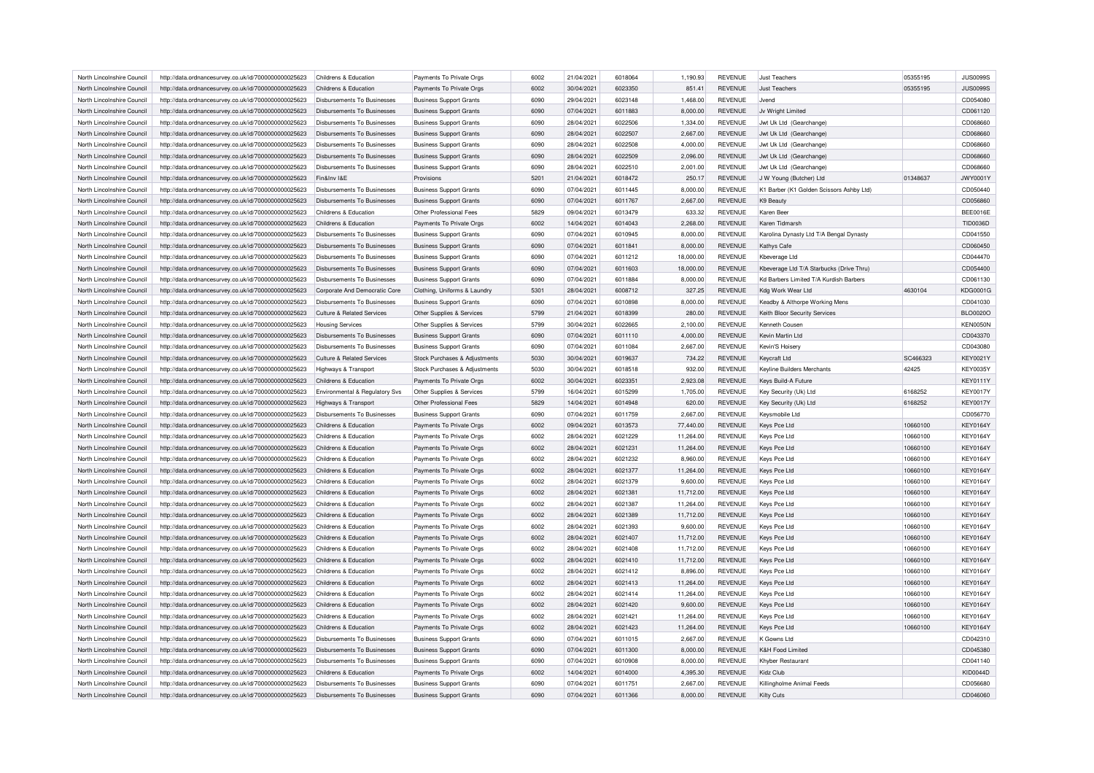| North Lincolnshire Council | http://data.ordnancesurvey.co.uk/id/7000000000025623 | Childrens & Education                 | Payments To Private Orgs       | 6002 | 21/04/2021 | 6018064 | 1,190.93  | <b>REVENUE</b> | <b>Just Teachers</b>                     | 05355195 | <b>JUS0099S</b> |
|----------------------------|------------------------------------------------------|---------------------------------------|--------------------------------|------|------------|---------|-----------|----------------|------------------------------------------|----------|-----------------|
| North Lincolnshire Council | http://data.ordnancesurvey.co.uk/id/7000000000025623 | Childrens & Education                 | Payments To Private Orgs       | 6002 | 30/04/2021 | 6023350 | 851.41    | <b>REVENUE</b> | <b>Just Teachers</b>                     | 05355195 | <b>JUS0099S</b> |
| North Lincolnshire Council | http://data.ordnancesurvey.co.uk/id/7000000000025623 | Disbursements To Businesses           | <b>Business Support Grants</b> | 6090 | 29/04/2021 | 6023148 | 1,468.00  | <b>REVENUE</b> | <b>Jvend</b>                             |          | CD054080        |
| North Lincolnshire Council | http://data.ordnancesurvey.co.uk/id/7000000000025623 | Disbursements To Businesses           | <b>Business Support Grants</b> | 6090 | 07/04/2021 | 6011883 | 8,000.00  | <b>REVENUE</b> | Jv Wright Limited                        |          | CD061120        |
| North Lincolnshire Council | http://data.ordnancesurvey.co.uk/id/7000000000025623 | Disbursements To Businesses           | <b>Business Support Grants</b> | 6090 | 28/04/2021 | 6022506 | 1,334.00  | <b>REVENUE</b> | Jwt Uk Ltd (Gearchange)                  |          | CD068660        |
| North Lincolnshire Council | http://data.ordnancesurvey.co.uk/id/7000000000025623 | <b>Disbursements To Businesses</b>    | <b>Business Support Grants</b> | 6090 | 28/04/2021 | 6022507 | 2,667.00  | <b>REVENUE</b> | Jwt Uk Ltd (Gearchange)                  |          | CD068660        |
| North Lincolnshire Council | http://data.ordnancesurvey.co.uk/id/7000000000025623 | Disbursements To Businesses           | <b>Business Support Grants</b> | 6090 | 28/04/2021 | 6022508 | 4,000.00  | <b>REVENUE</b> | Jwt Uk Ltd (Gearchange)                  |          | CD068660        |
| North Lincolnshire Council | http://data.ordnancesurvey.co.uk/id/7000000000025623 | Disbursements To Businesses           | <b>Business Support Grants</b> | 6090 | 28/04/2021 | 6022509 | 2,096.00  | <b>REVENUE</b> | Jwt Uk Ltd (Gearchange)                  |          | CD068660        |
| North Lincolnshire Council | http://data.ordnancesurvey.co.uk/id/7000000000025623 | Disbursements To Businesses           | <b>Business Support Grants</b> | 6090 | 28/04/2021 | 6022510 | 2,001.00  | <b>REVENUE</b> | Jwt Uk Ltd (Gearchange)                  |          | CD068660        |
| North Lincolnshire Council | http://data.ordnancesurvey.co.uk/id/7000000000025623 | Fin&Inv I&E                           | Provisions                     | 5201 | 21/04/2021 | 6018472 | 250.17    | <b>REVENUE</b> | J W Young (Butcher) Ltd                  | 01348637 | <b>JWY0001Y</b> |
| North Lincolnshire Council | http://data.ordnancesurvey.co.uk/id/7000000000025623 | <b>Disbursements To Businesses</b>    | <b>Business Support Grants</b> | 6090 | 07/04/2021 | 6011445 | 8,000.00  | <b>REVENUE</b> | K1 Barber (K1 Golden Scissors Ashby Ltd) |          | CD050440        |
| North Lincolnshire Council | http://data.ordnancesurvey.co.uk/id/7000000000025623 | Disbursements To Businesses           | <b>Business Support Grants</b> | 6090 | 07/04/2021 | 6011767 | 2,667.00  | <b>REVENUE</b> | K9 Beauty                                |          | CD056860        |
| North Lincolnshire Council | http://data.ordnancesurvey.co.uk/id/7000000000025623 | Childrens & Education                 | Other Professional Fees        | 5829 | 09/04/2021 | 6013479 | 633.32    | <b>REVENUE</b> | Karen Bee                                |          | BEE0016E        |
| North Lincolnshire Council |                                                      | Childrens & Education                 |                                | 6002 |            | 6014043 |           | <b>REVENUE</b> | Karen Tidmarsh                           |          |                 |
|                            | http://data.ordnancesurvey.co.uk/id/7000000000025623 |                                       | Payments To Private Orgs       |      | 14/04/2021 |         | 2,268.00  |                |                                          |          | TID0036D        |
| North Lincolnshire Council | http://data.ordnancesurvey.co.uk/id/7000000000025623 | Disbursements To Businesses           | <b>Business Support Grants</b> | 6090 | 07/04/2021 | 6010945 | 8,000.00  | <b>REVENUE</b> | Karolina Dynasty Ltd T/A Bengal Dynasty  |          | CD041550        |
| North Lincolnshire Council | http://data.ordnancesurvey.co.uk/id/7000000000025623 | <b>Disbursements To Businesses</b>    | <b>Business Support Grants</b> | 6090 | 07/04/2021 | 6011841 | 8,000.00  | <b>REVENUE</b> | Kathys Cafe                              |          | CD060450        |
| North Lincolnshire Council | http://data.ordnancesurvey.co.uk/id/7000000000025623 | Disbursements To Businesses           | <b>Business Support Grants</b> | 6090 | 07/04/2021 | 6011212 | 18,000.00 | <b>REVENUE</b> | Kbeverage Ltd                            |          | CD044470        |
| North Lincolnshire Council | http://data.ordnancesurvey.co.uk/id/7000000000025623 | Disbursements To Businesses           | <b>Business Support Grants</b> | 6090 | 07/04/2021 | 6011603 | 18,000.00 | <b>REVENUE</b> | Kbeverage Ltd T/A Starbucks (Drive Thru) |          | CD054400        |
| North Lincolnshire Council | http://data.ordnancesurvey.co.uk/id/7000000000025623 | Disbursements To Businesses           | <b>Business Support Grants</b> | 6090 | 07/04/2021 | 6011884 | 8,000.00  | <b>REVENUE</b> | Kd Barbers Limited T/A Kurdish Barbers   |          | CD061130        |
| North Lincolnshire Council | http://data.ordnancesurvey.co.uk/id/7000000000025623 | Corporate And Democratic Core         | Clothing, Uniforms & Laundry   | 5301 | 28/04/2021 | 6008712 | 327.25    | <b>REVENUE</b> | Kdg Work Wear Ltd                        | 4630104  | <b>KDG0001G</b> |
| North Lincolnshire Council | http://data.ordnancesurvey.co.uk/id/7000000000025623 | Disbursements To Businesses           | <b>Business Support Grants</b> | 6090 | 07/04/2021 | 6010898 | 8,000.00  | <b>REVENUE</b> | Keadby & Althorpe Working Mens           |          | CD041030        |
| North Lincolnshire Council | http://data.ordnancesurvey.co.uk/id/7000000000025623 | <b>Culture &amp; Related Services</b> | Other Supplies & Services      | 5799 | 21/04/2021 | 6018399 | 280.00    | <b>REVENUE</b> | Keith Bloor Security Services            |          | <b>BLO0020C</b> |
| North Lincolnshire Council | http://data.ordnancesurvey.co.uk/id/7000000000025623 | <b>Housing Services</b>               | Other Supplies & Services      | 5799 | 30/04/2021 | 6022665 | 2,100.00  | <b>REVENUE</b> | Kenneth Cousen                           |          | KEN0050N        |
| North Lincolnshire Council | http://data.ordnancesurvey.co.uk/id/7000000000025623 | <b>Disbursements To Businesses</b>    | <b>Business Support Grants</b> | 6090 | 07/04/2021 | 6011110 | 4,000.00  | <b>REVENUE</b> | Kevin Martin Ltd                         |          | CD043370        |
| North Lincolnshire Council | http://data.ordnancesurvey.co.uk/id/7000000000025623 | Disbursements To Businesses           | <b>Business Support Grants</b> | 6090 | 07/04/2021 | 6011084 | 2,667.00  | REVENUE        | Kevin'S Hoiser                           |          | CD043080        |
| North Lincolnshire Council | http://data.ordnancesurvey.co.uk/id/7000000000025623 | Culture & Related Services            | Stock Purchases & Adjustments  | 5030 | 30/04/2021 | 6019637 | 734.22    | <b>REVENUE</b> | Keycraft Ltd                             | SC466323 | <b>KEY0021Y</b> |
| North Lincolnshire Council | http://data.ordnancesurvey.co.uk/id/7000000000025623 | Highways & Transport                  | Stock Purchases & Adjustments  | 5030 | 30/04/2021 | 6018518 | 932.00    | <b>REVENUE</b> | Keyline Builders Merchants               | 42425    | <b>KEY0035Y</b> |
| North Lincolnshire Council | http://data.ordnancesurvey.co.uk/id/7000000000025623 | Childrens & Education                 | Payments To Private Orgs       | 6002 | 30/04/2021 | 6023351 | 2,923.08  | <b>REVENUE</b> | Keys Build-A Future                      |          | <b>KEY0111Y</b> |
| North Lincolnshire Council | http://data.ordnancesurvey.co.uk/id/7000000000025623 | Environmental & Regulatory Svs        | Other Supplies & Services      | 5799 | 16/04/2021 | 6015299 | 1,705.00  | <b>REVENUE</b> | Key Security (Uk) Ltd                    | 6168252  | <b>KEY0017Y</b> |
| North Lincolnshire Council | http://data.ordnancesurvey.co.uk/id/7000000000025623 | Highways & Transport                  | Other Professional Fees        | 5829 | 14/04/2021 | 6014948 | 620.00    | <b>REVENUE</b> | Key Security (Uk) Ltd                    | 6168252  | <b>KEY0017Y</b> |
| North Lincolnshire Council | http://data.ordnancesurvey.co.uk/id/7000000000025623 | Disbursements To Businesses           | <b>Business Support Grants</b> | 6090 | 07/04/2021 | 6011759 | 2,667.00  | REVENUE        | Keysmobile Ltd                           |          | CD056770        |
| North Lincolnshire Council | http://data.ordnancesurvey.co.uk/id/7000000000025623 | Childrens & Education                 | Payments To Private Orgs       | 6002 | 09/04/2021 | 6013573 | 77,440.00 | <b>REVENUE</b> | Keys Pce Ltd                             | 10660100 | <b>KEY0164Y</b> |
| North Lincolnshire Council | http://data.ordnancesurvey.co.uk/id/7000000000025623 | Childrens & Education                 | Payments To Private Orgs       | 6002 | 28/04/2021 | 6021229 | 11.264.00 | <b>REVENUE</b> | Keys Pce Ltd                             | 10660100 | <b>KEY0164Y</b> |
|                            |                                                      |                                       |                                |      |            |         |           |                |                                          | 10660100 | <b>KEY0164Y</b> |
| North Lincolnshire Council | http://data.ordnancesurvey.co.uk/id/7000000000025623 | Childrens & Education                 | Payments To Private Orgs       | 6002 | 28/04/2021 | 6021231 | 11,264.00 | <b>REVENUE</b> | Keys Pce Ltd                             |          |                 |
| North Lincolnshire Council | http://data.ordnancesurvey.co.uk/id/7000000000025623 | Childrens & Education                 | Payments To Private Orgs       | 6002 | 28/04/2021 | 6021232 | 8,960.00  | <b>REVENUE</b> | Keys Pce Ltd                             | 10660100 | <b>KEY0164Y</b> |
| North Lincolnshire Council | http://data.ordnancesurvey.co.uk/id/7000000000025623 | Childrens & Education                 | Payments To Private Orgs       | 6002 | 28/04/2021 | 6021377 | 11.264.00 | <b>REVENUE</b> | Keys Pce Ltd                             | 10660100 | <b>KEY0164Y</b> |
| North Lincolnshire Council | http://data.ordnancesurvey.co.uk/id/7000000000025623 | Childrens & Education                 | Payments To Private Orgs       | 6002 | 28/04/2021 | 6021379 | 9,600.00  | REVENUE        | Keys Pce Ltd                             | 10660100 | <b>KEY0164Y</b> |
| North Lincolnshire Council | http://data.ordnancesurvey.co.uk/id/7000000000025623 | Childrens & Education                 | Payments To Private Orgs       | 6002 | 28/04/2021 | 6021381 | 11,712.00 | <b>REVENUE</b> | Keys Pce Ltd                             | 10660100 | <b>KEY0164Y</b> |
| North Lincolnshire Council | http://data.ordnancesurvey.co.uk/id/7000000000025623 | Childrens & Education                 | Payments To Private Orgs       | 6002 | 28/04/2021 | 6021387 | 11,264.00 | <b>REVENUE</b> | Keys Pce Ltd                             | 10660100 | <b>KEY0164Y</b> |
| North Lincolnshire Council | http://data.ordnancesurvey.co.uk/id/7000000000025623 | Childrens & Education                 | Payments To Private Orgs       | 6002 | 28/04/2021 | 6021389 | 11,712.00 | <b>REVENUE</b> | <b>Keys Pce Ltd</b>                      | 10660100 | <b>KEY0164Y</b> |
| North Lincolnshire Council | http://data.ordnancesurvey.co.uk/id/7000000000025623 | Childrens & Education                 | Payments To Private Orgs       | 6002 | 28/04/2021 | 6021393 | 9,600.00  | <b>REVENUE</b> | Keys Pce Ltd                             | 10660100 | <b>KEY0164Y</b> |
| North Lincolnshire Council | http://data.ordnancesurvey.co.uk/id/7000000000025623 | Childrens & Education                 | Payments To Private Orgs       | 6002 | 28/04/2021 | 6021407 | 11,712.00 | <b>REVENUE</b> | Keys Pce Ltd                             | 10660100 | <b>KEY0164Y</b> |
| North Lincolnshire Council | http://data.ordnancesurvey.co.uk/id/7000000000025623 | Childrens & Education                 | Payments To Private Orgs       | 6002 | 28/04/2021 | 6021408 | 11,712.00 | REVENUE        | Keys Pce Ltd                             | 10660100 | <b>KEY0164Y</b> |
| North Lincolnshire Council | http://data.ordnancesurvey.co.uk/id/7000000000025623 | Childrens & Education                 | Payments To Private Orgs       | 6002 | 28/04/2021 | 6021410 | 11,712.00 | <b>REVENUE</b> | Keys Pce Ltd                             | 10660100 | <b>KEY0164Y</b> |
| North Lincolnshire Council | http://data.ordnancesurvey.co.uk/id/7000000000025623 | Childrens & Education                 | Payments To Private Orgs       | 6002 | 28/04/2021 | 6021412 | 8.896.00  | <b>REVENUE</b> | Keys Pce Ltd                             | 10660100 | <b>KEY0164Y</b> |
| North Lincolnshire Council | http://data.ordnancesurvey.co.uk/id/7000000000025623 | Childrens & Education                 | Payments To Private Orgs       | 6002 | 28/04/2021 | 6021413 | 11,264.00 | REVENUE        | Keys Pce Ltd                             | 10660100 | <b>KEY0164Y</b> |
| North Lincolnshire Council | http://data.ordnancesurvey.co.uk/id/7000000000025623 | Childrens & Education                 | Payments To Private Orgs       | 6002 | 28/04/2021 | 6021414 | 11,264.00 | <b>REVENUE</b> | Keys Pce Ltd                             | 10660100 | <b>KEY0164Y</b> |
| North Lincolnshire Council | http://data.ordnancesurvey.co.uk/id/7000000000025623 | Childrens & Education                 | Payments To Private Orgs       | 6002 | 28/04/2021 | 6021420 | 9,600.00  | <b>REVENUE</b> | Keys Pce Ltd                             | 10660100 | <b>KEY0164Y</b> |
| North Lincolnshire Council | http://data.ordnancesurvey.co.uk/id/7000000000025623 | Childrens & Education                 | Payments To Private Orgs       | 6002 | 28/04/2021 | 6021421 | 11,264.00 | REVENUE        | Keys Pce Ltd                             | 10660100 | <b>KEY0164Y</b> |
| North Lincolnshire Council | http://data.ordnancesurvey.co.uk/id/7000000000025623 | Childrens & Education                 | Payments To Private Orgs       | 6002 | 28/04/2021 | 6021423 | 11,264.00 | <b>REVENUE</b> | Keys Pce Ltd                             | 10660100 | <b>KEY0164Y</b> |
| North Lincolnshire Council | http://data.ordnancesurvey.co.uk/id/7000000000025623 | Disbursements To Businesses           | <b>Business Support Grants</b> | 6090 | 07/04/2021 | 6011015 | 2.667.00  | <b>REVENUE</b> | K Gowns Ltd                              |          | CD042310        |
| North Lincolnshire Council | http://data.ordnancesurvey.co.uk/id/7000000000025623 | Disbursements To Businesses           | <b>Business Support Grants</b> | 6090 | 07/04/2021 | 6011300 | 8,000.00  | <b>REVENUE</b> | K&H Food Limited                         |          | CD045380        |
| North Lincolnshire Council | http://data.ordnancesurvey.co.uk/id/7000000000025623 | <b>Disbursements To Businesses</b>    | <b>Business Support Grants</b> | 6090 | 07/04/2021 | 6010908 | 8,000.00  | REVENUE        | Khyber Restaurant                        |          | CD041140        |
| North Lincolnshire Council |                                                      | Childrens & Education                 |                                | 6002 | 14/04/2021 | 6014000 | 4.395.30  | <b>REVENUE</b> | Kidz Club                                |          | <b>KID0044D</b> |
|                            | http://data.ordnancesurvey.co.uk/id/7000000000025623 |                                       | Payments To Private Orgs       |      |            |         |           |                |                                          |          |                 |
| North Lincolnshire Council | http://data.ordnancesurvey.co.uk/id/7000000000025623 | Disbursements To Businesses           | <b>Business Support Grants</b> | 6090 | 07/04/2021 | 6011751 | 2,667.00  | <b>REVENUE</b> | Killingholme Animal Feeds                |          | CD056680        |
| North Lincolnshire Council | http://data.ordnancesurvey.co.uk/id/7000000000025623 | Disbursements To Businesses           | <b>Business Support Grants</b> | 6090 | 07/04/2021 | 6011366 | 8,000.00  | <b>REVENUE</b> | <b>Kilty Cuts</b>                        |          | CD046060        |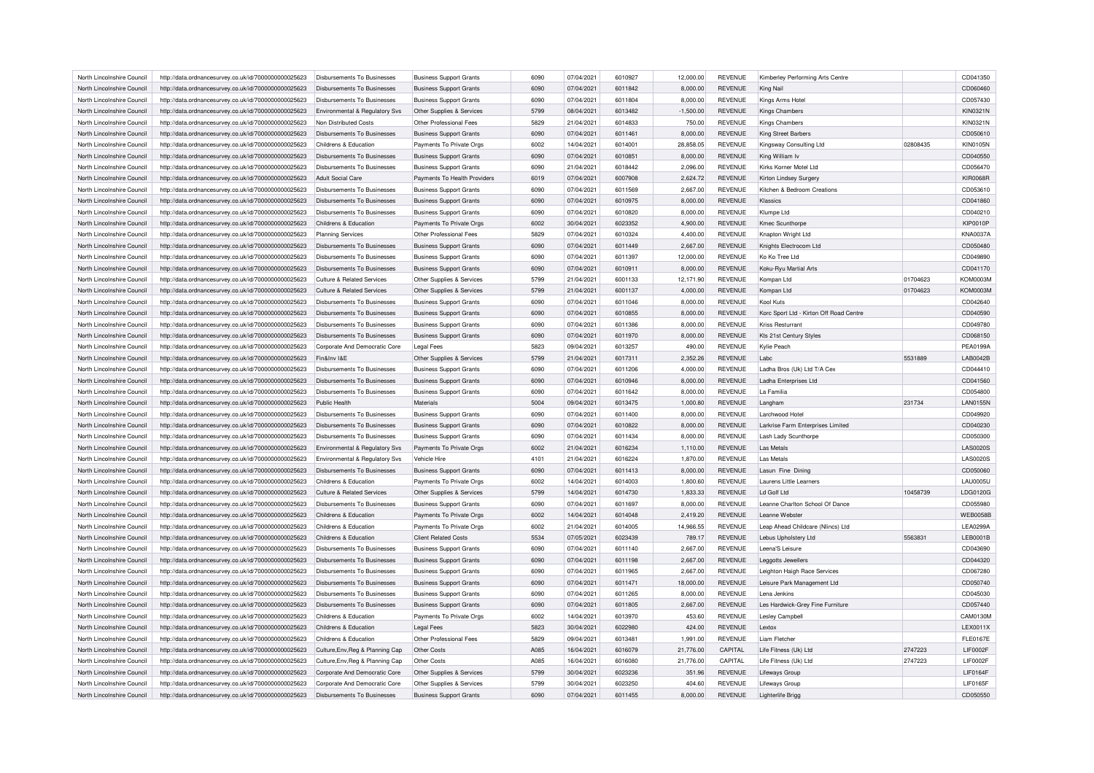| North Lincolnshire Council | http://data.ordnancesurvey.co.uk/id/7000000000025623 | Disbursements To Businesses           | <b>Business Support Grants</b> | 6090 | 07/04/2021 | 6010927 | 12,000.00   | <b>REVENUE</b> | Kimberley Performing Arts Centre        |          | CD041350        |
|----------------------------|------------------------------------------------------|---------------------------------------|--------------------------------|------|------------|---------|-------------|----------------|-----------------------------------------|----------|-----------------|
| North Lincolnshire Council | http://data.ordnancesurvey.co.uk/id/7000000000025623 | Disbursements To Businesses           | <b>Business Support Grants</b> | 6090 | 07/04/2021 | 6011842 | 8,000.00    | <b>REVENUE</b> | King Nail                               |          | CD060460        |
| North Lincolnshire Council | http://data.ordnancesurvey.co.uk/id/7000000000025623 | Disbursements To Businesses           | <b>Business Support Grants</b> | 6090 | 07/04/2021 | 6011804 | 8,000.00    | <b>REVENUE</b> | Kings Arms Hotel                        |          | CD057430        |
| North Lincolnshire Council | http://data.ordnancesurvey.co.uk/id/7000000000025623 | Environmental & Regulatory Svs        | Other Supplies & Services      | 5799 | 08/04/2021 | 6013482 | $-1,500.00$ | <b>REVENUE</b> | Kings Chambers                          |          | <b>KIN0321N</b> |
| North Lincolnshire Council | http://data.ordnancesurvey.co.uk/id/7000000000025623 | Non Distributed Costs                 | Other Professional Fees        | 5829 | 21/04/2021 | 6014833 | 750.00      | <b>REVENUE</b> | Kings Chambers                          |          | KIN0321N        |
| North Lincolnshire Council | http://data.ordnancesurvey.co.uk/id/7000000000025623 | Disbursements To Businesses           | <b>Business Support Grants</b> | 6090 | 07/04/2021 | 6011461 | 8,000.00    | <b>REVENUE</b> | King Street Barbers                     |          | CD050610        |
| North Lincolnshire Council | http://data.ordnancesurvey.co.uk/id/7000000000025623 | Childrens & Education                 | Payments To Private Orgs       | 6002 | 14/04/2021 | 601400  | 28,858.05   | <b>REVENUE</b> | Kingsway Consulting Ltd                 | 02808435 | <b>KIN0105N</b> |
| North Lincolnshire Council | http://data.ordnancesurvey.co.uk/id/7000000000025623 | <b>Disbursements To Businesses</b>    | <b>Business Support Grants</b> | 6090 | 07/04/2021 | 6010851 | 8,000.00    | <b>REVENUE</b> | King William Iv                         |          | CD040550        |
| North Lincolnshire Council | http://data.ordnancesurvey.co.uk/id/7000000000025623 | Disbursements To Businesses           | <b>Business Support Grants</b> | 6090 | 21/04/2021 | 6018442 | 2,096.00    | <b>REVENUE</b> | Kirks Korner Motel Ltd                  |          | CD056470        |
| North Lincolnshire Council | http://data.ordnancesurvey.co.uk/id/7000000000025623 | <b>Adult Social Care</b>              | Payments To Health Providers   | 6019 | 07/04/2021 | 6007908 | 2,624.72    | REVENUE        | Kirton Lindsey Surgery                  |          | <b>KIR0068R</b> |
| North Lincolnshire Council | http://data.ordnancesurvey.co.uk/id/7000000000025623 | Disbursements To Businesses           | <b>Business Support Grants</b> | 6090 | 07/04/2021 | 6011569 | 2,667.00    | <b>REVENUE</b> | Kitchen & Bedroom Creations             |          | CD053610        |
| North Lincolnshire Council |                                                      | Disbursements To Businesses           |                                | 6090 | 07/04/2021 | 6010975 |             | <b>REVENUE</b> | Klassics                                |          |                 |
|                            | http://data.ordnancesurvey.co.uk/id/7000000000025623 |                                       | <b>Business Support Grants</b> |      |            |         | 8,000.00    |                |                                         |          | CD041860        |
| North Lincolnshire Council | http://data.ordnancesurvey.co.uk/id/7000000000025623 | Disbursements To Businesses           | <b>Business Support Grants</b> | 6090 | 07/04/2021 | 6010820 | 8,000.00    | REVENUE        | Klumpe Ltd                              |          | CD040210        |
| North Lincolnshire Council | http://data.ordnancesurvey.co.uk/id/7000000000025623 | Childrens & Education                 | Payments To Private Orgs       | 6002 | 30/04/2021 | 6023352 | 4,900.00    | <b>REVENUE</b> | Kmec Scunthorpe                         |          | <b>KIP0010P</b> |
| North Lincolnshire Council | http://data.ordnancesurvey.co.uk/id/7000000000025623 | <b>Planning Services</b>              | Other Professional Fees        | 5829 | 07/04/2021 | 6010324 | 4,400.00    | <b>REVENUE</b> | Knapton Wright Ltd                      |          | <b>KNA0037A</b> |
| North Lincolnshire Council | http://data.ordnancesurvey.co.uk/id/7000000000025623 | Disbursements To Businesses           | <b>Business Support Grants</b> | 6090 | 07/04/2021 | 6011449 | 2,667.00    | <b>REVENUE</b> | Knights Electrocom Ltd                  |          | CD050480        |
| North Lincolnshire Council | http://data.ordnancesurvey.co.uk/id/7000000000025623 | <b>Disbursements To Businesses</b>    | <b>Business Support Grants</b> | 6090 | 07/04/2021 | 6011397 | 12,000.00   | <b>REVENUE</b> | Ko Ko Tree Ltd                          |          | CD049890        |
| North Lincolnshire Council | http://data.ordnancesurvey.co.uk/id/7000000000025623 | Disbursements To Businesses           | <b>Business Support Grants</b> | 6090 | 07/04/2021 | 6010911 | 8,000.00    | <b>REVENUE</b> | Koku-Ryu Martial Arts                   |          | CD041170        |
| North Lincolnshire Council | http://data.ordnancesurvey.co.uk/id/7000000000025623 | <b>Culture &amp; Related Services</b> | Other Supplies & Services      | 5799 | 21/04/2021 | 6001133 | 12,171.90   | <b>REVENUE</b> | Kompan Ltd                              | 01704623 | KOM0003M        |
| North Lincolnshire Council | http://data.ordnancesurvey.co.uk/id/7000000000025623 | <b>Culture &amp; Related Services</b> | Other Supplies & Services      | 5799 | 21/04/2021 | 6001137 | 4,000.00    | <b>REVENUE</b> | Kompan Ltd                              | 01704623 | <b>KOM0003M</b> |
| North Lincolnshire Council | http://data.ordnancesurvey.co.uk/id/7000000000025623 | Disbursements To Businesses           | <b>Business Support Grants</b> | 6090 | 07/04/2021 | 6011046 | 8,000.00    | <b>REVENUE</b> | Kool Kuts                               |          | CD042640        |
| North Lincolnshire Council | http://data.ordnancesurvey.co.uk/id/7000000000025623 | Disbursements To Businesses           | <b>Business Support Grants</b> | 6090 | 07/04/2021 | 6010855 | 8,000.00    | <b>REVENUE</b> | Korc Sport Ltd - Kirton Off Road Centre |          | CD040590        |
| North Lincolnshire Council | http://data.ordnancesurvey.co.uk/id/7000000000025623 | <b>Disbursements To Businesses</b>    | <b>Business Support Grants</b> | 6090 | 07/04/2021 | 6011386 | 8,000.00    | <b>REVENUE</b> | <b>Kriss Resturrant</b>                 |          | CD049780        |
| North Lincolnshire Council | http://data.ordnancesurvey.co.uk/id/7000000000025623 | <b>Disbursements To Businesses</b>    | <b>Business Support Grants</b> | 6090 | 07/04/2021 | 6011970 | 8,000.00    | <b>REVENUE</b> | Kts 21st Century Styles                 |          | CD068150        |
| North Lincolnshire Council | http://data.ordnancesurvey.co.uk/id/7000000000025623 | Corporate And Democratic Core         | <b>Legal Fees</b>              | 5823 | 09/04/2021 | 6013257 | 490.00      | <b>REVENUE</b> | Kylie Peach                             |          | PEA0199A        |
| North Lincolnshire Council | http://data.ordnancesurvey.co.uk/id/7000000000025623 | Fin&Inv I&F                           | Other Supplies & Services      | 5799 | 21/04/2021 | 6017311 | 2,352.26    | <b>REVENUE</b> | Labc                                    | 5531889  | LAB0042B        |
| North Lincolnshire Council | http://data.ordnancesurvey.co.uk/id/7000000000025623 | Disbursements To Businesses           | <b>Business Support Grants</b> | 6090 | 07/04/2021 | 6011206 | 4,000.00    | <b>REVENUE</b> | Ladha Bros (Uk) Ltd T/A Cex             |          | CD044410        |
|                            |                                                      | Disbursements To Businesses           |                                | 6090 | 07/04/2021 | 6010946 |             | <b>REVENUE</b> |                                         |          | CD041560        |
| North Lincolnshire Council | http://data.ordnancesurvey.co.uk/id/7000000000025623 |                                       | <b>Business Support Grants</b> |      |            |         | 8,000.00    | <b>REVENUE</b> | Ladha Enterprises Ltd<br>La Familia     |          |                 |
| North Lincolnshire Council | http://data.ordnancesurvey.co.uk/id/7000000000025623 | Disbursements To Businesses           | <b>Business Support Grants</b> | 6090 | 07/04/2021 | 6011642 | 8,000.00    |                |                                         |          | CD054800        |
| North Lincolnshire Council | http://data.ordnancesurvey.co.uk/id/7000000000025623 | Public Health                         | Materials                      | 5004 | 09/04/2021 | 6013475 | 1,000.80    | <b>REVENUE</b> | Langham                                 | 231734   | <b>LAN0155N</b> |
| North Lincolnshire Council | http://data.ordnancesurvey.co.uk/id/7000000000025623 | Disbursements To Businesses           | <b>Business Support Grants</b> | 6090 | 07/04/2021 | 6011400 | 8,000.00    | <b>REVENUE</b> | Larchwood Hotel                         |          | CD049920        |
| North Lincolnshire Council | http://data.ordnancesurvey.co.uk/id/7000000000025623 | Disbursements To Businesses           | <b>Business Support Grants</b> | 6090 | 07/04/2021 | 6010822 | 8,000.00    | <b>REVENUE</b> | Larkrise Farm Enterprises Limited       |          | CD040230        |
| North Lincolnshire Council | http://data.ordnancesurvey.co.uk/id/7000000000025623 | <b>Disbursements To Businesses</b>    | <b>Business Support Grants</b> | 6090 | 07/04/2021 | 6011434 | 8.000.00    | <b>REVENUE</b> | Lash Lady Scunthorpe                    |          | CD050300        |
| North Lincolnshire Council | http://data.ordnancesurvey.co.uk/id/7000000000025623 | Environmental & Regulatory Svs        | Payments To Private Orgs       | 6002 | 21/04/2021 | 6016234 | 1,110.00    | <b>REVENUE</b> | Las Metals                              |          | <b>LAS0020S</b> |
| North Lincolnshire Council | http://data.ordnancesurvey.co.uk/id/7000000000025623 | Environmental & Regulatory Svs        | Vehicle Hire                   | 4101 | 21/04/2021 | 6016224 | 1,870.00    | <b>REVENUE</b> | Las Metals                              |          | <b>LAS0020S</b> |
| North Lincolnshire Council | http://data.ordnancesurvey.co.uk/id/7000000000025623 | Disbursements To Businesses           | <b>Business Support Grants</b> | 6090 | 07/04/2021 | 6011413 | 8.000.00    | <b>REVENUE</b> | Lasun Fine Dining                       |          | CD050060        |
| North Lincolnshire Council | http://data.ordnancesurvey.co.uk/id/7000000000025623 | Childrens & Education                 | Payments To Private Orgs       | 6002 | 14/04/2021 | 6014003 | 1,800.60    | <b>REVENUE</b> | Laurens Little Learners                 |          | <b>LAU0005U</b> |
| North Lincolnshire Council | http://data.ordnancesurvey.co.uk/id/7000000000025623 | <b>Culture &amp; Related Services</b> | Other Supplies & Services      | 5799 | 14/04/2021 | 6014730 | 1,833.33    | <b>REVENUE</b> | Ld Golf Ltd                             | 10458739 | LDG0120G        |
| North Lincolnshire Council | http://data.ordnancesurvey.co.uk/id/7000000000025623 | Disbursements To Businesses           | <b>Business Support Grants</b> | 6090 | 07/04/2021 | 6011697 | 8,000.00    | <b>REVENUE</b> | Leanne Charlton School Of Dance         |          | CD055980        |
| North Lincolnshire Council | http://data.ordnancesurvey.co.uk/id/7000000000025623 | Childrens & Education                 | Payments To Private Orgs       | 6002 | 14/04/2021 | 6014048 | 2,419.20    | <b>REVENUE</b> | I eanne Webster                         |          | <b>WEB0058E</b> |
| North Lincolnshire Council | http://data.ordnancesurvey.co.uk/id/7000000000025623 | Childrens & Education                 | Payments To Private Orgs       | 6002 | 21/04/2021 | 6014005 | 14,966.55   | <b>REVENUE</b> | Leap Ahead Childcare (Nlincs) Ltd       |          | <b>LEA0299A</b> |
| North Lincolnshire Council | http://data.ordnancesurvey.co.uk/id/7000000000025623 | Childrens & Education                 | <b>Client Related Costs</b>    | 5534 | 07/05/2021 | 6023439 | 789.17      | <b>REVENUE</b> | Lebus Upholstery Ltd                    | 5563831  | LEB0001B        |
| North Lincolnshire Council | http://data.ordnancesurvey.co.uk/id/7000000000025623 | Disbursements To Businesses           | <b>Business Support Grants</b> | 6090 | 07/04/2021 | 6011140 | 2,667.00    | REVENUE        | Leena'S Leisure                         |          | CD043690        |
| North Lincolnshire Council | http://data.ordnancesurvey.co.uk/id/7000000000025623 | <b>Disbursements To Businesses</b>    | <b>Business Support Grants</b> | 6090 | 07/04/2021 | 6011198 | 2,667.00    | <b>REVENUE</b> | Leggotts Jewellers                      |          | CD044320        |
| North Lincolnshire Council | http://data.ordnancesurvey.co.uk/id/7000000000025623 | Disbursements To Businesses           | <b>Business Support Grants</b> | 6090 | 07/04/2021 | 6011965 | 2,667.00    | <b>REVENUE</b> | Leighton Haigh Race Services            |          | CD067280        |
|                            |                                                      |                                       |                                |      |            |         |             |                |                                         |          |                 |
| North Lincolnshire Council | http://data.ordnancesurvey.co.uk/id/7000000000025623 | Disbursements To Businesses           | <b>Business Support Grants</b> | 6090 | 07/04/2021 | 6011471 | 18,000.00   | <b>REVENUE</b> | Leisure Park Management Ltd             |          | CD050740        |
| North Lincolnshire Council | http://data.ordnancesurvey.co.uk/id/7000000000025623 | Disbursements To Businesses           | <b>Business Support Grants</b> | 6090 | 07/04/2021 | 6011265 | 8,000.00    | <b>REVENUE</b> | Lena Jenkins                            |          | CD045030        |
| North Lincolnshire Council | http://data.ordnancesurvey.co.uk/id/7000000000025623 | Disbursements To Businesses           | <b>Business Support Grants</b> | 6090 | 07/04/2021 | 6011805 | 2,667.00    | <b>REVENUE</b> | Les Hardwick-Grey Fine Furniture        |          | CD057440        |
| North Lincolnshire Council | http://data.ordnancesurvey.co.uk/id/7000000000025623 | Childrens & Education                 | Payments To Private Orgs       | 6002 | 14/04/2021 | 6013970 | 453.60      | REVENUE        | Lesley Campbell                         |          | CAM0130M        |
| North Lincolnshire Council | http://data.ordnancesurvey.co.uk/id/7000000000025623 | Childrens & Education                 | <b>Legal Fees</b>              | 5823 | 30/04/2021 | 6022980 | 424.00      | <b>REVENUE</b> | Lextox                                  |          | LEX0011X        |
| North Lincolnshire Council | http://data.ordnancesurvey.co.uk/id/7000000000025623 | Childrens & Education                 | Other Professional Fees        | 5829 | 09/04/2021 | 6013481 | 1.991.00    | <b>REVENUE</b> | Liam Fletcher                           |          | <b>FLE0167E</b> |
| North Lincolnshire Council | http://data.ordnancesurvey.co.uk/id/7000000000025623 | Culture, Env, Reg & Planning Cap      | Other Costs                    | A085 | 16/04/2021 | 6016079 | 21,776.00   | CAPITAL        | Life Fitness (Uk) Ltd                   | 2747223  | <b>LIF0002F</b> |
| North Lincolnshire Council | http://data.ordnancesurvey.co.uk/id/7000000000025623 | Culture, Env, Reg & Planning Cap      | Other Costs                    | A085 | 16/04/2021 | 6016080 | 21,776.00   | CAPITAL        | Life Fitness (Uk) Ltd                   | 2747223  | LIF0002F        |
| North Lincolnshire Council | http://data.ordnancesurvey.co.uk/id/7000000000025623 | Corporate And Democratic Core         | Other Supplies & Services      | 5799 | 30/04/2021 | 6023236 | 351.96      | <b>REVENUE</b> | Lifeways Group                          |          | <b>LIF0164F</b> |
| North Lincolnshire Council | http://data.ordnancesurvey.co.uk/id/7000000000025623 | Corporate And Democratic Core         | Other Supplies & Services      | 5799 | 30/04/2021 | 6023250 | 404.60      | <b>REVENUE</b> | Lifeways Group                          |          | <b>LIF0165F</b> |
| North Lincolnshire Council | http://data.ordnancesurvey.co.uk/id/7000000000025623 | <b>Disbursements To Businesses</b>    | <b>Business Support Grants</b> | 6090 | 07/04/2021 | 6011455 | 8,000.00    | <b>REVENUE</b> | Lighterlife Brigg                       |          | CD050550        |
|                            |                                                      |                                       |                                |      |            |         |             |                |                                         |          |                 |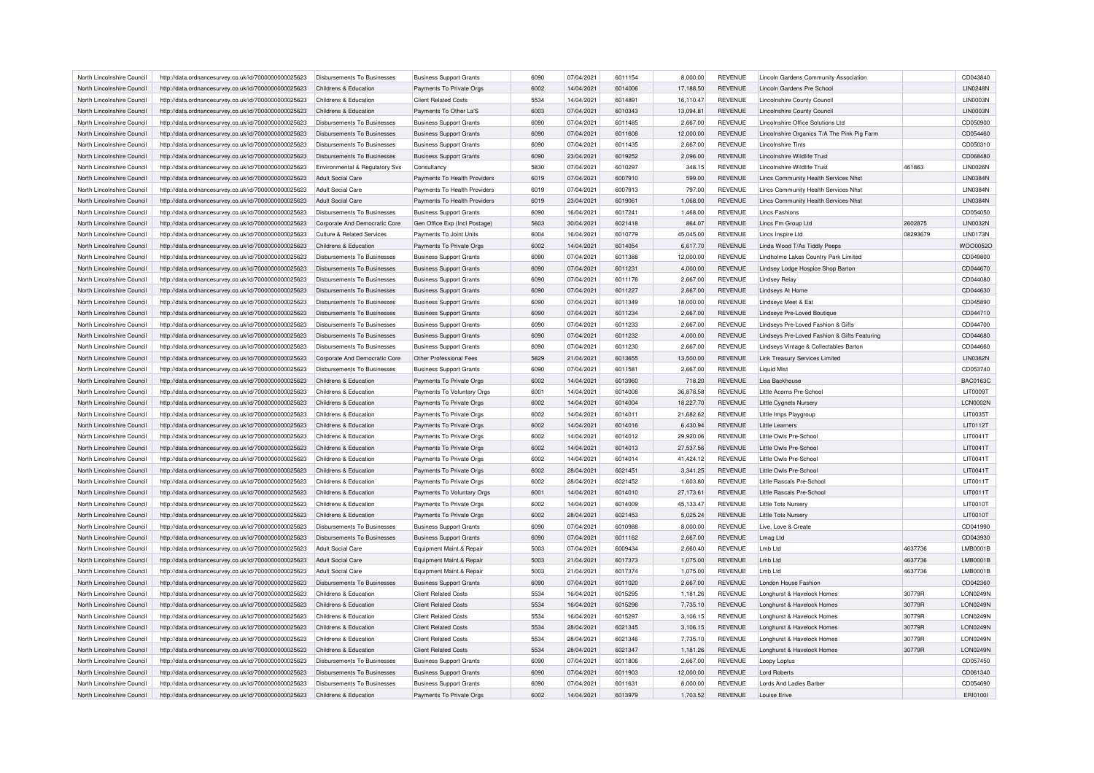| North Lincolnshire Council | http://data.ordnancesurvey.co.uk/id/7000000000025623 | Disbursements To Businesses        | <b>Business Support Grants</b> | 6090 | 07/04/2021 | 6011154 | 8,000.00  | <b>REVENUE</b> | Lincoln Gardens Community Association        |          | CD043840        |
|----------------------------|------------------------------------------------------|------------------------------------|--------------------------------|------|------------|---------|-----------|----------------|----------------------------------------------|----------|-----------------|
| North Lincolnshire Council | http://data.ordnancesurvey.co.uk/id/7000000000025623 | Childrens & Education              | Payments To Private Orgs       | 6002 | 14/04/2021 | 6014006 | 17,188.50 | <b>REVENUE</b> | Lincoln Gardens Pre School                   |          | <b>LIN0248N</b> |
| North Lincolnshire Council | http://data.ordnancesurvey.co.uk/id/7000000000025623 | Childrens & Education              | <b>Client Related Costs</b>    | 5534 | 14/04/2021 | 6014891 | 16.110.47 | <b>REVENUE</b> | Lincolnshire County Council                  |          | LIN0003N        |
| North Lincolnshire Council | http://data.ordnancesurvey.co.uk/id/7000000000025623 | Childrens & Education              | Payments To Other La'S         | 6003 | 07/04/2021 | 6010343 | 13,094.81 | <b>REVENUE</b> | Lincolnshire County Council                  |          | <b>LIN0003N</b> |
| North Lincolnshire Council | http://data.ordnancesurvey.co.uk/id/7000000000025623 | <b>Disbursements To Businesses</b> | <b>Business Support Grants</b> | 6090 | 07/04/2021 | 6011485 | 2,667.00  | <b>REVENUE</b> | Lincolnshire Office Solutions Ltd            |          | CD050900        |
| North Lincolnshire Council | http://data.ordnancesurvey.co.uk/id/7000000000025623 | <b>Disbursements To Businesses</b> | <b>Business Support Grants</b> | 6090 | 07/04/2021 | 6011608 | 12,000.00 | <b>REVENUE</b> | Lincolnshire Organics T/A The Pink Pig Farm  |          | CD054460        |
| North Lincolnshire Council | http://data.ordnancesurvey.co.uk/id/7000000000025623 | Disbursements To Businesses        | <b>Business Support Grants</b> | 6090 | 07/04/2021 | 6011435 | 2,667.00  | <b>REVENUE</b> | <b>Lincolnshire Tints</b>                    |          | CD050310        |
| North Lincolnshire Council | http://data.ordnancesurvey.co.uk/id/7000000000025623 | <b>Disbursements To Businesses</b> | <b>Business Support Grants</b> | 6090 | 23/04/2021 | 6019252 | 2,096.00  | <b>REVENUE</b> | Lincolnshire Wildlife Trust                  |          | CD068480        |
| North Lincolnshire Council | http://data.ordnancesurvey.co.uk/id/7000000000025623 | Environmental & Regulatory Svs     | Consultancy                    | 5830 | 07/04/2021 | 6010297 | 348.15    | <b>REVENUE</b> | Lincolnshire Wildlife Trust                  | 461863   | <b>LIN0026N</b> |
| North Lincolnshire Council | http://data.ordnancesurvey.co.uk/id/7000000000025623 | <b>Adult Social Care</b>           | Payments To Health Providers   | 6019 | 07/04/2021 | 6007910 | 599.00    | <b>REVENUE</b> | Lincs Community Health Services Nhst         |          | <b>LIN0384N</b> |
| North Lincolnshire Council | http://data.ordnancesurvey.co.uk/id/7000000000025623 | Adult Social Care                  | Payments To Health Providers   | 6019 | 07/04/2021 | 6007913 | 797.00    | <b>REVENUE</b> | Lincs Community Health Services Nhst         |          | <b>LIN0384N</b> |
| North Lincolnshire Council | http://data.ordnancesurvey.co.uk/id/7000000000025623 | Adult Social Care                  | Payments To Health Providers   | 6019 | 23/04/2021 | 6019061 | 1,068.00  | <b>REVENUE</b> | Lincs Community Health Services Nhst         |          | <b>LIN0384N</b> |
| North Lincolnshire Council | http://data.ordnancesurvey.co.uk/id/7000000000025623 | Disbursements To Businesses        | <b>Business Support Grants</b> | 6090 | 16/04/2021 | 6017241 | 1,468.00  | <b>REVENUE</b> | <b>Lincs Fashions</b>                        |          | CD054050        |
|                            |                                                      |                                    |                                |      | 30/04/2021 | 6021418 |           | <b>REVENUE</b> | Lincs Fm Group Ltd                           |          | <b>LIN0032N</b> |
| North Lincolnshire Council | http://data.ordnancesurvey.co.uk/id/7000000000025623 | Corporate And Democratic Core      | Gen Office Exp (Incl Postage)  | 5603 |            |         | 864.07    |                |                                              | 2602875  |                 |
| North Lincolnshire Council | http://data.ordnancesurvey.co.uk/id/7000000000025623 | Culture & Related Services         | Payments To Joint Units        | 6004 | 16/04/2021 | 6010779 | 45,045.00 | <b>REVENUE</b> | Lincs Inspire Ltd                            | 08293679 | <b>LIN0173N</b> |
| North Lincolnshire Council | http://data.ordnancesurvey.co.uk/id/7000000000025623 | Childrens & Education              | Payments To Private Orgs       | 6002 | 14/04/2021 | 6014054 | 6,617.70  | <b>REVENUE</b> | Linda Wood T/As Tiddly Peeps                 |          | WOO0052O        |
| North Lincolnshire Council | http://data.ordnancesurvey.co.uk/id/7000000000025623 | Disbursements To Businesses        | <b>Business Support Grants</b> | 6090 | 07/04/2021 | 6011388 | 12,000.00 | <b>REVENUE</b> | Lindholme Lakes Country Park Limited         |          | CD049800        |
| North Lincolnshire Council | http://data.ordnancesurvey.co.uk/id/7000000000025623 | <b>Disbursements To Businesses</b> | <b>Business Support Grants</b> | 6090 | 07/04/2021 | 6011231 | 4,000.00  | <b>REVENUE</b> | Lindsey Lodge Hospice Shop Barton            |          | CD044670        |
| North Lincolnshire Council | http://data.ordnancesurvey.co.uk/id/7000000000025623 | Disbursements To Businesses        | <b>Business Support Grants</b> | 6090 | 07/04/2021 | 6011176 | 2,667.00  | REVENUE        | <b>Lindsey Relay</b>                         |          | CD044080        |
| North Lincolnshire Council | http://data.ordnancesurvey.co.uk/id/7000000000025623 | Disbursements To Businesses        | <b>Business Support Grants</b> | 6090 | 07/04/2021 | 6011227 | 2.667.00  | <b>REVENUE</b> | Lindseys At Home                             |          | CD044630        |
| North Lincolnshire Council | http://data.ordnancesurvey.co.uk/id/7000000000025623 | Disbursements To Businesses        | <b>Business Support Grants</b> | 6090 | 07/04/2021 | 6011349 | 18,000.00 | REVENUE        | Lindseys Meet & Eat                          |          | CD045890        |
| North Lincolnshire Council | http://data.ordnancesurvey.co.uk/id/7000000000025623 | Disbursements To Businesses        | <b>Business Support Grants</b> | 6090 | 07/04/2021 | 6011234 | 2,667.00  | <b>REVENUE</b> | Lindseys Pre-Loved Boutique                  |          | CD044710        |
| North Lincolnshire Council | http://data.ordnancesurvey.co.uk/id/7000000000025623 | Disbursements To Businesses        | <b>Business Support Grants</b> | 6090 | 07/04/2021 | 6011233 | 2.667.00  | <b>REVENUE</b> | Lindsevs Pre-Loved Fashion & Gifts           |          | CD044700        |
| North Lincolnshire Council | http://data.ordnancesurvey.co.uk/id/7000000000025623 | <b>Disbursements To Businesses</b> | <b>Business Support Grants</b> | 6090 | 07/04/2021 | 6011232 | 4,000.00  | <b>REVENUE</b> | Lindseys Pre-Loved Fashion & Gifts Featuring |          | CD044680        |
| North Lincolnshire Council | http://data.ordnancesurvey.co.uk/id/7000000000025623 | <b>Disbursements To Businesses</b> | <b>Business Support Grants</b> | 6090 | 07/04/2021 | 6011230 | 2,667.00  | REVENUE        | Lindseys Vintage & Collectables Barton       |          | CD044660        |
| North Lincolnshire Council | http://data.ordnancesurvey.co.uk/id/7000000000025623 | Corporate And Democratic Core      | Other Professional Fees        | 5829 | 21/04/2021 | 6013655 | 13,500.00 | <b>REVENUE</b> | <b>Link Treasury Services Limited</b>        |          | <b>LIN0362N</b> |
| North Lincolnshire Council | http://data.ordnancesurvey.co.uk/id/7000000000025623 | <b>Disbursements To Businesses</b> | <b>Business Support Grants</b> | 6090 | 07/04/2021 | 6011581 | 2,667.00  | <b>REVENUE</b> | <b>Liquid Mist</b>                           |          | CD053740        |
| North Lincolnshire Council | http://data.ordnancesurvey.co.uk/id/7000000000025623 | Childrens & Education              | Payments To Private Orgs       | 6002 | 14/04/2021 | 6013960 | 718.20    | <b>REVENUE</b> | Lisa Backhouse                               |          | <b>BAC0163C</b> |
| North Lincolnshire Council | http://data.ordnancesurvey.co.uk/id/7000000000025623 | Childrens & Education              | Payments To Voluntary Orgs     | 6001 | 14/04/2021 | 6014008 | 36.878.58 | <b>REVENUE</b> | Little Acorns Pre-School                     |          | LIT0009T        |
| North Lincolnshire Council | http://data.ordnancesurvey.co.uk/id/7000000000025623 | Childrens & Education              | Payments To Private Orgs       | 6002 | 14/04/2021 | 6014004 | 18,227.70 | <b>REVENUE</b> | Little Cygnets Nursery                       |          | LCN0002N        |
| North Lincolnshire Council | http://data.ordnancesurvey.co.uk/id/7000000000025623 | Childrens & Education              | Payments To Private Orgs       | 6002 | 14/04/2021 | 6014011 | 21,682.62 | REVENUE        | Little Imps Playgroup                        |          | LIT0035T        |
| North Lincolnshire Council | http://data.ordnancesurvey.co.uk/id/7000000000025623 | Childrens & Education              | Payments To Private Orgs       | 6002 | 14/04/2021 | 6014016 | 6.430.94  | <b>REVENUE</b> | Little Learners                              |          | LIT0112T        |
|                            |                                                      |                                    |                                |      |            |         |           |                |                                              |          |                 |
| North Lincolnshire Council | http://data.ordnancesurvey.co.uk/id/7000000000025623 | Childrens & Education              | Payments To Private Orgs       | 6002 | 14/04/2021 | 6014012 | 29,920.06 | <b>REVENUE</b> | Little Owls Pre-School                       |          | LIT0041T        |
| North Lincolnshire Council | http://data.ordnancesurvey.co.uk/id/7000000000025623 | Childrens & Education              | Payments To Private Orgs       | 6002 | 14/04/2021 | 6014013 | 27,537.56 | <b>REVENUE</b> | Little Owls Pre-School                       |          | LIT0041T        |
| North Lincolnshire Council | http://data.ordnancesurvey.co.uk/id/7000000000025623 | Childrens & Education              | Payments To Private Orgs       | 6002 | 14/04/2021 | 6014014 | 41,424.12 | <b>REVENUE</b> | Little Owls Pre-School                       |          | LIT0041T        |
| North Lincolnshire Council | http://data.ordnancesurvey.co.uk/id/7000000000025623 | Childrens & Education              | Payments To Private Orgs       | 6002 | 28/04/2021 | 6021451 | 3,341.25  | <b>REVENUE</b> | Little Owls Pre-School                       |          | LIT0041T        |
| North Lincolnshire Council | http://data.ordnancesurvey.co.uk/id/7000000000025623 | Childrens & Education              | Payments To Private Orgs       | 6002 | 28/04/2021 | 6021452 | 1,603.80  | REVENUE        | Little Rascals Pre-School                    |          | LIT0011T        |
| North Lincolnshire Council | http://data.ordnancesurvey.co.uk/id/7000000000025623 | Childrens & Education              | Payments To Voluntary Orgs     | 6001 | 14/04/2021 | 6014010 | 27,173.61 | <b>REVENUE</b> | Little Rascals Pre-School                    |          | LIT0011T        |
| North Lincolnshire Council | http://data.ordnancesurvey.co.uk/id/7000000000025623 | Childrens & Education              | Payments To Private Orgs       | 6002 | 14/04/2021 | 6014009 | 45,133.47 | <b>REVENUE</b> | Little Tots Nursery                          |          | LIT0010T        |
| North Lincolnshire Council | http://data.ordnancesurvey.co.uk/id/7000000000025623 | Childrens & Education              | Payments To Private Orgs       | 6002 | 28/04/2021 | 6021453 | 5,025.24  | <b>REVENUE</b> | <b>Little Tots Nursery</b>                   |          | LIT0010T        |
| North Lincolnshire Council | http://data.ordnancesurvey.co.uk/id/7000000000025623 | Disbursements To Businesses        | <b>Business Support Grants</b> | 6090 | 07/04/2021 | 6010988 | 8,000.00  | <b>REVENUE</b> | Live, Love & Create                          |          | CD041990        |
| North Lincolnshire Council | http://data.ordnancesurvey.co.uk/id/7000000000025623 | Disbursements To Businesses        | <b>Business Support Grants</b> | 6090 | 07/04/2021 | 6011162 | 2,667.00  | REVENUE        | Lmag Ltd                                     |          | CD043930        |
| North Lincolnshire Council | http://data.ordnancesurvey.co.uk/id/7000000000025623 | Adult Social Care                  | Equipment Maint.& Repair       | 5003 | 07/04/2021 | 6009434 | 2,660.40  | REVENUE        | Lmb Ltd                                      | 4637736  | <b>LMB0001B</b> |
| North Lincolnshire Council | http://data.ordnancesurvey.co.uk/id/7000000000025623 | Adult Social Care                  | Equipment Maint.& Repair       | 5003 | 21/04/2021 | 6017373 | 1,075.00  | <b>REVENUE</b> | I mb I td                                    | 4637736  | LMB0001B        |
| North Lincolnshire Council | http://data.ordnancesurvey.co.uk/id/7000000000025623 | Adult Social Care                  | Equipment Maint.& Repair       | 5003 | 21/04/2021 | 6017374 | 1,075.00  | REVENUE        | Lmb Ltd                                      | 4637736  | LMB0001B        |
| North Lincolnshire Council | http://data.ordnancesurvey.co.uk/id/7000000000025623 | <b>Disbursements To Businesses</b> | <b>Business Support Grants</b> | 6090 | 07/04/2021 | 6011020 | 2,667.00  | <b>REVENUE</b> | London House Fashion                         |          | CD042360        |
| North Lincolnshire Council | http://data.ordnancesurvey.co.uk/id/7000000000025623 | Childrens & Education              | <b>Client Related Costs</b>    | 5534 | 16/04/2021 | 6015295 | 1,181.26  | REVENUE        | Longhurst & Havelock Homes                   | 30779R   | <b>LON0249N</b> |
| North Lincolnshire Council | http://data.ordnancesurvey.co.uk/id/7000000000025623 | Childrens & Education              | <b>Client Related Costs</b>    | 5534 | 16/04/2021 | 6015296 | 7,735.10  | REVENUE        | Longhurst & Havelock Homes                   | 30779R   | <b>LON0249N</b> |
| North Lincolnshire Council | http://data.ordnancesurvey.co.uk/id/7000000000025623 | Childrens & Education              | <b>Client Related Costs</b>    | 5534 | 16/04/2021 | 6015297 | 3,106.15  | <b>REVENUE</b> | Longhurst & Havelock Homes                   | 30779R   | <b>LON0249N</b> |
| North Lincolnshire Council | http://data.ordnancesurvey.co.uk/id/7000000000025623 | Childrens & Education              | <b>Client Related Costs</b>    | 5534 | 28/04/2021 | 6021345 | 3,106.15  | <b>REVENUE</b> | Longhurst & Havelock Homes                   | 30779R   | LON0249N        |
|                            |                                                      |                                    |                                |      |            |         |           |                |                                              |          |                 |
| North Lincolnshire Council | http://data.ordnancesurvey.co.uk/id/7000000000025623 | Childrens & Education              | <b>Client Related Costs</b>    | 5534 | 28/04/2021 | 6021346 | 7,735.10  | REVENUE        | Longhurst & Havelock Homes                   | 30779R   | <b>LON0249N</b> |
| North Lincolnshire Council | http://data.ordnancesurvey.co.uk/id/7000000000025623 | Childrens & Education              | <b>Client Related Costs</b>    | 5534 | 28/04/2021 | 6021347 | 1,181.26  | REVENUE        | Longhurst & Havelock Homes                   | 30779R   | <b>LON0249N</b> |
| North Lincolnshire Council | http://data.ordnancesurvey.co.uk/id/7000000000025623 | Disbursements To Businesses        | <b>Business Support Grants</b> | 6090 | 07/04/2021 | 6011806 | 2,667.00  | <b>REVENUE</b> | Loopy Loptus                                 |          | CD057450        |
| North Lincolnshire Council | http://data.ordnancesurvey.co.uk/id/7000000000025623 | Disbursements To Businesses        | <b>Business Support Grants</b> | 6090 | 07/04/2021 | 6011903 | 12,000.00 | <b>REVENUE</b> | <b>Lord Roberts</b>                          |          | CD061340        |
| North Lincolnshire Council | http://data.ordnancesurvey.co.uk/id/7000000000025623 | Disbursements To Businesses        | <b>Business Support Grants</b> | 6090 | 07/04/2021 | 6011631 | 8.000.00  | <b>REVENUE</b> | <b>Lords And Ladies Barber</b>               |          | CD054690        |
| North Lincolnshire Council | http://data.ordnancesurvey.co.uk/id/7000000000025623 | Childrens & Education              | Payments To Private Orgs       | 6002 | 14/04/2021 | 6013979 | 1.703.52  | <b>REVENUE</b> | Louise Erive                                 |          | ERI01001        |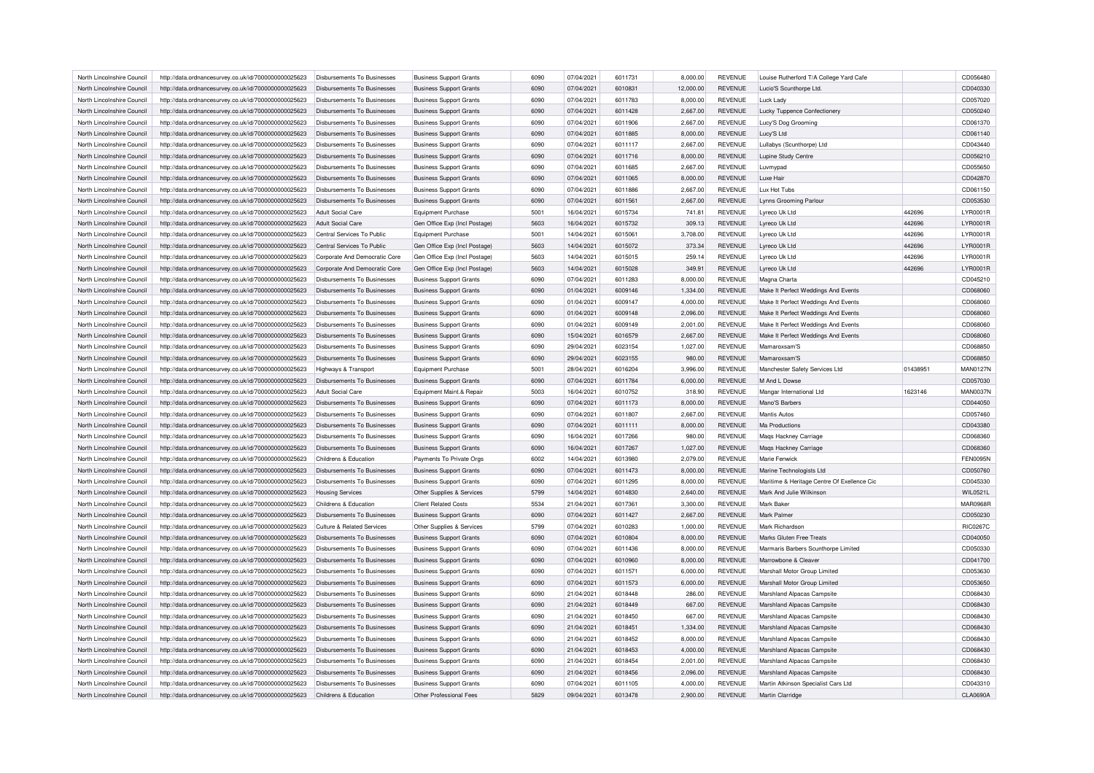| North Lincolnshire Council                               | http://data.ordnancesurvey.co.uk/id/7000000000025623 | Disbursements To Businesses        | <b>Business Support Grants</b> | 6090 | 07/04/2021               | 6011731 | 8,000.00  | <b>REVENUE</b>                   | Louise Rutherford T/A College Yard Cafe     |          | CD056480             |
|----------------------------------------------------------|------------------------------------------------------|------------------------------------|--------------------------------|------|--------------------------|---------|-----------|----------------------------------|---------------------------------------------|----------|----------------------|
| North Lincolnshire Council                               | http://data.ordnancesurvey.co.uk/id/7000000000025623 | Disbursements To Businesses        | <b>Business Support Grants</b> | 6090 | 07/04/2021               | 6010831 | 12,000.00 | <b>REVENUE</b>                   | Lucio'S Scunthorpe Ltd.                     |          | CD040330             |
| North Lincolnshire Council                               | http://data.ordnancesurvey.co.uk/id/7000000000025623 | Disbursements To Businesses        | <b>Business Support Grants</b> | 6090 | 07/04/2021               | 6011783 | 8,000.00  | <b>REVENUE</b>                   | Luck Lady                                   |          | CD057020             |
| North Lincolnshire Council                               | http://data.ordnancesurvey.co.uk/id/7000000000025623 | Disbursements To Businesses        | <b>Business Support Grants</b> | 6090 | 07/04/2021               | 6011428 | 2,667.00  | <b>REVENUE</b>                   | Lucky Tuppence Confectionery                |          | CD050240             |
| North Lincolnshire Council                               | http://data.ordnancesurvey.co.uk/id/7000000000025623 | <b>Disbursements To Businesses</b> | <b>Business Support Grants</b> | 6090 | 07/04/2021               | 6011906 | 2,667.00  | <b>REVENUE</b>                   | Lucy'S Dog Grooming                         |          | CD061370             |
| North Lincolnshire Council                               | http://data.ordnancesurvey.co.uk/id/7000000000025623 | Disbursements To Businesses        | <b>Business Support Grants</b> | 6090 | 07/04/2021               | 6011885 | 8,000.00  | <b>REVENUE</b>                   | Lucy'S Ltd                                  |          | CD061140             |
| North Lincolnshire Council                               | http://data.ordnancesurvey.co.uk/id/7000000000025623 | <b>Disbursements To Businesses</b> | <b>Business Support Grants</b> | 6090 | 07/04/2021               | 6011117 | 2,667.00  | <b>REVENUE</b>                   | Lullabys (Scunthorpe) Ltd                   |          | CD043440             |
| North Lincolnshire Council                               | http://data.ordnancesurvey.co.uk/id/7000000000025623 | Disbursements To Businesses        | <b>Business Support Grants</b> | 6090 | 07/04/2021               | 6011716 | 8,000.00  | <b>REVENUE</b>                   | Lupine Study Centre                         |          | CD056210             |
| North Lincolnshire Council                               | http://data.ordnancesurvey.co.uk/id/7000000000025623 | Disbursements To Businesses        | <b>Business Support Grants</b> | 6090 | 07/04/2021               | 6011685 | 2,667.00  | <b>REVENUE</b>                   | Luvmypad                                    |          | CD055650             |
| North Lincolnshire Council                               | http://data.ordnancesurvey.co.uk/id/7000000000025623 | Disbursements To Businesses        | <b>Business Support Grants</b> | 6090 | 07/04/2021               | 6011065 | 8,000.00  | <b>REVENUE</b>                   | Luxe Hair                                   |          | CD042870             |
| North Lincolnshire Council                               | http://data.ordnancesurvey.co.uk/id/7000000000025623 | <b>Disbursements To Businesses</b> | <b>Business Support Grants</b> | 6090 | 07/04/2021               | 6011886 | 2,667.00  | <b>REVENUE</b>                   | Lux Hot Tubs                                |          | CD061150             |
| North Lincolnshire Council                               | http://data.ordnancesurvey.co.uk/id/7000000000025623 | Disbursements To Businesses        | <b>Business Support Grants</b> | 6090 | 07/04/2021               | 6011561 | 2,667.00  | <b>REVENUE</b>                   | Lynns Grooming Parlour                      |          | CD053530             |
| North Lincolnshire Council                               | http://data.ordnancesurvey.co.uk/id/7000000000025623 | <b>Adult Social Care</b>           | <b>Equipment Purchase</b>      | 5001 | 16/04/2021               | 6015734 | 741.81    | <b>REVENUE</b>                   | Lyreco Uk Ltd                               | 442696   | <b>LYR0001R</b>      |
| North Lincolnshire Council                               | http://data.ordnancesurvey.co.uk/id/7000000000025623 | Adult Social Care                  | Gen Office Exp (Incl Postage)  | 5603 | 16/04/2021               | 6015732 | 309.13    | <b>REVENUE</b>                   | Lyreco Uk Ltd                               | 442696   | <b>LYR0001R</b>      |
| North Lincolnshire Council                               | http://data.ordnancesurvey.co.uk/id/7000000000025623 | Central Services To Public         | <b>Equipment Purchase</b>      | 5001 | 14/04/2021               | 6015061 | 3,708.00  | <b>REVENUE</b>                   | Lyreco Uk Ltd                               | 442696   | LYR0001R             |
| North Lincolnshire Council                               | http://data.ordnancesurvey.co.uk/id/7000000000025623 | Central Services To Public         | Gen Office Exp (Incl Postage)  | 5603 | 14/04/2021               | 6015072 | 373.34    | REVENUE                          | Lyreco Uk Ltd                               | 442696   | LYR0001R             |
| North Lincolnshire Council                               | http://data.ordnancesurvey.co.uk/id/7000000000025623 | Corporate And Democratic Core      | Gen Office Exp (Incl Postage)  | 5603 | 14/04/2021               | 6015015 | 259.14    | <b>REVENUE</b>                   | Lyreco Uk Ltd                               | 442696   | LYR0001R             |
| North Lincolnshire Council                               | http://data.ordnancesurvey.co.uk/id/7000000000025623 | Corporate And Democratic Core      | Gen Office Exp (Incl Postage)  | 5603 | 14/04/2021               | 6015028 | 349.91    | <b>REVENUE</b>                   | Lyreco Uk Ltd                               | 442696   | LYR0001R             |
| North Lincolnshire Council                               |                                                      | Disbursements To Businesses        |                                | 6090 | 07/04/2021               | 6011283 | 8,000.00  | <b>REVENUE</b>                   | Magna Charta                                |          | CD045210             |
| North Lincolnshire Council                               | http://data.ordnancesurvey.co.uk/id/7000000000025623 | Disbursements To Businesses        | <b>Business Support Grants</b> | 6090 | 01/04/2021               | 6009146 | 1,334.00  | <b>REVENUE</b>                   | Make It Perfect Weddings And Events         |          | CD068060             |
|                                                          | http://data.ordnancesurvey.co.uk/id/7000000000025623 |                                    | <b>Business Support Grants</b> |      |                          | 6009147 |           |                                  |                                             |          |                      |
| North Lincolnshire Council                               | http://data.ordnancesurvey.co.uk/id/7000000000025623 | Disbursements To Businesses        | <b>Business Support Grants</b> | 6090 | 01/04/2021               |         | 4,000.00  | <b>REVENUE</b>                   | Make It Perfect Weddings And Events         |          | CD068060             |
| North Lincolnshire Council                               | http://data.ordnancesurvey.co.uk/id/7000000000025623 | <b>Disbursements To Businesses</b> | <b>Business Support Grants</b> | 6090 | 01/04/2021               | 6009148 | 2,096.00  | <b>REVENUE</b>                   | Make It Perfect Weddings And Events         |          | CD068060             |
| North Lincolnshire Council                               | http://data.ordnancesurvey.co.uk/id/7000000000025623 | Disbursements To Businesses        | <b>Business Support Grants</b> | 6090 | 01/04/2021               | 6009149 | 2,001.00  | <b>REVENUE</b>                   | Make It Perfect Weddings And Events         |          | CD068060             |
| North Lincolnshire Council                               | http://data.ordnancesurvey.co.uk/id/7000000000025623 | <b>Disbursements To Businesses</b> | <b>Business Support Grants</b> | 6090 | 15/04/2021               | 6016579 | 2,667.00  | <b>REVENUE</b>                   | Make It Perfect Weddings And Events         |          | CD068060             |
| North Lincolnshire Council                               | http://data.ordnancesurvey.co.uk/id/7000000000025623 | <b>Disbursements To Businesses</b> | <b>Business Support Grants</b> | 6090 | 29/04/2021               | 6023154 | 1,027.00  | <b>REVENUE</b>                   | Mamaroxsam'S                                |          | CD068850             |
| North Lincolnshire Council                               | http://data.ordnancesurvey.co.uk/id/7000000000025623 | Disbursements To Businesses        | <b>Business Support Grants</b> | 6090 | 29/04/2021               | 6023155 | 980.00    | <b>REVENUE</b>                   | Mamaroxsam'S                                |          | CD068850             |
| North Lincolnshire Council                               | http://data.ordnancesurvey.co.uk/id/7000000000025623 | Highways & Transport               | <b>Equipment Purchase</b>      | 5001 | 28/04/2021               | 6016204 | 3,996.00  | <b>REVENUE</b>                   | Manchester Safety Services Ltd              | 01438951 | <b>MAN0127N</b>      |
| North Lincolnshire Council                               | http://data.ordnancesurvey.co.uk/id/7000000000025623 | Disbursements To Businesses        | <b>Business Support Grants</b> | 6090 | 07/04/2021               | 6011784 | 6,000.00  | <b>REVENUE</b>                   | M And L Dowse                               |          | CD057030             |
| North Lincolnshire Council                               | http://data.ordnancesurvey.co.uk/id/7000000000025623 | Adult Social Care                  | Equipment Maint.& Repair       | 5003 | 16/04/2021               | 6010752 | 318.90    | <b>REVENUE</b>                   | Mangar International Ltd                    | 1623146  | <b>MAN0037N</b>      |
| North Lincolnshire Council                               | http://data.ordnancesurvey.co.uk/id/7000000000025623 | <b>Disbursements To Businesses</b> | <b>Business Support Grants</b> | 6090 | 07/04/2021               | 6011173 | 8,000.00  | <b>REVENUE</b>                   | Mano'S Barbers                              |          | CD044050             |
| North Lincolnshire Council                               | http://data.ordnancesurvey.co.uk/id/7000000000025623 | <b>Disbursements To Businesses</b> | <b>Business Support Grants</b> | 6090 | 07/04/2021               | 6011807 | 2,667.00  | <b>REVENUE</b>                   | <b>Mantis Autos</b>                         |          | CD057460             |
| North Lincolnshire Council                               | http://data.ordnancesurvey.co.uk/id/7000000000025623 | Disbursements To Businesses        | <b>Business Support Grants</b> | 6090 | 07/04/2021               | 6011111 | 8.000.00  | <b>REVENUE</b>                   | Ma Productions                              |          | CD043380             |
| North Lincolnshire Council                               | http://data.ordnancesurvey.co.uk/id/7000000000025623 | Disbursements To Businesses        | <b>Business Support Grants</b> | 6090 | 16/04/2021               | 6017266 | 980.00    | <b>REVENUE</b>                   | Maqs Hackney Carriage                       |          | CD068360             |
| North Lincolnshire Council                               | http://data.ordnancesurvey.co.uk/id/7000000000025623 | <b>Disbursements To Businesses</b> | <b>Business Support Grants</b> | 6090 | 16/04/2021               | 6017267 | 1,027.00  | <b>REVENUE</b>                   | Maqs Hackney Carriage                       |          | CD068360             |
| North Lincolnshire Council                               | http://data.ordnancesurvey.co.uk/id/7000000000025623 | Childrens & Education              | Payments To Private Orgs       | 6002 | 14/04/2021               | 6013980 | 2,079.00  | <b>REVENUE</b>                   | Marie Fenwick                               |          | <b>FEN0095N</b>      |
| North Lincolnshire Council                               | http://data.ordnancesurvey.co.uk/id/7000000000025623 | <b>Disbursements To Businesses</b> | <b>Business Support Grants</b> | 6090 | 07/04/2021               | 6011473 | 8,000.00  | <b>REVENUE</b>                   | Marine Technologists Ltd                    |          | CD050760             |
| North Lincolnshire Council                               | http://data.ordnancesurvey.co.uk/id/7000000000025623 | <b>Disbursements To Businesses</b> | <b>Business Support Grants</b> | 6090 | 07/04/2021               | 6011295 | 8,000.00  | <b>REVENUE</b>                   | Maritime & Heritage Centre Of Exellence Cic |          | CD045330             |
| North Lincolnshire Council                               | http://data.ordnancesurvey.co.uk/id/7000000000025623 | <b>Housing Services</b>            | Other Supplies & Services      | 5799 | 14/04/2021               | 6014830 | 2,640.00  | <b>REVENUE</b>                   | Mark And Julie Wilkinson                    |          | WIL0521L             |
| North Lincolnshire Council                               | http://data.ordnancesurvey.co.uk/id/7000000000025623 | Childrens & Education              | <b>Client Related Costs</b>    | 5534 | 21/04/2021               | 6017361 | 3,300.00  | <b>REVENUE</b>                   | Mark Bake                                   |          | <b>MAR0968F</b>      |
| North Lincolnshire Council                               | http://data.ordnancesurvey.co.uk/id/7000000000025623 | <b>Disbursements To Businesses</b> | <b>Business Support Grants</b> | 6090 | 07/04/2021               | 6011427 | 2,667.00  | <b>REVENUE</b>                   | Mark Palme                                  |          | CD050230             |
| North Lincolnshire Council                               | http://data.ordnancesurvey.co.uk/id/7000000000025623 | Culture & Related Services         | Other Supplies & Services      | 5799 | 07/04/2021               | 6010283 | 1,000.00  | <b>REVENUE</b>                   | Mark Richardson                             |          | <b>RIC0267C</b>      |
| North Lincolnshire Council                               | http://data.ordnancesurvey.co.uk/id/7000000000025623 | Disbursements To Businesses        | <b>Business Support Grants</b> | 6090 | 07/04/2021               | 6010804 | 8,000.00  | REVENUE                          | Marks Gluten Free Treats                    |          | CD040050             |
| North Lincolnshire Council                               | http://data.ordnancesurvey.co.uk/id/7000000000025623 | <b>Disbursements To Businesses</b> | <b>Business Support Grants</b> | 6090 | 07/04/2021               | 6011436 | 8,000.00  | <b>REVENUE</b>                   | Marmaris Barbers Scunthorpe Limited         |          | CD050330             |
| North Lincolnshire Council                               | http://data.ordnancesurvey.co.uk/id/7000000000025623 | Disbursements To Businesses        | <b>Business Support Grants</b> | 6090 | 07/04/2021               | 6010960 | 8,000.00  | <b>REVENUE</b>                   | Marrowbone & Cleaver                        |          | CD041700             |
| North Lincolnshire Council                               | http://data.ordnancesurvey.co.uk/id/7000000000025623 | Disbursements To Businesses        | <b>Business Support Grants</b> | 6090 | 07/04/2021               | 6011571 | 6,000.00  | <b>REVENUE</b>                   | Marshall Motor Group Limited                |          | CD053630             |
| North Lincolnshire Council                               | http://data.ordnancesurvey.co.uk/id/7000000000025623 | Disbursements To Businesses        | <b>Business Support Grants</b> | 6090 | 07/04/2021               | 6011573 | 6,000.00  | <b>REVENUE</b>                   | Marshall Motor Group Limited                |          | CD053650             |
| North Lincolnshire Council                               | http://data.ordnancesurvey.co.uk/id/7000000000025623 | <b>Disbursements To Businesses</b> | <b>Business Support Grants</b> | 6090 | 21/04/2021               | 6018448 | 286.00    | <b>REVENUE</b>                   | Marshland Alpacas Campsite                  |          | CD068430             |
| North Lincolnshire Council                               | http://data.ordnancesurvey.co.uk/id/7000000000025623 | Disbursements To Businesses        | <b>Business Support Grants</b> | 6090 | 21/04/2021               | 6018449 | 667.00    | REVENUE                          | Marshland Alpacas Campsite                  |          | CD068430             |
| North Lincolnshire Council                               | http://data.ordnancesurvey.co.uk/id/7000000000025623 | <b>Disbursements To Businesses</b> | <b>Business Support Grants</b> | 6090 | 21/04/2021               | 6018450 | 667.00    | <b>REVENUE</b>                   | Marshland Alpacas Campsite                  |          | CD068430             |
| North Lincolnshire Council                               | http://data.ordnancesurvey.co.uk/id/7000000000025623 | Disbursements To Businesses        | <b>Business Support Grants</b> | 6090 | 21/04/2021               | 6018451 | 1,334.00  | <b>REVENUE</b>                   | Marshland Alpacas Campsite                  |          | CD068430             |
| North Lincolnshire Council                               |                                                      |                                    |                                | 6090 |                          | 6018452 |           |                                  |                                             |          |                      |
|                                                          | http://data.ordnancesurvey.co.uk/id/7000000000025623 | Disbursements To Businesses        | <b>Business Support Grants</b> | 6090 | 21/04/2021<br>21/04/2021 | 6018453 | 8,000.00  | <b>REVENUE</b><br><b>REVENUE</b> | Marshland Alpacas Campsite                  |          | CD068430<br>CD068430 |
| North Lincolnshire Council<br>North Lincolnshire Council | http://data.ordnancesurvey.co.uk/id/7000000000025623 | Disbursements To Businesses        | <b>Business Support Grants</b> | 6090 |                          | 6018454 | 4,000.00  | <b>REVENUE</b>                   | Marshland Alpacas Campsite                  |          |                      |
|                                                          | http://data.ordnancesurvey.co.uk/id/7000000000025623 | Disbursements To Businesses        | <b>Business Support Grants</b> |      | 21/04/2021               |         | 2,001.00  |                                  | Marshland Alpacas Campsite                  |          | CD068430             |
| North Lincolnshire Council                               | http://data.ordnancesurvey.co.uk/id/7000000000025623 | <b>Disbursements To Businesses</b> | <b>Business Support Grants</b> | 6090 | 21/04/2021               | 6018456 | 2,096.00  | <b>REVENUE</b>                   | Marshland Alpacas Campsite                  |          | CD068430             |
| North Lincolnshire Council                               | http://data.ordnancesurvey.co.uk/id/7000000000025623 | Disbursements To Businesses        | <b>Business Support Grants</b> | 6090 | 07/04/2021               | 6011105 | 4.000.00  | <b>REVENUE</b>                   | Martin Atkinson Specialist Cars Ltd         |          | CD043310             |
| North Lincolnshire Council                               | http://data.ordnancesurvey.co.uk/id/7000000000025623 | Childrens & Education              | Other Professional Fees        | 5829 | 09/04/2021               | 6013478 | 2.900.00  | <b>REVENUE</b>                   | Martin Clarridge                            |          | <b>CLA0690A</b>      |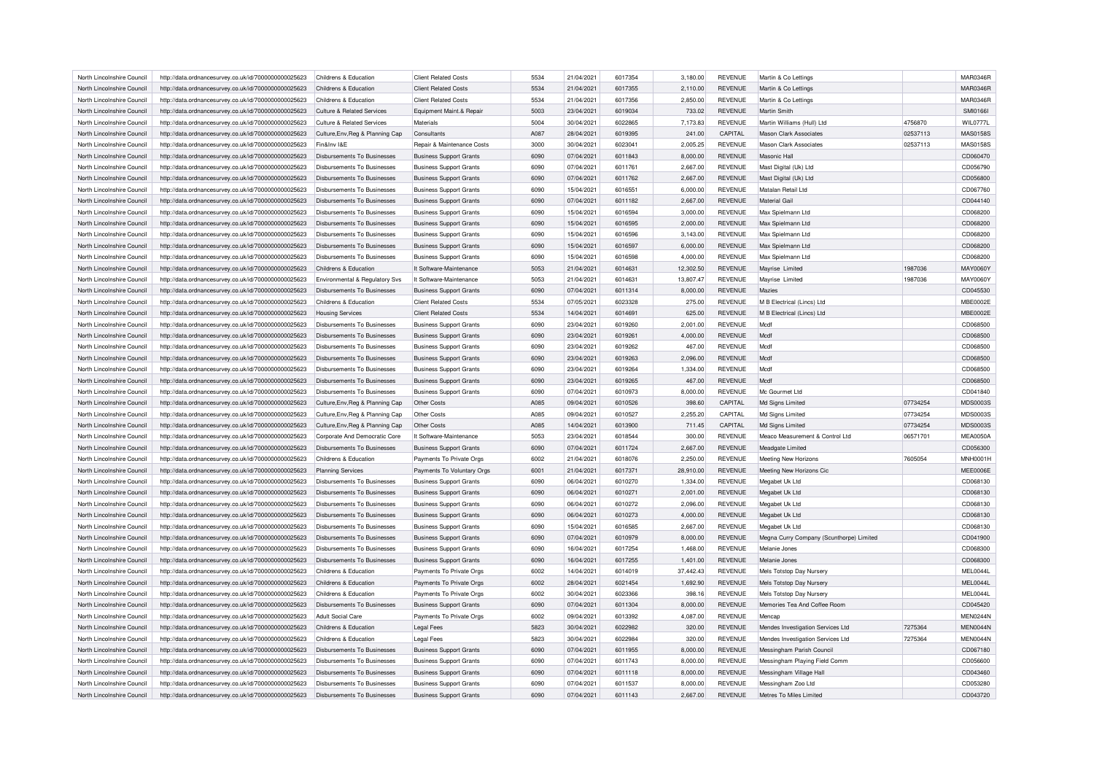| North Lincolnshire Council | http://data.ordnancesurvey.co.uk/id/7000000000025623 | Childrens & Education                 | <b>Client Related Costs</b>    | 5534        | 21/04/2021 | 6017354 | 3,180.00  | <b>REVENUE</b> | Martin & Co Lettings                     |          | MAR0346R        |
|----------------------------|------------------------------------------------------|---------------------------------------|--------------------------------|-------------|------------|---------|-----------|----------------|------------------------------------------|----------|-----------------|
| North Lincolnshire Council | http://data.ordnancesurvey.co.uk/id/7000000000025623 | Childrens & Education                 | <b>Client Related Costs</b>    | 5534        | 21/04/2021 | 6017355 | 2,110.00  | <b>REVENUE</b> | Martin & Co Lettings                     |          | MAR0346R        |
| North Lincolnshire Council | http://data.ordnancesurvey.co.uk/id/7000000000025623 | Childrens & Education                 | <b>Client Related Costs</b>    | 5534        | 21/04/2021 | 6017356 | 2,850.00  | <b>REVENUE</b> | Martin & Co Lettings                     |          | MAR0346R        |
| North Lincolnshire Council | http://data.ordnancesurvey.co.uk/id/7000000000025623 | <b>Culture &amp; Related Services</b> | Equipment Maint.& Repair       | 5003        | 23/04/2021 | 6019034 | 733.02    | <b>REVENUE</b> | Martin Smith                             |          | <b>SMI0166I</b> |
| North Lincolnshire Council | http://data.ordnancesurvey.co.uk/id/7000000000025623 | Culture & Related Services            | Materials                      | 5004        | 30/04/2021 | 6022865 | 7,173.83  | <b>REVENUE</b> | Martin Williams (Hull) Ltd               | 4756870  | <b>WIL0777L</b> |
| North Lincolnshire Council | http://data.ordnancesurvey.co.uk/id/7000000000025623 | Culture, Env, Reg & Planning Cap      | Consultants                    | A087        | 28/04/2021 | 6019395 | 241.00    | CAPITAL        | Mason Clark Associates                   | 02537113 | MAS0158S        |
| North Lincolnshire Council | http://data.ordnancesurvey.co.uk/id/7000000000025623 | Fin&Inv I&E                           | Repair & Maintenance Costs     | 3000        | 30/04/2021 | 6023041 | 2,005.25  | <b>REVENUE</b> | <b>Mason Clark Associates</b>            | 02537113 | MAS0158S        |
| North Lincolnshire Council | http://data.ordnancesurvey.co.uk/id/7000000000025623 | <b>Disbursements To Businesses</b>    | <b>Business Support Grants</b> | 6090        | 07/04/2021 | 6011843 | 8,000.00  | <b>REVENUE</b> | Masonic Hall                             |          | CD060470        |
| North Lincolnshire Council | http://data.ordnancesurvey.co.uk/id/7000000000025623 | Disbursements To Businesses           | <b>Business Support Grants</b> | 6090        | 07/04/2021 | 6011761 | 2,667.00  | <b>REVENUE</b> | Mast Digital (Uk) Ltd                    |          | CD056790        |
| North Lincolnshire Council | http://data.ordnancesurvey.co.uk/id/7000000000025623 | Disbursements To Businesses           | <b>Business Support Grants</b> | 6090        | 07/04/2021 | 6011762 | 2,667.00  | <b>REVENUE</b> | Mast Digital (Uk) Ltd                    |          | CD056800        |
| North Lincolnshire Council | http://data.ordnancesurvey.co.uk/id/7000000000025623 | Disbursements To Businesses           | <b>Business Support Grants</b> | 6090        | 15/04/2021 | 6016551 | 6,000.00  | <b>REVENUE</b> | Matalan Retail Ltd                       |          | CD067760        |
| North Lincolnshire Council | http://data.ordnancesurvey.co.uk/id/7000000000025623 | <b>Disbursements To Businesses</b>    | <b>Business Support Grants</b> | 6090        | 07/04/2021 | 6011182 | 2,667.00  | <b>REVENUE</b> | Material Gail                            |          | CD044140        |
| North Lincolnshire Council | http://data.ordnancesurvey.co.uk/id/7000000000025623 | Disbursements To Businesses           | <b>Business Support Grants</b> | 6090        | 15/04/2021 | 6016594 | 3,000.00  | <b>REVENUE</b> | Max Spielmann Ltd                        |          | CD068200        |
| North Lincolnshire Council | http://data.ordnancesurvey.co.uk/id/7000000000025623 | Disbursements To Businesses           | <b>Business Support Grants</b> | 6090        | 15/04/2021 | 6016595 | 2,000.00  | <b>REVENUE</b> | Max Spielmann Ltd                        |          | CD068200        |
| North Lincolnshire Council |                                                      | Disbursements To Businesses           |                                | 6090        | 15/04/2021 | 6016596 | 3,143.00  | <b>REVENUE</b> | Max Spielmann Ltd                        |          | CD068200        |
|                            | http://data.ordnancesurvey.co.uk/id/7000000000025623 |                                       | <b>Business Support Grants</b> |             |            |         |           |                |                                          |          |                 |
| North Lincolnshire Council | http://data.ordnancesurvey.co.uk/id/7000000000025623 | <b>Disbursements To Businesses</b>    | <b>Business Support Grants</b> | 6090        | 15/04/2021 | 6016597 | 6,000.00  | <b>REVENUE</b> | Max Spielmann Ltd                        |          | CD068200        |
| North Lincolnshire Council | http://data.ordnancesurvey.co.uk/id/7000000000025623 | Disbursements To Businesses           | <b>Business Support Grants</b> | 6090        | 15/04/2021 | 6016598 | 4,000.00  | <b>REVENUE</b> | Max Spielmann Ltd                        |          | CD068200        |
| North Lincolnshire Council | http://data.ordnancesurvey.co.uk/id/7000000000025623 | Childrens & Education                 | It Software-Maintenance        | 5053        | 21/04/2021 | 6014631 | 12,302.50 | <b>REVENUE</b> | Mayrise Limited                          | 1987036  | <b>MAY0060Y</b> |
| North Lincolnshire Council | http://data.ordnancesurvey.co.uk/id/7000000000025623 | Environmental & Regulatory Svs        | It Software-Maintenance        | 5053        | 21/04/2021 | 6014631 | 13,807.47 | <b>REVENUE</b> | Mayrise Limited                          | 1987036  | MAY0060Y        |
| North Lincolnshire Council | http://data.ordnancesurvey.co.uk/id/7000000000025623 | Disbursements To Businesses           | <b>Business Support Grants</b> | 6090        | 07/04/2021 | 6011314 | 8,000.00  | <b>REVENUE</b> | Mazies                                   |          | CD045530        |
| North Lincolnshire Council | http://data.ordnancesurvey.co.uk/id/7000000000025623 | Childrens & Education                 | <b>Client Related Costs</b>    | 5534        | 07/05/2021 | 6023328 | 275.00    | <b>REVENUE</b> | M B Electrical (Lincs) Ltd               |          | <b>MBE0002E</b> |
| North Lincolnshire Council | http://data.ordnancesurvey.co.uk/id/7000000000025623 | <b>Housing Services</b>               | <b>Client Related Costs</b>    | 5534        | 14/04/2021 | 6014691 | 625.00    | <b>REVENUE</b> | M B Electrical (Lincs) Ltd               |          | <b>MBE0002E</b> |
| North Lincolnshire Council | http://data.ordnancesurvey.co.uk/id/7000000000025623 | Disbursements To Businesses           | <b>Business Support Grants</b> | 6090        | 23/04/2021 | 6019260 | 2,001.00  | <b>REVENUE</b> | Mcdf                                     |          | CD068500        |
| North Lincolnshire Council | http://data.ordnancesurvey.co.uk/id/7000000000025623 | Disbursements To Businesses           | <b>Business Support Grants</b> | 6090        | 23/04/2021 | 6019261 | 4,000.00  | <b>REVENUE</b> | Modf                                     |          | CD068500        |
| North Lincolnshire Council | http://data.ordnancesurvey.co.uk/id/7000000000025623 | <b>Disbursements To Businesses</b>    | <b>Business Support Grants</b> | 6090        | 23/04/2021 | 6019262 | 467.00    | <b>REVENUE</b> | Mcdf                                     |          | CD068500        |
| North Lincolnshire Council | http://data.ordnancesurvey.co.uk/id/7000000000025623 | Disbursements To Businesses           | <b>Business Support Grants</b> | 6090        | 23/04/2021 | 6019263 | 2,096.00  | <b>REVENUE</b> | Mcdf                                     |          | CD068500        |
| North Lincolnshire Council | http://data.ordnancesurvey.co.uk/id/7000000000025623 | Disbursements To Businesses           | <b>Business Support Grants</b> | 6090        | 23/04/2021 | 6019264 | 1,334.00  | <b>REVENUE</b> | Modf                                     |          | CD068500        |
| North Lincolnshire Council | http://data.ordnancesurvey.co.uk/id/7000000000025623 | Disbursements To Businesses           | <b>Business Support Grants</b> | 6090        | 23/04/2021 | 6019265 | 467.00    | <b>REVENUE</b> | Mcdf                                     |          | CD068500        |
| North Lincolnshire Council | http://data.ordnancesurvey.co.uk/id/7000000000025623 | Disbursements To Businesses           | <b>Business Support Grants</b> | 6090        | 07/04/2021 | 6010973 | 8,000.00  | <b>REVENUE</b> | Mc Gourmet Ltd                           |          | CD041840        |
| North Lincolnshire Council | http://data.ordnancesurvey.co.uk/id/7000000000025623 | Culture, Env, Reg & Planning Cap      | Other Costs                    | <b>A085</b> | 09/04/2021 | 6010526 | 398.60    | CAPITAL        | Md Signs Limited                         | 07734254 | MDS0003S        |
| North Lincolnshire Council | http://data.ordnancesurvey.co.uk/id/7000000000025623 | Culture, Env, Reg & Planning Cap      | Other Costs                    | A085        | 09/04/2021 | 6010527 | 2,255.20  | CAPITAL        | Md Signs Limited                         | 07734254 | MDS0003S        |
| North Lincolnshire Council | http://data.ordnancesurvey.co.uk/id/7000000000025623 | Culture, Env, Reg & Planning Cap      | Other Costs                    | A085        | 14/04/2021 | 6013900 | 711.45    | CAPITAL        | Md Signs Limited                         | 07734254 | <b>MDS0003S</b> |
| North Lincolnshire Council | http://data.ordnancesurvey.co.uk/id/7000000000025623 | Corporate And Democratic Core         | It Software-Maintenance        | 5053        | 23/04/2021 | 6018544 | 300.00    | <b>REVENUE</b> | Meaco Measurement & Control Ltd          | 06571701 | <b>MEA0050A</b> |
| North Lincolnshire Council | http://data.ordnancesurvey.co.uk/id/7000000000025623 | <b>Disbursements To Businesses</b>    | <b>Business Support Grants</b> | 6090        | 07/04/2021 | 6011724 | 2,667.00  | <b>REVENUE</b> | Meadgate Limited                         |          | CD056300        |
| North Lincolnshire Council | http://data.ordnancesurvey.co.uk/id/7000000000025623 | Childrens & Education                 | Payments To Private Orgs       | 6002        | 21/04/2021 | 6018076 | 2,250.00  | <b>REVENUE</b> | Meeting New Horizons                     | 7605054  | <b>MNH0001H</b> |
| North Lincolnshire Council | http://data.ordnancesurvey.co.uk/id/7000000000025623 | Planning Services                     | Payments To Voluntary Orgs     | 6001        | 21/04/2021 | 6017371 | 28,910.00 | <b>REVENUE</b> | Meeting New Horizons Cic                 |          | MEE0006E        |
| North Lincolnshire Council | http://data.ordnancesurvey.co.uk/id/7000000000025623 | Disbursements To Businesses           | <b>Business Support Grants</b> | 6090        | 06/04/2021 | 6010270 | 1,334.00  | <b>REVENUE</b> | Megabet Uk Ltd                           |          | CD068130        |
| North Lincolnshire Council |                                                      | Disbursements To Businesses           |                                | 6090        | 06/04/2021 | 6010271 | 2,001.00  | <b>REVENUE</b> | Megabet Uk Ltd                           |          | CD068130        |
|                            | http://data.ordnancesurvey.co.uk/id/7000000000025623 |                                       | <b>Business Support Grants</b> |             |            |         |           |                |                                          |          |                 |
| North Lincolnshire Council | http://data.ordnancesurvey.co.uk/id/7000000000025623 | Disbursements To Businesses           | <b>Business Support Grants</b> | 6090        | 06/04/2021 | 6010272 | 2,096.00  | <b>REVENUE</b> | Megabet Uk Ltd                           |          | CD068130        |
| North Lincolnshire Council | http://data.ordnancesurvey.co.uk/id/7000000000025623 | Disbursements To Businesses           | <b>Business Support Grants</b> | 6090        | 06/04/2021 | 6010273 | 4,000.00  | <b>REVENUE</b> | Megabet Uk Ltd                           |          | CD068130        |
| North Lincolnshire Council | http://data.ordnancesurvey.co.uk/id/7000000000025623 | <b>Disbursements To Businesses</b>    | <b>Business Support Grants</b> | 6090        | 15/04/2021 | 6016585 | 2,667.00  | <b>REVENUE</b> | Megabet Uk Ltd                           |          | CD068130        |
| North Lincolnshire Council | http://data.ordnancesurvey.co.uk/id/7000000000025623 | Disbursements To Businesses           | <b>Business Support Grants</b> | 6090        | 07/04/2021 | 6010979 | 8,000.00  | <b>REVENUE</b> | Megna Curry Company (Scunthorpe) Limited |          | CD041900        |
| North Lincolnshire Council | http://data.ordnancesurvey.co.uk/id/7000000000025623 | <b>Disbursements To Businesses</b>    | <b>Business Support Grants</b> | 6090        | 16/04/2021 | 6017254 | 1,468.00  | <b>REVENUE</b> | Melanie Jones                            |          | CD068300        |
| North Lincolnshire Council | http://data.ordnancesurvey.co.uk/id/7000000000025623 | Disbursements To Businesses           | <b>Business Support Grants</b> | 6090        | 16/04/2021 | 6017255 | 1,401.00  | <b>REVENUE</b> | Melanie Jones                            |          | CD068300        |
| North Lincolnshire Council | http://data.ordnancesurvey.co.uk/id/7000000000025623 | Childrens & Education                 | Payments To Private Orgs       | 6002        | 14/04/2021 | 6014019 | 37,442.43 | <b>REVENUE</b> | Mels Totstop Day Nursery                 |          | MEL0044L        |
| North Lincolnshire Council | http://data.ordnancesurvey.co.uk/id/7000000000025623 | Childrens & Education                 | Payments To Private Orgs       | 6002        | 28/04/2021 | 6021454 | 1,692.90  | <b>REVENUE</b> | Mels Totstop Day Nursery                 |          | MEL0044L        |
| North Lincolnshire Council | http://data.ordnancesurvey.co.uk/id/7000000000025623 | Childrens & Education                 | Payments To Private Orgs       | 6002        | 30/04/2021 | 6023366 | 398.16    | <b>REVENUE</b> | Mels Totstop Day Nursery                 |          | MEL0044L        |
| North Lincolnshire Council | http://data.ordnancesurvey.co.uk/id/7000000000025623 | Disbursements To Businesses           | <b>Business Support Grants</b> | 6090        | 07/04/2021 | 6011304 | 8,000.00  | <b>REVENUE</b> | Memories Tea And Coffee Room             |          | CD045420        |
| North Lincolnshire Council | http://data.ordnancesurvey.co.uk/id/7000000000025623 | <b>Adult Social Care</b>              | Payments To Private Orgs       | 6002        | 09/04/2021 | 6013392 | 4,087.00  | <b>REVENUE</b> | Mencar                                   |          | MEN0244N        |
| North Lincolnshire Council | http://data.ordnancesurvey.co.uk/id/7000000000025623 | Childrens & Education                 | <b>Legal Fees</b>              | 5823        | 30/04/2021 | 6022982 | 320.00    | <b>REVENUE</b> | Mendes Investigation Services Ltd        | 7275364  | MEN0044N        |
| North Lincolnshire Council | http://data.ordnancesurvey.co.uk/id/7000000000025623 | Childrens & Education                 | <b>Legal Fees</b>              | 5823        | 30/04/2021 | 6022984 | 320.00    | <b>REVENUE</b> | Mendes Investigation Services Ltd        | 7275364  | MEN0044N        |
| North Lincolnshire Council | http://data.ordnancesurvey.co.uk/id/7000000000025623 | <b>Disbursements To Businesses</b>    | <b>Business Support Grants</b> | 6090        | 07/04/2021 | 6011955 | 8,000.00  | <b>REVENUE</b> | Messingham Parish Council                |          | CD067180        |
| North Lincolnshire Council | http://data.ordnancesurvey.co.uk/id/7000000000025623 | Disbursements To Businesses           | <b>Business Support Grants</b> | 6090        | 07/04/2021 | 6011743 | 8,000.00  | <b>REVENUE</b> | Messingham Playing Field Comm            |          | CD056600        |
| North Lincolnshire Council | http://data.ordnancesurvey.co.uk/id/7000000000025623 | <b>Disbursements To Businesses</b>    | <b>Business Support Grants</b> | 6090        | 07/04/2021 | 6011118 | 8,000.00  | <b>REVENUE</b> | Messingham Village Hall                  |          | CD043460        |
| North Lincolnshire Council | http://data.ordnancesurvey.co.uk/id/7000000000025623 | Disbursements To Businesses           | <b>Business Support Grants</b> | 6090        | 07/04/2021 | 6011537 | 8,000.00  | <b>REVENUE</b> | Messingham Zoo Ltd                       |          | CD053280        |
| North Lincolnshire Council | http://data.ordnancesurvey.co.uk/id/7000000000025623 | Disbursements To Businesses           | <b>Business Support Grants</b> | 6090        | 07/04/2021 | 6011143 | 2,667.00  | <b>REVENUE</b> | Metres To Miles Limited                  |          | CD043720        |
|                            |                                                      |                                       |                                |             |            |         |           |                |                                          |          |                 |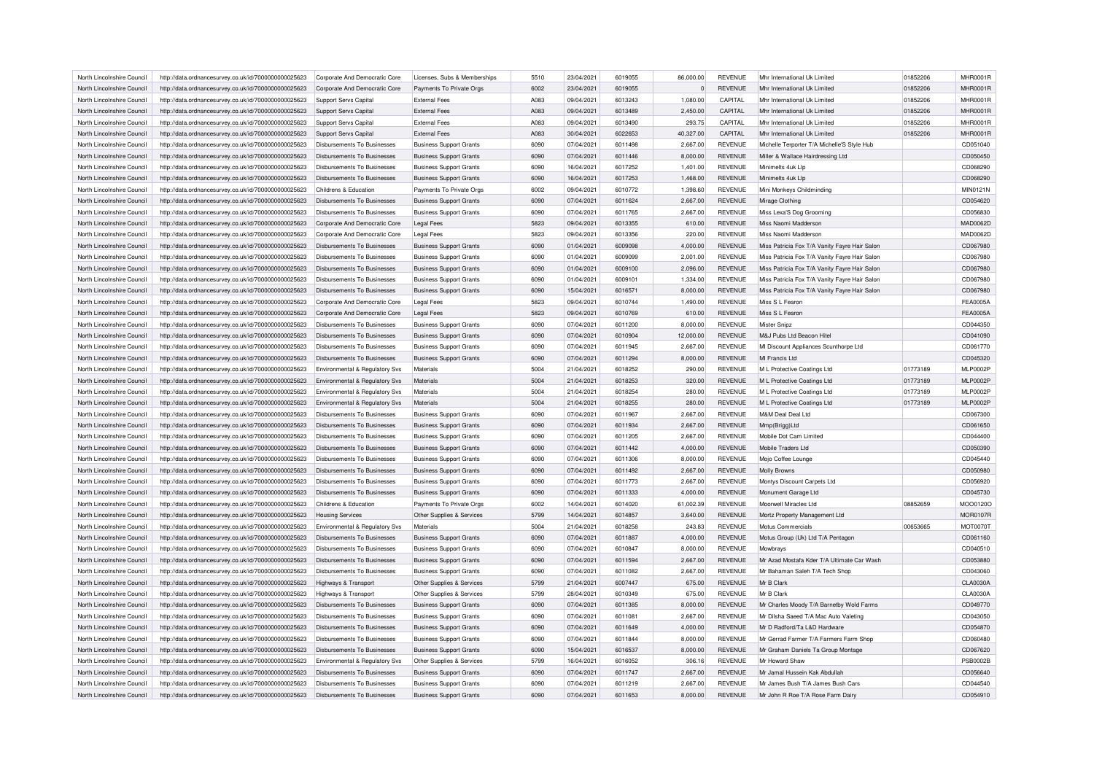| North Lincolnshire Council | http://data.ordnancesurvey.co.uk/id/7000000000025623 | Corporate And Democratic Core      | Licenses, Subs & Memberships   | 5510 | 23/04/2021 | 6019055 | 86,000.00      | <b>REVENUE</b> | Mhr International Uk Limited                  | 01852206 | MHR0001R        |
|----------------------------|------------------------------------------------------|------------------------------------|--------------------------------|------|------------|---------|----------------|----------------|-----------------------------------------------|----------|-----------------|
| North Lincolnshire Council | http://data.ordnancesurvey.co.uk/id/7000000000025623 | Corporate And Democratic Core      | Payments To Private Orgs       | 6002 | 23/04/2021 | 6019055 | $\overline{0}$ | <b>REVENUE</b> | Mhr International Uk Limited                  | 01852206 | <b>MHR0001R</b> |
| North Lincolnshire Council | http://data.ordnancesurvey.co.uk/id/7000000000025623 | Support Servs Capital              | <b>External Fees</b>           | A083 | 09/04/2021 | 6013243 | 1,080.00       | CAPITAL        | Mhr International Uk Limited                  | 01852206 | <b>MHR0001R</b> |
| North Lincolnshire Council | http://data.ordnancesurvey.co.uk/id/7000000000025623 | Support Servs Capital              | <b>External Fees</b>           | A083 | 09/04/2021 | 6013489 | 2,450.00       | CAPITAL        | Mhr International Uk Limited                  | 01852206 | MHR0001R        |
| North Lincolnshire Council | http://data.ordnancesurvey.co.uk/id/7000000000025623 | Support Servs Capital              | <b>External Fees</b>           | A083 | 09/04/2021 | 6013490 | 293.75         | CAPITAL        | Mhr International Uk Limited                  | 01852206 | <b>MHR0001R</b> |
| North Lincolnshire Council | http://data.ordnancesurvey.co.uk/id/7000000000025623 | Support Servs Capital              | <b>External Fees</b>           | A083 | 30/04/2021 | 6022653 | 40,327.00      | CAPITAL        | Mhr International Uk Limited                  | 01852206 | <b>MHR0001R</b> |
| North Lincolnshire Council | http://data.ordnancesurvey.co.uk/id/7000000000025623 | Disbursements To Businesses        | <b>Business Support Grants</b> | 6090 | 07/04/2021 | 6011498 | 2,667.00       | <b>REVENUE</b> | Michelle Terporter T/A Michelle'S Style Hub   |          | CD051040        |
| North Lincolnshire Council | http://data.ordnancesurvey.co.uk/id/7000000000025623 | Disbursements To Businesses        | <b>Business Support Grants</b> | 6090 | 07/04/2021 | 6011446 | 8,000.00       | <b>REVENUE</b> | Miller & Wallace Hairdressing Ltd             |          | CD050450        |
| North Lincolnshire Council | http://data.ordnancesurvey.co.uk/id/7000000000025623 | Disbursements To Businesses        | <b>Business Support Grants</b> | 6090 | 16/04/2021 | 6017252 | 1,401.00       | <b>REVENUE</b> | Minimelts 4uk Llp                             |          | CD068290        |
| North Lincolnshire Council | http://data.ordnancesurvey.co.uk/id/7000000000025623 | Disbursements To Businesses        | <b>Business Support Grants</b> | 6090 | 16/04/2021 | 6017253 | 1,468.00       | <b>REVENUE</b> | Minimelts 4uk Llp                             |          | CD068290        |
| North Lincolnshire Council | http://data.ordnancesurvey.co.uk/id/7000000000025623 | Childrens & Education              | Payments To Private Orgs       | 6002 | 09/04/2021 | 6010772 | 1,398.60       | <b>REVENUE</b> | Mini Monkeys Childminding                     |          | MIN0121N        |
| North Lincolnshire Council | http://data.ordnancesurvey.co.uk/id/7000000000025623 | Disbursements To Businesses        | <b>Business Support Grants</b> | 6090 | 07/04/2021 | 6011624 | 2,667.00       | <b>REVENUE</b> | Mirage Clothing                               |          | CD054620        |
| North Lincolnshire Council | http://data.ordnancesurvey.co.uk/id/7000000000025623 | <b>Disbursements To Businesses</b> | <b>Business Support Grants</b> | 6090 | 07/04/2021 | 6011765 | 2,667.00       | <b>REVENUE</b> | Miss Lexa'S Dog Grooming                      |          | CD056830        |
| North Lincolnshire Council | http://data.ordnancesurvey.co.uk/id/7000000000025623 | Corporate And Democratic Core      | <b>Legal Fees</b>              | 5823 | 09/04/2021 | 6013355 | 610.00         | <b>REVENUE</b> | Miss Naomi Madderson                          |          | MAD0062D        |
| North Lincolnshire Council | http://data.ordnancesurvey.co.uk/id/7000000000025623 | Corporate And Democratic Core      | <b>Legal Fees</b>              | 5823 | 09/04/2021 | 6013356 | 220.00         | <b>REVENUE</b> | Miss Naomi Madderson                          |          | MAD0062D        |
|                            |                                                      |                                    |                                |      |            |         |                |                |                                               |          | CD067980        |
| North Lincolnshire Council | http://data.ordnancesurvey.co.uk/id/7000000000025623 | Disbursements To Businesses        | <b>Business Support Grants</b> | 6090 | 01/04/2021 | 6009098 | 4,000.00       | <b>REVENUE</b> | Miss Patricia Fox T/A Vanity Fayre Hair Salon |          |                 |
| North Lincolnshire Council | http://data.ordnancesurvey.co.uk/id/7000000000025623 | Disbursements To Businesses        | <b>Business Support Grants</b> | 6090 | 01/04/2021 | 6009099 | 2,001.00       | <b>REVENUE</b> | Miss Patricia Fox T/A Vanity Fayre Hair Salon |          | CD067980        |
| North Lincolnshire Council | http://data.ordnancesurvey.co.uk/id/7000000000025623 | Disbursements To Businesses        | <b>Business Support Grants</b> | 6090 | 01/04/2021 | 6009100 | 2,096.00       | <b>REVENUE</b> | Miss Patricia Fox T/A Vanity Fayre Hair Salon |          | CD067980        |
| North Lincolnshire Council | http://data.ordnancesurvey.co.uk/id/7000000000025623 | <b>Disbursements To Businesses</b> | <b>Business Support Grants</b> | 6090 | 01/04/2021 | 6009101 | 1,334.00       | <b>REVENUE</b> | Miss Patricia Fox T/A Vanity Fayre Hair Salon |          | CD067980        |
| North Lincolnshire Council | http://data.ordnancesurvey.co.uk/id/7000000000025623 | Disbursements To Businesses        | <b>Business Support Grants</b> | 6090 | 15/04/2021 | 6016571 | 8,000.00       | <b>REVENUE</b> | Miss Patricia Fox T/A Vanity Fayre Hair Salon |          | CD067980        |
| North Lincolnshire Council | http://data.ordnancesurvey.co.uk/id/7000000000025623 | Corporate And Democratic Core      | <b>Legal Fees</b>              | 5823 | 09/04/2021 | 6010744 | 1,490.00       | <b>REVENUE</b> | Miss S L Fearon                               |          | <b>FEA0005A</b> |
| North Lincolnshire Council | http://data.ordnancesurvey.co.uk/id/7000000000025623 | Corporate And Democratic Core      | <b>Legal Fees</b>              | 5823 | 09/04/2021 | 6010769 | 610.00         | <b>REVENUE</b> | Miss S L Fearon                               |          | <b>FEA0005A</b> |
| North Lincolnshire Council | http://data.ordnancesurvey.co.uk/id/7000000000025623 | <b>Disbursements To Businesses</b> | <b>Business Support Grants</b> | 6090 | 07/04/2021 | 6011200 | 8,000.00       | <b>REVENUE</b> | Mister Snipz                                  |          | CD044350        |
| North Lincolnshire Council | http://data.ordnancesurvey.co.uk/id/7000000000025623 | Disbursements To Businesses        | <b>Business Support Grants</b> | 6090 | 07/04/2021 | 6010904 | 12,000.00      | <b>REVENUE</b> | M&J Pubs Ltd Beacon Hitel                     |          | CD041090        |
| North Lincolnshire Council | http://data.ordnancesurvey.co.uk/id/7000000000025623 | Disbursements To Businesses        | <b>Business Support Grants</b> | 6090 | 07/04/2021 | 6011945 | 2,667.00       | <b>REVENUE</b> | MI Discount Appliances Scunthorpe Ltd         |          | CD061770        |
| North Lincolnshire Council | http://data.ordnancesurvey.co.uk/id/7000000000025623 | Disbursements To Businesses        | <b>Business Support Grants</b> | 6090 | 07/04/2021 | 6011294 | 8,000.00       | <b>REVENUE</b> | MI Francis I td                               |          | CD045320        |
| North Lincolnshire Council | http://data.ordnancesurvey.co.uk/id/7000000000025623 | Environmental & Regulatory Svs     | Materials                      | 5004 | 21/04/2021 | 6018252 | 290.00         | <b>REVENUE</b> | M L Protective Coatings Ltd                   | 01773189 | <b>MLP0002P</b> |
| North Lincolnshire Council | http://data.ordnancesurvey.co.uk/id/7000000000025623 | Environmental & Regulatory Svs     | Materials                      | 5004 | 21/04/2021 | 6018253 | 320.00         | <b>REVENUE</b> | M L Protective Coatings Ltd                   | 01773189 | <b>MLP0002F</b> |
| North Lincolnshire Council | http://data.ordnancesurvey.co.uk/id/7000000000025623 | Environmental & Regulatory Svs     | Materials                      | 5004 | 21/04/2021 | 6018254 | 280.00         | <b>REVENUE</b> | M L Protective Coatings Ltd                   | 01773189 | <b>MLP0002P</b> |
| North Lincolnshire Council | http://data.ordnancesurvey.co.uk/id/7000000000025623 | Environmental & Regulatory Svs     | Materials                      | 5004 | 21/04/2021 | 6018255 | 280.00         | <b>REVENUE</b> | M L Protective Coatings Ltd                   | 01773189 | <b>MLP0002P</b> |
| North Lincolnshire Council | http://data.ordnancesurvey.co.uk/id/7000000000025623 | Disbursements To Businesses        | <b>Business Support Grants</b> | 6090 | 07/04/2021 | 6011967 | 2,667.00       | <b>REVENUE</b> | M&M Deal Deal Ltd                             |          | CD067300        |
| North Lincolnshire Council | http://data.ordnancesurvey.co.uk/id/7000000000025623 | Disbursements To Businesses        | <b>Business Support Grants</b> | 6090 | 07/04/2021 | 6011934 | 2,667.00       | <b>REVENUE</b> | Mmp(Brigg)Ltd                                 |          | CD061650        |
| North Lincolnshire Council | http://data.ordnancesurvey.co.uk/id/7000000000025623 | Disbursements To Businesses        | <b>Business Support Grants</b> | 6090 | 07/04/2021 | 6011205 | 2,667.00       | <b>REVENUE</b> | Mobile Dot Cam Limited                        |          | CD044400        |
| North Lincolnshire Council | http://data.ordnancesurvey.co.uk/id/7000000000025623 | <b>Disbursements To Businesses</b> | <b>Business Support Grants</b> | 6090 | 07/04/2021 | 6011442 | 4,000.00       | <b>REVENUE</b> | Mobile Traders Ltd                            |          | CD050390        |
| North Lincolnshire Council | http://data.ordnancesurvey.co.uk/id/7000000000025623 | Disbursements To Businesses        | <b>Business Support Grants</b> | 6090 | 07/04/2021 | 6011306 | 8,000.00       | <b>REVENUE</b> | Mojo Coffee Lounge                            |          | CD045440        |
| North Lincolnshire Council | http://data.ordnancesurvey.co.uk/id/7000000000025623 | Disbursements To Businesses        | <b>Business Support Grants</b> | 6090 | 07/04/2021 | 6011492 | 2,667.00       | <b>REVENUE</b> | Molly Browns                                  |          | CD050980        |
| North Lincolnshire Council |                                                      | Disbursements To Businesses        |                                | 6090 | 07/04/2021 | 6011773 | 2,667.00       | <b>REVENUE</b> | Montys Discount Carpets Ltd                   |          | CD056920        |
|                            | http://data.ordnancesurvey.co.uk/id/7000000000025623 |                                    | <b>Business Support Grants</b> |      |            |         |                |                |                                               |          | CD045730        |
| North Lincolnshire Council | http://data.ordnancesurvey.co.uk/id/7000000000025623 | Disbursements To Businesses        | <b>Business Support Grants</b> | 6090 | 07/04/2021 | 6011333 | 4,000.00       | <b>REVENUE</b> | Monument Garage Ltd                           |          |                 |
| North Lincolnshire Council | http://data.ordnancesurvey.co.uk/id/7000000000025623 | Childrens & Education              | Payments To Private Orgs       | 6002 | 14/04/2021 | 6014020 | 61,002.39      | <b>REVENUE</b> | Moorwell Miracles Ltd                         | 08852659 | MOO0120O        |
| North Lincolnshire Council | http://data.ordnancesurvey.co.uk/id/7000000000025623 | <b>Housing Services</b>            | Other Supplies & Services      | 5799 | 14/04/2021 | 6014857 | 3,640.00       | <b>REVENUE</b> | Mortz Property Management Ltd                 |          | <b>MOR0107R</b> |
| North Lincolnshire Council | http://data.ordnancesurvey.co.uk/id/7000000000025623 | Environmental & Regulatory Svs     | Materials                      | 5004 | 21/04/2021 | 6018258 | 243.83         | <b>REVENUE</b> | Motus Commercials                             | 00653665 | <b>MOT0070T</b> |
| North Lincolnshire Council | http://data.ordnancesurvey.co.uk/id/7000000000025623 | Disbursements To Businesses        | <b>Business Support Grants</b> | 6090 | 07/04/2021 | 6011887 | 4,000.00       | <b>REVENUE</b> | Motus Group (Uk) Ltd T/A Pentagon             |          | CD061160        |
| North Lincolnshire Council | http://data.ordnancesurvey.co.uk/id/7000000000025623 | Disbursements To Businesses        | <b>Business Support Grants</b> | 6090 | 07/04/2021 | 6010847 | 8,000.00       | <b>REVENUE</b> | Mowbrays                                      |          | CD040510        |
| North Lincolnshire Council | http://data.ordnancesurvey.co.uk/id/7000000000025623 | Disbursements To Businesses        | <b>Business Support Grants</b> | 6090 | 07/04/2021 | 6011594 | 2,667.00       | <b>REVENUE</b> | Mr Azad Mostafa Kder T/A Ultimate Car Wash    |          | CD053880        |
| North Lincolnshire Council | http://data.ordnancesurvey.co.uk/id/7000000000025623 | <b>Disbursements To Businesses</b> | <b>Business Support Grants</b> | 6090 | 07/04/2021 | 6011082 | 2,667.00       | REVENUE        | Mr Bahaman Saleh T/A Tech Shop                |          | CD043060        |
| North Lincolnshire Council | http://data.ordnancesurvey.co.uk/id/7000000000025623 | Highways & Transport               | Other Supplies & Services      | 5799 | 21/04/2021 | 6007447 | 675.00         | <b>REVENUE</b> | Mr B Clark                                    |          | CLA0030A        |
| North Lincolnshire Council | http://data.ordnancesurvey.co.uk/id/7000000000025623 | Highways & Transport               | Other Supplies & Services      | 5799 | 28/04/2021 | 6010349 | 675.00         | REVENUE        | Mr B Clark                                    |          | CLA0030A        |
| North Lincolnshire Council | http://data.ordnancesurvey.co.uk/id/7000000000025623 | Disbursements To Businesses        | <b>Business Support Grants</b> | 6090 | 07/04/2021 | 6011385 | 8,000.00       | REVENUE        | Mr Charles Moody T/A Barnetby Wold Farms      |          | CD049770        |
| North Lincolnshire Council | http://data.ordnancesurvey.co.uk/id/7000000000025623 | <b>Disbursements To Businesses</b> | <b>Business Support Grants</b> | 6090 | 07/04/2021 | 601108  | 2,667.00       | <b>REVENUE</b> | Mr Dilsha Saeed T/A Mac Auto Valeting         |          | CD043050        |
| North Lincolnshire Council | http://data.ordnancesurvey.co.uk/id/7000000000025623 | Disbursements To Businesses        | <b>Business Support Grants</b> | 6090 | 07/04/2021 | 6011649 | 4,000.00       | <b>REVENUE</b> | Mr D Radford/Ta L&D Hardware                  |          | CD054870        |
| North Lincolnshire Council | http://data.ordnancesurvey.co.uk/id/7000000000025623 | Disbursements To Businesses        | <b>Business Support Grants</b> | 6090 | 07/04/2021 | 6011844 | 8,000.00       | <b>REVENUE</b> | Mr Gerrad Farmer T/A Farmers Farm Shop        |          | CD060480        |
| North Lincolnshire Council | http://data.ordnancesurvey.co.uk/id/7000000000025623 | Disbursements To Businesses        | <b>Business Support Grants</b> | 6090 | 15/04/2021 | 6016537 | 8,000.00       | <b>REVENUE</b> | Mr Graham Daniels Ta Group Montage            |          | CD067620        |
| North Lincolnshire Council | http://data.ordnancesurvey.co.uk/id/7000000000025623 | Environmental & Regulatory Sys     | Other Supplies & Services      | 5799 | 16/04/2021 | 6016052 | 306.16         | <b>REVENUE</b> | Mr Howard Shaw                                |          | <b>PSB0002B</b> |
| North Lincolnshire Council | http://data.ordnancesurvey.co.uk/id/7000000000025623 | Disbursements To Businesses        | <b>Business Support Grants</b> | 6090 | 07/04/2021 | 6011747 | 2,667.00       | <b>REVENUE</b> | Mr Jamal Hussein Kak Abdullah                 |          | CD056640        |
| North Lincolnshire Council | http://data.ordnancesurvey.co.uk/id/7000000000025623 | Disbursements To Businesses        | <b>Business Support Grants</b> | 6090 | 07/04/2021 | 6011219 | 2.667.00       | REVENUE        | Mr James Bush T/A James Bush Cars             |          | CD044540        |
| North Lincolnshire Council | http://data.ordnancesurvey.co.uk/id/7000000000025623 | Disbursements To Businesses        | <b>Business Support Grants</b> | 6090 | 07/04/2021 | 6011653 | 8.000.00       | <b>REVENUE</b> | Mr John R Roe T/A Rose Farm Dairy             |          | CD054910        |
|                            |                                                      |                                    |                                |      |            |         |                |                |                                               |          |                 |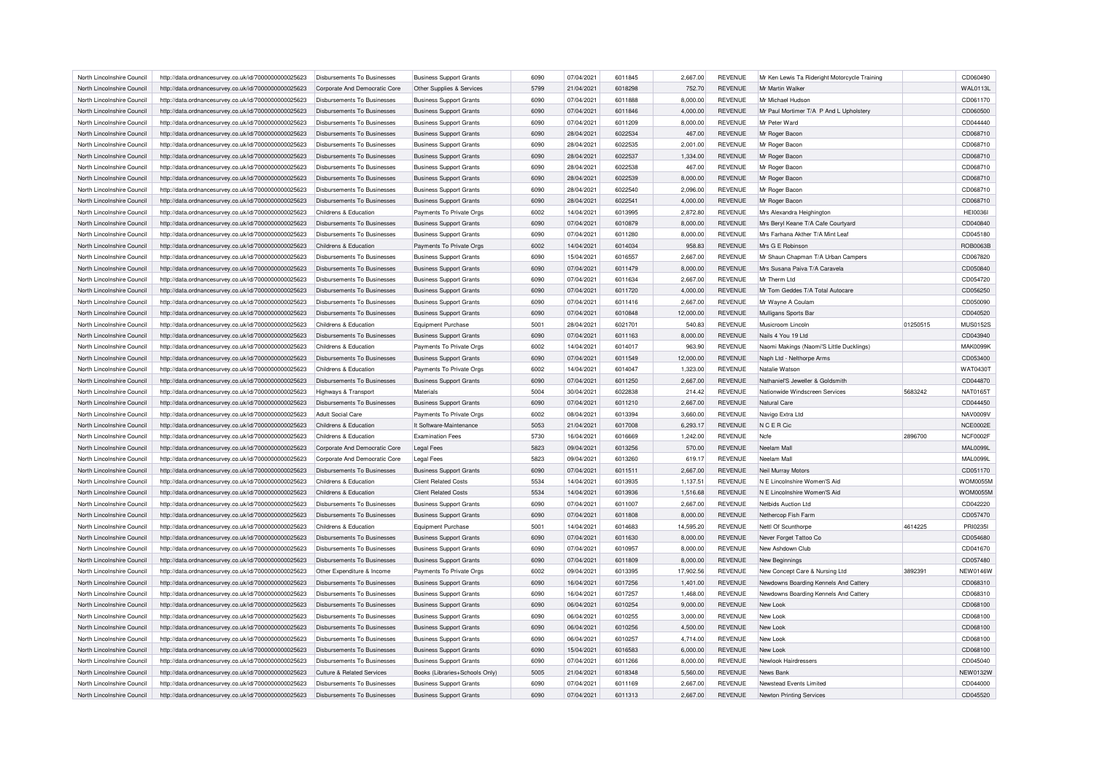| North Lincolnshire Council | http://data.ordnancesurvey.co.uk/id/7000000000025623 | Disbursements To Businesses        | <b>Business Support Grants</b> | 6090 | 07/04/2021 | 6011845 | 2,667.00  | <b>REVENUE</b> | Mr Ken Lewis Ta Rideright Motorcycle Training |          | CD060490        |
|----------------------------|------------------------------------------------------|------------------------------------|--------------------------------|------|------------|---------|-----------|----------------|-----------------------------------------------|----------|-----------------|
| North Lincolnshire Council | http://data.ordnancesurvey.co.uk/id/7000000000025623 | Corporate And Democratic Core      | Other Supplies & Services      | 5799 | 21/04/2021 | 6018298 | 752.70    | <b>REVENUE</b> | Mr Martin Walke                               |          | <b>WAL0113L</b> |
| North Lincolnshire Council | http://data.ordnancesurvey.co.uk/id/7000000000025623 | Disbursements To Businesses        | <b>Business Support Grants</b> | 6090 | 07/04/2021 | 6011888 | 8,000.00  | <b>REVENUE</b> | Mr Michael Hudson                             |          | CD061170        |
| North Lincolnshire Council | http://data.ordnancesurvey.co.uk/id/7000000000025623 | Disbursements To Businesses        | <b>Business Support Grants</b> | 6090 | 07/04/2021 | 6011846 | 4,000.00  | <b>REVENUE</b> | Mr Paul Mortimer T/A P And L Upholstery       |          | CD060500        |
| North Lincolnshire Council | http://data.ordnancesurvey.co.uk/id/7000000000025623 | Disbursements To Businesses        | <b>Business Support Grants</b> | 6090 | 07/04/2021 | 6011209 | 8,000.00  | <b>REVENUE</b> | Mr Peter Ward                                 |          | CD044440        |
| North Lincolnshire Council | http://data.ordnancesurvey.co.uk/id/7000000000025623 | <b>Disbursements To Businesses</b> | <b>Business Support Grants</b> | 6090 | 28/04/2021 | 6022534 | 467.00    | <b>REVENUE</b> | Mr Roger Bacon                                |          | CD068710        |
| North Lincolnshire Council | http://data.ordnancesurvey.co.uk/id/7000000000025623 | Disbursements To Businesses        | <b>Business Support Grants</b> | 6090 | 28/04/2021 | 6022535 | 2,001.00  | <b>REVENUE</b> | Mr Roger Bacon                                |          | CD068710        |
| North Lincolnshire Council | http://data.ordnancesurvey.co.uk/id/7000000000025623 | <b>Disbursements To Businesses</b> | <b>Business Support Grants</b> | 6090 | 28/04/2021 | 6022537 | 1,334.00  | <b>REVENUE</b> | Mr Roger Bacon                                |          | CD068710        |
| North Lincolnshire Council | http://data.ordnancesurvey.co.uk/id/7000000000025623 | Disbursements To Businesses        | <b>Business Support Grants</b> | 6090 | 28/04/2021 | 6022538 | 467.00    | <b>REVENUE</b> | Mr Roger Bacon                                |          | CD068710        |
| North Lincolnshire Council | http://data.ordnancesurvey.co.uk/id/7000000000025623 | <b>Disbursements To Businesses</b> | <b>Business Support Grants</b> | 6090 | 28/04/2021 | 6022539 | 8,000.00  | <b>REVENUE</b> | Mr Roger Bacon                                |          | CD068710        |
|                            |                                                      |                                    |                                |      |            | 6022540 |           |                |                                               |          | CD068710        |
| North Lincolnshire Council | http://data.ordnancesurvey.co.uk/id/7000000000025623 | Disbursements To Businesses        | <b>Business Support Grants</b> | 6090 | 28/04/2021 |         | 2,096.00  | <b>REVENUE</b> | Mr Roger Bacon                                |          |                 |
| North Lincolnshire Council | http://data.ordnancesurvey.co.uk/id/7000000000025623 | <b>Disbursements To Businesses</b> | <b>Business Support Grants</b> | 6090 | 28/04/2021 | 6022541 | 4,000.00  | <b>REVENUE</b> | Mr Roger Bacon                                |          | CD068710        |
| North Lincolnshire Council | http://data.ordnancesurvey.co.uk/id/7000000000025623 | Childrens & Education              | Payments To Private Orgs       | 6002 | 14/04/2021 | 6013995 | 2,872.80  | <b>REVENUE</b> | Mrs Alexandra Heighington                     |          | <b>HEI0036I</b> |
| North Lincolnshire Council | http://data.ordnancesurvey.co.uk/id/7000000000025623 | <b>Disbursements To Businesses</b> | <b>Business Support Grants</b> | 6090 | 07/04/2021 | 6010879 | 8,000.00  | <b>REVENUE</b> | Mrs Beryl Keane T/A Cafe Courtyard            |          | CD040840        |
| North Lincolnshire Council | http://data.ordnancesurvey.co.uk/id/7000000000025623 | Disbursements To Businesses        | <b>Business Support Grants</b> | 6090 | 07/04/2021 | 6011280 | 8,000.00  | <b>REVENUE</b> | Mrs Farhana Akther T/A Mint Lea               |          | CD045180        |
| North Lincolnshire Council | http://data.ordnancesurvey.co.uk/id/7000000000025623 | Childrens & Education              | Payments To Private Orgs       | 6002 | 14/04/2021 | 6014034 | 958.83    | <b>REVENUE</b> | Mrs G E Robinson                              |          | ROB0063B        |
| North Lincolnshire Council | http://data.ordnancesurvey.co.uk/id/7000000000025623 | Disbursements To Businesses        | <b>Business Support Grants</b> | 6090 | 15/04/2021 | 6016557 | 2,667.00  | <b>REVENUE</b> | Mr Shaun Chapman T/A Urban Campers            |          | CD067820        |
| North Lincolnshire Council | http://data.ordnancesurvey.co.uk/id/7000000000025623 | Disbursements To Businesses        | <b>Business Support Grants</b> | 6090 | 07/04/2021 | 6011479 | 8,000.00  | <b>REVENUE</b> | Mrs Susana Paiva T/A Caravela                 |          | CD050840        |
| North Lincolnshire Council | http://data.ordnancesurvey.co.uk/id/7000000000025623 | Disbursements To Businesses        | <b>Business Support Grants</b> | 6090 | 07/04/2021 | 6011634 | 2,667.00  | <b>REVENUE</b> | Mr Therm Ltd                                  |          | CD054720        |
| North Lincolnshire Council | http://data.ordnancesurvey.co.uk/id/7000000000025623 | Disbursements To Businesses        | <b>Business Support Grants</b> | 6090 | 07/04/2021 | 6011720 | 4.000.00  | <b>REVENUE</b> | Mr Tom Geddes T/A Total Autocare              |          | CD056250        |
| North Lincolnshire Council | http://data.ordnancesurvey.co.uk/id/7000000000025623 | Disbursements To Businesses        | <b>Business Support Grants</b> | 6090 | 07/04/2021 | 6011416 | 2,667.00  | <b>REVENUE</b> | Mr Wayne A Coulam                             |          | CD050090        |
| North Lincolnshire Council | http://data.ordnancesurvey.co.uk/id/7000000000025623 | Disbursements To Businesses        | <b>Business Support Grants</b> | 6090 | 07/04/2021 | 6010848 | 12,000.00 | <b>REVENUE</b> | Mulligans Sports Bar                          |          | CD040520        |
| North Lincolnshire Council | http://data.ordnancesurvey.co.uk/id/7000000000025623 | Childrens & Education              | <b>Equipment Purchase</b>      | 5001 | 28/04/2021 | 6021701 | 540.83    | <b>REVENUE</b> | Musicroom Lincoln                             | 01250515 | <b>MUS0152S</b> |
| North Lincolnshire Council | http://data.ordnancesurvey.co.uk/id/7000000000025623 | Disbursements To Businesses        | <b>Business Support Grants</b> | 6090 | 07/04/2021 | 6011163 | 8,000.00  | <b>REVENUE</b> | Nails 4 You 19 Ltd                            |          | CD043940        |
| North Lincolnshire Council | http://data.ordnancesurvey.co.uk/id/7000000000025623 | Childrens & Education              | Payments To Private Orgs       | 6002 | 14/04/2021 | 6014017 | 963.90    | <b>REVENUE</b> | Naomi Makings (Naomi'S Little Ducklings)      |          | <b>MAK0099k</b> |
| North Lincolnshire Council | http://data.ordnancesurvey.co.uk/id/7000000000025623 | <b>Disbursements To Businesses</b> | <b>Business Support Grants</b> | 6090 | 07/04/2021 | 6011549 | 12.000.00 | <b>REVENUE</b> | Naph Ltd - Nelthorpe Arms                     |          | CD053400        |
| North Lincolnshire Council | http://data.ordnancesurvey.co.uk/id/7000000000025623 | Childrens & Education              | Payments To Private Orgs       | 6002 | 14/04/2021 | 6014047 | 1,323.00  | <b>REVENUE</b> | Natalie Watson                                |          | WAT04301        |
| North Lincolnshire Council |                                                      | <b>Disbursements To Businesses</b> |                                | 6090 | 07/04/2021 | 6011250 | 2,667.00  | <b>REVENUE</b> | Nathaniel'S Jeweller & Goldsmith              |          | CD044870        |
|                            | http://data.ordnancesurvey.co.uk/id/7000000000025623 |                                    | <b>Business Support Grants</b> |      |            |         |           |                |                                               |          |                 |
| North Lincolnshire Council | http://data.ordnancesurvey.co.uk/id/7000000000025623 | Highways & Transport               | Materials                      | 5004 | 30/04/2021 | 6022838 | 214.42    | <b>REVENUE</b> | Nationwide Windscreen Services                | 5683242  | NAT0165T        |
| North Lincolnshire Council | http://data.ordnancesurvey.co.uk/id/7000000000025623 | <b>Disbursements To Businesses</b> | <b>Business Support Grants</b> | 6090 | 07/04/2021 | 6011210 | 2,667.00  | <b>REVENUE</b> | Natural Care                                  |          | CD044450        |
| North Lincolnshire Council | http://data.ordnancesurvey.co.uk/id/7000000000025623 | Adult Social Care                  | Payments To Private Orgs       | 6002 | 08/04/2021 | 6013394 | 3,660.00  | <b>REVENUE</b> | Navigo Extra Ltd                              |          | NAV0009\        |
| North Lincolnshire Council | http://data.ordnancesurvey.co.uk/id/7000000000025623 | Childrens & Education              | It Software-Maintenance        | 5053 | 21/04/2021 | 6017008 | 6.293.17  | <b>REVENUE</b> | N C E R Cic                                   |          | <b>NCE0002E</b> |
| North Lincolnshire Council | http://data.ordnancesurvey.co.uk/id/7000000000025623 | Childrens & Education              | <b>Examination Fees</b>        | 5730 | 16/04/2021 | 6016669 | 1,242.00  | <b>REVENUE</b> | Ncfe                                          | 2896700  | NCF0002F        |
| North Lincolnshire Council | http://data.ordnancesurvey.co.uk/id/7000000000025623 | Corporate And Democratic Core      | <b>Legal Fees</b>              | 5823 | 09/04/2021 | 6013256 | 570.00    | <b>REVENUE</b> | Neelam Mall                                   |          | <b>MAL0099L</b> |
| North Lincolnshire Council | http://data.ordnancesurvey.co.uk/id/7000000000025623 | Corporate And Democratic Core      | <b>Legal Fees</b>              | 5823 | 09/04/2021 | 6013260 | 619.17    | <b>REVENUE</b> | Neelam Mall                                   |          | <b>MAL0099L</b> |
| North Lincolnshire Council | http://data.ordnancesurvey.co.uk/id/7000000000025623 | <b>Disbursements To Businesses</b> | <b>Business Support Grants</b> | 6090 | 07/04/2021 | 6011511 | 2,667.00  | <b>REVENUE</b> | Neil Murray Motors                            |          | CD051170        |
| North Lincolnshire Council | http://data.ordnancesurvey.co.uk/id/7000000000025623 | Childrens & Education              | <b>Client Related Costs</b>    | 5534 | 14/04/2021 | 6013935 | 1,137.51  | <b>REVENUE</b> | N E Lincolnshire Women'S Aid                  |          | <b>WOM0055M</b> |
| North Lincolnshire Council | http://data.ordnancesurvey.co.uk/id/7000000000025623 | Childrens & Education              | <b>Client Related Costs</b>    | 5534 | 14/04/2021 | 6013936 | 1,516.68  | <b>REVENUE</b> | N E Lincolnshire Women'S Aid                  |          | <b>WOM0055M</b> |
| North Lincolnshire Council | http://data.ordnancesurvey.co.uk/id/7000000000025623 | Disbursements To Businesses        | <b>Business Support Grants</b> | 6090 | 07/04/2021 | 6011007 | 2,667.00  | <b>REVENUE</b> | Netbids Auction Ltd                           |          | CD042220        |
| North Lincolnshire Council | http://data.ordnancesurvey.co.uk/id/7000000000025623 | <b>Disbursements To Businesses</b> | <b>Business Support Grants</b> | 6090 | 07/04/2021 | 6011808 | 8,000.00  | <b>REVENUE</b> | Nethercop Fish Farm                           |          | CD057470        |
| North Lincolnshire Council | http://data.ordnancesurvey.co.uk/id/7000000000025623 | Childrens & Education              | Equipment Purchase             | 5001 | 14/04/2021 | 6014683 | 14,595.20 | REVENUE        | Nettl Of Scunthorpe                           | 4614225  | PRI0235I        |
| North Lincolnshire Council | http://data.ordnancesurvey.co.uk/id/7000000000025623 | Disbursements To Businesses        | <b>Business Support Grants</b> | 6090 | 07/04/2021 | 6011630 | 8,000.00  | REVENUE        | Never Forget Tattoo Co                        |          | CD054680        |
| North Lincolnshire Council | http://data.ordnancesurvey.co.uk/id/7000000000025623 | Disbursements To Businesses        | <b>Business Support Grants</b> | 6090 | 07/04/2021 | 6010957 | 8,000.00  | <b>REVENUE</b> | New Ashdown Club                              |          | CD041670        |
| North Lincolnshire Council | http://data.ordnancesurvey.co.uk/id/7000000000025623 | <b>Disbursements To Businesses</b> | <b>Business Support Grants</b> | 6090 | 07/04/2021 | 6011809 | 8,000.00  | <b>REVENUE</b> | New Beginnings                                |          | CD057480        |
| North Lincolnshire Council | http://data.ordnancesurvey.co.uk/id/7000000000025623 | Other Expenditure & Income         | Payments To Private Orgs       | 6002 | 09/04/2021 | 6013395 | 17,902.56 | REVENUE        | New Concept Care & Nursing Ltd                | 3892391  | <b>NEW0146W</b> |
| North Lincolnshire Council | http://data.ordnancesurvey.co.uk/id/7000000000025623 | <b>Disbursements To Businesses</b> | <b>Business Support Grants</b> | 6090 | 16/04/2021 | 6017256 | 1,401.00  | <b>REVENUE</b> | Newdowns Boarding Kennels And Cattery         |          | CD068310        |
| North Lincolnshire Council |                                                      |                                    |                                |      |            | 6017257 |           |                |                                               |          |                 |
|                            | http://data.ordnancesurvey.co.uk/id/7000000000025623 | <b>Disbursements To Businesses</b> | <b>Business Support Grants</b> | 6090 | 16/04/2021 |         | 1,468.00  | <b>REVENUE</b> | Newdowns Boarding Kennels And Cattery         |          | CD068310        |
| North Lincolnshire Council | http://data.ordnancesurvey.co.uk/id/7000000000025623 | Disbursements To Businesses        | <b>Business Support Grants</b> | 6090 | 06/04/2021 | 6010254 | 9,000.00  | REVENUE        | New Look                                      |          | CD068100        |
| North Lincolnshire Council | http://data.ordnancesurvey.co.uk/id/7000000000025623 | <b>Disbursements To Businesses</b> | <b>Business Support Grants</b> | 6090 | 06/04/2021 | 6010255 | 3,000.00  | <b>REVENUE</b> | New Look                                      |          | CD068100        |
| North Lincolnshire Council | http://data.ordnancesurvey.co.uk/id/7000000000025623 | <b>Disbursements To Businesses</b> | <b>Business Support Grants</b> | 6090 | 06/04/2021 | 6010256 | 4,500.00  | <b>REVENUE</b> | New Look                                      |          | CD068100        |
| North Lincolnshire Council | http://data.ordnancesurvey.co.uk/id/7000000000025623 | Disbursements To Businesses        | <b>Business Support Grants</b> | 6090 | 06/04/2021 | 6010257 | 4,714.00  | REVENUE        | New Look                                      |          | CD068100        |
| North Lincolnshire Council | http://data.ordnancesurvey.co.uk/id/7000000000025623 | Disbursements To Businesses        | <b>Business Support Grants</b> | 6090 | 15/04/2021 | 6016583 | 6,000.00  | <b>REVENUE</b> | New Look                                      |          | CD068100        |
| North Lincolnshire Council | http://data.ordnancesurvey.co.uk/id/7000000000025623 | <b>Disbursements To Businesses</b> | <b>Business Support Grants</b> | 6090 | 07/04/2021 | 6011266 | 8,000.00  | <b>REVENUE</b> | Newlook Hairdressers                          |          | CD045040        |
| North Lincolnshire Council | http://data.ordnancesurvey.co.uk/id/7000000000025623 | Culture & Related Services         | Books (Libraries+Schools Only) | 5005 | 21/04/2021 | 6018348 | 5,560.00  | <b>REVENUE</b> | News Bank                                     |          | <b>NEW0132W</b> |
| North Lincolnshire Council | http://data.ordnancesurvey.co.uk/id/7000000000025623 | Disbursements To Businesses        | <b>Business Support Grants</b> | 6090 | 07/04/2021 | 6011169 | 2.667.00  | <b>REVENUE</b> | Newstead Events Limited                       |          | CD044000        |
| North Lincolnshire Council | http://data.ordnancesurvey.co.uk/id/7000000000025623 | Disbursements To Businesses        | <b>Business Support Grants</b> | 6090 | 07/04/2021 | 6011313 | 2.667.00  | <b>REVENUE</b> | Newton Printing Services                      |          | CD045520        |
|                            |                                                      |                                    |                                |      |            |         |           |                |                                               |          |                 |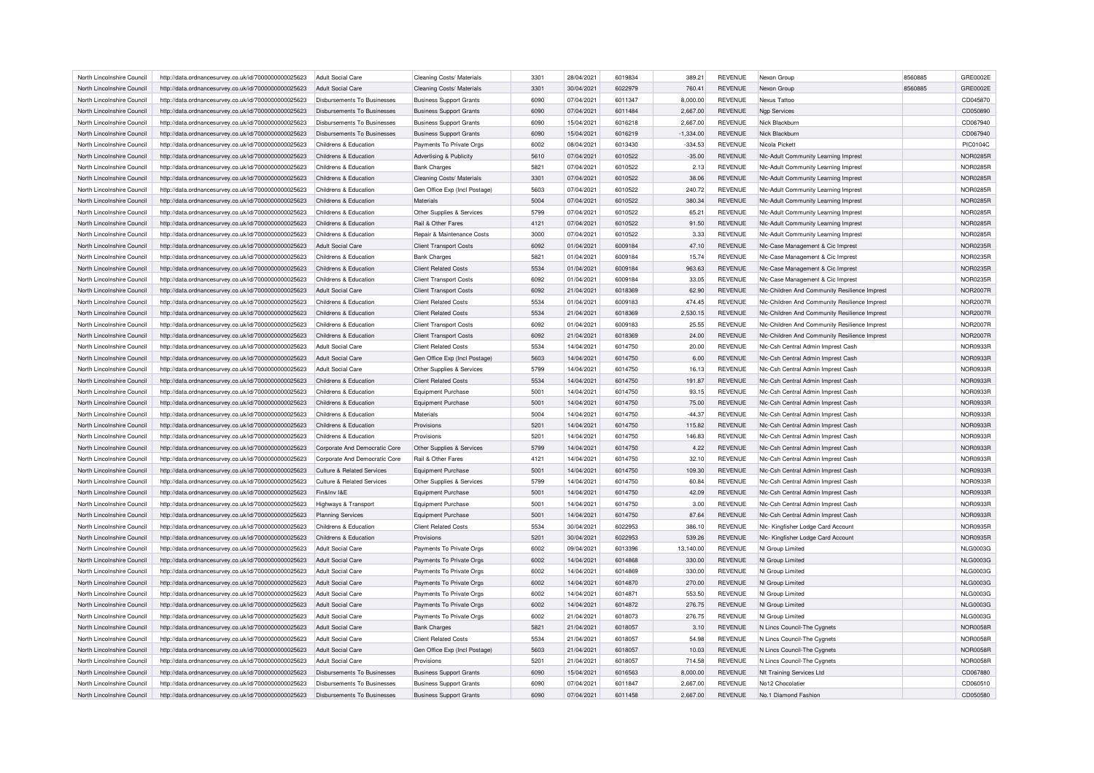| North Lincolnshire Council                               | http://data.ordnancesurvey.co.uk/id/7000000000025623                                                         | Adult Social Care                          | Cleaning Costs/ Materials                                      | 3301         | 28/04/2021               | 6019834            | 389.21               | <b>REVENUE</b>                   | Nexon Group                                                                        | 8560885 | GRE0002E                    |
|----------------------------------------------------------|--------------------------------------------------------------------------------------------------------------|--------------------------------------------|----------------------------------------------------------------|--------------|--------------------------|--------------------|----------------------|----------------------------------|------------------------------------------------------------------------------------|---------|-----------------------------|
| North Lincolnshire Council                               | http://data.ordnancesurvey.co.uk/id/7000000000025623                                                         | Adult Social Care                          | Cleaning Costs/ Materials                                      | 3301         | 30/04/2021               | 6022979            | 760.41               | <b>REVENUE</b>                   | Nexon Group                                                                        | 8560885 | GRE0002E                    |
| North Lincolnshire Council                               | http://data.ordnancesurvey.co.uk/id/7000000000025623                                                         | Disbursements To Businesses                | <b>Business Support Grants</b>                                 | 6090         | 07/04/2021               | 6011347            | 8.000.00             | <b>REVENUE</b>                   | Nexus Tattoo                                                                       |         | CD045870                    |
| North Lincolnshire Council                               | http://data.ordnancesurvey.co.uk/id/7000000000025623                                                         | <b>Disbursements To Businesses</b>         | <b>Business Support Grants</b>                                 | 6090         | 07/04/2021               | 6011484            | 2,667.00             | <b>REVENUE</b>                   | <b>Ngp Services</b>                                                                |         | CD050890                    |
| North Lincolnshire Council                               | http://data.ordnancesurvey.co.uk/id/7000000000025623                                                         | Disbursements To Businesses                | <b>Business Support Grants</b>                                 | 6090         | 15/04/2021               | 6016218            | 2,667.00             | <b>REVENUE</b>                   | Nick Blackburr                                                                     |         | CD067940                    |
| North Lincolnshire Council                               | http://data.ordnancesurvey.co.uk/id/7000000000025623                                                         | Disbursements To Businesses                | <b>Business Support Grants</b>                                 | 6090         | 15/04/2021               | 6016219            | $-1,334.00$          | <b>REVENUE</b>                   | Nick Blackburn                                                                     |         | CD067940                    |
| North Lincolnshire Council                               | http://data.ordnancesurvey.co.uk/id/7000000000025623                                                         | Childrens & Education                      | Payments To Private Orgs                                       | 6002         | 08/04/2021               | 6013430            | $-334.53$            | <b>REVENUE</b>                   | Nicola Pickett                                                                     |         | PIC0104C                    |
| North Lincolnshire Council                               | http://data.ordnancesurvey.co.uk/id/7000000000025623                                                         | Childrens & Education                      | <b>Advertising &amp; Publicity</b>                             | 5610         | 07/04/2021               | 6010522            | $-35.00$             | <b>REVENUE</b>                   | NIc-Adult Community Learning Imprest                                               |         | <b>NOR0285R</b>             |
| North Lincolnshire Council                               | http://data.ordnancesurvey.co.uk/id/7000000000025623                                                         | Childrens & Education                      | <b>Bank Charges</b>                                            | 5821         | 07/04/2021               | 6010522            | 2.13                 | <b>REVENUE</b>                   | NIc-Adult Community Learning Imprest                                               |         | NOR0285R                    |
| North Lincolnshire Council                               | http://data.ordnancesurvey.co.uk/id/7000000000025623                                                         | Childrens & Education                      | Cleaning Costs/ Materials                                      | 3301         | 07/04/2021               | 6010522            | 38.06                | <b>REVENUE</b>                   | NIc-Adult Community Learning Imprest                                               |         | <b>NOR0285F</b>             |
| North Lincolnshire Council                               | http://data.ordnancesurvey.co.uk/id/7000000000025623                                                         | Childrens & Education                      | Gen Office Exp (Incl Postage)                                  | 5603         | 07/04/2021               | 6010522            | 240.72               | <b>REVENUE</b>                   | NIc-Adult Community Learning Imprest                                               |         | <b>NOR0285R</b>             |
| North Lincolnshire Council                               | http://data.ordnancesurvey.co.uk/id/7000000000025623                                                         | Childrens & Education                      | Materials                                                      | 5004         | 07/04/2021               | 6010522            | 380.34               | <b>REVENUE</b>                   | NIc-Adult Community Learning Imprest                                               |         | NOR0285R                    |
| North Lincolnshire Council                               | http://data.ordnancesurvey.co.uk/id/7000000000025623                                                         | Childrens & Education                      | Other Supplies & Services                                      | 5799         | 07/04/2021               | 6010522            | 65.21                | <b>REVENUE</b>                   | Nic-Adult Community Learning Imprest                                               |         | <b>NOR0285R</b>             |
| North Lincolnshire Council                               | http://data.ordnancesurvey.co.uk/id/7000000000025623                                                         | Childrens & Education                      | Rail & Other Fares                                             | 4121         | 07/04/2021               | 6010522            | 91.50                | <b>REVENUE</b>                   | NIc-Adult Community Learning Imprest                                               |         | <b>NOR0285R</b>             |
| North Lincolnshire Council                               | http://data.ordnancesurvey.co.uk/id/7000000000025623                                                         | Childrens & Education                      | Repair & Maintenance Costs                                     | 3000         | 07/04/2021               | 6010522            | 3.33                 | <b>REVENUE</b>                   | Nic-Adult Community Learning Imprest                                               |         | <b>NOR0285R</b>             |
| North Lincolnshire Council                               | http://data.ordnancesurvey.co.uk/id/7000000000025623                                                         | <b>Adult Social Care</b>                   | <b>Client Transport Costs</b>                                  | 6092         | 01/04/2021               | 6009184            | 47.10                | <b>REVENUE</b>                   | NIc-Case Management & Cic Imprest                                                  |         | <b>NOR0235R</b>             |
| North Lincolnshire Council                               | http://data.ordnancesurvey.co.uk/id/7000000000025623                                                         | Childrens & Education                      | <b>Bank Charges</b>                                            | 5821         | 01/04/2021               | 6009184            | 15.74                | <b>REVENUE</b>                   | NIc-Case Management & Cic Imprest                                                  |         | <b>NOR0235R</b>             |
| North Lincolnshire Council                               | http://data.ordnancesurvey.co.uk/id/7000000000025623                                                         | Childrens & Education                      | <b>Client Related Costs</b>                                    | 5534         | 01/04/2021               | 6009184            | 963.63               | <b>REVENUE</b>                   | NIc-Case Management & Cic Imprest                                                  |         | NOR0235R                    |
|                                                          |                                                                                                              |                                            |                                                                |              |                          |                    |                      |                                  |                                                                                    |         |                             |
| North Lincolnshire Council<br>North Lincolnshire Council | http://data.ordnancesurvey.co.uk/id/7000000000025623<br>http://data.ordnancesurvey.co.uk/id/7000000000025623 | Childrens & Education<br>Adult Social Care | <b>Client Transport Costs</b><br><b>Client Transport Costs</b> | 6092<br>6092 | 01/04/2021<br>21/04/2021 | 6009184<br>6018369 | 33.05<br>62.90       | <b>REVENUE</b><br><b>REVENUE</b> | NIc-Case Management & Cic Imprest<br>Nic-Children And Community Resilience Imprest |         | NOR0235R<br><b>NOR2007R</b> |
|                                                          |                                                                                                              |                                            |                                                                | 5534         |                          |                    |                      |                                  |                                                                                    |         |                             |
| North Lincolnshire Council                               | http://data.ordnancesurvey.co.uk/id/7000000000025623                                                         | Childrens & Education                      | <b>Client Related Costs</b>                                    |              | 01/04/2021               | 6009183            | 474.45               | <b>REVENUE</b>                   | NIc-Children And Community Resilience Imprest                                      |         | <b>NOR2007R</b>             |
| North Lincolnshire Council                               | http://data.ordnancesurvey.co.uk/id/7000000000025623                                                         | Childrens & Education                      | <b>Client Related Costs</b>                                    | 5534         | 21/04/2021               | 6018369            | 2,530.15             | <b>REVENUE</b>                   | NIc-Children And Community Resilience Imprest                                      |         | <b>NOR2007R</b>             |
| North Lincolnshire Council                               | http://data.ordnancesurvey.co.uk/id/7000000000025623                                                         | Childrens & Education                      | <b>Client Transport Costs</b>                                  | 6092         | 01/04/2021               | 6009183            | 25.55                | <b>REVENUE</b>                   | Nic-Children And Community Resilience Imprest                                      |         | <b>NOR2007R</b>             |
| North Lincolnshire Council                               | http://data.ordnancesurvey.co.uk/id/7000000000025623                                                         | Childrens & Education                      | <b>Client Transport Costs</b>                                  | 6092         | 21/04/2021               | 6018369            | 24.00                | <b>REVENUE</b>                   | NIc-Children And Community Resilience Imprest                                      |         | <b>NOR2007R</b>             |
| North Lincolnshire Council                               | http://data.ordnancesurvey.co.uk/id/7000000000025623                                                         | Adult Social Care                          | <b>Client Related Costs</b>                                    | 5534         | 14/04/2021               | 6014750            | 20.00                | <b>REVENUE</b>                   | NIc-Csh Central Admin Imprest Cash                                                 |         | NOR0933R                    |
| North Lincolnshire Council                               | http://data.ordnancesurvey.co.uk/id/7000000000025623                                                         | Adult Social Care                          | Gen Office Exp (Incl Postage)                                  | 5603         | 14/04/2021               | 6014750            | 6.00                 | <b>REVENUE</b>                   | Nic-Csh Central Admin Imprest Cash                                                 |         | <b>NOR0933R</b>             |
| North Lincolnshire Council                               | http://data.ordnancesurvey.co.uk/id/7000000000025623                                                         | Adult Social Care                          | Other Supplies & Services                                      | 5799         | 14/04/2021               | 6014750            | 16.13                | <b>REVENUE</b>                   | NIc-Csh Central Admin Imprest Cash                                                 |         | NOR0933R                    |
| North Lincolnshire Council                               | http://data.ordnancesurvey.co.uk/id/7000000000025623                                                         | Childrens & Education                      | <b>Client Related Costs</b>                                    | 5534         | 14/04/2021               | 6014750            | 191.87               | <b>REVENUE</b>                   | NIc-Csh Central Admin Imprest Cash                                                 |         | NOR0933R                    |
| North Lincolnshire Council                               | http://data.ordnancesurvey.co.uk/id/7000000000025623                                                         | Childrens & Education                      | Equipment Purchase                                             | 5001         | 14/04/2021               | 6014750            | 93.15                | <b>REVENUE</b>                   | Nic-Csh Central Admin Imprest Cash                                                 |         | <b>NOR0933R</b>             |
| North Lincolnshire Council                               | http://data.ordnancesurvey.co.uk/id/7000000000025623                                                         | Childrens & Education                      | <b>Equipment Purchase</b>                                      | 5001         | 14/04/2021               | 6014750            | 75.00                | <b>REVENUE</b>                   | NIc-Csh Central Admin Imprest Cash                                                 |         | NOR0933R                    |
| North Lincolnshire Council                               | http://data.ordnancesurvey.co.uk/id/7000000000025623                                                         | Childrens & Education                      | Materials                                                      | 5004         | 14/04/2021               | 6014750            | $-44.37$             | <b>REVENUE</b>                   | NIc-Csh Central Admin Imprest Cash                                                 |         | NOR0933R                    |
| North Lincolnshire Council                               | http://data.ordnancesurvey.co.uk/id/7000000000025623                                                         | Childrens & Education                      | Provisions                                                     | 5201         | 14/04/2021               | 6014750            | 115.82               | <b>REVENUE</b>                   | Nic-Csh Central Admin Imprest Cash                                                 |         | <b>NOR0933R</b>             |
| North Lincolnshire Council                               | http://data.ordnancesurvey.co.uk/id/7000000000025623                                                         | Childrens & Education                      | Provisions                                                     | 5201         | 14/04/2021               | 6014750            | 146.83               | <b>REVENUE</b>                   | NIc-Csh Central Admin Imprest Cash                                                 |         | NOR0933R                    |
| North Lincolnshire Council                               | http://data.ordnancesurvey.co.uk/id/7000000000025623                                                         | Corporate And Democratic Core              | Other Supplies & Services                                      | 5799         | 14/04/2021               | 6014750            | 4.22                 | <b>REVENUE</b>                   | NIc-Csh Central Admin Imprest Cash                                                 |         | NOR0933R                    |
| North Lincolnshire Council                               | http://data.ordnancesurvey.co.uk/id/7000000000025623                                                         | Corporate And Democratic Core              | Rail & Other Fares                                             | 4121         | 14/04/2021               | 6014750            | 32.10                | <b>REVENUE</b>                   | NIc-Csh Central Admin Imprest Cash                                                 |         | NOR0933R                    |
| North Lincolnshire Council                               | http://data.ordnancesurvey.co.uk/id/7000000000025623                                                         | <b>Culture &amp; Related Services</b>      | <b>Equipment Purchase</b>                                      | 5001         | 14/04/2021               | 6014750            | 109.30               | <b>REVENUE</b>                   | NIc-Csh Central Admin Imprest Cash                                                 |         | NOR0933R                    |
| North Lincolnshire Council                               | http://data.ordnancesurvey.co.uk/id/7000000000025623                                                         | <b>Culture &amp; Related Services</b>      | Other Supplies & Services                                      | 5799         | 14/04/2021               | 6014750            | 60.84                | REVENUE                          | NIc-Csh Central Admin Imprest Cash                                                 |         | NOR0933R                    |
| North Lincolnshire Council                               | http://data.ordnancesurvey.co.uk/id/7000000000025623                                                         | Fin&Inv I&F                                | <b>Equipment Purchase</b>                                      | 5001         | 14/04/2021               | 6014750            | 42.09                | <b>REVENUE</b>                   | NIc-Csh Central Admin Imprest Cash                                                 |         | <b>NOR0933R</b>             |
| North Lincolnshire Council                               | http://data.ordnancesurvey.co.uk/id/7000000000025623                                                         | Highways & Transport                       | <b>Equipment Purchase</b>                                      | 5001         | 14/04/2021               | 6014750            | 3.00                 | <b>REVENUE</b>                   | Nic-Csh Central Admin Imprest Cash                                                 |         | NOR0933R                    |
| North Lincolnshire Council                               | http://data.ordnancesurvey.co.uk/id/7000000000025623                                                         | <b>Planning Services</b>                   | <b>Equipment Purchase</b>                                      | 5001         | 14/04/2021               | 6014750            | 87.64                | <b>REVENUE</b>                   | Nic-Csh Central Admin Imprest Cash                                                 |         | NOR0933R                    |
| North Lincolnshire Council                               | http://data.ordnancesurvey.co.uk/id/7000000000025623                                                         | Childrens & Education                      | <b>Client Related Costs</b>                                    | 5534         | 30/04/2021               | 6022953            | 386.10               | <b>REVENUE</b>                   | NIc- Kingfisher Lodge Card Account                                                 |         | <b>NOR0935R</b>             |
| North Lincolnshire Council                               | http://data.ordnancesurvey.co.uk/id/7000000000025623                                                         | Childrens & Education                      | Provisions                                                     | 5201         | 30/04/2021               | 6022953            | 539.26               | REVENUE                          | NIc- Kingfisher Lodge Card Account                                                 |         | NOR0935R                    |
| North Lincolnshire Council                               | http://data.ordnancesurvey.co.uk/id/7000000000025623                                                         | Adult Social Care                          | Payments To Private Orgs                                       | 6002         | 09/04/2021               | 6013396            | 13,140.00            | REVENUE                          | NI Group Limited                                                                   |         | <b>NLG0003G</b>             |
| North Lincolnshire Council                               | http://data.ordnancesurvey.co.uk/id/7000000000025623                                                         | Adult Social Care                          | Payments To Private Orgs                                       | 6002         | 14/04/2021               | 6014868            | 330.00               | <b>REVENUE</b>                   | NI Group Limited                                                                   |         | <b>NLG0003G</b>             |
| North Lincolnshire Council                               | http://data.ordnancesurvey.co.uk/id/7000000000025623                                                         | <b>Adult Social Care</b>                   | Payments To Private Orgs                                       | 6002         | 14/04/2021               | 6014869            | 330.00               | <b>REVENUE</b>                   | NI Group Limited                                                                   |         | <b>NLG0003G</b>             |
| North Lincolnshire Council                               | http://data.ordnancesurvey.co.uk/id/7000000000025623                                                         | Adult Social Care                          | Payments To Private Orgs                                       | 6002         | 14/04/2021               | 6014870            | 270.00               | <b>REVENUE</b>                   | NI Group Limited                                                                   |         | <b>NLG0003G</b>             |
| North Lincolnshire Council                               | http://data.ordnancesurvey.co.uk/id/7000000000025623                                                         | Adult Social Care                          | Payments To Private Orgs                                       | 6002         | 14/04/2021               | 6014871            | 553.50               | <b>REVENUE</b>                   | NI Group Limited                                                                   |         | <b>NLG0003G</b>             |
| North Lincolnshire Council                               | http://data.ordnancesurvey.co.uk/id/7000000000025623                                                         | Adult Social Care                          | Payments To Private Orgs                                       | 6002         | 14/04/2021               | 6014872            | 276.75               | <b>REVENUE</b>                   | NI Group Limited                                                                   |         | <b>NLG0003G</b>             |
| North Lincolnshire Council                               | http://data.ordnancesurvey.co.uk/id/7000000000025623                                                         | Adult Social Care                          | Payments To Private Orgs                                       | 6002         | 21/04/2021               | 6018073            | 276.75               | REVENUE                          | NI Group Limited                                                                   |         | <b>NLG0003G</b>             |
| North Lincolnshire Council                               | http://data.ordnancesurvey.co.uk/id/7000000000025623                                                         | Adult Social Care                          | <b>Bank Charges</b>                                            | 5821         | 21/04/2021               | 6018057            | 3.10                 | <b>REVENUE</b>                   | N Lincs Council-The Cygnets                                                        |         | <b>NOR0058R</b>             |
| North Lincolnshire Council                               | http://data.ordnancesurvey.co.uk/id/7000000000025623                                                         | Adult Social Care                          | <b>Client Related Costs</b>                                    | 5534         | 21/04/2021               | 6018057            | 54.98                | <b>REVENUE</b>                   | N Lincs Council-The Cygnets                                                        |         | NOR0058R                    |
| North Lincolnshire Council                               | http://data.ordnancesurvey.co.uk/id/7000000000025623                                                         | Adult Social Care                          | Gen Office Exp (Incl Postage)                                  | 5603         | 21/04/2021               | 6018057            | 10.03                | <b>REVENUE</b>                   | N Lincs Council-The Cygnets                                                        |         | <b>NOR0058R</b>             |
| North Lincolnshire Council                               | http://data.ordnancesurvey.co.uk/id/7000000000025623                                                         | Adult Social Care                          | Provisions                                                     | 5201         | 21/04/2021               | 6018057            | 714.58               | <b>REVENUE</b>                   | N Lincs Council-The Cygnets                                                        |         | <b>NOR0058R</b>             |
| North Lincolnshire Council                               |                                                                                                              | Disbursements To Businesses                |                                                                | 6090         | 15/04/2021               | 6016563            |                      | <b>REVENUE</b>                   |                                                                                    |         | CD067880                    |
| North Lincolnshire Council                               | http://data.ordnancesurvey.co.uk/id/7000000000025623                                                         | Disbursements To Businesses                | <b>Business Support Grants</b>                                 | 6090         | 07/04/2021               | 6011847            | 8,000.00<br>2.667.00 | <b>REVENUE</b>                   | NIt Training Services Ltd<br>No12 Chocolatie                                       |         | CD060510                    |
|                                                          | http://data.ordnancesurvey.co.uk/id/7000000000025623                                                         |                                            | <b>Business Support Grants</b>                                 |              |                          |                    |                      |                                  |                                                                                    |         | CD050580                    |
| North Lincolnshire Council                               | http://data.ordnancesurvey.co.uk/id/7000000000025623                                                         | Disbursements To Businesses                | <b>Business Support Grants</b>                                 | 6090         | 07/04/2021               | 6011458            | 2.667.00             | <b>REVENUE</b>                   | No.1 Diamond Fashion                                                               |         |                             |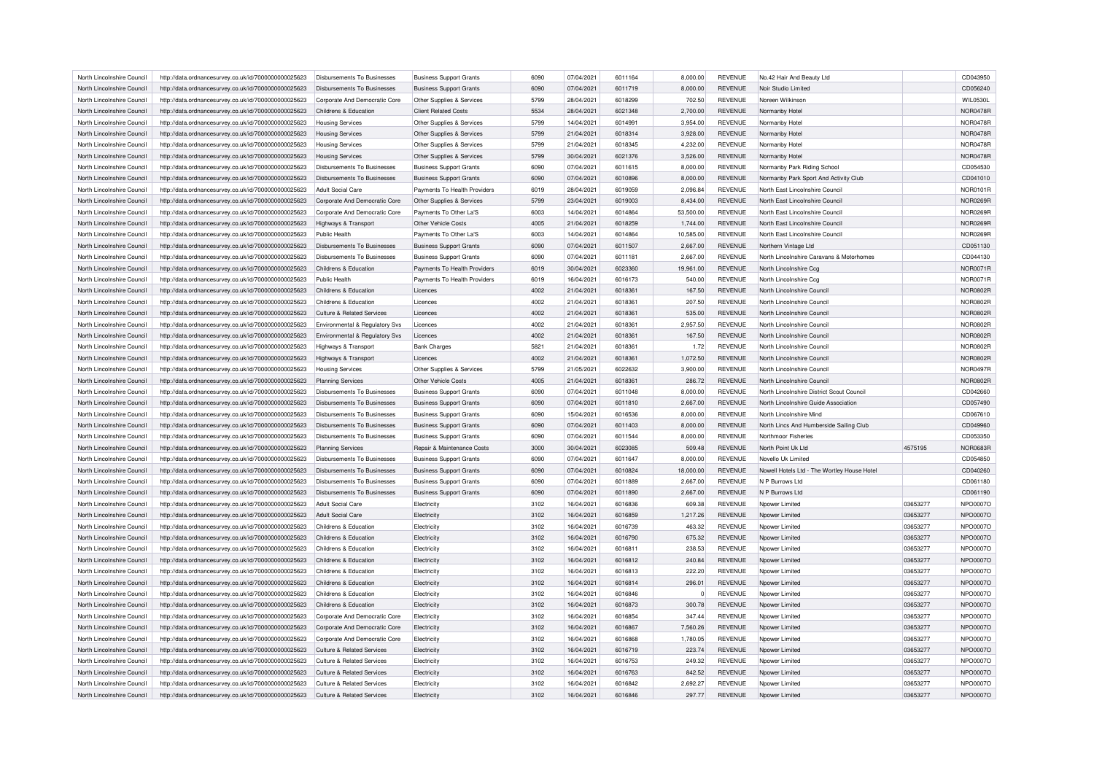| North Lincolnshire Council | http://data.ordnancesurvey.co.uk/id/7000000000025623 | Disbursements To Businesses           | <b>Business Support Grants</b>                | 6090 | 07/04/2021 | 6011164 | 8,000.00       | <b>REVENUE</b> | No.42 Hair And Beauty Ltd                   |          | CD043950        |
|----------------------------|------------------------------------------------------|---------------------------------------|-----------------------------------------------|------|------------|---------|----------------|----------------|---------------------------------------------|----------|-----------------|
| North Lincolnshire Council | http://data.ordnancesurvey.co.uk/id/7000000000025623 | Disbursements To Businesses           | <b>Business Support Grants</b>                | 6090 | 07/04/2021 | 6011719 | 8,000.00       | <b>REVENUE</b> | Noir Studio Limited                         |          | CD056240        |
| North Lincolnshire Council | http://data.ordnancesurvey.co.uk/id/7000000000025623 | Corporate And Democratic Core         | Other Supplies & Services                     | 5799 | 28/04/2021 | 6018299 | 702.50         | <b>REVENUE</b> | Noreen Wilkinson                            |          | WIL0530L        |
| North Lincolnshire Council | http://data.ordnancesurvey.co.uk/id/7000000000025623 | Childrens & Education                 | <b>Client Related Costs</b>                   | 5534 | 28/04/2021 | 6021348 | 2,700.00       | <b>REVENUE</b> | Normanby Hotel                              |          | <b>NOR0478F</b> |
| North Lincolnshire Council | http://data.ordnancesurvey.co.uk/id/7000000000025623 | <b>Housing Services</b>               | Other Supplies & Services                     | 5799 | 14/04/2021 | 6014991 | 3,954.00       | <b>REVENUE</b> | Normanby Hotel                              |          | <b>NOR0478R</b> |
| North Lincolnshire Council | http://data.ordnancesurvey.co.uk/id/7000000000025623 | <b>Housing Services</b>               | Other Supplies & Services                     | 5799 | 21/04/2021 | 6018314 | 3,928.00       | <b>REVENUE</b> | Normanby Hotel                              |          | <b>NOR0478R</b> |
| North Lincolnshire Council | http://data.ordnancesurvey.co.uk/id/7000000000025623 | <b>Housing Services</b>               | Other Supplies & Services                     | 5799 | 21/04/2021 | 6018345 | 4,232.00       | <b>REVENUE</b> | Normanby Hotel                              |          | <b>NOR0478F</b> |
| North Lincolnshire Council | http://data.ordnancesurvey.co.uk/id/7000000000025623 | <b>Housing Services</b>               | Other Supplies & Services                     | 5799 | 30/04/2021 | 6021376 | 3,526.00       | <b>REVENUE</b> | Normanby Hotel                              |          | <b>NOR0478R</b> |
| North Lincolnshire Council | http://data.ordnancesurvey.co.uk/id/7000000000025623 | Disbursements To Businesses           | <b>Business Support Grants</b>                | 6090 | 07/04/2021 | 6011615 | 8,000.00       | <b>REVENUE</b> | Normanby Park Riding School                 |          | CD054530        |
| North Lincolnshire Council | http://data.ordnancesurvey.co.uk/id/7000000000025623 | Disbursements To Businesses           | <b>Business Support Grants</b>                | 6090 | 07/04/2021 | 6010896 | 8,000.00       | <b>REVENUE</b> | Normanby Park Sport And Activity Club       |          | CD041010        |
| North Lincolnshire Council | http://data.ordnancesurvey.co.uk/id/7000000000025623 | <b>Adult Social Care</b>              | Payments To Health Providers                  | 6019 | 28/04/2021 | 6019059 | 2,096.84       | <b>REVENUE</b> | North East Lincolnshire Counci              |          | NOR0101R        |
| North Lincolnshire Council | http://data.ordnancesurvey.co.uk/id/7000000000025623 | Corporate And Democratic Core         | Other Supplies & Services                     | 5799 | 23/04/2021 | 6019003 | 8,434.00       | <b>REVENUE</b> | North East Lincolnshire Council             |          | <b>NOR0269R</b> |
| North Lincolnshire Council | http://data.ordnancesurvey.co.uk/id/7000000000025623 | Corporate And Democratic Core         | Payments To Other La'S                        | 6003 | 14/04/2021 | 6014864 | 53,500.00      | <b>REVENUE</b> | North East Lincolnshire Counci              |          | NOR0269F        |
| North Lincolnshire Council | http://data.ordnancesurvey.co.uk/id/7000000000025623 | Highways & Transport                  | Other Vehicle Costs                           | 4005 | 21/04/2021 | 6018259 | 1,744.00       | <b>REVENUE</b> | North East Lincolnshire Council             |          | <b>NOR0269R</b> |
|                            |                                                      |                                       |                                               | 6003 |            | 6014864 |                |                |                                             |          |                 |
| North Lincolnshire Council | http://data.ordnancesurvey.co.uk/id/7000000000025623 | Public Health                         | Payments To Other La'S                        |      | 14/04/2021 |         | 10,585.00      | <b>REVENUE</b> | North East Lincolnshire Council             |          | NOR0269F        |
| North Lincolnshire Council | http://data.ordnancesurvey.co.uk/id/7000000000025623 | <b>Disbursements To Businesses</b>    | <b>Business Support Grants</b>                | 6090 | 07/04/2021 | 6011507 | 2,667.00       | <b>REVENUE</b> | Northern Vintage Ltd                        |          | CD051130        |
| North Lincolnshire Council | http://data.ordnancesurvey.co.uk/id/7000000000025623 | Disbursements To Businesses           | <b>Business Support Grants</b>                | 6090 | 07/04/2021 | 6011181 | 2,667.00       | <b>REVENUE</b> | North Lincolnshire Caravans & Motorhomes    |          | CD044130        |
| North Lincolnshire Council | http://data.ordnancesurvey.co.uk/id/7000000000025623 | Childrens & Education                 | Payments To Health Providers                  | 6019 | 30/04/2021 | 6023360 | 19,961.00      | <b>REVENUE</b> | North Lincolnshire Ccg                      |          | <b>NOR0071R</b> |
| North Lincolnshire Council | http://data.ordnancesurvey.co.uk/id/7000000000025623 | Public Health                         | Payments To Health Providers                  | 6019 | 16/04/2021 | 6016173 | 540.00         | <b>REVENUE</b> | North Lincolnshire Ccg                      |          | <b>NOR0071R</b> |
| North Lincolnshire Council | http://data.ordnancesurvey.co.uk/id/7000000000025623 | Childrens & Education                 | Licences                                      | 4002 | 21/04/2021 | 6018361 | 167.50         | <b>REVENUE</b> | North Lincolnshire Council                  |          | <b>NOR0802R</b> |
| North Lincolnshire Council | http://data.ordnancesurvey.co.uk/id/7000000000025623 | Childrens & Education                 | Licences                                      | 4002 | 21/04/2021 | 6018361 | 207.50         | <b>REVENUE</b> | North Lincolnshire Council                  |          | <b>NOR0802R</b> |
| North Lincolnshire Council | http://data.ordnancesurvey.co.uk/id/7000000000025623 | <b>Culture &amp; Related Services</b> | Licences                                      | 4002 | 21/04/2021 | 6018361 | 535.00         | <b>REVENUE</b> | North Lincolnshire Council                  |          | <b>NOR0802F</b> |
| North Lincolnshire Council | http://data.ordnancesurvey.co.uk/id/7000000000025623 | Environmental & Regulatory Svs        | Licences                                      | 4002 | 21/04/2021 | 6018361 | 2,957.50       | <b>REVENUE</b> | North Lincolnshire Council                  |          | <b>NOR0802R</b> |
| North Lincolnshire Council | http://data.ordnancesurvey.co.uk/id/7000000000025623 | Environmental & Regulatory Svs        | Licences                                      | 4002 | 21/04/2021 | 6018361 | 167.50         | <b>REVENUE</b> | North Lincolnshire Council                  |          | <b>NOR0802R</b> |
| North Lincolnshire Council | http://data.ordnancesurvey.co.uk/id/7000000000025623 | <b>Highways &amp; Transport</b>       | <b>Bank Charges</b>                           | 5821 | 21/04/2021 | 6018361 | 1.72           | <b>REVENUE</b> | North Lincolnshire Council                  |          | <b>NOR0802F</b> |
| North Lincolnshire Council | http://data.ordnancesurvey.co.uk/id/7000000000025623 | Highways & Transport                  | Licences                                      | 4002 | 21/04/2021 | 6018361 | 1,072.50       | <b>REVENUE</b> | North Lincolnshire Council                  |          | <b>NOR0802R</b> |
| North Lincolnshire Council | http://data.ordnancesurvey.co.uk/id/7000000000025623 | <b>Housing Services</b>               | Other Supplies & Services                     | 5799 | 21/05/2021 | 6022632 | 3,900.00       | <b>REVENUE</b> | North Lincolnshire Council                  |          | <b>NOR0497R</b> |
| North Lincolnshire Council | http://data.ordnancesurvey.co.uk/id/7000000000025623 | Planning Services                     | Other Vehicle Costs                           | 4005 | 21/04/2021 | 6018361 | 286.72         | <b>REVENUE</b> | North Lincolnshire Council                  |          | <b>NOR0802F</b> |
| North Lincolnshire Council | http://data.ordnancesurvey.co.uk/id/7000000000025623 | Disbursements To Businesses           | <b>Business Support Grants</b>                | 6090 | 07/04/2021 | 6011048 | 8,000.00       | <b>REVENUE</b> | North Lincolnshire District Scout Council   |          | CD042660        |
| North Lincolnshire Council | http://data.ordnancesurvey.co.uk/id/7000000000025623 | <b>Disbursements To Businesses</b>    | <b>Business Support Grants</b>                | 6090 | 07/04/2021 | 6011810 | 2,667.00       | <b>REVENUE</b> | North Lincolnshire Guide Association        |          | CD057490        |
| North Lincolnshire Council | http://data.ordnancesurvey.co.uk/id/7000000000025623 | Disbursements To Businesses           | <b>Business Support Grants</b>                | 6090 | 15/04/2021 | 6016536 | 8,000.00       | <b>REVENUE</b> | North Lincolnshire Mind                     |          | CD067610        |
| North Lincolnshire Council | http://data.ordnancesurvey.co.uk/id/7000000000025623 | Disbursements To Businesses           | <b>Business Support Grants</b>                | 6090 | 07/04/2021 | 6011403 | 8,000.00       | <b>REVENUE</b> | North Lincs And Humberside Sailing Club     |          | CD049960        |
| North Lincolnshire Council | http://data.ordnancesurvey.co.uk/id/7000000000025623 | Disbursements To Businesses           | <b>Business Support Grants</b>                | 6090 | 07/04/2021 | 6011544 | 8,000.00       | <b>REVENUE</b> | Northmoor Fisheries                         |          | CD053350        |
| North Lincolnshire Council | http://data.ordnancesurvey.co.uk/id/7000000000025623 | <b>Planning Services</b>              | Repair & Maintenance Costs                    | 3000 | 30/04/2021 | 6023085 | 509.48         | <b>REVENUE</b> | North Point Uk Ltd                          | 4575195  | <b>NOR0683F</b> |
| North Lincolnshire Council | http://data.ordnancesurvey.co.uk/id/7000000000025623 | Disbursements To Businesses           | <b>Business Support Grants</b>                | 6090 | 07/04/2021 | 6011647 | 8,000.00       | <b>REVENUE</b> | Novello Uk Limited                          |          | CD054850        |
| North Lincolnshire Council | http://data.ordnancesurvey.co.uk/id/7000000000025623 | <b>Disbursements To Businesses</b>    | <b>Business Support Grants</b>                | 6090 | 07/04/2021 | 6010824 | 18,000.00      | <b>REVENUE</b> | Nowell Hotels Ltd - The Wortley House Hotel |          | CD040260        |
| North Lincolnshire Council | http://data.ordnancesurvey.co.uk/id/7000000000025623 | Disbursements To Businesses           | <b>Business Support Grants</b>                | 6090 | 07/04/2021 | 6011889 | 2,667.00       | <b>REVENUE</b> | N P Burrows Ltd                             |          | CD061180        |
| North Lincolnshire Council | http://data.ordnancesurvey.co.uk/id/7000000000025623 | Disbursements To Businesses           |                                               | 6090 | 07/04/2021 | 6011890 | 2,667.00       | <b>REVENUE</b> | N P Burrows Ltd                             |          | CD061190        |
|                            |                                                      |                                       | <b>Business Support Grants</b><br>Electricity |      | 16/04/2021 | 6016836 |                | <b>REVENUE</b> |                                             | 03653277 | <b>NPO0007C</b> |
| North Lincolnshire Council | http://data.ordnancesurvey.co.uk/id/7000000000025623 | Adult Social Care                     |                                               | 3102 |            |         | 609.38         |                | Npower Limited                              |          |                 |
| North Lincolnshire Council | http://data.ordnancesurvey.co.uk/id/7000000000025623 | <b>Adult Social Care</b>              | Electricity                                   | 3102 | 16/04/2021 | 6016859 | 1,217.26       | <b>REVENUE</b> | Noower Limited                              | 03653277 | NPO0007O        |
| North Lincolnshire Council | http://data.ordnancesurvey.co.uk/id/7000000000025623 | Childrens & Education                 | Electricity                                   | 3102 | 16/04/2021 | 6016739 | 463.32         | <b>REVENUE</b> | Nnower I imited                             | 03653277 | NPO0007O        |
| North Lincolnshire Council | http://data.ordnancesurvey.co.uk/id/7000000000025623 | Childrens & Education                 | Electricity                                   | 3102 | 16/04/2021 | 6016790 | 675.32         | <b>REVENUE</b> | Npower Limited                              | 03653277 | NPO0007O        |
| North Lincolnshire Council | http://data.ordnancesurvey.co.uk/id/7000000000025623 | Childrens & Education                 | Electricity                                   | 3102 | 16/04/2021 | 6016811 | 238.53         | <b>REVENUE</b> | Noower Limited                              | 03653277 | <b>NPO0007C</b> |
| North Lincolnshire Council | http://data.ordnancesurvey.co.uk/id/7000000000025623 | Childrens & Education                 | Electricity                                   | 3102 | 16/04/2021 | 6016812 | 240.84         | <b>REVENUE</b> | Npower Limited                              | 03653277 | NPO0007O        |
| North Lincolnshire Council | http://data.ordnancesurvey.co.uk/id/7000000000025623 | Childrens & Education                 | Electricity                                   | 3102 | 16/04/2021 | 6016813 | 222.20         | <b>REVENUE</b> | Npower Limited                              | 03653277 | NPO0007O        |
| North Lincolnshire Council | http://data.ordnancesurvey.co.uk/id/7000000000025623 | Childrens & Education                 | Electricity                                   | 3102 | 16/04/2021 | 6016814 | 296.01         | <b>REVENUE</b> | Noower Limited                              | 03653277 | <b>NPO0007C</b> |
| North Lincolnshire Council | http://data.ordnancesurvey.co.uk/id/7000000000025623 | Childrens & Education                 | Electricity                                   | 3102 | 16/04/2021 | 6016846 | $\overline{0}$ | <b>REVENUE</b> | Npower Limited                              | 03653277 | NPO0007O        |
| North Lincolnshire Council | http://data.ordnancesurvey.co.uk/id/7000000000025623 | Childrens & Education                 | Electricity                                   | 3102 | 16/04/2021 | 6016873 | 300.78         | <b>REVENUE</b> | Npower Limited                              | 03653277 | NPO0007O        |
| North Lincolnshire Council | http://data.ordnancesurvey.co.uk/id/7000000000025623 | Corporate And Democratic Core         | Electricity                                   | 3102 | 16/04/2021 | 6016854 | 347.44         | <b>REVENUE</b> | Noower Limited                              | 03653277 | <b>NPO0007C</b> |
| North Lincolnshire Council | http://data.ordnancesurvey.co.uk/id/7000000000025623 | Corporate And Democratic Core         | Electricity                                   | 3102 | 16/04/2021 | 6016867 | 7,560.26       | <b>REVENUE</b> | Npower Limited                              | 03653277 | NPO0007O        |
| North Lincolnshire Council | http://data.ordnancesurvey.co.uk/id/7000000000025623 | Corporate And Democratic Core         | Electricity                                   | 3102 | 16/04/2021 | 6016868 | 1,780.05       | <b>REVENUE</b> | Nnower I imited                             | 03653277 | NPO0007O        |
| North Lincolnshire Council | http://data.ordnancesurvey.co.uk/id/7000000000025623 | <b>Culture &amp; Related Services</b> | Electricity                                   | 3102 | 16/04/2021 | 6016719 | 223.74         | <b>REVENUE</b> | Npower Limited                              | 03653277 | <b>NPO0007C</b> |
| North Lincolnshire Council | http://data.ordnancesurvey.co.uk/id/7000000000025623 | <b>Culture &amp; Related Services</b> | Electricity                                   | 3102 | 16/04/2021 | 6016753 | 249.32         | <b>REVENUE</b> | Npower Limited                              | 03653277 | NPO0007O        |
| North Lincolnshire Council | http://data.ordnancesurvey.co.uk/id/7000000000025623 | <b>Culture &amp; Related Services</b> | Electricity                                   | 3102 | 16/04/2021 | 6016763 | 842.52         | <b>REVENUE</b> | Noower Limited                              | 03653277 | NPO0007O        |
| North Lincolnshire Council | http://data.ordnancesurvey.co.uk/id/7000000000025623 | Culture & Related Services            | Electricity                                   | 3102 | 16/04/2021 | 6016842 | 2,692.27       | <b>REVENUE</b> | Npower Limited                              | 03653277 | NPO0007O        |
| North Lincolnshire Council | http://data.ordnancesurvey.co.uk/id/7000000000025623 | Culture & Related Services            | Electricity                                   | 3102 | 16/04/2021 | 6016846 | 297.77         | <b>REVENUE</b> | Nnower I imited                             | 03653277 | NPO0007O        |
|                            |                                                      |                                       |                                               |      |            |         |                |                |                                             |          |                 |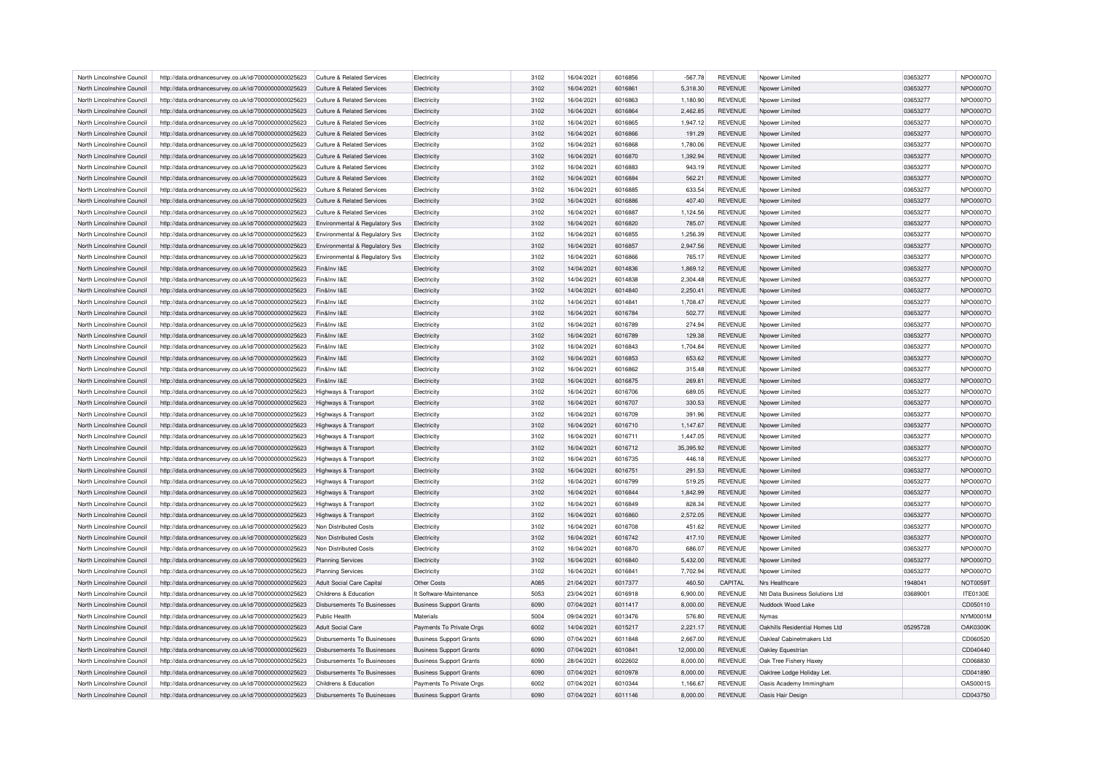| North Lincolnshire Council | http://data.ordnancesurvey.co.uk/id/7000000000025623 | Culture & Related Services                | Electricity                    | 3102 | 16/04/2021 | 6016856            | $-567.78$ | <b>REVENUE</b> | Npower Limited                  | 03653277             | NPO0007O        |
|----------------------------|------------------------------------------------------|-------------------------------------------|--------------------------------|------|------------|--------------------|-----------|----------------|---------------------------------|----------------------|-----------------|
| North Lincolnshire Council | http://data.ordnancesurvey.co.uk/id/7000000000025623 | Culture & Related Services                | Electricity                    | 3102 | 16/04/2021 | 6016861            | 5,318.30  | <b>REVENUE</b> | Npower Limited                  | 03653277             | NPO0007O        |
| North Lincolnshire Council | http://data.ordnancesurvey.co.uk/id/7000000000025623 | Culture & Related Services                | Electricity                    | 3102 | 16/04/2021 | 6016863            | 1.180.90  | <b>REVENUE</b> | Noower Limited                  | 03653277             | NPO0007O        |
| North Lincolnshire Council | http://data.ordnancesurvey.co.uk/id/7000000000025623 | Culture & Related Services                | Electricity                    | 3102 | 16/04/2021 | 6016864            | 2,462.85  | <b>REVENUE</b> | Noower Limited                  | 03653277             | NPO0007O        |
| North Lincolnshire Council | http://data.ordnancesurvey.co.uk/id/7000000000025623 | <b>Culture &amp; Related Services</b>     | Electricity                    | 3102 | 16/04/2021 | 6016865            | 1,947.12  | <b>REVENUE</b> | Noower Limited                  | 03653277             | NPO0007O        |
| North Lincolnshire Council | http://data.ordnancesurvey.co.uk/id/7000000000025623 | Culture & Related Services                | Electricity                    | 3102 | 16/04/2021 | 6016866            | 191.29    | <b>REVENUE</b> | Noower Limited                  | 03653277             | NPO0007O        |
| North Lincolnshire Council | http://data.ordnancesurvey.co.uk/id/7000000000025623 | <b>Culture &amp; Related Services</b>     | Electricity                    | 3102 | 16/04/2021 | 6016868            | 1,780.06  | <b>REVENUE</b> | Noower Limited                  | 03653277             | NPO0007O        |
| North Lincolnshire Council | http://data.ordnancesurvey.co.uk/id/7000000000025623 | <b>Culture &amp; Related Services</b>     | Electricity                    | 3102 | 16/04/2021 | 6016870            | 1,392.94  | <b>REVENUE</b> | Npower Limited                  | 03653277             | NPO0007O        |
| North Lincolnshire Council | http://data.ordnancesurvey.co.uk/id/7000000000025623 | <b>Culture &amp; Related Services</b>     | Electricity                    | 3102 | 16/04/2021 | 6016883            | 943.19    | <b>REVENUE</b> | Npower Limited                  | 03653277             | NPO0007O        |
| North Lincolnshire Council | http://data.ordnancesurvey.co.uk/id/7000000000025623 | <b>Culture &amp; Related Services</b>     | Electricity                    | 3102 | 16/04/2021 | 6016884            | 562.21    | <b>REVENUE</b> | Noower Limited                  | 03653277             | NPO0007O        |
| North Lincolnshire Council | http://data.ordnancesurvey.co.uk/id/7000000000025623 | <b>Culture &amp; Related Services</b>     | Electricity                    | 3102 | 16/04/2021 | 6016885            | 633.54    | <b>REVENUE</b> | Npower Limited                  | 03653277             | NPO0007O        |
| North Lincolnshire Council | http://data.ordnancesurvey.co.uk/id/7000000000025623 | <b>Culture &amp; Related Services</b>     | Electricity                    | 3102 | 16/04/2021 | 6016886            | 407.40    | <b>REVENUE</b> | Npower Limited                  | 03653277             | NPO0007O        |
| North Lincolnshire Council |                                                      |                                           | Electricity                    | 3102 | 16/04/2021 | 6016887            | 1,124.56  | <b>REVENUE</b> |                                 | 03653277             | NPO0007O        |
|                            | http://data.ordnancesurvey.co.uk/id/7000000000025623 | <b>Culture &amp; Related Services</b>     |                                |      |            |                    |           |                | Noower Limited                  |                      |                 |
| North Lincolnshire Council | http://data.ordnancesurvey.co.uk/id/7000000000025623 | Environmental & Regulatory Sys            | Electricity                    | 3102 | 16/04/2021 | 6016820            | 785.07    | <b>REVENUE</b> | Npower Limited                  | 03653277             | NPO0007O        |
| North Lincolnshire Council | http://data.ordnancesurvey.co.uk/id/7000000000025623 | Environmental & Regulatory Svs            | Electricity                    | 3102 | 16/04/2021 | 6016855            | 1.256.39  | <b>REVENUE</b> | Npower Limited                  | 03653277             | NPO0007O        |
| North Lincolnshire Council | http://data.ordnancesurvey.co.uk/id/7000000000025623 | <b>Environmental &amp; Regulatory Svs</b> | Electricity                    | 3102 | 16/04/2021 | 6016857            | 2,947.56  | <b>REVENUE</b> | Npower Limited                  | 03653277             | NPO0007O        |
| North Lincolnshire Council | http://data.ordnancesurvey.co.uk/id/7000000000025623 | Environmental & Regulatory Svs            | Electricity                    | 3102 | 16/04/2021 | 6016866            | 765.17    | <b>REVENUE</b> | Npower Limited                  | 03653277             | NPO0007O        |
| North Lincolnshire Council | http://data.ordnancesurvey.co.uk/id/7000000000025623 | Fin&Inv I&E                               | Electricity                    | 3102 | 14/04/2021 | 6014836            | 1,869.12  | <b>REVENUE</b> | Npower Limited                  | 03653277             | NPO0007O        |
| North Lincolnshire Council | http://data.ordnancesurvey.co.uk/id/7000000000025623 | Fin&Inv I&E                               | Electricity                    | 3102 | 14/04/2021 | 6014838            | 2,304.48  | <b>REVENUE</b> | Npower Limited                  | 03653277             | NPO0007O        |
| North Lincolnshire Council | http://data.ordnancesurvey.co.uk/id/7000000000025623 | Fin&Inv I&F                               | Electricity                    | 3102 | 14/04/2021 | 6014840            | 2,250.41  | <b>REVENUE</b> | Npower Limited                  | 03653277             | NPO0007O        |
| North Lincolnshire Council | http://data.ordnancesurvey.co.uk/id/7000000000025623 | Fin&Inv I&F                               | Electricity                    | 3102 | 14/04/2021 | 6014841            | 1,708.47  | <b>REVENUE</b> | Nnower I imited                 | 03653277             | NPO0007O        |
| North Lincolnshire Council | http://data.ordnancesurvey.co.uk/id/7000000000025623 | Fin&Inv I&E                               | Electricity                    | 3102 | 16/04/2021 | 6016784            | 502.77    | <b>REVENUE</b> | Npower Limited                  | 03653277             | NPO0007O        |
| North Lincolnshire Council | http://data.ordnancesurvey.co.uk/id/7000000000025623 | Fin&Inv I&F                               | Electricity                    | 3102 | 16/04/2021 | 6016789            | 274.94    | <b>REVENUE</b> | Npower Limited                  | 03653277             | NPO0007O        |
| North Lincolnshire Council | http://data.ordnancesurvey.co.uk/id/7000000000025623 | Fin&Inv I&F                               | Electricity                    | 3102 | 16/04/2021 | 6016789            | 129.38    | <b>REVENUE</b> | Nnower I imited                 | 03653277             | NPO0007O        |
| North Lincolnshire Council | http://data.ordnancesurvey.co.uk/id/7000000000025623 | Fin&Inv I&E                               | Electricity                    | 3102 | 16/04/2021 | 6016843            | 1,704.84  | <b>REVENUE</b> | Npower Limited                  | 03653277             | NPO0007O        |
| North Lincolnshire Council | http://data.ordnancesurvey.co.uk/id/7000000000025623 | Fin&Inv I&E                               | Electricity                    | 3102 | 16/04/2021 | 6016853            | 653.62    | <b>REVENUE</b> | Npower Limited                  | 03653277             | NPO0007O        |
| North Lincolnshire Council | http://data.ordnancesurvey.co.uk/id/7000000000025623 | Fin&Inv I&E                               | Electricity                    | 3102 | 16/04/2021 | 6016862            | 315.48    | <b>REVENUE</b> | Nnower I imited                 | 03653277             | NPO0007O        |
| North Lincolnshire Council | http://data.ordnancesurvey.co.uk/id/7000000000025623 | Fin&Inv I&E                               | Electricity                    | 3102 | 16/04/2021 | 6016875            | 269.81    | <b>REVENUE</b> | Npower Limited                  | 03653277             | NPO0007O        |
| North Lincolnshire Council | http://data.ordnancesurvey.co.uk/id/7000000000025623 | <b>Highways &amp; Transport</b>           | Electricity                    | 3102 | 16/04/2021 | 6016706            | 689.05    | <b>REVENUE</b> | Nnower I imited                 | 03653277             | NPO0007O        |
| North Lincolnshire Council | http://data.ordnancesurvey.co.uk/id/7000000000025623 | Highways & Transport                      | Electricity                    | 3102 | 16/04/2021 | 6016707            | 330.53    | <b>REVENUE</b> | Nnower I imited                 | 03653277             | NPO0007O        |
| North Lincolnshire Council | http://data.ordnancesurvey.co.uk/id/7000000000025623 | Highways & Transport                      | Electricity                    | 3102 | 16/04/2021 | 6016709            | 391.96    | <b>REVENUE</b> | Noower Limited                  | 03653277             | NPO0007O        |
| North Lincolnshire Council | http://data.ordnancesurvey.co.uk/id/7000000000025623 | <b>Highways &amp; Transport</b>           | Electricity                    | 3102 | 16/04/2021 | 6016710            | 1.147.67  | <b>REVENUE</b> | Nnower I imited                 | 03653277             | NPO0007O        |
| North Lincolnshire Council | http://data.ordnancesurvey.co.uk/id/7000000000025623 | Highways & Transport                      | Electricity                    | 3102 | 16/04/2021 | 6016711            | 1.447.05  | <b>REVENUE</b> | Nnower I imited                 | 03653277             | NPO0007O        |
| North Lincolnshire Council | http://data.ordnancesurvey.co.uk/id/7000000000025623 | Highways & Transport                      | Electricity                    | 3102 | 16/04/2021 | 6016712            | 35,395.92 | <b>REVENUE</b> | Noower Limited                  | 03653277             | NPO0007O        |
| North Lincolnshire Council | http://data.ordnancesurvey.co.uk/id/7000000000025623 | Highways & Transport                      | Electricity                    | 3102 | 16/04/2021 | 6016735            | 446.18    | <b>REVENUE</b> | Nnower I imited                 | 03653277             | NPO0007O        |
| North Lincolnshire Council | http://data.ordnancesurvey.co.uk/id/7000000000025623 | Highways & Transport                      | Electricity                    | 3102 | 16/04/2021 | 6016751            | 291.53    | <b>REVENUE</b> | Nnower I imited                 | 03653277             | NPO0007O        |
| North Lincolnshire Council | http://data.ordnancesurvey.co.uk/id/7000000000025623 | Highways & Transport                      | Electricity                    | 3102 | 16/04/2021 | 6016799            | 519.25    | <b>REVENUE</b> | Npower Limited                  | 03653277             | NPO0007O        |
| North Lincolnshire Council | http://data.ordnancesurvey.co.uk/id/7000000000025623 | Highways & Transport                      | Electricity                    | 3102 | 16/04/2021 | 6016844            | 1,842.99  | <b>REVENUE</b> | Npower Limited                  | 03653277             | NPO0007O        |
| North Lincolnshire Council | http://data.ordnancesurvey.co.uk/id/7000000000025623 | Highways & Transport                      | Electricity                    | 3102 | 16/04/2021 | 6016849            | 828.34    | <b>REVENUE</b> | Nnower I imited                 | 03653277             | NPO0007O        |
| North Lincolnshire Council | http://data.ordnancesurvey.co.uk/id/7000000000025623 | Highways & Transport                      | Electricity                    | 3102 | 16/04/2021 | 6016860            | 2,572.05  | <b>REVENUE</b> | Noower Limited                  | 03653277             | NPO0007O        |
| North Lincolnshire Council | http://data.ordnancesurvey.co.uk/id/7000000000025623 | Non Distributed Costs                     | Electricity                    | 3102 | 16/04/2021 | 6016708            | 451.62    | <b>REVENUE</b> | Npower Limited                  | 03653277             | NPO0007O        |
| North Lincolnshire Council | http://data.ordnancesurvey.co.uk/id/7000000000025623 | Non Distributed Costs                     | Electricity                    | 3102 | 16/04/2021 | 6016742            | 417.10    | <b>REVENUE</b> | Nnower I imited                 | 03653277             | NPO0007O        |
| North Lincolnshire Council | http://data.ordnancesurvey.co.uk/id/7000000000025623 | Non Distributed Costs                     | Electricity                    | 3102 | 16/04/2021 | 6016870            | 686.07    | <b>REVENUE</b> | Npower Limited                  | 03653277             | NPO0007O        |
|                            |                                                      |                                           |                                |      |            |                    |           |                |                                 |                      | NPO0007O        |
| North Lincolnshire Council | http://data.ordnancesurvey.co.uk/id/7000000000025623 | <b>Planning Services</b>                  | Electricity                    | 3102 | 16/04/2021 | 6016840<br>6016841 | 5,432.00  | <b>REVENUE</b> | Npower Limited                  | 03653277<br>03653277 |                 |
| North Lincolnshire Council | http://data.ordnancesurvey.co.uk/id/7000000000025623 | Planning Services                         | Electricity                    | 3102 | 16/04/2021 |                    | 7,702.94  | <b>REVENUE</b> | Nnower I imited                 |                      | NPO0007O        |
| North Lincolnshire Council | http://data.ordnancesurvey.co.uk/id/7000000000025623 | <b>Adult Social Care Capital</b>          | Other Costs                    | A085 | 21/04/2021 | 6017377            | 460.50    | CAPITAL        | Nrs Healthcare                  | 1948041              | <b>NOT0059T</b> |
| North Lincolnshire Council | http://data.ordnancesurvey.co.uk/id/7000000000025623 | Childrens & Education                     | It Software-Maintenance        | 5053 | 23/04/2021 | 6016918            | 6,900.00  | <b>REVENUE</b> | Ntt Data Business Solutions Ltd | 03689001             | <b>ITE0130E</b> |
| North Lincolnshire Council | http://data.ordnancesurvey.co.uk/id/7000000000025623 | Disbursements To Businesses               | <b>Business Support Grants</b> | 6090 | 07/04/2021 | 6011417            | 8,000.00  | <b>REVENUE</b> | Nuddock Wood Lake               |                      | CD050110        |
| North Lincolnshire Council | http://data.ordnancesurvey.co.uk/id/7000000000025623 | Public Health                             | Materials                      | 5004 | 09/04/2021 | 6013476            | 576.80    | <b>REVENUE</b> | Nymas                           |                      | <b>NYM0001M</b> |
| North Lincolnshire Council | http://data.ordnancesurvey.co.uk/id/7000000000025623 | <b>Adult Social Care</b>                  | Payments To Private Orgs       | 6002 | 14/04/2021 | 6015217            | 2,221.17  | <b>REVENUE</b> | Oakhills Residential Homes Ltd  | 05295728             | <b>OAK0300K</b> |
| North Lincolnshire Council | http://data.ordnancesurvey.co.uk/id/7000000000025623 | Disbursements To Businesses               | <b>Business Support Grants</b> | 6090 | 07/04/2021 | 6011848            | 2.667.00  | <b>REVENUE</b> | Oakleaf Cabinetmakers Ltd       |                      | CD060520        |
| North Lincolnshire Council | http://data.ordnancesurvey.co.uk/id/7000000000025623 | Disbursements To Businesses               | <b>Business Support Grants</b> | 6090 | 07/04/2021 | 6010841            | 12,000.00 | <b>REVENUE</b> | Oakley Equestrian               |                      | CD040440        |
| North Lincolnshire Council | http://data.ordnancesurvey.co.uk/id/7000000000025623 | <b>Disbursements To Businesses</b>        | <b>Business Support Grants</b> | 6090 | 28/04/2021 | 6022602            | 8,000.00  | <b>REVENUE</b> | Oak Tree Fishery Haxey          |                      | CD068830        |
| North Lincolnshire Council | http://data.ordnancesurvey.co.uk/id/7000000000025623 | Disbursements To Businesses               | <b>Business Support Grants</b> | 6090 | 07/04/2021 | 6010978            | 8.000.00  | <b>REVENUE</b> | Oaktree Lodge Holiday Let.      |                      | CD041890        |
| North Lincolnshire Council | http://data.ordnancesurvey.co.uk/id/7000000000025623 | Childrens & Education                     | Payments To Private Orgs       | 6002 | 07/04/2021 | 6010344            | 1,166.67  | <b>REVENUE</b> | Oasis Academy Immingham         |                      | <b>OAS0001S</b> |
| North Lincolnshire Council | http://data.ordnancesurvey.co.uk/id/7000000000025623 | Disbursements To Businesses               | <b>Business Support Grants</b> | 6090 | 07/04/2021 | 6011146            | 8,000.00  | <b>REVENUE</b> | Oasis Hair Design               |                      | CD043750        |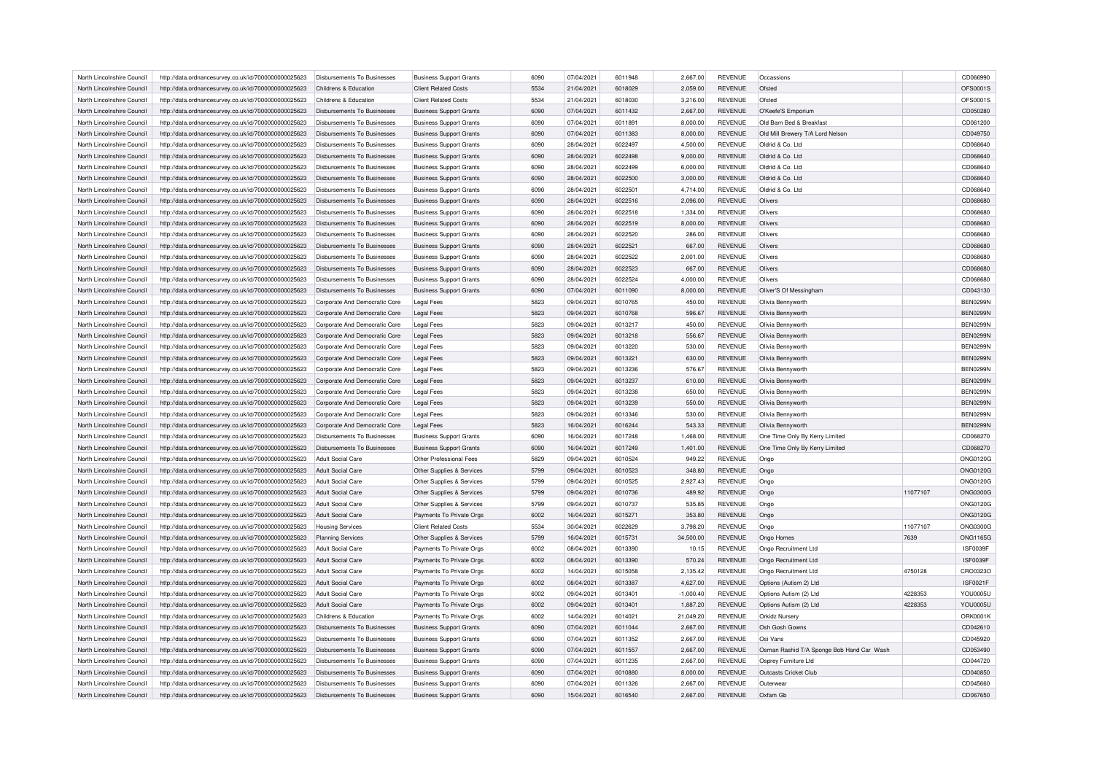| North Lincolnshire Council | http://data.ordnancesurvey.co.uk/id/7000000000025623 | Disbursements To Businesses        | <b>Business Support Grants</b> | 6090 | 07/04/2021               | 6011948 | 2,667.00             | <b>REVENUE</b> | Occassions                                |          | CD066990             |
|----------------------------|------------------------------------------------------|------------------------------------|--------------------------------|------|--------------------------|---------|----------------------|----------------|-------------------------------------------|----------|----------------------|
| North Lincolnshire Council | http://data.ordnancesurvey.co.uk/id/7000000000025623 | Childrens & Education              | <b>Client Related Costs</b>    | 5534 | 21/04/2021               | 6018029 | 2,059.00             | <b>REVENUE</b> | Ofsted                                    |          | OFS0001S             |
| North Lincolnshire Council | http://data.ordnancesurvey.co.uk/id/7000000000025623 | Childrens & Education              | <b>Client Related Costs</b>    | 5534 | 21/04/2021               | 6018030 | 3,216.00             | <b>REVENUE</b> | Ofsted                                    |          | OFS0001S             |
| North Lincolnshire Council | http://data.ordnancesurvey.co.uk/id/7000000000025623 | Disbursements To Businesses        | <b>Business Support Grants</b> | 6090 | 07/04/2021               | 6011432 | 2,667.00             | <b>REVENUE</b> | O'Keefe'S Emporium                        |          | CD050280             |
| North Lincolnshire Council | http://data.ordnancesurvey.co.uk/id/7000000000025623 | <b>Disbursements To Businesses</b> | <b>Business Support Grants</b> | 6090 | 07/04/2021               | 6011891 | 8,000.00             | <b>REVENUE</b> | Old Barn Bed & Breakfast                  |          | CD061200             |
| North Lincolnshire Council | http://data.ordnancesurvey.co.uk/id/7000000000025623 | Disbursements To Businesses        | <b>Business Support Grants</b> | 6090 | 07/04/2021               | 6011383 | 8,000.00             | <b>REVENUE</b> | Old Mill Brewery T/A Lord Nelson          |          | CD049750             |
| North Lincolnshire Council | http://data.ordnancesurvey.co.uk/id/7000000000025623 | Disbursements To Businesses        | <b>Business Support Grants</b> | 6090 | 28/04/2021               | 6022497 | 4,500.00             | <b>REVENUE</b> | Oldrid & Co. Ltd                          |          | CD068640             |
| North Lincolnshire Council | http://data.ordnancesurvey.co.uk/id/7000000000025623 | Disbursements To Businesses        | <b>Business Support Grants</b> | 6090 | 28/04/2021               | 6022498 | 9,000.00             | <b>REVENUE</b> | Oldrid & Co. Ltd                          |          | CD068640             |
| North Lincolnshire Council | http://data.ordnancesurvey.co.uk/id/7000000000025623 | Disbursements To Businesses        | <b>Business Support Grants</b> | 6090 | 28/04/2021               | 6022499 | 6,000.00             | <b>REVENUE</b> | Oldrid & Co. Ltd                          |          | CD068640             |
| North Lincolnshire Council | http://data.ordnancesurvey.co.uk/id/7000000000025623 | Disbursements To Businesses        | <b>Business Support Grants</b> | 6090 | 28/04/2021               | 6022500 | 3,000.00             | <b>REVENUE</b> | Oldrid & Co. Ltd                          |          | CD068640             |
| North Lincolnshire Council | http://data.ordnancesurvey.co.uk/id/7000000000025623 | Disbursements To Businesses        | <b>Business Support Grants</b> | 6090 | 28/04/2021               | 6022501 | 4,714.00             | <b>REVENUE</b> | Oldrid & Co. Ltd                          |          | CD068640             |
| North Lincolnshire Council | http://data.ordnancesurvey.co.uk/id/7000000000025623 | Disbursements To Businesses        | <b>Business Support Grants</b> | 6090 | 28/04/2021               | 6022516 | 2,096.00             | <b>REVENUE</b> | Olivers                                   |          | CD068680             |
| North Lincolnshire Council | http://data.ordnancesurvey.co.uk/id/7000000000025623 | Disbursements To Businesses        | <b>Business Support Grants</b> | 6090 | 28/04/2021               | 6022518 | 1,334.00             | <b>REVENUE</b> | Olivers                                   |          | CD068680             |
| North Lincolnshire Council | http://data.ordnancesurvey.co.uk/id/7000000000025623 | Disbursements To Businesses        | <b>Business Support Grants</b> | 6090 | 28/04/2021               | 6022519 | 8,000.00             | <b>REVENUE</b> | Olivers                                   |          | CD068680             |
| North Lincolnshire Council | http://data.ordnancesurvey.co.uk/id/7000000000025623 | Disbursements To Businesses        | <b>Business Support Grants</b> | 6090 | 28/04/2021               | 6022520 | 286.00               | <b>REVENUE</b> | Olivers                                   |          | CD068680             |
| North Lincolnshire Council | http://data.ordnancesurvey.co.uk/id/7000000000025623 | <b>Disbursements To Businesses</b> | <b>Business Support Grants</b> | 6090 | 28/04/2021               | 6022521 | 667.00               | <b>REVENUE</b> | Olivers                                   |          | CD068680             |
| North Lincolnshire Council | http://data.ordnancesurvey.co.uk/id/7000000000025623 | <b>Disbursements To Businesses</b> | <b>Business Support Grants</b> | 6090 | 28/04/2021               | 6022522 | 2,001.00             | <b>REVENUE</b> | Olivers                                   |          | CD068680             |
| North Lincolnshire Council | http://data.ordnancesurvey.co.uk/id/7000000000025623 | Disbursements To Businesses        | <b>Business Support Grants</b> | 6090 | 28/04/2021               | 6022523 | 667.00               | <b>REVENUE</b> | <b>Olivers</b>                            |          | CD068680             |
| North Lincolnshire Council | http://data.ordnancesurvey.co.uk/id/7000000000025623 | <b>Disbursements To Businesses</b> | <b>Business Support Grants</b> | 6090 | 28/04/2021               | 6022524 | 4,000.00             | <b>REVENUE</b> | Olivers                                   |          | CD068680             |
| North Lincolnshire Council | http://data.ordnancesurvey.co.uk/id/7000000000025623 | Disbursements To Businesses        | <b>Business Support Grants</b> | 6090 | 07/04/2021               | 6011090 | 8,000.00             | <b>REVENUE</b> | Oliver'S Of Messingham                    |          | CD043130             |
| North Lincolnshire Council |                                                      |                                    |                                | 5823 | 09/04/2021               | 6010765 |                      | <b>REVENUE</b> |                                           |          | <b>BEN0299N</b>      |
|                            | http://data.ordnancesurvey.co.uk/id/7000000000025623 | Corporate And Democratic Core      | Legal Fees                     | 5823 |                          | 6010768 | 450.00               |                | Olivia Bennyworth                         |          | <b>BEN0299N</b>      |
| North Lincolnshire Council | http://data.ordnancesurvey.co.uk/id/7000000000025623 | Corporate And Democratic Core      | <b>Legal Fees</b>              |      | 09/04/2021               |         | 596.67               | <b>REVENUE</b> | Olivia Bennyworth                         |          |                      |
| North Lincolnshire Council | http://data.ordnancesurvey.co.uk/id/7000000000025623 | Corporate And Democratic Core      | <b>Legal Fees</b>              | 5823 | 09/04/2021               | 6013217 | 450.00               | <b>REVENUE</b> | Olivia Bennyworth                         |          | <b>BEN0299N</b>      |
| North Lincolnshire Council | http://data.ordnancesurvey.co.uk/id/7000000000025623 | Corporate And Democratic Core      | Legal Fees                     | 5823 | 09/04/2021               | 6013218 | 556.67               | <b>REVENUE</b> | Olivia Bennyworth                         |          | <b>BEN0299N</b>      |
| North Lincolnshire Council | http://data.ordnancesurvey.co.uk/id/7000000000025623 | Corporate And Democratic Core      | <b>Legal Fees</b>              | 5823 | 09/04/2021               | 6013220 | 530.00               | <b>REVENUE</b> | Olivia Bennyworth                         |          | <b>BEN0299N</b>      |
| North Lincolnshire Council | http://data.ordnancesurvey.co.uk/id/7000000000025623 | Corporate And Democratic Core      | <b>Legal Fees</b>              | 5823 | 09/04/2021               | 6013221 | 630.00               | <b>REVENUE</b> | Olivia Bennyworth                         |          | <b>BEN0299N</b>      |
| North Lincolnshire Council | http://data.ordnancesurvey.co.uk/id/7000000000025623 | Corporate And Democratic Core      | <b>Legal Fees</b>              | 5823 | 09/04/2021               | 6013236 | 576.67               | <b>REVENUE</b> | Olivia Bennyworth                         |          | <b>BEN0299N</b>      |
| North Lincolnshire Council | http://data.ordnancesurvey.co.uk/id/7000000000025623 | Corporate And Democratic Core      | <b>Legal Fees</b>              | 5823 | 09/04/2021               | 6013237 | 610.00               | <b>REVENUE</b> | Olivia Bennyworth                         |          | <b>BEN0299N</b>      |
| North Lincolnshire Council | http://data.ordnancesurvey.co.uk/id/7000000000025623 | Corporate And Democratic Core      | <b>Legal Fees</b>              | 5823 | 09/04/2021               | 6013238 | 650.00               | <b>REVENUE</b> | Olivia Bennyworth                         |          | <b>BEN0299N</b>      |
| North Lincolnshire Council | http://data.ordnancesurvey.co.uk/id/7000000000025623 | Corporate And Democratic Core      | <b>Legal Fees</b>              | 5823 | 09/04/2021               | 6013239 | 550.00               | <b>REVENUE</b> | Olivia Bennyworth                         |          | <b>BEN0299N</b>      |
| North Lincolnshire Council | http://data.ordnancesurvey.co.uk/id/7000000000025623 | Corporate And Democratic Core      | <b>Legal Fees</b>              | 5823 | 09/04/2021               | 6013346 | 530.00               | <b>REVENUE</b> | Olivia Bennyworth                         |          | <b>BEN0299N</b>      |
| North Lincolnshire Council | http://data.ordnancesurvey.co.uk/id/7000000000025623 | Corporate And Democratic Core      | Legal Fees                     | 5823 | 16/04/2021               | 6016244 | 543.33               | <b>REVENUE</b> | Olivia Bennyworth                         |          | <b>BEN0299N</b>      |
| North Lincolnshire Council | http://data.ordnancesurvey.co.uk/id/7000000000025623 | <b>Disbursements To Businesses</b> | <b>Business Support Grants</b> | 6090 | 16/04/2021               | 6017248 | 1,468.00             | <b>REVENUE</b> | One Time Only By Kerry Limited            |          | CD068270             |
| North Lincolnshire Council | http://data.ordnancesurvey.co.uk/id/7000000000025623 | Disbursements To Businesses        | <b>Business Support Grants</b> | 6090 | 16/04/2021               | 6017249 | 1,401.00             | <b>REVENUE</b> | One Time Only By Kerry Limited            |          | CD068270             |
| North Lincolnshire Council | http://data.ordnancesurvey.co.uk/id/7000000000025623 | <b>Adult Social Care</b>           | Other Professional Fees        | 5829 | 09/04/2021               | 6010524 | 949.22               | <b>REVENUE</b> | Ongo                                      |          | ONG0120G             |
| North Lincolnshire Council | http://data.ordnancesurvey.co.uk/id/7000000000025623 | <b>Adult Social Care</b>           | Other Supplies & Services      | 5799 | 09/04/2021               | 6010523 | 348.80               | <b>REVENUE</b> | Ongo                                      |          | ONG0120G             |
| North Lincolnshire Council | http://data.ordnancesurvey.co.uk/id/7000000000025623 | <b>Adult Social Care</b>           | Other Supplies & Services      | 5799 | 09/04/2021               | 6010525 | 2,927.43             | <b>REVENUE</b> | Ongo                                      |          | <b>ONG0120G</b>      |
| North Lincolnshire Council | http://data.ordnancesurvey.co.uk/id/7000000000025623 | <b>Adult Social Care</b>           | Other Supplies & Services      | 5799 | 09/04/2021               | 6010736 | 489.92               | <b>REVENUE</b> | Ongo                                      | 11077107 | <b>ONG0300G</b>      |
| North Lincolnshire Council | http://data.ordnancesurvey.co.uk/id/7000000000025623 | <b>Adult Social Care</b>           | Other Supplies & Services      | 5799 | 09/04/2021               | 6010737 | 535.85               | <b>REVENUE</b> | Ongo                                      |          | <b>ONG0120G</b>      |
| North Lincolnshire Council | http://data.ordnancesurvey.co.uk/id/7000000000025623 | <b>Adult Social Care</b>           | Payments To Private Orgs       | 6002 | 16/04/2021               | 6015271 | 353.80               | <b>REVENUE</b> | Ongo                                      |          | <b>ONG0120G</b>      |
| North Lincolnshire Council | http://data.ordnancesurvey.co.uk/id/7000000000025623 | <b>Housing Services</b>            | <b>Client Related Costs</b>    | 5534 | 30/04/2021               | 6022629 | 3,798.20             | <b>REVENUE</b> | Ongo                                      | 11077107 | <b>ONG0300G</b>      |
| North Lincolnshire Council | http://data.ordnancesurvey.co.uk/id/7000000000025623 | <b>Planning Services</b>           | Other Supplies & Services      | 5799 | 16/04/2021               | 6015731 | 34,500.00            | <b>REVENUE</b> | Ongo Homes                                | 7639     | <b>ONG1165G</b>      |
| North Lincolnshire Council | http://data.ordnancesurvey.co.uk/id/7000000000025623 | <b>Adult Social Care</b>           | Payments To Private Orgs       | 6002 | 08/04/2021               | 6013390 | 10.15                | <b>REVENUE</b> | Ongo Recruitment Ltd                      |          | <b>ISF0039F</b>      |
| North Lincolnshire Council | http://data.ordnancesurvey.co.uk/id/7000000000025623 | Adult Social Care                  | Payments To Private Orgs       | 6002 | 08/04/2021               | 6013390 | 570.24               | <b>REVENUE</b> | Ongo Recruitment Ltd                      |          | ISF0039F             |
| North Lincolnshire Council | http://data.ordnancesurvey.co.uk/id/7000000000025623 | Adult Social Care                  | Payments To Private Orgs       | 6002 | 14/04/2021               | 6015058 | 2,135.42             | <b>REVENUE</b> | Ongo Recruitment Ltd                      | 4750128  | CRO0323O             |
| North Lincolnshire Council | http://data.ordnancesurvey.co.uk/id/7000000000025623 | <b>Adult Social Care</b>           | Payments To Private Orgs       | 6002 | 08/04/2021               | 6013387 | 4,627.00             | <b>REVENUE</b> | Options (Autism 2) Ltd                    |          | ISF0021F             |
| North Lincolnshire Council | http://data.ordnancesurvey.co.uk/id/7000000000025623 | Adult Social Care                  | Payments To Private Orgs       | 6002 | 09/04/2021               | 6013401 | $-1,000.40$          | <b>REVENUE</b> | Options Autism (2) Ltd                    | 4228353  | <b>YOU0005U</b>      |
| North Lincolnshire Council | http://data.ordnancesurvey.co.uk/id/7000000000025623 | Adult Social Care                  | Payments To Private Orgs       | 6002 | 09/04/2021               | 6013401 | 1,887.20             | <b>REVENUE</b> | Options Autism (2) Ltd                    | 4228353  | <b>YOU0005L</b>      |
| North Lincolnshire Council | http://data.ordnancesurvey.co.uk/id/7000000000025623 | Childrens & Education              | Payments To Private Orgs       | 6002 | 14/04/2021               | 6014021 | 21,049.20            | <b>REVENUE</b> | Orkidz Nursery                            |          | ORK0001k             |
| North Lincolnshire Council |                                                      | <b>Disbursements To Businesses</b> |                                | 6090 |                          | 6011044 |                      | <b>REVENUE</b> | Osh Gosh Gowns                            |          |                      |
| North Lincolnshire Council | http://data.ordnancesurvey.co.uk/id/7000000000025623 | Disbursements To Businesses        | <b>Business Support Grants</b> | 6090 | 07/04/2021<br>07/04/2021 | 6011352 | 2,667.00<br>2.667.00 | <b>REVENUE</b> | Osi Vans                                  |          | CD042610<br>CD045920 |
|                            | http://data.ordnancesurvey.co.uk/id/7000000000025623 |                                    | <b>Business Support Grants</b> |      |                          |         |                      |                |                                           |          |                      |
| North Lincolnshire Council | http://data.ordnancesurvey.co.uk/id/7000000000025623 | Disbursements To Businesses        | <b>Business Support Grants</b> | 6090 | 07/04/2021               | 6011557 | 2,667.00             | REVENUE        | Osman Rashid T/A Sponge Bob Hand Car Wash |          | CD053490             |
| North Lincolnshire Council | http://data.ordnancesurvey.co.uk/id/7000000000025623 | <b>Disbursements To Businesses</b> | <b>Business Support Grants</b> | 6090 | 07/04/2021               | 6011235 | 2,667.00             | REVENUE        | Osprey Furniture Ltd                      |          | CD044720             |
| North Lincolnshire Council | http://data.ordnancesurvey.co.uk/id/7000000000025623 | <b>Disbursements To Businesses</b> | <b>Business Support Grants</b> | 6090 | 07/04/2021               | 6010880 | 8.000.00             | <b>REVENUE</b> | Outcasts Cricket Club                     |          | CD040850             |
| North Lincolnshire Council | http://data.ordnancesurvey.co.uk/id/7000000000025623 | Disbursements To Businesses        | <b>Business Support Grants</b> | 6090 | 07/04/2021               | 6011326 | 2,667.00             | <b>REVENUE</b> | Outerwea                                  |          | CD045660             |
| North Lincolnshire Council | http://data.ordnancesurvey.co.uk/id/7000000000025623 | Disbursements To Businesses        | <b>Business Support Grants</b> | 6090 | 15/04/2021               | 6016540 | 2,667.00             | REVENUE        | Oxfam Gb                                  |          | CD067650             |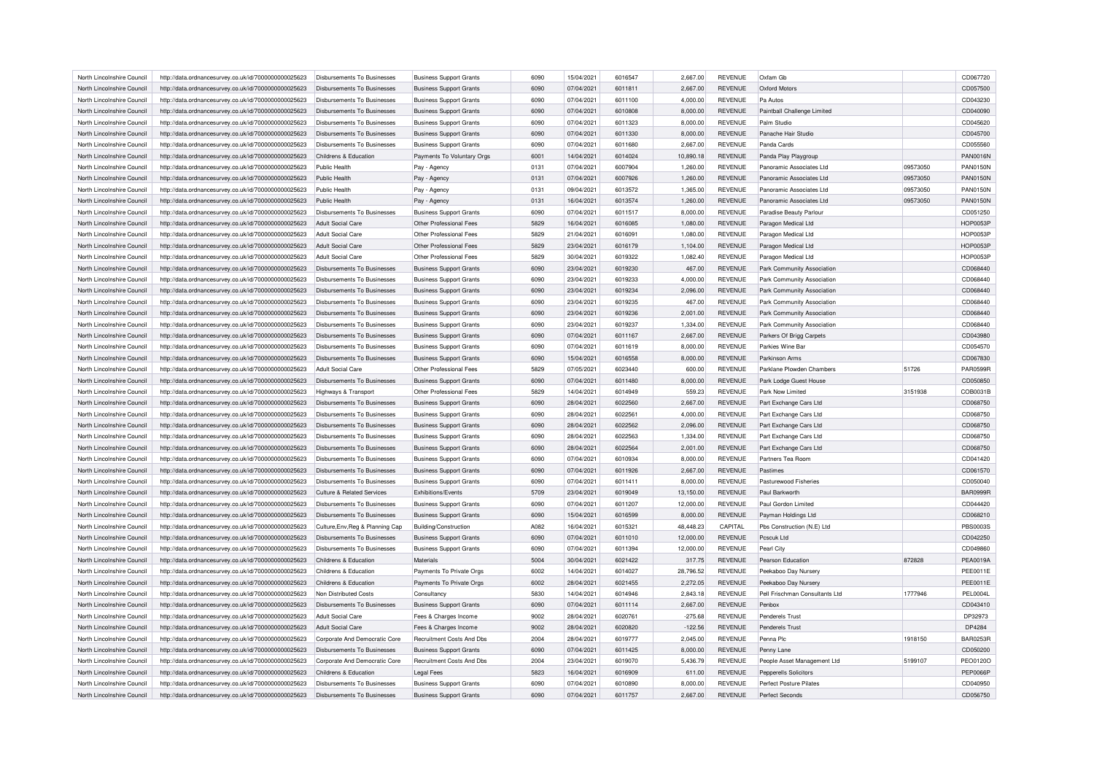| North Lincolnshire Council | http://data.ordnancesurvey.co.uk/id/7000000000025623 | Disbursements To Businesses           | <b>Business Support Grants</b> | 6090 | 15/04/2021 | 6016547 | 2,667.00  | <b>REVENUE</b> | Oxfam Gb                       |          | CD067720        |
|----------------------------|------------------------------------------------------|---------------------------------------|--------------------------------|------|------------|---------|-----------|----------------|--------------------------------|----------|-----------------|
| North Lincolnshire Council | http://data.ordnancesurvey.co.uk/id/7000000000025623 | Disbursements To Businesses           | <b>Business Support Grants</b> | 6090 | 07/04/2021 | 6011811 | 2,667.00  | <b>REVENUE</b> | <b>Oxford Motors</b>           |          | CD057500        |
| North Lincolnshire Council | http://data.ordnancesurvey.co.uk/id/7000000000025623 | Disbursements To Businesses           | <b>Business Support Grants</b> | 6090 | 07/04/2021 | 6011100 | 4,000.00  | <b>REVENUE</b> | Pa Autos                       |          | CD043230        |
| North Lincolnshire Council | http://data.ordnancesurvey.co.uk/id/7000000000025623 | Disbursements To Businesses           | <b>Business Support Grants</b> | 6090 | 07/04/2021 | 6010808 | 8,000.00  | <b>REVENUE</b> | Paintball Challenge Limited    |          | CD040090        |
| North Lincolnshire Council | http://data.ordnancesurvey.co.uk/id/7000000000025623 | Disbursements To Businesses           | <b>Business Support Grants</b> | 6090 | 07/04/2021 | 6011323 | 8,000.00  | <b>REVENUE</b> | Palm Studio                    |          | CD045620        |
| North Lincolnshire Council | http://data.ordnancesurvey.co.uk/id/7000000000025623 | Disbursements To Businesses           | <b>Business Support Grants</b> | 6090 | 07/04/2021 | 6011330 | 8,000.00  | <b>REVENUE</b> | Panache Hair Studio            |          | CD045700        |
| North Lincolnshire Council | http://data.ordnancesurvey.co.uk/id/7000000000025623 | Disbursements To Businesses           | <b>Business Support Grants</b> | 6090 | 07/04/2021 | 6011680 | 2,667.00  | <b>REVENUE</b> | Panda Cards                    |          | CD055560        |
| North Lincolnshire Council | http://data.ordnancesurvey.co.uk/id/7000000000025623 | Childrens & Education                 | Payments To Voluntary Orgs     | 6001 | 14/04/2021 | 6014024 | 10,890.18 | <b>REVENUE</b> | Panda Play Playgroup           |          | <b>PAN0016N</b> |
| North Lincolnshire Council | http://data.ordnancesurvey.co.uk/id/7000000000025623 | Public Health                         | Pay - Agency                   | 0131 | 07/04/2021 | 6007904 | 1,260.00  | <b>REVENUE</b> | Panoramic Associates I td      | 09573050 | <b>PAN0150N</b> |
| North Lincolnshire Council | http://data.ordnancesurvey.co.uk/id/7000000000025623 | Public Health                         | Pay - Agency                   | 0131 | 07/04/2021 | 6007926 | 1,260.00  | <b>REVENUE</b> | Panoramic Associates Ltd       | 09573050 | <b>PAN0150N</b> |
| North Lincolnshire Council | http://data.ordnancesurvey.co.uk/id/7000000000025623 | Public Health                         | Pay - Agency                   | 0131 | 09/04/2021 | 6013572 | 1,365.00  | <b>REVENUE</b> | Panoramic Associates I td      | 09573050 | <b>PAN0150N</b> |
| North Lincolnshire Council | http://data.ordnancesurvey.co.uk/id/7000000000025623 | Public Health                         | Pay - Agency                   | 0131 | 16/04/2021 | 6013574 | 1,260.00  | <b>REVENUE</b> | Panoramic Associates Ltd       | 09573050 | <b>PAN0150N</b> |
| North Lincolnshire Council | http://data.ordnancesurvey.co.uk/id/7000000000025623 | Disbursements To Businesses           | <b>Business Support Grants</b> | 6090 | 07/04/2021 | 6011517 | 8,000.00  | <b>REVENUE</b> | Paradise Beauty Parlour        |          | CD051250        |
|                            |                                                      | <b>Adult Social Care</b>              | Other Professional Fees        | 5829 |            | 6016085 |           | <b>REVENUE</b> |                                |          |                 |
| North Lincolnshire Council | http://data.ordnancesurvey.co.uk/id/7000000000025623 |                                       |                                |      | 16/04/2021 |         | 1,080.00  |                | Paragon Medical Ltd            |          | <b>HOP0053F</b> |
| North Lincolnshire Council | http://data.ordnancesurvey.co.uk/id/7000000000025623 | Adult Social Care                     | Other Professional Fees        | 5829 | 21/04/2021 | 6016091 | 1,080.00  | <b>REVENUE</b> | Paragon Medical Ltd            |          | <b>HOP0053F</b> |
| North Lincolnshire Council | http://data.ordnancesurvey.co.uk/id/7000000000025623 | <b>Adult Social Care</b>              | Other Professional Fees        | 5829 | 23/04/2021 | 6016179 | 1,104.00  | <b>REVENUE</b> | Paragon Medical Ltd            |          | <b>HOP0053F</b> |
| North Lincolnshire Council | http://data.ordnancesurvey.co.uk/id/7000000000025623 | <b>Adult Social Care</b>              | Other Professional Fees        | 5829 | 30/04/2021 | 6019322 | 1,082.40  | <b>REVENUE</b> | Paragon Medical Ltd            |          | <b>HOP0053P</b> |
| North Lincolnshire Council | http://data.ordnancesurvey.co.uk/id/7000000000025623 | Disbursements To Businesses           | <b>Business Support Grants</b> | 6090 | 23/04/2021 | 6019230 | 467.00    | <b>REVENUE</b> | Park Community Association     |          | CD068440        |
| North Lincolnshire Council | http://data.ordnancesurvey.co.uk/id/7000000000025623 | Disbursements To Businesses           | <b>Business Support Grants</b> | 6090 | 23/04/2021 | 6019233 | 4,000.00  | <b>REVENUE</b> | Park Community Association     |          | CD068440        |
| North Lincolnshire Council | http://data.ordnancesurvey.co.uk/id/7000000000025623 | <b>Disbursements To Businesses</b>    | <b>Business Support Grants</b> | 6090 | 23/04/2021 | 6019234 | 2,096.00  | <b>REVENUE</b> | Park Community Association     |          | CD068440        |
| North Lincolnshire Council | http://data.ordnancesurvey.co.uk/id/7000000000025623 | Disbursements To Businesses           | <b>Business Support Grants</b> | 6090 | 23/04/2021 | 6019235 | 467.00    | <b>REVENUE</b> | Park Community Association     |          | CD068440        |
| North Lincolnshire Council | http://data.ordnancesurvey.co.uk/id/7000000000025623 | <b>Disbursements To Businesses</b>    | <b>Business Support Grants</b> | 6090 | 23/04/2021 | 6019236 | 2,001.00  | <b>REVENUE</b> | Park Community Association     |          | CD068440        |
| North Lincolnshire Council | http://data.ordnancesurvey.co.uk/id/7000000000025623 | <b>Disbursements To Businesses</b>    | <b>Business Support Grants</b> | 6090 | 23/04/2021 | 6019237 | 1,334.00  | <b>REVENUE</b> | Park Community Association     |          | CD068440        |
| North Lincolnshire Council | http://data.ordnancesurvey.co.uk/id/7000000000025623 | <b>Disbursements To Businesses</b>    | <b>Business Support Grants</b> | 6090 | 07/04/2021 | 6011167 | 2,667.00  | <b>REVENUE</b> | Parkers Of Brigg Carpets       |          | CD043980        |
| North Lincolnshire Council | http://data.ordnancesurvey.co.uk/id/7000000000025623 | Disbursements To Businesses           | <b>Business Support Grants</b> | 6090 | 07/04/2021 | 6011619 | 8,000.00  | <b>REVENUE</b> | Parkies Wine Bar               |          | CD054570        |
| North Lincolnshire Council | http://data.ordnancesurvey.co.uk/id/7000000000025623 | Disbursements To Businesses           | <b>Business Support Grants</b> | 6090 | 15/04/2021 | 6016558 | 8,000.00  | <b>REVENUE</b> | Parkinson Arms                 |          | CD067830        |
| North Lincolnshire Council | http://data.ordnancesurvey.co.uk/id/7000000000025623 | Adult Social Care                     | Other Professional Fees        | 5829 | 07/05/2021 | 6023440 | 600.00    | <b>REVENUE</b> | Parklane Plowden Chambers      | 51726    | <b>PAR0599R</b> |
| North Lincolnshire Council | http://data.ordnancesurvey.co.uk/id/7000000000025623 | Disbursements To Businesses           | <b>Business Support Grants</b> | 6090 | 07/04/2021 | 6011480 | 8,000.00  | <b>REVENUE</b> | Park Lodge Guest House         |          | CD050850        |
| North Lincolnshire Council | http://data.ordnancesurvey.co.uk/id/7000000000025623 | <b>Highways &amp; Transport</b>       | Other Professional Fees        | 5829 | 14/04/2021 | 6014949 | 559.23    | <b>REVENUE</b> | Park Now Limited               | 3151938  | COB0031B        |
| North Lincolnshire Council | http://data.ordnancesurvey.co.uk/id/7000000000025623 | Disbursements To Businesses           | <b>Business Support Grants</b> | 6090 | 28/04/2021 | 6022560 | 2,667.00  | <b>REVENUE</b> | Part Exchange Cars Ltd         |          | CD068750        |
| North Lincolnshire Council | http://data.ordnancesurvey.co.uk/id/7000000000025623 | Disbursements To Businesses           | <b>Business Support Grants</b> | 6090 | 28/04/2021 | 6022561 | 4,000.00  | REVENUE        | Part Exchange Cars Ltd         |          | CD068750        |
| North Lincolnshire Council | http://data.ordnancesurvey.co.uk/id/7000000000025623 | Disbursements To Businesses           | <b>Business Support Grants</b> | 6090 | 28/04/2021 | 6022562 | 2,096.00  | <b>REVENUE</b> | Part Exchange Cars Ltd         |          | CD068750        |
| North Lincolnshire Council | http://data.ordnancesurvey.co.uk/id/7000000000025623 | Disbursements To Businesses           | <b>Business Support Grants</b> | 6090 | 28/04/2021 | 6022563 | 1,334.00  | <b>REVENUE</b> | Part Exchange Cars Ltd         |          | CD068750        |
| North Lincolnshire Council | http://data.ordnancesurvey.co.uk/id/7000000000025623 | Disbursements To Businesses           | <b>Business Support Grants</b> | 6090 | 28/04/2021 | 6022564 | 2,001.00  | <b>REVENUE</b> | Part Exchange Cars Ltd         |          | CD068750        |
| North Lincolnshire Council | http://data.ordnancesurvey.co.uk/id/7000000000025623 | <b>Disbursements To Businesses</b>    | <b>Business Support Grants</b> | 6090 | 07/04/2021 | 6010934 | 8,000.00  | <b>REVENUE</b> | Partners Tea Room              |          | CD041420        |
| North Lincolnshire Council | http://data.ordnancesurvey.co.uk/id/7000000000025623 | Disbursements To Businesses           | <b>Business Support Grants</b> | 6090 | 07/04/2021 | 6011926 | 2.667.00  | <b>REVENUE</b> | Pastimes                       |          | CD061570        |
| North Lincolnshire Council |                                                      | Disbursements To Businesses           |                                | 6090 | 07/04/2021 | 6011411 |           | <b>REVENUE</b> | Pasturewood Fisheries          |          | CD050040        |
|                            | http://data.ordnancesurvey.co.uk/id/7000000000025623 |                                       | <b>Business Support Grants</b> |      |            |         | 8,000.00  |                |                                |          |                 |
| North Lincolnshire Council | http://data.ordnancesurvey.co.uk/id/7000000000025623 | <b>Culture &amp; Related Services</b> | Exhibitions/Events             | 5709 | 23/04/2021 | 6019049 | 13,150.00 | <b>REVENUE</b> | Paul Barkworth                 |          | BAR0999R        |
| North Lincolnshire Council | http://data.ordnancesurvey.co.uk/id/7000000000025623 | Disbursements To Businesses           | <b>Business Support Grants</b> | 6090 | 07/04/2021 | 6011207 | 12,000.00 | <b>REVENUE</b> | Paul Gordon Limited            |          | CD044420        |
| North Lincolnshire Council | http://data.ordnancesurvey.co.uk/id/7000000000025623 | Disbursements To Businesses           | <b>Business Support Grants</b> | 6090 | 15/04/2021 | 6016599 | 8,000.00  | <b>REVENUE</b> | Payman Holdings Ltd            |          | CD068210        |
| North Lincolnshire Council | http://data.ordnancesurvey.co.uk/id/7000000000025623 | Culture, Env, Reg & Planning Cap      | <b>Building/Construction</b>   | A082 | 16/04/2021 | 6015321 | 48,448.23 | CAPITAL        | Pbs Construction (N.E) Ltd     |          | <b>PBS0003S</b> |
| North Lincolnshire Council | http://data.ordnancesurvey.co.uk/id/7000000000025623 | <b>Disbursements To Businesses</b>    | <b>Business Support Grants</b> | 6090 | 07/04/2021 | 6011010 | 12,000.00 | <b>REVENUE</b> | Pcscuk Ltd                     |          | CD042250        |
| North Lincolnshire Council | http://data.ordnancesurvey.co.uk/id/7000000000025623 | Disbursements To Businesses           | <b>Business Support Grants</b> | 6090 | 07/04/2021 | 6011394 | 12,000.00 | REVENUE        | Pearl City                     |          | CD049860        |
| North Lincolnshire Council | http://data.ordnancesurvey.co.uk/id/7000000000025623 | Childrens & Education                 | Materials                      | 5004 | 30/04/2021 | 6021422 | 317.75    | <b>REVENUE</b> | Pearson Education              | 872828   | <b>PEA0019A</b> |
| North Lincolnshire Council | http://data.ordnancesurvey.co.uk/id/7000000000025623 | Childrens & Education                 | Payments To Private Orgs       | 6002 | 14/04/2021 | 6014027 | 28,796.52 | <b>REVENUE</b> | Peekaboo Day Nursery           |          | <b>PEE0011E</b> |
| North Lincolnshire Council | http://data.ordnancesurvey.co.uk/id/7000000000025623 | Childrens & Education                 | Payments To Private Orgs       | 6002 | 28/04/2021 | 6021455 | 2,272.05  | REVENUE        | Peekaboo Day Nursery           |          | <b>PEE0011E</b> |
| North Lincolnshire Council | http://data.ordnancesurvey.co.uk/id/7000000000025623 | Non Distributed Costs                 | Consultancy                    | 5830 | 14/04/2021 | 6014946 | 2,843.18  | <b>REVENUE</b> | Pell Frischman Consultants Ltd | 1777946  | <b>PEL0004L</b> |
| North Lincolnshire Council | http://data.ordnancesurvey.co.uk/id/7000000000025623 | Disbursements To Businesses           | <b>Business Support Grants</b> | 6090 | 07/04/2021 | 6011114 | 2,667.00  | <b>REVENUE</b> | Penhox                         |          | CD043410        |
| North Lincolnshire Council | http://data.ordnancesurvey.co.uk/id/7000000000025623 | Adult Social Care                     | Fees & Charges Income          | 9002 | 28/04/2021 | 6020761 | $-275.68$ | REVENUE        | Penderels Trust                |          | DP32973         |
| North Lincolnshire Council | http://data.ordnancesurvey.co.uk/id/7000000000025623 | Adult Social Care                     | Fees & Charges Income          | 9002 | 28/04/2021 | 6020820 | $-122.56$ | <b>REVENUE</b> | Penderels Trust                |          | DP4284          |
| North Lincolnshire Council | http://data.ordnancesurvey.co.uk/id/7000000000025623 | Corporate And Democratic Core         | Recruitment Costs And Dbs      | 2004 | 28/04/2021 | 6019777 | 2.045.00  | <b>REVENUE</b> | Penna Plc                      | 1918150  | <b>BAR0253R</b> |
| North Lincolnshire Council | http://data.ordnancesurvey.co.uk/id/7000000000025623 | Disbursements To Businesses           | <b>Business Support Grants</b> | 6090 | 07/04/2021 | 6011425 | 8,000.00  | <b>REVENUE</b> | Penny Lane                     |          | CD050200        |
| North Lincolnshire Council | http://data.ordnancesurvey.co.uk/id/7000000000025623 | Corporate And Democratic Core         | Recruitment Costs And Dbs      | 2004 | 23/04/2021 | 6019070 | 5,436.79  | REVENUE        | People Asset Management Ltd    | 5199107  | PEO0120O        |
| North Lincolnshire Council | http://data.ordnancesurvey.co.uk/id/7000000000025623 | Childrens & Education                 | <b>Legal Fees</b>              | 5823 | 16/04/2021 | 6016909 | 611.00    | <b>REVENUE</b> | <b>Pepperells Solicitors</b>   |          | <b>PEP0066P</b> |
| North Lincolnshire Council | http://data.ordnancesurvey.co.uk/id/7000000000025623 | Disbursements To Businesses           | <b>Business Support Grants</b> | 6090 | 07/04/2021 | 6010890 | 8,000.00  | <b>REVENUE</b> | Perfect Posture Pilates        |          | CD040950        |
| North Lincolnshire Council | http://data.ordnancesurvey.co.uk/id/7000000000025623 | Disbursements To Businesses           | <b>Business Support Grants</b> | 6090 | 07/04/2021 | 6011757 | 2,667.00  | <b>REVENUE</b> | Perfect Seconds                |          | CD056750        |
|                            |                                                      |                                       |                                |      |            |         |           |                |                                |          |                 |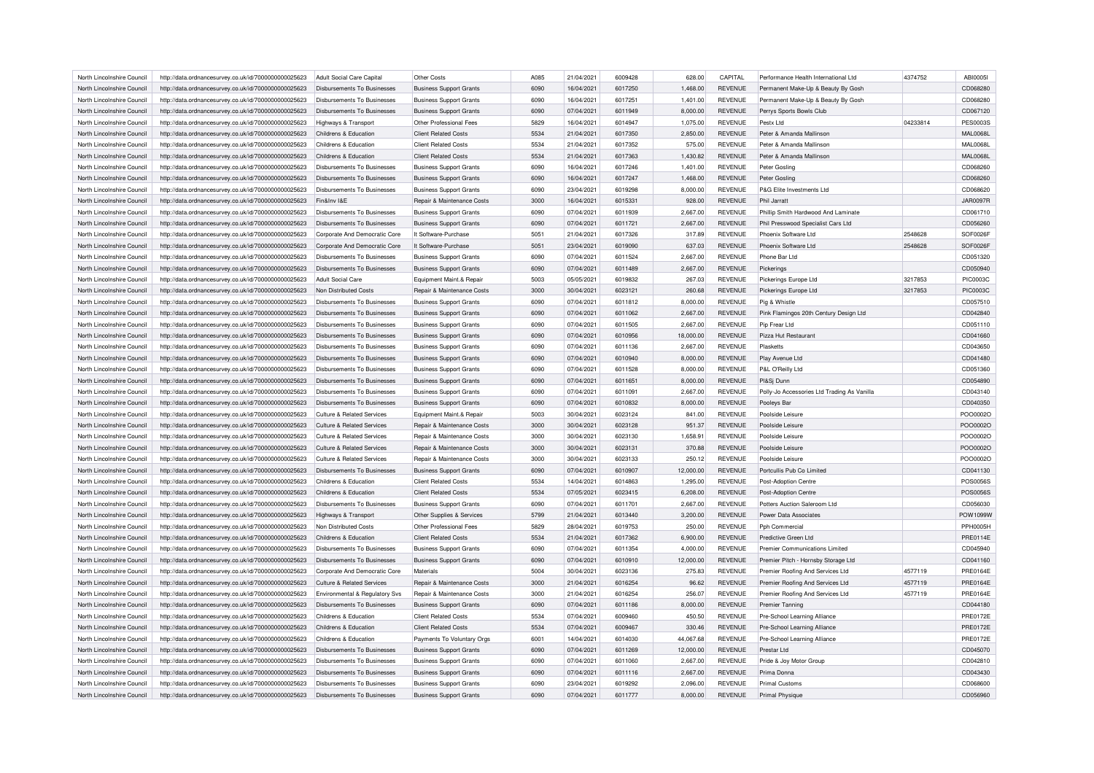| North Lincolnshire Council | http://data.ordnancesurvey.co.uk/id/7000000000025623 | Adult Social Care Capital             | Other Costs                           | A085 | 21/04/2021 | 6009428 | 628.00    | CAPITAL        | Performance Health International Ltd        | 4374752  | <b>ABI0005I</b> |
|----------------------------|------------------------------------------------------|---------------------------------------|---------------------------------------|------|------------|---------|-----------|----------------|---------------------------------------------|----------|-----------------|
| North Lincolnshire Council | http://data.ordnancesurvey.co.uk/id/7000000000025623 | <b>Disbursements To Businesses</b>    | <b>Business Support Grants</b>        | 6090 | 16/04/2021 | 6017250 | 1,468.00  | <b>REVENUE</b> | Permanent Make-Up & Beauty By Gosh          |          | CD068280        |
| North Lincolnshire Council | http://data.ordnancesurvey.co.uk/id/7000000000025623 | Disbursements To Businesses           | <b>Business Support Grants</b>        | 6090 | 16/04/2021 | 6017251 | 1,401.00  | <b>REVENUE</b> | Permanent Make-Up & Beauty By Gosh          |          | CD068280        |
| North Lincolnshire Council | http://data.ordnancesurvey.co.uk/id/7000000000025623 | <b>Disbursements To Businesses</b>    | <b>Business Support Grants</b>        | 6090 | 07/04/2021 | 6011949 | 8,000.00  | <b>REVENUE</b> | Perrys Sports Bowls Club                    |          | CD067120        |
| North Lincolnshire Council | http://data.ordnancesurvey.co.uk/id/7000000000025623 | Highways & Transport                  | Other Professional Fees               | 5829 | 16/04/2021 | 6014947 | 1,075.00  | <b>REVENUE</b> | Pestx I td                                  | 04233814 | <b>PES0003S</b> |
| North Lincolnshire Council | http://data.ordnancesurvey.co.uk/id/7000000000025623 | Childrens & Education                 | <b>Client Related Costs</b>           | 5534 | 21/04/2021 | 6017350 | 2,850.00  | <b>REVENUE</b> | Peter & Amanda Mallinson                    |          | <b>MAL0068L</b> |
| North Lincolnshire Council | http://data.ordnancesurvey.co.uk/id/7000000000025623 | Childrens & Education                 | <b>Client Related Costs</b>           | 5534 | 21/04/2021 | 6017352 | 575.00    | <b>REVENUE</b> | Peter & Amanda Mallinson                    |          | <b>MAL0068L</b> |
| North Lincolnshire Council | http://data.ordnancesurvey.co.uk/id/7000000000025623 | Childrens & Education                 | <b>Client Related Costs</b>           | 5534 | 21/04/2021 | 6017363 | 1,430.82  | <b>REVENUE</b> | Peter & Amanda Mallinson                    |          | <b>MAL0068L</b> |
| North Lincolnshire Council | http://data.ordnancesurvey.co.uk/id/7000000000025623 | Disbursements To Businesses           | <b>Business Support Grants</b>        | 6090 | 16/04/2021 | 6017246 | 1,401.00  | <b>REVENUE</b> | Peter Gosling                               |          | CD068260        |
| North Lincolnshire Council | http://data.ordnancesurvey.co.uk/id/7000000000025623 | Disbursements To Businesses           | <b>Business Support Grants</b>        | 6090 | 16/04/2021 | 6017247 | 1,468.00  | <b>REVENUE</b> | Peter Gosling                               |          | CD068260        |
| North Lincolnshire Council | http://data.ordnancesurvey.co.uk/id/7000000000025623 | <b>Disbursements To Businesses</b>    | <b>Business Support Grants</b>        | 6090 | 23/04/2021 | 6019298 | 8,000.00  | <b>REVENUE</b> | P&G Elite Investments Ltd                   |          | CD068620        |
| North Lincolnshire Council | http://data.ordnancesurvey.co.uk/id/7000000000025623 | Fin&Inv I&F                           | Repair & Maintenance Costs            | 3000 | 16/04/2021 | 6015331 | 928.00    | <b>REVENUE</b> | Phil Jarratt                                |          | <b>JAR0097R</b> |
| North Lincolnshire Council | http://data.ordnancesurvey.co.uk/id/7000000000025623 | Disbursements To Businesses           |                                       | 6090 | 07/04/2021 | 6011939 | 2,667.00  | <b>REVENUE</b> | Phillip Smith Hardwood And Laminate         |          | CD061710        |
|                            |                                                      |                                       | <b>Business Support Grants</b>        |      | 07/04/2021 | 6011721 |           | <b>REVENUE</b> | Phil Presswood Specialist Cars Ltd          |          | CD056260        |
| North Lincolnshire Council | http://data.ordnancesurvey.co.uk/id/7000000000025623 | <b>Disbursements To Businesses</b>    | <b>Business Support Grants</b>        | 6090 |            |         | 2,667.00  |                |                                             |          |                 |
| North Lincolnshire Council | http://data.ordnancesurvey.co.uk/id/7000000000025623 | Corporate And Democratic Core         | It Software-Purchase                  | 5051 | 21/04/2021 | 6017326 | 317.89    | <b>REVENUE</b> | Phoenix Software Ltd                        | 2548628  | SOF0026F        |
| North Lincolnshire Council | http://data.ordnancesurvey.co.uk/id/7000000000025623 | Corporate And Democratic Core         | It Software-Purchase                  | 5051 | 23/04/2021 | 6019090 | 637.03    | <b>REVENUE</b> | Phoenix Software Ltd                        | 2548628  | SOF0026F        |
| North Lincolnshire Council | http://data.ordnancesurvey.co.uk/id/7000000000025623 | Disbursements To Businesses           | <b>Business Support Grants</b>        | 6090 | 07/04/2021 | 6011524 | 2,667.00  | <b>REVENUE</b> | Phone Bar Ltd                               |          | CD051320        |
| North Lincolnshire Council | http://data.ordnancesurvey.co.uk/id/7000000000025623 | <b>Disbursements To Businesses</b>    | <b>Business Support Grants</b>        | 6090 | 07/04/2021 | 6011489 | 2,667.00  | <b>REVENUE</b> | Pickerings                                  |          | CD050940        |
| North Lincolnshire Council | http://data.ordnancesurvey.co.uk/id/7000000000025623 | Adult Social Care                     | Equipment Maint.& Repair              | 5003 | 05/05/2021 | 6019832 | 267.03    | <b>REVENUE</b> | Pickerings Europe Ltd                       | 3217853  | PIC0003C        |
| North Lincolnshire Council | http://data.ordnancesurvey.co.uk/id/7000000000025623 | Non Distributed Costs                 | <b>Benair &amp; Maintenance Costs</b> | 3000 | 30/04/2021 | 6023121 | 260.68    | <b>REVENUE</b> | Pickerings Europe Ltd                       | 3217853  | <b>PIC0003C</b> |
| North Lincolnshire Council | http://data.ordnancesurvey.co.uk/id/7000000000025623 | Disbursements To Businesses           | <b>Business Support Grants</b>        | 6090 | 07/04/2021 | 6011812 | 8,000.00  | <b>REVENUE</b> | Pig & Whistle                               |          | CD057510        |
| North Lincolnshire Council | http://data.ordnancesurvey.co.uk/id/7000000000025623 | <b>Disbursements To Businesses</b>    | <b>Business Support Grants</b>        | 6090 | 07/04/2021 | 6011062 | 2,667.00  | <b>REVENUE</b> | Pink Flamingos 20th Century Design Ltd      |          | CD042840        |
| North Lincolnshire Council | http://data.ordnancesurvey.co.uk/id/7000000000025623 | Disbursements To Businesses           | <b>Business Support Grants</b>        | 6090 | 07/04/2021 | 6011505 | 2,667.00  | <b>REVENUE</b> | Pip Frear Ltd                               |          | CD051110        |
| North Lincolnshire Council | http://data.ordnancesurvey.co.uk/id/7000000000025623 | Disbursements To Businesses           | <b>Business Support Grants</b>        | 6090 | 07/04/2021 | 6010956 | 18,000.00 | <b>REVENUE</b> | Pizza Hut Restaurant                        |          | CD041660        |
| North Lincolnshire Council | http://data.ordnancesurvey.co.uk/id/7000000000025623 | Disbursements To Businesses           | <b>Business Support Grants</b>        | 6090 | 07/04/2021 | 6011136 | 2,667.00  | <b>REVENUE</b> | Plasketts                                   |          | CD043650        |
| North Lincolnshire Council | http://data.ordnancesurvey.co.uk/id/7000000000025623 | Disbursements To Businesses           | <b>Business Support Grants</b>        | 6090 | 07/04/2021 | 6010940 | 8,000.00  | <b>REVENUE</b> | Play Avenue Ltd                             |          | CD041480        |
| North Lincolnshire Council | http://data.ordnancesurvey.co.uk/id/7000000000025623 | Disbursements To Businesses           | <b>Business Support Grants</b>        | 6090 | 07/04/2021 | 6011528 | 8,000.00  | <b>REVENUE</b> | P&L O'Reilly Ltd                            |          | CD051360        |
| North Lincolnshire Council | http://data.ordnancesurvey.co.uk/id/7000000000025623 | <b>Disbursements To Businesses</b>    | <b>Business Support Grants</b>        | 6090 | 07/04/2021 | 6011651 | 8,000.00  | <b>REVENUE</b> | PI&Sj Dunn                                  |          | CD054890        |
| North Lincolnshire Council | http://data.ordnancesurvey.co.uk/id/7000000000025623 | Disbursements To Businesses           | <b>Business Support Grants</b>        | 6090 | 07/04/2021 | 6011091 | 2.667.00  | <b>REVENUE</b> | Polly-Jo Accessories Ltd Trading As Vanilla |          | CD043140        |
| North Lincolnshire Council | http://data.ordnancesurvey.co.uk/id/7000000000025623 | Disbursements To Businesses           | <b>Business Support Grants</b>        | 6090 | 07/04/2021 | 6010832 | 8,000.00  | <b>REVENUE</b> | Pooleys Bar                                 |          | CD040350        |
| North Lincolnshire Council | http://data.ordnancesurvey.co.uk/id/7000000000025623 | Culture & Related Services            | Equipment Maint.& Repair              | 5003 | 30/04/2021 | 6023124 | 841.00    | <b>REVENUE</b> | Poolside Leisure                            |          | PO000020        |
| North Lincolnshire Council | http://data.ordnancesurvey.co.uk/id/7000000000025623 | Culture & Related Services            | Repair & Maintenance Costs            | 3000 | 30/04/2021 | 6023128 | 951.37    | <b>REVENUE</b> | Poolside Leisure                            |          | PO000020        |
| North Lincolnshire Council | http://data.ordnancesurvey.co.uk/id/7000000000025623 | Culture & Related Services            | Repair & Maintenance Costs            | 3000 | 30/04/2021 | 6023130 | 1,658.91  | <b>REVENUE</b> | Poolside Leisure                            |          | PO000020        |
| North Lincolnshire Council | http://data.ordnancesurvey.co.uk/id/7000000000025623 | Culture & Related Services            | Repair & Maintenance Costs            | 3000 | 30/04/2021 | 6023131 | 370.88    | <b>REVENUE</b> | Poolside Leisure                            |          | PO000020        |
| North Lincolnshire Council | http://data.ordnancesurvey.co.uk/id/7000000000025623 | <b>Culture &amp; Related Services</b> | Repair & Maintenance Costs            | 3000 | 30/04/2021 | 6023133 | 250.12    | <b>REVENUE</b> | Poolside Leisure                            |          | PO000020        |
|                            |                                                      |                                       |                                       | 6090 |            | 6010907 |           | <b>REVENUE</b> |                                             |          |                 |
| North Lincolnshire Council | http://data.ordnancesurvey.co.uk/id/7000000000025623 | <b>Disbursements To Businesses</b>    | <b>Business Support Grants</b>        |      | 07/04/2021 |         | 12,000.00 |                | Portcullis Pub Co Limited                   |          | CD041130        |
| North Lincolnshire Council | http://data.ordnancesurvey.co.uk/id/7000000000025623 | Childrens & Education                 | <b>Client Related Costs</b>           | 5534 | 14/04/2021 | 6014863 | 1,295.00  | <b>REVENUE</b> | Post-Adoption Centre                        |          | <b>POS0056S</b> |
| North Lincolnshire Council | http://data.ordnancesurvey.co.uk/id/7000000000025623 | Childrens & Education                 | <b>Client Related Costs</b>           | 5534 | 07/05/2021 | 6023415 | 6,208.00  | <b>REVENUE</b> | Post-Adoption Centre                        |          | POS0056S        |
| North Lincolnshire Council | http://data.ordnancesurvey.co.uk/id/7000000000025623 | Disbursements To Businesses           | <b>Business Support Grants</b>        | 6090 | 07/04/2021 | 6011701 | 2,667.00  | <b>REVENUE</b> | Potters Auction Saleroom Ltd                |          | CD056030        |
| North Lincolnshire Council | http://data.ordnancesurvey.co.uk/id/7000000000025623 | Highways & Transport                  | Other Supplies & Services             | 5799 | 21/04/2021 | 6013440 | 3,200.00  | <b>REVENUE</b> | Power Data Associates                       |          | POW1099W        |
| North Lincolnshire Council | http://data.ordnancesurvey.co.uk/id/7000000000025623 | Non Distributed Costs                 | Other Professional Fees               | 5829 | 28/04/2021 | 6019753 | 250.00    | REVENUE        | Pph Commercial                              |          | <b>PPH0005H</b> |
| North Lincolnshire Council | http://data.ordnancesurvey.co.uk/id/7000000000025623 | Childrens & Education                 | <b>Client Related Costs</b>           | 5534 | 21/04/2021 | 6017362 | 6,900.00  | <b>REVENUE</b> | Predictive Green Ltd                        |          | PRE0114E        |
| North Lincolnshire Council | http://data.ordnancesurvey.co.uk/id/7000000000025623 | Disbursements To Businesses           | <b>Business Support Grants</b>        | 6090 | 07/04/2021 | 6011354 | 4,000.00  | <b>REVENUE</b> | Premier Communications Limited              |          | CD045940        |
| North Lincolnshire Council | http://data.ordnancesurvey.co.uk/id/7000000000025623 | <b>Disbursements To Businesses</b>    | <b>Business Support Grants</b>        | 6090 | 07/04/2021 | 6010910 | 12,000.00 | <b>REVENUE</b> | Premier Pitch - Hornsby Storage Ltd         |          | CD041160        |
| North Lincolnshire Council | http://data.ordnancesurvey.co.uk/id/7000000000025623 | Corporate And Democratic Core         | Materials                             | 5004 | 30/04/2021 | 6023136 | 275.83    | REVENUE        | Premier Roofing And Services Ltd            | 4577119  | PRE0164E        |
| North Lincolnshire Council | http://data.ordnancesurvey.co.uk/id/7000000000025623 | <b>Culture &amp; Related Services</b> | Repair & Maintenance Costs            | 3000 | 21/04/2021 | 6016254 | 96.62     | <b>REVENUE</b> | Premier Roofing And Services Ltd            | 4577119  | <b>PRE0164E</b> |
| North Lincolnshire Council | http://data.ordnancesurvey.co.uk/id/7000000000025623 | Environmental & Regulatory Svs        | Repair & Maintenance Costs            | 3000 | 21/04/2021 | 6016254 | 256.07    | <b>REVENUE</b> | Premier Roofing And Services Ltd            | 4577119  | <b>PRE0164E</b> |
| North Lincolnshire Council | http://data.ordnancesurvey.co.uk/id/7000000000025623 | Disbursements To Businesses           | <b>Business Support Grants</b>        | 6090 | 07/04/2021 | 6011186 | 8,000.00  | <b>REVENUE</b> | Premier Tanning                             |          | CD044180        |
| North Lincolnshire Council | http://data.ordnancesurvey.co.uk/id/7000000000025623 | Childrens & Education                 | <b>Client Related Costs</b>           | 5534 | 07/04/2021 | 6009460 | 450.50    | <b>REVENUE</b> | Pre-School Learning Alliance                |          | <b>PRE0172E</b> |
| North Lincolnshire Council | http://data.ordnancesurvey.co.uk/id/7000000000025623 | Childrens & Education                 | <b>Client Related Costs</b>           | 5534 | 07/04/2021 | 6009467 | 330.46    | <b>REVENUE</b> | Pre-School Learning Alliance                |          | <b>PRE0172E</b> |
| North Lincolnshire Council | http://data.ordnancesurvey.co.uk/id/7000000000025623 | Childrens & Education                 | Payments To Voluntary Orgs            | 6001 | 14/04/2021 | 6014030 | 44,067.68 | <b>REVENUE</b> | Pre-School Learning Alliance                |          | <b>PRE0172E</b> |
| North Lincolnshire Council | http://data.ordnancesurvey.co.uk/id/7000000000025623 | Disbursements To Businesses           | <b>Business Support Grants</b>        | 6090 | 07/04/2021 | 6011269 | 12,000.00 | <b>REVENUE</b> | Prestar I to                                |          | CD045070        |
| North Lincolnshire Council | http://data.ordnancesurvey.co.uk/id/7000000000025623 | Disbursements To Businesses           | <b>Business Support Grants</b>        | 6090 | 07/04/2021 | 6011060 | 2,667.00  | <b>REVENUE</b> | Pride & Joy Motor Group                     |          | CD042810        |
| North Lincolnshire Council | http://data.ordnancesurvey.co.uk/id/7000000000025623 | Disbursements To Businesses           | <b>Business Support Grants</b>        | 6090 | 07/04/2021 | 6011116 | 2,667.00  | <b>REVENUE</b> | Prima Donna                                 |          | CD043430        |
| North Lincolnshire Council | http://data.ordnancesurvey.co.uk/id/7000000000025623 | Disbursements To Businesses           | <b>Business Support Grants</b>        | 6090 | 23/04/2021 | 6019292 | 2.096.00  | <b>REVENUE</b> | <b>Primal Customs</b>                       |          | CD068600        |
| North Lincolnshire Council | http://data.ordnancesurvey.co.uk/id/7000000000025623 | Disbursements To Businesses           |                                       | 6090 | 07/04/2021 | 6011777 | 8.000.00  | <b>REVENUE</b> | Primal Physique                             |          | CD056960        |
|                            |                                                      |                                       | <b>Business Support Grants</b>        |      |            |         |           |                |                                             |          |                 |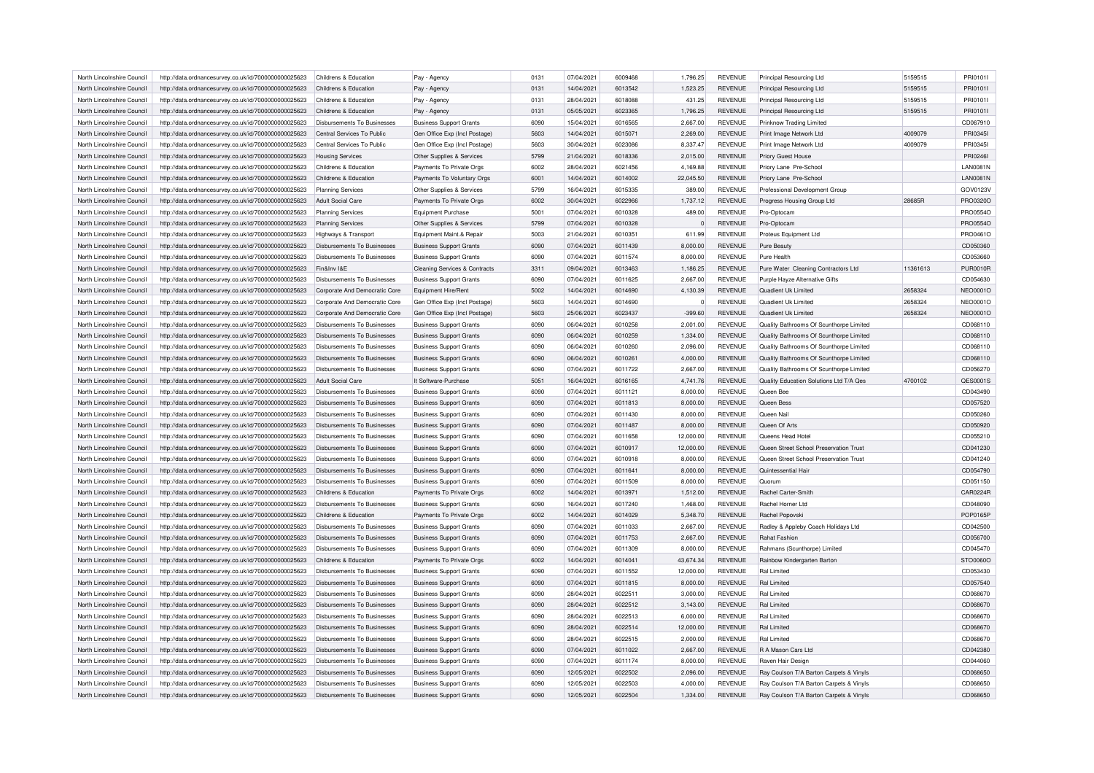| North Lincolnshire Council                               | http://data.ordnancesurvey.co.uk/id/7000000000025623 | Childrens & Education              | Pay - Agency                             | 0131 | 07/04/2021 | 6009468 | 1,796.25  | <b>REVENUE</b> | Principal Resourcing Ltd                | 5159515  | PRI01011        |
|----------------------------------------------------------|------------------------------------------------------|------------------------------------|------------------------------------------|------|------------|---------|-----------|----------------|-----------------------------------------|----------|-----------------|
| North Lincolnshire Council                               | http://data.ordnancesurvey.co.uk/id/7000000000025623 | Childrens & Education              | Pay - Agency                             | 0131 | 14/04/2021 | 6013542 | 1,523.25  | <b>REVENUE</b> | Principal Resourcing Ltd                | 5159515  | PRI01011        |
| North Lincolnshire Council                               | http://data.ordnancesurvey.co.uk/id/7000000000025623 | Childrens & Education              | Pay - Agency                             | 0131 | 28/04/2021 | 6018088 | 431.25    | <b>REVENUE</b> | Principal Resourcing Ltd                | 5159515  | PRI0101I        |
| North Lincolnshire Council                               | http://data.ordnancesurvey.co.uk/id/7000000000025623 | Childrens & Education              | Pay - Agency                             | 0131 | 05/05/2021 | 6023365 | 1,796.25  | <b>REVENUE</b> | Principal Resourcing Ltd                | 5159515  | PRI01011        |
| North Lincolnshire Council                               | http://data.ordnancesurvey.co.uk/id/7000000000025623 | Disbursements To Businesses        | <b>Business Support Grants</b>           | 6090 | 15/04/2021 | 6016565 | 2,667.00  | <b>REVENUE</b> | Prinknow Trading Limited                |          | CD067910        |
| North Lincolnshire Council                               | http://data.ordnancesurvey.co.uk/id/7000000000025623 | Central Services To Public         | Gen Office Exp (Incl Postage)            | 5603 | 14/04/2021 | 6015071 | 2,269.00  | <b>REVENUE</b> | Print Image Network Ltd                 | 4009079  | PRI03451        |
| North Lincolnshire Council                               | http://data.ordnancesurvey.co.uk/id/7000000000025623 | Central Services To Public         | Gen Office Exp (Incl Postage             | 5603 | 30/04/2021 | 6023086 | 8,337.47  | <b>REVENUE</b> | Print Image Network Ltd                 | 4009079  | PRI03451        |
| North Lincolnshire Council                               | http://data.ordnancesurvey.co.uk/id/7000000000025623 | <b>Housing Services</b>            | Other Supplies & Services                | 5799 | 21/04/2021 | 6018336 | 2,015.00  | <b>REVENUE</b> | Priory Guest House                      |          | PRI0246I        |
| North Lincolnshire Council                               | http://data.ordnancesurvey.co.uk/id/7000000000025623 | Childrens & Education              | Payments To Private Orgs                 | 6002 | 28/04/2021 | 6021456 | 4,169.88  | <b>REVENUE</b> | Priory Lane Pre-School                  |          | <b>LAN0081N</b> |
| North Lincolnshire Council                               | http://data.ordnancesurvey.co.uk/id/7000000000025623 | Childrens & Education              | Payments To Voluntary Orgs               | 6001 | 14/04/2021 | 6014002 | 22,045.50 | REVENUE        | Priory Lane Pre-School                  |          | <b>LAN0081N</b> |
| North Lincolnshire Council                               | http://data.ordnancesurvey.co.uk/id/7000000000025623 | <b>Planning Services</b>           | Other Supplies & Services                | 5799 | 16/04/2021 | 6015335 | 389.00    | <b>REVENUE</b> | Professional Development Group          |          | GOV0123V        |
| North Lincolnshire Council                               | http://data.ordnancesurvey.co.uk/id/7000000000025623 | <b>Adult Social Care</b>           | Payments To Private Orgs                 | 6002 | 30/04/2021 | 6022966 | 1,737.12  | <b>REVENUE</b> | Progress Housing Group Ltd              | 28685R   | PRO0320O        |
|                                                          |                                                      |                                    |                                          | 5001 | 07/04/2021 | 6010328 | 489.00    | REVENUE        |                                         |          | PRO0554C        |
| North Lincolnshire Council<br>North Lincolnshire Council | http://data.ordnancesurvey.co.uk/id/7000000000025623 | <b>Planning Services</b>           | <b>Equipment Purchase</b>                | 5799 | 07/04/2021 | 6010328 | $\Omega$  | <b>REVENUE</b> | Pro-Optocam                             |          | PRO0554O        |
|                                                          | http://data.ordnancesurvey.co.uk/id/7000000000025623 | <b>Planning Services</b>           | Other Supplies & Services                |      |            |         |           |                | Pro-Optocam                             |          |                 |
| North Lincolnshire Council                               | http://data.ordnancesurvey.co.uk/id/7000000000025623 | Highways & Transport               | Equipment Maint.& Repair                 | 5003 | 21/04/2021 | 6010351 | 611.99    | <b>REVENUE</b> | Proteus Equipment Ltd                   |          | PRO0461O        |
| North Lincolnshire Council                               | http://data.ordnancesurvey.co.uk/id/7000000000025623 | Disbursements To Businesses        | <b>Business Support Grants</b>           | 6090 | 07/04/2021 | 6011439 | 8,000.00  | <b>REVENUE</b> | Pure Beauty                             |          | CD050360        |
| North Lincolnshire Council                               | http://data.ordnancesurvey.co.uk/id/7000000000025623 | <b>Disbursements To Businesses</b> | <b>Business Support Grants</b>           | 6090 | 07/04/2021 | 6011574 | 8,000.00  | <b>REVENUE</b> | Pure Health                             |          | CD053660        |
| North Lincolnshire Council                               | http://data.ordnancesurvey.co.uk/id/7000000000025623 | Fin&Inv I&F                        | <b>Cleaning Services &amp; Contracts</b> | 3311 | 09/04/2021 | 6013463 | 1,186.25  | <b>REVENUE</b> | Pure Water Cleaning Contractors Ltd     | 11361613 | <b>PUR0010F</b> |
| North Lincolnshire Council                               | http://data.ordnancesurvey.co.uk/id/7000000000025623 | <b>Disbursements To Businesses</b> | <b>Business Support Grants</b>           | 6090 | 07/04/2021 | 6011625 | 2,667.00  | REVENUE        | Purple Hayze Alternative Gifts          |          | CD054630        |
| North Lincolnshire Council                               | http://data.ordnancesurvey.co.uk/id/7000000000025623 | Corporate And Democratic Core      | Equipment Hire/Rent                      | 5002 | 14/04/2021 | 6014690 | 4,130.39  | <b>REVENUE</b> | Quadient Uk Limited                     | 2658324  | <b>NEO0001O</b> |
| North Lincolnshire Council                               | http://data.ordnancesurvey.co.uk/id/7000000000025623 | Corporate And Democratic Core      | Gen Office Exp (Incl Postage)            | 5603 | 14/04/2021 | 6014690 | $\Omega$  | <b>REVENUE</b> | Quadient Uk Limited                     | 2658324  | NEO0001O        |
| North Lincolnshire Council                               | http://data.ordnancesurvey.co.uk/id/7000000000025623 | Corporate And Democratic Core      | Gen Office Exp (Incl Postage)            | 5603 | 25/06/2021 | 6023437 | $-399.60$ | <b>REVENUE</b> | Quadient Uk Limited                     | 2658324  | NEO0001O        |
| North Lincolnshire Council                               | http://data.ordnancesurvey.co.uk/id/7000000000025623 | <b>Disbursements To Businesses</b> | <b>Business Support Grants</b>           | 6090 | 06/04/2021 | 6010258 | 2,001.00  | <b>REVENUE</b> | Quality Bathrooms Of Scunthorpe Limited |          | CD068110        |
| North Lincolnshire Council                               | http://data.ordnancesurvey.co.uk/id/7000000000025623 | Disbursements To Businesses        | <b>Business Support Grants</b>           | 6090 | 06/04/2021 | 6010259 | 1,334.00  | <b>REVENUE</b> | Quality Bathrooms Of Scunthorpe Limited |          | CD068110        |
| North Lincolnshire Council                               | http://data.ordnancesurvey.co.uk/id/7000000000025623 | <b>Disbursements To Businesses</b> | <b>Business Support Grants</b>           | 6090 | 06/04/2021 | 6010260 | 2,096.00  | <b>REVENUE</b> | Quality Bathrooms Of Scunthorpe Limited |          | CD068110        |
| North Lincolnshire Council                               | http://data.ordnancesurvey.co.uk/id/7000000000025623 | <b>Disbursements To Businesses</b> | <b>Business Support Grants</b>           | 6090 | 06/04/2021 | 6010261 | 4,000.00  | <b>REVENUE</b> | Quality Bathrooms Of Scunthorpe Limited |          | CD068110        |
| North Lincolnshire Council                               | http://data.ordnancesurvey.co.uk/id/7000000000025623 | <b>Disbursements To Businesses</b> | <b>Business Support Grants</b>           | 6090 | 07/04/2021 | 6011722 | 2,667.00  | <b>REVENUE</b> | Quality Bathrooms Of Scunthorpe Limited |          | CD056270        |
| North Lincolnshire Council                               | http://data.ordnancesurvey.co.uk/id/7000000000025623 | <b>Adult Social Care</b>           | It Software-Purchase                     | 5051 | 16/04/2021 | 6016165 | 4,741.76  | <b>REVENUE</b> | Quality Education Solutions Ltd T/A Qes | 4700102  | QES0001S        |
| North Lincolnshire Council                               | http://data.ordnancesurvey.co.uk/id/7000000000025623 | <b>Disbursements To Businesses</b> | <b>Business Support Grants</b>           | 6090 | 07/04/2021 | 6011121 | 8,000.00  | <b>REVENUE</b> | Queen Bee                               |          | CD043490        |
| North Lincolnshire Council                               | http://data.ordnancesurvey.co.uk/id/7000000000025623 | <b>Disbursements To Businesses</b> | <b>Business Support Grants</b>           | 6090 | 07/04/2021 | 6011813 | 8,000.00  | <b>REVENUE</b> | Queen Bess                              |          | CD057520        |
| North Lincolnshire Council                               | http://data.ordnancesurvey.co.uk/id/7000000000025623 | Disbursements To Businesses        | <b>Business Support Grants</b>           | 6090 | 07/04/2021 | 6011430 | 8,000.00  | REVENUE        | Queen Nail                              |          | CD050260        |
| North Lincolnshire Council                               | http://data.ordnancesurvey.co.uk/id/7000000000025623 | <b>Disbursements To Businesses</b> | <b>Business Support Grants</b>           | 6090 | 07/04/2021 | 6011487 | 8,000.00  | <b>REVENUE</b> | Queen Of Arts                           |          | CD050920        |
| North Lincolnshire Council                               |                                                      |                                    |                                          | 6090 |            | 6011658 |           |                | Queens Head Hotel                       |          |                 |
|                                                          | http://data.ordnancesurvey.co.uk/id/7000000000025623 | <b>Disbursements To Businesses</b> | <b>Business Support Grants</b>           |      | 07/04/2021 |         | 12,000.00 | <b>REVENUE</b> |                                         |          | CD055210        |
| North Lincolnshire Council                               | http://data.ordnancesurvey.co.uk/id/7000000000025623 | Disbursements To Businesses        | <b>Business Support Grants</b>           | 6090 | 07/04/2021 | 6010917 | 12,000.00 | REVENUE        | Queen Street School Preservation Trust  |          | CD041230        |
| North Lincolnshire Council                               | http://data.ordnancesurvey.co.uk/id/7000000000025623 | Disbursements To Businesses        | <b>Business Support Grants</b>           | 6090 | 07/04/2021 | 6010918 | 8,000.00  | <b>REVENUE</b> | Queen Street School Preservation Trust  |          | CD041240        |
| North Lincolnshire Council                               | http://data.ordnancesurvey.co.uk/id/7000000000025623 | <b>Disbursements To Businesses</b> | <b>Business Support Grants</b>           | 6090 | 07/04/2021 | 6011641 | 8,000.00  | <b>REVENUE</b> | Quintessential Hair                     |          | CD054790        |
| North Lincolnshire Council                               | http://data.ordnancesurvey.co.uk/id/7000000000025623 | Disbursements To Businesses        | <b>Business Support Grants</b>           | 6090 | 07/04/2021 | 6011509 | 8,000.00  | REVENUE        | Quorum                                  |          | CD051150        |
| North Lincolnshire Council                               | http://data.ordnancesurvey.co.uk/id/7000000000025623 | Childrens & Education              | Payments To Private Orgs                 | 6002 | 14/04/2021 | 6013971 | 1,512.00  | <b>REVENUE</b> | Rachel Carter-Smith                     |          | CAR0224R        |
| North Lincolnshire Council                               | http://data.ordnancesurvey.co.uk/id/7000000000025623 | <b>Disbursements To Businesses</b> | <b>Business Support Grants</b>           | 6090 | 16/04/2021 | 6017240 | 1,468.00  | <b>REVENUE</b> | <b>Rachel Horner Ltd</b>                |          | CD048090        |
| North Lincolnshire Council                               | http://data.ordnancesurvey.co.uk/id/7000000000025623 | Childrens & Education              | Payments To Private Orgs                 | 6002 | 14/04/2021 | 6014029 | 5,348.70  | <b>REVENUE</b> | Rachel Popovski                         |          | POP0165P        |
| North Lincolnshire Council                               | http://data.ordnancesurvey.co.uk/id/7000000000025623 | <b>Disbursements To Businesses</b> | <b>Business Support Grants</b>           | 6090 | 07/04/2021 | 6011033 | 2,667.00  | <b>REVENUE</b> | Radley & Appleby Coach Holidays Ltd     |          | CD042500        |
| North Lincolnshire Council                               | http://data.ordnancesurvey.co.uk/id/7000000000025623 | <b>Disbursements To Businesses</b> | <b>Business Support Grants</b>           | 6090 | 07/04/2021 | 6011753 | 2,667.00  | <b>REVENUE</b> | Rahat Fashion                           |          | CD056700        |
| North Lincolnshire Council                               | http://data.ordnancesurvey.co.uk/id/7000000000025623 | Disbursements To Businesses        | <b>Business Support Grants</b>           | 6090 | 07/04/2021 | 6011309 | 8,000.00  | <b>REVENUE</b> | Rahmans (Scunthorpe) Limited            |          | CD045470        |
| North Lincolnshire Council                               | http://data.ordnancesurvey.co.uk/id/7000000000025623 | Childrens & Education              | Payments To Private Orgs                 | 6002 | 14/04/2021 | 6014041 | 43,674.34 | <b>REVENUE</b> | Rainbow Kindergarten Barton             |          | STO0060O        |
| North Lincolnshire Council                               | http://data.ordnancesurvey.co.uk/id/7000000000025623 | Disbursements To Businesses        | <b>Business Support Grants</b>           | 6090 | 07/04/2021 | 6011552 | 12,000.00 | <b>REVENUE</b> | Ral Limited                             |          | CD053430        |
| North Lincolnshire Council                               | http://data.ordnancesurvey.co.uk/id/7000000000025623 | <b>Disbursements To Businesses</b> | <b>Business Support Grants</b>           | 6090 | 07/04/2021 | 6011815 | 8,000.00  | <b>REVENUE</b> | Ral Limited                             |          | CD057540        |
| North Lincolnshire Council                               | http://data.ordnancesurvey.co.uk/id/7000000000025623 | <b>Disbursements To Businesses</b> | <b>Business Support Grants</b>           | 6090 | 28/04/2021 | 6022511 | 3,000.00  | REVENUE        | Ral Limited                             |          | CD068670        |
| North Lincolnshire Council                               | http://data.ordnancesurvey.co.uk/id/7000000000025623 | Disbursements To Businesses        |                                          | 6090 | 28/04/2021 | 6022512 | 3,143.00  | <b>REVENUE</b> | Ral Limited                             |          | CD068670        |
| North Lincolnshire Council                               | http://data.ordnancesurvey.co.uk/id/7000000000025623 | Disbursements To Businesses        | <b>Business Support Grants</b>           | 6090 | 28/04/2021 | 6022513 | 6,000.00  | REVENUE        | Ral Limited                             |          | CD068670        |
|                                                          |                                                      |                                    | <b>Business Support Grants</b>           |      |            |         |           |                |                                         |          |                 |
| North Lincolnshire Council                               | http://data.ordnancesurvey.co.uk/id/7000000000025623 | <b>Disbursements To Businesses</b> | <b>Business Support Grants</b>           | 6090 | 28/04/2021 | 6022514 | 12,000.00 | <b>REVENUE</b> | <b>Ral Limited</b>                      |          | CD068670        |
| North Lincolnshire Council                               | http://data.ordnancesurvey.co.uk/id/7000000000025623 | <b>Disbursements To Businesses</b> | <b>Business Support Grants</b>           | 6090 | 28/04/2021 | 6022515 | 2,000.00  | <b>REVENUE</b> | <b>Ral Limited</b>                      |          | CD068670        |
| North Lincolnshire Council                               | http://data.ordnancesurvey.co.uk/id/7000000000025623 | <b>Disbursements To Businesses</b> | <b>Business Support Grants</b>           | 6090 | 07/04/2021 | 6011022 | 2,667.00  | <b>REVENUE</b> | R A Mason Cars Ltd                      |          | CD042380        |
| North Lincolnshire Council                               | http://data.ordnancesurvey.co.uk/id/7000000000025623 | Disbursements To Businesses        | <b>Business Support Grants</b>           | 6090 | 07/04/2021 | 6011174 | 8,000.00  | REVENUE        | Raven Hair Design                       |          | CD044060        |
| North Lincolnshire Council                               | http://data.ordnancesurvey.co.uk/id/7000000000025623 | <b>Disbursements To Businesses</b> | <b>Business Support Grants</b>           | 6090 | 12/05/2021 | 6022502 | 2,096.00  | <b>REVENUE</b> | Ray Coulson T/A Barton Carpets & Vinyls |          | CD068650        |
| North Lincolnshire Council                               | http://data.ordnancesurvey.co.uk/id/7000000000025623 | <b>Disbursements To Businesses</b> | <b>Business Support Grants</b>           | 6090 | 12/05/2021 | 6022503 | 4,000.00  | REVENUE        | Ray Coulson T/A Barton Carpets & Vinyls |          | CD068650        |
| North Lincolnshire Council                               | http://data.ordnancesurvey.co.uk/id/7000000000025623 | Disbursements To Businesses        | <b>Business Support Grants</b>           | 6090 | 12/05/2021 | 6022504 | 1,334.00  | <b>REVENUE</b> | Ray Coulson T/A Barton Carpets & Vinyls |          | CD068650        |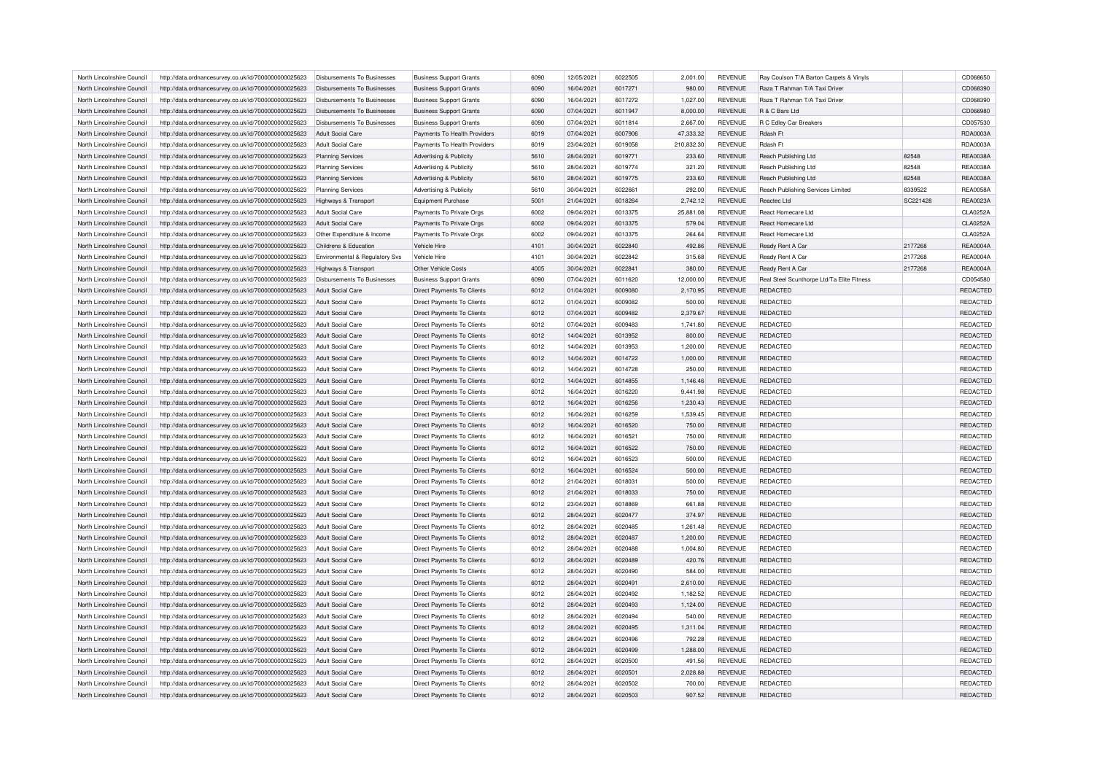| North Lincolnshire Council                               | http://data.ordnancesurvey.co.uk/id/7000000000025623 | Disbursements To Businesses                      | <b>Business Support Grants</b>                                      | 6090         | 12/05/2021               | 6022505            | 2,001.00           | <b>REVENUE</b>                   | Ray Coulson T/A Barton Carpets & Vinyls                       |          | CD068650             |
|----------------------------------------------------------|------------------------------------------------------|--------------------------------------------------|---------------------------------------------------------------------|--------------|--------------------------|--------------------|--------------------|----------------------------------|---------------------------------------------------------------|----------|----------------------|
| North Lincolnshire Council                               | http://data.ordnancesurvey.co.uk/id/7000000000025623 | Disbursements To Businesses                      | <b>Business Support Grants</b>                                      | 6090         | 16/04/2021               | 6017271            | 980.00             | <b>REVENUE</b>                   | Raza T Rahman T/A Taxi Driver                                 |          | CD068390             |
| North Lincolnshire Council                               | http://data.ordnancesurvey.co.uk/id/7000000000025623 | Disbursements To Businesses                      | <b>Business Support Grants</b>                                      | 6090         | 16/04/2021               | 6017272            | 1,027.00           | <b>REVENUE</b>                   | Raza T Rahman T/A Taxi Driver                                 |          | CD068390             |
| North Lincolnshire Council                               | http://data.ordnancesurvey.co.uk/id/7000000000025623 | Disbursements To Businesses                      | <b>Business Support Grants</b>                                      | 6090         | 07/04/2021               | 6011947            | 8,000.00           | <b>REVENUE</b>                   | R & C Bars Ltd                                                |          | CD066980             |
| North Lincolnshire Council                               | http://data.ordnancesurvey.co.uk/id/7000000000025623 | Disbursements To Businesses                      | <b>Business Support Grants</b>                                      | 6090         | 07/04/2021               | 6011814            | 2,667.00           | <b>REVENUE</b>                   | R C Edley Car Breakers                                        |          | CD057530             |
| North Lincolnshire Council                               | http://data.ordnancesurvey.co.uk/id/7000000000025623 | <b>Adult Social Care</b>                         | Payments To Health Providers                                        | 6019         | 07/04/2021               | 6007906            | 47,333.32          | <b>REVENUE</b>                   | Rdash Ft                                                      |          | RDA0003A             |
| North Lincolnshire Council                               | http://data.ordnancesurvey.co.uk/id/7000000000025623 | <b>Adult Social Care</b>                         | Payments To Health Providers                                        | 6019         | 23/04/2021               | 6019058            | 210,832.30         | <b>REVENUE</b>                   | Rdash F                                                       |          | <b>RDA0003A</b>      |
| North Lincolnshire Council                               | http://data.ordnancesurvey.co.uk/id/7000000000025623 | <b>Planning Services</b>                         | <b>Advertising &amp; Publicity</b>                                  | 5610         | 28/04/2021               | 6019771            | 233.60             | <b>REVENUE</b>                   | Reach Publishing Ltd                                          | 82548    | <b>REA0038A</b>      |
| North Lincolnshire Council                               | http://data.ordnancesurvey.co.uk/id/7000000000025623 | <b>Planning Services</b>                         | Advertising & Publicity                                             | 5610         | 28/04/2021               | 6019774            | 321.20             | <b>REVENUE</b>                   | Reach Publishing Ltd                                          | 82548    | <b>REA0038A</b>      |
| North Lincolnshire Council                               | http://data.ordnancesurvey.co.uk/id/7000000000025623 | <b>Planning Services</b>                         | Advertising & Publicity                                             | 5610         | 28/04/2021               | 6019775            | 233.60             | <b>REVENUE</b>                   | Reach Publishing Ltd                                          | 82548    | <b>REA0038A</b>      |
| North Lincolnshire Council                               | http://data.ordnancesurvey.co.uk/id/7000000000025623 | <b>Planning Services</b>                         | Advertising & Publicity                                             | 5610         | 30/04/2021               | 6022661            | 292.00             | <b>REVENUE</b>                   | Reach Publishing Services Limited                             | 8339522  | <b>REA0058A</b>      |
| North Lincolnshire Council                               | http://data.ordnancesurvey.co.uk/id/7000000000025623 | Highways & Transport                             | Equipment Purchase                                                  | 5001         | 21/04/2021               | 6018264            | 2,742.12           | <b>REVENUE</b>                   | Reactec Ltd                                                   | SC221428 | <b>REA0023A</b>      |
| North Lincolnshire Council                               | http://data.ordnancesurvey.co.uk/id/7000000000025623 | Adult Social Care                                | Payments To Private Orgs                                            | 6002         | 09/04/2021               | 6013375            | 25,881.08          | <b>REVENUE</b>                   | React Homecare Ltd                                            |          | CLA0252A             |
| North Lincolnshire Council                               | http://data.ordnancesurvey.co.uk/id/7000000000025623 | <b>Adult Social Care</b>                         | Payments To Private Orgs                                            | 6002         | 09/04/2021               | 6013375            | 579.04             | <b>REVENUE</b>                   | React Homecare Ltd                                            |          | <b>CLA0252A</b>      |
| North Lincolnshire Council                               | http://data.ordnancesurvey.co.uk/id/7000000000025623 | Other Expenditure & Income                       | Payments To Private Orgs                                            | 6002         | 09/04/2021               | 6013375            | 264.64             | <b>REVENUE</b>                   | React Homecare Ltd                                            |          | <b>CLA0252A</b>      |
| North Lincolnshire Council                               | http://data.ordnancesurvey.co.uk/id/7000000000025623 | Childrens & Education                            | Vehicle Hire                                                        | 4101         | 30/04/2021               | 6022840            | 492.86             | <b>REVENUE</b>                   | Ready Rent A Car                                              | 2177268  | <b>REA0004A</b>      |
| North Lincolnshire Council                               | http://data.ordnancesurvey.co.uk/id/7000000000025623 | Environmental & Regulatory Svs                   | Vehicle Hire                                                        | 4101         | 30/04/2021               | 6022842            | 315.68             | <b>REVENUE</b>                   | Ready Rent A Car                                              | 2177268  | <b>REA0004A</b>      |
| North Lincolnshire Council                               |                                                      |                                                  | Other Vehicle Costs                                                 | 4005         | 30/04/2021               | 6022841            |                    | <b>REVENUE</b>                   | Ready Rent A Car                                              | 2177268  | <b>REA0004A</b>      |
|                                                          | http://data.ordnancesurvey.co.uk/id/7000000000025623 | Highways & Transport                             |                                                                     |              |                          |                    | 380.00             |                                  |                                                               |          |                      |
| North Lincolnshire Council<br>North Lincolnshire Council | http://data.ordnancesurvey.co.uk/id/7000000000025623 | Disbursements To Businesses<br>Adult Social Care | <b>Business Support Grants</b><br><b>Direct Payments To Clients</b> | 6090<br>6012 | 07/04/2021<br>01/04/2021 | 6011620<br>6009080 | 12,000.00          | <b>REVENUE</b><br><b>REVENUE</b> | Real Steel Scunthorpe Ltd/Ta Elite Fitness<br><b>REDACTED</b> |          | CD054580             |
|                                                          | http://data.ordnancesurvey.co.uk/id/7000000000025623 |                                                  |                                                                     |              |                          |                    | 2,170.95           |                                  |                                                               |          | REDACTED             |
| North Lincolnshire Council                               | http://data.ordnancesurvey.co.uk/id/7000000000025623 | Adult Social Care                                | Direct Payments To Clients                                          | 6012         | 01/04/2021               | 6009082            | 500.00             | <b>REVENUE</b>                   | REDACTED                                                      |          | REDACTED             |
| North Lincolnshire Council                               | http://data.ordnancesurvey.co.uk/id/7000000000025623 | <b>Adult Social Care</b>                         | Direct Payments To Clients                                          | 6012         | 07/04/2021               | 6009482            | 2,379.67           | <b>REVENUE</b>                   | REDACTED                                                      |          | REDACTED             |
| North Lincolnshire Council                               | http://data.ordnancesurvey.co.uk/id/7000000000025623 | Adult Social Care                                | <b>Direct Payments To Clients</b>                                   | 6012         | 07/04/2021               | 6009483            | 1,741.80           | <b>REVENUE</b>                   | REDACTED                                                      |          | REDACTED             |
| North Lincolnshire Council                               | http://data.ordnancesurvey.co.uk/id/7000000000025623 | <b>Adult Social Care</b>                         | <b>Direct Payments To Clients</b>                                   | 6012         | 14/04/2021               | 6013952            | 800.00             | <b>REVENUE</b>                   | REDACTED                                                      |          | REDACTED             |
| North Lincolnshire Council                               | http://data.ordnancesurvey.co.uk/id/7000000000025623 | Adult Social Care                                | <b>Direct Payments To Clients</b>                                   | 6012         | 14/04/2021               | 6013953            | 1,200.00           | <b>REVENUE</b>                   | REDACTED                                                      |          | REDACTED             |
| North Lincolnshire Council                               | http://data.ordnancesurvey.co.uk/id/7000000000025623 | Adult Social Care                                | Direct Payments To Clients                                          | 6012         | 14/04/2021               | 6014722            | 1,000.00           | <b>REVENUE</b>                   | <b>REDACTED</b>                                               |          | REDACTED             |
| North Lincolnshire Council                               | http://data.ordnancesurvey.co.uk/id/7000000000025623 | Adult Social Care                                | Direct Payments To Clients                                          | 6012         | 14/04/2021               | 6014728            | 250.00             | <b>REVENUE</b>                   | REDACTED                                                      |          | REDACTED             |
| North Lincolnshire Council                               | http://data.ordnancesurvey.co.uk/id/7000000000025623 | <b>Adult Social Care</b>                         | Direct Payments To Clients                                          | 6012         | 14/04/2021               | 6014855            | 1,146.46           | <b>REVENUE</b>                   | REDACTED                                                      |          | REDACTED             |
| North Lincolnshire Council                               | http://data.ordnancesurvey.co.uk/id/7000000000025623 | Adult Social Care                                | <b>Direct Payments To Clients</b>                                   | 6012         | 16/04/2021               | 6016220            | 9,441.98           | <b>REVENUE</b>                   | <b>REDACTED</b>                                               |          | REDACTED             |
| North Lincolnshire Council                               | http://data.ordnancesurvey.co.uk/id/7000000000025623 | <b>Adult Social Care</b>                         | Direct Payments To Clients                                          | 6012         | 16/04/2021               | 6016256            | 1,230.43           | <b>REVENUE</b>                   | REDACTED                                                      |          | REDACTED             |
| North Lincolnshire Council                               | http://data.ordnancesurvey.co.uk/id/7000000000025623 | <b>Adult Social Care</b>                         | Direct Payments To Clients                                          | 6012         | 16/04/2021               | 6016259            | 1,539.45           | <b>REVENUE</b>                   | REDACTED                                                      |          | REDACTED             |
| North Lincolnshire Council                               | http://data.ordnancesurvey.co.uk/id/7000000000025623 | Adult Social Care                                | <b>Direct Payments To Clients</b>                                   | 6012         | 16/04/2021               | 6016520            | 750.00             | <b>REVENUE</b>                   | <b>REDACTED</b>                                               |          | REDACTED             |
| North Lincolnshire Council                               | http://data.ordnancesurvey.co.uk/id/7000000000025623 | Adult Social Care                                | Direct Payments To Clients                                          | 6012         | 16/04/2021               | 6016521            | 750.00             | <b>REVENUE</b>                   | REDACTED                                                      |          | REDACTED             |
| North Lincolnshire Council                               | http://data.ordnancesurvey.co.uk/id/7000000000025623 | <b>Adult Social Care</b>                         | Direct Payments To Clients                                          | 6012         | 16/04/2021               | 6016522            | 750.00             | <b>REVENUE</b>                   | REDACTED                                                      |          | REDACTED             |
| North Lincolnshire Council                               | http://data.ordnancesurvey.co.uk/id/7000000000025623 | Adult Social Care                                | <b>Direct Payments To Clients</b>                                   | 6012         | 16/04/2021               | 6016523            | 500.00             | <b>REVENUE</b>                   | <b>REDACTED</b>                                               |          | REDACTED             |
| North Lincolnshire Council                               | http://data.ordnancesurvey.co.uk/id/7000000000025623 | Adult Social Care                                | <b>Direct Payments To Clients</b>                                   | 6012         | 16/04/2021               | 6016524            | 500.00             | <b>REVENUE</b>                   | REDACTED                                                      |          | REDACTED             |
| North Lincolnshire Council                               | http://data.ordnancesurvey.co.uk/id/7000000000025623 | Adult Social Care                                | Direct Payments To Clients                                          | 6012         | 21/04/2021               | 6018031            | 500.00             | <b>REVENUE</b>                   | REDACTED                                                      |          | REDACTED             |
| North Lincolnshire Council                               | http://data.ordnancesurvey.co.uk/id/7000000000025623 | <b>Adult Social Care</b>                         | Direct Payments To Clients                                          | 6012         | 21/04/2021               | 6018033            | 750.00             | <b>REVENUE</b>                   | <b>REDACTED</b>                                               |          | REDACTED             |
| North Lincolnshire Council                               | http://data.ordnancesurvey.co.uk/id/7000000000025623 | Adult Social Care                                | <b>Direct Payments To Clients</b>                                   | 6012         | 23/04/2021               | 6018869            | 661.88             | <b>REVENUE</b>                   | REDACTED                                                      |          | REDACTED             |
| North Lincolnshire Council                               | http://data.ordnancesurvey.co.uk/id/7000000000025623 | <b>Adult Social Care</b>                         | Direct Payments To Clients                                          | 6012         | 28/04/2021               | 6020477            | 374.97             | <b>REVENUE</b>                   | REDACTED                                                      |          | REDACTED             |
| North Lincolnshire Council                               | http://data.ordnancesurvey.co.uk/id/7000000000025623 | Adult Social Care                                | Direct Payments To Clients                                          | 6012         | 28/04/2021               | 6020485            | 1,261.48           | <b>REVENUE</b>                   | <b>REDACTED</b>                                               |          | REDACTED             |
| North Lincolnshire Council                               | http://data.ordnancesurvey.co.uk/id/7000000000025623 | <b>Adult Social Care</b>                         | Direct Payments To Clients                                          | 6012         | 28/04/2021               | 6020487            | 1,200.00           | <b>REVENUE</b>                   | REDACTED                                                      |          | REDACTED             |
| North Lincolnshire Council                               | http://data.ordnancesurvey.co.uk/id/7000000000025623 | Adult Social Care                                | <b>Direct Payments To Clients</b>                                   | 6012         | 28/04/2021               | 6020488            | 1,004.80           | <b>REVENUE</b>                   | REDACTED                                                      |          | REDACTED             |
| North Lincolnshire Council                               | http://data.ordnancesurvey.co.uk/id/7000000000025623 | Adult Social Care                                | <b>Direct Payments To Clients</b>                                   | 6012         | 28/04/2021               | 6020489            | 420.76             | <b>REVENUE</b>                   | <b>REDACTED</b>                                               |          | REDACTED             |
| North Lincolnshire Council                               | http://data.ordnancesurvey.co.uk/id/7000000000025623 | Adult Social Care                                | Direct Payments To Clients                                          | 6012         | 28/04/2021               | 6020490            | 584.00             | <b>REVENUE</b>                   | REDACTED                                                      |          | REDACTED             |
| North Lincolnshire Council                               | http://data.ordnancesurvey.co.uk/id/7000000000025623 | <b>Adult Social Care</b>                         | Direct Payments To Clients                                          | 6012         | 28/04/2021               | 6020491            | 2,610.00           | <b>REVENUE</b>                   | REDACTED                                                      |          | REDACTED             |
| North Lincolnshire Council                               | http://data.ordnancesurvey.co.uk/id/7000000000025623 | Adult Social Care                                | <b>Direct Payments To Clients</b>                                   | 6012         | 28/04/2021               | 6020492            | 1,182.52           | <b>REVENUE</b>                   | <b>REDACTED</b>                                               |          | REDACTED             |
| North Lincolnshire Council                               | http://data.ordnancesurvey.co.uk/id/7000000000025623 | Adult Social Care                                | <b>Direct Payments To Clients</b>                                   | 6012         | 28/04/2021               | 6020493            | 1,124.00           | <b>REVENUE</b>                   | REDACTED                                                      |          | REDACTED             |
| North Lincolnshire Council                               | http://data.ordnancesurvey.co.uk/id/7000000000025623 |                                                  | Direct Payments To Clients                                          | 6012         | 28/04/2021               | 6020494            | 540.00             | <b>REVENUE</b>                   | REDACTED                                                      |          | REDACTED             |
| North Lincolnshire Council                               |                                                      | Adult Social Care<br>Adult Social Care           |                                                                     | 6012         |                          | 6020495            |                    | <b>REVENUE</b>                   | <b>REDACTED</b>                                               |          |                      |
| North Lincolnshire Council                               | http://data.ordnancesurvey.co.uk/id/7000000000025623 | Adult Social Care                                | Direct Payments To Clients                                          | 6012         | 28/04/2021<br>28/04/2021 | 6020496            | 1,311.04<br>792.28 | <b>REVENUE</b>                   | <b>REDACTED</b>                                               |          | REDACTED<br>REDACTED |
|                                                          | http://data.ordnancesurvey.co.uk/id/7000000000025623 |                                                  | Direct Payments To Clients                                          |              |                          |                    |                    |                                  |                                                               |          |                      |
| North Lincolnshire Council                               | http://data.ordnancesurvey.co.uk/id/7000000000025623 | <b>Adult Social Care</b>                         | Direct Payments To Clients                                          | 6012         | 28/04/2021               | 6020499            | 1,288.00           | <b>REVENUE</b>                   | REDACTED                                                      |          | REDACTED             |
| North Lincolnshire Council                               | http://data.ordnancesurvey.co.uk/id/7000000000025623 | Adult Social Care                                | <b>Direct Payments To Clients</b>                                   | 6012         | 28/04/2021               | 6020500            | 491.56             | <b>REVENUE</b>                   | REDACTED                                                      |          | REDACTED             |
| North Lincolnshire Council                               | http://data.ordnancesurvey.co.uk/id/7000000000025623 | Adult Social Care                                | <b>Direct Payments To Clients</b>                                   | 6012         | 28/04/2021               | 6020501            | 2.028.88           | <b>REVENUE</b>                   | <b>REDACTED</b>                                               |          | REDACTED             |
| North Lincolnshire Council                               | http://data.ordnancesurvey.co.uk/id/7000000000025623 | Adult Social Care                                | <b>Direct Payments To Clients</b>                                   | 6012         | 28/04/2021               | 6020502            | 700.00             | <b>REVENUE</b>                   | REDACTED                                                      |          | REDACTED             |
| North Lincolnshire Council                               | http://data.ordnancesurvey.co.uk/id/7000000000025623 | Adult Social Care                                | <b>Direct Payments To Clients</b>                                   | 6012         | 28/04/2021               | 6020503            | 907.52             | <b>REVENUE</b>                   | REDACTED                                                      |          | REDACTED             |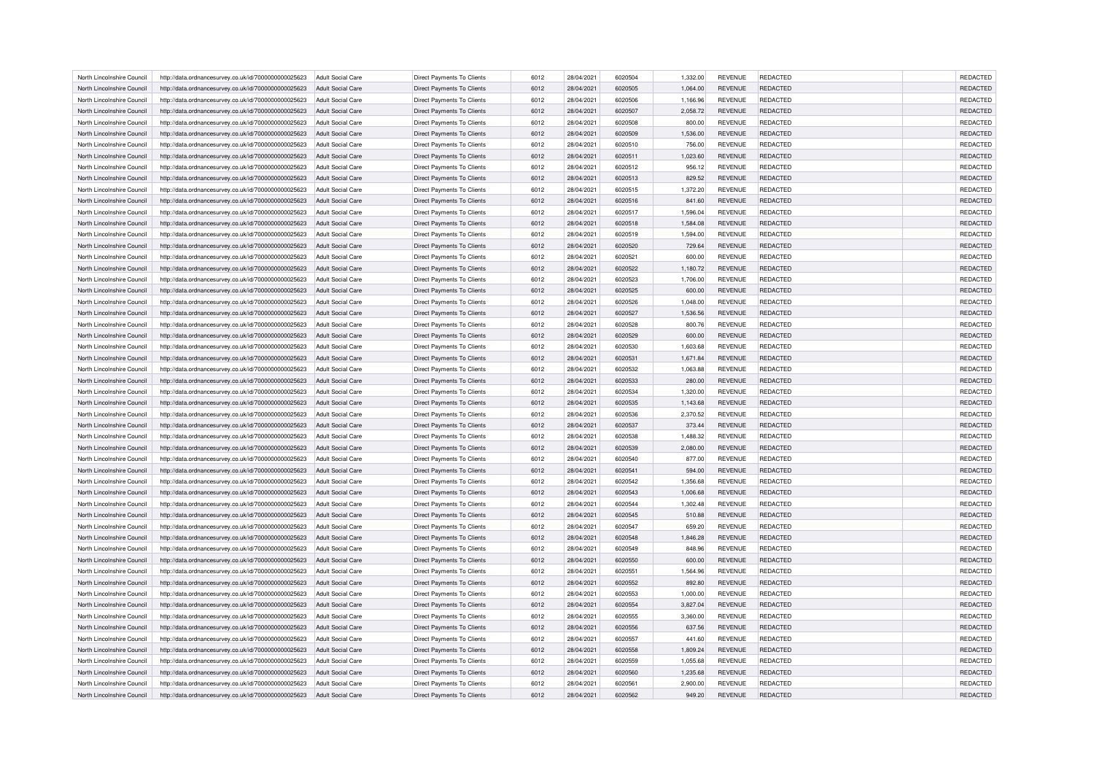| North Lincolnshire Council | http://data.ordnancesurvey.co.uk/id/7000000000025623 | Adult Social Care        | Direct Payments To Clients        | 6012 | 28/04/2021 | 6020504 | 1,332.00 | <b>REVENUE</b> | <b>REDACTED</b> | <b>REDACTED</b> |
|----------------------------|------------------------------------------------------|--------------------------|-----------------------------------|------|------------|---------|----------|----------------|-----------------|-----------------|
| North Lincolnshire Council | http://data.ordnancesurvey.co.uk/id/7000000000025623 | Adult Social Care        | <b>Direct Payments To Clients</b> | 6012 | 28/04/2021 | 6020505 | 1,064.00 | <b>REVENUE</b> | <b>REDACTED</b> | <b>REDACTED</b> |
| North Lincolnshire Council | http://data.ordnancesurvey.co.uk/id/7000000000025623 | Adult Social Care        | Direct Payments To Clients        | 6012 | 28/04/2021 | 6020506 | 1,166.96 | <b>REVENUE</b> | <b>REDACTED</b> | <b>REDACTED</b> |
| North Lincolnshire Council | http://data.ordnancesurvey.co.uk/id/7000000000025623 | Adult Social Care        | <b>Direct Payments To Clients</b> | 6012 | 28/04/2021 | 6020507 | 2,058.72 | <b>REVENUE</b> | <b>REDACTED</b> | REDACTED        |
| North Lincolnshire Council | http://data.ordnancesurvey.co.uk/id/7000000000025623 | <b>Adult Social Care</b> | <b>Direct Payments To Clients</b> | 6012 | 28/04/2021 | 6020508 | 800.00   | <b>REVENUE</b> | <b>REDACTED</b> | <b>REDACTED</b> |
| North Lincolnshire Council | http://data.ordnancesurvey.co.uk/id/7000000000025623 | Adult Social Care        | Direct Payments To Clients        | 6012 | 28/04/2021 | 6020509 | 1,536.00 | <b>REVENUE</b> | <b>REDACTED</b> | REDACTED        |
| North Lincolnshire Council | http://data.ordnancesurvey.co.uk/id/7000000000025623 | <b>Adult Social Care</b> | Direct Payments To Clients        | 6012 | 28/04/2021 | 6020510 | 756.00   | <b>REVENUE</b> | REDACTED        | REDACTED        |
| North Lincolnshire Council | http://data.ordnancesurvey.co.uk/id/7000000000025623 | Adult Social Care        | <b>Direct Payments To Clients</b> | 6012 | 28/04/2021 | 6020511 | 1,023.60 | <b>REVENUE</b> | <b>REDACTED</b> | REDACTED        |
| North Lincolnshire Council | http://data.ordnancesurvey.co.uk/id/7000000000025623 | Adult Social Care        | <b>Direct Payments To Clients</b> | 6012 | 28/04/2021 | 6020512 | 956.12   | <b>REVENUE</b> | <b>REDACTED</b> | <b>REDACTED</b> |
| North Lincolnshire Council | http://data.ordnancesurvey.co.uk/id/7000000000025623 | <b>Adult Social Care</b> | Direct Payments To Clients        | 6012 | 28/04/2021 | 6020513 | 829.52   | <b>REVENUE</b> | REDACTED        | REDACTED        |
| North Lincolnshire Council | http://data.ordnancesurvey.co.uk/id/7000000000025623 | Adult Social Care        | <b>Direct Payments To Clients</b> | 6012 | 28/04/2021 | 6020515 | 1,372.20 | <b>REVENUE</b> | <b>REDACTED</b> | <b>REDACTED</b> |
| North Lincolnshire Council | http://data.ordnancesurvey.co.uk/id/7000000000025623 | <b>Adult Social Care</b> | <b>Direct Payments To Clients</b> | 6012 | 28/04/2021 | 6020516 | 841.60   | <b>REVENUE</b> | <b>REDACTED</b> | REDACTED        |
| North Lincolnshire Council | http://data.ordnancesurvey.co.uk/id/7000000000025623 | <b>Adult Social Care</b> | Direct Payments To Clients        | 6012 | 28/04/2021 | 6020517 | 1,596.04 | <b>REVENUE</b> | REDACTED        | <b>REDACTED</b> |
| North Lincolnshire Council | http://data.ordnancesurvey.co.uk/id/7000000000025623 | Adult Social Care        | Direct Payments To Clients        | 6012 | 28/04/2021 | 6020518 | 1,584.08 | <b>REVENUE</b> | REDACTED        | REDACTED        |
| North Lincolnshire Council | http://data.ordnancesurvey.co.uk/id/7000000000025623 | Adult Social Care        | <b>Direct Payments To Clients</b> | 6012 | 28/04/2021 | 6020519 | 1,594.00 | <b>REVENUE</b> | <b>REDACTED</b> | <b>REDACTED</b> |
| North Lincolnshire Council | http://data.ordnancesurvey.co.uk/id/7000000000025623 | <b>Adult Social Care</b> | <b>Direct Payments To Clients</b> | 6012 | 28/04/2021 | 6020520 | 729.64   | <b>REVENUE</b> | <b>REDACTED</b> | REDACTED        |
| North Lincolnshire Council | http://data.ordnancesurvey.co.uk/id/7000000000025623 | <b>Adult Social Care</b> | Direct Payments To Clients        | 6012 | 28/04/2021 | 6020521 | 600.00   | <b>REVENUE</b> | REDACTED        | <b>REDACTED</b> |
|                            |                                                      |                          |                                   |      |            |         |          |                |                 |                 |
| North Lincolnshire Council | http://data.ordnancesurvey.co.uk/id/7000000000025623 | <b>Adult Social Care</b> | Direct Payments To Clients        | 6012 | 28/04/2021 | 6020522 | 1,180.72 | <b>REVENUE</b> | REDACTED        | REDACTED        |
| North Lincolnshire Council | http://data.ordnancesurvey.co.uk/id/7000000000025623 | <b>Adult Social Care</b> | <b>Direct Payments To Clients</b> | 6012 | 28/04/2021 | 6020523 | 1,706.00 | <b>REVENUE</b> | <b>REDACTED</b> | <b>REDACTED</b> |
| North Lincolnshire Council | http://data.ordnancesurvey.co.uk/id/7000000000025623 | <b>Adult Social Care</b> | <b>Direct Payments To Clients</b> | 6012 | 28/04/2021 | 6020525 | 600.00   | <b>REVENUE</b> | <b>REDACTED</b> | REDACTED        |
| North Lincolnshire Council | http://data.ordnancesurvey.co.uk/id/7000000000025623 | <b>Adult Social Care</b> | Direct Payments To Clients        | 6012 | 28/04/2021 | 6020526 | 1,048.00 | <b>REVENUE</b> | <b>REDACTED</b> | <b>REDACTED</b> |
| North Lincolnshire Council | http://data.ordnancesurvey.co.uk/id/7000000000025623 | <b>Adult Social Care</b> | <b>Direct Payments To Clients</b> | 6012 | 28/04/2021 | 6020527 | 1,536.56 | <b>REVENUE</b> | <b>REDACTED</b> | REDACTED        |
| North Lincolnshire Council | http://data.ordnancesurvey.co.uk/id/7000000000025623 | <b>Adult Social Care</b> | <b>Direct Payments To Clients</b> | 6012 | 28/04/2021 | 6020528 | 800.76   | <b>REVENUE</b> | <b>REDACTED</b> | <b>REDACTED</b> |
| North Lincolnshire Council | http://data.ordnancesurvey.co.uk/id/7000000000025623 | Adult Social Care        | Direct Payments To Clients        | 6012 | 28/04/2021 | 6020529 | 600.00   | <b>REVENUE</b> | <b>REDACTED</b> | REDACTED        |
| North Lincolnshire Council | http://data.ordnancesurvey.co.uk/id/7000000000025623 | <b>Adult Social Care</b> | Direct Payments To Clients        | 6012 | 28/04/2021 | 6020530 | 1,603.68 | <b>REVENUE</b> | REDACTED        | REDACTED        |
| North Lincolnshire Council | http://data.ordnancesurvey.co.uk/id/7000000000025623 | Adult Social Care        | <b>Direct Payments To Clients</b> | 6012 | 28/04/2021 | 6020531 | 1,671.84 | <b>REVENUE</b> | <b>REDACTED</b> | REDACTED        |
| North Lincolnshire Council | http://data.ordnancesurvey.co.uk/id/7000000000025623 | Adult Social Care        | <b>Direct Payments To Clients</b> | 6012 | 28/04/2021 | 6020532 | 1,063.88 | <b>REVENUE</b> | <b>REDACTED</b> | <b>REDACTED</b> |
| North Lincolnshire Council | http://data.ordnancesurvey.co.uk/id/7000000000025623 | <b>Adult Social Care</b> | Direct Payments To Clients        | 6012 | 28/04/2021 | 6020533 | 280.00   | <b>REVENUE</b> | REDACTED        | REDACTED        |
| North Lincolnshire Council | http://data.ordnancesurvey.co.uk/id/7000000000025623 | Adult Social Care        | <b>Direct Payments To Clients</b> | 6012 | 28/04/2021 | 6020534 | 1,320.00 | <b>REVENUE</b> | <b>REDACTED</b> | REDACTED        |
| North Lincolnshire Council | http://data.ordnancesurvey.co.uk/id/7000000000025623 | <b>Adult Social Care</b> | <b>Direct Payments To Clients</b> | 6012 | 28/04/2021 | 6020535 | 1,143.68 | <b>REVENUE</b> | <b>REDACTED</b> | REDACTED        |
| North Lincolnshire Council | http://data.ordnancesurvey.co.uk/id/7000000000025623 | <b>Adult Social Care</b> | Direct Payments To Clients        | 6012 | 28/04/2021 | 6020536 | 2,370.52 | <b>REVENUE</b> | <b>REDACTED</b> | REDACTED        |
| North Lincolnshire Council | http://data.ordnancesurvey.co.uk/id/7000000000025623 | Adult Social Care        | Direct Payments To Clients        | 6012 | 28/04/2021 | 6020537 | 373.44   | <b>REVENUE</b> | REDACTED        | REDACTED        |
| North Lincolnshire Council | http://data.ordnancesurvey.co.uk/id/7000000000025623 | Adult Social Care        | <b>Direct Payments To Clients</b> | 6012 | 28/04/2021 | 6020538 | 1.488.32 | <b>REVENUE</b> | <b>REDACTED</b> | <b>REDACTED</b> |
| North Lincolnshire Council | http://data.ordnancesurvey.co.uk/id/7000000000025623 | <b>Adult Social Care</b> | Direct Payments To Clients        | 6012 | 28/04/2021 | 6020539 | 2,080.00 | <b>REVENUE</b> | <b>REDACTED</b> | REDACTED        |
| North Lincolnshire Council | http://data.ordnancesurvey.co.uk/id/7000000000025623 | <b>Adult Social Care</b> | Direct Payments To Clients        | 6012 | 28/04/2021 | 6020540 | 877.00   | <b>REVENUE</b> | REDACTED        | REDACTED        |
| North Lincolnshire Council | http://data.ordnancesurvey.co.uk/id/7000000000025623 | <b>Adult Social Care</b> | <b>Direct Payments To Clients</b> | 6012 | 28/04/2021 | 6020541 | 594.00   | <b>REVENUE</b> | <b>REDACTED</b> | <b>REDACTED</b> |
| North Lincolnshire Council | http://data.ordnancesurvey.co.uk/id/7000000000025623 | <b>Adult Social Care</b> | Direct Payments To Clients        | 6012 | 28/04/2021 | 6020542 | 1,356.68 | <b>REVENUE</b> | <b>REDACTED</b> | REDACTED        |
| North Lincolnshire Council | http://data.ordnancesurvey.co.uk/id/7000000000025623 | <b>Adult Social Care</b> | Direct Payments To Clients        | 6012 | 28/04/2021 | 6020543 | 1,006.68 | <b>REVENUE</b> | <b>REDACTED</b> | REDACTED        |
|                            |                                                      |                          |                                   |      |            | 6020544 |          | <b>REVENUE</b> | <b>REDACTED</b> | REDACTED        |
| North Lincolnshire Council | http://data.ordnancesurvey.co.uk/id/7000000000025623 | <b>Adult Social Care</b> | Direct Payments To Clients        | 6012 | 28/04/2021 |         | 1,302.48 |                |                 |                 |
| North Lincolnshire Council | http://data.ordnancesurvey.co.uk/id/7000000000025623 | <b>Adult Social Care</b> | <b>Direct Payments To Clients</b> | 6012 | 28/04/2021 | 6020545 | 510.88   | <b>REVENUE</b> | <b>REDACTED</b> | REDACTED        |
| North Lincolnshire Council | http://data.ordnancesurvey.co.uk/id/7000000000025623 | <b>Adult Social Care</b> | Direct Payments To Clients        | 6012 | 28/04/2021 | 6020547 | 659.20   | <b>REVENUE</b> | <b>REDACTED</b> | REDACTED        |
| North Lincolnshire Council | http://data.ordnancesurvey.co.uk/id/7000000000025623 | Adult Social Care        | Direct Payments To Clients        | 6012 | 28/04/2021 | 6020548 | 1,846.28 | <b>REVENUE</b> | <b>REDACTED</b> | REDACTED        |
| North Lincolnshire Council | http://data.ordnancesurvey.co.uk/id/7000000000025623 | <b>Adult Social Care</b> | Direct Payments To Clients        | 6012 | 28/04/2021 | 6020549 | 848.96   | <b>REVENUE</b> | REDACTED        | REDACTED        |
| North Lincolnshire Council | http://data.ordnancesurvey.co.uk/id/7000000000025623 | Adult Social Care        | <b>Direct Payments To Clients</b> | 6012 | 28/04/2021 | 6020550 | 600.00   | <b>REVENUE</b> | <b>REDACTED</b> | REDACTED        |
| North Lincolnshire Council | http://data.ordnancesurvey.co.uk/id/7000000000025623 | Adult Social Care        | <b>Direct Payments To Clients</b> | 6012 | 28/04/2021 | 6020551 | 1.564.96 | <b>REVENUE</b> | <b>REDACTED</b> | <b>REDACTED</b> |
| North Lincolnshire Council | http://data.ordnancesurvey.co.uk/id/7000000000025623 | <b>Adult Social Care</b> | Direct Payments To Clients        | 6012 | 28/04/2021 | 6020552 | 892.80   | <b>REVENUE</b> | REDACTED        | REDACTED        |
| North Lincolnshire Council | http://data.ordnancesurvey.co.uk/id/7000000000025623 | <b>Adult Social Care</b> | <b>Direct Payments To Clients</b> | 6012 | 28/04/2021 | 6020553 | 1,000.00 | <b>REVENUE</b> | <b>REDACTED</b> | REDACTED        |
| North Lincolnshire Council | http://data.ordnancesurvey.co.uk/id/7000000000025623 | Adult Social Care        | <b>Direct Payments To Clients</b> | 6012 | 28/04/2021 | 6020554 | 3,827.04 | <b>REVENUE</b> | <b>REDACTED</b> | <b>REDACTED</b> |
| North Lincolnshire Council | http://data.ordnancesurvey.co.uk/id/7000000000025623 | <b>Adult Social Care</b> | Direct Payments To Clients        | 6012 | 28/04/2021 | 6020555 | 3,360.00 | <b>REVENUE</b> | <b>REDACTED</b> | REDACTED        |
| North Lincolnshire Council | http://data.ordnancesurvey.co.uk/id/7000000000025623 | Adult Social Care        | Direct Payments To Clients        | 6012 | 28/04/2021 | 6020556 | 637.56   | <b>REVENUE</b> | REDACTED        | REDACTED        |
| North Lincolnshire Council | http://data.ordnancesurvey.co.uk/id/7000000000025623 | Adult Social Care        | <b>Direct Payments To Clients</b> | 6012 | 28/04/2021 | 6020557 | 441.60   | <b>REVENUE</b> | <b>REDACTED</b> | <b>REDACTED</b> |
| North Lincolnshire Council | http://data.ordnancesurvey.co.uk/id/7000000000025623 | <b>Adult Social Care</b> | Direct Payments To Clients        | 6012 | 28/04/2021 | 6020558 | 1,809.24 | <b>REVENUE</b> | <b>REDACTED</b> | REDACTED        |
| North Lincolnshire Council | http://data.ordnancesurvey.co.uk/id/7000000000025623 | <b>Adult Social Care</b> | Direct Payments To Clients        | 6012 | 28/04/2021 | 6020559 | 1,055.68 | <b>REVENUE</b> | REDACTED        | REDACTED        |
| North Lincolnshire Council | http://data.ordnancesurvey.co.uk/id/7000000000025623 | <b>Adult Social Care</b> | <b>Direct Payments To Clients</b> | 6012 | 28/04/2021 | 6020560 | 1.235.68 | <b>REVENUE</b> | <b>REDACTED</b> | <b>REDACTED</b> |
| North Lincolnshire Council | http://data.ordnancesurvey.co.uk/id/7000000000025623 | <b>Adult Social Care</b> | Direct Payments To Clients        | 6012 | 28/04/2021 | 6020561 | 2,900.00 | <b>REVENUE</b> | <b>REDACTED</b> | <b>REDACTED</b> |
| North Lincolnshire Council | http://data.ordnancesurvey.co.uk/id/7000000000025623 | <b>Adult Social Care</b> | <b>Direct Payments To Clients</b> | 6012 | 28/04/2021 | 6020562 | 949.20   | <b>REVENUE</b> | <b>REDACTED</b> | <b>REDACTED</b> |
|                            |                                                      |                          |                                   |      |            |         |          |                |                 |                 |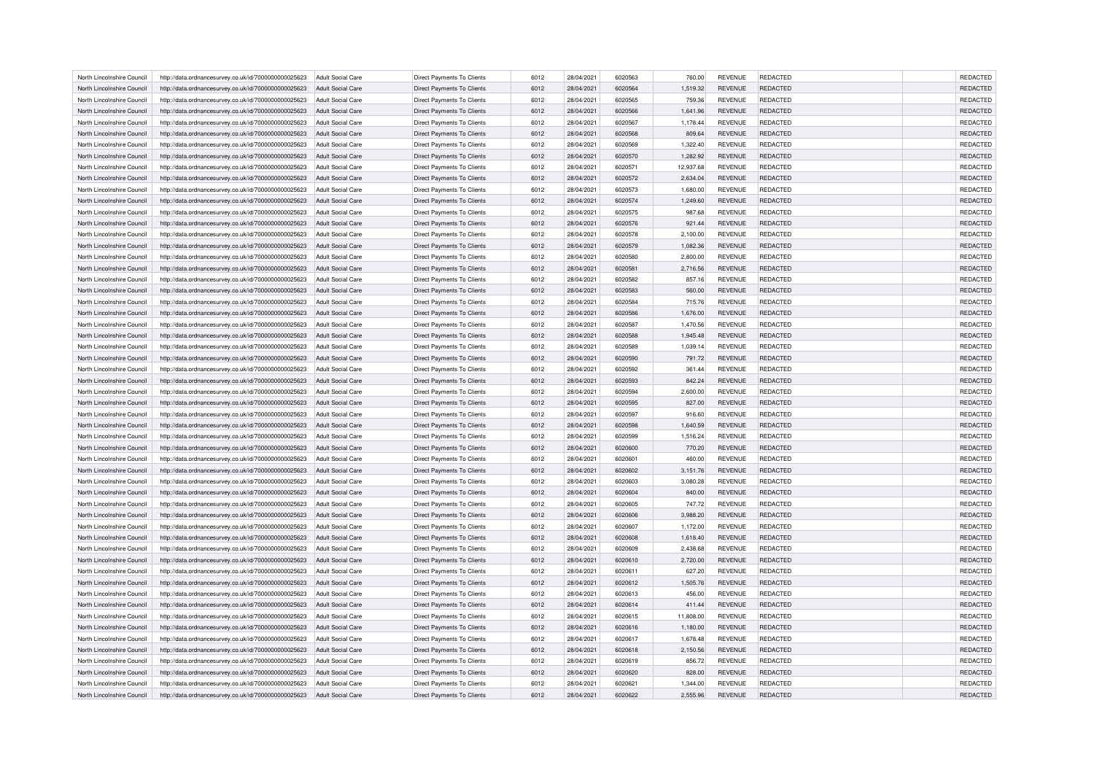| North Lincolnshire Council | http://data.ordnancesurvey.co.uk/id/7000000000025623 | Adult Social Care        | Direct Payments To Clients        | 6012 | 28/04/2021 | 6020563 | 760.00    | <b>REVENUE</b> | <b>REDACTED</b> | <b>REDACTED</b> |
|----------------------------|------------------------------------------------------|--------------------------|-----------------------------------|------|------------|---------|-----------|----------------|-----------------|-----------------|
| North Lincolnshire Council | http://data.ordnancesurvey.co.uk/id/7000000000025623 | Adult Social Care        | <b>Direct Payments To Clients</b> | 6012 | 28/04/2021 | 6020564 | 1,519.32  | <b>REVENUE</b> | <b>REDACTED</b> | <b>REDACTED</b> |
| North Lincolnshire Council | http://data.ordnancesurvey.co.uk/id/7000000000025623 | Adult Social Care        | Direct Payments To Clients        | 6012 | 28/04/2021 | 6020565 | 759.36    | <b>REVENUE</b> | <b>REDACTED</b> | REDACTED        |
| North Lincolnshire Council | http://data.ordnancesurvey.co.uk/id/7000000000025623 | Adult Social Care        | <b>Direct Payments To Clients</b> | 6012 | 28/04/2021 | 6020566 | 1,641.96  | <b>REVENUE</b> | <b>REDACTED</b> | REDACTED        |
| North Lincolnshire Council | http://data.ordnancesurvey.co.uk/id/7000000000025623 | <b>Adult Social Care</b> | <b>Direct Payments To Clients</b> | 6012 | 28/04/2021 | 6020567 | 1,178.44  | <b>REVENUE</b> | <b>REDACTED</b> | REDACTED        |
| North Lincolnshire Council | http://data.ordnancesurvey.co.uk/id/7000000000025623 | Adult Social Care        | Direct Payments To Clients        | 6012 | 28/04/2021 | 6020568 | 809.64    | <b>REVENUE</b> | <b>REDACTED</b> | REDACTED        |
| North Lincolnshire Council | http://data.ordnancesurvey.co.uk/id/7000000000025623 | <b>Adult Social Care</b> | Direct Payments To Clients        | 6012 | 28/04/2021 | 6020569 | 1,322.40  | <b>REVENUE</b> | REDACTED        | REDACTED        |
| North Lincolnshire Council | http://data.ordnancesurvey.co.uk/id/7000000000025623 | Adult Social Care        | <b>Direct Payments To Clients</b> | 6012 | 28/04/2021 | 6020570 | 1,282.92  | <b>REVENUE</b> | <b>REDACTED</b> | REDACTED        |
| North Lincolnshire Council | http://data.ordnancesurvey.co.uk/id/7000000000025623 | Adult Social Care        | <b>Direct Payments To Clients</b> | 6012 | 28/04/2021 | 6020571 | 12,937.68 | <b>REVENUE</b> | <b>REDACTED</b> | REDACTED        |
| North Lincolnshire Council | http://data.ordnancesurvey.co.uk/id/7000000000025623 | <b>Adult Social Care</b> | Direct Payments To Clients        | 6012 | 28/04/2021 | 6020572 | 2,634.04  | <b>REVENUE</b> | <b>REDACTED</b> | REDACTED        |
| North Lincolnshire Council | http://data.ordnancesurvey.co.uk/id/7000000000025623 | Adult Social Care        | <b>Direct Payments To Clients</b> | 6012 | 28/04/2021 | 6020573 | 1,680.00  | <b>REVENUE</b> | <b>REDACTED</b> | REDACTED        |
| North Lincolnshire Council | http://data.ordnancesurvey.co.uk/id/7000000000025623 | <b>Adult Social Care</b> | <b>Direct Payments To Clients</b> | 6012 | 28/04/2021 | 6020574 | 1,249.60  | <b>REVENUE</b> | <b>REDACTED</b> | REDACTED        |
| North Lincolnshire Council | http://data.ordnancesurvey.co.uk/id/7000000000025623 | <b>Adult Social Care</b> | Direct Payments To Clients        | 6012 | 28/04/2021 | 6020575 | 987.68    | <b>REVENUE</b> | REDACTED        | REDACTED        |
| North Lincolnshire Council | http://data.ordnancesurvey.co.uk/id/7000000000025623 | <b>Adult Social Care</b> | Direct Payments To Clients        | 6012 | 28/04/2021 | 6020576 | 921.44    | <b>REVENUE</b> | REDACTED        | REDACTED        |
| North Lincolnshire Council | http://data.ordnancesurvey.co.uk/id/7000000000025623 | <b>Adult Social Care</b> | <b>Direct Payments To Clients</b> | 6012 | 28/04/2021 | 6020578 | 2,100.00  | <b>REVENUE</b> | <b>REDACTED</b> | REDACTED        |
| North Lincolnshire Council | http://data.ordnancesurvey.co.uk/id/7000000000025623 | <b>Adult Social Care</b> | <b>Direct Payments To Clients</b> | 6012 | 28/04/2021 | 6020579 | 1,082.36  | <b>REVENUE</b> | <b>REDACTED</b> | REDACTED        |
| North Lincolnshire Council | http://data.ordnancesurvey.co.uk/id/7000000000025623 | <b>Adult Social Care</b> | Direct Payments To Clients        | 6012 | 28/04/2021 | 6020580 | 2,800.00  | <b>REVENUE</b> | REDACTED        | REDACTED        |
| North Lincolnshire Council |                                                      |                          |                                   | 6012 |            | 6020581 |           |                |                 |                 |
|                            | http://data.ordnancesurvey.co.uk/id/7000000000025623 | <b>Adult Social Care</b> | Direct Payments To Clients        |      | 28/04/2021 |         | 2,716.56  | <b>REVENUE</b> | <b>REDACTED</b> | REDACTED        |
| North Lincolnshire Council | http://data.ordnancesurvey.co.uk/id/7000000000025623 | <b>Adult Social Care</b> | <b>Direct Payments To Clients</b> | 6012 | 28/04/2021 | 6020582 | 857.16    | <b>REVENUE</b> | <b>REDACTED</b> | REDACTED        |
| North Lincolnshire Council | http://data.ordnancesurvey.co.uk/id/7000000000025623 | <b>Adult Social Care</b> | <b>Direct Payments To Clients</b> | 6012 | 28/04/2021 | 6020583 | 560.00    | <b>REVENUE</b> | <b>REDACTED</b> | REDACTED        |
| North Lincolnshire Council | http://data.ordnancesurvey.co.uk/id/7000000000025623 | <b>Adult Social Care</b> | Direct Payments To Clients        | 6012 | 28/04/2021 | 6020584 | 715.76    | <b>REVENUE</b> | <b>REDACTED</b> | REDACTED        |
| North Lincolnshire Council | http://data.ordnancesurvey.co.uk/id/7000000000025623 | <b>Adult Social Care</b> | <b>Direct Payments To Clients</b> | 6012 | 28/04/2021 | 6020586 | 1,676.00  | <b>REVENUE</b> | <b>REDACTED</b> | REDACTED        |
| North Lincolnshire Council | http://data.ordnancesurvey.co.uk/id/7000000000025623 | <b>Adult Social Care</b> | <b>Direct Payments To Clients</b> | 6012 | 28/04/2021 | 6020587 | 1,470.56  | <b>REVENUE</b> | <b>REDACTED</b> | REDACTED        |
| North Lincolnshire Council | http://data.ordnancesurvey.co.uk/id/7000000000025623 | Adult Social Care        | Direct Payments To Clients        | 6012 | 28/04/2021 | 6020588 | 1,945.48  | <b>REVENUE</b> | <b>REDACTED</b> | REDACTED        |
| North Lincolnshire Council | http://data.ordnancesurvey.co.uk/id/7000000000025623 | <b>Adult Social Care</b> | Direct Payments To Clients        | 6012 | 28/04/2021 | 6020589 | 1,039.14  | <b>REVENUE</b> | REDACTED        | REDACTED        |
| North Lincolnshire Council | http://data.ordnancesurvey.co.uk/id/7000000000025623 | Adult Social Care        | <b>Direct Payments To Clients</b> | 6012 | 28/04/2021 | 6020590 | 791.72    | <b>REVENUE</b> | <b>REDACTED</b> | <b>REDACTED</b> |
| North Lincolnshire Council | http://data.ordnancesurvey.co.uk/id/7000000000025623 | Adult Social Care        | <b>Direct Payments To Clients</b> | 6012 | 28/04/2021 | 6020592 | 361.44    | <b>REVENUE</b> | <b>REDACTED</b> | <b>REDACTED</b> |
| North Lincolnshire Council | http://data.ordnancesurvey.co.uk/id/7000000000025623 | <b>Adult Social Care</b> | Direct Payments To Clients        | 6012 | 28/04/2021 | 6020593 | 842.24    | <b>REVENUE</b> | <b>REDACTED</b> | REDACTED        |
| North Lincolnshire Council | http://data.ordnancesurvey.co.uk/id/7000000000025623 | Adult Social Care        | <b>Direct Payments To Clients</b> | 6012 | 28/04/2021 | 6020594 | 2,600.00  | <b>REVENUE</b> | <b>REDACTED</b> | <b>REDACTED</b> |
| North Lincolnshire Council | http://data.ordnancesurvey.co.uk/id/7000000000025623 | <b>Adult Social Care</b> | <b>Direct Payments To Clients</b> | 6012 | 28/04/2021 | 6020595 | 827.00    | <b>REVENUE</b> | <b>REDACTED</b> | <b>REDACTED</b> |
| North Lincolnshire Council | http://data.ordnancesurvey.co.uk/id/7000000000025623 | <b>Adult Social Care</b> | Direct Payments To Clients        | 6012 | 28/04/2021 | 6020597 | 916.60    | <b>REVENUE</b> | <b>REDACTED</b> | <b>REDACTED</b> |
| North Lincolnshire Council | http://data.ordnancesurvey.co.uk/id/7000000000025623 | Adult Social Care        | Direct Payments To Clients        | 6012 | 28/04/2021 | 6020598 | 1,640.59  | <b>REVENUE</b> | REDACTED        | REDACTED        |
| North Lincolnshire Council | http://data.ordnancesurvey.co.uk/id/7000000000025623 | Adult Social Care        | <b>Direct Payments To Clients</b> | 6012 | 28/04/2021 | 6020599 | 1,516.24  | <b>REVENUE</b> | <b>REDACTED</b> | <b>REDACTED</b> |
| North Lincolnshire Council | http://data.ordnancesurvey.co.uk/id/7000000000025623 | <b>Adult Social Care</b> | Direct Payments To Clients        | 6012 | 28/04/2021 | 6020600 | 770.20    | <b>REVENUE</b> | <b>REDACTED</b> | REDACTED        |
| North Lincolnshire Council | http://data.ordnancesurvey.co.uk/id/7000000000025623 | <b>Adult Social Care</b> | Direct Payments To Clients        | 6012 | 28/04/2021 | 6020601 | 460.00    | <b>REVENUE</b> | REDACTED        | REDACTED        |
| North Lincolnshire Council | http://data.ordnancesurvey.co.uk/id/7000000000025623 | <b>Adult Social Care</b> | <b>Direct Payments To Clients</b> | 6012 | 28/04/2021 | 6020602 | 3,151.76  | <b>REVENUE</b> | <b>REDACTED</b> | REDACTED        |
| North Lincolnshire Council | http://data.ordnancesurvey.co.uk/id/7000000000025623 | <b>Adult Social Care</b> | Direct Payments To Clients        | 6012 | 28/04/2021 | 6020603 | 3,080.28  | <b>REVENUE</b> | <b>REDACTED</b> | <b>REDACTED</b> |
| North Lincolnshire Council | http://data.ordnancesurvey.co.uk/id/7000000000025623 | <b>Adult Social Care</b> | Direct Payments To Clients        | 6012 | 28/04/2021 | 6020604 | 840.00    | <b>REVENUE</b> | <b>REDACTED</b> | <b>REDACTED</b> |
|                            |                                                      |                          |                                   |      |            | 6020605 |           |                | <b>REDACTED</b> | <b>REDACTED</b> |
| North Lincolnshire Council | http://data.ordnancesurvey.co.uk/id/7000000000025623 | <b>Adult Social Care</b> | Direct Payments To Clients        | 6012 | 28/04/2021 |         | 747.72    | <b>REVENUE</b> |                 |                 |
| North Lincolnshire Council | http://data.ordnancesurvey.co.uk/id/7000000000025623 | <b>Adult Social Care</b> | <b>Direct Payments To Clients</b> | 6012 | 28/04/2021 | 6020606 | 3,988.20  | <b>REVENUE</b> | <b>REDACTED</b> | <b>REDACTED</b> |
| North Lincolnshire Council | http://data.ordnancesurvey.co.uk/id/7000000000025623 | <b>Adult Social Care</b> | Direct Payments To Clients        | 6012 | 28/04/2021 | 6020607 | 1,172.00  | <b>REVENUE</b> | <b>REDACTED</b> | <b>REDACTED</b> |
| North Lincolnshire Council | http://data.ordnancesurvey.co.uk/id/7000000000025623 | Adult Social Care        | Direct Payments To Clients        | 6012 | 28/04/2021 | 6020608 | 1,618.40  | <b>REVENUE</b> | <b>REDACTED</b> | <b>REDACTED</b> |
| North Lincolnshire Council | http://data.ordnancesurvey.co.uk/id/7000000000025623 | <b>Adult Social Care</b> | Direct Payments To Clients        | 6012 | 28/04/2021 | 6020609 | 2,438.68  | <b>REVENUE</b> | REDACTED        | REDACTED        |
| North Lincolnshire Council | http://data.ordnancesurvey.co.uk/id/7000000000025623 | Adult Social Care        | <b>Direct Payments To Clients</b> | 6012 | 28/04/2021 | 6020610 | 2,720.00  | <b>REVENUE</b> | <b>REDACTED</b> | <b>REDACTED</b> |
| North Lincolnshire Council | http://data.ordnancesurvey.co.uk/id/7000000000025623 | Adult Social Care        | <b>Direct Payments To Clients</b> | 6012 | 28/04/2021 | 6020611 | 627.20    | <b>REVENUE</b> | <b>REDACTED</b> | <b>REDACTED</b> |
| North Lincolnshire Council | http://data.ordnancesurvey.co.uk/id/7000000000025623 | <b>Adult Social Care</b> | Direct Payments To Clients        | 6012 | 28/04/2021 | 6020612 | 1,505.76  | <b>REVENUE</b> | REDACTED        | REDACTED        |
| North Lincolnshire Council | http://data.ordnancesurvey.co.uk/id/7000000000025623 | <b>Adult Social Care</b> | <b>Direct Payments To Clients</b> | 6012 | 28/04/2021 | 6020613 | 456.00    | <b>REVENUE</b> | <b>REDACTED</b> | REDACTED        |
| North Lincolnshire Council | http://data.ordnancesurvey.co.uk/id/7000000000025623 | Adult Social Care        | <b>Direct Payments To Clients</b> | 6012 | 28/04/2021 | 6020614 | 411.44    | <b>REVENUE</b> | <b>REDACTED</b> | REDACTED        |
| North Lincolnshire Council | http://data.ordnancesurvey.co.uk/id/7000000000025623 | <b>Adult Social Care</b> | Direct Payments To Clients        | 6012 | 28/04/2021 | 6020615 | 11,808.00 | <b>REVENUE</b> | REDACTED        | <b>REDACTED</b> |
| North Lincolnshire Council | http://data.ordnancesurvey.co.uk/id/7000000000025623 | Adult Social Care        | Direct Payments To Clients        | 6012 | 28/04/2021 | 6020616 | 1,180.00  | <b>REVENUE</b> | REDACTED        | REDACTED        |
| North Lincolnshire Council | http://data.ordnancesurvey.co.uk/id/7000000000025623 | Adult Social Care        | <b>Direct Payments To Clients</b> | 6012 | 28/04/2021 | 6020617 | 1,678.48  | <b>REVENUE</b> | <b>REDACTED</b> | <b>REDACTED</b> |
| North Lincolnshire Council | http://data.ordnancesurvey.co.uk/id/7000000000025623 | <b>Adult Social Care</b> | Direct Payments To Clients        | 6012 | 28/04/2021 | 6020618 | 2,150.56  | <b>REVENUE</b> | <b>REDACTED</b> | REDACTED        |
| North Lincolnshire Council | http://data.ordnancesurvey.co.uk/id/7000000000025623 | <b>Adult Social Care</b> | Direct Payments To Clients        | 6012 | 28/04/2021 | 6020619 | 856.72    | <b>REVENUE</b> | REDACTED        | REDACTED        |
| North Lincolnshire Council | http://data.ordnancesurvey.co.uk/id/7000000000025623 | <b>Adult Social Care</b> | <b>Direct Payments To Clients</b> | 6012 | 28/04/2021 | 6020620 | 828.00    | <b>REVENUE</b> | <b>REDACTED</b> | REDACTED        |
| North Lincolnshire Council | http://data.ordnancesurvey.co.uk/id/7000000000025623 | <b>Adult Social Care</b> | Direct Payments To Clients        | 6012 | 28/04/2021 | 1980908 | 1,344.00  | <b>REVENUE</b> | <b>REDACTED</b> | <b>REDACTED</b> |
| North Lincolnshire Council | http://data.ordnancesurvey.co.uk/id/7000000000025623 | <b>Adult Social Care</b> | <b>Direct Payments To Clients</b> | 6012 | 28/04/2021 | 6020622 | 2,555.96  | <b>REVENUE</b> | <b>REDACTED</b> | <b>REDACTED</b> |
|                            |                                                      |                          |                                   |      |            |         |           |                |                 |                 |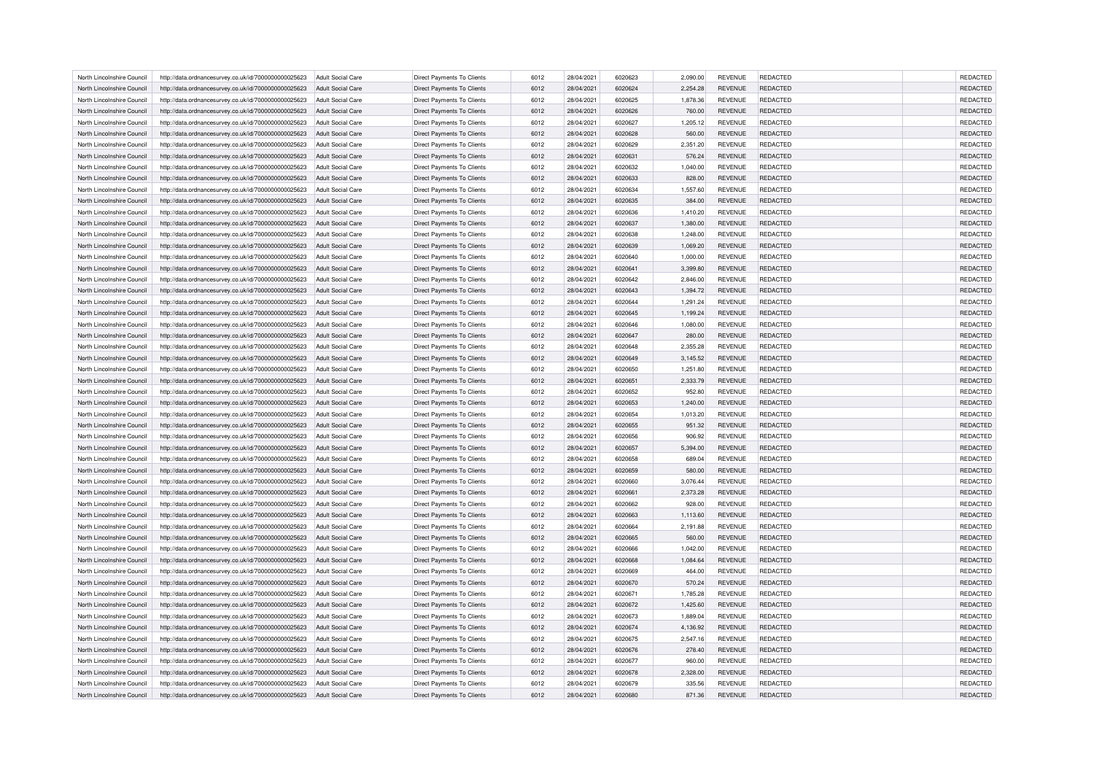| North Lincolnshire Council                               | http://data.ordnancesurvey.co.uk/id/7000000000025623                                                         | <b>Adult Social Care</b>                      | Direct Payments To Clients                                      | 6012         | 28/04/2021               | 6020623            | 2,090.00             | <b>REVENUE</b>                   | <b>REDACTED</b>             | <b>REDACTED</b>             |
|----------------------------------------------------------|--------------------------------------------------------------------------------------------------------------|-----------------------------------------------|-----------------------------------------------------------------|--------------|--------------------------|--------------------|----------------------|----------------------------------|-----------------------------|-----------------------------|
| North Lincolnshire Council                               | http://data.ordnancesurvey.co.uk/id/7000000000025623                                                         | Adult Social Care                             | Direct Payments To Clients                                      | 6012         | 28/04/2021               | 6020624            | 2,254.28             | <b>REVENUE</b>                   | <b>REDACTED</b>             | <b>REDACTED</b>             |
| North Lincolnshire Council                               | http://data.ordnancesurvey.co.uk/id/7000000000025623                                                         | Adult Social Care                             | <b>Direct Payments To Clients</b>                               | 6012         | 28/04/2021               | 6020625            | 1.878.36             | <b>REVENUE</b>                   | <b>REDACTED</b>             | REDACTED                    |
| North Lincolnshire Council                               | http://data.ordnancesurvey.co.uk/id/7000000000025623                                                         | Adult Social Care                             | Direct Payments To Clients                                      | 6012         | 28/04/2021               | 6020626            | 760.00               | <b>REVENUE</b>                   | <b>REDACTED</b>             | REDACTED                    |
| North Lincolnshire Council                               | http://data.ordnancesurvey.co.uk/id/7000000000025623                                                         | <b>Adult Social Care</b>                      | Direct Payments To Clients                                      | 6012         | 28/04/2021               | 6020627            | 1,205.12             | <b>REVENUE</b>                   | REDACTED                    | REDACTED                    |
| North Lincolnshire Council                               | http://data.ordnancesurvey.co.uk/id/7000000000025623                                                         | Adult Social Care                             | <b>Direct Payments To Clients</b>                               | 6012         | 28/04/2021               | 6020628            | 560.00               | <b>REVENUE</b>                   | <b>REDACTED</b>             | <b>REDACTED</b>             |
| North Lincolnshire Council                               | http://data.ordnancesurvey.co.uk/id/7000000000025623                                                         | <b>Adult Social Care</b>                      | Direct Payments To Clients                                      | 6012         | 28/04/2021               | 6020629            | 2,351.20             | <b>REVENUE</b>                   | <b>REDACTED</b>             | <b>REDACTED</b>             |
| North Lincolnshire Council                               | http://data.ordnancesurvey.co.uk/id/7000000000025623                                                         | Adult Social Care                             | <b>Direct Payments To Clients</b>                               | 6012         | 28/04/2021               | 6020631            | 576.24               | <b>REVENUE</b>                   | REDACTED                    | <b>REDACTED</b>             |
| North Lincolnshire Council                               | http://data.ordnancesurvey.co.uk/id/7000000000025623                                                         | <b>Adult Social Care</b>                      | Direct Payments To Clients                                      | 6012         | 28/04/2021               | 6020632            | 1,040.00             | <b>REVENUE</b>                   | REDACTED                    | <b>REDACTED</b>             |
| North Lincolnshire Council                               | http://data.ordnancesurvey.co.uk/id/7000000000025623                                                         | <b>Adult Social Care</b>                      | <b>Direct Payments To Clients</b>                               | 6012         | 28/04/2021               | 6020633            | 828.00               | <b>REVENUE</b>                   | <b>REDACTED</b>             | REDACTED                    |
| North Lincolnshire Council                               | http://data.ordnancesurvey.co.uk/id/7000000000025623                                                         | <b>Adult Social Care</b>                      | <b>Direct Payments To Clients</b>                               | 6012         | 28/04/2021               | 6020634            | 1,557.60             | <b>REVENUE</b>                   | REDACTED                    | <b>REDACTED</b>             |
| North Lincolnshire Council                               | http://data.ordnancesurvey.co.uk/id/7000000000025623                                                         | Adult Social Care                             | <b>Direct Payments To Clients</b>                               | 6012         | 28/04/2021               | 6020635            | 384.00               | <b>REVENUE</b>                   | <b>REDACTED</b>             | <b>REDACTED</b>             |
| North Lincolnshire Council                               |                                                                                                              | <b>Adult Social Care</b>                      | Direct Payments To Clients                                      | 6012         | 28/04/2021               | 6020636            | 1,410.20             | <b>REVENUE</b>                   | <b>REDACTED</b>             | REDACTED                    |
| North Lincolnshire Council                               | http://data.ordnancesurvey.co.uk/id/7000000000025623<br>http://data.ordnancesurvey.co.uk/id/7000000000025623 | <b>Adult Social Care</b>                      | <b>Direct Payments To Clients</b>                               | 6012         | 28/04/2021               | 6020637            | 1,380.00             | <b>REVENUE</b>                   | REDACTED                    | <b>REDACTED</b>             |
|                                                          |                                                                                                              |                                               |                                                                 |              |                          |                    |                      |                                  |                             |                             |
| North Lincolnshire Council                               | http://data.ordnancesurvey.co.uk/id/7000000000025623                                                         | Adult Social Care                             | <b>Direct Payments To Clients</b>                               | 6012         | 28/04/2021               | 6020638            | 1,248.00             | <b>REVENUE</b>                   | REDACTED                    | <b>REDACTED</b>             |
| North Lincolnshire Council                               | http://data.ordnancesurvey.co.uk/id/7000000000025623                                                         | <b>Adult Social Care</b>                      | Direct Payments To Clients                                      | 6012         | 28/04/2021               | 6020639            | 1,069.20             | <b>REVENUE</b>                   | <b>REDACTED</b>             | REDACTED                    |
| North Lincolnshire Council                               | http://data.ordnancesurvey.co.uk/id/7000000000025623                                                         | <b>Adult Social Care</b>                      | Direct Payments To Clients                                      | 6012         | 28/04/2021               | 6020640            | 1,000.00             | <b>REVENUE</b>                   | REDACTED                    | REDACTED                    |
| North Lincolnshire Council                               | http://data.ordnancesurvey.co.uk/id/7000000000025623                                                         | <b>Adult Social Care</b>                      | <b>Direct Payments To Clients</b>                               | 6012         | 28/04/2021               | 6020641            | 3,399.80             | <b>REVENUE</b>                   | <b>REDACTED</b>             | <b>REDACTED</b>             |
| North Lincolnshire Council                               | http://data.ordnancesurvey.co.uk/id/7000000000025623                                                         | <b>Adult Social Care</b>                      | Direct Payments To Clients                                      | 6012         | 28/04/2021               | 6020642            | 2,846.00             | <b>REVENUE</b>                   | REDACTED                    | REDACTED                    |
| North Lincolnshire Council                               | http://data.ordnancesurvey.co.uk/id/7000000000025623                                                         | <b>Adult Social Care</b>                      | Direct Payments To Clients                                      | 6012         | 28/04/2021               | 6020643            | 1,394.72             | <b>REVENUE</b>                   | REDACTED                    | REDACTED                    |
| North Lincolnshire Council                               | http://data.ordnancesurvey.co.uk/id/7000000000025623                                                         | Adult Social Care                             | <b>Direct Payments To Clients</b>                               | 6012         | 28/04/2021               | 6020644            | 1,291.24             | <b>REVENUE</b>                   | <b>REDACTED</b>             | <b>REDACTED</b>             |
| North Lincolnshire Council                               | http://data.ordnancesurvey.co.uk/id/7000000000025623                                                         | <b>Adult Social Care</b>                      | Direct Payments To Clients                                      | 6012         | 28/04/2021               | 6020645            | 1,199.24             | <b>REVENUE</b>                   | REDACTED                    | <b>REDACTED</b>             |
| North Lincolnshire Council                               | http://data.ordnancesurvey.co.uk/id/7000000000025623                                                         | <b>Adult Social Care</b>                      | Direct Payments To Clients                                      | 6012         | 28/04/2021               | 6020646            | 1,080.00             | <b>REVENUE</b>                   | REDACTED                    | REDACTED                    |
| North Lincolnshire Council                               | http://data.ordnancesurvey.co.uk/id/7000000000025623                                                         | <b>Adult Social Care</b>                      | <b>Direct Payments To Clients</b>                               | 6012         | 28/04/2021               | 6020647            | 280.00               | <b>REVENUE</b>                   | <b>REDACTED</b>             | REDACTED                    |
| North Lincolnshire Council                               | http://data.ordnancesurvey.co.uk/id/7000000000025623                                                         | <b>Adult Social Care</b>                      | Direct Payments To Clients                                      | 6012         | 28/04/2021               | 6020648            | 2,355.28             | <b>REVENUE</b>                   | <b>REDACTED</b>             | <b>REDACTED</b>             |
| North Lincolnshire Council                               | http://data.ordnancesurvey.co.uk/id/7000000000025623                                                         | <b>Adult Social Care</b>                      | Direct Payments To Clients                                      | 6012         | 28/04/2021               | 6020649            | 3,145.52             | <b>REVENUE</b>                   | REDACTED                    | REDACTED                    |
| North Lincolnshire Council                               | http://data.ordnancesurvey.co.uk/id/7000000000025623                                                         | Adult Social Care                             | Direct Payments To Clients                                      | 6012         | 28/04/2021               | 6020650            | 1.251.80             | <b>REVENUE</b>                   | <b>REDACTED</b>             | REDACTED                    |
| North Lincolnshire Council                               | http://data.ordnancesurvey.co.uk/id/7000000000025623                                                         | Adult Social Care                             | Direct Payments To Clients                                      | 6012         | 28/04/2021               | 602065             | 2,333.79             | <b>REVENUE</b>                   | REDACTED                    | <b>REDACTED</b>             |
| North Lincolnshire Council                               | http://data.ordnancesurvey.co.uk/id/7000000000025623                                                         | <b>Adult Social Care</b>                      | Direct Payments To Clients                                      | 6012         | 28/04/2021               | 6020652            | 952.80               | <b>REVENUE</b>                   | REDACTED                    | <b>REDACTED</b>             |
| North Lincolnshire Council                               | http://data.ordnancesurvey.co.uk/id/7000000000025623                                                         | Adult Social Care                             | Direct Payments To Clients                                      | 6012         | 28/04/2021               | 6020653            | 1,240.00             | <b>REVENUE</b>                   | <b>REDACTED</b>             | REDACTED                    |
| North Lincolnshire Council                               | http://data.ordnancesurvey.co.uk/id/7000000000025623                                                         | <b>Adult Social Care</b>                      | Direct Payments To Clients                                      | 6012         | 28/04/2021               | 6020654            | 1,013.20             | <b>REVENUE</b>                   | <b>REDACTED</b>             | <b>REDACTED</b>             |
| North Lincolnshire Council                               | http://data.ordnancesurvey.co.uk/id/7000000000025623                                                         | <b>Adult Social Care</b>                      | <b>Direct Payments To Clients</b>                               | 6012         | 28/04/2021               | 6020655            | 951.32               | <b>REVENUE</b>                   | REDACTED                    | REDACTED                    |
| North Lincolnshire Council                               | http://data.ordnancesurvey.co.uk/id/7000000000025623                                                         | <b>Adult Social Care</b>                      | <b>Direct Payments To Clients</b>                               | 6012         | 28/04/2021               | 6020656            | 906.92               | <b>REVENUE</b>                   | <b>REDACTED</b>             | <b>REDACTED</b>             |
| North Lincolnshire Council                               | http://data.ordnancesurvey.co.uk/id/7000000000025623                                                         | <b>Adult Social Care</b>                      | <b>Direct Payments To Clients</b>                               | 6012         | 28/04/2021               | 6020657            | 5,394.00             | <b>REVENUE</b>                   | <b>REDACTED</b>             | <b>REDACTED</b>             |
| North Lincolnshire Council                               | http://data.ordnancesurvey.co.uk/id/7000000000025623                                                         | <b>Adult Social Care</b>                      | <b>Direct Payments To Clients</b>                               | 6012         | 28/04/2021               | 6020658            | 689.04               | <b>REVENUE</b>                   | REDACTED                    | <b>REDACTED</b>             |
| North Lincolnshire Council                               | http://data.ordnancesurvey.co.uk/id/7000000000025623                                                         | <b>Adult Social Care</b>                      | Direct Payments To Clients                                      | 6012         | 28/04/2021               | 6020659            | 580.00               | <b>REVENUE</b>                   | <b>REDACTED</b>             | REDACTED                    |
| North Lincolnshire Council                               | http://data.ordnancesurvey.co.uk/id/7000000000025623                                                         | <b>Adult Social Care</b>                      | Direct Payments To Clients                                      | 6012         | 28/04/2021               | 6020660            | 3,076.44             | <b>REVENUE</b>                   | REDACTED                    | REDACTED                    |
| North Lincolnshire Council                               | http://data.ordnancesurvey.co.uk/id/7000000000025623                                                         | <b>Adult Social Care</b>                      | <b>Direct Payments To Clients</b>                               | 6012         | 28/04/2021               | 6020661            | 2,373.28             | <b>REVENUE</b>                   | <b>REDACTED</b>             | REDACTED                    |
| North Lincolnshire Council                               | http://data.ordnancesurvey.co.uk/id/7000000000025623                                                         | Adult Social Care                             | <b>Direct Payments To Clients</b>                               | 6012         | 28/04/2021               | 6020662            | 928.00               | <b>REVENUE</b>                   | <b>REDACTED</b>             | <b>REDACTED</b>             |
| North Lincolnshire Council                               | http://data.ordnancesurvey.co.uk/id/7000000000025623                                                         | <b>Adult Social Care</b>                      | Direct Payments To Clients                                      | 6012         | 28/04/2021               | 6020663            | 1,113.60             | <b>REVENUE</b>                   | REDACTED                    | REDACTED                    |
| North Lincolnshire Council                               | http://data.ordnancesurvey.co.uk/id/7000000000025623                                                         | Adult Social Care                             | <b>Direct Payments To Clients</b>                               | 6012         | 28/04/2021               | 6020664            | 2,191.88             | <b>REVENUE</b>                   | <b>REDACTED</b>             | <b>REDACTED</b>             |
| North Lincolnshire Council                               | http://data.ordnancesurvey.co.uk/id/7000000000025623                                                         | <b>Adult Social Care</b>                      | <b>Direct Payments To Clients</b>                               | 6012         | 28/04/2021               | 6020665            | 560.00               | <b>REVENUE</b>                   | <b>REDACTED</b>             | REDACTED                    |
| North Lincolnshire Council                               | http://data.ordnancesurvey.co.uk/id/7000000000025623                                                         | <b>Adult Social Care</b>                      | Direct Payments To Clients                                      | 6012         | 28/04/2021               | 6020666            | 1,042.00             | <b>REVENUE</b>                   | REDACTED                    | REDACTED                    |
| North Lincolnshire Council                               | http://data.ordnancesurvey.co.uk/id/7000000000025623                                                         | <b>Adult Social Care</b>                      | Direct Payments To Clients                                      | 6012         | 28/04/2021               | 6020668            | 1,084.64             | <b>REVENUE</b>                   | <b>REDACTED</b>             | REDACTED                    |
| North Lincolnshire Council                               | http://data.ordnancesurvey.co.uk/id/7000000000025623                                                         | Adult Social Care                             | <b>Direct Payments To Clients</b>                               | 6012         | 28/04/2021               | 6020669            | 464.00               | <b>REVENUE</b>                   | <b>REDACTED</b>             | <b>REDACTED</b>             |
| North Lincolnshire Council                               | http://data.ordnancesurvey.co.uk/id/7000000000025623                                                         | <b>Adult Social Care</b>                      | Direct Payments To Clients                                      | 6012         | 28/04/2021               | 6020670            | 570.24               | <b>REVENUE</b>                   | REDACTED                    | REDACTED                    |
|                                                          |                                                                                                              |                                               |                                                                 |              |                          |                    |                      |                                  |                             |                             |
| North Lincolnshire Council<br>North Lincolnshire Council | http://data.ordnancesurvey.co.uk/id/7000000000025623<br>http://data.ordnancesurvey.co.uk/id/7000000000025623 | <b>Adult Social Care</b><br>Adult Social Care | Direct Payments To Clients<br><b>Direct Payments To Clients</b> | 6012<br>6012 | 28/04/2021<br>28/04/2021 | 6020671<br>6020672 | 1,785.28<br>1,425.60 | <b>REVENUE</b><br><b>REVENUE</b> | REDACTED<br><b>REDACTED</b> | REDACTED<br><b>REDACTED</b> |
|                                                          |                                                                                                              |                                               |                                                                 | 6012         |                          |                    |                      | <b>REVENUE</b>                   | <b>REDACTED</b>             | <b>REDACTED</b>             |
| North Lincolnshire Council                               | http://data.ordnancesurvey.co.uk/id/7000000000025623                                                         | Adult Social Care                             | Direct Payments To Clients                                      |              | 28/04/2021               | 6020673            | 1,889.04             |                                  |                             |                             |
| North Lincolnshire Council                               | http://data.ordnancesurvey.co.uk/id/7000000000025623                                                         | <b>Adult Social Care</b>                      | Direct Payments To Clients                                      | 6012         | 28/04/2021               | 6020674            | 4,136.92             | <b>REVENUE</b>                   | REDACTED                    | REDACTED                    |
| North Lincolnshire Council                               | http://data.ordnancesurvey.co.uk/id/7000000000025623                                                         | Adult Social Care                             | <b>Direct Payments To Clients</b>                               | 6012         | 28/04/2021               | 6020675            | 2.547.16             | <b>REVENUE</b>                   | <b>REDACTED</b>             | <b>REDACTED</b>             |
| North Lincolnshire Council                               | http://data.ordnancesurvey.co.uk/id/7000000000025623                                                         | Adult Social Care                             | Direct Payments To Clients                                      | 6012         | 28/04/2021               | 6020676            | 278.40               | <b>REVENUE</b>                   | <b>REDACTED</b>             | REDACTED                    |
| North Lincolnshire Council                               | http://data.ordnancesurvey.co.uk/id/7000000000025623                                                         | Adult Social Care                             | <b>Direct Payments To Clients</b>                               | 6012         | 28/04/2021               | 6020677            | 960.00               | <b>REVENUE</b>                   | REDACTED                    | REDACTED                    |
| North Lincolnshire Council                               | http://data.ordnancesurvey.co.uk/id/7000000000025623                                                         | <b>Adult Social Care</b>                      | Direct Payments To Clients                                      | 6012         | 28/04/2021               | 6020678            | 2,328.00             | <b>REVENUE</b>                   | <b>REDACTED</b>             | REDACTED                    |
| North Lincolnshire Council                               | http://data.ordnancesurvey.co.uk/id/7000000000025623                                                         | <b>Adult Social Care</b>                      | Direct Payments To Clients                                      | 6012         | 28/04/2021               | 6020679            | 335.56               | <b>REVENUE</b>                   | <b>REDACTED</b>             | <b>REDACTED</b>             |
| North Lincolnshire Council                               | http://data.ordnancesurvey.co.uk/id/7000000000025623                                                         | <b>Adult Social Care</b>                      | <b>Direct Payments To Clients</b>                               | 6012         | 28/04/2021               | 6020680            | 871.36               | <b>REVENUE</b>                   | <b>REDACTED</b>             | <b>REDACTED</b>             |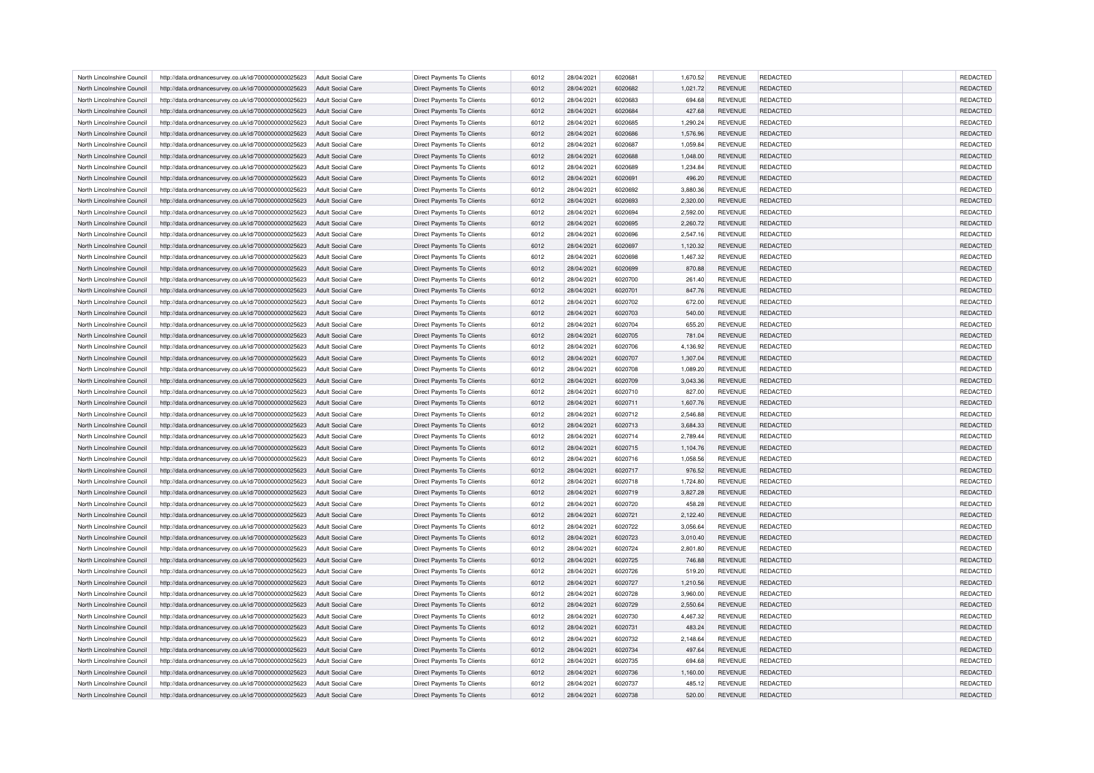| North Lincolnshire Council                               | http://data.ordnancesurvey.co.uk/id/7000000000025623                                                         | <b>Adult Social Care</b>                             | Direct Payments To Clients                                      | 6012         | 28/04/2021               | 6020681            | 1,670.52             | <b>REVENUE</b>                   | <b>REDACTED</b>             | <b>REDACTED</b>             |
|----------------------------------------------------------|--------------------------------------------------------------------------------------------------------------|------------------------------------------------------|-----------------------------------------------------------------|--------------|--------------------------|--------------------|----------------------|----------------------------------|-----------------------------|-----------------------------|
| North Lincolnshire Council                               | http://data.ordnancesurvey.co.uk/id/7000000000025623                                                         | Adult Social Care                                    | Direct Payments To Clients                                      | 6012         | 28/04/2021               | 6020682            | 1,021.72             | <b>REVENUE</b>                   | <b>REDACTED</b>             | <b>REDACTED</b>             |
| North Lincolnshire Council                               | http://data.ordnancesurvey.co.uk/id/7000000000025623                                                         | Adult Social Care                                    | <b>Direct Payments To Clients</b>                               | 6012         | 28/04/2021               | 6020683            | 694.68               | <b>REVENUE</b>                   | <b>REDACTED</b>             | REDACTED                    |
| North Lincolnshire Council                               | http://data.ordnancesurvey.co.uk/id/7000000000025623                                                         | Adult Social Care                                    | Direct Payments To Clients                                      | 6012         | 28/04/2021               | 6020684            | 427.68               | <b>REVENUE</b>                   | <b>REDACTED</b>             | REDACTED                    |
| North Lincolnshire Council                               | http://data.ordnancesurvey.co.uk/id/7000000000025623                                                         | <b>Adult Social Care</b>                             | Direct Payments To Clients                                      | 6012         | 28/04/2021               | 6020685            | 1,290.24             | <b>REVENUE</b>                   | REDACTED                    | REDACTED                    |
| North Lincolnshire Council                               | http://data.ordnancesurvey.co.uk/id/7000000000025623                                                         | Adult Social Care                                    | <b>Direct Payments To Clients</b>                               | 6012         | 28/04/2021               | 6020686            | 1,576.96             | <b>REVENUE</b>                   | <b>REDACTED</b>             | REDACTED                    |
| North Lincolnshire Council                               | http://data.ordnancesurvey.co.uk/id/7000000000025623                                                         | <b>Adult Social Care</b>                             | Direct Payments To Clients                                      | 6012         | 28/04/2021               | 6020687            | 1,059.84             | <b>REVENUE</b>                   | <b>REDACTED</b>             | <b>REDACTED</b>             |
| North Lincolnshire Council                               | http://data.ordnancesurvey.co.uk/id/7000000000025623                                                         | Adult Social Care                                    | <b>Direct Payments To Clients</b>                               | 6012         | 28/04/2021               | 6020688            | 1,048.00             | <b>REVENUE</b>                   | REDACTED                    | REDACTED                    |
| North Lincolnshire Council                               | http://data.ordnancesurvey.co.uk/id/7000000000025623                                                         | <b>Adult Social Care</b>                             | Direct Payments To Clients                                      | 6012         | 28/04/2021               | 6020689            | 1,234.84             | <b>REVENUE</b>                   | REDACTED                    | <b>REDACTED</b>             |
| North Lincolnshire Council                               | http://data.ordnancesurvey.co.uk/id/7000000000025623                                                         | <b>Adult Social Care</b>                             | <b>Direct Payments To Clients</b>                               | 6012         | 28/04/2021               | 6020691            | 496.20               | <b>REVENUE</b>                   | <b>REDACTED</b>             | REDACTED                    |
| North Lincolnshire Council                               | http://data.ordnancesurvey.co.uk/id/7000000000025623                                                         | <b>Adult Social Care</b>                             | <b>Direct Payments To Clients</b>                               | 6012         | 28/04/2021               | 6020692            | 3,880.36             | <b>REVENUE</b>                   | REDACTED                    | <b>REDACTED</b>             |
| North Lincolnshire Council                               | http://data.ordnancesurvey.co.uk/id/7000000000025623                                                         | Adult Social Care                                    | <b>Direct Payments To Clients</b>                               | 6012         | 28/04/2021               | 6020693            | 2,320.00             | <b>REVENUE</b>                   | <b>REDACTED</b>             | REDACTED                    |
| North Lincolnshire Council                               |                                                                                                              |                                                      | Direct Payments To Clients                                      | 6012         | 28/04/2021               | 6020694            | 2,592.00             | <b>REVENUE</b>                   | <b>REDACTED</b>             | REDACTED                    |
| North Lincolnshire Council                               | http://data.ordnancesurvey.co.uk/id/7000000000025623<br>http://data.ordnancesurvey.co.uk/id/7000000000025623 | <b>Adult Social Care</b><br><b>Adult Social Care</b> | <b>Direct Payments To Clients</b>                               | 6012         | 28/04/2021               | 6020695            | 2,260.72             | <b>REVENUE</b>                   | <b>REDACTED</b>             | REDACTED                    |
|                                                          |                                                                                                              |                                                      |                                                                 |              |                          |                    |                      |                                  |                             |                             |
| North Lincolnshire Council                               | http://data.ordnancesurvey.co.uk/id/7000000000025623                                                         | Adult Social Care                                    | <b>Direct Payments To Clients</b>                               | 6012         | 28/04/2021               | 6020696            | 2,547.16             | <b>REVENUE</b>                   | REDACTED                    | <b>REDACTED</b>             |
| North Lincolnshire Council                               | http://data.ordnancesurvey.co.uk/id/7000000000025623                                                         | <b>Adult Social Care</b>                             | Direct Payments To Clients                                      | 6012         | 28/04/2021               | 6020697            | 1,120.32             | <b>REVENUE</b>                   | <b>REDACTED</b>             | REDACTED                    |
| North Lincolnshire Council                               | http://data.ordnancesurvey.co.uk/id/7000000000025623                                                         | <b>Adult Social Care</b>                             | Direct Payments To Clients                                      | 6012         | 28/04/2021               | 6020698            | 1,467.32             | <b>REVENUE</b>                   | REDACTED                    | REDACTED                    |
| North Lincolnshire Council                               | http://data.ordnancesurvey.co.uk/id/7000000000025623                                                         | <b>Adult Social Care</b>                             | <b>Direct Payments To Clients</b>                               | 6012         | 28/04/2021               | 6020699            | 870.88               | <b>REVENUE</b>                   | <b>REDACTED</b>             | <b>REDACTED</b>             |
| North Lincolnshire Council                               | http://data.ordnancesurvey.co.uk/id/7000000000025623                                                         | <b>Adult Social Care</b>                             | Direct Payments To Clients                                      | 6012         | 28/04/2021               | 6020700            | 261.40               | <b>REVENUE</b>                   | REDACTED                    | REDACTED                    |
| North Lincolnshire Council                               | http://data.ordnancesurvey.co.uk/id/7000000000025623                                                         | <b>Adult Social Care</b>                             | Direct Payments To Clients                                      | 6012         | 28/04/2021               | 6020701            | 847.76               | <b>REVENUE</b>                   | <b>REDACTED</b>             | REDACTED                    |
| North Lincolnshire Council                               | http://data.ordnancesurvey.co.uk/id/7000000000025623                                                         | Adult Social Care                                    | <b>Direct Payments To Clients</b>                               | 6012         | 28/04/2021               | 6020702            | 672.00               | <b>REVENUE</b>                   | <b>REDACTED</b>             | REDACTED                    |
| North Lincolnshire Council                               | http://data.ordnancesurvey.co.uk/id/7000000000025623                                                         | <b>Adult Social Care</b>                             | Direct Payments To Clients                                      | 6012         | 28/04/2021               | 6020703            | 540.00               | <b>REVENUE</b>                   | <b>REDACTED</b>             | REDACTED                    |
| North Lincolnshire Council                               | http://data.ordnancesurvey.co.uk/id/7000000000025623                                                         | <b>Adult Social Care</b>                             | Direct Payments To Clients                                      | 6012         | 28/04/2021               | 6020704            | 655.20               | <b>REVENUE</b>                   | REDACTED                    | REDACTED                    |
| North Lincolnshire Council                               | http://data.ordnancesurvey.co.uk/id/7000000000025623                                                         | <b>Adult Social Care</b>                             | <b>Direct Payments To Clients</b>                               | 6012         | 28/04/2021               | 6020705            | 781.04               | <b>REVENUE</b>                   | <b>REDACTED</b>             | <b>REDACTED</b>             |
| North Lincolnshire Council                               | http://data.ordnancesurvey.co.uk/id/7000000000025623                                                         | <b>Adult Social Care</b>                             | Direct Payments To Clients                                      | 6012         | 28/04/2021               | 6020706            | 4,136.92             | <b>REVENUE</b>                   | <b>REDACTED</b>             | REDACTED                    |
| North Lincolnshire Council                               | http://data.ordnancesurvey.co.uk/id/7000000000025623                                                         | <b>Adult Social Care</b>                             | Direct Payments To Clients                                      | 6012         | 28/04/2021               | 6020707            | 1,307.04             | <b>REVENUE</b>                   | REDACTED                    | REDACTED                    |
| North Lincolnshire Council                               | http://data.ordnancesurvey.co.uk/id/7000000000025623                                                         | Adult Social Care                                    | <b>Direct Payments To Clients</b>                               | 6012         | 28/04/2021               | 6020708            | 1.089.20             | <b>REVENUE</b>                   | <b>REDACTED</b>             | REDACTED                    |
| North Lincolnshire Council                               | http://data.ordnancesurvey.co.uk/id/7000000000025623                                                         | Adult Social Care                                    | Direct Payments To Clients                                      | 6012         | 28/04/2021               | 6020709            | 3,043.36             | <b>REVENUE</b>                   | REDACTED                    | REDACTED                    |
| North Lincolnshire Council                               | http://data.ordnancesurvey.co.uk/id/7000000000025623                                                         | <b>Adult Social Care</b>                             | Direct Payments To Clients                                      | 6012         | 28/04/2021               | 6020710            | 827.00               | <b>REVENUE</b>                   | REDACTED                    | REDACTED                    |
| North Lincolnshire Council                               | http://data.ordnancesurvey.co.uk/id/7000000000025623                                                         | Adult Social Care                                    | Direct Payments To Clients                                      | 6012         | 28/04/2021               | 6020711            | 1,607.76             | <b>REVENUE</b>                   | <b>REDACTED</b>             | REDACTED                    |
| North Lincolnshire Council                               | http://data.ordnancesurvey.co.uk/id/7000000000025623                                                         | <b>Adult Social Care</b>                             | Direct Payments To Clients                                      | 6012         | 28/04/2021               | 6020712            | 2,546.88             | <b>REVENUE</b>                   | <b>REDACTED</b>             | REDACTED                    |
| North Lincolnshire Council                               | http://data.ordnancesurvey.co.uk/id/7000000000025623                                                         | <b>Adult Social Care</b>                             | <b>Direct Payments To Clients</b>                               | 6012         | 28/04/2021               | 6020713            | 3,684.33             | <b>REVENUE</b>                   | REDACTED                    | REDACTED                    |
| North Lincolnshire Council                               | http://data.ordnancesurvey.co.uk/id/7000000000025623                                                         | <b>Adult Social Care</b>                             | <b>Direct Payments To Clients</b>                               | 6012         | 28/04/2021               | 6020714            | 2,789.44             | <b>REVENUE</b>                   | <b>REDACTED</b>             | REDACTED                    |
| North Lincolnshire Council                               | http://data.ordnancesurvey.co.uk/id/7000000000025623                                                         | <b>Adult Social Care</b>                             | <b>Direct Payments To Clients</b>                               | 6012         | 28/04/2021               | 6020715            | 1,104.76             | <b>REVENUE</b>                   | <b>REDACTED</b>             | REDACTED                    |
| North Lincolnshire Council                               | http://data.ordnancesurvey.co.uk/id/7000000000025623                                                         | <b>Adult Social Care</b>                             | <b>Direct Payments To Clients</b>                               | 6012         | 28/04/2021               | 6020716            | 1,058.56             | <b>REVENUE</b>                   | REDACTED                    | REDACTED                    |
| North Lincolnshire Council                               | http://data.ordnancesurvey.co.uk/id/7000000000025623                                                         | <b>Adult Social Care</b>                             | <b>Direct Payments To Clients</b>                               | 6012         | 28/04/2021               | 6020717            | 976.52               | <b>REVENUE</b>                   | <b>REDACTED</b>             | REDACTED                    |
| North Lincolnshire Council                               | http://data.ordnancesurvey.co.uk/id/7000000000025623                                                         | <b>Adult Social Care</b>                             | Direct Payments To Clients                                      | 6012         | 28/04/2021               | 6020718            | 1,724.80             | <b>REVENUE</b>                   | <b>REDACTED</b>             | REDACTED                    |
| North Lincolnshire Council                               | http://data.ordnancesurvey.co.uk/id/7000000000025623                                                         | <b>Adult Social Care</b>                             | <b>Direct Payments To Clients</b>                               | 6012         | 28/04/2021               | 6020719            | 3,827.28             | <b>REVENUE</b>                   | <b>REDACTED</b>             | REDACTED                    |
| North Lincolnshire Council                               | http://data.ordnancesurvey.co.uk/id/7000000000025623                                                         | Adult Social Care                                    | <b>Direct Payments To Clients</b>                               | 6012         | 28/04/2021               | 6020720            | 458.28               | <b>REVENUE</b>                   | <b>REDACTED</b>             | REDACTED                    |
| North Lincolnshire Council                               | http://data.ordnancesurvey.co.uk/id/7000000000025623                                                         | <b>Adult Social Care</b>                             | Direct Payments To Clients                                      | 6012         | 28/04/2021               | 6020721            | 2,122.40             | <b>REVENUE</b>                   | <b>REDACTED</b>             | REDACTED                    |
| North Lincolnshire Council                               | http://data.ordnancesurvey.co.uk/id/7000000000025623                                                         | Adult Social Care                                    | <b>Direct Payments To Clients</b>                               | 6012         | 28/04/2021               | 6020722            | 3,056.64             | <b>REVENUE</b>                   | <b>REDACTED</b>             | REDACTED                    |
| North Lincolnshire Council                               | http://data.ordnancesurvey.co.uk/id/7000000000025623                                                         | <b>Adult Social Care</b>                             | <b>Direct Payments To Clients</b>                               | 6012         | 28/04/2021               | 6020723            | 3,010.40             | <b>REVENUE</b>                   | <b>REDACTED</b>             | REDACTED                    |
| North Lincolnshire Council                               | http://data.ordnancesurvey.co.uk/id/7000000000025623                                                         | <b>Adult Social Care</b>                             | Direct Payments To Clients                                      | 6012         | 28/04/2021               | 6020724            | 2,801.80             | <b>REVENUE</b>                   | REDACTED                    | REDACTED                    |
| North Lincolnshire Council                               | http://data.ordnancesurvey.co.uk/id/7000000000025623                                                         | <b>Adult Social Care</b>                             | Direct Payments To Clients                                      | 6012         | 28/04/2021               | 6020725            | 746.88               | <b>REVENUE</b>                   | <b>REDACTED</b>             | REDACTED                    |
| North Lincolnshire Council                               | http://data.ordnancesurvey.co.uk/id/7000000000025623                                                         | Adult Social Care                                    | <b>Direct Payments To Clients</b>                               | 6012         | 28/04/2021               | 6020726            | 519.20               | <b>REVENUE</b>                   | <b>REDACTED</b>             | <b>REDACTED</b>             |
| North Lincolnshire Council                               | http://data.ordnancesurvey.co.uk/id/7000000000025623                                                         |                                                      | Direct Payments To Clients                                      | 6012         | 28/04/2021               | 6020727            | 1,210.56             | <b>REVENUE</b>                   | REDACTED                    | REDACTED                    |
|                                                          |                                                                                                              | <b>Adult Social Care</b>                             |                                                                 |              |                          |                    |                      |                                  |                             |                             |
| North Lincolnshire Council<br>North Lincolnshire Council | http://data.ordnancesurvey.co.uk/id/7000000000025623<br>http://data.ordnancesurvey.co.uk/id/7000000000025623 | <b>Adult Social Care</b><br>Adult Social Care        | Direct Payments To Clients<br><b>Direct Payments To Clients</b> | 6012<br>6012 | 28/04/2021<br>28/04/2021 | 6020728<br>6020729 | 3,960.00<br>2.550.64 | <b>REVENUE</b><br><b>REVENUE</b> | REDACTED<br><b>REDACTED</b> | REDACTED<br><b>REDACTED</b> |
|                                                          |                                                                                                              |                                                      |                                                                 |              |                          |                    |                      |                                  |                             |                             |
| North Lincolnshire Council                               | http://data.ordnancesurvey.co.uk/id/7000000000025623                                                         | Adult Social Care                                    | Direct Payments To Clients                                      | 6012         | 28/04/2021               | 6020730            | 4,467.32             | <b>REVENUE</b>                   | <b>REDACTED</b>             | REDACTED                    |
| North Lincolnshire Council                               | http://data.ordnancesurvey.co.uk/id/7000000000025623                                                         | <b>Adult Social Care</b>                             | Direct Payments To Clients                                      | 6012         | 28/04/2021               | 6020731            | 483.24               | <b>REVENUE</b>                   | <b>REDACTED</b>             | REDACTED                    |
| North Lincolnshire Council                               | http://data.ordnancesurvey.co.uk/id/7000000000025623                                                         | Adult Social Care                                    | <b>Direct Payments To Clients</b>                               | 6012         | 28/04/2021               | 6020732            | 2.148.64             | <b>REVENUE</b>                   | <b>REDACTED</b>             | REDACTED                    |
| North Lincolnshire Council                               | http://data.ordnancesurvey.co.uk/id/7000000000025623                                                         | Adult Social Care                                    | Direct Payments To Clients                                      | 6012         | 28/04/2021               | 6020734            | 497.64               | <b>REVENUE</b>                   | <b>REDACTED</b>             | REDACTED                    |
| North Lincolnshire Council                               | http://data.ordnancesurvey.co.uk/id/7000000000025623                                                         | Adult Social Care                                    | <b>Direct Payments To Clients</b>                               | 6012         | 28/04/2021               | 6020735            | 694.68               | <b>REVENUE</b>                   | REDACTED                    | REDACTED                    |
| North Lincolnshire Council                               | http://data.ordnancesurvey.co.uk/id/7000000000025623                                                         | <b>Adult Social Care</b>                             | <b>Direct Payments To Clients</b>                               | 6012         | 28/04/2021               | 6020736            | 1,160.00             | <b>REVENUE</b>                   | <b>REDACTED</b>             | REDACTED                    |
| North Lincolnshire Council                               | http://data.ordnancesurvey.co.uk/id/7000000000025623                                                         | <b>Adult Social Care</b>                             | Direct Payments To Clients                                      | 6012         | 28/04/2021               | 6020737            | 485.12               | <b>REVENUE</b>                   | <b>REDACTED</b>             | <b>REDACTED</b>             |
| North Lincolnshire Council                               | http://data.ordnancesurvey.co.uk/id/7000000000025623                                                         | <b>Adult Social Care</b>                             | <b>Direct Payments To Clients</b>                               | 6012         | 28/04/2021               | 6020738            | 520.00               | <b>REVENUE</b>                   | <b>REDACTED</b>             | <b>REDACTED</b>             |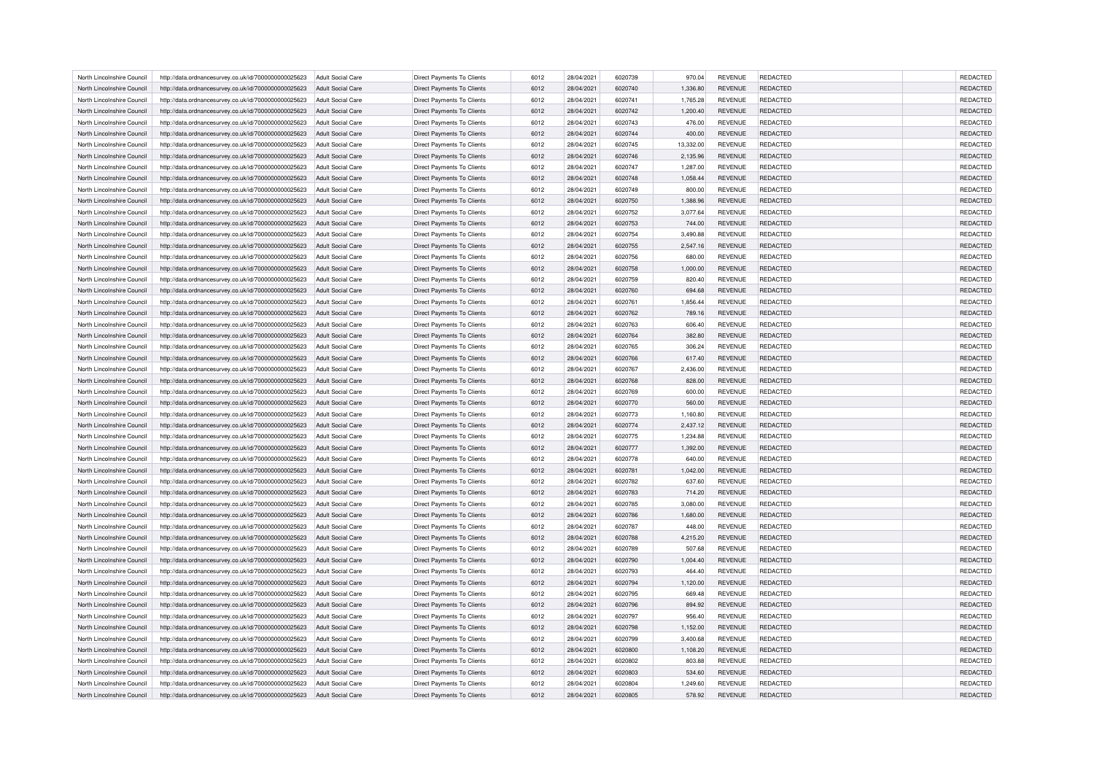| North Lincolnshire Council | http://data.ordnancesurvey.co.uk/id/7000000000025623 | Adult Social Care        | Direct Payments To Clients        | 6012 | 28/04/2021 | 6020739 | 970.04    | <b>REVENUE</b> | <b>REDACTED</b> | <b>REDACTED</b> |
|----------------------------|------------------------------------------------------|--------------------------|-----------------------------------|------|------------|---------|-----------|----------------|-----------------|-----------------|
| North Lincolnshire Council | http://data.ordnancesurvey.co.uk/id/7000000000025623 | Adult Social Care        | <b>Direct Payments To Clients</b> | 6012 | 28/04/2021 | 6020740 | 1,336.80  | <b>REVENUE</b> | <b>REDACTED</b> | <b>REDACTED</b> |
| North Lincolnshire Council | http://data.ordnancesurvey.co.uk/id/7000000000025623 | Adult Social Care        | Direct Payments To Clients        | 6012 | 28/04/2021 | 6020741 | 1,765.28  | <b>REVENUE</b> | <b>REDACTED</b> | REDACTED        |
| North Lincolnshire Council | http://data.ordnancesurvey.co.uk/id/7000000000025623 | Adult Social Care        | <b>Direct Payments To Clients</b> | 6012 | 28/04/2021 | 6020742 | 1,200.40  | <b>REVENUE</b> | <b>REDACTED</b> | REDACTED        |
| North Lincolnshire Council | http://data.ordnancesurvey.co.uk/id/7000000000025623 | <b>Adult Social Care</b> | <b>Direct Payments To Clients</b> | 6012 | 28/04/2021 | 6020743 | 476.00    | <b>REVENUE</b> | <b>REDACTED</b> | REDACTED        |
| North Lincolnshire Council | http://data.ordnancesurvey.co.uk/id/7000000000025623 | Adult Social Care        | Direct Payments To Clients        | 6012 | 28/04/2021 | 6020744 | 400.00    | <b>REVENUE</b> | <b>REDACTED</b> | REDACTED        |
| North Lincolnshire Council | http://data.ordnancesurvey.co.uk/id/7000000000025623 | <b>Adult Social Care</b> | Direct Payments To Clients        | 6012 | 28/04/2021 | 6020745 | 13,332.00 | <b>REVENUE</b> | REDACTED        | REDACTED        |
| North Lincolnshire Council | http://data.ordnancesurvey.co.uk/id/7000000000025623 | Adult Social Care        | <b>Direct Payments To Clients</b> | 6012 | 28/04/2021 | 6020746 | 2,135.96  | <b>REVENUE</b> | <b>REDACTED</b> | REDACTED        |
| North Lincolnshire Council | http://data.ordnancesurvey.co.uk/id/7000000000025623 | Adult Social Care        | <b>Direct Payments To Clients</b> | 6012 | 28/04/2021 | 6020747 | 1,287.00  | <b>REVENUE</b> | <b>REDACTED</b> | <b>REDACTED</b> |
| North Lincolnshire Council | http://data.ordnancesurvey.co.uk/id/7000000000025623 | <b>Adult Social Care</b> | Direct Payments To Clients        | 6012 | 28/04/2021 | 6020748 | 1,058.44  | <b>REVENUE</b> | <b>REDACTED</b> | REDACTED        |
| North Lincolnshire Council | http://data.ordnancesurvey.co.uk/id/7000000000025623 | Adult Social Care        | <b>Direct Payments To Clients</b> | 6012 | 28/04/2021 | 6020749 | 800.00    | <b>REVENUE</b> | <b>REDACTED</b> | <b>REDACTED</b> |
| North Lincolnshire Council | http://data.ordnancesurvey.co.uk/id/7000000000025623 | <b>Adult Social Care</b> | <b>Direct Payments To Clients</b> | 6012 | 28/04/2021 | 6020750 | 1,388.96  | <b>REVENUE</b> | <b>REDACTED</b> | REDACTED        |
| North Lincolnshire Council | http://data.ordnancesurvey.co.uk/id/7000000000025623 | <b>Adult Social Care</b> | Direct Payments To Clients        | 6012 | 28/04/2021 | 6020752 | 3,077.64  | <b>REVENUE</b> | REDACTED        | <b>REDACTED</b> |
| North Lincolnshire Council | http://data.ordnancesurvey.co.uk/id/7000000000025623 | <b>Adult Social Care</b> | Direct Payments To Clients        | 6012 | 28/04/2021 | 6020753 | 744.00    | <b>REVENUE</b> | <b>REDACTED</b> | REDACTED        |
| North Lincolnshire Council | http://data.ordnancesurvey.co.uk/id/7000000000025623 | Adult Social Care        | <b>Direct Payments To Clients</b> | 6012 | 28/04/2021 | 6020754 | 3,490.88  | <b>REVENUE</b> | <b>REDACTED</b> | <b>REDACTED</b> |
| North Lincolnshire Council | http://data.ordnancesurvey.co.uk/id/7000000000025623 | <b>Adult Social Care</b> | <b>Direct Payments To Clients</b> | 6012 | 28/04/2021 | 6020755 | 2,547.16  | <b>REVENUE</b> | <b>REDACTED</b> | REDACTED        |
| North Lincolnshire Council | http://data.ordnancesurvey.co.uk/id/7000000000025623 | <b>Adult Social Care</b> | Direct Payments To Clients        | 6012 | 28/04/2021 | 6020756 | 680.00    | <b>REVENUE</b> | REDACTED        | <b>REDACTED</b> |
|                            |                                                      |                          |                                   |      |            |         |           |                |                 |                 |
| North Lincolnshire Council | http://data.ordnancesurvey.co.uk/id/7000000000025623 | <b>Adult Social Care</b> | Direct Payments To Clients        | 6012 | 28/04/2021 | 6020758 | 1,000.00  | <b>REVENUE</b> | <b>REDACTED</b> | REDACTED        |
| North Lincolnshire Council | http://data.ordnancesurvey.co.uk/id/7000000000025623 | <b>Adult Social Care</b> | <b>Direct Payments To Clients</b> | 6012 | 28/04/2021 | 6020759 | 820.40    | <b>REVENUE</b> | <b>REDACTED</b> | <b>REDACTED</b> |
| North Lincolnshire Council | http://data.ordnancesurvey.co.uk/id/7000000000025623 | <b>Adult Social Care</b> | <b>Direct Payments To Clients</b> | 6012 | 28/04/2021 | 6020760 | 694.68    | <b>REVENUE</b> | <b>REDACTED</b> | REDACTED        |
| North Lincolnshire Council | http://data.ordnancesurvey.co.uk/id/7000000000025623 | <b>Adult Social Care</b> | Direct Payments To Clients        | 6012 | 28/04/2021 | 6020761 | 1,856.44  | <b>REVENUE</b> | <b>REDACTED</b> | <b>REDACTED</b> |
| North Lincolnshire Council | http://data.ordnancesurvey.co.uk/id/7000000000025623 | <b>Adult Social Care</b> | <b>Direct Payments To Clients</b> | 6012 | 28/04/2021 | 6020762 | 789.16    | <b>REVENUE</b> | <b>REDACTED</b> | REDACTED        |
| North Lincolnshire Council | http://data.ordnancesurvey.co.uk/id/7000000000025623 | <b>Adult Social Care</b> | <b>Direct Payments To Clients</b> | 6012 | 28/04/2021 | 6020763 | 606.40    | <b>REVENUE</b> | <b>REDACTED</b> | <b>REDACTED</b> |
| North Lincolnshire Council | http://data.ordnancesurvey.co.uk/id/7000000000025623 | Adult Social Care        | <b>Direct Payments To Clients</b> | 6012 | 28/04/2021 | 6020764 | 382.80    | <b>REVENUE</b> | <b>REDACTED</b> | REDACTED        |
| North Lincolnshire Council | http://data.ordnancesurvey.co.uk/id/7000000000025623 | <b>Adult Social Care</b> | Direct Payments To Clients        | 6012 | 28/04/2021 | 6020765 | 306.24    | <b>REVENUE</b> | REDACTED        | REDACTED        |
| North Lincolnshire Council | http://data.ordnancesurvey.co.uk/id/7000000000025623 | Adult Social Care        | <b>Direct Payments To Clients</b> | 6012 | 28/04/2021 | 6020766 | 617.40    | <b>REVENUE</b> | <b>REDACTED</b> | REDACTED        |
| North Lincolnshire Council | http://data.ordnancesurvey.co.uk/id/7000000000025623 | Adult Social Care        | <b>Direct Payments To Clients</b> | 6012 | 28/04/2021 | 6020767 | 2,436.00  | <b>REVENUE</b> | <b>REDACTED</b> | <b>REDACTED</b> |
| North Lincolnshire Council | http://data.ordnancesurvey.co.uk/id/7000000000025623 | <b>Adult Social Care</b> | Direct Payments To Clients        | 6012 | 28/04/2021 | 6020768 | 828.00    | <b>REVENUE</b> | REDACTED        | REDACTED        |
| North Lincolnshire Council | http://data.ordnancesurvey.co.uk/id/7000000000025623 | Adult Social Care        | <b>Direct Payments To Clients</b> | 6012 | 28/04/2021 | 6020769 | 600.00    | <b>REVENUE</b> | <b>REDACTED</b> | <b>REDACTED</b> |
| North Lincolnshire Council | http://data.ordnancesurvey.co.uk/id/7000000000025623 | <b>Adult Social Care</b> | <b>Direct Payments To Clients</b> | 6012 | 28/04/2021 | 6020770 | 560.00    | <b>REVENUE</b> | <b>REDACTED</b> | REDACTED        |
| North Lincolnshire Council | http://data.ordnancesurvey.co.uk/id/7000000000025623 | <b>Adult Social Care</b> | Direct Payments To Clients        | 6012 | 28/04/2021 | 6020773 | 1,160.80  | <b>REVENUE</b> | <b>REDACTED</b> | <b>REDACTED</b> |
| North Lincolnshire Council | http://data.ordnancesurvey.co.uk/id/7000000000025623 | Adult Social Care        | Direct Payments To Clients        | 6012 | 28/04/2021 | 6020774 | 2,437.12  | <b>REVENUE</b> | <b>REDACTED</b> | REDACTED        |
| North Lincolnshire Council | http://data.ordnancesurvey.co.uk/id/7000000000025623 | Adult Social Care        | <b>Direct Payments To Clients</b> | 6012 | 28/04/2021 | 6020775 | 1.234.88  | <b>REVENUE</b> | <b>REDACTED</b> | <b>REDACTED</b> |
| North Lincolnshire Council | http://data.ordnancesurvey.co.uk/id/7000000000025623 | <b>Adult Social Care</b> | Direct Payments To Clients        | 6012 | 28/04/2021 | 6020777 | 1,392.00  | <b>REVENUE</b> | <b>REDACTED</b> | REDACTED        |
| North Lincolnshire Council | http://data.ordnancesurvey.co.uk/id/7000000000025623 | <b>Adult Social Care</b> | Direct Payments To Clients        | 6012 | 28/04/2021 | 6020778 | 640.00    | <b>REVENUE</b> | REDACTED        | REDACTED        |
| North Lincolnshire Council | http://data.ordnancesurvey.co.uk/id/7000000000025623 | <b>Adult Social Care</b> | <b>Direct Payments To Clients</b> | 6012 | 28/04/2021 | 6020781 | 1.042.00  | <b>REVENUE</b> | <b>REDACTED</b> | REDACTED        |
| North Lincolnshire Council | http://data.ordnancesurvey.co.uk/id/7000000000025623 | <b>Adult Social Care</b> | Direct Payments To Clients        | 6012 | 28/04/2021 | 6020782 | 637.60    | <b>REVENUE</b> | <b>REDACTED</b> | <b>REDACTED</b> |
| North Lincolnshire Council | http://data.ordnancesurvey.co.uk/id/7000000000025623 | <b>Adult Social Care</b> | Direct Payments To Clients        | 6012 | 28/04/2021 | 6020783 | 714.20    | <b>REVENUE</b> | <b>REDACTED</b> | REDACTED        |
| North Lincolnshire Council | http://data.ordnancesurvey.co.uk/id/7000000000025623 | <b>Adult Social Care</b> | Direct Payments To Clients        | 6012 | 28/04/2021 | 6020785 | 3,080.00  | <b>REVENUE</b> | <b>REDACTED</b> | <b>REDACTED</b> |
| North Lincolnshire Council | http://data.ordnancesurvey.co.uk/id/7000000000025623 | <b>Adult Social Care</b> | <b>Direct Payments To Clients</b> | 6012 | 28/04/2021 | 6020786 | 1,680.00  | <b>REVENUE</b> | <b>REDACTED</b> | REDACTED        |
| North Lincolnshire Council | http://data.ordnancesurvey.co.uk/id/7000000000025623 | <b>Adult Social Care</b> | Direct Payments To Clients        | 6012 | 28/04/2021 | 6020787 | 448.00    | <b>REVENUE</b> | <b>REDACTED</b> | <b>REDACTED</b> |
| North Lincolnshire Council |                                                      |                          |                                   |      |            |         |           |                |                 |                 |
|                            | http://data.ordnancesurvey.co.uk/id/7000000000025623 | Adult Social Care        | Direct Payments To Clients        | 6012 | 28/04/2021 | 6020788 | 4,215.20  | <b>REVENUE</b> | <b>REDACTED</b> | REDACTED        |
| North Lincolnshire Council | http://data.ordnancesurvey.co.uk/id/7000000000025623 | <b>Adult Social Care</b> | Direct Payments To Clients        | 6012 | 28/04/2021 | 6020789 | 507.68    | <b>REVENUE</b> | REDACTED        | REDACTED        |
| North Lincolnshire Council | http://data.ordnancesurvey.co.uk/id/7000000000025623 | Adult Social Care        | <b>Direct Payments To Clients</b> | 6012 | 28/04/2021 | 6020790 | 1,004.40  | <b>REVENUE</b> | <b>REDACTED</b> | REDACTED        |
| North Lincolnshire Council | http://data.ordnancesurvey.co.uk/id/7000000000025623 | Adult Social Care        | <b>Direct Payments To Clients</b> | 6012 | 28/04/2021 | 6020793 | 464.40    | <b>REVENUE</b> | <b>REDACTED</b> | <b>REDACTED</b> |
| North Lincolnshire Council | http://data.ordnancesurvey.co.uk/id/7000000000025623 | <b>Adult Social Care</b> | Direct Payments To Clients        | 6012 | 28/04/2021 | 6020794 | 1,120.00  | <b>REVENUE</b> | REDACTED        | REDACTED        |
| North Lincolnshire Council | http://data.ordnancesurvey.co.uk/id/7000000000025623 | Adult Social Care        | <b>Direct Payments To Clients</b> | 6012 | 28/04/2021 | 6020795 | 669.48    | <b>REVENUE</b> | <b>REDACTED</b> | REDACTED        |
| North Lincolnshire Council | http://data.ordnancesurvey.co.uk/id/7000000000025623 | Adult Social Care        | <b>Direct Payments To Clients</b> | 6012 | 28/04/2021 | 6020796 | 894.92    | <b>REVENUE</b> | <b>REDACTED</b> | <b>REDACTED</b> |
| North Lincolnshire Council | http://data.ordnancesurvey.co.uk/id/7000000000025623 | <b>Adult Social Care</b> | Direct Payments To Clients        | 6012 | 28/04/2021 | 6020797 | 956.40    | <b>REVENUE</b> | <b>REDACTED</b> | REDACTED        |
| North Lincolnshire Council | http://data.ordnancesurvey.co.uk/id/7000000000025623 | Adult Social Care        | Direct Payments To Clients        | 6012 | 28/04/2021 | 6020798 | 1,152.00  | <b>REVENUE</b> | <b>REDACTED</b> | REDACTED        |
| North Lincolnshire Council | http://data.ordnancesurvey.co.uk/id/7000000000025623 | Adult Social Care        | <b>Direct Payments To Clients</b> | 6012 | 28/04/2021 | 6020799 | 3.400.68  | <b>REVENUE</b> | <b>REDACTED</b> | <b>REDACTED</b> |
| North Lincolnshire Council | http://data.ordnancesurvey.co.uk/id/7000000000025623 | <b>Adult Social Care</b> | Direct Payments To Clients        | 6012 | 28/04/2021 | 6020800 | 1,108.20  | <b>REVENUE</b> | <b>REDACTED</b> | REDACTED        |
| North Lincolnshire Council | http://data.ordnancesurvey.co.uk/id/7000000000025623 | Adult Social Care        | Direct Payments To Clients        | 6012 | 28/04/2021 | 6020802 | 803.88    | <b>REVENUE</b> | REDACTED        | REDACTED        |
| North Lincolnshire Council | http://data.ordnancesurvey.co.uk/id/7000000000025623 | <b>Adult Social Care</b> | <b>Direct Payments To Clients</b> | 6012 | 28/04/2021 | 6020803 | 534.60    | <b>REVENUE</b> | <b>REDACTED</b> | <b>REDACTED</b> |
| North Lincolnshire Council | http://data.ordnancesurvey.co.uk/id/7000000000025623 | <b>Adult Social Care</b> | Direct Payments To Clients        | 6012 | 28/04/2021 | 6020804 | 1,249.60  | <b>REVENUE</b> | <b>REDACTED</b> | <b>REDACTED</b> |
| North Lincolnshire Council | http://data.ordnancesurvey.co.uk/id/7000000000025623 | <b>Adult Social Care</b> | <b>Direct Payments To Clients</b> | 6012 | 28/04/2021 | 6020805 | 578.92    | <b>REVENUE</b> | <b>REDACTED</b> | <b>REDACTED</b> |
|                            |                                                      |                          |                                   |      |            |         |           |                |                 |                 |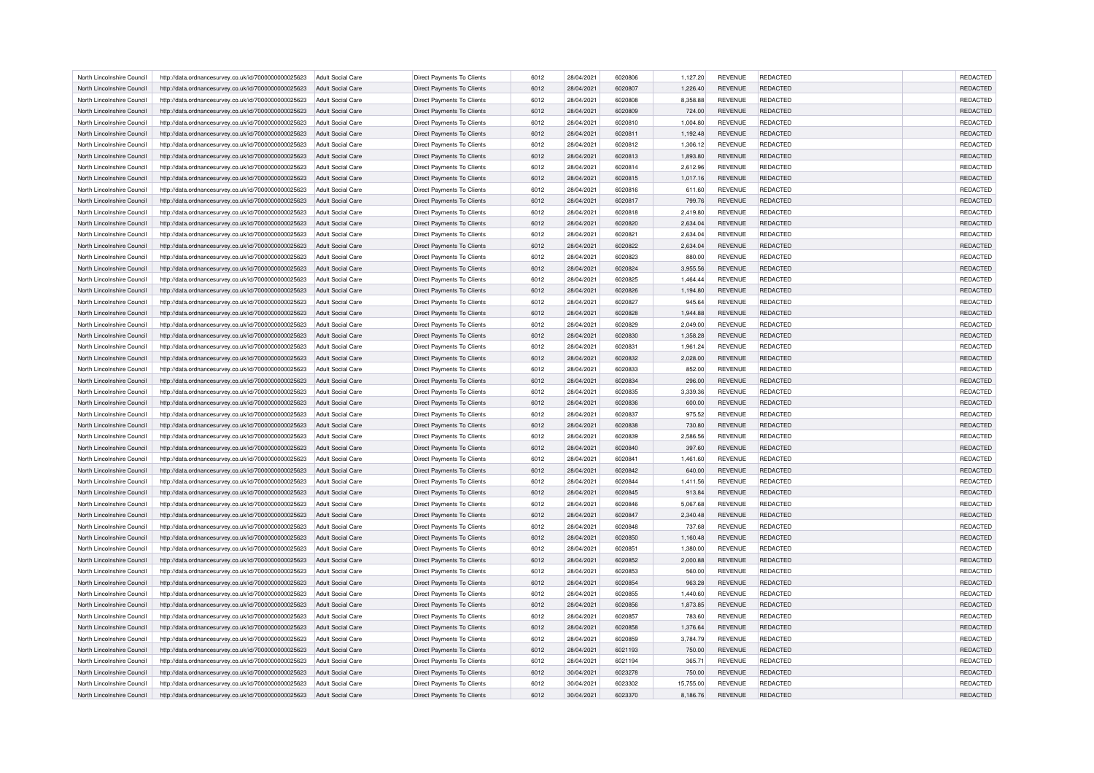| North Lincolnshire Council | http://data.ordnancesurvey.co.uk/id/7000000000025623 | Adult Social Care        | Direct Payments To Clients        | 6012 | 28/04/2021 | 6020806 | 1,127.20  | <b>REVENUE</b> | <b>REDACTED</b> | <b>REDACTED</b> |
|----------------------------|------------------------------------------------------|--------------------------|-----------------------------------|------|------------|---------|-----------|----------------|-----------------|-----------------|
| North Lincolnshire Council | http://data.ordnancesurvey.co.uk/id/7000000000025623 | Adult Social Care        | <b>Direct Payments To Clients</b> | 6012 | 28/04/2021 | 6020807 | 1,226.40  | <b>REVENUE</b> | <b>REDACTED</b> | <b>REDACTED</b> |
| North Lincolnshire Council | http://data.ordnancesurvey.co.uk/id/7000000000025623 | Adult Social Care        | Direct Payments To Clients        | 6012 | 28/04/2021 | 6020808 | 8,358.88  | <b>REVENUE</b> | <b>REDACTED</b> | REDACTED        |
| North Lincolnshire Council | http://data.ordnancesurvey.co.uk/id/7000000000025623 | Adult Social Care        | <b>Direct Payments To Clients</b> | 6012 | 28/04/2021 | 6020809 | 724.00    | <b>REVENUE</b> | <b>REDACTED</b> | REDACTED        |
| North Lincolnshire Council | http://data.ordnancesurvey.co.uk/id/7000000000025623 | <b>Adult Social Care</b> | <b>Direct Payments To Clients</b> | 6012 | 28/04/2021 | 6020810 | 1,004.80  | <b>REVENUE</b> | <b>REDACTED</b> | REDACTED        |
| North Lincolnshire Council | http://data.ordnancesurvey.co.uk/id/7000000000025623 | Adult Social Care        | Direct Payments To Clients        | 6012 | 28/04/2021 | 602081  | 1,192.48  | <b>REVENUE</b> | <b>REDACTED</b> | REDACTED        |
| North Lincolnshire Council | http://data.ordnancesurvey.co.uk/id/7000000000025623 | <b>Adult Social Care</b> | Direct Payments To Clients        | 6012 | 28/04/2021 | 6020812 | 1,306.12  | <b>REVENUE</b> | REDACTED        | REDACTED        |
| North Lincolnshire Council | http://data.ordnancesurvey.co.uk/id/7000000000025623 | Adult Social Care        | <b>Direct Payments To Clients</b> | 6012 | 28/04/2021 | 6020813 | 1,893.80  | <b>REVENUE</b> | <b>REDACTED</b> | REDACTED        |
| North Lincolnshire Council | http://data.ordnancesurvey.co.uk/id/7000000000025623 | Adult Social Care        | <b>Direct Payments To Clients</b> | 6012 | 28/04/2021 | 6020814 | 2,612.96  | <b>REVENUE</b> | <b>REDACTED</b> | <b>REDACTED</b> |
| North Lincolnshire Council | http://data.ordnancesurvey.co.uk/id/7000000000025623 | <b>Adult Social Care</b> | Direct Payments To Clients        | 6012 | 28/04/2021 | 6020815 | 1,017.16  | <b>REVENUE</b> | REDACTED        | REDACTED        |
| North Lincolnshire Council | http://data.ordnancesurvey.co.uk/id/7000000000025623 | Adult Social Care        | <b>Direct Payments To Clients</b> | 6012 | 28/04/2021 | 6020816 | 611.60    | <b>REVENUE</b> | <b>REDACTED</b> | REDACTED        |
| North Lincolnshire Council | http://data.ordnancesurvey.co.uk/id/7000000000025623 | <b>Adult Social Care</b> | <b>Direct Payments To Clients</b> | 6012 | 28/04/2021 | 6020817 | 799.76    | <b>REVENUE</b> | <b>REDACTED</b> | REDACTED        |
| North Lincolnshire Council | http://data.ordnancesurvey.co.uk/id/7000000000025623 | <b>Adult Social Care</b> | Direct Payments To Clients        | 6012 | 28/04/2021 | 6020818 | 2,419.80  | <b>REVENUE</b> | REDACTED        | <b>REDACTED</b> |
| North Lincolnshire Council | http://data.ordnancesurvey.co.uk/id/7000000000025623 | <b>Adult Social Care</b> | Direct Payments To Clients        | 6012 | 28/04/2021 | 6020820 | 2,634.04  | <b>REVENUE</b> | REDACTED        | REDACTED        |
| North Lincolnshire Council | http://data.ordnancesurvey.co.uk/id/7000000000025623 | Adult Social Care        | <b>Direct Payments To Clients</b> | 6012 | 28/04/2021 | 6020821 | 2,634.04  | <b>REVENUE</b> | <b>REDACTED</b> | <b>REDACTED</b> |
| North Lincolnshire Council | http://data.ordnancesurvey.co.uk/id/7000000000025623 | <b>Adult Social Care</b> | <b>Direct Payments To Clients</b> | 6012 | 28/04/2021 | 6020822 | 2,634.04  | <b>REVENUE</b> | <b>REDACTED</b> | <b>REDACTED</b> |
| North Lincolnshire Council | http://data.ordnancesurvey.co.uk/id/7000000000025623 | <b>Adult Social Care</b> | Direct Payments To Clients        | 6012 | 28/04/2021 | 6020823 | 880.00    | <b>REVENUE</b> | REDACTED        | <b>REDACTED</b> |
|                            |                                                      |                          |                                   |      |            |         |           |                |                 |                 |
| North Lincolnshire Council | http://data.ordnancesurvey.co.uk/id/7000000000025623 | <b>Adult Social Care</b> | Direct Payments To Clients        | 6012 | 28/04/2021 | 6020824 | 3,955.56  | <b>REVENUE</b> | REDACTED        | REDACTED        |
| North Lincolnshire Council | http://data.ordnancesurvey.co.uk/id/7000000000025623 | <b>Adult Social Care</b> | <b>Direct Payments To Clients</b> | 6012 | 28/04/2021 | 6020825 | 1,464.44  | <b>REVENUE</b> | <b>REDACTED</b> | <b>REDACTED</b> |
| North Lincolnshire Council | http://data.ordnancesurvey.co.uk/id/7000000000025623 | <b>Adult Social Care</b> | <b>Direct Payments To Clients</b> | 6012 | 28/04/2021 | 6020826 | 1,194.80  | <b>REVENUE</b> | <b>REDACTED</b> | <b>REDACTED</b> |
| North Lincolnshire Council | http://data.ordnancesurvey.co.uk/id/7000000000025623 | <b>Adult Social Care</b> | Direct Payments To Clients        | 6012 | 28/04/2021 | 6020827 | 945.64    | <b>REVENUE</b> | <b>REDACTED</b> | <b>REDACTED</b> |
| North Lincolnshire Council | http://data.ordnancesurvey.co.uk/id/7000000000025623 | <b>Adult Social Care</b> | <b>Direct Payments To Clients</b> | 6012 | 28/04/2021 | 6020828 | 1,944.88  | <b>REVENUE</b> | <b>REDACTED</b> | <b>REDACTED</b> |
| North Lincolnshire Council | http://data.ordnancesurvey.co.uk/id/7000000000025623 | <b>Adult Social Care</b> | <b>Direct Payments To Clients</b> | 6012 | 28/04/2021 | 6020829 | 2,049.00  | <b>REVENUE</b> | <b>REDACTED</b> | <b>REDACTED</b> |
| North Lincolnshire Council | http://data.ordnancesurvey.co.uk/id/7000000000025623 | Adult Social Care        | Direct Payments To Clients        | 6012 | 28/04/2021 | 6020830 | 1,358.28  | <b>REVENUE</b> | <b>REDACTED</b> | <b>REDACTED</b> |
| North Lincolnshire Council | http://data.ordnancesurvey.co.uk/id/7000000000025623 | <b>Adult Social Care</b> | Direct Payments To Clients        | 6012 | 28/04/2021 | 6020831 | 1,961.24  | <b>REVENUE</b> | REDACTED        | REDACTED        |
| North Lincolnshire Council | http://data.ordnancesurvey.co.uk/id/7000000000025623 | Adult Social Care        | <b>Direct Payments To Clients</b> | 6012 | 28/04/2021 | 6020832 | 2,028.00  | <b>REVENUE</b> | <b>REDACTED</b> | REDACTED        |
| North Lincolnshire Council | http://data.ordnancesurvey.co.uk/id/7000000000025623 | Adult Social Care        | <b>Direct Payments To Clients</b> | 6012 | 28/04/2021 | 6020833 | 852.00    | <b>REVENUE</b> | <b>REDACTED</b> | <b>REDACTED</b> |
| North Lincolnshire Council | http://data.ordnancesurvey.co.uk/id/7000000000025623 | <b>Adult Social Care</b> | Direct Payments To Clients        | 6012 | 28/04/2021 | 6020834 | 296.00    | <b>REVENUE</b> | REDACTED        | REDACTED        |
| North Lincolnshire Council | http://data.ordnancesurvey.co.uk/id/7000000000025623 | Adult Social Care        | <b>Direct Payments To Clients</b> | 6012 | 28/04/2021 | 6020835 | 3,339.36  | <b>REVENUE</b> | <b>REDACTED</b> | <b>REDACTED</b> |
| North Lincolnshire Council | http://data.ordnancesurvey.co.uk/id/7000000000025623 | <b>Adult Social Care</b> | <b>Direct Payments To Clients</b> | 6012 | 28/04/2021 | 6020836 | 600.00    | <b>REVENUE</b> | <b>REDACTED</b> | REDACTED        |
| North Lincolnshire Council | http://data.ordnancesurvey.co.uk/id/7000000000025623 | <b>Adult Social Care</b> | Direct Payments To Clients        | 6012 | 28/04/2021 | 6020837 | 975.52    | <b>REVENUE</b> | <b>REDACTED</b> | <b>REDACTED</b> |
| North Lincolnshire Council | http://data.ordnancesurvey.co.uk/id/7000000000025623 | Adult Social Care        | Direct Payments To Clients        | 6012 | 28/04/2021 | 6020838 | 730.80    | <b>REVENUE</b> | REDACTED        | REDACTED        |
| North Lincolnshire Council | http://data.ordnancesurvey.co.uk/id/7000000000025623 | Adult Social Care        | <b>Direct Payments To Clients</b> | 6012 | 28/04/2021 | 6020839 | 2.586.56  | <b>REVENUE</b> | <b>REDACTED</b> | <b>REDACTED</b> |
| North Lincolnshire Council | http://data.ordnancesurvey.co.uk/id/7000000000025623 | <b>Adult Social Care</b> | Direct Payments To Clients        | 6012 | 28/04/2021 | 6020840 | 397.60    | <b>REVENUE</b> | <b>REDACTED</b> | REDACTED        |
| North Lincolnshire Council | http://data.ordnancesurvey.co.uk/id/7000000000025623 | <b>Adult Social Care</b> | Direct Payments To Clients        | 6012 | 28/04/2021 | 6020841 | 1,461.60  | <b>REVENUE</b> | REDACTED        | REDACTED        |
| North Lincolnshire Council | http://data.ordnancesurvey.co.uk/id/7000000000025623 | <b>Adult Social Care</b> | <b>Direct Payments To Clients</b> | 6012 | 28/04/2021 | 6020842 | 640.00    | <b>REVENUE</b> | <b>REDACTED</b> | REDACTED        |
| North Lincolnshire Council | http://data.ordnancesurvey.co.uk/id/7000000000025623 | <b>Adult Social Care</b> | Direct Payments To Clients        | 6012 | 28/04/2021 | 6020844 | 1,411.56  | <b>REVENUE</b> | <b>REDACTED</b> | <b>REDACTED</b> |
| North Lincolnshire Council | http://data.ordnancesurvey.co.uk/id/7000000000025623 | <b>Adult Social Care</b> | <b>Direct Payments To Clients</b> | 6012 | 28/04/2021 | 6020845 | 913.84    | <b>REVENUE</b> | <b>REDACTED</b> | REDACTED        |
|                            |                                                      |                          |                                   |      |            | 6020846 |           |                | <b>REDACTED</b> | <b>REDACTED</b> |
| North Lincolnshire Council | http://data.ordnancesurvey.co.uk/id/7000000000025623 | <b>Adult Social Care</b> | Direct Payments To Clients        | 6012 | 28/04/2021 |         | 5,067.68  | <b>REVENUE</b> |                 |                 |
| North Lincolnshire Council | http://data.ordnancesurvey.co.uk/id/7000000000025623 | <b>Adult Social Care</b> | <b>Direct Payments To Clients</b> | 6012 | 28/04/2021 | 6020847 | 2,340.48  | <b>REVENUE</b> | <b>REDACTED</b> | REDACTED        |
| North Lincolnshire Council | http://data.ordnancesurvey.co.uk/id/7000000000025623 | <b>Adult Social Care</b> | Direct Payments To Clients        | 6012 | 28/04/2021 | 6020848 | 737.68    | <b>REVENUE</b> | <b>REDACTED</b> | <b>REDACTED</b> |
| North Lincolnshire Council | http://data.ordnancesurvey.co.uk/id/7000000000025623 | Adult Social Care        | Direct Payments To Clients        | 6012 | 28/04/2021 | 6020850 | 1,160.48  | <b>REVENUE</b> | <b>REDACTED</b> | REDACTED        |
| North Lincolnshire Council | http://data.ordnancesurvey.co.uk/id/7000000000025623 | <b>Adult Social Care</b> | Direct Payments To Clients        | 6012 | 28/04/2021 | 6020851 | 1,380.00  | <b>REVENUE</b> | REDACTED        | REDACTED        |
| North Lincolnshire Council | http://data.ordnancesurvey.co.uk/id/7000000000025623 | Adult Social Care        | <b>Direct Payments To Clients</b> | 6012 | 28/04/2021 | 6020852 | 2,000.88  | <b>REVENUE</b> | <b>REDACTED</b> | REDACTED        |
| North Lincolnshire Council | http://data.ordnancesurvey.co.uk/id/7000000000025623 | Adult Social Care        | <b>Direct Payments To Clients</b> | 6012 | 28/04/2021 | 6020853 | 560.00    | <b>REVENUE</b> | <b>REDACTED</b> | <b>REDACTED</b> |
| North Lincolnshire Council | http://data.ordnancesurvey.co.uk/id/7000000000025623 | <b>Adult Social Care</b> | Direct Payments To Clients        | 6012 | 28/04/2021 | 6020854 | 963.28    | <b>REVENUE</b> | REDACTED        | REDACTED        |
| North Lincolnshire Council | http://data.ordnancesurvey.co.uk/id/7000000000025623 | <b>Adult Social Care</b> | <b>Direct Payments To Clients</b> | 6012 | 28/04/2021 | 6020855 | 1,440.60  | <b>REVENUE</b> | <b>REDACTED</b> | REDACTED        |
| North Lincolnshire Council | http://data.ordnancesurvey.co.uk/id/7000000000025623 | Adult Social Care        | <b>Direct Payments To Clients</b> | 6012 | 28/04/2021 | 6020856 | 1,873.85  | <b>REVENUE</b> | <b>REDACTED</b> | <b>REDACTED</b> |
| North Lincolnshire Council | http://data.ordnancesurvey.co.uk/id/7000000000025623 | <b>Adult Social Care</b> | Direct Payments To Clients        | 6012 | 28/04/2021 | 6020857 | 783.60    | <b>REVENUE</b> | <b>REDACTED</b> | REDACTED        |
| North Lincolnshire Council | http://data.ordnancesurvey.co.uk/id/7000000000025623 | Adult Social Care        | Direct Payments To Clients        | 6012 | 28/04/2021 | 6020858 | 1,376.64  | <b>REVENUE</b> | REDACTED        | REDACTED        |
| North Lincolnshire Council | http://data.ordnancesurvey.co.uk/id/7000000000025623 | Adult Social Care        | <b>Direct Payments To Clients</b> | 6012 | 28/04/2021 | 6020859 | 3.784.79  | <b>REVENUE</b> | <b>REDACTED</b> | <b>REDACTED</b> |
| North Lincolnshire Council | http://data.ordnancesurvey.co.uk/id/7000000000025623 | <b>Adult Social Care</b> | Direct Payments To Clients        | 6012 | 28/04/2021 | 6021193 | 750.00    | <b>REVENUE</b> | <b>REDACTED</b> | REDACTED        |
| North Lincolnshire Council | http://data.ordnancesurvey.co.uk/id/7000000000025623 | Adult Social Care        | Direct Payments To Clients        | 6012 | 28/04/2021 | 6021194 | 365.71    | <b>REVENUE</b> | REDACTED        | REDACTED        |
| North Lincolnshire Council | http://data.ordnancesurvey.co.uk/id/7000000000025623 | <b>Adult Social Care</b> | <b>Direct Payments To Clients</b> | 6012 | 30/04/2021 | 6023278 | 750.00    | <b>REVENUE</b> | <b>REDACTED</b> | <b>REDACTED</b> |
| North Lincolnshire Council | http://data.ordnancesurvey.co.uk/id/7000000000025623 | <b>Adult Social Care</b> | Direct Payments To Clients        | 6012 | 30/04/2021 | 6023302 | 15,755.00 | <b>REVENUE</b> | <b>REDACTED</b> | <b>REDACTED</b> |
| North Lincolnshire Council | http://data.ordnancesurvey.co.uk/id/7000000000025623 | <b>Adult Social Care</b> | <b>Direct Payments To Clients</b> | 6012 | 30/04/2021 | 6023370 | 8,186.76  | <b>REVENUE</b> | <b>REDACTED</b> | <b>REDACTED</b> |
|                            |                                                      |                          |                                   |      |            |         |           |                |                 |                 |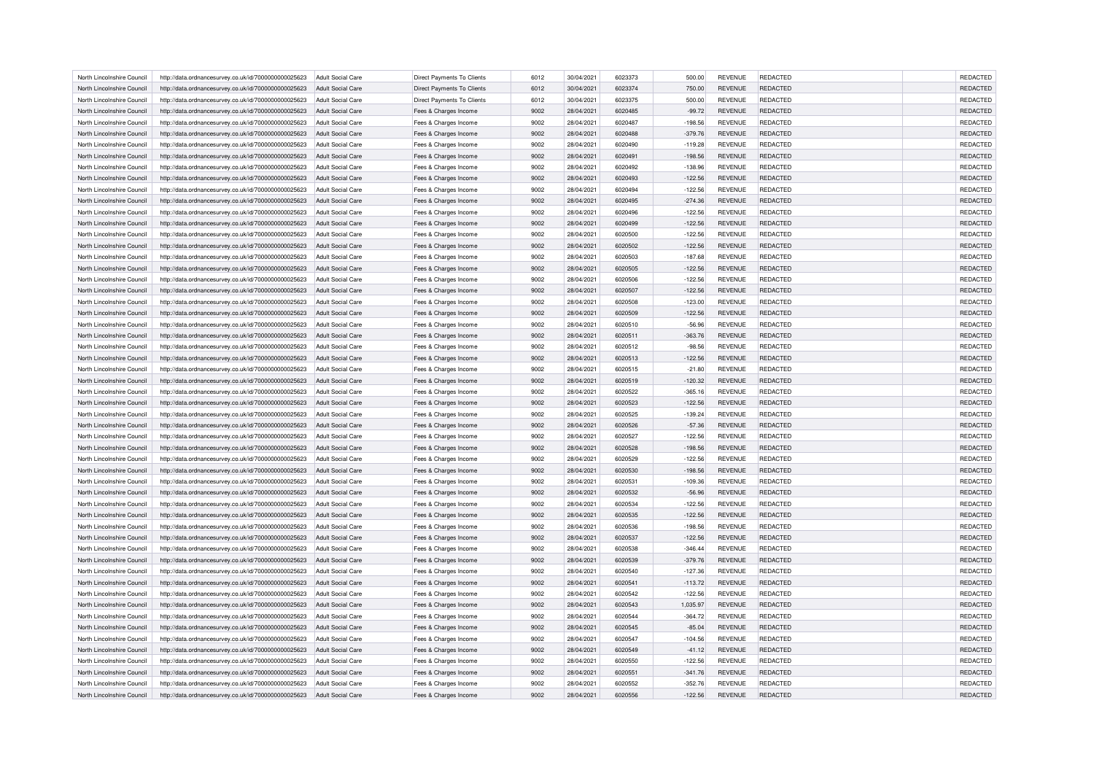| North Lincolnshire Council | http://data.ordnancesurvey.co.uk/id/7000000000025623                                                         | <b>Adult Social Care</b>                      | Direct Payments To Clients                     | 6012 | 30/04/2021 | 6023373 | 500.00    | <b>REVENUE</b> | <b>REDACTED</b> | <b>REDACTED</b> |
|----------------------------|--------------------------------------------------------------------------------------------------------------|-----------------------------------------------|------------------------------------------------|------|------------|---------|-----------|----------------|-----------------|-----------------|
| North Lincolnshire Council | http://data.ordnancesurvey.co.uk/id/7000000000025623                                                         | Adult Social Care                             | <b>Direct Payments To Clients</b>              | 6012 | 30/04/2021 | 6023374 | 750.00    | <b>REVENUE</b> | <b>REDACTED</b> | <b>REDACTED</b> |
| North Lincolnshire Council | http://data.ordnancesurvey.co.uk/id/7000000000025623                                                         | Adult Social Care                             | Direct Payments To Clients                     | 6012 | 30/04/2021 | 6023375 | 500.00    | <b>REVENUE</b> | <b>REDACTED</b> | REDACTED        |
| North Lincolnshire Council | http://data.ordnancesurvey.co.uk/id/7000000000025623                                                         | Adult Social Care                             | Fees & Charges Income                          | 9002 | 28/04/2021 | 6020485 | $-99.72$  | <b>REVENUE</b> | <b>REDACTED</b> | REDACTED        |
| North Lincolnshire Council | http://data.ordnancesurvey.co.uk/id/7000000000025623                                                         | <b>Adult Social Care</b>                      | Fees & Charges Income                          | 9002 | 28/04/2021 | 6020487 | $-198.56$ | <b>REVENUE</b> | REDACTED        | REDACTED        |
| North Lincolnshire Council | http://data.ordnancesurvey.co.uk/id/7000000000025623                                                         | Adult Social Care                             | Fees & Charges Income                          | 9002 | 28/04/2021 | 6020488 | $-379.76$ | <b>REVENUE</b> | <b>REDACTED</b> | REDACTED        |
| North Lincolnshire Council | http://data.ordnancesurvey.co.uk/id/7000000000025623                                                         | <b>Adult Social Care</b>                      | Fees & Charges Income                          | 9002 | 28/04/2021 | 6020490 | $-119.28$ | <b>REVENUE</b> | <b>REDACTED</b> | REDACTED        |
| North Lincolnshire Council | http://data.ordnancesurvey.co.uk/id/7000000000025623                                                         | Adult Social Care                             | Fees & Charges Income                          | 9002 | 28/04/2021 | 6020491 | $-198.56$ | <b>REVENUE</b> | REDACTED        | REDACTED        |
| North Lincolnshire Council | http://data.ordnancesurvey.co.uk/id/7000000000025623                                                         | <b>Adult Social Care</b>                      | Fees & Charges Income                          | 9002 | 28/04/2021 | 6020492 | $-138.96$ | <b>REVENUE</b> | REDACTED        | REDACTED        |
| North Lincolnshire Council | http://data.ordnancesurvey.co.uk/id/7000000000025623                                                         | <b>Adult Social Care</b>                      | Fees & Charges Income                          | 9002 | 28/04/2021 | 6020493 | $-122.56$ | <b>REVENUE</b> | <b>REDACTED</b> | REDACTED        |
| North Lincolnshire Council | http://data.ordnancesurvey.co.uk/id/7000000000025623                                                         | Adult Social Care                             | Fees & Charges Income                          | 9002 | 28/04/2021 | 6020494 | $-122.56$ | <b>REVENUE</b> | REDACTED        | REDACTED        |
| North Lincolnshire Council | http://data.ordnancesurvey.co.uk/id/7000000000025623                                                         | Adult Social Care                             | Fees & Charges Income                          | 9002 | 28/04/2021 | 6020495 | $-274.36$ | <b>REVENUE</b> | <b>REDACTED</b> | REDACTED        |
| North Lincolnshire Council |                                                                                                              |                                               |                                                | 9002 | 28/04/2021 | 6020496 | $-122.56$ | <b>REVENUE</b> | <b>REDACTED</b> | REDACTED        |
| North Lincolnshire Council | http://data.ordnancesurvey.co.uk/id/7000000000025623<br>http://data.ordnancesurvey.co.uk/id/7000000000025623 | <b>Adult Social Care</b><br>Adult Social Care | Fees & Charges Income<br>Fees & Charges Income | 9002 | 28/04/2021 | 6020499 | $-122.56$ | <b>REVENUE</b> | REDACTED        | REDACTED        |
|                            |                                                                                                              |                                               |                                                |      |            |         |           |                |                 |                 |
| North Lincolnshire Council | http://data.ordnancesurvey.co.uk/id/7000000000025623                                                         | Adult Social Care                             | Fees & Charges Income                          | 9002 | 28/04/2021 | 6020500 | $-122.56$ | <b>REVENUE</b> | REDACTED        | REDACTED        |
| North Lincolnshire Council | http://data.ordnancesurvey.co.uk/id/7000000000025623                                                         | <b>Adult Social Care</b>                      | Fees & Charges Income                          | 9002 | 28/04/2021 | 6020502 | $-122.56$ | <b>REVENUE</b> | <b>REDACTED</b> | REDACTED        |
| North Lincolnshire Council | http://data.ordnancesurvey.co.uk/id/7000000000025623                                                         | <b>Adult Social Care</b>                      | Fees & Charges Income                          | 9002 | 28/04/2021 | 6020503 | $-187.68$ | <b>REVENUE</b> | REDACTED        | REDACTED        |
| North Lincolnshire Council | http://data.ordnancesurvey.co.uk/id/7000000000025623                                                         | <b>Adult Social Care</b>                      | Fees & Charges Income                          | 9002 | 28/04/2021 | 6020505 | $-122.56$ | <b>REVENUE</b> | <b>REDACTED</b> | <b>REDACTED</b> |
| North Lincolnshire Council | http://data.ordnancesurvey.co.uk/id/7000000000025623                                                         | <b>Adult Social Care</b>                      | Fees & Charges Income                          | 9002 | 28/04/2021 | 6020506 | $-122.56$ | REVENUE        | <b>REDACTED</b> | REDACTED        |
| North Lincolnshire Council | http://data.ordnancesurvey.co.uk/id/7000000000025623                                                         | <b>Adult Social Care</b>                      | Fees & Charges Income                          | 9002 | 28/04/2021 | 6020507 | $-122.56$ | <b>REVENUE</b> | REDACTED        | REDACTED        |
| North Lincolnshire Council | http://data.ordnancesurvey.co.uk/id/7000000000025623                                                         | Adult Social Care                             | Fees & Charges Income                          | 9002 | 28/04/2021 | 6020508 | $-123.00$ | <b>REVENUE</b> | <b>REDACTED</b> | REDACTED        |
| North Lincolnshire Council | http://data.ordnancesurvey.co.uk/id/7000000000025623                                                         | Adult Social Care                             | Fees & Charges Income                          | 9002 | 28/04/2021 | 6020509 | $-122.56$ | <b>REVENUE</b> | <b>REDACTED</b> | REDACTED        |
| North Lincolnshire Council | http://data.ordnancesurvey.co.uk/id/7000000000025623                                                         | <b>Adult Social Care</b>                      | Fees & Charges Income                          | 9002 | 28/04/2021 | 6020510 | $-56.96$  | <b>REVENUE</b> | REDACTED        | REDACTED        |
| North Lincolnshire Council | http://data.ordnancesurvey.co.uk/id/7000000000025623                                                         | Adult Social Care                             | Fees & Charges Income                          | 9002 | 28/04/2021 | 6020511 | $-363.76$ | <b>REVENUE</b> | <b>REDACTED</b> | <b>REDACTED</b> |
| North Lincolnshire Council | http://data.ordnancesurvey.co.uk/id/7000000000025623                                                         | <b>Adult Social Care</b>                      | Fees & Charges Income                          | 9002 | 28/04/2021 | 6020512 | $-98.56$  | <b>REVENUE</b> | <b>REDACTED</b> | REDACTED        |
| North Lincolnshire Council | http://data.ordnancesurvey.co.uk/id/7000000000025623                                                         | <b>Adult Social Care</b>                      | Fees & Charges Income                          | 9002 | 28/04/2021 | 6020513 | $-122.56$ | <b>REVENUE</b> | REDACTED        | REDACTED        |
| North Lincolnshire Council | http://data.ordnancesurvey.co.uk/id/7000000000025623                                                         | Adult Social Care                             | Fees & Charges Income                          | 9002 | 28/04/2021 | 6020515 | $-21.80$  | <b>REVENUE</b> | <b>REDACTED</b> | REDACTED        |
| North Lincolnshire Council | http://data.ordnancesurvey.co.uk/id/7000000000025623                                                         | Adult Social Care                             | Fees & Charges Income                          | 9002 | 28/04/2021 | 6020519 | $-120.32$ | <b>REVENUE</b> | <b>REDACTED</b> | REDACTED        |
| North Lincolnshire Council | http://data.ordnancesurvey.co.uk/id/7000000000025623                                                         | <b>Adult Social Care</b>                      | Fees & Charges Income                          | 9002 | 28/04/2021 | 6020522 | $-365.16$ | <b>REVENUE</b> | REDACTED        | REDACTED        |
| North Lincolnshire Council | http://data.ordnancesurvey.co.uk/id/7000000000025623                                                         | Adult Social Care                             | Fees & Charges Income                          | 9002 | 28/04/2021 | 6020523 | $-122.56$ | <b>REVENUE</b> | <b>REDACTED</b> | REDACTED        |
| North Lincolnshire Council | http://data.ordnancesurvey.co.uk/id/7000000000025623                                                         | <b>Adult Social Care</b>                      | Fees & Charges Income                          | 9002 | 28/04/2021 | 6020525 | $-139.24$ | <b>REVENUE</b> | <b>REDACTED</b> | REDACTED        |
| North Lincolnshire Council | http://data.ordnancesurvey.co.uk/id/7000000000025623                                                         | Adult Social Care                             | Fees & Charges Income                          | 9002 | 28/04/2021 | 6020526 | $-57.36$  | <b>REVENUE</b> | REDACTED        | REDACTED        |
| North Lincolnshire Council | http://data.ordnancesurvey.co.uk/id/7000000000025623                                                         | <b>Adult Social Care</b>                      | Fees & Charges Income                          | 9002 | 28/04/2021 | 6020527 | $-122.56$ | <b>REVENUE</b> | REDACTED        | REDACTED        |
| North Lincolnshire Council | http://data.ordnancesurvey.co.uk/id/7000000000025623                                                         | Adult Social Care                             | Fees & Charges Income                          | 9002 | 28/04/2021 | 6020528 | $-198.56$ | <b>REVENUE</b> | <b>REDACTED</b> | REDACTED        |
| North Lincolnshire Council | http://data.ordnancesurvey.co.uk/id/7000000000025623                                                         | Adult Social Care                             | Fees & Charges Income                          | 9002 | 28/04/2021 | 6020529 | $-122.56$ | <b>REVENUE</b> | REDACTED        | REDACTED        |
| North Lincolnshire Council | http://data.ordnancesurvey.co.uk/id/7000000000025623                                                         | <b>Adult Social Care</b>                      | Fees & Charges Income                          | 9002 | 28/04/2021 | 6020530 | $-198.56$ | <b>REVENUE</b> | <b>REDACTED</b> | REDACTED        |
| North Lincolnshire Council | http://data.ordnancesurvey.co.uk/id/7000000000025623                                                         | <b>Adult Social Care</b>                      | Fees & Charges Income                          | 9002 | 28/04/2021 | 6020531 | $-109.36$ | <b>REVENUE</b> | <b>REDACTED</b> | REDACTED        |
| North Lincolnshire Council | http://data.ordnancesurvey.co.uk/id/7000000000025623                                                         | <b>Adult Social Care</b>                      | Fees & Charges Income                          | 9002 | 28/04/2021 | 6020532 | $-56.96$  | <b>REVENUE</b> | <b>REDACTED</b> | REDACTED        |
| North Lincolnshire Council | http://data.ordnancesurvey.co.uk/id/7000000000025623                                                         | Adult Social Care                             | Fees & Charges Income                          | 9002 | 28/04/2021 | 6020534 | $-122.56$ | <b>REVENUE</b> | <b>REDACTED</b> | <b>REDACTED</b> |
| North Lincolnshire Council | http://data.ordnancesurvey.co.uk/id/7000000000025623                                                         | <b>Adult Social Care</b>                      | Fees & Charges Income                          | 9002 | 28/04/2021 | 6020535 | $-122.56$ | <b>REVENUE</b> | <b>REDACTED</b> | REDACTED        |
| North Lincolnshire Council | http://data.ordnancesurvey.co.uk/id/7000000000025623                                                         | <b>Adult Social Care</b>                      | Fees & Charges Income                          | 9002 | 28/04/2021 | 6020536 | $-198.56$ | <b>REVENUE</b> | <b>REDACTED</b> | REDACTED        |
| North Lincolnshire Council | http://data.ordnancesurvey.co.uk/id/7000000000025623                                                         | Adult Social Care                             | Fees & Charges Income                          | 9002 | 28/04/2021 | 6020537 | $-122.56$ | <b>REVENUE</b> | <b>REDACTED</b> | REDACTED        |
| North Lincolnshire Council | http://data.ordnancesurvey.co.uk/id/7000000000025623                                                         | <b>Adult Social Care</b>                      | Fees & Charges Income                          | 9002 | 28/04/2021 | 6020538 | $-346.44$ | <b>REVENUE</b> | REDACTED        | REDACTED        |
| North Lincolnshire Council | http://data.ordnancesurvey.co.uk/id/7000000000025623                                                         | <b>Adult Social Care</b>                      | Fees & Charges Income                          | 9002 | 28/04/2021 | 6020539 | $-379.76$ | <b>REVENUE</b> | <b>REDACTED</b> | REDACTED        |
| North Lincolnshire Council | http://data.ordnancesurvey.co.uk/id/7000000000025623                                                         | Adult Social Care                             | Fees & Charges Income                          | 9002 | 28/04/2021 | 6020540 | $-127.36$ | <b>REVENUE</b> | <b>REDACTED</b> | <b>REDACTED</b> |
|                            |                                                                                                              |                                               |                                                |      |            |         |           |                |                 |                 |
| North Lincolnshire Council | http://data.ordnancesurvey.co.uk/id/7000000000025623                                                         | Adult Social Care                             | Fees & Charges Income                          | 9002 | 28/04/2021 | 6020541 | $-113.72$ | <b>REVENUE</b> | REDACTED        | REDACTED        |
| North Lincolnshire Council | http://data.ordnancesurvey.co.uk/id/7000000000025623                                                         | <b>Adult Social Care</b>                      | Fees & Charges Income                          | 9002 | 28/04/2021 | 6020542 | $-122.56$ | <b>REVENUE</b> | REDACTED        | REDACTED        |
| North Lincolnshire Council | http://data.ordnancesurvey.co.uk/id/7000000000025623                                                         | Adult Social Care                             | Fees & Charges Income                          | 9002 | 28/04/2021 | 6020543 | 1.035.97  | <b>REVENUE</b> | <b>REDACTED</b> | <b>REDACTED</b> |
| North Lincolnshire Council | http://data.ordnancesurvey.co.uk/id/7000000000025623                                                         | <b>Adult Social Care</b>                      | Fees & Charges Income                          | 9002 | 28/04/2021 | 6020544 | $-364.72$ | <b>REVENUE</b> | <b>REDACTED</b> | <b>REDACTED</b> |
| North Lincolnshire Council | http://data.ordnancesurvey.co.uk/id/7000000000025623                                                         | <b>Adult Social Care</b>                      | Fees & Charges Income                          | 9002 | 28/04/2021 | 6020545 | $-85.04$  | <b>REVENUE</b> | REDACTED        | REDACTED        |
| North Lincolnshire Council | http://data.ordnancesurvey.co.uk/id/7000000000025623                                                         | Adult Social Care                             | Fees & Charges Income                          | 9002 | 28/04/2021 | 6020547 | $-104.56$ | <b>REVENUE</b> | <b>REDACTED</b> | <b>REDACTED</b> |
| North Lincolnshire Council | http://data.ordnancesurvey.co.uk/id/7000000000025623                                                         | Adult Social Care                             | Fees & Charges Income                          | 9002 | 28/04/2021 | 6020549 | $-41.12$  | <b>REVENUE</b> | <b>REDACTED</b> | <b>REDACTED</b> |
| North Lincolnshire Council | http://data.ordnancesurvey.co.uk/id/7000000000025623                                                         | Adult Social Care                             | Fees & Charges Income                          | 9002 | 28/04/2021 | 6020550 | $-122.56$ | <b>REVENUE</b> | REDACTED        | REDACTED        |
| North Lincolnshire Council | http://data.ordnancesurvey.co.uk/id/7000000000025623                                                         | <b>Adult Social Care</b>                      | Fees & Charges Income                          | 9002 | 28/04/2021 | 6020551 | $-341.76$ | <b>REVENUE</b> | <b>REDACTED</b> | REDACTED        |
| North Lincolnshire Council | http://data.ordnancesurvey.co.uk/id/7000000000025623                                                         | <b>Adult Social Care</b>                      | Fees & Charges Income                          | 9002 | 28/04/2021 | 6020552 | $-352.76$ | <b>REVENUE</b> | <b>REDACTED</b> | <b>REDACTED</b> |
| North Lincolnshire Council | http://data.ordnancesurvey.co.uk/id/7000000000025623                                                         | Adult Social Care                             | Fees & Charges Income                          | 9002 | 28/04/2021 | 6020556 | $-122.56$ | <b>REVENUE</b> | <b>REDACTED</b> | <b>REDACTED</b> |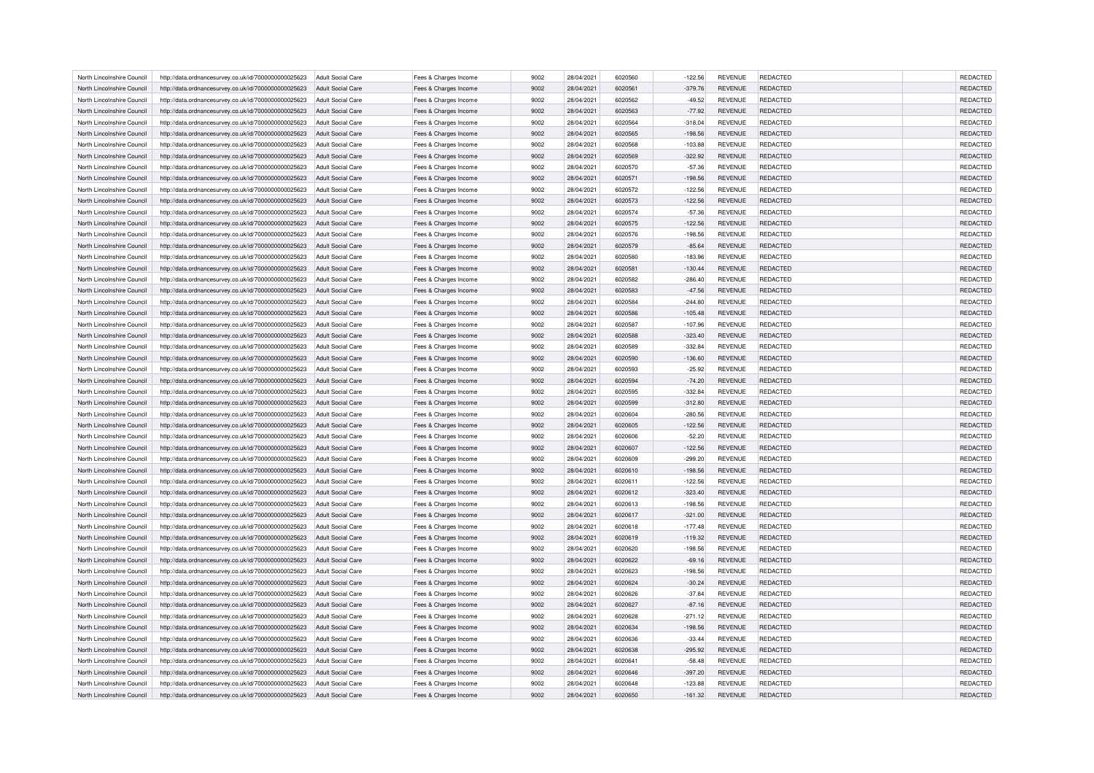| North Lincolnshire Council | http://data.ordnancesurvey.co.uk/id/7000000000025623 | <b>Adult Social Care</b> | Fees & Charges Income | 9002 | 28/04/2021 | 6020560 | $-122.56$ | <b>REVENUE</b> | <b>REDACTED</b> | <b>REDACTED</b> |
|----------------------------|------------------------------------------------------|--------------------------|-----------------------|------|------------|---------|-----------|----------------|-----------------|-----------------|
| North Lincolnshire Council | http://data.ordnancesurvey.co.uk/id/7000000000025623 | Adult Social Care        | Fees & Charges Income | 9002 | 28/04/2021 | 6020561 | $-379.76$ | <b>REVENUE</b> | <b>REDACTED</b> | <b>REDACTED</b> |
| North Lincolnshire Council | http://data.ordnancesurvey.co.uk/id/7000000000025623 | <b>Adult Social Care</b> | Fees & Charges Income | 9002 | 28/04/2021 | 6020562 | $-49.52$  | <b>REVENUE</b> | <b>REDACTED</b> | <b>REDACTED</b> |
| North Lincolnshire Council | http://data.ordnancesurvey.co.uk/id/7000000000025623 | <b>Adult Social Care</b> | Fees & Charges Income | 9002 | 28/04/2021 | 6020563 | $-77.92$  | <b>REVENUE</b> | <b>REDACTED</b> | REDACTED        |
| North Lincolnshire Council | http://data.ordnancesurvey.co.uk/id/7000000000025623 | <b>Adult Social Care</b> | Fees & Charges Income | 9002 | 28/04/2021 | 6020564 | $-318.04$ | <b>REVENUE</b> | <b>REDACTED</b> | <b>REDACTED</b> |
| North Lincolnshire Council | http://data.ordnancesurvey.co.uk/id/7000000000025623 | Adult Social Care        | Fees & Charges Income | 9002 | 28/04/2021 | 6020565 | $-198.56$ | <b>REVENUE</b> | <b>REDACTED</b> | REDACTED        |
| North Lincolnshire Council | http://data.ordnancesurvey.co.uk/id/7000000000025623 | <b>Adult Social Care</b> | Fees & Charges Income | 9002 | 28/04/2021 | 6020568 | $-103.88$ | <b>REVENUE</b> | REDACTED        | REDACTED        |
| North Lincolnshire Council | http://data.ordnancesurvey.co.uk/id/7000000000025623 | Adult Social Care        | Fees & Charges Income | 9002 | 28/04/2021 | 6020569 | $-322.92$ | <b>REVENUE</b> | <b>REDACTED</b> | REDACTED        |
| North Lincolnshire Council | http://data.ordnancesurvey.co.uk/id/7000000000025623 | Adult Social Care        | Fees & Charges Income | 9002 | 28/04/2021 | 6020570 | $-57.36$  | <b>REVENUE</b> | <b>REDACTED</b> | <b>REDACTED</b> |
| North Lincolnshire Council | http://data.ordnancesurvey.co.uk/id/7000000000025623 | <b>Adult Social Care</b> | Fees & Charges Income | 9002 | 28/04/2021 | 6020571 | $-198.56$ | REVENUE        | REDACTED        | REDACTED        |
| North Lincolnshire Council | http://data.ordnancesurvey.co.uk/id/7000000000025623 | Adult Social Care        | Fees & Charges Income | 9002 | 28/04/2021 | 6020572 | $-122.56$ | <b>REVENUE</b> | <b>REDACTED</b> | <b>REDACTED</b> |
| North Lincolnshire Council | http://data.ordnancesurvey.co.uk/id/7000000000025623 | Adult Social Care        | Fees & Charges Income | 9002 | 28/04/2021 | 6020573 | $-122.56$ | <b>REVENUE</b> | <b>REDACTED</b> | REDACTED        |
| North Lincolnshire Council | http://data.ordnancesurvey.co.uk/id/7000000000025623 | <b>Adult Social Care</b> | Fees & Charges Income | 9002 | 28/04/2021 | 6020574 | $-57.36$  | <b>REVENUE</b> | REDACTED        | <b>REDACTED</b> |
| North Lincolnshire Council | http://data.ordnancesurvey.co.uk/id/7000000000025623 | Adult Social Care        | Fees & Charges Income | 9002 | 28/04/2021 | 6020575 | $-122.56$ | <b>REVENUE</b> | <b>REDACTED</b> | REDACTED        |
| North Lincolnshire Council | http://data.ordnancesurvey.co.uk/id/7000000000025623 | Adult Social Care        | Fees & Charges Income | 9002 | 28/04/2021 | 6020576 | $-198.56$ | <b>REVENUE</b> | <b>REDACTED</b> | <b>REDACTED</b> |
| North Lincolnshire Council | http://data.ordnancesurvey.co.uk/id/7000000000025623 | <b>Adult Social Care</b> | Fees & Charges Income | 9002 | 28/04/2021 | 6020579 | $-85.64$  | <b>REVENUE</b> | <b>REDACTED</b> | REDACTED        |
| North Lincolnshire Council | http://data.ordnancesurvey.co.uk/id/7000000000025623 | <b>Adult Social Care</b> | Fees & Charges Income | 9002 | 28/04/2021 | 6020580 | $-183.96$ | <b>REVENUE</b> | REDACTED        | <b>REDACTED</b> |
| North Lincolnshire Council | http://data.ordnancesurvey.co.uk/id/7000000000025623 | <b>Adult Social Care</b> | Fees & Charges Income | 9002 | 28/04/2021 | 6020581 | $-130.44$ | <b>REVENUE</b> | <b>REDACTED</b> | REDACTED        |
| North Lincolnshire Council | http://data.ordnancesurvey.co.uk/id/7000000000025623 | <b>Adult Social Care</b> | Fees & Charges Income | 9002 | 28/04/2021 | 6020582 | $-286.40$ | <b>REVENUE</b> | <b>REDACTED</b> | <b>REDACTED</b> |
|                            |                                                      |                          |                       |      |            |         |           |                |                 |                 |
| North Lincolnshire Council | http://data.ordnancesurvey.co.uk/id/7000000000025623 | <b>Adult Social Care</b> | Fees & Charges Income | 9002 | 28/04/2021 | 6020583 | $-47.56$  | <b>REVENUE</b> | <b>REDACTED</b> | REDACTED        |
| North Lincolnshire Council | http://data.ordnancesurvey.co.uk/id/7000000000025623 | <b>Adult Social Care</b> | Fees & Charges Income | 9002 | 28/04/2021 | 6020584 | $-244.80$ | <b>REVENUE</b> | <b>REDACTED</b> | REDACTED        |
| North Lincolnshire Council | http://data.ordnancesurvey.co.uk/id/7000000000025623 | <b>Adult Social Care</b> | Fees & Charges Income | 9002 | 28/04/2021 | 6020586 | $-105.48$ | <b>REVENUE</b> | <b>REDACTED</b> | REDACTED        |
| North Lincolnshire Council | http://data.ordnancesurvey.co.uk/id/7000000000025623 | <b>Adult Social Care</b> | Fees & Charges Income | 9002 | 28/04/2021 | 6020587 | $-107.96$ | <b>REVENUE</b> | <b>REDACTED</b> | REDACTED        |
| North Lincolnshire Council | http://data.ordnancesurvey.co.uk/id/7000000000025623 | Adult Social Care        | Fees & Charges Income | 9002 | 28/04/2021 | 6020588 | $-323.40$ | <b>REVENUE</b> | <b>REDACTED</b> | REDACTED        |
| North Lincolnshire Council | http://data.ordnancesurvey.co.uk/id/7000000000025623 | <b>Adult Social Care</b> | Fees & Charges Income | 9002 | 28/04/2021 | 6020589 | $-332.84$ | <b>REVENUE</b> | REDACTED        | REDACTED        |
| North Lincolnshire Council | http://data.ordnancesurvey.co.uk/id/7000000000025623 | <b>Adult Social Care</b> | Fees & Charges Income | 9002 | 28/04/2021 | 6020590 | $-136.60$ | <b>REVENUE</b> | <b>REDACTED</b> | REDACTED        |
| North Lincolnshire Council | http://data.ordnancesurvey.co.uk/id/7000000000025623 | Adult Social Care        | Fees & Charges Income | 9002 | 28/04/2021 | 6020593 | $-25.92$  | <b>REVENUE</b> | <b>REDACTED</b> | <b>REDACTED</b> |
| North Lincolnshire Council | http://data.ordnancesurvey.co.uk/id/7000000000025623 | <b>Adult Social Care</b> | Fees & Charges Income | 9002 | 28/04/2021 | 6020594 | $-74.20$  | REVENUE        | REDACTED        | REDACTED        |
| North Lincolnshire Council | http://data.ordnancesurvey.co.uk/id/7000000000025623 | Adult Social Care        | Fees & Charges Income | 9002 | 28/04/2021 | 6020595 | $-332.84$ | <b>REVENUE</b> | <b>REDACTED</b> | REDACTED        |
| North Lincolnshire Council | http://data.ordnancesurvey.co.uk/id/7000000000025623 | Adult Social Care        | Fees & Charges Income | 9002 | 28/04/2021 | 6020599 | $-312.80$ | <b>REVENUE</b> | <b>REDACTED</b> | REDACTED        |
| North Lincolnshire Council | http://data.ordnancesurvey.co.uk/id/7000000000025623 | <b>Adult Social Care</b> | Fees & Charges Income | 9002 | 28/04/2021 | 6020604 | $-280.56$ | REVENUE        | <b>REDACTED</b> | REDACTED        |
| North Lincolnshire Council | http://data.ordnancesurvey.co.uk/id/7000000000025623 | <b>Adult Social Care</b> | Fees & Charges Income | 9002 | 28/04/2021 | 6020605 | $-122.56$ | <b>REVENUE</b> | REDACTED        | REDACTED        |
| North Lincolnshire Council | http://data.ordnancesurvey.co.uk/id/7000000000025623 | Adult Social Care        | Fees & Charges Income | 9002 | 28/04/2021 | 6020606 | $-52.20$  | <b>REVENUE</b> | <b>REDACTED</b> | <b>REDACTED</b> |
| North Lincolnshire Council | http://data.ordnancesurvey.co.uk/id/7000000000025623 | Adult Social Care        | Fees & Charges Income | 9002 | 28/04/2021 | 6020607 | $-122.56$ | <b>REVENUE</b> | <b>REDACTED</b> | REDACTED        |
| North Lincolnshire Council | http://data.ordnancesurvey.co.uk/id/7000000000025623 | <b>Adult Social Care</b> | Fees & Charges Income | 9002 | 28/04/2021 | 6020609 | $-299.20$ | <b>REVENUE</b> | REDACTED        | REDACTED        |
| North Lincolnshire Council | http://data.ordnancesurvey.co.uk/id/7000000000025623 | <b>Adult Social Care</b> | Fees & Charges Income | 9002 | 28/04/2021 | 6020610 | $-198.56$ | <b>REVENUE</b> | <b>REDACTED</b> | REDACTED        |
| North Lincolnshire Council | http://data.ordnancesurvey.co.uk/id/7000000000025623 | <b>Adult Social Care</b> | Fees & Charges Income | 9002 | 28/04/2021 | 6020611 | $-122.56$ | <b>REVENUE</b> | <b>REDACTED</b> | <b>REDACTED</b> |
| North Lincolnshire Council | http://data.ordnancesurvey.co.uk/id/7000000000025623 | <b>Adult Social Care</b> | Fees & Charges Income | 9002 | 28/04/2021 | 6020612 | $-323.40$ | <b>REVENUE</b> | <b>REDACTED</b> | REDACTED        |
| North Lincolnshire Council |                                                      | <b>Adult Social Care</b> | Fees & Charges Income | 9002 | 28/04/2021 | 6020613 | $-198.56$ | <b>REVENUE</b> | <b>REDACTED</b> | <b>REDACTED</b> |
|                            | http://data.ordnancesurvey.co.uk/id/7000000000025623 |                          |                       | 9002 |            | 6020617 |           |                |                 | <b>REDACTED</b> |
| North Lincolnshire Council | http://data.ordnancesurvey.co.uk/id/7000000000025623 | <b>Adult Social Care</b> | Fees & Charges Income |      | 28/04/2021 |         | $-321.00$ | <b>REVENUE</b> | <b>REDACTED</b> |                 |
| North Lincolnshire Council | http://data.ordnancesurvey.co.uk/id/7000000000025623 | <b>Adult Social Care</b> | Fees & Charges Income | 9002 | 28/04/2021 | 6020618 | $-177.48$ | <b>REVENUE</b> | <b>REDACTED</b> | <b>REDACTED</b> |
| North Lincolnshire Council | http://data.ordnancesurvey.co.uk/id/7000000000025623 | Adult Social Care        | Fees & Charges Income | 9002 | 28/04/2021 | 6020619 | $-119.32$ | <b>REVENUE</b> | <b>REDACTED</b> | <b>REDACTED</b> |
| North Lincolnshire Council | http://data.ordnancesurvey.co.uk/id/7000000000025623 | <b>Adult Social Care</b> | Fees & Charges Income | 9002 | 28/04/2021 | 6020620 | $-198.56$ | <b>REVENUE</b> | REDACTED        | REDACTED        |
| North Lincolnshire Council | http://data.ordnancesurvey.co.uk/id/7000000000025623 | Adult Social Care        | Fees & Charges Income | 9002 | 28/04/2021 | 6020622 | $-69.16$  | <b>REVENUE</b> | <b>REDACTED</b> | <b>REDACTED</b> |
| North Lincolnshire Council | http://data.ordnancesurvey.co.uk/id/7000000000025623 | Adult Social Care        | Fees & Charges Income | 9002 | 28/04/2021 | 6020623 | $-198.56$ | <b>REVENUE</b> | <b>REDACTED</b> | <b>REDACTED</b> |
| North Lincolnshire Council | http://data.ordnancesurvey.co.uk/id/7000000000025623 | <b>Adult Social Care</b> | Fees & Charges Income | 9002 | 28/04/2021 | 6020624 | $-30.24$  | REVENUE        | REDACTED        | REDACTED        |
| North Lincolnshire Council | http://data.ordnancesurvey.co.uk/id/7000000000025623 | Adult Social Care        | Fees & Charges Income | 9002 | 28/04/2021 | 6020626 | $-37.84$  | <b>REVENUE</b> | <b>REDACTED</b> | REDACTED        |
| North Lincolnshire Council | http://data.ordnancesurvey.co.uk/id/7000000000025623 | Adult Social Care        | Fees & Charges Income | 9002 | 28/04/2021 | 6020627 | $-87.16$  | <b>REVENUE</b> | <b>REDACTED</b> | <b>REDACTED</b> |
| North Lincolnshire Council | http://data.ordnancesurvey.co.uk/id/7000000000025623 | <b>Adult Social Care</b> | Fees & Charges Income | 9002 | 28/04/2021 | 6020628 | $-271.12$ | <b>REVENUE</b> | <b>REDACTED</b> | <b>REDACTED</b> |
| North Lincolnshire Council | http://data.ordnancesurvey.co.uk/id/7000000000025623 | Adult Social Care        | Fees & Charges Income | 9002 | 28/04/2021 | 6020634 | $-198.56$ | <b>REVENUE</b> | <b>REDACTED</b> | REDACTED        |
| North Lincolnshire Council | http://data.ordnancesurvey.co.uk/id/7000000000025623 | Adult Social Care        | Fees & Charges Income | 9002 | 28/04/2021 | 6020636 | $-33.44$  | <b>REVENUE</b> | <b>REDACTED</b> | <b>REDACTED</b> |
| North Lincolnshire Council | http://data.ordnancesurvey.co.uk/id/7000000000025623 | Adult Social Care        | Fees & Charges Income | 9002 | 28/04/2021 | 6020638 | $-295.92$ | <b>REVENUE</b> | <b>REDACTED</b> | <b>REDACTED</b> |
| North Lincolnshire Council | http://data.ordnancesurvey.co.uk/id/7000000000025623 | Adult Social Care        | Fees & Charges Income | 9002 | 28/04/2021 | 6020641 | $-58.48$  | <b>REVENUE</b> | REDACTED        | REDACTED        |
| North Lincolnshire Council | http://data.ordnancesurvey.co.uk/id/7000000000025623 | <b>Adult Social Care</b> | Fees & Charges Income | 9002 | 28/04/2021 | 6020646 | $-397.20$ | <b>REVENUE</b> | <b>REDACTED</b> | <b>REDACTED</b> |
| North Lincolnshire Council | http://data.ordnancesurvey.co.uk/id/7000000000025623 | <b>Adult Social Care</b> | Fees & Charges Income | 9002 | 28/04/2021 | 6020648 | $-123.88$ | <b>REVENUE</b> | <b>REDACTED</b> | <b>REDACTED</b> |
| North Lincolnshire Council | http://data.ordnancesurvey.co.uk/id/7000000000025623 | Adult Social Care        | Fees & Charges Income | 9002 | 28/04/2021 | 6020650 | $-161.32$ | <b>REVENUE</b> | <b>REDACTED</b> | <b>REDACTED</b> |
|                            |                                                      |                          |                       |      |            |         |           |                |                 |                 |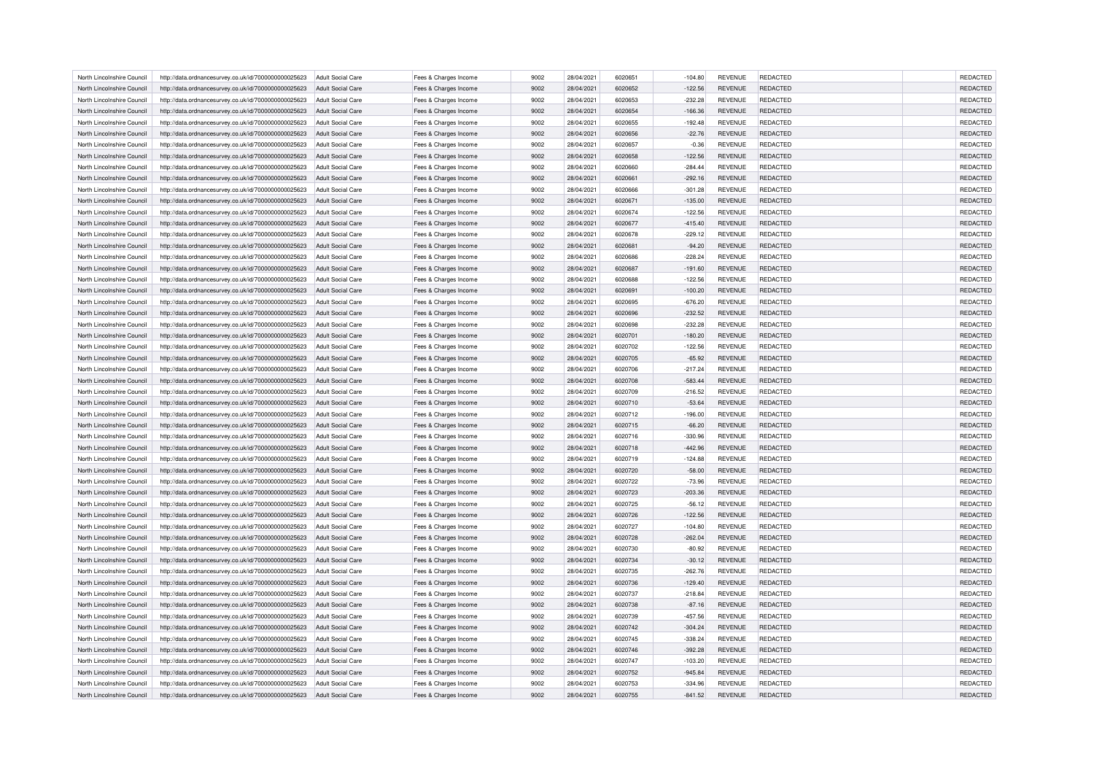| North Lincolnshire Council | http://data.ordnancesurvey.co.uk/id/7000000000025623 | <b>Adult Social Care</b> | Fees & Charges Income | 9002         | 28/04/2021 | 6020651 | $-104.80$ | <b>REVENUE</b> | <b>REDACTED</b> | <b>REDACTED</b>                    |
|----------------------------|------------------------------------------------------|--------------------------|-----------------------|--------------|------------|---------|-----------|----------------|-----------------|------------------------------------|
| North Lincolnshire Council | http://data.ordnancesurvey.co.uk/id/7000000000025623 | Adult Social Care        | Fees & Charges Income | 9002         | 28/04/2021 | 6020652 | $-122.56$ | <b>REVENUE</b> | <b>REDACTED</b> | <b>REDACTED</b>                    |
| North Lincolnshire Council | http://data.ordnancesurvey.co.uk/id/7000000000025623 | <b>Adult Social Care</b> | Fees & Charges Income | 9002         | 28/04/2021 | 6020653 | $-232.28$ | <b>REVENUE</b> | <b>REDACTED</b> | REDACTED                           |
| North Lincolnshire Council | http://data.ordnancesurvey.co.uk/id/7000000000025623 | <b>Adult Social Care</b> | Fees & Charges Income | 9002         | 28/04/2021 | 6020654 | $-166.36$ | <b>REVENUE</b> | <b>REDACTED</b> | REDACTED                           |
| North Lincolnshire Council | http://data.ordnancesurvey.co.uk/id/7000000000025623 | <b>Adult Social Care</b> | Fees & Charges Income | 9002         | 28/04/2021 | 6020655 | $-192.48$ | <b>REVENUE</b> | <b>REDACTED</b> | REDACTED                           |
| North Lincolnshire Council | http://data.ordnancesurvey.co.uk/id/7000000000025623 | Adult Social Care        | Fees & Charges Income | 9002         | 28/04/2021 | 6020656 | $-22.76$  | <b>REVENUE</b> | <b>REDACTED</b> | REDACTED                           |
| North Lincolnshire Council | http://data.ordnancesurvey.co.uk/id/7000000000025623 | <b>Adult Social Care</b> | Fees & Charges Income | 9002         | 28/04/2021 | 6020657 | $-0.36$   | <b>REVENUE</b> | REDACTED        | REDACTED                           |
| North Lincolnshire Council | http://data.ordnancesurvey.co.uk/id/7000000000025623 | Adult Social Care        | Fees & Charges Income | 9002         | 28/04/2021 | 6020658 | $-122.56$ | <b>REVENUE</b> | <b>REDACTED</b> | REDACTED                           |
| North Lincolnshire Council | http://data.ordnancesurvey.co.uk/id/7000000000025623 | Adult Social Care        | Fees & Charges Income | 9002         | 28/04/2021 | 6020660 | $-284.44$ | <b>REVENUE</b> | <b>REDACTED</b> | REDACTED                           |
| North Lincolnshire Council | http://data.ordnancesurvey.co.uk/id/7000000000025623 | <b>Adult Social Care</b> | Fees & Charges Income | 9002         | 28/04/2021 | 6020661 | $-292.16$ | REVENUE        | REDACTED        | REDACTED                           |
| North Lincolnshire Council | http://data.ordnancesurvey.co.uk/id/7000000000025623 | Adult Social Care        | Fees & Charges Income | 9002         | 28/04/2021 | 6020666 | $-301.28$ | <b>REVENUE</b> | <b>REDACTED</b> | REDACTED                           |
| North Lincolnshire Council | http://data.ordnancesurvey.co.uk/id/7000000000025623 | Adult Social Care        | Fees & Charges Income | 9002         | 28/04/2021 | 6020671 | $-135.00$ | <b>REVENUE</b> | <b>REDACTED</b> | REDACTED                           |
| North Lincolnshire Council | http://data.ordnancesurvey.co.uk/id/7000000000025623 | <b>Adult Social Care</b> | Fees & Charges Income | 9002         | 28/04/2021 | 6020674 | $-122.56$ | <b>REVENUE</b> | REDACTED        | <b>REDACTED</b>                    |
|                            |                                                      |                          |                       |              |            |         |           |                |                 |                                    |
| North Lincolnshire Council | http://data.ordnancesurvey.co.uk/id/7000000000025623 | Adult Social Care        | Fees & Charges Income | 9002         | 28/04/2021 | 6020677 | $-415.40$ | <b>REVENUE</b> | REDACTED        | REDACTED                           |
| North Lincolnshire Council | http://data.ordnancesurvey.co.uk/id/7000000000025623 | Adult Social Care        | Fees & Charges Income | 9002         | 28/04/2021 | 6020678 | $-229.12$ | <b>REVENUE</b> | <b>REDACTED</b> | <b>REDACTED</b>                    |
| North Lincolnshire Council | http://data.ordnancesurvey.co.uk/id/7000000000025623 | <b>Adult Social Care</b> | Fees & Charges Income | 9002         | 28/04/2021 | 6020681 | $-94.20$  | <b>REVENUE</b> | <b>REDACTED</b> | REDACTED                           |
| North Lincolnshire Council | http://data.ordnancesurvey.co.uk/id/7000000000025623 | <b>Adult Social Care</b> | Fees & Charges Income | 9002         | 28/04/2021 | 6020686 | $-228.24$ | <b>REVENUE</b> | REDACTED        | <b>REDACTED</b>                    |
| North Lincolnshire Council | http://data.ordnancesurvey.co.uk/id/7000000000025623 | <b>Adult Social Care</b> | Fees & Charges Income | 9002         | 28/04/2021 | 6020687 | $-191.60$ | <b>REVENUE</b> | <b>REDACTED</b> | REDACTED                           |
| North Lincolnshire Council | http://data.ordnancesurvey.co.uk/id/7000000000025623 | <b>Adult Social Care</b> | Fees & Charges Income | 9002         | 28/04/2021 | 6020688 | $-122.56$ | <b>REVENUE</b> | <b>REDACTED</b> | <b>REDACTED</b>                    |
| North Lincolnshire Council | http://data.ordnancesurvey.co.uk/id/7000000000025623 | <b>Adult Social Care</b> | Fees & Charges Income | 9002         | 28/04/2021 | 6020691 | $-100.20$ | <b>REVENUE</b> | <b>REDACTED</b> | REDACTED                           |
| North Lincolnshire Council | http://data.ordnancesurvey.co.uk/id/7000000000025623 | <b>Adult Social Care</b> | Fees & Charges Income | 9002         | 28/04/2021 | 5020695 | $-676.20$ | <b>REVENUE</b> | <b>REDACTED</b> | <b>REDACTED</b>                    |
| North Lincolnshire Council | http://data.ordnancesurvey.co.uk/id/7000000000025623 | <b>Adult Social Care</b> | Fees & Charges Income | 9002         | 28/04/2021 | 6020696 | $-232.52$ | <b>REVENUE</b> | <b>REDACTED</b> | REDACTED                           |
| North Lincolnshire Council | http://data.ordnancesurvey.co.uk/id/7000000000025623 | <b>Adult Social Care</b> | Fees & Charges Income | 9002         | 28/04/2021 | 6020698 | $-232.28$ | <b>REVENUE</b> | <b>REDACTED</b> | <b>REDACTED</b>                    |
| North Lincolnshire Council | http://data.ordnancesurvey.co.uk/id/7000000000025623 | Adult Social Care        | Fees & Charges Income | 9002         | 28/04/2021 | 6020701 | $-180.20$ | <b>REVENUE</b> | <b>REDACTED</b> | REDACTED                           |
| North Lincolnshire Council | http://data.ordnancesurvey.co.uk/id/7000000000025623 | <b>Adult Social Care</b> | Fees & Charges Income | 9002         | 28/04/2021 | 6020702 | $-122.56$ | <b>REVENUE</b> | REDACTED        | REDACTED                           |
| North Lincolnshire Council | http://data.ordnancesurvey.co.uk/id/7000000000025623 | Adult Social Care        | Fees & Charges Income | 9002         | 28/04/2021 | 6020705 | $-65.92$  | <b>REVENUE</b> | <b>REDACTED</b> | REDACTED                           |
| North Lincolnshire Council | http://data.ordnancesurvey.co.uk/id/7000000000025623 | Adult Social Care        | Fees & Charges Income | 9002         | 28/04/2021 | 6020706 | $-217.24$ | <b>REVENUE</b> | <b>REDACTED</b> | <b>REDACTED</b>                    |
| North Lincolnshire Council | http://data.ordnancesurvey.co.uk/id/7000000000025623 | <b>Adult Social Care</b> | Fees & Charges Income | 9002         | 28/04/2021 | 6020708 | $-583.44$ | REVENUE        | REDACTED        | REDACTED                           |
| North Lincolnshire Council | http://data.ordnancesurvey.co.uk/id/7000000000025623 | Adult Social Care        | Fees & Charges Income | 9002         | 28/04/2021 | 6020709 | $-216.52$ | <b>REVENUE</b> | <b>REDACTED</b> | REDACTED                           |
| North Lincolnshire Council | http://data.ordnancesurvey.co.uk/id/7000000000025623 | Adult Social Care        | Fees & Charges Income | 9002         | 28/04/2021 | 6020710 | $-53.64$  | <b>REVENUE</b> | <b>REDACTED</b> | REDACTED                           |
| North Lincolnshire Council | http://data.ordnancesurvey.co.uk/id/7000000000025623 |                          |                       | 9002         | 28/04/2021 | 6020712 | $-196.00$ | REVENUE        | <b>REDACTED</b> | REDACTED                           |
|                            |                                                      | <b>Adult Social Care</b> | Fees & Charges Income |              |            |         |           |                |                 |                                    |
| North Lincolnshire Council | http://data.ordnancesurvey.co.uk/id/7000000000025623 | <b>Adult Social Care</b> | Fees & Charges Income | 9002         | 28/04/2021 | 6020715 | $-66.20$  | <b>REVENUE</b> | REDACTED        | REDACTED                           |
| North Lincolnshire Council | http://data.ordnancesurvey.co.uk/id/7000000000025623 | Adult Social Care        | Fees & Charges Income | 9002         | 28/04/2021 | 6020716 | $-330.96$ | <b>REVENUE</b> | <b>REDACTED</b> | <b>REDACTED</b>                    |
| North Lincolnshire Council | http://data.ordnancesurvey.co.uk/id/7000000000025623 | <b>Adult Social Care</b> | Fees & Charges Income | 9002         | 28/04/2021 | 6020718 | $-442.96$ | <b>REVENUE</b> | <b>REDACTED</b> | REDACTED                           |
| North Lincolnshire Council | http://data.ordnancesurvey.co.uk/id/7000000000025623 | <b>Adult Social Care</b> | Fees & Charges Income | 9002         | 28/04/2021 | 6020719 | $-124.88$ | <b>REVENUE</b> | REDACTED        | REDACTED                           |
| North Lincolnshire Council | http://data.ordnancesurvey.co.uk/id/7000000000025623 | <b>Adult Social Care</b> | Fees & Charges Income | 9002         | 28/04/2021 | 6020720 | $-58.00$  | <b>REVENUE</b> | <b>REDACTED</b> | REDACTED                           |
| North Lincolnshire Council | http://data.ordnancesurvey.co.uk/id/7000000000025623 | <b>Adult Social Care</b> | Fees & Charges Income | 9002         | 28/04/2021 | 6020722 | $-73.96$  | <b>REVENUE</b> | <b>REDACTED</b> | <b>REDACTED</b>                    |
| North Lincolnshire Council | http://data.ordnancesurvey.co.uk/id/7000000000025623 | <b>Adult Social Care</b> | Fees & Charges Income | 9002         | 28/04/2021 | 6020723 | $-203.36$ | <b>REVENUE</b> | <b>REDACTED</b> | REDACTED                           |
| North Lincolnshire Council | http://data.ordnancesurvey.co.uk/id/7000000000025623 | <b>Adult Social Care</b> | Fees & Charges Income | 9002         | 28/04/2021 | 6020725 | $-56.12$  | <b>REVENUE</b> | <b>REDACTED</b> | <b>REDACTED</b>                    |
| North Lincolnshire Council | http://data.ordnancesurvey.co.uk/id/7000000000025623 | <b>Adult Social Care</b> | Fees & Charges Income | 9002         | 28/04/2021 | 6020726 | $-122.56$ | <b>REVENUE</b> | <b>REDACTED</b> | REDACTED                           |
| North Lincolnshire Council | http://data.ordnancesurvey.co.uk/id/7000000000025623 | <b>Adult Social Care</b> | Fees & Charges Income | 9002         | 28/04/2021 | 6020727 | $-104.80$ | <b>REVENUE</b> | <b>REDACTED</b> | <b>REDACTED</b>                    |
| North Lincolnshire Council | http://data.ordnancesurvey.co.uk/id/7000000000025623 | Adult Social Care        | Fees & Charges Income | 9002         | 28/04/2021 | 6020728 | $-262.04$ | <b>REVENUE</b> | <b>REDACTED</b> | REDACTED                           |
| North Lincolnshire Council | http://data.ordnancesurvey.co.uk/id/7000000000025623 | <b>Adult Social Care</b> | Fees & Charges Income | 9002         | 28/04/2021 | 6020730 | $-80.92$  | <b>REVENUE</b> | REDACTED        | REDACTED                           |
| North Lincolnshire Council | http://data.ordnancesurvey.co.uk/id/7000000000025623 | Adult Social Care        | Fees & Charges Income | 9002         | 28/04/2021 | 6020734 | $-30.12$  | <b>REVENUE</b> | <b>REDACTED</b> | <b>REDACTED</b>                    |
| North Lincolnshire Council | http://data.ordnancesurvey.co.uk/id/7000000000025623 | Adult Social Care        | Fees & Charges Income | 9002         | 28/04/2021 | 6020735 | $-262.76$ | <b>REVENUE</b> | <b>REDACTED</b> | <b>REDACTED</b>                    |
| North Lincolnshire Council | http://data.ordnancesurvey.co.uk/id/7000000000025623 | <b>Adult Social Care</b> | Fees & Charges Income | 9002         | 28/04/2021 | 6020736 | $-129.40$ | <b>REVENUE</b> | REDACTED        | REDACTED                           |
| North Lincolnshire Council | http://data.ordnancesurvey.co.uk/id/7000000000025623 | Adult Social Care        | Fees & Charges Income | 9002         | 28/04/2021 | 6020737 | $-218.84$ | <b>REVENUE</b> | <b>REDACTED</b> | REDACTED                           |
| North Lincolnshire Council | http://data.ordnancesurvey.co.uk/id/7000000000025623 | Adult Social Care        | Fees & Charges Income | 9002         | 28/04/2021 | 6020738 | $-87.16$  | <b>REVENUE</b> | <b>REDACTED</b> | <b>REDACTED</b>                    |
| North Lincolnshire Council | http://data.ordnancesurvey.co.uk/id/7000000000025623 | <b>Adult Social Care</b> | Fees & Charges Income | 9002         | 28/04/2021 | 6020739 | $-457.56$ | REVENUE        | <b>REDACTED</b> | <b>REDACTED</b>                    |
| North Lincolnshire Council | http://data.ordnancesurvey.co.uk/id/7000000000025623 | Adult Social Care        | Fees & Charges Income | 9002         | 28/04/2021 | 6020742 | $-304.24$ | <b>REVENUE</b> | <b>REDACTED</b> | REDACTED                           |
| North Lincolnshire Council | http://data.ordnancesurvey.co.uk/id/7000000000025623 | Adult Social Care        | Fees & Charges Income | 9002         | 28/04/2021 | 6020745 | $-338.24$ | <b>REVENUE</b> | <b>REDACTED</b> | <b>REDACTED</b>                    |
| North Lincolnshire Council | http://data.ordnancesurvey.co.uk/id/7000000000025623 | Adult Social Care        | Fees & Charges Income | 9002         | 28/04/2021 | 6020746 | $-392.28$ | <b>REVENUE</b> | <b>REDACTED</b> | <b>REDACTED</b>                    |
| North Lincolnshire Council | http://data.ordnancesurvey.co.uk/id/7000000000025623 | Adult Social Care        |                       | 9002         | 28/04/2021 | 6020747 |           | <b>REVENUE</b> | REDACTED        | REDACTED                           |
|                            |                                                      |                          | Fees & Charges Income |              |            |         | $-103.20$ |                |                 |                                    |
| North Lincolnshire Council | http://data.ordnancesurvey.co.uk/id/7000000000025623 | <b>Adult Social Care</b> | Fees & Charges Income | 9002<br>9002 | 28/04/2021 | 6020752 | $-945.84$ | <b>REVENUE</b> | <b>REDACTED</b> | <b>REDACTED</b><br><b>REDACTED</b> |
| North Lincolnshire Council | http://data.ordnancesurvey.co.uk/id/7000000000025623 | <b>Adult Social Care</b> | Fees & Charges Income |              | 28/04/2021 | 6020753 | $-334.96$ | <b>REVENUE</b> | <b>REDACTED</b> |                                    |
| North Lincolnshire Council | http://data.ordnancesurvey.co.uk/id/7000000000025623 | Adult Social Care        | Fees & Charges Income | 9002         | 28/04/2021 | 6020755 | $-841.52$ | <b>REVENUE</b> | <b>REDACTED</b> | <b>REDACTED</b>                    |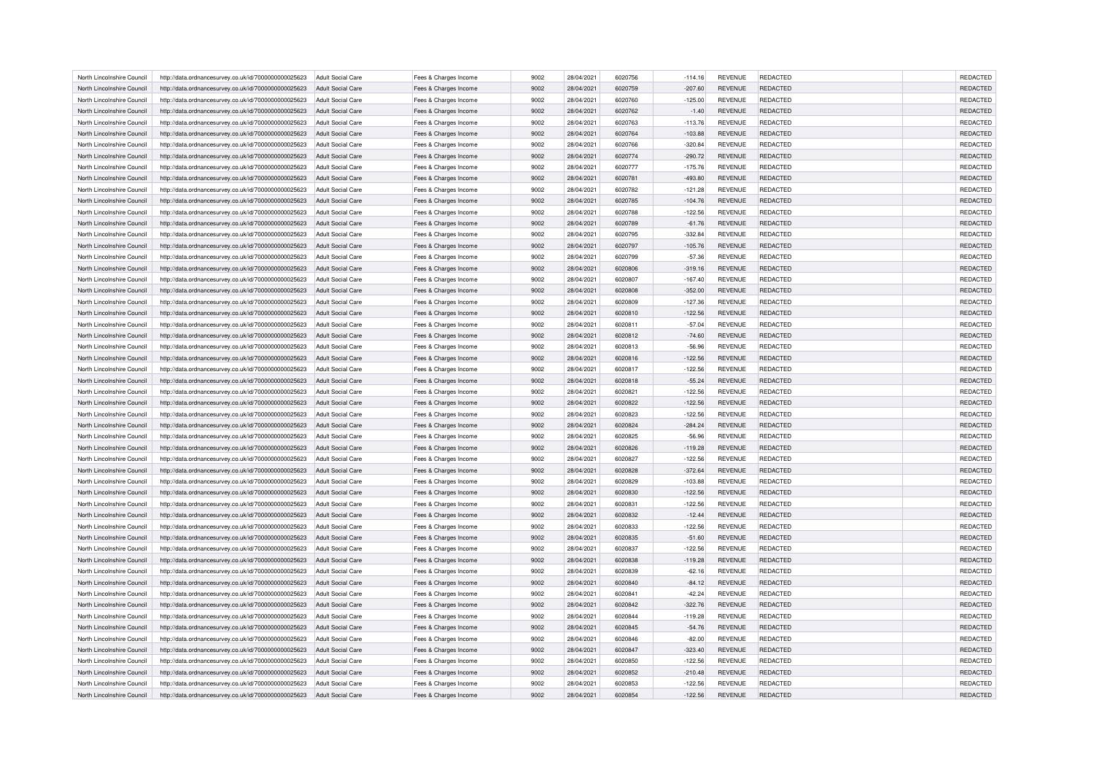| North Lincolnshire Council | http://data.ordnancesurvey.co.uk/id/7000000000025623 | <b>Adult Social Care</b> | Fees & Charges Income | 9002 | 28/04/2021 | 6020756 | $-114.16$ | <b>REVENUE</b> | <b>REDACTED</b> | <b>REDACTED</b> |
|----------------------------|------------------------------------------------------|--------------------------|-----------------------|------|------------|---------|-----------|----------------|-----------------|-----------------|
| North Lincolnshire Council | http://data.ordnancesurvey.co.uk/id/7000000000025623 | Adult Social Care        | Fees & Charges Income | 9002 | 28/04/2021 | 6020759 | $-207.60$ | <b>REVENUE</b> | <b>REDACTED</b> | <b>REDACTED</b> |
| North Lincolnshire Council | http://data.ordnancesurvey.co.uk/id/7000000000025623 | <b>Adult Social Care</b> | Fees & Charges Income | 9002 | 28/04/2021 | 6020760 | $-125.00$ | <b>REVENUE</b> | <b>REDACTED</b> | REDACTED        |
| North Lincolnshire Council | http://data.ordnancesurvey.co.uk/id/7000000000025623 | <b>Adult Social Care</b> | Fees & Charges Income | 9002 | 28/04/2021 | 6020762 | $-1.40$   | <b>REVENUE</b> | <b>REDACTED</b> | REDACTED        |
| North Lincolnshire Council | http://data.ordnancesurvey.co.uk/id/7000000000025623 | <b>Adult Social Care</b> | Fees & Charges Income | 9002 | 28/04/2021 | 6020763 | $-113.76$ | <b>REVENUE</b> | <b>REDACTED</b> | REDACTED        |
| North Lincolnshire Council | http://data.ordnancesurvey.co.uk/id/7000000000025623 | Adult Social Care        | Fees & Charges Income | 9002 | 28/04/2021 | 6020764 | $-103.88$ | <b>REVENUE</b> | <b>REDACTED</b> | REDACTED        |
| North Lincolnshire Council | http://data.ordnancesurvey.co.uk/id/7000000000025623 | <b>Adult Social Care</b> | Fees & Charges Income | 9002 | 28/04/2021 | 6020766 | $-320.84$ | <b>REVENUE</b> | REDACTED        | REDACTED        |
| North Lincolnshire Council | http://data.ordnancesurvey.co.uk/id/7000000000025623 | Adult Social Care        | Fees & Charges Income | 9002 | 28/04/2021 | 6020774 | $-290.72$ | <b>REVENUE</b> | <b>REDACTED</b> | REDACTED        |
| North Lincolnshire Council | http://data.ordnancesurvey.co.uk/id/7000000000025623 | Adult Social Care        | Fees & Charges Income | 9002 | 28/04/2021 | 6020777 | $-175.76$ | <b>REVENUE</b> | <b>REDACTED</b> | REDACTED        |
| North Lincolnshire Council | http://data.ordnancesurvey.co.uk/id/7000000000025623 | <b>Adult Social Care</b> | Fees & Charges Income | 9002 | 28/04/2021 | 6020781 | $-493.80$ | REVENUE        | REDACTED        | REDACTED        |
| North Lincolnshire Council | http://data.ordnancesurvey.co.uk/id/7000000000025623 | Adult Social Care        | Fees & Charges Income | 9002 | 28/04/2021 | 6020782 | $-121.28$ | <b>REVENUE</b> | <b>REDACTED</b> | REDACTED        |
| North Lincolnshire Council | http://data.ordnancesurvey.co.uk/id/7000000000025623 | Adult Social Care        | Fees & Charges Income | 9002 | 28/04/2021 | 6020785 | $-104.76$ | <b>REVENUE</b> | <b>REDACTED</b> | REDACTED        |
| North Lincolnshire Council | http://data.ordnancesurvey.co.uk/id/7000000000025623 | <b>Adult Social Care</b> | Fees & Charges Income | 9002 | 28/04/2021 | 6020788 | $-122.56$ | <b>REVENUE</b> | REDACTED        | <b>REDACTED</b> |
| North Lincolnshire Council | http://data.ordnancesurvey.co.uk/id/7000000000025623 | <b>Adult Social Care</b> | Fees & Charges Income | 9002 | 28/04/2021 | 6020789 | $-61.76$  | <b>REVENUE</b> | REDACTED        | REDACTED        |
| North Lincolnshire Council | http://data.ordnancesurvey.co.uk/id/7000000000025623 | Adult Social Care        | Fees & Charges Income | 9002 | 28/04/2021 | 6020795 | $-332.84$ | <b>REVENUE</b> | <b>REDACTED</b> | <b>REDACTED</b> |
| North Lincolnshire Council | http://data.ordnancesurvey.co.uk/id/7000000000025623 | <b>Adult Social Care</b> | Fees & Charges Income | 9002 | 28/04/2021 | 6020797 | $-105.76$ | <b>REVENUE</b> | <b>REDACTED</b> | REDACTED        |
| North Lincolnshire Council | http://data.ordnancesurvey.co.uk/id/7000000000025623 | <b>Adult Social Care</b> | Fees & Charges Income | 9002 | 28/04/2021 | 6020799 | $-57.36$  | <b>REVENUE</b> | REDACTED        | <b>REDACTED</b> |
|                            |                                                      |                          |                       |      |            |         |           |                |                 |                 |
| North Lincolnshire Council | http://data.ordnancesurvey.co.uk/id/7000000000025623 | <b>Adult Social Care</b> | Fees & Charges Income | 9002 | 28/04/2021 | 6020806 | $-319.16$ | REVENUE        | REDACTED        | REDACTED        |
| North Lincolnshire Council | http://data.ordnancesurvey.co.uk/id/7000000000025623 | <b>Adult Social Care</b> | Fees & Charges Income | 9002 | 28/04/2021 | 6020807 | $-167.40$ | <b>REVENUE</b> | <b>REDACTED</b> | <b>REDACTED</b> |
| North Lincolnshire Council | http://data.ordnancesurvey.co.uk/id/7000000000025623 | <b>Adult Social Care</b> | Fees & Charges Income | 9002 | 28/04/2021 | 6020808 | $-352.00$ | <b>REVENUE</b> | <b>REDACTED</b> | REDACTED        |
| North Lincolnshire Council | http://data.ordnancesurvey.co.uk/id/7000000000025623 | <b>Adult Social Care</b> | Fees & Charges Income | 9002 | 28/04/2021 | 6020809 | $-127.36$ | <b>REVENUE</b> | <b>REDACTED</b> | <b>REDACTED</b> |
| North Lincolnshire Council | http://data.ordnancesurvey.co.uk/id/7000000000025623 | <b>Adult Social Care</b> | Fees & Charges Income | 9002 | 28/04/2021 | 6020810 | $-122.56$ | <b>REVENUE</b> | <b>REDACTED</b> | REDACTED        |
| North Lincolnshire Council | http://data.ordnancesurvey.co.uk/id/7000000000025623 | <b>Adult Social Care</b> | Fees & Charges Income | 9002 | 28/04/2021 | 6020811 | $-57.04$  | <b>REVENUE</b> | <b>REDACTED</b> | <b>REDACTED</b> |
| North Lincolnshire Council | http://data.ordnancesurvey.co.uk/id/7000000000025623 | Adult Social Care        | Fees & Charges Income | 9002 | 28/04/2021 | 6020812 | $-74.60$  | <b>REVENUE</b> | <b>REDACTED</b> | REDACTED        |
| North Lincolnshire Council | http://data.ordnancesurvey.co.uk/id/7000000000025623 | <b>Adult Social Care</b> | Fees & Charges Income | 9002 | 28/04/2021 | 6020813 | $-56.96$  | <b>REVENUE</b> | REDACTED        | REDACTED        |
| North Lincolnshire Council | http://data.ordnancesurvey.co.uk/id/7000000000025623 | Adult Social Care        | Fees & Charges Income | 9002 | 28/04/2021 | 6020816 | $-122.56$ | <b>REVENUE</b> | <b>REDACTED</b> | REDACTED        |
| North Lincolnshire Council | http://data.ordnancesurvey.co.uk/id/7000000000025623 | Adult Social Care        | Fees & Charges Income | 9002 | 28/04/2021 | 6020817 | $-122.56$ | <b>REVENUE</b> | <b>REDACTED</b> | <b>REDACTED</b> |
| North Lincolnshire Council | http://data.ordnancesurvey.co.uk/id/7000000000025623 | <b>Adult Social Care</b> | Fees & Charges Income | 9002 | 28/04/2021 | 6020818 | $-55.24$  | REVENUE        | REDACTED        | REDACTED        |
| North Lincolnshire Council | http://data.ordnancesurvey.co.uk/id/7000000000025623 | Adult Social Care        | Fees & Charges Income | 9002 | 28/04/2021 | 6020821 | $-122.56$ | <b>REVENUE</b> | <b>REDACTED</b> | REDACTED        |
| North Lincolnshire Council | http://data.ordnancesurvey.co.uk/id/7000000000025623 | Adult Social Care        | Fees & Charges Income | 9002 | 28/04/2021 | 6020822 | $-122.56$ | <b>REVENUE</b> | <b>REDACTED</b> | REDACTED        |
| North Lincolnshire Council | http://data.ordnancesurvey.co.uk/id/7000000000025623 | <b>Adult Social Care</b> | Fees & Charges Income | 9002 | 28/04/2021 | 6020823 | $-122.56$ | REVENUE        | <b>REDACTED</b> | REDACTED        |
| North Lincolnshire Council | http://data.ordnancesurvey.co.uk/id/7000000000025623 | <b>Adult Social Care</b> | Fees & Charges Income | 9002 | 28/04/2021 | 6020824 | $-284.24$ | <b>REVENUE</b> | REDACTED        | REDACTED        |
| North Lincolnshire Council | http://data.ordnancesurvey.co.uk/id/7000000000025623 | Adult Social Care        | Fees & Charges Income | 9002 | 28/04/2021 | 6020825 | $-56.96$  | <b>REVENUE</b> | <b>REDACTED</b> | <b>REDACTED</b> |
| North Lincolnshire Council | http://data.ordnancesurvey.co.uk/id/7000000000025623 | Adult Social Care        | Fees & Charges Income | 9002 | 28/04/2021 | 6020826 | $-119.28$ | <b>REVENUE</b> | <b>REDACTED</b> | REDACTED        |
| North Lincolnshire Council | http://data.ordnancesurvey.co.uk/id/7000000000025623 | <b>Adult Social Care</b> |                       | 9002 | 28/04/2021 | 6020827 |           | <b>REVENUE</b> | REDACTED        |                 |
|                            |                                                      |                          | Fees & Charges Income |      |            |         | $-122.56$ |                |                 | REDACTED        |
| North Lincolnshire Council | http://data.ordnancesurvey.co.uk/id/7000000000025623 | <b>Adult Social Care</b> | Fees & Charges Income | 9002 | 28/04/2021 | 6020828 | $-372.64$ | <b>REVENUE</b> | <b>REDACTED</b> | REDACTED        |
| North Lincolnshire Council | http://data.ordnancesurvey.co.uk/id/7000000000025623 | <b>Adult Social Care</b> | Fees & Charges Income | 9002 | 28/04/2021 | 6020829 | $-103.88$ | <b>REVENUE</b> | <b>REDACTED</b> | <b>REDACTED</b> |
| North Lincolnshire Council | http://data.ordnancesurvey.co.uk/id/7000000000025623 | <b>Adult Social Care</b> | Fees & Charges Income | 9002 | 28/04/2021 | 6020830 | $-122.56$ | <b>REVENUE</b> | <b>REDACTED</b> | REDACTED        |
| North Lincolnshire Council | http://data.ordnancesurvey.co.uk/id/7000000000025623 | <b>Adult Social Care</b> | Fees & Charges Income | 9002 | 28/04/2021 | 6020831 | $-122.56$ | <b>REVENUE</b> | <b>REDACTED</b> | <b>REDACTED</b> |
| North Lincolnshire Council | http://data.ordnancesurvey.co.uk/id/7000000000025623 | <b>Adult Social Care</b> | Fees & Charges Income | 9002 | 28/04/2021 | 6020832 | $-12.44$  | <b>REVENUE</b> | <b>REDACTED</b> | REDACTED        |
| North Lincolnshire Council | http://data.ordnancesurvey.co.uk/id/7000000000025623 | <b>Adult Social Care</b> | Fees & Charges Income | 9002 | 28/04/2021 | 6020833 | $-122.56$ | <b>REVENUE</b> | <b>REDACTED</b> | <b>REDACTED</b> |
| North Lincolnshire Council | http://data.ordnancesurvey.co.uk/id/7000000000025623 | Adult Social Care        | Fees & Charges Income | 9002 | 28/04/2021 | 6020835 | $-51.60$  | <b>REVENUE</b> | <b>REDACTED</b> | REDACTED        |
| North Lincolnshire Council | http://data.ordnancesurvey.co.uk/id/7000000000025623 | <b>Adult Social Care</b> | Fees & Charges Income | 9002 | 28/04/2021 | 6020837 | $-122.56$ | <b>REVENUE</b> | REDACTED        | REDACTED        |
| North Lincolnshire Council | http://data.ordnancesurvey.co.uk/id/7000000000025623 | Adult Social Care        | Fees & Charges Income | 9002 | 28/04/2021 | 6020838 | $-119.28$ | <b>REVENUE</b> | <b>REDACTED</b> | <b>REDACTED</b> |
| North Lincolnshire Council | http://data.ordnancesurvey.co.uk/id/7000000000025623 | Adult Social Care        | Fees & Charges Income | 9002 | 28/04/2021 | 6020839 | $-62.16$  | <b>REVENUE</b> | REDACTED        | <b>REDACTED</b> |
| North Lincolnshire Council | http://data.ordnancesurvey.co.uk/id/7000000000025623 | <b>Adult Social Care</b> | Fees & Charges Income | 9002 | 28/04/2021 | 6020840 | $-84.12$  | REVENUE        | REDACTED        | REDACTED        |
| North Lincolnshire Council | http://data.ordnancesurvey.co.uk/id/7000000000025623 | Adult Social Care        | Fees & Charges Income | 9002 | 28/04/2021 | 6020841 | $-42.24$  | <b>REVENUE</b> | <b>REDACTED</b> | REDACTED        |
| North Lincolnshire Council | http://data.ordnancesurvey.co.uk/id/7000000000025623 | Adult Social Care        | Fees & Charges Income | 9002 | 28/04/2021 | 6020842 | $-322.76$ | <b>REVENUE</b> | <b>REDACTED</b> | <b>REDACTED</b> |
| North Lincolnshire Council | http://data.ordnancesurvey.co.uk/id/7000000000025623 | <b>Adult Social Care</b> | Fees & Charges Income | 9002 | 28/04/2021 | 6020844 | $-119.28$ | <b>REVENUE</b> | <b>REDACTED</b> | <b>REDACTED</b> |
| North Lincolnshire Council | http://data.ordnancesurvey.co.uk/id/7000000000025623 | Adult Social Care        | Fees & Charges Income | 9002 | 28/04/2021 | 6020845 | $-54.76$  | <b>REVENUE</b> | <b>REDACTED</b> | REDACTED        |
| North Lincolnshire Council | http://data.ordnancesurvey.co.uk/id/7000000000025623 | Adult Social Care        | Fees & Charges Income | 9002 | 28/04/2021 | 6020846 | $-82.00$  | <b>REVENUE</b> | <b>REDACTED</b> | <b>REDACTED</b> |
| North Lincolnshire Council | http://data.ordnancesurvey.co.uk/id/7000000000025623 | Adult Social Care        | Fees & Charges Income | 9002 | 28/04/2021 | 6020847 | $-323.40$ | <b>REVENUE</b> | <b>REDACTED</b> | <b>REDACTED</b> |
| North Lincolnshire Council | http://data.ordnancesurvey.co.uk/id/7000000000025623 | Adult Social Care        | Fees & Charges Income | 9002 | 28/04/2021 | 6020850 | $-122.56$ | <b>REVENUE</b> | REDACTED        | REDACTED        |
| North Lincolnshire Council |                                                      | <b>Adult Social Care</b> |                       | 9002 | 28/04/2021 | 6020852 | $-210.48$ | <b>REVENUE</b> | <b>REDACTED</b> | <b>REDACTED</b> |
|                            | http://data.ordnancesurvey.co.uk/id/7000000000025623 |                          | Fees & Charges Income | 9002 |            | 6020853 |           |                |                 |                 |
| North Lincolnshire Council | http://data.ordnancesurvey.co.uk/id/7000000000025623 | <b>Adult Social Care</b> | Fees & Charges Income |      | 28/04/2021 |         | $-122.56$ | <b>REVENUE</b> | <b>REDACTED</b> | <b>REDACTED</b> |
| North Lincolnshire Council | http://data.ordnancesurvey.co.uk/id/7000000000025623 | Adult Social Care        | Fees & Charges Income | 9002 | 28/04/2021 | 6020854 | $-122.56$ | <b>REVENUE</b> | <b>REDACTED</b> | <b>REDACTED</b> |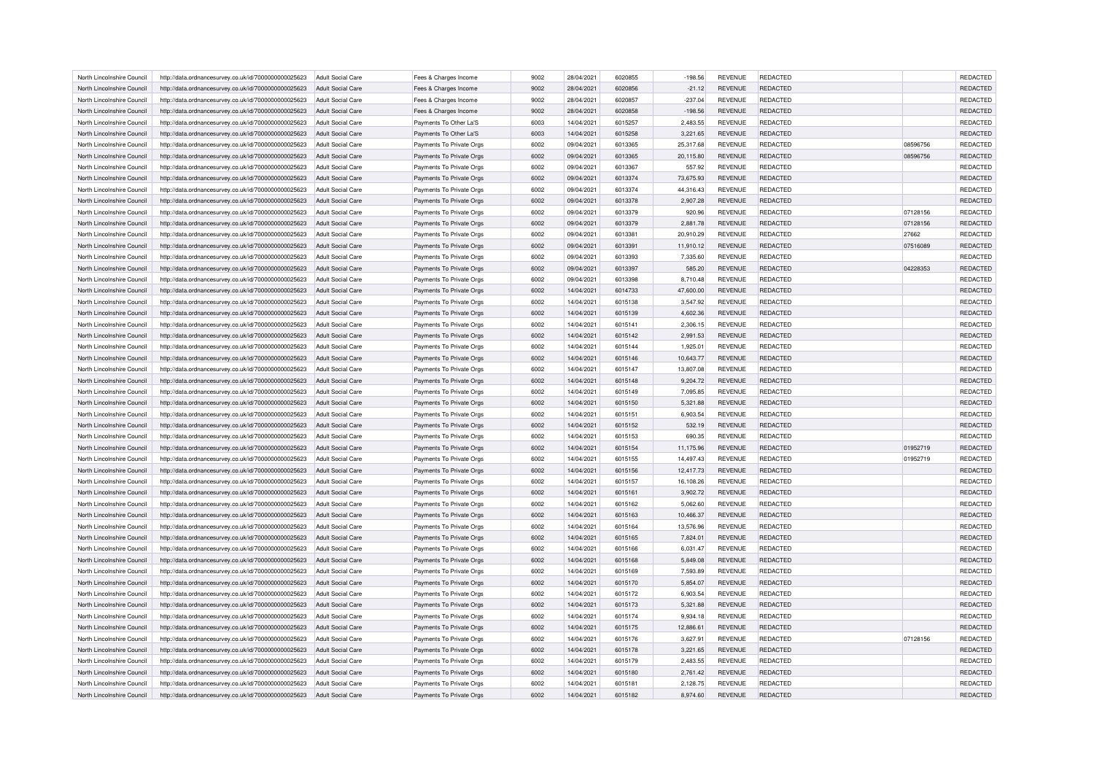| North Lincolnshire Council | http://data.ordnancesurvey.co.uk/id/7000000000025623 | Adult Social Care        | Fees & Charges Income    | 9002 | 28/04/2021 | 6020855 | $-198.56$ | <b>REVENUE</b> | <b>REDACTED</b> |          | <b>REDACTED</b> |
|----------------------------|------------------------------------------------------|--------------------------|--------------------------|------|------------|---------|-----------|----------------|-----------------|----------|-----------------|
| North Lincolnshire Council | http://data.ordnancesurvey.co.uk/id/7000000000025623 | Adult Social Care        | Fees & Charges Income    | 9002 | 28/04/2021 | 6020856 | $-21.12$  | <b>REVENUE</b> | <b>REDACTED</b> |          | REDACTED        |
| North Lincolnshire Council | http://data.ordnancesurvey.co.uk/id/7000000000025623 | Adult Social Care        | Fees & Charges Income    | 9002 | 28/04/2021 | 6020857 | $-237.04$ | <b>REVENUE</b> | <b>REDACTED</b> |          | REDACTED        |
| North Lincolnshire Council | http://data.ordnancesurvey.co.uk/id/7000000000025623 | Adult Social Care        | Fees & Charges Income    | 9002 | 28/04/2021 | 6020858 | $-198.56$ | <b>REVENUE</b> | <b>REDACTED</b> |          | REDACTED        |
| North Lincolnshire Council | http://data.ordnancesurvey.co.uk/id/7000000000025623 | Adult Social Care        | Payments To Other La'S   | 6003 | 14/04/2021 | 6015257 | 2,483.55  | <b>REVENUE</b> | REDACTED        |          | REDACTED        |
| North Lincolnshire Council | http://data.ordnancesurvey.co.uk/id/7000000000025623 | Adult Social Care        | Payments To Other La'S   | 6003 | 14/04/2021 | 6015258 | 3,221.65  | <b>REVENUE</b> | <b>REDACTED</b> |          | REDACTED        |
| North Lincolnshire Council | http://data.ordnancesurvey.co.uk/id/7000000000025623 | <b>Adult Social Care</b> | Payments To Private Orgs | 6002 | 09/04/2021 | 6013365 | 25,317.68 | <b>REVENUE</b> | <b>REDACTED</b> | 08596756 | <b>REDACTED</b> |
| North Lincolnshire Council | http://data.ordnancesurvey.co.uk/id/7000000000025623 | Adult Social Care        | Payments To Private Orgs | 6002 | 09/04/2021 | 6013365 | 20,115.80 | <b>REVENUE</b> | <b>REDACTED</b> | 08596756 | REDACTED        |
| North Lincolnshire Council | http://data.ordnancesurvey.co.uk/id/7000000000025623 | <b>Adult Social Care</b> | Payments To Private Orgs | 6002 | 09/04/2021 | 6013367 | 557.92    | <b>REVENUE</b> | <b>REDACTED</b> |          | <b>REDACTED</b> |
| North Lincolnshire Council | http://data.ordnancesurvey.co.uk/id/7000000000025623 | <b>Adult Social Care</b> | Payments To Private Orgs | 6002 | 09/04/2021 | 6013374 | 73,675.93 | <b>REVENUE</b> | <b>REDACTED</b> |          | REDACTED        |
| North Lincolnshire Council | http://data.ordnancesurvey.co.uk/id/7000000000025623 | Adult Social Care        | Payments To Private Orgs | 6002 | 09/04/2021 | 6013374 | 44,316.43 | <b>REVENUE</b> | REDACTED        |          | <b>REDACTED</b> |
| North Lincolnshire Council | http://data.ordnancesurvey.co.uk/id/7000000000025623 | Adult Social Care        | Payments To Private Orgs | 6002 | 09/04/2021 | 6013378 | 2,907.28  | <b>REVENUE</b> | <b>REDACTED</b> |          | REDACTED        |
| North Lincolnshire Council | http://data.ordnancesurvey.co.uk/id/7000000000025623 | <b>Adult Social Care</b> | Payments To Private Orgs | 6002 | 09/04/2021 | 6013379 | 920.96    | <b>REVENUE</b> | <b>REDACTED</b> | 07128156 | <b>REDACTED</b> |
| North Lincolnshire Council | http://data.ordnancesurvey.co.uk/id/7000000000025623 | Adult Social Care        | Payments To Private Orgs | 6002 | 09/04/2021 | 6013379 | 2,881.78  | <b>REVENUE</b> | <b>REDACTED</b> | 07128156 | REDACTED        |
| North Lincolnshire Council | http://data.ordnancesurvey.co.uk/id/7000000000025623 | Adult Social Care        | Payments To Private Orgs | 6002 | 09/04/2021 | 6013381 | 20,910.29 | <b>REVENUE</b> | <b>REDACTED</b> | 27662    | <b>REDACTED</b> |
|                            |                                                      |                          |                          |      |            |         |           |                |                 |          |                 |
| North Lincolnshire Council | http://data.ordnancesurvey.co.uk/id/7000000000025623 | <b>Adult Social Care</b> | Payments To Private Orgs | 6002 | 09/04/2021 | 6013391 | 11,910.12 | <b>REVENUE</b> | <b>REDACTED</b> | 07516089 | REDACTED        |
| North Lincolnshire Council | http://data.ordnancesurvey.co.uk/id/7000000000025623 | <b>Adult Social Care</b> | Payments To Private Orgs | 6002 | 09/04/2021 | 6013393 | 7,335.60  | <b>REVENUE</b> | REDACTED        |          | REDACTED        |
| North Lincolnshire Council | http://data.ordnancesurvey.co.uk/id/7000000000025623 | <b>Adult Social Care</b> | Payments To Private Orgs | 6002 | 09/04/2021 | 6013397 | 585.20    | <b>REVENUE</b> | <b>REDACTED</b> | 04228353 | <b>REDACTED</b> |
| North Lincolnshire Council | http://data.ordnancesurvey.co.uk/id/7000000000025623 | <b>Adult Social Care</b> | Payments To Private Orgs | 6002 | 09/04/2021 | 6013398 | 8,710.48  | REVENUE        | REDACTED        |          | REDACTED        |
| North Lincolnshire Council | http://data.ordnancesurvey.co.uk/id/7000000000025623 | Adult Social Care        | Payments To Private Orgs | 6002 | 14/04/2021 | 6014733 | 47,600.00 | <b>REVENUE</b> | REDACTED        |          | REDACTED        |
| North Lincolnshire Council | http://data.ordnancesurvey.co.uk/id/7000000000025623 | Adult Social Care        | Payments To Private Orgs | 6002 | 14/04/2021 | 6015138 | 3,547.92  | <b>REVENUE</b> | <b>REDACTED</b> |          | <b>REDACTED</b> |
| North Lincolnshire Council | http://data.ordnancesurvey.co.uk/id/7000000000025623 | Adult Social Care        | Payments To Private Orgs | 6002 | 14/04/2021 | 6015139 | 4,602.36  | <b>REVENUE</b> | REDACTED        |          | REDACTED        |
| North Lincolnshire Council | http://data.ordnancesurvey.co.uk/id/7000000000025623 | <b>Adult Social Care</b> | Payments To Private Orgs | 6002 | 14/04/2021 | 6015141 | 2,306.15  | <b>REVENUE</b> | REDACTED        |          | REDACTED        |
| North Lincolnshire Council | http://data.ordnancesurvey.co.uk/id/7000000000025623 | Adult Social Care        | Payments To Private Orgs | 6002 | 14/04/2021 | 6015142 | 2.991.53  | <b>REVENUE</b> | <b>REDACTED</b> |          | <b>REDACTED</b> |
| North Lincolnshire Council | http://data.ordnancesurvey.co.uk/id/7000000000025623 | <b>Adult Social Care</b> | Payments To Private Orgs | 6002 | 14/04/2021 | 6015144 | 1,925.01  | <b>REVENUE</b> | <b>REDACTED</b> |          | <b>REDACTED</b> |
| North Lincolnshire Council | http://data.ordnancesurvey.co.uk/id/7000000000025623 | Adult Social Care        | Payments To Private Orgs | 6002 | 14/04/2021 | 6015146 | 10,643.77 | <b>REVENUE</b> | REDACTED        |          | REDACTED        |
| North Lincolnshire Council | http://data.ordnancesurvey.co.uk/id/7000000000025623 | Adult Social Care        | Payments To Private Orgs | 6002 | 14/04/2021 | 6015147 | 13,807.08 | <b>REVENUE</b> | <b>REDACTED</b> |          | REDACTED        |
| North Lincolnshire Council | http://data.ordnancesurvey.co.uk/id/7000000000025623 | Adult Social Care        | Payments To Private Orgs | 6002 | 14/04/2021 | 6015148 | 9,204.72  | <b>REVENUE</b> | REDACTED        |          | REDACTED        |
| North Lincolnshire Council | http://data.ordnancesurvey.co.uk/id/7000000000025623 | Adult Social Care        | Payments To Private Orgs | 6002 | 14/04/2021 | 6015149 | 7,095.85  | <b>REVENUE</b> | REDACTED        |          | REDACTED        |
| North Lincolnshire Council | http://data.ordnancesurvey.co.uk/id/7000000000025623 | Adult Social Care        | Payments To Private Orgs | 6002 | 14/04/2021 | 6015150 | 5,321.88  | <b>REVENUE</b> | <b>REDACTED</b> |          | REDACTED        |
| North Lincolnshire Council | http://data.ordnancesurvey.co.uk/id/7000000000025623 | <b>Adult Social Care</b> | Payments To Private Orgs | 6002 | 14/04/2021 | 6015151 | 6,903.54  | <b>REVENUE</b> | <b>REDACTED</b> |          | <b>REDACTED</b> |
| North Lincolnshire Council | http://data.ordnancesurvey.co.uk/id/7000000000025623 | Adult Social Care        | Payments To Private Orgs | 6002 | 14/04/2021 | 6015152 | 532.19    | <b>REVENUE</b> | REDACTED        |          | REDACTED        |
| North Lincolnshire Council | http://data.ordnancesurvey.co.uk/id/7000000000025623 | <b>Adult Social Care</b> | Payments To Private Orgs | 6002 | 14/04/2021 | 6015153 | 690.35    | <b>REVENUE</b> | <b>REDACTED</b> |          | <b>REDACTED</b> |
| North Lincolnshire Council | http://data.ordnancesurvey.co.uk/id/7000000000025623 | Adult Social Care        | Payments To Private Orgs | 6002 | 14/04/2021 | 6015154 | 11,175.96 | <b>REVENUE</b> | <b>REDACTED</b> | 01952719 | REDACTED        |
| North Lincolnshire Council | http://data.ordnancesurvey.co.uk/id/7000000000025623 | Adult Social Care        | Payments To Private Orgs | 6002 | 14/04/2021 | 6015155 | 14,497.43 | <b>REVENUE</b> | <b>REDACTED</b> | 01952719 | <b>REDACTED</b> |
| North Lincolnshire Council | http://data.ordnancesurvey.co.uk/id/7000000000025623 | Adult Social Care        | Payments To Private Orgs | 6002 | 14/04/2021 | 6015156 | 12,417.73 | <b>REVENUE</b> | <b>REDACTED</b> |          | REDACTED        |
| North Lincolnshire Council | http://data.ordnancesurvey.co.uk/id/7000000000025623 | <b>Adult Social Care</b> | Payments To Private Orgs | 6002 | 14/04/2021 | 6015157 | 16,108.26 | REVENUE        | REDACTED        |          | REDACTED        |
| North Lincolnshire Council | http://data.ordnancesurvey.co.uk/id/7000000000025623 | Adult Social Care        | Payments To Private Orgs | 6002 | 14/04/2021 | 6015161 | 3,902.72  | <b>REVENUE</b> | <b>REDACTED</b> |          | REDACTED        |
| North Lincolnshire Council | http://data.ordnancesurvey.co.uk/id/7000000000025623 | <b>Adult Social Care</b> | Payments To Private Orgs | 6002 | 14/04/2021 | 6015162 | 5,062.60  | <b>REVENUE</b> | REDACTED        |          | <b>REDACTED</b> |
| North Lincolnshire Council | http://data.ordnancesurvey.co.uk/id/7000000000025623 | <b>Adult Social Care</b> | Payments To Private Orgs | 6002 | 14/04/2021 | 6015163 | 10,466.37 | <b>REVENUE</b> | <b>REDACTED</b> |          | REDACTED        |
| North Lincolnshire Council | http://data.ordnancesurvey.co.uk/id/7000000000025623 | <b>Adult Social Care</b> | Payments To Private Orgs | 6002 | 14/04/2021 | 6015164 | 13,576.96 | <b>REVENUE</b> | <b>REDACTED</b> |          | <b>REDACTED</b> |
| North Lincolnshire Council | http://data.ordnancesurvey.co.uk/id/7000000000025623 | Adult Social Care        | Payments To Private Orgs | 6002 | 14/04/2021 | 6015165 | 7,824.01  | <b>REVENUE</b> | <b>REDACTED</b> |          | REDACTED        |
| North Lincolnshire Council | http://data.ordnancesurvey.co.uk/id/7000000000025623 | <b>Adult Social Care</b> | Payments To Private Orgs | 6002 | 14/04/2021 | 6015166 | 6,031.47  | REVENUE        | REDACTED        |          | REDACTED        |
| North Lincolnshire Council | http://data.ordnancesurvey.co.uk/id/7000000000025623 | Adult Social Care        | Payments To Private Orgs | 6002 | 14/04/2021 | 6015168 | 5,849.08  | <b>REVENUE</b> | <b>REDACTED</b> |          | REDACTED        |
| North Lincolnshire Council | http://data.ordnancesurvey.co.uk/id/7000000000025623 | Adult Social Care        | Payments To Private Orgs | 6002 | 14/04/2021 | 6015169 | 7.593.89  | <b>REVENUE</b> | <b>REDACTED</b> |          | <b>REDACTED</b> |
| North Lincolnshire Council | http://data.ordnancesurvey.co.uk/id/7000000000025623 | Adult Social Care        | Payments To Private Orgs | 6002 | 14/04/2021 | 6015170 | 5,854.07  | <b>REVENUE</b> | REDACTED        |          | REDACTED        |
| North Lincolnshire Council | http://data.ordnancesurvey.co.uk/id/7000000000025623 | Adult Social Care        | Payments To Private Orgs | 6002 | 14/04/2021 | 6015172 | 6,903.54  | <b>REVENUE</b> | <b>REDACTED</b> |          | REDACTED        |
| North Lincolnshire Council | http://data.ordnancesurvey.co.uk/id/7000000000025623 | Adult Social Care        | Payments To Private Orgs | 6002 | 14/04/2021 | 6015173 | 5,321.88  | <b>REVENUE</b> | <b>REDACTED</b> |          | REDACTED        |
| North Lincolnshire Council | http://data.ordnancesurvey.co.uk/id/7000000000025623 | <b>Adult Social Care</b> | Payments To Private Orgs | 6002 | 14/04/2021 | 6015174 | 9,934.18  | <b>REVENUE</b> | <b>REDACTED</b> |          | REDACTED        |
| North Lincolnshire Council | http://data.ordnancesurvey.co.uk/id/7000000000025623 | Adult Social Care        | Payments To Private Orgs | 6002 | 14/04/2021 | 6015175 | 12,886.61 | <b>REVENUE</b> | REDACTED        |          | REDACTED        |
| North Lincolnshire Council | http://data.ordnancesurvey.co.uk/id/7000000000025623 | Adult Social Care        | Payments To Private Orgs | 6002 | 14/04/2021 | 6015176 | 3.627.91  | <b>REVENUE</b> | <b>REDACTED</b> | 07128156 | REDACTED        |
| North Lincolnshire Council | http://data.ordnancesurvey.co.uk/id/7000000000025623 | Adult Social Care        | Payments To Private Orgs | 6002 | 14/04/2021 | 6015178 | 3,221.65  | <b>REVENUE</b> | REDACTED        |          | REDACTED        |
| North Lincolnshire Council | http://data.ordnancesurvey.co.uk/id/7000000000025623 | Adult Social Care        | Payments To Private Orgs | 6002 | 14/04/2021 | 6015179 | 2,483.55  | <b>REVENUE</b> | <b>REDACTED</b> |          | REDACTED        |
| North Lincolnshire Council | http://data.ordnancesurvey.co.uk/id/7000000000025623 | <b>Adult Social Care</b> | Payments To Private Orgs | 6002 | 14/04/2021 | 6015180 | 2,761.42  | <b>REVENUE</b> | <b>REDACTED</b> |          | REDACTED        |
| North Lincolnshire Council | http://data.ordnancesurvey.co.uk/id/7000000000025623 | <b>Adult Social Care</b> | Payments To Private Orgs | 6002 | 14/04/2021 | 6015181 | 2,128.75  | <b>REVENUE</b> | <b>REDACTED</b> |          | REDACTED        |
| North Lincolnshire Council | http://data.ordnancesurvey.co.uk/id/7000000000025623 | <b>Adult Social Care</b> | Payments To Private Orgs | 6002 | 14/04/2021 | 6015182 | 8,974.60  | <b>REVENUE</b> | <b>REDACTED</b> |          | <b>REDACTED</b> |
|                            |                                                      |                          |                          |      |            |         |           |                |                 |          |                 |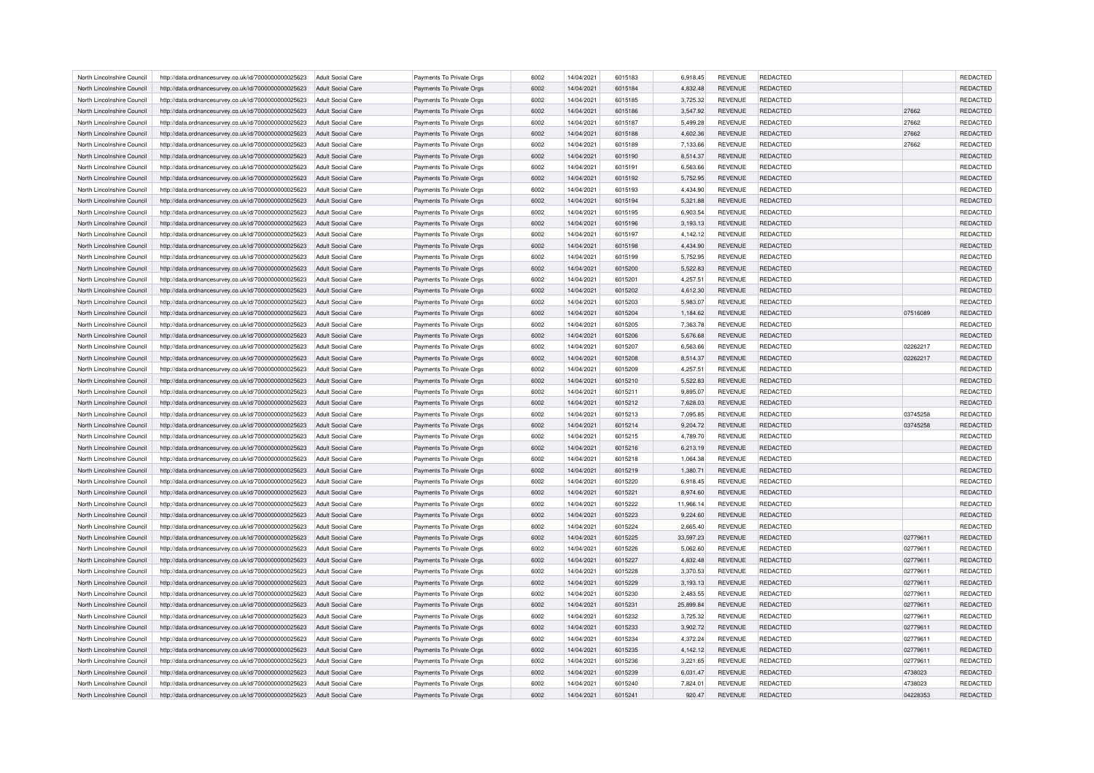| North Lincolnshire Council | http://data.ordnancesurvey.co.uk/id/7000000000025623 | Adult Social Care        | Payments To Private Orgs | 6002 | 14/04/2021 | 6015183 | 6,918.45  | <b>REVENUE</b> | <b>REDACTED</b> |          | <b>REDACTED</b> |
|----------------------------|------------------------------------------------------|--------------------------|--------------------------|------|------------|---------|-----------|----------------|-----------------|----------|-----------------|
| North Lincolnshire Council | http://data.ordnancesurvey.co.uk/id/7000000000025623 | Adult Social Care        | Payments To Private Orgs | 6002 | 14/04/2021 | 6015184 | 4,832.48  | <b>REVENUE</b> | <b>REDACTED</b> |          | <b>REDACTED</b> |
| North Lincolnshire Council | http://data.ordnancesurvey.co.uk/id/7000000000025623 | Adult Social Care        | Payments To Private Orgs | 6002 | 14/04/2021 | 6015185 | 3,725.32  | <b>REVENUE</b> | <b>REDACTED</b> |          | <b>REDACTED</b> |
| North Lincolnshire Council | http://data.ordnancesurvey.co.uk/id/7000000000025623 | Adult Social Care        | Payments To Private Orgs | 6002 | 14/04/2021 | 6015186 | 3,547.92  | <b>REVENUE</b> | <b>REDACTED</b> | 27662    | REDACTED        |
| North Lincolnshire Council | http://data.ordnancesurvey.co.uk/id/7000000000025623 | <b>Adult Social Care</b> | Payments To Private Orgs | 6002 | 14/04/2021 | 6015187 | 5,499.28  | <b>REVENUE</b> | <b>REDACTED</b> | 27662    | <b>REDACTED</b> |
| North Lincolnshire Council | http://data.ordnancesurvey.co.uk/id/7000000000025623 | Adult Social Care        | Payments To Private Orgs | 6002 | 14/04/2021 | 6015188 | 4,602.36  | <b>REVENUE</b> | <b>REDACTED</b> | 27662    | REDACTED        |
| North Lincolnshire Council | http://data.ordnancesurvey.co.uk/id/7000000000025623 | <b>Adult Social Care</b> | Payments To Private Orgs | 6002 | 14/04/2021 | 6015189 | 7,133.66  | <b>REVENUE</b> | REDACTED        | 27662    | REDACTED        |
| North Lincolnshire Council | http://data.ordnancesurvey.co.uk/id/7000000000025623 | Adult Social Care        | Payments To Private Orgs | 6002 | 14/04/2021 | 6015190 | 8,514.37  | <b>REVENUE</b> | <b>REDACTED</b> |          | REDACTED        |
| North Lincolnshire Council | http://data.ordnancesurvey.co.uk/id/7000000000025623 | Adult Social Care        | Payments To Private Orgs | 6002 | 14/04/2021 | 6015191 | 6,563.66  | <b>REVENUE</b> | <b>REDACTED</b> |          | <b>REDACTED</b> |
| North Lincolnshire Council |                                                      |                          |                          | 6002 | 14/04/2021 | 6015192 |           |                | REDACTED        |          | REDACTED        |
|                            | http://data.ordnancesurvey.co.uk/id/7000000000025623 | <b>Adult Social Care</b> | Payments To Private Orgs |      |            |         | 5,752.95  | <b>REVENUE</b> |                 |          |                 |
| North Lincolnshire Council | http://data.ordnancesurvey.co.uk/id/7000000000025623 | <b>Adult Social Care</b> | Payments To Private Orgs | 6002 | 14/04/2021 | 6015193 | 4,434.90  | <b>REVENUE</b> | <b>REDACTED</b> |          | <b>REDACTED</b> |
| North Lincolnshire Council | http://data.ordnancesurvey.co.uk/id/7000000000025623 | Adult Social Care        | Payments To Private Orgs | 6002 | 14/04/2021 | 6015194 | 5,321.88  | <b>REVENUE</b> | <b>REDACTED</b> |          | REDACTED        |
| North Lincolnshire Council | http://data.ordnancesurvey.co.uk/id/7000000000025623 | <b>Adult Social Care</b> | Payments To Private Orgs | 6002 | 14/04/2021 | 6015195 | 6,903.54  | <b>REVENUE</b> | REDACTED        |          | REDACTED        |
| North Lincolnshire Council | http://data.ordnancesurvey.co.uk/id/7000000000025623 | Adult Social Care        | Payments To Private Orgs | 6002 | 14/04/2021 | 6015196 | 3,193.13  | <b>REVENUE</b> | <b>REDACTED</b> |          | REDACTED        |
| North Lincolnshire Council | http://data.ordnancesurvey.co.uk/id/7000000000025623 | <b>Adult Social Care</b> | Payments To Private Orgs | 6002 | 14/04/2021 | 6015197 | 4,142.12  | <b>REVENUE</b> | <b>REDACTED</b> |          | <b>REDACTED</b> |
| North Lincolnshire Council | http://data.ordnancesurvey.co.uk/id/7000000000025623 | <b>Adult Social Care</b> | Payments To Private Orgs | 6002 | 14/04/2021 | 6015198 | 4,434.90  | <b>REVENUE</b> | <b>REDACTED</b> |          | <b>REDACTED</b> |
| North Lincolnshire Council | http://data.ordnancesurvey.co.uk/id/7000000000025623 | <b>Adult Social Care</b> | Payments To Private Orgs | 6002 | 14/04/2021 | 6015199 | 5,752.95  | <b>REVENUE</b> | REDACTED        |          | <b>REDACTED</b> |
| North Lincolnshire Council | http://data.ordnancesurvey.co.uk/id/7000000000025623 | Adult Social Care        | Payments To Private Orgs | 6002 | 14/04/2021 | 6015200 | 5,522.83  | <b>REVENUE</b> | REDACTED        |          | REDACTED        |
| North Lincolnshire Council | http://data.ordnancesurvey.co.uk/id/7000000000025623 | <b>Adult Social Care</b> | Payments To Private Orgs | 6002 | 14/04/2021 | 6015201 | 4,257.51  | <b>REVENUE</b> | <b>REDACTED</b> |          | REDACTED        |
| North Lincolnshire Council | http://data.ordnancesurvey.co.uk/id/7000000000025623 | Adult Social Care        | Payments To Private Orgs | 6002 | 14/04/2021 | 6015202 | 4,612.30  | <b>REVENUE</b> | <b>REDACTED</b> |          | REDACTED        |
| North Lincolnshire Council | http://data.ordnancesurvey.co.uk/id/7000000000025623 | Adult Social Care        | Payments To Private Orgs | 6002 | 14/04/2021 | 6015203 | 5,983.07  | <b>REVENUE</b> | <b>REDACTED</b> |          | REDACTED        |
| North Lincolnshire Council | http://data.ordnancesurvey.co.uk/id/7000000000025623 | <b>Adult Social Care</b> | Payments To Private Orgs | 6002 | 14/04/2021 | 6015204 | 1,184.62  | <b>REVENUE</b> | <b>REDACTED</b> | 07516089 | REDACTED        |
|                            |                                                      |                          |                          |      | 14/04/2021 | 6015205 |           | <b>REVENUE</b> | <b>REDACTED</b> |          | REDACTED        |
| North Lincolnshire Council | http://data.ordnancesurvey.co.uk/id/7000000000025623 | <b>Adult Social Care</b> | Payments To Private Orgs | 6002 |            |         | 7,363.78  |                |                 |          |                 |
| North Lincolnshire Council | http://data.ordnancesurvey.co.uk/id/7000000000025623 | Adult Social Care        | Payments To Private Orgs | 6002 | 14/04/2021 | 6015206 | 5,676.68  | <b>REVENUE</b> | <b>REDACTED</b> |          | REDACTED        |
| North Lincolnshire Council | http://data.ordnancesurvey.co.uk/id/7000000000025623 | <b>Adult Social Care</b> | Payments To Private Orgs | 6002 | 14/04/2021 | 6015207 | 6,563.66  | <b>REVENUE</b> | REDACTED        | 02262217 | REDACTED        |
| North Lincolnshire Council | http://data.ordnancesurvey.co.uk/id/7000000000025623 | Adult Social Care        | Payments To Private Orgs | 6002 | 14/04/2021 | 6015208 | 8,514.37  | <b>REVENUE</b> | <b>REDACTED</b> | 02262217 | REDACTED        |
| North Lincolnshire Council | http://data.ordnancesurvey.co.uk/id/7000000000025623 | Adult Social Care        | Payments To Private Orgs | 6002 | 14/04/2021 | 6015209 | 4,257.51  | <b>REVENUE</b> | <b>REDACTED</b> |          | REDACTED        |
| North Lincolnshire Council | http://data.ordnancesurvey.co.uk/id/7000000000025623 | Adult Social Care        | Payments To Private Orgs | 6002 | 14/04/2021 | 6015210 | 5,522.83  | <b>REVENUE</b> | REDACTED        |          | REDACTED        |
| North Lincolnshire Council | http://data.ordnancesurvey.co.uk/id/7000000000025623 | <b>Adult Social Care</b> | Payments To Private Orgs | 6002 | 14/04/2021 | 6015211 | 9,895.07  | <b>REVENUE</b> | <b>REDACTED</b> |          | REDACTED        |
| North Lincolnshire Council | http://data.ordnancesurvey.co.uk/id/7000000000025623 | Adult Social Care        | Payments To Private Orgs | 6002 | 14/04/2021 | 6015212 | 7,628.03  | <b>REVENUE</b> | <b>REDACTED</b> |          | REDACTED        |
| North Lincolnshire Council | http://data.ordnancesurvey.co.uk/id/7000000000025623 | <b>Adult Social Care</b> | Payments To Private Orgs | 6002 | 14/04/2021 | 6015213 | 7,095.85  | <b>REVENUE</b> | REDACTED        | 03745258 | REDACTED        |
| North Lincolnshire Council | http://data.ordnancesurvey.co.uk/id/7000000000025623 | Adult Social Care        | Payments To Private Orgs | 6002 | 14/04/2021 | 6015214 | 9,204.72  | <b>REVENUE</b> | <b>REDACTED</b> | 03745258 | REDACTED        |
| North Lincolnshire Council | http://data.ordnancesurvey.co.uk/id/7000000000025623 | Adult Social Care        | Payments To Private Orgs | 6002 | 14/04/2021 | 6015215 | 4.789.70  | <b>REVENUE</b> | <b>REDACTED</b> |          | REDACTED        |
| North Lincolnshire Council | http://data.ordnancesurvey.co.uk/id/7000000000025623 | Adult Social Care        | Payments To Private Orgs | 6002 | 14/04/2021 | 6015216 | 6,213.19  | <b>REVENUE</b> | REDACTED        |          | REDACTED        |
| North Lincolnshire Council | http://data.ordnancesurvey.co.uk/id/7000000000025623 | <b>Adult Social Care</b> | Payments To Private Orgs | 6002 | 14/04/2021 | 6015218 | 1,064.38  | <b>REVENUE</b> | REDACTED        |          | REDACTED        |
| North Lincolnshire Council | http://data.ordnancesurvey.co.uk/id/7000000000025623 | Adult Social Care        | Payments To Private Orgs | 6002 | 14/04/2021 | 6015219 | 1.380.71  | <b>REVENUE</b> | <b>REDACTED</b> |          | REDACTED        |
| North Lincolnshire Council | http://data.ordnancesurvey.co.uk/id/7000000000025623 | <b>Adult Social Care</b> | Payments To Private Orgs | 6002 | 14/04/2021 | 6015220 | 6,918.45  | <b>REVENUE</b> | <b>REDACTED</b> |          | REDACTED        |
| North Lincolnshire Council | http://data.ordnancesurvey.co.uk/id/7000000000025623 | Adult Social Care        | Payments To Private Orgs | 6002 | 14/04/2021 | 6015221 | 8,974.60  | <b>REVENUE</b> | <b>REDACTED</b> |          | REDACTED        |
|                            |                                                      |                          |                          |      |            |         |           |                |                 |          |                 |
| North Lincolnshire Council | http://data.ordnancesurvey.co.uk/id/7000000000025623 | <b>Adult Social Care</b> | Payments To Private Orgs | 6002 | 14/04/2021 | 6015222 | 11,966.14 | <b>REVENUE</b> | <b>REDACTED</b> |          | REDACTED        |
| North Lincolnshire Council | http://data.ordnancesurvey.co.uk/id/7000000000025623 | <b>Adult Social Care</b> | Payments To Private Orgs | 6002 | 14/04/2021 | 6015223 | 9,224.60  | <b>REVENUE</b> | <b>REDACTED</b> |          | REDACTED        |
| North Lincolnshire Council | http://data.ordnancesurvey.co.uk/id/7000000000025623 | <b>Adult Social Care</b> | Payments To Private Orgs | 6002 | 14/04/2021 | 6015224 | 2,665.40  | <b>REVENUE</b> | <b>REDACTED</b> |          | REDACTED        |
| North Lincolnshire Council | http://data.ordnancesurvey.co.uk/id/7000000000025623 | Adult Social Care        | Payments To Private Orgs | 6002 | 14/04/2021 | 6015225 | 33,597.23 | <b>REVENUE</b> | <b>REDACTED</b> | 02779611 | REDACTED        |
| North Lincolnshire Council | http://data.ordnancesurvey.co.uk/id/7000000000025623 | <b>Adult Social Care</b> | Payments To Private Orgs | 6002 | 14/04/2021 | 6015226 | 5,062.60  | <b>REVENUE</b> | REDACTED        | 02779611 | REDACTED        |
| North Lincolnshire Council | http://data.ordnancesurvey.co.uk/id/7000000000025623 | Adult Social Care        | Payments To Private Orgs | 6002 | 14/04/2021 | 6015227 | 4,832.48  | <b>REVENUE</b> | <b>REDACTED</b> | 02779611 | REDACTED        |
| North Lincolnshire Council | http://data.ordnancesurvey.co.uk/id/7000000000025623 | Adult Social Care        | Payments To Private Orgs | 6002 | 14/04/2021 | 6015228 | 3,370.53  | <b>REVENUE</b> | <b>REDACTED</b> | 02779611 | <b>REDACTED</b> |
| North Lincolnshire Council | http://data.ordnancesurvey.co.uk/id/7000000000025623 | Adult Social Care        | Payments To Private Orgs | 6002 | 14/04/2021 | 6015229 | 3,193.13  | <b>REVENUE</b> | REDACTED        | 02779611 | REDACTED        |
| North Lincolnshire Council | http://data.ordnancesurvey.co.uk/id/7000000000025623 | <b>Adult Social Care</b> | Payments To Private Orgs | 6002 | 14/04/2021 | 6015230 | 2,483.55  | <b>REVENUE</b> | <b>REDACTED</b> | 02779611 | REDACTED        |
| North Lincolnshire Council | http://data.ordnancesurvey.co.uk/id/7000000000025623 | Adult Social Care        | Payments To Private Orgs | 6002 | 14/04/2021 | 6015231 | 25,899.84 | <b>REVENUE</b> | <b>REDACTED</b> | 02779611 | REDACTED        |
| North Lincolnshire Council | http://data.ordnancesurvey.co.uk/id/7000000000025623 | <b>Adult Social Care</b> | Payments To Private Orgs | 6002 | 14/04/2021 | 6015232 | 3,725.32  | <b>REVENUE</b> | REDACTED        | 02779611 | REDACTED        |
| North Lincolnshire Council | http://data.ordnancesurvey.co.uk/id/7000000000025623 | Adult Social Care        | Payments To Private Orgs | 6002 | 14/04/2021 | 6015233 | 3,902.72  | <b>REVENUE</b> | <b>REDACTED</b> | 02779611 | REDACTED        |
| North Lincolnshire Council | http://data.ordnancesurvey.co.uk/id/7000000000025623 | Adult Social Care        | Payments To Private Orgs | 6002 | 14/04/2021 | 6015234 | 4.372.24  | <b>REVENUE</b> | <b>REDACTED</b> | 02779611 | <b>REDACTED</b> |
| North Lincolnshire Council |                                                      |                          | Payments To Private Orgs | 6002 | 14/04/2021 | 6015235 | 4,142.12  | <b>REVENUE</b> | REDACTED        | 02779611 | REDACTED        |
|                            | http://data.ordnancesurvey.co.uk/id/7000000000025623 | Adult Social Care        |                          |      |            |         |           |                |                 |          |                 |
| North Lincolnshire Council | http://data.ordnancesurvey.co.uk/id/7000000000025623 | Adult Social Care        | Payments To Private Orgs | 6002 | 14/04/2021 | 6015236 | 3,221.65  | <b>REVENUE</b> | <b>REDACTED</b> | 02779611 | REDACTED        |
| North Lincolnshire Council | http://data.ordnancesurvey.co.uk/id/7000000000025623 | <b>Adult Social Care</b> | Payments To Private Orgs | 6002 | 14/04/2021 | 6015239 | 6.031.47  | <b>REVENUE</b> | <b>REDACTED</b> | 4738023  | REDACTED        |
| North Lincolnshire Council | http://data.ordnancesurvey.co.uk/id/7000000000025623 | Adult Social Care        | Payments To Private Orgs | 6002 | 14/04/2021 | 6015240 | 7,824.01  | <b>REVENUE</b> | <b>REDACTED</b> | 4738023  | <b>REDACTED</b> |
| North Lincolnshire Council | http://data.ordnancesurvey.co.uk/id/7000000000025623 | <b>Adult Social Care</b> | Payments To Private Orgs | 6002 | 14/04/2021 | 6015241 | 920.47    | <b>REVENUE</b> | <b>REDACTED</b> | 04228353 | REDACTED        |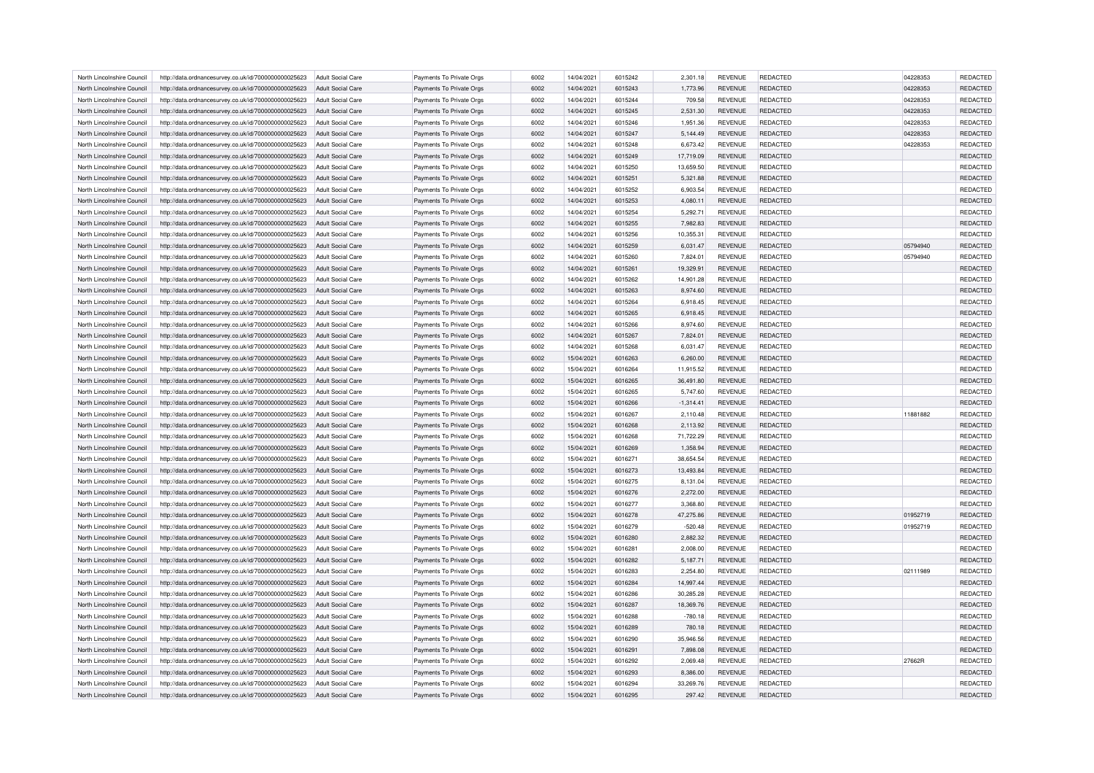| North Lincolnshire Council | http://data.ordnancesurvey.co.uk/id/7000000000025623 | Adult Social Care        | Payments To Private Orgs | 6002 | 14/04/2021 | 6015242 | 2,301.18    | <b>REVENUE</b> | REDACTED        | 04228353 | <b>REDACTED</b> |
|----------------------------|------------------------------------------------------|--------------------------|--------------------------|------|------------|---------|-------------|----------------|-----------------|----------|-----------------|
| North Lincolnshire Council | http://data.ordnancesurvey.co.uk/id/7000000000025623 | Adult Social Care        | Payments To Private Orgs | 6002 | 14/04/2021 | 6015243 | 1,773.96    | <b>REVENUE</b> | <b>REDACTED</b> | 04228353 | REDACTED        |
| North Lincolnshire Council | http://data.ordnancesurvey.co.uk/id/7000000000025623 | Adult Social Care        | Payments To Private Orgs | 6002 | 14/04/2021 | 6015244 | 709.58      | <b>REVENUE</b> | <b>REDACTED</b> | 04228353 | REDACTED        |
| North Lincolnshire Council | http://data.ordnancesurvey.co.uk/id/7000000000025623 | Adult Social Care        | Payments To Private Orgs | 6002 | 14/04/2021 | 6015245 | 2,531.30    | <b>REVENUE</b> | <b>REDACTED</b> | 04228353 | REDACTED        |
| North Lincolnshire Council | http://data.ordnancesurvey.co.uk/id/7000000000025623 | Adult Social Care        | Payments To Private Orgs | 6002 | 14/04/2021 | 6015246 | 1,951.36    | <b>REVENUE</b> | REDACTED        | 04228353 | REDACTED        |
| North Lincolnshire Council | http://data.ordnancesurvey.co.uk/id/7000000000025623 | Adult Social Care        | Payments To Private Orgs | 6002 | 14/04/2021 | 6015247 | 5,144.49    | <b>REVENUE</b> | <b>REDACTED</b> | 04228353 | REDACTED        |
| North Lincolnshire Council | http://data.ordnancesurvey.co.uk/id/7000000000025623 | Adult Social Care        | Payments To Private Orgs | 6002 | 14/04/2021 | 6015248 | 6,673.42    | <b>REVENUE</b> | <b>REDACTED</b> | 04228353 | REDACTED        |
| North Lincolnshire Council | http://data.ordnancesurvey.co.uk/id/7000000000025623 | Adult Social Care        | Payments To Private Orgs | 6002 | 14/04/2021 | 6015249 | 17,719.09   | <b>REVENUE</b> | <b>REDACTED</b> |          | REDACTED        |
| North Lincolnshire Council | http://data.ordnancesurvey.co.uk/id/7000000000025623 | <b>Adult Social Care</b> | Payments To Private Orgs | 6002 | 14/04/2021 | 6015250 | 13,659.50   | <b>REVENUE</b> | <b>REDACTED</b> |          | REDACTED        |
| North Lincolnshire Council | http://data.ordnancesurvey.co.uk/id/7000000000025623 | <b>Adult Social Care</b> | Payments To Private Orgs | 6002 | 14/04/2021 | 6015251 | 5,321.88    | <b>REVENUE</b> | REDACTED        |          | REDACTED        |
| North Lincolnshire Council | http://data.ordnancesurvey.co.uk/id/7000000000025623 | Adult Social Care        | Payments To Private Orgs | 6002 | 14/04/2021 | 6015252 | 6,903.54    | <b>REVENUE</b> | <b>REDACTED</b> |          | REDACTED        |
| North Lincolnshire Council | http://data.ordnancesurvey.co.uk/id/7000000000025623 | Adult Social Care        | Payments To Private Orgs | 6002 | 14/04/2021 | 6015253 | 4,080.11    | <b>REVENUE</b> | <b>REDACTED</b> |          | REDACTED        |
| North Lincolnshire Council | http://data.ordnancesurvey.co.uk/id/7000000000025623 | <b>Adult Social Care</b> | Payments To Private Orgs | 6002 | 14/04/2021 | 6015254 | 5,292.71    | <b>REVENUE</b> | <b>REDACTED</b> |          | REDACTED        |
| North Lincolnshire Council | http://data.ordnancesurvey.co.uk/id/7000000000025623 | Adult Social Care        | Payments To Private Orgs | 6002 | 14/04/2021 | 6015255 | 7,982.83    | <b>REVENUE</b> | <b>REDACTED</b> |          | REDACTED        |
|                            |                                                      |                          |                          |      |            |         |             |                |                 |          |                 |
| North Lincolnshire Council | http://data.ordnancesurvey.co.uk/id/7000000000025623 | <b>Adult Social Care</b> | Payments To Private Orgs | 6002 | 14/04/2021 | 6015256 | 10,355.31   | <b>REVENUE</b> | <b>REDACTED</b> |          | <b>REDACTED</b> |
| North Lincolnshire Council | http://data.ordnancesurvey.co.uk/id/7000000000025623 | <b>Adult Social Care</b> | Payments To Private Orgs | 6002 | 14/04/2021 | 6015259 | 6,031.47    | <b>REVENUE</b> | <b>REDACTED</b> | 05794940 | REDACTED        |
| North Lincolnshire Council | http://data.ordnancesurvey.co.uk/id/7000000000025623 | <b>Adult Social Care</b> | Payments To Private Orgs | 6002 | 14/04/2021 | 6015260 | 7,824.01    | <b>REVENUE</b> | REDACTED        | 05794940 | REDACTED        |
| North Lincolnshire Council | http://data.ordnancesurvey.co.uk/id/7000000000025623 | Adult Social Care        | Payments To Private Orgs | 6002 | 14/04/2021 | 6015261 | 19,329.91   | <b>REVENUE</b> | <b>REDACTED</b> |          | <b>REDACTED</b> |
| North Lincolnshire Council | http://data.ordnancesurvey.co.uk/id/7000000000025623 | <b>Adult Social Care</b> | Payments To Private Orgs | 6002 | 14/04/2021 | 6015262 | 14,901.28   | <b>REVENUE</b> | REDACTED        |          | REDACTED        |
| North Lincolnshire Council | http://data.ordnancesurvey.co.uk/id/7000000000025623 | Adult Social Care        | Payments To Private Orgs | 6002 | 14/04/2021 | 6015263 | 8,974.60    | <b>REVENUE</b> | <b>REDACTED</b> |          | REDACTED        |
| North Lincolnshire Council | http://data.ordnancesurvey.co.uk/id/7000000000025623 | Adult Social Care        | Payments To Private Orgs | 6002 | 14/04/2021 | 6015264 | 6,918.45    | <b>REVENUE</b> | <b>REDACTED</b> |          | <b>REDACTED</b> |
| North Lincolnshire Council | http://data.ordnancesurvey.co.uk/id/7000000000025623 | Adult Social Care        | Payments To Private Orgs | 6002 | 14/04/2021 | 6015265 | 6,918.45    | <b>REVENUE</b> | REDACTED        |          | REDACTED        |
| North Lincolnshire Council | http://data.ordnancesurvey.co.uk/id/7000000000025623 | <b>Adult Social Care</b> | Payments To Private Orgs | 6002 | 14/04/2021 | 6015266 | 8,974.60    | <b>REVENUE</b> | REDACTED        |          | REDACTED        |
| North Lincolnshire Council | http://data.ordnancesurvey.co.uk/id/7000000000025623 | Adult Social Care        | Payments To Private Orgs | 6002 | 14/04/2021 | 6015267 | 7.824.01    | <b>REVENUE</b> | <b>REDACTED</b> |          | <b>REDACTED</b> |
| North Lincolnshire Council | http://data.ordnancesurvey.co.uk/id/7000000000025623 | <b>Adult Social Care</b> | Payments To Private Orgs | 6002 | 14/04/2021 | 6015268 | 6,031.47    | <b>REVENUE</b> | <b>REDACTED</b> |          | REDACTED        |
| North Lincolnshire Council | http://data.ordnancesurvey.co.uk/id/7000000000025623 | Adult Social Care        | Payments To Private Orgs | 6002 | 15/04/2021 | 6016263 | 6,260.00    | <b>REVENUE</b> | REDACTED        |          | REDACTED        |
| North Lincolnshire Council | http://data.ordnancesurvey.co.uk/id/7000000000025623 | Adult Social Care        | Payments To Private Orgs | 6002 | 15/04/2021 | 6016264 | 11.915.52   | <b>REVENUE</b> | <b>REDACTED</b> |          | REDACTED        |
| North Lincolnshire Council | http://data.ordnancesurvey.co.uk/id/7000000000025623 | Adult Social Care        | Payments To Private Orgs | 6002 | 15/04/2021 | 6016265 | 36,491.80   | <b>REVENUE</b> | REDACTED        |          | REDACTED        |
| North Lincolnshire Council | http://data.ordnancesurvey.co.uk/id/7000000000025623 | Adult Social Care        | Payments To Private Orgs | 6002 | 15/04/2021 | 6016265 | 5,747.60    | <b>REVENUE</b> | <b>REDACTED</b> |          | REDACTED        |
| North Lincolnshire Council | http://data.ordnancesurvey.co.uk/id/7000000000025623 | Adult Social Care        | Payments To Private Orgs | 6002 | 15/04/2021 | 6016266 | $-1,314.41$ | <b>REVENUE</b> | <b>REDACTED</b> |          | REDACTED        |
| North Lincolnshire Council | http://data.ordnancesurvey.co.uk/id/7000000000025623 | <b>Adult Social Care</b> | Payments To Private Orgs | 6002 | 15/04/2021 | 6016267 | 2,110.48    | <b>REVENUE</b> | <b>REDACTED</b> | 11881882 | REDACTED        |
| North Lincolnshire Council | http://data.ordnancesurvey.co.uk/id/7000000000025623 | Adult Social Care        | Payments To Private Orgs | 6002 | 15/04/2021 | 6016268 | 2,113.92    | <b>REVENUE</b> | REDACTED        |          | REDACTED        |
| North Lincolnshire Council | http://data.ordnancesurvey.co.uk/id/7000000000025623 | Adult Social Care        | Payments To Private Orgs | 6002 | 15/04/2021 | 6016268 | 71,722.29   | <b>REVENUE</b> | <b>REDACTED</b> |          | REDACTED        |
| North Lincolnshire Council | http://data.ordnancesurvey.co.uk/id/7000000000025623 | Adult Social Care        | Payments To Private Orgs | 6002 | 15/04/2021 | 6016269 | 1,358.94    | <b>REVENUE</b> | <b>REDACTED</b> |          | REDACTED        |
| North Lincolnshire Council | http://data.ordnancesurvey.co.uk/id/7000000000025623 | Adult Social Care        | Payments To Private Orgs | 6002 | 15/04/2021 | 6016271 | 38,654.54   | <b>REVENUE</b> | <b>REDACTED</b> |          | REDACTED        |
| North Lincolnshire Council | http://data.ordnancesurvey.co.uk/id/7000000000025623 | Adult Social Care        | Payments To Private Orgs | 6002 | 15/04/2021 | 6016273 | 13,493.84   | <b>REVENUE</b> | <b>REDACTED</b> |          | REDACTED        |
| North Lincolnshire Council | http://data.ordnancesurvey.co.uk/id/7000000000025623 | <b>Adult Social Care</b> | Payments To Private Orgs | 6002 | 15/04/2021 | 6016275 | 8,131.04    | <b>REVENUE</b> | REDACTED        |          | REDACTED        |
| North Lincolnshire Council | http://data.ordnancesurvey.co.uk/id/7000000000025623 | Adult Social Care        | Payments To Private Orgs | 6002 | 15/04/2021 | 6016276 | 2,272.00    | <b>REVENUE</b> | <b>REDACTED</b> |          | REDACTED        |
| North Lincolnshire Council | http://data.ordnancesurvey.co.uk/id/7000000000025623 | <b>Adult Social Care</b> | Payments To Private Orgs | 6002 | 15/04/2021 | 6016277 | 3,368.80    | <b>REVENUE</b> | <b>REDACTED</b> |          | REDACTED        |
| North Lincolnshire Council | http://data.ordnancesurvey.co.uk/id/7000000000025623 | <b>Adult Social Care</b> | Payments To Private Orgs | 6002 | 15/04/2021 | 6016278 | 47,275.86   | <b>REVENUE</b> | <b>REDACTED</b> | 01952719 | REDACTED        |
| North Lincolnshire Council | http://data.ordnancesurvey.co.uk/id/7000000000025623 | <b>Adult Social Care</b> | Payments To Private Orgs | 6002 | 15/04/2021 | 6016279 | $-520.48$   | <b>REVENUE</b> | <b>REDACTED</b> | 01952719 | REDACTED        |
| North Lincolnshire Council | http://data.ordnancesurvey.co.uk/id/7000000000025623 | Adult Social Care        | Payments To Private Orgs | 6002 | 15/04/2021 | 6016280 | 2,882.32    | <b>REVENUE</b> | <b>REDACTED</b> |          | REDACTED        |
| North Lincolnshire Council | http://data.ordnancesurvey.co.uk/id/7000000000025623 | <b>Adult Social Care</b> | Payments To Private Orgs | 6002 | 15/04/2021 | 6016281 | 2,008.00    | REVENUE        | REDACTED        |          | REDACTED        |
| North Lincolnshire Council | http://data.ordnancesurvey.co.uk/id/7000000000025623 | Adult Social Care        | Payments To Private Orgs | 6002 | 15/04/2021 | 6016282 | 5,187.71    | <b>REVENUE</b> | <b>REDACTED</b> |          | REDACTED        |
| North Lincolnshire Council | http://data.ordnancesurvey.co.uk/id/7000000000025623 | Adult Social Care        | Payments To Private Orgs | 6002 | 15/04/2021 | 6016283 | 2.254.80    | <b>REVENUE</b> | <b>REDACTED</b> | 02111989 | <b>REDACTED</b> |
|                            |                                                      |                          |                          | 6002 |            |         |             |                |                 |          | REDACTED        |
| North Lincolnshire Council | http://data.ordnancesurvey.co.uk/id/7000000000025623 | Adult Social Care        | Payments To Private Orgs |      | 15/04/2021 | 6016284 | 14,997.44   | <b>REVENUE</b> | REDACTED        |          |                 |
| North Lincolnshire Council | http://data.ordnancesurvey.co.uk/id/7000000000025623 | Adult Social Care        | Payments To Private Orgs | 6002 | 15/04/2021 | 6016286 | 30,285.28   | <b>REVENUE</b> | REDACTED        |          | REDACTED        |
| North Lincolnshire Council | http://data.ordnancesurvey.co.uk/id/7000000000025623 | Adult Social Care        | Payments To Private Orgs | 6002 | 15/04/2021 | 6016287 | 18,369.76   | <b>REVENUE</b> | <b>REDACTED</b> |          | REDACTED        |
| North Lincolnshire Council | http://data.ordnancesurvey.co.uk/id/7000000000025623 | <b>Adult Social Care</b> | Payments To Private Orgs | 6002 | 15/04/2021 | 6016288 | $-780.18$   | <b>REVENUE</b> | <b>REDACTED</b> |          | REDACTED        |
| North Lincolnshire Council | http://data.ordnancesurvey.co.uk/id/7000000000025623 | Adult Social Care        | Payments To Private Orgs | 6002 | 15/04/2021 | 6016289 | 780.18      | <b>REVENUE</b> | <b>REDACTED</b> |          | REDACTED        |
| North Lincolnshire Council | http://data.ordnancesurvey.co.uk/id/7000000000025623 | Adult Social Care        | Payments To Private Orgs | 6002 | 15/04/2021 | 6016290 | 35.946.56   | <b>REVENUE</b> | <b>REDACTED</b> |          | REDACTED        |
| North Lincolnshire Council | http://data.ordnancesurvey.co.uk/id/7000000000025623 | Adult Social Care        | Payments To Private Orgs | 6002 | 15/04/2021 | 6016291 | 7,898.08    | <b>REVENUE</b> | REDACTED        |          | REDACTED        |
| North Lincolnshire Council | http://data.ordnancesurvey.co.uk/id/7000000000025623 | Adult Social Care        | Payments To Private Orgs | 6002 | 15/04/2021 | 6016292 | 2,069.48    | <b>REVENUE</b> | <b>REDACTED</b> | 27662R   | REDACTED        |
| North Lincolnshire Council | http://data.ordnancesurvey.co.uk/id/7000000000025623 | <b>Adult Social Care</b> | Payments To Private Orgs | 6002 | 15/04/2021 | 6016293 | 8,386.00    | <b>REVENUE</b> | <b>REDACTED</b> |          | REDACTED        |
| North Lincolnshire Council | http://data.ordnancesurvey.co.uk/id/7000000000025623 | Adult Social Care        | Payments To Private Orgs | 6002 | 15/04/2021 | 6016294 | 33,269.76   | <b>REVENUE</b> | REDACTED        |          | <b>REDACTED</b> |
| North Lincolnshire Council | http://data.ordnancesurvey.co.uk/id/7000000000025623 | <b>Adult Social Care</b> | Payments To Private Orgs | 6002 | 15/04/2021 | 6016295 | 297.42      | <b>REVENUE</b> | <b>REDACTED</b> |          | REDACTED        |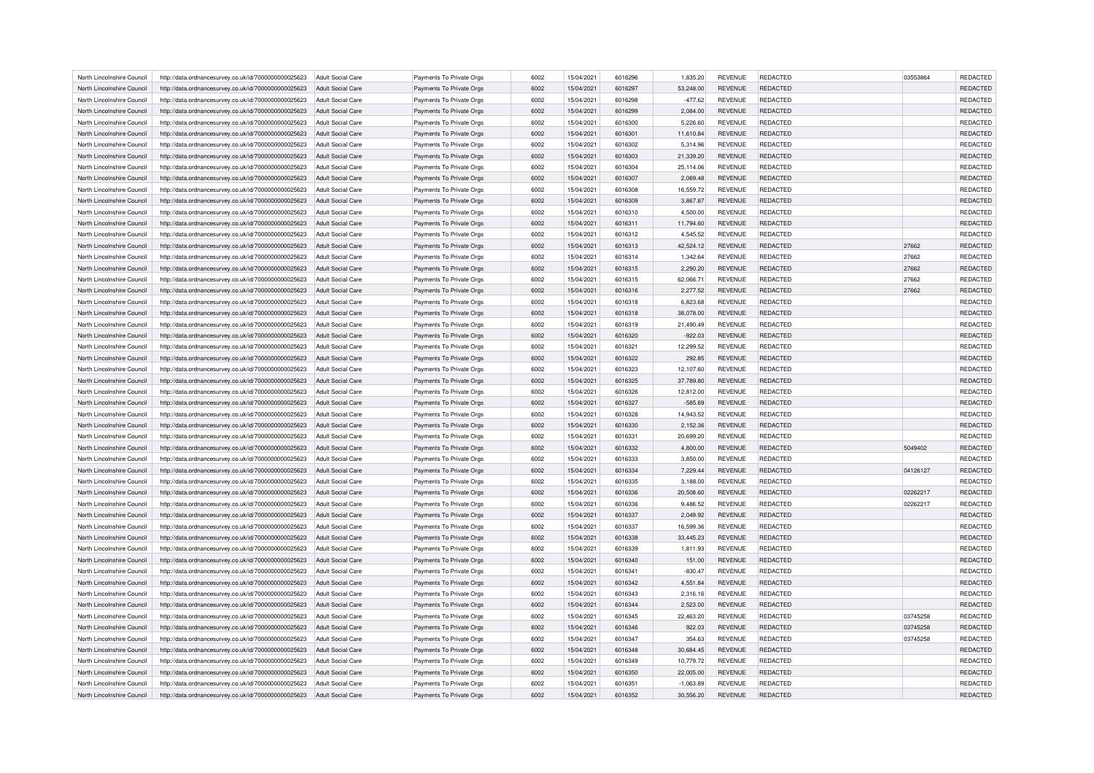| North Lincolnshire Council                               | http://data.ordnancesurvey.co.uk/id/7000000000025623                                                         | Adult Social Care                      | Payments To Private Orgs                             | 6002 | 15/04/2021 | 6016296 | 1,835.20              | <b>REVENUE</b> | REDACTED        | 03553864 | REDACTED |
|----------------------------------------------------------|--------------------------------------------------------------------------------------------------------------|----------------------------------------|------------------------------------------------------|------|------------|---------|-----------------------|----------------|-----------------|----------|----------|
| North Lincolnshire Council                               | http://data.ordnancesurvey.co.uk/id/7000000000025623                                                         | Adult Social Care                      | Payments To Private Orgs                             | 6002 | 15/04/2021 | 6016297 | 53,248.00             | <b>REVENUE</b> | REDACTED        |          | REDACTED |
| North Lincolnshire Council                               | http://data.ordnancesurvey.co.uk/id/7000000000025623                                                         | Adult Social Care                      | Payments To Private Oras                             | 6002 | 15/04/2021 | 6016298 | $-477.62$             | <b>REVENUE</b> | <b>REDACTED</b> |          | REDACTED |
| North Lincolnshire Council                               | http://data.ordnancesurvey.co.uk/id/7000000000025623                                                         | Adult Social Care                      | Payments To Private Orgs                             | 6002 | 15/04/2021 | 6016299 | 2,084.00              | <b>REVENUE</b> | REDACTED        |          | REDACTED |
| North Lincolnshire Council                               | http://data.ordnancesurvey.co.uk/id/7000000000025623                                                         | Adult Social Care                      | Payments To Private Orgs                             | 6002 | 15/04/2021 | 6016300 | 5,226.60              | <b>REVENUE</b> | REDACTED        |          | REDACTED |
| North Lincolnshire Council                               | http://data.ordnancesurvey.co.uk/id/7000000000025623                                                         | Adult Social Care                      | Payments To Private Orgs                             | 6002 | 15/04/2021 | 6016301 | 11,610.84             | <b>REVENUE</b> | REDACTED        |          | REDACTED |
| North Lincolnshire Council                               | http://data.ordnancesurvey.co.uk/id/7000000000025623                                                         | Adult Social Care                      | Payments To Private Orgs                             | 6002 | 15/04/2021 | 6016302 | 5,314.96              | <b>REVENUE</b> | REDACTED        |          | REDACTED |
| North Lincolnshire Council                               | http://data.ordnancesurvey.co.uk/id/7000000000025623                                                         | <b>Adult Social Care</b>               | Payments To Private Orgs                             | 6002 | 15/04/2021 | 6016303 | 21,339.20             | <b>REVENUE</b> | REDACTED        |          | REDACTED |
| North Lincolnshire Council                               | http://data.ordnancesurvey.co.uk/id/7000000000025623                                                         | Adult Social Care                      | Payments To Private Orgs                             | 6002 | 15/04/2021 | 6016304 | 25,114.06             | <b>REVENUE</b> | REDACTED        |          | REDACTED |
| North Lincolnshire Council                               | http://data.ordnancesurvey.co.uk/id/7000000000025623                                                         | Adult Social Care                      | Payments To Private Orgs                             | 6002 | 15/04/2021 | 6016307 | 2,069.48              | <b>REVENUE</b> | REDACTED        |          | REDACTED |
| North Lincolnshire Council                               | http://data.ordnancesurvey.co.uk/id/7000000000025623                                                         | Adult Social Care                      | Payments To Private Orgs                             | 6002 | 15/04/2021 | 6016308 | 16,559.72             | <b>REVENUE</b> | REDACTED        |          | REDACTED |
| North Lincolnshire Council                               | http://data.ordnancesurvey.co.uk/id/7000000000025623                                                         | Adult Social Care                      | Payments To Private Orgs                             | 6002 | 15/04/2021 | 6016309 | 3,867.87              | <b>REVENUE</b> | REDACTED        |          | REDACTED |
|                                                          |                                                                                                              |                                        |                                                      | 6002 | 15/04/2021 | 6016310 |                       | <b>REVENUE</b> | REDACTED        |          | REDACTED |
| North Lincolnshire Council<br>North Lincolnshire Council | http://data.ordnancesurvey.co.uk/id/7000000000025623<br>http://data.ordnancesurvey.co.uk/id/7000000000025623 | Adult Social Care<br>Adult Social Care | Payments To Private Orgs<br>Payments To Private Orgs | 6002 | 15/04/2021 | 6016311 | 4,500.00<br>11,794.60 | <b>REVENUE</b> | REDACTED        |          | REDACTED |
|                                                          |                                                                                                              |                                        |                                                      |      |            |         |                       |                |                 |          |          |
| North Lincolnshire Council                               | http://data.ordnancesurvey.co.uk/id/7000000000025623                                                         | Adult Social Care                      | Payments To Private Orgs                             | 6002 | 15/04/2021 | 6016312 | 4,545.52              | <b>REVENUE</b> | <b>REDACTED</b> |          | REDACTED |
| North Lincolnshire Council                               | http://data.ordnancesurvey.co.uk/id/7000000000025623                                                         | <b>Adult Social Care</b>               | Payments To Private Orgs                             | 6002 | 15/04/2021 | 6016313 | 42,524.12             | <b>REVENUE</b> | REDACTED        | 27662    | REDACTED |
| North Lincolnshire Council                               | http://data.ordnancesurvey.co.uk/id/7000000000025623                                                         | <b>Adult Social Care</b>               | Payments To Private Orgs                             | 6002 | 15/04/2021 | 6016314 | 1,342.64              | <b>REVENUE</b> | REDACTED        | 27662    | REDACTED |
| North Lincolnshire Council                               | http://data.ordnancesurvey.co.uk/id/7000000000025623                                                         | Adult Social Care                      | Payments To Private Orgs                             | 6002 | 15/04/2021 | 6016315 | 2,290.20              | <b>REVENUE</b> | REDACTED        | 27662    | REDACTED |
| North Lincolnshire Council                               | http://data.ordnancesurvey.co.uk/id/7000000000025623                                                         | Adult Social Care                      | Payments To Private Orgs                             | 6002 | 15/04/2021 | 6016315 | 62,066.71             | <b>REVENUE</b> | REDACTED        | 27662    | REDACTED |
| North Lincolnshire Council                               | http://data.ordnancesurvey.co.uk/id/7000000000025623                                                         | <b>Adult Social Care</b>               | Payments To Private Orgs                             | 6002 | 15/04/2021 | 6016316 | 2,277.52              | <b>REVENUE</b> | REDACTED        | 27662    | REDACTED |
| North Lincolnshire Council                               | http://data.ordnancesurvey.co.uk/id/7000000000025623                                                         | Adult Social Care                      | Payments To Private Orgs                             | 6002 | 15/04/2021 | 6016318 | 6.823.68              | <b>REVENUE</b> | <b>REDACTED</b> |          | REDACTED |
| North Lincolnshire Council                               | http://data.ordnancesurvey.co.uk/id/7000000000025623                                                         | <b>Adult Social Care</b>               | Payments To Private Orgs                             | 6002 | 15/04/2021 | 6016318 | 38,078.00             | <b>REVENUE</b> | REDACTED        |          | REDACTED |
| North Lincolnshire Council                               | http://data.ordnancesurvey.co.uk/id/7000000000025623                                                         | Adult Social Care                      | Payments To Private Orgs                             | 6002 | 15/04/2021 | 6016319 | 21,490.49             | <b>REVENUE</b> | REDACTED        |          | REDACTED |
| North Lincolnshire Council                               | http://data.ordnancesurvey.co.uk/id/7000000000025623                                                         | Adult Social Care                      | Payments To Private Orgs                             | 6002 | 15/04/2021 | 6016320 | $-922.03$             | <b>REVENUE</b> | REDACTED        |          | REDACTED |
| North Lincolnshire Council                               | http://data.ordnancesurvey.co.uk/id/7000000000025623                                                         | Adult Social Care                      | Payments To Private Orgs                             | 6002 | 15/04/2021 | 6016321 | 12,299.52             | <b>REVENUE</b> | REDACTED        |          | REDACTED |
| North Lincolnshire Council                               | http://data.ordnancesurvey.co.uk/id/7000000000025623                                                         | Adult Social Care                      | Payments To Private Orgs                             | 6002 | 15/04/2021 | 6016322 | 292.85                | <b>REVENUE</b> | REDACTED        |          | REDACTED |
| North Lincolnshire Council                               | http://data.ordnancesurvey.co.uk/id/7000000000025623                                                         | Adult Social Care                      | Payments To Private Orgs                             | 6002 | 15/04/2021 | 6016323 | 12.107.60             | <b>REVENUE</b> | <b>REDACTED</b> |          | REDACTED |
| North Lincolnshire Council                               | http://data.ordnancesurvey.co.uk/id/7000000000025623                                                         | Adult Social Care                      | Payments To Private Orgs                             | 6002 | 15/04/2021 | 6016325 | 37,789.80             | <b>REVENUE</b> | REDACTED        |          | REDACTED |
| North Lincolnshire Council                               | http://data.ordnancesurvey.co.uk/id/7000000000025623                                                         | Adult Social Care                      | Payments To Private Orgs                             | 6002 | 15/04/2021 | 6016326 | 12,812.00             | <b>REVENUE</b> | REDACTED        |          | REDACTED |
| North Lincolnshire Council                               | http://data.ordnancesurvey.co.uk/id/7000000000025623                                                         | Adult Social Care                      | Payments To Private Orgs                             | 6002 | 15/04/2021 | 6016327 | $-585.69$             | <b>REVENUE</b> | REDACTED        |          | REDACTED |
| North Lincolnshire Council                               | http://data.ordnancesurvey.co.uk/id/7000000000025623                                                         | Adult Social Care                      | Payments To Private Orgs                             | 6002 | 15/04/2021 | 6016328 | 14,943.52             | <b>REVENUE</b> | REDACTED        |          | REDACTED |
| North Lincolnshire Council                               | http://data.ordnancesurvey.co.uk/id/7000000000025623                                                         | Adult Social Care                      | Payments To Private Orgs                             | 6002 | 15/04/2021 | 6016330 | 2,152.36              | <b>REVENUE</b> | REDACTED        |          | REDACTED |
| North Lincolnshire Council                               | http://data.ordnancesurvey.co.uk/id/7000000000025623                                                         | Adult Social Care                      | Payments To Private Orgs                             | 6002 | 15/04/2021 | 6016331 | 20,699.20             | <b>REVENUE</b> | REDACTED        |          | REDACTED |
| North Lincolnshire Council                               | http://data.ordnancesurvey.co.uk/id/7000000000025623                                                         | Adult Social Care                      | Payments To Private Orgs                             | 6002 | 15/04/2021 | 6016332 | 4,800.00              | <b>REVENUE</b> | REDACTED        | 5049402  | REDACTED |
| North Lincolnshire Council                               | http://data.ordnancesurvey.co.uk/id/7000000000025623                                                         | Adult Social Care                      | Payments To Private Orgs                             | 6002 | 15/04/2021 | 6016333 | 3,850.00              | <b>REVENUE</b> | REDACTED        |          | REDACTED |
| North Lincolnshire Council                               | http://data.ordnancesurvey.co.uk/id/7000000000025623                                                         | Adult Social Care                      | Payments To Private Orgs                             | 6002 | 15/04/2021 | 6016334 | 7,229.44              | <b>REVENUE</b> | REDACTED        | 04126127 | REDACTED |
| North Lincolnshire Council                               | http://data.ordnancesurvey.co.uk/id/7000000000025623                                                         | Adult Social Care                      | Payments To Private Orgs                             | 6002 | 15/04/2021 | 6016335 | 3,188.00              | <b>REVENUE</b> | REDACTED        |          | REDACTED |
| North Lincolnshire Council                               | http://data.ordnancesurvey.co.uk/id/7000000000025623                                                         | Adult Social Care                      | Payments To Private Orgs                             | 6002 | 15/04/2021 | 6016336 | 20,508.60             | <b>REVENUE</b> | <b>REDACTED</b> | 02262217 | REDACTED |
| North Lincolnshire Council                               | http://data.ordnancesurvey.co.uk/id/7000000000025623                                                         | Adult Social Care                      | Payments To Private Orgs                             | 6002 | 15/04/2021 | 6016336 | 9,486.52              | <b>REVENUE</b> | REDACTED        | 02262217 | REDACTED |
| North Lincolnshire Council                               | http://data.ordnancesurvey.co.uk/id/7000000000025623                                                         | <b>Adult Social Care</b>               | Payments To Private Orgs                             | 6002 | 15/04/2021 | 6016337 | 2,049.92              | <b>REVENUE</b> | REDACTED        |          | REDACTED |
| North Lincolnshire Council                               | http://data.ordnancesurvey.co.uk/id/7000000000025623                                                         | <b>Adult Social Care</b>               | Payments To Private Orgs                             | 6002 | 15/04/2021 | 6016337 | 16,599.36             | <b>REVENUE</b> | <b>REDACTED</b> |          | REDACTED |
| North Lincolnshire Council                               | http://data.ordnancesurvey.co.uk/id/7000000000025623                                                         | Adult Social Care                      | Payments To Private Orgs                             | 6002 | 15/04/2021 | 6016338 | 33,445.23             | <b>REVENUE</b> | REDACTED        |          | REDACTED |
| North Lincolnshire Council                               | http://data.ordnancesurvey.co.uk/id/7000000000025623                                                         | Adult Social Care                      | Payments To Private Orgs                             | 6002 | 15/04/2021 | 6016339 | 1,811.93              | <b>REVENUE</b> | REDACTED        |          | REDACTED |
| North Lincolnshire Council                               | http://data.ordnancesurvey.co.uk/id/7000000000025623                                                         | Adult Social Care                      | Payments To Private Orgs                             | 6002 | 15/04/2021 | 6016340 | 151.00                | <b>REVENUE</b> | <b>REDACTED</b> |          | REDACTED |
| North Lincolnshire Council                               | http://data.ordnancesurvey.co.uk/id/7000000000025623                                                         | Adult Social Care                      | Payments To Private Orgs                             | 6002 | 15/04/2021 | 6016341 | $-830.47$             | <b>REVENUE</b> | <b>REDACTED</b> |          | REDACTED |
|                                                          |                                                                                                              |                                        |                                                      | 6002 |            |         |                       |                |                 |          |          |
| North Lincolnshire Council                               | http://data.ordnancesurvey.co.uk/id/7000000000025623                                                         | <b>Adult Social Care</b>               | Payments To Private Orgs                             |      | 15/04/2021 | 6016342 | 4,551.84              | <b>REVENUE</b> | REDACTED        |          | REDACTED |
| North Lincolnshire Council                               | http://data.ordnancesurvey.co.uk/id/7000000000025623                                                         | Adult Social Care                      | Payments To Private Orgs                             | 6002 | 15/04/2021 | 6016343 | 2,316.16              | <b>REVENUE</b> | REDACTED        |          | REDACTED |
| North Lincolnshire Council                               | http://data.ordnancesurvey.co.uk/id/7000000000025623                                                         | Adult Social Care                      | Payments To Private Orgs                             | 6002 | 15/04/2021 | 6016344 | 2.523.00              | <b>REVENUE</b> | <b>REDACTED</b> |          | REDACTED |
| North Lincolnshire Council                               | http://data.ordnancesurvey.co.uk/id/7000000000025623                                                         | Adult Social Care                      | Payments To Private Orgs                             | 6002 | 15/04/2021 | 6016345 | 22,463.20             | <b>REVENUE</b> | REDACTED        | 03745258 | REDACTED |
| North Lincolnshire Council                               | http://data.ordnancesurvey.co.uk/id/7000000000025623                                                         | Adult Social Care                      | Payments To Private Orgs                             | 6002 | 15/04/2021 | 6016346 | 922.03                | <b>REVENUE</b> | REDACTED        | 03745258 | REDACTED |
| North Lincolnshire Council                               | http://data.ordnancesurvey.co.uk/id/7000000000025623                                                         | Adult Social Care                      | Payments To Private Orgs                             | 6002 | 15/04/2021 | 6016347 | 354.63                | <b>REVENUE</b> | <b>REDACTED</b> | 03745258 | REDACTED |
| North Lincolnshire Council                               | http://data.ordnancesurvey.co.uk/id/7000000000025623                                                         | Adult Social Care                      | Payments To Private Orgs                             | 6002 | 15/04/2021 | 6016348 | 30,684.45             | <b>REVENUE</b> | REDACTED        |          | REDACTED |
| North Lincolnshire Council                               | http://data.ordnancesurvey.co.uk/id/7000000000025623                                                         | Adult Social Care                      | Payments To Private Orgs                             | 6002 | 15/04/2021 | 6016349 | 10,779.72             | <b>REVENUE</b> | REDACTED        |          | REDACTED |
| North Lincolnshire Council                               | http://data.ordnancesurvey.co.uk/id/7000000000025623                                                         | Adult Social Care                      | Payments To Private Orgs                             | 6002 | 15/04/2021 | 6016350 | 22,005.00             | <b>REVENUE</b> | REDACTED        |          | REDACTED |
| North Lincolnshire Council                               | http://data.ordnancesurvey.co.uk/id/7000000000025623                                                         | Adult Social Care                      | Payments To Private Orgs                             | 6002 | 15/04/2021 | 6016351 | $-1,063.89$           | <b>REVENUE</b> | REDACTED        |          | REDACTED |
| North Lincolnshire Council                               | http://data.ordnancesurvey.co.uk/id/7000000000025623                                                         | Adult Social Care                      | Payments To Private Orgs                             | 6002 | 15/04/2021 | 6016352 | 30,556.20             | <b>REVENUE</b> | REDACTED        |          | REDACTED |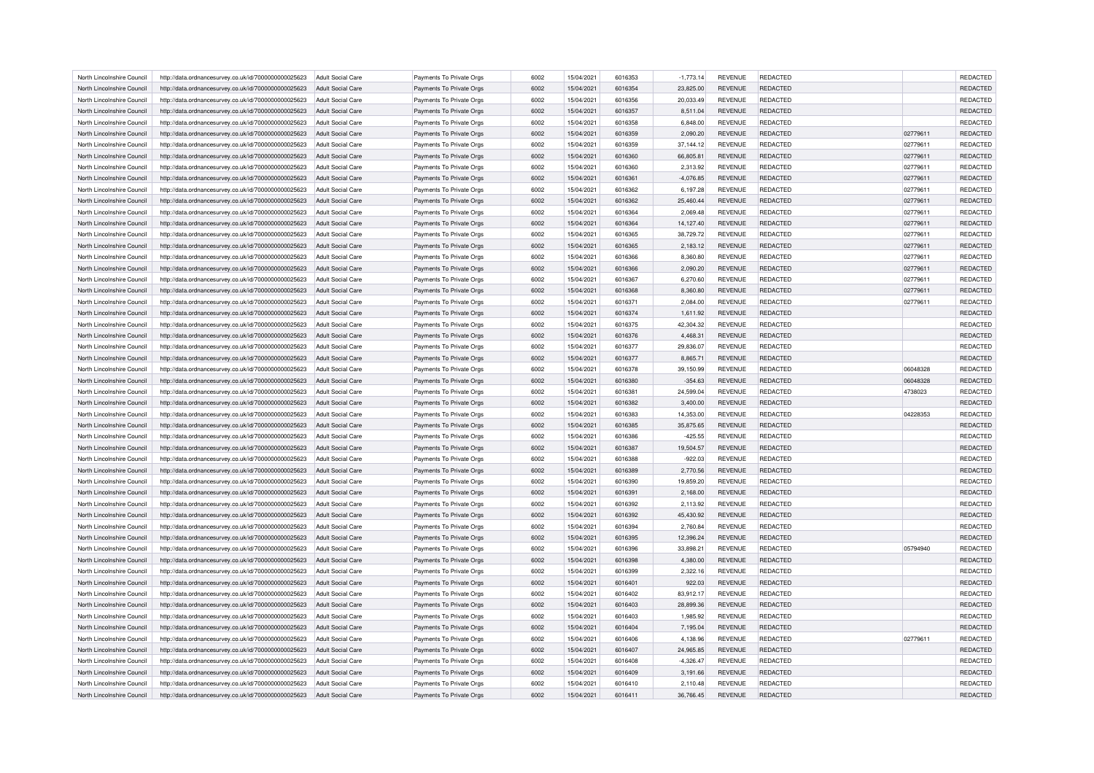| North Lincolnshire Council | http://data.ordnancesurvey.co.uk/id/7000000000025623                                                         | Adult Social Care                             | Payments To Private Orgs                             | 6002 | 15/04/2021 | 6016353 | $-1,773.14$ | <b>REVENUE</b> | <b>REDACTED</b> |          | <b>REDACTED</b> |
|----------------------------|--------------------------------------------------------------------------------------------------------------|-----------------------------------------------|------------------------------------------------------|------|------------|---------|-------------|----------------|-----------------|----------|-----------------|
| North Lincolnshire Council | http://data.ordnancesurvey.co.uk/id/7000000000025623                                                         | Adult Social Care                             | Payments To Private Orgs                             | 6002 | 15/04/2021 | 6016354 | 23,825.00   | <b>REVENUE</b> | <b>REDACTED</b> |          | REDACTED        |
| North Lincolnshire Council | http://data.ordnancesurvey.co.uk/id/7000000000025623                                                         | Adult Social Care                             | Payments To Private Oras                             | 6002 | 15/04/2021 | 6016356 | 20.033.49   | <b>REVENUE</b> | <b>REDACTED</b> |          | REDACTED        |
| North Lincolnshire Council | http://data.ordnancesurvey.co.uk/id/7000000000025623                                                         | Adult Social Care                             | Payments To Private Orgs                             | 6002 | 15/04/2021 | 6016357 | 8,511.04    | <b>REVENUE</b> | <b>REDACTED</b> |          | REDACTED        |
| North Lincolnshire Council | http://data.ordnancesurvey.co.uk/id/7000000000025623                                                         | Adult Social Care                             | Payments To Private Orgs                             | 6002 | 15/04/2021 | 6016358 | 6,848.00    | <b>REVENUE</b> | REDACTED        |          | REDACTED        |
| North Lincolnshire Council | http://data.ordnancesurvey.co.uk/id/7000000000025623                                                         | Adult Social Care                             | Payments To Private Orgs                             | 6002 | 15/04/2021 | 6016359 | 2,090.20    | <b>REVENUE</b> | <b>REDACTED</b> | 02779611 | REDACTED        |
| North Lincolnshire Council | http://data.ordnancesurvey.co.uk/id/7000000000025623                                                         | Adult Social Care                             | Payments To Private Orgs                             | 6002 | 15/04/2021 | 6016359 | 37, 144. 12 | <b>REVENUE</b> | <b>REDACTED</b> | 02779611 | REDACTED        |
| North Lincolnshire Council | http://data.ordnancesurvey.co.uk/id/7000000000025623                                                         | Adult Social Care                             | Payments To Private Orgs                             | 6002 | 15/04/2021 | 6016360 | 66,805.81   | <b>REVENUE</b> | <b>REDACTED</b> | 02779611 | REDACTED        |
| North Lincolnshire Council | http://data.ordnancesurvey.co.uk/id/7000000000025623                                                         | <b>Adult Social Care</b>                      | Payments To Private Orgs                             | 6002 | 15/04/2021 | 6016360 | 2,313.92    | <b>REVENUE</b> | <b>REDACTED</b> | 02779611 | REDACTED        |
| North Lincolnshire Council | http://data.ordnancesurvey.co.uk/id/7000000000025623                                                         | <b>Adult Social Care</b>                      | Payments To Private Orgs                             | 6002 | 15/04/2021 | 6016361 | $-4,076.85$ | <b>REVENUE</b> | REDACTED        | 02779611 | REDACTED        |
| North Lincolnshire Council | http://data.ordnancesurvey.co.uk/id/7000000000025623                                                         | Adult Social Care                             | Payments To Private Orgs                             | 6002 | 15/04/2021 | 6016362 | 6,197.28    | <b>REVENUE</b> | <b>REDACTED</b> | 02779611 | REDACTED        |
| North Lincolnshire Council | http://data.ordnancesurvey.co.uk/id/7000000000025623                                                         | Adult Social Care                             | Payments To Private Orgs                             | 6002 | 15/04/2021 | 6016362 | 25,460.44   | <b>REVENUE</b> | <b>REDACTED</b> | 02779611 | REDACTED        |
| North Lincolnshire Council |                                                                                                              |                                               |                                                      | 6002 | 15/04/2021 | 6016364 | 2,069.48    | <b>REVENUE</b> | <b>REDACTED</b> | 02779611 | REDACTED        |
| North Lincolnshire Council | http://data.ordnancesurvey.co.uk/id/7000000000025623<br>http://data.ordnancesurvey.co.uk/id/7000000000025623 | <b>Adult Social Care</b><br>Adult Social Care | Payments To Private Orgs<br>Payments To Private Orgs | 6002 | 15/04/2021 | 6016364 | 14,127.40   | <b>REVENUE</b> | <b>REDACTED</b> | 02779611 | REDACTED        |
|                            |                                                                                                              |                                               |                                                      |      |            |         |             |                |                 |          |                 |
| North Lincolnshire Council | http://data.ordnancesurvey.co.uk/id/7000000000025623                                                         | Adult Social Care                             | Payments To Private Orgs                             | 6002 | 15/04/2021 | 6016365 | 38,729.72   | <b>REVENUE</b> | <b>REDACTED</b> | 02779611 | REDACTED        |
| North Lincolnshire Council | http://data.ordnancesurvey.co.uk/id/7000000000025623                                                         | <b>Adult Social Care</b>                      | Payments To Private Orgs                             | 6002 | 15/04/2021 | 6016365 | 2,183.12    | <b>REVENUE</b> | REDACTED        | 02779611 | REDACTED        |
| North Lincolnshire Council | http://data.ordnancesurvey.co.uk/id/7000000000025623                                                         | <b>Adult Social Care</b>                      | Payments To Private Orgs                             | 6002 | 15/04/2021 | 6016366 | 8,360.80    | <b>REVENUE</b> | REDACTED        | 02779611 | REDACTED        |
| North Lincolnshire Council | http://data.ordnancesurvey.co.uk/id/7000000000025623                                                         | <b>Adult Social Care</b>                      | Payments To Private Orgs                             | 6002 | 15/04/2021 | 6016366 | 2,090.20    | <b>REVENUE</b> | <b>REDACTED</b> | 02779611 | <b>REDACTED</b> |
| North Lincolnshire Council | http://data.ordnancesurvey.co.uk/id/7000000000025623                                                         | <b>Adult Social Care</b>                      | Payments To Private Orgs                             | 6002 | 15/04/2021 | 6016367 | 6,270.60    | <b>REVENUE</b> | REDACTED        | 02779611 | REDACTED        |
| North Lincolnshire Council | http://data.ordnancesurvey.co.uk/id/7000000000025623                                                         | Adult Social Care                             | Payments To Private Orgs                             | 6002 | 15/04/2021 | 6016368 | 8,360.80    | <b>REVENUE</b> | <b>REDACTED</b> | 02779611 | REDACTED        |
| North Lincolnshire Council | http://data.ordnancesurvey.co.uk/id/7000000000025623                                                         | Adult Social Care                             | Payments To Private Orgs                             | 6002 | 15/04/2021 | 6016371 | 2.084.00    | <b>REVENUE</b> | <b>REDACTED</b> | 02779611 | <b>REDACTED</b> |
| North Lincolnshire Council | http://data.ordnancesurvey.co.uk/id/7000000000025623                                                         | <b>Adult Social Care</b>                      | Payments To Private Orgs                             | 6002 | 15/04/2021 | 6016374 | 1,611.92    | <b>REVENUE</b> | REDACTED        |          | REDACTED        |
| North Lincolnshire Council | http://data.ordnancesurvey.co.uk/id/7000000000025623                                                         | <b>Adult Social Care</b>                      | Payments To Private Orgs                             | 6002 | 15/04/2021 | 6016375 | 42,304.32   | <b>REVENUE</b> | REDACTED        |          | REDACTED        |
| North Lincolnshire Council | http://data.ordnancesurvey.co.uk/id/7000000000025623                                                         | Adult Social Care                             | Payments To Private Orgs                             | 6002 | 15/04/2021 | 6016376 | 4.468.31    | <b>REVENUE</b> | <b>REDACTED</b> |          | <b>REDACTED</b> |
| North Lincolnshire Council | http://data.ordnancesurvey.co.uk/id/7000000000025623                                                         | <b>Adult Social Care</b>                      | Payments To Private Orgs                             | 6002 | 15/04/2021 | 6016377 | 29,836.07   | <b>REVENUE</b> | <b>REDACTED</b> |          | REDACTED        |
| North Lincolnshire Council | http://data.ordnancesurvey.co.uk/id/7000000000025623                                                         | Adult Social Care                             | Payments To Private Orgs                             | 6002 | 15/04/2021 | 6016377 | 8,865.71    | <b>REVENUE</b> | REDACTED        |          | REDACTED        |
| North Lincolnshire Council | http://data.ordnancesurvey.co.uk/id/7000000000025623                                                         | Adult Social Care                             | Payments To Private Orgs                             | 6002 | 15/04/2021 | 6016378 | 39.150.99   | <b>REVENUE</b> | <b>REDACTED</b> | 06048328 | REDACTED        |
| North Lincolnshire Council | http://data.ordnancesurvey.co.uk/id/7000000000025623                                                         | Adult Social Care                             | Payments To Private Orgs                             | 6002 | 15/04/2021 | 6016380 | $-354.63$   | <b>REVENUE</b> | REDACTED        | 06048328 | REDACTED        |
| North Lincolnshire Council | http://data.ordnancesurvey.co.uk/id/7000000000025623                                                         | Adult Social Care                             | Payments To Private Orgs                             | 6002 | 15/04/2021 | 6016381 | 24,599.04   | <b>REVENUE</b> | <b>REDACTED</b> | 4738023  | REDACTED        |
| North Lincolnshire Council | http://data.ordnancesurvey.co.uk/id/7000000000025623                                                         | Adult Social Care                             | Payments To Private Orgs                             | 6002 | 15/04/2021 | 6016382 | 3,400.00    | <b>REVENUE</b> | <b>REDACTED</b> |          | REDACTED        |
| North Lincolnshire Council | http://data.ordnancesurvey.co.uk/id/7000000000025623                                                         | <b>Adult Social Care</b>                      | Payments To Private Orgs                             | 6002 | 15/04/2021 | 6016383 | 14,353.00   | <b>REVENUE</b> | <b>REDACTED</b> | 04228353 | REDACTED        |
| North Lincolnshire Council | http://data.ordnancesurvey.co.uk/id/7000000000025623                                                         | Adult Social Care                             | Payments To Private Orgs                             | 6002 | 15/04/2021 | 6016385 | 35,875.65   | <b>REVENUE</b> | REDACTED        |          | REDACTED        |
| North Lincolnshire Council | http://data.ordnancesurvey.co.uk/id/7000000000025623                                                         | Adult Social Care                             | Payments To Private Orgs                             | 6002 | 15/04/2021 | 6016386 | $-425.55$   | <b>REVENUE</b> | <b>REDACTED</b> |          | REDACTED        |
| North Lincolnshire Council | http://data.ordnancesurvey.co.uk/id/7000000000025623                                                         | Adult Social Care                             | Payments To Private Orgs                             | 6002 | 15/04/2021 | 6016387 | 19,504.57   | <b>REVENUE</b> | REDACTED        |          | REDACTED        |
| North Lincolnshire Council | http://data.ordnancesurvey.co.uk/id/7000000000025623                                                         | Adult Social Care                             | Payments To Private Orgs                             | 6002 | 15/04/2021 | 6016388 | $-922.03$   | <b>REVENUE</b> | <b>REDACTED</b> |          | REDACTED        |
| North Lincolnshire Council | http://data.ordnancesurvey.co.uk/id/7000000000025623                                                         | Adult Social Care                             | Payments To Private Orgs                             | 6002 | 15/04/2021 | 6016389 | 2,770.56    | <b>REVENUE</b> | <b>REDACTED</b> |          | REDACTED        |
| North Lincolnshire Council | http://data.ordnancesurvey.co.uk/id/7000000000025623                                                         | <b>Adult Social Care</b>                      | Payments To Private Orgs                             | 6002 | 15/04/2021 | 6016390 | 19,859.20   | REVENUE        | REDACTED        |          | REDACTED        |
| North Lincolnshire Council | http://data.ordnancesurvey.co.uk/id/7000000000025623                                                         | Adult Social Care                             | Payments To Private Orgs                             | 6002 | 15/04/2021 | 6016391 | 2,168.00    | <b>REVENUE</b> | <b>REDACTED</b> |          | REDACTED        |
| North Lincolnshire Council | http://data.ordnancesurvey.co.uk/id/7000000000025623                                                         | <b>Adult Social Care</b>                      | Payments To Private Orgs                             | 6002 | 15/04/2021 | 6016392 | 2,113.92    | <b>REVENUE</b> | <b>REDACTED</b> |          | REDACTED        |
| North Lincolnshire Council | http://data.ordnancesurvey.co.uk/id/7000000000025623                                                         | <b>Adult Social Care</b>                      | Payments To Private Orgs                             | 6002 | 15/04/2021 | 6016392 | 45,430.92   | <b>REVENUE</b> | REDACTED        |          | REDACTED        |
| North Lincolnshire Council | http://data.ordnancesurvey.co.uk/id/7000000000025623                                                         | <b>Adult Social Care</b>                      | Payments To Private Orgs                             | 6002 | 15/04/2021 | 6016394 | 2,760.84    | <b>REVENUE</b> | <b>REDACTED</b> |          | REDACTED        |
| North Lincolnshire Council | http://data.ordnancesurvey.co.uk/id/7000000000025623                                                         | Adult Social Care                             | Payments To Private Orgs                             | 6002 | 15/04/2021 | 6016395 | 12,396.24   | <b>REVENUE</b> | <b>REDACTED</b> |          | REDACTED        |
| North Lincolnshire Council | http://data.ordnancesurvey.co.uk/id/7000000000025623                                                         | <b>Adult Social Care</b>                      | Payments To Private Orgs                             | 6002 | 15/04/2021 | 6016396 | 33,898.21   | REVENUE        | REDACTED        | 05794940 | REDACTED        |
| North Lincolnshire Council | http://data.ordnancesurvey.co.uk/id/7000000000025623                                                         | Adult Social Care                             | Payments To Private Orgs                             | 6002 | 15/04/2021 | 6016398 | 4,380.00    | <b>REVENUE</b> | <b>REDACTED</b> |          | REDACTED        |
| North Lincolnshire Council | http://data.ordnancesurvey.co.uk/id/7000000000025623                                                         | Adult Social Care                             | Payments To Private Orgs                             | 6002 | 15/04/2021 | 6016399 | 2.322.16    | <b>REVENUE</b> | <b>REDACTED</b> |          | REDACTED        |
| North Lincolnshire Council | http://data.ordnancesurvey.co.uk/id/7000000000025623                                                         | Adult Social Care                             | Payments To Private Orgs                             | 6002 | 15/04/2021 | 6016401 | 922.03      | <b>REVENUE</b> | REDACTED        |          | REDACTED        |
| North Lincolnshire Council | http://data.ordnancesurvey.co.uk/id/7000000000025623                                                         | Adult Social Care                             | Payments To Private Orgs                             | 6002 | 15/04/2021 | 6016402 | 83,912.17   | <b>REVENUE</b> | <b>REDACTED</b> |          | REDACTED        |
| North Lincolnshire Council | http://data.ordnancesurvey.co.uk/id/7000000000025623                                                         | Adult Social Care                             | Payments To Private Orgs                             | 6002 | 15/04/2021 | 6016403 | 28.899.36   | <b>REVENUE</b> | <b>REDACTED</b> |          | <b>REDACTED</b> |
| North Lincolnshire Council | http://data.ordnancesurvey.co.uk/id/7000000000025623                                                         | <b>Adult Social Care</b>                      | Payments To Private Orgs                             | 6002 | 15/04/2021 | 6016403 | 1,985.92    | <b>REVENUE</b> | <b>REDACTED</b> |          | REDACTED        |
| North Lincolnshire Council | http://data.ordnancesurvey.co.uk/id/7000000000025623                                                         | Adult Social Care                             | Payments To Private Orgs                             | 6002 | 15/04/2021 | 6016404 | 7,195.04    | <b>REVENUE</b> | <b>REDACTED</b> |          | REDACTED        |
| North Lincolnshire Council | http://data.ordnancesurvey.co.uk/id/7000000000025623                                                         | Adult Social Care                             | Payments To Private Orgs                             | 6002 | 15/04/2021 | 6016406 | 4.138.96    | <b>REVENUE</b> | <b>REDACTED</b> | 02779611 | REDACTED        |
| North Lincolnshire Council | http://data.ordnancesurvey.co.uk/id/7000000000025623                                                         | Adult Social Care                             | Payments To Private Orgs                             | 6002 | 15/04/2021 | 6016407 | 24,965.85   | <b>REVENUE</b> | REDACTED        |          | REDACTED        |
| North Lincolnshire Council | http://data.ordnancesurvey.co.uk/id/7000000000025623                                                         | Adult Social Care                             | Payments To Private Orgs                             | 6002 | 15/04/2021 | 6016408 | $-4,326.47$ | <b>REVENUE</b> | <b>REDACTED</b> |          | REDACTED        |
| North Lincolnshire Council | http://data.ordnancesurvey.co.uk/id/7000000000025623                                                         | <b>Adult Social Care</b>                      | Payments To Private Orgs                             | 6002 | 15/04/2021 | 6016409 | 3,191.66    | <b>REVENUE</b> | <b>REDACTED</b> |          | REDACTED        |
|                            |                                                                                                              |                                               |                                                      | 6002 | 15/04/2021 | 6016410 |             | <b>REVENUE</b> | <b>REDACTED</b> |          | <b>REDACTED</b> |
| North Lincolnshire Council | http://data.ordnancesurvey.co.uk/id/7000000000025623                                                         | Adult Social Care                             | Payments To Private Orgs                             |      |            |         | 2,110.48    |                |                 |          |                 |
| North Lincolnshire Council | http://data.ordnancesurvey.co.uk/id/7000000000025623                                                         | <b>Adult Social Care</b>                      | Payments To Private Orgs                             | 6002 | 15/04/2021 | 6016411 | 36,766.45   | <b>REVENUE</b> | <b>REDACTED</b> |          | REDACTED        |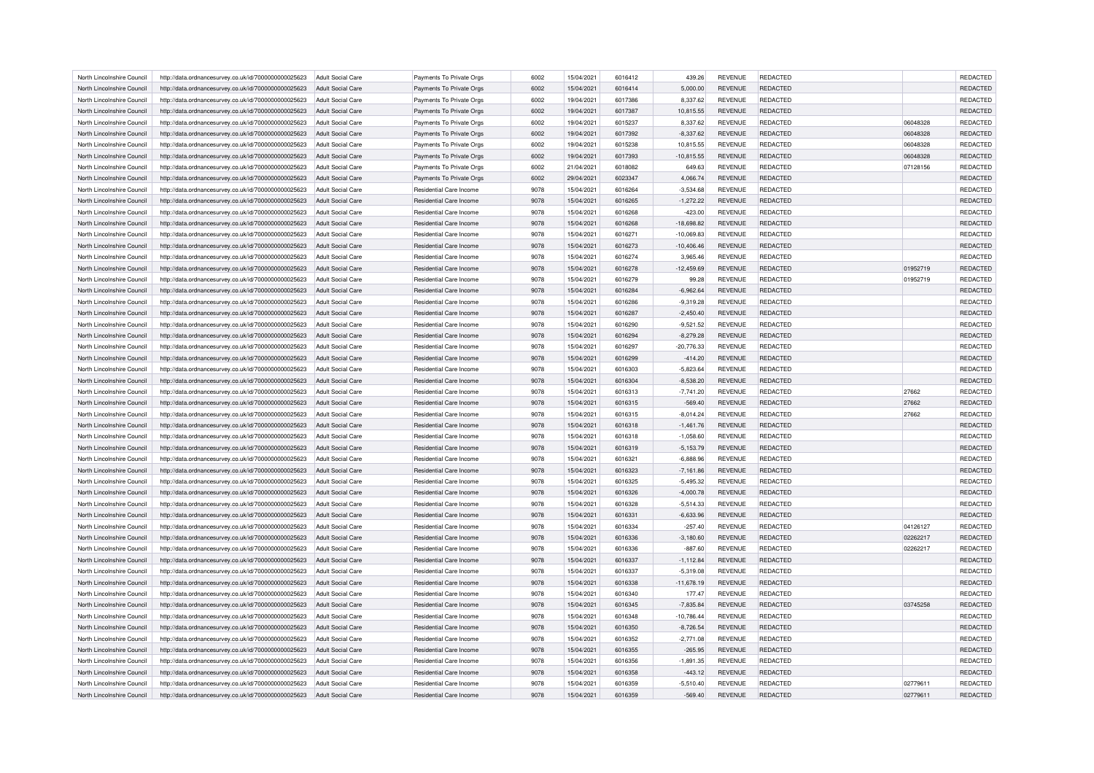| North Lincolnshire Council | http://data.ordnancesurvey.co.uk/id/7000000000025623 | Adult Social Care        | Payments To Private Orgs       | 6002 | 15/04/2021 | 6016412 | 439.26       | <b>REVENUE</b> | <b>REDACTED</b> |          | <b>REDACTED</b> |
|----------------------------|------------------------------------------------------|--------------------------|--------------------------------|------|------------|---------|--------------|----------------|-----------------|----------|-----------------|
| North Lincolnshire Council | http://data.ordnancesurvey.co.uk/id/7000000000025623 | Adult Social Care        | Payments To Private Orgs       | 6002 | 15/04/2021 | 6016414 | 5,000.00     | <b>REVENUE</b> | <b>REDACTED</b> |          | <b>REDACTED</b> |
| North Lincolnshire Council | http://data.ordnancesurvey.co.uk/id/7000000000025623 | Adult Social Care        | Payments To Private Orgs       | 6002 | 19/04/2021 | 6017386 | 8,337.62     | <b>REVENUE</b> | <b>REDACTED</b> |          | <b>REDACTED</b> |
| North Lincolnshire Council | http://data.ordnancesurvey.co.uk/id/7000000000025623 | Adult Social Care        | Payments To Private Orgs       | 6002 | 19/04/2021 | 6017387 | 10,815.55    | <b>REVENUE</b> | <b>REDACTED</b> |          | REDACTED        |
| North Lincolnshire Council | http://data.ordnancesurvey.co.uk/id/7000000000025623 | <b>Adult Social Care</b> | Payments To Private Orgs       | 6002 | 19/04/2021 | 6015237 | 8,337.62     | <b>REVENUE</b> | <b>REDACTED</b> | 06048328 | <b>REDACTED</b> |
| North Lincolnshire Council | http://data.ordnancesurvey.co.uk/id/7000000000025623 | Adult Social Care        | Payments To Private Orgs       | 6002 | 19/04/2021 | 6017392 | $-8,337.62$  | <b>REVENUE</b> | <b>REDACTED</b> | 06048328 | REDACTED        |
| North Lincolnshire Council | http://data.ordnancesurvey.co.uk/id/7000000000025623 | <b>Adult Social Care</b> | Payments To Private Orgs       | 6002 | 19/04/2021 | 6015238 | 10,815.55    | <b>REVENUE</b> | <b>REDACTED</b> | 06048328 | REDACTED        |
| North Lincolnshire Council | http://data.ordnancesurvey.co.uk/id/7000000000025623 | Adult Social Care        | Payments To Private Orgs       | 6002 | 19/04/2021 | 6017393 | $-10,815.55$ | <b>REVENUE</b> | <b>REDACTED</b> | 06048328 | REDACTED        |
| North Lincolnshire Council | http://data.ordnancesurvey.co.uk/id/7000000000025623 | Adult Social Care        | Payments To Private Orgs       | 6002 | 21/04/2021 | 6018082 | 649.63       | <b>REVENUE</b> | <b>REDACTED</b> | 07128156 | <b>REDACTED</b> |
|                            |                                                      |                          |                                | 6002 |            | 6023347 |              |                | <b>REDACTED</b> |          | REDACTED        |
| North Lincolnshire Council | http://data.ordnancesurvey.co.uk/id/7000000000025623 | <b>Adult Social Care</b> | Payments To Private Orgs       |      | 29/04/2021 |         | 4,066.74     | <b>REVENUE</b> |                 |          |                 |
| North Lincolnshire Council | http://data.ordnancesurvey.co.uk/id/7000000000025623 | Adult Social Care        | <b>Residential Care Income</b> | 9078 | 15/04/2021 | 6016264 | $-3.534.68$  | <b>REVENUE</b> | <b>REDACTED</b> |          | <b>REDACTED</b> |
| North Lincolnshire Council | http://data.ordnancesurvey.co.uk/id/7000000000025623 | Adult Social Care        | <b>Residential Care Income</b> | 9078 | 15/04/2021 | 6016265 | $-1,272.22$  | <b>REVENUE</b> | <b>REDACTED</b> |          | REDACTED        |
| North Lincolnshire Council | http://data.ordnancesurvey.co.uk/id/7000000000025623 | <b>Adult Social Care</b> | Residential Care Income        | 9078 | 15/04/2021 | 6016268 | $-423.00$    | <b>REVENUE</b> | REDACTED        |          | REDACTED        |
| North Lincolnshire Council | http://data.ordnancesurvey.co.uk/id/7000000000025623 | <b>Adult Social Care</b> | Residential Care Income        | 9078 | 15/04/2021 | 6016268 | $-18,698.82$ | <b>REVENUE</b> | <b>REDACTED</b> |          | REDACTED        |
| North Lincolnshire Council | http://data.ordnancesurvey.co.uk/id/7000000000025623 | <b>Adult Social Care</b> | Residential Care Income        | 9078 | 15/04/2021 | 6016271 | $-10,069.83$ | <b>REVENUE</b> | <b>REDACTED</b> |          | REDACTED        |
| North Lincolnshire Council | http://data.ordnancesurvey.co.uk/id/7000000000025623 | <b>Adult Social Care</b> | Residential Care Income        | 9078 | 15/04/2021 | 6016273 | $-10,406.46$ | <b>REVENUE</b> | <b>REDACTED</b> |          | <b>REDACTED</b> |
| North Lincolnshire Council | http://data.ordnancesurvey.co.uk/id/7000000000025623 | <b>Adult Social Care</b> | Residential Care Income        | 9078 | 15/04/2021 | 6016274 | 3,965.46     | <b>REVENUE</b> | REDACTED        |          | REDACTED        |
| North Lincolnshire Council | http://data.ordnancesurvey.co.uk/id/7000000000025623 | Adult Social Care        | <b>Residential Care Income</b> | 9078 | 15/04/2021 | 6016278 | $-12,459.69$ | <b>REVENUE</b> | <b>REDACTED</b> | 01952719 | REDACTED        |
| North Lincolnshire Council | http://data.ordnancesurvey.co.uk/id/7000000000025623 | <b>Adult Social Care</b> | Residential Care Income        | 9078 | 15/04/2021 | 6016279 | 99.28        | <b>REVENUE</b> | <b>REDACTED</b> | 01952719 | REDACTED        |
| North Lincolnshire Council | http://data.ordnancesurvey.co.uk/id/7000000000025623 | Adult Social Care        | Residential Care Income        | 9078 | 15/04/2021 | 6016284 | $-6,962.64$  | <b>REVENUE</b> | <b>REDACTED</b> |          | REDACTED        |
| North Lincolnshire Council | http://data.ordnancesurvey.co.uk/id/7000000000025623 | Adult Social Care        | Residential Care Income        | 9078 | 15/04/2021 | 6016286 | $-9,319.28$  | <b>REVENUE</b> | <b>REDACTED</b> |          | REDACTED        |
| North Lincolnshire Council | http://data.ordnancesurvey.co.uk/id/7000000000025623 | <b>Adult Social Care</b> | Residential Care Income        | 9078 | 15/04/2021 | 6016287 | $-2,450.40$  | <b>REVENUE</b> | <b>REDACTED</b> |          | REDACTED        |
|                            |                                                      |                          | <b>Residential Care Income</b> | 9078 |            |         | $-9,521.52$  | <b>REVENUE</b> | <b>REDACTED</b> |          | REDACTED        |
| North Lincolnshire Council | http://data.ordnancesurvey.co.uk/id/7000000000025623 | <b>Adult Social Care</b> |                                |      | 15/04/2021 | 6016290 |              |                |                 |          |                 |
| North Lincolnshire Council | http://data.ordnancesurvey.co.uk/id/7000000000025623 | Adult Social Care        | <b>Residential Care Income</b> | 9078 | 15/04/2021 | 6016294 | $-8,279.28$  | <b>REVENUE</b> | <b>REDACTED</b> |          | REDACTED        |
| North Lincolnshire Council | http://data.ordnancesurvey.co.uk/id/7000000000025623 | <b>Adult Social Care</b> | Residential Care Income        | 9078 | 15/04/2021 | 6016297 | $-20,776.33$ | <b>REVENUE</b> | REDACTED        |          | REDACTED        |
| North Lincolnshire Council | http://data.ordnancesurvey.co.uk/id/7000000000025623 | Adult Social Care        | <b>Residential Care Income</b> | 9078 | 15/04/2021 | 6016299 | $-414.20$    | <b>REVENUE</b> | <b>REDACTED</b> |          | REDACTED        |
| North Lincolnshire Council | http://data.ordnancesurvey.co.uk/id/7000000000025623 | Adult Social Care        | Residential Care Income        | 9078 | 15/04/2021 | 6016303 | $-5.823.64$  | <b>REVENUE</b> | <b>REDACTED</b> |          | <b>REDACTED</b> |
| North Lincolnshire Council | http://data.ordnancesurvey.co.uk/id/7000000000025623 | Adult Social Care        | Residential Care Income        | 9078 | 15/04/2021 | 6016304 | $-8,538.20$  | <b>REVENUE</b> | <b>REDACTED</b> |          | REDACTED        |
| North Lincolnshire Council | http://data.ordnancesurvey.co.uk/id/7000000000025623 | Adult Social Care        | Residential Care Income        | 9078 | 15/04/2021 | 6016313 | $-7,741.20$  | <b>REVENUE</b> | <b>REDACTED</b> | 27662    | REDACTED        |
| North Lincolnshire Council | http://data.ordnancesurvey.co.uk/id/7000000000025623 | Adult Social Care        | Residential Care Income        | 9078 | 15/04/2021 | 6016315 | $-569.40$    | <b>REVENUE</b> | <b>REDACTED</b> | 27662    | REDACTED        |
| North Lincolnshire Council | http://data.ordnancesurvey.co.uk/id/7000000000025623 | <b>Adult Social Care</b> | Residential Care Income        | 9078 | 15/04/2021 | 6016315 | $-8,014.24$  | <b>REVENUE</b> | REDACTED        | 27662    | REDACTED        |
| North Lincolnshire Council | http://data.ordnancesurvey.co.uk/id/7000000000025623 | Adult Social Care        | Residential Care Income        | 9078 | 15/04/2021 | 6016318 | $-1,461.76$  | <b>REVENUE</b> | <b>REDACTED</b> |          | REDACTED        |
| North Lincolnshire Council | http://data.ordnancesurvey.co.uk/id/7000000000025623 | Adult Social Care        | Residential Care Income        | 9078 | 15/04/2021 | 6016318 | $-1.058.60$  | <b>REVENUE</b> | <b>REDACTED</b> |          | <b>REDACTED</b> |
| North Lincolnshire Council | http://data.ordnancesurvey.co.uk/id/7000000000025623 | Adult Social Care        | Residential Care Income        | 9078 | 15/04/2021 | 6016319 | $-5,153.79$  | <b>REVENUE</b> | REDACTED        |          | REDACTED        |
| North Lincolnshire Council | http://data.ordnancesurvey.co.uk/id/7000000000025623 | <b>Adult Social Care</b> | Residential Care Income        | 9078 | 15/04/2021 | 6016321 | $-6,888.96$  | <b>REVENUE</b> | REDACTED        |          | REDACTED        |
| North Lincolnshire Council | http://data.ordnancesurvey.co.uk/id/7000000000025623 | Adult Social Care        | Residential Care Income        | 9078 | 15/04/2021 | 6016323 | $-7.161.86$  | <b>REVENUE</b> | <b>REDACTED</b> |          | <b>REDACTED</b> |
| North Lincolnshire Council | http://data.ordnancesurvey.co.uk/id/7000000000025623 | Adult Social Care        | Residential Care Income        | 9078 | 15/04/2021 | 6016325 | $-5,495.32$  | <b>REVENUE</b> | <b>REDACTED</b> |          | REDACTED        |
| North Lincolnshire Council | http://data.ordnancesurvey.co.uk/id/7000000000025623 | Adult Social Care        | Residential Care Income        | 9078 | 15/04/2021 | 6016326 | $-4,000.78$  | <b>REVENUE</b> | <b>REDACTED</b> |          | REDACTED        |
| North Lincolnshire Council | http://data.ordnancesurvey.co.uk/id/7000000000025623 | <b>Adult Social Care</b> | Residential Care Income        | 9078 | 15/04/2021 | 6016328 | $-5,514.33$  | <b>REVENUE</b> | <b>REDACTED</b> |          | REDACTED        |
| North Lincolnshire Council | http://data.ordnancesurvey.co.uk/id/7000000000025623 | <b>Adult Social Care</b> | Residential Care Income        | 9078 | 15/04/2021 | 6016331 | $-6,633.96$  | <b>REVENUE</b> | <b>REDACTED</b> |          | <b>REDACTED</b> |
| North Lincolnshire Council | http://data.ordnancesurvey.co.uk/id/7000000000025623 | <b>Adult Social Care</b> | Residential Care Income        | 9078 | 15/04/2021 | 6016334 | $-257.40$    | <b>REVENUE</b> | <b>REDACTED</b> | 04126127 | REDACTED        |
| North Lincolnshire Council |                                                      | Adult Social Care        | <b>Residential Care Income</b> | 9078 | 15/04/2021 | 6016336 | $-3,180.60$  | <b>REVENUE</b> | <b>REDACTED</b> | 02262217 | REDACTED        |
|                            | http://data.ordnancesurvey.co.uk/id/7000000000025623 |                          |                                |      |            |         |              |                |                 |          |                 |
| North Lincolnshire Council | http://data.ordnancesurvey.co.uk/id/7000000000025623 | <b>Adult Social Care</b> | Residential Care Income        | 9078 | 15/04/2021 | 6016336 | $-887.60$    | <b>REVENUE</b> | REDACTED        | 02262217 | REDACTED        |
| North Lincolnshire Council | http://data.ordnancesurvey.co.uk/id/7000000000025623 | Adult Social Care        | <b>Residential Care Income</b> | 9078 | 15/04/2021 | 6016337 | $-1, 112.84$ | <b>REVENUE</b> | <b>REDACTED</b> |          | REDACTED        |
| North Lincolnshire Council | http://data.ordnancesurvey.co.uk/id/7000000000025623 | Adult Social Care        | Residential Care Income        | 9078 | 15/04/2021 | 6016337 | $-5,319.08$  | <b>REVENUE</b> | <b>REDACTED</b> |          | <b>REDACTED</b> |
| North Lincolnshire Council | http://data.ordnancesurvey.co.uk/id/7000000000025623 | Adult Social Care        | Residential Care Income        | 9078 | 15/04/2021 | 6016338 | $-11,678.19$ | <b>REVENUE</b> | REDACTED        |          | REDACTED        |
| North Lincolnshire Council | http://data.ordnancesurvey.co.uk/id/7000000000025623 | Adult Social Care        | Residential Care Income        | 9078 | 15/04/2021 | 6016340 | 177.47       | <b>REVENUE</b> | <b>REDACTED</b> |          | REDACTED        |
| North Lincolnshire Council | http://data.ordnancesurvey.co.uk/id/7000000000025623 | Adult Social Care        | Residential Care Income        | 9078 | 15/04/2021 | 6016345 | $-7.835.84$  | <b>REVENUE</b> | <b>REDACTED</b> | 03745258 | REDACTED        |
| North Lincolnshire Council | http://data.ordnancesurvey.co.uk/id/7000000000025623 | <b>Adult Social Care</b> | Residential Care Income        | 9078 | 15/04/2021 | 6016348 | $-10,786.44$ | <b>REVENUE</b> | <b>REDACTED</b> |          | REDACTED        |
| North Lincolnshire Council | http://data.ordnancesurvey.co.uk/id/7000000000025623 | Adult Social Care        | Residential Care Income        | 9078 | 15/04/2021 | 6016350 | $-8,726.54$  | <b>REVENUE</b> | <b>REDACTED</b> |          | REDACTED        |
| North Lincolnshire Council | http://data.ordnancesurvey.co.uk/id/7000000000025623 | Adult Social Care        | Residential Care Income        | 9078 | 15/04/2021 | 6016352 | $-2.771.08$  | <b>REVENUE</b> | <b>REDACTED</b> |          | <b>REDACTED</b> |
| North Lincolnshire Council | http://data.ordnancesurvey.co.uk/id/7000000000025623 | Adult Social Care        | Residential Care Income        | 9078 | 15/04/2021 | 6016355 | $-265.95$    | <b>REVENUE</b> | REDACTED        |          | REDACTED        |
| North Lincolnshire Council | http://data.ordnancesurvey.co.uk/id/7000000000025623 | Adult Social Care        | Residential Care Income        | 9078 | 15/04/2021 | 6016356 | $-1,891.35$  | <b>REVENUE</b> | <b>REDACTED</b> |          | REDACTED        |
| North Lincolnshire Council | http://data.ordnancesurvey.co.uk/id/7000000000025623 | <b>Adult Social Care</b> | Residential Care Income        | 9078 | 15/04/2021 | 6016358 | $-443.12$    | <b>REVENUE</b> | <b>REDACTED</b> |          | REDACTED        |
| North Lincolnshire Council | http://data.ordnancesurvey.co.uk/id/7000000000025623 | Adult Social Care        | Residential Care Income        | 9078 | 15/04/2021 | 6016359 | $-5,510.40$  | <b>REVENUE</b> | <b>REDACTED</b> | 02779611 | <b>REDACTED</b> |
| North Lincolnshire Council | http://data.ordnancesurvey.co.uk/id/7000000000025623 | <b>Adult Social Care</b> | Residential Care Income        | 9078 | 15/04/2021 | 6016359 | $-569.40$    | <b>REVENUE</b> | <b>REDACTED</b> | 02779611 | REDACTED        |
|                            |                                                      |                          |                                |      |            |         |              |                |                 |          |                 |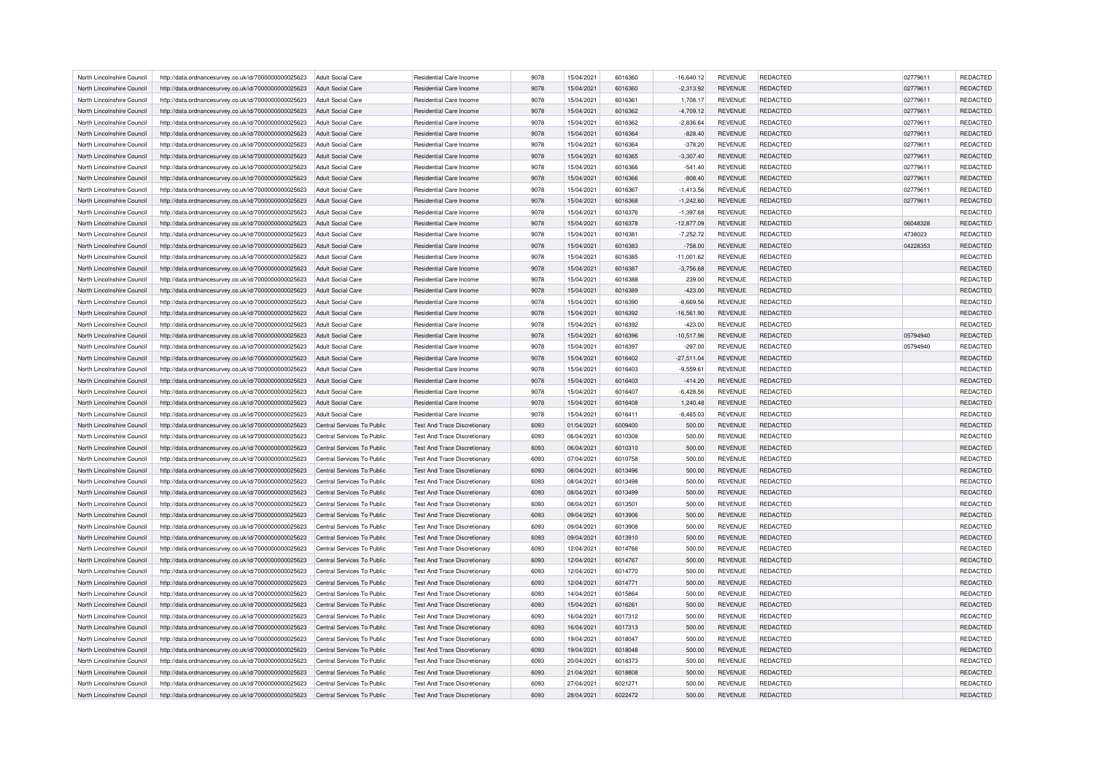| North Lincolnshire Council | http://data.ordnancesurvey.co.uk/id/7000000000025623 | Adult Social Care          | Residential Care Income             | 9078                | 15/04/2021 | 6016360 | $-16,640.12$ | <b>REVENUE</b> | <b>REDACTED</b> | 02779611 | <b>REDACTED</b> |
|----------------------------|------------------------------------------------------|----------------------------|-------------------------------------|---------------------|------------|---------|--------------|----------------|-----------------|----------|-----------------|
| North Lincolnshire Council | http://data.ordnancesurvey.co.uk/id/7000000000025623 | Adult Social Care          | Residential Care Income             | 9078                | 15/04/2021 | 6016360 | $-2,313.92$  | <b>REVENUE</b> | <b>REDACTED</b> | 02779611 | REDACTED        |
| North Lincolnshire Council | http://data.ordnancesurvey.co.uk/id/7000000000025623 | Adult Social Care          | Residential Care Income             | 9078                | 15/04/2021 | 6016361 | 1.708.17     | <b>REVENUE</b> | <b>REDACTED</b> | 02779611 | REDACTED        |
| North Lincolnshire Council | http://data.ordnancesurvey.co.uk/id/7000000000025623 | Adult Social Care          | <b>Residential Care Income</b>      | 9078                | 15/04/2021 | 6016362 | $-4,709.12$  | <b>REVENUE</b> | <b>REDACTED</b> | 02779611 | REDACTED        |
| North Lincolnshire Council | http://data.ordnancesurvey.co.uk/id/7000000000025623 | Adult Social Care          | Residential Care Income             | 9078                | 15/04/2021 | 6016362 | $-2,836.64$  | <b>REVENUE</b> | REDACTED        | 02779611 | REDACTED        |
| North Lincolnshire Council | http://data.ordnancesurvey.co.uk/id/7000000000025623 | Adult Social Care          | Residential Care Income             | 9078                | 15/04/2021 | 6016364 | $-828.40$    | <b>REVENUE</b> | <b>REDACTED</b> | 02779611 | REDACTED        |
| North Lincolnshire Council | http://data.ordnancesurvey.co.uk/id/7000000000025623 | Adult Social Care          | Residential Care Income             | 9078                | 15/04/2021 | 6016364 | $-378.20$    | <b>REVENUE</b> | <b>REDACTED</b> | 02779611 | REDACTED        |
| North Lincolnshire Council | http://data.ordnancesurvey.co.uk/id/7000000000025623 | Adult Social Care          | Residential Care Income             | 9078                | 15/04/2021 | 6016365 | $-3,307.40$  | <b>REVENUE</b> | <b>REDACTED</b> | 02779611 | REDACTED        |
| North Lincolnshire Council | http://data.ordnancesurvey.co.uk/id/7000000000025623 | <b>Adult Social Care</b>   | Residential Care Income             | 9078                | 15/04/2021 | 6016366 | $-541.40$    | <b>REVENUE</b> | <b>REDACTED</b> | 02779611 | REDACTED        |
| North Lincolnshire Council | http://data.ordnancesurvey.co.uk/id/7000000000025623 | <b>Adult Social Care</b>   | <b>Residential Care Income</b>      | 9078                | 15/04/2021 | 6016366 | $-808.40$    | <b>REVENUE</b> | REDACTED        | 02779611 | REDACTED        |
| North Lincolnshire Council | http://data.ordnancesurvey.co.uk/id/7000000000025623 | Adult Social Care          | Residential Care Income             | 9078                | 15/04/2021 | 6016367 | $-1,413.56$  | <b>REVENUE</b> | REDACTED        | 02779611 | REDACTED        |
| North Lincolnshire Council | http://data.ordnancesurvey.co.uk/id/7000000000025623 | Adult Social Care          | Residential Care Income             | 9078                | 15/04/2021 | 6016368 | $-1,242.60$  | <b>REVENUE</b> | <b>REDACTED</b> | 02779611 | REDACTED        |
| North Lincolnshire Council | http://data.ordnancesurvey.co.uk/id/7000000000025623 | <b>Adult Social Care</b>   | Residential Care Income             | 9078                | 15/04/2021 | 6016376 | $-1,397.68$  | <b>REVENUE</b> | <b>REDACTED</b> |          | REDACTED        |
| North Lincolnshire Council | http://data.ordnancesurvey.co.uk/id/7000000000025623 | Adult Social Care          | Residential Care Income             | 9078                | 15/04/2021 | 6016378 | $-12,877.09$ | <b>REVENUE</b> | <b>REDACTED</b> | 06048328 | REDACTED        |
|                            |                                                      |                            |                                     |                     |            |         |              |                |                 |          |                 |
| North Lincolnshire Council | http://data.ordnancesurvey.co.uk/id/7000000000025623 | Adult Social Care          | Residential Care Income             | 9078                | 15/04/2021 | 6016381 | $-7,252.72$  | <b>REVENUE</b> | <b>REDACTED</b> | 4738023  | REDACTED        |
| North Lincolnshire Council | http://data.ordnancesurvey.co.uk/id/7000000000025623 | <b>Adult Social Care</b>   | Residential Care Income             | 9078                | 15/04/2021 | 6016383 | $-758.00$    | <b>REVENUE</b> | REDACTED        | 04228353 | REDACTED        |
| North Lincolnshire Council | http://data.ordnancesurvey.co.uk/id/7000000000025623 | <b>Adult Social Care</b>   | <b>Residential Care Income</b>      | 9078                | 15/04/2021 | 6016385 | $-11,001.62$ | <b>REVENUE</b> | REDACTED        |          | REDACTED        |
| North Lincolnshire Council | http://data.ordnancesurvey.co.uk/id/7000000000025623 | <b>Adult Social Care</b>   | <b>Residential Care Income</b>      | 9078                | 15/04/2021 | 6016387 | $-3,756.68$  | <b>REVENUE</b> | <b>REDACTED</b> |          | <b>REDACTED</b> |
| North Lincolnshire Council | http://data.ordnancesurvey.co.uk/id/7000000000025623 | <b>Adult Social Care</b>   | Residential Care Income             | 9078                | 15/04/2021 | 6016388 | 239.00       | <b>REVENUE</b> | REDACTED        |          | REDACTED        |
| North Lincolnshire Council | http://data.ordnancesurvey.co.uk/id/7000000000025623 | Adult Social Care          | Residential Care Income             | 9078                | 15/04/2021 | 6016389 | $-423.00$    | <b>REVENUE</b> | <b>REDACTED</b> |          | REDACTED        |
| North Lincolnshire Council | http://data.ordnancesurvey.co.uk/id/7000000000025623 | Adult Social Care          | Residential Care Income             | 9078                | 15/04/2021 | 6016390 | $-8.669.56$  | <b>REVENUE</b> | <b>REDACTED</b> |          | <b>REDACTED</b> |
| North Lincolnshire Council | http://data.ordnancesurvey.co.uk/id/7000000000025623 | <b>Adult Social Care</b>   | Residential Care Income             | 9078                | 15/04/2021 | 6016392 | $-16,561.90$ | <b>REVENUE</b> | REDACTED        |          | REDACTED        |
| North Lincolnshire Council | http://data.ordnancesurvey.co.uk/id/7000000000025623 | <b>Adult Social Care</b>   | Residential Care Income             | 9078                | 15/04/2021 | 6016392 | $-423.00$    | <b>REVENUE</b> | REDACTED        |          | REDACTED        |
| North Lincolnshire Council | http://data.ordnancesurvey.co.uk/id/7000000000025623 | Adult Social Care          | Residential Care Income             | 9078                | 15/04/2021 | 6016396 | $-10.517.96$ | <b>REVENUE</b> | <b>REDACTED</b> | 05794940 | <b>REDACTED</b> |
| North Lincolnshire Council | http://data.ordnancesurvey.co.uk/id/7000000000025623 | <b>Adult Social Care</b>   | Residential Care Income             | 9078                | 15/04/2021 | 6016397 | $-297.00$    | <b>REVENUE</b> | <b>REDACTED</b> | 05794940 | <b>REDACTED</b> |
| North Lincolnshire Council | http://data.ordnancesurvey.co.uk/id/7000000000025623 | Adult Social Care          | Residential Care Income             | 9078                | 15/04/2021 | 6016402 | $-27,511.04$ | <b>REVENUE</b> | REDACTED        |          | REDACTED        |
| North Lincolnshire Council | http://data.ordnancesurvey.co.uk/id/7000000000025623 | Adult Social Care          | Residential Care Income             | 9078                | 15/04/2021 | 6016403 | $-9.559.61$  | <b>REVENUE</b> | <b>REDACTED</b> |          | REDACTED        |
| North Lincolnshire Council | http://data.ordnancesurvey.co.uk/id/7000000000025623 | Adult Social Care          | Residential Care Income             | 9078                | 15/04/2021 | 6016403 | $-414.20$    | <b>REVENUE</b> | REDACTED        |          | REDACTED        |
| North Lincolnshire Council | http://data.ordnancesurvey.co.uk/id/7000000000025623 | Adult Social Care          | Residential Care Income             | 9078                | 15/04/2021 | 6016407 | $-6,428.56$  | <b>REVENUE</b> | <b>REDACTED</b> |          | REDACTED        |
| North Lincolnshire Council | http://data.ordnancesurvey.co.uk/id/7000000000025623 | Adult Social Care          | Residential Care Income             | 9078                | 15/04/2021 | 6016408 | 1,240.48     | <b>REVENUE</b> | <b>REDACTED</b> |          | REDACTED        |
| North Lincolnshire Council | http://data.ordnancesurvey.co.uk/id/7000000000025623 | Adult Social Care          | Residential Care Income             | 9078                | 15/04/2021 | 6016411 | $-8,465.03$  | <b>REVENUE</b> | <b>REDACTED</b> |          | <b>REDACTED</b> |
| North Lincolnshire Council | http://data.ordnancesurvey.co.uk/id/7000000000025623 | Central Services To Public | <b>Test And Trace Discretionary</b> | 6093                | 01/04/2021 | 6009400 | 500.00       | <b>REVENUE</b> | REDACTED        |          | REDACTED        |
| North Lincolnshire Council | http://data.ordnancesurvey.co.uk/id/7000000000025623 | Central Services To Public | Test And Trace Discretionary        | 6093                | 06/04/2021 | 6010308 | 500.00       | <b>REVENUE</b> | <b>REDACTED</b> |          | <b>REDACTED</b> |
| North Lincolnshire Council | http://data.ordnancesurvey.co.uk/id/7000000000025623 | Central Services To Public | <b>Test And Trace Discretionary</b> | 6093                | 06/04/2021 | 6010310 | 500.00       | <b>REVENUE</b> | <b>REDACTED</b> |          | REDACTED        |
| North Lincolnshire Council | http://data.ordnancesurvey.co.uk/id/7000000000025623 | Central Services To Public | Test And Trace Discretionary        | 6093                | 07/04/2021 | 6010758 | 500.00       | <b>REVENUE</b> | <b>REDACTED</b> |          | <b>REDACTED</b> |
| North Lincolnshire Council | http://data.ordnancesurvey.co.uk/id/7000000000025623 | Central Services To Public | Test And Trace Discretionary        | 6093                | 08/04/2021 | 6013496 | 500.00       | <b>REVENUE</b> | <b>REDACTED</b> |          | <b>REDACTED</b> |
| North Lincolnshire Council | http://data.ordnancesurvey.co.uk/id/7000000000025623 | Central Services To Public | <b>Test And Trace Discretionary</b> | 6093                | 08/04/2021 | 6013498 | 500.00       | <b>REVENUE</b> | REDACTED        |          | REDACTED        |
| North Lincolnshire Council | http://data.ordnancesurvey.co.uk/id/7000000000025623 | Central Services To Public | Test And Trace Discretionary        | 6093                | 08/04/2021 | 6013499 | 500.00       | <b>REVENUE</b> | <b>REDACTED</b> |          | <b>REDACTED</b> |
| North Lincolnshire Council | http://data.ordnancesurvey.co.uk/id/7000000000025623 | Central Services To Public | <b>Test And Trace Discretionary</b> | 6093                | 08/04/2021 | 6013501 | 500.00       | <b>REVENUE</b> | <b>REDACTED</b> |          | <b>REDACTED</b> |
| North Lincolnshire Council | http://data.ordnancesurvey.co.uk/id/7000000000025623 | Central Services To Public | <b>Test And Trace Discretionary</b> | 6093                | 09/04/2021 | 6013906 | 500.00       | <b>REVENUE</b> | REDACTED        |          | REDACTED        |
| North Lincolnshire Council | http://data.ordnancesurvey.co.uk/id/7000000000025623 | Central Services To Public | Test And Trace Discretionary        | 6093                | 09/04/2021 | 6013908 | 500.00       | <b>REVENUE</b> | <b>REDACTED</b> |          | <b>REDACTED</b> |
| North Lincolnshire Council | http://data.ordnancesurvey.co.uk/id/7000000000025623 | Central Services To Public | Test And Trace Discretionary        | 6093                | 09/04/2021 | 6013910 | 500.00       | <b>REVENUE</b> | <b>REDACTED</b> |          | REDACTED        |
| North Lincolnshire Council | http://data.ordnancesurvey.co.uk/id/7000000000025623 | Central Services To Public | Test And Trace Discretionary        | 6093                | 12/04/2021 | 6014766 | 500.00       | <b>REVENUE</b> | REDACTED        |          | REDACTED        |
| North Lincolnshire Council | http://data.ordnancesurvey.co.uk/id/7000000000025623 | Central Services To Public | Test And Trace Discretionary        | 6093                | 12/04/2021 | 6014767 | 500.00       | <b>REVENUE</b> | <b>REDACTED</b> |          | REDACTED        |
| North Lincolnshire Council | http://data.ordnancesurvey.co.uk/id/7000000000025623 | Central Services To Public | <b>Test And Trace Discretionary</b> | 6093                | 12/04/2021 | 6014770 | 500.00       | <b>REVENUE</b> | <b>REDACTED</b> |          | <b>REDACTED</b> |
| North Lincolnshire Council | http://data.ordnancesurvey.co.uk/id/7000000000025623 | Central Services To Public | <b>Test And Trace Discretionary</b> | 6093                | 12/04/2021 | 6014771 | 500.00       | <b>REVENUE</b> | REDACTED        |          | REDACTED        |
| North Lincolnshire Council | http://data.ordnancesurvey.co.uk/id/7000000000025623 | Central Services To Public | Test And Trace Discretionary        | 6093                | 14/04/2021 | 6015864 | 500.00       | <b>REVENUE</b> | REDACTED        |          | REDACTED        |
| North Lincolnshire Council | http://data.ordnancesurvey.co.uk/id/7000000000025623 | Central Services To Public | <b>Test And Trace Discretionary</b> | 6093                | 15/04/2021 | 6016261 | 500.00       | <b>REVENUE</b> | <b>REDACTED</b> |          | <b>REDACTED</b> |
| North Lincolnshire Council | http://data.ordnancesurvey.co.uk/id/7000000000025623 | Central Services To Public | <b>Test And Trace Discretionary</b> | 6093                | 16/04/2021 | 6017312 | 500.00       | <b>REVENUE</b> | <b>REDACTED</b> |          | <b>REDACTED</b> |
| North Lincolnshire Council | http://data.ordnancesurvey.co.uk/id/7000000000025623 | Central Services To Public | <b>Test And Trace Discretionary</b> | 6093                | 16/04/2021 | 6017313 | 500.00       | <b>REVENUE</b> | <b>REDACTED</b> |          | REDACTED        |
| North Lincolnshire Council | http://data.ordnancesurvey.co.uk/id/7000000000025623 | Central Services To Public | <b>Test And Trace Discretionary</b> | 6093                | 19/04/2021 | 6018047 | 500.00       | <b>REVENUE</b> | <b>REDACTED</b> |          | REDACTED        |
| North Lincolnshire Council |                                                      | Central Services To Public | <b>Test And Trace Discretionary</b> | 6093                | 19/04/2021 | 6018048 | 500.00       | <b>REVENUE</b> | REDACTED        |          | REDACTED        |
|                            | http://data.ordnancesurvey.co.uk/id/7000000000025623 |                            |                                     |                     |            |         |              |                |                 |          |                 |
| North Lincolnshire Council | http://data.ordnancesurvey.co.uk/id/7000000000025623 | Central Services To Public | Test And Trace Discretionary        | 6093<br><b>CP03</b> | 20/04/2021 | 6018373 | 500.00       | <b>REVENUE</b> | <b>REDACTED</b> |          | REDACTED        |
| North Lincolnshire Council | http://data.ordnancesurvey.co.uk/id/7000000000025623 | Central Services To Public | Test And Trace Discretionary        | 6093                | 21/04/2021 | 6018808 | 500.00       | <b>REVENUE</b> | <b>REDACTED</b> |          | REDACTED        |
| North Lincolnshire Council | http://data.ordnancesurvey.co.uk/id/7000000000025623 | Central Services To Public | <b>Test And Trace Discretionary</b> |                     | 27/04/2021 | 6021271 | 500.00       | <b>REVENUE</b> | <b>REDACTED</b> |          | <b>REDACTED</b> |
| North Lincolnshire Council | http://data.ordnancesurvey.co.uk/id/7000000000025623 | Central Services To Public | <b>Test And Trace Discretionary</b> | 6093                | 28/04/2021 | 6022472 | 500.00       | <b>REVENUE</b> | <b>REDACTED</b> |          | REDACTED        |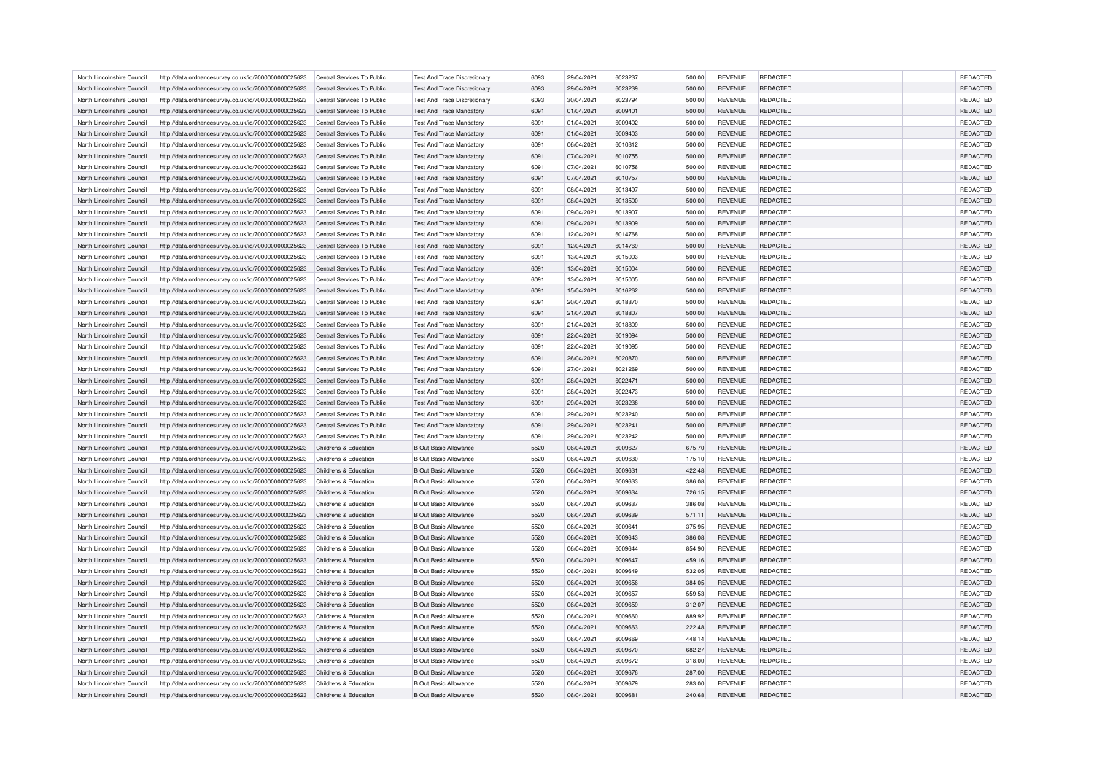| North Lincolnshire Council | http://data.ordnancesurvey.co.uk/id/7000000000025623 | Central Services To Public | Test And Trace Discretionary        | 6093 | 29/04/2021 | 6023237 | 500.00           | <b>REVENUE</b> | <b>REDACTED</b> | <b>REDACTED</b>      |
|----------------------------|------------------------------------------------------|----------------------------|-------------------------------------|------|------------|---------|------------------|----------------|-----------------|----------------------|
| North Lincolnshire Council | http://data.ordnancesurvey.co.uk/id/7000000000025623 | Central Services To Public | Test And Trace Discretionary        | 6093 | 29/04/2021 | 6023239 | 500.00           | <b>REVENUE</b> | <b>REDACTED</b> | <b>REDACTED</b>      |
| North Lincolnshire Council | http://data.ordnancesurvey.co.uk/id/7000000000025623 | Central Services To Public | <b>Test And Trace Discretionary</b> | 6093 | 30/04/2021 | 6023794 | 500.00           | <b>REVENUE</b> | <b>REDACTED</b> | <b>REDACTED</b>      |
| North Lincolnshire Council | http://data.ordnancesurvey.co.uk/id/7000000000025623 | Central Services To Public | <b>Test And Trace Mandatory</b>     | 6091 | 01/04/2021 | 6009401 | 500.00           | <b>REVENUE</b> | <b>REDACTED</b> | REDACTED             |
| North Lincolnshire Council | http://data.ordnancesurvey.co.uk/id/7000000000025623 | Central Services To Public | <b>Test And Trace Mandatory</b>     | 6091 | 01/04/2021 | 6009402 | 500.00           | <b>REVENUE</b> | <b>REDACTED</b> | <b>REDACTED</b>      |
| North Lincolnshire Council | http://data.ordnancesurvey.co.uk/id/7000000000025623 | Central Services To Public | <b>Test And Trace Mandatory</b>     | 6091 | 01/04/2021 | 6009403 | 500.00           | <b>REVENUE</b> | <b>REDACTED</b> | REDACTED             |
| North Lincolnshire Council | http://data.ordnancesurvey.co.uk/id/7000000000025623 | Central Services To Public | <b>Test And Trace Mandatory</b>     | 6091 | 06/04/2021 | 6010312 | 500.00           | <b>REVENUE</b> | REDACTED        | REDACTED             |
| North Lincolnshire Council | http://data.ordnancesurvey.co.uk/id/7000000000025623 | Central Services To Public | <b>Test And Trace Mandatory</b>     | 6091 | 07/04/2021 | 6010755 | 500.00           | <b>REVENUE</b> | <b>REDACTED</b> | REDACTED             |
| North Lincolnshire Council | http://data.ordnancesurvey.co.uk/id/7000000000025623 | Central Services To Public | <b>Test And Trace Mandatory</b>     | 6091 | 07/04/2021 | 6010756 | 500.00           | <b>REVENUE</b> | <b>REDACTED</b> | <b>REDACTED</b>      |
| North Lincolnshire Council | http://data.ordnancesurvey.co.uk/id/7000000000025623 | Central Services To Public | <b>Test And Trace Mandatory</b>     | 6091 | 07/04/2021 | 6010757 | 500.00           | <b>REVENUE</b> | <b>REDACTED</b> | REDACTED             |
| North Lincolnshire Council | http://data.ordnancesurvey.co.uk/id/7000000000025623 | Central Services To Public | <b>Test And Trace Mandatory</b>     | 6091 | 08/04/2021 | 6013497 | 500.00           | <b>REVENUE</b> | <b>REDACTED</b> | REDACTED             |
| North Lincolnshire Council | http://data.ordnancesurvey.co.uk/id/7000000000025623 | Central Services To Public | <b>Test And Trace Mandatory</b>     | 6091 | 08/04/2021 | 6013500 | 500.00           | <b>REVENUE</b> | <b>REDACTED</b> | REDACTED             |
| North Lincolnshire Council | http://data.ordnancesurvey.co.uk/id/7000000000025623 | Central Services To Public | <b>Test And Trace Mandatory</b>     | 6091 | 09/04/2021 | 6013907 | 500.00           | <b>REVENUE</b> | REDACTED        | REDACTED             |
| North Lincolnshire Council | http://data.ordnancesurvey.co.uk/id/7000000000025623 | Central Services To Public | <b>Test And Trace Mandatory</b>     | 6091 | 09/04/2021 | 6013909 | 500.00           | <b>REVENUE</b> | <b>REDACTED</b> | REDACTED             |
| North Lincolnshire Council | http://data.ordnancesurvey.co.uk/id/7000000000025623 | Central Services To Public | <b>Test And Trace Mandatory</b>     | 6091 | 12/04/2021 | 6014768 | 500.00           | <b>REVENUE</b> | <b>REDACTED</b> | <b>REDACTED</b>      |
| North Lincolnshire Council | http://data.ordnancesurvey.co.uk/id/7000000000025623 | Central Services To Public | <b>Test And Trace Mandatory</b>     | 6091 | 12/04/2021 | 6014769 | 500.00           | <b>REVENUE</b> | <b>REDACTED</b> | <b>REDACTED</b>      |
| North Lincolnshire Council | http://data.ordnancesurvey.co.uk/id/7000000000025623 | Central Services To Public | <b>Test And Trace Mandatory</b>     | 6091 | 13/04/2021 | 6015003 | 500.00           | <b>REVENUE</b> | REDACTED        | <b>REDACTED</b>      |
|                            |                                                      |                            |                                     |      |            |         |                  |                |                 |                      |
| North Lincolnshire Council | http://data.ordnancesurvey.co.uk/id/7000000000025623 | Central Services To Public | <b>Test And Trace Mandatory</b>     | 6091 | 13/04/2021 | 6015004 | 500.00           | <b>REVENUE</b> | <b>REDACTED</b> | REDACTED             |
| North Lincolnshire Council | http://data.ordnancesurvey.co.uk/id/7000000000025623 | Central Services To Public | <b>Test And Trace Mandatory</b>     | 6091 | 13/04/2021 | 6015005 | 500.00           | <b>REVENUE</b> | <b>REDACTED</b> | REDACTED             |
| North Lincolnshire Council | http://data.ordnancesurvey.co.uk/id/7000000000025623 | Central Services To Public | <b>Test And Trace Mandatory</b>     | 6091 | 15/04/2021 | 6016262 | 500.00           | <b>REVENUE</b> | <b>REDACTED</b> | REDACTED             |
| North Lincolnshire Council | http://data.ordnancesurvey.co.uk/id/7000000000025623 | Central Services To Public | <b>Test And Trace Mandatory</b>     | 6091 | 20/04/2021 | 6018370 | 500.00           | <b>REVENUE</b> | <b>REDACTED</b> | REDACTED             |
| North Lincolnshire Council | http://data.ordnancesurvey.co.uk/id/7000000000025623 | Central Services To Public | <b>Test And Trace Mandatory</b>     | 6091 | 21/04/2021 | 6018807 | 500.00           | <b>REVENUE</b> | <b>REDACTED</b> | REDACTED             |
| North Lincolnshire Council | http://data.ordnancesurvey.co.uk/id/7000000000025623 | Central Services To Public | <b>Test And Trace Mandatory</b>     | 6091 | 21/04/2021 | 6018809 | 500.00           | <b>REVENUE</b> | <b>REDACTED</b> | REDACTED             |
| North Lincolnshire Council | http://data.ordnancesurvey.co.uk/id/7000000000025623 | Central Services To Public | <b>Test And Trace Mandatory</b>     | 6091 | 22/04/2021 | 6019094 | 500.00           | <b>REVENUE</b> | <b>REDACTED</b> | REDACTED             |
| North Lincolnshire Council | http://data.ordnancesurvey.co.uk/id/7000000000025623 | Central Services To Public | <b>Test And Trace Mandatory</b>     | 6091 | 22/04/2021 | 6019095 | 500.00           | <b>REVENUE</b> | REDACTED        | REDACTED             |
| North Lincolnshire Council | http://data.ordnancesurvey.co.uk/id/7000000000025623 | Central Services To Public | <b>Test And Trace Mandatory</b>     | 6091 | 26/04/2021 | 6020870 | 500.00           | <b>REVENUE</b> | <b>REDACTED</b> | REDACTED             |
| North Lincolnshire Council | http://data.ordnancesurvey.co.uk/id/7000000000025623 | Central Services To Public | <b>Test And Trace Mandatory</b>     | 6091 | 27/04/2021 | 6021269 | 500.00           | <b>REVENUE</b> | <b>REDACTED</b> | REDACTED             |
| North Lincolnshire Council | http://data.ordnancesurvey.co.uk/id/7000000000025623 | Central Services To Public | <b>Test And Trace Mandatory</b>     | 6091 | 28/04/2021 | 6022471 | 500.00           | <b>REVENUE</b> | <b>REDACTED</b> | REDACTED             |
| North Lincolnshire Council | http://data.ordnancesurvey.co.uk/id/7000000000025623 | Central Services To Public | <b>Test And Trace Mandatory</b>     | 6091 | 28/04/2021 | 6022473 | 500.00           | <b>REVENUE</b> | <b>REDACTED</b> | REDACTED             |
| North Lincolnshire Council | http://data.ordnancesurvey.co.uk/id/7000000000025623 | Central Services To Public | <b>Test And Trace Mandatory</b>     | 6091 | 29/04/2021 | 6023238 | 500.00           | <b>REVENUE</b> | <b>REDACTED</b> | REDACTED             |
| North Lincolnshire Council | http://data.ordnancesurvey.co.uk/id/7000000000025623 | Central Services To Public | <b>Test And Trace Mandatory</b>     | 6091 | 29/04/2021 | 6023240 | 500.00           | <b>REVENUE</b> | <b>REDACTED</b> | REDACTED             |
| North Lincolnshire Council | http://data.ordnancesurvey.co.uk/id/7000000000025623 | Central Services To Public | <b>Test And Trace Mandatory</b>     | 6091 | 29/04/2021 | 6023241 | 500.00           | <b>REVENUE</b> | REDACTED        | REDACTED             |
| North Lincolnshire Council | http://data.ordnancesurvey.co.uk/id/7000000000025623 | Central Services To Public | <b>Test And Trace Mandatory</b>     | 6091 | 29/04/2021 | 6023242 | 500.00           | <b>REVENUE</b> | <b>REDACTED</b> | REDACTED             |
| North Lincolnshire Council | http://data.ordnancesurvey.co.uk/id/7000000000025623 | Childrens & Education      | <b>B Out Basic Allowance</b>        | 5520 | 06/04/2021 | 6009627 | 675.70           | <b>REVENUE</b> | REDACTED        | REDACTED             |
| North Lincolnshire Council |                                                      | Childrens & Education      | <b>B Out Basic Allowance</b>        | 5520 | 06/04/2021 | 6009630 |                  | <b>REVENUE</b> | REDACTED        |                      |
| North Lincolnshire Council | http://data.ordnancesurvey.co.uk/id/7000000000025623 | Childrens & Education      | <b>B Out Basic Allowance</b>        | 5520 | 06/04/2021 | 6009631 | 175.10<br>422.48 | <b>REVENUE</b> | <b>REDACTED</b> | REDACTED<br>REDACTED |
|                            | http://data.ordnancesurvey.co.uk/id/7000000000025623 |                            |                                     |      |            |         |                  |                |                 |                      |
| North Lincolnshire Council | http://data.ordnancesurvey.co.uk/id/7000000000025623 | Childrens & Education      | <b>B</b> Out Basic Allowance        | 5520 | 06/04/2021 | 6009633 | 386.08           | <b>REVENUE</b> | <b>REDACTED</b> | REDACTED             |
| North Lincolnshire Council | http://data.ordnancesurvey.co.uk/id/7000000000025623 | Childrens & Education      | <b>B Out Basic Allowance</b>        | 5520 | 06/04/2021 | 6009634 | 726.15           | <b>REVENUE</b> | <b>REDACTED</b> | <b>REDACTED</b>      |
| North Lincolnshire Council | http://data.ordnancesurvey.co.uk/id/7000000000025623 | Childrens & Education      | <b>B Out Basic Allowance</b>        | 5520 | 06/04/2021 | 6009637 | 386.08           | <b>REVENUE</b> | <b>REDACTED</b> | REDACTED             |
| North Lincolnshire Council | http://data.ordnancesurvey.co.uk/id/7000000000025623 | Childrens & Education      | <b>B Out Basic Allowance</b>        | 5520 | 06/04/2021 | 6009639 | 571.11           | <b>REVENUE</b> | <b>REDACTED</b> | <b>REDACTED</b>      |
| North Lincolnshire Council | http://data.ordnancesurvey.co.uk/id/7000000000025623 | Childrens & Education      | <b>B Out Basic Allowance</b>        | 5520 | 06/04/2021 | 6009641 | 375.95           | <b>REVENUE</b> | <b>REDACTED</b> | <b>REDACTED</b>      |
| North Lincolnshire Council | http://data.ordnancesurvey.co.uk/id/7000000000025623 | Childrens & Education      | <b>B Out Basic Allowance</b>        | 5520 | 06/04/2021 | 6009643 | 386.08           | <b>REVENUE</b> | <b>REDACTED</b> | REDACTED             |
| North Lincolnshire Council | http://data.ordnancesurvey.co.uk/id/7000000000025623 | Childrens & Education      | <b>B Out Basic Allowance</b>        | 5520 | 06/04/2021 | 6009644 | 854.90           | <b>REVENUE</b> | REDACTED        | REDACTED             |
| North Lincolnshire Council | http://data.ordnancesurvey.co.uk/id/7000000000025623 | Childrens & Education      | <b>B Out Basic Allowance</b>        | 5520 | 06/04/2021 | 6009647 | 459.16           | <b>REVENUE</b> | <b>REDACTED</b> | REDACTED             |
| North Lincolnshire Council | http://data.ordnancesurvey.co.uk/id/7000000000025623 | Childrens & Education      | <b>B Out Basic Allowance</b>        | 5520 | 06/04/2021 | 6009649 | 532.05           | <b>REVENUE</b> | <b>REDACTED</b> | <b>REDACTED</b>      |
| North Lincolnshire Council | http://data.ordnancesurvey.co.uk/id/7000000000025623 | Childrens & Education      | <b>B Out Basic Allowance</b>        | 5520 | 06/04/2021 | 6009656 | 384.05           | REVENUE        | REDACTED        | REDACTED             |
| North Lincolnshire Council | http://data.ordnancesurvey.co.uk/id/7000000000025623 | Childrens & Education      | <b>B Out Basic Allowance</b>        | 5520 | 06/04/2021 | 6009657 | 559.53           | <b>REVENUE</b> | <b>REDACTED</b> | REDACTED             |
| North Lincolnshire Council | http://data.ordnancesurvey.co.uk/id/7000000000025623 | Childrens & Education      | <b>B Out Basic Allowance</b>        | 5520 | 06/04/2021 | 6009659 | 312.07           | <b>REVENUE</b> | <b>REDACTED</b> | <b>REDACTED</b>      |
| North Lincolnshire Council | http://data.ordnancesurvey.co.uk/id/7000000000025623 | Childrens & Education      | <b>B Out Basic Allowance</b>        | 5520 | 06/04/2021 | 6009660 | 889.92           | <b>REVENUE</b> | <b>REDACTED</b> | REDACTED             |
| North Lincolnshire Council | http://data.ordnancesurvey.co.uk/id/7000000000025623 | Childrens & Education      | <b>B Out Basic Allowance</b>        | 5520 | 06/04/2021 | 6009663 | 222.48           | <b>REVENUE</b> | REDACTED        | REDACTED             |
| North Lincolnshire Council | http://data.ordnancesurvey.co.uk/id/7000000000025623 | Childrens & Education      | <b>B Out Basic Allowance</b>        | 5520 | 06/04/2021 | 6009669 | 448.14           | <b>REVENUE</b> | <b>REDACTED</b> | <b>REDACTED</b>      |
| North Lincolnshire Council | http://data.ordnancesurvey.co.uk/id/7000000000025623 | Childrens & Education      | <b>B Out Basic Allowance</b>        | 5520 | 06/04/2021 | 6009670 | 682.27           | <b>REVENUE</b> | REDACTED        | REDACTED             |
| North Lincolnshire Council | http://data.ordnancesurvey.co.uk/id/7000000000025623 | Childrens & Education      | <b>B Out Basic Allowance</b>        | 5520 | 06/04/2021 | 6009672 | 318.00           | <b>REVENUE</b> | <b>REDACTED</b> | REDACTED             |
| North Lincolnshire Council | http://data.ordnancesurvey.co.uk/id/7000000000025623 | Childrens & Education      | <b>B Out Basic Allowance</b>        | 5520 | 06/04/2021 | 6009676 | 287.00           | <b>REVENUE</b> | <b>REDACTED</b> | <b>REDACTED</b>      |
|                            |                                                      |                            | <b>B Out Basic Allowance</b>        | 5520 | 06/04/2021 | 6009679 |                  | <b>REVENUE</b> | <b>REDACTED</b> | <b>REDACTED</b>      |
| North Lincolnshire Council | http://data.ordnancesurvey.co.uk/id/7000000000025623 | Childrens & Education      |                                     |      |            |         | 283.00           |                |                 |                      |
| North Lincolnshire Council | http://data.ordnancesurvey.co.uk/id/7000000000025623 | Childrens & Education      | <b>B Out Basic Allowance</b>        | 5520 | 06/04/2021 | 6009681 | 240.68           | <b>REVENUE</b> | <b>REDACTED</b> | REDACTED             |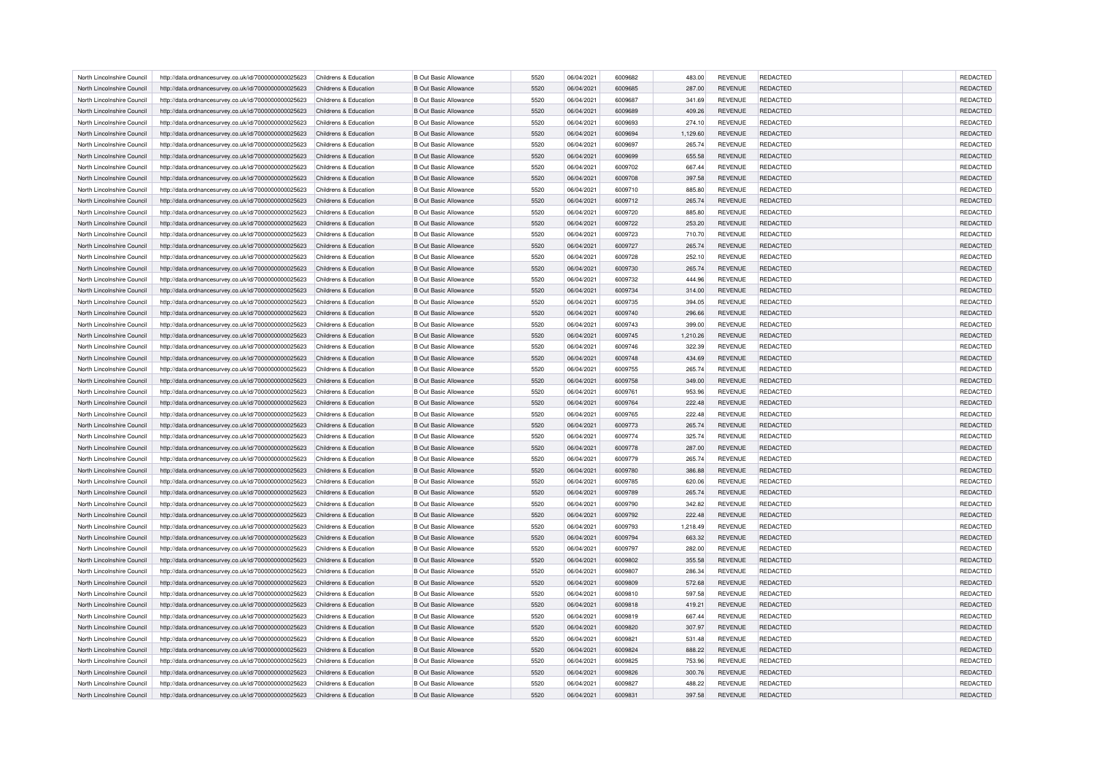| North Lincolnshire Council | http://data.ordnancesurvey.co.uk/id/7000000000025623                                                         | Childrens & Education | <b>B Out Basic Allowance</b> | 5520 | 06/04/2021 | 6009682 | 483.00   | <b>REVENUE</b> | <b>REDACTED</b> | <b>REDACTED</b> |
|----------------------------|--------------------------------------------------------------------------------------------------------------|-----------------------|------------------------------|------|------------|---------|----------|----------------|-----------------|-----------------|
| North Lincolnshire Council | http://data.ordnancesurvey.co.uk/id/7000000000025623                                                         | Childrens & Education | <b>B Out Basic Allowance</b> | 5520 | 06/04/2021 | 6009685 | 287.00   | <b>REVENUE</b> | <b>REDACTED</b> | <b>REDACTED</b> |
| North Lincolnshire Council | http://data.ordnancesurvey.co.uk/id/7000000000025623                                                         | Childrens & Education | <b>B Out Basic Allowance</b> | 5520 | 06/04/2021 | 6009687 | 341.69   | <b>REVENUE</b> | <b>REDACTED</b> | REDACTED        |
| North Lincolnshire Council | http://data.ordnancesurvey.co.uk/id/7000000000025623                                                         | Childrens & Education | <b>B Out Basic Allowance</b> | 5520 | 06/04/2021 | 6009689 | 409.26   | <b>REVENUE</b> | <b>REDACTED</b> | REDACTED        |
| North Lincolnshire Council | http://data.ordnancesurvey.co.uk/id/7000000000025623                                                         | Childrens & Education | <b>B Out Basic Allowance</b> | 5520 | 06/04/2021 | 6009693 | 274.10   | <b>REVENUE</b> | REDACTED        | REDACTED        |
| North Lincolnshire Council | http://data.ordnancesurvey.co.uk/id/7000000000025623                                                         | Childrens & Education | <b>B Out Basic Allowance</b> | 5520 | 06/04/2021 | 6009694 | 1,129.60 | <b>REVENUE</b> | <b>REDACTED</b> | REDACTED        |
| North Lincolnshire Council | http://data.ordnancesurvey.co.uk/id/7000000000025623                                                         | Childrens & Education | <b>B Out Basic Allowance</b> | 5520 | 06/04/2021 | 6009697 | 265.74   | <b>REVENUE</b> | <b>REDACTED</b> | REDACTED        |
| North Lincolnshire Council | http://data.ordnancesurvey.co.uk/id/7000000000025623                                                         | Childrens & Education | <b>B Out Basic Allowance</b> | 5520 | 06/04/2021 | 6009699 | 655.58   | <b>REVENUE</b> | <b>REDACTED</b> | <b>REDACTED</b> |
| North Lincolnshire Council | http://data.ordnancesurvey.co.uk/id/7000000000025623                                                         | Childrens & Education | <b>B Out Basic Allowance</b> | 5520 | 06/04/2021 | 6009702 | 667.44   | <b>REVENUE</b> | <b>REDACTED</b> | REDACTED        |
| North Lincolnshire Council | http://data.ordnancesurvey.co.uk/id/7000000000025623                                                         | Childrens & Education | <b>B Out Basic Allowance</b> | 5520 | 06/04/2021 | 6009708 | 397.58   | <b>REVENUE</b> | <b>REDACTED</b> | REDACTED        |
| North Lincolnshire Council | http://data.ordnancesurvey.co.uk/id/7000000000025623                                                         | Childrens & Education | <b>B Out Basic Allowance</b> | 5520 | 06/04/2021 | 6009710 | 885.80   | <b>REVENUE</b> | <b>REDACTED</b> | <b>REDACTED</b> |
| North Lincolnshire Council | http://data.ordnancesurvey.co.uk/id/7000000000025623                                                         | Childrens & Education | <b>B Out Basic Allowance</b> | 5520 | 06/04/2021 | 6009712 | 265.74   | <b>REVENUE</b> | <b>REDACTED</b> | <b>REDACTED</b> |
| North Lincolnshire Council |                                                                                                              | Childrens & Education | <b>B Out Basic Allowance</b> | 5520 | 06/04/2021 | 6009720 | 885.80   | <b>REVENUE</b> | <b>REDACTED</b> | REDACTED        |
| North Lincolnshire Council | http://data.ordnancesurvey.co.uk/id/7000000000025623<br>http://data.ordnancesurvey.co.uk/id/7000000000025623 | Childrens & Education | <b>B Out Basic Allowance</b> | 5520 | 06/04/2021 | 6009722 | 253.20   | <b>REVENUE</b> | <b>REDACTED</b> | <b>REDACTED</b> |
|                            |                                                                                                              |                       |                              |      |            |         |          |                |                 |                 |
| North Lincolnshire Council | http://data.ordnancesurvey.co.uk/id/7000000000025623                                                         | Childrens & Education | <b>B Out Basic Allowance</b> | 5520 | 06/04/2021 | 6009723 | 710.70   | <b>REVENUE</b> | <b>REDACTED</b> | REDACTED        |
| North Lincolnshire Council | http://data.ordnancesurvey.co.uk/id/7000000000025623                                                         | Childrens & Education | <b>B Out Basic Allowance</b> | 5520 | 06/04/2021 | 6009727 | 265.74   | <b>REVENUE</b> | <b>REDACTED</b> | REDACTED        |
| North Lincolnshire Council | http://data.ordnancesurvey.co.uk/id/7000000000025623                                                         | Childrens & Education | <b>B Out Basic Allowance</b> | 5520 | 06/04/2021 | 6009728 | 252.10   | <b>REVENUE</b> | REDACTED        | REDACTED        |
| North Lincolnshire Council | http://data.ordnancesurvey.co.uk/id/7000000000025623                                                         | Childrens & Education | <b>B Out Basic Allowance</b> | 5520 | 06/04/2021 | 6009730 | 265.74   | <b>REVENUE</b> | <b>REDACTED</b> | <b>REDACTED</b> |
| North Lincolnshire Council | http://data.ordnancesurvey.co.uk/id/7000000000025623                                                         | Childrens & Education | <b>B Out Basic Allowance</b> | 5520 | 06/04/2021 | 6009732 | 444.96   | REVENUE        | REDACTED        | REDACTED        |
| North Lincolnshire Council | http://data.ordnancesurvey.co.uk/id/7000000000025623                                                         | Childrens & Education | <b>B Out Basic Allowance</b> | 5520 | 06/04/2021 | 6009734 | 314.00   | <b>REVENUE</b> | REDACTED        | REDACTED        |
| North Lincolnshire Council | http://data.ordnancesurvey.co.uk/id/7000000000025623                                                         | Childrens & Education | <b>B Out Basic Allowance</b> | 5520 | 06/04/2021 | 6009735 | 394.05   | <b>REVENUE</b> | <b>REDACTED</b> | <b>REDACTED</b> |
| North Lincolnshire Council | http://data.ordnancesurvey.co.uk/id/7000000000025623                                                         | Childrens & Education | <b>B Out Basic Allowance</b> | 5520 | 06/04/2021 | 6009740 | 296.66   | <b>REVENUE</b> | REDACTED        | REDACTED        |
| North Lincolnshire Council | http://data.ordnancesurvey.co.uk/id/7000000000025623                                                         | Childrens & Education | <b>B Out Basic Allowance</b> | 5520 | 06/04/2021 | 6009743 | 399.00   | <b>REVENUE</b> | REDACTED        | REDACTED        |
| North Lincolnshire Council | http://data.ordnancesurvey.co.uk/id/7000000000025623                                                         | Childrens & Education | <b>B Out Basic Allowance</b> | 5520 | 06/04/2021 | 6009745 | 1,210.26 | <b>REVENUE</b> | <b>REDACTED</b> | <b>REDACTED</b> |
| North Lincolnshire Council | http://data.ordnancesurvey.co.uk/id/7000000000025623                                                         | Childrens & Education | <b>B Out Basic Allowance</b> | 5520 | 06/04/2021 | 6009746 | 322.39   | <b>REVENUE</b> | <b>REDACTED</b> | <b>REDACTED</b> |
| North Lincolnshire Council | http://data.ordnancesurvey.co.uk/id/7000000000025623                                                         | Childrens & Education | <b>B Out Basic Allowance</b> | 5520 | 06/04/2021 | 6009748 | 434.69   | <b>REVENUE</b> | REDACTED        | REDACTED        |
| North Lincolnshire Council | http://data.ordnancesurvey.co.uk/id/7000000000025623                                                         | Childrens & Education | <b>B Out Basic Allowance</b> | 5520 | 06/04/2021 | 6009755 | 265.74   | <b>REVENUE</b> | <b>REDACTED</b> | REDACTED        |
| North Lincolnshire Council | http://data.ordnancesurvey.co.uk/id/7000000000025623                                                         | Childrens & Education | <b>B Out Basic Allowance</b> | 5520 | 06/04/2021 | 6009758 | 349.00   | <b>REVENUE</b> | REDACTED        | REDACTED        |
| North Lincolnshire Council | http://data.ordnancesurvey.co.uk/id/7000000000025623                                                         | Childrens & Education | <b>B Out Basic Allowance</b> | 5520 | 06/04/2021 | 6009761 | 953.96   | <b>REVENUE</b> | <b>REDACTED</b> | <b>REDACTED</b> |
| North Lincolnshire Council | http://data.ordnancesurvey.co.uk/id/7000000000025623                                                         | Childrens & Education | <b>B Out Basic Allowance</b> | 5520 | 06/04/2021 | 6009764 | 222.48   | <b>REVENUE</b> | <b>REDACTED</b> | REDACTED        |
| North Lincolnshire Council | http://data.ordnancesurvey.co.uk/id/7000000000025623                                                         | Childrens & Education | <b>B Out Basic Allowance</b> | 5520 | 06/04/2021 | 6009765 | 222.48   | <b>REVENUE</b> | <b>REDACTED</b> | REDACTED        |
| North Lincolnshire Council | http://data.ordnancesurvey.co.uk/id/7000000000025623                                                         | Childrens & Education | <b>B Out Basic Allowance</b> | 5520 | 06/04/2021 | 6009773 | 265.74   | <b>REVENUE</b> | REDACTED        | REDACTED        |
| North Lincolnshire Council | http://data.ordnancesurvey.co.uk/id/7000000000025623                                                         | Childrens & Education | <b>B Out Basic Allowance</b> | 5520 | 06/04/2021 | 6009774 | 325.74   | <b>REVENUE</b> | <b>REDACTED</b> | REDACTED        |
| North Lincolnshire Council | http://data.ordnancesurvey.co.uk/id/7000000000025623                                                         | Childrens & Education | <b>B Out Basic Allowance</b> | 5520 | 06/04/2021 | 6009778 | 287.00   | <b>REVENUE</b> | <b>REDACTED</b> | REDACTED        |
| North Lincolnshire Council | http://data.ordnancesurvey.co.uk/id/7000000000025623                                                         | Childrens & Education | <b>B Out Basic Allowance</b> | 5520 | 06/04/2021 | 6009779 | 265.74   | <b>REVENUE</b> | <b>REDACTED</b> | <b>REDACTED</b> |
| North Lincolnshire Council | http://data.ordnancesurvey.co.uk/id/7000000000025623                                                         | Childrens & Education | <b>B Out Basic Allowance</b> | 5520 | 06/04/2021 | 6009780 | 386.88   | <b>REVENUE</b> | <b>REDACTED</b> | REDACTED        |
| North Lincolnshire Council | http://data.ordnancesurvey.co.uk/id/7000000000025623                                                         | Childrens & Education | <b>B Out Basic Allowance</b> | 5520 | 06/04/2021 | 6009785 | 620.06   | REVENUE        | REDACTED        | REDACTED        |
| North Lincolnshire Council | http://data.ordnancesurvey.co.uk/id/7000000000025623                                                         | Childrens & Education | <b>B Out Basic Allowance</b> | 5520 | 06/04/2021 | 6009789 | 265.74   | <b>REVENUE</b> | <b>REDACTED</b> | <b>REDACTED</b> |
| North Lincolnshire Council | http://data.ordnancesurvey.co.uk/id/7000000000025623                                                         | Childrens & Education | <b>B Out Basic Allowance</b> | 5520 | 06/04/2021 | 6009790 | 342.82   | <b>REVENUE</b> | <b>REDACTED</b> | <b>REDACTED</b> |
| North Lincolnshire Council | http://data.ordnancesurvey.co.uk/id/7000000000025623                                                         | Childrens & Education | <b>B Out Basic Allowance</b> | 5520 | 06/04/2021 | 6009792 | 222.48   | <b>REVENUE</b> | REDACTED        | REDACTED        |
| North Lincolnshire Council | http://data.ordnancesurvey.co.uk/id/7000000000025623                                                         | Childrens & Education | <b>B Out Basic Allowance</b> | 5520 | 06/04/2021 | 6009793 | 1,218.49 | <b>REVENUE</b> | <b>REDACTED</b> | <b>REDACTED</b> |
| North Lincolnshire Council | http://data.ordnancesurvey.co.uk/id/7000000000025623                                                         | Childrens & Education | <b>B Out Basic Allowance</b> | 5520 | 06/04/2021 | 6009794 | 663.32   | <b>REVENUE</b> | <b>REDACTED</b> | REDACTED        |
| North Lincolnshire Council | http://data.ordnancesurvey.co.uk/id/7000000000025623                                                         | Childrens & Education | <b>B Out Basic Allowance</b> | 5520 | 06/04/2021 | 6009797 | 282.00   | REVENUE        | REDACTED        | REDACTED        |
| North Lincolnshire Council | http://data.ordnancesurvey.co.uk/id/7000000000025623                                                         | Childrens & Education | <b>B Out Basic Allowance</b> | 5520 | 06/04/2021 | 6009802 | 355.58   | <b>REVENUE</b> | <b>REDACTED</b> | REDACTED        |
| North Lincolnshire Council | http://data.ordnancesurvey.co.uk/id/7000000000025623                                                         | Childrens & Education | <b>B Out Basic Allowance</b> | 5520 | 06/04/2021 | 6009807 | 286.34   | <b>REVENUE</b> | <b>REDACTED</b> | <b>REDACTED</b> |
|                            |                                                                                                              |                       |                              | 5520 |            | 6009809 |          |                |                 | REDACTED        |
| North Lincolnshire Council | http://data.ordnancesurvey.co.uk/id/7000000000025623                                                         | Childrens & Education | <b>B Out Basic Allowance</b> |      | 06/04/2021 |         | 572.68   | <b>REVENUE</b> | REDACTED        |                 |
| North Lincolnshire Council | http://data.ordnancesurvey.co.uk/id/7000000000025623                                                         | Childrens & Education | <b>B Out Basic Allowance</b> | 5520 | 06/04/2021 | 6009810 | 597.58   | <b>REVENUE</b> | REDACTED        | REDACTED        |
| North Lincolnshire Council | http://data.ordnancesurvey.co.uk/id/7000000000025623                                                         | Childrens & Education | <b>B Out Basic Allowance</b> | 5520 | 06/04/2021 | 6009818 | 419.21   | <b>REVENUE</b> | <b>REDACTED</b> | <b>REDACTED</b> |
| North Lincolnshire Council | http://data.ordnancesurvey.co.uk/id/7000000000025623                                                         | Childrens & Education | <b>B Out Basic Allowance</b> | 5520 | 06/04/2021 | 6009819 | 667.44   | <b>REVENUE</b> | <b>REDACTED</b> | <b>REDACTED</b> |
| North Lincolnshire Council | http://data.ordnancesurvey.co.uk/id/7000000000025623                                                         | Childrens & Education | <b>B Out Basic Allowance</b> | 5520 | 06/04/2021 | 6009820 | 307.97   | <b>REVENUE</b> | <b>REDACTED</b> | REDACTED        |
| North Lincolnshire Council | http://data.ordnancesurvey.co.uk/id/7000000000025623                                                         | Childrens & Education | <b>B Out Basic Allowance</b> | 5520 | 06/04/2021 | 6009821 | 531.48   | <b>REVENUE</b> | <b>REDACTED</b> | <b>REDACTED</b> |
| North Lincolnshire Council | http://data.ordnancesurvey.co.uk/id/7000000000025623                                                         | Childrens & Education | <b>B Out Basic Allowance</b> | 5520 | 06/04/2021 | 6009824 | 888.22   | <b>REVENUE</b> | REDACTED        | <b>REDACTED</b> |
| North Lincolnshire Council | http://data.ordnancesurvey.co.uk/id/7000000000025623                                                         | Childrens & Education | <b>B Out Basic Allowance</b> | 5520 | 06/04/2021 | 6009825 | 753.96   | <b>REVENUE</b> | REDACTED        | REDACTED        |
| North Lincolnshire Council | http://data.ordnancesurvey.co.uk/id/7000000000025623                                                         | Childrens & Education | <b>B Out Basic Allowance</b> | 5520 | 06/04/2021 | 6009826 | 300.76   | <b>REVENUE</b> | <b>REDACTED</b> | <b>REDACTED</b> |
| North Lincolnshire Council | http://data.ordnancesurvey.co.uk/id/7000000000025623                                                         | Childrens & Education | <b>B Out Basic Allowance</b> | 5520 | 06/04/2021 | 6009827 | 488.22   | <b>REVENUE</b> | <b>REDACTED</b> | <b>REDACTED</b> |
| North Lincolnshire Council | http://data.ordnancesurvey.co.uk/id/7000000000025623                                                         | Childrens & Education | <b>B Out Basic Allowance</b> | 5520 | 06/04/2021 | 6009831 | 397.58   | <b>REVENUE</b> | <b>REDACTED</b> | <b>REDACTED</b> |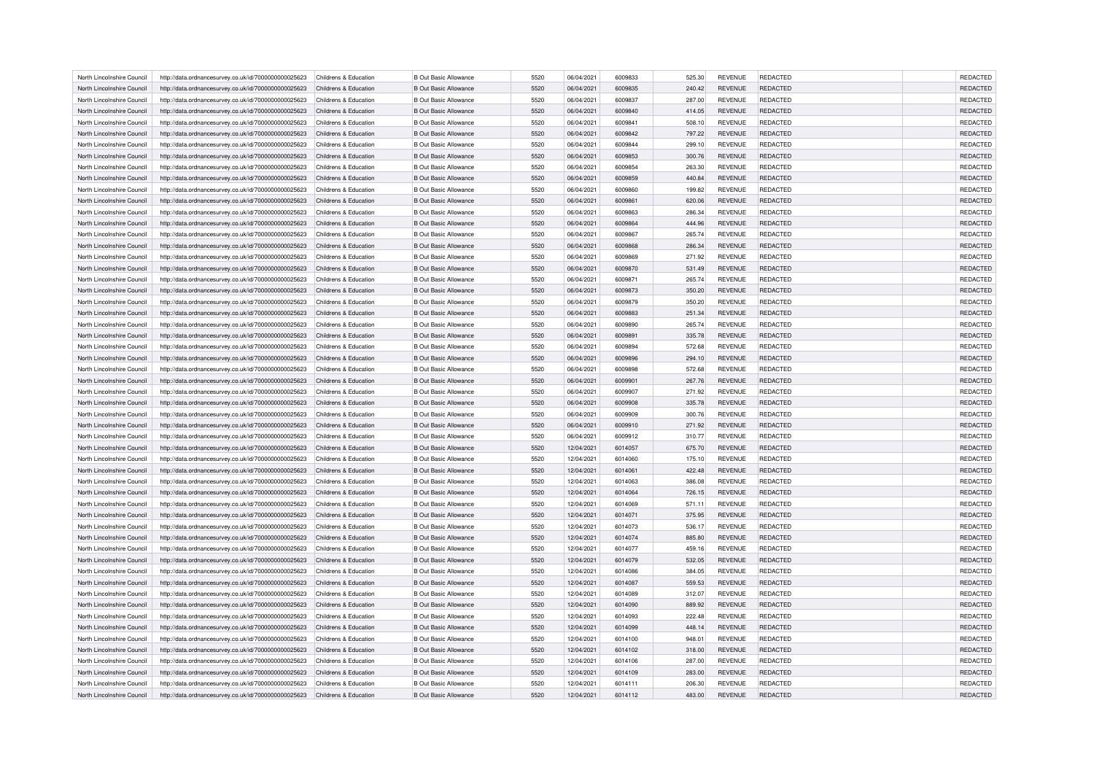| North Lincolnshire Council | http://data.ordnancesurvey.co.uk/id/7000000000025623                                                         | Childrens & Education | <b>B Out Basic Allowance</b> | 5520 | 06/04/2021 | 6009833 | 525.30 | <b>REVENUE</b> | <b>REDACTED</b> | <b>REDACTED</b>                    |
|----------------------------|--------------------------------------------------------------------------------------------------------------|-----------------------|------------------------------|------|------------|---------|--------|----------------|-----------------|------------------------------------|
| North Lincolnshire Council | http://data.ordnancesurvey.co.uk/id/7000000000025623                                                         | Childrens & Education | <b>B Out Basic Allowance</b> | 5520 | 06/04/2021 | 6009835 | 240.42 | <b>REVENUE</b> | <b>REDACTED</b> | <b>REDACTED</b>                    |
| North Lincolnshire Council | http://data.ordnancesurvey.co.uk/id/7000000000025623                                                         | Childrens & Education | <b>B Out Basic Allowance</b> | 5520 | 06/04/2021 | 6009837 | 287.00 | <b>REVENUE</b> | <b>REDACTED</b> | REDACTED                           |
| North Lincolnshire Council | http://data.ordnancesurvey.co.uk/id/7000000000025623                                                         | Childrens & Education | <b>B Out Basic Allowance</b> | 5520 | 06/04/2021 | 6009840 | 414.05 | <b>REVENUE</b> | <b>REDACTED</b> | REDACTED                           |
| North Lincolnshire Council | http://data.ordnancesurvey.co.uk/id/7000000000025623                                                         | Childrens & Education | <b>B Out Basic Allowance</b> | 5520 | 06/04/2021 | 6009841 | 508.10 | <b>REVENUE</b> | REDACTED        | REDACTED                           |
| North Lincolnshire Council | http://data.ordnancesurvey.co.uk/id/7000000000025623                                                         | Childrens & Education | <b>B Out Basic Allowance</b> | 5520 | 06/04/2021 | 6009842 | 797.22 | <b>REVENUE</b> | <b>REDACTED</b> | REDACTED                           |
| North Lincolnshire Council | http://data.ordnancesurvey.co.uk/id/7000000000025623                                                         | Childrens & Education | <b>B Out Basic Allowance</b> | 5520 | 06/04/2021 | 6009844 | 299.10 | <b>REVENUE</b> | <b>REDACTED</b> | REDACTED                           |
| North Lincolnshire Council | http://data.ordnancesurvey.co.uk/id/7000000000025623                                                         | Childrens & Education | <b>B Out Basic Allowance</b> | 5520 | 06/04/2021 | 6009853 | 300.76 | <b>REVENUE</b> | <b>REDACTED</b> | <b>REDACTED</b>                    |
| North Lincolnshire Council | http://data.ordnancesurvey.co.uk/id/7000000000025623                                                         | Childrens & Education | <b>B Out Basic Allowance</b> | 5520 | 06/04/2021 | 6009854 | 263.30 | <b>REVENUE</b> | <b>REDACTED</b> | <b>REDACTED</b>                    |
| North Lincolnshire Council | http://data.ordnancesurvey.co.uk/id/7000000000025623                                                         | Childrens & Education | <b>B Out Basic Allowance</b> | 5520 | 06/04/2021 | 6009859 | 440.84 | <b>REVENUE</b> | <b>REDACTED</b> | REDACTED                           |
| North Lincolnshire Council | http://data.ordnancesurvey.co.uk/id/7000000000025623                                                         | Childrens & Education | <b>B Out Basic Allowance</b> | 5520 | 06/04/2021 | 6009860 | 199.82 | <b>REVENUE</b> | <b>REDACTED</b> | <b>REDACTED</b>                    |
| North Lincolnshire Council | http://data.ordnancesurvey.co.uk/id/7000000000025623                                                         | Childrens & Education | <b>B Out Basic Allowance</b> | 5520 | 06/04/2021 | 6009861 | 620.06 | <b>REVENUE</b> | <b>REDACTED</b> | <b>REDACTED</b>                    |
| North Lincolnshire Council |                                                                                                              | Childrens & Education | <b>B Out Basic Allowance</b> | 5520 | 06/04/2021 | 6009863 | 286.34 | <b>REVENUE</b> | <b>REDACTED</b> | REDACTED                           |
| North Lincolnshire Council | http://data.ordnancesurvey.co.uk/id/7000000000025623<br>http://data.ordnancesurvey.co.uk/id/7000000000025623 | Childrens & Education | <b>B Out Basic Allowance</b> | 5520 | 06/04/2021 | 6009864 | 444.96 | <b>REVENUE</b> | <b>REDACTED</b> | <b>REDACTED</b>                    |
|                            |                                                                                                              |                       |                              |      |            |         |        |                |                 |                                    |
| North Lincolnshire Council | http://data.ordnancesurvey.co.uk/id/7000000000025623                                                         | Childrens & Education | <b>B Out Basic Allowance</b> | 5520 | 06/04/2021 | 6009867 | 265.74 | <b>REVENUE</b> | <b>REDACTED</b> | <b>REDACTED</b>                    |
| North Lincolnshire Council | http://data.ordnancesurvey.co.uk/id/7000000000025623                                                         | Childrens & Education | <b>B Out Basic Allowance</b> | 5520 | 06/04/2021 | 6009868 | 286.34 | <b>REVENUE</b> | <b>REDACTED</b> | REDACTED                           |
| North Lincolnshire Council | http://data.ordnancesurvey.co.uk/id/7000000000025623                                                         | Childrens & Education | <b>B Out Basic Allowance</b> | 5520 | 06/04/2021 | 6009869 | 271.92 | <b>REVENUE</b> | REDACTED        | REDACTED                           |
| North Lincolnshire Council | http://data.ordnancesurvey.co.uk/id/7000000000025623                                                         | Childrens & Education | <b>B Out Basic Allowance</b> | 5520 | 06/04/2021 | 6009870 | 531.49 | <b>REVENUE</b> | <b>REDACTED</b> | <b>REDACTED</b>                    |
| North Lincolnshire Council | http://data.ordnancesurvey.co.uk/id/7000000000025623                                                         | Childrens & Education | <b>B Out Basic Allowance</b> | 5520 | 06/04/2021 | 6009871 | 265.74 | REVENUE        | REDACTED        | REDACTED                           |
| North Lincolnshire Council | http://data.ordnancesurvey.co.uk/id/7000000000025623                                                         | Childrens & Education | <b>B Out Basic Allowance</b> | 5520 | 06/04/2021 | 6009873 | 350.20 | <b>REVENUE</b> | <b>REDACTED</b> | REDACTED                           |
| North Lincolnshire Council | http://data.ordnancesurvey.co.uk/id/7000000000025623                                                         | Childrens & Education | <b>B Out Basic Allowance</b> | 5520 | 06/04/2021 | 6009879 | 350.20 | <b>REVENUE</b> | <b>REDACTED</b> | <b>REDACTED</b>                    |
| North Lincolnshire Council | http://data.ordnancesurvey.co.uk/id/7000000000025623                                                         | Childrens & Education | <b>B Out Basic Allowance</b> | 5520 | 06/04/2021 | 6009883 | 251.34 | <b>REVENUE</b> | REDACTED        | REDACTED                           |
| North Lincolnshire Council | http://data.ordnancesurvey.co.uk/id/7000000000025623                                                         | Childrens & Education | <b>B Out Basic Allowance</b> | 5520 | 06/04/2021 | 6009890 | 265.74 | <b>REVENUE</b> | REDACTED        | REDACTED                           |
| North Lincolnshire Council | http://data.ordnancesurvey.co.uk/id/7000000000025623                                                         | Childrens & Education | <b>B Out Basic Allowance</b> | 5520 | 06/04/2021 | 6009891 | 335.78 | <b>REVENUE</b> | <b>REDACTED</b> | <b>REDACTED</b>                    |
| North Lincolnshire Council | http://data.ordnancesurvey.co.uk/id/7000000000025623                                                         | Childrens & Education | <b>B Out Basic Allowance</b> | 5520 | 06/04/2021 | 6009894 | 572.68 | <b>REVENUE</b> | <b>REDACTED</b> | <b>REDACTED</b>                    |
| North Lincolnshire Council | http://data.ordnancesurvey.co.uk/id/7000000000025623                                                         | Childrens & Education | <b>B Out Basic Allowance</b> | 5520 | 06/04/2021 | 6009896 | 294.10 | <b>REVENUE</b> | REDACTED        | REDACTED                           |
| North Lincolnshire Council | http://data.ordnancesurvey.co.uk/id/7000000000025623                                                         | Childrens & Education | <b>B Out Basic Allowance</b> | 5520 | 06/04/2021 | 6009898 | 572.68 | <b>REVENUE</b> | <b>REDACTED</b> | REDACTED                           |
| North Lincolnshire Council | http://data.ordnancesurvey.co.uk/id/7000000000025623                                                         | Childrens & Education | <b>B Out Basic Allowance</b> | 5520 | 06/04/2021 | 6009901 | 267.76 | <b>REVENUE</b> | REDACTED        | REDACTED                           |
| North Lincolnshire Council | http://data.ordnancesurvey.co.uk/id/7000000000025623                                                         | Childrens & Education | <b>B Out Basic Allowance</b> | 5520 | 06/04/2021 | 6009907 | 271.92 | <b>REVENUE</b> | REDACTED        | <b>REDACTED</b>                    |
| North Lincolnshire Council | http://data.ordnancesurvey.co.uk/id/7000000000025623                                                         | Childrens & Education | <b>B Out Basic Allowance</b> | 5520 | 06/04/2021 | 6009908 | 335.78 | <b>REVENUE</b> | <b>REDACTED</b> | REDACTED                           |
| North Lincolnshire Council | http://data.ordnancesurvey.co.uk/id/7000000000025623                                                         | Childrens & Education | <b>B Out Basic Allowance</b> | 5520 | 06/04/2021 | 6009909 | 300.76 | <b>REVENUE</b> | <b>REDACTED</b> | REDACTED                           |
| North Lincolnshire Council | http://data.ordnancesurvey.co.uk/id/7000000000025623                                                         | Childrens & Education | <b>B Out Basic Allowance</b> | 5520 | 06/04/2021 | 6009910 | 271.92 | <b>REVENUE</b> | REDACTED        | REDACTED                           |
| North Lincolnshire Council | http://data.ordnancesurvey.co.uk/id/7000000000025623                                                         | Childrens & Education | <b>B Out Basic Allowance</b> | 5520 | 06/04/2021 | 6009912 | 310.77 | <b>REVENUE</b> | <b>REDACTED</b> | REDACTED                           |
| North Lincolnshire Council | http://data.ordnancesurvey.co.uk/id/7000000000025623                                                         | Childrens & Education | <b>B Out Basic Allowance</b> | 5520 | 12/04/2021 | 6014057 | 675.70 | <b>REVENUE</b> | <b>REDACTED</b> | REDACTED                           |
| North Lincolnshire Council | http://data.ordnancesurvey.co.uk/id/7000000000025623                                                         | Childrens & Education | <b>B Out Basic Allowance</b> | 5520 | 12/04/2021 | 6014060 | 175.10 | <b>REVENUE</b> | <b>REDACTED</b> | <b>REDACTED</b>                    |
| North Lincolnshire Council | http://data.ordnancesurvey.co.uk/id/7000000000025623                                                         | Childrens & Education | <b>B Out Basic Allowance</b> | 5520 | 12/04/2021 | 6014061 | 422.48 | <b>REVENUE</b> | <b>REDACTED</b> | REDACTED                           |
| North Lincolnshire Council | http://data.ordnancesurvey.co.uk/id/7000000000025623                                                         | Childrens & Education | <b>B Out Basic Allowance</b> | 5520 | 12/04/2021 | 6014063 | 386.08 | REVENUE        | REDACTED        | REDACTED                           |
| North Lincolnshire Council | http://data.ordnancesurvey.co.uk/id/7000000000025623                                                         | Childrens & Education | <b>B Out Basic Allowance</b> | 5520 | 12/04/2021 | 6014064 | 726.15 | <b>REVENUE</b> | <b>REDACTED</b> | <b>REDACTED</b>                    |
| North Lincolnshire Council | http://data.ordnancesurvey.co.uk/id/7000000000025623                                                         | Childrens & Education | <b>B Out Basic Allowance</b> | 5520 | 12/04/2021 | 6014069 | 571.11 | <b>REVENUE</b> | <b>REDACTED</b> | <b>REDACTED</b>                    |
| North Lincolnshire Council | http://data.ordnancesurvey.co.uk/id/7000000000025623                                                         | Childrens & Education | <b>B Out Basic Allowance</b> | 5520 | 12/04/2021 | 6014071 | 375.95 | <b>REVENUE</b> | REDACTED        | REDACTED                           |
| North Lincolnshire Council | http://data.ordnancesurvey.co.uk/id/7000000000025623                                                         | Childrens & Education | <b>B Out Basic Allowance</b> | 5520 | 12/04/2021 | 6014073 | 536.17 | <b>REVENUE</b> | <b>REDACTED</b> | <b>REDACTED</b>                    |
| North Lincolnshire Council | http://data.ordnancesurvey.co.uk/id/7000000000025623                                                         | Childrens & Education | <b>B Out Basic Allowance</b> | 5520 | 12/04/2021 | 6014074 | 885.80 | <b>REVENUE</b> | <b>REDACTED</b> | <b>REDACTED</b>                    |
| North Lincolnshire Council | http://data.ordnancesurvey.co.uk/id/7000000000025623                                                         | Childrens & Education | <b>B Out Basic Allowance</b> | 5520 | 12/04/2021 | 6014077 | 459.16 | REVENUE        | REDACTED        | REDACTED                           |
| North Lincolnshire Council | http://data.ordnancesurvey.co.uk/id/7000000000025623                                                         | Childrens & Education | <b>B Out Basic Allowance</b> | 5520 | 12/04/2021 | 6014079 | 532.05 | <b>REVENUE</b> | <b>REDACTED</b> | REDACTED                           |
| North Lincolnshire Council | http://data.ordnancesurvey.co.uk/id/7000000000025623                                                         | Childrens & Education | <b>B Out Basic Allowance</b> | 5520 | 12/04/2021 | 6014086 | 384.05 | <b>REVENUE</b> | <b>REDACTED</b> | <b>REDACTED</b>                    |
| North Lincolnshire Council | http://data.ordnancesurvey.co.uk/id/7000000000025623                                                         | Childrens & Education | <b>B Out Basic Allowance</b> | 5520 | 12/04/2021 | 6014087 | 559.53 | <b>REVENUE</b> | REDACTED        | REDACTED                           |
| North Lincolnshire Council | http://data.ordnancesurvey.co.uk/id/7000000000025623                                                         | Childrens & Education | <b>B Out Basic Allowance</b> | 5520 | 12/04/2021 | 6014089 | 312.07 | <b>REVENUE</b> | REDACTED        | REDACTED                           |
| North Lincolnshire Council | http://data.ordnancesurvey.co.uk/id/7000000000025623                                                         | Childrens & Education | <b>B Out Basic Allowance</b> | 5520 | 12/04/2021 | 6014090 | 889.92 | <b>REVENUE</b> | <b>REDACTED</b> | <b>REDACTED</b>                    |
| North Lincolnshire Council | http://data.ordnancesurvey.co.uk/id/7000000000025623                                                         | Childrens & Education | <b>B Out Basic Allowance</b> | 5520 | 12/04/2021 | 6014093 | 222.48 | <b>REVENUE</b> | <b>REDACTED</b> | <b>REDACTED</b>                    |
| North Lincolnshire Council | http://data.ordnancesurvey.co.uk/id/7000000000025623                                                         | Childrens & Education | <b>B Out Basic Allowance</b> | 5520 | 12/04/2021 | 6014099 | 448.14 | <b>REVENUE</b> | <b>REDACTED</b> | REDACTED                           |
| North Lincolnshire Council | http://data.ordnancesurvey.co.uk/id/7000000000025623                                                         | Childrens & Education | <b>B Out Basic Allowance</b> | 5520 | 12/04/2021 | 6014100 | 948.01 | <b>REVENUE</b> | <b>REDACTED</b> | <b>REDACTED</b>                    |
| North Lincolnshire Council |                                                                                                              | Childrens & Education | <b>B Out Basic Allowance</b> | 5520 | 12/04/2021 | 6014102 |        | <b>REVENUE</b> | REDACTED        | <b>REDACTED</b>                    |
|                            | http://data.ordnancesurvey.co.uk/id/7000000000025623                                                         |                       |                              |      |            |         | 318.00 |                |                 |                                    |
| North Lincolnshire Council | http://data.ordnancesurvey.co.uk/id/7000000000025623                                                         | Childrens & Education | <b>B Out Basic Allowance</b> | 5520 | 12/04/2021 | 6014106 | 287.00 | <b>REVENUE</b> | REDACTED        | REDACTED                           |
| North Lincolnshire Council | http://data.ordnancesurvey.co.uk/id/7000000000025623                                                         | Childrens & Education | <b>B Out Basic Allowance</b> | 5520 | 12/04/2021 | 6014109 | 283.00 | <b>REVENUE</b> | <b>REDACTED</b> | <b>REDACTED</b><br><b>REDACTED</b> |
| North Lincolnshire Council | http://data.ordnancesurvey.co.uk/id/7000000000025623                                                         | Childrens & Education | <b>B Out Basic Allowance</b> | 5520 | 12/04/2021 | 6014111 | 206.30 | <b>REVENUE</b> | <b>REDACTED</b> |                                    |
| North Lincolnshire Council | http://data.ordnancesurvey.co.uk/id/7000000000025623                                                         | Childrens & Education | <b>B Out Basic Allowance</b> | 5520 | 12/04/2021 | 6014112 | 483.00 | <b>REVENUE</b> | <b>REDACTED</b> | <b>REDACTED</b>                    |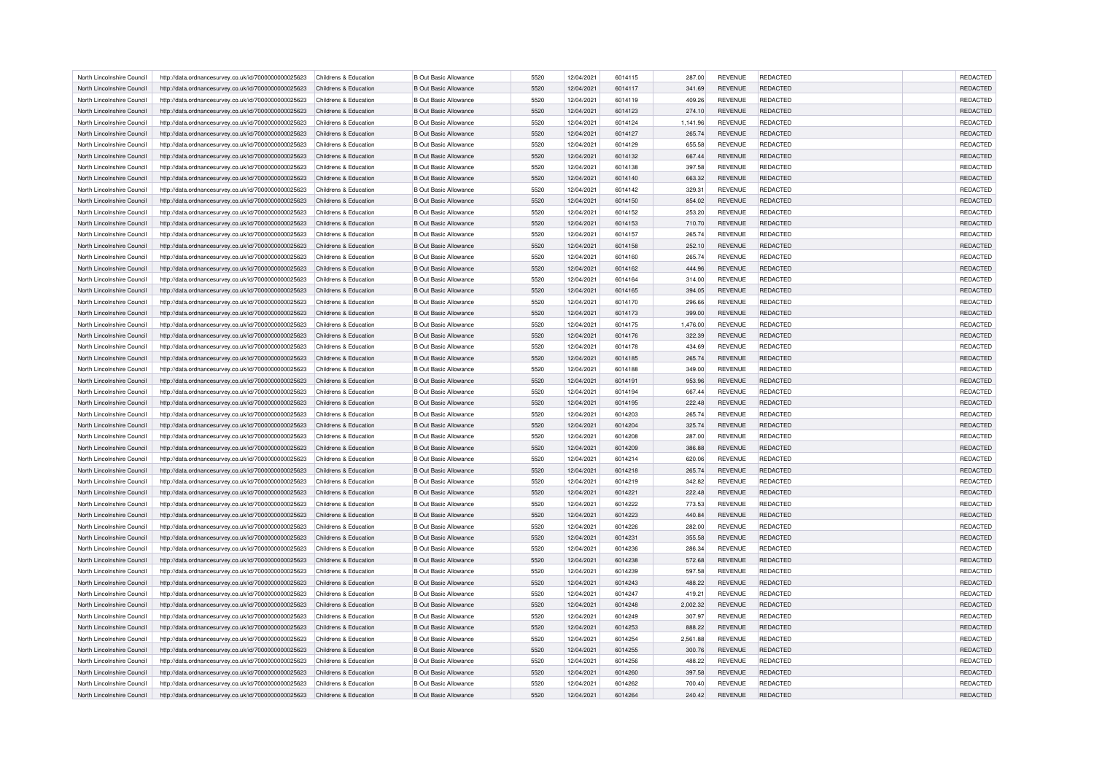| North Lincolnshire Council | http://data.ordnancesurvey.co.uk/id/7000000000025623                                                         | Childrens & Education | <b>B Out Basic Allowance</b> | 5520 | 12/04/2021 | 6014115 | 287.00   | <b>REVENUE</b> | <b>REDACTED</b> | <b>REDACTED</b> |
|----------------------------|--------------------------------------------------------------------------------------------------------------|-----------------------|------------------------------|------|------------|---------|----------|----------------|-----------------|-----------------|
| North Lincolnshire Council | http://data.ordnancesurvey.co.uk/id/7000000000025623                                                         | Childrens & Education | <b>B Out Basic Allowance</b> | 5520 | 12/04/2021 | 6014117 | 341.69   | <b>REVENUE</b> | <b>REDACTED</b> | <b>REDACTED</b> |
| North Lincolnshire Council | http://data.ordnancesurvey.co.uk/id/7000000000025623                                                         | Childrens & Education | <b>B Out Basic Allowance</b> | 5520 | 12/04/2021 | 6014119 | 409.26   | <b>REVENUE</b> | <b>REDACTED</b> | REDACTED        |
| North Lincolnshire Council | http://data.ordnancesurvey.co.uk/id/7000000000025623                                                         | Childrens & Education | <b>B Out Basic Allowance</b> | 5520 | 12/04/2021 | 6014123 | 274.10   | <b>REVENUE</b> | <b>REDACTED</b> | REDACTED        |
| North Lincolnshire Council | http://data.ordnancesurvey.co.uk/id/7000000000025623                                                         | Childrens & Education | <b>B Out Basic Allowance</b> | 5520 | 12/04/2021 | 6014124 | 1,141.96 | <b>REVENUE</b> | REDACTED        | REDACTED        |
| North Lincolnshire Council | http://data.ordnancesurvey.co.uk/id/7000000000025623                                                         | Childrens & Education | <b>B Out Basic Allowance</b> | 5520 | 12/04/2021 | 6014127 | 265.74   | <b>REVENUE</b> | <b>REDACTED</b> | REDACTED        |
| North Lincolnshire Council | http://data.ordnancesurvey.co.uk/id/7000000000025623                                                         | Childrens & Education | <b>B Out Basic Allowance</b> | 5520 | 12/04/2021 | 6014129 | 655.58   | <b>REVENUE</b> | <b>REDACTED</b> | REDACTED        |
| North Lincolnshire Council | http://data.ordnancesurvey.co.uk/id/7000000000025623                                                         | Childrens & Education | <b>B Out Basic Allowance</b> | 5520 | 12/04/2021 | 6014132 | 667.44   | <b>REVENUE</b> | <b>REDACTED</b> | <b>REDACTED</b> |
| North Lincolnshire Council | http://data.ordnancesurvey.co.uk/id/7000000000025623                                                         | Childrens & Education | <b>B Out Basic Allowance</b> | 5520 | 12/04/2021 | 6014138 | 397.58   | <b>REVENUE</b> | <b>REDACTED</b> | REDACTED        |
| North Lincolnshire Council | http://data.ordnancesurvey.co.uk/id/7000000000025623                                                         | Childrens & Education | <b>B Out Basic Allowance</b> | 5520 | 12/04/2021 | 6014140 | 663.32   | <b>REVENUE</b> | <b>REDACTED</b> | REDACTED        |
| North Lincolnshire Council | http://data.ordnancesurvey.co.uk/id/7000000000025623                                                         | Childrens & Education | <b>B Out Basic Allowance</b> | 5520 | 12/04/2021 | 6014142 | 329.31   | <b>REVENUE</b> | REDACTED        | <b>REDACTED</b> |
| North Lincolnshire Council | http://data.ordnancesurvey.co.uk/id/7000000000025623                                                         | Childrens & Education | <b>B Out Basic Allowance</b> | 5520 | 12/04/2021 | 6014150 | 854.02   | <b>REVENUE</b> | <b>REDACTED</b> | <b>REDACTED</b> |
| North Lincolnshire Council |                                                                                                              | Childrens & Education | <b>B Out Basic Allowance</b> | 5520 | 12/04/2021 | 6014152 | 253.20   | <b>REVENUE</b> | <b>REDACTED</b> | REDACTED        |
| North Lincolnshire Council | http://data.ordnancesurvey.co.uk/id/7000000000025623<br>http://data.ordnancesurvey.co.uk/id/7000000000025623 | Childrens & Education | <b>B Out Basic Allowance</b> | 5520 | 12/04/2021 | 6014153 | 710.70   | <b>REVENUE</b> | <b>REDACTED</b> | <b>REDACTED</b> |
|                            |                                                                                                              |                       |                              |      |            |         |          |                |                 |                 |
| North Lincolnshire Council | http://data.ordnancesurvey.co.uk/id/7000000000025623                                                         | Childrens & Education | <b>B Out Basic Allowance</b> | 5520 | 12/04/2021 | 6014157 | 265.74   | <b>REVENUE</b> | <b>REDACTED</b> | <b>REDACTED</b> |
| North Lincolnshire Council | http://data.ordnancesurvey.co.uk/id/7000000000025623                                                         | Childrens & Education | <b>B Out Basic Allowance</b> | 5520 | 12/04/2021 | 6014158 | 252.10   | <b>REVENUE</b> | <b>REDACTED</b> | REDACTED        |
| North Lincolnshire Council | http://data.ordnancesurvey.co.uk/id/7000000000025623                                                         | Childrens & Education | <b>B Out Basic Allowance</b> | 5520 | 12/04/2021 | 6014160 | 265.74   | <b>REVENUE</b> | REDACTED        | REDACTED        |
| North Lincolnshire Council | http://data.ordnancesurvey.co.uk/id/7000000000025623                                                         | Childrens & Education | <b>B Out Basic Allowance</b> | 5520 | 12/04/2021 | 6014162 | 444.96   | <b>REVENUE</b> | <b>REDACTED</b> | <b>REDACTED</b> |
| North Lincolnshire Council | http://data.ordnancesurvey.co.uk/id/7000000000025623                                                         | Childrens & Education | <b>B Out Basic Allowance</b> | 5520 | 12/04/2021 | 6014164 | 314.00   | REVENUE        | REDACTED        | REDACTED        |
| North Lincolnshire Council | http://data.ordnancesurvey.co.uk/id/7000000000025623                                                         | Childrens & Education | <b>B Out Basic Allowance</b> | 5520 | 12/04/2021 | 6014165 | 394.05   | <b>REVENUE</b> | <b>REDACTED</b> | REDACTED        |
| North Lincolnshire Council | http://data.ordnancesurvey.co.uk/id/7000000000025623                                                         | Childrens & Education | <b>B Out Basic Allowance</b> | 5520 | 12/04/2021 | 6014170 | 296.66   | <b>REVENUE</b> | <b>REDACTED</b> | <b>REDACTED</b> |
| North Lincolnshire Council | http://data.ordnancesurvey.co.uk/id/7000000000025623                                                         | Childrens & Education | <b>B Out Basic Allowance</b> | 5520 | 12/04/2021 | 6014173 | 399.00   | <b>REVENUE</b> | REDACTED        | REDACTED        |
| North Lincolnshire Council | http://data.ordnancesurvey.co.uk/id/7000000000025623                                                         | Childrens & Education | <b>B Out Basic Allowance</b> | 5520 | 12/04/2021 | 6014175 | 1,476.00 | <b>REVENUE</b> | REDACTED        | REDACTED        |
| North Lincolnshire Council | http://data.ordnancesurvey.co.uk/id/7000000000025623                                                         | Childrens & Education | <b>B Out Basic Allowance</b> | 5520 | 12/04/2021 | 6014176 | 322.39   | <b>REVENUE</b> | <b>REDACTED</b> | <b>REDACTED</b> |
| North Lincolnshire Council | http://data.ordnancesurvey.co.uk/id/7000000000025623                                                         | Childrens & Education | <b>B Out Basic Allowance</b> | 5520 | 12/04/2021 | 6014178 | 434.69   | <b>REVENUE</b> | <b>REDACTED</b> | <b>REDACTED</b> |
| North Lincolnshire Council | http://data.ordnancesurvey.co.uk/id/7000000000025623                                                         | Childrens & Education | <b>B Out Basic Allowance</b> | 5520 | 12/04/2021 | 6014185 | 265.74   | <b>REVENUE</b> | REDACTED        | REDACTED        |
| North Lincolnshire Council | http://data.ordnancesurvey.co.uk/id/7000000000025623                                                         | Childrens & Education | <b>B Out Basic Allowance</b> | 5520 | 12/04/2021 | 6014188 | 349.00   | <b>REVENUE</b> | <b>REDACTED</b> | REDACTED        |
| North Lincolnshire Council | http://data.ordnancesurvey.co.uk/id/7000000000025623                                                         | Childrens & Education | <b>B Out Basic Allowance</b> | 5520 | 12/04/2021 | 6014191 | 953.96   | <b>REVENUE</b> | REDACTED        | REDACTED        |
| North Lincolnshire Council | http://data.ordnancesurvey.co.uk/id/7000000000025623                                                         | Childrens & Education | <b>B Out Basic Allowance</b> | 5520 | 12/04/2021 | 6014194 | 667.44   | <b>REVENUE</b> | <b>REDACTED</b> | <b>REDACTED</b> |
| North Lincolnshire Council | http://data.ordnancesurvey.co.uk/id/7000000000025623                                                         | Childrens & Education | <b>B Out Basic Allowance</b> | 5520 | 12/04/2021 | 6014195 | 222.48   | <b>REVENUE</b> | <b>REDACTED</b> | REDACTED        |
| North Lincolnshire Council | http://data.ordnancesurvey.co.uk/id/7000000000025623                                                         | Childrens & Education | <b>B Out Basic Allowance</b> | 5520 | 12/04/2021 | 6014203 | 265.74   | <b>REVENUE</b> | <b>REDACTED</b> | REDACTED        |
| North Lincolnshire Council | http://data.ordnancesurvey.co.uk/id/7000000000025623                                                         | Childrens & Education | <b>B Out Basic Allowance</b> | 5520 | 12/04/2021 | 6014204 | 325.74   | <b>REVENUE</b> | REDACTED        | REDACTED        |
| North Lincolnshire Council | http://data.ordnancesurvey.co.uk/id/7000000000025623                                                         | Childrens & Education | <b>B Out Basic Allowance</b> | 5520 | 12/04/2021 | 6014208 | 287.00   | <b>REVENUE</b> | <b>REDACTED</b> | REDACTED        |
| North Lincolnshire Council | http://data.ordnancesurvey.co.uk/id/7000000000025623                                                         | Childrens & Education | <b>B Out Basic Allowance</b> | 5520 | 12/04/2021 | 6014209 | 386.88   | <b>REVENUE</b> | <b>REDACTED</b> | REDACTED        |
| North Lincolnshire Council | http://data.ordnancesurvey.co.uk/id/7000000000025623                                                         | Childrens & Education | <b>B Out Basic Allowance</b> | 5520 | 12/04/2021 | 6014214 | 620.06   | <b>REVENUE</b> | <b>REDACTED</b> | <b>REDACTED</b> |
| North Lincolnshire Council | http://data.ordnancesurvey.co.uk/id/7000000000025623                                                         | Childrens & Education | <b>B Out Basic Allowance</b> | 5520 | 12/04/2021 | 6014218 | 265.74   | <b>REVENUE</b> | <b>REDACTED</b> | REDACTED        |
| North Lincolnshire Council | http://data.ordnancesurvey.co.uk/id/7000000000025623                                                         | Childrens & Education | <b>B Out Basic Allowance</b> | 5520 | 12/04/2021 | 6014219 | 342.82   | REVENUE        | REDACTED        | REDACTED        |
| North Lincolnshire Council | http://data.ordnancesurvey.co.uk/id/7000000000025623                                                         | Childrens & Education | <b>B Out Basic Allowance</b> | 5520 | 12/04/2021 | 6014221 | 222.48   | <b>REVENUE</b> | <b>REDACTED</b> | <b>REDACTED</b> |
| North Lincolnshire Council | http://data.ordnancesurvey.co.uk/id/7000000000025623                                                         | Childrens & Education | <b>B Out Basic Allowance</b> | 5520 | 12/04/2021 | 6014222 | 773.53   | <b>REVENUE</b> | <b>REDACTED</b> | <b>REDACTED</b> |
| North Lincolnshire Council | http://data.ordnancesurvey.co.uk/id/7000000000025623                                                         | Childrens & Education | <b>B Out Basic Allowance</b> | 5520 | 12/04/2021 | 6014223 | 440.84   | <b>REVENUE</b> | REDACTED        | REDACTED        |
| North Lincolnshire Council | http://data.ordnancesurvey.co.uk/id/7000000000025623                                                         | Childrens & Education | <b>B Out Basic Allowance</b> | 5520 | 12/04/2021 | 6014226 | 282.00   | <b>REVENUE</b> | <b>REDACTED</b> | REDACTED        |
| North Lincolnshire Council | http://data.ordnancesurvey.co.uk/id/7000000000025623                                                         | Childrens & Education | <b>B Out Basic Allowance</b> | 5520 | 12/04/2021 | 6014231 | 355.58   | <b>REVENUE</b> | <b>REDACTED</b> | <b>REDACTED</b> |
| North Lincolnshire Council | http://data.ordnancesurvey.co.uk/id/7000000000025623                                                         | Childrens & Education | <b>B Out Basic Allowance</b> | 5520 | 12/04/2021 | 6014236 | 286.34   | REVENUE        | REDACTED        | REDACTED        |
| North Lincolnshire Council | http://data.ordnancesurvey.co.uk/id/7000000000025623                                                         | Childrens & Education | <b>B Out Basic Allowance</b> | 5520 | 12/04/2021 | 6014238 | 572.68   | <b>REVENUE</b> | <b>REDACTED</b> | REDACTED        |
| North Lincolnshire Council | http://data.ordnancesurvey.co.uk/id/7000000000025623                                                         | Childrens & Education | <b>B Out Basic Allowance</b> | 5520 | 12/04/2021 | 6014239 | 597.58   | <b>REVENUE</b> | <b>REDACTED</b> | <b>REDACTED</b> |
| North Lincolnshire Council | http://data.ordnancesurvey.co.uk/id/7000000000025623                                                         | Childrens & Education | <b>B Out Basic Allowance</b> | 5520 | 12/04/2021 | 6014243 | 488.22   | <b>REVENUE</b> | REDACTED        | REDACTED        |
| North Lincolnshire Council | http://data.ordnancesurvey.co.uk/id/7000000000025623                                                         | Childrens & Education | <b>B Out Basic Allowance</b> | 5520 | 12/04/2021 | 6014247 | 419.21   | <b>REVENUE</b> | REDACTED        | REDACTED        |
| North Lincolnshire Council | http://data.ordnancesurvey.co.uk/id/7000000000025623                                                         | Childrens & Education | <b>B Out Basic Allowance</b> | 5520 | 12/04/2021 | 6014248 | 2.002.32 | <b>REVENUE</b> | <b>REDACTED</b> | <b>REDACTED</b> |
|                            |                                                                                                              |                       |                              | 5520 |            |         |          | <b>REVENUE</b> | <b>REDACTED</b> | <b>REDACTED</b> |
| North Lincolnshire Council | http://data.ordnancesurvey.co.uk/id/7000000000025623                                                         | Childrens & Education | <b>B Out Basic Allowance</b> |      | 12/04/2021 | 6014249 | 307.97   |                |                 |                 |
| North Lincolnshire Council | http://data.ordnancesurvey.co.uk/id/7000000000025623                                                         | Childrens & Education | <b>B Out Basic Allowance</b> | 5520 | 12/04/2021 | 6014253 | 888.22   | <b>REVENUE</b> | <b>REDACTED</b> | REDACTED        |
| North Lincolnshire Council | http://data.ordnancesurvey.co.uk/id/7000000000025623                                                         | Childrens & Education | <b>B Out Basic Allowance</b> | 5520 | 12/04/2021 | 6014254 | 2.561.88 | <b>REVENUE</b> | <b>REDACTED</b> | <b>REDACTED</b> |
| North Lincolnshire Council | http://data.ordnancesurvey.co.uk/id/7000000000025623                                                         | Childrens & Education | <b>B Out Basic Allowance</b> | 5520 | 12/04/2021 | 6014255 | 300.76   | <b>REVENUE</b> | REDACTED        | <b>REDACTED</b> |
| North Lincolnshire Council | http://data.ordnancesurvey.co.uk/id/7000000000025623                                                         | Childrens & Education | <b>B Out Basic Allowance</b> | 5520 | 12/04/2021 | 6014256 | 488.22   | <b>REVENUE</b> | REDACTED        | REDACTED        |
| North Lincolnshire Council | http://data.ordnancesurvey.co.uk/id/7000000000025623                                                         | Childrens & Education | <b>B Out Basic Allowance</b> | 5520 | 12/04/2021 | 6014260 | 397.58   | <b>REVENUE</b> | <b>REDACTED</b> | REDACTED        |
| North Lincolnshire Council | http://data.ordnancesurvey.co.uk/id/7000000000025623                                                         | Childrens & Education | <b>B Out Basic Allowance</b> | 5520 | 12/04/2021 | 6014262 | 700.40   | <b>REVENUE</b> | <b>REDACTED</b> | <b>REDACTED</b> |
| North Lincolnshire Council | http://data.ordnancesurvey.co.uk/id/7000000000025623                                                         | Childrens & Education | <b>B Out Basic Allowance</b> | 5520 | 12/04/2021 | 6014264 | 240.42   | <b>REVENUE</b> | <b>REDACTED</b> | <b>REDACTED</b> |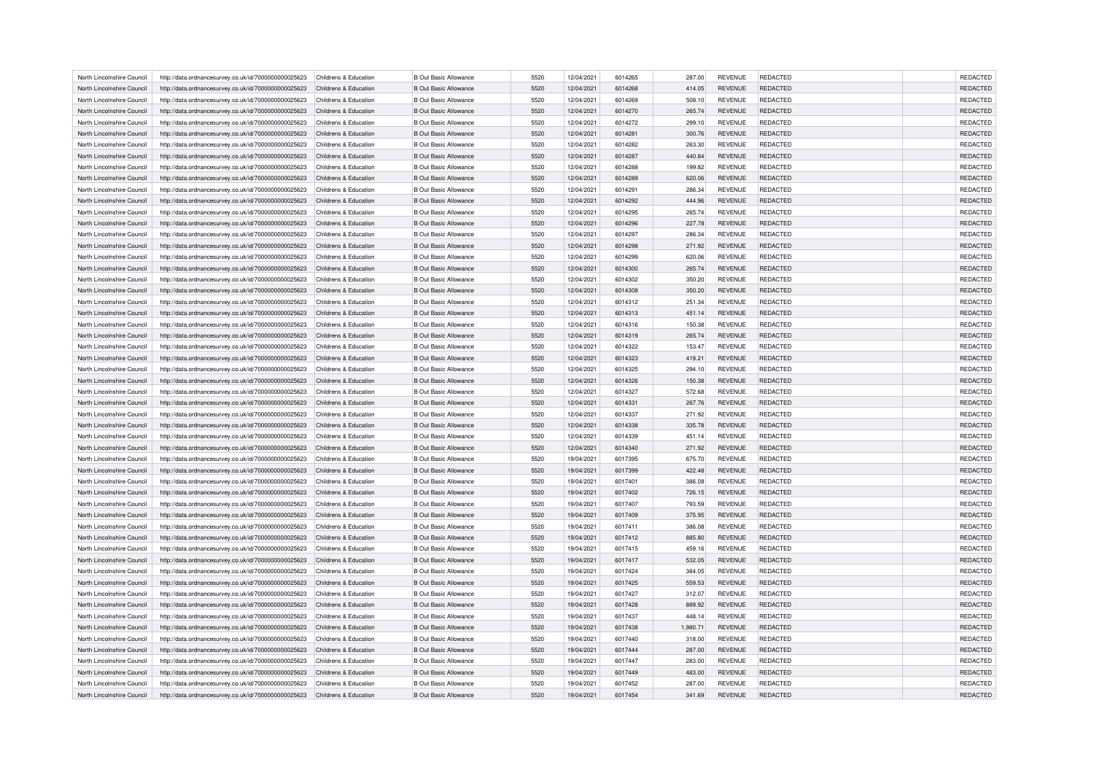| North Lincolnshire Council | http://data.ordnancesurvey.co.uk/id/7000000000025623                                                         | Childrens & Education | <b>B Out Basic Allowance</b> | 5520 | 12/04/2021 | 6014265 | 287.00   | <b>REVENUE</b> | <b>REDACTED</b> | <b>REDACTED</b> |
|----------------------------|--------------------------------------------------------------------------------------------------------------|-----------------------|------------------------------|------|------------|---------|----------|----------------|-----------------|-----------------|
| North Lincolnshire Council | http://data.ordnancesurvey.co.uk/id/7000000000025623                                                         | Childrens & Education | <b>B Out Basic Allowance</b> | 5520 | 12/04/2021 | 6014268 | 414.05   | <b>REVENUE</b> | <b>REDACTED</b> | <b>REDACTED</b> |
| North Lincolnshire Council | http://data.ordnancesurvey.co.uk/id/7000000000025623                                                         | Childrens & Education | <b>B Out Basic Allowance</b> | 5520 | 12/04/2021 | 6014269 | 508.10   | <b>REVENUE</b> | <b>REDACTED</b> | REDACTED        |
| North Lincolnshire Council | http://data.ordnancesurvey.co.uk/id/7000000000025623                                                         | Childrens & Education | <b>B Out Basic Allowance</b> | 5520 | 12/04/2021 | 6014270 | 265.74   | <b>REVENUE</b> | <b>REDACTED</b> | REDACTED        |
| North Lincolnshire Council | http://data.ordnancesurvey.co.uk/id/7000000000025623                                                         | Childrens & Education | <b>B Out Basic Allowance</b> | 5520 | 12/04/2021 | 6014272 | 299.10   | <b>REVENUE</b> | REDACTED        | REDACTED        |
| North Lincolnshire Council | http://data.ordnancesurvey.co.uk/id/7000000000025623                                                         | Childrens & Education | <b>B Out Basic Allowance</b> | 5520 | 12/04/2021 | 6014281 | 300.76   | <b>REVENUE</b> | <b>REDACTED</b> | REDACTED        |
| North Lincolnshire Council | http://data.ordnancesurvey.co.uk/id/7000000000025623                                                         | Childrens & Education | <b>B Out Basic Allowance</b> | 5520 | 12/04/2021 | 6014282 | 263.30   | <b>REVENUE</b> | <b>REDACTED</b> | REDACTED        |
| North Lincolnshire Council | http://data.ordnancesurvey.co.uk/id/7000000000025623                                                         | Childrens & Education | <b>B Out Basic Allowance</b> | 5520 | 12/04/2021 | 6014287 | 440.84   | <b>REVENUE</b> | <b>REDACTED</b> | <b>REDACTED</b> |
| North Lincolnshire Council | http://data.ordnancesurvey.co.uk/id/7000000000025623                                                         | Childrens & Education | <b>B Out Basic Allowance</b> | 5520 | 12/04/2021 | 6014288 | 199.82   | <b>REVENUE</b> | <b>REDACTED</b> | REDACTED        |
| North Lincolnshire Council | http://data.ordnancesurvey.co.uk/id/7000000000025623                                                         | Childrens & Education | <b>B Out Basic Allowance</b> | 5520 | 12/04/2021 | 6014289 | 620.06   | <b>REVENUE</b> | <b>REDACTED</b> | REDACTED        |
| North Lincolnshire Council | http://data.ordnancesurvey.co.uk/id/7000000000025623                                                         | Childrens & Education | <b>B Out Basic Allowance</b> | 5520 | 12/04/2021 | 6014291 | 286.34   | <b>REVENUE</b> | REDACTED        | <b>REDACTED</b> |
| North Lincolnshire Council | http://data.ordnancesurvey.co.uk/id/7000000000025623                                                         | Childrens & Education | <b>B Out Basic Allowance</b> | 5520 | 12/04/2021 | 6014292 | 444.96   | <b>REVENUE</b> | <b>REDACTED</b> | REDACTED        |
| North Lincolnshire Council |                                                                                                              | Childrens & Education | <b>B Out Basic Allowance</b> | 5520 | 12/04/2021 | 6014295 | 265.74   | <b>REVENUE</b> | <b>REDACTED</b> | REDACTED        |
| North Lincolnshire Council | http://data.ordnancesurvey.co.uk/id/7000000000025623<br>http://data.ordnancesurvey.co.uk/id/7000000000025623 | Childrens & Education | <b>B Out Basic Allowance</b> | 5520 | 12/04/2021 | 6014296 | 227.78   | <b>REVENUE</b> | <b>REDACTED</b> | REDACTED        |
|                            |                                                                                                              |                       |                              |      |            |         |          |                |                 |                 |
| North Lincolnshire Council | http://data.ordnancesurvey.co.uk/id/7000000000025623                                                         | Childrens & Education | <b>B Out Basic Allowance</b> | 5520 | 12/04/2021 | 6014297 | 286.34   | <b>REVENUE</b> | <b>REDACTED</b> | REDACTED        |
| North Lincolnshire Council | http://data.ordnancesurvey.co.uk/id/7000000000025623                                                         | Childrens & Education | <b>B Out Basic Allowance</b> | 5520 | 12/04/2021 | 6014298 | 271.92   | <b>REVENUE</b> | REDACTED        | REDACTED        |
| North Lincolnshire Council | http://data.ordnancesurvey.co.uk/id/7000000000025623                                                         | Childrens & Education | <b>B Out Basic Allowance</b> | 5520 | 12/04/2021 | 6014299 | 620.06   | <b>REVENUE</b> | REDACTED        | REDACTED        |
| North Lincolnshire Council | http://data.ordnancesurvey.co.uk/id/7000000000025623                                                         | Childrens & Education | <b>B Out Basic Allowance</b> | 5520 | 12/04/2021 | 6014300 | 265.74   | <b>REVENUE</b> | <b>REDACTED</b> | REDACTED        |
| North Lincolnshire Council | http://data.ordnancesurvey.co.uk/id/7000000000025623                                                         | Childrens & Education | <b>B Out Basic Allowance</b> | 5520 | 12/04/2021 | 6014302 | 350.20   | REVENUE        | REDACTED        | REDACTED        |
| North Lincolnshire Council | http://data.ordnancesurvey.co.uk/id/7000000000025623                                                         | Childrens & Education | <b>B Out Basic Allowance</b> | 5520 | 12/04/2021 | 6014308 | 350.20   | <b>REVENUE</b> | REDACTED        | <b>REDACTED</b> |
| North Lincolnshire Council | http://data.ordnancesurvey.co.uk/id/7000000000025623                                                         | Childrens & Education | <b>B Out Basic Allowance</b> | 5520 | 12/04/2021 | 6014312 | 251.34   | <b>REVENUE</b> | <b>REDACTED</b> | REDACTED        |
| North Lincolnshire Council | http://data.ordnancesurvey.co.uk/id/7000000000025623                                                         | Childrens & Education | <b>B Out Basic Allowance</b> | 5520 | 12/04/2021 | 6014313 | 451.14   | <b>REVENUE</b> | REDACTED        | REDACTED        |
| North Lincolnshire Council | http://data.ordnancesurvey.co.uk/id/7000000000025623                                                         | Childrens & Education | <b>B Out Basic Allowance</b> | 5520 | 12/04/2021 | 6014316 | 150.38   | <b>REVENUE</b> | REDACTED        | REDACTED        |
| North Lincolnshire Council | http://data.ordnancesurvey.co.uk/id/7000000000025623                                                         | Childrens & Education | <b>B Out Basic Allowance</b> | 5520 | 12/04/2021 | 6014319 | 265.74   | <b>REVENUE</b> | <b>REDACTED</b> | <b>REDACTED</b> |
| North Lincolnshire Council | http://data.ordnancesurvey.co.uk/id/7000000000025623                                                         | Childrens & Education | <b>B Out Basic Allowance</b> | 5520 | 12/04/2021 | 6014322 | 153.47   | <b>REVENUE</b> | <b>REDACTED</b> | REDACTED        |
| North Lincolnshire Council | http://data.ordnancesurvey.co.uk/id/7000000000025623                                                         | Childrens & Education | <b>B Out Basic Allowance</b> | 5520 | 12/04/2021 | 6014323 | 419.21   | <b>REVENUE</b> | REDACTED        | REDACTED        |
| North Lincolnshire Council | http://data.ordnancesurvey.co.uk/id/7000000000025623                                                         | Childrens & Education | <b>B Out Basic Allowance</b> | 5520 | 12/04/2021 | 6014325 | 294.10   | <b>REVENUE</b> | <b>REDACTED</b> | REDACTED        |
| North Lincolnshire Council | http://data.ordnancesurvey.co.uk/id/7000000000025623                                                         | Childrens & Education | <b>B Out Basic Allowance</b> | 5520 | 12/04/2021 | 6014326 | 150.38   | <b>REVENUE</b> | REDACTED        | REDACTED        |
| North Lincolnshire Council | http://data.ordnancesurvey.co.uk/id/7000000000025623                                                         | Childrens & Education | <b>B Out Basic Allowance</b> | 5520 | 12/04/2021 | 6014327 | 572.68   | <b>REVENUE</b> | REDACTED        | REDACTED        |
| North Lincolnshire Council | http://data.ordnancesurvey.co.uk/id/7000000000025623                                                         | Childrens & Education | <b>B Out Basic Allowance</b> | 5520 | 12/04/2021 | 6014331 | 267.76   | <b>REVENUE</b> | <b>REDACTED</b> | REDACTED        |
| North Lincolnshire Council | http://data.ordnancesurvey.co.uk/id/7000000000025623                                                         | Childrens & Education | <b>B Out Basic Allowance</b> | 5520 | 12/04/2021 | 6014337 | 271.92   | <b>REVENUE</b> | <b>REDACTED</b> | REDACTED        |
| North Lincolnshire Council | http://data.ordnancesurvey.co.uk/id/7000000000025623                                                         | Childrens & Education | <b>B Out Basic Allowance</b> | 5520 | 12/04/2021 | 6014338 | 335.78   | <b>REVENUE</b> | REDACTED        | REDACTED        |
| North Lincolnshire Council | http://data.ordnancesurvey.co.uk/id/7000000000025623                                                         | Childrens & Education | <b>B Out Basic Allowance</b> | 5520 | 12/04/2021 | 6014339 | 451.14   | <b>REVENUE</b> | <b>REDACTED</b> | REDACTED        |
| North Lincolnshire Council | http://data.ordnancesurvey.co.uk/id/7000000000025623                                                         | Childrens & Education | <b>B Out Basic Allowance</b> | 5520 | 12/04/2021 | 6014340 | 271.92   | <b>REVENUE</b> | <b>REDACTED</b> | REDACTED        |
| North Lincolnshire Council | http://data.ordnancesurvey.co.uk/id/7000000000025623                                                         | Childrens & Education | <b>B Out Basic Allowance</b> | 5520 | 19/04/2021 | 6017395 | 675.70   | <b>REVENUE</b> | <b>REDACTED</b> | REDACTED        |
| North Lincolnshire Council | http://data.ordnancesurvey.co.uk/id/7000000000025623                                                         | Childrens & Education | <b>B Out Basic Allowance</b> | 5520 | 19/04/2021 | 6017399 | 422.48   | <b>REVENUE</b> | <b>REDACTED</b> | REDACTED        |
| North Lincolnshire Council | http://data.ordnancesurvey.co.uk/id/7000000000025623                                                         | Childrens & Education | <b>B Out Basic Allowance</b> | 5520 | 19/04/2021 | 6017401 | 386.08   | REVENUE        | REDACTED        | REDACTED        |
| North Lincolnshire Council | http://data.ordnancesurvey.co.uk/id/7000000000025623                                                         | Childrens & Education | <b>B Out Basic Allowance</b> | 5520 | 19/04/2021 | 6017402 | 726.15   | <b>REVENUE</b> | <b>REDACTED</b> | <b>REDACTED</b> |
| North Lincolnshire Council | http://data.ordnancesurvey.co.uk/id/7000000000025623                                                         | Childrens & Education | <b>B Out Basic Allowance</b> | 5520 | 19/04/2021 | 6017407 | 793.59   | <b>REVENUE</b> | <b>REDACTED</b> | <b>REDACTED</b> |
| North Lincolnshire Council | http://data.ordnancesurvey.co.uk/id/7000000000025623                                                         | Childrens & Education | <b>B Out Basic Allowance</b> | 5520 | 19/04/2021 | 6017409 | 375.95   | <b>REVENUE</b> | REDACTED        | REDACTED        |
| North Lincolnshire Council | http://data.ordnancesurvey.co.uk/id/7000000000025623                                                         | Childrens & Education | <b>B Out Basic Allowance</b> | 5520 | 19/04/2021 | 6017411 | 386.08   | <b>REVENUE</b> | <b>REDACTED</b> | <b>REDACTED</b> |
| North Lincolnshire Council | http://data.ordnancesurvey.co.uk/id/7000000000025623                                                         | Childrens & Education | <b>B Out Basic Allowance</b> | 5520 | 19/04/2021 | 6017412 | 885.80   | <b>REVENUE</b> | <b>REDACTED</b> | <b>REDACTED</b> |
| North Lincolnshire Council | http://data.ordnancesurvey.co.uk/id/7000000000025623                                                         | Childrens & Education | <b>B Out Basic Allowance</b> | 5520 | 19/04/2021 | 6017415 | 459.16   | REVENUE        | REDACTED        | REDACTED        |
| North Lincolnshire Council | http://data.ordnancesurvey.co.uk/id/7000000000025623                                                         | Childrens & Education | <b>B Out Basic Allowance</b> | 5520 | 19/04/2021 | 6017417 | 532.05   | <b>REVENUE</b> | <b>REDACTED</b> | REDACTED        |
| North Lincolnshire Council | http://data.ordnancesurvey.co.uk/id/7000000000025623                                                         | Childrens & Education | <b>B Out Basic Allowance</b> | 5520 | 19/04/2021 | 6017424 | 384.05   | <b>REVENUE</b> | <b>REDACTED</b> | <b>REDACTED</b> |
| North Lincolnshire Council | http://data.ordnancesurvey.co.uk/id/7000000000025623                                                         | Childrens & Education | <b>B Out Basic Allowance</b> | 5520 | 19/04/2021 | 6017425 | 559.53   | <b>REVENUE</b> | REDACTED        | REDACTED        |
| North Lincolnshire Council | http://data.ordnancesurvey.co.uk/id/7000000000025623                                                         | Childrens & Education | <b>B Out Basic Allowance</b> | 5520 | 19/04/2021 | 6017427 | 312.07   | <b>REVENUE</b> | REDACTED        | REDACTED        |
| North Lincolnshire Council | http://data.ordnancesurvey.co.uk/id/7000000000025623                                                         | Childrens & Education | <b>B Out Basic Allowance</b> | 5520 | 19/04/2021 | 6017428 | 889.92   | <b>REVENUE</b> | <b>REDACTED</b> | <b>REDACTED</b> |
| North Lincolnshire Council | http://data.ordnancesurvey.co.uk/id/7000000000025623                                                         | Childrens & Education | <b>B Out Basic Allowance</b> | 5520 | 19/04/2021 | 6017437 | 448.14   | <b>REVENUE</b> | <b>REDACTED</b> | <b>REDACTED</b> |
| North Lincolnshire Council | http://data.ordnancesurvey.co.uk/id/7000000000025623                                                         | Childrens & Education | <b>B Out Basic Allowance</b> | 5520 | 19/04/2021 | 6017438 | 1,980.71 | <b>REVENUE</b> | <b>REDACTED</b> | REDACTED        |
| North Lincolnshire Council | http://data.ordnancesurvey.co.uk/id/7000000000025623                                                         | Childrens & Education | <b>B Out Basic Allowance</b> | 5520 | 19/04/2021 | 6017440 | 318.00   | <b>REVENUE</b> | <b>REDACTED</b> | <b>REDACTED</b> |
| North Lincolnshire Council | http://data.ordnancesurvey.co.uk/id/7000000000025623                                                         | Childrens & Education | <b>B Out Basic Allowance</b> | 5520 | 19/04/2021 | 6017444 | 287.00   | <b>REVENUE</b> | REDACTED        | <b>REDACTED</b> |
| North Lincolnshire Council | http://data.ordnancesurvey.co.uk/id/7000000000025623                                                         | Childrens & Education | <b>B Out Basic Allowance</b> | 5520 | 19/04/2021 | 6017447 | 283.00   | <b>REVENUE</b> | REDACTED        | REDACTED        |
| North Lincolnshire Council | http://data.ordnancesurvey.co.uk/id/7000000000025623                                                         | Childrens & Education | <b>B Out Basic Allowance</b> | 5520 | 19/04/2021 | 6017449 | 483.00   | <b>REVENUE</b> | <b>REDACTED</b> | <b>REDACTED</b> |
| North Lincolnshire Council | http://data.ordnancesurvey.co.uk/id/7000000000025623                                                         | Childrens & Education | <b>B Out Basic Allowance</b> | 5520 | 19/04/2021 | 6017452 | 287.00   | <b>REVENUE</b> | <b>REDACTED</b> | <b>REDACTED</b> |
|                            |                                                                                                              |                       |                              |      |            |         |          |                |                 | <b>REDACTED</b> |
| North Lincolnshire Council | http://data.ordnancesurvey.co.uk/id/7000000000025623                                                         | Childrens & Education | <b>B Out Basic Allowance</b> | 5520 | 19/04/2021 | 6017454 | 341.69   | <b>REVENUE</b> | <b>REDACTED</b> |                 |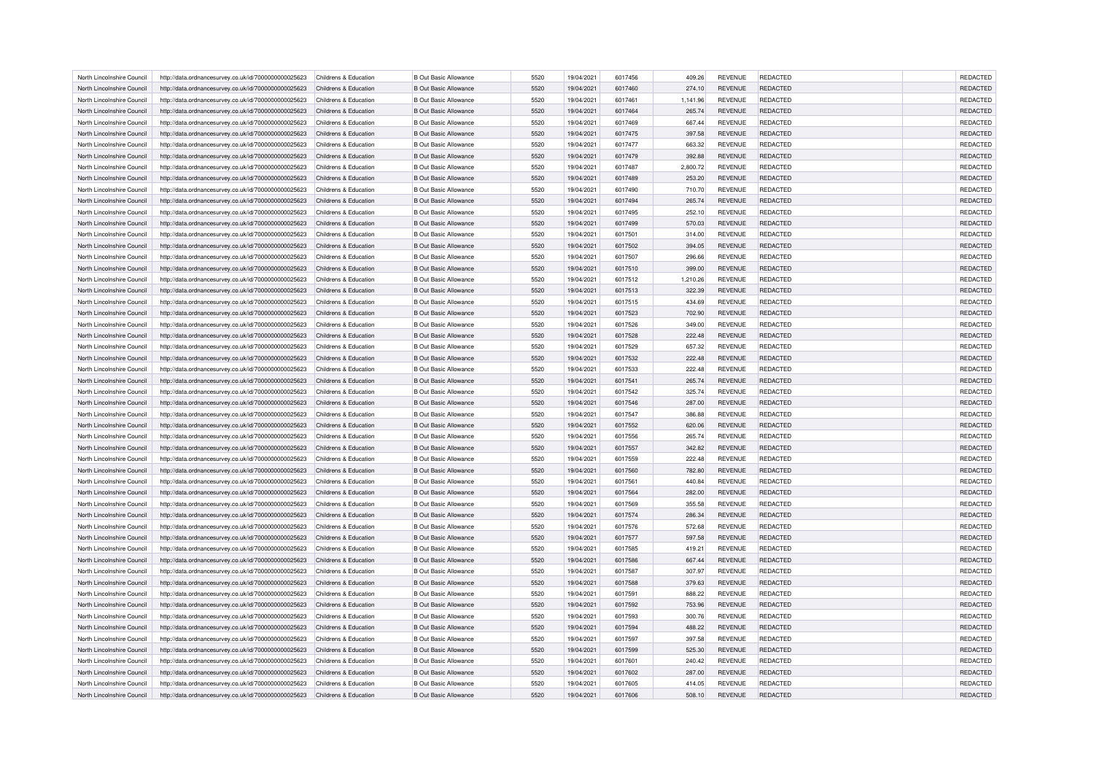| North Lincolnshire Council | http://data.ordnancesurvey.co.uk/id/7000000000025623 | Childrens & Education | <b>B Out Basic Allowance</b> | 5520 | 19/04/2021 | 6017456 | 409.26   | <b>REVENUE</b> | <b>REDACTED</b> | <b>REDACTED</b> |
|----------------------------|------------------------------------------------------|-----------------------|------------------------------|------|------------|---------|----------|----------------|-----------------|-----------------|
| North Lincolnshire Council | http://data.ordnancesurvey.co.uk/id/7000000000025623 | Childrens & Education | <b>B Out Basic Allowance</b> | 5520 | 19/04/2021 | 6017460 | 274.10   | <b>REVENUE</b> | <b>REDACTED</b> | REDACTED        |
| North Lincolnshire Council | http://data.ordnancesurvey.co.uk/id/7000000000025623 | Childrens & Education | <b>B Out Basic Allowance</b> | 5520 | 19/04/2021 | 6017461 | 1.141.96 | <b>REVENUE</b> | <b>REDACTED</b> | REDACTED        |
| North Lincolnshire Council | http://data.ordnancesurvey.co.uk/id/7000000000025623 | Childrens & Education | <b>B Out Basic Allowance</b> | 5520 | 19/04/2021 | 6017464 | 265.74   | <b>REVENUE</b> | <b>REDACTED</b> | REDACTED        |
| North Lincolnshire Council | http://data.ordnancesurvey.co.uk/id/7000000000025623 | Childrens & Education | <b>B Out Basic Allowance</b> | 5520 | 19/04/2021 | 6017469 | 667.44   | <b>REVENUE</b> | <b>REDACTED</b> | REDACTED        |
| North Lincolnshire Council | http://data.ordnancesurvey.co.uk/id/7000000000025623 | Childrens & Education | <b>B Out Basic Allowance</b> | 5520 | 19/04/2021 | 6017475 | 397.58   | <b>REVENUE</b> | <b>REDACTED</b> | REDACTED        |
| North Lincolnshire Council | http://data.ordnancesurvey.co.uk/id/7000000000025623 | Childrens & Education | <b>B Out Basic Allowance</b> | 5520 | 19/04/2021 | 6017477 | 663.32   | <b>REVENUE</b> | REDACTED        | REDACTED        |
| North Lincolnshire Council | http://data.ordnancesurvey.co.uk/id/7000000000025623 | Childrens & Education | <b>B Out Basic Allowance</b> | 5520 | 19/04/2021 | 6017479 | 392.88   | <b>REVENUE</b> | <b>REDACTED</b> | REDACTED        |
| North Lincolnshire Council | http://data.ordnancesurvey.co.uk/id/7000000000025623 | Childrens & Education | <b>B Out Basic Allowance</b> | 5520 | 19/04/2021 | 6017487 | 2,800.72 | <b>REVENUE</b> | <b>REDACTED</b> | REDACTED        |
| North Lincolnshire Council | http://data.ordnancesurvey.co.uk/id/7000000000025623 | Childrens & Education | <b>B Out Basic Allowance</b> | 5520 | 19/04/2021 | 6017489 | 253.20   | REVENUE        | <b>REDACTED</b> | REDACTED        |
| North Lincolnshire Council | http://data.ordnancesurvey.co.uk/id/7000000000025623 | Childrens & Education | <b>B Out Basic Allowance</b> | 5520 | 19/04/2021 | 6017490 | 710.70   | <b>REVENUE</b> | <b>REDACTED</b> | <b>REDACTED</b> |
| North Lincolnshire Council | http://data.ordnancesurvey.co.uk/id/7000000000025623 | Childrens & Education | <b>B Out Basic Allowance</b> | 5520 | 19/04/2021 | 6017494 | 265.74   | <b>REVENUE</b> | <b>REDACTED</b> | <b>REDACTED</b> |
| North Lincolnshire Council |                                                      |                       | <b>B Out Basic Allowance</b> | 5520 | 19/04/2021 | 6017495 |          | <b>REVENUE</b> | REDACTED        | <b>REDACTED</b> |
|                            | http://data.ordnancesurvey.co.uk/id/7000000000025623 | Childrens & Education |                              |      |            |         | 252.10   |                |                 |                 |
| North Lincolnshire Council | http://data.ordnancesurvey.co.uk/id/7000000000025623 | Childrens & Education | <b>B Out Basic Allowance</b> | 5520 | 19/04/2021 | 6017499 | 570.03   | <b>REVENUE</b> | <b>REDACTED</b> | <b>REDACTED</b> |
| North Lincolnshire Council | http://data.ordnancesurvey.co.uk/id/7000000000025623 | Childrens & Education | <b>B Out Basic Allowance</b> | 5520 | 19/04/2021 | 6017501 | 314.00   | <b>REVENUE</b> | <b>REDACTED</b> | REDACTED        |
| North Lincolnshire Council | http://data.ordnancesurvey.co.uk/id/7000000000025623 | Childrens & Education | <b>B Out Basic Allowance</b> | 5520 | 19/04/2021 | 6017502 | 394.05   | <b>REVENUE</b> | <b>REDACTED</b> | REDACTED        |
| North Lincolnshire Council | http://data.ordnancesurvey.co.uk/id/7000000000025623 | Childrens & Education | <b>B Out Basic Allowance</b> | 5520 | 19/04/2021 | 6017507 | 296.66   | <b>REVENUE</b> | REDACTED        | <b>REDACTED</b> |
| North Lincolnshire Council | http://data.ordnancesurvey.co.uk/id/7000000000025623 | Childrens & Education | <b>B Out Basic Allowance</b> | 5520 | 19/04/2021 | 6017510 | 399.00   | <b>REVENUE</b> | <b>REDACTED</b> | REDACTED        |
| North Lincolnshire Council | http://data.ordnancesurvey.co.uk/id/7000000000025623 | Childrens & Education | <b>B Out Basic Allowance</b> | 5520 | 19/04/2021 | 6017512 | 1,210.26 | <b>REVENUE</b> | <b>REDACTED</b> | <b>REDACTED</b> |
| North Lincolnshire Council | http://data.ordnancesurvey.co.uk/id/7000000000025623 | Childrens & Education | <b>B Out Basic Allowance</b> | 5520 | 19/04/2021 | 6017513 | 322.39   | <b>REVENUE</b> | <b>REDACTED</b> | <b>REDACTED</b> |
| North Lincolnshire Council | http://data.ordnancesurvey.co.uk/id/7000000000025623 | Childrens & Education | <b>B Out Basic Allowance</b> | 5520 | 19/04/2021 | 6017515 | 434.69   | <b>REVENUE</b> | <b>REDACTED</b> | <b>REDACTED</b> |
| North Lincolnshire Council | http://data.ordnancesurvey.co.uk/id/7000000000025623 | Childrens & Education | <b>B Out Basic Allowance</b> | 5520 | 19/04/2021 | 6017523 | 702.90   | <b>REVENUE</b> | <b>REDACTED</b> | <b>REDACTED</b> |
| North Lincolnshire Council | http://data.ordnancesurvey.co.uk/id/7000000000025623 | Childrens & Education | <b>B Out Basic Allowance</b> | 5520 | 19/04/2021 | 6017526 | 349.00   | <b>REVENUE</b> | <b>REDACTED</b> | <b>REDACTED</b> |
| North Lincolnshire Council | http://data.ordnancesurvey.co.uk/id/7000000000025623 | Childrens & Education | <b>B Out Basic Allowance</b> | 5520 | 19/04/2021 | 6017528 | 222.48   | <b>REVENUE</b> | <b>REDACTED</b> | <b>REDACTED</b> |
| North Lincolnshire Council | http://data.ordnancesurvey.co.uk/id/7000000000025623 | Childrens & Education | <b>B Out Basic Allowance</b> | 5520 | 19/04/2021 | 6017529 | 657.32   | <b>REVENUE</b> | REDACTED        | REDACTED        |
| North Lincolnshire Council | http://data.ordnancesurvey.co.uk/id/7000000000025623 | Childrens & Education | <b>B Out Basic Allowance</b> | 5520 | 19/04/2021 | 6017532 | 222.48   | <b>REVENUE</b> | <b>REDACTED</b> | <b>REDACTED</b> |
| North Lincolnshire Council | http://data.ordnancesurvey.co.uk/id/7000000000025623 | Childrens & Education | <b>B Out Basic Allowance</b> | 5520 | 19/04/2021 | 6017533 | 222.48   | <b>REVENUE</b> | <b>REDACTED</b> | REDACTED        |
| North Lincolnshire Council | http://data.ordnancesurvey.co.uk/id/7000000000025623 | Childrens & Education | <b>B Out Basic Allowance</b> | 5520 | 19/04/2021 | 6017541 | 265.74   | REVENUE        | <b>REDACTED</b> | REDACTED        |
| North Lincolnshire Council | http://data.ordnancesurvey.co.uk/id/7000000000025623 | Childrens & Education | <b>B Out Basic Allowance</b> | 5520 | 19/04/2021 | 6017542 | 325.74   | <b>REVENUE</b> | <b>REDACTED</b> | REDACTED        |
| North Lincolnshire Council | http://data.ordnancesurvey.co.uk/id/7000000000025623 | Childrens & Education | <b>B Out Basic Allowance</b> | 5520 | 19/04/2021 | 6017546 | 287.00   | <b>REVENUE</b> | <b>REDACTED</b> | REDACTED        |
| North Lincolnshire Council | http://data.ordnancesurvey.co.uk/id/7000000000025623 | Childrens & Education | <b>B Out Basic Allowance</b> | 5520 | 19/04/2021 | 6017547 |          | REVENUE        | <b>REDACTED</b> | REDACTED        |
|                            |                                                      |                       |                              |      |            |         | 386.88   |                |                 |                 |
| North Lincolnshire Council | http://data.ordnancesurvey.co.uk/id/7000000000025623 | Childrens & Education | <b>B Out Basic Allowance</b> | 5520 | 19/04/2021 | 6017552 | 620.06   | <b>REVENUE</b> | REDACTED        | REDACTED        |
| North Lincolnshire Council | http://data.ordnancesurvey.co.uk/id/7000000000025623 | Childrens & Education | <b>B Out Basic Allowance</b> | 5520 | 19/04/2021 | 6017556 | 265.74   | <b>REVENUE</b> | <b>REDACTED</b> | REDACTED        |
| North Lincolnshire Council | http://data.ordnancesurvey.co.uk/id/7000000000025623 | Childrens & Education | <b>B Out Basic Allowance</b> | 5520 | 19/04/2021 | 6017557 | 342.82   | <b>REVENUE</b> | REDACTED        | REDACTED        |
| North Lincolnshire Council | http://data.ordnancesurvey.co.uk/id/7000000000025623 | Childrens & Education | <b>B Out Basic Allowance</b> | 5520 | 19/04/2021 | 6017559 | 222.48   | <b>REVENUE</b> | REDACTED        | REDACTED        |
| North Lincolnshire Council | http://data.ordnancesurvey.co.uk/id/7000000000025623 | Childrens & Education | <b>B Out Basic Allowance</b> | 5520 | 19/04/2021 | 6017560 | 782.80   | <b>REVENUE</b> | <b>REDACTED</b> | REDACTED        |
| North Lincolnshire Council | http://data.ordnancesurvey.co.uk/id/7000000000025623 | Childrens & Education | <b>B Out Basic Allowance</b> | 5520 | 19/04/2021 | 6017561 | 440.84   | <b>REVENUE</b> | <b>REDACTED</b> | <b>REDACTED</b> |
| North Lincolnshire Council | http://data.ordnancesurvey.co.uk/id/7000000000025623 | Childrens & Education | <b>B Out Basic Allowance</b> | 5520 | 19/04/2021 | 6017564 | 282.00   | <b>REVENUE</b> | <b>REDACTED</b> | <b>REDACTED</b> |
| North Lincolnshire Council | http://data.ordnancesurvey.co.uk/id/7000000000025623 | Childrens & Education | <b>B Out Basic Allowance</b> | 5520 | 19/04/2021 | 6017569 | 355.58   | <b>REVENUE</b> | <b>REDACTED</b> | REDACTED        |
| North Lincolnshire Council | http://data.ordnancesurvey.co.uk/id/7000000000025623 | Childrens & Education | <b>B Out Basic Allowance</b> | 5520 | 19/04/2021 | 6017574 | 286.34   | <b>REVENUE</b> | <b>REDACTED</b> | <b>REDACTED</b> |
| North Lincolnshire Council | http://data.ordnancesurvey.co.uk/id/7000000000025623 | Childrens & Education | <b>B Out Basic Allowance</b> | 5520 | 19/04/2021 | 6017576 | 572.68   | <b>REVENUE</b> | <b>REDACTED</b> | REDACTED        |
| North Lincolnshire Council | http://data.ordnancesurvey.co.uk/id/7000000000025623 | Childrens & Education | <b>B Out Basic Allowance</b> | 5520 | 19/04/2021 | 6017577 | 597.58   | <b>REVENUE</b> | <b>REDACTED</b> | <b>REDACTED</b> |
| North Lincolnshire Council | http://data.ordnancesurvey.co.uk/id/7000000000025623 | Childrens & Education | <b>B Out Basic Allowance</b> | 5520 | 19/04/2021 | 6017585 | 419.21   | <b>REVENUE</b> | REDACTED        | REDACTED        |
| North Lincolnshire Council | http://data.ordnancesurvey.co.uk/id/7000000000025623 | Childrens & Education | <b>B Out Basic Allowance</b> | 5520 | 19/04/2021 | 6017586 | 667.44   | <b>REVENUE</b> | <b>REDACTED</b> | <b>REDACTED</b> |
| North Lincolnshire Council | http://data.ordnancesurvey.co.uk/id/7000000000025623 | Childrens & Education | <b>B Out Basic Allowance</b> | 5520 | 19/04/2021 | 6017587 | 307.97   | <b>REVENUE</b> | <b>REDACTED</b> | <b>REDACTED</b> |
| North Lincolnshire Council | http://data.ordnancesurvey.co.uk/id/7000000000025623 | Childrens & Education | <b>B Out Basic Allowance</b> | 5520 | 19/04/2021 | 6017588 | 379.63   | REVENUE        | REDACTED        | REDACTED        |
| North Lincolnshire Council | http://data.ordnancesurvey.co.uk/id/7000000000025623 | Childrens & Education | <b>B Out Basic Allowance</b> | 5520 | 19/04/2021 | 6017591 | 888.22   | <b>REVENUE</b> | <b>REDACTED</b> | REDACTED        |
| North Lincolnshire Council | http://data.ordnancesurvey.co.uk/id/7000000000025623 | Childrens & Education | <b>B Out Basic Allowance</b> | 5520 | 19/04/2021 | 6017592 | 753.96   | <b>REVENUE</b> | <b>REDACTED</b> | <b>REDACTED</b> |
| North Lincolnshire Council | http://data.ordnancesurvey.co.uk/id/7000000000025623 | Childrens & Education | <b>B Out Basic Allowance</b> | 5520 | 19/04/2021 | 6017593 | 300.76   | REVENUE        | <b>REDACTED</b> | <b>REDACTED</b> |
| North Lincolnshire Council | http://data.ordnancesurvey.co.uk/id/7000000000025623 | Childrens & Education | <b>B Out Basic Allowance</b> | 5520 | 19/04/2021 | 6017594 | 488.22   | <b>REVENUE</b> | <b>REDACTED</b> | REDACTED        |
| North Lincolnshire Council | http://data.ordnancesurvey.co.uk/id/7000000000025623 | Childrens & Education | <b>B Out Basic Allowance</b> | 5520 | 19/04/2021 | 6017597 | 397.58   | <b>REVENUE</b> | <b>REDACTED</b> | <b>REDACTED</b> |
| North Lincolnshire Council | http://data.ordnancesurvey.co.uk/id/7000000000025623 | Childrens & Education | <b>B Out Basic Allowance</b> | 5520 | 19/04/2021 | 6017599 | 525.30   | <b>REVENUE</b> | REDACTED        | <b>REDACTED</b> |
| North Lincolnshire Council | http://data.ordnancesurvey.co.uk/id/7000000000025623 | Childrens & Education | <b>B Out Basic Allowance</b> | 5520 | 19/04/2021 | 6017601 | 240.42   | <b>REVENUE</b> | REDACTED        | REDACTED        |
| North Lincolnshire Council |                                                      | Childrens & Education | <b>B Out Basic Allowance</b> | 5520 | 19/04/2021 | 6017602 | 287.00   | <b>REVENUE</b> | <b>REDACTED</b> | <b>REDACTED</b> |
|                            | http://data.ordnancesurvey.co.uk/id/7000000000025623 |                       |                              | 5520 |            | 6017605 |          | <b>REVENUE</b> |                 | <b>REDACTED</b> |
| North Lincolnshire Council | http://data.ordnancesurvey.co.uk/id/7000000000025623 | Childrens & Education | <b>B Out Basic Allowance</b> |      | 19/04/2021 |         | 414.05   |                | <b>REDACTED</b> |                 |
| North Lincolnshire Council | http://data.ordnancesurvey.co.uk/id/7000000000025623 | Childrens & Education | <b>B Out Basic Allowance</b> | 5520 | 19/04/2021 | 6017606 | 508.10   | <b>REVENUE</b> | <b>REDACTED</b> | <b>REDACTED</b> |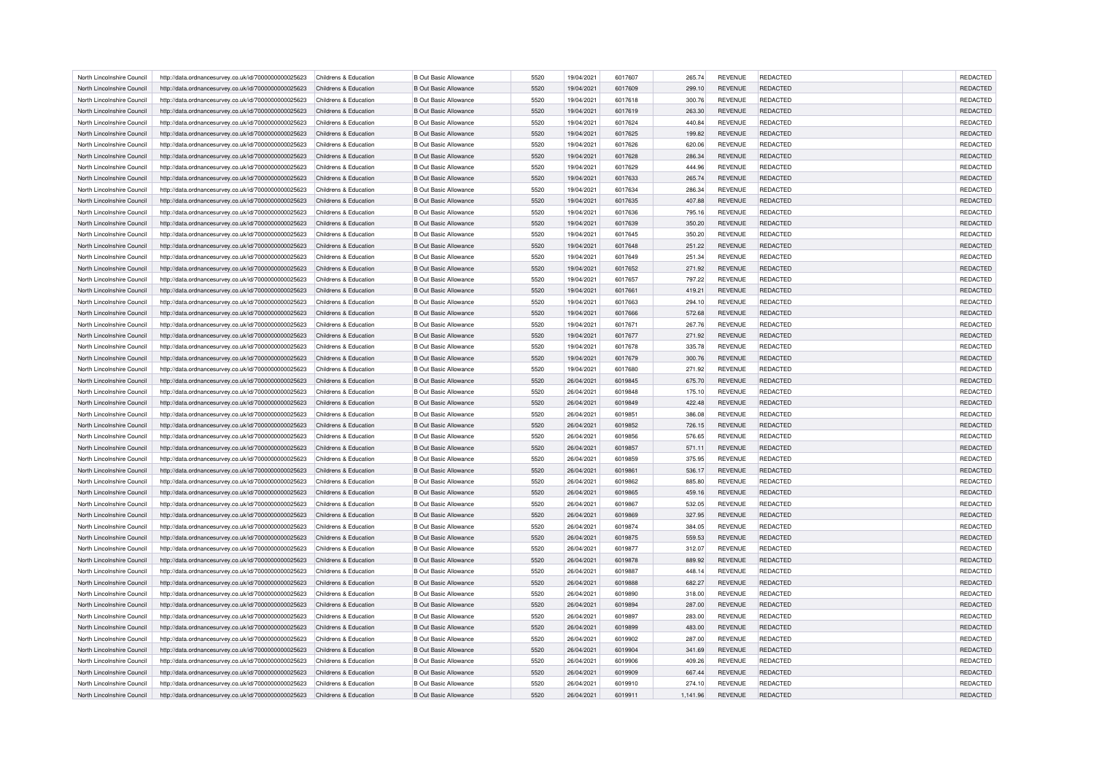| North Lincolnshire Council | http://data.ordnancesurvey.co.uk/id/7000000000025623 | Childrens & Education | <b>B Out Basic Allowance</b> | 5520 | 19/04/2021 | 6017607 | 265.74   | <b>REVENUE</b> | <b>REDACTED</b> | <b>REDACTED</b> |
|----------------------------|------------------------------------------------------|-----------------------|------------------------------|------|------------|---------|----------|----------------|-----------------|-----------------|
| North Lincolnshire Council | http://data.ordnancesurvey.co.uk/id/7000000000025623 | Childrens & Education | <b>B Out Basic Allowance</b> | 5520 | 19/04/2021 | 6017609 | 299.10   | <b>REVENUE</b> | <b>REDACTED</b> | <b>REDACTED</b> |
| North Lincolnshire Council | http://data.ordnancesurvey.co.uk/id/7000000000025623 | Childrens & Education | <b>B Out Basic Allowance</b> | 5520 | 19/04/2021 | 6017618 | 300.76   | <b>REVENUE</b> | <b>REDACTED</b> | REDACTED        |
| North Lincolnshire Council | http://data.ordnancesurvey.co.uk/id/7000000000025623 | Childrens & Education | <b>B Out Basic Allowance</b> | 5520 | 19/04/2021 | 6017619 | 263.30   | <b>REVENUE</b> | <b>REDACTED</b> | REDACTED        |
| North Lincolnshire Council | http://data.ordnancesurvey.co.uk/id/7000000000025623 | Childrens & Education | <b>B Out Basic Allowance</b> | 5520 | 19/04/2021 | 6017624 | 440.84   | <b>REVENUE</b> | <b>REDACTED</b> | REDACTED        |
| North Lincolnshire Council | http://data.ordnancesurvey.co.uk/id/7000000000025623 | Childrens & Education | <b>B Out Basic Allowance</b> | 5520 | 19/04/2021 | 6017625 | 199.82   | <b>REVENUE</b> | <b>REDACTED</b> | REDACTED        |
| North Lincolnshire Council | http://data.ordnancesurvey.co.uk/id/7000000000025623 | Childrens & Education | <b>B Out Basic Allowance</b> | 5520 | 19/04/2021 | 6017626 | 620.06   | <b>REVENUE</b> | REDACTED        | REDACTED        |
| North Lincolnshire Council | http://data.ordnancesurvey.co.uk/id/7000000000025623 | Childrens & Education | <b>B Out Basic Allowance</b> | 5520 | 19/04/2021 | 6017628 | 286.34   | <b>REVENUE</b> | <b>REDACTED</b> | REDACTED        |
| North Lincolnshire Council | http://data.ordnancesurvey.co.uk/id/7000000000025623 | Childrens & Education | <b>B Out Basic Allowance</b> | 5520 | 19/04/2021 | 6017629 | 444.96   | <b>REVENUE</b> | <b>REDACTED</b> | REDACTED        |
| North Lincolnshire Council | http://data.ordnancesurvey.co.uk/id/7000000000025623 | Childrens & Education | <b>B Out Basic Allowance</b> | 5520 | 19/04/2021 | 6017633 | 265.74   | REVENUE        | REDACTED        | REDACTED        |
| North Lincolnshire Council | http://data.ordnancesurvey.co.uk/id/7000000000025623 | Childrens & Education | <b>B Out Basic Allowance</b> | 5520 | 19/04/2021 | 6017634 | 286.34   | <b>REVENUE</b> | <b>REDACTED</b> | REDACTED        |
| North Lincolnshire Council | http://data.ordnancesurvey.co.uk/id/7000000000025623 | Childrens & Education | <b>B Out Basic Allowance</b> | 5520 | 19/04/2021 | 6017635 | 407.88   | <b>REVENUE</b> | <b>REDACTED</b> | REDACTED        |
| North Lincolnshire Council | http://data.ordnancesurvey.co.uk/id/7000000000025623 | Childrens & Education | <b>B Out Basic Allowance</b> | 5520 | 19/04/2021 | 6017636 | 795.16   | <b>REVENUE</b> | REDACTED        | REDACTED        |
|                            |                                                      |                       |                              |      |            |         |          |                |                 |                 |
| North Lincolnshire Council | http://data.ordnancesurvey.co.uk/id/7000000000025623 | Childrens & Education | <b>B Out Basic Allowance</b> | 5520 | 19/04/2021 | 6017639 | 350.20   | <b>REVENUE</b> | <b>REDACTED</b> | <b>REDACTED</b> |
| North Lincolnshire Council | http://data.ordnancesurvey.co.uk/id/7000000000025623 | Childrens & Education | <b>B Out Basic Allowance</b> | 5520 | 19/04/2021 | 6017645 | 350.20   | <b>REVENUE</b> | <b>REDACTED</b> | REDACTED        |
| North Lincolnshire Council | http://data.ordnancesurvey.co.uk/id/7000000000025623 | Childrens & Education | <b>B Out Basic Allowance</b> | 5520 | 19/04/2021 | 6017648 | 251.22   | <b>REVENUE</b> | <b>REDACTED</b> | <b>REDACTED</b> |
| North Lincolnshire Council | http://data.ordnancesurvey.co.uk/id/7000000000025623 | Childrens & Education | <b>B Out Basic Allowance</b> | 5520 | 19/04/2021 | 6017649 | 251.34   | <b>REVENUE</b> | REDACTED        | <b>REDACTED</b> |
| North Lincolnshire Council | http://data.ordnancesurvey.co.uk/id/7000000000025623 | Childrens & Education | <b>B Out Basic Allowance</b> | 5520 | 19/04/2021 | 6017652 | 271.92   | <b>REVENUE</b> | <b>REDACTED</b> | REDACTED        |
| North Lincolnshire Council | http://data.ordnancesurvey.co.uk/id/7000000000025623 | Childrens & Education | <b>B Out Basic Allowance</b> | 5520 | 19/04/2021 | 6017657 | 797.22   | <b>REVENUE</b> | <b>REDACTED</b> | REDACTED        |
| North Lincolnshire Council | http://data.ordnancesurvey.co.uk/id/7000000000025623 | Childrens & Education | <b>B Out Basic Allowance</b> | 5520 | 19/04/2021 | 6017661 | 419.21   | <b>REVENUE</b> | <b>REDACTED</b> | REDACTED        |
| North Lincolnshire Council | http://data.ordnancesurvey.co.uk/id/7000000000025623 | Childrens & Education | <b>B Out Basic Allowance</b> | 5520 | 19/04/2021 | 6017663 | 294.10   | <b>REVENUE</b> | <b>REDACTED</b> | REDACTED        |
| North Lincolnshire Council | http://data.ordnancesurvey.co.uk/id/7000000000025623 | Childrens & Education | <b>B Out Basic Allowance</b> | 5520 | 19/04/2021 | 6017666 | 572.68   | <b>REVENUE</b> | <b>REDACTED</b> | REDACTED        |
| North Lincolnshire Council | http://data.ordnancesurvey.co.uk/id/7000000000025623 | Childrens & Education | <b>B Out Basic Allowance</b> | 5520 | 19/04/2021 | 6017671 | 267.76   | <b>REVENUE</b> | <b>REDACTED</b> | REDACTED        |
| North Lincolnshire Council | http://data.ordnancesurvey.co.uk/id/7000000000025623 | Childrens & Education | <b>B Out Basic Allowance</b> | 5520 | 19/04/2021 | 6017677 | 271.92   | <b>REVENUE</b> | <b>REDACTED</b> | REDACTED        |
| North Lincolnshire Council | http://data.ordnancesurvey.co.uk/id/7000000000025623 | Childrens & Education | <b>B Out Basic Allowance</b> | 5520 | 19/04/2021 | 6017678 | 335.78   | <b>REVENUE</b> | REDACTED        | REDACTED        |
| North Lincolnshire Council | http://data.ordnancesurvey.co.uk/id/7000000000025623 | Childrens & Education | <b>B Out Basic Allowance</b> | 5520 | 19/04/2021 | 6017679 | 300.76   | <b>REVENUE</b> | <b>REDACTED</b> | REDACTED        |
| North Lincolnshire Council | http://data.ordnancesurvey.co.uk/id/7000000000025623 | Childrens & Education | <b>B Out Basic Allowance</b> | 5520 | 19/04/2021 | 6017680 | 271.92   | <b>REVENUE</b> | <b>REDACTED</b> | <b>REDACTED</b> |
| North Lincolnshire Council | http://data.ordnancesurvey.co.uk/id/7000000000025623 | Childrens & Education | <b>B Out Basic Allowance</b> | 5520 | 26/04/2021 | 6019845 | 675.70   | <b>REVENUE</b> | REDACTED        | REDACTED        |
| North Lincolnshire Council | http://data.ordnancesurvey.co.uk/id/7000000000025623 | Childrens & Education | <b>B Out Basic Allowance</b> | 5520 | 26/04/2021 | 6019848 | 175.10   | <b>REVENUE</b> | <b>REDACTED</b> | REDACTED        |
| North Lincolnshire Council | http://data.ordnancesurvey.co.uk/id/7000000000025623 | Childrens & Education | <b>B Out Basic Allowance</b> | 5520 | 26/04/2021 | 6019849 | 422.48   | <b>REVENUE</b> | <b>REDACTED</b> | REDACTED        |
| North Lincolnshire Council | http://data.ordnancesurvey.co.uk/id/7000000000025623 | Childrens & Education | <b>B Out Basic Allowance</b> | 5520 | 26/04/2021 | 6019851 | 386.08   | REVENUE        | <b>REDACTED</b> | REDACTED        |
| North Lincolnshire Council | http://data.ordnancesurvey.co.uk/id/7000000000025623 | Childrens & Education | <b>B Out Basic Allowance</b> | 5520 | 26/04/2021 | 6019852 | 726.15   | <b>REVENUE</b> | REDACTED        | REDACTED        |
| North Lincolnshire Council | http://data.ordnancesurvey.co.uk/id/7000000000025623 | Childrens & Education | <b>B Out Basic Allowance</b> | 5520 | 26/04/2021 | 6019856 | 576.65   | <b>REVENUE</b> | <b>REDACTED</b> | <b>REDACTED</b> |
|                            |                                                      |                       |                              | 5520 |            |         |          |                |                 |                 |
| North Lincolnshire Council | http://data.ordnancesurvey.co.uk/id/7000000000025623 | Childrens & Education | <b>B Out Basic Allowance</b> |      | 26/04/2021 | 6019857 | 571.11   | <b>REVENUE</b> | REDACTED        | REDACTED        |
| North Lincolnshire Council | http://data.ordnancesurvey.co.uk/id/7000000000025623 | Childrens & Education | <b>B Out Basic Allowance</b> | 5520 | 26/04/2021 | 6019859 | 375.95   | <b>REVENUE</b> | REDACTED        | REDACTED        |
| North Lincolnshire Council | http://data.ordnancesurvey.co.uk/id/7000000000025623 | Childrens & Education | <b>B Out Basic Allowance</b> | 5520 | 26/04/2021 | 6019861 | 536.17   | <b>REVENUE</b> | <b>REDACTED</b> | REDACTED        |
| North Lincolnshire Council | http://data.ordnancesurvey.co.uk/id/7000000000025623 | Childrens & Education | <b>B Out Basic Allowance</b> | 5520 | 26/04/2021 | 6019862 | 885.80   | <b>REVENUE</b> | <b>REDACTED</b> | <b>REDACTED</b> |
| North Lincolnshire Council | http://data.ordnancesurvey.co.uk/id/7000000000025623 | Childrens & Education | <b>B Out Basic Allowance</b> | 5520 | 26/04/2021 | 6019865 | 459.16   | <b>REVENUE</b> | <b>REDACTED</b> | <b>REDACTED</b> |
| North Lincolnshire Council | http://data.ordnancesurvey.co.uk/id/7000000000025623 | Childrens & Education | <b>B Out Basic Allowance</b> | 5520 | 26/04/2021 | 6019867 | 532.05   | <b>REVENUE</b> | <b>REDACTED</b> | <b>REDACTED</b> |
| North Lincolnshire Council | http://data.ordnancesurvey.co.uk/id/7000000000025623 | Childrens & Education | <b>B Out Basic Allowance</b> | 5520 | 26/04/2021 | 6019869 | 327.95   | <b>REVENUE</b> | <b>REDACTED</b> | <b>REDACTED</b> |
| North Lincolnshire Council | http://data.ordnancesurvey.co.uk/id/7000000000025623 | Childrens & Education | <b>B Out Basic Allowance</b> | 5520 | 26/04/2021 | 6019874 | 384.05   | <b>REVENUE</b> | <b>REDACTED</b> | <b>REDACTED</b> |
| North Lincolnshire Council | http://data.ordnancesurvey.co.uk/id/7000000000025623 | Childrens & Education | <b>B Out Basic Allowance</b> | 5520 | 26/04/2021 | 6019875 | 559.53   | <b>REVENUE</b> | <b>REDACTED</b> | <b>REDACTED</b> |
| North Lincolnshire Council | http://data.ordnancesurvey.co.uk/id/7000000000025623 | Childrens & Education | <b>B Out Basic Allowance</b> | 5520 | 26/04/2021 | 6019877 | 312.07   | <b>REVENUE</b> | REDACTED        | REDACTED        |
| North Lincolnshire Council | http://data.ordnancesurvey.co.uk/id/7000000000025623 | Childrens & Education | <b>B Out Basic Allowance</b> | 5520 | 26/04/2021 | 6019878 | 889.92   | <b>REVENUE</b> | <b>REDACTED</b> | <b>REDACTED</b> |
| North Lincolnshire Council | http://data.ordnancesurvey.co.uk/id/7000000000025623 | Childrens & Education | <b>B Out Basic Allowance</b> | 5520 | 26/04/2021 | 6019887 | 448.14   | <b>REVENUE</b> | <b>REDACTED</b> | <b>REDACTED</b> |
| North Lincolnshire Council | http://data.ordnancesurvey.co.uk/id/7000000000025623 | Childrens & Education | <b>B Out Basic Allowance</b> | 5520 | 26/04/2021 | 6019888 | 682.27   | <b>REVENUE</b> | REDACTED        | REDACTED        |
| North Lincolnshire Council | http://data.ordnancesurvey.co.uk/id/7000000000025623 | Childrens & Education | <b>B Out Basic Allowance</b> | 5520 | 26/04/2021 | 6019890 | 318.00   | <b>REVENUE</b> | <b>REDACTED</b> | REDACTED        |
| North Lincolnshire Council | http://data.ordnancesurvey.co.uk/id/7000000000025623 | Childrens & Education | <b>B Out Basic Allowance</b> | 5520 | 26/04/2021 | 6019894 | 287.00   | <b>REVENUE</b> | <b>REDACTED</b> | <b>REDACTED</b> |
| North Lincolnshire Council | http://data.ordnancesurvey.co.uk/id/7000000000025623 | Childrens & Education | <b>B Out Basic Allowance</b> | 5520 | 26/04/2021 | 6019897 | 283.00   | REVENUE        | <b>REDACTED</b> | <b>REDACTED</b> |
| North Lincolnshire Council | http://data.ordnancesurvey.co.uk/id/7000000000025623 | Childrens & Education | <b>B Out Basic Allowance</b> | 5520 | 26/04/2021 | 6019899 | 483.00   | <b>REVENUE</b> | <b>REDACTED</b> | REDACTED        |
| North Lincolnshire Council | http://data.ordnancesurvey.co.uk/id/7000000000025623 | Childrens & Education | <b>B Out Basic Allowance</b> | 5520 | 26/04/2021 | 6019902 | 287.00   | <b>REVENUE</b> | <b>REDACTED</b> | <b>REDACTED</b> |
| North Lincolnshire Council | http://data.ordnancesurvey.co.uk/id/7000000000025623 | Childrens & Education | <b>B Out Basic Allowance</b> | 5520 | 26/04/2021 | 6019904 | 341.69   | <b>REVENUE</b> | REDACTED        | <b>REDACTED</b> |
| North Lincolnshire Council | http://data.ordnancesurvey.co.uk/id/7000000000025623 | Childrens & Education | <b>B Out Basic Allowance</b> | 5520 | 26/04/2021 | 6019906 | 409.26   | <b>REVENUE</b> | REDACTED        | REDACTED        |
| North Lincolnshire Council | http://data.ordnancesurvey.co.uk/id/7000000000025623 | Childrens & Education | <b>B Out Basic Allowance</b> | 5520 | 26/04/2021 | 6019909 | 667.44   | <b>REVENUE</b> | <b>REDACTED</b> | <b>REDACTED</b> |
| North Lincolnshire Council | http://data.ordnancesurvey.co.uk/id/7000000000025623 | Childrens & Education | <b>B Out Basic Allowance</b> | 5520 | 26/04/2021 | 6019910 | 274.10   | <b>REVENUE</b> | <b>REDACTED</b> | <b>REDACTED</b> |
| North Lincolnshire Council | http://data.ordnancesurvey.co.uk/id/7000000000025623 | Childrens & Education | <b>B Out Basic Allowance</b> | 5520 | 26/04/2021 | 6019911 | 1,141.96 | <b>REVENUE</b> | <b>REDACTED</b> | <b>REDACTED</b> |
|                            |                                                      |                       |                              |      |            |         |          |                |                 |                 |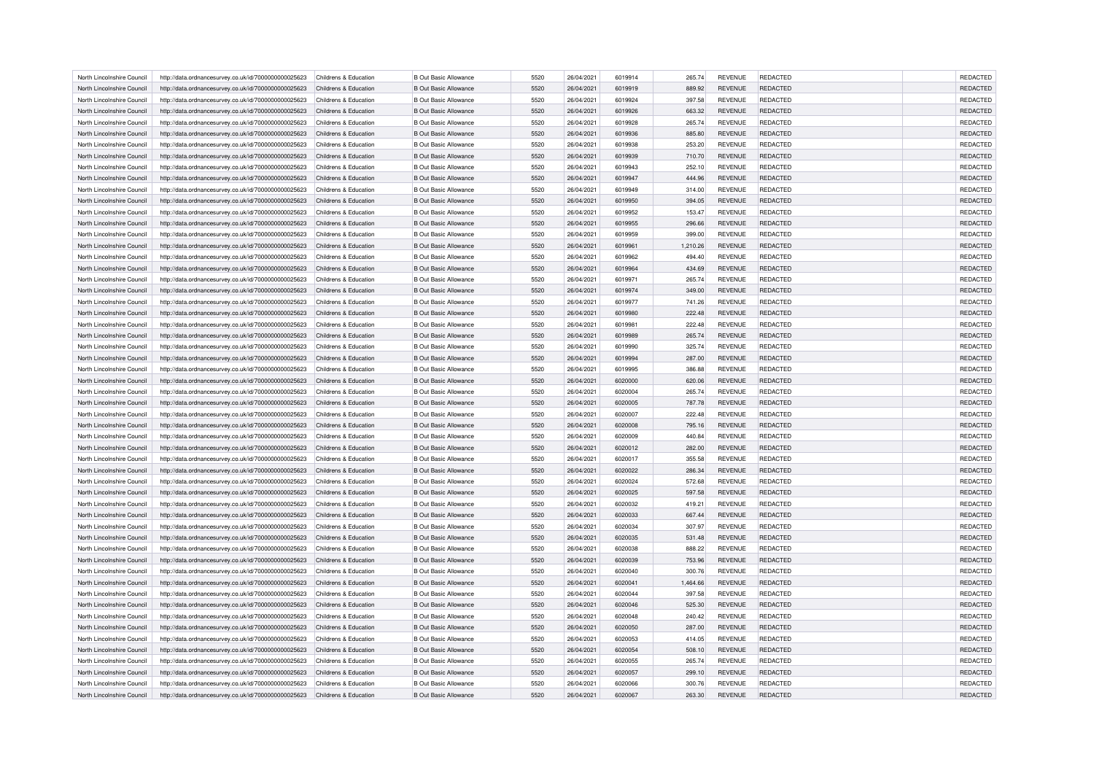| North Lincolnshire Council | http://data.ordnancesurvey.co.uk/id/7000000000025623 | Childrens & Education | <b>B Out Basic Allowance</b> | 5520 | 26/04/2021 | 6019914 | 265.74   | <b>REVENUE</b> | <b>REDACTED</b> | <b>REDACTED</b> |
|----------------------------|------------------------------------------------------|-----------------------|------------------------------|------|------------|---------|----------|----------------|-----------------|-----------------|
| North Lincolnshire Council | http://data.ordnancesurvey.co.uk/id/7000000000025623 | Childrens & Education | <b>B Out Basic Allowance</b> | 5520 | 26/04/2021 | 6019919 | 889.92   | <b>REVENUE</b> | <b>REDACTED</b> | <b>REDACTED</b> |
| North Lincolnshire Council | http://data.ordnancesurvey.co.uk/id/7000000000025623 | Childrens & Education | <b>B Out Basic Allowance</b> | 5520 | 26/04/2021 | 6019924 | 397.58   | <b>REVENUE</b> | <b>REDACTED</b> | <b>REDACTED</b> |
| North Lincolnshire Council | http://data.ordnancesurvey.co.uk/id/7000000000025623 | Childrens & Education | <b>B Out Basic Allowance</b> | 5520 | 26/04/2021 | 6019926 | 663.32   | <b>REVENUE</b> | <b>REDACTED</b> | REDACTED        |
| North Lincolnshire Council | http://data.ordnancesurvey.co.uk/id/7000000000025623 | Childrens & Education | <b>B Out Basic Allowance</b> | 5520 | 26/04/2021 | 6019928 | 265.74   | <b>REVENUE</b> | <b>REDACTED</b> | <b>REDACTED</b> |
| North Lincolnshire Council | http://data.ordnancesurvey.co.uk/id/7000000000025623 | Childrens & Education | <b>B Out Basic Allowance</b> | 5520 | 26/04/2021 | 6019936 | 885.80   | <b>REVENUE</b> | <b>REDACTED</b> | REDACTED        |
| North Lincolnshire Council | http://data.ordnancesurvey.co.uk/id/7000000000025623 | Childrens & Education | <b>B Out Basic Allowance</b> | 5520 | 26/04/2021 | 6019938 | 253.20   | <b>REVENUE</b> | REDACTED        | REDACTED        |
| North Lincolnshire Council | http://data.ordnancesurvey.co.uk/id/7000000000025623 | Childrens & Education | <b>B Out Basic Allowance</b> | 5520 | 26/04/2021 | 6019939 | 710.70   | <b>REVENUE</b> | <b>REDACTED</b> | REDACTED        |
| North Lincolnshire Council | http://data.ordnancesurvey.co.uk/id/7000000000025623 | Childrens & Education | <b>B Out Basic Allowance</b> | 5520 | 26/04/2021 | 6019943 | 252.10   | <b>REVENUE</b> | <b>REDACTED</b> | <b>REDACTED</b> |
| North Lincolnshire Council | http://data.ordnancesurvey.co.uk/id/7000000000025623 | Childrens & Education | <b>B Out Basic Allowance</b> | 5520 | 26/04/2021 | 6019947 | 444.96   | REVENUE        | REDACTED        | REDACTED        |
| North Lincolnshire Council | http://data.ordnancesurvey.co.uk/id/7000000000025623 | Childrens & Education | <b>B Out Basic Allowance</b> | 5520 | 26/04/2021 | 6019949 | 314.00   | <b>REVENUE</b> | <b>REDACTED</b> | <b>REDACTED</b> |
| North Lincolnshire Council | http://data.ordnancesurvey.co.uk/id/7000000000025623 | Childrens & Education | <b>B Out Basic Allowance</b> | 5520 | 26/04/2021 | 6019950 | 394.05   | <b>REVENUE</b> | <b>REDACTED</b> | REDACTED        |
| North Lincolnshire Council |                                                      |                       | <b>B Out Basic Allowance</b> | 5520 | 26/04/2021 | 6019952 |          | <b>REVENUE</b> | REDACTED        | <b>REDACTED</b> |
|                            | http://data.ordnancesurvey.co.uk/id/7000000000025623 | Childrens & Education |                              |      |            |         | 153.47   |                |                 |                 |
| North Lincolnshire Council | http://data.ordnancesurvey.co.uk/id/7000000000025623 | Childrens & Education | <b>B Out Basic Allowance</b> | 5520 | 26/04/2021 | 6019955 | 296.66   | <b>REVENUE</b> | <b>REDACTED</b> | REDACTED        |
| North Lincolnshire Council | http://data.ordnancesurvey.co.uk/id/7000000000025623 | Childrens & Education | <b>B Out Basic Allowance</b> | 5520 | 26/04/2021 | 6019959 | 399.00   | <b>REVENUE</b> | <b>REDACTED</b> | REDACTED        |
| North Lincolnshire Council | http://data.ordnancesurvey.co.uk/id/7000000000025623 | Childrens & Education | <b>B Out Basic Allowance</b> | 5520 | 26/04/2021 | 6019961 | 1,210.26 | <b>REVENUE</b> | <b>REDACTED</b> | <b>REDACTED</b> |
| North Lincolnshire Council | http://data.ordnancesurvey.co.uk/id/7000000000025623 | Childrens & Education | <b>B Out Basic Allowance</b> | 5520 | 26/04/2021 | 6019962 | 494.40   | <b>REVENUE</b> | REDACTED        | <b>REDACTED</b> |
| North Lincolnshire Council | http://data.ordnancesurvey.co.uk/id/7000000000025623 | Childrens & Education | <b>B Out Basic Allowance</b> | 5520 | 26/04/2021 | 6019964 | 434.69   | <b>REVENUE</b> | <b>REDACTED</b> | REDACTED        |
| North Lincolnshire Council | http://data.ordnancesurvey.co.uk/id/7000000000025623 | Childrens & Education | <b>B Out Basic Allowance</b> | 5520 | 26/04/2021 | 6019971 | 265.74   | <b>REVENUE</b> | <b>REDACTED</b> | <b>REDACTED</b> |
| North Lincolnshire Council | http://data.ordnancesurvey.co.uk/id/7000000000025623 | Childrens & Education | <b>B Out Basic Allowance</b> | 5520 | 26/04/2021 | 6019974 | 349.00   | <b>REVENUE</b> | <b>REDACTED</b> | REDACTED        |
| North Lincolnshire Council | http://data.ordnancesurvey.co.uk/id/7000000000025623 | Childrens & Education | <b>B Out Basic Allowance</b> | 5520 | 26/04/2021 | 6019977 | 741.26   | <b>REVENUE</b> | <b>REDACTED</b> | <b>REDACTED</b> |
| North Lincolnshire Council | http://data.ordnancesurvey.co.uk/id/7000000000025623 | Childrens & Education | <b>B Out Basic Allowance</b> | 5520 | 26/04/2021 | 6019980 | 222.48   | <b>REVENUE</b> | <b>REDACTED</b> | REDACTED        |
| North Lincolnshire Council | http://data.ordnancesurvey.co.uk/id/7000000000025623 | Childrens & Education | <b>B Out Basic Allowance</b> | 5520 | 26/04/2021 | 6019981 | 222.48   | <b>REVENUE</b> | <b>REDACTED</b> | <b>REDACTED</b> |
| North Lincolnshire Council | http://data.ordnancesurvey.co.uk/id/7000000000025623 | Childrens & Education | <b>B Out Basic Allowance</b> | 5520 | 26/04/2021 | 6019989 | 265.74   | <b>REVENUE</b> | <b>REDACTED</b> | REDACTED        |
| North Lincolnshire Council | http://data.ordnancesurvey.co.uk/id/7000000000025623 | Childrens & Education | <b>B Out Basic Allowance</b> | 5520 | 26/04/2021 | 6019990 | 325.74   | <b>REVENUE</b> | REDACTED        | REDACTED        |
| North Lincolnshire Council | http://data.ordnancesurvey.co.uk/id/7000000000025623 | Childrens & Education | <b>B Out Basic Allowance</b> | 5520 | 26/04/2021 | 6019994 | 287.00   | <b>REVENUE</b> | <b>REDACTED</b> | REDACTED        |
| North Lincolnshire Council | http://data.ordnancesurvey.co.uk/id/7000000000025623 | Childrens & Education | <b>B Out Basic Allowance</b> | 5520 | 26/04/2021 | 6019995 | 386.88   | <b>REVENUE</b> | <b>REDACTED</b> | <b>REDACTED</b> |
| North Lincolnshire Council | http://data.ordnancesurvey.co.uk/id/7000000000025623 | Childrens & Education | <b>B Out Basic Allowance</b> | 5520 | 26/04/2021 | 6020000 | 620.06   | <b>REVENUE</b> | <b>REDACTED</b> | REDACTED        |
| North Lincolnshire Council | http://data.ordnancesurvey.co.uk/id/7000000000025623 | Childrens & Education | <b>B Out Basic Allowance</b> | 5520 | 26/04/2021 | 6020004 | 265.74   | <b>REVENUE</b> | <b>REDACTED</b> | REDACTED        |
| North Lincolnshire Council | http://data.ordnancesurvey.co.uk/id/7000000000025623 | Childrens & Education | <b>B Out Basic Allowance</b> | 5520 | 26/04/2021 | 6020005 | 787.78   | <b>REVENUE</b> | <b>REDACTED</b> | REDACTED        |
| North Lincolnshire Council | http://data.ordnancesurvey.co.uk/id/7000000000025623 | Childrens & Education | <b>B Out Basic Allowance</b> | 5520 | 26/04/2021 | 6020007 | 222.48   | REVENUE        | <b>REDACTED</b> | REDACTED        |
| North Lincolnshire Council | http://data.ordnancesurvey.co.uk/id/7000000000025623 | Childrens & Education | <b>B Out Basic Allowance</b> | 5520 | 26/04/2021 | 6020008 | 795.16   | <b>REVENUE</b> | <b>REDACTED</b> | REDACTED        |
| North Lincolnshire Council | http://data.ordnancesurvey.co.uk/id/7000000000025623 | Childrens & Education | <b>B Out Basic Allowance</b> | 5520 | 26/04/2021 | 6020009 | 440.84   | <b>REVENUE</b> | <b>REDACTED</b> | <b>REDACTED</b> |
|                            |                                                      |                       |                              | 5520 |            |         |          |                |                 |                 |
| North Lincolnshire Council | http://data.ordnancesurvey.co.uk/id/7000000000025623 | Childrens & Education | <b>B Out Basic Allowance</b> |      | 26/04/2021 | 6020012 | 282.00   | <b>REVENUE</b> | REDACTED        | REDACTED        |
| North Lincolnshire Council | http://data.ordnancesurvey.co.uk/id/7000000000025623 | Childrens & Education | <b>B Out Basic Allowance</b> | 5520 | 26/04/2021 | 6020017 | 355.58   | <b>REVENUE</b> | REDACTED        | REDACTED        |
| North Lincolnshire Council | http://data.ordnancesurvey.co.uk/id/7000000000025623 | Childrens & Education | <b>B Out Basic Allowance</b> | 5520 | 26/04/2021 | 6020022 | 286.34   | <b>REVENUE</b> | <b>REDACTED</b> | REDACTED        |
| North Lincolnshire Council | http://data.ordnancesurvey.co.uk/id/7000000000025623 | Childrens & Education | <b>B Out Basic Allowance</b> | 5520 | 26/04/2021 | 6020024 | 572.68   | <b>REVENUE</b> | <b>REDACTED</b> | <b>REDACTED</b> |
| North Lincolnshire Council | http://data.ordnancesurvey.co.uk/id/7000000000025623 | Childrens & Education | <b>B Out Basic Allowance</b> | 5520 | 26/04/2021 | 6020025 | 597.58   | <b>REVENUE</b> | <b>REDACTED</b> | <b>REDACTED</b> |
| North Lincolnshire Council | http://data.ordnancesurvey.co.uk/id/7000000000025623 | Childrens & Education | <b>B Out Basic Allowance</b> | 5520 | 26/04/2021 | 6020032 | 419.21   | <b>REVENUE</b> | <b>REDACTED</b> | <b>REDACTED</b> |
| North Lincolnshire Council | http://data.ordnancesurvey.co.uk/id/7000000000025623 | Childrens & Education | <b>B Out Basic Allowance</b> | 5520 | 26/04/2021 | 6020033 | 667.44   | <b>REVENUE</b> | <b>REDACTED</b> | REDACTED        |
| North Lincolnshire Council | http://data.ordnancesurvey.co.uk/id/7000000000025623 | Childrens & Education | <b>B Out Basic Allowance</b> | 5520 | 26/04/2021 | 6020034 | 307.97   | <b>REVENUE</b> | <b>REDACTED</b> | <b>REDACTED</b> |
| North Lincolnshire Council | http://data.ordnancesurvey.co.uk/id/7000000000025623 | Childrens & Education | <b>B Out Basic Allowance</b> | 5520 | 26/04/2021 | 6020035 | 531.48   | <b>REVENUE</b> | <b>REDACTED</b> | REDACTED        |
| North Lincolnshire Council | http://data.ordnancesurvey.co.uk/id/7000000000025623 | Childrens & Education | <b>B Out Basic Allowance</b> | 5520 | 26/04/2021 | 6020038 | 888.22   | <b>REVENUE</b> | REDACTED        | REDACTED        |
| North Lincolnshire Council | http://data.ordnancesurvey.co.uk/id/7000000000025623 | Childrens & Education | <b>B Out Basic Allowance</b> | 5520 | 26/04/2021 | 6020039 | 753.96   | <b>REVENUE</b> | <b>REDACTED</b> | <b>REDACTED</b> |
| North Lincolnshire Council | http://data.ordnancesurvey.co.uk/id/7000000000025623 | Childrens & Education | <b>B Out Basic Allowance</b> | 5520 | 26/04/2021 | 6020040 | 300.76   | <b>REVENUE</b> | <b>REDACTED</b> | <b>REDACTED</b> |
| North Lincolnshire Council | http://data.ordnancesurvey.co.uk/id/7000000000025623 | Childrens & Education | <b>B Out Basic Allowance</b> | 5520 | 26/04/2021 | 6020041 | 1,464.66 | REVENUE        | REDACTED        | REDACTED        |
| North Lincolnshire Council | http://data.ordnancesurvey.co.uk/id/7000000000025623 | Childrens & Education | <b>B Out Basic Allowance</b> | 5520 | 26/04/2021 | 6020044 | 397.58   | <b>REVENUE</b> | <b>REDACTED</b> | REDACTED        |
| North Lincolnshire Council | http://data.ordnancesurvey.co.uk/id/7000000000025623 | Childrens & Education | <b>B Out Basic Allowance</b> | 5520 | 26/04/2021 | 6020046 | 525.30   | <b>REVENUE</b> | <b>REDACTED</b> | <b>REDACTED</b> |
| North Lincolnshire Council | http://data.ordnancesurvey.co.uk/id/7000000000025623 | Childrens & Education | <b>B Out Basic Allowance</b> | 5520 | 26/04/2021 | 6020048 | 240.42   | REVENUE        | <b>REDACTED</b> | <b>REDACTED</b> |
| North Lincolnshire Council | http://data.ordnancesurvey.co.uk/id/7000000000025623 | Childrens & Education | <b>B Out Basic Allowance</b> | 5520 | 26/04/2021 | 6020050 | 287.00   | <b>REVENUE</b> | <b>REDACTED</b> | REDACTED        |
| North Lincolnshire Council | http://data.ordnancesurvey.co.uk/id/7000000000025623 | Childrens & Education | <b>B Out Basic Allowance</b> | 5520 | 26/04/2021 | 6020053 | 414.05   | <b>REVENUE</b> | <b>REDACTED</b> | <b>REDACTED</b> |
| North Lincolnshire Council | http://data.ordnancesurvey.co.uk/id/7000000000025623 | Childrens & Education | <b>B Out Basic Allowance</b> | 5520 | 26/04/2021 | 6020054 | 508.10   | <b>REVENUE</b> | REDACTED        | <b>REDACTED</b> |
| North Lincolnshire Council | http://data.ordnancesurvey.co.uk/id/7000000000025623 | Childrens & Education | <b>B Out Basic Allowance</b> | 5520 | 26/04/2021 | 6020055 | 265.74   | <b>REVENUE</b> | REDACTED        | REDACTED        |
| North Lincolnshire Council | http://data.ordnancesurvey.co.uk/id/7000000000025623 | Childrens & Education | <b>B Out Basic Allowance</b> | 5520 | 26/04/2021 | 6020057 | 299.10   | <b>REVENUE</b> | <b>REDACTED</b> | <b>REDACTED</b> |
| North Lincolnshire Council | http://data.ordnancesurvey.co.uk/id/7000000000025623 | Childrens & Education | <b>B Out Basic Allowance</b> | 5520 | 26/04/2021 | 6020066 | 300.76   | <b>REVENUE</b> | <b>REDACTED</b> | <b>REDACTED</b> |
| North Lincolnshire Council | http://data.ordnancesurvey.co.uk/id/7000000000025623 | Childrens & Education | <b>B Out Basic Allowance</b> | 5520 | 26/04/2021 | 6020067 | 263.30   | <b>REVENUE</b> | <b>REDACTED</b> | <b>REDACTED</b> |
|                            |                                                      |                       |                              |      |            |         |          |                |                 |                 |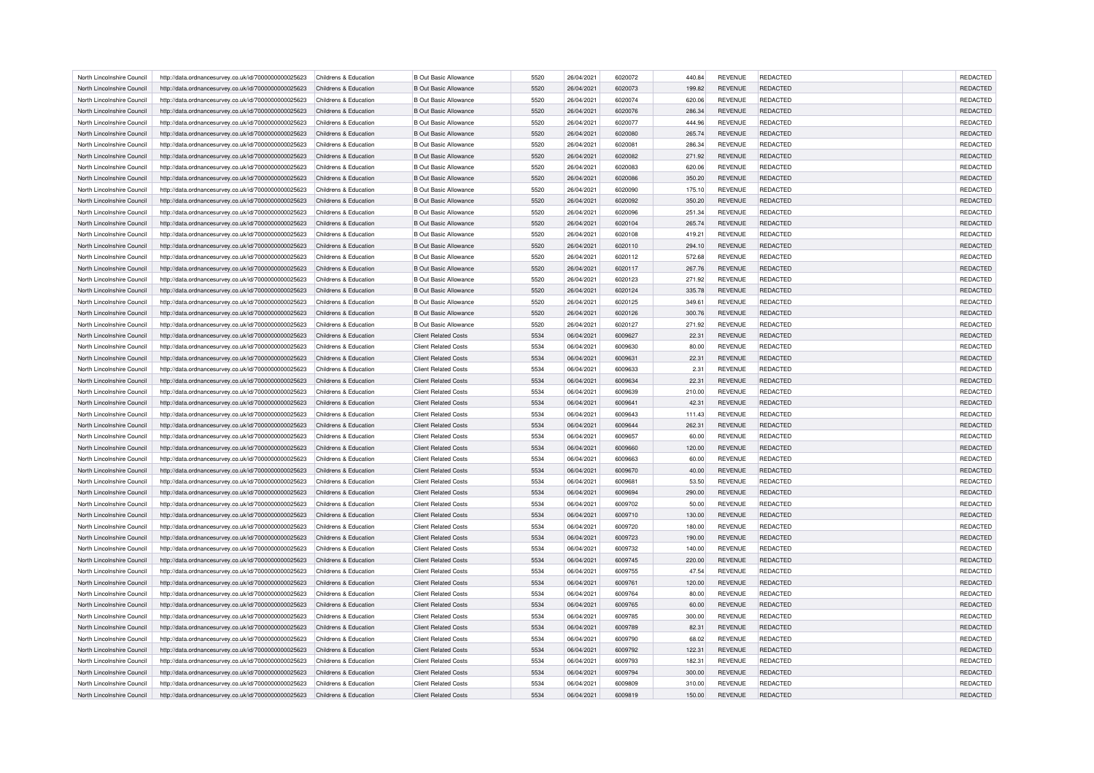| North Lincolnshire Council | http://data.ordnancesurvey.co.uk/id/7000000000025623                                                         | Childrens & Education | <b>B Out Basic Allowance</b> | 5520 | 26/04/2021 | 6020072 | 440.84 | <b>REVENUE</b> | <b>REDACTED</b> | <b>REDACTED</b> |
|----------------------------|--------------------------------------------------------------------------------------------------------------|-----------------------|------------------------------|------|------------|---------|--------|----------------|-----------------|-----------------|
| North Lincolnshire Council | http://data.ordnancesurvey.co.uk/id/7000000000025623                                                         | Childrens & Education | <b>B Out Basic Allowance</b> | 5520 | 26/04/2021 | 6020073 | 199.82 | <b>REVENUE</b> | <b>REDACTED</b> | <b>REDACTED</b> |
| North Lincolnshire Council | http://data.ordnancesurvey.co.uk/id/7000000000025623                                                         | Childrens & Education | <b>B Out Basic Allowance</b> | 5520 | 26/04/2021 | 6020074 | 620.06 | <b>REVENUE</b> | <b>REDACTED</b> | REDACTED        |
| North Lincolnshire Council | http://data.ordnancesurvey.co.uk/id/7000000000025623                                                         | Childrens & Education | <b>B Out Basic Allowance</b> | 5520 | 26/04/2021 | 6020076 | 286.34 | <b>REVENUE</b> | <b>REDACTED</b> | REDACTED        |
| North Lincolnshire Council | http://data.ordnancesurvey.co.uk/id/7000000000025623                                                         | Childrens & Education | <b>B Out Basic Allowance</b> | 5520 | 26/04/2021 | 6020077 | 444.96 | <b>REVENUE</b> | REDACTED        | REDACTED        |
| North Lincolnshire Council | http://data.ordnancesurvey.co.uk/id/7000000000025623                                                         | Childrens & Education | <b>B Out Basic Allowance</b> | 5520 | 26/04/2021 | 6020080 | 265.74 | <b>REVENUE</b> | <b>REDACTED</b> | <b>REDACTED</b> |
| North Lincolnshire Council | http://data.ordnancesurvey.co.uk/id/7000000000025623                                                         | Childrens & Education | <b>B Out Basic Allowance</b> | 5520 | 26/04/2021 | 602008  | 286.34 | <b>REVENUE</b> | <b>REDACTED</b> | <b>REDACTED</b> |
| North Lincolnshire Council | http://data.ordnancesurvey.co.uk/id/7000000000025623                                                         | Childrens & Education | <b>B Out Basic Allowance</b> | 5520 | 26/04/2021 | 6020082 | 271.92 | <b>REVENUE</b> | <b>REDACTED</b> | <b>REDACTED</b> |
| North Lincolnshire Council | http://data.ordnancesurvey.co.uk/id/7000000000025623                                                         | Childrens & Education | <b>B Out Basic Allowance</b> | 5520 | 26/04/2021 | 6020083 | 620.06 | <b>REVENUE</b> | <b>REDACTED</b> | <b>REDACTED</b> |
| North Lincolnshire Council | http://data.ordnancesurvey.co.uk/id/7000000000025623                                                         | Childrens & Education | <b>B Out Basic Allowance</b> | 5520 | 26/04/2021 | 6020086 | 350.20 | <b>REVENUE</b> | <b>REDACTED</b> | REDACTED        |
| North Lincolnshire Council | http://data.ordnancesurvey.co.uk/id/7000000000025623                                                         | Childrens & Education | <b>B Out Basic Allowance</b> | 5520 | 26/04/2021 | 6020090 | 175.10 | <b>REVENUE</b> | REDACTED        | <b>REDACTED</b> |
| North Lincolnshire Council | http://data.ordnancesurvey.co.uk/id/7000000000025623                                                         | Childrens & Education | <b>B Out Basic Allowance</b> | 5520 | 26/04/2021 | 6020092 | 350.20 | <b>REVENUE</b> | <b>REDACTED</b> | <b>REDACTED</b> |
| North Lincolnshire Council |                                                                                                              | Childrens & Education | <b>B Out Basic Allowance</b> | 5520 | 26/04/2021 | 6020096 | 251.34 | <b>REVENUE</b> | <b>REDACTED</b> | REDACTED        |
| North Lincolnshire Council | http://data.ordnancesurvey.co.uk/id/7000000000025623<br>http://data.ordnancesurvey.co.uk/id/7000000000025623 | Childrens & Education | <b>B Out Basic Allowance</b> | 5520 | 26/04/2021 | 6020104 | 265.74 | <b>REVENUE</b> | <b>REDACTED</b> | <b>REDACTED</b> |
|                            |                                                                                                              |                       |                              |      |            |         |        |                |                 |                 |
| North Lincolnshire Council | http://data.ordnancesurvey.co.uk/id/7000000000025623                                                         | Childrens & Education | <b>B Out Basic Allowance</b> | 5520 | 26/04/2021 | 6020108 | 419.21 | <b>REVENUE</b> | <b>REDACTED</b> | <b>REDACTED</b> |
| North Lincolnshire Council | http://data.ordnancesurvey.co.uk/id/7000000000025623                                                         | Childrens & Education | <b>B Out Basic Allowance</b> | 5520 | 26/04/2021 | 6020110 | 294.10 | <b>REVENUE</b> | REDACTED        | REDACTED        |
| North Lincolnshire Council | http://data.ordnancesurvey.co.uk/id/7000000000025623                                                         | Childrens & Education | <b>B Out Basic Allowance</b> | 5520 | 26/04/2021 | 6020112 | 572.68 | <b>REVENUE</b> | REDACTED        | REDACTED        |
| North Lincolnshire Council | http://data.ordnancesurvey.co.uk/id/7000000000025623                                                         | Childrens & Education | <b>B Out Basic Allowance</b> | 5520 | 26/04/2021 | 6020117 | 267.76 | <b>REVENUE</b> | <b>REDACTED</b> | <b>REDACTED</b> |
| North Lincolnshire Council | http://data.ordnancesurvey.co.uk/id/7000000000025623                                                         | Childrens & Education | <b>B Out Basic Allowance</b> | 5520 | 26/04/2021 | 6020123 | 271.92 | <b>REVENUE</b> | REDACTED        | REDACTED        |
| North Lincolnshire Council | http://data.ordnancesurvey.co.uk/id/7000000000025623                                                         | Childrens & Education | <b>B Out Basic Allowance</b> | 5520 | 26/04/2021 | 6020124 | 335.78 | <b>REVENUE</b> | <b>REDACTED</b> | REDACTED        |
| North Lincolnshire Council | http://data.ordnancesurvey.co.uk/id/7000000000025623                                                         | Childrens & Education | <b>B Out Basic Allowance</b> | 5520 | 26/04/2021 | 6020125 | 349.61 | <b>REVENUE</b> | <b>REDACTED</b> | <b>REDACTED</b> |
| North Lincolnshire Council | http://data.ordnancesurvey.co.uk/id/7000000000025623                                                         | Childrens & Education | <b>B Out Basic Allowance</b> | 5520 | 26/04/2021 | 6020126 | 300.76 | <b>REVENUE</b> | REDACTED        | <b>REDACTED</b> |
| North Lincolnshire Council | http://data.ordnancesurvey.co.uk/id/7000000000025623                                                         | Childrens & Education | <b>B Out Basic Allowance</b> | 5520 | 26/04/2021 | 6020127 | 271.92 | <b>REVENUE</b> | REDACTED        | REDACTED        |
| North Lincolnshire Council | http://data.ordnancesurvey.co.uk/id/7000000000025623                                                         | Childrens & Education | <b>Client Related Costs</b>  | 5534 | 06/04/2021 | 6009627 | 22.31  | <b>REVENUE</b> | <b>REDACTED</b> | REDACTED        |
| North Lincolnshire Council | http://data.ordnancesurvey.co.uk/id/7000000000025623                                                         | Childrens & Education | <b>Client Related Costs</b>  | 5534 | 06/04/2021 | 6009630 | 80.00  | <b>REVENUE</b> | <b>REDACTED</b> | <b>REDACTED</b> |
| North Lincolnshire Council | http://data.ordnancesurvey.co.uk/id/7000000000025623                                                         | Childrens & Education | <b>Client Related Costs</b>  | 5534 | 06/04/2021 | 6009631 | 22.31  | <b>REVENUE</b> | REDACTED        | REDACTED        |
| North Lincolnshire Council | http://data.ordnancesurvey.co.uk/id/7000000000025623                                                         | Childrens & Education | <b>Client Related Costs</b>  | 5534 | 06/04/2021 | 6009633 | 2.31   | <b>REVENUE</b> | <b>REDACTED</b> | REDACTED        |
| North Lincolnshire Council | http://data.ordnancesurvey.co.uk/id/7000000000025623                                                         | Childrens & Education | <b>Client Related Costs</b>  | 5534 | 06/04/2021 | 6009634 | 22.31  | <b>REVENUE</b> | REDACTED        | <b>REDACTED</b> |
| North Lincolnshire Council | http://data.ordnancesurvey.co.uk/id/7000000000025623                                                         | Childrens & Education | <b>Client Related Costs</b>  | 5534 | 06/04/2021 | 6009639 | 210.00 | <b>REVENUE</b> | REDACTED        | <b>REDACTED</b> |
| North Lincolnshire Council | http://data.ordnancesurvey.co.uk/id/7000000000025623                                                         | Childrens & Education | <b>Client Related Costs</b>  | 5534 | 06/04/2021 | 6009641 | 42.31  | <b>REVENUE</b> | <b>REDACTED</b> | REDACTED        |
| North Lincolnshire Council | http://data.ordnancesurvey.co.uk/id/7000000000025623                                                         | Childrens & Education | <b>Client Related Costs</b>  | 5534 | 06/04/2021 | 6009643 | 111.43 | <b>REVENUE</b> | <b>REDACTED</b> | REDACTED        |
| North Lincolnshire Council | http://data.ordnancesurvey.co.uk/id/7000000000025623                                                         | Childrens & Education | <b>Client Related Costs</b>  | 5534 | 06/04/2021 | 6009644 | 262.31 | <b>REVENUE</b> | REDACTED        | REDACTED        |
| North Lincolnshire Council | http://data.ordnancesurvey.co.uk/id/7000000000025623                                                         | Childrens & Education | <b>Client Related Costs</b>  | 5534 | 06/04/2021 | 6009657 | 60.00  | <b>REVENUE</b> | <b>REDACTED</b> | <b>REDACTED</b> |
| North Lincolnshire Council | http://data.ordnancesurvey.co.uk/id/7000000000025623                                                         | Childrens & Education | <b>Client Related Costs</b>  | 5534 | 06/04/2021 | 6009660 | 120.00 | <b>REVENUE</b> | <b>REDACTED</b> | REDACTED        |
| North Lincolnshire Council | http://data.ordnancesurvey.co.uk/id/7000000000025623                                                         | Childrens & Education | <b>Client Related Costs</b>  | 5534 | 06/04/2021 | 6009663 | 60.00  | <b>REVENUE</b> | <b>REDACTED</b> | <b>REDACTED</b> |
| North Lincolnshire Council | http://data.ordnancesurvey.co.uk/id/7000000000025623                                                         | Childrens & Education | <b>Client Related Costs</b>  | 5534 | 06/04/2021 | 6009670 | 40.00  | <b>REVENUE</b> | <b>REDACTED</b> | REDACTED        |
| North Lincolnshire Council | http://data.ordnancesurvey.co.uk/id/7000000000025623                                                         | Childrens & Education | <b>Client Related Costs</b>  | 5534 | 06/04/2021 | 6009681 | 53.50  | REVENUE        | REDACTED        | REDACTED        |
| North Lincolnshire Council | http://data.ordnancesurvey.co.uk/id/7000000000025623                                                         | Childrens & Education | <b>Client Related Costs</b>  | 5534 | 06/04/2021 | 6009694 | 290.00 | <b>REVENUE</b> | <b>REDACTED</b> | <b>REDACTED</b> |
| North Lincolnshire Council | http://data.ordnancesurvey.co.uk/id/7000000000025623                                                         | Childrens & Education | <b>Client Related Costs</b>  | 5534 | 06/04/2021 | 6009702 | 50.00  | <b>REVENUE</b> | <b>REDACTED</b> | <b>REDACTED</b> |
| North Lincolnshire Council | http://data.ordnancesurvey.co.uk/id/7000000000025623                                                         | Childrens & Education | <b>Client Related Costs</b>  | 5534 | 06/04/2021 | 6009710 | 130.00 | <b>REVENUE</b> | REDACTED        | REDACTED        |
| North Lincolnshire Council | http://data.ordnancesurvey.co.uk/id/7000000000025623                                                         | Childrens & Education | <b>Client Related Costs</b>  | 5534 | 06/04/2021 | 6009720 | 180.00 | <b>REVENUE</b> | <b>REDACTED</b> | <b>REDACTED</b> |
| North Lincolnshire Council | http://data.ordnancesurvey.co.uk/id/7000000000025623                                                         | Childrens & Education | <b>Client Related Costs</b>  | 5534 | 06/04/2021 | 6009723 | 190.00 | <b>REVENUE</b> | <b>REDACTED</b> | REDACTED        |
| North Lincolnshire Council | http://data.ordnancesurvey.co.uk/id/7000000000025623                                                         | Childrens & Education | <b>Client Related Costs</b>  | 5534 | 06/04/2021 | 6009732 | 140.00 | REVENUE        | REDACTED        | REDACTED        |
| North Lincolnshire Council | http://data.ordnancesurvey.co.uk/id/7000000000025623                                                         | Childrens & Education | <b>Client Related Costs</b>  | 5534 | 06/04/2021 | 6009745 | 220.00 | <b>REVENUE</b> | <b>REDACTED</b> | REDACTED        |
| North Lincolnshire Council | http://data.ordnancesurvey.co.uk/id/7000000000025623                                                         | Childrens & Education | <b>Client Related Costs</b>  | 5534 | 06/04/2021 | 6009755 | 47.54  | <b>REVENUE</b> | <b>REDACTED</b> | <b>REDACTED</b> |
| North Lincolnshire Council | http://data.ordnancesurvey.co.uk/id/7000000000025623                                                         | Childrens & Education | <b>Client Related Costs</b>  | 5534 | 06/04/2021 | 6009761 | 120.00 | <b>REVENUE</b> | REDACTED        | REDACTED        |
| North Lincolnshire Council | http://data.ordnancesurvey.co.uk/id/7000000000025623                                                         | Childrens & Education | <b>Client Related Costs</b>  | 5534 | 06/04/2021 | 6009764 | 80.00  | <b>REVENUE</b> | REDACTED        | REDACTED        |
| North Lincolnshire Council | http://data.ordnancesurvey.co.uk/id/7000000000025623                                                         | Childrens & Education | <b>Client Related Costs</b>  | 5534 | 06/04/2021 | 6009765 | 60.00  | <b>REVENUE</b> | <b>REDACTED</b> | <b>REDACTED</b> |
| North Lincolnshire Council | http://data.ordnancesurvey.co.uk/id/7000000000025623                                                         | Childrens & Education | <b>Client Related Costs</b>  | 5534 | 06/04/2021 | 6009785 | 300.00 | <b>REVENUE</b> | <b>REDACTED</b> | <b>REDACTED</b> |
| North Lincolnshire Council | http://data.ordnancesurvey.co.uk/id/7000000000025623                                                         | Childrens & Education | <b>Client Related Costs</b>  | 5534 | 06/04/2021 | 6009789 | 82.31  | <b>REVENUE</b> | <b>REDACTED</b> | REDACTED        |
| North Lincolnshire Council | http://data.ordnancesurvey.co.uk/id/7000000000025623                                                         | Childrens & Education | <b>Client Related Costs</b>  | 5534 | 06/04/2021 | 6009790 | 68.02  | <b>REVENUE</b> | <b>REDACTED</b> | <b>REDACTED</b> |
| North Lincolnshire Council | http://data.ordnancesurvey.co.uk/id/7000000000025623                                                         | Childrens & Education | <b>Client Related Costs</b>  | 5534 | 06/04/2021 | 6009792 | 122.31 | <b>REVENUE</b> | REDACTED        | <b>REDACTED</b> |
| North Lincolnshire Council | http://data.ordnancesurvey.co.uk/id/7000000000025623                                                         | Childrens & Education | <b>Client Related Costs</b>  | 5534 | 06/04/2021 | 6009793 | 182.31 | <b>REVENUE</b> | <b>REDACTED</b> | REDACTED        |
| North Lincolnshire Council | http://data.ordnancesurvey.co.uk/id/7000000000025623                                                         | Childrens & Education | <b>Client Related Costs</b>  | 5534 | 06/04/2021 | 6009794 | 300.00 | <b>REVENUE</b> | <b>REDACTED</b> | <b>REDACTED</b> |
| North Lincolnshire Council | http://data.ordnancesurvey.co.uk/id/7000000000025623                                                         | Childrens & Education | <b>Client Related Costs</b>  | 5534 | 06/04/2021 | 6009809 | 310.00 | <b>REVENUE</b> | <b>REDACTED</b> | <b>REDACTED</b> |
|                            |                                                                                                              |                       |                              | 5534 |            |         |        |                |                 | REDACTED        |
| North Lincolnshire Council | http://data.ordnancesurvey.co.uk/id/7000000000025623                                                         | Childrens & Education | <b>Client Related Costs</b>  |      | 06/04/2021 | 6009819 | 150.00 | <b>REVENUE</b> | <b>REDACTED</b> |                 |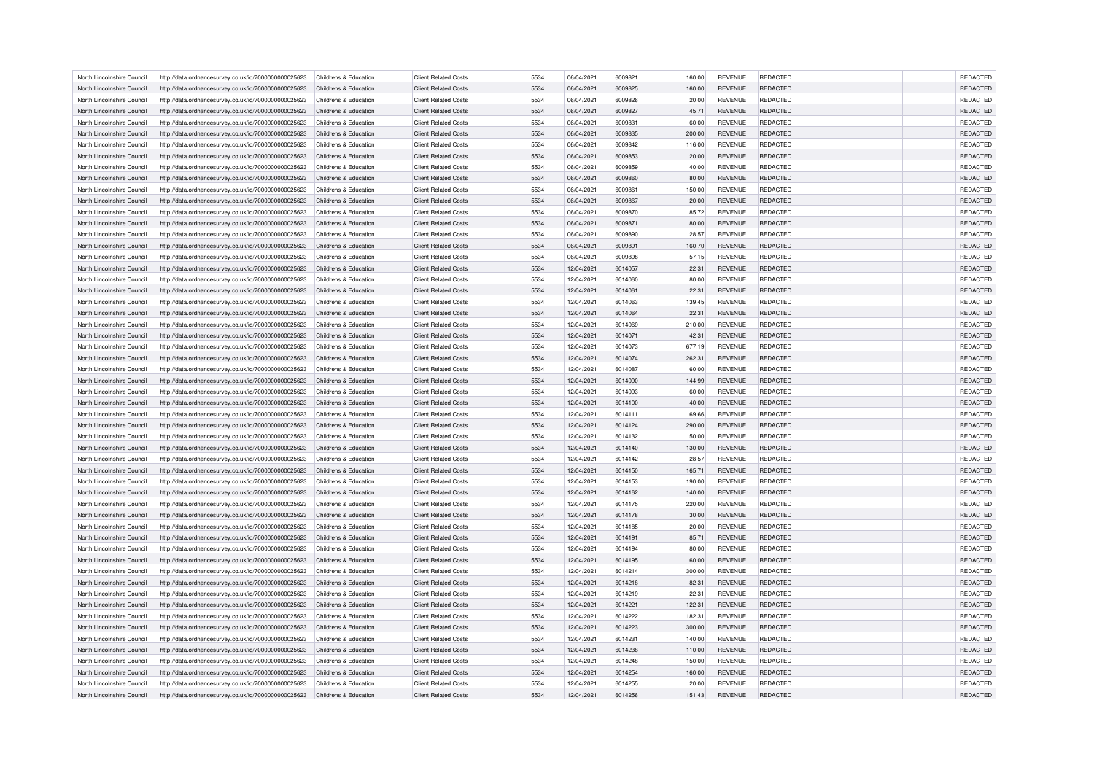| North Lincolnshire Council                               | http://data.ordnancesurvey.co.uk/id/7000000000025623                                                         | Childrens & Education                          | <b>Client Related Costs</b>                                | 5534 | 06/04/2021               | 6009821            | 160.00         | <b>REVENUE</b>                   | <b>REDACTED</b> | <b>REDACTED</b> |
|----------------------------------------------------------|--------------------------------------------------------------------------------------------------------------|------------------------------------------------|------------------------------------------------------------|------|--------------------------|--------------------|----------------|----------------------------------|-----------------|-----------------|
| North Lincolnshire Council                               | http://data.ordnancesurvey.co.uk/id/7000000000025623                                                         | Childrens & Education                          | <b>Client Related Costs</b>                                | 5534 | 06/04/2021               | 6009825            | 160.00         | <b>REVENUE</b>                   | <b>REDACTED</b> | REDACTED        |
| North Lincolnshire Council                               | http://data.ordnancesurvey.co.uk/id/7000000000025623                                                         | Childrens & Education                          | <b>Client Related Costs</b>                                | 5534 | 06/04/2021               | 6009826            | 20.00          | <b>REVENUE</b>                   | <b>REDACTED</b> | <b>REDACTED</b> |
| North Lincolnshire Council                               | http://data.ordnancesurvey.co.uk/id/7000000000025623                                                         | Childrens & Education                          | <b>Client Related Costs</b>                                | 5534 | 06/04/2021               | 6009827            | 45.71          | <b>REVENUE</b>                   | <b>REDACTED</b> | <b>REDACTED</b> |
| North Lincolnshire Council                               | http://data.ordnancesurvey.co.uk/id/7000000000025623                                                         | Childrens & Education                          | <b>Client Related Costs</b>                                | 5534 | 06/04/2021               | 6009831            | 60.00          | <b>REVENUE</b>                   | <b>REDACTED</b> | <b>REDACTED</b> |
| North Lincolnshire Council                               | http://data.ordnancesurvey.co.uk/id/7000000000025623                                                         | Childrens & Education                          | <b>Client Related Costs</b>                                | 5534 | 06/04/2021               | 6009835            | 200.00         | <b>REVENUE</b>                   | <b>REDACTED</b> | <b>REDACTED</b> |
| North Lincolnshire Council                               | http://data.ordnancesurvey.co.uk/id/7000000000025623                                                         | Childrens & Education                          | <b>Client Related Costs</b>                                | 5534 | 06/04/2021               | 6009842            | 116.00         | <b>REVENUE</b>                   | <b>REDACTED</b> | REDACTED        |
| North Lincolnshire Council                               | http://data.ordnancesurvey.co.uk/id/7000000000025623                                                         | Childrens & Education                          | <b>Client Related Costs</b>                                | 5534 | 06/04/2021               | 6009853            | 20.00          | <b>REVENUE</b>                   | <b>REDACTED</b> | <b>REDACTED</b> |
| North Lincolnshire Council                               | http://data.ordnancesurvey.co.uk/id/7000000000025623                                                         | Childrens & Education                          | <b>Client Related Costs</b>                                | 5534 | 06/04/2021               | 6009859            | 40.00          | <b>REVENUE</b>                   | <b>REDACTED</b> | <b>REDACTED</b> |
| North Lincolnshire Council                               | http://data.ordnancesurvey.co.uk/id/7000000000025623                                                         | Childrens & Education                          | <b>Client Related Costs</b>                                | 5534 | 06/04/2021               | 6009860            | 80.00          | <b>REVENUE</b>                   | REDACTED        | REDACTED        |
| North Lincolnshire Council                               | http://data.ordnancesurvey.co.uk/id/7000000000025623                                                         | Childrens & Education                          | <b>Client Related Costs</b>                                | 5534 | 06/04/2021               | 6009861            | 150.00         | <b>REVENUE</b>                   | <b>REDACTED</b> | <b>REDACTED</b> |
| North Lincolnshire Council                               | http://data.ordnancesurvey.co.uk/id/7000000000025623                                                         | Childrens & Education                          | <b>Client Related Costs</b>                                | 5534 | 06/04/2021               | 6009867            | 20.00          | <b>REVENUE</b>                   | <b>REDACTED</b> | <b>REDACTED</b> |
| North Lincolnshire Council                               | http://data.ordnancesurvey.co.uk/id/7000000000025623                                                         | Childrens & Education                          | <b>Client Related Costs</b>                                | 5534 | 06/04/2021               | 6009870            | 85.72          | <b>REVENUE</b>                   | REDACTED        | <b>REDACTED</b> |
| North Lincolnshire Council                               | http://data.ordnancesurvey.co.uk/id/7000000000025623                                                         | Childrens & Education                          | <b>Client Related Costs</b>                                | 5534 | 06/04/2021               | 6009871            | 80.00          | <b>REVENUE</b>                   | <b>REDACTED</b> | <b>REDACTED</b> |
| North Lincolnshire Council                               | http://data.ordnancesurvey.co.uk/id/7000000000025623                                                         | Childrens & Education                          | <b>Client Related Costs</b>                                | 5534 | 06/04/2021               | 6009890            | 28.57          | <b>REVENUE</b>                   | <b>REDACTED</b> | <b>REDACTED</b> |
| North Lincolnshire Council                               | http://data.ordnancesurvey.co.uk/id/7000000000025623                                                         | Childrens & Education                          | <b>Client Related Costs</b>                                | 5534 | 06/04/2021               | 6009891            | 160.70         | <b>REVENUE</b>                   | <b>REDACTED</b> | REDACTED        |
| North Lincolnshire Council                               | http://data.ordnancesurvey.co.uk/id/7000000000025623                                                         | Childrens & Education                          | <b>Client Related Costs</b>                                | 5534 | 06/04/2021               | 6009898            | 57.15          | <b>REVENUE</b>                   | REDACTED        | <b>REDACTED</b> |
|                                                          |                                                                                                              |                                                |                                                            |      |                          |                    |                |                                  |                 |                 |
| North Lincolnshire Council                               | http://data.ordnancesurvey.co.uk/id/7000000000025623                                                         | Childrens & Education                          | <b>Client Related Costs</b>                                | 5534 | 12/04/2021               | 6014057            | 22.31          | <b>REVENUE</b>                   | REDACTED        | REDACTED        |
| North Lincolnshire Council                               | http://data.ordnancesurvey.co.uk/id/7000000000025623                                                         | Childrens & Education                          | <b>Client Related Costs</b>                                | 5534 | 12/04/2021               | 6014060            | 80.00          | <b>REVENUE</b>                   | <b>REDACTED</b> | <b>REDACTED</b> |
| North Lincolnshire Council                               | http://data.ordnancesurvey.co.uk/id/7000000000025623                                                         | Childrens & Education                          | <b>Client Related Costs</b>                                | 5534 | 12/04/2021               | 6014061            | 22.31          | <b>REVENUE</b>                   | <b>REDACTED</b> | <b>REDACTED</b> |
| North Lincolnshire Council                               | http://data.ordnancesurvey.co.uk/id/7000000000025623                                                         | Childrens & Education                          | <b>Client Related Costs</b>                                | 5534 | 12/04/2021               | 6014063            | 139.45         | <b>REVENUE</b>                   | <b>REDACTED</b> | <b>REDACTED</b> |
| North Lincolnshire Council                               | http://data.ordnancesurvey.co.uk/id/7000000000025623                                                         | Childrens & Education                          | <b>Client Related Costs</b>                                | 5534 | 12/04/2021               | 6014064            | 22.31          | <b>REVENUE</b>                   | <b>REDACTED</b> | <b>REDACTED</b> |
| North Lincolnshire Council                               | http://data.ordnancesurvey.co.uk/id/7000000000025623                                                         | Childrens & Education                          | <b>Client Related Costs</b>                                | 5534 | 12/04/2021               | 6014069            | 210.00         | <b>REVENUE</b>                   | <b>REDACTED</b> | <b>REDACTED</b> |
| North Lincolnshire Council                               | http://data.ordnancesurvey.co.uk/id/7000000000025623                                                         | Childrens & Education                          | <b>Client Related Costs</b>                                | 5534 | 12/04/2021               | 6014071            | 42.31          | <b>REVENUE</b>                   | <b>REDACTED</b> | <b>REDACTED</b> |
| North Lincolnshire Council                               | http://data.ordnancesurvey.co.uk/id/7000000000025623                                                         | Childrens & Education                          | <b>Client Related Costs</b>                                | 5534 | 12/04/2021               | 6014073            | 677.19         | <b>REVENUE</b>                   | REDACTED        | REDACTED        |
| North Lincolnshire Council                               | http://data.ordnancesurvey.co.uk/id/7000000000025623                                                         | Childrens & Education                          | <b>Client Related Costs</b>                                | 5534 | 12/04/2021               | 6014074            | 262.31         | <b>REVENUE</b>                   | <b>REDACTED</b> | <b>REDACTED</b> |
| North Lincolnshire Council                               | http://data.ordnancesurvey.co.uk/id/7000000000025623                                                         | Childrens & Education                          | <b>Client Related Costs</b>                                | 5534 | 12/04/2021               | 6014087            | 60.00          | <b>REVENUE</b>                   | <b>REDACTED</b> | <b>REDACTED</b> |
| North Lincolnshire Council                               | http://data.ordnancesurvey.co.uk/id/7000000000025623                                                         | Childrens & Education                          | <b>Client Related Costs</b>                                | 5534 | 12/04/2021               | 6014090            | 144.99         | <b>REVENUE</b>                   | <b>REDACTED</b> | REDACTED        |
| North Lincolnshire Council                               | http://data.ordnancesurvey.co.uk/id/7000000000025623                                                         | Childrens & Education                          | <b>Client Related Costs</b>                                | 5534 | 12/04/2021               | 6014093            | 60.00          | <b>REVENUE</b>                   | <b>REDACTED</b> | <b>REDACTED</b> |
| North Lincolnshire Council                               | http://data.ordnancesurvey.co.uk/id/7000000000025623                                                         | Childrens & Education                          | <b>Client Related Costs</b>                                | 5534 | 12/04/2021               | 6014100            | 40.00          | <b>REVENUE</b>                   | <b>REDACTED</b> | <b>REDACTED</b> |
| North Lincolnshire Council                               | http://data.ordnancesurvey.co.uk/id/7000000000025623                                                         | Childrens & Education                          | <b>Client Related Costs</b>                                | 5534 | 12/04/2021               | 6014111            | 69.66          | <b>REVENUE</b>                   | <b>REDACTED</b> | <b>REDACTED</b> |
| North Lincolnshire Council                               | http://data.ordnancesurvey.co.uk/id/7000000000025623                                                         | Childrens & Education                          | <b>Client Related Costs</b>                                | 5534 | 12/04/2021               | 6014124            | 290.00         | <b>REVENUE</b>                   | <b>REDACTED</b> | REDACTED        |
| North Lincolnshire Council                               | http://data.ordnancesurvey.co.uk/id/7000000000025623                                                         | Childrens & Education                          | <b>Client Related Costs</b>                                | 5534 | 12/04/2021               | 6014132            | 50.00          | <b>REVENUE</b>                   | <b>REDACTED</b> | <b>REDACTED</b> |
| North Lincolnshire Council                               | http://data.ordnancesurvey.co.uk/id/7000000000025623                                                         | Childrens & Education                          | <b>Client Related Costs</b>                                | 5534 | 12/04/2021               | 6014140            | 130.00         | <b>REVENUE</b>                   | REDACTED        | REDACTED        |
| North Lincolnshire Council                               | http://data.ordnancesurvey.co.uk/id/7000000000025623                                                         | Childrens & Education                          | <b>Client Related Costs</b>                                | 5534 | 12/04/2021               | 6014142            | 28.57          | <b>REVENUE</b>                   | REDACTED        | REDACTED        |
| North Lincolnshire Council                               | http://data.ordnancesurvey.co.uk/id/7000000000025623                                                         | Childrens & Education                          | <b>Client Related Costs</b>                                | 5534 | 12/04/2021               | 6014150            | 165.71         | <b>REVENUE</b>                   | <b>REDACTED</b> | <b>REDACTED</b> |
| North Lincolnshire Council                               | http://data.ordnancesurvey.co.uk/id/7000000000025623                                                         | Childrens & Education                          | <b>Client Related Costs</b>                                | 5534 | 12/04/2021               | 6014153            | 190.00         | <b>REVENUE</b>                   | <b>REDACTED</b> | REDACTED        |
| North Lincolnshire Council                               | http://data.ordnancesurvey.co.uk/id/7000000000025623                                                         | Childrens & Education                          | <b>Client Related Costs</b>                                | 5534 | 12/04/2021               | 6014162            | 140.00         | <b>REVENUE</b>                   | <b>REDACTED</b> | REDACTED        |
| North Lincolnshire Council                               | http://data.ordnancesurvey.co.uk/id/7000000000025623                                                         | Childrens & Education                          | <b>Client Related Costs</b>                                | 5534 | 12/04/2021               | 6014175            | 220.00         | <b>REVENUE</b>                   | <b>REDACTED</b> | REDACTED        |
| North Lincolnshire Council                               | http://data.ordnancesurvey.co.uk/id/7000000000025623                                                         | Childrens & Education                          | <b>Client Related Costs</b>                                | 5534 | 12/04/2021               | 6014178            | 30.00          | <b>REVENUE</b>                   | <b>REDACTED</b> | REDACTED        |
| North Lincolnshire Council                               | http://data.ordnancesurvey.co.uk/id/7000000000025623                                                         | Childrens & Education                          | <b>Client Related Costs</b>                                | 5534 | 12/04/2021               | 6014185            | 20.00          | <b>REVENUE</b>                   | <b>REDACTED</b> | REDACTED        |
| North Lincolnshire Council                               | http://data.ordnancesurvey.co.uk/id/7000000000025623                                                         | Childrens & Education                          | <b>Client Related Costs</b>                                | 5534 | 12/04/2021               | 6014191            | 85.71          | <b>REVENUE</b>                   | <b>REDACTED</b> | REDACTED        |
|                                                          |                                                                                                              |                                                |                                                            | 5534 |                          |                    |                |                                  | REDACTED        | REDACTED        |
| North Lincolnshire Council<br>North Lincolnshire Council | http://data.ordnancesurvey.co.uk/id/7000000000025623<br>http://data.ordnancesurvey.co.uk/id/7000000000025623 | Childrens & Education<br>Childrens & Education | <b>Client Related Costs</b><br><b>Client Related Costs</b> | 5534 | 12/04/2021<br>12/04/2021 | 6014194<br>6014195 | 80.00<br>60.00 | <b>REVENUE</b><br><b>REVENUE</b> | <b>REDACTED</b> | REDACTED        |
| North Lincolnshire Council                               |                                                                                                              | Childrens & Education                          | <b>Client Related Costs</b>                                | 5534 | 12/04/2021               | 6014214            | 300.00         | <b>REVENUE</b>                   | <b>REDACTED</b> | <b>REDACTED</b> |
|                                                          | http://data.ordnancesurvey.co.uk/id/7000000000025623                                                         |                                                |                                                            |      |                          |                    |                |                                  |                 |                 |
| North Lincolnshire Council                               | http://data.ordnancesurvey.co.uk/id/7000000000025623                                                         | Childrens & Education                          | <b>Client Related Costs</b>                                | 5534 | 12/04/2021               | 6014218            | 82.31          | <b>REVENUE</b>                   | REDACTED        | REDACTED        |
| North Lincolnshire Council                               | http://data.ordnancesurvey.co.uk/id/7000000000025623                                                         | Childrens & Education                          | <b>Client Related Costs</b>                                | 5534 | 12/04/2021               | 6014219            | 22.31          | <b>REVENUE</b>                   | <b>REDACTED</b> | REDACTED        |
| North Lincolnshire Council                               | http://data.ordnancesurvey.co.uk/id/7000000000025623                                                         | Childrens & Education                          | <b>Client Related Costs</b>                                | 5534 | 12/04/2021               | 6014221            | 122.31         | <b>REVENUE</b>                   | <b>REDACTED</b> | <b>REDACTED</b> |
| North Lincolnshire Council                               | http://data.ordnancesurvey.co.uk/id/7000000000025623                                                         | Childrens & Education                          | <b>Client Related Costs</b>                                | 5534 | 12/04/2021               | 6014222            | 182.31         | <b>REVENUE</b>                   | <b>REDACTED</b> | REDACTED        |
| North Lincolnshire Council                               | http://data.ordnancesurvey.co.uk/id/7000000000025623                                                         | Childrens & Education                          | <b>Client Related Costs</b>                                | 5534 | 12/04/2021               | 6014223            | 300.00         | <b>REVENUE</b>                   | <b>REDACTED</b> | REDACTED        |
| North Lincolnshire Council                               | http://data.ordnancesurvey.co.uk/id/7000000000025623                                                         | Childrens & Education                          | <b>Client Related Costs</b>                                | 5534 | 12/04/2021               | 6014231            | 140.00         | <b>REVENUE</b>                   | <b>REDACTED</b> | <b>REDACTED</b> |
| North Lincolnshire Council                               | http://data.ordnancesurvey.co.uk/id/7000000000025623                                                         | Childrens & Education                          | <b>Client Related Costs</b>                                | 5534 | 12/04/2021               | 6014238            | 110.00         | <b>REVENUE</b>                   | REDACTED        | REDACTED        |
| North Lincolnshire Council                               | http://data.ordnancesurvey.co.uk/id/7000000000025623                                                         | Childrens & Education                          | <b>Client Related Costs</b>                                | 5534 | 12/04/2021               | 6014248            | 150.00         | <b>REVENUE</b>                   | <b>REDACTED</b> | REDACTED        |
| North Lincolnshire Council                               | http://data.ordnancesurvey.co.uk/id/7000000000025623                                                         | Childrens & Education                          | <b>Client Related Costs</b>                                | 5534 | 12/04/2021               | 6014254            | 160.00         | <b>REVENUE</b>                   | <b>REDACTED</b> | <b>REDACTED</b> |
| North Lincolnshire Council                               | http://data.ordnancesurvey.co.uk/id/7000000000025623                                                         | Childrens & Education                          | <b>Client Related Costs</b>                                | 5534 | 12/04/2021               | 6014255            | 20.00          | <b>REVENUE</b>                   | <b>REDACTED</b> | <b>REDACTED</b> |
| North Lincolnshire Council                               | http://data.ordnancesurvey.co.uk/id/7000000000025623                                                         | Childrens & Education                          | <b>Client Related Costs</b>                                | 5534 | 12/04/2021               | 6014256            | 151.43         | <b>REVENUE</b>                   | <b>REDACTED</b> | REDACTED        |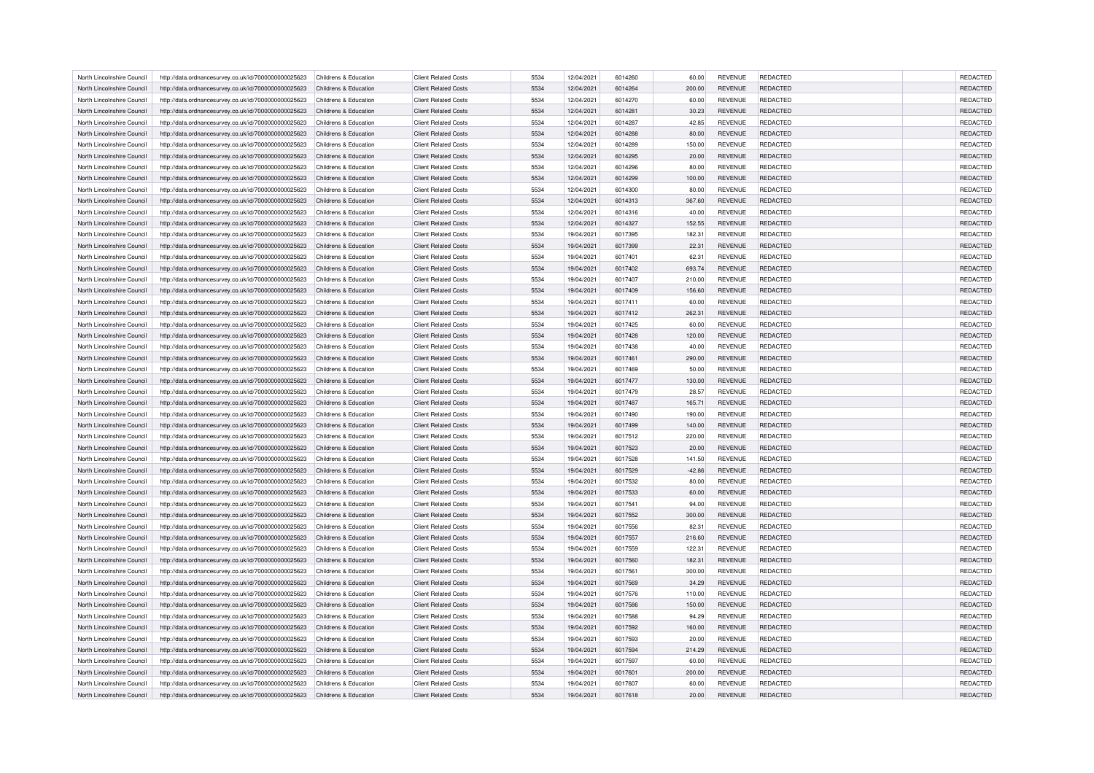| North Lincolnshire Council | http://data.ordnancesurvey.co.uk/id/7000000000025623 | Childrens & Education | <b>Client Related Costs</b> | 5534 | 12/04/2021 | 6014260 | 60.00    | <b>REVENUE</b> | <b>REDACTED</b> | <b>REDACTED</b> |
|----------------------------|------------------------------------------------------|-----------------------|-----------------------------|------|------------|---------|----------|----------------|-----------------|-----------------|
| North Lincolnshire Council | http://data.ordnancesurvey.co.uk/id/7000000000025623 | Childrens & Education | <b>Client Related Costs</b> | 5534 | 12/04/2021 | 6014264 | 200.00   | <b>REVENUE</b> | <b>REDACTED</b> | REDACTED        |
| North Lincolnshire Council | http://data.ordnancesurvey.co.uk/id/7000000000025623 | Childrens & Education | <b>Client Related Costs</b> | 5534 | 12/04/2021 | 6014270 | 60.00    | <b>REVENUE</b> | <b>REDACTED</b> | REDACTED        |
| North Lincolnshire Council | http://data.ordnancesurvey.co.uk/id/7000000000025623 | Childrens & Education | <b>Client Related Costs</b> | 5534 | 12/04/2021 | 6014281 | 30.23    | <b>REVENUE</b> | <b>REDACTED</b> | REDACTED        |
| North Lincolnshire Council | http://data.ordnancesurvey.co.uk/id/7000000000025623 | Childrens & Education | <b>Client Related Costs</b> | 5534 | 12/04/2021 | 6014287 | 42.85    | <b>REVENUE</b> | <b>REDACTED</b> | REDACTED        |
| North Lincolnshire Council | http://data.ordnancesurvey.co.uk/id/7000000000025623 | Childrens & Education | <b>Client Related Costs</b> | 5534 | 12/04/2021 | 6014288 | 80.00    | <b>REVENUE</b> | <b>REDACTED</b> | REDACTED        |
| North Lincolnshire Council | http://data.ordnancesurvey.co.uk/id/7000000000025623 | Childrens & Education | <b>Client Related Costs</b> | 5534 | 12/04/2021 | 6014289 | 150.00   | <b>REVENUE</b> | REDACTED        | REDACTED        |
| North Lincolnshire Council | http://data.ordnancesurvey.co.uk/id/7000000000025623 | Childrens & Education | <b>Client Related Costs</b> | 5534 | 12/04/2021 | 6014295 | 20.00    | <b>REVENUE</b> | <b>REDACTED</b> | REDACTED        |
| North Lincolnshire Council | http://data.ordnancesurvey.co.uk/id/7000000000025623 | Childrens & Education | <b>Client Related Costs</b> | 5534 | 12/04/2021 | 6014296 | 80.00    | <b>REVENUE</b> | <b>REDACTED</b> | <b>REDACTED</b> |
| North Lincolnshire Council | http://data.ordnancesurvey.co.uk/id/7000000000025623 | Childrens & Education | <b>Client Related Costs</b> | 5534 | 12/04/2021 | 6014299 | 100.00   | <b>REVENUE</b> | <b>REDACTED</b> | REDACTED        |
| North Lincolnshire Council | http://data.ordnancesurvey.co.uk/id/7000000000025623 | Childrens & Education | <b>Client Related Costs</b> | 5534 | 12/04/2021 | 6014300 | 80.00    | <b>REVENUE</b> | <b>REDACTED</b> | <b>REDACTED</b> |
| North Lincolnshire Council | http://data.ordnancesurvey.co.uk/id/7000000000025623 | Childrens & Education | <b>Client Related Costs</b> | 5534 | 12/04/2021 | 6014313 | 367.60   | <b>REVENUE</b> | <b>REDACTED</b> | REDACTED        |
| North Lincolnshire Council | http://data.ordnancesurvey.co.uk/id/7000000000025623 | Childrens & Education | <b>Client Related Costs</b> | 5534 | 12/04/2021 | 6014316 | 40.00    | <b>REVENUE</b> | REDACTED        | <b>REDACTED</b> |
|                            |                                                      | Childrens & Education | <b>Client Related Costs</b> | 5534 |            | 6014327 |          | <b>REVENUE</b> | <b>REDACTED</b> |                 |
| North Lincolnshire Council | http://data.ordnancesurvey.co.uk/id/7000000000025623 |                       |                             |      | 12/04/2021 |         | 152.55   |                |                 | <b>REDACTED</b> |
| North Lincolnshire Council | http://data.ordnancesurvey.co.uk/id/7000000000025623 | Childrens & Education | <b>Client Related Costs</b> | 5534 | 19/04/2021 | 6017395 | 182.31   | <b>REVENUE</b> | <b>REDACTED</b> | <b>REDACTED</b> |
| North Lincolnshire Council | http://data.ordnancesurvey.co.uk/id/7000000000025623 | Childrens & Education | <b>Client Related Costs</b> | 5534 | 19/04/2021 | 6017399 | 22.31    | <b>REVENUE</b> | <b>REDACTED</b> | REDACTED        |
| North Lincolnshire Council | http://data.ordnancesurvey.co.uk/id/7000000000025623 | Childrens & Education | <b>Client Related Costs</b> | 5534 | 19/04/2021 | 6017401 | 62.31    | <b>REVENUE</b> | REDACTED        | <b>REDACTED</b> |
| North Lincolnshire Council | http://data.ordnancesurvey.co.uk/id/7000000000025623 | Childrens & Education | <b>Client Related Costs</b> | 5534 | 19/04/2021 | 6017402 | 693.74   | <b>REVENUE</b> | <b>REDACTED</b> | REDACTED        |
| North Lincolnshire Council | http://data.ordnancesurvey.co.uk/id/7000000000025623 | Childrens & Education | <b>Client Related Costs</b> | 5534 | 19/04/2021 | 6017407 | 210.00   | <b>REVENUE</b> | <b>REDACTED</b> | <b>REDACTED</b> |
| North Lincolnshire Council | http://data.ordnancesurvey.co.uk/id/7000000000025623 | Childrens & Education | <b>Client Related Costs</b> | 5534 | 19/04/2021 | 6017409 | 156.60   | <b>REVENUE</b> | <b>REDACTED</b> | REDACTED        |
| North Lincolnshire Council | http://data.ordnancesurvey.co.uk/id/7000000000025623 | Childrens & Education | <b>Client Related Costs</b> | 5534 | 19/04/2021 | 6017411 | 60.00    | <b>REVENUE</b> | <b>REDACTED</b> | <b>REDACTED</b> |
| North Lincolnshire Council | http://data.ordnancesurvey.co.uk/id/7000000000025623 | Childrens & Education | <b>Client Related Costs</b> | 5534 | 19/04/2021 | 6017412 | 262.31   | <b>REVENUE</b> | <b>REDACTED</b> | REDACTED        |
| North Lincolnshire Council | http://data.ordnancesurvey.co.uk/id/7000000000025623 | Childrens & Education | <b>Client Related Costs</b> | 5534 | 19/04/2021 | 6017425 | 60.00    | <b>REVENUE</b> | <b>REDACTED</b> | <b>REDACTED</b> |
| North Lincolnshire Council | http://data.ordnancesurvey.co.uk/id/7000000000025623 | Childrens & Education | <b>Client Related Costs</b> | 5534 | 19/04/2021 | 6017428 | 120.00   | <b>REVENUE</b> | <b>REDACTED</b> | REDACTED        |
| North Lincolnshire Council | http://data.ordnancesurvey.co.uk/id/7000000000025623 | Childrens & Education | <b>Client Related Costs</b> | 5534 | 19/04/2021 | 6017438 | 40.00    | <b>REVENUE</b> | REDACTED        | REDACTED        |
| North Lincolnshire Council | http://data.ordnancesurvey.co.uk/id/7000000000025623 | Childrens & Education | <b>Client Related Costs</b> | 5534 | 19/04/2021 | 6017461 | 290.00   | <b>REVENUE</b> | <b>REDACTED</b> | <b>REDACTED</b> |
| North Lincolnshire Council | http://data.ordnancesurvey.co.uk/id/7000000000025623 | Childrens & Education | <b>Client Related Costs</b> | 5534 | 19/04/2021 | 6017469 | 50.00    | <b>REVENUE</b> | <b>REDACTED</b> | <b>REDACTED</b> |
| North Lincolnshire Council | http://data.ordnancesurvey.co.uk/id/7000000000025623 | Childrens & Education | <b>Client Related Costs</b> | 5534 | 19/04/2021 | 6017477 | 130.00   | <b>REVENUE</b> | <b>REDACTED</b> | REDACTED        |
| North Lincolnshire Council | http://data.ordnancesurvey.co.uk/id/7000000000025623 | Childrens & Education | <b>Client Related Costs</b> | 5534 | 19/04/2021 | 6017479 | 28.57    | <b>REVENUE</b> | <b>REDACTED</b> | <b>REDACTED</b> |
| North Lincolnshire Council | http://data.ordnancesurvey.co.uk/id/7000000000025623 | Childrens & Education | <b>Client Related Costs</b> | 5534 | 19/04/2021 | 6017487 | 165.71   | <b>REVENUE</b> | <b>REDACTED</b> | <b>REDACTED</b> |
| North Lincolnshire Council | http://data.ordnancesurvey.co.uk/id/7000000000025623 | Childrens & Education | <b>Client Related Costs</b> | 5534 | 19/04/2021 | 6017490 | 190.00   | <b>REVENUE</b> | <b>REDACTED</b> | <b>REDACTED</b> |
| North Lincolnshire Council | http://data.ordnancesurvey.co.uk/id/7000000000025623 | Childrens & Education | <b>Client Related Costs</b> | 5534 | 19/04/2021 | 6017499 | 140.00   | <b>REVENUE</b> | <b>REDACTED</b> | REDACTED        |
| North Lincolnshire Council | http://data.ordnancesurvey.co.uk/id/7000000000025623 | Childrens & Education | <b>Client Related Costs</b> | 5534 | 19/04/2021 | 6017512 | 220.00   | <b>REVENUE</b> | <b>REDACTED</b> | <b>REDACTED</b> |
|                            |                                                      |                       |                             | 5534 |            |         |          |                |                 |                 |
| North Lincolnshire Council | http://data.ordnancesurvey.co.uk/id/7000000000025623 | Childrens & Education | <b>Client Related Costs</b> |      | 19/04/2021 | 6017523 | 20.00    | <b>REVENUE</b> | REDACTED        | REDACTED        |
| North Lincolnshire Council | http://data.ordnancesurvey.co.uk/id/7000000000025623 | Childrens & Education | <b>Client Related Costs</b> | 5534 | 19/04/2021 | 6017528 | 141.50   | <b>REVENUE</b> | REDACTED        | REDACTED        |
| North Lincolnshire Council | http://data.ordnancesurvey.co.uk/id/7000000000025623 | Childrens & Education | <b>Client Related Costs</b> | 5534 | 19/04/2021 | 6017529 | $-42.86$ | <b>REVENUE</b> | <b>REDACTED</b> | REDACTED        |
| North Lincolnshire Council | http://data.ordnancesurvey.co.uk/id/7000000000025623 | Childrens & Education | <b>Client Related Costs</b> | 5534 | 19/04/2021 | 6017532 | 80.00    | <b>REVENUE</b> | <b>REDACTED</b> | <b>REDACTED</b> |
| North Lincolnshire Council | http://data.ordnancesurvey.co.uk/id/7000000000025623 | Childrens & Education | <b>Client Related Costs</b> | 5534 | 19/04/2021 | 6017533 | 60.00    | <b>REVENUE</b> | <b>REDACTED</b> | REDACTED        |
| North Lincolnshire Council | http://data.ordnancesurvey.co.uk/id/7000000000025623 | Childrens & Education | <b>Client Related Costs</b> | 5534 | 19/04/2021 | 6017541 | 94.00    | <b>REVENUE</b> | <b>REDACTED</b> | <b>REDACTED</b> |
| North Lincolnshire Council | http://data.ordnancesurvey.co.uk/id/7000000000025623 | Childrens & Education | <b>Client Related Costs</b> | 5534 | 19/04/2021 | 6017552 | 300.00   | <b>REVENUE</b> | <b>REDACTED</b> | REDACTED        |
| North Lincolnshire Council | http://data.ordnancesurvey.co.uk/id/7000000000025623 | Childrens & Education | <b>Client Related Costs</b> | 5534 | 19/04/2021 | 6017556 | 82.31    | <b>REVENUE</b> | <b>REDACTED</b> | <b>REDACTED</b> |
| North Lincolnshire Council | http://data.ordnancesurvey.co.uk/id/7000000000025623 | Childrens & Education | <b>Client Related Costs</b> | 5534 | 19/04/2021 | 6017557 | 216.60   | <b>REVENUE</b> | <b>REDACTED</b> | <b>REDACTED</b> |
| North Lincolnshire Council | http://data.ordnancesurvey.co.uk/id/7000000000025623 | Childrens & Education | <b>Client Related Costs</b> | 5534 | 19/04/2021 | 6017559 | 122.31   | <b>REVENUE</b> | REDACTED        | REDACTED        |
| North Lincolnshire Council | http://data.ordnancesurvey.co.uk/id/7000000000025623 | Childrens & Education | <b>Client Related Costs</b> | 5534 | 19/04/2021 | 6017560 | 182.31   | <b>REVENUE</b> | <b>REDACTED</b> | <b>REDACTED</b> |
| North Lincolnshire Council | http://data.ordnancesurvey.co.uk/id/7000000000025623 | Childrens & Education | <b>Client Related Costs</b> | 5534 | 19/04/2021 | 6017561 | 300.00   | <b>REVENUE</b> | <b>REDACTED</b> | <b>REDACTED</b> |
| North Lincolnshire Council | http://data.ordnancesurvey.co.uk/id/7000000000025623 | Childrens & Education | <b>Client Related Costs</b> | 5534 | 19/04/2021 | 6017569 | 34.29    | <b>REVENUE</b> | REDACTED        | REDACTED        |
| North Lincolnshire Council | http://data.ordnancesurvey.co.uk/id/7000000000025623 | Childrens & Education | <b>Client Related Costs</b> | 5534 | 19/04/2021 | 6017576 | 110.00   | <b>REVENUE</b> | <b>REDACTED</b> | REDACTED        |
| North Lincolnshire Council | http://data.ordnancesurvey.co.uk/id/7000000000025623 | Childrens & Education | <b>Client Related Costs</b> | 5534 | 19/04/2021 | 6017586 | 150.00   | <b>REVENUE</b> | <b>REDACTED</b> | REDACTED        |
| North Lincolnshire Council | http://data.ordnancesurvey.co.uk/id/7000000000025623 | Childrens & Education | <b>Client Related Costs</b> | 5534 | 19/04/2021 | 6017588 | 94.29    | <b>REVENUE</b> | <b>REDACTED</b> | <b>REDACTED</b> |
| North Lincolnshire Council | http://data.ordnancesurvey.co.uk/id/7000000000025623 | Childrens & Education | <b>Client Related Costs</b> | 5534 | 19/04/2021 | 6017592 | 160.00   | <b>REVENUE</b> | <b>REDACTED</b> | REDACTED        |
| North Lincolnshire Council | http://data.ordnancesurvey.co.uk/id/7000000000025623 | Childrens & Education | <b>Client Related Costs</b> | 5534 | 19/04/2021 | 6017593 | 20.00    | <b>REVENUE</b> | <b>REDACTED</b> | <b>REDACTED</b> |
| North Lincolnshire Council |                                                      | Childrens & Education | <b>Client Related Costs</b> | 5534 |            | 6017594 |          | <b>REVENUE</b> | REDACTED        | <b>REDACTED</b> |
|                            | http://data.ordnancesurvey.co.uk/id/7000000000025623 |                       |                             |      | 19/04/2021 |         | 214.29   |                |                 |                 |
| North Lincolnshire Council | http://data.ordnancesurvey.co.uk/id/7000000000025623 | Childrens & Education | <b>Client Related Costs</b> | 5534 | 19/04/2021 | 6017597 | 60.00    | <b>REVENUE</b> | <b>REDACTED</b> | REDACTED        |
| North Lincolnshire Council | http://data.ordnancesurvey.co.uk/id/7000000000025623 | Childrens & Education | <b>Client Related Costs</b> | 5534 | 19/04/2021 | 6017601 | 200.00   | <b>REVENUE</b> | <b>REDACTED</b> | REDACTED        |
| North Lincolnshire Council | http://data.ordnancesurvey.co.uk/id/7000000000025623 | Childrens & Education | <b>Client Related Costs</b> | 5534 | 19/04/2021 | 6017607 | 60.00    | <b>REVENUE</b> | <b>REDACTED</b> | <b>REDACTED</b> |
| North Lincolnshire Council | http://data.ordnancesurvey.co.uk/id/7000000000025623 | Childrens & Education | <b>Client Related Costs</b> | 5534 | 19/04/2021 | 6017618 | 20.00    | <b>REVENUE</b> | <b>REDACTED</b> | REDACTED        |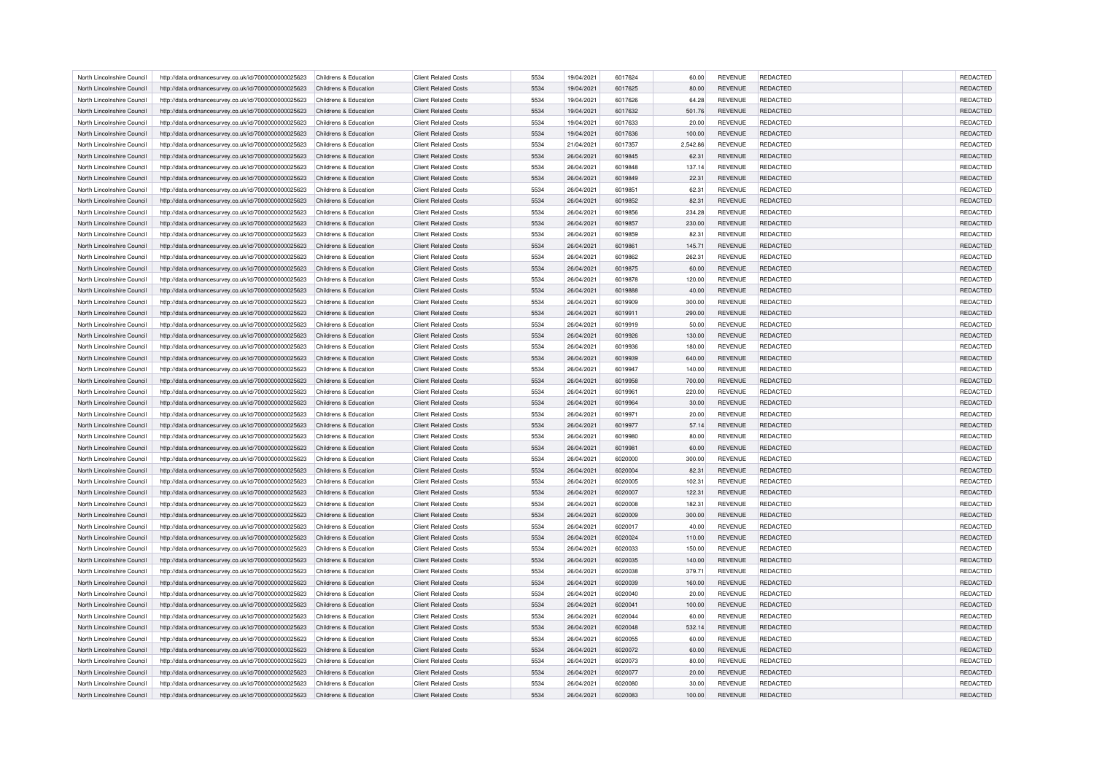| North Lincolnshire Council | http://data.ordnancesurvey.co.uk/id/7000000000025623 | Childrens & Education | <b>Client Related Costs</b> | 5534 | 19/04/2021 | 6017624 | 60.00    | <b>REVENUE</b> | <b>REDACTED</b> | <b>REDACTED</b> |
|----------------------------|------------------------------------------------------|-----------------------|-----------------------------|------|------------|---------|----------|----------------|-----------------|-----------------|
| North Lincolnshire Council | http://data.ordnancesurvey.co.uk/id/7000000000025623 | Childrens & Education | <b>Client Related Costs</b> | 5534 | 19/04/2021 | 6017625 | 80.00    | <b>REVENUE</b> | <b>REDACTED</b> | REDACTED        |
| North Lincolnshire Council | http://data.ordnancesurvey.co.uk/id/7000000000025623 | Childrens & Education | <b>Client Related Costs</b> | 5534 | 19/04/2021 | 6017626 | 64.28    | <b>REVENUE</b> | <b>REDACTED</b> | <b>REDACTED</b> |
| North Lincolnshire Council | http://data.ordnancesurvey.co.uk/id/7000000000025623 | Childrens & Education | <b>Client Related Costs</b> | 5534 | 19/04/2021 | 6017632 | 501.76   | <b>REVENUE</b> | <b>REDACTED</b> | <b>REDACTED</b> |
| North Lincolnshire Council | http://data.ordnancesurvey.co.uk/id/7000000000025623 | Childrens & Education | <b>Client Related Costs</b> | 5534 | 19/04/2021 | 6017633 | 20.00    | <b>REVENUE</b> | <b>REDACTED</b> | <b>REDACTED</b> |
| North Lincolnshire Council | http://data.ordnancesurvey.co.uk/id/7000000000025623 | Childrens & Education | <b>Client Related Costs</b> | 5534 | 19/04/2021 | 6017636 | 100.00   | <b>REVENUE</b> | <b>REDACTED</b> | <b>REDACTED</b> |
| North Lincolnshire Council | http://data.ordnancesurvey.co.uk/id/7000000000025623 | Childrens & Education | <b>Client Related Costs</b> | 5534 | 21/04/2021 | 6017357 | 2,542.86 | <b>REVENUE</b> | REDACTED        | REDACTED        |
| North Lincolnshire Council | http://data.ordnancesurvey.co.uk/id/7000000000025623 | Childrens & Education | <b>Client Related Costs</b> | 5534 | 26/04/2021 | 6019845 | 62.31    | <b>REVENUE</b> | <b>REDACTED</b> | <b>REDACTED</b> |
| North Lincolnshire Council | http://data.ordnancesurvey.co.uk/id/7000000000025623 | Childrens & Education | <b>Client Related Costs</b> | 5534 | 26/04/2021 | 6019848 | 137.14   | <b>REVENUE</b> | <b>REDACTED</b> | <b>REDACTED</b> |
| North Lincolnshire Council | http://data.ordnancesurvey.co.uk/id/7000000000025623 | Childrens & Education | <b>Client Related Costs</b> | 5534 | 26/04/2021 | 6019849 | 22.31    | <b>REVENUE</b> | REDACTED        | REDACTED        |
| North Lincolnshire Council | http://data.ordnancesurvey.co.uk/id/7000000000025623 | Childrens & Education | <b>Client Related Costs</b> | 5534 | 26/04/2021 | 6019851 | 62.31    | <b>REVENUE</b> | <b>REDACTED</b> | <b>REDACTED</b> |
| North Lincolnshire Council | http://data.ordnancesurvey.co.uk/id/7000000000025623 | Childrens & Education | <b>Client Related Costs</b> | 5534 | 26/04/2021 | 6019852 | 82.31    | <b>REVENUE</b> | <b>REDACTED</b> | <b>REDACTED</b> |
| North Lincolnshire Council | http://data.ordnancesurvey.co.uk/id/7000000000025623 | Childrens & Education | <b>Client Related Costs</b> | 5534 | 26/04/2021 | 6019856 | 234.28   | <b>REVENUE</b> | REDACTED        | <b>REDACTED</b> |
| North Lincolnshire Council | http://data.ordnancesurvey.co.uk/id/7000000000025623 | Childrens & Education | <b>Client Related Costs</b> | 5534 | 26/04/2021 | 6019857 | 230.00   | <b>REVENUE</b> | <b>REDACTED</b> | REDACTED        |
|                            |                                                      |                       |                             |      |            |         |          |                |                 |                 |
| North Lincolnshire Council | http://data.ordnancesurvey.co.uk/id/7000000000025623 | Childrens & Education | <b>Client Related Costs</b> | 5534 | 26/04/2021 | 6019859 | 82.31    | <b>REVENUE</b> | <b>REDACTED</b> | <b>REDACTED</b> |
| North Lincolnshire Council | http://data.ordnancesurvey.co.uk/id/7000000000025623 | Childrens & Education | <b>Client Related Costs</b> | 5534 | 26/04/2021 | 6019861 | 145.71   | <b>REVENUE</b> | <b>REDACTED</b> | REDACTED        |
| North Lincolnshire Council | http://data.ordnancesurvey.co.uk/id/7000000000025623 | Childrens & Education | <b>Client Related Costs</b> | 5534 | 26/04/2021 | 6019862 | 262.31   | <b>REVENUE</b> | REDACTED        | <b>REDACTED</b> |
| North Lincolnshire Council | http://data.ordnancesurvey.co.uk/id/7000000000025623 | Childrens & Education | <b>Client Related Costs</b> | 5534 | 26/04/2021 | 6019875 | 60.00    | <b>REVENUE</b> | <b>REDACTED</b> | REDACTED        |
| North Lincolnshire Council | http://data.ordnancesurvey.co.uk/id/7000000000025623 | Childrens & Education | <b>Client Related Costs</b> | 5534 | 26/04/2021 | 6019878 | 120.00   | <b>REVENUE</b> | <b>REDACTED</b> | <b>REDACTED</b> |
| North Lincolnshire Council | http://data.ordnancesurvey.co.uk/id/7000000000025623 | Childrens & Education | <b>Client Related Costs</b> | 5534 | 26/04/2021 | 6019888 | 40.00    | <b>REVENUE</b> | <b>REDACTED</b> | REDACTED        |
| North Lincolnshire Council | http://data.ordnancesurvey.co.uk/id/7000000000025623 | Childrens & Education | <b>Client Related Costs</b> | 5534 | 26/04/2021 | 6019909 | 300.00   | <b>REVENUE</b> | <b>REDACTED</b> | <b>REDACTED</b> |
| North Lincolnshire Council | http://data.ordnancesurvey.co.uk/id/7000000000025623 | Childrens & Education | <b>Client Related Costs</b> | 5534 | 26/04/2021 | 6019911 | 290.00   | <b>REVENUE</b> | <b>REDACTED</b> | REDACTED        |
| North Lincolnshire Council | http://data.ordnancesurvey.co.uk/id/7000000000025623 | Childrens & Education | <b>Client Related Costs</b> | 5534 | 26/04/2021 | 6019919 | 50.00    | <b>REVENUE</b> | <b>REDACTED</b> | <b>REDACTED</b> |
| North Lincolnshire Council | http://data.ordnancesurvey.co.uk/id/7000000000025623 | Childrens & Education | <b>Client Related Costs</b> | 5534 | 26/04/2021 | 6019926 | 130.00   | <b>REVENUE</b> | <b>REDACTED</b> | REDACTED        |
| North Lincolnshire Council | http://data.ordnancesurvey.co.uk/id/7000000000025623 | Childrens & Education | <b>Client Related Costs</b> | 5534 | 26/04/2021 | 6019936 | 180.00   | <b>REVENUE</b> | REDACTED        | REDACTED        |
| North Lincolnshire Council | http://data.ordnancesurvey.co.uk/id/7000000000025623 | Childrens & Education | <b>Client Related Costs</b> | 5534 | 26/04/2021 | 6019939 | 640.00   | <b>REVENUE</b> | <b>REDACTED</b> | REDACTED        |
| North Lincolnshire Council | http://data.ordnancesurvey.co.uk/id/7000000000025623 | Childrens & Education | <b>Client Related Costs</b> | 5534 | 26/04/2021 | 6019947 | 140.00   | <b>REVENUE</b> | <b>REDACTED</b> | <b>REDACTED</b> |
| North Lincolnshire Council | http://data.ordnancesurvey.co.uk/id/7000000000025623 | Childrens & Education | <b>Client Related Costs</b> | 5534 | 26/04/2021 | 6019958 | 700.00   | <b>REVENUE</b> | <b>REDACTED</b> | REDACTED        |
| North Lincolnshire Council | http://data.ordnancesurvey.co.uk/id/7000000000025623 | Childrens & Education | <b>Client Related Costs</b> | 5534 | 26/04/2021 | 6019961 | 220.00   | <b>REVENUE</b> | <b>REDACTED</b> | <b>REDACTED</b> |
| North Lincolnshire Council | http://data.ordnancesurvey.co.uk/id/7000000000025623 | Childrens & Education | <b>Client Related Costs</b> | 5534 | 26/04/2021 | 6019964 | 30.00    | <b>REVENUE</b> | <b>REDACTED</b> | REDACTED        |
|                            |                                                      |                       |                             |      |            |         |          |                |                 |                 |
| North Lincolnshire Council | http://data.ordnancesurvey.co.uk/id/7000000000025623 | Childrens & Education | <b>Client Related Costs</b> | 5534 | 26/04/2021 | 6019971 | 20.00    | <b>REVENUE</b> | <b>REDACTED</b> | <b>REDACTED</b> |
| North Lincolnshire Council | http://data.ordnancesurvey.co.uk/id/7000000000025623 | Childrens & Education | <b>Client Related Costs</b> | 5534 | 26/04/2021 | 6019977 | 57.14    | <b>REVENUE</b> | <b>REDACTED</b> | REDACTED        |
| North Lincolnshire Council | http://data.ordnancesurvey.co.uk/id/7000000000025623 | Childrens & Education | <b>Client Related Costs</b> | 5534 | 26/04/2021 | 6019980 | 80.00    | <b>REVENUE</b> | <b>REDACTED</b> | <b>REDACTED</b> |
| North Lincolnshire Council | http://data.ordnancesurvey.co.uk/id/7000000000025623 | Childrens & Education | <b>Client Related Costs</b> | 5534 | 26/04/2021 | 6019981 | 60.00    | <b>REVENUE</b> | REDACTED        | REDACTED        |
| North Lincolnshire Council | http://data.ordnancesurvey.co.uk/id/7000000000025623 | Childrens & Education | <b>Client Related Costs</b> | 5534 | 26/04/2021 | 6020000 | 300.00   | <b>REVENUE</b> | REDACTED        | REDACTED        |
| North Lincolnshire Council | http://data.ordnancesurvey.co.uk/id/7000000000025623 | Childrens & Education | <b>Client Related Costs</b> | 5534 | 26/04/2021 | 6020004 | 82.31    | <b>REVENUE</b> | <b>REDACTED</b> | REDACTED        |
| North Lincolnshire Council | http://data.ordnancesurvey.co.uk/id/7000000000025623 | Childrens & Education | <b>Client Related Costs</b> | 5534 | 26/04/2021 | 6020005 | 102.31   | <b>REVENUE</b> | <b>REDACTED</b> | <b>REDACTED</b> |
| North Lincolnshire Council | http://data.ordnancesurvey.co.uk/id/7000000000025623 | Childrens & Education | <b>Client Related Costs</b> | 5534 | 26/04/2021 | 6020007 | 122.31   | <b>REVENUE</b> | <b>REDACTED</b> | <b>REDACTED</b> |
| North Lincolnshire Council | http://data.ordnancesurvey.co.uk/id/7000000000025623 | Childrens & Education | <b>Client Related Costs</b> | 5534 | 26/04/2021 | 6020008 | 182.31   | <b>REVENUE</b> | <b>REDACTED</b> | <b>REDACTED</b> |
| North Lincolnshire Council | http://data.ordnancesurvey.co.uk/id/7000000000025623 | Childrens & Education | <b>Client Related Costs</b> | 5534 | 26/04/2021 | 6020009 | 300.00   | <b>REVENUE</b> | <b>REDACTED</b> | <b>REDACTED</b> |
| North Lincolnshire Council | http://data.ordnancesurvey.co.uk/id/7000000000025623 | Childrens & Education | <b>Client Related Costs</b> | 5534 | 26/04/2021 | 6020017 | 40.00    | <b>REVENUE</b> | <b>REDACTED</b> | <b>REDACTED</b> |
| North Lincolnshire Council | http://data.ordnancesurvey.co.uk/id/7000000000025623 | Childrens & Education | <b>Client Related Costs</b> | 5534 | 26/04/2021 | 6020024 | 110.00   | <b>REVENUE</b> | <b>REDACTED</b> | REDACTED        |
| North Lincolnshire Council | http://data.ordnancesurvey.co.uk/id/7000000000025623 | Childrens & Education | <b>Client Related Costs</b> | 5534 | 26/04/2021 | 6020033 | 150.00   | <b>REVENUE</b> | REDACTED        | REDACTED        |
| North Lincolnshire Council | http://data.ordnancesurvey.co.uk/id/7000000000025623 | Childrens & Education | <b>Client Related Costs</b> | 5534 | 26/04/2021 | 6020035 | 140.00   | <b>REVENUE</b> | <b>REDACTED</b> | REDACTED        |
| North Lincolnshire Council | http://data.ordnancesurvey.co.uk/id/7000000000025623 | Childrens & Education | <b>Client Related Costs</b> | 5534 | 26/04/2021 | 6020038 | 379.71   | <b>REVENUE</b> | <b>REDACTED</b> | <b>REDACTED</b> |
| North Lincolnshire Council | http://data.ordnancesurvey.co.uk/id/7000000000025623 | Childrens & Education | <b>Client Related Costs</b> | 5534 | 26/04/2021 | 6020039 | 160.00   | <b>REVENUE</b> | REDACTED        | REDACTED        |
|                            |                                                      |                       |                             |      |            |         |          |                |                 |                 |
| North Lincolnshire Council | http://data.ordnancesurvey.co.uk/id/7000000000025623 | Childrens & Education | <b>Client Related Costs</b> | 5534 | 26/04/2021 | 6020040 | 20.00    | <b>REVENUE</b> | <b>REDACTED</b> | REDACTED        |
| North Lincolnshire Council | http://data.ordnancesurvey.co.uk/id/7000000000025623 | Childrens & Education | <b>Client Related Costs</b> | 5534 | 26/04/2021 | 6020041 | 100.00   | <b>REVENUE</b> | <b>REDACTED</b> | <b>REDACTED</b> |
| North Lincolnshire Council | http://data.ordnancesurvey.co.uk/id/7000000000025623 | Childrens & Education | <b>Client Related Costs</b> | 5534 | 26/04/2021 | 6020044 | 60.00    | <b>REVENUE</b> | <b>REDACTED</b> | <b>REDACTED</b> |
| North Lincolnshire Council | http://data.ordnancesurvey.co.uk/id/7000000000025623 | Childrens & Education | <b>Client Related Costs</b> | 5534 | 26/04/2021 | 6020048 | 532.14   | <b>REVENUE</b> | <b>REDACTED</b> | REDACTED        |
| North Lincolnshire Council | http://data.ordnancesurvey.co.uk/id/7000000000025623 | Childrens & Education | <b>Client Related Costs</b> | 5534 | 26/04/2021 | 6020055 | 60.00    | <b>REVENUE</b> | <b>REDACTED</b> | <b>REDACTED</b> |
| North Lincolnshire Council | http://data.ordnancesurvey.co.uk/id/7000000000025623 | Childrens & Education | <b>Client Related Costs</b> | 5534 | 26/04/2021 | 6020072 | 60.00    | <b>REVENUE</b> | REDACTED        | <b>REDACTED</b> |
| North Lincolnshire Council | http://data.ordnancesurvey.co.uk/id/7000000000025623 | Childrens & Education | <b>Client Related Costs</b> | 5534 | 26/04/2021 | 6020073 | 80.00    | <b>REVENUE</b> | <b>REDACTED</b> | REDACTED        |
| North Lincolnshire Council | http://data.ordnancesurvey.co.uk/id/7000000000025623 | Childrens & Education | <b>Client Related Costs</b> | 5534 | 26/04/2021 | 6020077 | 20.00    | <b>REVENUE</b> | <b>REDACTED</b> | REDACTED        |
| North Lincolnshire Council | http://data.ordnancesurvey.co.uk/id/7000000000025623 | Childrens & Education | <b>Client Related Costs</b> | 5534 | 26/04/2021 | 6020080 | 30.00    | <b>REVENUE</b> | <b>REDACTED</b> | <b>REDACTED</b> |
| North Lincolnshire Council | http://data.ordnancesurvey.co.uk/id/7000000000025623 | Childrens & Education | <b>Client Related Costs</b> | 5534 | 26/04/2021 | 6020083 | 100.00   | <b>REVENUE</b> | <b>REDACTED</b> | REDACTED        |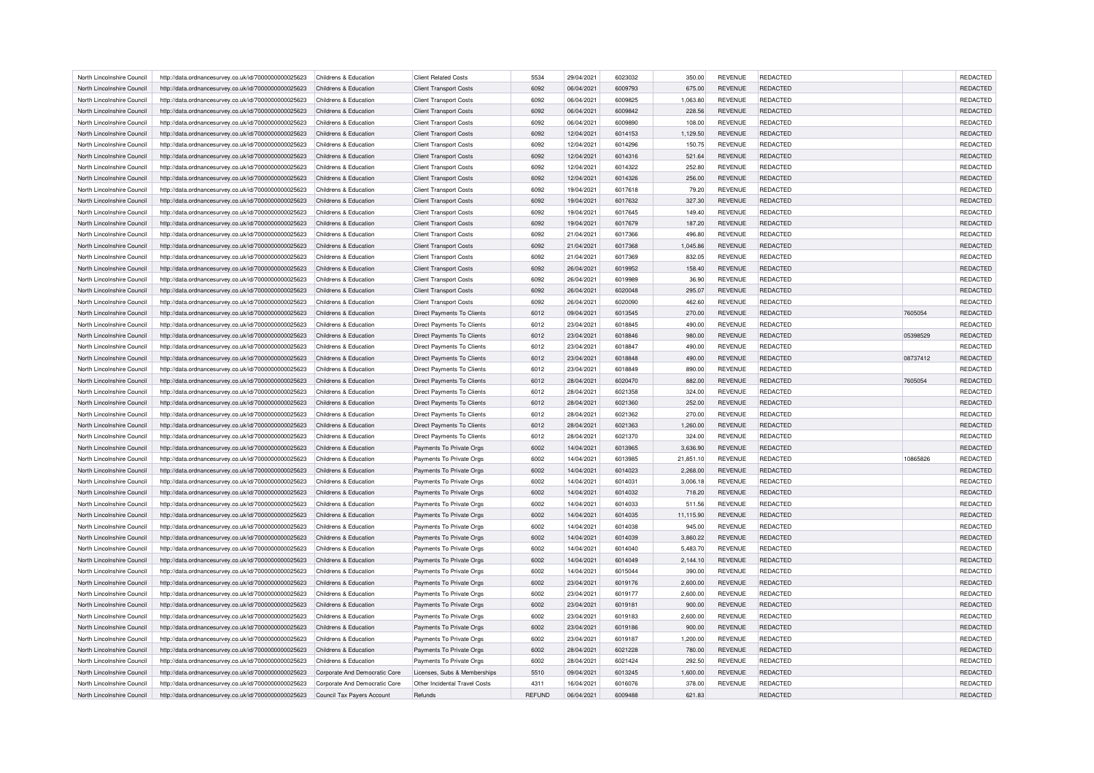| North Lincolnshire Council | http://data.ordnancesurvey.co.uk/id/7000000000025623                                                         | Childrens & Education         | <b>Client Related Costs</b>       | 5534          | 29/04/2021 | 6023032 | 350.00    | <b>REVENUE</b> | <b>REDACTED</b> |          | <b>REDACTED</b> |
|----------------------------|--------------------------------------------------------------------------------------------------------------|-------------------------------|-----------------------------------|---------------|------------|---------|-----------|----------------|-----------------|----------|-----------------|
| North Lincolnshire Council | http://data.ordnancesurvey.co.uk/id/7000000000025623                                                         | Childrens & Education         | <b>Client Transport Costs</b>     | 6092          | 06/04/2021 | 6009793 | 675.00    | <b>REVENUE</b> | <b>REDACTED</b> |          | REDACTED        |
| North Lincolnshire Council | http://data.ordnancesurvey.co.uk/id/7000000000025623                                                         | Childrens & Education         | <b>Client Transport Costs</b>     | 6092          | 06/04/2021 | 6009825 | 1.063.80  | <b>REVENUE</b> | <b>REDACTED</b> |          | REDACTED        |
| North Lincolnshire Council | http://data.ordnancesurvey.co.uk/id/7000000000025623                                                         | Childrens & Education         | <b>Client Transport Costs</b>     | 6092          | 06/04/2021 | 6009842 | 228.56    | <b>REVENUE</b> | <b>REDACTED</b> |          | <b>REDACTED</b> |
| North Lincolnshire Council | http://data.ordnancesurvey.co.uk/id/7000000000025623                                                         | Childrens & Education         | <b>Client Transport Costs</b>     | 6092          | 06/04/2021 | 6009890 | 108.00    | <b>REVENUE</b> | REDACTED        |          | REDACTED        |
| North Lincolnshire Council | http://data.ordnancesurvey.co.uk/id/7000000000025623                                                         | Childrens & Education         | <b>Client Transport Costs</b>     | 6092          | 12/04/2021 | 6014153 | 1,129.50  | <b>REVENUE</b> | <b>REDACTED</b> |          | <b>REDACTED</b> |
| North Lincolnshire Council | http://data.ordnancesurvey.co.uk/id/7000000000025623                                                         | Childrens & Education         | <b>Client Transport Costs</b>     | 6092          | 12/04/2021 | 6014296 | 150.75    | <b>REVENUE</b> | <b>REDACTED</b> |          | <b>REDACTED</b> |
| North Lincolnshire Council | http://data.ordnancesurvey.co.uk/id/7000000000025623                                                         | Childrens & Education         | <b>Client Transport Costs</b>     | 6092          | 12/04/2021 | 6014316 | 521.64    | <b>REVENUE</b> | <b>REDACTED</b> |          | <b>REDACTED</b> |
| North Lincolnshire Council | http://data.ordnancesurvey.co.uk/id/7000000000025623                                                         | Childrens & Education         | <b>Client Transport Costs</b>     | 6092          | 12/04/2021 | 6014322 | 252.80    | <b>REVENUE</b> | <b>REDACTED</b> |          | <b>REDACTED</b> |
| North Lincolnshire Council | http://data.ordnancesurvey.co.uk/id/7000000000025623                                                         | Childrens & Education         | <b>Client Transport Costs</b>     | 6092          | 12/04/2021 | 6014326 | 256.00    | <b>REVENUE</b> | <b>REDACTED</b> |          | REDACTED        |
| North Lincolnshire Council | http://data.ordnancesurvey.co.uk/id/7000000000025623                                                         | Childrens & Education         | <b>Client Transport Costs</b>     | 6092          | 19/04/2021 | 6017618 | 79.20     | <b>REVENUE</b> | REDACTED        |          | <b>REDACTED</b> |
| North Lincolnshire Council | http://data.ordnancesurvey.co.uk/id/7000000000025623                                                         | Childrens & Education         | <b>Client Transport Costs</b>     | 6092          | 19/04/2021 | 6017632 | 327.30    | <b>REVENUE</b> | <b>REDACTED</b> |          | <b>REDACTED</b> |
| North Lincolnshire Council |                                                                                                              | Childrens & Education         | <b>Client Transport Costs</b>     | 6092          | 19/04/2021 | 6017645 | 149.40    | <b>REVENUE</b> | <b>REDACTED</b> |          | REDACTED        |
| North Lincolnshire Council | http://data.ordnancesurvey.co.uk/id/7000000000025623<br>http://data.ordnancesurvey.co.uk/id/7000000000025623 | Childrens & Education         | <b>Client Transport Costs</b>     | 6092          | 19/04/2021 | 6017679 | 187.20    | <b>REVENUE</b> | <b>REDACTED</b> |          | <b>REDACTED</b> |
|                            |                                                                                                              |                               |                                   |               |            |         |           |                |                 |          |                 |
| North Lincolnshire Council | http://data.ordnancesurvey.co.uk/id/7000000000025623                                                         | Childrens & Education         | <b>Client Transport Costs</b>     | 6092          | 21/04/2021 | 6017366 | 496.80    | <b>REVENUE</b> | <b>REDACTED</b> |          | <b>REDACTED</b> |
| North Lincolnshire Council | http://data.ordnancesurvey.co.uk/id/7000000000025623                                                         | Childrens & Education         | <b>Client Transport Costs</b>     | 6092          | 21/04/2021 | 6017368 | 1,045.86  | <b>REVENUE</b> | <b>REDACTED</b> |          | REDACTED        |
| North Lincolnshire Council | http://data.ordnancesurvey.co.uk/id/7000000000025623                                                         | Childrens & Education         | <b>Client Transport Costs</b>     | 6092          | 21/04/2021 | 6017369 | 832.05    | <b>REVENUE</b> | REDACTED        |          | REDACTED        |
| North Lincolnshire Council | http://data.ordnancesurvey.co.uk/id/7000000000025623                                                         | Childrens & Education         | <b>Client Transport Costs</b>     | 6092          | 26/04/2021 | 6019952 | 158.40    | <b>REVENUE</b> | <b>REDACTED</b> |          | <b>REDACTED</b> |
| North Lincolnshire Council | http://data.ordnancesurvey.co.uk/id/7000000000025623                                                         | Childrens & Education         | <b>Client Transport Costs</b>     | 6092          | 26/04/2021 | 6019989 | 36.90     | <b>REVENUE</b> | REDACTED        |          | REDACTED        |
| North Lincolnshire Council | http://data.ordnancesurvey.co.uk/id/7000000000025623                                                         | Childrens & Education         | <b>Client Transport Costs</b>     | 6092          | 26/04/2021 | 6020048 | 295.07    | <b>REVENUE</b> | REDACTED        |          | REDACTED        |
| North Lincolnshire Council | http://data.ordnancesurvey.co.uk/id/7000000000025623                                                         | Childrens & Education         | <b>Client Transport Costs</b>     | 6092          | 26/04/2021 | 6020090 | 462.60    | <b>REVENUE</b> | <b>REDACTED</b> |          | <b>REDACTED</b> |
| North Lincolnshire Council | http://data.ordnancesurvey.co.uk/id/7000000000025623                                                         | Childrens & Education         | Direct Payments To Clients        | 6012          | 09/04/2021 | 6013545 | 270.00    | <b>REVENUE</b> | REDACTED        | 7605054  | <b>REDACTED</b> |
| North Lincolnshire Council | http://data.ordnancesurvey.co.uk/id/7000000000025623                                                         | Childrens & Education         | Direct Payments To Clients        | 6012          | 23/04/2021 | 6018845 | 490.00    | <b>REVENUE</b> | REDACTED        |          | REDACTED        |
| North Lincolnshire Council | http://data.ordnancesurvey.co.uk/id/7000000000025623                                                         | Childrens & Education         | <b>Direct Payments To Clients</b> | 6012          | 23/04/2021 | 6018846 | 980.00    | <b>REVENUE</b> | <b>REDACTED</b> | 05398529 | REDACTED        |
| North Lincolnshire Council | http://data.ordnancesurvey.co.uk/id/7000000000025623                                                         | Childrens & Education         | Direct Payments To Clients        | 6012          | 23/04/2021 | 6018847 | 490.00    | <b>REVENUE</b> | <b>REDACTED</b> |          | <b>REDACTED</b> |
| North Lincolnshire Council | http://data.ordnancesurvey.co.uk/id/7000000000025623                                                         | Childrens & Education         | Direct Payments To Clients        | 6012          | 23/04/2021 | 6018848 | 490.00    | <b>REVENUE</b> | REDACTED        | 08737412 | REDACTED        |
| North Lincolnshire Council | http://data.ordnancesurvey.co.uk/id/7000000000025623                                                         | Childrens & Education         | <b>Direct Payments To Clients</b> | 6012          | 23/04/2021 | 6018849 | 890.00    | <b>REVENUE</b> | <b>REDACTED</b> |          | REDACTED        |
| North Lincolnshire Council | http://data.ordnancesurvey.co.uk/id/7000000000025623                                                         | Childrens & Education         | Direct Payments To Clients        | 6012          | 28/04/2021 | 6020470 | 882.00    | <b>REVENUE</b> | REDACTED        | 7605054  | <b>REDACTED</b> |
| North Lincolnshire Council | http://data.ordnancesurvey.co.uk/id/7000000000025623                                                         | Childrens & Education         | Direct Payments To Clients        | 6012          | 28/04/2021 | 6021358 | 324.00    | <b>REVENUE</b> | REDACTED        |          | REDACTED        |
| North Lincolnshire Council | http://data.ordnancesurvey.co.uk/id/7000000000025623                                                         | Childrens & Education         | Direct Payments To Clients        | 6012          | 28/04/2021 | 6021360 | 252.00    | <b>REVENUE</b> | <b>REDACTED</b> |          | REDACTED        |
| North Lincolnshire Council | http://data.ordnancesurvey.co.uk/id/7000000000025623                                                         | Childrens & Education         | Direct Payments To Clients        | 6012          | 28/04/2021 | 6021362 | 270.00    | <b>REVENUE</b> | <b>REDACTED</b> |          | <b>REDACTED</b> |
| North Lincolnshire Council | http://data.ordnancesurvey.co.uk/id/7000000000025623                                                         | Childrens & Education         | <b>Direct Payments To Clients</b> | 6012          | 28/04/2021 | 6021363 | 1,260.00  | <b>REVENUE</b> | REDACTED        |          | REDACTED        |
| North Lincolnshire Council | http://data.ordnancesurvey.co.uk/id/7000000000025623                                                         | Childrens & Education         | <b>Direct Payments To Clients</b> | 6012          | 28/04/2021 | 6021370 | 324.00    | <b>REVENUE</b> | <b>REDACTED</b> |          | <b>REDACTED</b> |
| North Lincolnshire Council | http://data.ordnancesurvey.co.uk/id/7000000000025623                                                         | Childrens & Education         | Payments To Private Orgs          | 6002          | 14/04/2021 | 6013965 | 3,636.90  | <b>REVENUE</b> | <b>REDACTED</b> |          | REDACTED        |
| North Lincolnshire Council | http://data.ordnancesurvey.co.uk/id/7000000000025623                                                         | Childrens & Education         | Payments To Private Orgs          | 6002          | 14/04/2021 | 6013985 | 21,851.10 | <b>REVENUE</b> | <b>REDACTED</b> | 10865826 | <b>REDACTED</b> |
| North Lincolnshire Council | http://data.ordnancesurvey.co.uk/id/7000000000025623                                                         | Childrens & Education         | Payments To Private Orgs          | 6002          | 14/04/2021 | 6014023 | 2,268.00  | <b>REVENUE</b> | <b>REDACTED</b> |          | REDACTED        |
| North Lincolnshire Council | http://data.ordnancesurvey.co.uk/id/7000000000025623                                                         | Childrens & Education         | Payments To Private Orgs          | 6002          | 14/04/2021 | 6014031 | 3,006.18  | REVENUE        | REDACTED        |          | REDACTED        |
| North Lincolnshire Council | http://data.ordnancesurvey.co.uk/id/7000000000025623                                                         | Childrens & Education         | Payments To Private Orgs          | 6002          | 14/04/2021 | 6014032 | 718.20    | <b>REVENUE</b> | <b>REDACTED</b> |          | <b>REDACTED</b> |
| North Lincolnshire Council | http://data.ordnancesurvey.co.uk/id/7000000000025623                                                         | Childrens & Education         | Payments To Private Orgs          | 6002          | 14/04/2021 | 6014033 | 511.56    | <b>REVENUE</b> | <b>REDACTED</b> |          | <b>REDACTED</b> |
| North Lincolnshire Council | http://data.ordnancesurvey.co.uk/id/7000000000025623                                                         | Childrens & Education         | Payments To Private Orgs          | 6002          | 14/04/2021 | 6014035 | 11,115.90 | <b>REVENUE</b> | REDACTED        |          | REDACTED        |
| North Lincolnshire Council | http://data.ordnancesurvey.co.uk/id/7000000000025623                                                         | Childrens & Education         | Payments To Private Orgs          | 6002          | 14/04/2021 | 6014038 | 945.00    | <b>REVENUE</b> | <b>REDACTED</b> |          | <b>REDACTED</b> |
| North Lincolnshire Council | http://data.ordnancesurvey.co.uk/id/7000000000025623                                                         | Childrens & Education         | Payments To Private Orgs          | 6002          | 14/04/2021 | 6014039 | 3,860.22  | <b>REVENUE</b> | <b>REDACTED</b> |          | REDACTED        |
| North Lincolnshire Council | http://data.ordnancesurvey.co.uk/id/7000000000025623                                                         | Childrens & Education         | Payments To Private Orgs          | 6002          | 14/04/2021 | 6014040 | 5,483.70  | REVENUE        | REDACTED        |          | REDACTED        |
| North Lincolnshire Council | http://data.ordnancesurvey.co.uk/id/7000000000025623                                                         | Childrens & Education         | Payments To Private Orgs          | 6002          | 14/04/2021 | 6014049 | 2,144.10  | <b>REVENUE</b> | <b>REDACTED</b> |          | REDACTED        |
| North Lincolnshire Council | http://data.ordnancesurvey.co.uk/id/7000000000025623                                                         | Childrens & Education         | Payments To Private Orgs          | 6002          | 14/04/2021 | 6015044 | 390.00    | <b>REVENUE</b> | <b>REDACTED</b> |          | <b>REDACTED</b> |
|                            |                                                                                                              |                               |                                   |               |            |         |           |                |                 |          |                 |
| North Lincolnshire Council | http://data.ordnancesurvey.co.uk/id/7000000000025623                                                         | Childrens & Education         | Payments To Private Orgs          | 6002          | 23/04/2021 | 6019176 | 2,600.00  | <b>REVENUE</b> | REDACTED        |          | REDACTED        |
| North Lincolnshire Council | http://data.ordnancesurvey.co.uk/id/7000000000025623                                                         | Childrens & Education         | Payments To Private Orgs          | 6002          | 23/04/2021 | 6019177 | 2,600.00  | <b>REVENUE</b> | <b>REDACTED</b> |          | REDACTED        |
| North Lincolnshire Council | http://data.ordnancesurvey.co.uk/id/7000000000025623                                                         | Childrens & Education         | Payments To Private Orgs          | 6002          | 23/04/2021 | 6019181 | 900.00    | <b>REVENUE</b> | <b>REDACTED</b> |          | <b>REDACTED</b> |
| North Lincolnshire Council | http://data.ordnancesurvey.co.uk/id/7000000000025623                                                         | Childrens & Education         | Payments To Private Orgs          | 6002          | 23/04/2021 | 6019183 | 2,600.00  | <b>REVENUE</b> | <b>REDACTED</b> |          | REDACTED        |
| North Lincolnshire Council | http://data.ordnancesurvey.co.uk/id/7000000000025623                                                         | Childrens & Education         | Payments To Private Orgs          | 6002          | 23/04/2021 | 6019186 | 900.00    | <b>REVENUE</b> | REDACTED        |          | REDACTED        |
| North Lincolnshire Council | http://data.ordnancesurvey.co.uk/id/7000000000025623                                                         | Childrens & Education         | Payments To Private Orgs          | 6002          | 23/04/2021 | 6019187 | 1.200.00  | <b>REVENUE</b> | <b>REDACTED</b> |          | REDACTED        |
| North Lincolnshire Council | http://data.ordnancesurvey.co.uk/id/7000000000025623                                                         | Childrens & Education         | Payments To Private Orgs          | 6002          | 28/04/2021 | 6021228 | 780.00    | <b>REVENUE</b> | REDACTED        |          | REDACTED        |
| North Lincolnshire Council | http://data.ordnancesurvey.co.uk/id/7000000000025623                                                         | Childrens & Education         | Payments To Private Orgs          | 6002          | 28/04/2021 | 6021424 | 292.50    | <b>REVENUE</b> | <b>REDACTED</b> |          | REDACTED        |
| North Lincolnshire Council | http://data.ordnancesurvey.co.uk/id/7000000000025623                                                         | Corporate And Democratic Core | Licenses, Subs & Memberships      | 5510          | 09/04/2021 | 6013245 | 1,600.00  | <b>REVENUE</b> | <b>REDACTED</b> |          | REDACTED        |
| North Lincolnshire Council | http://data.ordnancesurvey.co.uk/id/7000000000025623                                                         | Corporate And Democratic Core | Other Incidental Travel Costs     | 4311          | 16/04/2021 | 6016076 | 378.00    | <b>REVENUE</b> | <b>REDACTED</b> |          | <b>REDACTED</b> |
| North Lincolnshire Council | http://data.ordnancesurvey.co.uk/id/7000000000025623                                                         | Council Tax Payers Account    | Refunds                           | <b>REFUND</b> | 06/04/2021 | 6009488 | 621.83    |                | <b>REDACTED</b> |          | REDACTED        |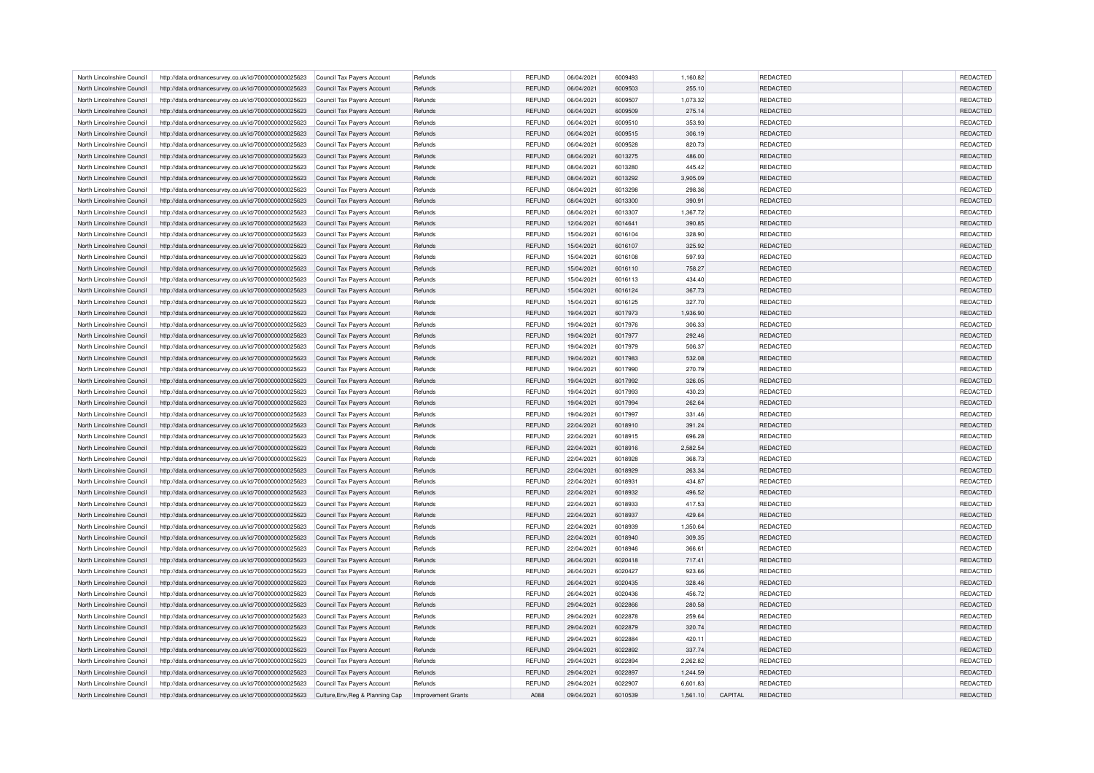| North Lincolnshire Council                               | http://data.ordnancesurvey.co.uk/id/7000000000025623 | Council Tax Payers Account       | Refunds                   | <b>REFUND</b> | 06/04/2021 | 6009493            | 1,160.82           |         | <b>REDACTED</b> | <b>REDACTED</b> |
|----------------------------------------------------------|------------------------------------------------------|----------------------------------|---------------------------|---------------|------------|--------------------|--------------------|---------|-----------------|-----------------|
| North Lincolnshire Council                               | http://data.ordnancesurvey.co.uk/id/7000000000025623 | Council Tax Payers Account       | Refunds                   | <b>REFUND</b> | 06/04/2021 | 6009503            | 255.10             |         | <b>REDACTED</b> | REDACTED        |
| North Lincolnshire Council                               | http://data.ordnancesurvey.co.uk/id/7000000000025623 | Council Tax Payers Account       | Refunds                   | <b>REFUND</b> | 06/04/2021 | 6009507            | 1.073.32           |         | <b>REDACTED</b> | REDACTED        |
| North Lincolnshire Council                               | http://data.ordnancesurvey.co.uk/id/7000000000025623 | Council Tax Payers Account       | Refunds                   | <b>REFUND</b> | 06/04/2021 | 6009509            | 275.14             |         | REDACTED        | <b>REDACTED</b> |
| North Lincolnshire Council                               | http://data.ordnancesurvey.co.uk/id/7000000000025623 | Council Tax Payers Account       | Refunds                   | <b>REFUND</b> | 06/04/2021 | 6009510            | 353.93             |         | <b>REDACTED</b> | REDACTED        |
| North Lincolnshire Council                               | http://data.ordnancesurvey.co.uk/id/7000000000025623 | Council Tax Payers Account       | Refunds                   | <b>REFUND</b> | 06/04/2021 | 6009515            | 306.19             |         | <b>REDACTED</b> | REDACTED        |
| North Lincolnshire Council                               | http://data.ordnancesurvey.co.uk/id/7000000000025623 | Council Tax Payers Account       | Refunds                   | <b>REFUND</b> | 06/04/2021 | 6009528            | 820.73             |         | REDACTED        | REDACTED        |
| North Lincolnshire Council                               | http://data.ordnancesurvey.co.uk/id/7000000000025623 | Council Tax Payers Account       | Refunds                   | <b>REFUND</b> | 08/04/2021 | 6013275            | 486.00             |         | <b>REDACTED</b> | REDACTED        |
| North Lincolnshire Council                               | http://data.ordnancesurvey.co.uk/id/7000000000025623 | Council Tax Payers Account       | Refunds                   | <b>REFUND</b> | 08/04/2021 | 6013280            | 445.42             |         | <b>REDACTED</b> | REDACTED        |
| North Lincolnshire Council                               | http://data.ordnancesurvey.co.uk/id/7000000000025623 | Council Tax Payers Account       | Refunds                   | <b>REFUND</b> | 08/04/2021 | 6013292            | 3,905.09           |         | REDACTED        | REDACTED        |
| North Lincolnshire Council                               | http://data.ordnancesurvey.co.uk/id/7000000000025623 | Council Tax Pavers Account       | Refunds                   | <b>REFUND</b> | 08/04/2021 | 6013298            | 298.36             |         | <b>REDACTED</b> | REDACTED        |
| North Lincolnshire Council                               | http://data.ordnancesurvey.co.uk/id/7000000000025623 | Council Tax Payers Account       | Refunds                   | <b>REFUND</b> | 08/04/2021 | 6013300            | 390.91             |         | <b>REDACTED</b> | <b>REDACTED</b> |
|                                                          |                                                      |                                  |                           |               |            | 6013307            |                    |         | REDACTED        | REDACTED        |
| North Lincolnshire Council                               | http://data.ordnancesurvey.co.uk/id/7000000000025623 | Council Tax Payers Account       | Refunds                   | <b>REFUND</b> | 08/04/2021 |                    | 1,367.72<br>390.85 |         |                 |                 |
| North Lincolnshire Council                               | http://data.ordnancesurvey.co.uk/id/7000000000025623 | Council Tax Payers Account       | Refunds                   | <b>REFUND</b> | 12/04/2021 | 6014641            |                    |         | <b>REDACTED</b> | REDACTED        |
| North Lincolnshire Council                               | http://data.ordnancesurvey.co.uk/id/7000000000025623 | Council Tax Payers Account       | Refunds                   | REFUND        | 15/04/2021 | 6016104            | 328.90             |         | <b>REDACTED</b> | <b>REDACTED</b> |
| North Lincolnshire Council                               | http://data.ordnancesurvey.co.uk/id/7000000000025623 | Council Tax Payers Account       | Refunds                   | <b>REFUND</b> | 15/04/2021 | 6016107            | 325.92             |         | REDACTED        | REDACTED        |
| North Lincolnshire Council                               | http://data.ordnancesurvey.co.uk/id/7000000000025623 | Council Tax Payers Account       | Refunds                   | REFUND        | 15/04/2021 | 6016108            | 597.93             |         | <b>REDACTED</b> | REDACTED        |
| North Lincolnshire Council                               | http://data.ordnancesurvey.co.uk/id/7000000000025623 | Council Tax Payers Account       | Refunds                   | <b>REFUND</b> | 15/04/2021 | 6016110            | 758.27             |         | <b>REDACTED</b> | <b>REDACTED</b> |
| North Lincolnshire Council                               | http://data.ordnancesurvey.co.uk/id/7000000000025623 | Council Tax Payers Account       | Refunds                   | <b>REFUND</b> | 15/04/2021 | 6016113            | 434.40             |         | REDACTED        | REDACTED        |
| North Lincolnshire Council                               | http://data.ordnancesurvey.co.uk/id/7000000000025623 | Council Tax Payers Account       | Refunds                   | <b>REFUND</b> | 15/04/2021 | 6016124            | 367.73             |         | <b>REDACTED</b> | REDACTED        |
| North Lincolnshire Council                               | http://data.ordnancesurvey.co.uk/id/7000000000025623 | Council Tax Payers Account       | Refunds                   | REFUND        | 15/04/2021 | 6016125            | 327.70             |         | <b>REDACTED</b> | REDACTED        |
| North Lincolnshire Council                               | http://data.ordnancesurvey.co.uk/id/7000000000025623 | Council Tax Payers Account       | Refunds                   | <b>REFUND</b> | 19/04/2021 | 6017973            | 1,936.90           |         | REDACTED        | REDACTED        |
| North Lincolnshire Council                               | http://data.ordnancesurvey.co.uk/id/7000000000025623 | Council Tax Payers Account       | Refunds                   | <b>REFUND</b> | 19/04/2021 | 6017976            | 306.33             |         | <b>REDACTED</b> | REDACTED        |
| North Lincolnshire Council                               | http://data.ordnancesurvey.co.uk/id/7000000000025623 | Council Tax Payers Account       | Refunds                   | <b>REFUND</b> | 19/04/2021 | 6017977            | 292.46             |         | <b>REDACTED</b> | <b>REDACTED</b> |
| North Lincolnshire Council                               | http://data.ordnancesurvey.co.uk/id/7000000000025623 | Council Tax Payers Account       | Refunds                   | <b>REFUND</b> | 19/04/2021 | 6017979            | 506.37             |         | REDACTED        | REDACTED        |
| North Lincolnshire Council                               | http://data.ordnancesurvey.co.uk/id/7000000000025623 | Council Tax Payers Account       | Refunds                   | <b>REFUND</b> | 19/04/2021 | 6017983            | 532.08             |         | <b>REDACTED</b> | REDACTED        |
| North Lincolnshire Council                               | http://data.ordnancesurvey.co.uk/id/7000000000025623 | Council Tax Payers Account       | Refunds                   | <b>REFUND</b> | 19/04/2021 | 6017990            | 270.79             |         | <b>REDACTED</b> | REDACTED        |
| North Lincolnshire Council                               | http://data.ordnancesurvey.co.uk/id/7000000000025623 | Council Tax Payers Account       | Refunds                   | <b>REFUND</b> | 19/04/2021 | 6017992            | 326.05             |         | REDACTED        | REDACTED        |
| North Lincolnshire Council                               | http://data.ordnancesurvey.co.uk/id/7000000000025623 | Council Tax Payers Account       | Refunds                   | <b>REFUND</b> | 19/04/2021 | 6017993            | 430.23             |         | <b>REDACTED</b> | REDACTED        |
| North Lincolnshire Council                               | http://data.ordnancesurvey.co.uk/id/7000000000025623 | Council Tax Payers Account       | Refunds                   | <b>REFUND</b> | 19/04/2021 | 6017994            | 262.64             |         | <b>REDACTED</b> | REDACTED        |
| North Lincolnshire Council                               | http://data.ordnancesurvey.co.uk/id/7000000000025623 | Council Tax Payers Account       | Refunds                   | REFUND        | 19/04/2021 | 6017997            | 331.46             |         | REDACTED        | REDACTED        |
| North Lincolnshire Council                               | http://data.ordnancesurvey.co.uk/id/7000000000025623 | Council Tax Payers Account       | Refunds                   | <b>REFUND</b> | 22/04/2021 | 6018910            | 391.24             |         | <b>REDACTED</b> | REDACTED        |
| North Lincolnshire Council                               | http://data.ordnancesurvey.co.uk/id/7000000000025623 | Council Tax Payers Account       | Refunds                   | <b>REFUND</b> | 22/04/2021 | 6018915            | 696.28             |         | <b>REDACTED</b> | REDACTED        |
| North Lincolnshire Council                               | http://data.ordnancesurvey.co.uk/id/7000000000025623 | Council Tax Payers Account       | Refunds                   | <b>REFUND</b> | 22/04/2021 | 6018916            | 2.582.54           |         | REDACTED        | REDACTED        |
| North Lincolnshire Council                               | http://data.ordnancesurvey.co.uk/id/7000000000025623 | Council Tax Pavers Account       | Refunds                   | <b>REFUND</b> | 22/04/2021 | 6018928            | 368.73             |         | <b>REDACTED</b> | REDACTED        |
| North Lincolnshire Council                               | http://data.ordnancesurvey.co.uk/id/7000000000025623 | Council Tax Payers Account       | Refunds                   | <b>REFUND</b> | 22/04/2021 | 6018929            | 263.34             |         | <b>REDACTED</b> | REDACTED        |
| North Lincolnshire Council                               | http://data.ordnancesurvey.co.uk/id/7000000000025623 | Council Tax Payers Account       | Refunds                   | <b>REFUND</b> | 22/04/2021 | 6018931            | 434.87             |         | REDACTED        | REDACTED        |
| North Lincolnshire Council                               | http://data.ordnancesurvey.co.uk/id/7000000000025623 | Council Tax Payers Account       | Refunds                   | <b>REFUND</b> | 22/04/2021 | 6018932            | 496.52             |         | <b>REDACTED</b> | <b>REDACTED</b> |
| North Lincolnshire Council                               | http://data.ordnancesurvey.co.uk/id/7000000000025623 | Council Tax Payers Account       | Refunds                   | REFUND        | 22/04/2021 | 6018933            | 417.53             |         | <b>REDACTED</b> | <b>REDACTED</b> |
| North Lincolnshire Council                               | http://data.ordnancesurvey.co.uk/id/7000000000025623 | Council Tax Payers Account       | Refunds                   | <b>REFUND</b> | 22/04/2021 | 6018937            | 429.64             |         | REDACTED        | REDACTED        |
| North Lincolnshire Council                               | http://data.ordnancesurvey.co.uk/id/7000000000025623 | Council Tax Payers Account       | Refunds                   | REFUND        | 22/04/2021 | 6018939            | 1,350.64           |         | <b>REDACTED</b> | <b>REDACTED</b> |
| North Lincolnshire Council                               | http://data.ordnancesurvey.co.uk/id/7000000000025623 | Council Tax Payers Account       | Refunds                   | <b>REFUND</b> | 22/04/2021 | 6018940            | 309.35             |         | <b>REDACTED</b> | <b>REDACTED</b> |
|                                                          |                                                      |                                  |                           |               |            |                    |                    |         |                 |                 |
| North Lincolnshire Council<br>North Lincolnshire Council | http://data.ordnancesurvey.co.uk/id/7000000000025623 | Council Tax Payers Account       | Refunds                   | <b>REFUND</b> | 22/04/2021 | 6018946<br>6020418 | 366.61             |         | REDACTED        | REDACTED        |
|                                                          | http://data.ordnancesurvey.co.uk/id/7000000000025623 | Council Tax Payers Account       | Refunds                   | <b>REFUND</b> | 26/04/2021 |                    | 717.41             |         | <b>REDACTED</b> | REDACTED        |
| North Lincolnshire Council                               | http://data.ordnancesurvey.co.uk/id/7000000000025623 | Council Tax Payers Account       | Refunds                   | <b>REFUND</b> | 26/04/2021 | 6020427            | 923.66             |         | <b>REDACTED</b> | <b>REDACTED</b> |
| North Lincolnshire Council                               | http://data.ordnancesurvey.co.uk/id/7000000000025623 | Council Tax Payers Account       | Refunds                   | <b>REFUND</b> | 26/04/2021 | 6020435            | 328.46             |         | REDACTED        | REDACTED        |
| North Lincolnshire Council                               | http://data.ordnancesurvey.co.uk/id/7000000000025623 | Council Tax Payers Account       | Refunds                   | <b>REFUND</b> | 26/04/2021 | 6020436            | 456.72             |         | REDACTED        | REDACTED        |
| North Lincolnshire Council                               | http://data.ordnancesurvey.co.uk/id/7000000000025623 | Council Tax Payers Account       | Refunds                   | <b>REFUND</b> | 29/04/2021 | 6022866            | 280.58             |         | <b>REDACTED</b> | <b>REDACTED</b> |
| North Lincolnshire Council                               | http://data.ordnancesurvey.co.uk/id/7000000000025623 | Council Tax Payers Account       | Refunds                   | <b>REFUND</b> | 29/04/2021 | 6022878            | 259.64             |         | REDACTED        | REDACTED        |
| North Lincolnshire Council                               | http://data.ordnancesurvey.co.uk/id/7000000000025623 | Council Tax Payers Account       | Refunds                   | <b>REFUND</b> | 29/04/2021 | 6022879            | 320.74             |         | <b>REDACTED</b> | REDACTED        |
| North Lincolnshire Council                               | http://data.ordnancesurvey.co.uk/id/7000000000025623 | Council Tax Payers Account       | Refunds                   | <b>REFUND</b> | 29/04/2021 | 6022884            | 420.11             |         | <b>REDACTED</b> | REDACTED        |
| North Lincolnshire Council                               | http://data.ordnancesurvey.co.uk/id/7000000000025623 | Council Tax Payers Account       | Refunds                   | <b>REFUND</b> | 29/04/2021 | 6022892            | 337.74             |         | REDACTED        | REDACTED        |
| North Lincolnshire Council                               | http://data.ordnancesurvey.co.uk/id/7000000000025623 | Council Tax Payers Account       | Refunds                   | <b>REFUND</b> | 29/04/2021 | 6022894            | 2,262.82           |         | <b>REDACTED</b> | REDACTED        |
| North Lincolnshire Council                               | http://data.ordnancesurvey.co.uk/id/7000000000025623 | Council Tax Payers Account       | Refunds                   | <b>REFUND</b> | 29/04/2021 | 6022897            | 1,244.59           |         | <b>REDACTED</b> | REDACTED        |
| North Lincolnshire Council                               | http://data.ordnancesurvey.co.uk/id/7000000000025623 | Council Tax Payers Account       | Refunds                   | <b>REFUND</b> | 29/04/2021 | 6022907            | 6,601.83           |         | <b>REDACTED</b> | <b>REDACTED</b> |
| North Lincolnshire Council                               | http://data.ordnancesurvey.co.uk/id/7000000000025623 | Culture, Env, Reg & Planning Cap | <b>Improvement Grants</b> | A088          | 09/04/2021 | 6010539            | 1,561.10           | CAPITAL | <b>REDACTED</b> | <b>REDACTED</b> |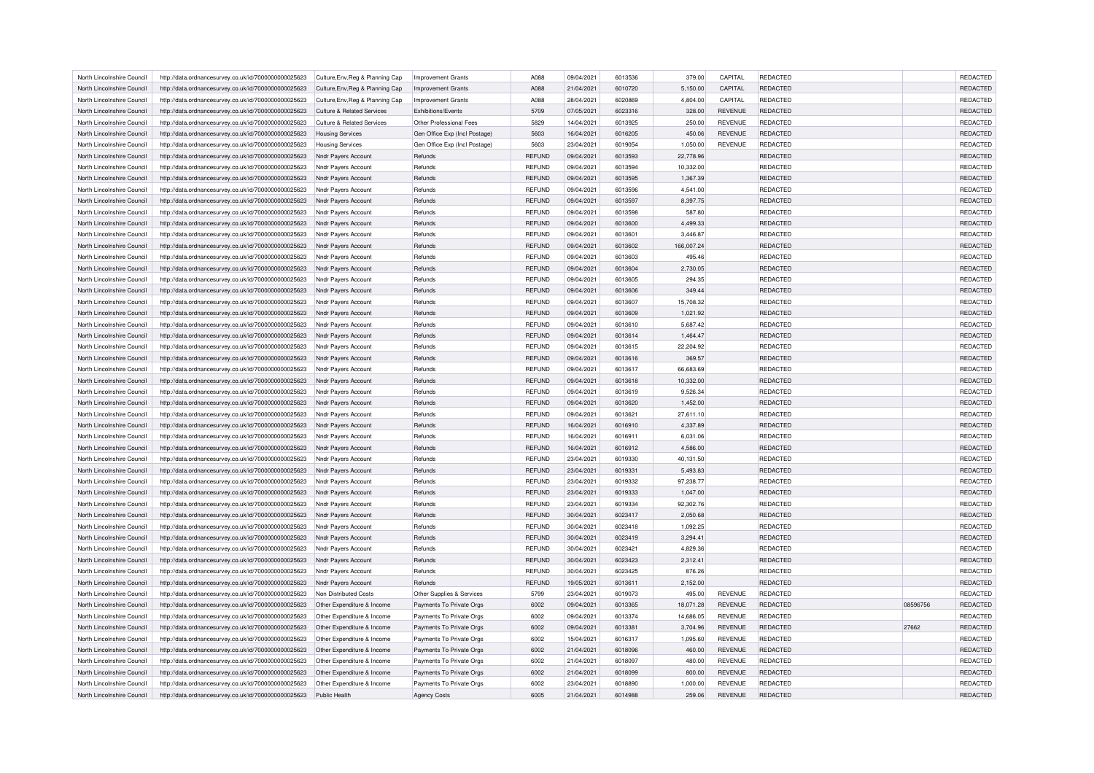| North Lincolnshire Council | http://data.ordnancesurvey.co.uk/id/7000000000025623 | Culture, Env, Reg & Planning Cap      | <b>Improvement Grants</b>     | A088          | 09/04/2021 | 6013536 | 379.00     | CAPITAL        | <b>REDACTED</b> |          | <b>REDACTED</b> |
|----------------------------|------------------------------------------------------|---------------------------------------|-------------------------------|---------------|------------|---------|------------|----------------|-----------------|----------|-----------------|
| North Lincolnshire Council | http://data.ordnancesurvey.co.uk/id/7000000000025623 | Culture, Env, Reg & Planning Cap      | <b>Improvement Grants</b>     | A088          | 21/04/2021 | 6010720 | 5,150.00   | CAPITAL        | <b>REDACTED</b> |          | REDACTED        |
| North Lincolnshire Council | http://data.ordnancesurvey.co.uk/id/7000000000025623 | Culture, Env, Reg & Planning Cap      | <b>Improvement Grants</b>     | A088          | 28/04/2021 | 6020869 | 4,804.00   | CAPITAL        | REDACTED        |          | <b>REDACTED</b> |
| North Lincolnshire Council | http://data.ordnancesurvey.co.uk/id/7000000000025623 | <b>Culture &amp; Related Services</b> | <b>Exhibitions/Events</b>     | 5709          | 07/05/2021 | 6023316 | 328.00     | <b>REVENUE</b> | REDACTED        |          | REDACTED        |
| North Lincolnshire Council | http://data.ordnancesurvey.co.uk/id/7000000000025623 | <b>Culture &amp; Related Services</b> | Other Professional Fees       | 5829          | 14/04/2021 | 6013925 | 250.00     | <b>REVENUE</b> | REDACTED        |          | <b>REDACTED</b> |
| North Lincolnshire Council | http://data.ordnancesurvey.co.uk/id/7000000000025623 | <b>Housing Services</b>               | Gen Office Exp (Incl Postage) | 5603          | 16/04/2021 | 6016205 | 450.06     | <b>REVENUE</b> | REDACTED        |          | REDACTED        |
|                            |                                                      |                                       |                               |               |            |         |            |                |                 |          |                 |
| North Lincolnshire Council | http://data.ordnancesurvey.co.uk/id/7000000000025623 | <b>Housing Services</b>               | Gen Office Exp (Incl Postage) | 5603          | 23/04/2021 | 6019054 | 1,050.00   | <b>REVENUE</b> | REDACTED        |          | REDACTED        |
| North Lincolnshire Council | http://data.ordnancesurvey.co.uk/id/7000000000025623 | Nndr Payers Account                   | Refunds                       | <b>REFUND</b> | 09/04/2021 | 6013593 | 22,778.96  |                | <b>REDACTED</b> |          | REDACTED        |
| North Lincolnshire Council | http://data.ordnancesurvey.co.uk/id/7000000000025623 | Nndr Payers Account                   | Refunds                       | REFUND        | 09/04/2021 | 6013594 | 10,332.00  |                | <b>REDACTED</b> |          | <b>REDACTED</b> |
| North Lincolnshire Council | http://data.ordnancesurvey.co.uk/id/7000000000025623 | Nndr Payers Account                   | Refunds                       | REFUND        | 09/04/2021 | 6013595 | 1,367.39   |                | REDACTED        |          | REDACTED        |
| North Lincolnshire Council | http://data.ordnancesurvey.co.uk/id/7000000000025623 | Nndr Payers Account                   | Refunds                       | REFUND        | 09/04/2021 | 6013596 | 4,541.00   |                | <b>REDACTED</b> |          | <b>REDACTED</b> |
| North Lincolnshire Council | http://data.ordnancesurvey.co.uk/id/7000000000025623 | Nndr Payers Account                   | Refunds                       | <b>REFUND</b> | 09/04/2021 | 6013597 | 8,397.75   |                | REDACTED        |          | REDACTED        |
| North Lincolnshire Council | http://data.ordnancesurvey.co.uk/id/7000000000025623 | Nndr Payers Account                   | Refunds                       | REFUND        | 09/04/2021 | 6013598 | 587.80     |                | REDACTED        |          | REDACTED        |
| North Lincolnshire Council | http://data.ordnancesurvey.co.uk/id/7000000000025623 | Nndr Payers Account                   | Refunds                       | REFUND        | 09/04/2021 | 6013600 | 4,499.33   |                | <b>REDACTED</b> |          | <b>REDACTED</b> |
| North Lincolnshire Council | http://data.ordnancesurvey.co.uk/id/7000000000025623 | Nndr Payers Account                   | Refunds                       | REFUND        | 09/04/2021 | 6013601 | 3,446.87   |                | <b>REDACTED</b> |          | <b>REDACTED</b> |
| North Lincolnshire Council | http://data.ordnancesurvey.co.uk/id/7000000000025623 | Nndr Payers Account                   | Refunds                       | <b>REFUND</b> | 09/04/2021 | 6013602 | 166,007.24 |                | REDACTED        |          | REDACTED        |
| North Lincolnshire Council | http://data.ordnancesurvey.co.uk/id/7000000000025623 | Nndr Payers Account                   | Refunds                       | REFUND        | 09/04/2021 | 6013603 | 495.46     |                | <b>REDACTED</b> |          | REDACTED        |
| North Lincolnshire Council | http://data.ordnancesurvey.co.uk/id/7000000000025623 | Nndr Payers Account                   | Refunds                       | <b>REFUND</b> | 09/04/2021 | 6013604 | 2,730.05   |                | <b>REDACTED</b> |          | <b>REDACTED</b> |
| North Lincolnshire Council | http://data.ordnancesurvey.co.uk/id/7000000000025623 | Nndr Payers Account                   | Refunds                       | REFUND        | 09/04/2021 | 6013605 | 294.35     |                | REDACTED        |          | REDACTED        |
| North Lincolnshire Council | http://data.ordnancesurvey.co.uk/id/7000000000025623 | Nndr Payers Account                   | Refunds                       | <b>REFUND</b> | 09/04/2021 | 6013606 | 349.44     |                | <b>REDACTED</b> |          | REDACTED        |
| North Lincolnshire Council | http://data.ordnancesurvey.co.uk/id/7000000000025623 | Nndr Payers Account                   | Refunds                       | REFUND        | 09/04/2021 | 6013607 | 15,708.32  |                | <b>REDACTED</b> |          | REDACTED        |
| North Lincolnshire Council | http://data.ordnancesurvey.co.uk/id/7000000000025623 | Nndr Payers Account                   | Refunds                       | <b>REFUND</b> | 09/04/2021 | 6013609 | 1,021.92   |                | REDACTED        |          | REDACTED        |
| North Lincolnshire Council | http://data.ordnancesurvey.co.uk/id/7000000000025623 | Nndr Payers Account                   | Refunds                       | REFUND        | 09/04/2021 | 6013610 | 5,687.42   |                | <b>REDACTED</b> |          | <b>REDACTED</b> |
| North Lincolnshire Council | http://data.ordnancesurvey.co.uk/id/7000000000025623 | Nndr Payers Account                   | Refunds                       | REFUND        | 09/04/2021 | 6013614 | 1,464.47   |                | REDACTED        |          | REDACTED        |
| North Lincolnshire Council | http://data.ordnancesurvey.co.uk/id/7000000000025623 | Nndr Payers Account                   | Refunds                       | REFUND        | 09/04/2021 | 6013615 | 22,204.92  |                | REDACTED        |          | REDACTED        |
| North Lincolnshire Council | http://data.ordnancesurvey.co.uk/id/7000000000025623 | <b>Nndr Payers Account</b>            | Refunds                       | <b>REFUND</b> | 09/04/2021 | 6013616 | 369.57     |                | <b>REDACTED</b> |          | REDACTED        |
| North Lincolnshire Council |                                                      |                                       | Refunds                       |               |            | 6013617 |            |                |                 |          |                 |
|                            | http://data.ordnancesurvey.co.uk/id/7000000000025623 | Nndr Payers Account                   |                               | REFUND        | 09/04/2021 |         | 66,683.69  |                | <b>REDACTED</b> |          | <b>REDACTED</b> |
| North Lincolnshire Council | http://data.ordnancesurvey.co.uk/id/7000000000025623 | Nndr Payers Account                   | Refunds                       | REFUND        | 09/04/2021 | 6013618 | 10,332.00  |                | REDACTED        |          | REDACTED        |
| North Lincolnshire Council | http://data.ordnancesurvey.co.uk/id/7000000000025623 | Nndr Payers Account                   | Refunds                       | REFUND        | 09/04/2021 | 6013619 | 9,526.34   |                | <b>REDACTED</b> |          | <b>REDACTED</b> |
| North Lincolnshire Council | http://data.ordnancesurvey.co.uk/id/7000000000025623 | Nndr Payers Account                   | Refunds                       | <b>REFUND</b> | 09/04/2021 | 6013620 | 1,452.00   |                | REDACTED        |          | REDACTED        |
| North Lincolnshire Council | http://data.ordnancesurvey.co.uk/id/7000000000025623 | Nndr Payers Account                   | Refunds                       | REFUND        | 09/04/2021 | 6013621 | 27,611.10  |                | REDACTED        |          | REDACTED        |
| North Lincolnshire Council | http://data.ordnancesurvey.co.uk/id/7000000000025623 | Nndr Payers Account                   | Refunds                       | REFUND        | 16/04/2021 | 6016910 | 4,337.89   |                | <b>REDACTED</b> |          | REDACTED        |
| North Lincolnshire Council | http://data.ordnancesurvey.co.uk/id/7000000000025623 | Nndr Payers Account                   | Refunds                       | <b>REFUND</b> | 16/04/2021 | 6016911 | 6.031.06   |                | <b>REDACTED</b> |          | REDACTED        |
| North Lincolnshire Council | http://data.ordnancesurvey.co.uk/id/7000000000025623 | Nndr Payers Account                   | Refunds                       | REFUND        | 16/04/2021 | 6016912 | 4,586.00   |                | REDACTED        |          | REDACTED        |
| North Lincolnshire Council | http://data.ordnancesurvey.co.uk/id/7000000000025623 | Nndr Payers Account                   | Refunds                       | REFUND        | 23/04/2021 | 6019330 | 40,131.50  |                | <b>REDACTED</b> |          | REDACTED        |
| North Lincolnshire Council | http://data.ordnancesurvey.co.uk/id/7000000000025623 | Nndr Payers Account                   | Refunds                       | <b>REFUND</b> | 23/04/2021 | 6019331 | 5.493.83   |                | <b>REDACTED</b> |          | REDACTED        |
| North Lincolnshire Council | http://data.ordnancesurvey.co.uk/id/7000000000025623 | Nndr Payers Account                   | Refunds                       | REFUND        | 23/04/2021 | 6019332 | 97,238.77  |                | REDACTED        |          | REDACTED        |
| North Lincolnshire Council | http://data.ordnancesurvey.co.uk/id/7000000000025623 | <b>Nndr Payers Account</b>            | Refunds                       | <b>REFUND</b> | 23/04/2021 | 6019333 | 1,047.00   |                | <b>REDACTED</b> |          | REDACTED        |
| North Lincolnshire Council | http://data.ordnancesurvey.co.uk/id/7000000000025623 | Nndr Payers Account                   | Refunds                       | REFUND        | 23/04/2021 | 6019334 | 92,302.76  |                | <b>REDACTED</b> |          | <b>REDACTED</b> |
| North Lincolnshire Council | http://data.ordnancesurvey.co.uk/id/7000000000025623 | Nndr Payers Account                   | Refunds                       | <b>REFUND</b> | 30/04/2021 | 6023417 | 2,050.68   |                | <b>REDACTED</b> |          | REDACTED        |
| North Lincolnshire Council | http://data.ordnancesurvey.co.uk/id/7000000000025623 | Nndr Payers Account                   | Refunds                       | REFUND        | 30/04/2021 | 6023418 | 1,092.25   |                | <b>REDACTED</b> |          | <b>REDACTED</b> |
| North Lincolnshire Council | http://data.ordnancesurvey.co.uk/id/7000000000025623 | Nndr Payers Account                   | Refunds                       | REFUND        | 30/04/2021 | 6023419 | 3,294.41   |                | REDACTED        |          | REDACTED        |
| North Lincolnshire Council | http://data.ordnancesurvey.co.uk/id/7000000000025623 | Nndr Payers Account                   | Refunds                       | REFUND        | 30/04/2021 | 6023421 | 4,829.36   |                | REDACTED        |          | REDACTED        |
| North Lincolnshire Council | http://data.ordnancesurvey.co.uk/id/7000000000025623 | <b>Nndr Payers Account</b>            | Refunds                       | <b>REFUND</b> | 30/04/2021 | 6023423 | 2,312.41   |                | <b>REDACTED</b> |          | REDACTED        |
| North Lincolnshire Council | http://data.ordnancesurvey.co.uk/id/7000000000025623 | Nndr Payers Account                   | Refunds                       | REFUND        | 30/04/2021 | 6023425 | 876.26     |                | <b>REDACTED</b> |          | <b>REDACTED</b> |
| North Lincolnshire Council | http://data.ordnancesurvey.co.uk/id/7000000000025623 | Nndr Payers Account                   | Refunds                       | REFUND        | 19/05/2021 | 6013611 | 2,152.00   |                | REDACTED        |          | REDACTED        |
| North Lincolnshire Council | http://data.ordnancesurvey.co.uk/id/7000000000025623 | Non Distributed Costs                 | Other Supplies & Services     | 5799          | 23/04/2021 | 6019073 | 495.00     | <b>REVENUE</b> | <b>REDACTED</b> |          | REDACTED        |
| North Lincolnshire Council | http://data.ordnancesurvey.co.uk/id/7000000000025623 |                                       | Payments To Private Orgs      | 6002          | 09/04/2021 | 6013365 | 18,071.28  | <b>REVENUE</b> | REDACTED        | 08596756 | <b>REDACTED</b> |
|                            |                                                      | Other Expenditure & Income            |                               |               |            |         |            |                |                 |          |                 |
| North Lincolnshire Council | http://data.ordnancesurvey.co.uk/id/7000000000025623 | Other Expenditure & Income            | Payments To Private Orgs      | 6002          | 09/04/2021 | 6013374 | 14,686.05  | <b>REVENUE</b> | REDACTED        |          | REDACTED        |
| North Lincolnshire Council | http://data.ordnancesurvey.co.uk/id/7000000000025623 | Other Expenditure & Income            | Payments To Private Orgs      | 6002          | 09/04/2021 | 6013381 | 3,704.96   | <b>REVENUE</b> | REDACTED        | 27662    | REDACTED        |
| North Lincolnshire Council | http://data.ordnancesurvey.co.uk/id/7000000000025623 | Other Expenditure & Income            | Payments To Private Orgs      | 6002          | 15/04/2021 | 6016317 | 1,095.60   | <b>REVENUE</b> | <b>REDACTED</b> |          | <b>REDACTED</b> |
| North Lincolnshire Council | http://data.ordnancesurvey.co.uk/id/7000000000025623 | Other Expenditure & Income            | Payments To Private Orgs      | 6002          | 21/04/2021 | 6018096 | 460.00     | <b>REVENUE</b> | REDACTED        |          | REDACTED        |
| North Lincolnshire Council | http://data.ordnancesurvey.co.uk/id/7000000000025623 | Other Expenditure & Income            | Payments To Private Orgs      | 6002          | 21/04/2021 | 6018097 | 480.00     | <b>REVENUE</b> | REDACTED        |          | REDACTED        |
| North Lincolnshire Council | http://data.ordnancesurvey.co.uk/id/7000000000025623 | Other Expenditure & Income            | Payments To Private Orgs      | 6002          | 21/04/2021 | 6018099 | 800.00     | <b>REVENUE</b> | <b>REDACTED</b> |          | <b>REDACTED</b> |
| North Lincolnshire Council | http://data.ordnancesurvey.co.uk/id/7000000000025623 | Other Expenditure & Income            | Payments To Private Orgs      | 6002          | 23/04/2021 | 6018890 | 1,000.00   | <b>REVENUE</b> | <b>REDACTED</b> |          | <b>REDACTED</b> |
| North Lincolnshire Council | http://data.ordnancesurvey.co.uk/id/7000000000025623 | Public Health                         | <b>Agency Costs</b>           | 6005          | 21/04/2021 | 6014988 | 259.06     | <b>REVENUE</b> | <b>REDACTED</b> |          | <b>REDACTED</b> |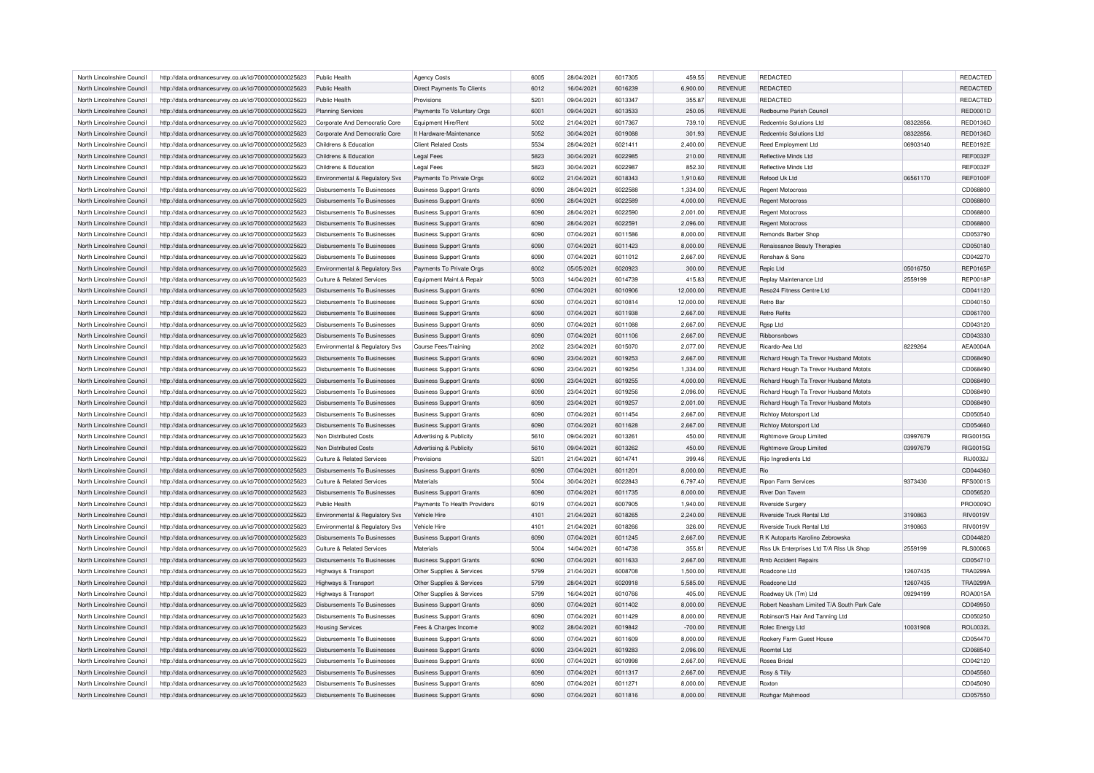| North Lincolnshire Council | http://data.ordnancesurvey.co.uk/id/7000000000025623 | Public Health                         | <b>Agency Costs</b>                | 6005 | 28/04/2021 | 6017305 | 459.55    | <b>REVENUE</b> | <b>REDACTED</b>                            |          | REDACTED        |
|----------------------------|------------------------------------------------------|---------------------------------------|------------------------------------|------|------------|---------|-----------|----------------|--------------------------------------------|----------|-----------------|
| North Lincolnshire Council | http://data.ordnancesurvey.co.uk/id/7000000000025623 | Public Health                         | Direct Payments To Clients         | 6012 | 16/04/2021 | 6016239 | 6,900.00  | <b>REVENUE</b> | <b>REDACTED</b>                            |          | REDACTED        |
| North Lincolnshire Council | http://data.ordnancesurvey.co.uk/id/7000000000025623 | Public Health                         | Provisions                         | 5201 | 09/04/2021 | 6013347 | 355.87    | <b>REVENUE</b> | <b>REDACTED</b>                            |          | REDACTED        |
| North Lincolnshire Council | http://data.ordnancesurvey.co.uk/id/7000000000025623 | <b>Planning Services</b>              | Payments To Voluntary Orgs         | 6001 | 09/04/2021 | 6013533 | 250.05    | <b>REVENUE</b> | Redbourne Parish Council                   |          | <b>RED0001D</b> |
| North Lincolnshire Council | http://data.ordnancesurvey.co.uk/id/7000000000025623 | Corporate And Democratic Core         | Equipment Hire/Rent                | 5002 | 21/04/2021 | 6017367 | 739.10    | <b>REVENUE</b> | Redcentric Solutions Ltd                   | 08322856 | <b>RED0136D</b> |
| North Lincolnshire Council | http://data.ordnancesurvey.co.uk/id/7000000000025623 | Corporate And Democratic Core         | It Hardware-Maintenance            | 5052 | 30/04/2021 | 6019088 | 301.93    | <b>REVENUE</b> | Redcentric Solutions Ltd                   | 08322856 | RED0136D        |
| North Lincolnshire Council | http://data.ordnancesurvey.co.uk/id/7000000000025623 | Childrens & Education                 | <b>Client Related Costs</b>        | 5534 | 28/04/2021 | 6021411 | 2,400.00  | <b>REVENUE</b> | <b>Reed Employment Ltd</b>                 | 06903140 | <b>REE0192E</b> |
| North Lincolnshire Council | http://data.ordnancesurvey.co.uk/id/7000000000025623 | Childrens & Education                 | <b>Legal Fees</b>                  | 5823 | 30/04/2021 | 6022985 | 210.00    | <b>REVENUE</b> | Reflective Minds Ltd                       |          | <b>REF0032F</b> |
| North Lincolnshire Council | http://data.ordnancesurvey.co.uk/id/7000000000025623 | Childrens & Education                 | <b>Legal Fees</b>                  | 5823 | 30/04/2021 | 6022987 | 852.30    | <b>REVENUE</b> | Reflective Minds Ltd                       |          | <b>REF0032F</b> |
| North Lincolnshire Council | http://data.ordnancesurvey.co.uk/id/7000000000025623 | Environmental & Regulatory Svs        | Payments To Private Orgs           | 6002 | 21/04/2021 | 6018343 | 1,910.60  | <b>REVENUE</b> | Refood Uk Ltd                              | 06561170 | REF0100F        |
| North Lincolnshire Council | http://data.ordnancesurvey.co.uk/id/7000000000025623 | Disbursements To Businesses           | <b>Business Support Grants</b>     | 6090 | 28/04/2021 | 6022588 | 1,334.00  | <b>REVENUE</b> | <b>Regent Motocross</b>                    |          | CD068800        |
| North Lincolnshire Council | http://data.ordnancesurvey.co.uk/id/7000000000025623 | Disbursements To Businesses           | <b>Business Support Grants</b>     | 6090 | 28/04/2021 | 6022589 | 4,000.00  | <b>REVENUE</b> | <b>Regent Motocross</b>                    |          | CD068800        |
| North Lincolnshire Council | http://data.ordnancesurvey.co.uk/id/7000000000025623 | Disbursements To Businesses           | <b>Business Support Grants</b>     | 6090 | 28/04/2021 | 6022590 | 2,001.00  | <b>REVENUE</b> | <b>Regent Motocross</b>                    |          | CD068800        |
| North Lincolnshire Council | http://data.ordnancesurvey.co.uk/id/7000000000025623 | Disbursements To Businesses           | <b>Business Support Grants</b>     | 6090 | 28/04/2021 | 6022591 | 2.096.00  | <b>REVENUE</b> | <b>Regent Motocross</b>                    |          | CD068800        |
|                            |                                                      |                                       |                                    |      |            |         |           |                |                                            |          |                 |
| North Lincolnshire Council | http://data.ordnancesurvey.co.uk/id/7000000000025623 | Disbursements To Businesses           | <b>Business Support Grants</b>     | 6090 | 07/04/2021 | 6011586 | 8,000.00  | <b>REVENUE</b> | Remonds Barber Shop                        |          | CD053790        |
| North Lincolnshire Council | http://data.ordnancesurvey.co.uk/id/7000000000025623 | <b>Disbursements To Businesses</b>    | <b>Business Support Grants</b>     | 6090 | 07/04/2021 | 6011423 | 8,000.00  | <b>REVENUE</b> | Renaissance Beauty Therapies               |          | CD050180        |
| North Lincolnshire Council | http://data.ordnancesurvey.co.uk/id/7000000000025623 | Disbursements To Businesses           | <b>Business Support Grants</b>     | 6090 | 07/04/2021 | 6011012 | 2,667.00  | <b>REVENUE</b> | Renshaw & Sons                             |          | CD042270        |
| North Lincolnshire Council | http://data.ordnancesurvey.co.uk/id/7000000000025623 | Environmental & Regulatory Svs        | Payments To Private Orgs           | 6002 | 05/05/2021 | 6020923 | 300.00    | <b>REVENUE</b> | Repic Ltd                                  | 05016750 | <b>REP0165P</b> |
| North Lincolnshire Council | http://data.ordnancesurvey.co.uk/id/7000000000025623 | <b>Culture &amp; Related Services</b> | Equipment Maint.& Repair           | 5003 | 14/04/2021 | 6014739 | 415.83    | <b>REVENUE</b> | Replay Maintenance Ltd                     | 2559199  | <b>REP0018P</b> |
| North Lincolnshire Council | http://data.ordnancesurvey.co.uk/id/7000000000025623 | Disbursements To Businesses           | <b>Business Support Grants</b>     | 6090 | 07/04/2021 | 6010906 | 12,000.00 | <b>REVENUE</b> | <b>Beso24 Fitness Centre Ltd</b>           |          | CD041120        |
| North Lincolnshire Council | http://data.ordnancesurvey.co.uk/id/7000000000025623 | Disbursements To Businesses           | <b>Business Support Grants</b>     | 6090 | 07/04/2021 | 6010814 | 12,000.00 | <b>REVENUE</b> | Retro Bar                                  |          | CD040150        |
| North Lincolnshire Council | http://data.ordnancesurvey.co.uk/id/7000000000025623 | <b>Disbursements To Businesses</b>    | <b>Business Support Grants</b>     | 6090 | 07/04/2021 | 6011938 | 2,667.00  | <b>REVENUE</b> | <b>Retro Refits</b>                        |          | CD061700        |
| North Lincolnshire Council | http://data.ordnancesurvey.co.uk/id/7000000000025623 | Disbursements To Businesses           | <b>Business Support Grants</b>     | 6090 | 07/04/2021 | 6011088 | 2,667.00  | REVENUE        | Rgsp Ltd                                   |          | CD043120        |
| North Lincolnshire Council | http://data.ordnancesurvey.co.uk/id/7000000000025623 | Disbursements To Businesses           | <b>Business Support Grants</b>     | 6090 | 07/04/2021 | 6011106 | 2,667.00  | <b>REVENUE</b> | Ribbonsnbows                               |          | CD043330        |
| North Lincolnshire Council | http://data.ordnancesurvey.co.uk/id/7000000000025623 | Environmental & Regulatory Svs        | <b>Course Fees/Training</b>        | 2002 | 23/04/2021 | 6015070 | 2,077.00  | <b>REVENUE</b> | Ricardo-Aea I to                           | 8229264  | <b>AEA0004A</b> |
| North Lincolnshire Council | http://data.ordnancesurvey.co.uk/id/7000000000025623 | Disbursements To Businesses           | <b>Business Support Grants</b>     | 6090 | 23/04/2021 | 6019253 | 2,667.00  | <b>REVENUE</b> | Richard Hough Ta Trevor Husband Motots     |          | CD068490        |
| North Lincolnshire Council | http://data.ordnancesurvey.co.uk/id/7000000000025623 | Disbursements To Businesses           | <b>Business Support Grants</b>     | 6090 | 23/04/2021 | 6019254 | 1,334.00  | <b>REVENUE</b> | Richard Hough Ta Trevor Husband Motots     |          | CD068490        |
| North Lincolnshire Council | http://data.ordnancesurvey.co.uk/id/7000000000025623 | <b>Disbursements To Businesses</b>    | <b>Business Support Grants</b>     | 6090 | 23/04/2021 | 6019255 | 4,000.00  | <b>REVENUE</b> | Richard Hough Ta Trevor Husband Motots     |          | CD068490        |
| North Lincolnshire Council | http://data.ordnancesurvey.co.uk/id/7000000000025623 | Disbursements To Businesses           | <b>Business Support Grants</b>     | 6090 | 23/04/2021 | 6019256 | 2,096.00  | <b>REVENUE</b> | Richard Hough Ta Trevor Husband Motots     |          | CD068490        |
| North Lincolnshire Council | http://data.ordnancesurvey.co.uk/id/7000000000025623 | Disbursements To Businesses           | <b>Business Support Grants</b>     | 6090 | 23/04/2021 | 6019257 | 2,001.00  | <b>REVENUE</b> | Richard Hough Ta Trevor Husband Motots     |          | CD068490        |
| North Lincolnshire Council | http://data.ordnancesurvey.co.uk/id/7000000000025623 | <b>Disbursements To Businesses</b>    | <b>Business Support Grants</b>     | 6090 | 07/04/2021 | 6011454 | 2,667.00  | <b>REVENUE</b> | <b>Richtoy Motorsport Ltd</b>              |          | CD050540        |
| North Lincolnshire Council | http://data.ordnancesurvey.co.uk/id/7000000000025623 | Disbursements To Businesses           | <b>Business Support Grants</b>     | 6090 | 07/04/2021 | 6011628 | 2,667.00  | <b>REVENUE</b> | <b>Richtoy Motorsport Ltd</b>              |          | CD054660        |
| North Lincolnshire Council | http://data.ordnancesurvey.co.uk/id/7000000000025623 | Non Distributed Costs                 | Advertising & Publicity            | 5610 | 09/04/2021 | 6013261 | 450.00    | <b>REVENUE</b> | <b>Rightmove Group Limited</b>             | 03997679 | RIG0015G        |
| North Lincolnshire Council | http://data.ordnancesurvey.co.uk/id/7000000000025623 | Non Distributed Costs                 | <b>Advertising &amp; Publicity</b> | 5610 | 09/04/2021 | 6013262 | 450.00    | <b>REVENUE</b> | <b>Rightmove Group Limited</b>             | 03997679 | RIG0015G        |
| North Lincolnshire Council | http://data.ordnancesurvey.co.uk/id/7000000000025623 | Culture & Related Services            | Provisions                         | 5201 | 21/04/2021 | 6014741 | 399.46    | <b>REVENUE</b> | Rijo Ingredients Ltd                       |          | RIJ0032J        |
|                            |                                                      |                                       |                                    |      |            |         |           |                |                                            |          |                 |
| North Lincolnshire Council | http://data.ordnancesurvey.co.uk/id/7000000000025623 | Disbursements To Businesses           | <b>Business Support Grants</b>     | 6090 | 07/04/2021 | 6011201 | 8,000.00  | <b>REVENUE</b> | Rio                                        |          | CD044360        |
| North Lincolnshire Council | http://data.ordnancesurvey.co.uk/id/7000000000025623 | Culture & Related Services            | Materials                          | 5004 | 30/04/2021 | 6022843 | 6,797.40  | <b>REVENUE</b> | <b>Ripon Farm Services</b>                 | 9373430  | <b>RFS0001S</b> |
| North Lincolnshire Council | http://data.ordnancesurvey.co.uk/id/7000000000025623 | Disbursements To Businesses           | <b>Business Support Grants</b>     | 6090 | 07/04/2021 | 6011735 | 8,000.00  | <b>REVENUE</b> | <b>River Don Tavern</b>                    |          | CD056520        |
| North Lincolnshire Council | http://data.ordnancesurvey.co.uk/id/7000000000025623 | Public Health                         | Payments To Health Providers       | 6019 | 07/04/2021 | 6007905 | 1,940.00  | <b>REVENUE</b> | Riverside Surgery                          |          | PRO0009C        |
| North Lincolnshire Council | http://data.ordnancesurvey.co.uk/id/7000000000025623 | Environmental & Regulatory Svs        | Vehicle Hire                       | 4101 | 21/04/2021 | 6018265 | 2,240.00  | <b>REVENUE</b> | Riverside Truck Rental Ltd                 | 3190863  | <b>RIV0019V</b> |
| North Lincolnshire Council | http://data.ordnancesurvey.co.uk/id/7000000000025623 | Environmental & Regulatory Svs        | Vehicle Hire                       | 4101 | 21/04/2021 | 6018266 | 326.00    | <b>REVENUE</b> | Riverside Truck Rental I td                | 3190863  | RIV0019V        |
| North Lincolnshire Council | http://data.ordnancesurvey.co.uk/id/7000000000025623 | <b>Disbursements To Businesses</b>    | <b>Business Support Grants</b>     | 6090 | 07/04/2021 | 6011245 | 2,667.00  | <b>REVENUE</b> | R K Autoparts Karolino Zebrowska           |          | CD044820        |
| North Lincolnshire Council | http://data.ordnancesurvey.co.uk/id/7000000000025623 | <b>Culture &amp; Related Services</b> | Materials                          | 5004 | 14/04/2021 | 6014738 | 355.81    | <b>REVENUE</b> | Riss Uk Enterprises Ltd T/A Riss Uk Shop   | 2559199  | <b>RLS0006S</b> |
| North Lincolnshire Council | http://data.ordnancesurvey.co.uk/id/7000000000025623 | Disbursements To Businesses           | <b>Business Support Grants</b>     | 6090 | 07/04/2021 | 6011633 | 2,667.00  | <b>REVENUE</b> | <b>Rmb Accident Repairs</b>                |          | CD054710        |
| North Lincolnshire Council | http://data.ordnancesurvey.co.uk/id/7000000000025623 | Highways & Transport                  | Other Supplies & Services          | 5799 | 21/04/2021 | 6008708 | 1,500.00  | <b>REVENUE</b> | Roadcone Ltd                               | 12607435 | <b>TRA0299A</b> |
| North Lincolnshire Council | http://data.ordnancesurvey.co.uk/id/7000000000025623 | Highways & Transport                  | Other Supplies & Services          | 5799 | 28/04/2021 | 6020918 | 5,585.00  | <b>REVENUE</b> | Roadcone Ltd                               | 12607435 | <b>TRA0299A</b> |
| North Lincolnshire Council | http://data.ordnancesurvey.co.uk/id/7000000000025623 | Highways & Transport                  | Other Supplies & Services          | 5799 | 16/04/2021 | 6010766 | 405.00    | <b>REVENUE</b> | Roadway Uk (Tm) Ltd                        | 09294199 | ROA0015A        |
| North Lincolnshire Council | http://data.ordnancesurvey.co.uk/id/7000000000025623 | Disbursements To Businesses           | <b>Business Support Grants</b>     | 6090 | 07/04/2021 | 6011402 | 8,000.00  | REVENUE        | Robert Neasham Limited T/A South Park Cafe |          | CD049950        |
| North Lincolnshire Council | http://data.ordnancesurvey.co.uk/id/7000000000025623 | Disbursements To Businesses           | <b>Business Support Grants</b>     | 6090 | 07/04/2021 | 6011429 | 8,000.00  | <b>REVENUE</b> | Robinson'S Hair And Tanning Ltd            |          | CD050250        |
| North Lincolnshire Council | http://data.ordnancesurvey.co.uk/id/7000000000025623 | <b>Housing Services</b>               | Fees & Charges Income              | 9002 | 28/04/2021 | 6019842 | $-700.00$ | <b>REVENUE</b> | Rolec Energy Ltd                           | 10031908 | <b>ROL0032L</b> |
| North Lincolnshire Council | http://data.ordnancesurvey.co.uk/id/7000000000025623 | Disbursements To Businesses           | <b>Business Support Grants</b>     | 6090 | 07/04/2021 | 6011609 | 8,000.00  | <b>REVENUE</b> | Rookery Farm Guest House                   |          | CD054470        |
| North Lincolnshire Council | http://data.ordnancesurvey.co.uk/id/7000000000025623 | <b>Disbursements To Businesses</b>    | <b>Business Support Grants</b>     | 6090 | 23/04/2021 | 6019283 | 2,096.00  | <b>REVENUE</b> | Roomtel I td                               |          | CD068540        |
| North Lincolnshire Council | http://data.ordnancesurvey.co.uk/id/7000000000025623 | Disbursements To Businesses           | <b>Business Support Grants</b>     | 6090 | 07/04/2021 | 6010998 | 2,667.00  | <b>REVENUE</b> | Rosea Bridal                               |          | CD042120        |
| North Lincolnshire Council | http://data.ordnancesurvey.co.uk/id/7000000000025623 | Disbursements To Businesses           | <b>Business Support Grants</b>     | 6090 | 07/04/2021 | 6011317 | 2,667.00  | REVENUE        | Rosy & Tilly                               |          | CD045560        |
| North Lincolnshire Council |                                                      |                                       |                                    | 6090 | 07/04/2021 | 6011271 |           | <b>REVENUE</b> | Roxton                                     |          | CD045090        |
|                            | http://data.ordnancesurvey.co.uk/id/7000000000025623 | Disbursements To Businesses           | <b>Business Support Grants</b>     |      |            |         | 8,000.00  |                |                                            |          |                 |
| North Lincolnshire Council | http://data.ordnancesurvey.co.uk/id/7000000000025623 | Disbursements To Businesses           | <b>Business Support Grants</b>     | 6090 | 07/04/2021 | 6011816 | 8.000.00  | <b>REVENUE</b> | Rozhgar Mahmood                            |          | CD057550        |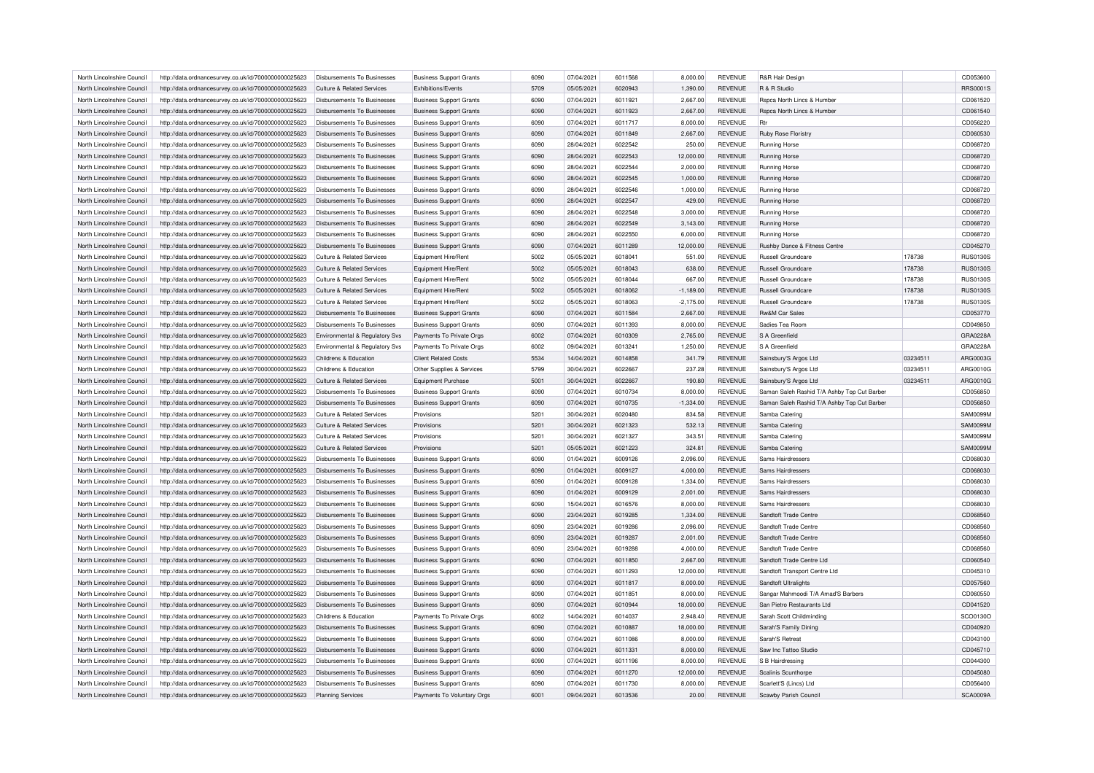| North Lincolnshire Council                               | http://data.ordnancesurvey.co.uk/id/7000000000025623 | Disbursements To Businesses                                | <b>Business Support Grants</b> | 6090 | 07/04/2021 | 6011568 | 8,000.00    | <b>REVENUE</b> | R&R Hair Design                             |          | CD053600        |
|----------------------------------------------------------|------------------------------------------------------|------------------------------------------------------------|--------------------------------|------|------------|---------|-------------|----------------|---------------------------------------------|----------|-----------------|
| North Lincolnshire Council                               | http://data.ordnancesurvey.co.uk/id/7000000000025623 | Culture & Related Services                                 | <b>Exhibitions/Fvents</b>      | 5709 | 05/05/2021 | 6020943 | 1,390.00    | <b>REVENUE</b> | <b>B &amp; B Studio</b>                     |          | <b>RRS0001S</b> |
| North Lincolnshire Council                               | http://data.ordnancesurvey.co.uk/id/7000000000025623 | Disbursements To Businesses                                | <b>Business Support Grants</b> | 6090 | 07/04/2021 | 601192  | 2,667.00    | REVENUE        | Rspca North Lincs & Humber                  |          | CD061520        |
| North Lincolnshire Council                               | http://data.ordnancesurvey.co.uk/id/7000000000025623 | Disbursements To Businesses                                | <b>Business Support Grants</b> | 6090 | 07/04/2021 | 6011923 | 2,667.00    | <b>REVENUE</b> | Rspca North Lincs & Humber                  |          | CD061540        |
| North Lincolnshire Council                               | http://data.ordnancesurvey.co.uk/id/7000000000025623 | Disbursements To Businesses                                | <b>Business Support Grants</b> | 6090 | 07/04/2021 | 6011717 | 8,000.00    | <b>REVENUE</b> | <b>Rtr</b>                                  |          | CD056220        |
| North Lincolnshire Council                               | http://data.ordnancesurvey.co.uk/id/7000000000025623 | Disbursements To Businesses                                | <b>Business Support Grants</b> | 6090 | 07/04/2021 | 6011849 | 2,667.00    | <b>REVENUE</b> | Ruby Rose Floristry                         |          | CD060530        |
| North Lincolnshire Council                               | http://data.ordnancesurvey.co.uk/id/7000000000025623 | Disbursements To Businesses                                | <b>Business Support Grants</b> | 6090 | 28/04/2021 | 6022542 | 250.00      | REVENUE        | Running Horse                               |          | CD068720        |
| North Lincolnshire Council                               | http://data.ordnancesurvey.co.uk/id/7000000000025623 | <b>Disbursements To Businesses</b>                         | <b>Business Support Grants</b> | 6090 | 28/04/2021 | 6022543 | 12,000.00   | <b>REVENUE</b> | Running Horse                               |          | CD068720        |
| North Lincolnshire Council                               | http://data.ordnancesurvey.co.uk/id/7000000000025623 | Disbursements To Businesses                                | <b>Business Support Grants</b> | 6090 | 28/04/2021 | 6022544 | 2,000.00    | <b>REVENUE</b> | Running Horse                               |          | CD068720        |
|                                                          |                                                      |                                                            |                                | 6090 | 28/04/2021 | 6022545 |             | <b>REVENUE</b> |                                             |          | CD068720        |
| North Lincolnshire Council<br>North Lincolnshire Council | http://data.ordnancesurvey.co.uk/id/7000000000025623 | Disbursements To Businesses<br>Disbursements To Businesses | <b>Business Support Grants</b> | 6090 |            | 6022546 | 1,000.00    | <b>REVENUE</b> | <b>Running Horse</b>                        |          |                 |
|                                                          | http://data.ordnancesurvey.co.uk/id/7000000000025623 |                                                            | <b>Business Support Grants</b> |      | 28/04/2021 |         | 1,000.00    |                | <b>Running Horse</b>                        |          | CD068720        |
| North Lincolnshire Council                               | http://data.ordnancesurvey.co.uk/id/7000000000025623 | Disbursements To Businesses                                | <b>Business Support Grants</b> | 6090 | 28/04/2021 | 6022547 | 429.00      | <b>REVENUE</b> | Running Horse                               |          | CD068720        |
| North Lincolnshire Council                               | http://data.ordnancesurvey.co.uk/id/7000000000025623 | Disbursements To Businesses                                | <b>Business Support Grants</b> | 6090 | 28/04/2021 | 6022548 | 3,000.00    | REVENUE        | <b>Running Horse</b>                        |          | CD068720        |
| North Lincolnshire Council                               | http://data.ordnancesurvey.co.uk/id/7000000000025623 | Disbursements To Businesses                                | <b>Business Support Grants</b> | 6090 | 28/04/2021 | 6022549 | 3,143.00    | <b>REVENUE</b> | <b>Running Horse</b>                        |          | CD068720        |
| North Lincolnshire Council                               | http://data.ordnancesurvey.co.uk/id/7000000000025623 | Disbursements To Businesses                                | <b>Business Support Grants</b> | 6090 | 28/04/2021 | 6022550 | 6,000.00    | <b>REVENUE</b> | <b>Running Horse</b>                        |          | CD068720        |
| North Lincolnshire Council                               | http://data.ordnancesurvey.co.uk/id/7000000000025623 | <b>Disbursements To Businesses</b>                         | <b>Business Support Grants</b> | 6090 | 07/04/2021 | 6011289 | 12,000.00   | <b>REVENUE</b> | Rushby Dance & Fitness Centre               |          | CD045270        |
| North Lincolnshire Council                               | http://data.ordnancesurvey.co.uk/id/7000000000025623 | Culture & Related Services                                 | Equipment Hire/Rent            | 5002 | 05/05/2021 | 6018041 | 551.00      | <b>REVENUE</b> | Russell Groundcare                          | 178738   | <b>RUS0130S</b> |
| North Lincolnshire Council                               | http://data.ordnancesurvey.co.uk/id/7000000000025623 | <b>Culture &amp; Related Services</b>                      | Equipment Hire/Rent            | 5002 | 05/05/2021 | 6018043 | 638.00      | <b>REVENUE</b> | <b>Russell Groundcare</b>                   | 178738   | RUS01305        |
| North Lincolnshire Council                               | http://data.ordnancesurvey.co.uk/id/7000000000025623 | <b>Culture &amp; Related Services</b>                      | Equipment Hire/Rent            | 5002 | 05/05/2021 | 6018044 | 667.00      | <b>REVENUE</b> | <b>Russell Groundcare</b>                   | 178738   | <b>RUS0130S</b> |
| North Lincolnshire Council                               | http://data.ordnancesurvey.co.uk/id/7000000000025623 | Culture & Related Services                                 | Equipment Hire/Rent            | 5002 | 05/05/2021 | 6018062 | $-1,189.00$ | <b>REVENUE</b> | Russell Groundcare                          | 178738   | <b>RUS0130S</b> |
| North Lincolnshire Council                               | http://data.ordnancesurvey.co.uk/id/7000000000025623 | Culture & Related Services                                 | <b>Equipment Hire/Rent</b>     | 5002 | 05/05/2021 | 6018063 | $-2,175.00$ | <b>REVENUE</b> | <b>Russell Groundcare</b>                   | 178738   | <b>RUS01305</b> |
| North Lincolnshire Council                               | http://data.ordnancesurvey.co.uk/id/7000000000025623 | <b>Disbursements To Businesses</b>                         | <b>Business Support Grants</b> | 6090 | 07/04/2021 | 6011584 | 2,667.00    | <b>REVENUE</b> | <b>Rw&amp;M Car Sales</b>                   |          | CD053770        |
| North Lincolnshire Council                               | http://data.ordnancesurvey.co.uk/id/7000000000025623 | <b>Disbursements To Businesses</b>                         | <b>Business Support Grants</b> | 6090 | 07/04/2021 | 6011393 | 8,000.00    | <b>REVENUE</b> | Sadies Tea Room                             |          | CD049850        |
| North Lincolnshire Council                               | http://data.ordnancesurvey.co.uk/id/7000000000025623 | Environmental & Regulatory Svs                             | Payments To Private Orgs       | 6002 | 07/04/2021 | 6010309 | 2,765.00    | <b>REVENUE</b> | S A Greenfield                              |          | GRA0228A        |
| North Lincolnshire Council                               | http://data.ordnancesurvey.co.uk/id/7000000000025623 | Environmental & Regulatory Svs                             | Payments To Private Orgs       | 6002 | 09/04/2021 | 6013241 | 1,250.00    | <b>REVENUE</b> | S A Greenfield                              |          | GRA0228A        |
|                                                          |                                                      |                                                            |                                |      |            | 6014858 |             |                |                                             |          |                 |
| North Lincolnshire Council                               | http://data.ordnancesurvey.co.uk/id/7000000000025623 | Childrens & Education                                      | <b>Client Related Costs</b>    | 5534 | 14/04/2021 |         | 341.79      | <b>REVENUE</b> | Sainsbury'S Argos Ltd                       | 03234511 | ARG0003G        |
| North Lincolnshire Council                               | http://data.ordnancesurvey.co.uk/id/7000000000025623 | Childrens & Education                                      | Other Supplies & Services      | 5799 | 30/04/2021 | 6022667 | 237.28      | REVENUE        | Sainsbury'S Argos Ltd                       | 03234511 | ARG0010G        |
| North Lincolnshire Council                               | http://data.ordnancesurvey.co.uk/id/7000000000025623 | <b>Culture &amp; Related Services</b>                      | <b>Equipment Purchase</b>      | 5001 | 30/04/2021 | 6022667 | 190.80      | <b>REVENUE</b> | Sainsbury'S Argos Ltd                       | 03234511 | ARG0010G        |
| North Lincolnshire Council                               | http://data.ordnancesurvey.co.uk/id/7000000000025623 | Disbursements To Businesses                                | <b>Business Support Grants</b> | 6090 | 07/04/2021 | 6010734 | 8,000.00    | <b>REVENUE</b> | Saman Saleh Rashid T/A Ashby Top Cut Barber |          | CD056850        |
| North Lincolnshire Council                               | http://data.ordnancesurvey.co.uk/id/7000000000025623 | Disbursements To Businesses                                | <b>Business Support Grants</b> | 6090 | 07/04/2021 | 6010735 | $-1,334.00$ | <b>REVENUE</b> | Saman Saleh Rashid T/A Ashby Top Cut Barber |          | CD056850        |
| North Lincolnshire Council                               | http://data.ordnancesurvey.co.uk/id/7000000000025623 | Culture & Related Services                                 | Provisions                     | 5201 | 30/04/2021 | 6020480 | 834.58      | REVENUE        | Samba Catering                              |          | SAM0099M        |
| North Lincolnshire Council                               | http://data.ordnancesurvey.co.uk/id/7000000000025623 | Culture & Related Services                                 | Provisions                     | 5201 | 30/04/2021 | 6021323 | 532.13      | <b>REVENUE</b> | Samba Catering                              |          | <b>SAM0099M</b> |
| North Lincolnshire Council                               | http://data.ordnancesurvey.co.uk/id/7000000000025623 | Culture & Related Services                                 | Provisions                     | 5201 | 30/04/2021 | 6021327 | 343.51      | <b>REVENUE</b> | Samba Catering                              |          | <b>SAM0099N</b> |
| North Lincolnshire Council                               | http://data.ordnancesurvey.co.uk/id/7000000000025623 | Culture & Related Services                                 | Provisions                     | 5201 | 05/05/2021 | 6021223 | 324.81      | <b>REVENUE</b> | Samba Catering                              |          | <b>SAM0099M</b> |
| North Lincolnshire Council                               | http://data.ordnancesurvey.co.uk/id/7000000000025623 | Disbursements To Businesses                                | <b>Business Support Grants</b> | 6090 | 01/04/2021 | 6009126 | 2,096.00    | <b>REVENUE</b> | Sams Hairdressers                           |          | CD068030        |
| North Lincolnshire Council                               | http://data.ordnancesurvey.co.uk/id/7000000000025623 | Disbursements To Businesses                                | <b>Business Support Grants</b> | 6090 | 01/04/2021 | 6009127 | 4,000.00    | <b>REVENUE</b> | Sams Hairdressers                           |          | CD068030        |
| North Lincolnshire Council                               | http://data.ordnancesurvey.co.uk/id/7000000000025623 | Disbursements To Businesses                                | <b>Business Support Grants</b> | 6090 | 01/04/2021 | 6009128 | 1,334.00    | <b>REVENUE</b> | Sams Hairdressers                           |          | CD068030        |
| North Lincolnshire Council                               | http://data.ordnancesurvey.co.uk/id/7000000000025623 | Disbursements To Businesses                                | <b>Business Support Grants</b> | 6090 | 01/04/2021 | 6009129 | 2,001.00    | <b>REVENUE</b> | Sams Hairdressers                           |          | CD068030        |
| North Lincolnshire Council                               | http://data.ordnancesurvey.co.uk/id/7000000000025623 | Disbursements To Businesses                                | <b>Business Support Grants</b> | 6090 | 15/04/2021 | 6016576 | 8,000.00    | <b>REVENUE</b> | Sams Hairdressers                           |          | CD068030        |
|                                                          |                                                      |                                                            |                                |      |            |         |             |                |                                             |          | CD068560        |
| North Lincolnshire Council                               | http://data.ordnancesurvey.co.uk/id/7000000000025623 | <b>Disbursements To Businesses</b>                         | <b>Business Support Grants</b> | 6090 | 23/04/2021 | 6019285 | 1,334.00    | <b>REVENUE</b> | Sandtoft Trade Centre                       |          |                 |
| North Lincolnshire Council                               | http://data.ordnancesurvey.co.uk/id/7000000000025623 | Disbursements To Businesses                                | <b>Business Support Grants</b> | 6090 | 23/04/2021 | 6019286 | 2,096.00    | <b>REVENUE</b> | Sandtoft Trade Centre                       |          | CD068560        |
| North Lincolnshire Council                               | http://data.ordnancesurvey.co.uk/id/7000000000025623 | <b>Disbursements To Businesses</b>                         | <b>Business Support Grants</b> | 6090 | 23/04/2021 | 6019287 | 2,001.00    | <b>REVENUE</b> | Sandtoft Trade Centre                       |          | CD068560        |
| North Lincolnshire Council                               | http://data.ordnancesurvey.co.uk/id/7000000000025623 | Disbursements To Businesses                                | <b>Business Support Grants</b> | 6090 | 23/04/2021 | 6019288 | 4,000.00    | <b>REVENUE</b> | Sandtoft Trade Centre                       |          | CD068560        |
| North Lincolnshire Council                               | http://data.ordnancesurvey.co.uk/id/7000000000025623 | Disbursements To Businesses                                | <b>Business Support Grants</b> | 6090 | 07/04/2021 | 6011850 | 2,667.00    | <b>REVENUE</b> | Sandtoft Trade Centre Ltd                   |          | CD060540        |
| North Lincolnshire Council                               | http://data.ordnancesurvey.co.uk/id/7000000000025623 | Disbursements To Businesses                                | <b>Business Support Grants</b> | 6090 | 07/04/2021 | 6011293 | 12,000.00   | <b>REVENUE</b> | Sandtoft Transport Centre Ltd               |          | CD045310        |
| North Lincolnshire Council                               | http://data.ordnancesurvey.co.uk/id/7000000000025623 | <b>Disbursements To Businesses</b>                         | <b>Business Support Grants</b> | 6090 | 07/04/2021 | 6011817 | 8,000.00    | <b>REVENUE</b> | Sandtoft Ultralights                        |          | CD057560        |
| North Lincolnshire Council                               | http://data.ordnancesurvey.co.uk/id/7000000000025623 | <b>Disbursements To Businesses</b>                         | <b>Business Support Grants</b> | 6090 | 07/04/2021 | 6011851 | 8,000.00    | <b>REVENUE</b> | Sangar Mahmoodi T/A Amad'S Barbers          |          | CD060550        |
| North Lincolnshire Council                               | http://data.ordnancesurvey.co.uk/id/7000000000025623 | Disbursements To Businesses                                | <b>Business Support Grants</b> | 6090 | 07/04/2021 | 6010944 | 18,000.00   | <b>REVENUE</b> | San Pietro Restaurants Ltd                  |          | CD041520        |
| North Lincolnshire Council                               | http://data.ordnancesurvey.co.uk/id/7000000000025623 | Childrens & Education                                      | Payments To Private Orgs       | 6002 | 14/04/2021 | 6014037 | 2,948.40    | <b>REVENUE</b> | Sarah Scott Childminding                    |          | SCO0130O        |
| North Lincolnshire Council                               | http://data.ordnancesurvey.co.uk/id/7000000000025623 | Disbursements To Businesses                                | <b>Business Support Grants</b> | 6090 | 07/04/2021 | 6010887 | 18,000.00   | <b>REVENUE</b> | Sarah'S Family Dining                       |          | CD040920        |
| North Lincolnshire Council                               | http://data.ordnancesurvey.co.uk/id/7000000000025623 | Disbursements To Businesses                                | <b>Business Support Grants</b> | 6090 | 07/04/2021 | 6011086 | 8,000.00    | <b>REVENUE</b> | Sarah'S Retreat                             |          | CD043100        |
| North Lincolnshire Council                               | http://data.ordnancesurvey.co.uk/id/7000000000025623 | <b>Disbursements To Businesses</b>                         | <b>Business Support Grants</b> | 6090 | 07/04/2021 | 6011331 | 8,000.00    | <b>REVENUE</b> | Saw Inc Tattoo Studio                       |          | CD045710        |
| North Lincolnshire Council                               | http://data.ordnancesurvey.co.uk/id/7000000000025623 | Disbursements To Businesses                                | <b>Business Support Grants</b> | 6090 | 07/04/2021 | 6011196 | 8,000.00    | REVENUE        | S B Hairdressing                            |          | CD044300        |
| North Lincolnshire Council                               | http://data.ordnancesurvey.co.uk/id/7000000000025623 | Disbursements To Businesses                                | <b>Business Support Grants</b> | 6090 | 07/04/2021 | 6011270 | 12,000.00   | <b>REVENUE</b> | Scalinis Scunthorpe                         |          | CD045080        |
| North Lincolnshire Council                               | http://data.ordnancesurvey.co.uk/id/7000000000025623 | Disbursements To Businesses                                | <b>Business Support Grants</b> | 6090 | 07/04/2021 | 6011730 | 8.000.00    | REVENUE        | Scarlett'S (Lincs) Ltd                      |          | CD056400        |
| North Lincolnshire Council                               |                                                      |                                                            |                                | 6001 | 09/04/2021 | 6013536 | 20.00       | <b>REVENUE</b> | Scawby Parish Council                       |          | <b>SCA0009A</b> |
|                                                          | http://data.ordnancesurvey.co.uk/id/7000000000025623 | <b>Planning Services</b>                                   | Payments To Voluntary Orgs     |      |            |         |             |                |                                             |          |                 |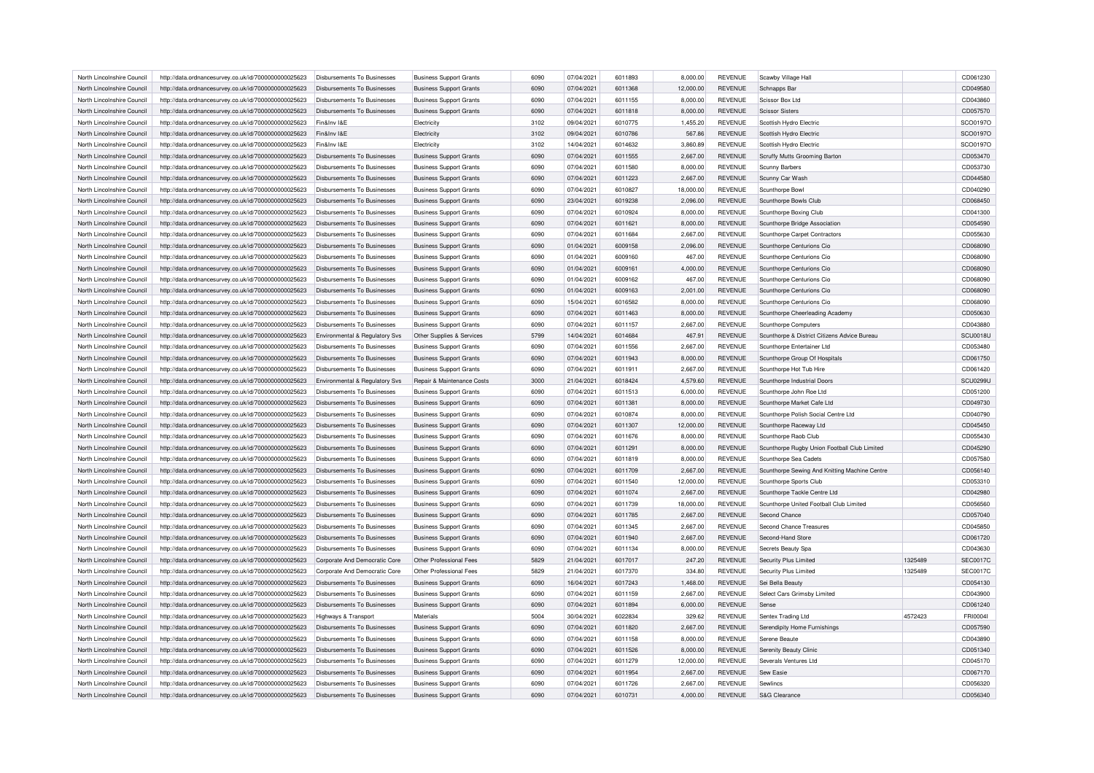| North Lincolnshire Council | http://data.ordnancesurvey.co.uk/id/7000000000025623 | Disbursements To Businesses        | <b>Business Support Grants</b> | 6090 | 07/04/2021 | 6011893 | 8,000.00  | <b>REVENUE</b> | Scawby Village Hall                           |         | CD061230        |
|----------------------------|------------------------------------------------------|------------------------------------|--------------------------------|------|------------|---------|-----------|----------------|-----------------------------------------------|---------|-----------------|
| North Lincolnshire Council | http://data.ordnancesurvey.co.uk/id/7000000000025623 | Disbursements To Businesses        | <b>Business Support Grants</b> | 6090 | 07/04/2021 | 6011368 | 12,000.00 | <b>REVENUE</b> | Schnapps Bar                                  |         | CD049580        |
| North Lincolnshire Council | http://data.ordnancesurvey.co.uk/id/7000000000025623 | Disbursements To Businesses        | <b>Business Support Grants</b> | 6090 | 07/04/2021 | 6011155 | 8,000.00  | <b>REVENUE</b> | Scissor Box Ltd                               |         | CD043860        |
| North Lincolnshire Council | http://data.ordnancesurvey.co.uk/id/7000000000025623 | Disbursements To Businesses        | <b>Business Support Grants</b> | 6090 | 07/04/2021 | 6011818 | 8,000.00  | <b>REVENUE</b> | <b>Scissor Sisters</b>                        |         | CD057570        |
| North Lincolnshire Council | http://data.ordnancesurvey.co.uk/id/7000000000025623 | Fin&Inv I&E                        | Flectricity                    | 3102 | 09/04/2021 | 6010775 | 1,455.20  | <b>REVENUE</b> | Scottish Hydro Electric                       |         | SCO0197O        |
| North Lincolnshire Council | http://data.ordnancesurvey.co.uk/id/7000000000025623 | Fin&Inv I&E                        | Electricity                    | 3102 | 09/04/2021 | 6010786 | 567.86    | <b>REVENUE</b> | Scottish Hydro Electric                       |         | SCO0197O        |
| North Lincolnshire Council | http://data.ordnancesurvey.co.uk/id/7000000000025623 | Fin&Inv I&E                        | Electricity                    | 3102 | 14/04/2021 | 6014632 | 3,860.89  | <b>REVENUE</b> | Scottish Hydro Electric                       |         | SCO0197O        |
| North Lincolnshire Council | http://data.ordnancesurvey.co.uk/id/7000000000025623 | Disbursements To Businesses        | <b>Business Support Grants</b> | 6090 | 07/04/2021 | 6011555 | 2.667.00  | <b>REVENUE</b> | Scruffy Mutts Grooming Barton                 |         | CD053470        |
| North Lincolnshire Council | http://data.ordnancesurvey.co.uk/id/7000000000025623 | Disbursements To Businesses        | <b>Business Support Grants</b> | 6090 | 07/04/2021 | 6011580 | 8,000.00  | <b>REVENUE</b> | Scunny Barbers                                |         | CD053730        |
| North Lincolnshire Council | http://data.ordnancesurvey.co.uk/id/7000000000025623 | <b>Disbursements To Businesses</b> | <b>Business Support Grants</b> | 6090 | 07/04/2021 | 6011223 | 2,667.00  | <b>REVENUE</b> | Scunny Car Wash                               |         | CD044580        |
| North Lincolnshire Council | http://data.ordnancesurvey.co.uk/id/7000000000025623 | Disbursements To Businesses        | <b>Business Support Grants</b> | 6090 | 07/04/2021 | 6010827 | 18,000.00 | <b>REVENUE</b> | Scunthorpe Bowl                               |         | CD040290        |
| North Lincolnshire Council | http://data.ordnancesurvey.co.uk/id/7000000000025623 | Disbursements To Businesses        | <b>Business Support Grants</b> | 6090 | 23/04/2021 | 6019238 | 2,096.00  | <b>REVENUE</b> | Scunthorpe Bowls Club                         |         | CD068450        |
| North Lincolnshire Council | http://data.ordnancesurvey.co.uk/id/7000000000025623 | Disbursements To Businesses        |                                | 6090 | 07/04/2021 | 6010924 | 8,000.00  | <b>REVENUE</b> |                                               |         | CD041300        |
|                            |                                                      |                                    | <b>Business Support Grants</b> |      |            |         |           |                | Scunthorpe Boxing Club                        |         |                 |
| North Lincolnshire Council | http://data.ordnancesurvey.co.uk/id/7000000000025623 | <b>Disbursements To Businesses</b> | <b>Business Support Grants</b> | 6090 | 07/04/2021 | 6011621 | 8,000.00  | <b>REVENUE</b> | Scunthorpe Bridge Association                 |         | CD054590        |
| North Lincolnshire Council | http://data.ordnancesurvey.co.uk/id/7000000000025623 | Disbursements To Businesses        | <b>Business Support Grants</b> | 6090 | 07/04/2021 | 6011684 | 2,667.00  | REVENUE        | Scunthorpe Carpet Contractors                 |         | CD055630        |
| North Lincolnshire Council | http://data.ordnancesurvey.co.uk/id/7000000000025623 | <b>Disbursements To Businesses</b> | <b>Business Support Grants</b> | 6090 | 01/04/2021 | 6009158 | 2,096.00  | REVENUE        | Scunthorpe Centurions Cio                     |         | CD068090        |
| North Lincolnshire Council | http://data.ordnancesurvey.co.uk/id/7000000000025623 | <b>Disbursements To Businesses</b> | <b>Business Support Grants</b> | 6090 | 01/04/2021 | 6009160 | 467.00    | <b>REVENUE</b> | Scunthorpe Centurions Cio                     |         | CD068090        |
| North Lincolnshire Council | http://data.ordnancesurvey.co.uk/id/7000000000025623 | <b>Disbursements To Businesses</b> | <b>Business Support Grants</b> | 6090 | 01/04/2021 | 6009161 | 4,000.00  | <b>REVENUE</b> | Scunthorpe Centurions Cio                     |         | CD068090        |
| North Lincolnshire Council | http://data.ordnancesurvey.co.uk/id/7000000000025623 | Disbursements To Businesses        | <b>Business Support Grants</b> | 6090 | 01/04/2021 | 6009162 | 467.00    | <b>REVENUE</b> | Scunthorpe Centurions Cio                     |         | CD068090        |
| North Lincolnshire Council | http://data.ordnancesurvey.co.uk/id/7000000000025623 | Disbursements To Businesses        | <b>Business Support Grants</b> | 6090 | 01/04/2021 | 6009163 | 2.001.00  | <b>REVENUE</b> | Scunthorne Centurions Cio                     |         | CD068090        |
| North Lincolnshire Council | http://data.ordnancesurvey.co.uk/id/7000000000025623 | Disbursements To Businesses        | <b>Business Support Grants</b> | 6090 | 15/04/2021 | 6016582 | 8,000.00  | <b>REVENUE</b> | Scunthorpe Centurions Cio                     |         | CD068090        |
| North Lincolnshire Council | http://data.ordnancesurvey.co.uk/id/7000000000025623 | Disbursements To Businesses        | <b>Business Support Grants</b> | 6090 | 07/04/2021 | 6011463 | 8,000.00  | <b>REVENUE</b> | Scunthorpe Cheerleading Academy               |         | CD050630        |
| North Lincolnshire Council | http://data.ordnancesurvey.co.uk/id/7000000000025623 | <b>Disbursements To Businesses</b> | <b>Business Support Grants</b> | 6090 | 07/04/2021 | 6011157 | 2,667.00  | <b>REVENUE</b> | Scunthorne Computers                          |         | CD043880        |
| North Lincolnshire Council | http://data.ordnancesurvey.co.uk/id/7000000000025623 | Environmental & Regulatory Svs     | Other Supplies & Services      | 5799 | 14/04/2021 | 6014684 | 467.91    | <b>REVENUE</b> | Scunthorpe & District Citizens Advice Bureau  |         | <b>SCU0018U</b> |
| North Lincolnshire Council | http://data.ordnancesurvey.co.uk/id/7000000000025623 | <b>Disbursements To Businesses</b> | <b>Business Support Grants</b> | 6090 | 07/04/2021 | 6011556 | 2,667.00  | <b>REVENUE</b> | Scunthorpe Entertainer Ltd                    |         | CD053480        |
| North Lincolnshire Council | http://data.ordnancesurvey.co.uk/id/7000000000025623 | <b>Disbursements To Businesses</b> | <b>Business Support Grants</b> | 6090 | 07/04/2021 | 6011943 | 8,000.00  | <b>REVENUE</b> | Scunthorpe Group Of Hospitals                 |         | CD061750        |
| North Lincolnshire Council | http://data.ordnancesurvey.co.uk/id/7000000000025623 | Disbursements To Businesses        | <b>Business Support Grants</b> | 6090 | 07/04/2021 | 6011911 | 2,667.00  | <b>REVENUE</b> | Scunthorpe Hot Tub Hire                       |         | CD061420        |
| North Lincolnshire Council | http://data.ordnancesurvey.co.uk/id/7000000000025623 | Environmental & Regulatory Svs     | Repair & Maintenance Costs     | 3000 | 21/04/2021 | 6018424 | 4,579.60  | <b>REVENUE</b> | Scunthorpe Industrial Doors                   |         | <b>SCU0299L</b> |
| North Lincolnshire Council | http://data.ordnancesurvey.co.uk/id/7000000000025623 | <b>Disbursements To Businesses</b> | <b>Business Support Grants</b> | 6090 | 07/04/2021 | 6011513 | 6,000.00  | <b>REVENUE</b> | Scunthorpe John Roe Ltd                       |         | CD051200        |
| North Lincolnshire Council | http://data.ordnancesurvey.co.uk/id/7000000000025623 | Disbursements To Businesses        | <b>Business Support Grants</b> | 6090 | 07/04/2021 | 6011381 | 8,000.00  | <b>REVENUE</b> | Scunthorpe Market Cafe Ltd                    |         | CD049730        |
| North Lincolnshire Council | http://data.ordnancesurvey.co.uk/id/7000000000025623 | Disbursements To Businesses        | <b>Business Support Grants</b> | 6090 | 07/04/2021 | 6010874 | 8,000.00  | <b>REVENUE</b> | Scunthorpe Polish Social Centre Ltd           |         | CD040790        |
| North Lincolnshire Council | http://data.ordnancesurvey.co.uk/id/7000000000025623 | <b>Disbursements To Businesses</b> | <b>Business Support Grants</b> | 6090 | 07/04/2021 | 6011307 | 12,000.00 | <b>REVENUE</b> | Scunthorpe Raceway Ltd                        |         | CD045450        |
| North Lincolnshire Council | http://data.ordnancesurvey.co.uk/id/7000000000025623 | Disbursements To Businesses        | <b>Business Support Grants</b> | 6090 | 07/04/2021 | 6011676 | 8,000.00  | <b>REVENUE</b> | Scunthorpe Raob Club                          |         | CD055430        |
|                            |                                                      |                                    |                                |      |            |         |           |                |                                               |         |                 |
| North Lincolnshire Council | http://data.ordnancesurvey.co.uk/id/7000000000025623 | Disbursements To Businesses        | <b>Business Support Grants</b> | 6090 | 07/04/2021 | 6011291 | 8,000.00  | <b>REVENUE</b> | Scunthorpe Rugby Union Football Club Limited  |         | CD045290        |
| North Lincolnshire Council | http://data.ordnancesurvey.co.uk/id/7000000000025623 | Disbursements To Businesses        | <b>Business Support Grants</b> | 6090 | 07/04/2021 | 6011819 | 8,000.00  | <b>REVENUE</b> | Scunthorpe Sea Cadets                         |         | CD057580        |
| North Lincolnshire Council | http://data.ordnancesurvey.co.uk/id/7000000000025623 | Disbursements To Businesses        | <b>Business Support Grants</b> | 6090 | 07/04/2021 | 6011709 | 2,667.00  | <b>REVENUE</b> | Scunthorpe Sewing And Knitting Machine Centre |         | CD056140        |
| North Lincolnshire Council | http://data.ordnancesurvey.co.uk/id/7000000000025623 | Disbursements To Businesses        | <b>Business Support Grants</b> | 6090 | 07/04/2021 | 6011540 | 12,000.00 | REVENUE        | Scunthorpe Sports Club                        |         | CD053310        |
| North Lincolnshire Council | http://data.ordnancesurvey.co.uk/id/7000000000025623 | <b>Disbursements To Businesses</b> | <b>Business Support Grants</b> | 6090 | 07/04/2021 | 6011074 | 2,667.00  | <b>REVENUE</b> | Scunthorpe Tackle Centre Ltd                  |         | CD042980        |
| North Lincolnshire Council | http://data.ordnancesurvey.co.uk/id/7000000000025623 | Disbursements To Businesses        | <b>Business Support Grants</b> | 6090 | 07/04/2021 | 6011739 | 18,000.00 | <b>REVENUE</b> | Scunthorpe United Football Club Limited       |         | CD056560        |
| North Lincolnshire Council | http://data.ordnancesurvey.co.uk/id/7000000000025623 | <b>Disbursements To Businesses</b> | <b>Business Support Grants</b> | 6090 | 07/04/2021 | 6011785 | 2,667.00  | <b>REVENUE</b> | Second Chance                                 |         | CD057040        |
| North Lincolnshire Council | http://data.ordnancesurvey.co.uk/id/7000000000025623 | Disbursements To Businesses        | <b>Business Support Grants</b> | 6090 | 07/04/2021 | 6011345 | 2,667.00  | <b>REVENUE</b> | Second Chance Treasures                       |         | CD045850        |
| North Lincolnshire Council | http://data.ordnancesurvey.co.uk/id/7000000000025623 | Disbursements To Businesses        | <b>Business Support Grants</b> | 6090 | 07/04/2021 | 6011940 | 2,667.00  | <b>REVENUE</b> | Second-Hand Store                             |         | CD061720        |
| North Lincolnshire Council | http://data.ordnancesurvey.co.uk/id/7000000000025623 | Disbursements To Businesses        | <b>Business Support Grants</b> | 6090 | 07/04/2021 | 6011134 | 8,000.00  | <b>REVENUE</b> | Secrets Beauty Spa                            |         | CD043630        |
| North Lincolnshire Council | http://data.ordnancesurvey.co.uk/id/7000000000025623 | Corporate And Democratic Core      | Other Professional Fees        | 5829 | 21/04/2021 | 6017017 | 247.20    | <b>REVENUE</b> | Security Plus Limited                         | 1325489 | <b>SEC0017C</b> |
| North Lincolnshire Council | http://data.ordnancesurvey.co.uk/id/7000000000025623 | Corporate And Democratic Core      | Other Professional Fees        | 5829 | 21/04/2021 | 6017370 | 334.80    | <b>REVENUE</b> | Security Plus Limited                         | 1325489 | <b>SEC0017C</b> |
| North Lincolnshire Council | http://data.ordnancesurvey.co.uk/id/7000000000025623 | Disbursements To Businesses        | <b>Business Support Grants</b> | 6090 | 16/04/2021 | 6017243 | 1,468.00  | REVENUE        | Sei Bella Beauty                              |         | CD054130        |
| North Lincolnshire Council | http://data.ordnancesurvey.co.uk/id/7000000000025623 | <b>Disbursements To Businesses</b> | <b>Business Support Grants</b> | 6090 | 07/04/2021 | 6011159 | 2,667.00  | <b>REVENUE</b> | Select Cars Grimsby Limited                   |         | CD043900        |
| North Lincolnshire Council | http://data.ordnancesurvey.co.uk/id/7000000000025623 | Disbursements To Businesses        | <b>Business Support Grants</b> | 6090 | 07/04/2021 | 6011894 | 6,000.00  | <b>REVENUE</b> | Sense                                         |         | CD061240        |
| North Lincolnshire Council | http://data.ordnancesurvey.co.uk/id/7000000000025623 | Highways & Transport               | Materials                      | 5004 | 30/04/2021 | 6022834 | 329.62    | REVENUE        | Sentex Trading Ltd                            | 4572423 | FRI00041        |
| North Lincolnshire Council | http://data.ordnancesurvey.co.uk/id/7000000000025623 | Disbursements To Businesses        | <b>Business Support Grants</b> | 6090 | 07/04/2021 | 6011820 | 2,667.00  | <b>REVENUE</b> | Serendipity Home Furnishings                  |         | CD057590        |
| North Lincolnshire Council | http://data.ordnancesurvey.co.uk/id/7000000000025623 | Disbursements To Businesses        | <b>Business Support Grants</b> | 6090 | 07/04/2021 | 6011158 | 8.000.00  | <b>REVENUE</b> | Serene Beaute                                 |         | CD043890        |
| North Lincolnshire Council | http://data.ordnancesurvey.co.uk/id/7000000000025623 | Disbursements To Businesses        | <b>Business Support Grants</b> | 6090 | 07/04/2021 | 6011526 | 8,000.00  | <b>REVENUE</b> | Serenity Beauty Clinic                        |         | CD051340        |
| North Lincolnshire Council | http://data.ordnancesurvey.co.uk/id/7000000000025623 | Disbursements To Businesses        |                                | 6090 | 07/04/2021 | 6011279 | 12,000.00 | <b>REVENUE</b> | Severals Ventures Ltd                         |         | CD045170        |
| North Lincolnshire Council |                                                      | <b>Disbursements To Businesses</b> | <b>Business Support Grants</b> | 6090 | 07/04/2021 | 6011954 | 2.667.00  | <b>REVENUE</b> | Sew Easie                                     |         | CD067170        |
|                            | http://data.ordnancesurvey.co.uk/id/7000000000025623 |                                    | <b>Business Support Grants</b> |      |            |         |           |                |                                               |         |                 |
| North Lincolnshire Council | http://data.ordnancesurvey.co.uk/id/7000000000025623 | Disbursements To Businesses        | <b>Business Support Grants</b> | 6090 | 07/04/2021 | 6011726 | 2,667.00  | <b>REVENUE</b> | Sewlincs                                      |         | CD056320        |
| North Lincolnshire Council | http://data.ordnancesurvey.co.uk/id/7000000000025623 | Disbursements To Businesses        | <b>Business Support Grants</b> | 6090 | 07/04/2021 | 6010731 | 4,000.00  | <b>REVENUE</b> | S&G Clearance                                 |         | CD056340        |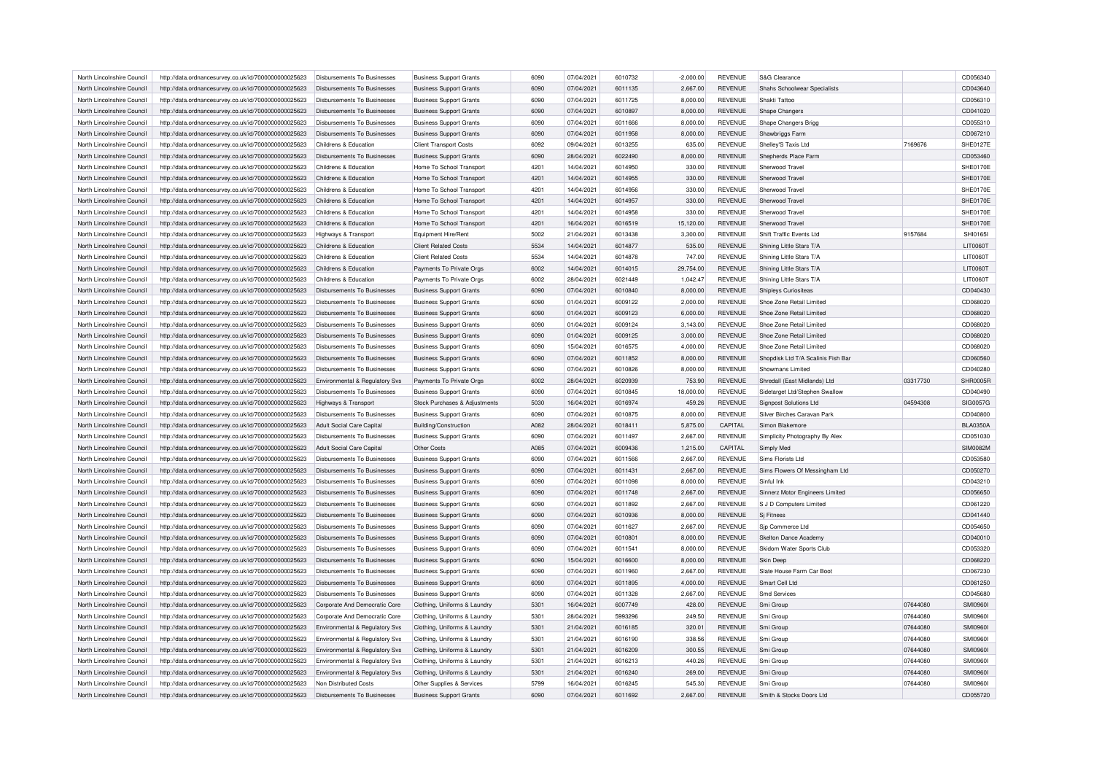| North Lincolnshire Council | http://data.ordnancesurvey.co.uk/id/7000000000025623                                                         | Disbursements To Businesses        | <b>Business Support Grants</b> | 6090 | 07/04/2021 | 6010732 | $-2,000.00$ | <b>REVENUE</b> | S&G Clearance                      |          | CD056340        |
|----------------------------|--------------------------------------------------------------------------------------------------------------|------------------------------------|--------------------------------|------|------------|---------|-------------|----------------|------------------------------------|----------|-----------------|
| North Lincolnshire Council | http://data.ordnancesurvey.co.uk/id/7000000000025623                                                         | Disbursements To Businesses        | <b>Business Support Grants</b> | 6090 | 07/04/2021 | 6011135 | 2,667.00    | <b>REVENUE</b> | Shahs Schoolwear Specialists       |          | CD043640        |
| North Lincolnshire Council | http://data.ordnancesurvey.co.uk/id/7000000000025623                                                         | Disbursements To Businesses        | <b>Business Support Grants</b> | 6090 | 07/04/2021 | 6011725 | 8,000.00    | <b>REVENUE</b> | Shakti Tattoo                      |          | CD056310        |
| North Lincolnshire Council | http://data.ordnancesurvey.co.uk/id/7000000000025623                                                         | Disbursements To Businesses        | <b>Business Support Grants</b> | 6090 | 07/04/2021 | 6010897 | 8,000.00    | <b>REVENUE</b> | Shape Changers                     |          | CD041020        |
| North Lincolnshire Council | http://data.ordnancesurvey.co.uk/id/7000000000025623                                                         | Disbursements To Businesses        | <b>Business Support Grants</b> | 6090 | 07/04/2021 | 6011666 | 8,000.00    | <b>REVENUE</b> | Shape Changers Brigg               |          | CD055310        |
| North Lincolnshire Council | http://data.ordnancesurvey.co.uk/id/7000000000025623                                                         | Disbursements To Businesses        | <b>Business Support Grants</b> | 6090 | 07/04/2021 | 6011958 | 8,000.00    | <b>REVENUE</b> | Shawbriggs Farm                    |          | CD067210        |
| North Lincolnshire Council | http://data.ordnancesurvey.co.uk/id/7000000000025623                                                         | Childrens & Education              | <b>Client Transport Costs</b>  | 6092 | 09/04/2021 | 6013255 | 635.00      | <b>REVENUE</b> | Shelley'S Taxis Ltd                | 7169676  | <b>SHE0127E</b> |
| North Lincolnshire Council | http://data.ordnancesurvey.co.uk/id/7000000000025623                                                         | Disbursements To Businesses        | <b>Business Support Grants</b> | 6090 | 28/04/2021 | 6022490 | 8.000.00    | <b>REVENUE</b> | Shepherds Place Farm               |          | CD053460        |
| North Lincolnshire Council | http://data.ordnancesurvey.co.uk/id/7000000000025623                                                         | Childrens & Education              | Home To School Transport       | 4201 | 14/04/2021 | 6014950 | 330.00      | <b>REVENUE</b> | Sherwood Travel                    |          | SHE0170E        |
| North Lincolnshire Council | http://data.ordnancesurvey.co.uk/id/7000000000025623                                                         | Childrens & Education              | Home To School Transport       | 4201 | 14/04/2021 | 6014955 | 330.00      | <b>REVENUE</b> | Sherwood Travel                    |          | SHE0170E        |
| North Lincolnshire Council | http://data.ordnancesurvey.co.uk/id/7000000000025623                                                         | Childrens & Education              | Home To School Transport       | 4201 | 14/04/2021 | 6014956 | 330.00      | <b>REVENUE</b> | Sherwood Travel                    |          | SHE0170E        |
| North Lincolnshire Council | http://data.ordnancesurvey.co.uk/id/7000000000025623                                                         | Childrens & Education              | Home To School Transport       | 4201 | 14/04/2021 | 6014957 | 330.00      | <b>REVENUE</b> | Sherwood Travel                    |          | SHE0170E        |
| North Lincolnshire Council | http://data.ordnancesurvey.co.uk/id/7000000000025623                                                         | Childrens & Education              | Home To School Transport       | 4201 | 14/04/2021 | 6014958 | 330.00      | <b>REVENUE</b> | Sherwood Travel                    |          | SHE0170E        |
| North Lincolnshire Council | http://data.ordnancesurvey.co.uk/id/7000000000025623                                                         | Childrens & Education              | Home To School Transport       | 4201 | 16/04/2021 | 6016519 | 15,120.00   | <b>REVENUE</b> | Sherwood Travel                    |          | SHE0170E        |
| North Lincolnshire Council | http://data.ordnancesurvey.co.uk/id/7000000000025623                                                         | Highways & Transport               | Equipment Hire/Rent            | 5002 | 21/04/2021 | 6013438 | 3,300.00    | <b>REVENUE</b> | Shift Traffic Events Ltd           | 9157684  | SHI01651        |
| North Lincolnshire Council | http://data.ordnancesurvey.co.uk/id/7000000000025623                                                         | Childrens & Education              | <b>Client Related Costs</b>    | 5534 | 14/04/2021 | 6014877 | 535.00      | <b>REVENUE</b> | Shining Little Stars T/A           |          | LIT0060T        |
| North Lincolnshire Council | http://data.ordnancesurvey.co.uk/id/7000000000025623                                                         | Childrens & Education              | <b>Client Related Costs</b>    | 5534 | 14/04/2021 | 6014878 | 747.00      | <b>REVENUE</b> | Shining Little Stars T/A           |          | LIT0060T        |
| North Lincolnshire Council | http://data.ordnancesurvey.co.uk/id/7000000000025623                                                         | Childrens & Education              | Payments To Private Orgs       | 6002 | 14/04/2021 | 6014015 | 29,754.00   | <b>REVENUE</b> | Shining Little Stars T/A           |          | LIT0060T        |
| North Lincolnshire Council |                                                                                                              | Childrens & Education              | Payments To Private Orgs       | 6002 | 28/04/2021 | 6021449 | 1,042.47    | REVENUE        | Shining Little Stars T/A           |          | <b>LIT0060T</b> |
| North Lincolnshire Council | http://data.ordnancesurvey.co.uk/id/7000000000025623<br>http://data.ordnancesurvey.co.uk/id/7000000000025623 | Disbursements To Businesses        | <b>Business Support Grants</b> | 6090 | 07/04/2021 | 6010840 | 8.000.00    | <b>REVENUE</b> | Shipleys Curiositeas               |          | CD040430        |
|                            |                                                                                                              |                                    |                                | 6090 |            | 6009122 |             | <b>REVENUE</b> |                                    |          | CD068020        |
| North Lincolnshire Council | http://data.ordnancesurvey.co.uk/id/7000000000025623                                                         | Disbursements To Businesses        | <b>Business Support Grants</b> |      | 01/04/2021 |         | 2,000.00    |                | Shoe Zone Retail Limited           |          |                 |
| North Lincolnshire Council | http://data.ordnancesurvey.co.uk/id/7000000000025623                                                         | Disbursements To Businesses        | <b>Business Support Grants</b> | 6090 | 01/04/2021 | 6009123 | 6,000.00    | <b>REVENUE</b> | Shoe Zone Retail Limited           |          | CD068020        |
| North Lincolnshire Council | http://data.ordnancesurvey.co.uk/id/7000000000025623                                                         | Disbursements To Businesses        | <b>Business Support Grants</b> | 6090 | 01/04/2021 | 6009124 | 3,143.00    | REVENUE        | Shoe Zone Retail Limited           |          | CD068020        |
| North Lincolnshire Council | http://data.ordnancesurvey.co.uk/id/7000000000025623                                                         | <b>Disbursements To Businesses</b> | <b>Business Support Grants</b> | 6090 | 01/04/2021 | 6009125 | 3,000.00    | <b>REVENUE</b> | Shoe Zone Retail Limited           |          | CD068020        |
| North Lincolnshire Council | http://data.ordnancesurvey.co.uk/id/7000000000025623                                                         | Disbursements To Businesses        | <b>Business Support Grants</b> | 6090 | 15/04/2021 | 6016575 | 4,000.00    | REVENUE        | Shoe Zone Retail Limited           |          | CD068020        |
| North Lincolnshire Council | http://data.ordnancesurvey.co.uk/id/7000000000025623                                                         | <b>Disbursements To Businesses</b> | <b>Business Support Grants</b> | 6090 | 07/04/2021 | 6011852 | 8,000.00    | <b>REVENUE</b> | Shopdisk Ltd T/A Scalinis Fish Bar |          | CD060560        |
| North Lincolnshire Council | http://data.ordnancesurvey.co.uk/id/7000000000025623                                                         | Disbursements To Businesses        | <b>Business Support Grants</b> | 6090 | 07/04/2021 | 6010826 | 8,000.00    | <b>REVENUE</b> | Showmans Limited                   |          | CD040280        |
| North Lincolnshire Council | http://data.ordnancesurvey.co.uk/id/7000000000025623                                                         | Environmental & Regulatory Svs     | Payments To Private Orgs       | 6002 | 28/04/2021 | 6020939 | 753.90      | <b>REVENUE</b> | Shredall (East Midlands) Ltd       | 03317730 | SHR0005F        |
| North Lincolnshire Council | http://data.ordnancesurvey.co.uk/id/7000000000025623                                                         | Disbursements To Businesses        | <b>Business Support Grants</b> | 6090 | 07/04/2021 | 6010845 | 18,000.00   | <b>REVENUE</b> | Sidetarget Ltd/Stephen Swallow     |          | CD040490        |
| North Lincolnshire Council | http://data.ordnancesurvey.co.uk/id/7000000000025623                                                         | Highways & Transport               | Stock Purchases & Adjustments  | 5030 | 16/04/2021 | 6016974 | 459.26      | <b>REVENUE</b> | <b>Signpost Solutions Ltd</b>      | 04594308 | SIG0057G        |
| North Lincolnshire Council | http://data.ordnancesurvey.co.uk/id/7000000000025623                                                         | Disbursements To Businesses        | <b>Business Support Grants</b> | 6090 | 07/04/2021 | 6010875 | 8,000.00    | <b>REVENUE</b> | Silver Birches Caravan Park        |          | CD040800        |
| North Lincolnshire Council | http://data.ordnancesurvey.co.uk/id/7000000000025623                                                         | Adult Social Care Capital          | <b>Building/Construction</b>   | A082 | 28/04/2021 | 6018411 | 5,875.00    | CAPITAL        | Simon Blakemore                    |          | <b>BLA0350A</b> |
| North Lincolnshire Council | http://data.ordnancesurvey.co.uk/id/7000000000025623                                                         | Disbursements To Businesses        | <b>Business Support Grants</b> | 6090 | 07/04/2021 | 6011497 | 2,667.00    | <b>REVENUE</b> | Simplicity Photography By Alex     |          | CD051030        |
| North Lincolnshire Council | http://data.ordnancesurvey.co.uk/id/7000000000025623                                                         | Adult Social Care Capital          | Other Costs                    | A085 | 07/04/2021 | 6009436 | 1,215.00    | CAPITAL        | Simply Med                         |          | <b>SIM0082M</b> |
| North Lincolnshire Council | http://data.ordnancesurvey.co.uk/id/7000000000025623                                                         | Disbursements To Businesses        | <b>Business Support Grants</b> | 6090 | 07/04/2021 | 6011566 | 2,667.00    | <b>REVENUE</b> | Sims Florists Ltd                  |          | CD053580        |
| North Lincolnshire Council | http://data.ordnancesurvey.co.uk/id/7000000000025623                                                         | Disbursements To Businesses        | <b>Business Support Grants</b> | 6090 | 07/04/2021 | 6011431 | 2,667.00    | <b>REVENUE</b> | Sims Flowers Of Messingham Ltd     |          | CD050270        |
| North Lincolnshire Council | http://data.ordnancesurvey.co.uk/id/7000000000025623                                                         | Disbursements To Businesses        | <b>Business Support Grants</b> | 6090 | 07/04/2021 | 6011098 | 8,000.00    | <b>REVENUE</b> | Sinful Ink                         |          | CD043210        |
| North Lincolnshire Council | http://data.ordnancesurvey.co.uk/id/7000000000025623                                                         | <b>Disbursements To Businesses</b> | <b>Business Support Grants</b> | 6090 | 07/04/2021 | 6011748 | 2,667.00    | <b>REVENUE</b> | Sinnerz Motor Engineers Limited    |          | CD056650        |
| North Lincolnshire Council | http://data.ordnancesurvey.co.uk/id/7000000000025623                                                         | Disbursements To Businesses        | <b>Business Support Grants</b> | 6090 | 07/04/2021 | 6011892 | 2,667.00    | <b>REVENUE</b> | S J D Computers Limited            |          | CD061220        |
| North Lincolnshire Council | http://data.ordnancesurvey.co.uk/id/7000000000025623                                                         | <b>Disbursements To Businesses</b> | <b>Business Support Grants</b> | 6090 | 07/04/2021 | 6010936 | 8,000.00    | <b>REVENUE</b> | Si Fitness                         |          | CD041440        |
| North Lincolnshire Council | http://data.ordnancesurvey.co.uk/id/7000000000025623                                                         | <b>Disbursements To Businesses</b> | <b>Business Support Grants</b> | 6090 | 07/04/2021 | 6011627 | 2,667.00    | <b>REVENUE</b> | Sip Commerce Ltd                   |          | CD054650        |
| North Lincolnshire Council | http://data.ordnancesurvey.co.uk/id/7000000000025623                                                         | <b>Disbursements To Businesses</b> | <b>Business Support Grants</b> | 6090 | 07/04/2021 | 6010801 | 8,000.00    | <b>REVENUE</b> | Skelton Dance Academy              |          | CD040010        |
| North Lincolnshire Council | http://data.ordnancesurvey.co.uk/id/7000000000025623                                                         | <b>Disbursements To Businesses</b> | <b>Business Support Grants</b> | 6090 | 07/04/2021 | 6011541 | 8,000.00    | <b>REVENUE</b> | Skidom Water Sports Club           |          | CD053320        |
| North Lincolnshire Council | http://data.ordnancesurvey.co.uk/id/7000000000025623                                                         | <b>Disbursements To Businesses</b> | <b>Business Support Grants</b> | 6090 | 15/04/2021 | 6016600 | 8,000.00    | <b>REVENUE</b> | <b>Skin Deep</b>                   |          | CD068220        |
| North Lincolnshire Council | http://data.ordnancesurvey.co.uk/id/7000000000025623                                                         | Disbursements To Businesses        | <b>Business Support Grants</b> | 6090 | 07/04/2021 | 6011960 | 2,667.00    | <b>REVENUE</b> | Slate House Farm Car Boot          |          | CD067230        |
| North Lincolnshire Council | http://data.ordnancesurvey.co.uk/id/7000000000025623                                                         | Disbursements To Businesses        | <b>Business Support Grants</b> | 6090 | 07/04/2021 | 6011895 | 4,000.00    | REVENUE        | Smart Cell I td                    |          | CD061250        |
| North Lincolnshire Council | http://data.ordnancesurvey.co.uk/id/7000000000025623                                                         | Disbursements To Businesses        | <b>Business Support Grants</b> | 6090 | 07/04/2021 | 6011328 | 2,667.00    | <b>REVENUE</b> | Smd Services                       |          | CD045680        |
| North Lincolnshire Council | http://data.ordnancesurvey.co.uk/id/7000000000025623                                                         | Corporate And Democratic Core      | Clothing, Uniforms & Laundry   | 5301 | 16/04/2021 | 6007749 | 428.00      | <b>REVENUE</b> | Smi Group                          | 07644080 | <b>SMI09601</b> |
| North Lincolnshire Council | http://data.ordnancesurvey.co.uk/id/7000000000025623                                                         | Corporate And Democratic Core      | Clothing, Uniforms & Laundry   | 5301 | 28/04/2021 | 5993296 | 249.50      | REVENUE        | Smi Group                          | 07644080 | <b>SMI09601</b> |
| North Lincolnshire Council | http://data.ordnancesurvey.co.uk/id/7000000000025623                                                         | Environmental & Regulatory Svs     | Clothing, Uniforms & Laundry   | 5301 | 21/04/2021 | 6016185 | 320.01      | <b>REVENUE</b> | Smi Group                          | 07644080 | <b>SMI0960I</b> |
| North Lincolnshire Council | http://data.ordnancesurvey.co.uk/id/7000000000025623                                                         | Environmental & Regulatory Svs     | Clothing, Uniforms & Laundry   | 5301 | 21/04/2021 | 6016190 | 338.56      | <b>REVENUE</b> | Smi Group                          | 07644080 | SMI09601        |
| North Lincolnshire Council | http://data.ordnancesurvey.co.uk/id/7000000000025623                                                         | Environmental & Regulatory Svs     | Clothing, Uniforms & Laundry   | 5301 | 21/04/2021 | 6016209 | 300.55      | <b>REVENUE</b> | Smi Group                          | 07644080 | <b>SMI09601</b> |
| North Lincolnshire Council | http://data.ordnancesurvey.co.uk/id/7000000000025623                                                         | Environmental & Regulatory Svs     | Clothing, Uniforms & Laundry   | 5301 | 21/04/2021 | 6016213 | 440.26      | REVENUE        | Smi Group                          | 07644080 | <b>SMI09601</b> |
| North Lincolnshire Council | http://data.ordnancesurvey.co.uk/id/7000000000025623                                                         | Environmental & Regulatory Svs     | Clothing, Uniforms & Laundry   | 5301 | 21/04/2021 | 6016240 | 269.00      | <b>REVENUE</b> | Smi Group                          | 07644080 | <b>SMI09601</b> |
| North Lincolnshire Council |                                                                                                              | Non Distributed Costs              |                                | 5799 | 16/04/2021 | 6016245 | 545.30      | REVENUE        | Smi Group                          | 07644080 | SMI09601        |
| North Lincolnshire Council | http://data.ordnancesurvey.co.uk/id/7000000000025623<br>http://data.ordnancesurvey.co.uk/id/7000000000025623 | <b>Disbursements To Businesses</b> | Other Supplies & Services      | 6090 | 07/04/2021 | 6011692 | 2,667.00    | <b>REVENUE</b> | Smith & Stocks Doors Ltd           |          | CD055720        |
|                            |                                                                                                              |                                    | <b>Business Support Grants</b> |      |            |         |             |                |                                    |          |                 |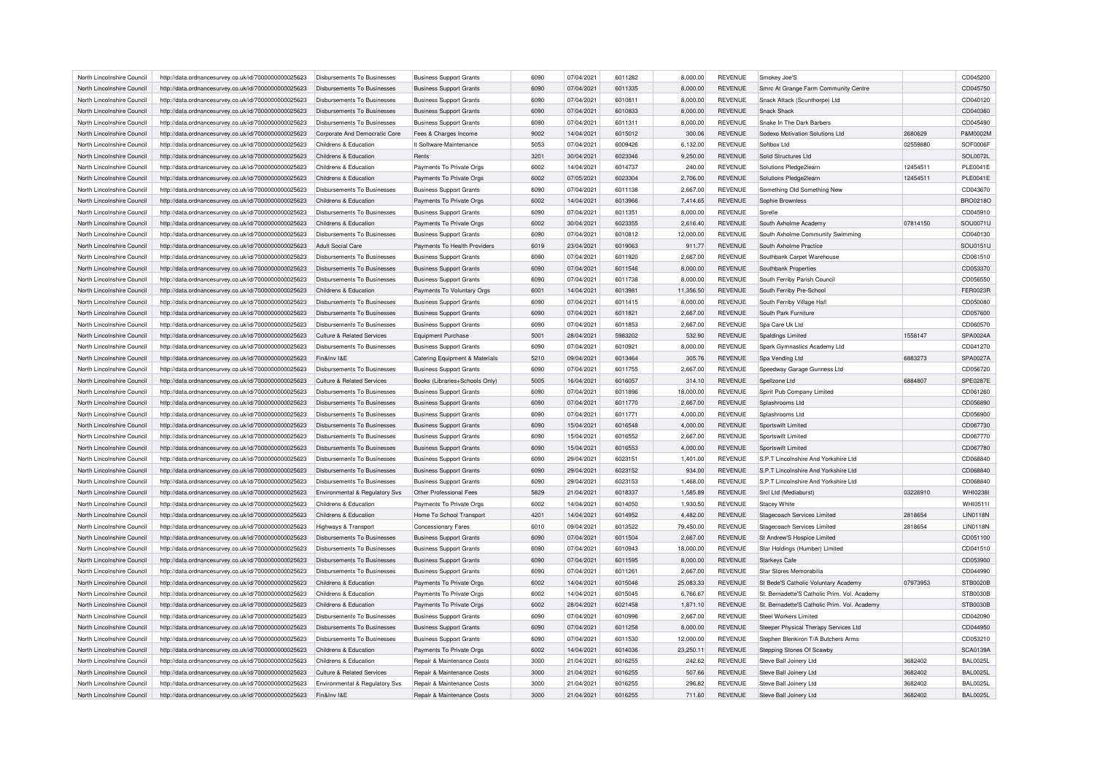| North Lincolnshire Council | http://data.ordnancesurvey.co.uk/id/7000000000025623 | Disbursements To Businesses                   | <b>Business Support Grants</b>                                      | 6090 | 07/04/2021               | 6011282            | 8,000.00  | <b>REVENUE</b>            | Smokey Joe'S                                 |          | CD045200        |
|----------------------------|------------------------------------------------------|-----------------------------------------------|---------------------------------------------------------------------|------|--------------------------|--------------------|-----------|---------------------------|----------------------------------------------|----------|-----------------|
| North Lincolnshire Council | http://data.ordnancesurvey.co.uk/id/7000000000025623 | Disbursements To Businesses                   | <b>Business Support Grants</b>                                      | 6090 | 07/04/2021               | 6011335            | 8,000.00  | <b>REVENUE</b>            | Smrc At Grange Farm Community Centre         |          | CD045750        |
| North Lincolnshire Council | http://data.ordnancesurvey.co.uk/id/7000000000025623 | Disbursements To Businesses                   | <b>Business Support Grants</b>                                      | 6090 | 07/04/2021               | 6010811            | 8,000.00  | <b>REVENUE</b>            | Snack Attack (Scunthorpe) Ltd                |          | CD040120        |
| North Lincolnshire Council | http://data.ordnancesurvey.co.uk/id/7000000000025623 | Disbursements To Businesses                   | <b>Business Support Grants</b>                                      | 6090 | 07/04/2021               | 6010833            | 8,000.00  | <b>REVENUE</b>            | Snack Shack                                  |          | CD040360        |
| North Lincolnshire Council | http://data.ordnancesurvey.co.uk/id/7000000000025623 | Disbursements To Businesses                   | <b>Business Support Grants</b>                                      | 6090 | 07/04/2021               | 6011311            | 8,000.00  | <b>REVENUE</b>            | Snake In The Dark Barbers                    |          | CD045490        |
| North Lincolnshire Council | http://data.ordnancesurvey.co.uk/id/7000000000025623 | Corporate And Democratic Core                 | Fees & Charges Income                                               | 9002 | 14/04/2021               | 6015012            | 300.06    | <b>REVENUE</b>            | Sodexo Motivation Solutions Ltd              | 2680629  | P&M0002M        |
| North Lincolnshire Council | http://data.ordnancesurvey.co.uk/id/7000000000025623 | Childrens & Education                         | It Software-Maintenance                                             | 5053 | 07/04/2021               | 6009426            | 6,132.00  | <b>REVENUE</b>            | Softbox Ltd                                  | 02559880 | SOF0006F        |
| North Lincolnshire Council | http://data.ordnancesurvey.co.uk/id/7000000000025623 | Childrens & Education                         | Rents                                                               | 3201 | 30/04/2021               | 6023346            | 9,250.00  | <b>REVENUE</b>            | Solid Structures Ltd                         |          | SOL0072L        |
| North Lincolnshire Council | http://data.ordnancesurvey.co.uk/id/7000000000025623 | Childrens & Education                         | Payments To Private Orgs                                            | 6002 | 14/04/2021               | 6014737            | 240.00    | <b>REVENUE</b>            | Solutions Pledge2learn                       | 12454511 | <b>PLE0041E</b> |
| North Lincolnshire Council | http://data.ordnancesurvey.co.uk/id/7000000000025623 | Childrens & Education                         | Payments To Private Orgs                                            | 6002 | 07/05/2021               | 6023304            | 2,706.00  | <b>REVENUE</b>            | Solutions Pledge2learn                       | 12454511 | <b>PLE0041E</b> |
| North Lincolnshire Council | http://data.ordnancesurvey.co.uk/id/7000000000025623 | Disbursements To Businesses                   | <b>Business Support Grants</b>                                      | 6090 | 07/04/2021               | 6011138            | 2.667.00  | <b>REVENUE</b>            | Something Old Something New                  |          | CD043670        |
| North Lincolnshire Council | http://data.ordnancesurvey.co.uk/id/7000000000025623 | Childrens & Education                         | Payments To Private Orgs                                            | 6002 | 14/04/2021               | 6013966            | 7.414.65  | <b>REVENUE</b>            | Sophie Brownless                             |          | BRO0218O        |
| North Lincolnshire Council | http://data.ordnancesurvey.co.uk/id/7000000000025623 | Disbursements To Businesses                   | <b>Business Support Grants</b>                                      | 6090 | 07/04/2021               | 6011351            | 8,000.00  | <b>REVENUE</b>            | Sorelle                                      |          | CD045910        |
| North Lincolnshire Council | http://data.ordnancesurvey.co.uk/id/7000000000025623 | Childrens & Education                         | Payments To Private Orgs                                            | 6002 | 30/04/2021               | 6023355            | 2,616.40  | <b>REVENUE</b>            | South Axholme Academy                        | 07814150 | SOU0071U        |
| North Lincolnshire Council | http://data.ordnancesurvey.co.uk/id/7000000000025623 | Disbursements To Businesses                   | <b>Business Support Grants</b>                                      | 6090 | 07/04/2021               | 6010812            | 12,000.00 | <b>REVENUE</b>            | South Axholme Community Swimming             |          | CD040130        |
| North Lincolnshire Council | http://data.ordnancesurvey.co.uk/id/7000000000025623 | <b>Adult Social Care</b>                      | Payments To Health Providers                                        | 6019 | 23/04/2021               | 6019063            | 911.77    | <b>REVENUE</b>            | South Axholme Practice                       |          | SOU0151U        |
| North Lincolnshire Council | http://data.ordnancesurvey.co.uk/id/7000000000025623 | <b>Disbursements To Businesses</b>            | <b>Business Support Grants</b>                                      | 6090 | 07/04/2021               | 6011920            | 2,667.00  | <b>REVENUE</b>            | Southbank Carpet Warehouse                   |          | CD061510        |
| North Lincolnshire Council | http://data.ordnancesurvey.co.uk/id/7000000000025623 | Disbursements To Businesses                   | <b>Business Support Grants</b>                                      | 6090 | 07/04/2021               | 6011546            | 8,000.00  | <b>REVENUE</b>            | Southbank Properties                         |          | CD053370        |
| North Lincolnshire Council | http://data.ordnancesurvey.co.uk/id/7000000000025623 | <b>Disbursements To Businesses</b>            | <b>Business Support Grants</b>                                      | 6090 | 07/04/2021               | 6011738            | 8,000.00  | <b>REVENUE</b>            | South Ferriby Parish Council                 |          | CD056550        |
| North Lincolnshire Council | http://data.ordnancesurvey.co.uk/id/7000000000025623 | Childrens & Education                         |                                                                     | 6001 | 14/04/2021               | 6013981            | 11,356.50 | <b>REVENUE</b>            | South Ferriby Pre-School                     |          | <b>FER0023R</b> |
|                            |                                                      |                                               | Payments To Voluntary Orgs                                          |      |                          |                    |           |                           |                                              |          |                 |
| North Lincolnshire Council | http://data.ordnancesurvey.co.uk/id/7000000000025623 | Disbursements To Businesses                   | <b>Business Support Grants</b>                                      | 6090 | 07/04/2021               | 6011415            | 8,000.00  | REVENUE                   | South Ferriby Village Hall                   |          | CD050080        |
| North Lincolnshire Council | http://data.ordnancesurvey.co.uk/id/7000000000025623 | Disbursements To Businesses                   | <b>Business Support Grants</b>                                      | 6090 | 07/04/2021               | 6011821            | 2.667.00  | <b>REVENUE</b>            | South Park Furniture                         |          | CD057600        |
| North Lincolnshire Council | http://data.ordnancesurvey.co.uk/id/7000000000025623 | Disbursements To Businesses                   | <b>Business Support Grants</b>                                      | 6090 | 07/04/2021               | 6011853            | 2,667.00  | <b>REVENUE</b>            | Spa Care Uk Ltd                              |          | CD060570        |
| North Lincolnshire Council | http://data.ordnancesurvey.co.uk/id/7000000000025623 | Culture & Related Services                    | Equipment Purchase                                                  | 5001 | 28/04/2021               | 5983202            | 532.90    | <b>REVENUE</b>            | Spaldings Limited                            | 1558147  | SPA0024A        |
| North Lincolnshire Council | http://data.ordnancesurvey.co.uk/id/7000000000025623 | <b>Disbursements To Businesses</b>            | <b>Business Support Grants</b>                                      | 6090 | 07/04/2021               | 6010921            | 8,000.00  | REVENUE                   | Spark Gymnastics Academy Ltd                 |          | CD041270        |
| North Lincolnshire Council | http://data.ordnancesurvey.co.uk/id/7000000000025623 | Fin&Inv I&E                                   | Catering Equipment & Materials                                      | 5210 | 09/04/2021               | 6013464            | 305.76    | <b>REVENUE</b>            | Spa Vending Ltd                              | 6883273  | SPA0027A        |
| North Lincolnshire Council | http://data.ordnancesurvey.co.uk/id/7000000000025623 | Disbursements To Businesses                   | <b>Business Support Grants</b>                                      | 6090 | 07/04/2021               | 6011755            | 2,667.00  | <b>REVENUE</b>            | Speedway Garage Gunness Ltd                  |          | CD056720        |
| North Lincolnshire Council | http://data.ordnancesurvey.co.uk/id/7000000000025623 | Culture & Related Services                    | Books (Libraries+Schools Only)                                      | 5005 | 16/04/2021               | 6016057            | 314.10    | <b>REVENUE</b>            | Spellzone Ltd                                | 6884807  | SPE0287E        |
| North Lincolnshire Council | http://data.ordnancesurvey.co.uk/id/7000000000025623 | Disbursements To Businesses                   | <b>Business Support Grants</b>                                      | 6090 | 07/04/2021               | 6011896            | 18,000.00 | <b>REVENUE</b>            | Spirit Pub Company Limited                   |          | CD061260        |
| North Lincolnshire Council | http://data.ordnancesurvey.co.uk/id/7000000000025623 | <b>Disbursements To Businesses</b>            | <b>Business Support Grants</b>                                      | 6090 | 07/04/2021               | 6011770            | 2,667.00  | <b>REVENUE</b>            | Splashrooms Ltd                              |          | CD056890        |
| North Lincolnshire Council | http://data.ordnancesurvey.co.uk/id/7000000000025623 | Disbursements To Businesses                   | <b>Business Support Grants</b>                                      | 6090 | 07/04/2021               | 6011771            | 4,000.00  | <b>REVENUE</b>            | Splashrooms Ltd                              |          | CD056900        |
| North Lincolnshire Council | http://data.ordnancesurvey.co.uk/id/7000000000025623 | <b>Disbursements To Businesses</b>            | <b>Business Support Grants</b>                                      | 6090 | 15/04/2021               | 6016548            | 4,000.00  | <b>REVENUE</b>            | Sportswift Limited                           |          | CD067730        |
| North Lincolnshire Council | http://data.ordnancesurvey.co.uk/id/7000000000025623 | Disbursements To Businesses                   | <b>Business Support Grants</b>                                      | 6090 | 15/04/2021               | 6016552            | 2,667.00  | <b>REVENUE</b>            | Sportswift Limited                           |          | CD067770        |
| North Lincolnshire Council | http://data.ordnancesurvey.co.uk/id/7000000000025623 | <b>Disbursements To Businesses</b>            | <b>Business Support Grants</b>                                      | 6090 | 15/04/2021               | 6016553            | 4,000.00  | <b>REVENUE</b>            | Sportswift Limited                           |          | CD067780        |
| North Lincolnshire Council | http://data.ordnancesurvey.co.uk/id/7000000000025623 | <b>Disbursements To Businesses</b>            | <b>Business Support Grants</b>                                      | 6090 | 29/04/2021               | 6023151            | 1,401.00  | <b>REVENUE</b>            | S.P.T Lincolnshire And Yorkshire Ltd         |          | CD068840        |
| North Lincolnshire Council | http://data.ordnancesurvey.co.uk/id/7000000000025623 | Disbursements To Businesses                   | <b>Business Support Grants</b>                                      | 6090 | 29/04/2021               | 6023152            | 934.00    | <b>REVENUE</b>            | S.P.T Lincolnshire And Yorkshire Ltd         |          | CD068840        |
| North Lincolnshire Council | http://data.ordnancesurvey.co.uk/id/7000000000025623 | Disbursements To Businesses                   | <b>Business Support Grants</b>                                      | 6090 | 29/04/2021               | 6023153            | 1,468.00  | <b>REVENUE</b>            | S.P.T Lincolnshire And Yorkshire Ltd         |          | CD068840        |
| North Lincolnshire Council | http://data.ordnancesurvey.co.uk/id/7000000000025623 | Environmental & Regulatory Svs                | Other Professional Fees                                             | 5829 | 21/04/2021               | 6018337            | 1,585.89  | <b>REVENUE</b>            | Srcl Ltd (Mediaburst)                        | 03226910 | WHI0238I        |
| North Lincolnshire Council | http://data.ordnancesurvey.co.uk/id/7000000000025623 | Childrens & Education                         | Payments To Private Orgs                                            | 6002 | 14/04/2021               | 6014050            | 1,930.50  | <b>REVENUE</b>            | <b>Stacey White</b>                          |          | WHI0511I        |
| North Lincolnshire Council | http://data.ordnancesurvey.co.uk/id/7000000000025623 | Childrens & Education                         | Home To School Transport                                            | 4201 | 14/04/2021               | 6014952            | 4,482.00  | <b>REVENUE</b>            | <b>Stagecoach Services Limited</b>           | 2818654  | <b>LIN0118N</b> |
| North Lincolnshire Council | http://data.ordnancesurvey.co.uk/id/7000000000025623 | Highways & Transport                          | <b>Concessionary Fares</b>                                          | 6010 | 09/04/2021               | 6013522            | 79,450.00 | <b>REVENUE</b>            | Stagecoach Services Limited                  | 2818654  | <b>LIN0118N</b> |
| North Lincolnshire Council | http://data.ordnancesurvey.co.uk/id/7000000000025623 | Disbursements To Businesses                   | <b>Business Support Grants</b>                                      | 6090 | 07/04/2021               | 6011504            | 2,667.00  | <b>REVENUE</b>            | St Andrew'S Hospice Limited                  |          | CD051100        |
| North Lincolnshire Council | http://data.ordnancesurvey.co.uk/id/7000000000025623 | Disbursements To Businesses                   | <b>Business Support Grants</b>                                      | 6090 | 07/04/2021               | 6010943            | 18,000.00 | REVENUE                   | Star Holdings (Humber) Limited               |          | CD041510        |
| North Lincolnshire Council | http://data.ordnancesurvey.co.uk/id/7000000000025623 | Disbursements To Businesses                   | <b>Business Support Grants</b>                                      | 6090 | 07/04/2021               | 6011595            | 8.000.00  | <b>REVENUE</b>            | <b>Starkeys Cafe</b>                         |          | CD053900        |
| North Lincolnshire Council | http://data.ordnancesurvey.co.uk/id/7000000000025623 | Disbursements To Businesses                   | <b>Business Support Grants</b>                                      | 6090 | 07/04/2021               | 6011261            | 2,667.00  | REVENUE                   | Star Stores Memorabilia                      |          | CD044990        |
| North Lincolnshire Council | http://data.ordnancesurvey.co.uk/id/7000000000025623 | Childrens & Education                         | Payments To Private Orgs                                            | 6002 | 14/04/2021               | 6015046            | 25,083.33 | <b>REVENUE</b>            | St Bede'S Catholic Voluntary Academy         | 07973953 | <b>STB0020B</b> |
| North Lincolnshire Council | http://data.ordnancesurvey.co.uk/id/7000000000025623 | Childrens & Education                         | Payments To Private Orgs                                            | 6002 | 14/04/2021               | 6015045            | 6,766.67  | <b>REVENUE</b>            | St. Bernadette'S Catholic Prim, Vol. Academy |          | STB0030B        |
| North Lincolnshire Council | http://data.ordnancesurvey.co.uk/id/7000000000025623 | Childrens & Education                         | Payments To Private Orgs                                            | 6002 | 28/04/2021               | 6021458            | 1,871.10  | <b>REVENUE</b>            | St. Bernadette'S Catholic Prim. Vol. Academy |          | STB0030B        |
| North Lincolnshire Council | http://data.ordnancesurvey.co.uk/id/7000000000025623 | <b>Disbursements To Businesses</b>            | <b>Business Support Grants</b>                                      | 6090 | 07/04/2021               | 6010996            | 2,667.00  | REVENUE                   | Steel Workers Limited                        |          | CD042090        |
| North Lincolnshire Council | http://data.ordnancesurvey.co.uk/id/7000000000025623 | <b>Disbursements To Businesses</b>            | <b>Business Support Grants</b>                                      | 6090 | 07/04/2021               | 6011258            | 8,000.00  | <b>REVENUE</b>            | Steeper Physical Therapy Services Ltd        |          | CD044950        |
| North Lincolnshire Council | http://data.ordnancesurvey.co.uk/id/7000000000025623 | Disbursements To Businesses                   | <b>Business Support Grants</b>                                      | 6090 | 07/04/2021               | 6011530            | 12,000.00 | <b>REVENUE</b>            | Stephen Blenkiron T/A Butchers Arms          |          | CD053210        |
| North Lincolnshire Council | http://data.ordnancesurvey.co.uk/id/7000000000025623 | Childrens & Education                         | Payments To Private Orgs                                            | 6002 | 14/04/2021               | 6014036            | 23,250.11 | <b>REVENUE</b>            | Stepping Stones Of Scawby                    |          | <b>SCA0139A</b> |
| North Lincolnshire Council | http://data.ordnancesurvey.co.uk/id/7000000000025623 | Childrens & Education                         | Repair & Maintenance Costs                                          | 3000 | 21/04/2021               | 6016255            | 242.62    | REVENUE                   | Steve Ball Joinery Ltd                       | 3682402  | <b>BAL0025L</b> |
| North Lincolnshire Council |                                                      | Culture & Related Services                    | Repair & Maintenance Costs                                          | 3000 | 21/04/2021               | 6016255            | 507.66    | <b>REVENUE</b>            |                                              | 3682402  | <b>BAL0025L</b> |
|                            | http://data.ordnancesurvey.co.uk/id/7000000000025623 |                                               |                                                                     | 3000 |                          |                    |           |                           | Steve Ball Joinery Ltd                       | 3682402  | <b>BAL0025L</b> |
| North Lincolnshire Council | http://data.ordnancesurvey.co.uk/id/7000000000025623 | Environmental & Regulatory Svs<br>Fin&Inv I&F | Repair & Maintenance Costs<br><b>Benair &amp; Maintenance Costs</b> | 3000 | 21/04/2021<br>21/04/2021 | 6016255<br>6016255 | 296.82    | REVENUE<br><b>REVENUE</b> | Steve Ball Joinery Ltd                       | 3682402  | <b>BAL0025L</b> |
| North Lincolnshire Council | http://data.ordnancesurvey.co.uk/id/7000000000025623 |                                               |                                                                     |      |                          |                    | 711.60    |                           | Steve Ball Joinery Ltd                       |          |                 |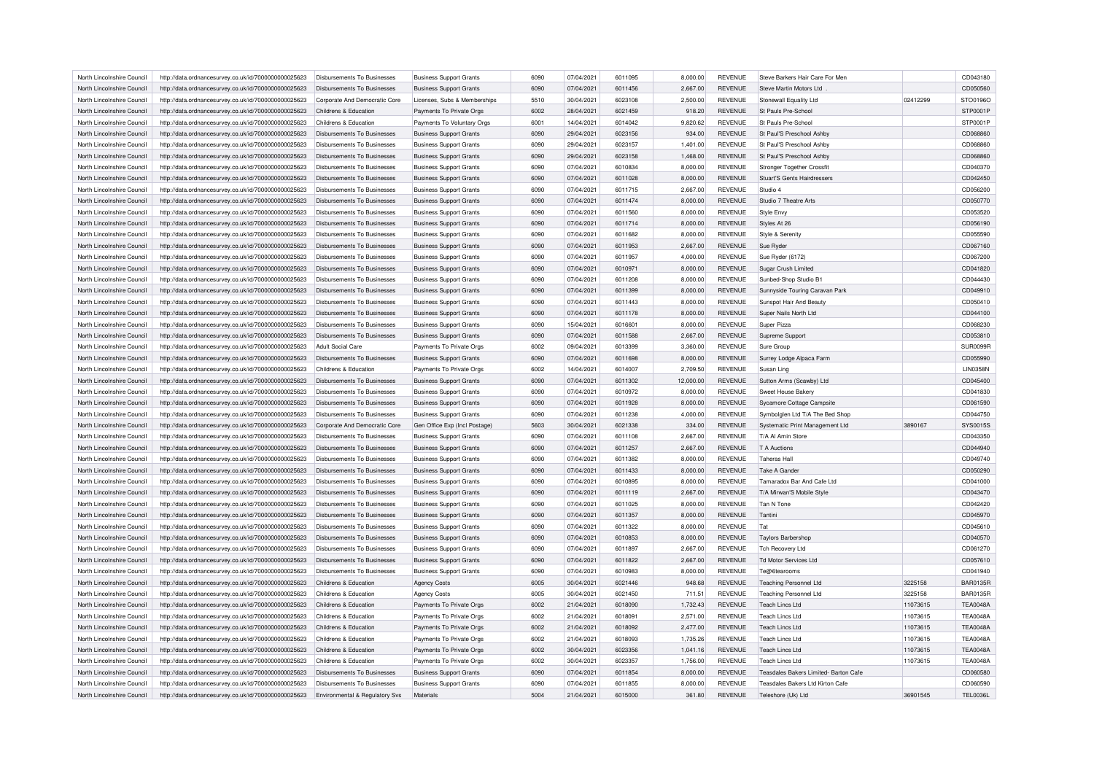| North Lincolnshire Council | http://data.ordnancesurvey.co.uk/id/7000000000025623                                                         | Disbursements To Businesses        | <b>Business Support Grants</b>                       | 6090 | 07/04/2021 | 6011095 | 8,000.00  | <b>REVENUE</b> | Steve Barkers Hair Care For Men       |          | CD043180        |
|----------------------------|--------------------------------------------------------------------------------------------------------------|------------------------------------|------------------------------------------------------|------|------------|---------|-----------|----------------|---------------------------------------|----------|-----------------|
| North Lincolnshire Council | http://data.ordnancesurvey.co.uk/id/7000000000025623                                                         | Disbursements To Businesses        | <b>Business Support Grants</b>                       | 6090 | 07/04/2021 | 6011456 | 2,667.00  | <b>REVENUE</b> | Steve Martin Motors Ltd               |          | CD050560        |
| North Lincolnshire Council | http://data.ordnancesurvey.co.uk/id/7000000000025623                                                         | Corporate And Democratic Core      | Licenses, Subs & Memberships                         | 5510 | 30/04/2021 | 6023108 | 2,500.00  | <b>REVENUE</b> | Stonewall Equality Ltd                | 02412299 | STO0196C        |
| North Lincolnshire Council | http://data.ordnancesurvey.co.uk/id/7000000000025623                                                         | Childrens & Education              | Payments To Private Orgs                             | 6002 | 28/04/2021 | 6021459 | 918.20    | <b>REVENUE</b> | St Pauls Pre-School                   |          | STP0001F        |
| North Lincolnshire Council | http://data.ordnancesurvey.co.uk/id/7000000000025623                                                         | Childrens & Education              | Payments To Voluntary Orgs                           | 6001 | 14/04/2021 | 6014042 | 9,820.62  | <b>REVENUE</b> | St Pauls Pre-School                   |          | STP0001P        |
| North Lincolnshire Council | http://data.ordnancesurvey.co.uk/id/7000000000025623                                                         | Disbursements To Businesses        | <b>Business Support Grants</b>                       | 6090 | 29/04/2021 | 6023156 | 934.00    | <b>REVENUE</b> | St Paul'S Preschool Ashby             |          | CD068860        |
| North Lincolnshire Council | http://data.ordnancesurvey.co.uk/id/7000000000025623                                                         | <b>Disbursements To Businesses</b> | <b>Business Support Grants</b>                       | 6090 | 29/04/2021 | 6023157 | 1,401.00  | <b>REVENUE</b> | St Paul'S Preschool Ashby             |          | CD068860        |
| North Lincolnshire Council | http://data.ordnancesurvey.co.uk/id/7000000000025623                                                         | Disbursements To Businesses        | <b>Business Support Grants</b>                       | 6090 | 29/04/2021 | 6023158 | 1,468.00  | <b>REVENUE</b> | St Paul'S Preschool Ashby             |          | CD068860        |
| North Lincolnshire Council | http://data.ordnancesurvey.co.uk/id/7000000000025623                                                         | Disbursements To Businesses        | <b>Business Support Grants</b>                       | 6090 | 07/04/2021 | 6010834 | 8,000.00  | <b>REVENUE</b> | Stronger Together Crossfit            |          | CD040370        |
| North Lincolnshire Council | http://data.ordnancesurvey.co.uk/id/7000000000025623                                                         | Disbursements To Businesses        | <b>Business Support Grants</b>                       | 6090 | 07/04/2021 | 6011028 | 8,000.00  | <b>REVENUE</b> | Stuart'S Gents Hairdressers           |          | CD042450        |
| North Lincolnshire Council | http://data.ordnancesurvey.co.uk/id/7000000000025623                                                         | Disbursements To Businesses        | <b>Business Support Grants</b>                       | 6090 | 07/04/2021 | 6011715 | 2,667.00  | <b>REVENUE</b> | Studio 4                              |          | CD056200        |
| North Lincolnshire Council | http://data.ordnancesurvey.co.uk/id/7000000000025623                                                         | Disbursements To Businesses        | <b>Business Support Grants</b>                       | 6090 | 07/04/2021 | 6011474 | 8,000.00  | <b>REVENUE</b> | Studio 7 Theatre Arts                 |          | CD050770        |
| North Lincolnshire Council | http://data.ordnancesurvey.co.uk/id/7000000000025623                                                         | Disbursements To Businesses        | <b>Business Support Grants</b>                       | 6090 | 07/04/2021 | 6011560 | 8,000.00  | <b>REVENUE</b> | Style Envy                            |          | CD053520        |
| North Lincolnshire Council | http://data.ordnancesurvey.co.uk/id/7000000000025623                                                         | Disbursements To Businesses        | <b>Business Support Grants</b>                       | 6090 | 07/04/2021 | 6011714 | 8,000.00  | <b>REVENUE</b> | Styles At 26                          |          | CD056190        |
| North Lincolnshire Council | http://data.ordnancesurvey.co.uk/id/7000000000025623                                                         | Disbursements To Businesses        | <b>Business Support Grants</b>                       | 6090 | 07/04/2021 | 6011682 | 8,000.00  | <b>REVENUE</b> | Style & Serenity                      |          | CD055590        |
| North Lincolnshire Council | http://data.ordnancesurvey.co.uk/id/7000000000025623                                                         | <b>Disbursements To Businesses</b> | <b>Business Support Grants</b>                       | 6090 | 07/04/2021 | 6011953 | 2,667.00  | <b>REVENUE</b> | Sue Ryder                             |          | CD067160        |
| North Lincolnshire Council | http://data.ordnancesurvey.co.uk/id/7000000000025623                                                         | Disbursements To Businesses        | <b>Business Support Grants</b>                       | 6090 | 07/04/2021 | 6011957 | 4,000.00  | <b>REVENUE</b> | Sue Ryder (6172)                      |          | CD067200        |
| North Lincolnshire Council |                                                                                                              | <b>Disbursements To Businesses</b> |                                                      | 6090 | 07/04/2021 | 6010971 |           | <b>REVENUE</b> | Sugar Crush Limited                   |          | CD041820        |
| North Lincolnshire Council | http://data.ordnancesurvey.co.uk/id/7000000000025623                                                         | <b>Disbursements To Businesses</b> | <b>Business Support Grants</b>                       | 6090 | 07/04/2021 | 6011208 | 8,000.00  | <b>REVENUE</b> |                                       |          | CD044430        |
|                            | http://data.ordnancesurvey.co.uk/id/7000000000025623                                                         |                                    | <b>Business Support Grants</b>                       |      |            |         | 8,000.00  |                | Sunbed-Shop Studio B1                 |          |                 |
| North Lincolnshire Council | http://data.ordnancesurvey.co.uk/id/7000000000025623                                                         | Disbursements To Businesses        | <b>Business Support Grants</b>                       | 6090 | 07/04/2021 | 6011399 | 8,000.00  | <b>REVENUE</b> | Sunnyside Touring Caravan Park        |          | CD049910        |
| North Lincolnshire Council | http://data.ordnancesurvey.co.uk/id/7000000000025623                                                         | Disbursements To Businesses        | <b>Business Support Grants</b>                       | 6090 | 07/04/2021 | 6011443 | 8,000.00  | <b>REVENUE</b> | Sunspot Hair And Beauty               |          | CD050410        |
| North Lincolnshire Council | http://data.ordnancesurvey.co.uk/id/7000000000025623                                                         | <b>Disbursements To Businesses</b> | <b>Business Support Grants</b>                       | 6090 | 07/04/2021 | 6011178 | 8,000.00  | <b>REVENUE</b> | Super Nails North Ltd                 |          | CD044100        |
| North Lincolnshire Council | http://data.ordnancesurvey.co.uk/id/7000000000025623                                                         | <b>Disbursements To Businesses</b> | <b>Business Support Grants</b>                       | 6090 | 15/04/2021 | 6016601 | 8,000.00  | <b>REVENUE</b> | Super Pizza                           |          | CD068230        |
| North Lincolnshire Council | http://data.ordnancesurvey.co.uk/id/7000000000025623                                                         | Disbursements To Businesses        | <b>Business Support Grants</b>                       | 6090 | 07/04/2021 | 6011588 | 2,667.00  | <b>REVENUE</b> | Supreme Support                       |          | CD053810        |
| North Lincolnshire Council | http://data.ordnancesurvey.co.uk/id/7000000000025623                                                         | <b>Adult Social Care</b>           | Payments To Private Orgs                             | 6002 | 09/04/2021 | 6013399 | 3,360.00  | <b>REVENUE</b> | Sure Group                            |          | SUR0099F        |
| North Lincolnshire Council | http://data.ordnancesurvey.co.uk/id/7000000000025623                                                         | Disbursements To Businesses        | <b>Business Support Grants</b>                       | 6090 | 07/04/2021 | 6011698 | 8,000.00  | <b>REVENUE</b> | Surrey Lodge Alpaca Farm              |          | CD055990        |
| North Lincolnshire Council | http://data.ordnancesurvey.co.uk/id/7000000000025623                                                         | Childrens & Education              | Payments To Private Orgs                             | 6002 | 14/04/2021 | 6014007 | 2,709.50  | <b>REVENUE</b> | Susan Ling                            |          | <b>LIN0358N</b> |
| North Lincolnshire Council | http://data.ordnancesurvey.co.uk/id/7000000000025623                                                         | Disbursements To Businesses        | <b>Business Support Grants</b>                       | 6090 | 07/04/2021 | 6011302 | 12,000.00 | <b>REVENUE</b> | Sutton Arms (Scawby) Ltd              |          | CD045400        |
| North Lincolnshire Council | http://data.ordnancesurvey.co.uk/id/7000000000025623                                                         | <b>Disbursements To Businesses</b> | <b>Business Support Grants</b>                       | 6090 | 07/04/2021 | 6010972 | 8,000.00  | <b>REVENUE</b> | Sweet House Bakery                    |          | CD041830        |
| North Lincolnshire Council | http://data.ordnancesurvey.co.uk/id/7000000000025623                                                         | Disbursements To Businesses        | <b>Business Support Grants</b>                       | 6090 | 07/04/2021 | 6011928 | 8,000.00  | <b>REVENUE</b> | Sycamore Cottage Campsite             |          | CD061590        |
| North Lincolnshire Council | http://data.ordnancesurvey.co.uk/id/7000000000025623                                                         | <b>Disbursements To Businesses</b> | <b>Business Support Grants</b>                       | 6090 | 07/04/2021 | 6011238 | 4,000.00  | <b>REVENUE</b> | Symbolglen Ltd T/A The Bed Shop       |          | CD044750        |
| North Lincolnshire Council | http://data.ordnancesurvey.co.uk/id/7000000000025623                                                         | Corporate And Democratic Core      | Gen Office Exp (Incl Postage)                        | 5603 | 30/04/2021 | 6021338 | 334.00    | <b>REVENUE</b> | Systematic Print Management Ltd       | 3890167  | SYS0015S        |
| North Lincolnshire Council | http://data.ordnancesurvey.co.uk/id/7000000000025623                                                         | <b>Disbursements To Businesses</b> | <b>Business Support Grants</b>                       | 6090 | 07/04/2021 | 6011108 | 2,667.00  | <b>REVENUE</b> | T/A Al Amin Store                     |          | CD043350        |
| North Lincolnshire Council | http://data.ordnancesurvey.co.uk/id/7000000000025623                                                         | Disbursements To Businesses        | <b>Business Support Grants</b>                       | 6090 | 07/04/2021 | 6011257 | 2,667.00  | <b>REVENUE</b> | <b>T A Auctions</b>                   |          | CD044940        |
| North Lincolnshire Council | http://data.ordnancesurvey.co.uk/id/7000000000025623                                                         | <b>Disbursements To Businesses</b> | <b>Business Support Grants</b>                       | 6090 | 07/04/2021 | 6011382 | 8,000.00  | <b>REVENUE</b> | <b>Taheras Hal</b>                    |          | CD049740        |
| North Lincolnshire Council | http://data.ordnancesurvey.co.uk/id/7000000000025623                                                         | Disbursements To Businesses        | <b>Business Support Grants</b>                       | 6090 | 07/04/2021 | 6011433 | 8,000.00  | <b>REVENUE</b> | <b>Take A Gander</b>                  |          | CD050290        |
| North Lincolnshire Council | http://data.ordnancesurvey.co.uk/id/7000000000025623                                                         | Disbursements To Businesses        | <b>Business Support Grants</b>                       | 6090 | 07/04/2021 | 6010895 | 8,000.00  | <b>REVENUE</b> | Tamaradox Bar And Cafe Ltd            |          | CD041000        |
| North Lincolnshire Council | http://data.ordnancesurvey.co.uk/id/7000000000025623                                                         | Disbursements To Businesses        | <b>Business Support Grants</b>                       | 6090 | 07/04/2021 | 6011119 | 2,667.00  | <b>REVENUE</b> | T/A Mirwan'S Mobile Style             |          | CD043470        |
| North Lincolnshire Council | http://data.ordnancesurvey.co.uk/id/7000000000025623                                                         | Disbursements To Businesses        | <b>Business Support Grants</b>                       | 6090 | 07/04/2021 | 6011025 | 8,000.00  | <b>REVENUE</b> | Tan N Tone                            |          | CD042420        |
| North Lincolnshire Council | http://data.ordnancesurvey.co.uk/id/7000000000025623                                                         | <b>Disbursements To Businesses</b> | <b>Business Support Grants</b>                       | 6090 | 07/04/2021 | 6011357 | 8,000.00  | <b>REVENUE</b> | Tantini                               |          | CD045970        |
| North Lincolnshire Council | http://data.ordnancesurvey.co.uk/id/7000000000025623                                                         | Disbursements To Businesses        | <b>Business Support Grants</b>                       | 6090 | 07/04/2021 | 6011322 | 8,000.00  | <b>REVENUE</b> | Tat                                   |          | CD045610        |
| North Lincolnshire Council | http://data.ordnancesurvey.co.uk/id/7000000000025623                                                         | <b>Disbursements To Businesses</b> | <b>Business Support Grants</b>                       | 6090 | 07/04/2021 | 6010853 | 8,000.00  | <b>REVENUE</b> | <b>Taylors Barbershop</b>             |          | CD040570        |
| North Lincolnshire Council | http://data.ordnancesurvey.co.uk/id/7000000000025623                                                         | <b>Disbursements To Businesses</b> | <b>Business Support Grants</b>                       | 6090 | 07/04/2021 | 6011897 | 2,667.00  | <b>REVENUE</b> | Tch Recovery Ltd                      |          | CD061270        |
| North Lincolnshire Council | http://data.ordnancesurvey.co.uk/id/7000000000025623                                                         | Disbursements To Businesses        | <b>Business Support Grants</b>                       | 6090 | 07/04/2021 | 6011822 | 2,667.00  | <b>REVENUE</b> | <b>Td Motor Services Ltd</b>          |          | CD057610        |
| North Lincolnshire Council | http://data.ordnancesurvey.co.uk/id/7000000000025623                                                         | Disbursements To Businesses        | <b>Business Support Grants</b>                       | 6090 | 07/04/2021 | 6010983 | 8,000.00  | <b>REVENUE</b> | Te@6tearooms                          |          | CD041940        |
| North Lincolnshire Council | http://data.ordnancesurvey.co.uk/id/7000000000025623                                                         | Childrens & Education              | <b>Agency Costs</b>                                  | 6005 | 30/04/2021 | 6021446 | 948.68    | <b>REVENUE</b> | <b>Teaching Personnel Ltd</b>         | 3225158  | <b>BAR0135R</b> |
| North Lincolnshire Council | http://data.ordnancesurvey.co.uk/id/7000000000025623                                                         | Childrens & Education              | <b>Agency Costs</b>                                  | 6005 | 30/04/2021 | 6021450 | 711.51    | <b>REVENUE</b> | <b>Teaching Personnel Ltd</b>         | 3225158  | <b>BAR0135R</b> |
| North Lincolnshire Council |                                                                                                              | Childrens & Education              |                                                      | 6002 | 21/04/2021 | 6018090 | 1,732.43  | <b>REVENUE</b> | <b>Teach Lincs Ltd</b>                | 11073615 | <b>TEA0048A</b> |
| North Lincolnshire Council | http://data.ordnancesurvey.co.uk/id/7000000000025623<br>http://data.ordnancesurvey.co.uk/id/7000000000025623 | Childrens & Education              | Payments To Private Orgs<br>Payments To Private Orgs | 6002 | 21/04/2021 | 6018091 | 2,571.00  | <b>REVENUE</b> | <b>Teach Lincs Ltd</b>                | 11073615 | <b>TEA0048A</b> |
|                            |                                                                                                              |                                    |                                                      |      |            |         |           |                |                                       |          |                 |
| North Lincolnshire Council | http://data.ordnancesurvey.co.uk/id/7000000000025623                                                         | Childrens & Education              | Payments To Private Orgs                             | 6002 | 21/04/2021 | 6018092 | 2,477.00  | REVENUE        | <b>Teach Lincs Ltd</b>                | 11073615 | <b>TEA0048A</b> |
| North Lincolnshire Council | http://data.ordnancesurvey.co.uk/id/7000000000025623                                                         | Childrens & Education              | Payments To Private Orgs                             | 6002 | 21/04/2021 | 6018093 | 1,735.26  | <b>REVENUE</b> | <b>Teach Lincs Ltd</b>                | 11073615 | <b>TEA0048A</b> |
| North Lincolnshire Council | http://data.ordnancesurvey.co.uk/id/7000000000025623                                                         | Childrens & Education              | Payments To Private Orgs                             | 6002 | 30/04/2021 | 6023356 | 1,041.16  | REVENUE        | <b>Teach Lincs Ltd</b>                | 11073615 | <b>TEA0048A</b> |
| North Lincolnshire Council | http://data.ordnancesurvey.co.uk/id/7000000000025623                                                         | Childrens & Education              | Payments To Private Orgs                             | 6002 | 30/04/2021 | 6023357 | 1,756.00  | REVENUE        | <b>Teach Lincs Ltd</b>                | 11073615 | <b>TEA0048A</b> |
| North Lincolnshire Council | http://data.ordnancesurvey.co.uk/id/7000000000025623                                                         | Disbursements To Businesses        | <b>Business Support Grants</b>                       | 6090 | 07/04/2021 | 6011854 | 8,000.00  | REVENUE        | Teasdales Bakers Limited- Barton Cafe |          | CD060580        |
| North Lincolnshire Council | http://data.ordnancesurvey.co.uk/id/7000000000025623                                                         | <b>Disbursements To Businesses</b> | <b>Business Support Grants</b>                       | 6090 | 07/04/2021 | 6011855 | 8,000.00  | <b>REVENUE</b> | Teasdales Bakers Ltd Kirton Cafe      |          | CD060590        |
| North Lincolnshire Council | http://data.ordnancesurvey.co.uk/id/7000000000025623                                                         | Environmental & Regulatory Svs     | Materials                                            | 5004 | 21/04/2021 | 6015000 | 361.80    | REVENUE        | Teleshore (Uk) Ltd                    | 36901545 | <b>TEL0036L</b> |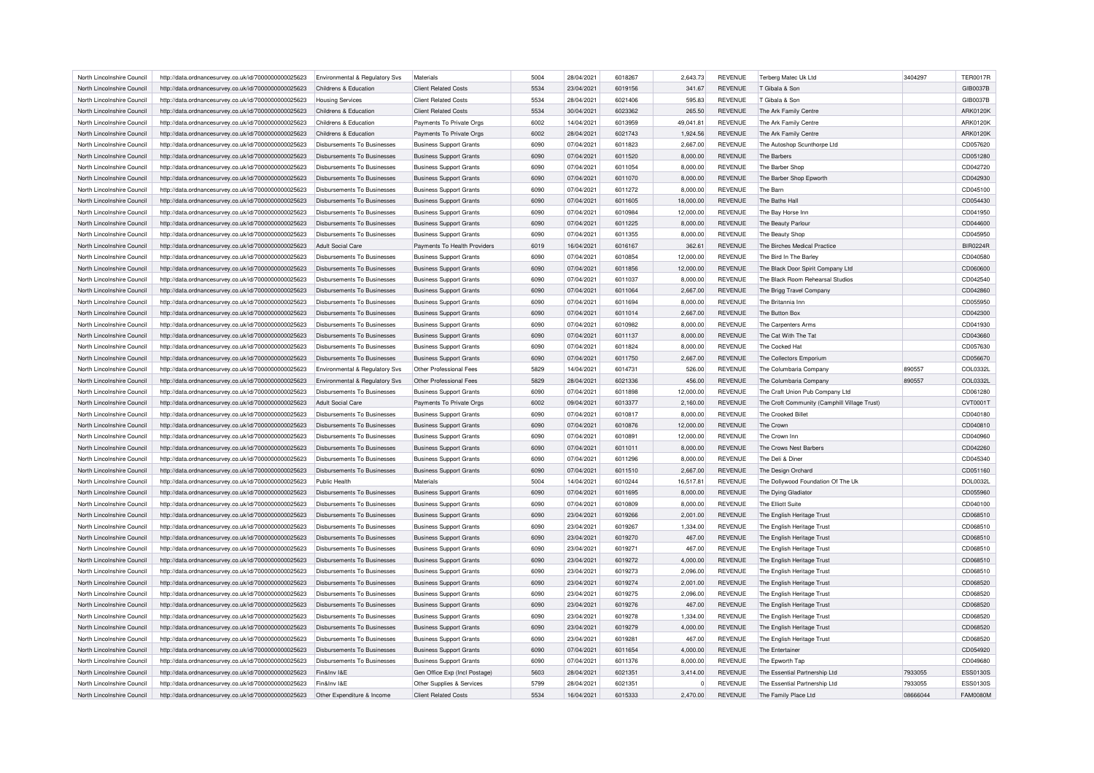| North Lincolnshire Council | http://data.ordnancesurvey.co.uk/id/7000000000025623 | Environmental & Regulatory Svs     | Materials                      | 5004 | 28/04/2021               | 6018267 | 2,643.73  | <b>REVENUE</b> | Terberg Matec Uk Ltd                         | 3404297  | <b>TER0017R</b>      |
|----------------------------|------------------------------------------------------|------------------------------------|--------------------------------|------|--------------------------|---------|-----------|----------------|----------------------------------------------|----------|----------------------|
| North Lincolnshire Council | http://data.ordnancesurvey.co.uk/id/7000000000025623 | Childrens & Education              | <b>Client Related Costs</b>    | 5534 | 23/04/2021               | 6019156 | 341.67    | <b>REVENUE</b> | T Gibala & Son                               |          | GIB0037B             |
| North Lincolnshire Council | http://data.ordnancesurvey.co.uk/id/7000000000025623 | <b>Housing Services</b>            | <b>Client Related Costs</b>    | 5534 | 28/04/2021               | 6021406 | 595.83    | <b>REVENUE</b> | T Gibala & Son                               |          | GIB0037B             |
| North Lincolnshire Council | http://data.ordnancesurvey.co.uk/id/7000000000025623 | Childrens & Education              | <b>Client Related Costs</b>    | 5534 | 30/04/2021               | 6023362 | 265.50    | <b>REVENUE</b> | The Ark Family Centre                        |          | ARK0120K             |
| North Lincolnshire Council | http://data.ordnancesurvey.co.uk/id/7000000000025623 | Childrens & Education              | Payments To Private Orgs       | 6002 | 14/04/2021               | 6013959 | 49,041.81 | <b>REVENUE</b> | The Ark Family Centre                        |          | ARK0120K             |
| North Lincolnshire Council | http://data.ordnancesurvey.co.uk/id/7000000000025623 | Childrens & Education              | Payments To Private Orgs       | 6002 | 28/04/2021               | 6021743 | 1,924.56  | <b>REVENUE</b> | The Ark Family Centre                        |          | ARK0120K             |
| North Lincolnshire Council | http://data.ordnancesurvey.co.uk/id/7000000000025623 | Disbursements To Businesses        | <b>Business Support Grants</b> | 6090 | 07/04/2021               | 6011823 | 2,667.00  | <b>REVENUE</b> | The Autoshop Scunthorpe Ltd                  |          | CD057620             |
| North Lincolnshire Council | http://data.ordnancesurvey.co.uk/id/7000000000025623 | <b>Disbursements To Businesses</b> | <b>Business Support Grants</b> | 6090 | 07/04/2021               | 6011520 | 8,000.00  | <b>REVENUE</b> | The Barbers                                  |          | CD051280             |
| North Lincolnshire Council | http://data.ordnancesurvey.co.uk/id/7000000000025623 | Disbursements To Businesses        | <b>Business Support Grants</b> | 6090 | 07/04/2021               | 6011054 | 8,000.00  | <b>REVENUE</b> | The Barber Shop                              |          | CD042720             |
| North Lincolnshire Council | http://data.ordnancesurvey.co.uk/id/7000000000025623 | <b>Disbursements To Businesses</b> | <b>Business Support Grants</b> | 6090 | 07/04/2021               | 6011070 | 8,000.00  | <b>REVENUE</b> | The Barber Shop Epworth                      |          | CD042930             |
| North Lincolnshire Council | http://data.ordnancesurvey.co.uk/id/7000000000025623 | <b>Disbursements To Businesses</b> | <b>Business Support Grants</b> | 6090 | 07/04/2021               | 6011272 | 8,000.00  | <b>REVENUE</b> | The Barn                                     |          | CD045100             |
| North Lincolnshire Council |                                                      | <b>Disbursements To Businesses</b> |                                | 6090 | 07/04/2021               | 6011605 |           | <b>REVENUE</b> | The Baths Hall                               |          |                      |
|                            | http://data.ordnancesurvey.co.uk/id/7000000000025623 |                                    | <b>Business Support Grants</b> |      |                          |         | 18,000.00 |                |                                              |          | CD054430             |
| North Lincolnshire Council | http://data.ordnancesurvey.co.uk/id/7000000000025623 | Disbursements To Businesses        | <b>Business Support Grants</b> | 6090 | 07/04/2021               | 6010984 | 12,000.00 | <b>REVENUE</b> | The Bay Horse Inn                            |          | CD041950             |
| North Lincolnshire Council | http://data.ordnancesurvey.co.uk/id/7000000000025623 | <b>Disbursements To Businesses</b> | <b>Business Support Grants</b> | 6090 | 07/04/2021               | 6011225 | 8,000.00  | <b>REVENUE</b> | The Beauty Parlour                           |          | CD044600             |
| North Lincolnshire Council | http://data.ordnancesurvey.co.uk/id/7000000000025623 | Disbursements To Businesses        | <b>Business Support Grants</b> | 6090 | 07/04/2021               | 6011355 | 8,000.00  | <b>REVENUE</b> | The Beauty Shop                              |          | CD045950             |
| North Lincolnshire Council | http://data.ordnancesurvey.co.uk/id/7000000000025623 | <b>Adult Social Care</b>           | Payments To Health Providers   | 6019 | 16/04/2021               | 6016167 | 362.61    | <b>REVENUE</b> | The Birches Medical Practice                 |          | <b>BIR0224R</b>      |
| North Lincolnshire Council | http://data.ordnancesurvey.co.uk/id/7000000000025623 | Disbursements To Businesses        | <b>Business Support Grants</b> | 6090 | 07/04/2021               | 6010854 | 12,000.00 | <b>REVENUE</b> | The Bird In The Barley                       |          | CD040580             |
| North Lincolnshire Council | http://data.ordnancesurvey.co.uk/id/7000000000025623 | Disbursements To Businesses        | <b>Business Support Grants</b> | 6090 | 07/04/2021               | 6011856 | 12,000.00 | <b>REVENUE</b> | The Black Door Spirit Company Ltd            |          | CD060600             |
| North Lincolnshire Council | http://data.ordnancesurvey.co.uk/id/7000000000025623 | Disbursements To Businesses        | <b>Business Support Grants</b> | 6090 | 07/04/2021               | 6011037 | 8,000.00  | <b>REVENUE</b> | The Black Room Rehearsal Studios             |          | CD042540             |
| North Lincolnshire Council | http://data.ordnancesurvey.co.uk/id/7000000000025623 | Disbursements To Businesses        | <b>Business Support Grants</b> | 6090 | 07/04/2021               | 6011064 | 2,667.00  | <b>REVENUE</b> | The Brigg Travel Company                     |          | CD042860             |
| North Lincolnshire Council | http://data.ordnancesurvey.co.uk/id/7000000000025623 | Disbursements To Businesses        | <b>Business Support Grants</b> | 6090 | 07/04/2021               | 6011694 | 8,000.00  | <b>REVENUE</b> | The Britannia Inn                            |          | CD055950             |
| North Lincolnshire Council | http://data.ordnancesurvey.co.uk/id/7000000000025623 | Disbursements To Businesses        | <b>Business Support Grants</b> | 6090 | 07/04/2021               | 6011014 | 2,667.00  | <b>REVENUE</b> | The Button Box                               |          | CD042300             |
| North Lincolnshire Council | http://data.ordnancesurvey.co.uk/id/7000000000025623 | Disbursements To Businesses        | <b>Business Support Grants</b> | 6090 | 07/04/2021               | 6010982 | 8.000.00  | <b>REVENUE</b> | The Carpenters Arms                          |          | CD041930             |
| North Lincolnshire Council | http://data.ordnancesurvey.co.uk/id/7000000000025623 | <b>Disbursements To Businesses</b> | <b>Business Support Grants</b> | 6090 | 07/04/2021               | 6011137 | 8,000.00  | <b>REVENUE</b> | The Cat With The Tat                         |          | CD043660             |
| North Lincolnshire Council | http://data.ordnancesurvey.co.uk/id/7000000000025623 | <b>Disbursements To Businesses</b> | <b>Business Support Grants</b> | 6090 | 07/04/2021               | 6011824 | 8,000.00  | <b>REVENUE</b> | The Cocked Ha                                |          | CD057630             |
| North Lincolnshire Council | http://data.ordnancesurvey.co.uk/id/7000000000025623 | Disbursements To Businesses        | <b>Business Support Grants</b> | 6090 | 07/04/2021               | 6011750 | 2.667.00  | <b>REVENUE</b> | The Collectors Emporium                      |          | CD056670             |
| North Lincolnshire Council | http://data.ordnancesurvey.co.uk/id/7000000000025623 | Environmental & Regulatory Svs     | Other Professional Fees        | 5829 | 14/04/2021               | 601473  | 526.00    | <b>REVENUE</b> | The Columbaria Company                       | 890557   | COL0332L             |
| North Lincolnshire Council | http://data.ordnancesurvey.co.uk/id/7000000000025623 | Environmental & Regulatory Svs     | Other Professional Fees        | 5829 | 28/04/2021               | 6021336 | 456.00    | <b>REVENUE</b> | The Columbaria Company                       | 890557   | COL0332L             |
| North Lincolnshire Council | http://data.ordnancesurvey.co.uk/id/7000000000025623 | Disbursements To Businesses        | <b>Business Support Grants</b> | 6090 | 07/04/2021               | 6011898 | 12.000.00 | <b>REVENUE</b> | The Craft Union Pub Company Ltd              |          | CD061280             |
|                            |                                                      |                                    |                                |      |                          |         |           |                |                                              |          |                      |
| North Lincolnshire Council | http://data.ordnancesurvey.co.uk/id/7000000000025623 | Adult Social Care                  | Payments To Private Orgs       | 6002 | 09/04/2021               | 6013377 | 2,160.00  | <b>REVENUE</b> | The Croft Community (Camphill Village Trust) |          | CVT0001T             |
| North Lincolnshire Council | http://data.ordnancesurvey.co.uk/id/7000000000025623 | Disbursements To Businesses        | <b>Business Support Grants</b> | 6090 | 07/04/2021               | 6010817 | 8,000.00  | <b>REVENUE</b> | The Crooked Billet                           |          | CD040180             |
| North Lincolnshire Council | http://data.ordnancesurvey.co.uk/id/7000000000025623 | Disbursements To Businesses        | <b>Business Support Grants</b> | 6090 | 07/04/2021               | 6010876 | 12.000.00 | <b>REVENUE</b> | The Crown                                    |          | CD040810             |
| North Lincolnshire Council | http://data.ordnancesurvey.co.uk/id/7000000000025623 | Disbursements To Businesses        | <b>Business Support Grants</b> | 6090 | 07/04/2021               | 6010891 | 12,000.00 | <b>REVENUE</b> | The Crown Inn                                |          | CD040960             |
| North Lincolnshire Council | http://data.ordnancesurvey.co.uk/id/7000000000025623 | <b>Disbursements To Businesses</b> | <b>Business Support Grants</b> | 6090 | 07/04/2021               | 6011011 | 8,000.00  | <b>REVENUE</b> | The Crows Nest Barbers                       |          | CD042260             |
| North Lincolnshire Council | http://data.ordnancesurvey.co.uk/id/7000000000025623 | Disbursements To Businesses        | <b>Business Support Grants</b> | 6090 | 07/04/2021               | 6011296 | 8,000.00  | <b>REVENUE</b> | The Deli & Diner                             |          | CD045340             |
| North Lincolnshire Council | http://data.ordnancesurvey.co.uk/id/7000000000025623 | <b>Disbursements To Businesses</b> | <b>Business Support Grants</b> | 6090 | 07/04/2021               | 6011510 | 2,667.00  | <b>REVENUE</b> | The Design Orchard                           |          | CD051160             |
| North Lincolnshire Council | http://data.ordnancesurvey.co.uk/id/7000000000025623 | Public Health                      | Materials                      | 5004 | 14/04/2021               | 6010244 | 16,517.81 | <b>REVENUE</b> | The Dollywood Foundation Of The Uk           |          | <b>DOL0032L</b>      |
| North Lincolnshire Council | http://data.ordnancesurvey.co.uk/id/7000000000025623 | Disbursements To Businesses        | <b>Business Support Grants</b> | 6090 | 07/04/2021               | 6011695 | 8,000.00  | <b>REVENUE</b> | The Dying Gladiator                          |          | CD055960             |
| North Lincolnshire Council | http://data.ordnancesurvey.co.uk/id/7000000000025623 | Disbursements To Businesses        | <b>Business Support Grants</b> | 6090 | 07/04/2021               | 6010809 | 8,000.00  | <b>REVENUE</b> | The Elliott Suite                            |          | CD040100             |
| North Lincolnshire Council | http://data.ordnancesurvey.co.uk/id/7000000000025623 | <b>Disbursements To Businesses</b> | <b>Business Support Grants</b> | 6090 | 23/04/2021               | 6019266 | 2,001.00  | <b>REVENUE</b> | The English Heritage Trust                   |          | CD068510             |
| North Lincolnshire Council | http://data.ordnancesurvey.co.uk/id/7000000000025623 | Disbursements To Businesses        | <b>Business Support Grants</b> | 6090 | 23/04/2021               | 6019267 | 1,334.00  | <b>REVENUE</b> | The English Heritage Trust                   |          | CD068510             |
| North Lincolnshire Council | http://data.ordnancesurvey.co.uk/id/7000000000025623 | Disbursements To Businesses        | <b>Business Support Grants</b> | 6090 | 23/04/2021               | 6019270 | 467.00    | REVENUE        | The English Heritage Trust                   |          | CD068510             |
| North Lincolnshire Council | http://data.ordnancesurvey.co.uk/id/7000000000025623 | Disbursements To Businesses        | <b>Business Support Grants</b> | 6090 | 23/04/2021               | 6019271 | 467.00    | <b>REVENUE</b> | The English Heritage Trust                   |          | CD068510             |
| North Lincolnshire Council | http://data.ordnancesurvey.co.uk/id/7000000000025623 | <b>Disbursements To Businesses</b> | <b>Business Support Grants</b> | 6090 | 23/04/2021               | 6019272 | 4,000.00  | <b>REVENUE</b> | The English Heritage Trust                   |          | CD068510             |
| North Lincolnshire Council | http://data.ordnancesurvey.co.uk/id/7000000000025623 | Disbursements To Businesses        | <b>Business Support Grants</b> | 6090 | 23/04/2021               | 6019273 | 2,096.00  | REVENUE        | The English Heritage Trust                   |          | CD068510             |
| North Lincolnshire Council | http://data.ordnancesurvey.co.uk/id/7000000000025623 | <b>Disbursements To Businesses</b> | <b>Business Support Grants</b> | 6090 | 23/04/2021               | 6019274 | 2,001.00  | <b>REVENUE</b> | The English Heritage Trust                   |          | CD068520             |
| North Lincolnshire Council | http://data.ordnancesurvey.co.uk/id/7000000000025623 | Disbursements To Businesses        | <b>Business Support Grants</b> | 6090 | 23/04/2021               | 6019275 | 2,096.00  | REVENUE        | The English Heritage Trust                   |          | CD068520             |
| North Lincolnshire Council |                                                      |                                    |                                | 6090 |                          | 6019276 |           |                |                                              |          |                      |
|                            | http://data.ordnancesurvey.co.uk/id/7000000000025623 | Disbursements To Businesses        | <b>Business Support Grants</b> | 6090 | 23/04/2021<br>23/04/2021 | 6019278 | 467.00    | REVENUE        | The English Heritage Trust                   |          | CD068520<br>CD068520 |
| North Lincolnshire Council | http://data.ordnancesurvey.co.uk/id/7000000000025623 | Disbursements To Businesses        | <b>Business Support Grants</b> |      |                          |         | 1,334.00  | <b>REVENUE</b> | The English Heritage Trust                   |          |                      |
| North Lincolnshire Council | http://data.ordnancesurvey.co.uk/id/7000000000025623 | <b>Disbursements To Businesses</b> | <b>Business Support Grants</b> | 6090 | 23/04/2021               | 6019279 | 4,000.00  | <b>REVENUE</b> | The English Heritage Trust                   |          | CD068520             |
| North Lincolnshire Council | http://data.ordnancesurvey.co.uk/id/7000000000025623 | Disbursements To Businesses        | <b>Business Support Grants</b> | 6090 | 23/04/2021               | 6019281 | 467.00    | REVENUE        | The English Heritage Trust                   |          | CD068520             |
| North Lincolnshire Council | http://data.ordnancesurvey.co.uk/id/7000000000025623 | Disbursements To Businesses        | <b>Business Support Grants</b> | 6090 | 07/04/2021               | 6011654 | 4,000.00  | <b>REVENUE</b> | The Entertainer                              |          | CD054920             |
| North Lincolnshire Council | http://data.ordnancesurvey.co.uk/id/7000000000025623 | Disbursements To Businesses        | <b>Business Support Grants</b> | 6090 | 07/04/2021               | 6011376 | 8,000.00  | <b>REVENUE</b> | The Epworth Tap                              |          | CD049680             |
| North Lincolnshire Council | http://data.ordnancesurvey.co.uk/id/7000000000025623 | Fin&Inv I&E                        | Gen Office Exp (Incl Postage)  | 5603 | 28/04/2021               | 6021351 | 3,414.00  | <b>REVENUE</b> | The Essential Partnership Ltd                | 7933055  | ESS0130S             |
| North Lincolnshire Council | http://data.ordnancesurvey.co.uk/id/7000000000025623 | Fin&Inv I&F                        | Other Supplies & Services      | 5799 | 28/04/2021               | 6021351 | 0         | <b>REVENUE</b> | The Essential Partnership Ltd                | 7933055  | <b>ESS0130S</b>      |
| North Lincolnshire Council | http://data.ordnancesurvey.co.uk/id/7000000000025623 | Other Expenditure & Income         | <b>Client Related Costs</b>    | 5534 | 16/04/2021               | 6015333 | 2.470.00  | <b>REVENUE</b> | The Family Place Ltd                         | 08666044 | <b>FAM0080M</b>      |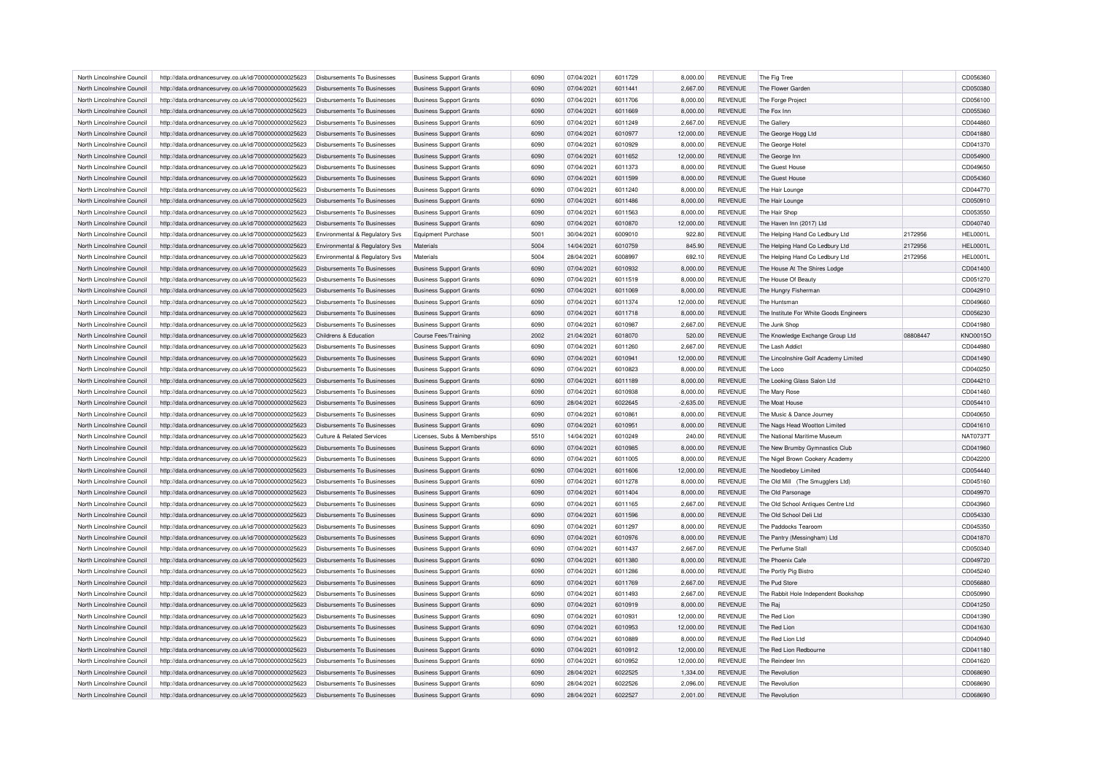| North Lincolnshire Council | http://data.ordnancesurvey.co.uk/id/7000000000025623 | Disbursements To Businesses        | <b>Business Support Grants</b> | 6090 | 07/04/2021 | 6011729 | 8,000.00    | <b>REVENUE</b> | The Fig Tree                            |          | CD056360        |
|----------------------------|------------------------------------------------------|------------------------------------|--------------------------------|------|------------|---------|-------------|----------------|-----------------------------------------|----------|-----------------|
| North Lincolnshire Council | http://data.ordnancesurvey.co.uk/id/7000000000025623 | Disbursements To Businesses        | <b>Business Support Grants</b> | 6090 | 07/04/2021 | 6011441 | 2,667.00    | <b>REVENUE</b> | The Flower Garden                       |          | CD050380        |
| North Lincolnshire Council | http://data.ordnancesurvey.co.uk/id/7000000000025623 | Disbursements To Businesses        | <b>Business Support Grants</b> | 6090 | 07/04/2021 | 6011706 | 8,000.00    | <b>REVENUE</b> | The Forge Project                       |          | CD056100        |
| North Lincolnshire Council | http://data.ordnancesurvey.co.uk/id/7000000000025623 | <b>Disbursements To Businesses</b> | <b>Business Support Grants</b> | 6090 | 07/04/2021 | 6011669 | 8,000.00    | <b>REVENUE</b> | The Fox Inn                             |          | CD055360        |
| North Lincolnshire Council | http://data.ordnancesurvey.co.uk/id/7000000000025623 | Disbursements To Businesses        | <b>Business Support Grants</b> | 6090 | 07/04/2021 | 6011249 | 2,667.00    | <b>REVENUE</b> | The Gallery                             |          | CD044860        |
| North Lincolnshire Council | http://data.ordnancesurvey.co.uk/id/7000000000025623 | Disbursements To Businesses        | <b>Business Support Grants</b> | 6090 | 07/04/2021 | 6010977 | 12,000.00   | <b>REVENUE</b> | The George Hogg Ltd                     |          | CD041880        |
| North Lincolnshire Council | http://data.ordnancesurvey.co.uk/id/7000000000025623 | Disbursements To Businesses        | <b>Business Support Grants</b> | 6090 | 07/04/2021 | 6010929 | 8,000.00    | REVENUE        | The George Hote                         |          | CD041370        |
| North Lincolnshire Council | http://data.ordnancesurvey.co.uk/id/7000000000025623 | <b>Disbursements To Businesses</b> | <b>Business Support Grants</b> | 6090 | 07/04/2021 | 6011652 | 12,000.00   | <b>REVENUE</b> | The George Inn                          |          | CD054900        |
| North Lincolnshire Council | http://data.ordnancesurvey.co.uk/id/7000000000025623 | Disbursements To Businesses        | <b>Business Support Grants</b> | 6090 | 07/04/2021 | 6011373 | 8,000.00    | <b>REVENUE</b> | The Guest House                         |          | CD049650        |
| North Lincolnshire Council | http://data.ordnancesurvey.co.uk/id/7000000000025623 | Disbursements To Businesses        | <b>Business Support Grants</b> | 6090 | 07/04/2021 | 6011599 | 8,000.00    | <b>REVENUE</b> | The Guest House                         |          | CD054360        |
| North Lincolnshire Council | http://data.ordnancesurvey.co.uk/id/7000000000025623 | Disbursements To Businesses        | <b>Business Support Grants</b> | 6090 | 07/04/2021 | 6011240 | 8,000.00    | <b>REVENUE</b> | The Hair Lounge                         |          | CD044770        |
|                            |                                                      |                                    |                                |      |            |         |             |                |                                         |          |                 |
| North Lincolnshire Council | http://data.ordnancesurvey.co.uk/id/7000000000025623 | Disbursements To Businesses        | <b>Business Support Grants</b> | 6090 | 07/04/2021 | 6011486 | 8,000.00    | <b>REVENUE</b> | The Hair Lounge                         |          | CD050910        |
| North Lincolnshire Council | http://data.ordnancesurvey.co.uk/id/7000000000025623 | Disbursements To Businesses        | <b>Business Support Grants</b> | 6090 | 07/04/2021 | 6011563 | 8,000.00    | <b>REVENUE</b> | The Hair Shop                           |          | CD053550        |
| North Lincolnshire Council | http://data.ordnancesurvey.co.uk/id/7000000000025623 | Disbursements To Businesses        | <b>Business Support Grants</b> | 6090 | 07/04/2021 | 6010870 | 12.000.00   | <b>REVENUE</b> | The Haven Inn (2017) Ltd                |          | CD040740        |
| North Lincolnshire Council | http://data.ordnancesurvey.co.uk/id/7000000000025623 | Environmental & Regulatory Svs     | <b>Equipment Purchase</b>      | 5001 | 30/04/2021 | 6009010 | 922.80      | <b>REVENUE</b> | The Helping Hand Co Ledbury Ltd         | 2172956  | HEL0001L        |
| North Lincolnshire Council | http://data.ordnancesurvey.co.uk/id/7000000000025623 | Environmental & Regulatory Svs     | Materials                      | 5004 | 14/04/2021 | 6010759 | 845.90      | <b>REVENUE</b> | The Helping Hand Co Ledbury Ltd         | 2172956  | <b>HEL0001L</b> |
| North Lincolnshire Council | http://data.ordnancesurvey.co.uk/id/7000000000025623 | Environmental & Regulatory Svs     | Materials                      | 5004 | 28/04/2021 | 6008997 | 692.10      | <b>REVENUE</b> | The Helping Hand Co Ledbury Ltd         | 2172956  | <b>HEL0001L</b> |
| North Lincolnshire Council | http://data.ordnancesurvey.co.uk/id/7000000000025623 | <b>Disbursements To Businesses</b> | <b>Business Support Grants</b> | 6090 | 07/04/2021 | 6010932 | 8,000.00    | <b>REVENUE</b> | The House At The Shires Lodge           |          | CD041400        |
| North Lincolnshire Council | http://data.ordnancesurvey.co.uk/id/7000000000025623 | Disbursements To Businesses        | <b>Business Support Grants</b> | 6090 | 07/04/2021 | 6011519 | 8,000.00    | <b>REVENUE</b> | The House Of Beauty                     |          | CD051270        |
| North Lincolnshire Council | http://data.ordnancesurvey.co.uk/id/7000000000025623 | Disbursements To Businesses        | <b>Business Support Grants</b> | 6090 | 07/04/2021 | 6011069 | 8,000.00    | <b>REVENUE</b> | The Hungry Fisherman                    |          | CD042910        |
| North Lincolnshire Council | http://data.ordnancesurvey.co.uk/id/7000000000025623 | Disbursements To Businesses        | <b>Business Support Grants</b> | 6090 | 07/04/2021 | 6011374 | 12,000.00   | <b>REVENUE</b> | The Huntsman                            |          | CD049660        |
| North Lincolnshire Council | http://data.ordnancesurvey.co.uk/id/7000000000025623 | <b>Disbursements To Businesses</b> | <b>Business Support Grants</b> | 6090 | 07/04/2021 | 6011718 | 8,000.00    | <b>REVENUE</b> | The Institute For White Goods Engineers |          | CD056230        |
| North Lincolnshire Council | http://data.ordnancesurvey.co.uk/id/7000000000025623 | <b>Disbursements To Businesses</b> | <b>Business Support Grants</b> | 6090 | 07/04/2021 | 6010987 | 2,667.00    | <b>REVENUE</b> | The Junk Shop                           |          | CD041980        |
| North Lincolnshire Council | http://data.ordnancesurvey.co.uk/id/7000000000025623 | Childrens & Education              | <b>Course Fees/Training</b>    | 2002 | 21/04/2021 | 6018070 | 520.00      | <b>REVENUE</b> | The Knowledge Exchange Group Ltd        | 08808447 | KNO0015O        |
| North Lincolnshire Council | http://data.ordnancesurvey.co.uk/id/7000000000025623 | Disbursements To Businesses        | <b>Business Support Grants</b> | 6090 | 07/04/2021 | 6011260 | 2,667.00    | <b>REVENUE</b> | The Lash Addict                         |          | CD044980        |
| North Lincolnshire Council |                                                      | Disbursements To Businesses        |                                | 6090 | 07/04/2021 | 6010941 | 12,000.00   | <b>REVENUE</b> |                                         |          | CD041490        |
|                            | http://data.ordnancesurvey.co.uk/id/7000000000025623 |                                    | <b>Business Support Grants</b> |      |            |         |             |                | The Lincolnshire Golf Academy Limited   |          |                 |
| North Lincolnshire Council | http://data.ordnancesurvey.co.uk/id/7000000000025623 | Disbursements To Businesses        | <b>Business Support Grants</b> | 6090 | 07/04/2021 | 6010823 | 8,000.00    | <b>REVENUE</b> | The Loco                                |          | CD040250        |
| North Lincolnshire Council | http://data.ordnancesurvey.co.uk/id/7000000000025623 | <b>Disbursements To Businesses</b> | <b>Business Support Grants</b> | 6090 | 07/04/2021 | 6011189 | 8,000.00    | <b>REVENUE</b> | The Looking Glass Salon Ltd             |          | CD044210        |
| North Lincolnshire Council | http://data.ordnancesurvey.co.uk/id/7000000000025623 | Disbursements To Businesses        | <b>Business Support Grants</b> | 6090 | 07/04/2021 | 6010938 | 8,000.00    | <b>REVENUE</b> | The Mary Rose                           |          | CD041460        |
| North Lincolnshire Council | http://data.ordnancesurvey.co.uk/id/7000000000025623 | Disbursements To Businesses        | <b>Business Support Grants</b> | 6090 | 28/04/2021 | 6022645 | $-2,635.00$ | <b>REVENUE</b> | The Moat House                          |          | CD054410        |
| North Lincolnshire Council | http://data.ordnancesurvey.co.uk/id/7000000000025623 | Disbursements To Businesses        | <b>Business Support Grants</b> | 6090 | 07/04/2021 | 6010861 | 8,000.00    | <b>REVENUE</b> | The Music & Dance Journey               |          | CD040650        |
| North Lincolnshire Council | http://data.ordnancesurvey.co.uk/id/7000000000025623 | <b>Disbursements To Businesses</b> | <b>Business Support Grants</b> | 6090 | 07/04/2021 | 6010951 | 8,000.00    | <b>REVENUE</b> | The Nags Head Wootton Limited           |          | CD041610        |
| North Lincolnshire Council | http://data.ordnancesurvey.co.uk/id/7000000000025623 | Culture & Related Services         | Licenses, Subs & Memberships   | 5510 | 14/04/2021 | 6010249 | 240.00      | <b>REVENUE</b> | The National Maritime Museum            |          | <b>NAT0737T</b> |
| North Lincolnshire Council | http://data.ordnancesurvey.co.uk/id/7000000000025623 | Disbursements To Businesses        | <b>Business Support Grants</b> | 6090 | 07/04/2021 | 6010985 | 8,000.00    | <b>REVENUE</b> | The New Brumby Gymnastics Club          |          | CD041960        |
| North Lincolnshire Council | http://data.ordnancesurvey.co.uk/id/7000000000025623 | Disbursements To Businesses        | <b>Business Support Grants</b> | 6090 | 07/04/2021 | 6011005 | 8,000.00    | <b>REVENUE</b> | The Nigel Brown Cookery Academy         |          | CD042200        |
| North Lincolnshire Council | http://data.ordnancesurvey.co.uk/id/7000000000025623 | Disbursements To Businesses        | <b>Business Support Grants</b> | 6090 | 07/04/2021 | 6011606 | 12,000.00   | <b>REVENUE</b> | The Noodleboy Limited                   |          | CD054440        |
| North Lincolnshire Council | http://data.ordnancesurvey.co.uk/id/7000000000025623 | Disbursements To Businesses        | <b>Business Support Grants</b> | 6090 | 07/04/2021 | 6011278 | 8,000.00    | <b>REVENUE</b> | The Old Mill (The Smugglers Ltd)        |          | CD045160        |
| North Lincolnshire Council | http://data.ordnancesurvey.co.uk/id/7000000000025623 | Disbursements To Businesses        | <b>Business Support Grants</b> | 6090 | 07/04/2021 | 6011404 | 8,000.00    | <b>REVENUE</b> | The Old Parsonage                       |          | CD049970        |
| North Lincolnshire Council | http://data.ordnancesurvey.co.uk/id/7000000000025623 | Disbursements To Businesses        | <b>Business Support Grants</b> | 6090 | 07/04/2021 | 6011165 | 2,667.00    | <b>REVENUE</b> | The Old School Antiques Centre Ltd      |          | CD043960        |
| North Lincolnshire Council | http://data.ordnancesurvey.co.uk/id/7000000000025623 | <b>Disbursements To Businesses</b> | <b>Business Support Grants</b> | 6090 | 07/04/2021 | 6011596 | 8,000.00    | <b>REVENUE</b> | The Old School Deli Ltd                 |          | CD054330        |
|                            |                                                      |                                    |                                |      |            |         |             |                |                                         |          |                 |
| North Lincolnshire Council | http://data.ordnancesurvey.co.uk/id/7000000000025623 | Disbursements To Businesses        | <b>Business Support Grants</b> | 6090 | 07/04/2021 | 6011297 | 8,000.00    | <b>REVENUE</b> | The Paddocks Tearoom                    |          | CD045350        |
| North Lincolnshire Council | http://data.ordnancesurvey.co.uk/id/7000000000025623 | <b>Disbursements To Businesses</b> | <b>Business Support Grants</b> | 6090 | 07/04/2021 | 6010976 | 8,000.00    | <b>REVENUE</b> | The Pantry (Messingham) Ltd             |          | CD041870        |
| North Lincolnshire Council | http://data.ordnancesurvey.co.uk/id/7000000000025623 | Disbursements To Businesses        | <b>Business Support Grants</b> | 6090 | 07/04/2021 | 6011437 | 2,667.00    | <b>REVENUE</b> | The Perfume Stall                       |          | CD050340        |
| North Lincolnshire Council | http://data.ordnancesurvey.co.uk/id/7000000000025623 | Disbursements To Businesses        | <b>Business Support Grants</b> | 6090 | 07/04/2021 | 6011380 | 8,000.00    | <b>REVENUE</b> | The Phoenix Cafe                        |          | CD049720        |
| North Lincolnshire Council | http://data.ordnancesurvey.co.uk/id/7000000000025623 | Disbursements To Businesses        | <b>Business Support Grants</b> | 6090 | 07/04/2021 | 6011286 | 8,000.00    | <b>REVENUE</b> | The Portly Pig Bistro                   |          | CD045240        |
| North Lincolnshire Council | http://data.ordnancesurvey.co.uk/id/7000000000025623 | Disbursements To Businesses        | <b>Business Support Grants</b> | 6090 | 07/04/2021 | 6011769 | 2,667.00    | <b>REVENUE</b> | The Pud Store                           |          | CD056880        |
| North Lincolnshire Council | http://data.ordnancesurvey.co.uk/id/7000000000025623 | <b>Disbursements To Businesses</b> | <b>Business Support Grants</b> | 6090 | 07/04/2021 | 6011493 | 2,667.00    | <b>REVENUE</b> | The Rabbit Hole Independent Bookshop    |          | CD050990        |
| North Lincolnshire Council | http://data.ordnancesurvey.co.uk/id/7000000000025623 | Disbursements To Businesses        | <b>Business Support Grants</b> | 6090 | 07/04/2021 | 6010919 | 8,000.00    | <b>REVENUE</b> | The Raj                                 |          | CD041250        |
| North Lincolnshire Council | http://data.ordnancesurvey.co.uk/id/7000000000025623 | Disbursements To Businesses        | <b>Business Support Grants</b> | 6090 | 07/04/2021 | 6010931 | 12,000.00   | <b>REVENUE</b> | The Red Lion                            |          | CD041390        |
| North Lincolnshire Council | http://data.ordnancesurvey.co.uk/id/7000000000025623 | Disbursements To Businesses        | <b>Business Support Grants</b> | 6090 | 07/04/2021 | 6010953 | 12,000.00   | <b>REVENUE</b> | The Red Lion                            |          | CD041630        |
| North Lincolnshire Council | http://data.ordnancesurvey.co.uk/id/7000000000025623 | Disbursements To Businesses        | <b>Business Support Grants</b> | 6090 | 07/04/2021 | 6010889 | 8,000.00    | REVENUE        | The Red Lion Ltd                        |          | CD040940        |
| North Lincolnshire Council | http://data.ordnancesurvey.co.uk/id/7000000000025623 | Disbursements To Businesses        | <b>Business Support Grants</b> | 6090 | 07/04/2021 | 6010912 | 12,000.00   | <b>REVENUE</b> | The Red Lion Redbourne                  |          | CD041180        |
| North Lincolnshire Council | http://data.ordnancesurvey.co.uk/id/7000000000025623 | Disbursements To Businesses        | <b>Business Support Grants</b> | 6090 | 07/04/2021 | 6010952 | 12,000.00   | <b>REVENUE</b> | The Reindeer Inn                        |          | CD041620        |
| North Lincolnshire Council | http://data.ordnancesurvey.co.uk/id/7000000000025623 | Disbursements To Businesses        | <b>Business Support Grants</b> | 6090 | 28/04/2021 | 6022525 | 1,334.00    | <b>REVENUE</b> | The Revolution                          |          | CD068690        |
| North Lincolnshire Council |                                                      |                                    |                                | 6090 | 28/04/2021 | 6022526 | 2.096.00    | REVENUE        | The Revolution                          |          | CD068690        |
|                            | http://data.ordnancesurvey.co.uk/id/7000000000025623 | Disbursements To Businesses        | <b>Business Support Grants</b> |      |            |         |             |                |                                         |          |                 |
| North Lincolnshire Council | http://data.ordnancesurvey.co.uk/id/7000000000025623 | Disbursements To Businesses        | <b>Business Support Grants</b> | 6090 | 28/04/2021 | 6022527 | 2.001.00    | <b>REVENUE</b> | The Revolution                          |          | CD068690        |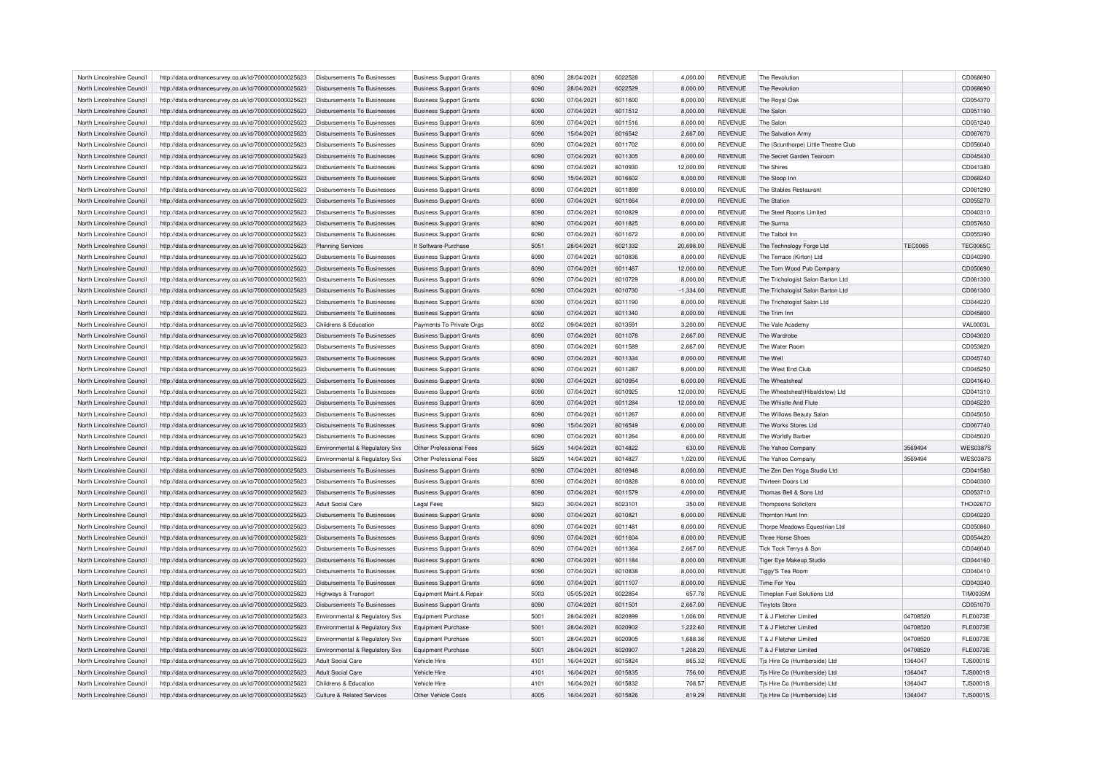| 28/04/2021<br>6022528<br>4,000.00<br><b>REVENUE</b><br>North Lincolnshire Council<br>http://data.ordnancesurvey.co.uk/id/7000000000025623<br>Disbursements To Businesses<br><b>Business Support Grants</b><br>6090<br>The Revolution<br>6022529<br>North Lincolnshire Council<br>http://data.ordnancesurvey.co.uk/id/7000000000025623<br>6090<br>28/04/2021<br>8,000.00<br><b>REVENUE</b><br>The Revolution<br>Disbursements To Businesses<br><b>Business Support Grants</b><br>North Lincolnshire Council<br>http://data.ordnancesurvey.co.uk/id/7000000000025623<br>Disbursements To Businesses<br><b>Business Support Grants</b><br>6090<br>07/04/2021<br>6011600<br>8,000.00<br><b>REVENUE</b><br>The Royal Oak<br>07/04/2021<br>6011512<br>North Lincolnshire Council<br>http://data.ordnancesurvey.co.uk/id/7000000000025623<br>Disbursements To Businesses<br><b>Business Support Grants</b><br>6090<br>8,000.00<br><b>REVENUE</b><br>The Salor<br>North Lincolnshire Council<br>6090<br>07/04/2021<br>6011516<br>8,000.00<br><b>REVENUE</b><br>http://data.ordnancesurvey.co.uk/id/7000000000025623<br>Disbursements To Businesses<br>The Salor<br><b>Business Support Grants</b><br>6016542<br>North Lincolnshire Council<br>http://data.ordnancesurvey.co.uk/id/7000000000025623<br>Disbursements To Businesses<br><b>Business Support Grants</b><br>6090<br>15/04/2021<br>2,667.00<br><b>REVENUE</b><br>The Salvation Army<br>07/04/2021<br>8,000.00<br>The (Scunthorpe) Little Theatre Club<br>North Lincolnshire Council<br>http://data.ordnancesurvey.co.uk/id/7000000000025623<br>Disbursements To Businesses<br><b>Business Support Grants</b><br>6090<br>6011702<br>REVENUE<br>North Lincolnshire Council<br>6090<br>07/04/2021<br>6011305<br>8,000.00<br><b>REVENUE</b><br>http://data.ordnancesurvey.co.uk/id/7000000000025623<br><b>Disbursements To Businesses</b><br><b>Business Support Grants</b><br>The Secret Garden Tearoom<br>07/04/2021<br>6010930<br>12,000.00<br><b>REVENUE</b><br>The Shires<br>North Lincolnshire Council<br>http://data.ordnancesurvey.co.uk/id/7000000000025623<br>Disbursements To Businesses<br><b>Business Support Grants</b><br>6090<br>15/04/2021<br>6016602<br>8,000.00<br><b>REVENUE</b><br>North Lincolnshire Council<br>http://data.ordnancesurvey.co.uk/id/7000000000025623<br>Disbursements To Businesses<br><b>Business Support Grants</b><br>6090<br>The Sloop Inn<br>North Lincolnshire Council<br>6090<br>07/04/2021<br>6011899<br>8,000.00<br><b>REVENUE</b><br>The Stables Restaurant<br>http://data.ordnancesurvey.co.uk/id/7000000000025623<br>Disbursements To Businesses<br><b>Business Support Grants</b><br>6090<br>07/04/2021<br>6011664<br><b>REVENUE</b><br>The Station<br>North Lincolnshire Council<br>http://data.ordnancesurvey.co.uk/id/7000000000025623<br>Disbursements To Businesses<br><b>Business Support Grants</b><br>8,000.00<br>North Lincolnshire Council<br>07/04/2021<br>8,000.00<br><b>REVENUE</b><br>The Steel Rooms Limited<br>http://data.ordnancesurvey.co.uk/id/7000000000025623<br>Disbursements To Businesses<br><b>Business Support Grants</b><br>6090<br>6010829<br>North Lincolnshire Council<br>http://data.ordnancesurvey.co.uk/id/7000000000025623<br>6090<br>07/04/2021<br>6011825<br>8.000.00<br><b>REVENUE</b><br>The Surma<br>Disbursements To Businesses<br><b>Business Support Grants</b><br>North Lincolnshire Council<br>http://data.ordnancesurvey.co.uk/id/7000000000025623<br>Disbursements To Businesses<br><b>Business Support Grants</b><br>6090<br>07/04/2021<br>6011672<br>8,000.00<br><b>REVENUE</b><br>The Talbot Inn<br>North Lincolnshire Council<br>http://data.ordnancesurvey.co.uk/id/7000000000025623<br>It Software-Purchase<br>5051<br>28/04/2021<br>6021332<br>20,698.00<br><b>REVENUE</b><br>The Technology Forge Ltd<br><b>TEC0065</b><br>Planning Services<br>6090<br>07/04/2021<br>6010836<br>8,000.00<br><b>REVENUE</b><br>North Lincolnshire Council<br>http://data.ordnancesurvey.co.uk/id/7000000000025623<br>Disbursements To Businesses<br><b>Business Support Grants</b><br>The Terrace (Kirton) Ltd<br>North Lincolnshire Council<br>http://data.ordnancesurvey.co.uk/id/7000000000025623<br><b>Disbursements To Businesses</b><br><b>Business Support Grants</b><br>6090<br>07/04/2021<br>6011467<br>12,000.00<br><b>REVENUE</b><br>The Tom Wood Pub Company<br>North Lincolnshire Council<br>http://data.ordnancesurvey.co.uk/id/7000000000025623<br>Disbursements To Businesses<br><b>Business Support Grants</b><br>6090<br>07/04/2021<br>6010729<br>8,000.00<br>REVENUE<br>The Trichologist Salon Barton Ltd<br>6010730<br>North Lincolnshire Council<br>6090<br>07/04/2021<br>$-1,334.00$<br><b>REVENUE</b><br>The Trichologist Salon Barton Ltd<br>http://data.ordnancesurvey.co.uk/id/7000000000025623<br>Disbursements To Businesses<br><b>Business Support Grants</b><br>6011190<br>North Lincolnshire Council<br>http://data.ordnancesurvey.co.uk/id/7000000000025623<br>Disbursements To Businesses<br><b>Business Support Grants</b><br>6090<br>07/04/2021<br>8,000.00<br><b>REVENUE</b><br>The Trichologist Salon Ltd<br>North Lincolnshire Council<br>http://data.ordnancesurvey.co.uk/id/7000000000025623<br><b>Disbursements To Businesses</b><br><b>Business Support Grants</b><br>6090<br>07/04/2021<br>6011340<br>8,000.00<br><b>REVENUE</b><br>The Trim Inn<br>6013591<br>North Lincolnshire Council<br>http://data.ordnancesurvey.co.uk/id/7000000000025623<br>Payments To Private Orgs<br>6002<br>09/04/2021<br>3,200.00<br><b>REVENUE</b><br>The Vale Academy<br>Childrens & Education<br>North Lincolnshire Council<br>http://data.ordnancesurvey.co.uk/id/7000000000025623<br>Disbursements To Businesses<br><b>Business Support Grants</b><br>6090<br>07/04/2021<br>6011078<br>2,667.00<br><b>REVENUE</b><br>The Wardrobe<br>North Lincolnshire Council<br>http://data.ordnancesurvey.co.uk/id/7000000000025623<br>Disbursements To Businesses<br><b>Business Support Grants</b><br>6090<br>07/04/2021<br>6011589<br>2,667.00<br><b>REVENUE</b><br>The Water Room<br>6011334<br>North Lincolnshire Council<br>http://data.ordnancesurvey.co.uk/id/7000000000025623<br>6090<br>07/04/2021<br>8,000.00<br><b>REVENUE</b><br>The Well<br>Disbursements To Businesses<br><b>Business Support Grants</b><br>07/04/2021<br>6011287<br><b>REVENUE</b><br>The West End Club<br>North Lincolnshire Council<br>http://data.ordnancesurvey.co.uk/id/7000000000025623<br>Disbursements To Businesses<br><b>Business Support Grants</b><br>6090<br>8,000.00<br>07/04/2021<br>North Lincolnshire Council<br>http://data.ordnancesurvey.co.uk/id/7000000000025623<br><b>Disbursements To Businesses</b><br><b>Business Support Grants</b><br>6090<br>6010954<br>8,000.00<br><b>REVENUE</b><br>The Wheatsheat<br>North Lincolnshire Council<br>6090<br>07/04/2021<br>6010925<br>12,000.00<br><b>REVENUE</b><br>The Wheatsheaf (Hibaldstow) Ltd<br>http://data.ordnancesurvey.co.uk/id/7000000000025623<br>Disbursements To Businesses<br><b>Business Support Grants</b><br>6011284<br><b>REVENUE</b><br>North Lincolnshire Council<br>http://data.ordnancesurvey.co.uk/id/7000000000025623<br>Disbursements To Businesses<br><b>Business Support Grants</b><br>6090<br>07/04/2021<br>12,000.00<br>The Whistle And Flute<br>North Lincolnshire Council<br>07/04/2021<br>8,000.00<br><b>REVENUE</b><br>http://data.ordnancesurvey.co.uk/id/7000000000025623<br>Disbursements To Businesses<br><b>Business Support Grants</b><br>6090<br>6011267<br>The Willows Beauty Salon<br>North Lincolnshire Council<br>6090<br>15/04/2021<br>6016549<br><b>REVENUE</b><br>http://data.ordnancesurvey.co.uk/id/7000000000025623<br><b>Disbursements To Businesses</b><br>6,000.00<br>The Works Stores Ltd<br><b>Business Support Grants</b><br>6090<br>07/04/2021<br>6011264<br>8,000.00<br><b>REVENUE</b><br>North Lincolnshire Council<br>http://data.ordnancesurvey.co.uk/id/7000000000025623<br>Disbursements To Businesses<br><b>Business Support Grants</b><br>The Worldly Barber<br>5829<br>14/04/2021<br>6014822<br>3569494<br>North Lincolnshire Council<br>http://data.ordnancesurvey.co.uk/id/7000000000025623<br>Environmental & Regulatory Svs<br>Other Professional Fees<br>630.00<br>REVENUE<br>The Yahoo Company<br>North Lincolnshire Council<br>Other Professional Fees<br>5829<br>14/04/2021<br>6014827<br>1,020.00<br><b>REVENUE</b><br>http://data.ordnancesurvey.co.uk/id/7000000000025623<br>Environmental & Regulatory Svs<br>The Yahoo Company<br>3569494<br>07/04/2021<br>6010948<br><b>REVENUE</b><br>The Zen Den Yoga Studio Ltd<br>North Lincolnshire Council<br>http://data.ordnancesurvey.co.uk/id/7000000000025623<br>Disbursements To Businesses<br><b>Business Support Grants</b><br>6090<br>8,000.00<br>North Lincolnshire Council<br>07/04/2021<br>6010828<br>8,000.00<br><b>REVENUE</b><br>http://data.ordnancesurvey.co.uk/id/7000000000025623<br>Disbursements To Businesses<br><b>Business Support Grants</b><br>6090<br>Thirteen Doors Ltd<br>07/04/2021<br>6011579<br><b>REVENUE</b><br>North Lincolnshire Council<br><b>Business Support Grants</b><br>6090<br>4,000.00<br>Thomas Bell & Sons Ltd<br>http://data.ordnancesurvey.co.uk/id/7000000000025623<br>Disbursements To Businesses<br>North Lincolnshire Council<br>http://data.ordnancesurvey.co.uk/id/7000000000025623<br>Adult Social Care<br><b>Legal Fees</b><br>5823<br>30/04/2021<br>6023101<br>350.00<br><b>REVENUE</b><br><b>Thompsons Solicitors</b><br>North Lincolnshire Council<br>http://data.ordnancesurvey.co.uk/id/7000000000025623<br><b>Disbursements To Businesses</b><br><b>Business Support Grants</b><br>6090<br>07/04/2021<br>6010821<br>8,000.00<br><b>REVENUE</b><br>Thornton Hunt Inn<br>6090<br>07/04/2021<br>6011481<br><b>REVENUE</b><br>Thorpe Meadows Equestrian Ltd<br>North Lincolnshire Council<br>http://data.ordnancesurvey.co.uk/id/7000000000025623<br>Disbursements To Businesses<br><b>Business Support Grants</b><br>8,000.00<br>6011604<br>North Lincolnshire Council<br>http://data.ordnancesurvey.co.uk/id/7000000000025623<br><b>Disbursements To Businesses</b><br><b>Business Support Grants</b><br>6090<br>07/04/2021<br>8,000.00<br><b>REVENUE</b><br>Three Horse Shoes<br>North Lincolnshire Council<br>http://data.ordnancesurvey.co.uk/id/7000000000025623<br>Disbursements To Businesses<br><b>Business Support Grants</b><br>6090<br>07/04/2021<br>6011364<br>2,667.00<br><b>REVENUE</b><br>Tick Tock Terrys & Son<br>6090<br>07/04/2021<br>6011184<br><b>REVENUE</b><br>North Lincolnshire Council<br>http://data.ordnancesurvey.co.uk/id/7000000000025623<br>Disbursements To Businesses<br><b>Business Support Grants</b><br>8,000.00<br>Tiger Eye Makeup Studio<br>North Lincolnshire Council<br>http://data.ordnancesurvey.co.uk/id/7000000000025623<br>Disbursements To Businesses<br><b>Business Support Grants</b><br>6090<br>07/04/2021<br>6010838<br>8,000.00<br><b>REVENUE</b><br>Tiggy'S Tea Room<br>North Lincolnshire Council<br>http://data.ordnancesurvey.co.uk/id/7000000000025623<br><b>Disbursements To Businesses</b><br><b>Business Support Grants</b><br>6090<br>07/04/2021<br>6011107<br>8,000.00<br><b>REVENUE</b><br>Time For You<br>6022854<br>North Lincolnshire Council<br>5003<br>05/05/2021<br>657.76<br><b>REVENUE</b><br>Timeplan Fuel Solutions Ltd<br>http://data.ordnancesurvey.co.uk/id/7000000000025623<br>Equipment Maint.& Repair<br>Highways & Transport<br>6011501<br>North Lincolnshire Council<br>http://data.ordnancesurvey.co.uk/id/7000000000025623<br>Disbursements To Businesses<br><b>Business Support Grants</b><br>6090<br>07/04/2021<br>2,667.00<br><b>REVENUE</b><br><b>Tinytots Store</b><br>04708520<br>North Lincolnshire Council<br>http://data.ordnancesurvey.co.uk/id/7000000000025623<br>Environmental & Regulatory Svs<br><b>Equipment Purchase</b><br>5001<br>28/04/2021<br>6020899<br>1,006.00<br><b>REVENUE</b><br>T & J Fletcher Limited<br>6020902<br>North Lincolnshire Council<br>5001<br>28/04/2021<br>1,222.60<br><b>REVENUE</b><br>T & J Fletcher Limited<br>04708520<br>http://data.ordnancesurvey.co.uk/id/7000000000025623<br>Environmental & Regulatory Svs<br><b>Equipment Purchase</b><br>6020905<br><b>REVENUE</b><br>T & J Fletcher Limited<br>04708520<br>North Lincolnshire Council<br>http://data.ordnancesurvey.co.uk/id/7000000000025623<br>Environmental & Regulatory Svs<br><b>Equipment Purchase</b><br>5001<br>28/04/2021<br>1,688.36<br>28/04/2021<br>6020907<br>04708520<br>North Lincolnshire Council<br>http://data.ordnancesurvey.co.uk/id/7000000000025623<br>Environmental & Regulatory Svs<br><b>Equipment Purchase</b><br>5001<br>1,208.20<br><b>REVENUE</b><br>T & J Fletcher Limited<br>6015824<br>865.32<br>REVENUE<br>North Lincolnshire Council<br>http://data.ordnancesurvey.co.uk/id/7000000000025623<br>Adult Social Care<br>Vehicle Hire<br>4101<br>16/04/2021<br>Tjs Hire Co (Humberside) Ltd<br>1364047<br>6015835<br>North Lincolnshire Council<br>http://data.ordnancesurvey.co.uk/id/7000000000025623<br>Adult Social Care<br>Vehicle Hire<br>4101<br>16/04/2021<br>756.00<br><b>REVENUE</b><br>Tjs Hire Co (Humberside) Ltd<br>1364047 |                                                                                                                                                                                                                                      | CD068690<br>CD068690<br>CD054370<br>CD051190 |
|-----------------------------------------------------------------------------------------------------------------------------------------------------------------------------------------------------------------------------------------------------------------------------------------------------------------------------------------------------------------------------------------------------------------------------------------------------------------------------------------------------------------------------------------------------------------------------------------------------------------------------------------------------------------------------------------------------------------------------------------------------------------------------------------------------------------------------------------------------------------------------------------------------------------------------------------------------------------------------------------------------------------------------------------------------------------------------------------------------------------------------------------------------------------------------------------------------------------------------------------------------------------------------------------------------------------------------------------------------------------------------------------------------------------------------------------------------------------------------------------------------------------------------------------------------------------------------------------------------------------------------------------------------------------------------------------------------------------------------------------------------------------------------------------------------------------------------------------------------------------------------------------------------------------------------------------------------------------------------------------------------------------------------------------------------------------------------------------------------------------------------------------------------------------------------------------------------------------------------------------------------------------------------------------------------------------------------------------------------------------------------------------------------------------------------------------------------------------------------------------------------------------------------------------------------------------------------------------------------------------------------------------------------------------------------------------------------------------------------------------------------------------------------------------------------------------------------------------------------------------------------------------------------------------------------------------------------------------------------------------------------------------------------------------------------------------------------------------------------------------------------------------------------------------------------------------------------------------------------------------------------------------------------------------------------------------------------------------------------------------------------------------------------------------------------------------------------------------------------------------------------------------------------------------------------------------------------------------------------------------------------------------------------------------------------------------------------------------------------------------------------------------------------------------------------------------------------------------------------------------------------------------------------------------------------------------------------------------------------------------------------------------------------------------------------------------------------------------------------------------------------------------------------------------------------------------------------------------------------------------------------------------------------------------------------------------------------------------------------------------------------------------------------------------------------------------------------------------------------------------------------------------------------------------------------------------------------------------------------------------------------------------------------------------------------------------------------------------------------------------------------------------------------------------------------------------------------------------------------------------------------------------------------------------------------------------------------------------------------------------------------------------------------------------------------------------------------------------------------------------------------------------------------------------------------------------------------------------------------------------------------------------------------------------------------------------------------------------------------------------------------------------------------------------------------------------------------------------------------------------------------------------------------------------------------------------------------------------------------------------------------------------------------------------------------------------------------------------------------------------------------------------------------------------------------------------------------------------------------------------------------------------------------------------------------------------------------------------------------------------------------------------------------------------------------------------------------------------------------------------------------------------------------------------------------------------------------------------------------------------------------------------------------------------------------------------------------------------------------------------------------------------------------------------------------------------------------------------------------------------------------------------------------------------------------------------------------------------------------------------------------------------------------------------------------------------------------------------------------------------------------------------------------------------------------------------------------------------------------------------------------------------------------------------------------------------------------------------------------------------------------------------------------------------------------------------------------------------------------------------------------------------------------------------------------------------------------------------------------------------------------------------------------------------------------------------------------------------------------------------------------------------------------------------------------------------------------------------------------------------------------------------------------------------------------------------------------------------------------------------------------------------------------------------------------------------------------------------------------------------------------------------------------------------------------------------------------------------------------------------------------------------------------------------------------------------------------------------------------------------------------------------------------------------------------------------------------------------------------------------------------------------------------------------------------------------------------------------------------------------------------------------------------------------------------------------------------------------------------------------------------------------------------------------------------------------------------------------------------------------------------------------------------------------------------------------------------------------------------------------------------------------------------------------------------------------------------------------------------------------------------------------------------------------------------------------------------------------------------------------------------------------------------------------------------------------------------------------------------------------------------------------------------------------------------------------------------------------------------------------------------------------------------------------------------------------------------------------------------------------------------------------------------------------------------------------------------------------------------------------------------------------------------------------------------------------------------------------------------------------------------------------------------------------------------------------------------------------------------------------------------------------------------------------------------------------------------------------------------------------------------------------------------------------------------------------------------------------------------------------------------------------------------------------------------------------------------------------------------------------------------------------------------------------------------------------------------------------------------------------------------------------------------------------------------------------------------------------------------------------------------------------------------------------------------------------------------------------------------------------------------------------------------------------------------------------------------------------------------------------------------------------------------------------------------------------------------------------------------------------------------------------------------------------------------------------------------------------------------------------------------------------------------------------------------------------------------------------------------------------------------------------------------------------------------------------------------------------------------------------------------------------------------------------------------------------------------------------------------------------------------------------------------------------------------------------------------------------------------------------------------------------------------------------------------------------------------------------------------------------------------------------------------------------------------------------------------------------------------------------------------------------------------------------------------------------------------------------------------------------------------------------------------------------------------------------------------------------------------------------------------------------------------------------------------------------------------------------------------------------------------------------------------------------------------------------------------------------------------------------------------------------------------------------------------------------------------------------------------------------------------------------------------------------------------------------------------------------------------------------------------------------------------------------------------------------------------------------------------------------------------------------------------------------------------------------------------------------------------------------------------------------------------------------------------------------------------------------------------------------------------------------------------------------------------------------------------------------------------------------------------------------------------------------------------------------------------------------------------------------------------------------------------------------------------------------------------------------------------------------------------------------------------------------------------------------------------------------------------------------------------------------------------------------------------------------------------------------------------------------------------------------------------------------------------------------------------------------------------------------|--------------------------------------------------------------------------------------------------------------------------------------------------------------------------------------------------------------------------------------|----------------------------------------------|
|                                                                                                                                                                                                                                                                                                                                                                                                                                                                                                                                                                                                                                                                                                                                                                                                                                                                                                                                                                                                                                                                                                                                                                                                                                                                                                                                                                                                                                                                                                                                                                                                                                                                                                                                                                                                                                                                                                                                                                                                                                                                                                                                                                                                                                                                                                                                                                                                                                                                                                                                                                                                                                                                                                                                                                                                                                                                                                                                                                                                                                                                                                                                                                                                                                                                                                                                                                                                                                                                                                                                                                                                                                                                                                                                                                                                                                                                                                                                                                                                                                                                                                                                                                                                                                                                                                                                                                                                                                                                                                                                                                                                                                                                                                                                                                                                                                                                                                                                                                                                                                                                                                                                                                                                                                                                                                                                                                                                                                                                                                                                                                                                                                                                                                                                                                                                                                                                                                                                                                                                                                                                                                                                                                                                                                                                                                                                                                                                                                                                                                                                                                                                                                                                                                                                                                                                                                                                                                                                                                                                                                                                                                                                                                                                                                                                                                                                                                                                                                                                                                                                                                                                                                                                                                                                                                                                                                                                                                                                                                                                                                                                                                                                                                                                                                                                                                                                                                                                                                                                                                                                                                                                                                                                                                                                                                                                                                                                                                                                                                                                                                                                                                                                                                                                                                                                                                                                                                                                                                                                                                                                                                                                                                                                                                                                                                                                                                                                                                                                                                                                                                                                                                                                                                                                                                                                                                                                                                                                                                                                                                                                                                                                                                                                                                                                                                                                                                                                                                                                                                                                                                                                                                                                                                                                                                                                                                                                                                                                                                                                                                                                                                                                                                                                                                                                                                                                                                                                                                                                                                                                                                                                                                                                                                                                                                                                                                                                                                                                                                                                                                                                                                                                                                                                                                                                                                                                                                                                                                                                                                                                                                                                                                                                                                                                                                                                                                                                                                 |                                                                                                                                                                                                                                      |                                              |
|                                                                                                                                                                                                                                                                                                                                                                                                                                                                                                                                                                                                                                                                                                                                                                                                                                                                                                                                                                                                                                                                                                                                                                                                                                                                                                                                                                                                                                                                                                                                                                                                                                                                                                                                                                                                                                                                                                                                                                                                                                                                                                                                                                                                                                                                                                                                                                                                                                                                                                                                                                                                                                                                                                                                                                                                                                                                                                                                                                                                                                                                                                                                                                                                                                                                                                                                                                                                                                                                                                                                                                                                                                                                                                                                                                                                                                                                                                                                                                                                                                                                                                                                                                                                                                                                                                                                                                                                                                                                                                                                                                                                                                                                                                                                                                                                                                                                                                                                                                                                                                                                                                                                                                                                                                                                                                                                                                                                                                                                                                                                                                                                                                                                                                                                                                                                                                                                                                                                                                                                                                                                                                                                                                                                                                                                                                                                                                                                                                                                                                                                                                                                                                                                                                                                                                                                                                                                                                                                                                                                                                                                                                                                                                                                                                                                                                                                                                                                                                                                                                                                                                                                                                                                                                                                                                                                                                                                                                                                                                                                                                                                                                                                                                                                                                                                                                                                                                                                                                                                                                                                                                                                                                                                                                                                                                                                                                                                                                                                                                                                                                                                                                                                                                                                                                                                                                                                                                                                                                                                                                                                                                                                                                                                                                                                                                                                                                                                                                                                                                                                                                                                                                                                                                                                                                                                                                                                                                                                                                                                                                                                                                                                                                                                                                                                                                                                                                                                                                                                                                                                                                                                                                                                                                                                                                                                                                                                                                                                                                                                                                                                                                                                                                                                                                                                                                                                                                                                                                                                                                                                                                                                                                                                                                                                                                                                                                                                                                                                                                                                                                                                                                                                                                                                                                                                                                                                                                                                                                                                                                                                                                                                                                                                                                                                                                                                                                                                                                 |                                                                                                                                                                                                                                      |                                              |
|                                                                                                                                                                                                                                                                                                                                                                                                                                                                                                                                                                                                                                                                                                                                                                                                                                                                                                                                                                                                                                                                                                                                                                                                                                                                                                                                                                                                                                                                                                                                                                                                                                                                                                                                                                                                                                                                                                                                                                                                                                                                                                                                                                                                                                                                                                                                                                                                                                                                                                                                                                                                                                                                                                                                                                                                                                                                                                                                                                                                                                                                                                                                                                                                                                                                                                                                                                                                                                                                                                                                                                                                                                                                                                                                                                                                                                                                                                                                                                                                                                                                                                                                                                                                                                                                                                                                                                                                                                                                                                                                                                                                                                                                                                                                                                                                                                                                                                                                                                                                                                                                                                                                                                                                                                                                                                                                                                                                                                                                                                                                                                                                                                                                                                                                                                                                                                                                                                                                                                                                                                                                                                                                                                                                                                                                                                                                                                                                                                                                                                                                                                                                                                                                                                                                                                                                                                                                                                                                                                                                                                                                                                                                                                                                                                                                                                                                                                                                                                                                                                                                                                                                                                                                                                                                                                                                                                                                                                                                                                                                                                                                                                                                                                                                                                                                                                                                                                                                                                                                                                                                                                                                                                                                                                                                                                                                                                                                                                                                                                                                                                                                                                                                                                                                                                                                                                                                                                                                                                                                                                                                                                                                                                                                                                                                                                                                                                                                                                                                                                                                                                                                                                                                                                                                                                                                                                                                                                                                                                                                                                                                                                                                                                                                                                                                                                                                                                                                                                                                                                                                                                                                                                                                                                                                                                                                                                                                                                                                                                                                                                                                                                                                                                                                                                                                                                                                                                                                                                                                                                                                                                                                                                                                                                                                                                                                                                                                                                                                                                                                                                                                                                                                                                                                                                                                                                                                                                                                                                                                                                                                                                                                                                                                                                                                                                                                                                                                                                 |                                                                                                                                                                                                                                      |                                              |
|                                                                                                                                                                                                                                                                                                                                                                                                                                                                                                                                                                                                                                                                                                                                                                                                                                                                                                                                                                                                                                                                                                                                                                                                                                                                                                                                                                                                                                                                                                                                                                                                                                                                                                                                                                                                                                                                                                                                                                                                                                                                                                                                                                                                                                                                                                                                                                                                                                                                                                                                                                                                                                                                                                                                                                                                                                                                                                                                                                                                                                                                                                                                                                                                                                                                                                                                                                                                                                                                                                                                                                                                                                                                                                                                                                                                                                                                                                                                                                                                                                                                                                                                                                                                                                                                                                                                                                                                                                                                                                                                                                                                                                                                                                                                                                                                                                                                                                                                                                                                                                                                                                                                                                                                                                                                                                                                                                                                                                                                                                                                                                                                                                                                                                                                                                                                                                                                                                                                                                                                                                                                                                                                                                                                                                                                                                                                                                                                                                                                                                                                                                                                                                                                                                                                                                                                                                                                                                                                                                                                                                                                                                                                                                                                                                                                                                                                                                                                                                                                                                                                                                                                                                                                                                                                                                                                                                                                                                                                                                                                                                                                                                                                                                                                                                                                                                                                                                                                                                                                                                                                                                                                                                                                                                                                                                                                                                                                                                                                                                                                                                                                                                                                                                                                                                                                                                                                                                                                                                                                                                                                                                                                                                                                                                                                                                                                                                                                                                                                                                                                                                                                                                                                                                                                                                                                                                                                                                                                                                                                                                                                                                                                                                                                                                                                                                                                                                                                                                                                                                                                                                                                                                                                                                                                                                                                                                                                                                                                                                                                                                                                                                                                                                                                                                                                                                                                                                                                                                                                                                                                                                                                                                                                                                                                                                                                                                                                                                                                                                                                                                                                                                                                                                                                                                                                                                                                                                                                                                                                                                                                                                                                                                                                                                                                                                                                                                                                                                 |                                                                                                                                                                                                                                      |                                              |
|                                                                                                                                                                                                                                                                                                                                                                                                                                                                                                                                                                                                                                                                                                                                                                                                                                                                                                                                                                                                                                                                                                                                                                                                                                                                                                                                                                                                                                                                                                                                                                                                                                                                                                                                                                                                                                                                                                                                                                                                                                                                                                                                                                                                                                                                                                                                                                                                                                                                                                                                                                                                                                                                                                                                                                                                                                                                                                                                                                                                                                                                                                                                                                                                                                                                                                                                                                                                                                                                                                                                                                                                                                                                                                                                                                                                                                                                                                                                                                                                                                                                                                                                                                                                                                                                                                                                                                                                                                                                                                                                                                                                                                                                                                                                                                                                                                                                                                                                                                                                                                                                                                                                                                                                                                                                                                                                                                                                                                                                                                                                                                                                                                                                                                                                                                                                                                                                                                                                                                                                                                                                                                                                                                                                                                                                                                                                                                                                                                                                                                                                                                                                                                                                                                                                                                                                                                                                                                                                                                                                                                                                                                                                                                                                                                                                                                                                                                                                                                                                                                                                                                                                                                                                                                                                                                                                                                                                                                                                                                                                                                                                                                                                                                                                                                                                                                                                                                                                                                                                                                                                                                                                                                                                                                                                                                                                                                                                                                                                                                                                                                                                                                                                                                                                                                                                                                                                                                                                                                                                                                                                                                                                                                                                                                                                                                                                                                                                                                                                                                                                                                                                                                                                                                                                                                                                                                                                                                                                                                                                                                                                                                                                                                                                                                                                                                                                                                                                                                                                                                                                                                                                                                                                                                                                                                                                                                                                                                                                                                                                                                                                                                                                                                                                                                                                                                                                                                                                                                                                                                                                                                                                                                                                                                                                                                                                                                                                                                                                                                                                                                                                                                                                                                                                                                                                                                                                                                                                                                                                                                                                                                                                                                                                                                                                                                                                                                                                                                 |                                                                                                                                                                                                                                      | CD051240                                     |
|                                                                                                                                                                                                                                                                                                                                                                                                                                                                                                                                                                                                                                                                                                                                                                                                                                                                                                                                                                                                                                                                                                                                                                                                                                                                                                                                                                                                                                                                                                                                                                                                                                                                                                                                                                                                                                                                                                                                                                                                                                                                                                                                                                                                                                                                                                                                                                                                                                                                                                                                                                                                                                                                                                                                                                                                                                                                                                                                                                                                                                                                                                                                                                                                                                                                                                                                                                                                                                                                                                                                                                                                                                                                                                                                                                                                                                                                                                                                                                                                                                                                                                                                                                                                                                                                                                                                                                                                                                                                                                                                                                                                                                                                                                                                                                                                                                                                                                                                                                                                                                                                                                                                                                                                                                                                                                                                                                                                                                                                                                                                                                                                                                                                                                                                                                                                                                                                                                                                                                                                                                                                                                                                                                                                                                                                                                                                                                                                                                                                                                                                                                                                                                                                                                                                                                                                                                                                                                                                                                                                                                                                                                                                                                                                                                                                                                                                                                                                                                                                                                                                                                                                                                                                                                                                                                                                                                                                                                                                                                                                                                                                                                                                                                                                                                                                                                                                                                                                                                                                                                                                                                                                                                                                                                                                                                                                                                                                                                                                                                                                                                                                                                                                                                                                                                                                                                                                                                                                                                                                                                                                                                                                                                                                                                                                                                                                                                                                                                                                                                                                                                                                                                                                                                                                                                                                                                                                                                                                                                                                                                                                                                                                                                                                                                                                                                                                                                                                                                                                                                                                                                                                                                                                                                                                                                                                                                                                                                                                                                                                                                                                                                                                                                                                                                                                                                                                                                                                                                                                                                                                                                                                                                                                                                                                                                                                                                                                                                                                                                                                                                                                                                                                                                                                                                                                                                                                                                                                                                                                                                                                                                                                                                                                                                                                                                                                                                                                                                 |                                                                                                                                                                                                                                      | CD067670                                     |
|                                                                                                                                                                                                                                                                                                                                                                                                                                                                                                                                                                                                                                                                                                                                                                                                                                                                                                                                                                                                                                                                                                                                                                                                                                                                                                                                                                                                                                                                                                                                                                                                                                                                                                                                                                                                                                                                                                                                                                                                                                                                                                                                                                                                                                                                                                                                                                                                                                                                                                                                                                                                                                                                                                                                                                                                                                                                                                                                                                                                                                                                                                                                                                                                                                                                                                                                                                                                                                                                                                                                                                                                                                                                                                                                                                                                                                                                                                                                                                                                                                                                                                                                                                                                                                                                                                                                                                                                                                                                                                                                                                                                                                                                                                                                                                                                                                                                                                                                                                                                                                                                                                                                                                                                                                                                                                                                                                                                                                                                                                                                                                                                                                                                                                                                                                                                                                                                                                                                                                                                                                                                                                                                                                                                                                                                                                                                                                                                                                                                                                                                                                                                                                                                                                                                                                                                                                                                                                                                                                                                                                                                                                                                                                                                                                                                                                                                                                                                                                                                                                                                                                                                                                                                                                                                                                                                                                                                                                                                                                                                                                                                                                                                                                                                                                                                                                                                                                                                                                                                                                                                                                                                                                                                                                                                                                                                                                                                                                                                                                                                                                                                                                                                                                                                                                                                                                                                                                                                                                                                                                                                                                                                                                                                                                                                                                                                                                                                                                                                                                                                                                                                                                                                                                                                                                                                                                                                                                                                                                                                                                                                                                                                                                                                                                                                                                                                                                                                                                                                                                                                                                                                                                                                                                                                                                                                                                                                                                                                                                                                                                                                                                                                                                                                                                                                                                                                                                                                                                                                                                                                                                                                                                                                                                                                                                                                                                                                                                                                                                                                                                                                                                                                                                                                                                                                                                                                                                                                                                                                                                                                                                                                                                                                                                                                                                                                                                                                                                 |                                                                                                                                                                                                                                      | CD056040                                     |
|                                                                                                                                                                                                                                                                                                                                                                                                                                                                                                                                                                                                                                                                                                                                                                                                                                                                                                                                                                                                                                                                                                                                                                                                                                                                                                                                                                                                                                                                                                                                                                                                                                                                                                                                                                                                                                                                                                                                                                                                                                                                                                                                                                                                                                                                                                                                                                                                                                                                                                                                                                                                                                                                                                                                                                                                                                                                                                                                                                                                                                                                                                                                                                                                                                                                                                                                                                                                                                                                                                                                                                                                                                                                                                                                                                                                                                                                                                                                                                                                                                                                                                                                                                                                                                                                                                                                                                                                                                                                                                                                                                                                                                                                                                                                                                                                                                                                                                                                                                                                                                                                                                                                                                                                                                                                                                                                                                                                                                                                                                                                                                                                                                                                                                                                                                                                                                                                                                                                                                                                                                                                                                                                                                                                                                                                                                                                                                                                                                                                                                                                                                                                                                                                                                                                                                                                                                                                                                                                                                                                                                                                                                                                                                                                                                                                                                                                                                                                                                                                                                                                                                                                                                                                                                                                                                                                                                                                                                                                                                                                                                                                                                                                                                                                                                                                                                                                                                                                                                                                                                                                                                                                                                                                                                                                                                                                                                                                                                                                                                                                                                                                                                                                                                                                                                                                                                                                                                                                                                                                                                                                                                                                                                                                                                                                                                                                                                                                                                                                                                                                                                                                                                                                                                                                                                                                                                                                                                                                                                                                                                                                                                                                                                                                                                                                                                                                                                                                                                                                                                                                                                                                                                                                                                                                                                                                                                                                                                                                                                                                                                                                                                                                                                                                                                                                                                                                                                                                                                                                                                                                                                                                                                                                                                                                                                                                                                                                                                                                                                                                                                                                                                                                                                                                                                                                                                                                                                                                                                                                                                                                                                                                                                                                                                                                                                                                                                                                                                 |                                                                                                                                                                                                                                      | CD045430                                     |
|                                                                                                                                                                                                                                                                                                                                                                                                                                                                                                                                                                                                                                                                                                                                                                                                                                                                                                                                                                                                                                                                                                                                                                                                                                                                                                                                                                                                                                                                                                                                                                                                                                                                                                                                                                                                                                                                                                                                                                                                                                                                                                                                                                                                                                                                                                                                                                                                                                                                                                                                                                                                                                                                                                                                                                                                                                                                                                                                                                                                                                                                                                                                                                                                                                                                                                                                                                                                                                                                                                                                                                                                                                                                                                                                                                                                                                                                                                                                                                                                                                                                                                                                                                                                                                                                                                                                                                                                                                                                                                                                                                                                                                                                                                                                                                                                                                                                                                                                                                                                                                                                                                                                                                                                                                                                                                                                                                                                                                                                                                                                                                                                                                                                                                                                                                                                                                                                                                                                                                                                                                                                                                                                                                                                                                                                                                                                                                                                                                                                                                                                                                                                                                                                                                                                                                                                                                                                                                                                                                                                                                                                                                                                                                                                                                                                                                                                                                                                                                                                                                                                                                                                                                                                                                                                                                                                                                                                                                                                                                                                                                                                                                                                                                                                                                                                                                                                                                                                                                                                                                                                                                                                                                                                                                                                                                                                                                                                                                                                                                                                                                                                                                                                                                                                                                                                                                                                                                                                                                                                                                                                                                                                                                                                                                                                                                                                                                                                                                                                                                                                                                                                                                                                                                                                                                                                                                                                                                                                                                                                                                                                                                                                                                                                                                                                                                                                                                                                                                                                                                                                                                                                                                                                                                                                                                                                                                                                                                                                                                                                                                                                                                                                                                                                                                                                                                                                                                                                                                                                                                                                                                                                                                                                                                                                                                                                                                                                                                                                                                                                                                                                                                                                                                                                                                                                                                                                                                                                                                                                                                                                                                                                                                                                                                                                                                                                                                                                                                 |                                                                                                                                                                                                                                      | CD041380                                     |
|                                                                                                                                                                                                                                                                                                                                                                                                                                                                                                                                                                                                                                                                                                                                                                                                                                                                                                                                                                                                                                                                                                                                                                                                                                                                                                                                                                                                                                                                                                                                                                                                                                                                                                                                                                                                                                                                                                                                                                                                                                                                                                                                                                                                                                                                                                                                                                                                                                                                                                                                                                                                                                                                                                                                                                                                                                                                                                                                                                                                                                                                                                                                                                                                                                                                                                                                                                                                                                                                                                                                                                                                                                                                                                                                                                                                                                                                                                                                                                                                                                                                                                                                                                                                                                                                                                                                                                                                                                                                                                                                                                                                                                                                                                                                                                                                                                                                                                                                                                                                                                                                                                                                                                                                                                                                                                                                                                                                                                                                                                                                                                                                                                                                                                                                                                                                                                                                                                                                                                                                                                                                                                                                                                                                                                                                                                                                                                                                                                                                                                                                                                                                                                                                                                                                                                                                                                                                                                                                                                                                                                                                                                                                                                                                                                                                                                                                                                                                                                                                                                                                                                                                                                                                                                                                                                                                                                                                                                                                                                                                                                                                                                                                                                                                                                                                                                                                                                                                                                                                                                                                                                                                                                                                                                                                                                                                                                                                                                                                                                                                                                                                                                                                                                                                                                                                                                                                                                                                                                                                                                                                                                                                                                                                                                                                                                                                                                                                                                                                                                                                                                                                                                                                                                                                                                                                                                                                                                                                                                                                                                                                                                                                                                                                                                                                                                                                                                                                                                                                                                                                                                                                                                                                                                                                                                                                                                                                                                                                                                                                                                                                                                                                                                                                                                                                                                                                                                                                                                                                                                                                                                                                                                                                                                                                                                                                                                                                                                                                                                                                                                                                                                                                                                                                                                                                                                                                                                                                                                                                                                                                                                                                                                                                                                                                                                                                                                                                                                 |                                                                                                                                                                                                                                      | CD068240                                     |
|                                                                                                                                                                                                                                                                                                                                                                                                                                                                                                                                                                                                                                                                                                                                                                                                                                                                                                                                                                                                                                                                                                                                                                                                                                                                                                                                                                                                                                                                                                                                                                                                                                                                                                                                                                                                                                                                                                                                                                                                                                                                                                                                                                                                                                                                                                                                                                                                                                                                                                                                                                                                                                                                                                                                                                                                                                                                                                                                                                                                                                                                                                                                                                                                                                                                                                                                                                                                                                                                                                                                                                                                                                                                                                                                                                                                                                                                                                                                                                                                                                                                                                                                                                                                                                                                                                                                                                                                                                                                                                                                                                                                                                                                                                                                                                                                                                                                                                                                                                                                                                                                                                                                                                                                                                                                                                                                                                                                                                                                                                                                                                                                                                                                                                                                                                                                                                                                                                                                                                                                                                                                                                                                                                                                                                                                                                                                                                                                                                                                                                                                                                                                                                                                                                                                                                                                                                                                                                                                                                                                                                                                                                                                                                                                                                                                                                                                                                                                                                                                                                                                                                                                                                                                                                                                                                                                                                                                                                                                                                                                                                                                                                                                                                                                                                                                                                                                                                                                                                                                                                                                                                                                                                                                                                                                                                                                                                                                                                                                                                                                                                                                                                                                                                                                                                                                                                                                                                                                                                                                                                                                                                                                                                                                                                                                                                                                                                                                                                                                                                                                                                                                                                                                                                                                                                                                                                                                                                                                                                                                                                                                                                                                                                                                                                                                                                                                                                                                                                                                                                                                                                                                                                                                                                                                                                                                                                                                                                                                                                                                                                                                                                                                                                                                                                                                                                                                                                                                                                                                                                                                                                                                                                                                                                                                                                                                                                                                                                                                                                                                                                                                                                                                                                                                                                                                                                                                                                                                                                                                                                                                                                                                                                                                                                                                                                                                                                                                                                 |                                                                                                                                                                                                                                      | CD061290                                     |
|                                                                                                                                                                                                                                                                                                                                                                                                                                                                                                                                                                                                                                                                                                                                                                                                                                                                                                                                                                                                                                                                                                                                                                                                                                                                                                                                                                                                                                                                                                                                                                                                                                                                                                                                                                                                                                                                                                                                                                                                                                                                                                                                                                                                                                                                                                                                                                                                                                                                                                                                                                                                                                                                                                                                                                                                                                                                                                                                                                                                                                                                                                                                                                                                                                                                                                                                                                                                                                                                                                                                                                                                                                                                                                                                                                                                                                                                                                                                                                                                                                                                                                                                                                                                                                                                                                                                                                                                                                                                                                                                                                                                                                                                                                                                                                                                                                                                                                                                                                                                                                                                                                                                                                                                                                                                                                                                                                                                                                                                                                                                                                                                                                                                                                                                                                                                                                                                                                                                                                                                                                                                                                                                                                                                                                                                                                                                                                                                                                                                                                                                                                                                                                                                                                                                                                                                                                                                                                                                                                                                                                                                                                                                                                                                                                                                                                                                                                                                                                                                                                                                                                                                                                                                                                                                                                                                                                                                                                                                                                                                                                                                                                                                                                                                                                                                                                                                                                                                                                                                                                                                                                                                                                                                                                                                                                                                                                                                                                                                                                                                                                                                                                                                                                                                                                                                                                                                                                                                                                                                                                                                                                                                                                                                                                                                                                                                                                                                                                                                                                                                                                                                                                                                                                                                                                                                                                                                                                                                                                                                                                                                                                                                                                                                                                                                                                                                                                                                                                                                                                                                                                                                                                                                                                                                                                                                                                                                                                                                                                                                                                                                                                                                                                                                                                                                                                                                                                                                                                                                                                                                                                                                                                                                                                                                                                                                                                                                                                                                                                                                                                                                                                                                                                                                                                                                                                                                                                                                                                                                                                                                                                                                                                                                                                                                                                                                                                                                                                 |                                                                                                                                                                                                                                      | CD055270                                     |
|                                                                                                                                                                                                                                                                                                                                                                                                                                                                                                                                                                                                                                                                                                                                                                                                                                                                                                                                                                                                                                                                                                                                                                                                                                                                                                                                                                                                                                                                                                                                                                                                                                                                                                                                                                                                                                                                                                                                                                                                                                                                                                                                                                                                                                                                                                                                                                                                                                                                                                                                                                                                                                                                                                                                                                                                                                                                                                                                                                                                                                                                                                                                                                                                                                                                                                                                                                                                                                                                                                                                                                                                                                                                                                                                                                                                                                                                                                                                                                                                                                                                                                                                                                                                                                                                                                                                                                                                                                                                                                                                                                                                                                                                                                                                                                                                                                                                                                                                                                                                                                                                                                                                                                                                                                                                                                                                                                                                                                                                                                                                                                                                                                                                                                                                                                                                                                                                                                                                                                                                                                                                                                                                                                                                                                                                                                                                                                                                                                                                                                                                                                                                                                                                                                                                                                                                                                                                                                                                                                                                                                                                                                                                                                                                                                                                                                                                                                                                                                                                                                                                                                                                                                                                                                                                                                                                                                                                                                                                                                                                                                                                                                                                                                                                                                                                                                                                                                                                                                                                                                                                                                                                                                                                                                                                                                                                                                                                                                                                                                                                                                                                                                                                                                                                                                                                                                                                                                                                                                                                                                                                                                                                                                                                                                                                                                                                                                                                                                                                                                                                                                                                                                                                                                                                                                                                                                                                                                                                                                                                                                                                                                                                                                                                                                                                                                                                                                                                                                                                                                                                                                                                                                                                                                                                                                                                                                                                                                                                                                                                                                                                                                                                                                                                                                                                                                                                                                                                                                                                                                                                                                                                                                                                                                                                                                                                                                                                                                                                                                                                                                                                                                                                                                                                                                                                                                                                                                                                                                                                                                                                                                                                                                                                                                                                                                                                                                                                                                 |                                                                                                                                                                                                                                      | CD040310                                     |
|                                                                                                                                                                                                                                                                                                                                                                                                                                                                                                                                                                                                                                                                                                                                                                                                                                                                                                                                                                                                                                                                                                                                                                                                                                                                                                                                                                                                                                                                                                                                                                                                                                                                                                                                                                                                                                                                                                                                                                                                                                                                                                                                                                                                                                                                                                                                                                                                                                                                                                                                                                                                                                                                                                                                                                                                                                                                                                                                                                                                                                                                                                                                                                                                                                                                                                                                                                                                                                                                                                                                                                                                                                                                                                                                                                                                                                                                                                                                                                                                                                                                                                                                                                                                                                                                                                                                                                                                                                                                                                                                                                                                                                                                                                                                                                                                                                                                                                                                                                                                                                                                                                                                                                                                                                                                                                                                                                                                                                                                                                                                                                                                                                                                                                                                                                                                                                                                                                                                                                                                                                                                                                                                                                                                                                                                                                                                                                                                                                                                                                                                                                                                                                                                                                                                                                                                                                                                                                                                                                                                                                                                                                                                                                                                                                                                                                                                                                                                                                                                                                                                                                                                                                                                                                                                                                                                                                                                                                                                                                                                                                                                                                                                                                                                                                                                                                                                                                                                                                                                                                                                                                                                                                                                                                                                                                                                                                                                                                                                                                                                                                                                                                                                                                                                                                                                                                                                                                                                                                                                                                                                                                                                                                                                                                                                                                                                                                                                                                                                                                                                                                                                                                                                                                                                                                                                                                                                                                                                                                                                                                                                                                                                                                                                                                                                                                                                                                                                                                                                                                                                                                                                                                                                                                                                                                                                                                                                                                                                                                                                                                                                                                                                                                                                                                                                                                                                                                                                                                                                                                                                                                                                                                                                                                                                                                                                                                                                                                                                                                                                                                                                                                                                                                                                                                                                                                                                                                                                                                                                                                                                                                                                                                                                                                                                                                                                                                                                                                 |                                                                                                                                                                                                                                      | CD057650                                     |
|                                                                                                                                                                                                                                                                                                                                                                                                                                                                                                                                                                                                                                                                                                                                                                                                                                                                                                                                                                                                                                                                                                                                                                                                                                                                                                                                                                                                                                                                                                                                                                                                                                                                                                                                                                                                                                                                                                                                                                                                                                                                                                                                                                                                                                                                                                                                                                                                                                                                                                                                                                                                                                                                                                                                                                                                                                                                                                                                                                                                                                                                                                                                                                                                                                                                                                                                                                                                                                                                                                                                                                                                                                                                                                                                                                                                                                                                                                                                                                                                                                                                                                                                                                                                                                                                                                                                                                                                                                                                                                                                                                                                                                                                                                                                                                                                                                                                                                                                                                                                                                                                                                                                                                                                                                                                                                                                                                                                                                                                                                                                                                                                                                                                                                                                                                                                                                                                                                                                                                                                                                                                                                                                                                                                                                                                                                                                                                                                                                                                                                                                                                                                                                                                                                                                                                                                                                                                                                                                                                                                                                                                                                                                                                                                                                                                                                                                                                                                                                                                                                                                                                                                                                                                                                                                                                                                                                                                                                                                                                                                                                                                                                                                                                                                                                                                                                                                                                                                                                                                                                                                                                                                                                                                                                                                                                                                                                                                                                                                                                                                                                                                                                                                                                                                                                                                                                                                                                                                                                                                                                                                                                                                                                                                                                                                                                                                                                                                                                                                                                                                                                                                                                                                                                                                                                                                                                                                                                                                                                                                                                                                                                                                                                                                                                                                                                                                                                                                                                                                                                                                                                                                                                                                                                                                                                                                                                                                                                                                                                                                                                                                                                                                                                                                                                                                                                                                                                                                                                                                                                                                                                                                                                                                                                                                                                                                                                                                                                                                                                                                                                                                                                                                                                                                                                                                                                                                                                                                                                                                                                                                                                                                                                                                                                                                                                                                                                                                                                 |                                                                                                                                                                                                                                      |                                              |
|                                                                                                                                                                                                                                                                                                                                                                                                                                                                                                                                                                                                                                                                                                                                                                                                                                                                                                                                                                                                                                                                                                                                                                                                                                                                                                                                                                                                                                                                                                                                                                                                                                                                                                                                                                                                                                                                                                                                                                                                                                                                                                                                                                                                                                                                                                                                                                                                                                                                                                                                                                                                                                                                                                                                                                                                                                                                                                                                                                                                                                                                                                                                                                                                                                                                                                                                                                                                                                                                                                                                                                                                                                                                                                                                                                                                                                                                                                                                                                                                                                                                                                                                                                                                                                                                                                                                                                                                                                                                                                                                                                                                                                                                                                                                                                                                                                                                                                                                                                                                                                                                                                                                                                                                                                                                                                                                                                                                                                                                                                                                                                                                                                                                                                                                                                                                                                                                                                                                                                                                                                                                                                                                                                                                                                                                                                                                                                                                                                                                                                                                                                                                                                                                                                                                                                                                                                                                                                                                                                                                                                                                                                                                                                                                                                                                                                                                                                                                                                                                                                                                                                                                                                                                                                                                                                                                                                                                                                                                                                                                                                                                                                                                                                                                                                                                                                                                                                                                                                                                                                                                                                                                                                                                                                                                                                                                                                                                                                                                                                                                                                                                                                                                                                                                                                                                                                                                                                                                                                                                                                                                                                                                                                                                                                                                                                                                                                                                                                                                                                                                                                                                                                                                                                                                                                                                                                                                                                                                                                                                                                                                                                                                                                                                                                                                                                                                                                                                                                                                                                                                                                                                                                                                                                                                                                                                                                                                                                                                                                                                                                                                                                                                                                                                                                                                                                                                                                                                                                                                                                                                                                                                                                                                                                                                                                                                                                                                                                                                                                                                                                                                                                                                                                                                                                                                                                                                                                                                                                                                                                                                                                                                                                                                                                                                                                                                                                                                                                 |                                                                                                                                                                                                                                      | CD055390                                     |
|                                                                                                                                                                                                                                                                                                                                                                                                                                                                                                                                                                                                                                                                                                                                                                                                                                                                                                                                                                                                                                                                                                                                                                                                                                                                                                                                                                                                                                                                                                                                                                                                                                                                                                                                                                                                                                                                                                                                                                                                                                                                                                                                                                                                                                                                                                                                                                                                                                                                                                                                                                                                                                                                                                                                                                                                                                                                                                                                                                                                                                                                                                                                                                                                                                                                                                                                                                                                                                                                                                                                                                                                                                                                                                                                                                                                                                                                                                                                                                                                                                                                                                                                                                                                                                                                                                                                                                                                                                                                                                                                                                                                                                                                                                                                                                                                                                                                                                                                                                                                                                                                                                                                                                                                                                                                                                                                                                                                                                                                                                                                                                                                                                                                                                                                                                                                                                                                                                                                                                                                                                                                                                                                                                                                                                                                                                                                                                                                                                                                                                                                                                                                                                                                                                                                                                                                                                                                                                                                                                                                                                                                                                                                                                                                                                                                                                                                                                                                                                                                                                                                                                                                                                                                                                                                                                                                                                                                                                                                                                                                                                                                                                                                                                                                                                                                                                                                                                                                                                                                                                                                                                                                                                                                                                                                                                                                                                                                                                                                                                                                                                                                                                                                                                                                                                                                                                                                                                                                                                                                                                                                                                                                                                                                                                                                                                                                                                                                                                                                                                                                                                                                                                                                                                                                                                                                                                                                                                                                                                                                                                                                                                                                                                                                                                                                                                                                                                                                                                                                                                                                                                                                                                                                                                                                                                                                                                                                                                                                                                                                                                                                                                                                                                                                                                                                                                                                                                                                                                                                                                                                                                                                                                                                                                                                                                                                                                                                                                                                                                                                                                                                                                                                                                                                                                                                                                                                                                                                                                                                                                                                                                                                                                                                                                                                                                                                                                                                                                 |                                                                                                                                                                                                                                      | <b>TEC0065C</b>                              |
|                                                                                                                                                                                                                                                                                                                                                                                                                                                                                                                                                                                                                                                                                                                                                                                                                                                                                                                                                                                                                                                                                                                                                                                                                                                                                                                                                                                                                                                                                                                                                                                                                                                                                                                                                                                                                                                                                                                                                                                                                                                                                                                                                                                                                                                                                                                                                                                                                                                                                                                                                                                                                                                                                                                                                                                                                                                                                                                                                                                                                                                                                                                                                                                                                                                                                                                                                                                                                                                                                                                                                                                                                                                                                                                                                                                                                                                                                                                                                                                                                                                                                                                                                                                                                                                                                                                                                                                                                                                                                                                                                                                                                                                                                                                                                                                                                                                                                                                                                                                                                                                                                                                                                                                                                                                                                                                                                                                                                                                                                                                                                                                                                                                                                                                                                                                                                                                                                                                                                                                                                                                                                                                                                                                                                                                                                                                                                                                                                                                                                                                                                                                                                                                                                                                                                                                                                                                                                                                                                                                                                                                                                                                                                                                                                                                                                                                                                                                                                                                                                                                                                                                                                                                                                                                                                                                                                                                                                                                                                                                                                                                                                                                                                                                                                                                                                                                                                                                                                                                                                                                                                                                                                                                                                                                                                                                                                                                                                                                                                                                                                                                                                                                                                                                                                                                                                                                                                                                                                                                                                                                                                                                                                                                                                                                                                                                                                                                                                                                                                                                                                                                                                                                                                                                                                                                                                                                                                                                                                                                                                                                                                                                                                                                                                                                                                                                                                                                                                                                                                                                                                                                                                                                                                                                                                                                                                                                                                                                                                                                                                                                                                                                                                                                                                                                                                                                                                                                                                                                                                                                                                                                                                                                                                                                                                                                                                                                                                                                                                                                                                                                                                                                                                                                                                                                                                                                                                                                                                                                                                                                                                                                                                                                                                                                                                                                                                                                                                                 |                                                                                                                                                                                                                                      | CD040390                                     |
|                                                                                                                                                                                                                                                                                                                                                                                                                                                                                                                                                                                                                                                                                                                                                                                                                                                                                                                                                                                                                                                                                                                                                                                                                                                                                                                                                                                                                                                                                                                                                                                                                                                                                                                                                                                                                                                                                                                                                                                                                                                                                                                                                                                                                                                                                                                                                                                                                                                                                                                                                                                                                                                                                                                                                                                                                                                                                                                                                                                                                                                                                                                                                                                                                                                                                                                                                                                                                                                                                                                                                                                                                                                                                                                                                                                                                                                                                                                                                                                                                                                                                                                                                                                                                                                                                                                                                                                                                                                                                                                                                                                                                                                                                                                                                                                                                                                                                                                                                                                                                                                                                                                                                                                                                                                                                                                                                                                                                                                                                                                                                                                                                                                                                                                                                                                                                                                                                                                                                                                                                                                                                                                                                                                                                                                                                                                                                                                                                                                                                                                                                                                                                                                                                                                                                                                                                                                                                                                                                                                                                                                                                                                                                                                                                                                                                                                                                                                                                                                                                                                                                                                                                                                                                                                                                                                                                                                                                                                                                                                                                                                                                                                                                                                                                                                                                                                                                                                                                                                                                                                                                                                                                                                                                                                                                                                                                                                                                                                                                                                                                                                                                                                                                                                                                                                                                                                                                                                                                                                                                                                                                                                                                                                                                                                                                                                                                                                                                                                                                                                                                                                                                                                                                                                                                                                                                                                                                                                                                                                                                                                                                                                                                                                                                                                                                                                                                                                                                                                                                                                                                                                                                                                                                                                                                                                                                                                                                                                                                                                                                                                                                                                                                                                                                                                                                                                                                                                                                                                                                                                                                                                                                                                                                                                                                                                                                                                                                                                                                                                                                                                                                                                                                                                                                                                                                                                                                                                                                                                                                                                                                                                                                                                                                                                                                                                                                                                                                                 |                                                                                                                                                                                                                                      | CD050690                                     |
|                                                                                                                                                                                                                                                                                                                                                                                                                                                                                                                                                                                                                                                                                                                                                                                                                                                                                                                                                                                                                                                                                                                                                                                                                                                                                                                                                                                                                                                                                                                                                                                                                                                                                                                                                                                                                                                                                                                                                                                                                                                                                                                                                                                                                                                                                                                                                                                                                                                                                                                                                                                                                                                                                                                                                                                                                                                                                                                                                                                                                                                                                                                                                                                                                                                                                                                                                                                                                                                                                                                                                                                                                                                                                                                                                                                                                                                                                                                                                                                                                                                                                                                                                                                                                                                                                                                                                                                                                                                                                                                                                                                                                                                                                                                                                                                                                                                                                                                                                                                                                                                                                                                                                                                                                                                                                                                                                                                                                                                                                                                                                                                                                                                                                                                                                                                                                                                                                                                                                                                                                                                                                                                                                                                                                                                                                                                                                                                                                                                                                                                                                                                                                                                                                                                                                                                                                                                                                                                                                                                                                                                                                                                                                                                                                                                                                                                                                                                                                                                                                                                                                                                                                                                                                                                                                                                                                                                                                                                                                                                                                                                                                                                                                                                                                                                                                                                                                                                                                                                                                                                                                                                                                                                                                                                                                                                                                                                                                                                                                                                                                                                                                                                                                                                                                                                                                                                                                                                                                                                                                                                                                                                                                                                                                                                                                                                                                                                                                                                                                                                                                                                                                                                                                                                                                                                                                                                                                                                                                                                                                                                                                                                                                                                                                                                                                                                                                                                                                                                                                                                                                                                                                                                                                                                                                                                                                                                                                                                                                                                                                                                                                                                                                                                                                                                                                                                                                                                                                                                                                                                                                                                                                                                                                                                                                                                                                                                                                                                                                                                                                                                                                                                                                                                                                                                                                                                                                                                                                                                                                                                                                                                                                                                                                                                                                                                                                                                                                                 |                                                                                                                                                                                                                                      | CD061300                                     |
|                                                                                                                                                                                                                                                                                                                                                                                                                                                                                                                                                                                                                                                                                                                                                                                                                                                                                                                                                                                                                                                                                                                                                                                                                                                                                                                                                                                                                                                                                                                                                                                                                                                                                                                                                                                                                                                                                                                                                                                                                                                                                                                                                                                                                                                                                                                                                                                                                                                                                                                                                                                                                                                                                                                                                                                                                                                                                                                                                                                                                                                                                                                                                                                                                                                                                                                                                                                                                                                                                                                                                                                                                                                                                                                                                                                                                                                                                                                                                                                                                                                                                                                                                                                                                                                                                                                                                                                                                                                                                                                                                                                                                                                                                                                                                                                                                                                                                                                                                                                                                                                                                                                                                                                                                                                                                                                                                                                                                                                                                                                                                                                                                                                                                                                                                                                                                                                                                                                                                                                                                                                                                                                                                                                                                                                                                                                                                                                                                                                                                                                                                                                                                                                                                                                                                                                                                                                                                                                                                                                                                                                                                                                                                                                                                                                                                                                                                                                                                                                                                                                                                                                                                                                                                                                                                                                                                                                                                                                                                                                                                                                                                                                                                                                                                                                                                                                                                                                                                                                                                                                                                                                                                                                                                                                                                                                                                                                                                                                                                                                                                                                                                                                                                                                                                                                                                                                                                                                                                                                                                                                                                                                                                                                                                                                                                                                                                                                                                                                                                                                                                                                                                                                                                                                                                                                                                                                                                                                                                                                                                                                                                                                                                                                                                                                                                                                                                                                                                                                                                                                                                                                                                                                                                                                                                                                                                                                                                                                                                                                                                                                                                                                                                                                                                                                                                                                                                                                                                                                                                                                                                                                                                                                                                                                                                                                                                                                                                                                                                                                                                                                                                                                                                                                                                                                                                                                                                                                                                                                                                                                                                                                                                                                                                                                                                                                                                                                                                                 |                                                                                                                                                                                                                                      | CD061300                                     |
|                                                                                                                                                                                                                                                                                                                                                                                                                                                                                                                                                                                                                                                                                                                                                                                                                                                                                                                                                                                                                                                                                                                                                                                                                                                                                                                                                                                                                                                                                                                                                                                                                                                                                                                                                                                                                                                                                                                                                                                                                                                                                                                                                                                                                                                                                                                                                                                                                                                                                                                                                                                                                                                                                                                                                                                                                                                                                                                                                                                                                                                                                                                                                                                                                                                                                                                                                                                                                                                                                                                                                                                                                                                                                                                                                                                                                                                                                                                                                                                                                                                                                                                                                                                                                                                                                                                                                                                                                                                                                                                                                                                                                                                                                                                                                                                                                                                                                                                                                                                                                                                                                                                                                                                                                                                                                                                                                                                                                                                                                                                                                                                                                                                                                                                                                                                                                                                                                                                                                                                                                                                                                                                                                                                                                                                                                                                                                                                                                                                                                                                                                                                                                                                                                                                                                                                                                                                                                                                                                                                                                                                                                                                                                                                                                                                                                                                                                                                                                                                                                                                                                                                                                                                                                                                                                                                                                                                                                                                                                                                                                                                                                                                                                                                                                                                                                                                                                                                                                                                                                                                                                                                                                                                                                                                                                                                                                                                                                                                                                                                                                                                                                                                                                                                                                                                                                                                                                                                                                                                                                                                                                                                                                                                                                                                                                                                                                                                                                                                                                                                                                                                                                                                                                                                                                                                                                                                                                                                                                                                                                                                                                                                                                                                                                                                                                                                                                                                                                                                                                                                                                                                                                                                                                                                                                                                                                                                                                                                                                                                                                                                                                                                                                                                                                                                                                                                                                                                                                                                                                                                                                                                                                                                                                                                                                                                                                                                                                                                                                                                                                                                                                                                                                                                                                                                                                                                                                                                                                                                                                                                                                                                                                                                                                                                                                                                                                                                                                                 |                                                                                                                                                                                                                                      | CD044220                                     |
|                                                                                                                                                                                                                                                                                                                                                                                                                                                                                                                                                                                                                                                                                                                                                                                                                                                                                                                                                                                                                                                                                                                                                                                                                                                                                                                                                                                                                                                                                                                                                                                                                                                                                                                                                                                                                                                                                                                                                                                                                                                                                                                                                                                                                                                                                                                                                                                                                                                                                                                                                                                                                                                                                                                                                                                                                                                                                                                                                                                                                                                                                                                                                                                                                                                                                                                                                                                                                                                                                                                                                                                                                                                                                                                                                                                                                                                                                                                                                                                                                                                                                                                                                                                                                                                                                                                                                                                                                                                                                                                                                                                                                                                                                                                                                                                                                                                                                                                                                                                                                                                                                                                                                                                                                                                                                                                                                                                                                                                                                                                                                                                                                                                                                                                                                                                                                                                                                                                                                                                                                                                                                                                                                                                                                                                                                                                                                                                                                                                                                                                                                                                                                                                                                                                                                                                                                                                                                                                                                                                                                                                                                                                                                                                                                                                                                                                                                                                                                                                                                                                                                                                                                                                                                                                                                                                                                                                                                                                                                                                                                                                                                                                                                                                                                                                                                                                                                                                                                                                                                                                                                                                                                                                                                                                                                                                                                                                                                                                                                                                                                                                                                                                                                                                                                                                                                                                                                                                                                                                                                                                                                                                                                                                                                                                                                                                                                                                                                                                                                                                                                                                                                                                                                                                                                                                                                                                                                                                                                                                                                                                                                                                                                                                                                                                                                                                                                                                                                                                                                                                                                                                                                                                                                                                                                                                                                                                                                                                                                                                                                                                                                                                                                                                                                                                                                                                                                                                                                                                                                                                                                                                                                                                                                                                                                                                                                                                                                                                                                                                                                                                                                                                                                                                                                                                                                                                                                                                                                                                                                                                                                                                                                                                                                                                                                                                                                                                                                                 |                                                                                                                                                                                                                                      | CD045800                                     |
|                                                                                                                                                                                                                                                                                                                                                                                                                                                                                                                                                                                                                                                                                                                                                                                                                                                                                                                                                                                                                                                                                                                                                                                                                                                                                                                                                                                                                                                                                                                                                                                                                                                                                                                                                                                                                                                                                                                                                                                                                                                                                                                                                                                                                                                                                                                                                                                                                                                                                                                                                                                                                                                                                                                                                                                                                                                                                                                                                                                                                                                                                                                                                                                                                                                                                                                                                                                                                                                                                                                                                                                                                                                                                                                                                                                                                                                                                                                                                                                                                                                                                                                                                                                                                                                                                                                                                                                                                                                                                                                                                                                                                                                                                                                                                                                                                                                                                                                                                                                                                                                                                                                                                                                                                                                                                                                                                                                                                                                                                                                                                                                                                                                                                                                                                                                                                                                                                                                                                                                                                                                                                                                                                                                                                                                                                                                                                                                                                                                                                                                                                                                                                                                                                                                                                                                                                                                                                                                                                                                                                                                                                                                                                                                                                                                                                                                                                                                                                                                                                                                                                                                                                                                                                                                                                                                                                                                                                                                                                                                                                                                                                                                                                                                                                                                                                                                                                                                                                                                                                                                                                                                                                                                                                                                                                                                                                                                                                                                                                                                                                                                                                                                                                                                                                                                                                                                                                                                                                                                                                                                                                                                                                                                                                                                                                                                                                                                                                                                                                                                                                                                                                                                                                                                                                                                                                                                                                                                                                                                                                                                                                                                                                                                                                                                                                                                                                                                                                                                                                                                                                                                                                                                                                                                                                                                                                                                                                                                                                                                                                                                                                                                                                                                                                                                                                                                                                                                                                                                                                                                                                                                                                                                                                                                                                                                                                                                                                                                                                                                                                                                                                                                                                                                                                                                                                                                                                                                                                                                                                                                                                                                                                                                                                                                                                                                                                                                                                                 |                                                                                                                                                                                                                                      | <b>VAL0003L</b>                              |
|                                                                                                                                                                                                                                                                                                                                                                                                                                                                                                                                                                                                                                                                                                                                                                                                                                                                                                                                                                                                                                                                                                                                                                                                                                                                                                                                                                                                                                                                                                                                                                                                                                                                                                                                                                                                                                                                                                                                                                                                                                                                                                                                                                                                                                                                                                                                                                                                                                                                                                                                                                                                                                                                                                                                                                                                                                                                                                                                                                                                                                                                                                                                                                                                                                                                                                                                                                                                                                                                                                                                                                                                                                                                                                                                                                                                                                                                                                                                                                                                                                                                                                                                                                                                                                                                                                                                                                                                                                                                                                                                                                                                                                                                                                                                                                                                                                                                                                                                                                                                                                                                                                                                                                                                                                                                                                                                                                                                                                                                                                                                                                                                                                                                                                                                                                                                                                                                                                                                                                                                                                                                                                                                                                                                                                                                                                                                                                                                                                                                                                                                                                                                                                                                                                                                                                                                                                                                                                                                                                                                                                                                                                                                                                                                                                                                                                                                                                                                                                                                                                                                                                                                                                                                                                                                                                                                                                                                                                                                                                                                                                                                                                                                                                                                                                                                                                                                                                                                                                                                                                                                                                                                                                                                                                                                                                                                                                                                                                                                                                                                                                                                                                                                                                                                                                                                                                                                                                                                                                                                                                                                                                                                                                                                                                                                                                                                                                                                                                                                                                                                                                                                                                                                                                                                                                                                                                                                                                                                                                                                                                                                                                                                                                                                                                                                                                                                                                                                                                                                                                                                                                                                                                                                                                                                                                                                                                                                                                                                                                                                                                                                                                                                                                                                                                                                                                                                                                                                                                                                                                                                                                                                                                                                                                                                                                                                                                                                                                                                                                                                                                                                                                                                                                                                                                                                                                                                                                                                                                                                                                                                                                                                                                                                                                                                                                                                                                                                                                 |                                                                                                                                                                                                                                      | CD043020                                     |
|                                                                                                                                                                                                                                                                                                                                                                                                                                                                                                                                                                                                                                                                                                                                                                                                                                                                                                                                                                                                                                                                                                                                                                                                                                                                                                                                                                                                                                                                                                                                                                                                                                                                                                                                                                                                                                                                                                                                                                                                                                                                                                                                                                                                                                                                                                                                                                                                                                                                                                                                                                                                                                                                                                                                                                                                                                                                                                                                                                                                                                                                                                                                                                                                                                                                                                                                                                                                                                                                                                                                                                                                                                                                                                                                                                                                                                                                                                                                                                                                                                                                                                                                                                                                                                                                                                                                                                                                                                                                                                                                                                                                                                                                                                                                                                                                                                                                                                                                                                                                                                                                                                                                                                                                                                                                                                                                                                                                                                                                                                                                                                                                                                                                                                                                                                                                                                                                                                                                                                                                                                                                                                                                                                                                                                                                                                                                                                                                                                                                                                                                                                                                                                                                                                                                                                                                                                                                                                                                                                                                                                                                                                                                                                                                                                                                                                                                                                                                                                                                                                                                                                                                                                                                                                                                                                                                                                                                                                                                                                                                                                                                                                                                                                                                                                                                                                                                                                                                                                                                                                                                                                                                                                                                                                                                                                                                                                                                                                                                                                                                                                                                                                                                                                                                                                                                                                                                                                                                                                                                                                                                                                                                                                                                                                                                                                                                                                                                                                                                                                                                                                                                                                                                                                                                                                                                                                                                                                                                                                                                                                                                                                                                                                                                                                                                                                                                                                                                                                                                                                                                                                                                                                                                                                                                                                                                                                                                                                                                                                                                                                                                                                                                                                                                                                                                                                                                                                                                                                                                                                                                                                                                                                                                                                                                                                                                                                                                                                                                                                                                                                                                                                                                                                                                                                                                                                                                                                                                                                                                                                                                                                                                                                                                                                                                                                                                                                                                                                 |                                                                                                                                                                                                                                      | CD053820                                     |
|                                                                                                                                                                                                                                                                                                                                                                                                                                                                                                                                                                                                                                                                                                                                                                                                                                                                                                                                                                                                                                                                                                                                                                                                                                                                                                                                                                                                                                                                                                                                                                                                                                                                                                                                                                                                                                                                                                                                                                                                                                                                                                                                                                                                                                                                                                                                                                                                                                                                                                                                                                                                                                                                                                                                                                                                                                                                                                                                                                                                                                                                                                                                                                                                                                                                                                                                                                                                                                                                                                                                                                                                                                                                                                                                                                                                                                                                                                                                                                                                                                                                                                                                                                                                                                                                                                                                                                                                                                                                                                                                                                                                                                                                                                                                                                                                                                                                                                                                                                                                                                                                                                                                                                                                                                                                                                                                                                                                                                                                                                                                                                                                                                                                                                                                                                                                                                                                                                                                                                                                                                                                                                                                                                                                                                                                                                                                                                                                                                                                                                                                                                                                                                                                                                                                                                                                                                                                                                                                                                                                                                                                                                                                                                                                                                                                                                                                                                                                                                                                                                                                                                                                                                                                                                                                                                                                                                                                                                                                                                                                                                                                                                                                                                                                                                                                                                                                                                                                                                                                                                                                                                                                                                                                                                                                                                                                                                                                                                                                                                                                                                                                                                                                                                                                                                                                                                                                                                                                                                                                                                                                                                                                                                                                                                                                                                                                                                                                                                                                                                                                                                                                                                                                                                                                                                                                                                                                                                                                                                                                                                                                                                                                                                                                                                                                                                                                                                                                                                                                                                                                                                                                                                                                                                                                                                                                                                                                                                                                                                                                                                                                                                                                                                                                                                                                                                                                                                                                                                                                                                                                                                                                                                                                                                                                                                                                                                                                                                                                                                                                                                                                                                                                                                                                                                                                                                                                                                                                                                                                                                                                                                                                                                                                                                                                                                                                                                                                                                 |                                                                                                                                                                                                                                      | CD045740                                     |
|                                                                                                                                                                                                                                                                                                                                                                                                                                                                                                                                                                                                                                                                                                                                                                                                                                                                                                                                                                                                                                                                                                                                                                                                                                                                                                                                                                                                                                                                                                                                                                                                                                                                                                                                                                                                                                                                                                                                                                                                                                                                                                                                                                                                                                                                                                                                                                                                                                                                                                                                                                                                                                                                                                                                                                                                                                                                                                                                                                                                                                                                                                                                                                                                                                                                                                                                                                                                                                                                                                                                                                                                                                                                                                                                                                                                                                                                                                                                                                                                                                                                                                                                                                                                                                                                                                                                                                                                                                                                                                                                                                                                                                                                                                                                                                                                                                                                                                                                                                                                                                                                                                                                                                                                                                                                                                                                                                                                                                                                                                                                                                                                                                                                                                                                                                                                                                                                                                                                                                                                                                                                                                                                                                                                                                                                                                                                                                                                                                                                                                                                                                                                                                                                                                                                                                                                                                                                                                                                                                                                                                                                                                                                                                                                                                                                                                                                                                                                                                                                                                                                                                                                                                                                                                                                                                                                                                                                                                                                                                                                                                                                                                                                                                                                                                                                                                                                                                                                                                                                                                                                                                                                                                                                                                                                                                                                                                                                                                                                                                                                                                                                                                                                                                                                                                                                                                                                                                                                                                                                                                                                                                                                                                                                                                                                                                                                                                                                                                                                                                                                                                                                                                                                                                                                                                                                                                                                                                                                                                                                                                                                                                                                                                                                                                                                                                                                                                                                                                                                                                                                                                                                                                                                                                                                                                                                                                                                                                                                                                                                                                                                                                                                                                                                                                                                                                                                                                                                                                                                                                                                                                                                                                                                                                                                                                                                                                                                                                                                                                                                                                                                                                                                                                                                                                                                                                                                                                                                                                                                                                                                                                                                                                                                                                                                                                                                                                                                                                 |                                                                                                                                                                                                                                      | CD045250                                     |
|                                                                                                                                                                                                                                                                                                                                                                                                                                                                                                                                                                                                                                                                                                                                                                                                                                                                                                                                                                                                                                                                                                                                                                                                                                                                                                                                                                                                                                                                                                                                                                                                                                                                                                                                                                                                                                                                                                                                                                                                                                                                                                                                                                                                                                                                                                                                                                                                                                                                                                                                                                                                                                                                                                                                                                                                                                                                                                                                                                                                                                                                                                                                                                                                                                                                                                                                                                                                                                                                                                                                                                                                                                                                                                                                                                                                                                                                                                                                                                                                                                                                                                                                                                                                                                                                                                                                                                                                                                                                                                                                                                                                                                                                                                                                                                                                                                                                                                                                                                                                                                                                                                                                                                                                                                                                                                                                                                                                                                                                                                                                                                                                                                                                                                                                                                                                                                                                                                                                                                                                                                                                                                                                                                                                                                                                                                                                                                                                                                                                                                                                                                                                                                                                                                                                                                                                                                                                                                                                                                                                                                                                                                                                                                                                                                                                                                                                                                                                                                                                                                                                                                                                                                                                                                                                                                                                                                                                                                                                                                                                                                                                                                                                                                                                                                                                                                                                                                                                                                                                                                                                                                                                                                                                                                                                                                                                                                                                                                                                                                                                                                                                                                                                                                                                                                                                                                                                                                                                                                                                                                                                                                                                                                                                                                                                                                                                                                                                                                                                                                                                                                                                                                                                                                                                                                                                                                                                                                                                                                                                                                                                                                                                                                                                                                                                                                                                                                                                                                                                                                                                                                                                                                                                                                                                                                                                                                                                                                                                                                                                                                                                                                                                                                                                                                                                                                                                                                                                                                                                                                                                                                                                                                                                                                                                                                                                                                                                                                                                                                                                                                                                                                                                                                                                                                                                                                                                                                                                                                                                                                                                                                                                                                                                                                                                                                                                                                                                                                 |                                                                                                                                                                                                                                      | CD041640                                     |
|                                                                                                                                                                                                                                                                                                                                                                                                                                                                                                                                                                                                                                                                                                                                                                                                                                                                                                                                                                                                                                                                                                                                                                                                                                                                                                                                                                                                                                                                                                                                                                                                                                                                                                                                                                                                                                                                                                                                                                                                                                                                                                                                                                                                                                                                                                                                                                                                                                                                                                                                                                                                                                                                                                                                                                                                                                                                                                                                                                                                                                                                                                                                                                                                                                                                                                                                                                                                                                                                                                                                                                                                                                                                                                                                                                                                                                                                                                                                                                                                                                                                                                                                                                                                                                                                                                                                                                                                                                                                                                                                                                                                                                                                                                                                                                                                                                                                                                                                                                                                                                                                                                                                                                                                                                                                                                                                                                                                                                                                                                                                                                                                                                                                                                                                                                                                                                                                                                                                                                                                                                                                                                                                                                                                                                                                                                                                                                                                                                                                                                                                                                                                                                                                                                                                                                                                                                                                                                                                                                                                                                                                                                                                                                                                                                                                                                                                                                                                                                                                                                                                                                                                                                                                                                                                                                                                                                                                                                                                                                                                                                                                                                                                                                                                                                                                                                                                                                                                                                                                                                                                                                                                                                                                                                                                                                                                                                                                                                                                                                                                                                                                                                                                                                                                                                                                                                                                                                                                                                                                                                                                                                                                                                                                                                                                                                                                                                                                                                                                                                                                                                                                                                                                                                                                                                                                                                                                                                                                                                                                                                                                                                                                                                                                                                                                                                                                                                                                                                                                                                                                                                                                                                                                                                                                                                                                                                                                                                                                                                                                                                                                                                                                                                                                                                                                                                                                                                                                                                                                                                                                                                                                                                                                                                                                                                                                                                                                                                                                                                                                                                                                                                                                                                                                                                                                                                                                                                                                                                                                                                                                                                                                                                                                                                                                                                                                                                                                                                 |                                                                                                                                                                                                                                      | CD041310                                     |
|                                                                                                                                                                                                                                                                                                                                                                                                                                                                                                                                                                                                                                                                                                                                                                                                                                                                                                                                                                                                                                                                                                                                                                                                                                                                                                                                                                                                                                                                                                                                                                                                                                                                                                                                                                                                                                                                                                                                                                                                                                                                                                                                                                                                                                                                                                                                                                                                                                                                                                                                                                                                                                                                                                                                                                                                                                                                                                                                                                                                                                                                                                                                                                                                                                                                                                                                                                                                                                                                                                                                                                                                                                                                                                                                                                                                                                                                                                                                                                                                                                                                                                                                                                                                                                                                                                                                                                                                                                                                                                                                                                                                                                                                                                                                                                                                                                                                                                                                                                                                                                                                                                                                                                                                                                                                                                                                                                                                                                                                                                                                                                                                                                                                                                                                                                                                                                                                                                                                                                                                                                                                                                                                                                                                                                                                                                                                                                                                                                                                                                                                                                                                                                                                                                                                                                                                                                                                                                                                                                                                                                                                                                                                                                                                                                                                                                                                                                                                                                                                                                                                                                                                                                                                                                                                                                                                                                                                                                                                                                                                                                                                                                                                                                                                                                                                                                                                                                                                                                                                                                                                                                                                                                                                                                                                                                                                                                                                                                                                                                                                                                                                                                                                                                                                                                                                                                                                                                                                                                                                                                                                                                                                                                                                                                                                                                                                                                                                                                                                                                                                                                                                                                                                                                                                                                                                                                                                                                                                                                                                                                                                                                                                                                                                                                                                                                                                                                                                                                                                                                                                                                                                                                                                                                                                                                                                                                                                                                                                                                                                                                                                                                                                                                                                                                                                                                                                                                                                                                                                                                                                                                                                                                                                                                                                                                                                                                                                                                                                                                                                                                                                                                                                                                                                                                                                                                                                                                                                                                                                                                                                                                                                                                                                                                                                                                                                                                                                                                 |                                                                                                                                                                                                                                      | CD045220                                     |
|                                                                                                                                                                                                                                                                                                                                                                                                                                                                                                                                                                                                                                                                                                                                                                                                                                                                                                                                                                                                                                                                                                                                                                                                                                                                                                                                                                                                                                                                                                                                                                                                                                                                                                                                                                                                                                                                                                                                                                                                                                                                                                                                                                                                                                                                                                                                                                                                                                                                                                                                                                                                                                                                                                                                                                                                                                                                                                                                                                                                                                                                                                                                                                                                                                                                                                                                                                                                                                                                                                                                                                                                                                                                                                                                                                                                                                                                                                                                                                                                                                                                                                                                                                                                                                                                                                                                                                                                                                                                                                                                                                                                                                                                                                                                                                                                                                                                                                                                                                                                                                                                                                                                                                                                                                                                                                                                                                                                                                                                                                                                                                                                                                                                                                                                                                                                                                                                                                                                                                                                                                                                                                                                                                                                                                                                                                                                                                                                                                                                                                                                                                                                                                                                                                                                                                                                                                                                                                                                                                                                                                                                                                                                                                                                                                                                                                                                                                                                                                                                                                                                                                                                                                                                                                                                                                                                                                                                                                                                                                                                                                                                                                                                                                                                                                                                                                                                                                                                                                                                                                                                                                                                                                                                                                                                                                                                                                                                                                                                                                                                                                                                                                                                                                                                                                                                                                                                                                                                                                                                                                                                                                                                                                                                                                                                                                                                                                                                                                                                                                                                                                                                                                                                                                                                                                                                                                                                                                                                                                                                                                                                                                                                                                                                                                                                                                                                                                                                                                                                                                                                                                                                                                                                                                                                                                                                                                                                                                                                                                                                                                                                                                                                                                                                                                                                                                                                                                                                                                                                                                                                                                                                                                                                                                                                                                                                                                                                                                                                                                                                                                                                                                                                                                                                                                                                                                                                                                                                                                                                                                                                                                                                                                                                                                                                                                                                                                                                                                 |                                                                                                                                                                                                                                      | CD045050                                     |
|                                                                                                                                                                                                                                                                                                                                                                                                                                                                                                                                                                                                                                                                                                                                                                                                                                                                                                                                                                                                                                                                                                                                                                                                                                                                                                                                                                                                                                                                                                                                                                                                                                                                                                                                                                                                                                                                                                                                                                                                                                                                                                                                                                                                                                                                                                                                                                                                                                                                                                                                                                                                                                                                                                                                                                                                                                                                                                                                                                                                                                                                                                                                                                                                                                                                                                                                                                                                                                                                                                                                                                                                                                                                                                                                                                                                                                                                                                                                                                                                                                                                                                                                                                                                                                                                                                                                                                                                                                                                                                                                                                                                                                                                                                                                                                                                                                                                                                                                                                                                                                                                                                                                                                                                                                                                                                                                                                                                                                                                                                                                                                                                                                                                                                                                                                                                                                                                                                                                                                                                                                                                                                                                                                                                                                                                                                                                                                                                                                                                                                                                                                                                                                                                                                                                                                                                                                                                                                                                                                                                                                                                                                                                                                                                                                                                                                                                                                                                                                                                                                                                                                                                                                                                                                                                                                                                                                                                                                                                                                                                                                                                                                                                                                                                                                                                                                                                                                                                                                                                                                                                                                                                                                                                                                                                                                                                                                                                                                                                                                                                                                                                                                                                                                                                                                                                                                                                                                                                                                                                                                                                                                                                                                                                                                                                                                                                                                                                                                                                                                                                                                                                                                                                                                                                                                                                                                                                                                                                                                                                                                                                                                                                                                                                                                                                                                                                                                                                                                                                                                                                                                                                                                                                                                                                                                                                                                                                                                                                                                                                                                                                                                                                                                                                                                                                                                                                                                                                                                                                                                                                                                                                                                                                                                                                                                                                                                                                                                                                                                                                                                                                                                                                                                                                                                                                                                                                                                                                                                                                                                                                                                                                                                                                                                                                                                                                                                                                                                 |                                                                                                                                                                                                                                      | CD067740                                     |
|                                                                                                                                                                                                                                                                                                                                                                                                                                                                                                                                                                                                                                                                                                                                                                                                                                                                                                                                                                                                                                                                                                                                                                                                                                                                                                                                                                                                                                                                                                                                                                                                                                                                                                                                                                                                                                                                                                                                                                                                                                                                                                                                                                                                                                                                                                                                                                                                                                                                                                                                                                                                                                                                                                                                                                                                                                                                                                                                                                                                                                                                                                                                                                                                                                                                                                                                                                                                                                                                                                                                                                                                                                                                                                                                                                                                                                                                                                                                                                                                                                                                                                                                                                                                                                                                                                                                                                                                                                                                                                                                                                                                                                                                                                                                                                                                                                                                                                                                                                                                                                                                                                                                                                                                                                                                                                                                                                                                                                                                                                                                                                                                                                                                                                                                                                                                                                                                                                                                                                                                                                                                                                                                                                                                                                                                                                                                                                                                                                                                                                                                                                                                                                                                                                                                                                                                                                                                                                                                                                                                                                                                                                                                                                                                                                                                                                                                                                                                                                                                                                                                                                                                                                                                                                                                                                                                                                                                                                                                                                                                                                                                                                                                                                                                                                                                                                                                                                                                                                                                                                                                                                                                                                                                                                                                                                                                                                                                                                                                                                                                                                                                                                                                                                                                                                                                                                                                                                                                                                                                                                                                                                                                                                                                                                                                                                                                                                                                                                                                                                                                                                                                                                                                                                                                                                                                                                                                                                                                                                                                                                                                                                                                                                                                                                                                                                                                                                                                                                                                                                                                                                                                                                                                                                                                                                                                                                                                                                                                                                                                                                                                                                                                                                                                                                                                                                                                                                                                                                                                                                                                                                                                                                                                                                                                                                                                                                                                                                                                                                                                                                                                                                                                                                                                                                                                                                                                                                                                                                                                                                                                                                                                                                                                                                                                                                                                                                                                                                 |                                                                                                                                                                                                                                      | CD045020                                     |
|                                                                                                                                                                                                                                                                                                                                                                                                                                                                                                                                                                                                                                                                                                                                                                                                                                                                                                                                                                                                                                                                                                                                                                                                                                                                                                                                                                                                                                                                                                                                                                                                                                                                                                                                                                                                                                                                                                                                                                                                                                                                                                                                                                                                                                                                                                                                                                                                                                                                                                                                                                                                                                                                                                                                                                                                                                                                                                                                                                                                                                                                                                                                                                                                                                                                                                                                                                                                                                                                                                                                                                                                                                                                                                                                                                                                                                                                                                                                                                                                                                                                                                                                                                                                                                                                                                                                                                                                                                                                                                                                                                                                                                                                                                                                                                                                                                                                                                                                                                                                                                                                                                                                                                                                                                                                                                                                                                                                                                                                                                                                                                                                                                                                                                                                                                                                                                                                                                                                                                                                                                                                                                                                                                                                                                                                                                                                                                                                                                                                                                                                                                                                                                                                                                                                                                                                                                                                                                                                                                                                                                                                                                                                                                                                                                                                                                                                                                                                                                                                                                                                                                                                                                                                                                                                                                                                                                                                                                                                                                                                                                                                                                                                                                                                                                                                                                                                                                                                                                                                                                                                                                                                                                                                                                                                                                                                                                                                                                                                                                                                                                                                                                                                                                                                                                                                                                                                                                                                                                                                                                                                                                                                                                                                                                                                                                                                                                                                                                                                                                                                                                                                                                                                                                                                                                                                                                                                                                                                                                                                                                                                                                                                                                                                                                                                                                                                                                                                                                                                                                                                                                                                                                                                                                                                                                                                                                                                                                                                                                                                                                                                                                                                                                                                                                                                                                                                                                                                                                                                                                                                                                                                                                                                                                                                                                                                                                                                                                                                                                                                                                                                                                                                                                                                                                                                                                                                                                                                                                                                                                                                                                                                                                                                                                                                                                                                                                                                                                 |                                                                                                                                                                                                                                      | <b>WES0387S</b>                              |
|                                                                                                                                                                                                                                                                                                                                                                                                                                                                                                                                                                                                                                                                                                                                                                                                                                                                                                                                                                                                                                                                                                                                                                                                                                                                                                                                                                                                                                                                                                                                                                                                                                                                                                                                                                                                                                                                                                                                                                                                                                                                                                                                                                                                                                                                                                                                                                                                                                                                                                                                                                                                                                                                                                                                                                                                                                                                                                                                                                                                                                                                                                                                                                                                                                                                                                                                                                                                                                                                                                                                                                                                                                                                                                                                                                                                                                                                                                                                                                                                                                                                                                                                                                                                                                                                                                                                                                                                                                                                                                                                                                                                                                                                                                                                                                                                                                                                                                                                                                                                                                                                                                                                                                                                                                                                                                                                                                                                                                                                                                                                                                                                                                                                                                                                                                                                                                                                                                                                                                                                                                                                                                                                                                                                                                                                                                                                                                                                                                                                                                                                                                                                                                                                                                                                                                                                                                                                                                                                                                                                                                                                                                                                                                                                                                                                                                                                                                                                                                                                                                                                                                                                                                                                                                                                                                                                                                                                                                                                                                                                                                                                                                                                                                                                                                                                                                                                                                                                                                                                                                                                                                                                                                                                                                                                                                                                                                                                                                                                                                                                                                                                                                                                                                                                                                                                                                                                                                                                                                                                                                                                                                                                                                                                                                                                                                                                                                                                                                                                                                                                                                                                                                                                                                                                                                                                                                                                                                                                                                                                                                                                                                                                                                                                                                                                                                                                                                                                                                                                                                                                                                                                                                                                                                                                                                                                                                                                                                                                                                                                                                                                                                                                                                                                                                                                                                                                                                                                                                                                                                                                                                                                                                                                                                                                                                                                                                                                                                                                                                                                                                                                                                                                                                                                                                                                                                                                                                                                                                                                                                                                                                                                                                                                                                                                                                                                                                                                                                 |                                                                                                                                                                                                                                      | <b>WES0387S</b>                              |
|                                                                                                                                                                                                                                                                                                                                                                                                                                                                                                                                                                                                                                                                                                                                                                                                                                                                                                                                                                                                                                                                                                                                                                                                                                                                                                                                                                                                                                                                                                                                                                                                                                                                                                                                                                                                                                                                                                                                                                                                                                                                                                                                                                                                                                                                                                                                                                                                                                                                                                                                                                                                                                                                                                                                                                                                                                                                                                                                                                                                                                                                                                                                                                                                                                                                                                                                                                                                                                                                                                                                                                                                                                                                                                                                                                                                                                                                                                                                                                                                                                                                                                                                                                                                                                                                                                                                                                                                                                                                                                                                                                                                                                                                                                                                                                                                                                                                                                                                                                                                                                                                                                                                                                                                                                                                                                                                                                                                                                                                                                                                                                                                                                                                                                                                                                                                                                                                                                                                                                                                                                                                                                                                                                                                                                                                                                                                                                                                                                                                                                                                                                                                                                                                                                                                                                                                                                                                                                                                                                                                                                                                                                                                                                                                                                                                                                                                                                                                                                                                                                                                                                                                                                                                                                                                                                                                                                                                                                                                                                                                                                                                                                                                                                                                                                                                                                                                                                                                                                                                                                                                                                                                                                                                                                                                                                                                                                                                                                                                                                                                                                                                                                                                                                                                                                                                                                                                                                                                                                                                                                                                                                                                                                                                                                                                                                                                                                                                                                                                                                                                                                                                                                                                                                                                                                                                                                                                                                                                                                                                                                                                                                                                                                                                                                                                                                                                                                                                                                                                                                                                                                                                                                                                                                                                                                                                                                                                                                                                                                                                                                                                                                                                                                                                                                                                                                                                                                                                                                                                                                                                                                                                                                                                                                                                                                                                                                                                                                                                                                                                                                                                                                                                                                                                                                                                                                                                                                                                                                                                                                                                                                                                                                                                                                                                                                                                                                                                                                 |                                                                                                                                                                                                                                      | CD041580                                     |
|                                                                                                                                                                                                                                                                                                                                                                                                                                                                                                                                                                                                                                                                                                                                                                                                                                                                                                                                                                                                                                                                                                                                                                                                                                                                                                                                                                                                                                                                                                                                                                                                                                                                                                                                                                                                                                                                                                                                                                                                                                                                                                                                                                                                                                                                                                                                                                                                                                                                                                                                                                                                                                                                                                                                                                                                                                                                                                                                                                                                                                                                                                                                                                                                                                                                                                                                                                                                                                                                                                                                                                                                                                                                                                                                                                                                                                                                                                                                                                                                                                                                                                                                                                                                                                                                                                                                                                                                                                                                                                                                                                                                                                                                                                                                                                                                                                                                                                                                                                                                                                                                                                                                                                                                                                                                                                                                                                                                                                                                                                                                                                                                                                                                                                                                                                                                                                                                                                                                                                                                                                                                                                                                                                                                                                                                                                                                                                                                                                                                                                                                                                                                                                                                                                                                                                                                                                                                                                                                                                                                                                                                                                                                                                                                                                                                                                                                                                                                                                                                                                                                                                                                                                                                                                                                                                                                                                                                                                                                                                                                                                                                                                                                                                                                                                                                                                                                                                                                                                                                                                                                                                                                                                                                                                                                                                                                                                                                                                                                                                                                                                                                                                                                                                                                                                                                                                                                                                                                                                                                                                                                                                                                                                                                                                                                                                                                                                                                                                                                                                                                                                                                                                                                                                                                                                                                                                                                                                                                                                                                                                                                                                                                                                                                                                                                                                                                                                                                                                                                                                                                                                                                                                                                                                                                                                                                                                                                                                                                                                                                                                                                                                                                                                                                                                                                                                                                                                                                                                                                                                                                                                                                                                                                                                                                                                                                                                                                                                                                                                                                                                                                                                                                                                                                                                                                                                                                                                                                                                                                                                                                                                                                                                                                                                                                                                                                                                                                                                 |                                                                                                                                                                                                                                      | CD040300                                     |
|                                                                                                                                                                                                                                                                                                                                                                                                                                                                                                                                                                                                                                                                                                                                                                                                                                                                                                                                                                                                                                                                                                                                                                                                                                                                                                                                                                                                                                                                                                                                                                                                                                                                                                                                                                                                                                                                                                                                                                                                                                                                                                                                                                                                                                                                                                                                                                                                                                                                                                                                                                                                                                                                                                                                                                                                                                                                                                                                                                                                                                                                                                                                                                                                                                                                                                                                                                                                                                                                                                                                                                                                                                                                                                                                                                                                                                                                                                                                                                                                                                                                                                                                                                                                                                                                                                                                                                                                                                                                                                                                                                                                                                                                                                                                                                                                                                                                                                                                                                                                                                                                                                                                                                                                                                                                                                                                                                                                                                                                                                                                                                                                                                                                                                                                                                                                                                                                                                                                                                                                                                                                                                                                                                                                                                                                                                                                                                                                                                                                                                                                                                                                                                                                                                                                                                                                                                                                                                                                                                                                                                                                                                                                                                                                                                                                                                                                                                                                                                                                                                                                                                                                                                                                                                                                                                                                                                                                                                                                                                                                                                                                                                                                                                                                                                                                                                                                                                                                                                                                                                                                                                                                                                                                                                                                                                                                                                                                                                                                                                                                                                                                                                                                                                                                                                                                                                                                                                                                                                                                                                                                                                                                                                                                                                                                                                                                                                                                                                                                                                                                                                                                                                                                                                                                                                                                                                                                                                                                                                                                                                                                                                                                                                                                                                                                                                                                                                                                                                                                                                                                                                                                                                                                                                                                                                                                                                                                                                                                                                                                                                                                                                                                                                                                                                                                                                                                                                                                                                                                                                                                                                                                                                                                                                                                                                                                                                                                                                                                                                                                                                                                                                                                                                                                                                                                                                                                                                                                                                                                                                                                                                                                                                                                                                                                                                                                                                                                                                 |                                                                                                                                                                                                                                      | CD053710                                     |
|                                                                                                                                                                                                                                                                                                                                                                                                                                                                                                                                                                                                                                                                                                                                                                                                                                                                                                                                                                                                                                                                                                                                                                                                                                                                                                                                                                                                                                                                                                                                                                                                                                                                                                                                                                                                                                                                                                                                                                                                                                                                                                                                                                                                                                                                                                                                                                                                                                                                                                                                                                                                                                                                                                                                                                                                                                                                                                                                                                                                                                                                                                                                                                                                                                                                                                                                                                                                                                                                                                                                                                                                                                                                                                                                                                                                                                                                                                                                                                                                                                                                                                                                                                                                                                                                                                                                                                                                                                                                                                                                                                                                                                                                                                                                                                                                                                                                                                                                                                                                                                                                                                                                                                                                                                                                                                                                                                                                                                                                                                                                                                                                                                                                                                                                                                                                                                                                                                                                                                                                                                                                                                                                                                                                                                                                                                                                                                                                                                                                                                                                                                                                                                                                                                                                                                                                                                                                                                                                                                                                                                                                                                                                                                                                                                                                                                                                                                                                                                                                                                                                                                                                                                                                                                                                                                                                                                                                                                                                                                                                                                                                                                                                                                                                                                                                                                                                                                                                                                                                                                                                                                                                                                                                                                                                                                                                                                                                                                                                                                                                                                                                                                                                                                                                                                                                                                                                                                                                                                                                                                                                                                                                                                                                                                                                                                                                                                                                                                                                                                                                                                                                                                                                                                                                                                                                                                                                                                                                                                                                                                                                                                                                                                                                                                                                                                                                                                                                                                                                                                                                                                                                                                                                                                                                                                                                                                                                                                                                                                                                                                                                                                                                                                                                                                                                                                                                                                                                                                                                                                                                                                                                                                                                                                                                                                                                                                                                                                                                                                                                                                                                                                                                                                                                                                                                                                                                                                                                                                                                                                                                                                                                                                                                                                                                                                                                                                                                                                 |                                                                                                                                                                                                                                      | <b>THO0267C</b>                              |
|                                                                                                                                                                                                                                                                                                                                                                                                                                                                                                                                                                                                                                                                                                                                                                                                                                                                                                                                                                                                                                                                                                                                                                                                                                                                                                                                                                                                                                                                                                                                                                                                                                                                                                                                                                                                                                                                                                                                                                                                                                                                                                                                                                                                                                                                                                                                                                                                                                                                                                                                                                                                                                                                                                                                                                                                                                                                                                                                                                                                                                                                                                                                                                                                                                                                                                                                                                                                                                                                                                                                                                                                                                                                                                                                                                                                                                                                                                                                                                                                                                                                                                                                                                                                                                                                                                                                                                                                                                                                                                                                                                                                                                                                                                                                                                                                                                                                                                                                                                                                                                                                                                                                                                                                                                                                                                                                                                                                                                                                                                                                                                                                                                                                                                                                                                                                                                                                                                                                                                                                                                                                                                                                                                                                                                                                                                                                                                                                                                                                                                                                                                                                                                                                                                                                                                                                                                                                                                                                                                                                                                                                                                                                                                                                                                                                                                                                                                                                                                                                                                                                                                                                                                                                                                                                                                                                                                                                                                                                                                                                                                                                                                                                                                                                                                                                                                                                                                                                                                                                                                                                                                                                                                                                                                                                                                                                                                                                                                                                                                                                                                                                                                                                                                                                                                                                                                                                                                                                                                                                                                                                                                                                                                                                                                                                                                                                                                                                                                                                                                                                                                                                                                                                                                                                                                                                                                                                                                                                                                                                                                                                                                                                                                                                                                                                                                                                                                                                                                                                                                                                                                                                                                                                                                                                                                                                                                                                                                                                                                                                                                                                                                                                                                                                                                                                                                                                                                                                                                                                                                                                                                                                                                                                                                                                                                                                                                                                                                                                                                                                                                                                                                                                                                                                                                                                                                                                                                                                                                                                                                                                                                                                                                                                                                                                                                                                                                                                                                 |                                                                                                                                                                                                                                      | CD040220                                     |
|                                                                                                                                                                                                                                                                                                                                                                                                                                                                                                                                                                                                                                                                                                                                                                                                                                                                                                                                                                                                                                                                                                                                                                                                                                                                                                                                                                                                                                                                                                                                                                                                                                                                                                                                                                                                                                                                                                                                                                                                                                                                                                                                                                                                                                                                                                                                                                                                                                                                                                                                                                                                                                                                                                                                                                                                                                                                                                                                                                                                                                                                                                                                                                                                                                                                                                                                                                                                                                                                                                                                                                                                                                                                                                                                                                                                                                                                                                                                                                                                                                                                                                                                                                                                                                                                                                                                                                                                                                                                                                                                                                                                                                                                                                                                                                                                                                                                                                                                                                                                                                                                                                                                                                                                                                                                                                                                                                                                                                                                                                                                                                                                                                                                                                                                                                                                                                                                                                                                                                                                                                                                                                                                                                                                                                                                                                                                                                                                                                                                                                                                                                                                                                                                                                                                                                                                                                                                                                                                                                                                                                                                                                                                                                                                                                                                                                                                                                                                                                                                                                                                                                                                                                                                                                                                                                                                                                                                                                                                                                                                                                                                                                                                                                                                                                                                                                                                                                                                                                                                                                                                                                                                                                                                                                                                                                                                                                                                                                                                                                                                                                                                                                                                                                                                                                                                                                                                                                                                                                                                                                                                                                                                                                                                                                                                                                                                                                                                                                                                                                                                                                                                                                                                                                                                                                                                                                                                                                                                                                                                                                                                                                                                                                                                                                                                                                                                                                                                                                                                                                                                                                                                                                                                                                                                                                                                                                                                                                                                                                                                                                                                                                                                                                                                                                                                                                                                                                                                                                                                                                                                                                                                                                                                                                                                                                                                                                                                                                                                                                                                                                                                                                                                                                                                                                                                                                                                                                                                                                                                                                                                                                                                                                                                                                                                                                                                                                                                                                 |                                                                                                                                                                                                                                      |                                              |
|                                                                                                                                                                                                                                                                                                                                                                                                                                                                                                                                                                                                                                                                                                                                                                                                                                                                                                                                                                                                                                                                                                                                                                                                                                                                                                                                                                                                                                                                                                                                                                                                                                                                                                                                                                                                                                                                                                                                                                                                                                                                                                                                                                                                                                                                                                                                                                                                                                                                                                                                                                                                                                                                                                                                                                                                                                                                                                                                                                                                                                                                                                                                                                                                                                                                                                                                                                                                                                                                                                                                                                                                                                                                                                                                                                                                                                                                                                                                                                                                                                                                                                                                                                                                                                                                                                                                                                                                                                                                                                                                                                                                                                                                                                                                                                                                                                                                                                                                                                                                                                                                                                                                                                                                                                                                                                                                                                                                                                                                                                                                                                                                                                                                                                                                                                                                                                                                                                                                                                                                                                                                                                                                                                                                                                                                                                                                                                                                                                                                                                                                                                                                                                                                                                                                                                                                                                                                                                                                                                                                                                                                                                                                                                                                                                                                                                                                                                                                                                                                                                                                                                                                                                                                                                                                                                                                                                                                                                                                                                                                                                                                                                                                                                                                                                                                                                                                                                                                                                                                                                                                                                                                                                                                                                                                                                                                                                                                                                                                                                                                                                                                                                                                                                                                                                                                                                                                                                                                                                                                                                                                                                                                                                                                                                                                                                                                                                                                                                                                                                                                                                                                                                                                                                                                                                                                                                                                                                                                                                                                                                                                                                                                                                                                                                                                                                                                                                                                                                                                                                                                                                                                                                                                                                                                                                                                                                                                                                                                                                                                                                                                                                                                                                                                                                                                                                                                                                                                                                                                                                                                                                                                                                                                                                                                                                                                                                                                                                                                                                                                                                                                                                                                                                                                                                                                                                                                                                                                                                                                                                                                                                                                                                                                                                                                                                                                                                                                                                 |                                                                                                                                                                                                                                      | CD050860<br>CD054420                         |
|                                                                                                                                                                                                                                                                                                                                                                                                                                                                                                                                                                                                                                                                                                                                                                                                                                                                                                                                                                                                                                                                                                                                                                                                                                                                                                                                                                                                                                                                                                                                                                                                                                                                                                                                                                                                                                                                                                                                                                                                                                                                                                                                                                                                                                                                                                                                                                                                                                                                                                                                                                                                                                                                                                                                                                                                                                                                                                                                                                                                                                                                                                                                                                                                                                                                                                                                                                                                                                                                                                                                                                                                                                                                                                                                                                                                                                                                                                                                                                                                                                                                                                                                                                                                                                                                                                                                                                                                                                                                                                                                                                                                                                                                                                                                                                                                                                                                                                                                                                                                                                                                                                                                                                                                                                                                                                                                                                                                                                                                                                                                                                                                                                                                                                                                                                                                                                                                                                                                                                                                                                                                                                                                                                                                                                                                                                                                                                                                                                                                                                                                                                                                                                                                                                                                                                                                                                                                                                                                                                                                                                                                                                                                                                                                                                                                                                                                                                                                                                                                                                                                                                                                                                                                                                                                                                                                                                                                                                                                                                                                                                                                                                                                                                                                                                                                                                                                                                                                                                                                                                                                                                                                                                                                                                                                                                                                                                                                                                                                                                                                                                                                                                                                                                                                                                                                                                                                                                                                                                                                                                                                                                                                                                                                                                                                                                                                                                                                                                                                                                                                                                                                                                                                                                                                                                                                                                                                                                                                                                                                                                                                                                                                                                                                                                                                                                                                                                                                                                                                                                                                                                                                                                                                                                                                                                                                                                                                                                                                                                                                                                                                                                                                                                                                                                                                                                                                                                                                                                                                                                                                                                                                                                                                                                                                                                                                                                                                                                                                                                                                                                                                                                                                                                                                                                                                                                                                                                                                                                                                                                                                                                                                                                                                                                                                                                                                                                                                                                 |                                                                                                                                                                                                                                      |                                              |
|                                                                                                                                                                                                                                                                                                                                                                                                                                                                                                                                                                                                                                                                                                                                                                                                                                                                                                                                                                                                                                                                                                                                                                                                                                                                                                                                                                                                                                                                                                                                                                                                                                                                                                                                                                                                                                                                                                                                                                                                                                                                                                                                                                                                                                                                                                                                                                                                                                                                                                                                                                                                                                                                                                                                                                                                                                                                                                                                                                                                                                                                                                                                                                                                                                                                                                                                                                                                                                                                                                                                                                                                                                                                                                                                                                                                                                                                                                                                                                                                                                                                                                                                                                                                                                                                                                                                                                                                                                                                                                                                                                                                                                                                                                                                                                                                                                                                                                                                                                                                                                                                                                                                                                                                                                                                                                                                                                                                                                                                                                                                                                                                                                                                                                                                                                                                                                                                                                                                                                                                                                                                                                                                                                                                                                                                                                                                                                                                                                                                                                                                                                                                                                                                                                                                                                                                                                                                                                                                                                                                                                                                                                                                                                                                                                                                                                                                                                                                                                                                                                                                                                                                                                                                                                                                                                                                                                                                                                                                                                                                                                                                                                                                                                                                                                                                                                                                                                                                                                                                                                                                                                                                                                                                                                                                                                                                                                                                                                                                                                                                                                                                                                                                                                                                                                                                                                                                                                                                                                                                                                                                                                                                                                                                                                                                                                                                                                                                                                                                                                                                                                                                                                                                                                                                                                                                                                                                                                                                                                                                                                                                                                                                                                                                                                                                                                                                                                                                                                                                                                                                                                                                                                                                                                                                                                                                                                                                                                                                                                                                                                                                                                                                                                                                                                                                                                                                                                                                                                                                                                                                                                                                                                                                                                                                                                                                                                                                                                                                                                                                                                                                                                                                                                                                                                                                                                                                                                                                                                                                                                                                                                                                                                                                                                                                                                                                                                                                                                 |                                                                                                                                                                                                                                      | CD046040                                     |
|                                                                                                                                                                                                                                                                                                                                                                                                                                                                                                                                                                                                                                                                                                                                                                                                                                                                                                                                                                                                                                                                                                                                                                                                                                                                                                                                                                                                                                                                                                                                                                                                                                                                                                                                                                                                                                                                                                                                                                                                                                                                                                                                                                                                                                                                                                                                                                                                                                                                                                                                                                                                                                                                                                                                                                                                                                                                                                                                                                                                                                                                                                                                                                                                                                                                                                                                                                                                                                                                                                                                                                                                                                                                                                                                                                                                                                                                                                                                                                                                                                                                                                                                                                                                                                                                                                                                                                                                                                                                                                                                                                                                                                                                                                                                                                                                                                                                                                                                                                                                                                                                                                                                                                                                                                                                                                                                                                                                                                                                                                                                                                                                                                                                                                                                                                                                                                                                                                                                                                                                                                                                                                                                                                                                                                                                                                                                                                                                                                                                                                                                                                                                                                                                                                                                                                                                                                                                                                                                                                                                                                                                                                                                                                                                                                                                                                                                                                                                                                                                                                                                                                                                                                                                                                                                                                                                                                                                                                                                                                                                                                                                                                                                                                                                                                                                                                                                                                                                                                                                                                                                                                                                                                                                                                                                                                                                                                                                                                                                                                                                                                                                                                                                                                                                                                                                                                                                                                                                                                                                                                                                                                                                                                                                                                                                                                                                                                                                                                                                                                                                                                                                                                                                                                                                                                                                                                                                                                                                                                                                                                                                                                                                                                                                                                                                                                                                                                                                                                                                                                                                                                                                                                                                                                                                                                                                                                                                                                                                                                                                                                                                                                                                                                                                                                                                                                                                                                                                                                                                                                                                                                                                                                                                                                                                                                                                                                                                                                                                                                                                                                                                                                                                                                                                                                                                                                                                                                                                                                                                                                                                                                                                                                                                                                                                                                                                                                                                                                 |                                                                                                                                                                                                                                      | CD044160                                     |
|                                                                                                                                                                                                                                                                                                                                                                                                                                                                                                                                                                                                                                                                                                                                                                                                                                                                                                                                                                                                                                                                                                                                                                                                                                                                                                                                                                                                                                                                                                                                                                                                                                                                                                                                                                                                                                                                                                                                                                                                                                                                                                                                                                                                                                                                                                                                                                                                                                                                                                                                                                                                                                                                                                                                                                                                                                                                                                                                                                                                                                                                                                                                                                                                                                                                                                                                                                                                                                                                                                                                                                                                                                                                                                                                                                                                                                                                                                                                                                                                                                                                                                                                                                                                                                                                                                                                                                                                                                                                                                                                                                                                                                                                                                                                                                                                                                                                                                                                                                                                                                                                                                                                                                                                                                                                                                                                                                                                                                                                                                                                                                                                                                                                                                                                                                                                                                                                                                                                                                                                                                                                                                                                                                                                                                                                                                                                                                                                                                                                                                                                                                                                                                                                                                                                                                                                                                                                                                                                                                                                                                                                                                                                                                                                                                                                                                                                                                                                                                                                                                                                                                                                                                                                                                                                                                                                                                                                                                                                                                                                                                                                                                                                                                                                                                                                                                                                                                                                                                                                                                                                                                                                                                                                                                                                                                                                                                                                                                                                                                                                                                                                                                                                                                                                                                                                                                                                                                                                                                                                                                                                                                                                                                                                                                                                                                                                                                                                                                                                                                                                                                                                                                                                                                                                                                                                                                                                                                                                                                                                                                                                                                                                                                                                                                                                                                                                                                                                                                                                                                                                                                                                                                                                                                                                                                                                                                                                                                                                                                                                                                                                                                                                                                                                                                                                                                                                                                                                                                                                                                                                                                                                                                                                                                                                                                                                                                                                                                                                                                                                                                                                                                                                                                                                                                                                                                                                                                                                                                                                                                                                                                                                                                                                                                                                                                                                                                                                                                 |                                                                                                                                                                                                                                      | CD040410                                     |
|                                                                                                                                                                                                                                                                                                                                                                                                                                                                                                                                                                                                                                                                                                                                                                                                                                                                                                                                                                                                                                                                                                                                                                                                                                                                                                                                                                                                                                                                                                                                                                                                                                                                                                                                                                                                                                                                                                                                                                                                                                                                                                                                                                                                                                                                                                                                                                                                                                                                                                                                                                                                                                                                                                                                                                                                                                                                                                                                                                                                                                                                                                                                                                                                                                                                                                                                                                                                                                                                                                                                                                                                                                                                                                                                                                                                                                                                                                                                                                                                                                                                                                                                                                                                                                                                                                                                                                                                                                                                                                                                                                                                                                                                                                                                                                                                                                                                                                                                                                                                                                                                                                                                                                                                                                                                                                                                                                                                                                                                                                                                                                                                                                                                                                                                                                                                                                                                                                                                                                                                                                                                                                                                                                                                                                                                                                                                                                                                                                                                                                                                                                                                                                                                                                                                                                                                                                                                                                                                                                                                                                                                                                                                                                                                                                                                                                                                                                                                                                                                                                                                                                                                                                                                                                                                                                                                                                                                                                                                                                                                                                                                                                                                                                                                                                                                                                                                                                                                                                                                                                                                                                                                                                                                                                                                                                                                                                                                                                                                                                                                                                                                                                                                                                                                                                                                                                                                                                                                                                                                                                                                                                                                                                                                                                                                                                                                                                                                                                                                                                                                                                                                                                                                                                                                                                                                                                                                                                                                                                                                                                                                                                                                                                                                                                                                                                                                                                                                                                                                                                                                                                                                                                                                                                                                                                                                                                                                                                                                                                                                                                                                                                                                                                                                                                                                                                                                                                                                                                                                                                                                                                                                                                                                                                                                                                                                                                                                                                                                                                                                                                                                                                                                                                                                                                                                                                                                                                                                                                                                                                                                                                                                                                                                                                                                                                                                                                                                                                 |                                                                                                                                                                                                                                      | CD043340                                     |
|                                                                                                                                                                                                                                                                                                                                                                                                                                                                                                                                                                                                                                                                                                                                                                                                                                                                                                                                                                                                                                                                                                                                                                                                                                                                                                                                                                                                                                                                                                                                                                                                                                                                                                                                                                                                                                                                                                                                                                                                                                                                                                                                                                                                                                                                                                                                                                                                                                                                                                                                                                                                                                                                                                                                                                                                                                                                                                                                                                                                                                                                                                                                                                                                                                                                                                                                                                                                                                                                                                                                                                                                                                                                                                                                                                                                                                                                                                                                                                                                                                                                                                                                                                                                                                                                                                                                                                                                                                                                                                                                                                                                                                                                                                                                                                                                                                                                                                                                                                                                                                                                                                                                                                                                                                                                                                                                                                                                                                                                                                                                                                                                                                                                                                                                                                                                                                                                                                                                                                                                                                                                                                                                                                                                                                                                                                                                                                                                                                                                                                                                                                                                                                                                                                                                                                                                                                                                                                                                                                                                                                                                                                                                                                                                                                                                                                                                                                                                                                                                                                                                                                                                                                                                                                                                                                                                                                                                                                                                                                                                                                                                                                                                                                                                                                                                                                                                                                                                                                                                                                                                                                                                                                                                                                                                                                                                                                                                                                                                                                                                                                                                                                                                                                                                                                                                                                                                                                                                                                                                                                                                                                                                                                                                                                                                                                                                                                                                                                                                                                                                                                                                                                                                                                                                                                                                                                                                                                                                                                                                                                                                                                                                                                                                                                                                                                                                                                                                                                                                                                                                                                                                                                                                                                                                                                                                                                                                                                                                                                                                                                                                                                                                                                                                                                                                                                                                                                                                                                                                                                                                                                                                                                                                                                                                                                                                                                                                                                                                                                                                                                                                                                                                                                                                                                                                                                                                                                                                                                                                                                                                                                                                                                                                                                                                                                                                                                                                                                 |                                                                                                                                                                                                                                      | <b>TIM0035M</b>                              |
|                                                                                                                                                                                                                                                                                                                                                                                                                                                                                                                                                                                                                                                                                                                                                                                                                                                                                                                                                                                                                                                                                                                                                                                                                                                                                                                                                                                                                                                                                                                                                                                                                                                                                                                                                                                                                                                                                                                                                                                                                                                                                                                                                                                                                                                                                                                                                                                                                                                                                                                                                                                                                                                                                                                                                                                                                                                                                                                                                                                                                                                                                                                                                                                                                                                                                                                                                                                                                                                                                                                                                                                                                                                                                                                                                                                                                                                                                                                                                                                                                                                                                                                                                                                                                                                                                                                                                                                                                                                                                                                                                                                                                                                                                                                                                                                                                                                                                                                                                                                                                                                                                                                                                                                                                                                                                                                                                                                                                                                                                                                                                                                                                                                                                                                                                                                                                                                                                                                                                                                                                                                                                                                                                                                                                                                                                                                                                                                                                                                                                                                                                                                                                                                                                                                                                                                                                                                                                                                                                                                                                                                                                                                                                                                                                                                                                                                                                                                                                                                                                                                                                                                                                                                                                                                                                                                                                                                                                                                                                                                                                                                                                                                                                                                                                                                                                                                                                                                                                                                                                                                                                                                                                                                                                                                                                                                                                                                                                                                                                                                                                                                                                                                                                                                                                                                                                                                                                                                                                                                                                                                                                                                                                                                                                                                                                                                                                                                                                                                                                                                                                                                                                                                                                                                                                                                                                                                                                                                                                                                                                                                                                                                                                                                                                                                                                                                                                                                                                                                                                                                                                                                                                                                                                                                                                                                                                                                                                                                                                                                                                                                                                                                                                                                                                                                                                                                                                                                                                                                                                                                                                                                                                                                                                                                                                                                                                                                                                                                                                                                                                                                                                                                                                                                                                                                                                                                                                                                                                                                                                                                                                                                                                                                                                                                                                                                                                                                                                                 |                                                                                                                                                                                                                                      | CD051070                                     |
|                                                                                                                                                                                                                                                                                                                                                                                                                                                                                                                                                                                                                                                                                                                                                                                                                                                                                                                                                                                                                                                                                                                                                                                                                                                                                                                                                                                                                                                                                                                                                                                                                                                                                                                                                                                                                                                                                                                                                                                                                                                                                                                                                                                                                                                                                                                                                                                                                                                                                                                                                                                                                                                                                                                                                                                                                                                                                                                                                                                                                                                                                                                                                                                                                                                                                                                                                                                                                                                                                                                                                                                                                                                                                                                                                                                                                                                                                                                                                                                                                                                                                                                                                                                                                                                                                                                                                                                                                                                                                                                                                                                                                                                                                                                                                                                                                                                                                                                                                                                                                                                                                                                                                                                                                                                                                                                                                                                                                                                                                                                                                                                                                                                                                                                                                                                                                                                                                                                                                                                                                                                                                                                                                                                                                                                                                                                                                                                                                                                                                                                                                                                                                                                                                                                                                                                                                                                                                                                                                                                                                                                                                                                                                                                                                                                                                                                                                                                                                                                                                                                                                                                                                                                                                                                                                                                                                                                                                                                                                                                                                                                                                                                                                                                                                                                                                                                                                                                                                                                                                                                                                                                                                                                                                                                                                                                                                                                                                                                                                                                                                                                                                                                                                                                                                                                                                                                                                                                                                                                                                                                                                                                                                                                                                                                                                                                                                                                                                                                                                                                                                                                                                                                                                                                                                                                                                                                                                                                                                                                                                                                                                                                                                                                                                                                                                                                                                                                                                                                                                                                                                                                                                                                                                                                                                                                                                                                                                                                                                                                                                                                                                                                                                                                                                                                                                                                                                                                                                                                                                                                                                                                                                                                                                                                                                                                                                                                                                                                                                                                                                                                                                                                                                                                                                                                                                                                                                                                                                                                                                                                                                                                                                                                                                                                                                                                                                                                                                                 |                                                                                                                                                                                                                                      | <b>FLE0073E</b>                              |
|                                                                                                                                                                                                                                                                                                                                                                                                                                                                                                                                                                                                                                                                                                                                                                                                                                                                                                                                                                                                                                                                                                                                                                                                                                                                                                                                                                                                                                                                                                                                                                                                                                                                                                                                                                                                                                                                                                                                                                                                                                                                                                                                                                                                                                                                                                                                                                                                                                                                                                                                                                                                                                                                                                                                                                                                                                                                                                                                                                                                                                                                                                                                                                                                                                                                                                                                                                                                                                                                                                                                                                                                                                                                                                                                                                                                                                                                                                                                                                                                                                                                                                                                                                                                                                                                                                                                                                                                                                                                                                                                                                                                                                                                                                                                                                                                                                                                                                                                                                                                                                                                                                                                                                                                                                                                                                                                                                                                                                                                                                                                                                                                                                                                                                                                                                                                                                                                                                                                                                                                                                                                                                                                                                                                                                                                                                                                                                                                                                                                                                                                                                                                                                                                                                                                                                                                                                                                                                                                                                                                                                                                                                                                                                                                                                                                                                                                                                                                                                                                                                                                                                                                                                                                                                                                                                                                                                                                                                                                                                                                                                                                                                                                                                                                                                                                                                                                                                                                                                                                                                                                                                                                                                                                                                                                                                                                                                                                                                                                                                                                                                                                                                                                                                                                                                                                                                                                                                                                                                                                                                                                                                                                                                                                                                                                                                                                                                                                                                                                                                                                                                                                                                                                                                                                                                                                                                                                                                                                                                                                                                                                                                                                                                                                                                                                                                                                                                                                                                                                                                                                                                                                                                                                                                                                                                                                                                                                                                                                                                                                                                                                                                                                                                                                                                                                                                                                                                                                                                                                                                                                                                                                                                                                                                                                                                                                                                                                                                                                                                                                                                                                                                                                                                                                                                                                                                                                                                                                                                                                                                                                                                                                                                                                                                                                                                                                                                                                                                 |                                                                                                                                                                                                                                      | <b>FLE0073E</b>                              |
|                                                                                                                                                                                                                                                                                                                                                                                                                                                                                                                                                                                                                                                                                                                                                                                                                                                                                                                                                                                                                                                                                                                                                                                                                                                                                                                                                                                                                                                                                                                                                                                                                                                                                                                                                                                                                                                                                                                                                                                                                                                                                                                                                                                                                                                                                                                                                                                                                                                                                                                                                                                                                                                                                                                                                                                                                                                                                                                                                                                                                                                                                                                                                                                                                                                                                                                                                                                                                                                                                                                                                                                                                                                                                                                                                                                                                                                                                                                                                                                                                                                                                                                                                                                                                                                                                                                                                                                                                                                                                                                                                                                                                                                                                                                                                                                                                                                                                                                                                                                                                                                                                                                                                                                                                                                                                                                                                                                                                                                                                                                                                                                                                                                                                                                                                                                                                                                                                                                                                                                                                                                                                                                                                                                                                                                                                                                                                                                                                                                                                                                                                                                                                                                                                                                                                                                                                                                                                                                                                                                                                                                                                                                                                                                                                                                                                                                                                                                                                                                                                                                                                                                                                                                                                                                                                                                                                                                                                                                                                                                                                                                                                                                                                                                                                                                                                                                                                                                                                                                                                                                                                                                                                                                                                                                                                                                                                                                                                                                                                                                                                                                                                                                                                                                                                                                                                                                                                                                                                                                                                                                                                                                                                                                                                                                                                                                                                                                                                                                                                                                                                                                                                                                                                                                                                                                                                                                                                                                                                                                                                                                                                                                                                                                                                                                                                                                                                                                                                                                                                                                                                                                                                                                                                                                                                                                                                                                                                                                                                                                                                                                                                                                                                                                                                                                                                                                                                                                                                                                                                                                                                                                                                                                                                                                                                                                                                                                                                                                                                                                                                                                                                                                                                                                                                                                                                                                                                                                                                                                                                                                                                                                                                                                                                                                                                                                                                                                                                                 |                                                                                                                                                                                                                                      | <b>FLE0073E</b>                              |
|                                                                                                                                                                                                                                                                                                                                                                                                                                                                                                                                                                                                                                                                                                                                                                                                                                                                                                                                                                                                                                                                                                                                                                                                                                                                                                                                                                                                                                                                                                                                                                                                                                                                                                                                                                                                                                                                                                                                                                                                                                                                                                                                                                                                                                                                                                                                                                                                                                                                                                                                                                                                                                                                                                                                                                                                                                                                                                                                                                                                                                                                                                                                                                                                                                                                                                                                                                                                                                                                                                                                                                                                                                                                                                                                                                                                                                                                                                                                                                                                                                                                                                                                                                                                                                                                                                                                                                                                                                                                                                                                                                                                                                                                                                                                                                                                                                                                                                                                                                                                                                                                                                                                                                                                                                                                                                                                                                                                                                                                                                                                                                                                                                                                                                                                                                                                                                                                                                                                                                                                                                                                                                                                                                                                                                                                                                                                                                                                                                                                                                                                                                                                                                                                                                                                                                                                                                                                                                                                                                                                                                                                                                                                                                                                                                                                                                                                                                                                                                                                                                                                                                                                                                                                                                                                                                                                                                                                                                                                                                                                                                                                                                                                                                                                                                                                                                                                                                                                                                                                                                                                                                                                                                                                                                                                                                                                                                                                                                                                                                                                                                                                                                                                                                                                                                                                                                                                                                                                                                                                                                                                                                                                                                                                                                                                                                                                                                                                                                                                                                                                                                                                                                                                                                                                                                                                                                                                                                                                                                                                                                                                                                                                                                                                                                                                                                                                                                                                                                                                                                                                                                                                                                                                                                                                                                                                                                                                                                                                                                                                                                                                                                                                                                                                                                                                                                                                                                                                                                                                                                                                                                                                                                                                                                                                                                                                                                                                                                                                                                                                                                                                                                                                                                                                                                                                                                                                                                                                                                                                                                                                                                                                                                                                                                                                                                                                                                                                                                 |                                                                                                                                                                                                                                      | <b>FLE0073E</b>                              |
|                                                                                                                                                                                                                                                                                                                                                                                                                                                                                                                                                                                                                                                                                                                                                                                                                                                                                                                                                                                                                                                                                                                                                                                                                                                                                                                                                                                                                                                                                                                                                                                                                                                                                                                                                                                                                                                                                                                                                                                                                                                                                                                                                                                                                                                                                                                                                                                                                                                                                                                                                                                                                                                                                                                                                                                                                                                                                                                                                                                                                                                                                                                                                                                                                                                                                                                                                                                                                                                                                                                                                                                                                                                                                                                                                                                                                                                                                                                                                                                                                                                                                                                                                                                                                                                                                                                                                                                                                                                                                                                                                                                                                                                                                                                                                                                                                                                                                                                                                                                                                                                                                                                                                                                                                                                                                                                                                                                                                                                                                                                                                                                                                                                                                                                                                                                                                                                                                                                                                                                                                                                                                                                                                                                                                                                                                                                                                                                                                                                                                                                                                                                                                                                                                                                                                                                                                                                                                                                                                                                                                                                                                                                                                                                                                                                                                                                                                                                                                                                                                                                                                                                                                                                                                                                                                                                                                                                                                                                                                                                                                                                                                                                                                                                                                                                                                                                                                                                                                                                                                                                                                                                                                                                                                                                                                                                                                                                                                                                                                                                                                                                                                                                                                                                                                                                                                                                                                                                                                                                                                                                                                                                                                                                                                                                                                                                                                                                                                                                                                                                                                                                                                                                                                                                                                                                                                                                                                                                                                                                                                                                                                                                                                                                                                                                                                                                                                                                                                                                                                                                                                                                                                                                                                                                                                                                                                                                                                                                                                                                                                                                                                                                                                                                                                                                                                                                                                                                                                                                                                                                                                                                                                                                                                                                                                                                                                                                                                                                                                                                                                                                                                                                                                                                                                                                                                                                                                                                                                                                                                                                                                                                                                                                                                                                                                                                                                                                                                                 |                                                                                                                                                                                                                                      | <b>TJS0001S</b>                              |
|                                                                                                                                                                                                                                                                                                                                                                                                                                                                                                                                                                                                                                                                                                                                                                                                                                                                                                                                                                                                                                                                                                                                                                                                                                                                                                                                                                                                                                                                                                                                                                                                                                                                                                                                                                                                                                                                                                                                                                                                                                                                                                                                                                                                                                                                                                                                                                                                                                                                                                                                                                                                                                                                                                                                                                                                                                                                                                                                                                                                                                                                                                                                                                                                                                                                                                                                                                                                                                                                                                                                                                                                                                                                                                                                                                                                                                                                                                                                                                                                                                                                                                                                                                                                                                                                                                                                                                                                                                                                                                                                                                                                                                                                                                                                                                                                                                                                                                                                                                                                                                                                                                                                                                                                                                                                                                                                                                                                                                                                                                                                                                                                                                                                                                                                                                                                                                                                                                                                                                                                                                                                                                                                                                                                                                                                                                                                                                                                                                                                                                                                                                                                                                                                                                                                                                                                                                                                                                                                                                                                                                                                                                                                                                                                                                                                                                                                                                                                                                                                                                                                                                                                                                                                                                                                                                                                                                                                                                                                                                                                                                                                                                                                                                                                                                                                                                                                                                                                                                                                                                                                                                                                                                                                                                                                                                                                                                                                                                                                                                                                                                                                                                                                                                                                                                                                                                                                                                                                                                                                                                                                                                                                                                                                                                                                                                                                                                                                                                                                                                                                                                                                                                                                                                                                                                                                                                                                                                                                                                                                                                                                                                                                                                                                                                                                                                                                                                                                                                                                                                                                                                                                                                                                                                                                                                                                                                                                                                                                                                                                                                                                                                                                                                                                                                                                                                                                                                                                                                                                                                                                                                                                                                                                                                                                                                                                                                                                                                                                                                                                                                                                                                                                                                                                                                                                                                                                                                                                                                                                                                                                                                                                                                                                                                                                                                                                                                                                                                 |                                                                                                                                                                                                                                      | <b>TJS0001S</b>                              |
| 4101<br>16/04/2021<br>6015832<br><b>REVENUE</b><br>1364047<br>North Lincolnshire Council<br>http://data.ordnancesurvey.co.uk/id/7000000000025623<br>Childrens & Education<br>Vehicle Hire<br>708.57<br>Tis Hire Co (Humberside) Ltd                                                                                                                                                                                                                                                                                                                                                                                                                                                                                                                                                                                                                                                                                                                                                                                                                                                                                                                                                                                                                                                                                                                                                                                                                                                                                                                                                                                                                                                                                                                                                                                                                                                                                                                                                                                                                                                                                                                                                                                                                                                                                                                                                                                                                                                                                                                                                                                                                                                                                                                                                                                                                                                                                                                                                                                                                                                                                                                                                                                                                                                                                                                                                                                                                                                                                                                                                                                                                                                                                                                                                                                                                                                                                                                                                                                                                                                                                                                                                                                                                                                                                                                                                                                                                                                                                                                                                                                                                                                                                                                                                                                                                                                                                                                                                                                                                                                                                                                                                                                                                                                                                                                                                                                                                                                                                                                                                                                                                                                                                                                                                                                                                                                                                                                                                                                                                                                                                                                                                                                                                                                                                                                                                                                                                                                                                                                                                                                                                                                                                                                                                                                                                                                                                                                                                                                                                                                                                                                                                                                                                                                                                                                                                                                                                                                                                                                                                                                                                                                                                                                                                                                                                                                                                                                                                                                                                                                                                                                                                                                                                                                                                                                                                                                                                                                                                                                                                                                                                                                                                                                                                                                                                                                                                                                                                                                                                                                                                                                                                                                                                                                                                                                                                                                                                                                                                                                                                                                                                                                                                                                                                                                                                                                                                                                                                                                                                                                                                                                                                                                                                                                                                                                                                                                                                                                                                                                                                                                                                                                                                                                                                                                                                                                                                                                                                                                                                                                                                                                                                                                                                                                                                                                                                                                                                                                                                                                                                                                                                                                                                                                                                                                                                                                                                                                                                                                                                                                                                                                                                                                                                                                                                                                                                                                                                                                                                                                                                                                                                                                                                                                                                                                                                                                                                                                                                                                                                                                                                                                                                                                                                                                                                                                             |                                                                                                                                                                                                                                      | <b>TJS0001S</b>                              |
|                                                                                                                                                                                                                                                                                                                                                                                                                                                                                                                                                                                                                                                                                                                                                                                                                                                                                                                                                                                                                                                                                                                                                                                                                                                                                                                                                                                                                                                                                                                                                                                                                                                                                                                                                                                                                                                                                                                                                                                                                                                                                                                                                                                                                                                                                                                                                                                                                                                                                                                                                                                                                                                                                                                                                                                                                                                                                                                                                                                                                                                                                                                                                                                                                                                                                                                                                                                                                                                                                                                                                                                                                                                                                                                                                                                                                                                                                                                                                                                                                                                                                                                                                                                                                                                                                                                                                                                                                                                                                                                                                                                                                                                                                                                                                                                                                                                                                                                                                                                                                                                                                                                                                                                                                                                                                                                                                                                                                                                                                                                                                                                                                                                                                                                                                                                                                                                                                                                                                                                                                                                                                                                                                                                                                                                                                                                                                                                                                                                                                                                                                                                                                                                                                                                                                                                                                                                                                                                                                                                                                                                                                                                                                                                                                                                                                                                                                                                                                                                                                                                                                                                                                                                                                                                                                                                                                                                                                                                                                                                                                                                                                                                                                                                                                                                                                                                                                                                                                                                                                                                                                                                                                                                                                                                                                                                                                                                                                                                                                                                                                                                                                                                                                                                                                                                                                                                                                                                                                                                                                                                                                                                                                                                                                                                                                                                                                                                                                                                                                                                                                                                                                                                                                                                                                                                                                                                                                                                                                                                                                                                                                                                                                                                                                                                                                                                                                                                                                                                                                                                                                                                                                                                                                                                                                                                                                                                                                                                                                                                                                                                                                                                                                                                                                                                                                                                                                                                                                                                                                                                                                                                                                                                                                                                                                                                                                                                                                                                                                                                                                                                                                                                                                                                                                                                                                                                                                                                                                                                                                                                                                                                                                                                                                                                                                                                                                                                                                                 | North Lincolnshire Council<br>http://data.ordnancesurvey.co.uk/id/7000000000025623<br>Other Vehicle Costs<br>4005<br>16/04/2021<br>6015826<br>819.29<br><b>REVENUE</b><br>Culture & Related Services<br>Tis Hire Co (Humberside) Ltd | 1364047<br><b>TJS0001S</b>                   |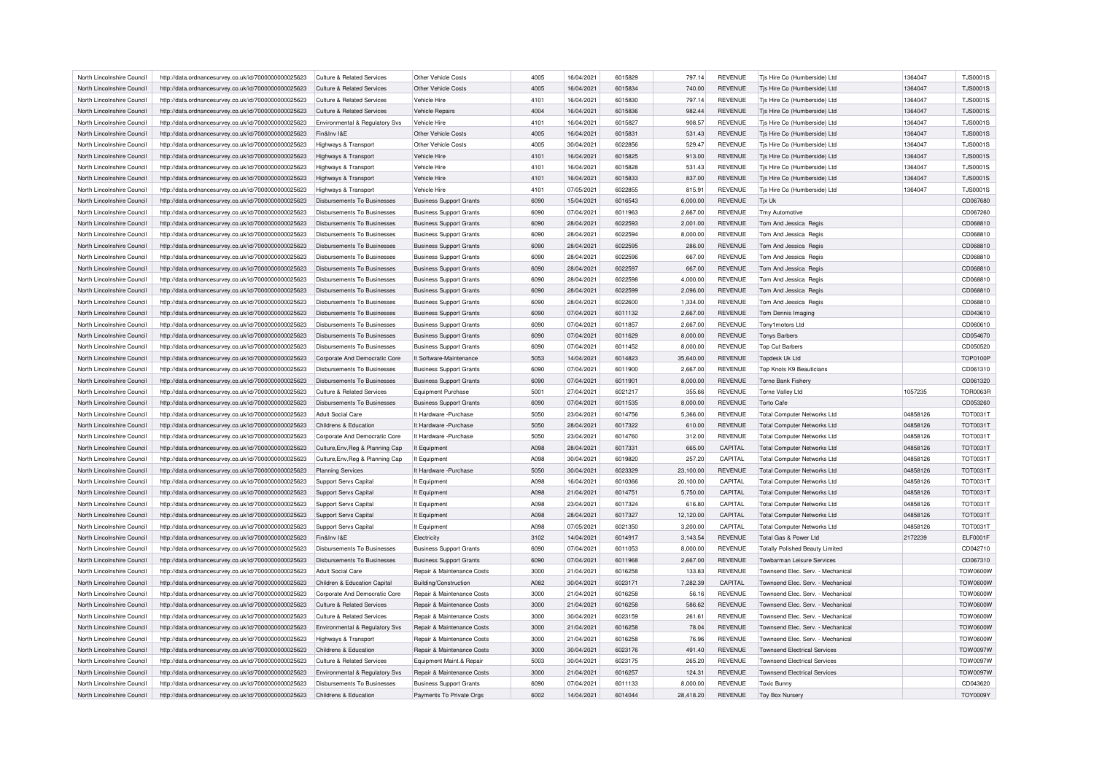| North Lincolnshire Council | http://data.ordnancesurvey.co.uk/id/7000000000025623 | Culture & Related Services            | Other Vehicle Costs            | 4005 | 16/04/2021 | 6015829 | 797.14    | <b>REVENUE</b> | Tis Hire Co (Humberside) Ltd           | 1364047  | <b>TJS0001S</b> |
|----------------------------|------------------------------------------------------|---------------------------------------|--------------------------------|------|------------|---------|-----------|----------------|----------------------------------------|----------|-----------------|
| North Lincolnshire Council | http://data.ordnancesurvey.co.uk/id/7000000000025623 | Culture & Related Services            | Other Vehicle Costs            | 4005 | 16/04/2021 | 6015834 | 740.00    | <b>REVENUE</b> | Tjs Hire Co (Humberside) Ltd           | 1364047  | <b>TJS0001S</b> |
| North Lincolnshire Council | http://data.ordnancesurvey.co.uk/id/7000000000025623 | Culture & Related Services            | Vehicle Hire                   | 4101 | 16/04/2021 | 6015830 | 797.14    | <b>REVENUE</b> | Tjs Hire Co (Humberside) Ltd           | 1364047  | <b>TJS0001S</b> |
| North Lincolnshire Council | http://data.ordnancesurvey.co.uk/id/7000000000025623 | <b>Culture &amp; Related Services</b> | <b>Vehicle Repairs</b>         | 4004 | 16/04/2021 | 6015836 | 982.44    | <b>REVENUE</b> | Tjs Hire Co (Humberside) Ltd           | 1364047  | <b>TJS0001S</b> |
| North Lincolnshire Council | http://data.ordnancesurvey.co.uk/id/7000000000025623 | Environmental & Regulatory Svs        | Vehicle Hire                   | 4101 | 16/04/2021 | 6015827 | 908.57    | <b>REVENUE</b> | Tjs Hire Co (Humberside) Ltd           | 1364047  | <b>TJS0001S</b> |
| North Lincolnshire Council | http://data.ordnancesurvey.co.uk/id/7000000000025623 | Fin&Inv I&F                           | Other Vehicle Costs            | 4005 | 16/04/2021 | 6015831 | 531.43    | <b>REVENUE</b> | Tjs Hire Co (Humberside) Ltd           | 1364047  | <b>TJS0001S</b> |
| North Lincolnshire Council | http://data.ordnancesurvey.co.uk/id/7000000000025623 | Highways & Transport                  | Other Vehicle Costs            | 4005 | 30/04/2021 | 6022856 | 529.47    | <b>REVENUE</b> | Tjs Hire Co (Humberside) Ltd           | 1364047  | <b>TJS0001S</b> |
| North Lincolnshire Council | http://data.ordnancesurvey.co.uk/id/7000000000025623 | Highways & Transport                  | Vehicle Hire                   | 4101 | 16/04/2021 | 6015825 | 913.00    | <b>REVENUE</b> | Tjs Hire Co (Humberside) Ltd           | 1364047  | <b>TJS0001S</b> |
| North Lincolnshire Council | http://data.ordnancesurvey.co.uk/id/7000000000025623 | Highways & Transport                  | Vehicle Hire                   | 4101 | 16/04/2021 | 6015828 | 531.43    | <b>REVENUE</b> | Tjs Hire Co (Humberside) Ltd           | 1364047  | <b>TJS0001S</b> |
| North Lincolnshire Council | http://data.ordnancesurvey.co.uk/id/7000000000025623 | Highways & Transport                  | Vehicle Hire                   | 4101 | 16/04/2021 | 6015833 | 837.00    | <b>REVENUE</b> | Tjs Hire Co (Humberside) Ltd           | 1364047  | <b>TJS0001S</b> |
|                            |                                                      |                                       |                                | 4101 | 07/05/2021 | 6022855 |           | <b>REVENUE</b> |                                        |          | <b>TJS0001S</b> |
| North Lincolnshire Council | http://data.ordnancesurvey.co.uk/id/7000000000025623 | Highways & Transport                  | Vehicle Hire                   |      |            |         | 815.91    |                | Tjs Hire Co (Humberside) Ltd           | 1364047  |                 |
| North Lincolnshire Council | http://data.ordnancesurvey.co.uk/id/7000000000025623 | Disbursements To Businesses           | <b>Business Support Grants</b> | 6090 | 15/04/2021 | 6016543 | 6,000.00  | <b>REVENUE</b> | Tjx Uk                                 |          | CD067680        |
| North Lincolnshire Council | http://data.ordnancesurvey.co.uk/id/7000000000025623 | Disbursements To Businesses           | <b>Business Support Grants</b> | 6090 | 07/04/2021 | 6011963 | 2,667.00  | <b>REVENUE</b> | Tmy Automotive                         |          | CD067260        |
| North Lincolnshire Council | http://data.ordnancesurvey.co.uk/id/7000000000025623 | <b>Disbursements To Businesses</b>    | <b>Business Support Grants</b> | 6090 | 28/04/2021 | 6022593 | 2,001.00  | <b>REVENUE</b> | Tom And Jessica Regis                  |          | CD068810        |
| North Lincolnshire Council | http://data.ordnancesurvey.co.uk/id/7000000000025623 | Disbursements To Businesses           | <b>Business Support Grants</b> | 6090 | 28/04/2021 | 6022594 | 8,000.00  | <b>REVENUE</b> | Tom And Jessica Regis                  |          | CD068810        |
| North Lincolnshire Council | http://data.ordnancesurvey.co.uk/id/7000000000025623 | Disbursements To Businesses           | <b>Business Support Grants</b> | 6090 | 28/04/2021 | 6022595 | 286.00    | <b>REVENUE</b> | Tom And Jessica Regis                  |          | CD068810        |
| North Lincolnshire Council | http://data.ordnancesurvey.co.uk/id/7000000000025623 | Disbursements To Businesses           | <b>Business Support Grants</b> | 6090 | 28/04/2021 | 6022596 | 667.00    | <b>REVENUE</b> | Tom And Jessica Regis                  |          | CD068810        |
| North Lincolnshire Council | http://data.ordnancesurvey.co.uk/id/7000000000025623 | <b>Disbursements To Businesses</b>    | <b>Business Support Grants</b> | 6090 | 28/04/2021 | 6022597 | 667.00    | <b>REVENUE</b> | Tom And Jessica Regis                  |          | CD068810        |
| North Lincolnshire Council | http://data.ordnancesurvey.co.uk/id/7000000000025623 | Disbursements To Businesses           | <b>Business Support Grants</b> | 6090 | 28/04/2021 | 6022598 | 4,000.00  | <b>REVENUE</b> | Tom And Jessica Regis                  |          | CD068810        |
| North Lincolnshire Council | http://data.ordnancesurvey.co.uk/id/7000000000025623 | Disbursements To Businesses           | <b>Business Support Grants</b> | 6090 | 28/04/2021 | 6022599 | 2.096.00  | <b>REVENUE</b> | Tom And Jessica Regis                  |          | CD068810        |
| North Lincolnshire Council | http://data.ordnancesurvey.co.uk/id/7000000000025623 | Disbursements To Businesses           | <b>Business Support Grants</b> | 6090 | 28/04/2021 | 6022600 | 1,334.00  | <b>REVENUE</b> | Tom And Jessica Regis                  |          | CD068810        |
| North Lincolnshire Council | http://data.ordnancesurvey.co.uk/id/7000000000025623 | Disbursements To Businesses           | <b>Business Support Grants</b> | 6090 | 07/04/2021 | 6011132 | 2,667.00  | <b>REVENUE</b> | Tom Dennis Imaging                     |          | CD043610        |
| North Lincolnshire Council | http://data.ordnancesurvey.co.uk/id/7000000000025623 | Disbursements To Businesses           | <b>Business Support Grants</b> | 6090 | 07/04/2021 | 6011857 | 2.667.00  | <b>REVENUE</b> | Tony1motors Ltd                        |          | CD060610        |
| North Lincolnshire Council | http://data.ordnancesurvey.co.uk/id/7000000000025623 | <b>Disbursements To Businesses</b>    | <b>Business Support Grants</b> | 6090 | 07/04/2021 | 6011629 | 8,000.00  | <b>REVENUE</b> | <b>Tonys Barbers</b>                   |          | CD054670        |
| North Lincolnshire Council | http://data.ordnancesurvey.co.uk/id/7000000000025623 | <b>Disbursements To Businesses</b>    | <b>Business Support Grants</b> | 6090 | 07/04/2021 | 6011452 | 8,000.00  | <b>REVENUE</b> | <b>Top Cut Barbers</b>                 |          | CD050520        |
| North Lincolnshire Council | http://data.ordnancesurvey.co.uk/id/7000000000025623 | Corporate And Democratic Core         | It Software-Maintenance        | 5053 | 14/04/2021 | 6014823 | 35,640.00 | <b>REVENUE</b> | Tondesk Uk Ltd                         |          | <b>TOP0100P</b> |
|                            |                                                      |                                       |                                |      |            |         |           |                |                                        |          |                 |
| North Lincolnshire Council | http://data.ordnancesurvey.co.uk/id/7000000000025623 | Disbursements To Businesses           | <b>Business Support Grants</b> | 6090 | 07/04/2021 | 6011900 | 2,667.00  | <b>REVENUE</b> | Top Knots K9 Beauticians               |          | CD061310        |
| North Lincolnshire Council | http://data.ordnancesurvey.co.uk/id/7000000000025623 | Disbursements To Businesses           | <b>Business Support Grants</b> | 6090 | 07/04/2021 | 6011901 | 8,000.00  | <b>REVENUE</b> | Torne Bank Fishery                     |          | CD061320        |
| North Lincolnshire Council | http://data.ordnancesurvey.co.uk/id/7000000000025623 | Culture & Related Services            | Foujoment Purchase             | 5001 | 27/04/2021 | 6021217 | 355.66    | <b>REVENUE</b> | Torne Vallev Ltd                       | 1057235  | <b>TOR0063F</b> |
| North Lincolnshire Council | http://data.ordnancesurvey.co.uk/id/7000000000025623 | <b>Disbursements To Businesses</b>    | <b>Business Support Grants</b> | 6090 | 07/04/2021 | 6011535 | 8,000.00  | <b>REVENUE</b> | <b>Torto Cafe</b>                      |          | CD053260        |
| North Lincolnshire Council | http://data.ordnancesurvey.co.uk/id/7000000000025623 | <b>Adult Social Care</b>              | It Hardware - Purchase         | 5050 | 23/04/2021 | 6014756 | 5,366.00  | <b>REVENUE</b> | <b>Total Computer Networks Ltd</b>     | 04858126 | <b>TOT0031T</b> |
| North Lincolnshire Council | http://data.ordnancesurvey.co.uk/id/7000000000025623 | Childrens & Education                 | It Hardware - Purchase         | 5050 | 28/04/2021 | 6017322 | 610.00    | <b>REVENUE</b> | <b>Total Computer Networks Ltd</b>     | 04858126 | TOT0031T        |
| North Lincolnshire Council | http://data.ordnancesurvey.co.uk/id/7000000000025623 | Corporate And Democratic Core         | It Hardware - Purchase         | 5050 | 23/04/2021 | 6014760 | 312.00    | <b>REVENUE</b> | <b>Total Computer Networks Ltd</b>     | 04858126 | <b>TOT0031T</b> |
| North Lincolnshire Council | http://data.ordnancesurvey.co.uk/id/7000000000025623 | Culture, Env, Reg & Planning Cap      | It Equipment                   | A098 | 28/04/2021 | 6017331 | 665.00    | CAPITAL        | <b>Total Computer Networks Ltd</b>     | 04858126 | <b>TOT0031T</b> |
| North Lincolnshire Council | http://data.ordnancesurvey.co.uk/id/7000000000025623 | Culture, Env, Reg & Planning Cap      | It Equipment                   | A098 | 30/04/2021 | 6019820 | 257.20    | CAPITAL        | <b>Total Computer Networks Ltd</b>     | 04858126 | <b>TOT0031T</b> |
| North Lincolnshire Council | http://data.ordnancesurvey.co.uk/id/7000000000025623 | <b>Planning Services</b>              | It Hardware - Purchase         | 5050 | 30/04/2021 | 6023329 | 23,100.00 | <b>REVENUE</b> | <b>Total Computer Networks Ltd</b>     | 04858126 | <b>TOT0031T</b> |
| North Lincolnshire Council | http://data.ordnancesurvey.co.uk/id/7000000000025623 | Support Servs Capital                 | It Equipment                   | A098 | 16/04/2021 | 6010366 | 20,100.00 | CAPITAL        | <b>Total Computer Networks Ltd</b>     | 04858126 | <b>TOT0031T</b> |
| North Lincolnshire Council | http://data.ordnancesurvey.co.uk/id/7000000000025623 | Support Servs Capital                 | It Equipment                   | A098 | 21/04/2021 | 6014751 | 5,750.00  | CAPITAL        | <b>Total Computer Networks Ltd</b>     | 04858126 | TOT0031T        |
| North Lincolnshire Council | http://data.ordnancesurvey.co.uk/id/7000000000025623 | Support Servs Capital                 | It Equipment                   | A098 | 23/04/2021 | 6017324 | 616.80    | CAPITAL        | <b>Total Computer Networks Ltd</b>     | 04858126 | <b>TOT0031T</b> |
| North Lincolnshire Council | http://data.ordnancesurvey.co.uk/id/7000000000025623 | Support Servs Capital                 | It Equipment                   | A098 | 28/04/2021 | 6017327 | 12,120.00 | CAPITAL        | <b>Total Computer Networks Ltd</b>     | 04858126 | <b>TOT0031T</b> |
|                            |                                                      |                                       |                                |      |            |         |           |                |                                        |          |                 |
| North Lincolnshire Council | http://data.ordnancesurvey.co.uk/id/7000000000025623 | Support Servs Capital                 | It Equipment                   | A098 | 07/05/2021 | 6021350 | 3,200.00  | CAPITAL        | <b>Total Computer Networks Ltd</b>     | 04858126 | TOT0031T        |
| North Lincolnshire Council | http://data.ordnancesurvey.co.uk/id/7000000000025623 | Fin&Inv I&E                           | Electricity                    | 3102 | 14/04/2021 | 6014917 | 3,143.54  | REVENUE        | Total Gas & Power Ltd                  | 2172239  | ELF0001F        |
| North Lincolnshire Council | http://data.ordnancesurvey.co.uk/id/7000000000025623 | <b>Disbursements To Businesses</b>    | <b>Business Support Grants</b> | 6090 | 07/04/2021 | 6011053 | 8,000.00  | REVENUE        | <b>Totally Polished Beauty Limited</b> |          | CD042710        |
| North Lincolnshire Council | http://data.ordnancesurvey.co.uk/id/7000000000025623 | Disbursements To Businesses           | <b>Business Support Grants</b> | 6090 | 07/04/2021 | 6011968 | 2,667.00  | <b>REVENUE</b> | Towbarman Leisure Services             |          | CD067310        |
| North Lincolnshire Council | http://data.ordnancesurvey.co.uk/id/7000000000025623 | Adult Social Care                     | Repair & Maintenance Costs     | 3000 | 21/04/2021 | 6016258 | 133.83    | REVENUE        | Townsend Flec. Serv. - Mechanical      |          | <b>TOW0600W</b> |
| North Lincolnshire Council | http://data.ordnancesurvey.co.uk/id/7000000000025623 | Children & Education Capital          | <b>Building/Construction</b>   | A082 | 30/04/2021 | 6023171 | 7,282.39  | CAPITAL        | Townsend Elec. Serv. - Mechanical      |          | <b>TOW0600W</b> |
| North Lincolnshire Council | http://data.ordnancesurvey.co.uk/id/7000000000025623 | Corporate And Democratic Core         | Repair & Maintenance Costs     | 3000 | 21/04/2021 | 6016258 | 56.16     | <b>REVENUE</b> | Townsend Flec. Serv. - Mechanical      |          | <b>TOW0600W</b> |
| North Lincolnshire Council | http://data.ordnancesurvey.co.uk/id/7000000000025623 | Culture & Related Services            | Repair & Maintenance Costs     | 3000 | 21/04/2021 | 6016258 | 586.62    | <b>REVENUE</b> | Townsend Elec. Serv. - Mechanical      |          | <b>TOW0600W</b> |
| North Lincolnshire Council | http://data.ordnancesurvey.co.uk/id/7000000000025623 | Culture & Related Services            | Repair & Maintenance Costs     | 3000 | 30/04/2021 | 6023159 | 261.61    | <b>REVENUE</b> | Townsend Elec. Serv. - Mechanical      |          | <b>TOW0600W</b> |
| North Lincolnshire Council | http://data.ordnancesurvey.co.uk/id/7000000000025623 | Environmental & Regulatory Svs        | Repair & Maintenance Costs     | 3000 | 21/04/2021 | 6016258 | 78.04     | <b>REVENUE</b> | Townsend Elec. Serv. - Mechanical      |          | <b>TOW0600W</b> |
| North Lincolnshire Council | http://data.ordnancesurvey.co.uk/id/7000000000025623 | Highways & Transport                  | Repair & Maintenance Costs     | 3000 | 21/04/2021 | 6016258 | 76.96     | REVENUE        | Townsend Elec. Serv. - Mechanical      |          | <b>TOW0600W</b> |
| North Lincolnshire Council | http://data.ordnancesurvey.co.uk/id/7000000000025623 | Childrens & Education                 | Repair & Maintenance Costs     | 3000 | 30/04/2021 | 6023176 | 491.40    | <b>REVENUE</b> | <b>Townsend Electrical Services</b>    |          | <b>TOW0097W</b> |
| North Lincolnshire Council | http://data.ordnancesurvey.co.uk/id/7000000000025623 | Culture & Related Services            | Equipment Maint.& Repair       | 5003 | 30/04/2021 | 6023175 | 265.20    | <b>REVENUE</b> | <b>Townsend Electrical Services</b>    |          | <b>TOW0097W</b> |
| North Lincolnshire Council | http://data.ordnancesurvey.co.uk/id/7000000000025623 | Environmental & Regulatory Svs        | Repair & Maintenance Costs     | 3000 | 21/04/2021 | 6016257 | 124.31    | <b>REVENUE</b> | <b>Townsend Electrical Services</b>    |          | TOW0097W        |
| North Lincolnshire Council | http://data.ordnancesurvey.co.uk/id/7000000000025623 | Disbursements To Businesses           | <b>Business Support Grants</b> | 6090 | 07/04/2021 | 6011133 | 8.000.00  | <b>REVENUE</b> | <b>Toxic Bunny</b>                     |          | CD043620        |
| North Lincolnshire Council |                                                      | Childrens & Education                 | Payments To Private Orgs       | 6002 | 14/04/2021 | 6014044 | 28,418.20 | <b>REVENUE</b> |                                        |          | <b>TOY0009Y</b> |
|                            | http://data.ordnancesurvey.co.uk/id/7000000000025623 |                                       |                                |      |            |         |           |                | <b>Toy Box Nursery</b>                 |          |                 |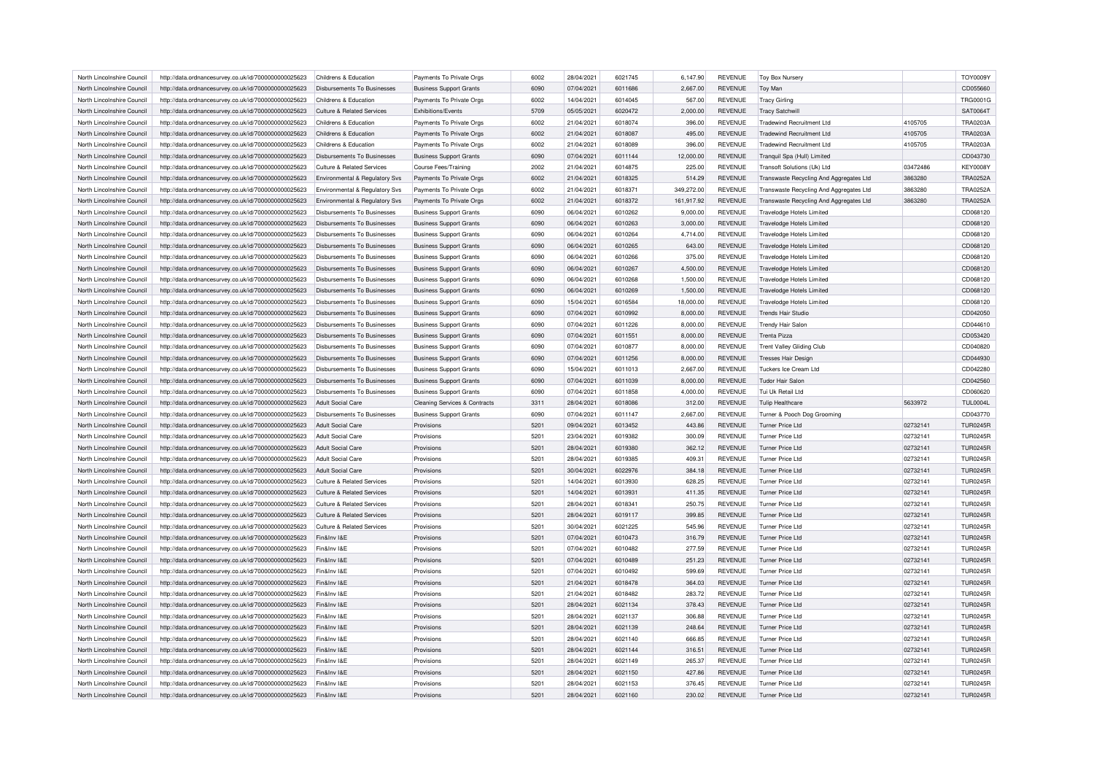| North Lincolnshire Council | http://data.ordnancesurvey.co.uk/id/7000000000025623 | Childrens & Education                 | Payments To Private Orgs                 | 6002 | 28/04/2021 | 6021745            | 6,147.90   | <b>REVENUE</b> | Toy Box Nursery                         |          | <b>TOY0009Y</b>      |
|----------------------------|------------------------------------------------------|---------------------------------------|------------------------------------------|------|------------|--------------------|------------|----------------|-----------------------------------------|----------|----------------------|
| North Lincolnshire Council | http://data.ordnancesurvey.co.uk/id/7000000000025623 | Disbursements To Businesses           | <b>Business Support Grants</b>           | 6090 | 07/04/2021 | 6011686            | 2,667.00   | <b>REVENUE</b> | Toy Man                                 |          | CD055660             |
| North Lincolnshire Council | http://data.ordnancesurvey.co.uk/id/7000000000025623 | Childrens & Education                 | Payments To Private Orgs                 | 6002 | 14/04/2021 | 6014045            | 567.00     | <b>REVENUE</b> | <b>Tracy Girling</b>                    |          | <b>TRG0001G</b>      |
| North Lincolnshire Council | http://data.ordnancesurvey.co.uk/id/7000000000025623 | <b>Culture &amp; Related Services</b> | Exhibitions/Events                       | 5709 | 05/05/2021 | 6020472            | 2,000.00   | <b>REVENUE</b> | <b>Tracy Satchwill</b>                  |          | <b>SAT0064T</b>      |
| North Lincolnshire Council | http://data.ordnancesurvey.co.uk/id/7000000000025623 | Childrens & Education                 | Payments To Private Orgs                 | 6002 | 21/04/2021 | 6018074            | 396.00     | <b>REVENUE</b> | <b>Tradewind Recruitment Ltd</b>        | 4105705  | <b>TRA0203A</b>      |
| North Lincolnshire Council | http://data.ordnancesurvey.co.uk/id/7000000000025623 | Childrens & Education                 | Payments To Private Orgs                 | 6002 | 21/04/2021 | 6018087            | 495.00     | <b>REVENUE</b> | <b>Tradewind Recruitment Ltd</b>        | 4105705  | <b>TRA0203A</b>      |
|                            |                                                      |                                       |                                          | 6002 |            |                    |            |                |                                         | 4105705  | <b>TRA0203A</b>      |
| North Lincolnshire Council | http://data.ordnancesurvey.co.uk/id/7000000000025623 | Childrens & Education                 | Payments To Private Orgs                 |      | 21/04/2021 | 6018089<br>6011144 | 396.00     | <b>REVENUE</b> | <b>Tradewind Recruitment Ltd</b>        |          |                      |
| North Lincolnshire Council | http://data.ordnancesurvey.co.uk/id/7000000000025623 | <b>Disbursements To Businesses</b>    | <b>Business Support Grants</b>           | 6090 | 07/04/2021 |                    | 12,000.00  | <b>REVENUE</b> | Tranquil Spa (Hull) Limited             |          | CD043730             |
| North Lincolnshire Council | http://data.ordnancesurvey.co.uk/id/7000000000025623 | <b>Culture &amp; Related Services</b> | Course Fees/Training                     | 2002 | 21/04/2021 | 6014875            | 225.00     | <b>REVENUE</b> | Transoft Solutions (Uk) Ltd             | 03472486 | <b>KEY0008Y</b>      |
| North Lincolnshire Council | http://data.ordnancesurvey.co.uk/id/7000000000025623 | Environmental & Regulatory Svs        | Payments To Private Orgs                 | 6002 | 21/04/2021 | 6018325            | 514.29     | <b>REVENUE</b> | Transwaste Recycling And Aggregates Ltd | 3863280  | <b>TRA0252A</b>      |
| North Lincolnshire Council | http://data.ordnancesurvey.co.uk/id/7000000000025623 | Environmental & Regulatory Svs        | Payments To Private Orgs                 | 6002 | 21/04/2021 | 6018371            | 349,272.00 | <b>REVENUE</b> | Transwaste Recycling And Aggregates Ltd | 3863280  | <b>TRA0252A</b>      |
| North Lincolnshire Council | http://data.ordnancesurvey.co.uk/id/7000000000025623 | Environmental & Regulatory Svs        | Payments To Private Orgs                 | 6002 | 21/04/2021 | 6018372            | 161,917.92 | <b>REVENUE</b> | Transwaste Recycling And Aggregates Ltd | 3863280  | <b>TRA0252A</b>      |
| North Lincolnshire Council | http://data.ordnancesurvey.co.uk/id/7000000000025623 | Disbursements To Businesses           | <b>Business Support Grants</b>           | 6090 | 06/04/2021 | 6010262            | 9,000.00   | <b>REVENUE</b> | <b>Travelodge Hotels Limited</b>        |          | CD068120             |
| North Lincolnshire Council | http://data.ordnancesurvey.co.uk/id/7000000000025623 | <b>Disbursements To Businesses</b>    | <b>Business Support Grants</b>           | 6090 | 06/04/2021 | 6010263            | 3,000.00   | <b>REVENUE</b> | <b>Travelodge Hotels Limited</b>        |          | CD068120             |
| North Lincolnshire Council | http://data.ordnancesurvey.co.uk/id/7000000000025623 | <b>Disbursements To Businesses</b>    | <b>Business Support Grants</b>           | 6090 | 06/04/2021 | 6010264            | 4,714.00   | <b>REVENUE</b> | Travelodge Hotels Limited               |          | CD068120             |
| North Lincolnshire Council | http://data.ordnancesurvey.co.uk/id/7000000000025623 | Disbursements To Businesses           | <b>Business Support Grants</b>           | 6090 | 06/04/2021 | 6010265            | 643.00     | <b>REVENUE</b> | <b>Travelodge Hotels Limited</b>        |          | CD068120             |
| North Lincolnshire Council | http://data.ordnancesurvey.co.uk/id/7000000000025623 | Disbursements To Businesses           | <b>Business Support Grants</b>           | 6090 | 06/04/2021 | 6010266            | 375.00     | <b>REVENUE</b> | Travelodge Hotels Limited               |          | CD068120             |
| North Lincolnshire Council | http://data.ordnancesurvey.co.uk/id/7000000000025623 | <b>Disbursements To Businesses</b>    | <b>Business Support Grants</b>           | 6090 | 06/04/2021 | 6010267            | 4,500.00   | <b>REVENUE</b> | <b>Travelodge Hotels Limited</b>        |          | CD068120             |
| North Lincolnshire Council | http://data.ordnancesurvey.co.uk/id/7000000000025623 | <b>Disbursements To Businesses</b>    | <b>Business Support Grants</b>           | 6090 | 06/04/2021 | 6010268            | 1,500.00   | <b>REVENUE</b> | <b>Travelodge Hotels Limited</b>        |          | CD068120             |
| North Lincolnshire Council | http://data.ordnancesurvey.co.uk/id/7000000000025623 | Disbursements To Businesses           | <b>Business Support Grants</b>           | 6090 | 06/04/2021 | 6010269            | 1,500.00   | <b>REVENUE</b> | <b>Travelodge Hotels Limited</b>        |          | CD068120             |
| North Lincolnshire Council | http://data.ordnancesurvey.co.uk/id/7000000000025623 | <b>Disbursements To Businesses</b>    | <b>Business Support Grants</b>           | 6090 | 15/04/2021 | 6016584            | 18,000.00  | <b>REVENUE</b> | <b>Travelodge Hotels Limited</b>        |          | CD068120             |
| North Lincolnshire Council | http://data.ordnancesurvey.co.uk/id/7000000000025623 | <b>Disbursements To Businesses</b>    | <b>Business Support Grants</b>           | 6090 | 07/04/2021 | 6010992            | 8,000.00   | <b>REVENUE</b> | <b>Trends Hair Studio</b>               |          | CD042050             |
| North Lincolnshire Council | http://data.ordnancesurvey.co.uk/id/7000000000025623 | <b>Disbursements To Businesses</b>    | <b>Business Support Grants</b>           | 6090 | 07/04/2021 | 6011226            | 8,000.00   | <b>REVENUE</b> | Trendy Hair Salon                       |          | CD044610             |
| North Lincolnshire Council | http://data.ordnancesurvey.co.uk/id/7000000000025623 | <b>Disbursements To Businesses</b>    | <b>Business Support Grants</b>           | 6090 | 07/04/2021 | 6011551            | 8,000.00   | <b>REVENUE</b> | <b>Trenta Pizza</b>                     |          | CD053420             |
| North Lincolnshire Council | http://data.ordnancesurvey.co.uk/id/7000000000025623 | <b>Disbursements To Businesses</b>    | <b>Business Support Grants</b>           | 6090 | 07/04/2021 | 6010877            | 8,000.00   | <b>REVENUE</b> | <b>Trent Valley Gliding Club</b>        |          | CD040820             |
| North Lincolnshire Council | http://data.ordnancesurvey.co.uk/id/7000000000025623 | <b>Disbursements To Businesses</b>    | <b>Business Support Grants</b>           | 6090 | 07/04/2021 | 6011256            | 8,000.00   | <b>REVENUE</b> | <b>Tresses Hair Design</b>              |          | CD044930             |
| North Lincolnshire Council |                                                      | Disbursements To Businesses           |                                          | 6090 |            | 6011013            |            | <b>REVENUE</b> | Tuckers Ice Cream Ltd                   |          |                      |
|                            | http://data.ordnancesurvey.co.uk/id/7000000000025623 |                                       | <b>Business Support Grants</b>           | 6090 | 15/04/2021 |                    | 2,667.00   |                |                                         |          | CD042280<br>CD042560 |
| North Lincolnshire Council | http://data.ordnancesurvey.co.uk/id/7000000000025623 | <b>Disbursements To Businesses</b>    | <b>Business Support Grants</b>           |      | 07/04/2021 | 6011039            | 8,000.00   | <b>REVENUE</b> | <b>Tudor Hair Salon</b>                 |          |                      |
| North Lincolnshire Council | http://data.ordnancesurvey.co.uk/id/7000000000025623 | <b>Disbursements To Businesses</b>    | <b>Business Support Grants</b>           | 6090 | 07/04/2021 | 6011858            | 4,000.00   | <b>REVENUE</b> | Tui Uk Retail Ltd                       |          | CD060620             |
| North Lincolnshire Council | http://data.ordnancesurvey.co.uk/id/7000000000025623 | Adult Social Care                     | <b>Cleaning Services &amp; Contracts</b> | 3311 | 28/04/2021 | 6018086            | 312.00     | <b>REVENUE</b> | <b>Tulip Healthcare</b>                 | 5633972  | <b>TUL0004L</b>      |
| North Lincolnshire Council | http://data.ordnancesurvey.co.uk/id/7000000000025623 | <b>Disbursements To Businesses</b>    | <b>Business Support Grants</b>           | 6090 | 07/04/2021 | 6011147            | 2,667.00   | <b>REVENUE</b> | Turner & Pooch Dog Grooming             |          | CD043770             |
| North Lincolnshire Council | http://data.ordnancesurvey.co.uk/id/7000000000025623 | Adult Social Care                     | Provisions                               | 5201 | 09/04/2021 | 6013452            | 443.86     | <b>REVENUE</b> | Turner Price Ltd                        | 02732141 | <b>TUR0245R</b>      |
| North Lincolnshire Council | http://data.ordnancesurvey.co.uk/id/7000000000025623 | <b>Adult Social Care</b>              | Provisions                               | 5201 | 23/04/2021 | 6019382            | 300.09     | <b>REVENUE</b> | Turner Price I td                       | 02732141 | <b>TUR0245R</b>      |
| North Lincolnshire Council | http://data.ordnancesurvey.co.uk/id/7000000000025623 | <b>Adult Social Care</b>              | Provisions                               | 5201 | 28/04/2021 | 6019380            | 362.12     | <b>REVENUE</b> | <b>Turner Price Ltd</b>                 | 02732141 | <b>TUR0245R</b>      |
| North Lincolnshire Council | http://data.ordnancesurvey.co.uk/id/7000000000025623 | <b>Adult Social Care</b>              | Provisions                               | 5201 | 28/04/2021 | 6019385            | 409.31     | <b>REVENUE</b> | Turner Price Ltd                        | 02732141 | <b>TUR0245R</b>      |
| North Lincolnshire Council | http://data.ordnancesurvey.co.uk/id/7000000000025623 | Adult Social Care                     | Provisions                               | 5201 | 30/04/2021 | 6022976            | 384.18     | <b>REVENUE</b> | <b>Turner Price Ltd</b>                 | 02732141 | <b>TUR0245R</b>      |
| North Lincolnshire Council | http://data.ordnancesurvey.co.uk/id/7000000000025623 | Culture & Related Services            | Provisions                               | 5201 | 14/04/2021 | 6013930            | 628.25     | <b>REVENUE</b> | Turner Price Ltd                        | 02732141 | <b>TUR0245R</b>      |
| North Lincolnshire Council | http://data.ordnancesurvey.co.uk/id/7000000000025623 | Culture & Related Services            | Provisions                               | 5201 | 14/04/2021 | 6013931            | 411.35     | <b>REVENUE</b> | Turner Price Ltd                        | 02732141 | <b>TUR0245R</b>      |
| North Lincolnshire Council | http://data.ordnancesurvey.co.uk/id/7000000000025623 | <b>Culture &amp; Related Services</b> | Provisions                               | 5201 | 28/04/2021 | 6018341            | 250.75     | <b>REVENUE</b> | <b>Turner Price Ltd</b>                 | 02732141 | <b>TUR0245R</b>      |
| North Lincolnshire Council | http://data.ordnancesurvey.co.uk/id/7000000000025623 | <b>Culture &amp; Related Services</b> | Provisions                               | 5201 | 28/04/2021 | 6019117            | 399.85     | <b>REVENUE</b> | Turner Price Ltd                        | 02732141 | <b>TUR0245R</b>      |
| North Lincolnshire Council | http://data.ordnancesurvey.co.uk/id/7000000000025623 | Culture & Related Services            | Provisions                               | 5201 | 30/04/2021 | 6021225            | 545.96     | <b>REVENUE</b> | <b>Turner Price Ltd</b>                 | 02732141 | <b>TUR0245R</b>      |
| North Lincolnshire Council | http://data.ordnancesurvey.co.uk/id/7000000000025623 | Fin&Inv I&E                           | Provisions                               | 5201 | 07/04/2021 | 6010473            | 316.79     | <b>REVENUE</b> | <b>Turner Price Ltd</b>                 | 02732141 | <b>TUR0245R</b>      |
| North Lincolnshire Council | http://data.ordnancesurvey.co.uk/id/7000000000025623 | Fin&Inv I&E                           | Provisions                               | 5201 | 07/04/2021 | 6010482            | 277.59     | <b>REVENUE</b> | <b>Turner Price Ltd</b>                 | 02732141 | <b>TUR0245R</b>      |
| North Lincolnshire Council | http://data.ordnancesurvey.co.uk/id/7000000000025623 | Fin&Inv I&E                           | Provisions                               | 5201 | 07/04/2021 | 6010489            | 251.23     | <b>REVENUE</b> | <b>Turner Price Ltd</b>                 | 02732141 | <b>TUR0245R</b>      |
| North Lincolnshire Council | http://data.ordnancesurvey.co.uk/id/7000000000025623 | Fin&Inv I&E                           | Provisions                               | 5201 | 07/04/2021 | 6010492            | 599.69     | <b>REVENUE</b> | Turner Price Ltd                        | 02732141 | <b>TUR0245R</b>      |
| North Lincolnshire Council | http://data.ordnancesurvey.co.uk/id/7000000000025623 | Fin&Inv I&E                           | Provisions                               | 5201 | 21/04/2021 | 6018478            | 364.03     | <b>REVENUE</b> | <b>Turner Price Ltd</b>                 | 02732141 | <b>TUR0245R</b>      |
| North Lincolnshire Council | http://data.ordnancesurvey.co.uk/id/7000000000025623 | Fin&Inv I&E                           | Provisions                               | 5201 | 21/04/2021 | 6018482            | 283.72     | <b>REVENUE</b> | <b>Turner Price Ltd</b>                 | 02732141 | <b>TUR0245R</b>      |
| North Lincolnshire Council |                                                      | Fin&Inv I&E                           | Provisions                               | 5201 | 28/04/2021 | 6021134            | 378.43     | <b>REVENUE</b> | Turner Price Ltd                        | 02732141 | <b>TUR0245R</b>      |
| North Lincolnshire Council | http://data.ordnancesurvey.co.uk/id/7000000000025623 | Fin&Inv I&E                           | Provisions                               | 5201 | 28/04/2021 | 6021137            | 306.88     | <b>REVENUE</b> | <b>Turner Price Ltd</b>                 | 02732141 | <b>TUR0245R</b>      |
|                            | http://data.ordnancesurvey.co.uk/id/7000000000025623 |                                       |                                          |      |            |                    |            |                |                                         |          |                      |
| North Lincolnshire Council | http://data.ordnancesurvey.co.uk/id/7000000000025623 | Fin&Inv I&E                           | Provisions                               | 5201 | 28/04/2021 | 6021139            | 248.64     | <b>REVENUE</b> | <b>Turner Price Ltd</b>                 | 02732141 | <b>TUR0245R</b>      |
| North Lincolnshire Council | http://data.ordnancesurvey.co.uk/id/7000000000025623 | Fin&Inv I&E                           | Provisions                               | 5201 | 28/04/2021 | 6021140            | 666.85     | <b>REVENUE</b> | <b>Turner Price Ltd</b>                 | 02732141 | <b>TUR0245R</b>      |
| North Lincolnshire Council | http://data.ordnancesurvey.co.uk/id/7000000000025623 | Fin&Inv I&E                           | Provisions                               | 5201 | 28/04/2021 | 6021144            | 316.51     | <b>REVENUE</b> | <b>Turner Price Ltd</b>                 | 02732141 | <b>TUR0245R</b>      |
| North Lincolnshire Council | http://data.ordnancesurvey.co.uk/id/7000000000025623 | Fin&Inv I&E                           | Provisions                               | 5201 | 28/04/2021 | 6021149            | 265.37     | <b>REVENUE</b> | Turner Price Ltd                        | 02732141 | <b>TUR0245R</b>      |
| North Lincolnshire Council | http://data.ordnancesurvey.co.uk/id/7000000000025623 | Fin&Inv I&E                           | Provisions                               | 5201 | 28/04/2021 | 6021150            | 427.86     | <b>REVENUE</b> | <b>Turner Price Ltd</b>                 | 02732141 | <b>TUR0245R</b>      |
| North Lincolnshire Council | http://data.ordnancesurvey.co.uk/id/7000000000025623 | Fin&Inv I&E                           | Provisions                               | 5201 | 28/04/2021 | 6021153            | 376.45     | <b>REVENUE</b> | <b>Turner Price Ltd</b>                 | 02732141 | <b>TUR0245R</b>      |
| North Lincolnshire Council | http://data.ordnancesurvey.co.uk/id/7000000000025623 | Fin&Inv I&E                           | Provisions                               | 5201 | 28/04/2021 | 6021160            | 230.02     | <b>REVENUE</b> | <b>Turner Price Ltd</b>                 | 02732141 | <b>TUR0245R</b>      |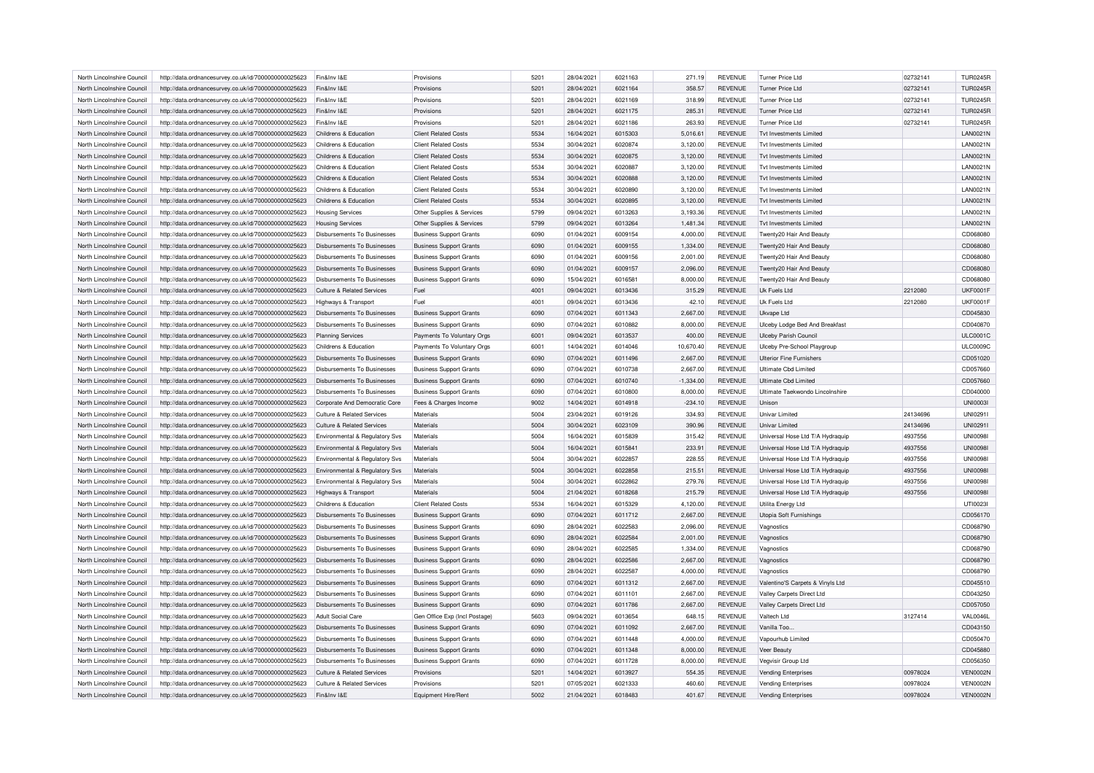| North Lincolnshire Council | http://data.ordnancesurvey.co.uk/id/7000000000025623 | Fin&Inv I&E                           | Provisions                     | 5201 | 28/04/2021 | 6021163 | 271.19      | <b>REVENUE</b> | <b>Turner Price Ltd</b>          | 02732141 | <b>TUR0245R</b> |
|----------------------------|------------------------------------------------------|---------------------------------------|--------------------------------|------|------------|---------|-------------|----------------|----------------------------------|----------|-----------------|
| North Lincolnshire Council | http://data.ordnancesurvey.co.uk/id/7000000000025623 | Fin&Inv I&E                           | Provisions                     | 5201 | 28/04/2021 | 6021164 | 358.57      | <b>REVENUE</b> | <b>Turner Price Ltd</b>          | 02732141 | <b>TUR0245R</b> |
| North Lincolnshire Council | http://data.ordnancesurvey.co.uk/id/7000000000025623 | Fin&Inv I&E                           | Provisions                     | 5201 | 28/04/2021 | 6021169 | 318.99      | <b>REVENUE</b> | <b>Turner Price Ltd</b>          | 02732141 | <b>TUR0245R</b> |
| North Lincolnshire Council | http://data.ordnancesurvey.co.uk/id/7000000000025623 | Fin&Inv I&E                           | Provisions                     | 5201 | 28/04/2021 | 6021175 | 285.31      | <b>REVENUE</b> | <b>Turner Price Ltd</b>          | 02732141 | <b>TUR0245R</b> |
| North Lincolnshire Council | http://data.ordnancesurvey.co.uk/id/7000000000025623 | Fin&Inv I&E                           | Provisions                     | 5201 | 28/04/2021 | 6021186 | 263.93      | <b>REVENUE</b> | <b>Turner Price Ltd</b>          | 02732141 | <b>TUR0245R</b> |
| North Lincolnshire Council | http://data.ordnancesurvey.co.uk/id/7000000000025623 | Childrens & Education                 | <b>Client Related Costs</b>    | 5534 | 16/04/2021 | 6015303 | 5,016.61    | <b>REVENUE</b> | <b>Tvt Investments Limited</b>   |          | <b>LAN0021N</b> |
| North Lincolnshire Council | http://data.ordnancesurvey.co.uk/id/7000000000025623 | Childrens & Education                 | <b>Client Related Costs</b>    | 5534 | 30/04/2021 | 6020874 | 3,120.00    | <b>REVENUE</b> | <b>Tvt Investments Limited</b>   |          | <b>LAN0021N</b> |
| North Lincolnshire Council | http://data.ordnancesurvey.co.uk/id/7000000000025623 | Childrens & Education                 | <b>Client Related Costs</b>    | 5534 | 30/04/2021 | 6020875 | 3,120.00    | <b>REVENUE</b> | Tyt Investments I imited         |          | <b>LAN0021N</b> |
| North Lincolnshire Council | http://data.ordnancesurvey.co.uk/id/7000000000025623 | Childrens & Education                 | <b>Client Related Costs</b>    | 5534 | 30/04/2021 | 6020887 | 3,120.00    | <b>REVENUE</b> | <b>Tvt Investments Limited</b>   |          | <b>LAN0021N</b> |
| North Lincolnshire Council | http://data.ordnancesurvey.co.uk/id/7000000000025623 | Childrens & Education                 | <b>Client Related Costs</b>    | 5534 | 30/04/2021 | 6020888 | 3,120.00    | <b>REVENUE</b> | Tyt Investments I imited         |          | <b>LAN0021N</b> |
| North Lincolnshire Council | http://data.ordnancesurvey.co.uk/id/7000000000025623 | Childrens & Education                 | <b>Client Related Costs</b>    | 5534 | 30/04/2021 | 6020890 | 3,120.00    | <b>REVENUE</b> | Tyt Investments I imited         |          | <b>LAN0021N</b> |
| North Lincolnshire Council | http://data.ordnancesurvey.co.uk/id/7000000000025623 | Childrens & Education                 | <b>Client Related Costs</b>    | 5534 | 30/04/2021 | 6020895 | 3,120.00    | <b>REVENUE</b> | Tyt Investments I imited         |          | <b>LAN0021N</b> |
| North Lincolnshire Council | http://data.ordnancesurvey.co.uk/id/7000000000025623 | <b>Housing Services</b>               | Other Supplies & Services      | 5799 | 09/04/2021 | 6013263 | 3,193.36    | REVENUE        | <b>Tvt Investments Limited</b>   |          | <b>LAN0021N</b> |
| North Lincolnshire Council | http://data.ordnancesurvey.co.uk/id/7000000000025623 | <b>Housing Services</b>               | Other Supplies & Services      | 5799 | 09/04/2021 | 6013264 | 1,481.34    | <b>REVENUE</b> | Tyt Investments I imited         |          | <b>LAN0021N</b> |
|                            |                                                      |                                       |                                |      |            |         |             |                |                                  |          |                 |
| North Lincolnshire Council | http://data.ordnancesurvey.co.uk/id/7000000000025623 | Disbursements To Businesses           | <b>Business Support Grants</b> | 6090 | 01/04/2021 | 6009154 | 4,000.00    | <b>REVENUE</b> | Twenty20 Hair And Beauty         |          | CD068080        |
| North Lincolnshire Council | http://data.ordnancesurvey.co.uk/id/7000000000025623 | <b>Disbursements To Businesses</b>    | <b>Business Support Grants</b> | 6090 | 01/04/2021 | 6009155 | 1,334.00    | <b>REVENUE</b> | Twenty20 Hair And Beauty         |          | CD068080        |
| North Lincolnshire Council | http://data.ordnancesurvey.co.uk/id/7000000000025623 | Disbursements To Businesses           | <b>Business Support Grants</b> | 6090 | 01/04/2021 | 6009156 | 2,001.00    | <b>REVENUE</b> | Twenty20 Hair And Beauty         |          | CD068080        |
| North Lincolnshire Council | http://data.ordnancesurvey.co.uk/id/7000000000025623 | Disbursements To Businesses           | <b>Business Support Grants</b> | 6090 | 01/04/2021 | 6009157 | 2,096.00    | <b>REVENUE</b> | Twenty20 Hair And Beauty         |          | CD068080        |
| North Lincolnshire Council | http://data.ordnancesurvey.co.uk/id/7000000000025623 | Disbursements To Businesses           | <b>Business Support Grants</b> | 6090 | 15/04/2021 | 6016581 | 8,000.00    | <b>REVENUE</b> | Twenty20 Hair And Beauty         |          | CD068080        |
| North Lincolnshire Council | http://data.ordnancesurvey.co.uk/id/7000000000025623 | Culture & Related Services            | Fuel                           | 4001 | 09/04/2021 | 6013436 | 315.29      | <b>REVENUE</b> | Uk Fuels Ltd                     | 2212080  | <b>UKF0001F</b> |
| North Lincolnshire Council | http://data.ordnancesurvey.co.uk/id/7000000000025623 | Highways & Transport                  | Fuel                           | 4001 | 09/04/2021 | 6013436 | 42.10       | <b>REVENUE</b> | Uk Fuels Ltd                     | 2212080  | <b>UKF0001F</b> |
| North Lincolnshire Council | http://data.ordnancesurvey.co.uk/id/7000000000025623 | Disbursements To Businesses           | <b>Business Support Grants</b> | 6090 | 07/04/2021 | 6011343 | 2,667.00    | <b>REVENUE</b> | Ukvape Ltd                       |          | CD045830        |
| North Lincolnshire Council | http://data.ordnancesurvey.co.uk/id/7000000000025623 | <b>Disbursements To Businesses</b>    | <b>Business Support Grants</b> | 6090 | 07/04/2021 | 6010882 | 8,000.00    | <b>REVENUE</b> | Ulceby Lodge Bed And Breakfast   |          | CD040870        |
| North Lincolnshire Council | http://data.ordnancesurvey.co.uk/id/7000000000025623 | Planning Services                     | Payments To Voluntary Orgs     | 6001 | 09/04/2021 | 6013537 | 400.00      | <b>REVENUE</b> | <b>Ulceby Parish Council</b>     |          | <b>ULC0001C</b> |
| North Lincolnshire Council | http://data.ordnancesurvey.co.uk/id/7000000000025623 | Childrens & Education                 | Payments To Voluntary Orgs     | 6001 | 14/04/2021 | 6014046 | 10,670.40   | <b>REVENUE</b> | Ulceby Pre-School Playgroup      |          | <b>ULC0009C</b> |
| North Lincolnshire Council | http://data.ordnancesurvey.co.uk/id/7000000000025623 | <b>Disbursements To Businesses</b>    | <b>Business Support Grants</b> | 6090 | 07/04/2021 | 6011496 | 2,667.00    | <b>REVENUE</b> | <b>Ulterior Fine Furnishers</b>  |          | CD051020        |
| North Lincolnshire Council | http://data.ordnancesurvey.co.uk/id/7000000000025623 | Disbursements To Businesses           | <b>Business Support Grants</b> | 6090 | 07/04/2021 | 6010738 | 2,667.00    | <b>REVENUE</b> | Ultimate Cbd Limited             |          | CD057660        |
| North Lincolnshire Council | http://data.ordnancesurvey.co.uk/id/7000000000025623 | Disbursements To Businesses           | <b>Business Support Grants</b> | 6090 | 07/04/2021 | 6010740 | $-1,334.00$ | <b>REVENUE</b> | Ultimate Cbd Limited             |          | CD057660        |
| North Lincolnshire Council | http://data.ordnancesurvey.co.uk/id/7000000000025623 | <b>Disbursements To Businesses</b>    | <b>Business Support Grants</b> | 6090 | 07/04/2021 | 6010800 | 8,000.00    | <b>REVENUE</b> | Ultimate Taekwondo Lincolnshire  |          | CD040000        |
| North Lincolnshire Council | http://data.ordnancesurvey.co.uk/id/7000000000025623 | Corporate And Democratic Core         | Fees & Charges Income          | 9002 | 14/04/2021 | 6014918 | $-234.10$   | REVENUE        | Unison                           |          | <b>UNI00031</b> |
| North Lincolnshire Council | http://data.ordnancesurvey.co.uk/id/7000000000025623 | <b>Culture &amp; Related Services</b> | Materials                      | 5004 | 23/04/2021 | 6019126 | 334.93      | <b>REVENUE</b> | <b>Univar Limited</b>            | 24134696 | UNI0291         |
|                            |                                                      |                                       | Materials                      |      | 30/04/2021 | 6023109 |             | <b>REVENUE</b> | <b>Univar Limited</b>            |          | UNI0291I        |
| North Lincolnshire Council | http://data.ordnancesurvey.co.uk/id/7000000000025623 | <b>Culture &amp; Related Services</b> |                                | 5004 |            |         | 390.96      |                |                                  | 24134696 |                 |
| North Lincolnshire Council | http://data.ordnancesurvey.co.uk/id/7000000000025623 | Environmental & Regulatory Svs        | Materials                      | 5004 | 16/04/2021 | 6015839 | 315.42      | <b>REVENUE</b> | Universal Hose Ltd T/A Hydraquip | 4937556  | <b>UNI0098I</b> |
| North Lincolnshire Council | http://data.ordnancesurvey.co.uk/id/7000000000025623 | Environmental & Regulatory Svs        | Materials                      | 5004 | 16/04/2021 | 6015841 | 233.91      | <b>REVENUE</b> | Universal Hose Ltd T/A Hydraquip | 4937556  | <b>UNI0098</b>  |
| North Lincolnshire Council | http://data.ordnancesurvey.co.uk/id/7000000000025623 | Environmental & Regulatory Svs        | Materials                      | 5004 | 30/04/2021 | 6022857 | 228.55      | <b>REVENUE</b> | Universal Hose Ltd T/A Hydraquip | 4937556  | <b>UNI0098I</b> |
| North Lincolnshire Council | http://data.ordnancesurvey.co.uk/id/7000000000025623 | Environmental & Regulatory Svs        | Materials                      | 5004 | 30/04/2021 | 6022858 | 215.51      | <b>REVENUE</b> | Universal Hose Ltd T/A Hydraquip | 4937556  | <b>UNI0098I</b> |
| North Lincolnshire Council | http://data.ordnancesurvey.co.uk/id/7000000000025623 | Environmental & Regulatory Svs        | Materials                      | 5004 | 30/04/2021 | 6022862 | 279.76      | REVENUE        | Universal Hose Ltd T/A Hydraquip | 4937556  | <b>UNI0098I</b> |
| North Lincolnshire Council | http://data.ordnancesurvey.co.uk/id/7000000000025623 | <b>Highways &amp; Transport</b>       | Materials                      | 5004 | 21/04/2021 | 6018268 | 215.79      | <b>REVENUE</b> | Universal Hose Ltd T/A Hydraguip | 4937556  | <b>UNI0098I</b> |
| North Lincolnshire Council | http://data.ordnancesurvey.co.uk/id/7000000000025623 | Childrens & Education                 | <b>Client Related Costs</b>    | 5534 | 16/04/2021 | 6015329 | 4,120.00    | <b>REVENUE</b> | Utilita Energy Ltd               |          | UTI0023I        |
| North Lincolnshire Council | http://data.ordnancesurvey.co.uk/id/7000000000025623 | <b>Disbursements To Businesses</b>    | <b>Business Support Grants</b> | 6090 | 07/04/2021 | 6011712 | 2,667.00    | <b>REVENUE</b> | Utopia Soft Furnishings          |          | CD056170        |
| North Lincolnshire Council | http://data.ordnancesurvey.co.uk/id/7000000000025623 | Disbursements To Businesses           | <b>Business Support Grants</b> | 6090 | 28/04/2021 | 6022583 | 2,096.00    | <b>REVENUE</b> | Vagnostics                       |          | CD068790        |
| North Lincolnshire Council | http://data.ordnancesurvey.co.uk/id/7000000000025623 | Disbursements To Businesses           | <b>Business Support Grants</b> | 6090 | 28/04/2021 | 6022584 | 2,001.00    | <b>REVENUE</b> | Vagnostics                       |          | CD068790        |
| North Lincolnshire Council | http://data.ordnancesurvey.co.uk/id/7000000000025623 | Disbursements To Businesses           | <b>Business Support Grants</b> | 6090 | 28/04/2021 | 6022585 | 1,334.00    | <b>REVENUE</b> | Vagnostics                       |          | CD068790        |
| North Lincolnshire Council | http://data.ordnancesurvey.co.uk/id/7000000000025623 | <b>Disbursements To Businesses</b>    | <b>Business Support Grants</b> | 6090 | 28/04/2021 | 6022586 | 2,667.00    | <b>REVENUE</b> | Vagnostics                       |          | CD068790        |
| North Lincolnshire Council | http://data.ordnancesurvey.co.uk/id/7000000000025623 | Disbursements To Businesses           | <b>Business Support Grants</b> | 6090 | 28/04/2021 | 6022587 | 4,000.00    | <b>REVENUE</b> | Vagnostics                       |          | CD068790        |
| North Lincolnshire Council | http://data.ordnancesurvey.co.uk/id/7000000000025623 | <b>Disbursements To Businesses</b>    | <b>Business Support Grants</b> | 6090 | 07/04/2021 | 6011312 | 2,667.00    | <b>REVENUE</b> | Valentino'S Carpets & Vinyls Ltd |          | CD045510        |
| North Lincolnshire Council | http://data.ordnancesurvey.co.uk/id/7000000000025623 | Disbursements To Businesses           | <b>Business Support Grants</b> | 6090 | 07/04/2021 | 6011101 | 2,667.00    | <b>REVENUE</b> | Valley Carpets Direct Ltd        |          | CD043250        |
| North Lincolnshire Council |                                                      | Disbursements To Businesses           |                                | 6090 | 07/04/2021 | 6011786 | 2,667.00    | <b>REVENUE</b> | Valley Carpets Direct Ltd        |          | CD057050        |
|                            | http://data.ordnancesurvey.co.uk/id/7000000000025623 |                                       | <b>Business Support Grants</b> |      |            |         |             |                |                                  |          |                 |
| North Lincolnshire Council | http://data.ordnancesurvey.co.uk/id/7000000000025623 | Adult Social Care                     | Gen Office Exp (Incl Postage   | 5603 | 09/04/2021 | 6013654 | 648.15      | REVENUE        | Valtech Ltd                      | 3127414  | VAL0046L        |
| North Lincolnshire Council | http://data.ordnancesurvey.co.uk/id/7000000000025623 | <b>Disbursements To Businesses</b>    | <b>Business Support Grants</b> | 6090 | 07/04/2021 | 6011092 | 2,667.00    | <b>REVENUE</b> | Vanilla Too.                     |          | CD043150        |
| North Lincolnshire Council | http://data.ordnancesurvey.co.uk/id/7000000000025623 | Disbursements To Businesses           | <b>Business Support Grants</b> | 6090 | 07/04/2021 | 6011448 | 4,000.00    | <b>REVENUE</b> | Vapourhub Limited                |          | CD050470        |
| North Lincolnshire Council | http://data.ordnancesurvey.co.uk/id/7000000000025623 | Disbursements To Businesses           | <b>Business Support Grants</b> | 6090 | 07/04/2021 | 6011348 | 8,000.00    | <b>REVENUE</b> | Veer Beauty                      |          | CD045880        |
| North Lincolnshire Council | http://data.ordnancesurvey.co.uk/id/7000000000025623 | <b>Disbursements To Businesses</b>    | <b>Business Support Grants</b> | 6090 | 07/04/2021 | 6011728 | 8,000.00    | <b>REVENUE</b> | Vegvisir Group Ltd               |          | CD056350        |
| North Lincolnshire Council | http://data.ordnancesurvey.co.uk/id/7000000000025623 | Culture & Related Services            | Provisions                     | 5201 | 14/04/2021 | 6013927 | 554.35      | <b>REVENUE</b> | <b>Vending Enterprises</b>       | 00978024 | <b>VEN0002N</b> |
| North Lincolnshire Council | http://data.ordnancesurvey.co.uk/id/7000000000025623 | Culture & Related Services            | Provisions                     | 5201 | 07/05/2021 | 6021333 | 460.60      | REVENUE        | <b>Vending Enterprises</b>       | 00978024 | <b>VEN0002N</b> |
| North Lincolnshire Council | http://data.ordnancesurvey.co.uk/id/7000000000025623 | Fin&Inv I&F                           | Equipment Hire/Rent            | 5002 | 21/04/2021 | 6018483 | 401.67      | <b>REVENUE</b> | <b>Vending Enterprises</b>       | 00978024 | <b>VEN0002N</b> |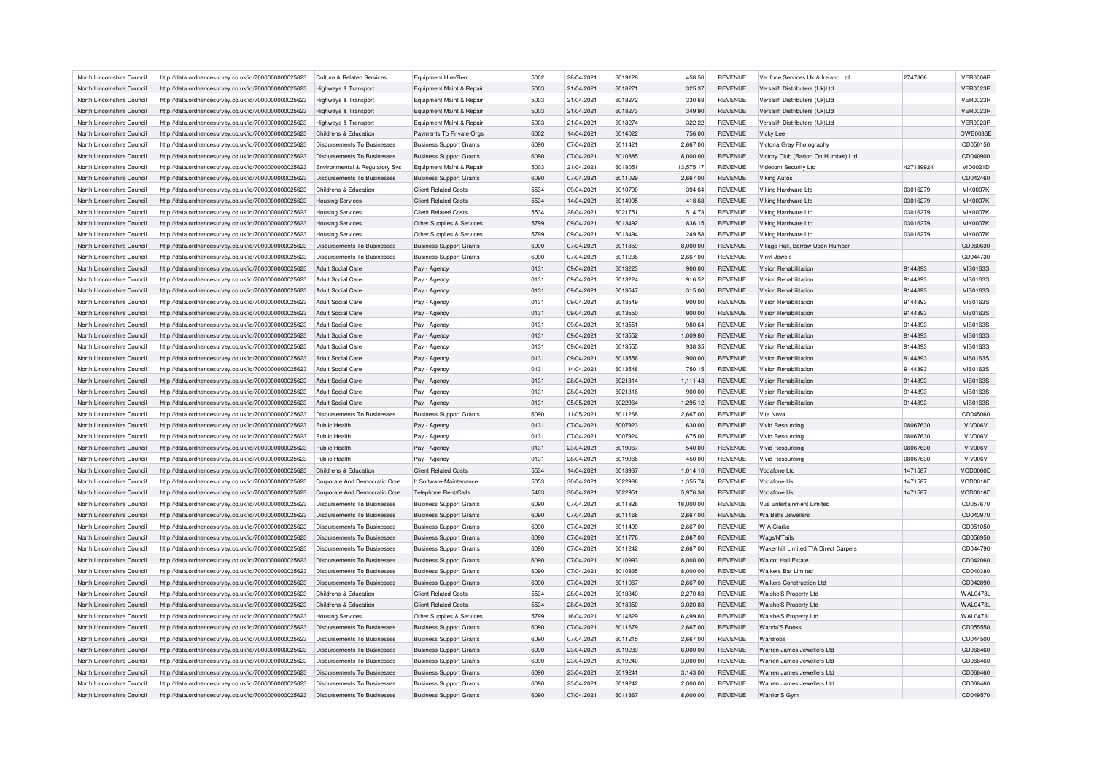| North Lincolnshire Council                               | http://data.ordnancesurvey.co.uk/id/7000000000025623 | Culture & Related Services                                     | Equipment Hire/Rent            | 5002         | 28/04/2021               | 6019128            | 458.50             | <b>REVENUE</b>                   | Verifone Services Uk & Ireland Ltd    | 2747866   | VER0006R        |
|----------------------------------------------------------|------------------------------------------------------|----------------------------------------------------------------|--------------------------------|--------------|--------------------------|--------------------|--------------------|----------------------------------|---------------------------------------|-----------|-----------------|
| North Lincolnshire Council                               | http://data.ordnancesurvey.co.uk/id/7000000000025623 | Highways & Transport                                           | Equipment Maint.& Repair       | 5003         | 21/04/2021               | 6018271            | 325.37             | <b>REVENUE</b>                   | Versalift Distributers (Uk)Ltd        |           | <b>VER0023R</b> |
| North Lincolnshire Council                               | http://data.ordnancesurvey.co.uk/id/7000000000025623 | Highways & Transport                                           | Equipment Maint.& Repair       | 5003         | 21/04/2021               | 6018272            | 330.68             | <b>REVENUE</b>                   | Versalift Distributers (Uk)Ltd        |           | <b>VER0023R</b> |
| North Lincolnshire Council                               | http://data.ordnancesurvey.co.uk/id/7000000000025623 | Highways & Transport                                           | Equipment Maint.& Repair       | 5003         | 21/04/2021               | 6018273            | 349.90             | <b>REVENUE</b>                   | Versalift Distributers (Uk)Ltd        |           | VER0023R        |
| North Lincolnshire Council                               | http://data.ordnancesurvey.co.uk/id/7000000000025623 | Highways & Transport                                           | Equipment Maint.& Repair       | 5003         | 21/04/2021               | 6018274            | 322.22             | <b>REVENUE</b>                   | Versalift Distributers (Uk)Ltd        |           | <b>VER0023R</b> |
| North Lincolnshire Council                               | http://data.ordnancesurvey.co.uk/id/7000000000025623 | Childrens & Education                                          | Payments To Private Orgs       | 6002         | 14/04/2021               | 6014022            | 756.00             | <b>REVENUE</b>                   | Vicky Lee                             |           | <b>OWE0036E</b> |
| North Lincolnshire Council                               | http://data.ordnancesurvey.co.uk/id/7000000000025623 | Disbursements To Businesses                                    | <b>Business Support Grants</b> | 6090         | 07/04/2021               | 6011421            | 2,667.00           | <b>REVENUE</b>                   | Victoria Gray Photography             |           | CD050150        |
| North Lincolnshire Council                               | http://data.ordnancesurvey.co.uk/id/7000000000025623 | <b>Disbursements To Businesses</b>                             | <b>Business Support Grants</b> | 6090         | 07/04/2021               | 6010885            | 8,000.00           | <b>REVENUE</b>                   | Victory Club (Barton On Humber) Ltd   |           | CD040900        |
| North Lincolnshire Council                               | http://data.ordnancesurvey.co.uk/id/7000000000025623 | Environmental & Regulatory Svs                                 | Equipment Maint.& Repair       | 5003         | 21/04/2021               | 6018051            | 13,575.17          | <b>REVENUE</b>                   | Videcom Security Ltd                  | 427189924 | VID0021D        |
| North Lincolnshire Council                               | http://data.ordnancesurvey.co.uk/id/7000000000025623 | Disbursements To Businesses                                    | <b>Business Support Grants</b> | 6090         | 07/04/2021               | 6011029            | 2,667.00           | <b>REVENUE</b>                   | <b>Viking Autos</b>                   |           | CD042460        |
| North Lincolnshire Council                               | http://data.ordnancesurvey.co.uk/id/7000000000025623 | Childrens & Education                                          | <b>Client Related Costs</b>    | 5534         | 09/04/2021               | 6010790            | 394.64             | <b>REVENUE</b>                   | Viking Hardware Ltd                   | 03016279  | <b>VIK0007K</b> |
| North Lincolnshire Council                               | http://data.ordnancesurvey.co.uk/id/7000000000025623 | <b>Housing Services</b>                                        | <b>Client Related Costs</b>    | 5534         | 14/04/2021               | 6014995            | 418.68             | <b>REVENUE</b>                   | Viking Hardware Ltd                   | 03016279  | <b>VIK0007K</b> |
| North Lincolnshire Council                               | http://data.ordnancesurvey.co.uk/id/7000000000025623 | <b>Housing Services</b>                                        | <b>Client Related Costs</b>    | 5534         | 28/04/2021               | 6021751            | 514.73             | <b>REVENUE</b>                   | Viking Hardware Ltd                   | 03016279  | <b>VIK0007K</b> |
| North Lincolnshire Council                               | http://data.ordnancesurvey.co.uk/id/7000000000025623 | <b>Housing Services</b>                                        | Other Supplies & Services      | 5799         | 09/04/2021               | 6013492            | 836.15             | <b>REVENUE</b>                   | Viking Hardware Ltd                   | 03016279  | <b>VIK0007K</b> |
| North Lincolnshire Council                               | http://data.ordnancesurvey.co.uk/id/7000000000025623 | <b>Housing Services</b>                                        | Other Supplies & Services      | 5799         | 09/04/2021               | 6013494            | 249.58             | <b>REVENUE</b>                   | Viking Hardware Ltd                   | 03016279  | <b>VIK0007K</b> |
|                                                          |                                                      |                                                                |                                | 6090         | 07/04/2021               | 6011859            |                    | <b>REVENUE</b>                   |                                       |           | CD060630        |
| North Lincolnshire Council                               | http://data.ordnancesurvey.co.uk/id/7000000000025623 | Disbursements To Businesses                                    | <b>Business Support Grants</b> |              |                          |                    | 8,000.00           |                                  | Village Hall, Barrow Upon Humber      |           |                 |
| North Lincolnshire Council<br>North Lincolnshire Council | http://data.ordnancesurvey.co.uk/id/7000000000025623 | <b>Disbursements To Businesses</b><br><b>Adult Social Care</b> | <b>Business Support Grants</b> | 6090<br>0131 | 07/04/2021<br>09/04/2021 | 6011236<br>6013223 | 2,667.00<br>900.00 | <b>REVENUE</b><br><b>REVENUE</b> | Vinyl Jewels<br>Vision Rehabilitation | 9144893   | CD044730        |
|                                                          | http://data.ordnancesurvey.co.uk/id/7000000000025623 |                                                                | Pay - Agency                   |              |                          |                    |                    |                                  |                                       |           | <b>VIS0163S</b> |
| North Lincolnshire Council                               | http://data.ordnancesurvey.co.uk/id/7000000000025623 | <b>Adult Social Care</b>                                       | Pay - Agency                   | 0131         | 09/04/2021               | 6013224            | 916.52             | REVENUE                          | Vision Rehabilitation                 | 9144893   | <b>VIS0163S</b> |
| North Lincolnshire Council                               | http://data.ordnancesurvey.co.uk/id/7000000000025623 | <b>Adult Social Care</b>                                       | Pay - Agency                   | 0131         | 09/04/2021               | 6013547            | 315.00             | <b>REVENUE</b>                   | Vision Rehabilitation                 | 9144893   | <b>VIS0163S</b> |
| North Lincolnshire Council                               | http://data.ordnancesurvey.co.uk/id/7000000000025623 | <b>Adult Social Care</b>                                       | Pay - Agency                   | 0131         | 09/04/2021               | 6013549            | 900.00             | <b>REVENUE</b>                   | Vision Rehabilitation                 | 9144893   | <b>VIS0163S</b> |
| North Lincolnshire Council                               | http://data.ordnancesurvey.co.uk/id/7000000000025623 | Adult Social Care                                              | Pay - Agency                   | 0131         | 09/04/2021               | 6013550            | 900.00             | <b>REVENUE</b>                   | Vision Rehabilitation                 | 9144893   | <b>VIS0163S</b> |
| North Lincolnshire Council                               | http://data.ordnancesurvey.co.uk/id/7000000000025623 | Adult Social Care                                              | Pay - Agency                   | 0131         | 09/04/2021               | 6013551            | 980.64             | <b>REVENUE</b>                   | Vision Rehabilitation                 | 9144893   | <b>VIS0163S</b> |
| North Lincolnshire Council                               | http://data.ordnancesurvey.co.uk/id/7000000000025623 | Adult Social Care                                              | Pay - Agency                   | 0131         | 09/04/2021               | 6013552            | 1,009.80           | <b>REVENUE</b>                   | Vision Rehabilitation                 | 9144893   | <b>VIS0163S</b> |
| North Lincolnshire Council                               | http://data.ordnancesurvey.co.uk/id/7000000000025623 | <b>Adult Social Care</b>                                       | Pay - Agency                   | 0131         | 09/04/2021               | 6013555            | 938.35             | <b>REVENUE</b>                   | Vision Rehabilitation                 | 9144893   | <b>VIS0163S</b> |
| North Lincolnshire Council                               | http://data.ordnancesurvey.co.uk/id/7000000000025623 | Adult Social Care                                              | Pay - Agency                   | 0131         | 09/04/2021               | 6013556            | 900.00             | <b>REVENUE</b>                   | Vision Rehabilitation                 | 9144893   | <b>VIS0163S</b> |
| North Lincolnshire Council                               | http://data.ordnancesurvey.co.uk/id/7000000000025623 | <b>Adult Social Care</b>                                       | Pay - Agency                   | 0131         | 14/04/2021               | 6013548            | 750.15             | <b>REVENUE</b>                   | Vision Rehabilitation                 | 9144893   | <b>VIS0163S</b> |
| North Lincolnshire Council                               | http://data.ordnancesurvey.co.uk/id/7000000000025623 | <b>Adult Social Care</b>                                       | Pay - Agency                   | 0131         | 28/04/2021               | 6021314            | 1,111.43           | <b>REVENUE</b>                   | Vision Rehabilitation                 | 9144893   | <b>VIS0163S</b> |
| North Lincolnshire Council                               | http://data.ordnancesurvey.co.uk/id/7000000000025623 | Adult Social Care                                              | Pay - Agency                   | 0131         | 28/04/2021               | 6021316            | 900.00             | <b>REVENUE</b>                   | Vision Rehabilitation                 | 9144893   | <b>VIS0163S</b> |
| North Lincolnshire Council                               | http://data.ordnancesurvey.co.uk/id/7000000000025623 | Adult Social Care                                              | Pay - Agency                   | 0131         | 05/05/2021               | 6022964            | 1,295.12           | <b>REVENUE</b>                   | Vision Rehabilitation                 | 9144893   | <b>VIS0163S</b> |
| North Lincolnshire Council                               | http://data.ordnancesurvey.co.uk/id/7000000000025623 | Disbursements To Businesses                                    | <b>Business Support Grants</b> | 6090         | 11/05/2021               | 6011268            | 2,667.00           | <b>REVENUE</b>                   | Vita Nova                             |           | CD045060        |
| North Lincolnshire Council                               | http://data.ordnancesurvey.co.uk/id/7000000000025623 | Public Health                                                  | Pay - Agency                   | 0131         | 07/04/2021               | 6007923            | 630.00             | <b>REVENUE</b>                   | <b>Vivid Resourcing</b>               | 08067630  | VIV006V         |
| North Lincolnshire Council                               | http://data.ordnancesurvey.co.uk/id/7000000000025623 | Public Health                                                  | Pay - Agency                   | 0131         | 07/04/2021               | 6007924            | 675.00             | <b>REVENUE</b>                   | <b>Vivid Resourcing</b>               | 08067630  | VIV006V         |
| North Lincolnshire Council                               | http://data.ordnancesurvey.co.uk/id/7000000000025623 | Public Health                                                  | Pay - Agency                   | 0131         | 23/04/2021               | 6019067            | 540.00             | <b>REVENUE</b>                   | <b>Vivid Resourcing</b>               | 08067630  | VIV006V         |
| North Lincolnshire Council                               | http://data.ordnancesurvey.co.uk/id/7000000000025623 | Public Health                                                  | Pay - Agency                   | 0131         | 28/04/2021               | 6019066            | 450.00             | <b>REVENUE</b>                   | <b>Vivid Resourcing</b>               | 08067630  | VIV006V         |
| North Lincolnshire Council                               | http://data.ordnancesurvey.co.uk/id/7000000000025623 | Childrens & Education                                          | <b>Client Related Costs</b>    | 5534         | 14/04/2021               | 6013937            | 1,014.10           | <b>REVENUE</b>                   | Vodafone Ltd                          | 1471587   | VOD0060D        |
| North Lincolnshire Council                               | http://data.ordnancesurvey.co.uk/id/7000000000025623 | Corporate And Democratic Core                                  | It Software-Maintenance        | 5053         | 30/04/2021               | 6022986            | 1,355.74           | <b>REVENUE</b>                   | Vodafone Uk                           | 1471587   | <b>VOD0016D</b> |
| North Lincolnshire Council                               | http://data.ordnancesurvey.co.uk/id/7000000000025623 | Corporate And Democratic Core                                  | <b>Telephone Rent/Calls</b>    | 5403         | 30/04/2021               | 6022951            | 5,976.38           | <b>REVENUE</b>                   | Vodafone Uk                           | 1471587   | VOD0016D        |
| North Lincolnshire Council                               | http://data.ordnancesurvey.co.uk/id/7000000000025623 | <b>Disbursements To Businesses</b>                             | <b>Business Support Grants</b> | 6090         | 07/04/2021               | 6011826            | 18,000.00          | <b>REVENUE</b>                   | Vue Entertainment Limited             |           | CD057670        |
| North Lincolnshire Council                               | http://data.ordnancesurvey.co.uk/id/7000000000025623 | Disbursements To Businesses                                    | <b>Business Support Grants</b> | 6090         | 07/04/2021               | 6011166            | 2,667.00           | <b>REVENUE</b>                   | Wa Betts Jewellers                    |           | CD043970        |
| North Lincolnshire Council                               | http://data.ordnancesurvey.co.uk/id/7000000000025623 | <b>Disbursements To Businesses</b>                             | <b>Business Support Grants</b> | 6090         | 07/04/2021               | 6011499            | 2,667.00           | <b>REVENUE</b>                   | W A Clarke                            |           | CD051050        |
| North Lincolnshire Council                               | http://data.ordnancesurvey.co.uk/id/7000000000025623 | Disbursements To Businesses                                    | <b>Business Support Grants</b> | 6090         | 07/04/2021               | 6011776            | 2,667.00           | <b>REVENUE</b>                   | Wags'N'Tails                          |           | CD056950        |
| North Lincolnshire Council                               | http://data.ordnancesurvey.co.uk/id/7000000000025623 | Disbursements To Businesses                                    | <b>Business Support Grants</b> | 6090         | 07/04/2021               | 6011242            | 2,667.00           | <b>REVENUE</b>                   | Wakenhill Limited T/A Direct Carpets  |           | CD044790        |
| North Lincolnshire Council                               | http://data.ordnancesurvey.co.uk/id/7000000000025623 | Disbursements To Businesses                                    | <b>Business Support Grants</b> | 6090         | 07/04/2021               | 6010993            | 8,000.00           | <b>REVENUE</b>                   | <b>Walcot Hall Estate</b>             |           | CD042060        |
| North Lincolnshire Council                               | http://data.ordnancesurvey.co.uk/id/7000000000025623 | <b>Disbursements To Businesses</b>                             | <b>Business Support Grants</b> | 6090         | 07/04/2021               | 6010835            | 8,000.00           | <b>REVENUE</b>                   | <b>Walkers Bar Limited</b>            |           | CD040380        |
| North Lincolnshire Council                               | http://data.ordnancesurvey.co.uk/id/7000000000025623 | Disbursements To Businesses                                    | <b>Business Support Grants</b> | 6090         | 07/04/2021               | 6011067            | 2,667.00           | <b>REVENUE</b>                   | <b>Walkers Construction Ltd</b>       |           | CD042890        |
| North Lincolnshire Council                               | http://data.ordnancesurvey.co.uk/id/7000000000025623 | Childrens & Education                                          | <b>Client Related Costs</b>    | 5534         | 28/04/2021               | 6018349            | 2,270.83           | <b>REVENUE</b>                   | Walshe'S Property Ltd                 |           | <b>WAL0473L</b> |
| North Lincolnshire Council                               | http://data.ordnancesurvey.co.uk/id/7000000000025623 | Childrens & Education                                          | <b>Client Related Costs</b>    | 5534         | 28/04/2021               | 6018350            | 3,020.83           | <b>REVENUE</b>                   | Walshe'S Property Ltd                 |           | WAL0473L        |
| North Lincolnshire Council                               | http://data.ordnancesurvey.co.uk/id/7000000000025623 | <b>Housing Services</b>                                        | Other Supplies & Services      | 5799         | 16/04/2021               | 6014829            | 6,499.80           | <b>REVENUE</b>                   | Walshe'S Property Ltd                 |           | <b>WAL0473L</b> |
| North Lincolnshire Council                               | http://data.ordnancesurvey.co.uk/id/7000000000025623 | Disbursements To Businesses                                    | <b>Business Support Grants</b> | 6090         | 07/04/2021               | 6011679            | 2,667.00           | <b>REVENUE</b>                   | <b>Wanda'S Books</b>                  |           | CD055550        |
| North Lincolnshire Council                               | http://data.ordnancesurvey.co.uk/id/7000000000025623 | <b>Disbursements To Businesses</b>                             | <b>Business Support Grants</b> | 6090         | 07/04/2021               | 6011215            | 2,667.00           | <b>REVENUE</b>                   | Wardrobe                              |           | CD044500        |
| North Lincolnshire Council                               |                                                      | Disbursements To Businesses                                    |                                | 6090         | 23/04/2021               | 6019239            | 6,000.00           | <b>REVENUE</b>                   |                                       |           | CD068460        |
|                                                          | http://data.ordnancesurvey.co.uk/id/7000000000025623 |                                                                | <b>Business Support Grants</b> |              |                          |                    |                    |                                  | Warren James Jewellers Ltd            |           |                 |
| North Lincolnshire Council                               | http://data.ordnancesurvey.co.uk/id/7000000000025623 | Disbursements To Businesses                                    | <b>Business Support Grants</b> | 6090         | 23/04/2021               | 6019240            | 3,000.00           | <b>REVENUE</b>                   | Warren James Jewellers Ltd            |           | CD068460        |
| North Lincolnshire Council                               | http://data.ordnancesurvey.co.uk/id/7000000000025623 | Disbursements To Businesses                                    | <b>Business Support Grants</b> | 6090         | 23/04/2021               | 6019241            | 3,143.00           | <b>REVENUE</b>                   | Warren James Jewellers Ltd            |           | CD068460        |
| North Lincolnshire Council                               | http://data.ordnancesurvey.co.uk/id/7000000000025623 | Disbursements To Businesses                                    | <b>Business Support Grants</b> | 6090         | 23/04/2021               | 6019242            | 2.000.00           | <b>REVENUE</b>                   | Warren James Jewellers Ltd            |           | CD068460        |
| North Lincolnshire Council                               | http://data.ordnancesurvey.co.uk/id/7000000000025623 | Disbursements To Businesses                                    | <b>Business Support Grants</b> | 6090         | 07/04/2021               | 6011367            | 8,000.00           | <b>REVENUE</b>                   | Warrior'S Gym                         |           | CD049570        |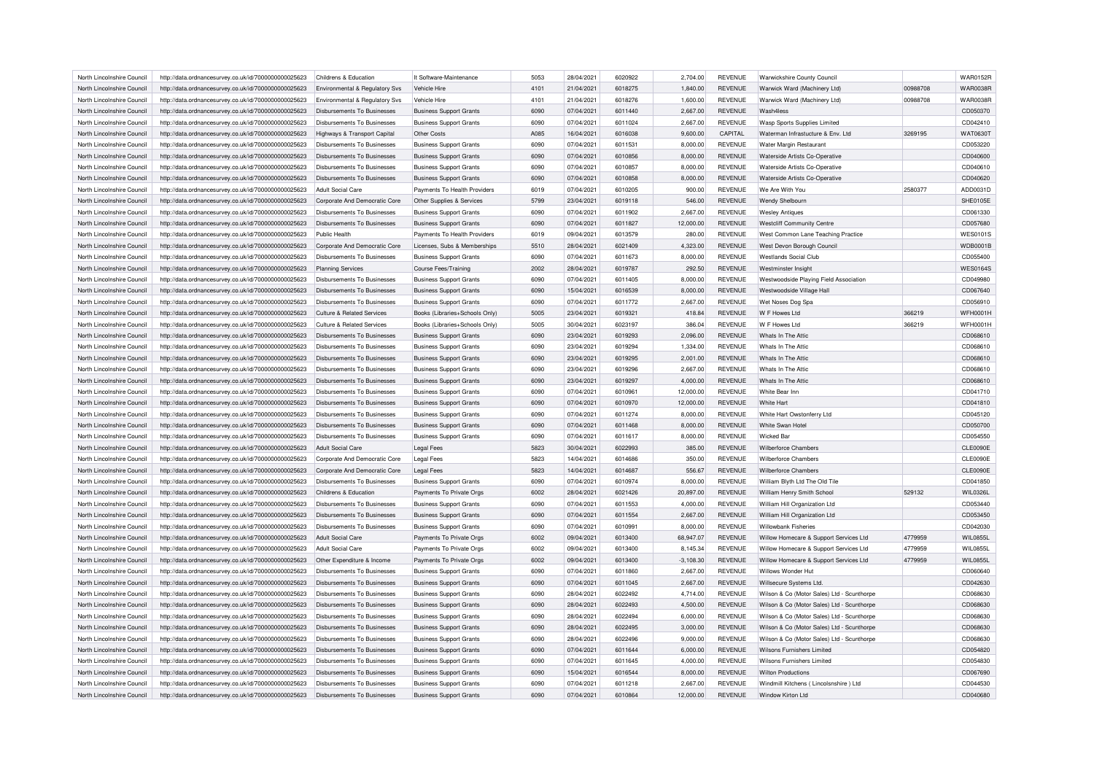| North Lincolnshire Council                               | http://data.ordnancesurvey.co.uk/id/7000000000025623 | Childrens & Education                 | It Software-Maintenance        | 5053 | 28/04/2021 | 6020922 | 2,704.00    | <b>REVENUE</b> | <b>Warwickshire County Council</b>                |          | <b>WAR0152R</b> |
|----------------------------------------------------------|------------------------------------------------------|---------------------------------------|--------------------------------|------|------------|---------|-------------|----------------|---------------------------------------------------|----------|-----------------|
| North Lincolnshire Council                               | http://data.ordnancesurvey.co.uk/id/7000000000025623 | Environmental & Regulatory Svs        | Vehicle Hire                   | 4101 | 21/04/2021 | 6018275 | 1,840.00    | <b>REVENUE</b> | Warwick Ward (Machinery Ltd)                      | 00988708 | <b>WAR0038R</b> |
| North Lincolnshire Council                               | http://data.ordnancesurvey.co.uk/id/7000000000025623 | Environmental & Regulatory Svs        | Vehicle Hire                   | 4101 | 21/04/2021 | 6018276 | 1,600.00    | REVENUE        | Warwick Ward (Machinery Ltd)                      | 00988708 | <b>WAR0038R</b> |
| North Lincolnshire Council                               | http://data.ordnancesurvey.co.uk/id/7000000000025623 | Disbursements To Businesses           | <b>Business Support Grants</b> | 6090 | 07/04/2021 | 6011440 | 2,667.00    | <b>REVENUE</b> | Wash4less                                         |          | CD050370        |
| North Lincolnshire Council                               | http://data.ordnancesurvey.co.uk/id/7000000000025623 | Disbursements To Businesses           | <b>Business Support Grants</b> | 6090 | 07/04/2021 | 6011024 | 2,667.00    | <b>REVENUE</b> | <b>Wasp Sports Supplies Limited</b>               |          | CD042410        |
| North Lincolnshire Council                               | http://data.ordnancesurvey.co.uk/id/7000000000025623 | Highways & Transport Capital          | Other Costs                    | A085 | 16/04/2021 | 6016038 | 9,600.00    | CAPITAL        | Waterman Infrastucture & Env. Ltd                 | 3269195  | <b>WAT0630T</b> |
| North Lincolnshire Council                               | http://data.ordnancesurvey.co.uk/id/7000000000025623 | Disbursements To Businesses           | <b>Business Support Grants</b> | 6090 | 07/04/2021 | 6011531 | 8,000.00    | <b>REVENUE</b> | Water Margin Restaurant                           |          | CD053220        |
| North Lincolnshire Council                               | http://data.ordnancesurvey.co.uk/id/7000000000025623 | Disbursements To Businesses           | <b>Business Support Grants</b> | 6090 | 07/04/2021 | 6010856 | 8,000.00    | <b>REVENUE</b> | Waterside Artists Co-Operative                    |          | CD040600        |
| North Lincolnshire Council                               | http://data.ordnancesurvey.co.uk/id/7000000000025623 | Disbursements To Businesses           | <b>Business Support Grants</b> | 6090 | 07/04/2021 | 6010857 | 8,000.00    | <b>REVENUE</b> | Waterside Artists Co-Operative                    |          | CD040610        |
|                                                          |                                                      | Disbursements To Businesses           |                                | 6090 | 07/04/2021 | 6010858 | 8,000.00    | <b>REVENUE</b> |                                                   |          | CD040620        |
| North Lincolnshire Council<br>North Lincolnshire Council | http://data.ordnancesurvey.co.uk/id/7000000000025623 | Adult Social Care                     | <b>Business Support Grants</b> | 6019 |            | 6010205 | 900.00      | <b>REVENUE</b> | Waterside Artists Co-Operative<br>We Are With You | 2580377  |                 |
|                                                          | http://data.ordnancesurvey.co.uk/id/7000000000025623 |                                       | Payments To Health Providers   |      | 07/04/2021 |         |             |                |                                                   |          | ADD0031D        |
| North Lincolnshire Council                               | http://data.ordnancesurvey.co.uk/id/7000000000025623 | Corporate And Democratic Core         | Other Supplies & Services      | 5799 | 23/04/2021 | 6019118 | 546.00      | <b>REVENUE</b> | Wendy Shelbourn                                   |          | SHE0105E        |
| North Lincolnshire Council                               | http://data.ordnancesurvey.co.uk/id/7000000000025623 | <b>Disbursements To Businesses</b>    | <b>Business Support Grants</b> | 6090 | 07/04/2021 | 6011902 | 2,667.00    | <b>REVENUE</b> | <b>Wesley Antiques</b>                            |          | CD061330        |
| North Lincolnshire Council                               | http://data.ordnancesurvey.co.uk/id/7000000000025623 | Disbursements To Businesses           | <b>Business Support Grants</b> | 6090 | 07/04/2021 | 6011827 | 12.000.00   | <b>REVENUE</b> | <b>Westcliff Community Centre</b>                 |          | CD057680        |
| North Lincolnshire Council                               | http://data.ordnancesurvey.co.uk/id/7000000000025623 | Public Health                         | Payments To Health Providers   | 6019 | 09/04/2021 | 6013579 | 280.00      | <b>REVENUE</b> | West Common Lane Teaching Practice                |          | <b>WES0101S</b> |
| North Lincolnshire Council                               | http://data.ordnancesurvey.co.uk/id/7000000000025623 | Corporate And Democratic Core         | Licenses, Subs & Memberships   | 5510 | 28/04/2021 | 6021409 | 4,323.00    | <b>REVENUE</b> | West Devon Borough Council                        |          | <b>WDB0001B</b> |
| North Lincolnshire Council                               | http://data.ordnancesurvey.co.uk/id/7000000000025623 | Disbursements To Businesses           | <b>Business Support Grants</b> | 6090 | 07/04/2021 | 6011673 | 8,000.00    | <b>REVENUE</b> | <b>Westlands Social Club</b>                      |          | CD055400        |
| North Lincolnshire Council                               | http://data.ordnancesurvey.co.uk/id/7000000000025623 | <b>Planning Services</b>              | <b>Course Fees/Training</b>    | 2002 | 28/04/2021 | 6019787 | 292.50      | <b>REVENUE</b> | Westminster Insight                               |          | <b>WES0164S</b> |
| North Lincolnshire Council                               | http://data.ordnancesurvey.co.uk/id/7000000000025623 | Disbursements To Businesses           | <b>Business Support Grants</b> | 6090 | 07/04/2021 | 6011405 | 8,000.00    | <b>REVENUE</b> | Westwoodside Playing Field Association            |          | CD049980        |
| North Lincolnshire Council                               | http://data.ordnancesurvey.co.uk/id/7000000000025623 | Disbursements To Businesses           | <b>Business Support Grants</b> | 6090 | 15/04/2021 | 6016539 | 8,000.00    | <b>REVENUE</b> | Westwoodside Village Hall                         |          | CD067640        |
| North Lincolnshire Council                               | http://data.ordnancesurvey.co.uk/id/7000000000025623 | Disbursements To Businesses           | <b>Business Support Grants</b> | 6090 | 07/04/2021 | 6011772 | 2,667.00    | <b>REVENUE</b> | Wet Noses Dog Spa                                 |          | CD056910        |
| North Lincolnshire Council                               | http://data.ordnancesurvey.co.uk/id/7000000000025623 | <b>Culture &amp; Related Services</b> | Books (Libraries+Schools Only) | 5005 | 23/04/2021 | 6019321 | 418.84      | <b>REVENUE</b> | W F Howes Ltd                                     | 366219   | <b>WFH0001H</b> |
| North Lincolnshire Council                               | http://data.ordnancesurvey.co.uk/id/7000000000025623 | Culture & Related Services            | Books (Libraries+Schools Only) | 5005 | 30/04/2021 | 6023197 | 386.04      | <b>REVENUE</b> | W F Howes I td                                    | 366219   | <b>WFH0001H</b> |
| North Lincolnshire Council                               | http://data.ordnancesurvey.co.uk/id/7000000000025623 | Disbursements To Businesses           | <b>Business Support Grants</b> | 6090 | 23/04/2021 | 6019293 | 2,096.00    | <b>REVENUE</b> | Whats In The Attic                                |          | CD068610        |
| North Lincolnshire Council                               | http://data.ordnancesurvey.co.uk/id/7000000000025623 | Disbursements To Businesses           | <b>Business Support Grants</b> | 6090 | 23/04/2021 | 6019294 | 1,334.00    | <b>REVENUE</b> | Whats In The Attic                                |          | CD068610        |
| North Lincolnshire Council                               |                                                      | Disbursements To Businesses           |                                | 6090 | 23/04/2021 | 6019295 | 2,001.00    | <b>REVENUE</b> | Whats In The Attic                                |          | CD068610        |
|                                                          | http://data.ordnancesurvey.co.uk/id/7000000000025623 |                                       | <b>Business Support Grants</b> |      |            |         |             |                |                                                   |          |                 |
| North Lincolnshire Council                               | http://data.ordnancesurvey.co.uk/id/7000000000025623 | Disbursements To Businesses           | <b>Business Support Grants</b> | 6090 | 23/04/2021 | 6019296 | 2,667.00    | <b>REVENUE</b> | Whats In The Attic                                |          | CD068610        |
| North Lincolnshire Council                               | http://data.ordnancesurvey.co.uk/id/7000000000025623 | <b>Disbursements To Businesses</b>    | <b>Business Support Grants</b> | 6090 | 23/04/2021 | 6019297 | 4,000.00    | <b>REVENUE</b> | Whats In The Attic                                |          | CD068610        |
| North Lincolnshire Council                               | http://data.ordnancesurvey.co.uk/id/7000000000025623 | Disbursements To Businesses           | <b>Business Support Grants</b> | 6090 | 07/04/2021 | 6010961 | 12,000.00   | <b>REVENUE</b> | White Bear Inn                                    |          | CD041710        |
| North Lincolnshire Council                               | http://data.ordnancesurvey.co.uk/id/7000000000025623 | Disbursements To Businesses           | <b>Business Support Grants</b> | 6090 | 07/04/2021 | 6010970 | 12,000.00   | <b>REVENUE</b> | White Hart                                        |          | CD041810        |
| North Lincolnshire Council                               | http://data.ordnancesurvey.co.uk/id/7000000000025623 | Disbursements To Businesses           | <b>Business Support Grants</b> | 6090 | 07/04/2021 | 6011274 | 8,000.00    | REVENUE        | White Hart Owstonferry Ltd                        |          | CD045120        |
| North Lincolnshire Council                               | http://data.ordnancesurvey.co.uk/id/7000000000025623 | Disbursements To Businesses           | <b>Business Support Grants</b> | 6090 | 07/04/2021 | 6011468 | 8,000.00    | <b>REVENUE</b> | White Swan Hotel                                  |          | CD050700        |
| North Lincolnshire Council                               | http://data.ordnancesurvey.co.uk/id/7000000000025623 | Disbursements To Businesses           | <b>Business Support Grants</b> | 6090 | 07/04/2021 | 6011617 | 8,000.00    | <b>REVENUE</b> | <b>Wicked Bar</b>                                 |          | CD054550        |
| North Lincolnshire Council                               | http://data.ordnancesurvey.co.uk/id/7000000000025623 | <b>Adult Social Care</b>              | <b>Legal Fees</b>              | 5823 | 30/04/2021 | 6022993 | 385.00      | <b>REVENUE</b> | <b>Wilberforce Chambers</b>                       |          | <b>CLE0090E</b> |
| North Lincolnshire Council                               | http://data.ordnancesurvey.co.uk/id/7000000000025623 | Cornorate And Democratic Core         | <b>Legal Fees</b>              | 5823 | 14/04/2021 | 6014686 | 350.00      | <b>REVENUE</b> | Wilberforce Chambers                              |          | <b>CLE0090E</b> |
| North Lincolnshire Council                               | http://data.ordnancesurvey.co.uk/id/7000000000025623 | Corporate And Democratic Core         | <b>Legal Fees</b>              | 5823 | 14/04/2021 | 6014687 | 556.67      | <b>REVENUE</b> | Wilberforce Chambers                              |          | <b>CLE0090E</b> |
| North Lincolnshire Council                               | http://data.ordnancesurvey.co.uk/id/7000000000025623 | Disbursements To Businesses           | <b>Business Support Grants</b> | 6090 | 07/04/2021 | 6010974 | 8,000.00    | REVENUE        | William Blyth Ltd The Old Tile                    |          | CD041850        |
| North Lincolnshire Council                               | http://data.ordnancesurvey.co.uk/id/7000000000025623 | Childrens & Education                 | Payments To Private Orgs       | 6002 | 28/04/2021 | 6021426 | 20,897.00   | <b>REVENUE</b> | William Henry Smith School                        | 529132   | <b>WIL0326L</b> |
| North Lincolnshire Council                               | http://data.ordnancesurvey.co.uk/id/7000000000025623 | Disbursements To Businesses           | <b>Business Support Grants</b> | 6090 | 07/04/2021 | 6011553 | 4,000.00    | <b>REVENUE</b> | William Hill Organization Ltd                     |          | CD053440        |
| North Lincolnshire Council                               | http://data.ordnancesurvey.co.uk/id/7000000000025623 | <b>Disbursements To Businesses</b>    | <b>Business Support Grants</b> | 6090 | 07/04/2021 | 6011554 | 2,667.00    | <b>REVENUE</b> | William Hill Organization Ltd                     |          | CD053450        |
| North Lincolnshire Council                               | http://data.ordnancesurvey.co.uk/id/7000000000025623 | Disbursements To Businesses           | <b>Business Support Grants</b> | 6090 | 07/04/2021 | 6010991 | 8,000.00    | <b>REVENUE</b> | <b>Willowbank Fisheries</b>                       |          | CD042030        |
| North Lincolnshire Council                               | http://data.ordnancesurvey.co.uk/id/7000000000025623 | Adult Social Care                     | Payments To Private Orgs       | 6002 | 09/04/2021 | 6013400 | 68,947.07   | <b>REVENUE</b> | Willow Homecare & Support Services Ltd            | 4779959  | WIL0855L        |
|                                                          |                                                      |                                       |                                |      |            |         |             |                |                                                   |          |                 |
| North Lincolnshire Council                               | http://data.ordnancesurvey.co.uk/id/7000000000025623 | Adult Social Care                     | Payments To Private Orgs       | 6002 | 09/04/2021 | 6013400 | 8,145.34    | REVENUE        | Willow Homecare & Support Services Ltd            | 4779959  | <b>WIL0855L</b> |
| North Lincolnshire Council                               | http://data.ordnancesurvey.co.uk/id/7000000000025623 | Other Expenditure & Income            | Payments To Private Orgs       | 6002 | 09/04/2021 | 6013400 | $-3,108.30$ | <b>REVENUE</b> | Willow Homecare & Support Services Ltd            | 4779959  | <b>WIL0855L</b> |
| North Lincolnshire Council                               | http://data.ordnancesurvey.co.uk/id/7000000000025623 | Disbursements To Businesses           | <b>Business Support Grants</b> | 6090 | 07/04/2021 | 6011860 | 2,667.00    | <b>REVENUE</b> | Willows Wonder Hut                                |          | CD060640        |
| North Lincolnshire Council                               | http://data.ordnancesurvey.co.uk/id/7000000000025623 | <b>Disbursements To Businesses</b>    | <b>Business Support Grants</b> | 6090 | 07/04/2021 | 6011045 | 2,667.00    | <b>REVENUE</b> | Willsecure Systems Ltd.                           |          | CD042630        |
| North Lincolnshire Council                               | http://data.ordnancesurvey.co.uk/id/7000000000025623 | <b>Disbursements To Businesses</b>    | <b>Business Support Grants</b> | 6090 | 28/04/2021 | 6022492 | 4,714.00    | REVENUE        | Wilson & Co (Motor Sales) Ltd - Scunthorpe        |          | CD068630        |
| North Lincolnshire Council                               | http://data.ordnancesurvey.co.uk/id/7000000000025623 | Disbursements To Businesses           | <b>Business Support Grants</b> | 6090 | 28/04/2021 | 6022493 | 4,500.00    | <b>REVENUE</b> | Wilson & Co (Motor Sales) Ltd - Scunthorpe        |          | CD068630        |
| North Lincolnshire Council                               | http://data.ordnancesurvey.co.uk/id/7000000000025623 | Disbursements To Businesses           | <b>Business Support Grants</b> | 6090 | 28/04/2021 | 6022494 | 6,000.00    | REVENUE        | Wilson & Co (Motor Sales) Ltd - Scunthorpe        |          | CD068630        |
| North Lincolnshire Council                               | http://data.ordnancesurvey.co.uk/id/7000000000025623 | Disbursements To Businesses           | <b>Business Support Grants</b> | 6090 | 28/04/2021 | 6022495 | 3,000.00    | <b>REVENUE</b> | Wilson & Co (Motor Sales) Ltd - Scunthorpe        |          | CD068630        |
| North Lincolnshire Council                               | http://data.ordnancesurvey.co.uk/id/7000000000025623 | Disbursements To Businesses           | <b>Business Support Grants</b> | 6090 | 28/04/2021 | 6022496 | 9,000.00    | <b>REVENUE</b> | Wilson & Co (Motor Sales) Ltd - Scunthorpe        |          | CD068630        |
| North Lincolnshire Council                               | http://data.ordnancesurvey.co.uk/id/7000000000025623 | <b>Disbursements To Businesses</b>    | <b>Business Support Grants</b> | 6090 | 07/04/2021 | 6011644 | 6,000.00    | <b>REVENUE</b> | <b>Wilsons Furnishers Limited</b>                 |          | CD054820        |
| North Lincolnshire Council                               | http://data.ordnancesurvey.co.uk/id/7000000000025623 | Disbursements To Businesses           | <b>Business Support Grants</b> | 6090 | 07/04/2021 | 6011645 | 4,000.00    | <b>REVENUE</b> | Wilsons Furnishers Limited                        |          | CD054830        |
| North Lincolnshire Council                               | http://data.ordnancesurvey.co.uk/id/7000000000025623 | Disbursements To Businesses           | <b>Business Support Grants</b> | 6090 | 15/04/2021 | 6016544 | 8,000.00    | <b>REVENUE</b> | <b>Wilton Productions</b>                         |          | CD067690        |
| North Lincolnshire Council                               | http://data.ordnancesurvey.co.uk/id/7000000000025623 | Disbursements To Businesses           | <b>Business Support Grants</b> | 6090 | 07/04/2021 | 6011218 | 2.667.00    | <b>REVENUE</b> | Windmill Kitchens (Lincolsnshire) Ltd             |          | CD044530        |
| North Lincolnshire Council                               | http://data.ordnancesurvey.co.uk/id/7000000000025623 | Disbursements To Businesses           | <b>Business Support Grants</b> | 6090 | 07/04/2021 | 6010864 | 12.000.00   | <b>REVENUE</b> | Window Kirton Ltd                                 |          | CD040680        |
|                                                          |                                                      |                                       |                                |      |            |         |             |                |                                                   |          |                 |